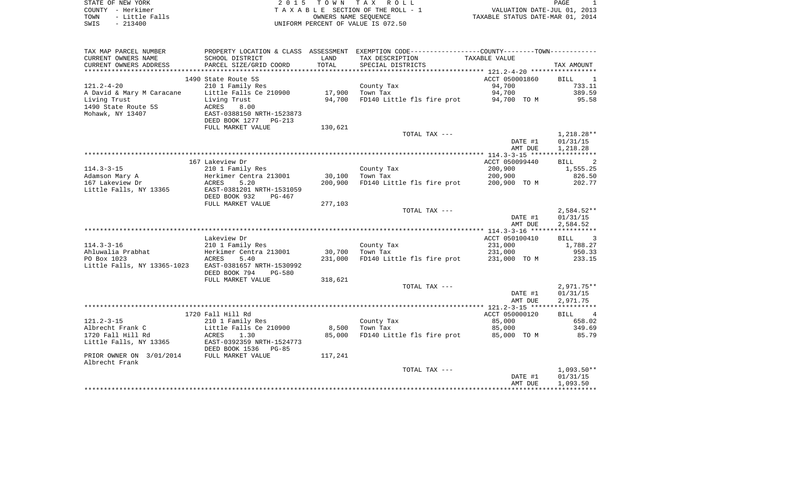| STATE OF NEW YORK<br>– Herkimer<br>COUNTY<br>- Little Falls<br>TOWN<br>SWIS<br>$-213400$                 | T O W N<br>2 0 1 5<br>T A X<br>R O L L<br>SECTION OF THE ROLL - 1<br>TAXABLE<br>OWNERS NAME SEOUENCE<br>UNIFORM PERCENT OF VALUE IS 072.50                                    |                             |                                                                                                     | VALUATION DATE-JUL 01, 2013<br>TAXABLE STATUS DATE-MAR 01, 2014 | PAGE                                          |
|----------------------------------------------------------------------------------------------------------|-------------------------------------------------------------------------------------------------------------------------------------------------------------------------------|-----------------------------|-----------------------------------------------------------------------------------------------------|-----------------------------------------------------------------|-----------------------------------------------|
| TAX MAP PARCEL NUMBER<br>CURRENT OWNERS NAME<br>CURRENT OWNERS ADDRESS                                   | PROPERTY LOCATION & CLASS ASSESSMENT<br>SCHOOL DISTRICT<br>PARCEL SIZE/GRID COORD                                                                                             | LAND<br>TOTAL               | EXEMPTION CODE-----------------COUNTY-------TOWN-----------<br>TAX DESCRIPTION<br>SPECIAL DISTRICTS | TAXABLE VALUE                                                   | TAX AMOUNT                                    |
| $121.2 - 4 - 20$<br>A David & Mary M Caracane<br>Living Trust<br>1490 State Route 5S<br>Mohawk, NY 13407 | 1490 State Route 5S<br>210 1 Family Res<br>Little Falls Ce 210900<br>Living Trust<br>8.00<br>ACRES<br>EAST-0388150 NRTH-1523873<br>DEED BOOK 1277 PG-213<br>FULL MARKET VALUE | 17,900<br>94,700<br>130,621 | County Tax<br>Town Tax<br>FD140 Little fls fire prot                                                | ACCT 050001860<br>94,700<br>94,700<br>94,700 TO M               | BILL<br>$\sim$ 1<br>733.11<br>389.59<br>95.58 |
|                                                                                                          |                                                                                                                                                                               |                             | TOTAL TAX ---                                                                                       | DATE #1                                                         | 1,218.28**<br>01/31/15                        |

|                             |                                |         |                            | AMT DUE        | 1,218.28                      |
|-----------------------------|--------------------------------|---------|----------------------------|----------------|-------------------------------|
|                             |                                |         |                            |                |                               |
|                             | 167 Lakeview Dr                |         |                            | ACCT 050099440 | <b>BILL</b>                   |
| $114.3 - 3 - 15$            | 210 1 Family Res               |         | County Tax                 | 200,900        | 1,555.25                      |
| Adamson Mary A              | Herkimer Centra 213001         | 30,100  | Town Tax                   | 200,900        | 826.50                        |
| 167 Lakeview Dr             | 5.20<br>ACRES                  | 200,900 | FD140 Little fls fire prot | 200,900 TO M   | 202.77                        |
| Little Falls, NY 13365      | EAST-0381201 NRTH-1531059      |         |                            |                |                               |
|                             | DEED BOOK 932<br>$PG-467$      |         |                            |                |                               |
|                             | FULL MARKET VALUE              | 277,103 |                            |                |                               |
|                             |                                |         | TOTAL TAX ---              |                | $2,584.52**$                  |
|                             |                                |         |                            | DATE #1        | 01/31/15                      |
|                             |                                |         |                            | AMT DUE        | 2,584.52                      |
|                             |                                |         |                            |                |                               |
|                             | Lakeview Dr                    |         |                            | ACCT 050100410 | 3<br><b>BILL</b>              |
| $114.3 - 3 - 16$            | 210 1 Family Res               |         | County Tax                 | 231,000        | 1,788.27                      |
| Ahluwalia Prabhat           | Herkimer Centra 213001         | 30,700  | Town Tax                   | 231,000        | 950.33                        |
| PO Box 1023                 | 5.40<br>ACRES                  | 231,000 | FD140 Little fls fire prot | 231,000 TO M   | 233.15                        |
| Little Falls, NY 13365-1023 | EAST-0381657 NRTH-1530992      |         |                            |                |                               |
|                             | DEED BOOK 794<br><b>PG-580</b> |         |                            |                |                               |
|                             | FULL MARKET VALUE              | 318,621 |                            |                |                               |
|                             |                                |         | TOTAL TAX ---              |                | $2,971.75**$                  |
|                             |                                |         |                            | DATE #1        | 01/31/15                      |
|                             |                                |         |                            | AMT DUE        | 2,971.75                      |
|                             |                                |         |                            |                |                               |
|                             | 1720 Fall Hill Rd              |         |                            | ACCT 050000120 | $\overline{4}$<br><b>BILL</b> |
| $121.2 - 3 - 15$            | 210 1 Family Res               |         | County Tax                 | 85,000         | 658.02                        |
| Albrecht Frank C            | Little Falls Ce 210900         | 8,500   | Town Tax                   | 85,000         | 349.69                        |
| 1720 Fall Hill Rd           | 1.30<br>ACRES                  | 85,000  | FD140 Little fls fire prot | 85,000 TO M    | 85.79                         |
| Little Falls, NY 13365      | EAST-0392359 NRTH-1524773      |         |                            |                |                               |
|                             | DEED BOOK 1536<br>$PG-85$      |         |                            |                |                               |
| PRIOR OWNER ON 3/01/2014    | FULL MARKET VALUE              | 117,241 |                            |                |                               |
| Albrecht Frank              |                                |         |                            |                |                               |
|                             |                                |         | TOTAL TAX ---              |                | $1,093.50**$                  |
|                             |                                |         |                            | DATE #1        | 01/31/15                      |
|                             |                                |         |                            | AMT DUE        | 1,093.50                      |

\*\*\*\*\*\*\*\*\*\*\*\*\*\*\*\*\*\*\*\*\*\*\*\*\*\*\*\*\*\*\*\*\*\*\*\*\*\*\*\*\*\*\*\*\*\*\*\*\*\*\*\*\*\*\*\*\*\*\*\*\*\*\*\*\*\*\*\*\*\*\*\*\*\*\*\*\*\*\*\*\*\*\*\*\*\*\*\*\*\*\*\*\*\*\*\*\*\*\*\*\*\*\*\*\*\*\*\*\*\*\*\*\*\*\*\*\*\*\*\*\*\*\*\*\*\*\*\*\*\*\*\*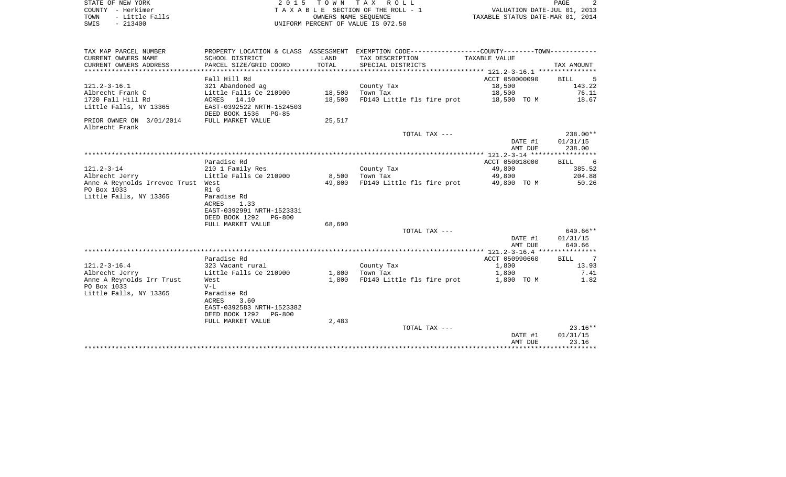| STATE OF NEW YORK |  |           |                |  |
|-------------------|--|-----------|----------------|--|
| COUNTY - Herkimer |  |           |                |  |
| TOWN              |  |           | - Little Falls |  |
| SWIS              |  | $-213400$ |                |  |

 $S$  2 0 1 5 T O W N T A X R O L L PAGE 2 TA X A B L E SECTION OF THE ROLL - 1 TOWN - Little Falls OWNERS NAME SEQUENCE TAXABLE STATUS DATE-MAR 01, 2014 SWIS - 213400 UNIFORM PERCENT OF VALUE IS 072.50

| TAX MAP PARCEL NUMBER              |                           |        | PROPERTY LOCATION & CLASS ASSESSMENT EXEMPTION CODE----------------COUNTY--------TOWN---------- |                |                         |
|------------------------------------|---------------------------|--------|-------------------------------------------------------------------------------------------------|----------------|-------------------------|
| CURRENT OWNERS NAME                | SCHOOL DISTRICT           | LAND   | TAX DESCRIPTION                                                                                 | TAXABLE VALUE  |                         |
| CURRENT OWNERS ADDRESS             | PARCEL SIZE/GRID COORD    | TOTAL  | SPECIAL DISTRICTS                                                                               |                | TAX AMOUNT              |
|                                    |                           |        |                                                                                                 |                |                         |
|                                    | Fall Hill Rd              |        |                                                                                                 | ACCT 050000090 | BILL<br>$-5$            |
| $121.2 - 3 - 16.1$                 | 321 Abandoned ag          |        | County Tax                                                                                      | 18,500         | 143.22                  |
| Albrecht Frank C                   | Little Falls Ce 210900    | 18,500 | Town Tax                                                                                        | 18,500         | 76.11                   |
| 1720 Fall Hill Rd                  | ACRES 14.10               | 18,500 | FD140 Little fls fire prot 18,500 TO M                                                          |                | 18.67                   |
| Little Falls, NY 13365             | EAST-0392522 NRTH-1524503 |        |                                                                                                 |                |                         |
|                                    | DEED BOOK 1536 PG-85      |        |                                                                                                 |                |                         |
| PRIOR OWNER ON 3/01/2014           | FULL MARKET VALUE         | 25,517 |                                                                                                 |                |                         |
| Albrecht Frank                     |                           |        |                                                                                                 |                |                         |
|                                    |                           |        | TOTAL TAX ---                                                                                   |                | $238.00**$              |
|                                    |                           |        |                                                                                                 | DATE #1        | 01/31/15                |
|                                    |                           |        |                                                                                                 | AMT DUE        | 238.00                  |
|                                    |                           |        |                                                                                                 |                |                         |
|                                    | Paradise Rd               |        |                                                                                                 | ACCT 050018000 | $6\overline{6}$<br>BILL |
| $121.2 - 3 - 14$                   | 210 1 Family Res          |        | County Tax                                                                                      | 49,800         | 385.52                  |
| Albrecht Jerry                     | Little Falls Ce 210900    | 8,500  | Town Tax                                                                                        | 49,800         | 204.88                  |
| Anne A Reynolds Irrevoc Trust West |                           | 49,800 | FD140 Little fls fire prot 49,800 TO M                                                          |                | 50.26                   |
| PO Box 1033                        | R1 G                      |        |                                                                                                 |                |                         |
| Little Falls, NY 13365             | Paradise Rd               |        |                                                                                                 |                |                         |
|                                    | 1.33<br><b>ACRES</b>      |        |                                                                                                 |                |                         |
|                                    | EAST-0392991 NRTH-1523331 |        |                                                                                                 |                |                         |
|                                    | DEED BOOK 1292 PG-800     |        |                                                                                                 |                |                         |
|                                    | FULL MARKET VALUE         | 68,690 |                                                                                                 |                |                         |
|                                    |                           |        | TOTAL TAX ---                                                                                   |                | 640.66**                |
|                                    |                           |        |                                                                                                 | DATE #1        | 01/31/15                |
|                                    |                           |        |                                                                                                 | AMT DUE        | 640.66                  |
|                                    |                           |        |                                                                                                 |                |                         |
|                                    | Paradise Rd               |        |                                                                                                 | ACCT 050990660 | 7<br>BILL               |
| $121.2 - 3 - 16.4$                 | 323 Vacant rural          |        | County Tax                                                                                      | 1,800          | 13.93                   |
| Albrecht Jerry                     | Little Falls Ce 210900    | 1,800  | Town Tax                                                                                        | 1,800          | 7.41                    |
| Anne A Reynolds Irr Trust          | West                      | 1,800  | FD140 Little fls fire prot                                                                      | 1,800 TO M     | 1.82                    |
| PO Box 1033                        | $V-L$                     |        |                                                                                                 |                |                         |
| Little Falls, NY 13365             | Paradise Rd               |        |                                                                                                 |                |                         |
|                                    | 3.60<br>ACRES             |        |                                                                                                 |                |                         |
|                                    | EAST-0392583 NRTH-1523382 |        |                                                                                                 |                |                         |
|                                    | DEED BOOK 1292<br>PG-800  |        |                                                                                                 |                |                         |
|                                    | FULL MARKET VALUE         | 2,483  |                                                                                                 |                |                         |
|                                    |                           |        | TOTAL TAX ---                                                                                   |                | $23.16**$               |
|                                    |                           |        |                                                                                                 | DATE #1        | 01/31/15                |
|                                    |                           |        |                                                                                                 | AMT DUE        | 23.16                   |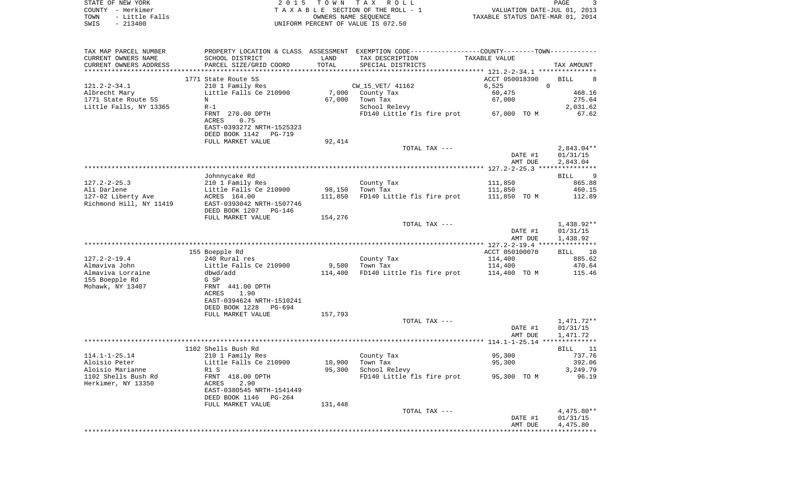| STATE OF NEW YORK<br>– Herkimer<br>COUNTY<br>- Little Falls<br>TOWN<br>SWIS<br>$-213400$ | T O W N<br>тах<br>R O L L<br>2 0 1 5<br>TAXABLE SECTION OF THE ROLL - 1<br>OWNERS NAME SEOUENCE<br>UNIFORM PERCENT OF VALUE IS 072.50 |                             |                                                             | VALUATION DATE-JUL 01, 2013<br>TAXABLE STATUS DATE-MAR 01, 2014              | PAGE             | $\overline{\mathbf{3}}$      |
|------------------------------------------------------------------------------------------|---------------------------------------------------------------------------------------------------------------------------------------|-----------------------------|-------------------------------------------------------------|------------------------------------------------------------------------------|------------------|------------------------------|
| TAX MAP PARCEL NUMBER<br>CURRENT OWNERS NAME<br>CURRENT OWNERS ADDRESS                   | PROPERTY LOCATION & CLASS<br>SCHOOL DISTRICT<br>PARCEL SIZE/GRID COORD                                                                | ASSESSMENT<br>LAND<br>TOTAL | TAX DESCRIPTION<br>SPECIAL DISTRICTS                        | EXEMPTION CODE-----------------COUNTY-------TOWN-----------<br>TAXABLE VALUE | TAX AMOUNT       |                              |
| 121.2-2-34.1<br>Albrecht Mary<br>1771 State Route 5S<br>Little Falls, NY 13365           | 1771 State Route 5S<br>210 1 Family Res<br>Little Falls Ce 210900<br>N<br>$R-1$                                                       | 7,000<br>67,000             | CW 15 VET/ 41162<br>County Tax<br>Town Tax<br>School Relevy | ACCT 050018390<br>6.525<br>60,475<br>67,000                                  | BILL<br>$\Omega$ | 468.16<br>275.64<br>2,031.62 |

|                                               | FRNT 270.00 DPTH<br>0.75<br>ACRES<br>EAST-0393272 NRTH-1525323<br>DEED BOOK 1142<br>PG-719<br>FULL MARKET VALUE | 92,414  | FD140 Little fls fire prot | 67,000 TO M        | 67.62                                |
|-----------------------------------------------|-----------------------------------------------------------------------------------------------------------------|---------|----------------------------|--------------------|--------------------------------------|
|                                               |                                                                                                                 |         | TOTAL TAX ---              | DATE #1<br>AMT DUE | $2.843.04**$<br>01/31/15<br>2,843.04 |
|                                               |                                                                                                                 |         |                            |                    |                                      |
|                                               | Johnnycake Rd                                                                                                   |         |                            |                    | 9<br>BILL                            |
| $127.2 - 2 - 25.3$                            | 210 1 Family Res                                                                                                |         | County Tax                 | 111,850            | 865.88                               |
| Ali Darlene                                   | Little Falls Ce 210900                                                                                          | 98,150  | Town Tax                   | 111,850            | 460.15                               |
| 127-02 Liberty Ave<br>Richmond Hill, NY 11419 | ACRES 164.00<br>EAST-0393042 NRTH-1507746<br>DEED BOOK 1207 PG-146                                              | 111,850 | FD140 Little fls fire prot | 111,850 TO M       | 112.89                               |
|                                               | FULL MARKET VALUE                                                                                               | 154,276 |                            |                    |                                      |
|                                               |                                                                                                                 |         | TOTAL TAX ---              |                    | 1,438.92**                           |
|                                               |                                                                                                                 |         |                            | DATE #1<br>AMT DUE | 01/31/15<br>1,438.92                 |
|                                               |                                                                                                                 |         |                            |                    |                                      |
|                                               | 155 Boepple Rd                                                                                                  |         |                            | ACCT 050100070     | 10<br>BILL                           |
| $127.2 - 2 - 19.4$                            | 240 Rural res                                                                                                   |         | County Tax                 | 114,400            | 885.62                               |
| Almaviva John                                 | Little Falls Ce 210900                                                                                          | 9,500   | Town Tax                   | 114,400            | 470.64                               |
| Almaviva Lorraine                             | dbwd/add                                                                                                        | 114,400 | FD140 Little fls fire prot | 114,400 TO M       | 115.46                               |
| 155 Boepple Rd                                | G SP                                                                                                            |         |                            |                    |                                      |
| Mohawk, NY 13407                              | FRNT 441.00 DPTH                                                                                                |         |                            |                    |                                      |
|                                               | ACRES<br>1.90                                                                                                   |         |                            |                    |                                      |
|                                               | EAST-0394624 NRTH-1510241                                                                                       |         |                            |                    |                                      |
|                                               | DEED BOOK 1228<br>PG-694                                                                                        |         |                            |                    |                                      |
|                                               | FULL MARKET VALUE                                                                                               | 157,793 |                            |                    |                                      |
|                                               |                                                                                                                 |         | TOTAL TAX ---              |                    | 1,471.72**                           |
|                                               |                                                                                                                 |         |                            | DATE #1<br>AMT DUE | 01/31/15<br>1,471.72                 |
|                                               |                                                                                                                 |         |                            |                    |                                      |
|                                               | 1102 Shells Bush Rd                                                                                             |         |                            |                    | BILL<br>11                           |
| $114.1 - 1 - 25.14$                           | 210 1 Family Res                                                                                                |         | County Tax                 | 95,300             | 737.76                               |
| Aloisio Peter                                 | Little Falls Ce 210900                                                                                          | 10,900  | Town Tax                   | 95,300             | 392.06                               |
| Aloisio Marianne                              | R1 S                                                                                                            | 95,300  | School Relevy              |                    | 3,249.79                             |
| 1102 Shells Bush Rd                           | FRNT 418.00 DPTH                                                                                                |         | FD140 Little fls fire prot | 95,300 TO M        | 96.19                                |
| Herkimer, NY 13350                            | 2.90<br>ACRES                                                                                                   |         |                            |                    |                                      |
|                                               | EAST-0380545 NRTH-1541449                                                                                       |         |                            |                    |                                      |
|                                               | DEED BOOK 1146 PG-264                                                                                           |         |                            |                    |                                      |

| FULL MARKET VALUE | 131,448 |               |         |            |
|-------------------|---------|---------------|---------|------------|
|                   |         | TOTAL TAX --- |         | 4,475.80** |
|                   |         |               | DATE #1 | 01/31/15   |
|                   |         |               | AMT DUE | 4,475.80   |
|                   |         |               |         |            |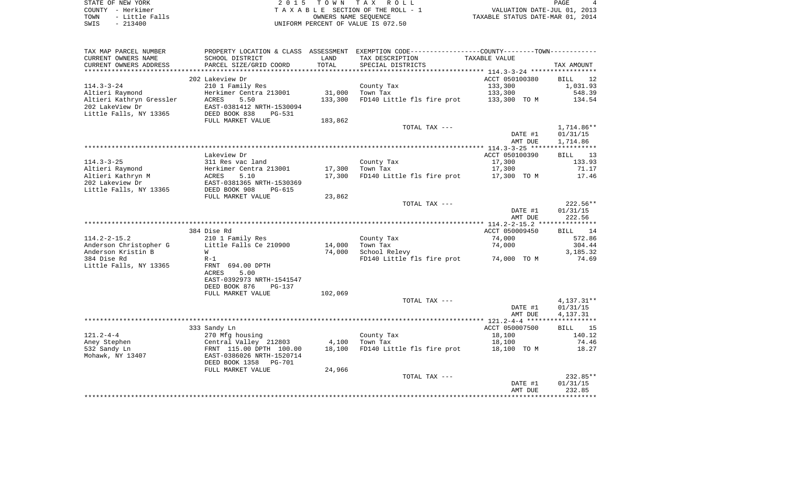STATE OF NEW YORK 2 0 1 5 T O W N T A X R O L L PAGE 4 COUNTY - Herkimer T A X A B L E SECTION OF THE ROLL - 1 VALUATION DATE-JUL 01, 2013 TOWN - Little Falls OWNERS NAME SEQUENCE TAXABLE STATUS DATE-MAR 01, 2014 SWIS - 213400 UNIFORM PERCENT OF VALUE IS 072.50

| TAX MAP PARCEL NUMBER<br>CURRENT OWNERS NAME        | PROPERTY LOCATION & CLASS ASSESSMENT<br>SCHOOL DISTRICT | LAND             | EXEMPTION CODE-----------------COUNTY-------TOWN-----------<br>TAX DESCRIPTION | TAXABLE VALUE  |                       |
|-----------------------------------------------------|---------------------------------------------------------|------------------|--------------------------------------------------------------------------------|----------------|-----------------------|
| CURRENT OWNERS ADDRESS<br>************************* | PARCEL SIZE/GRID COORD                                  | TOTAL            | SPECIAL DISTRICTS                                                              |                | TAX AMOUNT            |
|                                                     | 202 Lakeview Dr                                         |                  |                                                                                | ACCT 050100380 | 12<br><b>BILL</b>     |
| $114.3 - 3 - 24$                                    | 210 1 Family Res                                        |                  | County Tax                                                                     | 133,300        | 1,031.93              |
| Altieri Raymond                                     | Herkimer Centra 213001                                  | 31,000           | Town Tax                                                                       | 133,300        | 548.39                |
| Altieri Kathryn Gressler                            | <b>ACRES</b><br>5.50                                    | 133,300          | FD140 Little fls fire prot                                                     | 133,300 TO M   | 134.54                |
| 202 LakeView Dr                                     | EAST-0381412 NRTH-1530094                               |                  |                                                                                |                |                       |
| Little Falls, NY 13365                              | DEED BOOK 838<br>PG-531                                 |                  |                                                                                |                |                       |
|                                                     | FULL MARKET VALUE                                       | 183,862          |                                                                                |                |                       |
|                                                     |                                                         |                  | TOTAL TAX ---                                                                  |                | 1,714.86**            |
|                                                     |                                                         |                  |                                                                                | DATE #1        | 01/31/15              |
|                                                     |                                                         |                  |                                                                                | AMT DUE        | 1,714.86              |
|                                                     |                                                         |                  |                                                                                |                |                       |
|                                                     | Lakeview Dr                                             |                  |                                                                                | ACCT 050100390 | 13<br><b>BILL</b>     |
| $114.3 - 3 - 25$                                    | 311 Res vac land                                        |                  | County Tax                                                                     | 17,300         | 133.93                |
| Altieri Raymond<br>Altieri Kathryn M                | Herkimer Centra 213001<br>5.10<br><b>ACRES</b>          | 17,300<br>17,300 | Town Tax<br>FD140 Little fls fire prot                                         | 17,300         | 71.17<br>17.46        |
| 202 Lakeview Dr                                     | EAST-0381365 NRTH-1530369                               |                  |                                                                                | 17,300 TO M    |                       |
| Little Falls, NY 13365                              | DEED BOOK 908<br><b>PG-615</b>                          |                  |                                                                                |                |                       |
|                                                     | FULL MARKET VALUE                                       | 23,862           |                                                                                |                |                       |
|                                                     |                                                         |                  | TOTAL TAX ---                                                                  |                | $222.56**$            |
|                                                     |                                                         |                  |                                                                                | DATE #1        | 01/31/15              |
|                                                     |                                                         |                  |                                                                                | AMT DUE        | 222.56                |
|                                                     |                                                         |                  |                                                                                |                |                       |
|                                                     | 384 Dise Rd                                             |                  |                                                                                | ACCT 050009450 | <b>BILL</b><br>14     |
| $114.2 - 2 - 15.2$                                  | 210 1 Family Res                                        |                  | County Tax                                                                     | 74,000         | 572.86                |
| Anderson Christopher G                              | Little Falls Ce 210900                                  | 14,000           | Town Tax                                                                       | 74,000         | 304.44                |
| Anderson Kristin B                                  | W                                                       | 74,000           | School Relevy                                                                  |                | 3,185.32              |
| 384 Dise Rd                                         | $R-1$                                                   |                  | FD140 Little fls fire prot                                                     | 74,000 TO M    | 74.69                 |
| Little Falls, NY 13365                              | FRNT 694.00 DPTH                                        |                  |                                                                                |                |                       |
|                                                     | 5.00<br>ACRES                                           |                  |                                                                                |                |                       |
|                                                     | EAST-0392973 NRTH-1541547                               |                  |                                                                                |                |                       |
|                                                     | DEED BOOK 876<br>$PG-137$                               |                  |                                                                                |                |                       |
|                                                     | FULL MARKET VALUE                                       | 102,069          | TOTAL TAX ---                                                                  |                | $4,137.31**$          |
|                                                     |                                                         |                  |                                                                                | DATE #1        | 01/31/15              |
|                                                     |                                                         |                  |                                                                                | AMT DUE        | 4,137.31              |
|                                                     |                                                         |                  |                                                                                |                | * * * * * * * * * * * |
|                                                     | 333 Sandy Ln                                            |                  |                                                                                | ACCT 050007500 | <b>BILL</b><br>15     |
| $121.2 - 4 - 4$                                     | 270 Mfg housing                                         |                  | County Tax                                                                     | 18,100         | 140.12                |
| Aney Stephen                                        | Central Valley 212803                                   | 4,100            | Town Tax                                                                       | 18,100         | 74.46                 |
| 532 Sandy Ln                                        | FRNT 115.00 DPTH 100.00                                 | 18,100           | FD140 Little fls fire prot                                                     | 18,100 TO M    | 18.27                 |
| Mohawk, NY 13407                                    | EAST-0386026 NRTH-1520714                               |                  |                                                                                |                |                       |
|                                                     | DEED BOOK 1358<br><b>PG-701</b>                         |                  |                                                                                |                |                       |
|                                                     | FULL MARKET VALUE                                       | 24,966           |                                                                                |                |                       |
|                                                     |                                                         |                  | TOTAL TAX ---                                                                  |                | 232.85**              |
|                                                     |                                                         |                  |                                                                                | DATE #1        | 01/31/15              |
|                                                     |                                                         |                  |                                                                                | AMT DUE        | 232.85                |
|                                                     |                                                         |                  |                                                                                |                |                       |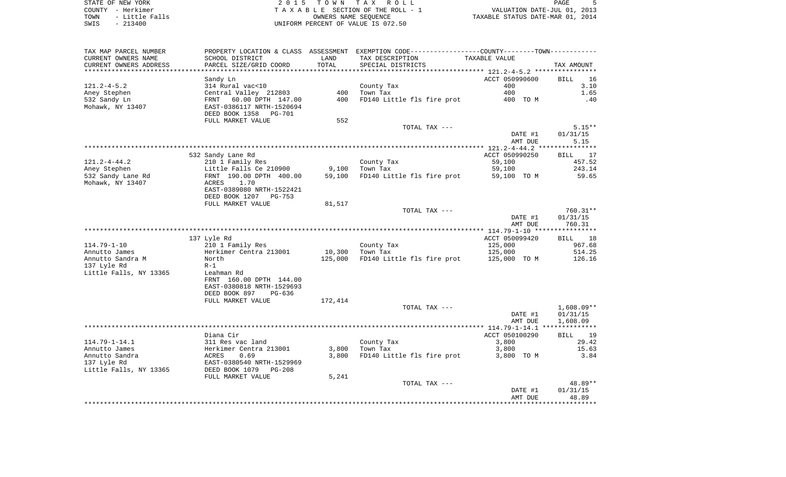STATE OF NEW YORK STATE OF NEW YORK STATE OF NEW YORK STATE OF NEW YORK STATE OF NEW YORK STATE STATE OF DAGE S COUNTY - Herkimer<br>
T A X A B L E SECTION OF THE ROLL - 1<br>
TOWN - Little Falls<br>
SWIS - 213400 - 2013400 - UNIFORM PERCENT OF VALUE IS 072.50 OWNERS NAME SEQUENCE TAXABLE STATUS DATE-MAR 01, 2014 UNIFORM PERCENT OF VALUE IS 072.50

VALUATION DATE-JUL 01, 2013

| TAX MAP PARCEL NUMBER<br>CURRENT OWNERS NAME<br>CURRENT OWNERS ADDRESS | PROPERTY LOCATION & CLASS ASSESSMENT<br>SCHOOL DISTRICT<br>PARCEL SIZE/GRID COORD             | LAND<br>TOTAL     | TAX DESCRIPTION<br>SPECIAL DISTRICTS                 | EXEMPTION CODE-----------------COUNTY-------TOWN-----------<br>TAXABLE VALUE | TAX AMOUNT                               |
|------------------------------------------------------------------------|-----------------------------------------------------------------------------------------------|-------------------|------------------------------------------------------|------------------------------------------------------------------------------|------------------------------------------|
| *******************                                                    |                                                                                               | * * * * * * * * * |                                                      |                                                                              |                                          |
| $121.2 - 4 - 5.2$<br>Aney Stephen<br>532 Sandy Ln                      | Sandy Ln<br>314 Rural vac<10<br>Central Valley 212803<br>60.00 DPTH 147.00<br>FRNT            | 400<br>400        | County Tax<br>Town Tax<br>FD140 Little fls fire prot | ACCT 050990600<br>400<br>400<br>400 TO M                                     | 16<br><b>BILL</b><br>3.10<br>1.65<br>.40 |
| Mohawk, NY 13407                                                       | EAST-0386117 NRTH-1520694<br>DEED BOOK 1358 PG-701<br>FULL MARKET VALUE                       | 552               |                                                      |                                                                              |                                          |
|                                                                        |                                                                                               |                   | TOTAL TAX ---                                        | DATE #1<br>AMT DUE                                                           | $5.15**$<br>01/31/15<br>5.15             |
|                                                                        |                                                                                               |                   |                                                      |                                                                              |                                          |
| $121.2 - 4 - 44.2$                                                     | 532 Sandy Lane Rd<br>210 1 Family Res                                                         |                   | County Tax                                           | ACCT 050990250<br>59,100                                                     | 17<br><b>BILL</b><br>457.52              |
| Aney Stephen<br>532 Sandy Lane Rd                                      | Little Falls Ce 210900<br>FRNT 190.00 DPTH 400.00                                             | 9,100<br>59,100   | Town Tax<br>FD140 Little fls fire prot               | 59,100<br>59,100 TO M                                                        | 243.14<br>59.65                          |
| Mohawk, NY 13407                                                       | ACRES<br>1.70<br>EAST-0389080 NRTH-1522421<br>DEED BOOK 1207 PG-753                           |                   |                                                      |                                                                              |                                          |
|                                                                        | FULL MARKET VALUE                                                                             | 81,517            |                                                      |                                                                              |                                          |
|                                                                        |                                                                                               |                   | TOTAL TAX ---                                        | DATE #1<br>AMT DUE                                                           | 760.31**<br>01/31/15<br>760.31           |
|                                                                        |                                                                                               |                   |                                                      |                                                                              |                                          |
|                                                                        | 137 Lyle Rd                                                                                   |                   |                                                      | ACCT 050099420                                                               | 18<br><b>BILL</b>                        |
| $114.79 - 1 - 10$                                                      | 210 1 Family Res                                                                              |                   | County Tax                                           | 125,000                                                                      | 967.68                                   |
| Annutto James                                                          | Herkimer Centra 213001                                                                        |                   | 10,300 Town Tax                                      | 125,000                                                                      | 514.25                                   |
| Annutto Sandra M                                                       | North                                                                                         | 125,000           |                                                      | FD140 Little fls fire prot 125,000 TO M                                      | 126.16                                   |
| 137 Lyle Rd                                                            | $R-1$                                                                                         |                   |                                                      |                                                                              |                                          |
| Little Falls, NY 13365                                                 | Leahman Rd<br>FRNT 160.00 DPTH 144.00<br>EAST-0380818 NRTH-1529693<br>DEED BOOK 897<br>PG-636 |                   |                                                      |                                                                              |                                          |
|                                                                        | FULL MARKET VALUE                                                                             | 172,414           |                                                      |                                                                              |                                          |
|                                                                        |                                                                                               |                   | TOTAL TAX ---                                        | DATE #1<br>AMT DUE                                                           | $1,608.09**$<br>01/31/15<br>1,608.09     |
|                                                                        |                                                                                               |                   |                                                      |                                                                              |                                          |
|                                                                        | Diana Cir                                                                                     |                   |                                                      | ACCT 050100290                                                               | BILL 19                                  |
| $114.79 - 1 - 14.1$                                                    | 311 Res vac land                                                                              |                   | County Tax                                           | 3,800                                                                        | 29.42                                    |
| Annutto James                                                          | Herkimer Centra 213001                                                                        | 3,800             | Town Tax                                             | 3,800                                                                        | 15.63                                    |
| Annutto Sandra<br>137 Lyle Rd<br>Little Falls, NY 13365                | ACRES<br>0.69<br>EAST-0380540 NRTH-1529969<br>DEED BOOK 1079<br>$PG-208$                      | 3,800             | FD140 Little fls fire prot                           | 3,800 TO M                                                                   | 3.84                                     |
|                                                                        | FULL MARKET VALUE                                                                             | 5,241             |                                                      |                                                                              |                                          |
|                                                                        |                                                                                               |                   | TOTAL TAX ---                                        | DATE #1<br>AMT DUE                                                           | 48.89**<br>01/31/15<br>48.89             |
|                                                                        |                                                                                               |                   |                                                      |                                                                              | ***********                              |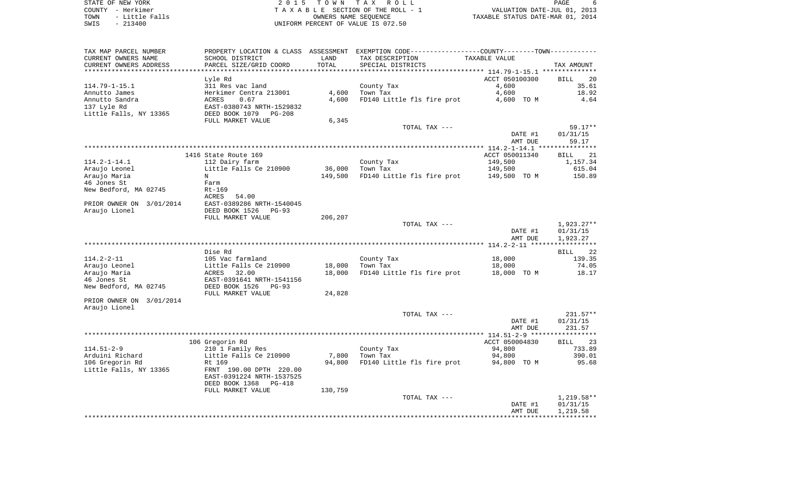STATE OF NEW YORK 2 0 1 5 T O W N T A X R O L L PAGE 6COUNTY - Herkimer<br>
T A X A B L E SECTION OF THE ROLL - 1<br>
TOWN - Little Falls<br>
SWIS - 213400 - 2013400 - UNIFORM PERCENT OF VALUE IS 072.50 TOWN - Little Falls OWNERS NAME SEQUENCE TAXABLE STATUS DATE-MAR 01, 2014 SWIS - 213400 UNIFORM PERCENT OF VALUE IS 072.50

| TAX MAP PARCEL NUMBER    | PROPERTY LOCATION & CLASS | ASSESSMENT |                            |                |                       |
|--------------------------|---------------------------|------------|----------------------------|----------------|-----------------------|
| CURRENT OWNERS NAME      | SCHOOL DISTRICT           | LAND       | TAX DESCRIPTION            | TAXABLE VALUE  |                       |
| CURRENT OWNERS ADDRESS   | PARCEL SIZE/GRID COORD    | TOTAL      | SPECIAL DISTRICTS          |                | TAX AMOUNT            |
|                          |                           |            |                            |                |                       |
|                          | Lyle Rd                   |            |                            | ACCT 050100300 | BILL<br>20            |
| $114.79 - 1 - 15.1$      | 311 Res vac land          |            | County Tax                 | 4,600          | 35.61                 |
| Annutto James            | Herkimer Centra 213001    | 4,600      | Town Tax                   | 4,600          | 18.92                 |
| Annutto Sandra           | 0.67<br>ACRES             | 4,600      | FD140 Little fls fire prot | 4,600 TO M     | 4.64                  |
| 137 Lyle Rd              | EAST-0380743 NRTH-1529832 |            |                            |                |                       |
| Little Falls, NY 13365   | DEED BOOK 1079<br>PG-208  |            |                            |                |                       |
|                          | FULL MARKET VALUE         | 6,345      |                            |                |                       |
|                          |                           |            | TOTAL TAX ---              |                | $59.17**$             |
|                          |                           |            |                            | DATE #1        | 01/31/15              |
|                          |                           |            |                            | AMT DUE        | 59.17                 |
|                          |                           |            |                            |                | * * * * * * * * * * * |
|                          | 1416 State Route 169      |            |                            | ACCT 050011340 | 21<br><b>BILL</b>     |
| $114.2 - 1 - 14.1$       | 112 Dairy farm            |            | County Tax                 | 149,500        | 1,157.34              |
| Araujo Leonel            | Little Falls Ce 210900    | 36,000     | Town Tax                   | 149,500        | 615.04                |
| Araujo Maria             | N                         | 149,500    | FD140 Little fls fire prot | 149,500 TO M   | 150.89                |
| 46 Jones St              | Farm                      |            |                            |                |                       |
| New Bedford, MA 02745    | Rt-169                    |            |                            |                |                       |
|                          |                           |            |                            |                |                       |
|                          | <b>ACRES</b><br>54.00     |            |                            |                |                       |
| PRIOR OWNER ON 3/01/2014 | EAST-0389286 NRTH-1540045 |            |                            |                |                       |
| Araujo Lionel            | DEED BOOK 1526<br>$PG-93$ |            |                            |                |                       |
|                          | FULL MARKET VALUE         | 206,207    |                            |                |                       |
|                          |                           |            | TOTAL TAX ---              |                | $1,923.27**$          |
|                          |                           |            |                            | DATE #1        | 01/31/15              |
|                          |                           |            |                            | AMT DUE        | 1,923.27              |
|                          |                           |            |                            |                |                       |
|                          | Dise Rd                   |            |                            |                | 22<br><b>BILL</b>     |
| $114.2 - 2 - 11$         | 105 Vac farmland          |            | County Tax                 | 18,000         | 139.35                |
| Araujo Leonel            | Little Falls Ce 210900    | 18,000     | Town Tax                   | 18,000         | 74.05                 |
| Araujo Maria             | ACRES<br>32.00            | 18,000     | FD140 Little fls fire prot | 18,000 TO M    | 18.17                 |
| 46 Jones St              | EAST-0391641 NRTH-1541156 |            |                            |                |                       |
| New Bedford, MA 02745    | DEED BOOK 1526<br>$PG-93$ |            |                            |                |                       |
|                          | FULL MARKET VALUE         | 24,828     |                            |                |                       |
| PRIOR OWNER ON 3/01/2014 |                           |            |                            |                |                       |
| Araujo Lionel            |                           |            |                            |                |                       |
|                          |                           |            | TOTAL TAX ---              |                | $231.57**$            |
|                          |                           |            |                            | DATE #1        | 01/31/15              |
|                          |                           |            |                            | AMT DUE        | 231.57                |
|                          |                           |            |                            |                |                       |
|                          | 106 Gregorin Rd           |            |                            | ACCT 050004830 | <b>BILL</b><br>23     |
| $114.51 - 2 - 9$         | 210 1 Family Res          |            | County Tax                 | 94,800         | 733.89                |
| Arduini Richard          | Little Falls Ce 210900    | 7,800      | Town Tax                   | 94,800         | 390.01                |
| 106 Gregorin Rd          | Rt 169                    | 94,800     | FD140 Little fls fire prot | 94,800 TO M    | 95.68                 |
| Little Falls, NY 13365   | FRNT 190.00 DPTH 220.00   |            |                            |                |                       |
|                          | EAST-0391224 NRTH-1537525 |            |                            |                |                       |
|                          | DEED BOOK 1368<br>PG-418  |            |                            |                |                       |
|                          | FULL MARKET VALUE         | 130,759    |                            |                |                       |
|                          |                           |            | TOTAL TAX ---              |                | $1,219.58**$          |
|                          |                           |            |                            | DATE #1        | 01/31/15              |
|                          |                           |            |                            | AMT DUE        | 1,219.58              |
|                          |                           |            |                            |                |                       |
|                          |                           |            |                            |                |                       |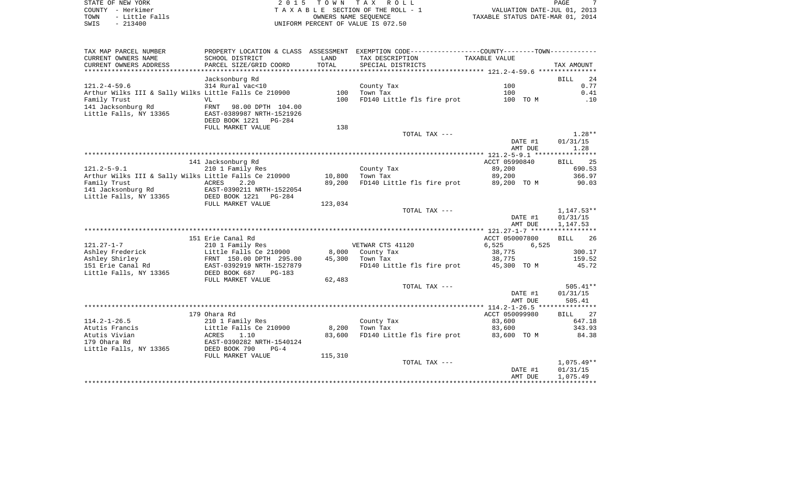| STATE OF NEW YORK      | TOWN TAX ROLL<br>2015              | PAGE                             |
|------------------------|------------------------------------|----------------------------------|
| COUNTY - Herkimer      | TAXABLE SECTION OF THE ROLL - 1    | VALUATION DATE-JUL 01, 2013      |
| TOWN<br>- Little Falls | OWNERS NAME SEOUENCE               | TAXABLE STATUS DATE-MAR 01, 2014 |
| $-213400$<br>SWIS      | UNIFORM PERCENT OF VALUE IS 072.50 |                                  |

| TAX MAP PARCEL NUMBER                                 | PROPERTY LOCATION & CLASS ASSESSMENT |                 | EXEMPTION CODE-----------------COUNTY-------TOWN-----------        |                    |                      |
|-------------------------------------------------------|--------------------------------------|-----------------|--------------------------------------------------------------------|--------------------|----------------------|
| CURRENT OWNERS NAME                                   | SCHOOL DISTRICT                      | LAND            | TAX DESCRIPTION                                                    | TAXABLE VALUE      |                      |
| CURRENT OWNERS ADDRESS                                | PARCEL SIZE/GRID COORD               | TOTAL           | SPECIAL DISTRICTS                                                  |                    | TAX AMOUNT           |
|                                                       | **********************               | *************** | *************************************121.2-4-59.6 **************** |                    |                      |
|                                                       | Jacksonburg Rd                       |                 |                                                                    |                    | <b>BILL</b><br>24    |
| $121.2 - 4 - 59.6$                                    | 314 Rural vac<10                     |                 | County Tax                                                         | 100                | 0.77                 |
| Arthur Wilks III & Sally Wilks Little Falls Ce 210900 |                                      | 100             | Town Tax                                                           | 100                | 0.41                 |
| Family Trust                                          | VL                                   | 100             | FD140 Little fls fire prot                                         | 100 TO M           | .10                  |
| 141 Jacksonburg Rd                                    | FRNT<br>98.00 DPTH 104.00            |                 |                                                                    |                    |                      |
| Little Falls, NY 13365                                | EAST-0389987 NRTH-1521926            |                 |                                                                    |                    |                      |
|                                                       | DEED BOOK 1221<br>PG-284             |                 |                                                                    |                    |                      |
|                                                       | FULL MARKET VALUE                    | 138             |                                                                    |                    |                      |
|                                                       |                                      |                 | TOTAL TAX ---                                                      |                    | $1.28**$             |
|                                                       |                                      |                 |                                                                    | DATE #1            | 01/31/15             |
|                                                       |                                      |                 |                                                                    | AMT DUE            | 1.28                 |
|                                                       |                                      |                 |                                                                    |                    |                      |
|                                                       | 141 Jacksonburg Rd                   |                 |                                                                    | ACCT 05990840      | 25<br>BILL           |
| $121.2 - 5 - 9.1$                                     | 210 1 Family Res                     |                 | County Tax                                                         | 89,200             | 690.53               |
| Arthur Wilks III & Sally Wilks Little Falls Ce 210900 |                                      | 10,800          | Town Tax                                                           | 89,200             | 366.97               |
| Family Trust                                          | ACRES<br>2.20                        | 89,200          | FD140 Little fls fire prot                                         | 89,200 TO M        | 90.03                |
| 141 Jacksonburg Rd                                    | EAST-0390211 NRTH-1522054            |                 |                                                                    |                    |                      |
| Little Falls, NY 13365                                | DEED BOOK 1221<br>PG-284             |                 |                                                                    |                    |                      |
|                                                       | FULL MARKET VALUE                    | 123,034         |                                                                    |                    |                      |
|                                                       |                                      |                 | TOTAL TAX ---                                                      |                    | $1,147.53**$         |
|                                                       |                                      |                 |                                                                    | DATE #1            | 01/31/15             |
|                                                       |                                      |                 |                                                                    | AMT DUE            | 1,147.53             |
|                                                       |                                      |                 |                                                                    |                    |                      |
|                                                       | 151 Erie Canal Rd                    |                 |                                                                    | ACCT 050007800     | BILL<br>26           |
| $121.27 - 1 - 7$                                      | 210 1 Family Res                     |                 | VETWAR CTS 41120                                                   | 6,525<br>6,525     |                      |
| Ashley Frederick                                      | Little Falls Ce 210900               | 8,000           | County Tax                                                         | 38,775             | 300.17               |
| Ashley Shirley                                        | FRNT 150.00 DPTH 295.00              | 45,300          | Town Tax                                                           | 38,775             | 159.52               |
| 151 Erie Canal Rd                                     | EAST-0392919 NRTH-1527879            |                 | FD140 Little fls fire prot                                         | 45,300 TO M        | 45.72                |
| Little Falls, NY 13365                                | DEED BOOK 687<br>$PG-183$            |                 |                                                                    |                    |                      |
|                                                       | FULL MARKET VALUE                    | 62,483          |                                                                    |                    |                      |
|                                                       |                                      |                 | TOTAL TAX ---                                                      |                    | $505.41**$           |
|                                                       |                                      |                 |                                                                    | DATE #1            | 01/31/15             |
|                                                       |                                      |                 |                                                                    | AMT DUE            | 505.41               |
|                                                       |                                      |                 |                                                                    |                    |                      |
|                                                       | 179 Ohara Rd                         |                 |                                                                    | ACCT 050099980     | <b>BILL</b><br>27    |
| $114.2 - 1 - 26.5$                                    | 210 1 Family Res                     |                 | County Tax                                                         | 83,600             | 647.18               |
| Atutis Francis                                        | Little Falls Ce 210900               | 8,200           | Town Tax                                                           | 83,600             | 343.93               |
| Atutis Vivian                                         | ACRES<br>1.10                        | 83,600          | FD140 Little fls fire prot                                         | 83,600 TO M        | 84.38                |
| 179 Ohara Rd                                          | EAST-0390282 NRTH-1540124            |                 |                                                                    |                    |                      |
| Little Falls, NY 13365                                | DEED BOOK 790<br>$PG-4$              |                 |                                                                    |                    |                      |
|                                                       | FULL MARKET VALUE                    | 115,310         |                                                                    |                    | $1,075.49**$         |
|                                                       |                                      |                 | TOTAL TAX ---                                                      |                    |                      |
|                                                       |                                      |                 |                                                                    | DATE #1<br>AMT DUE | 01/31/15<br>1,075.49 |
|                                                       |                                      |                 |                                                                    |                    |                      |
|                                                       |                                      |                 |                                                                    |                    |                      |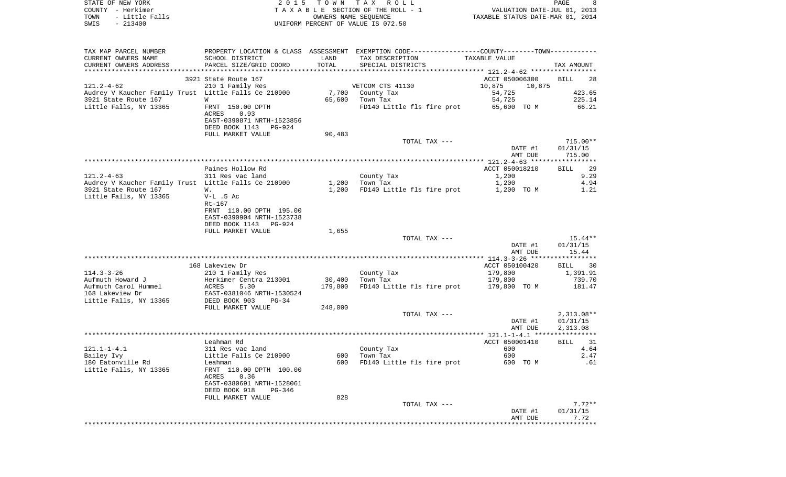| STATE OF NEW YORK<br>COUNTY - Herkimer               | 2 0 1 5                                  |                      | TOWN TAX ROLL<br>TAXABLE SECTION OF THE ROLL - 1                                              | VALUATION DATE-JUL 01, 2013        | PAGE<br>8    |
|------------------------------------------------------|------------------------------------------|----------------------|-----------------------------------------------------------------------------------------------|------------------------------------|--------------|
| TOWN<br>- Little Falls                               |                                          | OWNERS NAME SEQUENCE |                                                                                               | TAXABLE STATUS DATE-MAR 01, 2014   |              |
| SWIS<br>$-213400$                                    |                                          |                      | UNIFORM PERCENT OF VALUE IS 072.50                                                            |                                    |              |
|                                                      |                                          |                      |                                                                                               |                                    |              |
| TAX MAP PARCEL NUMBER                                |                                          |                      | PROPERTY LOCATION & CLASS ASSESSMENT EXEMPTION CODE---------------COUNTY-------TOWN---------- |                                    |              |
| CURRENT OWNERS NAME                                  | SCHOOL DISTRICT                          | LAND                 | TAX DESCRIPTION                                                                               | TAXABLE VALUE                      |              |
| CURRENT OWNERS ADDRESS<br>***********************    | PARCEL SIZE/GRID COORD                   | TOTAL                | SPECIAL DISTRICTS                                                                             |                                    | TAX AMOUNT   |
|                                                      |                                          |                      |                                                                                               |                                    |              |
| $121.2 - 4 - 62$                                     | 3921 State Route 167<br>210 1 Family Res |                      | VETCOM CTS 41130                                                                              | ACCT 050006300<br>10,875<br>10,875 | BILL<br>28   |
| Audrey V Kaucher Family Trust Little Falls Ce 210900 |                                          |                      | 7,700 County Tax                                                                              | 54,725                             | 423.65       |
| 3921 State Route 167                                 | W                                        | 65,600               | Town Tax                                                                                      | 54,725                             | 225.14       |
| Little Falls, NY 13365                               | FRNT 150.00 DPTH                         |                      | FD140 Little fls fire prot                                                                    | 65,600 TO M                        | 66.21        |
|                                                      | ACRES<br>0.93                            |                      |                                                                                               |                                    |              |
|                                                      | EAST-0390871 NRTH-1523856                |                      |                                                                                               |                                    |              |
|                                                      | DEED BOOK 1143<br>PG-924                 |                      |                                                                                               |                                    |              |
|                                                      | FULL MARKET VALUE                        | 90,483               |                                                                                               |                                    |              |
|                                                      |                                          |                      | TOTAL TAX ---                                                                                 |                                    | $715.00**$   |
|                                                      |                                          |                      |                                                                                               | DATE #1                            | 01/31/15     |
|                                                      |                                          |                      |                                                                                               | AMT DUE                            | 715.00       |
|                                                      |                                          |                      |                                                                                               |                                    |              |
|                                                      | Paines Hollow Rd                         |                      |                                                                                               | ACCT 050018210                     | BILL<br>29   |
| $121.2 - 4 - 63$                                     | 311 Res vac land                         |                      | County Tax                                                                                    | 1,200                              | 9.29         |
| Audrey V Kaucher Family Trust Little Falls Ce 210900 |                                          | 1,200                | Town Tax                                                                                      | 1,200                              | 4.94         |
| 3921 State Route 167                                 | W.<br>$V-L$ .5 Ac                        | 1,200                | FD140 Little fls fire prot                                                                    | 1,200 TO M                         | 1.21         |
| Little Falls, NY 13365                               | $Rt-167$                                 |                      |                                                                                               |                                    |              |
|                                                      | FRNT 110.00 DPTH 195.00                  |                      |                                                                                               |                                    |              |
|                                                      | EAST-0390904 NRTH-1523738                |                      |                                                                                               |                                    |              |
|                                                      | DEED BOOK 1143<br>PG-924                 |                      |                                                                                               |                                    |              |
|                                                      | FULL MARKET VALUE                        | 1,655                |                                                                                               |                                    |              |
|                                                      |                                          |                      | TOTAL TAX ---                                                                                 |                                    | 15.44**      |
|                                                      |                                          |                      |                                                                                               | DATE #1                            | 01/31/15     |
|                                                      |                                          |                      |                                                                                               | AMT DUE                            | 15.44        |
|                                                      |                                          |                      |                                                                                               |                                    |              |
|                                                      | 168 Lakeview Dr                          |                      |                                                                                               | ACCT 050100420                     | BILL<br>30   |
| $114.3 - 3 - 26$                                     | 210 1 Family Res                         |                      | County Tax                                                                                    | 179,800                            | 1,391.91     |
| Aufmuth Howard J                                     | Herkimer Centra 213001                   | 30,400               | Town Tax                                                                                      | 179,800                            | 739.70       |
| Aufmuth Carol Hummel                                 | ACRES<br>5.30                            | 179,800              | FD140 Little fls fire prot                                                                    | 179,800 TO M                       | 181.47       |
| 168 Lakeview Dr                                      | EAST-0381046 NRTH-1530524                |                      |                                                                                               |                                    |              |
| Little Falls, NY 13365                               | DEED BOOK 903<br>PG-34                   | 248,000              |                                                                                               |                                    |              |
|                                                      | FULL MARKET VALUE                        |                      | TOTAL TAX ---                                                                                 |                                    | $2,313.08**$ |
|                                                      |                                          |                      |                                                                                               | DATE #1                            | 01/31/15     |
|                                                      |                                          |                      |                                                                                               | AMT DUE                            | 2,313.08     |
|                                                      |                                          |                      |                                                                                               |                                    |              |
|                                                      | Leahman Rd                               |                      |                                                                                               | ACCT 050001410                     | 31<br>BILL   |
| 121.1-1-4.1                                          | 311 Res vac land                         |                      | County Tax                                                                                    | 600 000                            | 4.64         |
| Bailey Ivy                                           | Little Falls Ce 210900                   | 600                  | Town Tax                                                                                      | 600                                | 2.47         |
| 180 Eatonville Rd                                    | Leahman                                  | 600                  | FD140 Little fls fire prot                                                                    | 600 TO M                           | .61          |
| Little Falls, NY 13365                               | FRNT 110.00 DPTH 100.00                  |                      |                                                                                               |                                    |              |
|                                                      | 0.36<br>ACRES                            |                      |                                                                                               |                                    |              |
|                                                      | EAST-0380691 NRTH-1528061                |                      |                                                                                               |                                    |              |
|                                                      | DEED BOOK 918<br>PG-346                  | 828                  |                                                                                               |                                    |              |
|                                                      | FULL MARKET VALUE                        |                      | TOTAL TAX ---                                                                                 |                                    | $7.72**$     |
|                                                      |                                          |                      |                                                                                               | DATE #1                            | 01/31/15     |
|                                                      |                                          |                      |                                                                                               | AMT DUE                            | 7.72         |
|                                                      |                                          |                      |                                                                                               |                                    |              |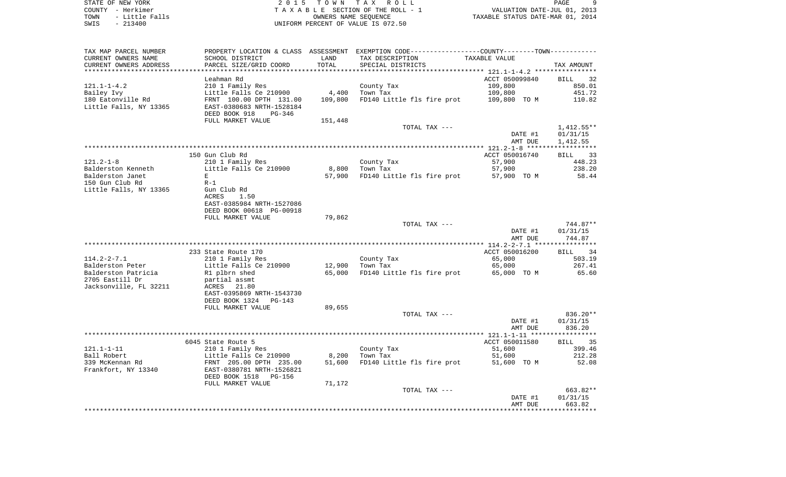STATE OF NEW YORK STATE OF NEW YORK STATE OF NEW YORK STATE OF NEW YORK STATE OF NEW YORK STATE OF NEW YORK STATE OF NEW YORK STATE OF NEW YORK STATE OF NEW YORK STATE OF NEW YORK STATE OF NEW YORK STATE OF NEW YORK STATES COUNTY - Herkimer<br>
T A X A B L E SECTION OF THE ROLL - 1<br>
TOWN - Little Falls<br>
SWIS - 213400 - 2013400 - UNIFORM PERCENT OF VALUE IS 072.50 TOWN - Little Falls OWNERS NAME SEQUENCE TAXABLE STATUS DATE-MAR 01, 2014 SWIS - 213400 UNIFORM PERCENT OF VALUE IS 072.50

| TAX MAP PARCEL NUMBER  | PROPERTY LOCATION & CLASS ASSESSMENT       |                   | EXEMPTION CODE-----------------COUNTY--------TOWN----------- |                                      |                   |
|------------------------|--------------------------------------------|-------------------|--------------------------------------------------------------|--------------------------------------|-------------------|
| CURRENT OWNERS NAME    | SCHOOL DISTRICT                            | LAND              | TAX DESCRIPTION                                              | TAXABLE VALUE                        |                   |
| CURRENT OWNERS ADDRESS | PARCEL SIZE/GRID COORD                     | TOTAL             | SPECIAL DISTRICTS                                            |                                      | TAX AMOUNT        |
|                        |                                            | ***************** |                                                              | ************ 121.1-1-4.2 *********** |                   |
|                        | Leahman Rd                                 |                   |                                                              | ACCT 050099840                       | <b>BILL</b><br>32 |
| $121.1 - 1 - 4.2$      | 210 1 Family Res                           |                   | County Tax                                                   | 109,800                              | 850.01            |
| Bailey Ivy             | Little Falls Ce 210900                     | 4,400             | Town Tax                                                     | 109,800                              | 451.72            |
| 180 Eatonville Rd      | FRNT 100.00 DPTH 131.00                    | 109,800           | FD140 Little fls fire prot                                   | 109,800 TO M                         | 110.82            |
| Little Falls, NY 13365 | EAST-0380683 NRTH-1528184                  |                   |                                                              |                                      |                   |
|                        | DEED BOOK 918<br>PG-346                    |                   |                                                              |                                      |                   |
|                        | FULL MARKET VALUE                          | 151,448           |                                                              |                                      |                   |
|                        |                                            |                   | TOTAL TAX ---                                                |                                      | $1,412.55**$      |
|                        |                                            |                   |                                                              | DATE #1                              | 01/31/15          |
|                        |                                            |                   |                                                              | AMT DUE                              | 1,412.55          |
|                        |                                            |                   |                                                              |                                      |                   |
|                        | 150 Gun Club Rd                            |                   |                                                              | ACCT 050016740                       | BILL 33           |
| $121.2 - 1 - 8$        |                                            |                   |                                                              | 57,900                               | 448.23            |
|                        | 210 1 Family Res<br>Little Falls Ce 210900 |                   | County Tax                                                   | 57,900                               | 238.20            |
| Balderston Kenneth     |                                            | 8,800             | Town Tax                                                     |                                      |                   |
| Balderston Janet       | E                                          | 57,900            | FD140 Little fls fire prot 57,900 TO M                       |                                      | 58.44             |
| 150 Gun Club Rd        | $R-1$                                      |                   |                                                              |                                      |                   |
| Little Falls, NY 13365 | Gun Club Rd                                |                   |                                                              |                                      |                   |
|                        | ACRES<br>1.50                              |                   |                                                              |                                      |                   |
|                        | EAST-0385984 NRTH-1527086                  |                   |                                                              |                                      |                   |
|                        | DEED BOOK 00618 PG-00918                   |                   |                                                              |                                      |                   |
|                        | FULL MARKET VALUE                          | 79,862            |                                                              |                                      |                   |
|                        |                                            |                   | TOTAL TAX ---                                                |                                      | 744.87**          |
|                        |                                            |                   |                                                              | DATE #1                              | 01/31/15          |
|                        |                                            |                   |                                                              | AMT DUE                              | 744.87            |
|                        |                                            |                   |                                                              |                                      |                   |
|                        | 233 State Route 170                        |                   |                                                              | ACCT 050016200                       | 34<br>BILL        |
| $114.2 - 2 - 7.1$      | 210 1 Family Res                           |                   | County Tax                                                   | 65,000                               | 503.19            |
| Balderston Peter       | Little Falls Ce 210900                     | 12,900            | Town Tax                                                     | 65,000                               | 267.41            |
| Balderston Patricia    | R1 plbrn shed                              | 65,000            | FD140 Little fls fire prot                                   | 65,000 TO M                          | 65.60             |
| 2705 Eastill Dr        | partial assmt                              |                   |                                                              |                                      |                   |
| Jacksonville, FL 32211 | ACRES<br>21.80                             |                   |                                                              |                                      |                   |
|                        | EAST-0395869 NRTH-1543730                  |                   |                                                              |                                      |                   |
|                        | DEED BOOK 1324<br>$PG-143$                 |                   |                                                              |                                      |                   |
|                        | FULL MARKET VALUE                          | 89,655            |                                                              |                                      |                   |
|                        |                                            |                   | TOTAL TAX ---                                                |                                      | 836.20**          |
|                        |                                            |                   |                                                              | DATE #1                              | 01/31/15          |
|                        |                                            |                   |                                                              | AMT DUE                              | 836.20            |
|                        |                                            |                   |                                                              |                                      |                   |
|                        | 6045 State Route 5                         |                   |                                                              | ACCT 050011580                       | BILL 35           |
| $121.1 - 1 - 11$       | 210 1 Family Res                           |                   | County Tax                                                   | 51,600                               | 399.46            |
| Ball Robert            | Little Falls Ce 210900                     | 8,200             | Town Tax                                                     | 51,600                               | 212.28            |
| 339 McKennan Rd        | FRNT 205.00 DPTH 235.00                    | 51,600            | FD140 Little fls fire prot 51,600 TO M                       |                                      | 52.08             |
| Frankfort, NY 13340    | EAST-0380781 NRTH-1526821                  |                   |                                                              |                                      |                   |
|                        | DEED BOOK 1518<br>PG-156                   |                   |                                                              |                                      |                   |
|                        | FULL MARKET VALUE                          | 71,172            |                                                              |                                      |                   |
|                        |                                            |                   | TOTAL TAX ---                                                |                                      | 663.82**          |
|                        |                                            |                   |                                                              | DATE #1                              | 01/31/15          |
|                        |                                            |                   |                                                              | AMT DUE                              | 663.82            |
|                        |                                            |                   |                                                              |                                      |                   |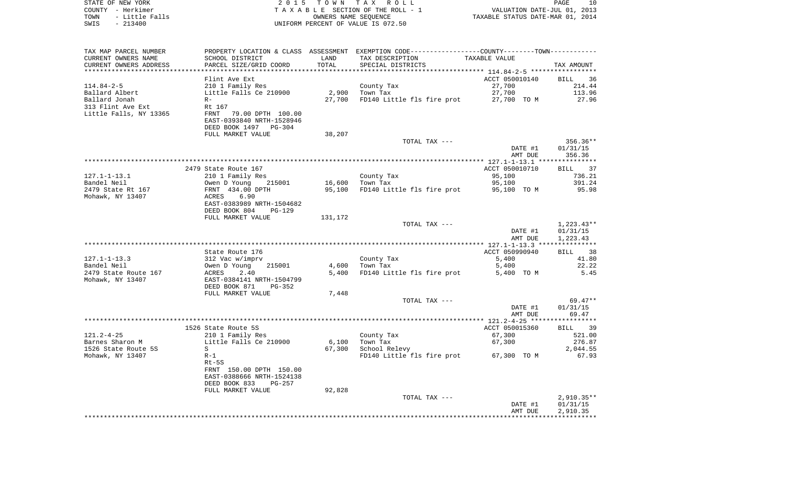| STATE OF NEW YORK<br>COUNTY - Herkimer            |                                                        |                      | 2015 TOWN TAX ROLL<br>TAXABLE SECTION OF THE ROLL - 1                                         | VALUATION DATE-JUL 01, 2013      | PAGE<br>10   |
|---------------------------------------------------|--------------------------------------------------------|----------------------|-----------------------------------------------------------------------------------------------|----------------------------------|--------------|
| TOWN<br>- Little Falls                            |                                                        | OWNERS NAME SEQUENCE |                                                                                               | TAXABLE STATUS DATE-MAR 01, 2014 |              |
| $-213400$<br>SWIS                                 |                                                        |                      | UNIFORM PERCENT OF VALUE IS 072.50                                                            |                                  |              |
|                                                   |                                                        |                      |                                                                                               |                                  |              |
| TAX MAP PARCEL NUMBER                             |                                                        |                      | PROPERTY LOCATION & CLASS ASSESSMENT EXEMPTION CODE---------------COUNTY-------TOWN---------- |                                  |              |
| CURRENT OWNERS NAME                               | SCHOOL DISTRICT                                        | LAND                 | TAX DESCRIPTION                                                                               | TAXABLE VALUE                    |              |
| CURRENT OWNERS ADDRESS<br>*********************** | PARCEL SIZE/GRID COORD<br>*************************    | TOTAL                | SPECIAL DISTRICTS                                                                             |                                  | TAX AMOUNT   |
|                                                   | Flint Ave Ext                                          |                      |                                                                                               | ACCT 050010140                   | BILL<br>- 36 |
| 114.84-2-5                                        | 210 1 Family Res                                       |                      | County Tax                                                                                    | 27,700                           | 214.44       |
| Ballard Albert                                    | Little Falls Ce 210900                                 | 2,900                | Town Tax                                                                                      | 27,700                           | 113.96       |
| Ballard Jonah                                     | $R -$                                                  | 27,700               | FD140 Little fls fire prot                                                                    | 27,700 TO M                      | 27.96        |
| 313 Flint Ave Ext                                 | Rt 167                                                 |                      |                                                                                               |                                  |              |
| Little Falls, NY 13365                            | 79.00 DPTH 100.00<br>FRNT<br>EAST-0393840 NRTH-1528946 |                      |                                                                                               |                                  |              |
|                                                   | DEED BOOK 1497 PG-304                                  |                      |                                                                                               |                                  |              |
|                                                   | FULL MARKET VALUE                                      | 38,207               |                                                                                               |                                  |              |
|                                                   |                                                        |                      | TOTAL TAX ---                                                                                 |                                  | $356.36**$   |
|                                                   |                                                        |                      |                                                                                               | DATE #1                          | 01/31/15     |
|                                                   |                                                        |                      |                                                                                               | AMT DUE                          | 356.36       |
|                                                   | 2479 State Route 167                                   |                      |                                                                                               | ACCT 050010710                   | 37<br>BILL   |
| $127.1 - 1 - 13.1$                                | 210 1 Family Res                                       |                      | County Tax                                                                                    | 95,100                           | 736.21       |
| Bandel Neil                                       | Owen D Young<br>215001                                 | 16,600               | Town Tax                                                                                      | 95,100                           | 391.24       |
| 2479 State Rt 167                                 | FRNT 434.00 DPTH                                       | 95,100               | FD140 Little fls fire prot                                                                    | 95,100 TO M                      | 95.98        |
| Mohawk, NY 13407                                  | ACRES<br>6.90                                          |                      |                                                                                               |                                  |              |
|                                                   | EAST-0383989 NRTH-1504682                              |                      |                                                                                               |                                  |              |
|                                                   | DEED BOOK 804<br>PG-129                                |                      |                                                                                               |                                  |              |
|                                                   | FULL MARKET VALUE                                      | 131,172              |                                                                                               |                                  | $1,223.43**$ |
|                                                   |                                                        |                      | TOTAL TAX ---                                                                                 | DATE #1                          | 01/31/15     |
|                                                   |                                                        |                      |                                                                                               | AMT DUE                          | 1,223.43     |
|                                                   |                                                        |                      |                                                                                               |                                  |              |
|                                                   | State Route 176                                        |                      |                                                                                               | ACCT 050990940                   | BILL 38      |
| $127.1 - 1 - 13.3$                                | 312 Vac w/imprv                                        |                      | County Tax                                                                                    | 5,400                            | 41.80        |
| Bandel Neil                                       | 215001<br>Owen D Young                                 | 4,600                | Town Tax                                                                                      | 5,400                            | 22.22        |
| 2479 State Route 167                              | ACRES<br>2.40                                          | 5,400                | FD140 Little fls fire prot                                                                    | 5,400 TO M                       | 5.45         |
| Mohawk, NY 13407                                  | EAST-0384141 NRTH-1504799                              |                      |                                                                                               |                                  |              |
|                                                   | DEED BOOK 871<br>PG-352                                |                      |                                                                                               |                                  |              |
|                                                   | FULL MARKET VALUE                                      | 7,448                | TOTAL TAX ---                                                                                 |                                  | $69.47**$    |
|                                                   |                                                        |                      |                                                                                               | DATE #1                          | 01/31/15     |
|                                                   |                                                        |                      |                                                                                               | AMT DUE                          | 69.47        |
|                                                   |                                                        |                      |                                                                                               |                                  |              |
|                                                   | 1526 State Route 5S                                    |                      |                                                                                               | ACCT 050015360                   | BILL<br>39   |
| $121.2 - 4 - 25$                                  | 210 1 Family Res                                       |                      | County Tax                                                                                    | 67,300                           | 521.00       |
| Barnes Sharon M                                   | Little Falls Ce 210900                                 | 6,100                | Town Tax                                                                                      | 67,300                           | 276.87       |
| 1526 State Route 5S                               | $S \sim$                                               |                      | 67,300 School Relevy                                                                          |                                  | 2,044.55     |
| Mohawk, NY 13407                                  | $R-1$<br>$Rt-5S$                                       |                      | FD140 Little fls fire prot                                                                    | 67,300 TO M                      | 67.93        |
|                                                   | FRNT 150.00 DPTH 150.00                                |                      |                                                                                               |                                  |              |
|                                                   | EAST-0388666 NRTH-1524138                              |                      |                                                                                               |                                  |              |
|                                                   | DEED BOOK 833<br>PG-257                                |                      |                                                                                               |                                  |              |
|                                                   | FULL MARKET VALUE                                      | 92,828               |                                                                                               |                                  |              |
|                                                   |                                                        |                      | TOTAL TAX ---                                                                                 |                                  | $2,910.35**$ |
|                                                   |                                                        |                      |                                                                                               | DATE #1                          | 01/31/15     |
|                                                   |                                                        |                      |                                                                                               | AMT DUE                          | 2,910.35     |
|                                                   |                                                        |                      |                                                                                               |                                  |              |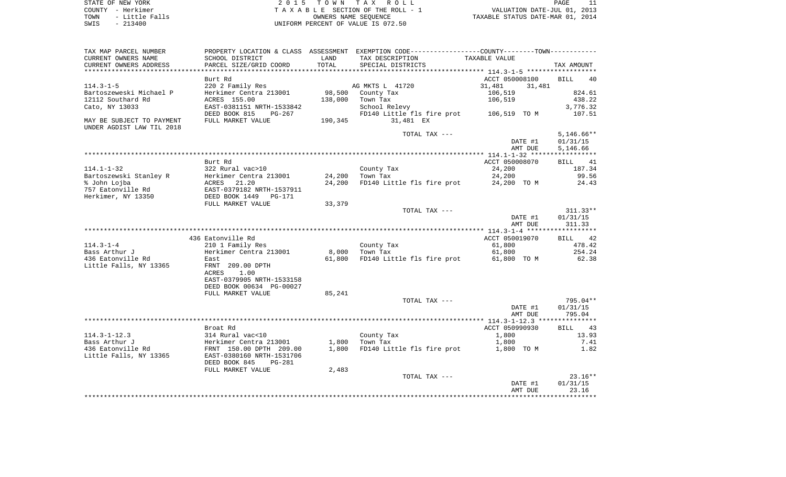STATE OF NEW YORK **EXECUTE:** TOWN TAX ROLL COUNTY - Herkimer<br>
T A X A B L E SECTION OF THE ROLL - 1<br>
TOWN - Little Falls<br>
SWIS - 213400 - 2013400 - UNIFORM PERCENT OF VALUE IS 072.50 TOWN - Little Falls OWNERS NAME SEQUENCE TAXABLE STATUS DATE-MAR 01, 2014 SWIS - 213400 UNIFORM PERCENT OF VALUE IS 072.50

| TAX MAP PARCEL NUMBER         |                                |         | PROPERTY LOCATION & CLASS ASSESSMENT EXEMPTION CODE---------------COUNTY-------TOWN---------- |                                                |                   |
|-------------------------------|--------------------------------|---------|-----------------------------------------------------------------------------------------------|------------------------------------------------|-------------------|
| CURRENT OWNERS NAME           | SCHOOL DISTRICT                | LAND    | TAX DESCRIPTION                                                                               | TAXABLE VALUE                                  |                   |
| CURRENT OWNERS ADDRESS        | PARCEL SIZE/GRID COORD         | TOTAL   | SPECIAL DISTRICTS                                                                             |                                                | TAX AMOUNT        |
| * * * * * * * * * * * * * * * |                                |         |                                                                                               | **************** 114.3-1-5 ******************* |                   |
|                               | Burt Rd                        |         |                                                                                               | ACCT 050008100                                 | <b>BILL</b><br>40 |
| $114.3 - 1 - 5$               | 220 2 Family Res               |         | AG MKTS L 41720                                                                               | 31,481<br>31,481                               |                   |
| Bartoszeweski Michael P       | Herkimer Centra 213001         |         | 98,500 County Tax                                                                             | 106,519                                        | 824.61            |
| 12112 Southard Rd             | ACRES 155.00                   | 138,000 | Town Tax                                                                                      | 106,519                                        | 438.22            |
| Cato, NY 13033                | EAST-0381151 NRTH-1533842      |         | School Relevy                                                                                 |                                                | 3,776.32          |
|                               | DEED BOOK 815<br>PG-267        |         | FD140 Little fls fire prot 106,519 TO M                                                       |                                                | 107.51            |
| MAY BE SUBJECT TO PAYMENT     | FULL MARKET VALUE              | 190,345 | 31,481 EX                                                                                     |                                                |                   |
| UNDER AGDIST LAW TIL 2018     |                                |         |                                                                                               |                                                |                   |
|                               |                                |         | TOTAL TAX ---                                                                                 |                                                | $5,146.66**$      |
|                               |                                |         |                                                                                               |                                                |                   |
|                               |                                |         |                                                                                               | DATE #1                                        | 01/31/15          |
|                               |                                |         |                                                                                               | AMT DUE                                        | 5,146.66          |
|                               |                                |         |                                                                                               |                                                |                   |
|                               | Burt Rd                        |         |                                                                                               | ACCT 050008070                                 | BILL 41           |
| $114.1 - 1 - 32$              | 322 Rural vac>10               |         | County Tax                                                                                    | 24,200                                         | 187.34            |
| Bartoszewski Stanley R        | Herkimer Centra 213001         | 24,200  | Town Tax                                                                                      | 24,200                                         | 99.56             |
| % John Lojba                  | ACRES<br>21.20                 | 24,200  | FD140 Little fls fire prot 24,200 TO M                                                        |                                                | 24.43             |
| 757 Eatonville Rd             | EAST-0379182 NRTH-1537911      |         |                                                                                               |                                                |                   |
| Herkimer, NY 13350            | DEED BOOK 1449<br>PG-171       |         |                                                                                               |                                                |                   |
|                               | FULL MARKET VALUE              | 33,379  |                                                                                               |                                                |                   |
|                               |                                |         | TOTAL TAX ---                                                                                 |                                                | $311.33**$        |
|                               |                                |         |                                                                                               | DATE #1                                        | 01/31/15          |
|                               |                                |         |                                                                                               | AMT DUE                                        | 311.33            |
|                               |                                |         |                                                                                               |                                                |                   |
|                               | 436 Eatonville Rd              |         |                                                                                               | ACCT 050019070                                 | BILL 42           |
| $114.3 - 1 - 4$               | 210 1 Family Res               |         | County Tax                                                                                    | 61,800                                         | 478.42            |
| Bass Arthur J                 | Herkimer Centra 213001         |         | 8,000 Town Tax                                                                                | 61,800                                         | 254.24            |
| 436 Eatonville Rd             | East                           | 61,800  | FD140 Little fls fire prot 61,800 TO M                                                        |                                                | 62.38             |
| Little Falls, NY 13365        | FRNT 209.00 DPTH               |         |                                                                                               |                                                |                   |
|                               | <b>ACRES</b><br>1.00           |         |                                                                                               |                                                |                   |
|                               | EAST-0379905 NRTH-1533158      |         |                                                                                               |                                                |                   |
|                               | DEED BOOK 00634 PG-00027       |         |                                                                                               |                                                |                   |
|                               | FULL MARKET VALUE              | 85,241  |                                                                                               |                                                |                   |
|                               |                                |         | TOTAL TAX ---                                                                                 |                                                | 795.04**          |
|                               |                                |         |                                                                                               | DATE #1                                        | 01/31/15          |
|                               |                                |         |                                                                                               | AMT DUE                                        | 795.04            |
|                               |                                |         |                                                                                               |                                                |                   |
|                               | Broat Rd                       |         |                                                                                               | ACCT 050990930                                 | BILL 43           |
| $114.3 - 1 - 12.3$            | 314 Rural vac<10               |         | County Tax                                                                                    | 1,800                                          | 13.93             |
| Bass Arthur J                 | Herkimer Centra 213001         | 1,800   | Town Tax                                                                                      | 1,800                                          | 7.41              |
|                               |                                |         |                                                                                               |                                                |                   |
| 436 Eatonville Rd             | FRNT 150.00 DPTH 209.00        | 1,800   | FD140 Little fls fire prot 1,800 TO M                                                         |                                                | 1.82              |
| Little Falls, NY 13365        | EAST-0380160 NRTH-1531706      |         |                                                                                               |                                                |                   |
|                               | DEED BOOK 845<br><b>PG-281</b> |         |                                                                                               |                                                |                   |
|                               | FULL MARKET VALUE              | 2,483   |                                                                                               |                                                |                   |
|                               |                                |         | TOTAL TAX ---                                                                                 |                                                | $23.16**$         |
|                               |                                |         |                                                                                               | DATE #1                                        | 01/31/15          |
|                               |                                |         |                                                                                               | AMT DUE                                        | 23.16             |
|                               |                                |         |                                                                                               |                                                |                   |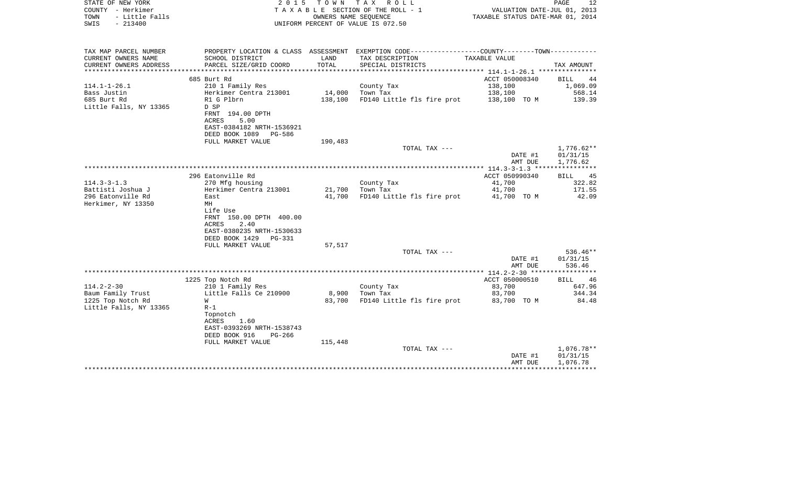| STATE OF NEW YORK<br>COUNTY - Herkimer<br>- Little Falls<br>TOWN<br>$-213400$<br>SWIS | 2 0 1 5                                                |         | TOWN TAX ROLL<br>TAXABLE SECTION OF THE ROLL - 1<br>OWNERS NAME SEOUENCE<br>UNIFORM PERCENT OF VALUE IS 072.50 | VALUATION DATE-JUL 01, 2013<br>TAXABLE STATUS DATE-MAR 01, 2014 | PAGE<br>12           |
|---------------------------------------------------------------------------------------|--------------------------------------------------------|---------|----------------------------------------------------------------------------------------------------------------|-----------------------------------------------------------------|----------------------|
| TAX MAP PARCEL NUMBER                                                                 | PROPERTY LOCATION & CLASS ASSESSMENT                   |         | EXEMPTION CODE-----------------COUNTY-------TOWN-----------                                                    |                                                                 |                      |
| CURRENT OWNERS NAME                                                                   | SCHOOL DISTRICT                                        | LAND    | TAX DESCRIPTION                                                                                                | TAXABLE VALUE                                                   |                      |
| CURRENT OWNERS ADDRESS                                                                | PARCEL SIZE/GRID COORD                                 | TOTAL   | SPECIAL DISTRICTS                                                                                              |                                                                 | TAX AMOUNT           |
| *********************                                                                 |                                                        |         |                                                                                                                | *************************** 114.1-1-26.1 ***************        |                      |
|                                                                                       | 685 Burt Rd                                            |         |                                                                                                                | ACCT 050008340                                                  | BILL<br>44           |
| $114.1 - 1 - 26.1$                                                                    | 210 1 Family Res                                       |         | County Tax                                                                                                     | 138,100                                                         | 1,069.09             |
| Bass Justin<br>685 Burt Rd                                                            | Herkimer Centra 213001<br>R1 G Plbrn                   | 14,000  | Town Tax                                                                                                       | 138,100                                                         | 568.14               |
| Little Falls, NY 13365                                                                | D SP                                                   | 138,100 | FD140 Little fls fire prot                                                                                     | 138,100 TO M                                                    | 139.39               |
|                                                                                       | FRNT 194.00 DPTH                                       |         |                                                                                                                |                                                                 |                      |
|                                                                                       | <b>ACRES</b><br>5.00                                   |         |                                                                                                                |                                                                 |                      |
|                                                                                       | EAST-0384182 NRTH-1536921                              |         |                                                                                                                |                                                                 |                      |
|                                                                                       | DEED BOOK 1089 PG-586                                  |         |                                                                                                                |                                                                 |                      |
|                                                                                       | FULL MARKET VALUE                                      | 190,483 |                                                                                                                |                                                                 |                      |
|                                                                                       |                                                        |         | TOTAL TAX ---                                                                                                  |                                                                 | $1,776.62**$         |
|                                                                                       |                                                        |         |                                                                                                                | DATE #1<br>AMT DUE                                              | 01/31/15<br>1,776.62 |
|                                                                                       |                                                        |         |                                                                                                                |                                                                 |                      |
|                                                                                       | 296 Eatonville Rd                                      |         |                                                                                                                | ACCT 050990340                                                  | BILL<br>45           |
| $114.3 - 3 - 1.3$                                                                     | 270 Mfg housing                                        |         | County Tax                                                                                                     | 41,700                                                          | 322.82               |
| Battisti Joshua J                                                                     | Herkimer Centra 213001                                 | 21,700  | Town Tax                                                                                                       | 41,700                                                          | 171.55               |
| 296 Eatonville Rd                                                                     | East                                                   | 41,700  | FD140 Little fls fire prot                                                                                     | 41,700 TO M                                                     | 42.09                |
| Herkimer, NY 13350                                                                    | MH                                                     |         |                                                                                                                |                                                                 |                      |
|                                                                                       | Life Use<br>FRNT 150.00 DPTH 400.00                    |         |                                                                                                                |                                                                 |                      |
|                                                                                       | 2.40<br>ACRES                                          |         |                                                                                                                |                                                                 |                      |
|                                                                                       | EAST-0380235 NRTH-1530633                              |         |                                                                                                                |                                                                 |                      |
|                                                                                       | DEED BOOK 1429<br>PG-331                               |         |                                                                                                                |                                                                 |                      |
|                                                                                       | FULL MARKET VALUE                                      | 57,517  |                                                                                                                |                                                                 |                      |
|                                                                                       |                                                        |         | TOTAL TAX ---                                                                                                  |                                                                 | $536.46**$           |
|                                                                                       |                                                        |         |                                                                                                                | DATE #1                                                         | 01/31/15             |
|                                                                                       |                                                        |         |                                                                                                                | AMT DUE                                                         | 536.46               |
|                                                                                       | 1225 Top Notch Rd                                      |         |                                                                                                                | ACCT 050000510                                                  | BILL<br>46           |
| $114.2 - 2 - 30$                                                                      | 210 1 Family Res                                       |         | County Tax                                                                                                     | 83,700                                                          | 647.96               |
| Baum Family Trust                                                                     | Little Falls Ce 210900                                 | 8,900   | Town Tax                                                                                                       | 83,700                                                          | 344.34               |
| 1225 Top Notch Rd                                                                     | W                                                      | 83,700  | FD140 Little fls fire prot                                                                                     | 83,700 TO M                                                     | 84.48                |
| Little Falls, NY 13365                                                                | $R-1$                                                  |         |                                                                                                                |                                                                 |                      |
|                                                                                       | Topnotch                                               |         |                                                                                                                |                                                                 |                      |
|                                                                                       | ACRES<br>1.60                                          |         |                                                                                                                |                                                                 |                      |
|                                                                                       | EAST-0393269 NRTH-1538743<br>DEED BOOK 916<br>$PG-266$ |         |                                                                                                                |                                                                 |                      |
|                                                                                       | FULL MARKET VALUE                                      | 115,448 |                                                                                                                |                                                                 |                      |
|                                                                                       |                                                        |         | TOTAL TAX ---                                                                                                  |                                                                 | 1,076.78**           |
|                                                                                       |                                                        |         |                                                                                                                | DATE #1                                                         | 01/31/15             |
|                                                                                       |                                                        |         |                                                                                                                | AMT DUE                                                         | 1,076.78             |
|                                                                                       |                                                        |         |                                                                                                                |                                                                 | *************        |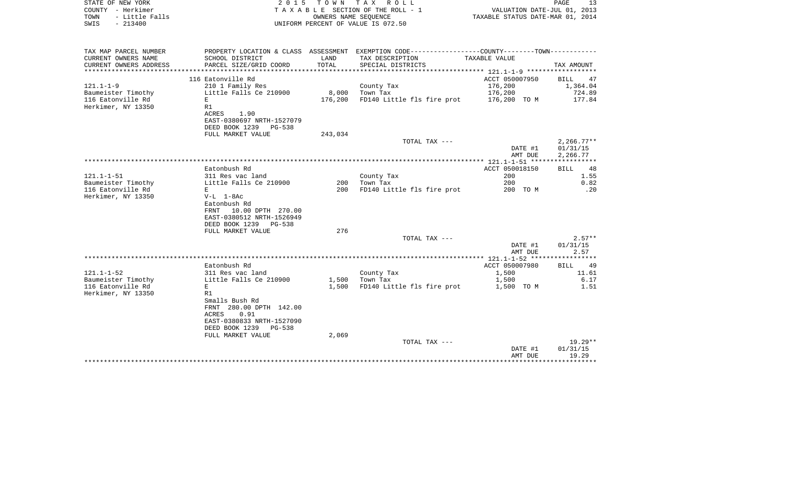| STATE OF NEW YORK<br>COUNTY - Herkimer<br>TOWN<br>- Little Falls<br>SWIS<br>$-213400$ |                                                    |         | 2015 TOWN TAX ROLL<br>TAXABLE SECTION OF THE ROLL - 1<br>OWNERS NAME SEQUENCE<br>UNIFORM PERCENT OF VALUE IS 072.50 | VALUATION DATE-JUL 01, 2013<br>TAXABLE STATUS DATE-MAR 01, 2014 | PAGE<br>13       |
|---------------------------------------------------------------------------------------|----------------------------------------------------|---------|---------------------------------------------------------------------------------------------------------------------|-----------------------------------------------------------------|------------------|
|                                                                                       |                                                    |         |                                                                                                                     |                                                                 |                  |
| TAX MAP PARCEL NUMBER                                                                 |                                                    |         | PROPERTY LOCATION & CLASS ASSESSMENT EXEMPTION CODE----------------COUNTY-------TOWN----------                      |                                                                 |                  |
| CURRENT OWNERS NAME                                                                   | SCHOOL DISTRICT                                    | LAND    | TAX DESCRIPTION                                                                                                     | TAXABLE VALUE                                                   |                  |
| CURRENT OWNERS ADDRESS<br>**********************                                      | PARCEL SIZE/GRID COORD                             | TOTAL   | SPECIAL DISTRICTS                                                                                                   |                                                                 | TAX AMOUNT       |
|                                                                                       | 116 Eatonville Rd                                  |         |                                                                                                                     | ACCT 050007950                                                  | BILL<br>47       |
| 121.1-1-9                                                                             | 210 1 Family Res                                   |         | County Tax                                                                                                          | 176,200                                                         | 1,364.04         |
| Baumeister Timothy                                                                    | Little Falls Ce 210900                             | 8,000   | Town Tax                                                                                                            | 176,200                                                         | 724.89           |
| 116 Eatonville Rd                                                                     | E                                                  | 176,200 | FD140 Little fls fire prot                                                                                          | 176,200 TO M                                                    | 177.84           |
| Herkimer, NY 13350                                                                    | R1                                                 |         |                                                                                                                     |                                                                 |                  |
|                                                                                       | ACRES<br>1.90<br>EAST-0380697 NRTH-1527079         |         |                                                                                                                     |                                                                 |                  |
|                                                                                       | DEED BOOK 1239 PG-538                              |         |                                                                                                                     |                                                                 |                  |
|                                                                                       | FULL MARKET VALUE                                  | 243,034 |                                                                                                                     |                                                                 |                  |
|                                                                                       |                                                    |         | TOTAL TAX ---                                                                                                       |                                                                 | $2,266.77**$     |
|                                                                                       |                                                    |         |                                                                                                                     | DATE #1                                                         | 01/31/15         |
|                                                                                       |                                                    |         |                                                                                                                     | AMT DUE                                                         | 2,266.77         |
|                                                                                       | Eatonbush Rd                                       |         |                                                                                                                     |                                                                 | 48               |
| 121.1-1-51                                                                            | 311 Res vac land                                   |         | County Tax                                                                                                          | ACCT 050018150<br>200                                           | BILL<br>1.55     |
| Baumeister Timothy                                                                    | Little Falls Ce 210900                             | 200     | Town Tax                                                                                                            | 200                                                             | 0.82             |
| 116 Eatonville Rd                                                                     | E                                                  | 200     | FD140 Little fls fire prot                                                                                          | 200 TO M                                                        | $\ldots$ 20      |
| Herkimer, NY 13350                                                                    | V-L 1-8Ac                                          |         |                                                                                                                     |                                                                 |                  |
|                                                                                       | Eatonbush Rd                                       |         |                                                                                                                     |                                                                 |                  |
|                                                                                       | FRNT 10.00 DPTH 270.00                             |         |                                                                                                                     |                                                                 |                  |
|                                                                                       | EAST-0380512 NRTH-1526949<br>DEED BOOK 1239 PG-538 |         |                                                                                                                     |                                                                 |                  |
|                                                                                       | FULL MARKET VALUE                                  | 276     |                                                                                                                     |                                                                 |                  |
|                                                                                       |                                                    |         | TOTAL TAX ---                                                                                                       |                                                                 | $2.57**$         |
|                                                                                       |                                                    |         |                                                                                                                     | DATE #1                                                         | 01/31/15         |
|                                                                                       |                                                    |         |                                                                                                                     | AMT DUE                                                         | 2.57             |
|                                                                                       |                                                    |         |                                                                                                                     |                                                                 |                  |
| 121.1-1-52                                                                            | Eatonbush Rd<br>311 Res vac land                   |         | County Tax                                                                                                          | ACCT 050007980<br>1,500                                         | BILL 49<br>11.61 |
| Baumeister Timothy                                                                    | Little Falls Ce 210900                             | 1,500   | Town Tax                                                                                                            | 1,500                                                           | 6.17             |
| 116 Eatonville Rd                                                                     | E                                                  | 1,500   | FD140 Little fls fire prot                                                                                          | 1,500 TO M                                                      | 1.51             |
| Herkimer, NY 13350                                                                    | R1                                                 |         |                                                                                                                     |                                                                 |                  |
|                                                                                       | Smalls Bush Rd                                     |         |                                                                                                                     |                                                                 |                  |
|                                                                                       | FRNT 280.00 DPTH 142.00                            |         |                                                                                                                     |                                                                 |                  |
|                                                                                       | ACRES<br>0.91<br>EAST-0380833 NRTH-1527090         |         |                                                                                                                     |                                                                 |                  |
|                                                                                       | DEED BOOK 1239 PG-538                              |         |                                                                                                                     |                                                                 |                  |
|                                                                                       | FULL MARKET VALUE                                  | 2,069   |                                                                                                                     |                                                                 |                  |
|                                                                                       |                                                    |         | TOTAL TAX ---                                                                                                       |                                                                 | $19.29**$        |
|                                                                                       |                                                    |         |                                                                                                                     | DATE #1                                                         | 01/31/15         |
|                                                                                       |                                                    |         |                                                                                                                     | AMT DUE                                                         | 19.29            |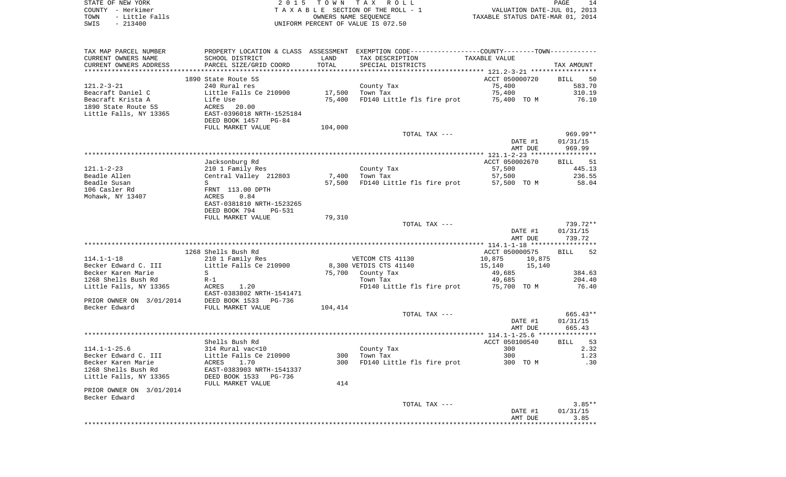|      | STATE OF NEW YORK | 2015 TOWN TAX ROLL                 | PAGE                             |
|------|-------------------|------------------------------------|----------------------------------|
|      | COUNTY - Herkimer | TAXABLE SECTION OF THE ROLL - 1    | VALUATION DATE-JUL 01, 2013      |
| TOWN | - Little Falls    | OWNERS NAME SEOUENCE               | TAXABLE STATUS DATE-MAR 01, 2014 |
| SWIS | $-213400$         | UNIFORM PERCENT OF VALUE IS 072.50 |                                  |

| TAX MAP PARCEL NUMBER    |                                |         | PROPERTY LOCATION & CLASS ASSESSMENT EXEMPTION CODE---------------COUNTY-------TOWN---------- |                                                     |                       |
|--------------------------|--------------------------------|---------|-----------------------------------------------------------------------------------------------|-----------------------------------------------------|-----------------------|
| CURRENT OWNERS NAME      | SCHOOL DISTRICT                | LAND    | TAX DESCRIPTION                                                                               | TAXABLE VALUE                                       |                       |
| CURRENT OWNERS ADDRESS   | PARCEL SIZE/GRID COORD         | TOTAL   | SPECIAL DISTRICTS                                                                             |                                                     | TAX AMOUNT            |
|                          |                                |         |                                                                                               | ******************** 121.2-3-21 ******************* |                       |
|                          | 1890 State Route 5S            |         |                                                                                               | ACCT 050000720                                      | 50<br>BILL            |
| $121.2 - 3 - 21$         | 240 Rural res                  |         | County Tax                                                                                    | 75,400                                              | 583.70                |
| Beacraft Daniel C        | Little Falls Ce 210900         | 17,500  | Town Tax                                                                                      | 75,400                                              | 310.19                |
| Beacraft Krista A        | Life Use                       | 75,400  | FD140 Little fls fire prot                                                                    | 75,400 TO M                                         | 76.10                 |
| 1890 State Route 5S      | ACRES<br>20.00                 |         |                                                                                               |                                                     |                       |
| Little Falls, NY 13365   | EAST-0396018 NRTH-1525184      |         |                                                                                               |                                                     |                       |
|                          | DEED BOOK 1457 PG-84           |         |                                                                                               |                                                     |                       |
|                          | FULL MARKET VALUE              | 104,000 |                                                                                               |                                                     |                       |
|                          |                                |         | TOTAL TAX ---                                                                                 |                                                     | 969.99**              |
|                          |                                |         |                                                                                               | DATE #1                                             | 01/31/15              |
|                          |                                |         |                                                                                               | AMT DUE                                             | 969.99                |
|                          |                                |         |                                                                                               |                                                     |                       |
|                          | Jacksonburg Rd                 |         |                                                                                               | ACCT 050002670                                      | <b>BILL</b><br>51     |
| 121.1-2-23               | 210 1 Family Res               |         | County Tax                                                                                    | 57,500                                              | 445.13                |
| Beadle Allen             | Central Valley 212803          | 7,400   | Town Tax                                                                                      | 57,500                                              | 236.55                |
| Beadle Susan             | S                              | 57,500  | FD140 Little fls fire prot 57,500 TO M                                                        |                                                     | 58.04                 |
| 106 Casler Rd            | FRNT 113.00 DPTH               |         |                                                                                               |                                                     |                       |
| Mohawk, NY 13407         | ACRES<br>0.84                  |         |                                                                                               |                                                     |                       |
|                          | EAST-0381810 NRTH-1523265      |         |                                                                                               |                                                     |                       |
|                          | DEED BOOK 794<br><b>PG-531</b> |         |                                                                                               |                                                     |                       |
|                          | FULL MARKET VALUE              | 79,310  |                                                                                               |                                                     | 739.72**              |
|                          |                                |         | TOTAL TAX ---                                                                                 | DATE #1                                             | 01/31/15              |
|                          |                                |         |                                                                                               | AMT DUE                                             | 739.72                |
|                          |                                |         |                                                                                               |                                                     |                       |
|                          | 1268 Shells Bush Rd            |         |                                                                                               | ACCT 050000575                                      | 52<br><b>BILL</b>     |
| $114.1 - 1 - 18$         | 210 1 Family Res               |         | VETCOM CTS 41130                                                                              | 10,875<br>10,875                                    |                       |
| Becker Edward C. III     | Little Falls Ce 210900         |         | 8,300 VETDIS CTS 41140                                                                        | 15,140<br>15,140                                    |                       |
| Becker Karen Marie       | S                              |         | 75,700 County Tax                                                                             | 49,685                                              | 384.63                |
| 1268 Shells Bush Rd      | $R-1$                          |         | Town Tax                                                                                      | 49,685                                              | 204.40                |
| Little Falls, NY 13365   | ACRES<br>1.20                  |         | FD140 Little fls fire prot                                                                    | 75,700 TO M                                         | 76.40                 |
|                          | EAST-0383802 NRTH-1541471      |         |                                                                                               |                                                     |                       |
| PRIOR OWNER ON 3/01/2014 | DEED BOOK 1533<br>PG-736       |         |                                                                                               |                                                     |                       |
| Becker Edward            | FULL MARKET VALUE              | 104,414 |                                                                                               |                                                     |                       |
|                          |                                |         | TOTAL TAX ---                                                                                 |                                                     | 665.43**              |
|                          |                                |         |                                                                                               | DATE #1                                             | 01/31/15              |
|                          |                                |         |                                                                                               | AMT DUE                                             | 665.43                |
|                          |                                |         |                                                                                               |                                                     | * * * * * * * * * * * |
|                          | Shells Bush Rd                 |         |                                                                                               | ACCT 050100540                                      | BILL 53               |
| $114.1 - 1 - 25.6$       | 314 Rural vac<10               |         | County Tax                                                                                    | 300                                                 | 2.32                  |
| Becker Edward C. III     | Little Falls Ce 210900         | 300     | Town Tax                                                                                      | 300                                                 | 1.23                  |
| Becker Karen Marie       | ACRES<br>1.70                  | 300     | FD140 Little fls fire prot                                                                    | 300 TO M                                            | .30                   |
| 1268 Shells Bush Rd      | EAST-0383903 NRTH-1541337      |         |                                                                                               |                                                     |                       |
| Little Falls, NY 13365   | DEED BOOK 1533<br>PG-736       |         |                                                                                               |                                                     |                       |
|                          | FULL MARKET VALUE              | 414     |                                                                                               |                                                     |                       |
| PRIOR OWNER ON 3/01/2014 |                                |         |                                                                                               |                                                     |                       |
| Becker Edward            |                                |         |                                                                                               |                                                     |                       |
|                          |                                |         | TOTAL TAX ---                                                                                 |                                                     | $3.85**$              |
|                          |                                |         |                                                                                               | DATE #1                                             | 01/31/15              |
|                          |                                |         |                                                                                               | AMT DUE                                             | 3.85                  |
|                          |                                |         |                                                                                               |                                                     |                       |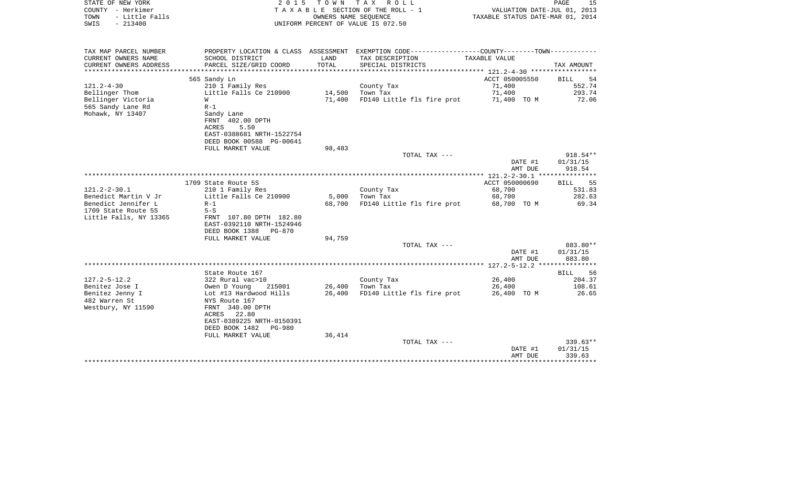| STATE OF NEW YORK<br>COUNTY - Herkimer<br>- Little Falls<br>TOWN<br>$-213400$<br>SWIS | 2 0 1 5                                               | T O W N | TAX ROLL<br>TAXABLE SECTION OF THE ROLL - 1<br>OWNERS NAME SEQUENCE<br>UNIFORM PERCENT OF VALUE IS 072.50 | VALUATION DATE-JUL 01, 2013<br>TAXABLE STATUS DATE-MAR 01, 2014 | PAGE<br>15                  |
|---------------------------------------------------------------------------------------|-------------------------------------------------------|---------|-----------------------------------------------------------------------------------------------------------|-----------------------------------------------------------------|-----------------------------|
| TAX MAP PARCEL NUMBER                                                                 |                                                       |         | PROPERTY LOCATION & CLASS ASSESSMENT EXEMPTION CODE---------------COUNTY-------TOWN----------             |                                                                 |                             |
| CURRENT OWNERS NAME                                                                   | SCHOOL DISTRICT                                       | LAND    | TAX DESCRIPTION                                                                                           | TAXABLE VALUE                                                   |                             |
| CURRENT OWNERS ADDRESS<br>*******************                                         | PARCEL SIZE/GRID COORD<br>***********************     | TOTAL   | SPECIAL DISTRICTS<br>**************************                                                           | ***************** 121.2-4-30 ******************                 | TAX AMOUNT                  |
|                                                                                       | 565 Sandy Ln                                          |         |                                                                                                           | ACCT 050005550                                                  | <b>BILL</b><br>54           |
| $121.2 - 4 - 30$                                                                      | 210 1 Family Res                                      |         | County Tax                                                                                                | 71,400                                                          | 552.74                      |
| Bellinger Thom                                                                        | Little Falls Ce 210900                                | 14,500  | Town Tax                                                                                                  | 71,400                                                          | 293.74                      |
| Bellinger Victoria                                                                    | W                                                     | 71,400  | FD140 Little fls fire prot                                                                                | 71,400 TO M                                                     | 72.06                       |
| 565 Sandy Lane Rd                                                                     | $R-1$                                                 |         |                                                                                                           |                                                                 |                             |
| Mohawk, NY 13407                                                                      | Sandy Lane                                            |         |                                                                                                           |                                                                 |                             |
|                                                                                       | FRNT 402.00 DPTH<br>5.50<br>ACRES                     |         |                                                                                                           |                                                                 |                             |
|                                                                                       | EAST-0388681 NRTH-1522754                             |         |                                                                                                           |                                                                 |                             |
|                                                                                       | DEED BOOK 00588 PG-00641                              |         |                                                                                                           |                                                                 |                             |
|                                                                                       | FULL MARKET VALUE                                     | 98,483  |                                                                                                           |                                                                 |                             |
|                                                                                       |                                                       |         | TOTAL TAX ---                                                                                             |                                                                 | 918.54**                    |
|                                                                                       |                                                       |         |                                                                                                           | DATE #1                                                         | 01/31/15                    |
|                                                                                       |                                                       |         |                                                                                                           | AMT DUE<br>*************** 121.2-2-30.1 ******                  | 918.54<br>* * * * * * * * * |
|                                                                                       | 1709 State Route 5S                                   |         |                                                                                                           | ACCT 050000690                                                  | 55<br>BILL                  |
| $121.2 - 2 - 30.1$                                                                    | 210 1 Family Res                                      |         | County Tax                                                                                                | 68,700                                                          | 531.83                      |
| Benedict Martin V Jr                                                                  | Little Falls Ce 210900                                | 5,000   | Town Tax                                                                                                  | 68,700                                                          | 282.63                      |
| Benedict Jennifer L                                                                   | $R-1$                                                 | 68,700  | FD140 Little fls fire prot                                                                                | 68,700 TO M                                                     | 69.34                       |
| 1709 State Route 5S                                                                   | $5-S$                                                 |         |                                                                                                           |                                                                 |                             |
| Little Falls, NY 13365                                                                | FRNT 107.80 DPTH 182.80<br>EAST-0392110 NRTH-1524946  |         |                                                                                                           |                                                                 |                             |
|                                                                                       | DEED BOOK 1388<br>PG-870                              |         |                                                                                                           |                                                                 |                             |
|                                                                                       | FULL MARKET VALUE                                     | 94,759  |                                                                                                           |                                                                 |                             |
|                                                                                       |                                                       |         | TOTAL TAX ---                                                                                             |                                                                 | 883.80**                    |
|                                                                                       |                                                       |         |                                                                                                           | DATE #1                                                         | 01/31/15                    |
|                                                                                       |                                                       |         |                                                                                                           | AMT DUE                                                         | 883.80                      |
|                                                                                       | State Route 167                                       |         |                                                                                                           |                                                                 | ***********<br>BILL<br>56   |
| $127.2 - 5 - 12.2$                                                                    | 322 Rural vac>10                                      |         | County Tax                                                                                                | 26,400                                                          | 204.37                      |
| Benitez Jose I                                                                        | Owen D Young<br>215001                                | 26,400  | Town Tax                                                                                                  | 26,400                                                          | 108.61                      |
| Benitez Jenny I                                                                       | Lot #13 Hardwood Hills                                | 26,400  | FD140 Little fls fire prot                                                                                | 26,400 TO M                                                     | 26.65                       |
| 482 Warren St                                                                         | NYS Route 167                                         |         |                                                                                                           |                                                                 |                             |
| Westbury, NY 11590                                                                    | FRNT 340.00 DPTH                                      |         |                                                                                                           |                                                                 |                             |
|                                                                                       | 22.80<br>ACRES                                        |         |                                                                                                           |                                                                 |                             |
|                                                                                       | EAST-0389225 NRTH-0150391<br>DEED BOOK 1482<br>PG-980 |         |                                                                                                           |                                                                 |                             |
|                                                                                       | FULL MARKET VALUE                                     | 36,414  |                                                                                                           |                                                                 |                             |
|                                                                                       |                                                       |         | TOTAL TAX ---                                                                                             |                                                                 | $339.63**$                  |
|                                                                                       |                                                       |         |                                                                                                           | DATE #1                                                         | 01/31/15                    |
|                                                                                       |                                                       |         |                                                                                                           | AMT DUE                                                         | 339.63                      |
|                                                                                       |                                                       |         |                                                                                                           |                                                                 | ************                |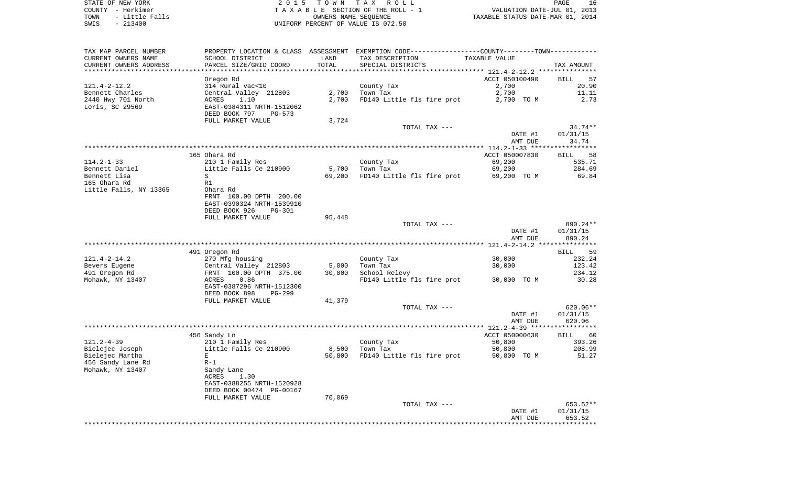STATE OF NEW YORK **EXECUTE:** TO W N TAX ROLL COUNTY - Herkimer<br>
T A X A B L E SECTION OF THE ROLL - 1<br>
TOWN - Little Falls<br>
SWIS - 213400 - 2013400 - UNIFORM PERCENT OF VALUE IS 072.50 TOWN - Little Falls OWNERS NAME SEQUENCE TAXABLE STATUS DATE-MAR 01, 2014 SWIS - 213400 UNIFORM PERCENT OF VALUE IS 072.50

| TAX MAP PARCEL NUMBER  |                           |        | PROPERTY LOCATION & CLASS ASSESSMENT EXEMPTION CODE----------------COUNTY-------TOWN---------- |                |                   |
|------------------------|---------------------------|--------|------------------------------------------------------------------------------------------------|----------------|-------------------|
| CURRENT OWNERS NAME    | SCHOOL DISTRICT           | LAND   | TAX DESCRIPTION                                                                                | TAXABLE VALUE  |                   |
| CURRENT OWNERS ADDRESS | PARCEL SIZE/GRID COORD    | TOTAL  | SPECIAL DISTRICTS                                                                              |                | TAX AMOUNT        |
|                        |                           |        |                                                                                                |                |                   |
|                        | Oregon Rd                 |        |                                                                                                | ACCT 050100490 | 57<br>BILL        |
| $121.4 - 2 - 12.2$     | 314 Rural vac<10          |        | County Tax                                                                                     | 2,700          | 20.90             |
| Bennett Charles        | Central Valley 212803     |        | $2,700$ Town Tax                                                                               | 2,700          | 11.11             |
| 2440 Hwy 701 North     | 1.10<br>ACRES             | 2,700  | FD140 Little fls fire prot                                                                     | 2,700 TO M     | 2.73              |
| Loris, SC 29569        | EAST-0384311 NRTH-1512062 |        |                                                                                                |                |                   |
|                        | DEED BOOK 797<br>PG-573   |        |                                                                                                |                |                   |
|                        |                           |        |                                                                                                |                |                   |
|                        | FULL MARKET VALUE         | 3,724  |                                                                                                |                |                   |
|                        |                           |        | TOTAL TAX ---                                                                                  |                | $34.74**$         |
|                        |                           |        |                                                                                                | DATE #1        | 01/31/15          |
|                        |                           |        |                                                                                                | AMT DUE        | 34.74             |
|                        |                           |        |                                                                                                |                |                   |
|                        | 165 Ohara Rd              |        |                                                                                                | ACCT 050007830 | <b>BILL</b><br>58 |
| $114.2 - 1 - 33$       | 210 1 Family Res          |        | County Tax                                                                                     | 69,200         | 535.71            |
| Bennett Daniel         | Little Falls Ce 210900    |        | 5,700 Town Tax                                                                                 | 69,200         | 284.69            |
| Bennett Lisa           | S                         | 69,200 | FD140 Little fls fire prot                                                                     | 69,200 TO M    | 69.84             |
| 165 Ohara Rd           | R1                        |        |                                                                                                |                |                   |
| Little Falls, NY 13365 | Ohara Rd                  |        |                                                                                                |                |                   |
|                        | FRNT 100.00 DPTH 200.00   |        |                                                                                                |                |                   |
|                        | EAST-0390324 NRTH-1539910 |        |                                                                                                |                |                   |
|                        | DEED BOOK 926<br>PG-301   |        |                                                                                                |                |                   |
|                        | FULL MARKET VALUE         |        |                                                                                                |                |                   |
|                        |                           | 95,448 |                                                                                                |                | 890.24 **         |
|                        |                           |        | TOTAL TAX ---                                                                                  |                |                   |
|                        |                           |        |                                                                                                | DATE #1        | 01/31/15          |
|                        |                           |        |                                                                                                | AMT DUE        | 890.24            |
|                        |                           |        |                                                                                                |                |                   |
|                        | 491 Oregon Rd             |        |                                                                                                |                | <b>BILL</b><br>59 |
| $121.4 - 2 - 14.2$     | 270 Mfg housing           |        | County Tax                                                                                     | 30,000         | 232.24            |
| Bevers Eugene          | Central Valley 212803     | 5,000  | Town Tax                                                                                       | 30,000         | 123.42            |
| 491 Oregon Rd          | FRNT 100.00 DPTH 375.00   | 30,000 | School Relevy                                                                                  |                | 234.12            |
| Mohawk, NY 13407       | 0.86<br>ACRES             |        | FD140 Little fls fire prot 30,000 TO M                                                         |                | 30.28             |
|                        | EAST-0387296 NRTH-1512300 |        |                                                                                                |                |                   |
|                        | DEED BOOK 898<br>PG-299   |        |                                                                                                |                |                   |
|                        | FULL MARKET VALUE         | 41,379 |                                                                                                |                |                   |
|                        |                           |        | TOTAL TAX ---                                                                                  |                | $620.06**$        |
|                        |                           |        |                                                                                                | DATE #1        | 01/31/15          |
|                        |                           |        |                                                                                                | AMT DUE        | 620.06            |
|                        |                           |        |                                                                                                |                |                   |
|                        | 456 Sandy Ln              |        |                                                                                                | ACCT 050000630 | BILL 60           |
| $121.2 - 4 - 39$       | 210 1 Family Res          |        | County Tax                                                                                     | 50,800         | 393.26            |
| Bielejec Joseph        | Little Falls Ce 210900    | 8,500  | Town Tax                                                                                       | 50,800         | 208.99            |
|                        | E                         |        | FD140 Little fls fire prot 50,800 TO M                                                         |                |                   |
| Bielejec Martha        |                           | 50,800 |                                                                                                |                | 51.27             |
| 456 Sandy Lane Rd      | $R-1$                     |        |                                                                                                |                |                   |
| Mohawk, NY 13407       | Sandy Lane                |        |                                                                                                |                |                   |
|                        | ACRES<br>1.30             |        |                                                                                                |                |                   |
|                        | EAST-0388255 NRTH-1520928 |        |                                                                                                |                |                   |
|                        | DEED BOOK 00474 PG-00167  |        |                                                                                                |                |                   |
|                        | FULL MARKET VALUE         | 70,069 |                                                                                                |                |                   |
|                        |                           |        | TOTAL TAX ---                                                                                  |                | 653.52**          |
|                        |                           |        |                                                                                                | DATE #1        | 01/31/15          |
|                        |                           |        |                                                                                                | AMT DUE        | 653.52            |
|                        |                           |        |                                                                                                |                |                   |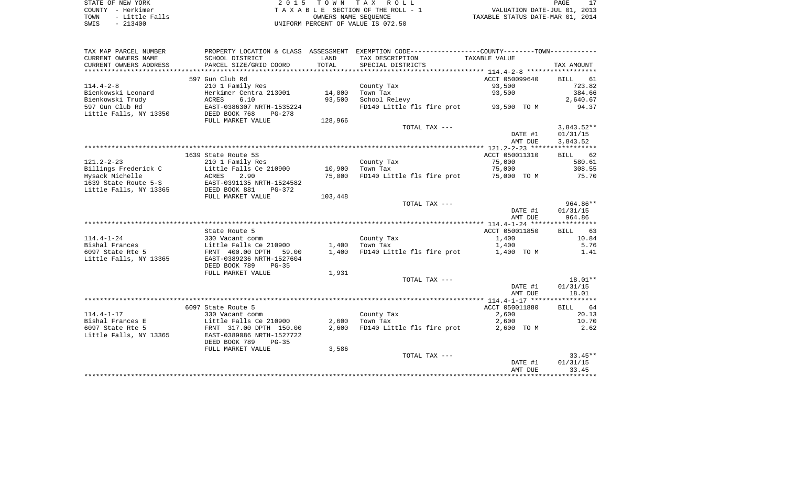| STATE OF NEW YORK |           |                |  |
|-------------------|-----------|----------------|--|
| COUNTY - Herkimer |           |                |  |
| TOWN              |           | - Little Falls |  |
| SWIS              | $-213400$ |                |  |

2015 TOWN TAX ROLL TA X A B L E SECTION OF THE ROLL - 1 TOWN - Little Falls OWNERS NAME SEQUENCE TAXABLE STATUS DATE-MAR 01, 2014 SWIS - 213400 UNIFORM PERCENT OF VALUE IS 072.50

| TAX MAP PARCEL NUMBER                | PROPERTY LOCATION & CLASS                            | ASSESSMENT |                                        |                         |                   |
|--------------------------------------|------------------------------------------------------|------------|----------------------------------------|-------------------------|-------------------|
| CURRENT OWNERS NAME                  | SCHOOL DISTRICT                                      | LAND       | TAX DESCRIPTION                        | TAXABLE VALUE           |                   |
| CURRENT OWNERS ADDRESS               | PARCEL SIZE/GRID COORD                               | TOTAL      | SPECIAL DISTRICTS                      |                         | TAX AMOUNT        |
| *******************                  |                                                      |            |                                        |                         |                   |
|                                      | 597 Gun Club Rd                                      |            |                                        | ACCT 050099640          | 61<br><b>BILL</b> |
| $114.4 - 2 - 8$                      | 210 1 Family Res                                     |            | County Tax                             | 93,500                  | 723.82            |
| Bienkowski Leonard                   | Herkimer Centra 213001                               | 14,000     | Town Tax                               | 93,500                  | 384.66            |
| Bienkowski Trudy                     | ACRES<br>6.10                                        | 93,500     | School Relevy                          |                         | 2,640.67          |
| 597 Gun Club Rd                      | EAST-0386307 NRTH-1535224                            |            | FD140 Little fls fire prot             | 93,500 TO M             | 94.37             |
| Little Falls, NY 13350               | DEED BOOK 768<br>PG-278                              |            |                                        |                         |                   |
|                                      | FULL MARKET VALUE                                    | 128,966    |                                        |                         |                   |
|                                      |                                                      |            | TOTAL TAX ---                          |                         | $3,843.52**$      |
|                                      |                                                      |            |                                        | DATE #1                 | 01/31/15          |
|                                      |                                                      |            |                                        | AMT DUE                 | 3,843.52          |
|                                      |                                                      |            |                                        |                         |                   |
|                                      | 1639 State Route 5S                                  |            |                                        | ACCT 050011310          | 62<br><b>BILL</b> |
| $121.2 - 2 - 23$                     | 210 1 Family Res                                     |            | County Tax                             | 75,000                  | 580.61            |
| Billings Frederick C                 | Little Falls Ce 210900                               | 10,900     | Town Tax                               | 75,000                  | 308.55            |
| Hysack Michelle                      | 2.90<br>ACRES                                        | 75,000     | FD140 Little fls fire prot             | 75,000 TO M             | 75.70             |
| 1639 State Route 5-S                 | EAST-0391135 NRTH-1524582                            |            |                                        |                         |                   |
| Little Falls, NY 13365               | DEED BOOK 881<br>PG-372                              |            |                                        |                         |                   |
|                                      | FULL MARKET VALUE                                    | 103,448    |                                        |                         |                   |
|                                      |                                                      |            | TOTAL TAX ---                          |                         | 964.86**          |
|                                      |                                                      |            |                                        | DATE #1                 | 01/31/15          |
|                                      |                                                      |            |                                        | AMT DUE                 | 964.86            |
|                                      |                                                      |            |                                        |                         |                   |
|                                      | State Route 5                                        |            |                                        | ACCT 050011850          | 63<br>BILL        |
| $114.4 - 1 - 24$                     | 330 Vacant comm                                      |            | County Tax                             | 1,400                   | 10.84             |
| Bishal Frances                       | Little Falls Ce 210900                               | 1,400      | Town Tax                               | 1,400                   | 5.76              |
| 6097 State Rte 5                     | FRNT 400.00 DPTH 59.00                               | 1,400      | FD140 Little fls fire prot             | 1,400 TO M              | 1.41              |
| Little Falls, NY 13365               | EAST-0389236 NRTH-1527604                            |            |                                        |                         |                   |
|                                      | DEED BOOK 789<br>$PG-35$                             |            |                                        |                         |                   |
|                                      | FULL MARKET VALUE                                    | 1,931      |                                        |                         |                   |
|                                      |                                                      |            | TOTAL TAX ---                          |                         | 18.01**           |
|                                      |                                                      |            |                                        | DATE #1                 | 01/31/15          |
|                                      |                                                      |            |                                        | AMT DUE                 | 18.01             |
|                                      |                                                      |            |                                        |                         |                   |
| $114.4 - 1 - 17$                     | 6097 State Route 5                                   |            |                                        | ACCT 050011880<br>2,600 | BILL 64<br>20.13  |
|                                      | 330 Vacant comm                                      |            | County Tax                             |                         |                   |
| Bishal Frances E<br>6097 State Rte 5 | Little Falls Ce 210900                               | 2,600      | Town Tax<br>FD140 Little fls fire prot | 2,600                   | 10.70             |
| Little Falls, NY 13365               | FRNT 317.00 DPTH 150.00<br>EAST-0389086 NRTH-1527722 | 2,600      |                                        | 2,600 TO M              | 2.62              |
|                                      | DEED BOOK 789<br>$PG-35$                             |            |                                        |                         |                   |
|                                      | FULL MARKET VALUE                                    |            |                                        |                         |                   |
|                                      |                                                      | 3,586      | TOTAL TAX ---                          |                         | $33.45**$         |
|                                      |                                                      |            |                                        | DATE #1                 | 01/31/15          |
|                                      |                                                      |            |                                        | AMT DUE                 | 33.45             |
|                                      |                                                      |            |                                        |                         |                   |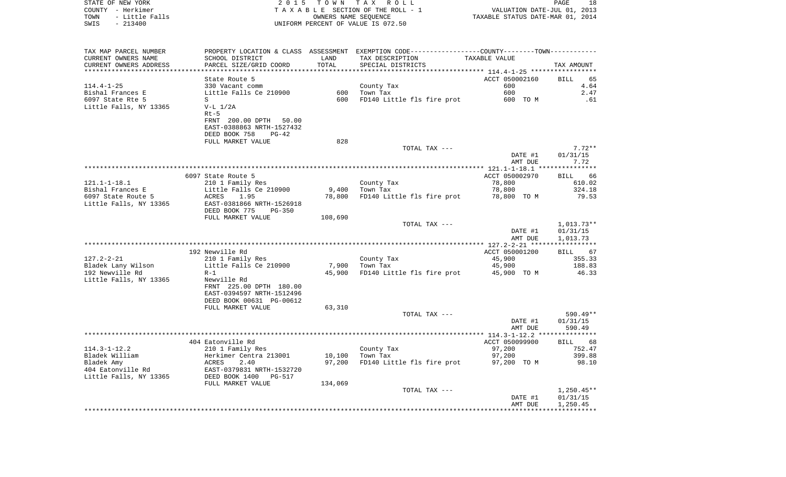| TOWN<br>- Little Falls<br>SWIS<br>$-213400$       |                                                                                            |         | OWNERS NAME SEQUENCE<br>UNIFORM PERCENT OF VALUE IS 072.50                                      | TAXABLE STATUS DATE-MAR 01, 2014 |                             |
|---------------------------------------------------|--------------------------------------------------------------------------------------------|---------|-------------------------------------------------------------------------------------------------|----------------------------------|-----------------------------|
|                                                   |                                                                                            |         |                                                                                                 |                                  |                             |
| TAX MAP PARCEL NUMBER                             |                                                                                            |         | PROPERTY LOCATION & CLASS ASSESSMENT EXEMPTION CODE----------------COUNTY--------TOWN---------- |                                  |                             |
| CURRENT OWNERS NAME                               | SCHOOL DISTRICT                                                                            | LAND    | TAX DESCRIPTION                                                                                 | TAXABLE VALUE                    |                             |
| CURRENT OWNERS ADDRESS<br>*********************** | PARCEL SIZE/GRID COORD<br>****************************                                     | TOTAL   | SPECIAL DISTRICTS                                                                               |                                  | TAX AMOUNT                  |
|                                                   | State Route 5                                                                              |         |                                                                                                 | ACCT 050002160                   | 65<br><b>BILL</b>           |
| 114.4-1-25                                        | 330 Vacant comm                                                                            |         | County Tax                                                                                      | 600                              | 4.64                        |
| Bishal Frances E                                  | Little Falls Ce 210900                                                                     |         | 600 Town Tax                                                                                    | 600                              | 2.47                        |
| 6097 State Rte 5                                  | S                                                                                          | 600     | FD140 Little fls fire prot                                                                      | 600 TO M                         | .61                         |
| Little Falls, NY 13365                            | $V-L 1/2A$                                                                                 |         |                                                                                                 |                                  |                             |
|                                                   | $Rt-5$                                                                                     |         |                                                                                                 |                                  |                             |
|                                                   | FRNT 200.00 DPTH 50.00                                                                     |         |                                                                                                 |                                  |                             |
|                                                   | EAST-0388863 NRTH-1527432<br>DEED BOOK 758<br>PG-42                                        |         |                                                                                                 |                                  |                             |
|                                                   | FULL MARKET VALUE                                                                          | 828     |                                                                                                 |                                  |                             |
|                                                   |                                                                                            |         | TOTAL TAX ---                                                                                   |                                  | $7.72**$                    |
|                                                   |                                                                                            |         |                                                                                                 | DATE #1                          | 01/31/15                    |
|                                                   |                                                                                            |         |                                                                                                 | AMT DUE                          | 7.72                        |
|                                                   |                                                                                            |         |                                                                                                 |                                  |                             |
| 121.1-1-18.1                                      | 6097 State Route 5<br>210 1 Family Res                                                     |         | County Tax                                                                                      | ACCT 050002970<br>78,800         | 66<br><b>BILL</b><br>610.02 |
| Bishal Frances E                                  | Little Falls Ce 210900                                                                     | 9,400   | Town Tax                                                                                        | 78,800                           | 324.18                      |
| 6097 State Route 5                                | ACRES<br>1.95                                                                              | 78,800  | FD140 Little fls fire prot                                                                      | 78,800 TO M                      | 79.53                       |
| Little Falls, NY 13365                            | EAST-0381866 NRTH-1526918                                                                  |         |                                                                                                 |                                  |                             |
|                                                   | DEED BOOK 775<br>PG-350                                                                    |         |                                                                                                 |                                  |                             |
|                                                   | FULL MARKET VALUE                                                                          | 108,690 |                                                                                                 |                                  |                             |
|                                                   |                                                                                            |         | TOTAL TAX ---                                                                                   |                                  | 1,013.73**                  |
|                                                   |                                                                                            |         |                                                                                                 | DATE #1<br>AMT DUE               | 01/31/15<br>1,013.73        |
|                                                   |                                                                                            |         |                                                                                                 |                                  |                             |
|                                                   | 192 Newville Rd                                                                            |         |                                                                                                 | ACCT 050001200                   | BILL 67                     |
| 127.2-2-21                                        | 210 1 Family Res                                                                           |         | County Tax                                                                                      | 45,900                           | 355.33                      |
| Bladek Lany Wilson                                | Little Falls Ce 210900                                                                     | 7,900   | Town Tax                                                                                        | 45,900                           | 188.83                      |
| 192 Newville Rd                                   | $R-1$                                                                                      | 45,900  | FD140 Little fls fire prot                                                                      | 45,900 TO M                      | 46.33                       |
| Little Falls, NY 13365                            | Newville Rd                                                                                |         |                                                                                                 |                                  |                             |
|                                                   | FRNT 225.00 DPTH 180.00<br>EAST-0394597 NRTH-1512496                                       |         |                                                                                                 |                                  |                             |
|                                                   | DEED BOOK 00631 PG-00612                                                                   |         |                                                                                                 |                                  |                             |
|                                                   | FULL MARKET VALUE                                                                          | 63,310  |                                                                                                 |                                  |                             |
|                                                   |                                                                                            |         | TOTAL TAX ---                                                                                   |                                  | 590.49**                    |
|                                                   |                                                                                            |         |                                                                                                 | DATE #1                          | 01/31/15                    |
|                                                   |                                                                                            |         |                                                                                                 | AMT DUE                          | 590.49                      |
|                                                   | 404 Eatonville Rd                                                                          |         |                                                                                                 | ACCT 050099900                   | <b>BILL</b><br>68           |
| 114.3-1-12.2                                      | 210 1 Family Res                                                                           |         | County Tax                                                                                      | 97,200                           | 752.47                      |
| Bladek William                                    |                                                                                            | 10,100  | Town Tax                                                                                        | 97,200                           | 399.88                      |
| Bladek Amy                                        |                                                                                            | 97,200  | FD140 Little fls fire prot                                                                      | 97,200 TO M                      | 98.10                       |
| 404 Eatonville Rd                                 |                                                                                            |         |                                                                                                 |                                  |                             |
| Little Falls, NY 13365                            | Herkimer Centra 213001<br>ACRES 2.40<br>EAST-0379831 NRTH-1532720<br>DEED BOOK 1400 PG-517 |         |                                                                                                 |                                  |                             |
|                                                   | FULL MARKET VALUE                                                                          | 134,069 |                                                                                                 |                                  |                             |
|                                                   |                                                                                            |         | TOTAL TAX ---                                                                                   | DATE #1                          | $1,250.45**$<br>01/31/15    |
|                                                   |                                                                                            |         |                                                                                                 | AMT DUE                          | 1,250.45                    |
|                                                   |                                                                                            |         |                                                                                                 |                                  |                             |

STATE OF NEW YORK 2 0 1 5 T O W N T A X R O L L PAGE 18 COUNTY - Herkimer T A X A B L E SECTION OF THE ROLL - 1 VALUATION DATE-JUL 01, 2013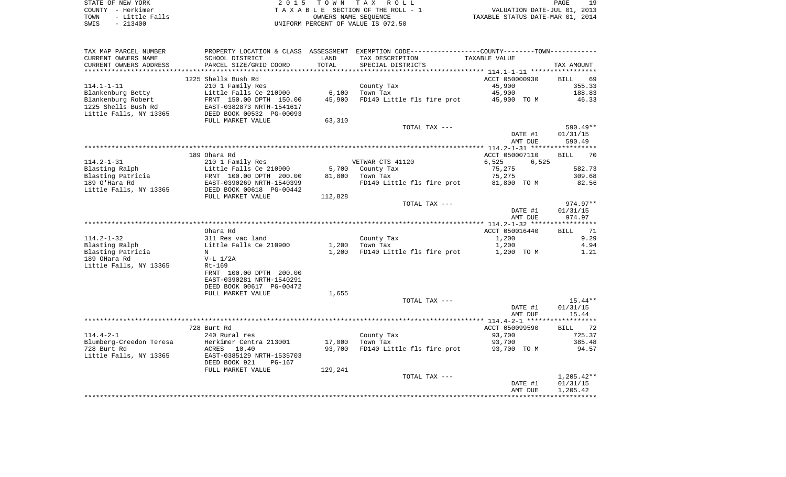| STATE OF NEW YORK |  |          |                |  |  |
|-------------------|--|----------|----------------|--|--|
| COUNTY - Herkimer |  |          |                |  |  |
| TOWN              |  |          | - Little Falls |  |  |
| SWTS              |  | - 213400 |                |  |  |

STATE OF NEW YORK 2 0 1 5 T O W N T A X R O L L PAGE 19 $\begin{array}{cccc}\n\text{COUNTY} & - & \text{Herkimer} \\
\text{T A X A B L E} & \text{SECTION OF THE ROLL} - 1\n\end{array}$ TOWN - Little Falls OWNERS NAME SEQUENCE TAXABLE STATUS DATE-MAR 01, 2014 SWIS - 213400 UNIFORM PERCENT OF VALUE IS 072.50

| TAX MAP PARCEL NUMBER                             |                                                                                                            |                             | PROPERTY LOCATION & CLASS ASSESSMENT EXEMPTION CODE----------------COUNTY-------TOWN---------- |                |                   |
|---------------------------------------------------|------------------------------------------------------------------------------------------------------------|-----------------------------|------------------------------------------------------------------------------------------------|----------------|-------------------|
| CURRENT OWNERS NAME                               | SCHOOL DISTRICT                                                                                            | LAND                        | TAX DESCRIPTION                                                                                | TAXABLE VALUE  |                   |
| CURRENT OWNERS ADDRESS                            | PARCEL SIZE/GRID COORD                                                                                     | TOTAL                       | SPECIAL DISTRICTS                                                                              |                | TAX AMOUNT        |
|                                                   |                                                                                                            |                             |                                                                                                |                |                   |
|                                                   | 1225 Shells Bush Rd                                                                                        |                             |                                                                                                | ACCT 050000930 | BILL 69           |
| $114.1 - 1 - 11$                                  | 210 1 Family Res                                                                                           |                             | County Tax                                                                                     | 45,900         | 355.33            |
|                                                   |                                                                                                            | 6,100                       | Town Tax                                                                                       | 45,900         | 188.83            |
|                                                   |                                                                                                            | 45,900                      | FD140 Little fls fire prot 45,900 TO M                                                         |                | 46.33             |
|                                                   |                                                                                                            |                             |                                                                                                |                |                   |
|                                                   |                                                                                                            |                             |                                                                                                |                |                   |
|                                                   |                                                                                                            |                             |                                                                                                |                |                   |
|                                                   | FULL MARKET VALUE                                                                                          | 63,310                      |                                                                                                |                |                   |
|                                                   |                                                                                                            |                             | TOTAL TAX ---                                                                                  |                | 590.49**          |
|                                                   |                                                                                                            |                             |                                                                                                | DATE #1        | 01/31/15          |
|                                                   |                                                                                                            |                             |                                                                                                | AMT DUE        | 590.49            |
|                                                   |                                                                                                            |                             |                                                                                                |                |                   |
|                                                   | 189 Ohara Rd                                                                                               |                             |                                                                                                | ACCT 050007110 | <b>BILL</b><br>70 |
| $114.2 - 1 - 31$                                  | 210 1 Family Res                                                                                           |                             | VETWAR CTS 41120                                                                               | 6,525 6,525    |                   |
| Blasting Ralph                                    | Little Falls Ce 210900<br>FRNT 100.00 DPTH 200.00<br>EAST-0390269 NRTH-1540399<br>DEED BOOK 00618 PG-00442 |                             | 5,700 County Tax                                                                               | 75,275         | 582.73            |
|                                                   |                                                                                                            |                             | 81,800 Town Tax                                                                                | 75,275         | 309.68            |
| ----<br>Blasting Patricia<br>189 O'Hara Rd        |                                                                                                            |                             | FD140 Little fls fire prot 81,800 TO M                                                         |                | 82.56             |
|                                                   |                                                                                                            |                             |                                                                                                |                |                   |
| Little Falls, NY 13365                            |                                                                                                            |                             |                                                                                                |                |                   |
|                                                   | FULL MARKET VALUE                                                                                          | 112,828                     |                                                                                                |                |                   |
|                                                   |                                                                                                            |                             | TOTAL TAX ---                                                                                  |                | 974.97**          |
|                                                   |                                                                                                            |                             |                                                                                                | DATE #1        | 01/31/15          |
|                                                   |                                                                                                            |                             |                                                                                                | AMT DUE        | 974.97            |
|                                                   |                                                                                                            |                             |                                                                                                |                |                   |
|                                                   | Ohara Rd                                                                                                   |                             |                                                                                                | ACCT 050016440 | BILL 71           |
| $114.2 - 1 - 32$                                  |                                                                                                            |                             | County Tax                                                                                     | 1,200          | 9.29              |
| Blasting Ralph                                    | 311 Res vac land<br>Little Falls Ce 210900                                                                 | County Ta<br>1,200 Town Tax |                                                                                                | 1,200          | 4.94              |
|                                                   | N                                                                                                          |                             | 1,200 FD140 Little fls fire prot 1,200 TO M                                                    |                | 1.21              |
| Blasting Patricia<br>189 OHara Rd<br>189 OHara Rd | V-L 1/2A                                                                                                   |                             |                                                                                                |                |                   |
| Little Falls, NY 13365                            | Rt-169                                                                                                     |                             |                                                                                                |                |                   |
|                                                   | FRNT 100.00 DPTH 200.00                                                                                    |                             |                                                                                                |                |                   |
|                                                   | EAST-0390281 NRTH-1540291                                                                                  |                             |                                                                                                |                |                   |
|                                                   |                                                                                                            |                             |                                                                                                |                |                   |
|                                                   | DEED BOOK 00617 PG-00472                                                                                   |                             |                                                                                                |                |                   |
|                                                   | FULL MARKET VALUE                                                                                          | 1,655                       |                                                                                                |                |                   |
|                                                   |                                                                                                            |                             | TOTAL TAX ---                                                                                  |                | $15.44**$         |
|                                                   |                                                                                                            |                             |                                                                                                | DATE #1        | 01/31/15          |
|                                                   |                                                                                                            |                             |                                                                                                | AMT DUE        | 15.44             |
|                                                   |                                                                                                            |                             |                                                                                                |                |                   |
|                                                   | 728 Burt Rd                                                                                                |                             |                                                                                                | ACCT 050099590 | BILL 72           |
| $114.4 - 2 - 1$                                   | 240 Rural res                                                                                              |                             | County Tax<br>Town Tax                                                                         | 93,700         | 725.37            |
|                                                   |                                                                                                            | 17,000                      |                                                                                                | 93,700         | 385.48            |
|                                                   |                                                                                                            | 93,700                      | FD140 Little fls fire prot 93,700 TO M                                                         |                | 94.57             |
|                                                   | Little Falls, NY 13365 EAST-0385129 NRTH-1535703                                                           |                             |                                                                                                |                |                   |
|                                                   | DEED BOOK 921<br>PG-167                                                                                    |                             |                                                                                                |                |                   |
|                                                   | FULL MARKET VALUE                                                                                          | 129,241                     |                                                                                                |                |                   |
|                                                   |                                                                                                            |                             | TOTAL TAX ---                                                                                  |                | $1,205.42**$      |
|                                                   |                                                                                                            |                             |                                                                                                |                |                   |
|                                                   |                                                                                                            |                             |                                                                                                | DATE #1        | 01/31/15          |
|                                                   |                                                                                                            |                             |                                                                                                | AMT DUE        | 1,205.42          |
|                                                   |                                                                                                            |                             |                                                                                                |                |                   |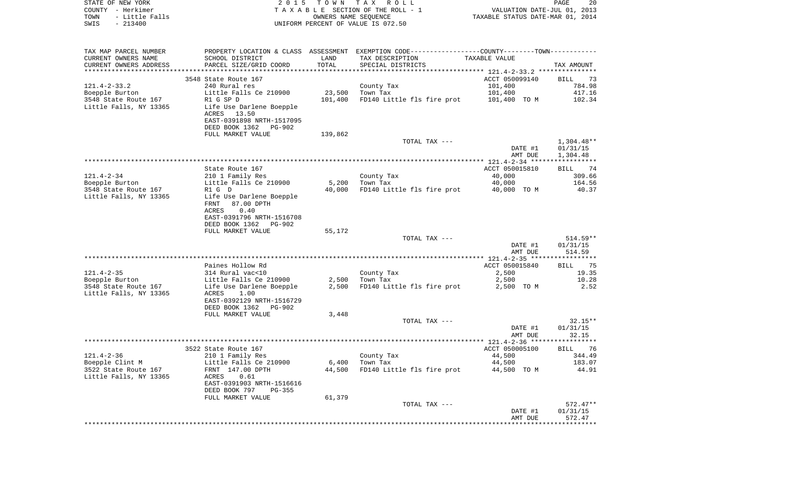| STATE OF NEW YORK<br>COUNTY - Herkimer | 2 0 1 5                                    |                      | TOWN TAX ROLL<br>TAXABLE SECTION OF THE ROLL - 1                                              | VALUATION DATE-JUL 01, 2013      | 20<br>PAGE         |
|----------------------------------------|--------------------------------------------|----------------------|-----------------------------------------------------------------------------------------------|----------------------------------|--------------------|
| - Little Falls<br>TOWN                 |                                            | OWNERS NAME SEQUENCE |                                                                                               | TAXABLE STATUS DATE-MAR 01, 2014 |                    |
| $-213400$<br>SWIS                      |                                            |                      | UNIFORM PERCENT OF VALUE IS 072.50                                                            |                                  |                    |
|                                        |                                            |                      |                                                                                               |                                  |                    |
| TAX MAP PARCEL NUMBER                  |                                            |                      | PROPERTY LOCATION & CLASS ASSESSMENT EXEMPTION CODE---------------COUNTY-------TOWN---------- |                                  |                    |
| CURRENT OWNERS NAME                    | SCHOOL DISTRICT                            | LAND                 | TAX DESCRIPTION                                                                               | TAXABLE VALUE                    |                    |
| CURRENT OWNERS ADDRESS                 | PARCEL SIZE/GRID COORD                     | TOTAL                | SPECIAL DISTRICTS                                                                             |                                  | TAX AMOUNT         |
| ************************               |                                            |                      |                                                                                               |                                  |                    |
|                                        | 3548 State Route 167                       |                      |                                                                                               | ACCT 050099140                   | 73<br>BILL         |
| $121.4 - 2 - 33.2$                     | 240 Rural res                              |                      | County Tax                                                                                    | 101,400                          | 784.98             |
| Boepple Burton                         | Little Falls Ce 210900                     | 23,500               | Town Tax                                                                                      | 101,400                          | 417.16             |
| 3548 State Route 167                   | R1 G SP D                                  | 101,400              | FD140 Little fls fire prot                                                                    | 101,400 TO M                     | 102.34             |
| Little Falls, NY 13365                 | Life Use Darlene Boepple<br>ACRES 13.50    |                      |                                                                                               |                                  |                    |
|                                        | EAST-0391898 NRTH-1517095                  |                      |                                                                                               |                                  |                    |
|                                        | DEED BOOK 1362<br>PG-902                   |                      |                                                                                               |                                  |                    |
|                                        | FULL MARKET VALUE                          | 139,862              |                                                                                               |                                  |                    |
|                                        |                                            |                      | TOTAL TAX ---                                                                                 |                                  | $1,304.48**$       |
|                                        |                                            |                      |                                                                                               | DATE #1                          | 01/31/15           |
|                                        |                                            |                      |                                                                                               | AMT DUE                          | 1,304.48           |
|                                        |                                            |                      |                                                                                               | ACCT 050015810                   |                    |
| $121.4 - 2 - 34$                       | State Route 167<br>210 1 Family Res        |                      | County Tax                                                                                    | 40,000                           | BILL 74<br>309.66  |
| Boepple Burton                         | Little Falls Ce 210900                     | 5,200                | Town Tax                                                                                      | 40,000                           | 164.56             |
| 3548 State Route 167                   | R1 G D                                     | 40,000               | FD140 Little fls fire prot                                                                    | 40,000 TO M                      | 40.37              |
| Little Falls, NY 13365                 | Life Use Darlene Boepple                   |                      |                                                                                               |                                  |                    |
|                                        | 87.00 DPTH<br>FRNT                         |                      |                                                                                               |                                  |                    |
|                                        | 0.40<br>ACRES                              |                      |                                                                                               |                                  |                    |
|                                        | EAST-0391796 NRTH-1516708                  |                      |                                                                                               |                                  |                    |
|                                        | DEED BOOK 1362<br>PG-902                   |                      |                                                                                               |                                  |                    |
|                                        | FULL MARKET VALUE                          | 55,172               | TOTAL TAX ---                                                                                 |                                  | 514.59**           |
|                                        |                                            |                      |                                                                                               | DATE #1                          | 01/31/15           |
|                                        |                                            |                      |                                                                                               | AMT DUE                          | 514.59             |
|                                        |                                            |                      |                                                                                               |                                  |                    |
|                                        | Paines Hollow Rd                           |                      |                                                                                               | ACCT 050015840                   | 75<br>BILL         |
| $121.4 - 2 - 35$                       | 314 Rural vac<10                           |                      | County Tax                                                                                    | 2,500                            | 19.35              |
| Boepple Burton                         | Little Falls Ce 210900                     | 2,500                | Town Tax                                                                                      | 2,500                            | 10.28              |
| 3548 State Route 167                   | Life Use Darlene Boepple                   | 2,500                | FD140 Little fls fire prot                                                                    | 2,500 TO M                       | 2.52               |
| Little Falls, NY 13365                 | ACRES<br>1.00<br>EAST-0392129 NRTH-1516729 |                      |                                                                                               |                                  |                    |
|                                        | DEED BOOK 1362<br>PG-902                   |                      |                                                                                               |                                  |                    |
|                                        | FULL MARKET VALUE                          | 3,448                |                                                                                               |                                  |                    |
|                                        |                                            |                      | TOTAL TAX ---                                                                                 |                                  | $32.15**$          |
|                                        |                                            |                      |                                                                                               | DATE #1                          | 01/31/15           |
|                                        |                                            |                      |                                                                                               | AMT DUE                          | 32.15              |
|                                        |                                            |                      |                                                                                               |                                  |                    |
|                                        | 3522 State Route 167                       |                      |                                                                                               | ACCT 050005100                   | BILL 76            |
| $121.4 - 2 - 36$<br>Boepple Clint M    | 210 1 Family Res<br>Little Falls Ce 210900 | 6,400                | County Tax<br>Town Tax                                                                        | 44,500<br>44,500                 | 344.49<br>183.07   |
| 3522 State Route 167                   | FRNT 147.00 DPTH                           | 44,500               | FD140 Little fls fire prot                                                                    | 44,500 TO M                      | 44.91              |
| Little Falls, NY 13365                 | 0.61<br>ACRES                              |                      |                                                                                               |                                  |                    |
|                                        | EAST-0391903 NRTH-1516616                  |                      |                                                                                               |                                  |                    |
|                                        | DEED BOOK 797<br>PG-355                    |                      |                                                                                               |                                  |                    |
|                                        | FULL MARKET VALUE                          | 61,379               |                                                                                               |                                  |                    |
|                                        |                                            |                      | TOTAL TAX ---                                                                                 |                                  | $572.47**$         |
|                                        |                                            |                      |                                                                                               | DATE #1                          | 01/31/15<br>572.47 |
|                                        |                                            |                      |                                                                                               | AMT DUE                          |                    |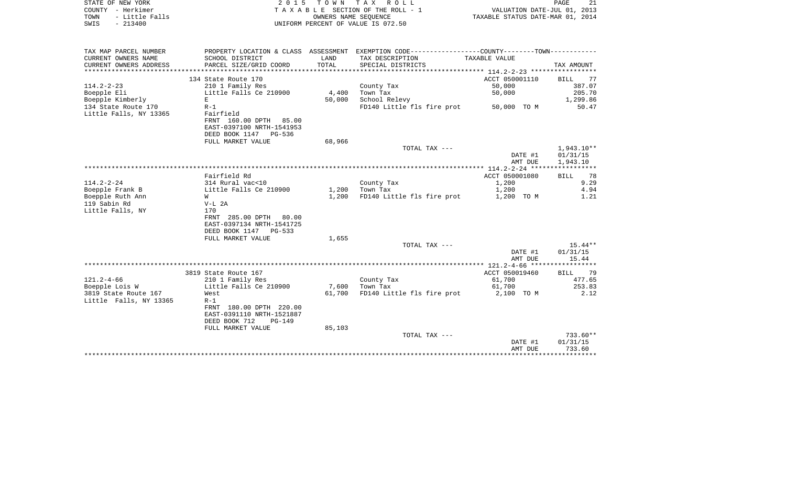| STATE OF NEW YORK                                    |                           |        | 2015 TOWN TAX ROLL                                                                            |                                  | PAGE<br>21        |
|------------------------------------------------------|---------------------------|--------|-----------------------------------------------------------------------------------------------|----------------------------------|-------------------|
| COUNTY - Herkimer                                    |                           |        | TAXABLE SECTION OF THE ROLL - 1                                                               | VALUATION DATE-JUL 01, 2013      |                   |
| TOWN<br>- Little Falls                               |                           |        | OWNERS NAME SEOUENCE                                                                          | TAXABLE STATUS DATE-MAR 01, 2014 |                   |
| SWIS<br>$-213400$                                    |                           |        | UNIFORM PERCENT OF VALUE IS 072.50                                                            |                                  |                   |
|                                                      |                           |        |                                                                                               |                                  |                   |
|                                                      |                           |        |                                                                                               |                                  |                   |
| TAX MAP PARCEL NUMBER                                |                           |        | PROPERTY LOCATION & CLASS ASSESSMENT EXEMPTION CODE---------------COUNTY-------TOWN---------- |                                  |                   |
| CURRENT OWNERS NAME                                  | SCHOOL DISTRICT           | LAND   | TAX DESCRIPTION                                                                               | TAXABLE VALUE                    |                   |
|                                                      |                           | TOTAL  | SPECIAL DISTRICTS                                                                             |                                  |                   |
| CURRENT OWNERS ADDRESS<br>************************** | PARCEL SIZE/GRID COORD    |        |                                                                                               |                                  | TAX AMOUNT        |
|                                                      | 134 State Route 170       |        |                                                                                               | ACCT 050001110                   | <b>BILL</b><br>77 |
| 114.2-2-23                                           | 210 1 Family Res          |        | County Tax                                                                                    | 50,000                           | 387.07            |
| Boepple Eli                                          | Little Falls Ce 210900    | 4,400  | Town Tax                                                                                      | 50,000                           | 205.70            |
| Boepple Kimberly                                     | E                         | 50,000 | School Relevy                                                                                 |                                  | 1,299.86          |
| 134 State Route 170                                  | $R-1$                     |        |                                                                                               |                                  | 50.47             |
| Little Falls, NY 13365                               | Fairfield                 |        | FD140 Little fls fire prot                                                                    | 50,000 TO M                      |                   |
|                                                      |                           |        |                                                                                               |                                  |                   |
|                                                      | FRNT 160.00 DPTH 85.00    |        |                                                                                               |                                  |                   |
|                                                      | EAST-0397100 NRTH-1541953 |        |                                                                                               |                                  |                   |
|                                                      | DEED BOOK 1147 PG-536     |        |                                                                                               |                                  |                   |
|                                                      | FULL MARKET VALUE         | 68,966 |                                                                                               |                                  |                   |
|                                                      |                           |        | TOTAL TAX ---                                                                                 |                                  | $1,943.10**$      |
|                                                      |                           |        |                                                                                               | DATE #1                          | 01/31/15          |
|                                                      |                           |        |                                                                                               | AMT DUE                          | 1,943.10          |
|                                                      |                           |        |                                                                                               |                                  |                   |
|                                                      | Fairfield Rd              |        |                                                                                               | ACCT 050001080                   | 78<br><b>BILL</b> |
| $114.2 - 2 - 24$                                     | 314 Rural vac<10          |        | County Tax                                                                                    | 1,200                            | 9.29              |
| Boepple Frank B                                      | Little Falls Ce 210900    | 1,200  | Town Tax                                                                                      | 1,200                            | 4.94              |
| Boepple Ruth Ann                                     | W                         | 1,200  | FD140 Little fls fire prot                                                                    | 1,200 TO M                       | 1.21              |
| 119 Sabin Rd                                         | $V-L$ 2A                  |        |                                                                                               |                                  |                   |
| Little Falls, NY                                     | 170                       |        |                                                                                               |                                  |                   |
|                                                      | FRNT 285.00 DPTH 80.00    |        |                                                                                               |                                  |                   |
|                                                      | EAST-0397134 NRTH-1541725 |        |                                                                                               |                                  |                   |
|                                                      | DEED BOOK 1147 PG-533     |        |                                                                                               |                                  |                   |
|                                                      | FULL MARKET VALUE         | 1,655  |                                                                                               |                                  |                   |
|                                                      |                           |        | TOTAL TAX ---                                                                                 |                                  | $15.44**$         |
|                                                      |                           |        |                                                                                               | DATE #1                          | 01/31/15          |
|                                                      |                           |        |                                                                                               | AMT DUE                          | 15.44             |
|                                                      |                           |        |                                                                                               |                                  |                   |
|                                                      | 3819 State Route 167      |        |                                                                                               | ACCT 050019460                   | 79<br><b>BILL</b> |
| 121.2-4-66                                           | 210 1 Family Res          |        | County Tax                                                                                    | 61,700                           | 477.65            |
| Boepple Lois W                                       | Little Falls Ce 210900    | 7,600  | Town Tax                                                                                      | 61,700                           | 253.83            |
| 3819 State Route 167                                 | West                      | 61,700 | FD140 Little fls fire prot                                                                    | 2,100 TO M                       | 2.12              |
| Little Falls, NY 13365                               | $R-1$                     |        |                                                                                               |                                  |                   |
|                                                      | FRNT 180.00 DPTH 220.00   |        |                                                                                               |                                  |                   |
|                                                      | EAST-0391110 NRTH-1521887 |        |                                                                                               |                                  |                   |
|                                                      | DEED BOOK 712<br>$PG-149$ |        |                                                                                               |                                  |                   |
|                                                      | FULL MARKET VALUE         | 85,103 |                                                                                               |                                  |                   |
|                                                      |                           |        | TOTAL TAX ---                                                                                 |                                  | 733.60**          |
|                                                      |                           |        |                                                                                               | DATE #1                          | 01/31/15          |
|                                                      |                           |        |                                                                                               | AMT DUE                          | 733.60            |
|                                                      |                           |        |                                                                                               |                                  |                   |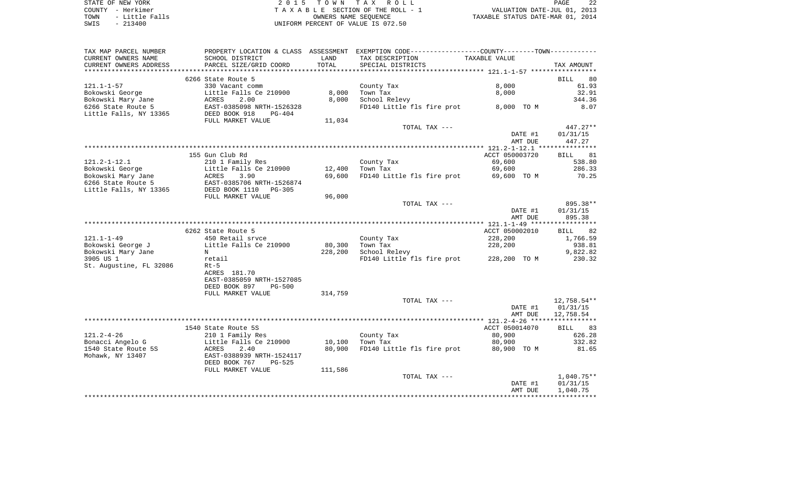| STATE OF NEW YORK |           |                |  |
|-------------------|-----------|----------------|--|
| COUNTY - Herkimer |           |                |  |
| TOWN              |           | - Little Falls |  |
| SWIS              | $-213400$ |                |  |

2015 TOWN TAX ROLL TA X A B L E SECTION OF THE ROLL - 1 TOWN - Little Falls OWNERS NAME SEQUENCE TAXABLE STATUS DATE-MAR 01, 2014 SWIS - 213400 UNIFORM PERCENT OF VALUE IS 072.50

| TAX MAP PARCEL NUMBER   |                                                                                                                                                                                                                                          |                                 | PROPERTY LOCATION & CLASS ASSESSMENT EXEMPTION CODE---------------COUNTY-------TOWN--------- |                |             |
|-------------------------|------------------------------------------------------------------------------------------------------------------------------------------------------------------------------------------------------------------------------------------|---------------------------------|----------------------------------------------------------------------------------------------|----------------|-------------|
| CURRENT OWNERS NAME     | SCHOOL DISTRICT                                                                                                                                                                                                                          | LAND                            | TAX DESCRIPTION                                                                              | TAXABLE VALUE  |             |
| CURRENT OWNERS ADDRESS  | PARCEL SIZE/GRID COORD                                                                                                                                                                                                                   | TOTAL                           | SPECIAL DISTRICTS                                                                            |                | TAX AMOUNT  |
|                         |                                                                                                                                                                                                                                          |                                 |                                                                                              |                |             |
|                         | 6266 State Route 5                                                                                                                                                                                                                       |                                 |                                                                                              |                | BILL 80     |
|                         |                                                                                                                                                                                                                                          |                                 |                                                                                              |                |             |
| $121.1 - 1 - 57$        | 330 Vacant comm                                                                                                                                                                                                                          |                                 | County Tax                                                                                   | 8,000          | 61.93       |
| Bokowski George         |                                                                                                                                                                                                                                          | 8,000                           | Town Tax                                                                                     | 8,000          | 32.91       |
| Bokowski Mary Jane      | Little Falls Ce 210900<br>ACRES 2.00                                                                                                                                                                                                     | 8,000                           | School Relevy                                                                                |                | 344.36      |
| 6266 State Route 5      |                                                                                                                                                                                                                                          |                                 | FD140 Little fls fire prot 8,000 TO M                                                        |                | 8.07        |
| Little Falls, NY 13365  | EAST-0385098 NRTH-1526328<br>3365 DEED BOOK 918 PG-404                                                                                                                                                                                   |                                 |                                                                                              |                |             |
|                         | FULL MARKET VALUE                                                                                                                                                                                                                        | 11,034                          |                                                                                              |                |             |
|                         |                                                                                                                                                                                                                                          |                                 | TOTAL TAX ---                                                                                |                | $447.27**$  |
|                         |                                                                                                                                                                                                                                          |                                 |                                                                                              |                |             |
|                         |                                                                                                                                                                                                                                          |                                 |                                                                                              | DATE #1        | 01/31/15    |
|                         |                                                                                                                                                                                                                                          |                                 |                                                                                              | AMT DUE        | 447.27      |
|                         |                                                                                                                                                                                                                                          |                                 |                                                                                              |                |             |
|                         | 155 Gun Club Rd                                                                                                                                                                                                                          |                                 |                                                                                              | ACCT 050003720 | BILL 81     |
| $121.2 - 1 - 12.1$      | 210 1 Family Res                                                                                                                                                                                                                         |                                 | County Tax                                                                                   | 69,600         | 538.80      |
|                         | Example 210 1 Family Res<br>Bokowski George<br>Bokowski Mary Jane<br>6266 State Route 5<br>Little Falls, NY 13365<br>EAST-0385706 NRTH-1526874<br>Little Falls, NY 13365<br>DEED BOOK 110 PG-305<br>PUIL MARKT VALUE<br>PUIL MARKT VALUE | 12,400 Town Tax                 |                                                                                              | 69,600         | 286.33      |
|                         |                                                                                                                                                                                                                                          | 69,600                          | FD140 Little fls fire prot 69,600 TO M                                                       |                | 70.25       |
|                         |                                                                                                                                                                                                                                          |                                 |                                                                                              |                |             |
|                         |                                                                                                                                                                                                                                          |                                 |                                                                                              |                |             |
|                         |                                                                                                                                                                                                                                          |                                 |                                                                                              |                |             |
|                         | FULL MARKET VALUE                                                                                                                                                                                                                        | 96,000                          |                                                                                              |                |             |
|                         |                                                                                                                                                                                                                                          |                                 | TOTAL TAX ---                                                                                |                | 895.38**    |
|                         |                                                                                                                                                                                                                                          |                                 |                                                                                              | DATE #1        | 01/31/15    |
|                         |                                                                                                                                                                                                                                          |                                 |                                                                                              | AMT DUE        | 895.38      |
|                         |                                                                                                                                                                                                                                          |                                 |                                                                                              |                |             |
|                         | 6262 State Route 5                                                                                                                                                                                                                       |                                 |                                                                                              | ACCT 050002010 | BILL 82     |
| 121.1-1-49              |                                                                                                                                                                                                                                          |                                 | County Tax                                                                                   | 228,200        | 1,766.59    |
| Bokowski George J       | 450 Retail srvce<br>Little Falls Ce 210900                                                                                                                                                                                               | County Ta<br>80,300    Town Tax |                                                                                              | 228,200        |             |
|                         |                                                                                                                                                                                                                                          |                                 |                                                                                              |                | 938.81      |
| Bokowski Mary Jane      | $\mathbb N$                                                                                                                                                                                                                              | 228,200                         | School Relevy                                                                                |                | 9,822.82    |
| 3905 US 1               | retail                                                                                                                                                                                                                                   |                                 | FD140 Little fls fire prot 228,200 TO M                                                      |                | 230.32      |
| St. Augustine, FL 32086 | Rt-5                                                                                                                                                                                                                                     |                                 |                                                                                              |                |             |
|                         | ACRES 181.70                                                                                                                                                                                                                             |                                 |                                                                                              |                |             |
|                         | EAST-0385059 NRTH-1527085                                                                                                                                                                                                                |                                 |                                                                                              |                |             |
|                         | DEED BOOK 897<br>$PG-500$                                                                                                                                                                                                                |                                 |                                                                                              |                |             |
|                         | FULL MARKET VALUE                                                                                                                                                                                                                        | 314,759                         |                                                                                              |                |             |
|                         |                                                                                                                                                                                                                                          |                                 | TOTAL TAX ---                                                                                |                | 12,758.54** |
|                         |                                                                                                                                                                                                                                          |                                 |                                                                                              |                |             |
|                         |                                                                                                                                                                                                                                          |                                 |                                                                                              | DATE #1        | 01/31/15    |
|                         |                                                                                                                                                                                                                                          |                                 |                                                                                              | AMT DUE        | 12,758.54   |
|                         |                                                                                                                                                                                                                                          |                                 |                                                                                              |                |             |
|                         | 1540 State Route 5S                                                                                                                                                                                                                      |                                 |                                                                                              | ACCT 050014070 | BILL 83     |
| $121.2 - 4 - 26$        | 210 1 Family Res                                                                                                                                                                                                                         |                                 | County Tax                                                                                   | 80,900         | 626.28      |
|                         | Bonacci Angelo G                     Little Falls Ce 210900                                                                                                                                                                              | 10,100                          | Town Tax                                                                                     | 80,900         | 332.82      |
| 1540 State Route 5S     | ACRES<br>2.40                                                                                                                                                                                                                            | 80,900                          | FD140 Little fls fire prot                                                                   | 80,900 TO M    | 81.65       |
|                         | EAST-0388939 NRTH-1524117                                                                                                                                                                                                                |                                 |                                                                                              |                |             |
| Mohawk, NY 13407        |                                                                                                                                                                                                                                          |                                 |                                                                                              |                |             |
|                         | DEED BOOK 767<br>PG-525                                                                                                                                                                                                                  |                                 |                                                                                              |                |             |
|                         | FULL MARKET VALUE                                                                                                                                                                                                                        | 111,586                         |                                                                                              |                |             |
|                         |                                                                                                                                                                                                                                          |                                 | TOTAL TAX ---                                                                                |                | 1,040.75**  |
|                         |                                                                                                                                                                                                                                          |                                 |                                                                                              | DATE #1        | 01/31/15    |
|                         |                                                                                                                                                                                                                                          |                                 |                                                                                              | AMT DUE        | 1,040.75    |
|                         |                                                                                                                                                                                                                                          |                                 |                                                                                              |                |             |
|                         |                                                                                                                                                                                                                                          |                                 |                                                                                              |                |             |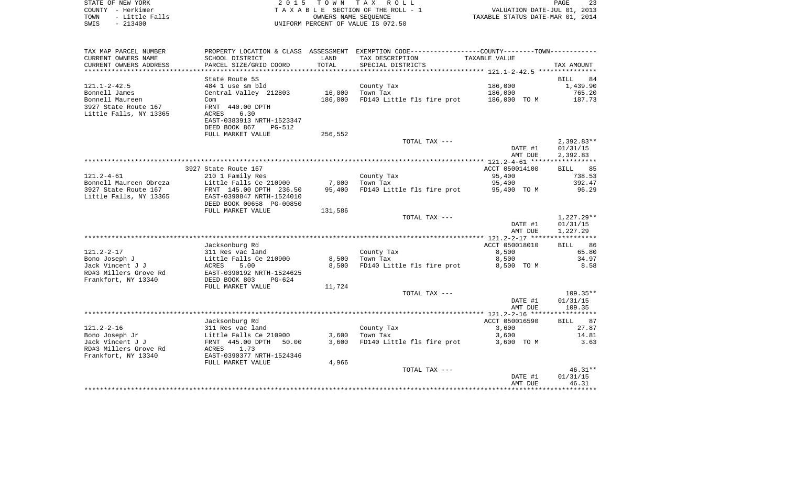| STATE OF NEW YORK<br>COUNTY - Herkimer<br>TOWN<br>- Little Falls<br>$-213400$<br>SWIS | 2 0 1 5                                                        |                 | TOWN TAX ROLL<br>TAXABLE SECTION OF THE ROLL - 1<br>[0, 1]<br>OWNERS NAME SEOUENCE<br>UNIFORM PERCENT OF VALUE IS 072.50 | VALUATION DATE-JUL 01, 2013<br>TAXABLE STATUS DATE-MAR 01, 2014 | PAGE<br>23                           |
|---------------------------------------------------------------------------------------|----------------------------------------------------------------|-----------------|--------------------------------------------------------------------------------------------------------------------------|-----------------------------------------------------------------|--------------------------------------|
|                                                                                       |                                                                |                 |                                                                                                                          |                                                                 |                                      |
| TAX MAP PARCEL NUMBER                                                                 |                                                                |                 | PROPERTY LOCATION & CLASS ASSESSMENT EXEMPTION CODE---------------COUNTY-------TOWN----------                            |                                                                 |                                      |
| CURRENT OWNERS NAME<br>CURRENT OWNERS ADDRESS<br>**************************           | SCHOOL DISTRICT<br>PARCEL SIZE/GRID COORD                      | LAND<br>TOTAL   | TAX DESCRIPTION<br>SPECIAL DISTRICTS                                                                                     | TAXABLE VALUE                                                   | TAX AMOUNT                           |
|                                                                                       | State Route 5S                                                 |                 |                                                                                                                          |                                                                 | 84<br>BILL                           |
| 121.1-2-42.5                                                                          | 484 1 use sm bld                                               |                 | County Tax                                                                                                               | 186,000                                                         | 1,439.90                             |
| Bonnell James                                                                         | Central Valley 212803                                          |                 | 16,000 Town Tax                                                                                                          | 186,000                                                         | 765.20                               |
| Bonnell Maureen<br>3927 State Route 167<br>Little Falls, NY 13365                     | Com<br>FRNT 440.00 DPTH<br>ACRES<br>6.30                       | 186,000         | FD140 Little fls fire prot 186,000 TO M                                                                                  |                                                                 | 187.73                               |
|                                                                                       | EAST-0383913 NRTH-1523347<br>DEED BOOK 867<br>PG-512           |                 |                                                                                                                          |                                                                 |                                      |
|                                                                                       | FULL MARKET VALUE                                              | 256,552         |                                                                                                                          |                                                                 |                                      |
|                                                                                       |                                                                |                 | TOTAL TAX ---                                                                                                            | DATE #1<br>AMT DUE                                              | $2,392.83**$<br>01/31/15<br>2,392.83 |
|                                                                                       |                                                                |                 |                                                                                                                          |                                                                 |                                      |
|                                                                                       | 3927 State Route 167                                           |                 |                                                                                                                          | ACCT 050014100                                                  | BILL 85                              |
| 121.2-4-61                                                                            | 210 1 Family Res                                               |                 | County Tax                                                                                                               | 95,400                                                          | 738.53                               |
| Bonnell Maureen Obreza<br>3927 State Route 167                                        | Little Falls Ce 210900<br>FRNT 145.00 DPTH 236.50              | 7,000<br>95,400 | Town Tax<br>FD140 Little fls fire prot 95,400 TO M                                                                       | 95,400                                                          | 392.47<br>96.29                      |
| Little Falls, NY 13365                                                                | EAST-0390847 NRTH-1524010<br>DEED BOOK 00658 PG-00850          |                 |                                                                                                                          |                                                                 |                                      |
|                                                                                       | FULL MARKET VALUE                                              | 131,586         |                                                                                                                          |                                                                 |                                      |
|                                                                                       |                                                                |                 | TOTAL TAX ---                                                                                                            | DATE #1                                                         | $1,227.29**$<br>01/31/15             |
|                                                                                       |                                                                |                 |                                                                                                                          | AMT DUE                                                         | 1,227.29                             |
|                                                                                       |                                                                |                 |                                                                                                                          |                                                                 |                                      |
|                                                                                       | Jacksonburg Rd                                                 |                 |                                                                                                                          | ACCT 050018010                                                  | BILL 86                              |
| 121.2-2-17<br>Bono Joseph J                                                           | 311 Res vac land<br>Little Falls Ce 210900<br>ACRES       5.00 | 8,500           | County Tax<br>Town Tax                                                                                                   | 8,500<br>8,500                                                  | 65.80<br>34.97                       |
| Jack Vincent J J                                                                      |                                                                | 8,500           | FD140 Little fls fire prot                                                                                               | 8,500 TO M                                                      | 8.58                                 |
| RD#3 Millers Grove Rd<br>Frankfort, NY 13340                                          |                                                                |                 |                                                                                                                          |                                                                 |                                      |
|                                                                                       | FULL MARKET VALUE                                              | 11,724          |                                                                                                                          |                                                                 |                                      |
|                                                                                       |                                                                |                 | TOTAL TAX ---                                                                                                            |                                                                 | $109.35**$                           |
|                                                                                       |                                                                |                 |                                                                                                                          | DATE #1                                                         | 01/31/15                             |
|                                                                                       |                                                                |                 |                                                                                                                          | AMT DUE                                                         | 109.35                               |
|                                                                                       |                                                                |                 |                                                                                                                          |                                                                 |                                      |
|                                                                                       | Jacksonburg Rd                                                 |                 |                                                                                                                          | ACCT 050016590                                                  | BILL 87<br>27.87                     |
| 121.2-2-16<br>Bono Joseph Jr                                                          | 311 Res vac land<br>Little Falls Ce 210900                     | 3,600           | County Tax<br>Town Tax                                                                                                   | 3,600<br>3,600                                                  | 14.81                                |
| Jack Vincent J J                                                                      | FRNT 445.00 DPTH 50.00                                         | 3,600           | FD140 Little fls fire prot                                                                                               | 3,600 TO M                                                      | 3.63                                 |
| RD#3 Millers Grove Rd<br>Frankfort, NY 13340                                          | ACRES 1.73<br>EAST-0390377 NRTH-1524346                        |                 |                                                                                                                          |                                                                 |                                      |
|                                                                                       | FULL MARKET VALUE                                              | 4,966           |                                                                                                                          |                                                                 |                                      |
|                                                                                       |                                                                |                 | TOTAL TAX ---                                                                                                            |                                                                 | $46.31**$                            |
|                                                                                       |                                                                |                 |                                                                                                                          | DATE #1                                                         | 01/31/15                             |
|                                                                                       |                                                                |                 |                                                                                                                          | AMT DUE                                                         | 46.31                                |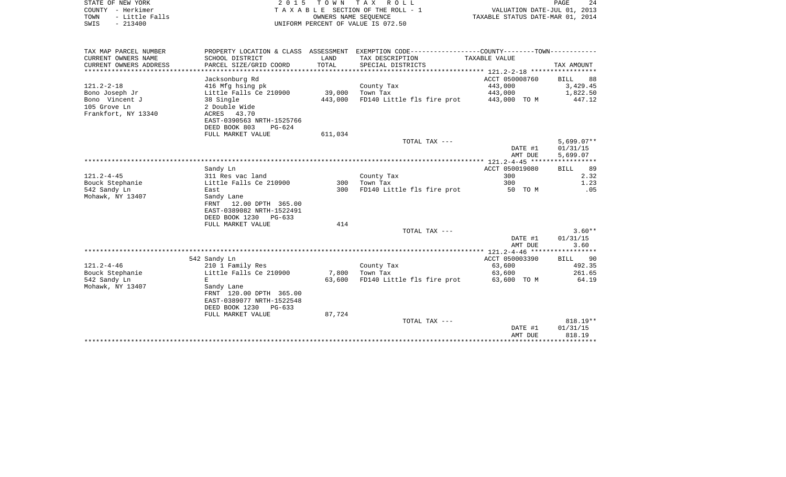| TOWN<br>- Little Falls |                                      |             | OWNERS NAME SEQUENCE                                        | TAXABLE STATUS DATE-MAR 01, 2014 |                          |
|------------------------|--------------------------------------|-------------|-------------------------------------------------------------|----------------------------------|--------------------------|
| SWIS<br>$-213400$      |                                      |             | UNIFORM PERCENT OF VALUE IS 072.50                          |                                  |                          |
| TAX MAP PARCEL NUMBER  | PROPERTY LOCATION & CLASS ASSESSMENT |             | EXEMPTION CODE-----------------COUNTY-------TOWN----------- |                                  |                          |
| CURRENT OWNERS NAME    | SCHOOL DISTRICT                      | LAND        | TAX DESCRIPTION                                             | TAXABLE VALUE                    |                          |
| CURRENT OWNERS ADDRESS | PARCEL SIZE/GRID COORD               | TOTAL       | SPECIAL DISTRICTS                                           |                                  | TAX AMOUNT               |
| ********************   |                                      | *********** |                                                             |                                  |                          |
|                        | Jacksonburg Rd                       |             |                                                             | ACCT 050008760                   | <b>BILL</b><br>88        |
| 121.2-2-18             | 416 Mfg hsing pk                     |             | County Tax                                                  | 443,000                          | 3,429.45                 |
| Bono Joseph Jr         | Little Falls Ce 210900               | 39,000      | Town Tax                                                    | 443,000                          | 1,822.50                 |
| Bono Vincent J         | 38 Single                            | 443,000     | FD140 Little fls fire prot                                  | 443,000 TO M                     | 447.12                   |
| 105 Grove Ln           | 2 Double Wide                        |             |                                                             |                                  |                          |
| Frankfort, NY 13340    | ACRES 43.70                          |             |                                                             |                                  |                          |
|                        | EAST-0390563 NRTH-1525766            |             |                                                             |                                  |                          |
|                        | DEED BOOK 803<br>PG-624              |             |                                                             |                                  |                          |
|                        | FULL MARKET VALUE                    | 611,034     |                                                             |                                  |                          |
|                        |                                      |             | TOTAL TAX ---                                               | DATE #1                          | $5,699.07**$<br>01/31/15 |
|                        |                                      |             |                                                             | AMT DUE                          | 5,699.07                 |
|                        |                                      |             |                                                             |                                  |                          |
|                        | Sandy Ln                             |             |                                                             | ACCT 050019080                   | 89<br>BILL               |
| $121.2 - 4 - 45$       | 311 Res vac land                     |             | County Tax                                                  | 300                              | 2.32                     |
| Bouck Stephanie        | Little Falls Ce 210900               | 300         | Town Tax                                                    | 300                              | 1.23                     |
| 542 Sandy Ln           | East                                 | 300         | FD140 Little fls fire prot                                  | 50 TO M                          | .05                      |
| Mohawk, NY 13407       | Sandy Lane                           |             |                                                             |                                  |                          |
|                        | FRNT<br>12.00 DPTH 365.00            |             |                                                             |                                  |                          |
|                        | EAST-0389082 NRTH-1522491            |             |                                                             |                                  |                          |
|                        | DEED BOOK 1230<br>$PG-633$           |             |                                                             |                                  |                          |
|                        | FULL MARKET VALUE                    | 414         |                                                             |                                  |                          |
|                        |                                      |             | TOTAL TAX ---                                               |                                  | $3.60**$                 |
|                        |                                      |             |                                                             | DATE #1                          | 01/31/15                 |
|                        |                                      |             |                                                             | AMT DUE                          | 3.60                     |
|                        | 542 Sandy Ln                         |             |                                                             | ACCT 050003390                   | <b>BILL</b><br>-90       |
| $121.2 - 4 - 46$       | 210 1 Family Res                     |             | County Tax                                                  | 63,600                           | 492.35                   |
| Bouck Stephanie        | Little Falls Ce 210900               | 7,800       | Town Tax                                                    | 63,600                           | 261.65                   |
| 542 Sandy Ln           | E                                    | 63,600      | FD140 Little fls fire prot                                  | 63,600 TO M                      | 64.19                    |
| Mohawk, NY 13407       | Sandy Lane                           |             |                                                             |                                  |                          |
|                        | FRNT 120.00 DPTH 365.00              |             |                                                             |                                  |                          |
|                        | EAST-0389077 NRTH-1522548            |             |                                                             |                                  |                          |
|                        | DEED BOOK 1230<br>$PG-633$           |             |                                                             |                                  |                          |
|                        | FULL MARKET VALUE                    | 87,724      |                                                             |                                  |                          |
|                        |                                      |             | TOTAL TAX ---                                               |                                  | 818.19**                 |
|                        |                                      |             |                                                             | DATE #1                          | 01/31/15                 |
|                        |                                      |             |                                                             | AMT DUE                          | 818.19                   |
|                        |                                      |             |                                                             |                                  |                          |

STATE OF NEW YORK 2 0 1 5 T O W N T A X R O L L PAGE 24 COUNTY - Herkimer T A X A B L E SECTION OF THE ROLL - 1 VALUATION DATE-JUL 01, 2013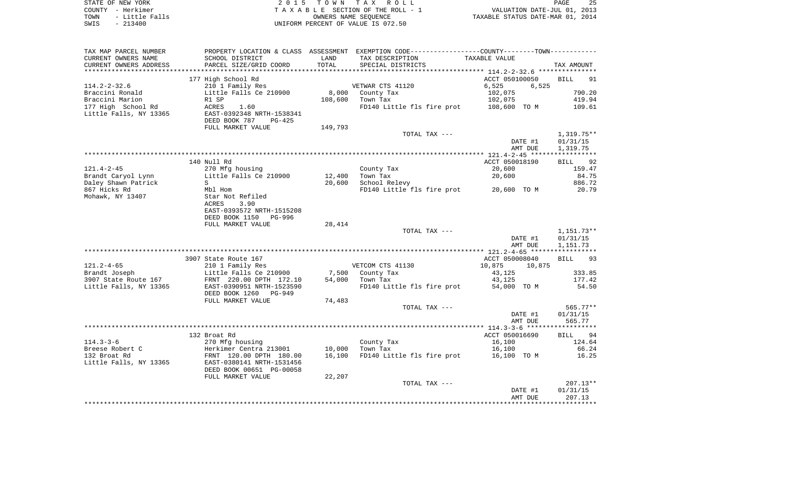| STATE OF NEW YORK      | 2015 TOWN TAX ROLL                 | - 25<br>PAGE                     |
|------------------------|------------------------------------|----------------------------------|
| COUNTY - Herkimer      | TAXABLE SECTION OF THE ROLL - 1    | VALUATION DATE-JUL 01, 2013      |
| TOWN<br>- Little Falls | OWNERS NAME SEOUENCE               | TAXABLE STATUS DATE-MAR 01, 2014 |
| SWIS<br>$-213400$      | UNIFORM PERCENT OF VALUE IS 072.50 |                                  |
|                        |                                    |                                  |
|                        |                                    |                                  |

TAX MAP PARCEL NUMBER PROPERTY LOCATION & CLASS ASSESSMENT EXEMPTION CODE------------------COUNTY--------TOWN------------

| CURRENT OWNERS NAME    | SCHOOL DISTRICT                 | LAND    | TAX DESCRIPTION            | TAXABLE VALUE                |                   |
|------------------------|---------------------------------|---------|----------------------------|------------------------------|-------------------|
| CURRENT OWNERS ADDRESS | PARCEL SIZE/GRID COORD          | TOTAL   | SPECIAL DISTRICTS          |                              | TAX AMOUNT        |
|                        |                                 |         |                            | ******** 114.2-2-32.6 ****** |                   |
|                        | 177 High School Rd              |         |                            | ACCT 050100050               | <b>BILL</b><br>91 |
| $114.2 - 2 - 32.6$     | 210 1 Family Res                |         | VETWAR CTS 41120           | 6,525<br>6,525               |                   |
| Braccini Ronald        | Little Falls Ce 210900          | 8,000   | County Tax                 | 102,075                      | 790.20            |
| Braccini Marion        | R1 SP                           | 108,600 | Town Tax                   | 102,075                      | 419.94            |
| 177 High School Rd     | ACRES<br>1.60                   |         | FD140 Little fls fire prot | 108,600 TO M                 | 109.61            |
| Little Falls, NY 13365 | EAST-0392348 NRTH-1538341       |         |                            |                              |                   |
|                        | DEED BOOK 787<br>$PG-425$       |         |                            |                              |                   |
|                        | FULL MARKET VALUE               | 149,793 |                            |                              |                   |
|                        |                                 |         | TOTAL TAX ---              |                              | $1,319.75**$      |
|                        |                                 |         |                            | DATE #1                      | 01/31/15          |
|                        |                                 |         |                            | AMT DUE                      | 1,319.75          |
|                        |                                 |         |                            |                              |                   |
|                        | 140 Null Rd                     |         |                            | ACCT 050018190               | <b>BILL</b><br>92 |
| $121.4 - 2 - 45$       | 270 Mfg housing                 |         | County Tax                 | 20,600                       | 159.47            |
| Brandt Caryol Lynn     | Little Falls Ce 210900          | 12,400  | Town Tax                   | 20,600                       | 84.75             |
| Daley Shawn Patrick    | S                               | 20,600  | School Relevy              |                              | 886.72            |
| 867 Hicks Rd           | Mbl Hom                         |         | FD140 Little fls fire prot | 20,600 TO M                  | 20.79             |
| Mohawk, NY 13407       | Star Not Refiled                |         |                            |                              |                   |
|                        | 3.90<br>ACRES                   |         |                            |                              |                   |
|                        | EAST-0393572 NRTH-1515208       |         |                            |                              |                   |
|                        | DEED BOOK 1150<br>PG-996        |         |                            |                              |                   |
|                        | FULL MARKET VALUE               | 28,414  |                            |                              |                   |
|                        |                                 |         | TOTAL TAX ---              |                              | $1,151.73**$      |
|                        |                                 |         |                            | DATE #1                      |                   |
|                        |                                 |         |                            | AMT DUE                      | 01/31/15          |
|                        |                                 |         |                            |                              | 1,151.73<br>***** |
|                        |                                 |         |                            |                              |                   |
|                        | 3907 State Route 167            |         |                            | ACCT 050008040               | 93<br><b>BILL</b> |
| $121.2 - 4 - 65$       | 210 1 Family Res                |         | VETCOM CTS 41130           | 10,875<br>10,875             |                   |
| Brandt Joseph          | Little Falls Ce 210900          | 7,500   | County Tax                 | 43,125                       | 333.85            |
| 3907 State Route 167   | FRNT 220.00 DPTH 172.10         | 54,000  | Town Tax                   | 43,125                       | 177.42            |
| Little Falls, NY 13365 | EAST-0390951 NRTH-1523590       |         | FD140 Little fls fire prot | 54,000 TO M                  | 54.50             |
|                        | DEED BOOK 1260<br><b>PG-949</b> |         |                            |                              |                   |
|                        | FULL MARKET VALUE               | 74,483  |                            |                              |                   |
|                        |                                 |         | TOTAL TAX ---              |                              | 565.77**          |
|                        |                                 |         |                            | DATE #1                      | 01/31/15          |
|                        |                                 |         |                            | AMT DUE                      | 565.77            |
|                        |                                 |         |                            |                              |                   |
|                        | 132 Broat Rd                    |         |                            | ACCT 050016690               | 94<br><b>BILL</b> |
| $114.3 - 3 - 6$        | 270 Mfg housing                 |         | County Tax                 | 16,100                       | 124.64            |
| Breese Robert C        | Herkimer Centra 213001          | 10,000  | Town Tax                   | 16,100                       | 66.24             |
| 132 Broat Rd           | FRNT 120.00 DPTH 180.00         | 16,100  | FD140 Little fls fire prot | 16,100 TO M                  | 16.25             |
| Little Falls, NY 13365 | EAST-0380141 NRTH-1531456       |         |                            |                              |                   |
|                        | DEED BOOK 00651 PG-00058        |         |                            |                              |                   |
|                        | FULL MARKET VALUE               | 22,207  |                            |                              |                   |
|                        |                                 |         | TOTAL TAX ---              |                              | $207.13**$        |
|                        |                                 |         |                            | DATE #1                      | 01/31/15          |
|                        |                                 |         |                            | AMT DUE                      | 207.13            |
|                        |                                 |         |                            |                              |                   |
|                        |                                 |         |                            |                              |                   |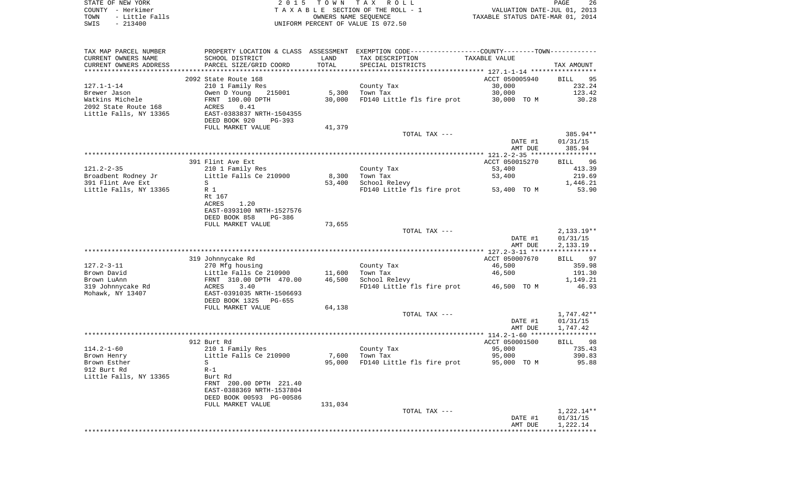| STATE OF NEW YORK                             | 2 0 1 5                                   | T O W N       | T A X<br>R O L L                                            |                                            | 26<br>PAGE                        |
|-----------------------------------------------|-------------------------------------------|---------------|-------------------------------------------------------------|--------------------------------------------|-----------------------------------|
| COUNTY - Herkimer                             |                                           |               | TAXABLE SECTION OF THE ROLL - 1                             | VALUATION DATE-JUL 01, 2013                |                                   |
| - Little Falls<br>TOWN                        |                                           |               | OWNERS NAME SEOUENCE                                        | TAXABLE STATUS DATE-MAR 01, 2014           |                                   |
| SWIS<br>$-213400$                             |                                           |               | UNIFORM PERCENT OF VALUE IS 072.50                          |                                            |                                   |
|                                               |                                           |               |                                                             |                                            |                                   |
| TAX MAP PARCEL NUMBER                         | PROPERTY LOCATION & CLASS                 | ASSESSMENT    | EXEMPTION CODE-----------------COUNTY-------TOWN----------- |                                            |                                   |
| CURRENT OWNERS NAME<br>CURRENT OWNERS ADDRESS | SCHOOL DISTRICT<br>PARCEL SIZE/GRID COORD | LAND<br>TOTAL | TAX DESCRIPTION<br>SPECIAL DISTRICTS                        | TAXABLE VALUE                              | TAX AMOUNT                        |
|                                               |                                           |               |                                                             |                                            |                                   |
|                                               | 2092 State Route 168                      |               |                                                             | ACCT 050005940                             | 95<br>BILL                        |
| $127.1 - 1 - 14$                              | 210 1 Family Res                          |               | County Tax                                                  | 30,000                                     | 232.24                            |
| Brewer Jason                                  | Owen D Young<br>215001                    | 5,300         | Town Tax                                                    | 30,000                                     | 123.42                            |
| Watkins Michele                               | FRNT 100.00 DPTH                          | 30,000        | FD140 Little fls fire prot                                  | 30,000<br>TO M                             | 30.28                             |
| 2092 State Route 168                          | 0.41<br>ACRES                             |               |                                                             |                                            |                                   |
| Little Falls, NY 13365                        | EAST-0383837 NRTH-1504355                 |               |                                                             |                                            |                                   |
|                                               | DEED BOOK 920<br>$PG-393$                 |               |                                                             |                                            |                                   |
|                                               | FULL MARKET VALUE                         | 41,379        |                                                             |                                            |                                   |
|                                               |                                           |               | TOTAL TAX ---                                               |                                            | 385.94**                          |
|                                               |                                           |               |                                                             | DATE #1                                    | 01/31/15<br>385.94                |
|                                               |                                           |               |                                                             | AMT DUE<br>************* 121.2-2-35 ****** | * * * * * * * * * * *             |
|                                               | 391 Flint Ave Ext                         |               |                                                             | ACCT 050015270                             | 96<br><b>BILL</b>                 |
| $121.2 - 2 - 35$                              | 210 1 Family Res                          |               | County Tax                                                  | 53,400                                     | 413.39                            |
| Broadbent Rodney Jr                           | Little Falls Ce 210900                    | 8,300         | Town Tax                                                    | 53,400                                     | 219.69                            |
| 391 Flint Ave Ext                             | S                                         | 53,400        | School Relevy                                               |                                            | 1,446.21                          |
| Little Falls, NY 13365                        | R 1                                       |               | FD140 Little fls fire prot                                  | 53,400 TO M                                | 53.90                             |
|                                               | Rt 167                                    |               |                                                             |                                            |                                   |
|                                               | ACRES<br>1.20                             |               |                                                             |                                            |                                   |
|                                               | EAST-0393100 NRTH-1527576                 |               |                                                             |                                            |                                   |
|                                               | DEED BOOK 858<br>PG-386                   |               |                                                             |                                            |                                   |
|                                               | FULL MARKET VALUE                         | 73,655        |                                                             |                                            |                                   |
|                                               |                                           |               | TOTAL TAX ---                                               |                                            | 2,133.19**                        |
|                                               |                                           |               |                                                             | DATE #1<br>AMT DUE                         | 01/31/15<br>2,133.19              |
|                                               | *******************                       |               | ********************************                            | *** $127.2 - 3 - 11$ *****                 | * * * * * * * * * * *             |
|                                               | 319 Johnnycake Rd                         |               |                                                             | ACCT 050007670                             | 97<br>BILL                        |
| $127.2 - 3 - 11$                              | 270 Mfg housing                           |               | County Tax                                                  | 46,500                                     | 359.98                            |
| Brown David                                   | Little Falls Ce 210900                    | 11,600        | Town Tax                                                    | 46,500                                     | 191.30                            |
| Brown LuAnn                                   | FRNT 310.00 DPTH 470.00                   | 46,500        | School Relevy                                               |                                            | 1,149.21                          |
| 319 Johnnycake Rd                             | 3.40<br>ACRES                             |               | FD140 Little fls fire prot                                  | 46,500 TO M                                | 46.93                             |
| Mohawk, NY 13407                              | EAST-0391035 NRTH-1506693                 |               |                                                             |                                            |                                   |
|                                               | DEED BOOK 1325<br>$PG-655$                |               |                                                             |                                            |                                   |
|                                               | FULL MARKET VALUE                         | 64,138        |                                                             |                                            |                                   |
|                                               |                                           |               | TOTAL TAX ---                                               |                                            | 1,747.42**                        |
|                                               |                                           |               |                                                             | DATE #1                                    | 01/31/15                          |
|                                               | ******************                        |               | **********************                                      | AMT DUE<br>**** 114.2-1-60 ***             | 1,747.42<br>* * * * * * * * * * * |
|                                               | 912 Burt Rd                               |               |                                                             | ACCT 050001500                             | 98<br>BILL                        |
| $114.2 - 1 - 60$                              | 210 1 Family Res                          |               | County Tax                                                  | 95,000                                     | 735.43                            |
| Brown Henry                                   | Little Falls Ce 210900                    | 7,600         | Town Tax                                                    | 95,000                                     | 390.83                            |
| Brown Esther                                  | S                                         | 95,000        | FD140 Little fls fire prot                                  | 95,000 TO M                                | 95.88                             |
| 912 Burt Rd                                   | $R-1$                                     |               |                                                             |                                            |                                   |

\*\*\*\*\*\*\*\*\*\*\*\*\*\*\*\*\*\*\*\*\*\*\*\*\*\*\*\*\*\*\*\*\*\*\*\*\*\*\*\*\*\*\*\*\*\*\*\*\*\*\*\*\*\*\*\*\*\*\*\*\*\*\*\*\*\*\*\*\*\*\*\*\*\*\*\*\*\*\*\*\*\*\*\*\*\*\*\*\*\*\*\*\*\*\*\*\*\*\*\*\*\*\*\*\*\*\*\*\*\*\*\*\*\*\*\*\*\*\*\*\*\*\*\*\*\*\*\*\*\*\*\*

TOTAL TAX  $---$  1,222.14\*\*

DATE #1 01/31/15 AMT DUE 1,222.14

Little Falls, NY 13365

Burt Rd

 FRNT 200.00 DPTH 221.40 EAST-0388369 NRTH-1537804 DEED BOOK 00593 PG-00586

FULL MARKET VALUE 131,034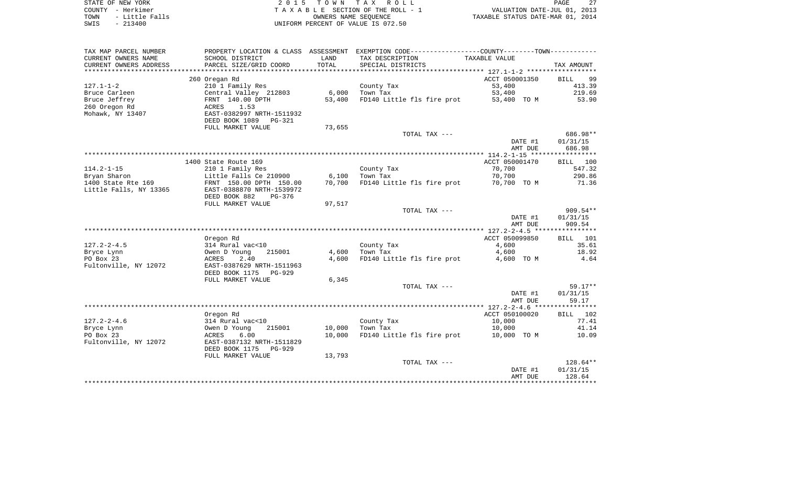| STATE OF NEW YORK      | 2015 TOWN TAX ROLL                 | $\cap$<br>PAGE                   |
|------------------------|------------------------------------|----------------------------------|
| – Herkimer<br>COUNTY   | TAXABLE SECTION OF THE ROLL - 1    | VALUATION DATE-JUL 01, 2013      |
| - Little Falls<br>TOWN | OWNERS NAME SEOUENCE               | TAXABLE STATUS DATE-MAR 01, 2014 |
| $-213400$<br>SWIS      | UNIFORM PERCENT OF VALUE IS 072.50 |                                  |

| TAX MAP PARCEL NUMBER  | PROPERTY LOCATION & CLASS ASSESSMENT |        | EXEMPTION CODE-----------------COUNTY--------TOWN----------- |                |                   |
|------------------------|--------------------------------------|--------|--------------------------------------------------------------|----------------|-------------------|
| CURRENT OWNERS NAME    | SCHOOL DISTRICT                      | LAND   | TAX DESCRIPTION                                              | TAXABLE VALUE  |                   |
| CURRENT OWNERS ADDRESS | PARCEL SIZE/GRID COORD               | TOTAL  | SPECIAL DISTRICTS                                            |                | TAX AMOUNT        |
| *******************    |                                      |        |                                                              |                |                   |
|                        | 260 Oregan Rd                        |        |                                                              | ACCT 050001350 | <b>BILL</b><br>99 |
| $127.1 - 1 - 2$        | 210 1 Family Res                     |        | County Tax                                                   | 53,400         | 413.39            |
| Bruce Carleen          | Central Valley 212803                | 6,000  | Town Tax                                                     | 53,400         | 219.69            |
| Bruce Jeffrey          | FRNT 140.00 DPTH                     | 53,400 | FD140 Little fls fire prot                                   | 53,400 TO M    | 53.90             |
| 260 Oregon Rd          | ACRES<br>1.53                        |        |                                                              |                |                   |
| Mohawk, NY 13407       | EAST-0382997 NRTH-1511932            |        |                                                              |                |                   |
|                        | DEED BOOK 1089<br>PG-321             |        |                                                              |                |                   |
|                        | FULL MARKET VALUE                    | 73,655 | TOTAL TAX ---                                                |                | 686.98**          |
|                        |                                      |        |                                                              | DATE #1        | 01/31/15          |
|                        |                                      |        |                                                              | AMT DUE        | 686.98            |
|                        |                                      |        |                                                              |                |                   |
|                        | 1400 State Route 169                 |        |                                                              | ACCT 050001470 | BILL 100          |
| $114.2 - 1 - 15$       | 210 1 Family Res                     |        | County Tax                                                   | 70,700         | 547.32            |
| Bryan Sharon           | Little Falls Ce 210900               | 6,100  | Town Tax                                                     | 70,700         | 290.86            |
| 1400 State Rte 169     | FRNT 150.00 DPTH 150.00              | 70,700 | FD140 Little fls fire prot                                   | 70,700 TO M    | 71.36             |
| Little Falls, NY 13365 | EAST-0388870 NRTH-1539972            |        |                                                              |                |                   |
|                        | DEED BOOK 882<br>$PG-376$            |        |                                                              |                |                   |
|                        | FULL MARKET VALUE                    | 97,517 |                                                              |                |                   |
|                        |                                      |        | TOTAL TAX ---                                                |                | $909.54**$        |
|                        |                                      |        |                                                              | DATE #1        | 01/31/15          |
|                        |                                      |        |                                                              | AMT DUE        | 909.54            |
|                        |                                      |        |                                                              |                |                   |
|                        | Oregon Rd                            |        |                                                              | ACCT 050099850 | BILL 101          |
| $127.2 - 2 - 4.5$      | 314 Rural vac<10                     |        | County Tax                                                   | 4,600          | 35.61             |
| Bryce Lynn             | Owen D Young<br>215001               | 4,600  | Town Tax                                                     | 4,600          | 18.92             |
| PO Box 23              | 2.40<br>ACRES                        | 4,600  | FD140 Little fls fire prot                                   | 4,600 TO M     | 4.64              |
| Fultonville, NY 12072  | EAST-0387629 NRTH-1511963            |        |                                                              |                |                   |
|                        | DEED BOOK 1175<br>PG-929             |        |                                                              |                |                   |
|                        | FULL MARKET VALUE                    | 6,345  |                                                              |                | $59.17**$         |
|                        |                                      |        | TOTAL TAX ---                                                | DATE #1        | 01/31/15          |
|                        |                                      |        |                                                              | AMT DUE        | 59.17             |
|                        |                                      |        |                                                              |                |                   |
|                        | Oregon Rd                            |        |                                                              | ACCT 050100020 | 102<br>BILL       |
| $127.2 - 2 - 4.6$      | 314 Rural vac<10                     |        | County Tax                                                   | 10,000         | 77.41             |
| Bryce Lynn             | 215001<br>Owen D Young               | 10,000 | Town Tax                                                     | 10,000         | 41.14             |
| PO Box 23              | ACRES<br>6.00                        | 10,000 | FD140 Little fls fire prot                                   | 10,000 TO M    | 10.09             |
| Fultonville, NY 12072  | EAST-0387132 NRTH-1511829            |        |                                                              |                |                   |
|                        | DEED BOOK 1175<br><b>PG-929</b>      |        |                                                              |                |                   |
|                        | FULL MARKET VALUE                    | 13,793 |                                                              |                |                   |
|                        |                                      |        | TOTAL TAX ---                                                |                | $128.64**$        |
|                        |                                      |        |                                                              | DATE #1        | 01/31/15          |
|                        |                                      |        |                                                              | AMT DUE        | 128.64            |
|                        |                                      |        |                                                              |                |                   |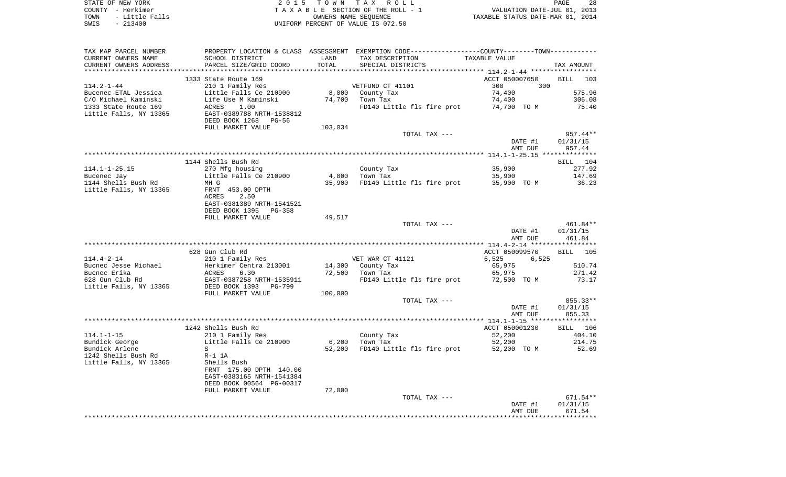| STATE OF NEW YORK      | 2015 TOWN TAX ROLL                 | 28<br>PAGE                       |
|------------------------|------------------------------------|----------------------------------|
| COUNTY - Herkimer      | TAXABLE SECTION OF THE ROLL - 1    | VALUATION DATE-JUL 01, 2013      |
| - Little Falls<br>TOWN | OWNERS NAME SEOUENCE               | TAXABLE STATUS DATE-MAR 01, 2014 |
| $-213400$<br>SWIS      | UNIFORM PERCENT OF VALUE IS 072.50 |                                  |

| TAX MAP PARCEL NUMBER  | PROPERTY LOCATION & CLASS ASSESSMENT EXEMPTION CODE---------------COUNTY-------TOWN---------- |         |                                          |                                        |                    |
|------------------------|-----------------------------------------------------------------------------------------------|---------|------------------------------------------|----------------------------------------|--------------------|
| CURRENT OWNERS NAME    | SCHOOL DISTRICT                                                                               | LAND    | TAX DESCRIPTION                          | TAXABLE VALUE                          |                    |
| CURRENT OWNERS ADDRESS | PARCEL SIZE/GRID COORD                                                                        | TOTAL   | SPECIAL DISTRICTS                        |                                        | TAX AMOUNT         |
|                        | 1333 State Route 169                                                                          |         |                                          | ACCT 050007650                         | BILL 103           |
| $114.2 - 1 - 44$       | 210 1 Family Res                                                                              |         | VETFUND CT 41101                         | 300<br>300                             |                    |
| Bucenec ETAL Jessica   | Little Falls Ce 210900                                                                        |         | 8,000 County Tax                         | 74,400                                 | 575.96             |
| C/O Michael Kaminski   |                                                                                               | 74,700  | Town Tax                                 | 74,400                                 | 306.08             |
| 1333 State Route 169   | Life Use M Kaminski<br>Life Use M Kaminski                                                    |         |                                          | FD140 Little fls fire prot 74,700 TO M | 75.40              |
| Little Falls, NY 13365 | ACRES 1.00<br>EAST-0389788 NRTH-1538812                                                       |         |                                          |                                        |                    |
|                        | DEED BOOK 1268<br>PG-56                                                                       |         |                                          |                                        |                    |
|                        | FULL MARKET VALUE                                                                             | 103,034 |                                          |                                        |                    |
|                        |                                                                                               |         | TOTAL TAX ---                            |                                        | 957.44**           |
|                        |                                                                                               |         |                                          | DATE #1                                | 01/31/15           |
|                        |                                                                                               |         |                                          | AMT DUE                                | 957.44             |
|                        |                                                                                               |         |                                          |                                        |                    |
|                        | 1144 Shells Bush Rd                                                                           |         |                                          |                                        | BILL 104           |
| $114.1 - 1 - 25.15$    | 270 Mfg housing                                                                               |         | County Tax                               | 35,900                                 | 277.92             |
| Bucenec Jay            | Little Falls Ce 210900                                                                        | 4,800   | Town Tax                                 | 35,900                                 | 147.69             |
| 1144 Shells Bush Rd    | MH G                                                                                          | 35,900  | FD140 Little fls fire prot               | 35,900 TO M                            | 36.23              |
| Little Falls, NY 13365 | FRNT 453.00 DPTH                                                                              |         |                                          |                                        |                    |
|                        | 2.50<br>ACRES                                                                                 |         |                                          |                                        |                    |
|                        | EAST-0381389 NRTH-1541521                                                                     |         |                                          |                                        |                    |
|                        | DEED BOOK 1395 PG-358                                                                         |         |                                          |                                        |                    |
|                        | FULL MARKET VALUE                                                                             | 49,517  |                                          |                                        |                    |
|                        |                                                                                               |         | TOTAL TAX ---                            |                                        | 461.84**           |
|                        |                                                                                               |         |                                          | DATE #1                                | 01/31/15           |
|                        |                                                                                               |         |                                          | AMT DUE                                | 461.84             |
|                        |                                                                                               |         |                                          |                                        |                    |
|                        | 628 Gun Club Rd                                                                               |         |                                          | ACCT 050099570                         | BILL 105           |
| $114.4 - 2 - 14$       | 210 1 Family Res                                                                              |         | VET WAR CT 41121                         | 6,525<br>6,525                         |                    |
| Bucnec Jesse Michael   | Herkimer Centra 213001                                                                        |         | 14,300 County Tax                        | 65,975                                 | 510.74             |
| Bucnec Erika           | ACRES 6.30<br>EAST-0387258 NRTH-1535911<br>DEED BOOK 1393 PG-799                              |         | 72,500 Town Tax                          | 65,975                                 | 271.42             |
| 628 Gun Club Rd        |                                                                                               |         | FD140 Little fls fire prot 72,500 TO M   |                                        | 73.17              |
| Little Falls, NY 13365 |                                                                                               |         |                                          |                                        |                    |
|                        | FULL MARKET VALUE                                                                             | 100,000 |                                          |                                        |                    |
|                        |                                                                                               |         | TOTAL TAX ---                            |                                        | 855.33**           |
|                        |                                                                                               |         |                                          | DATE #1                                | 01/31/15<br>855.33 |
|                        |                                                                                               |         |                                          | AMT DUE                                |                    |
|                        | 1242 Shells Bush Rd                                                                           |         |                                          | ACCT 050001230                         | BILL 106           |
| $114.1 - 1 - 15$       | 210 1 Family Res                                                                              |         |                                          | 52,200                                 | 404.10             |
| Bundick George         | Little Falls Ce 210900                                                                        |         | County Tax<br>Town Tax<br>6,200 Town Tax | 52,200                                 | 214.75             |
| Bundick Arlene         | S                                                                                             |         | 52,200 FD140 Little fls fire prot        | 52,200 TO M                            | 52.69              |
| 1242 Shells Bush Rd    | $R-1$ 1A                                                                                      |         |                                          |                                        |                    |
| Little Falls, NY 13365 | Shells Bush                                                                                   |         |                                          |                                        |                    |
|                        | FRNT 175.00 DPTH 140.00                                                                       |         |                                          |                                        |                    |
|                        | EAST-0383165 NRTH-1541384                                                                     |         |                                          |                                        |                    |
|                        | DEED BOOK 00564 PG-00317                                                                      |         |                                          |                                        |                    |
|                        | FULL MARKET VALUE                                                                             | 72,000  |                                          |                                        |                    |
|                        |                                                                                               |         | TOTAL TAX ---                            |                                        | 671.54**           |
|                        |                                                                                               |         |                                          | DATE #1                                | 01/31/15           |
|                        |                                                                                               |         |                                          | AMT DUE                                | 671.54             |
|                        |                                                                                               |         |                                          |                                        |                    |
|                        |                                                                                               |         |                                          |                                        |                    |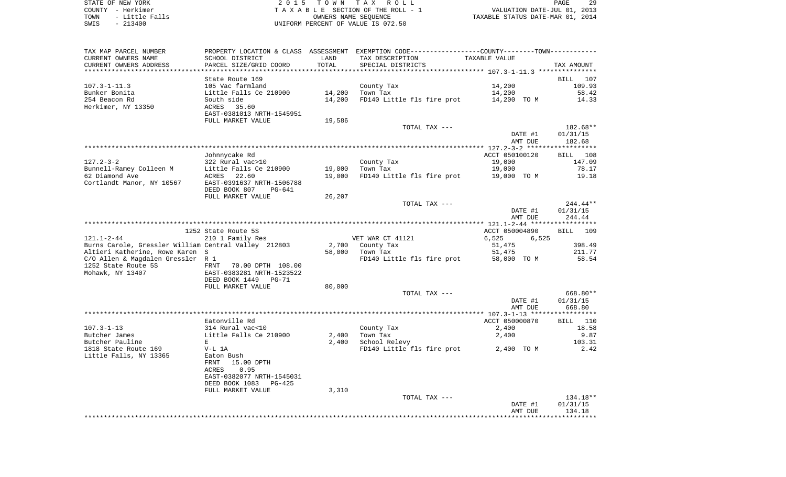STATE OF NEW YORK **EXECUTE:** TOWN TAX ROLL COUNTY - Herkimer<br>
T A X A B L E SECTION OF THE ROLL - 1<br>
TOWN - Little Falls<br>
SWIS - 213400 - 2013400 - UNIFORM PERCENT OF VALUE IS 072.50 TOWN - LITTLE FALLS ON THE ROLL - 1<br>
TAXABLE STATUS DATE-JUL 01, 2013<br>
OWNERS NAME SEQUENCE TAXABLE STATUS DATE-MAR 01, 2014 SWIS - 213400 UNIFORM PERCENT OF VALUE IS 072.50

PAGE 29

| TAX MAP PARCEL NUMBER                                |                            |        | PROPERTY LOCATION & CLASS ASSESSMENT EXEMPTION CODE---------------COUNTY-------TOWN--------- |                |                    |
|------------------------------------------------------|----------------------------|--------|----------------------------------------------------------------------------------------------|----------------|--------------------|
| CURRENT OWNERS NAME                                  | SCHOOL DISTRICT            | LAND   | TAX DESCRIPTION                                                                              | TAXABLE VALUE  |                    |
| CURRENT OWNERS ADDRESS                               | PARCEL SIZE/GRID COORD     | TOTAL  | SPECIAL DISTRICTS                                                                            |                | TAX AMOUNT         |
|                                                      |                            |        |                                                                                              |                |                    |
|                                                      | State Route 169            |        |                                                                                              |                | BILL 107           |
|                                                      |                            |        |                                                                                              |                |                    |
| $107.3 - 1 - 11.3$                                   | 105 Vac farmland           |        | County Tax                                                                                   | 14,200         | 109.93             |
| Bunker Bonita                                        | Little Falls Ce 210900     | 14,200 | Town Tax                                                                                     | 14,200         | 58.42              |
| 254 Beacon Rd                                        | South side                 | 14,200 | FD140 Little fls fire prot                                                                   | 14,200 TO M    | 14.33              |
| Herkimer, NY 13350                                   | ACRES<br>35.60             |        |                                                                                              |                |                    |
|                                                      | EAST-0381013 NRTH-1545951  |        |                                                                                              |                |                    |
|                                                      | FULL MARKET VALUE          | 19,586 |                                                                                              |                |                    |
|                                                      |                            |        | TOTAL TAX ---                                                                                |                | 182.68**           |
|                                                      |                            |        |                                                                                              | DATE #1        | 01/31/15           |
|                                                      |                            |        |                                                                                              | AMT DUE        | 182.68             |
|                                                      |                            |        |                                                                                              |                |                    |
|                                                      |                            |        |                                                                                              |                |                    |
|                                                      | Johnnycake Rd              |        |                                                                                              | ACCT 050100120 | BILL 108           |
| $127.2 - 3 - 2$                                      | 322 Rural vac>10           |        | County Tax                                                                                   | 19,000         | 147.09             |
| Bunnell-Ramey Colleen M                              | Little Falls Ce 210900     | 19,000 | Town Tax                                                                                     | 19,000         | 78.17              |
| 62 Diamond Ave                                       | 22.60<br>ACRES             | 19,000 | FD140 Little fls fire prot                                                                   | 19,000 TO M    | 19.18              |
| Cortlandt Manor, NY 10567                            | EAST-0391637 NRTH-1506788  |        |                                                                                              |                |                    |
|                                                      | DEED BOOK 807<br>PG-641    |        |                                                                                              |                |                    |
|                                                      | FULL MARKET VALUE          | 26,207 |                                                                                              |                |                    |
|                                                      |                            |        | TOTAL TAX ---                                                                                |                | $244.44**$         |
|                                                      |                            |        |                                                                                              |                |                    |
|                                                      |                            |        |                                                                                              | DATE #1        | 01/31/15           |
|                                                      |                            |        |                                                                                              | AMT DUE        | 244.44             |
|                                                      |                            |        |                                                                                              |                |                    |
|                                                      | 1252 State Route 5S        |        |                                                                                              | ACCT 050004890 | <b>BILL</b><br>109 |
| $121.1 - 2 - 44$                                     | 210 1 Family Res           |        | VET WAR CT 41121                                                                             | 6,525<br>6,525 |                    |
| Burns Carole, Gressler William Central Valley 212803 |                            | 2,700  | County Tax                                                                                   | 51,475         | 398.49             |
| Altieri Katherine, Rowe Karen S                      |                            | 58,000 | Town Tax                                                                                     | 51,475         | 211.77             |
| C/O Allen & Magdalen Gressler R 1                    |                            |        | FD140 Little fls fire prot                                                                   | 58,000 TO M    | 58.54              |
| 1252 State Route 5S                                  | 70.00 DPTH 108.00<br>FRNT  |        |                                                                                              |                |                    |
| Mohawk, NY 13407                                     | EAST-0383281 NRTH-1523522  |        |                                                                                              |                |                    |
|                                                      |                            |        |                                                                                              |                |                    |
|                                                      | DEED BOOK 1449<br>$PG-71$  |        |                                                                                              |                |                    |
|                                                      | FULL MARKET VALUE          | 80,000 |                                                                                              |                |                    |
|                                                      |                            |        | TOTAL TAX ---                                                                                |                | 668.80**           |
|                                                      |                            |        |                                                                                              | DATE #1        | 01/31/15           |
|                                                      |                            |        |                                                                                              | AMT DUE        | 668.80             |
|                                                      |                            |        |                                                                                              |                |                    |
|                                                      | Eatonville Rd              |        |                                                                                              | ACCT 050000870 | BILL 110           |
| $107.3 - 1 - 13$                                     | 314 Rural vac<10           |        | County Tax                                                                                   | 2,400          | 18.58              |
| Butcher James                                        | Little Falls Ce 210900     | 2,400  | Town Tax                                                                                     | 2,400          | 9.87               |
| Butcher Pauline                                      | E                          | 2,400  | School Relevy                                                                                |                | 103.31             |
|                                                      |                            |        |                                                                                              |                |                    |
| 1818 State Route 169                                 | $V-L$ 1A                   |        | FD140 Little fls fire prot 2,400 TO M                                                        |                | 2.42               |
| Little Falls, NY 13365                               | Eaton Bush                 |        |                                                                                              |                |                    |
|                                                      | FRNT 15.00 DPTH            |        |                                                                                              |                |                    |
|                                                      | 0.95<br>ACRES              |        |                                                                                              |                |                    |
|                                                      | EAST-0382077 NRTH-1545031  |        |                                                                                              |                |                    |
|                                                      | DEED BOOK 1083<br>$PG-425$ |        |                                                                                              |                |                    |
|                                                      | FULL MARKET VALUE          | 3,310  |                                                                                              |                |                    |
|                                                      |                            |        | TOTAL TAX ---                                                                                |                | 134.18**           |
|                                                      |                            |        |                                                                                              | DATE #1        | 01/31/15           |
|                                                      |                            |        |                                                                                              |                |                    |
|                                                      |                            |        |                                                                                              | AMT DUE        | 134.18             |
|                                                      |                            |        |                                                                                              |                |                    |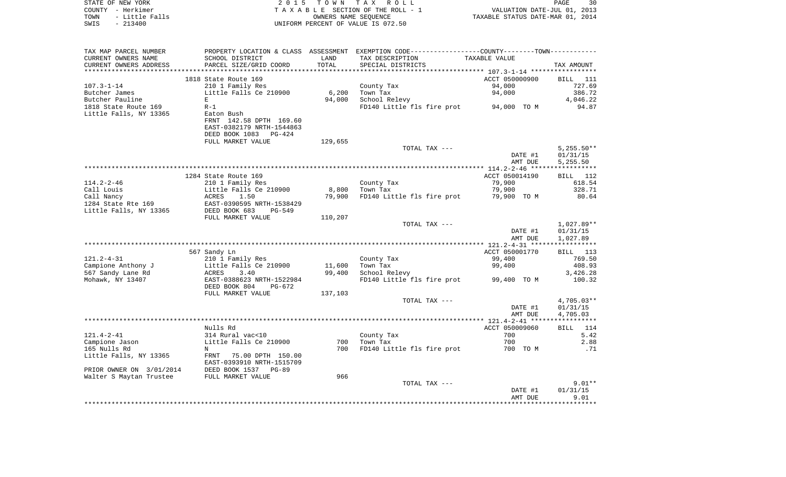| STATE OF NEW YORK      | 2015 TOWN TAX ROLL                 | PAGE                             | 30 |
|------------------------|------------------------------------|----------------------------------|----|
| COUNTY - Herkimer      | TAXABLE SECTION OF THE ROLL - 1    | VALUATION DATE-JUL 01, 2013      |    |
| - Little Falls<br>TOWN | OWNERS NAME SEOUENCE               | TAXABLE STATUS DATE-MAR 01, 2014 |    |
| SWIS<br>$-213400$      | UNIFORM PERCENT OF VALUE IS 072.50 |                                  |    |
|                        |                                    |                                  |    |

| TAX MAP PARCEL NUMBER    | PROPERTY LOCATION & CLASS ASSESSMENT |         | EXEMPTION CODE------------------COUNTY-------TOWN- |                                                  |                 |
|--------------------------|--------------------------------------|---------|----------------------------------------------------|--------------------------------------------------|-----------------|
| CURRENT OWNERS NAME      | SCHOOL DISTRICT                      | LAND    | TAX DESCRIPTION                                    | TAXABLE VALUE                                    |                 |
| CURRENT OWNERS ADDRESS   | PARCEL SIZE/GRID COORD               | TOTAL   | SPECIAL DISTRICTS                                  |                                                  | TAX AMOUNT      |
|                          |                                      |         |                                                    | ****************** 107.3-1-14 ****************** |                 |
|                          | 1818 State Route 169                 |         |                                                    | ACCT 050000900                                   | BILL<br>111     |
| $107.3 - 1 - 14$         | 210 1 Family Res                     |         | County Tax                                         | 94,000                                           | 727.69          |
| Butcher James            | Little Falls Ce 210900               | 6,200   | Town Tax                                           | 94,000                                           | 386.72          |
| Butcher Pauline          | Е                                    | 94,000  | School Relevy                                      |                                                  | 4,046.22        |
| 1818 State Route 169     | $R-1$                                |         | FD140 Little fls fire prot                         | 94,000 TO M                                      | 94.87           |
| Little Falls, NY 13365   | Eaton Bush                           |         |                                                    |                                                  |                 |
|                          | FRNT 142.58 DPTH 169.60              |         |                                                    |                                                  |                 |
|                          | EAST-0382179 NRTH-1544863            |         |                                                    |                                                  |                 |
|                          | DEED BOOK 1083<br>$PG-424$           |         |                                                    |                                                  |                 |
|                          | FULL MARKET VALUE                    | 129,655 |                                                    |                                                  |                 |
|                          |                                      |         | TOTAL TAX ---                                      |                                                  | $5,255.50**$    |
|                          |                                      |         |                                                    | DATE #1                                          | 01/31/15        |
|                          |                                      |         |                                                    | AMT DUE                                          | 5,255.50        |
|                          |                                      |         |                                                    |                                                  |                 |
|                          | 1284 State Route 169                 |         |                                                    | ACCT 050014190                                   | <b>BILL</b> 112 |
| $114.2 - 2 - 46$         | 210 1 Family Res                     |         | County Tax                                         | 79,900                                           | 618.54          |
| Call Louis               | Little Falls Ce 210900               | 8,800   | Town Tax                                           | 79,900                                           | 328.71          |
| Call Nancy               | ACRES<br>1.50                        | 79,900  | FD140 Little fls fire prot                         | 79,900 TO M                                      | 80.64           |
| 1284 State Rte 169       | EAST-0390595 NRTH-1538429            |         |                                                    |                                                  |                 |
| Little Falls, NY 13365   | DEED BOOK 683<br>PG-549              |         |                                                    |                                                  |                 |
|                          | FULL MARKET VALUE                    | 110,207 |                                                    |                                                  |                 |
|                          |                                      |         | TOTAL TAX ---                                      |                                                  | 1,027.89**      |
|                          |                                      |         |                                                    | DATE #1                                          | 01/31/15        |
|                          |                                      |         |                                                    | AMT DUE                                          | 1,027.89        |
|                          |                                      |         |                                                    |                                                  |                 |
|                          | 567 Sandy Ln                         |         |                                                    | ACCT 050001770                                   | BILL 113        |
| $121.2 - 4 - 31$         | 210 1 Family Res                     |         | County Tax                                         | 99,400                                           | 769.50          |
| Campione Anthony J       | Little Falls Ce 210900               | 11,600  | Town Tax                                           | 99,400                                           | 408.93          |
| 567 Sandy Lane Rd        | ACRES<br>3.40                        | 99,400  | School Relevy                                      |                                                  | 3,426.28        |
| Mohawk, NY 13407         | EAST-0388623 NRTH-1522984            |         | FD140 Little fls fire prot                         | 99,400 TO M                                      | 100.32          |
|                          | DEED BOOK 804<br>$PG-672$            |         |                                                    |                                                  |                 |
|                          | FULL MARKET VALUE                    | 137,103 |                                                    |                                                  |                 |
|                          |                                      |         | TOTAL TAX ---                                      |                                                  | 4,705.03**      |
|                          |                                      |         |                                                    | DATE #1                                          | 01/31/15        |
|                          |                                      |         |                                                    | AMT DUE                                          | 4,705.03        |
|                          |                                      |         |                                                    |                                                  |                 |
|                          | Nulls Rd                             |         |                                                    | ACCT 050009060                                   | BILL 114        |
| $121.4 - 2 - 41$         | 314 Rural vac<10                     |         | County Tax                                         | 700                                              | 5.42            |
| Campione Jason           | Little Falls Ce 210900               | 700     | Town Tax                                           | 700                                              | 2.88            |
| 165 Nulls Rd             | N                                    | 700     | FD140 Little fls fire prot                         | 700 TO M                                         | .71             |
| Little Falls, NY 13365   | FRNT<br>75.00 DPTH 150.00            |         |                                                    |                                                  |                 |
|                          | EAST-0393910 NRTH-1515709            |         |                                                    |                                                  |                 |
| PRIOR OWNER ON 3/01/2014 | DEED BOOK 1537<br>$PG-89$            |         |                                                    |                                                  |                 |
| Walter S Maytan Trustee  | FULL MARKET VALUE                    | 966     |                                                    |                                                  |                 |
|                          |                                      |         | TOTAL TAX ---                                      |                                                  | $9.01**$        |
|                          |                                      |         |                                                    | DATE #1                                          | 01/31/15        |
|                          |                                      |         |                                                    | AMT DUE                                          | 9.01            |
|                          |                                      |         |                                                    |                                                  |                 |
|                          |                                      |         |                                                    |                                                  |                 |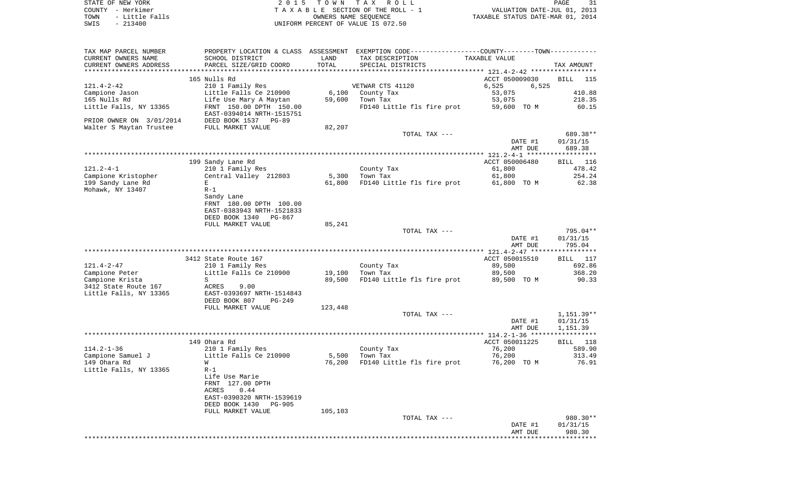| STATE OF NEW YORK      | 2015 TOWN TAX ROLL                 | PAGE                             |
|------------------------|------------------------------------|----------------------------------|
| COUNTY - Herkimer      | TAXABLE SECTION OF THE ROLL - 1    | VALUATION DATE-JUL 01, 2013      |
| - Little Falls<br>TOWN | OWNERS NAME SEOUENCE               | TAXABLE STATUS DATE-MAR 01, 2014 |
| SWIS<br>$-213400$      | UNIFORM PERCENT OF VALUE IS 072.50 |                                  |

| TAX MAP PARCEL NUMBER                                                                      |                                         |         | PROPERTY LOCATION & CLASS ASSESSMENT EXEMPTION CODE---------------COUNTY-------TOWN---------- |                |                 |
|--------------------------------------------------------------------------------------------|-----------------------------------------|---------|-----------------------------------------------------------------------------------------------|----------------|-----------------|
| CURRENT OWNERS NAME                                                                        | SCHOOL DISTRICT                         | LAND    | TAX DESCRIPTION                                                                               | TAXABLE VALUE  |                 |
| CURRENT OWNERS ADDRESS                                                                     | PARCEL SIZE/GRID COORD                  | TOTAL   | SPECIAL DISTRICTS                                                                             |                | TAX AMOUNT      |
|                                                                                            | 165 Nulls Rd                            |         |                                                                                               | ACCT 050009030 | BILL 115        |
| $121.4 - 2 - 42$                                                                           | 210 1 Family Res                        |         | VETWAR CTS 41120                                                                              | 6,525<br>6,525 |                 |
| Campione Jason                                                                             | Little Falls Ce 210900                  |         | 6,100 County Tax                                                                              | 53,075         | 410.88          |
| 165 Nulls Rd                                                                               | Life Use Mary A Maytan                  |         | 59,600 Town Tax                                                                               | 53,075         | 218.35          |
| Little Falls, NY 13365                                                                     | FRNT 150.00 DPTH 150.00                 |         | FD140 Little fls fire prot                                                                    | 59,600 TO M    | 60.15           |
|                                                                                            | EAST-0394014 NRTH-1515751               |         |                                                                                               |                |                 |
|                                                                                            |                                         |         |                                                                                               |                |                 |
| PRIOR OWNER ON 3/01/2014 DEED BOOK 1537 PG-89<br>Walter S Maytan Trustee FULL MARKET VALUE |                                         | 82,207  |                                                                                               |                |                 |
|                                                                                            |                                         |         | TOTAL TAX ---                                                                                 |                | 689.38**        |
|                                                                                            |                                         |         |                                                                                               | DATE #1        | 01/31/15        |
|                                                                                            |                                         |         |                                                                                               | AMT DUE        | 689.38          |
|                                                                                            |                                         |         |                                                                                               |                |                 |
|                                                                                            | 199 Sandy Lane Rd                       |         |                                                                                               | ACCT 050006480 | BILL 116        |
| $121.2 - 4 - 1$                                                                            | 210 1 Family Res                        |         | County Tax                                                                                    | 61,800         | 478.42          |
| Campione Kristopher                                                                        | Central Valley 212803                   |         | 5,300 Town Tax                                                                                | 61,800         | 254.24          |
| 199 Sandy Lane Rd                                                                          | E                                       | 61,800  | FD140 Little fls fire prot                                                                    | 61,800 TO M    | 62.38           |
| Mohawk, NY 13407                                                                           | $R-1$                                   |         |                                                                                               |                |                 |
|                                                                                            | Sandy Lane                              |         |                                                                                               |                |                 |
|                                                                                            | FRNT 180.00 DPTH 100.00                 |         |                                                                                               |                |                 |
|                                                                                            | EAST-0383943 NRTH-1521833               |         |                                                                                               |                |                 |
|                                                                                            | DEED BOOK 1340 PG-867                   |         |                                                                                               |                |                 |
|                                                                                            | FULL MARKET VALUE                       | 85,241  |                                                                                               |                |                 |
|                                                                                            |                                         |         | TOTAL TAX ---                                                                                 |                | 795.04**        |
|                                                                                            |                                         |         |                                                                                               | DATE #1        | 01/31/15        |
|                                                                                            |                                         |         |                                                                                               | AMT DUE        | 795.04          |
|                                                                                            |                                         |         |                                                                                               |                |                 |
|                                                                                            | 3412 State Route 167                    |         |                                                                                               | ACCT 050015510 | <b>BILL</b> 117 |
| 121.4-2-47                                                                                 | 210 1 Family Res                        |         | County Tax                                                                                    | 89,500         | 692.86          |
| Campione Peter                                                                             | Little Falls Ce 210900                  |         | 19,100 Town Tax                                                                               | 89,500         | 368.20          |
| Campione Krista                                                                            | S                                       | 89,500  | FD140 Little fls fire prot 89,500 TO M                                                        |                | 90.33           |
| 3412 State Route 167                                                                       | ACRES 9.00<br>EAST-0393697 NRTH-1514843 |         |                                                                                               |                |                 |
| Little Falls, NY 13365                                                                     |                                         |         |                                                                                               |                |                 |
|                                                                                            | DEED BOOK 807<br>PG-249                 |         |                                                                                               |                |                 |
|                                                                                            | FULL MARKET VALUE                       | 123,448 |                                                                                               |                |                 |
|                                                                                            |                                         |         | TOTAL TAX ---                                                                                 |                | 1,151.39**      |
|                                                                                            |                                         |         |                                                                                               | DATE #1        | 01/31/15        |
|                                                                                            |                                         |         |                                                                                               | AMT DUE        | 1,151.39        |
|                                                                                            |                                         |         |                                                                                               |                |                 |
|                                                                                            | 149 Ohara Rd                            |         |                                                                                               | ACCT 050011225 | BILL 118        |
| $114.2 - 1 - 36$                                                                           | 210 1 Family Res                        |         | County Tax                                                                                    | 76,200         | 589.90          |
| Campione Samuel J                                                                          | Little Falls Ce 210900                  |         | 5,500 Town Tax                                                                                | 76,200         | 313.49          |
| 149 Ohara Rd                                                                               | W                                       |         | 76,200 FD140 Little fls fire prot                                                             | 76,200 TO M    | 76.91           |
| Little Falls, NY 13365                                                                     | $R-1$                                   |         |                                                                                               |                |                 |
|                                                                                            | Life Use Marie                          |         |                                                                                               |                |                 |
|                                                                                            | FRNT 127.00 DPTH                        |         |                                                                                               |                |                 |
|                                                                                            | ACRES<br>0.44                           |         |                                                                                               |                |                 |
|                                                                                            | EAST-0390320 NRTH-1539619               |         |                                                                                               |                |                 |
|                                                                                            | DEED BOOK 1430<br>PG-905                |         |                                                                                               |                |                 |
|                                                                                            | FULL MARKET VALUE                       | 105,103 |                                                                                               |                |                 |
|                                                                                            |                                         |         | TOTAL TAX ---                                                                                 |                | 980.30**        |
|                                                                                            |                                         |         |                                                                                               | DATE #1        | 01/31/15        |
|                                                                                            |                                         |         |                                                                                               | AMT DUE        | 980.30          |
|                                                                                            |                                         |         |                                                                                               |                |                 |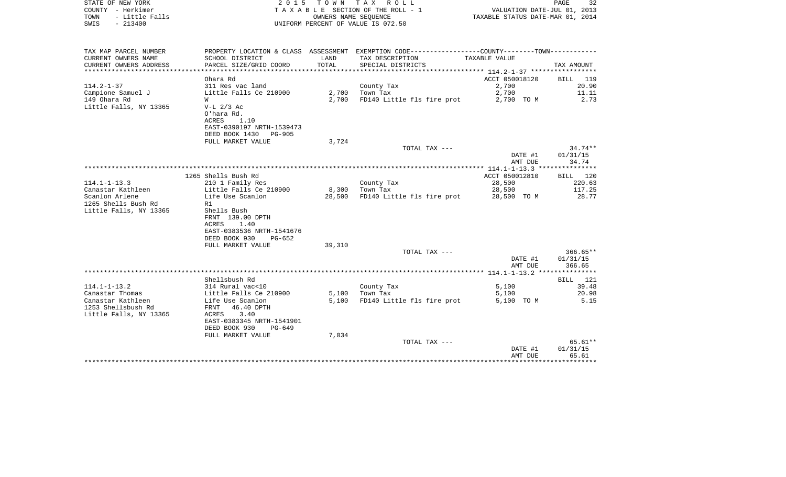| TOWN<br>- Little Falls<br>SWIS<br>$-213400$                            | UNIFORM PERCENT OF VALUE IS 072.50         | TAXABLE STATUS DATE-MAR 01, 2014 |                                                                                                                                        |                     |                   |
|------------------------------------------------------------------------|--------------------------------------------|----------------------------------|----------------------------------------------------------------------------------------------------------------------------------------|---------------------|-------------------|
|                                                                        |                                            |                                  |                                                                                                                                        |                     |                   |
| TAX MAP PARCEL NUMBER<br>CURRENT OWNERS NAME<br>CURRENT OWNERS ADDRESS | SCHOOL DISTRICT<br>PARCEL SIZE/GRID COORD  | LAND<br>TOTAL                    | PROPERTY LOCATION & CLASS ASSESSMENT EXEMPTION CODE----------------COUNTY-------TOWN----------<br>TAX DESCRIPTION<br>SPECIAL DISTRICTS | TAXABLE VALUE       | TAX AMOUNT        |
| *********************                                                  |                                            |                                  |                                                                                                                                        |                     |                   |
|                                                                        | Ohara Rd                                   |                                  |                                                                                                                                        | ACCT 050018120      | BILL 119          |
| $114.2 - 1 - 37$                                                       | 311 Res vac land                           |                                  | County Tax                                                                                                                             | 2,700               | 20.90             |
| Campione Samuel J<br>149 Ohara Rd                                      | Little Falls Ce 210900<br>W                | 2,700                            | $2,700$ Town Tax<br>FD140 Little fls fire prot                                                                                         | 2,700<br>2,700 TO M | 11.11<br>2.73     |
| Little Falls, NY 13365                                                 | $V-L$ 2/3 Ac<br>O'hara Rd.                 |                                  |                                                                                                                                        |                     |                   |
|                                                                        | ACRES<br>1.10<br>EAST-0390197 NRTH-1539473 |                                  |                                                                                                                                        |                     |                   |
|                                                                        | DEED BOOK 1430 PG-905                      |                                  |                                                                                                                                        |                     |                   |
|                                                                        | FULL MARKET VALUE                          | 3,724                            |                                                                                                                                        |                     |                   |
|                                                                        |                                            |                                  | TOTAL TAX ---                                                                                                                          |                     | $34.74**$         |
|                                                                        |                                            |                                  |                                                                                                                                        | DATE #1             | 01/31/15          |
|                                                                        |                                            |                                  |                                                                                                                                        | AMT DUE             | 34.74             |
|                                                                        | 1265 Shells Bush Rd                        |                                  |                                                                                                                                        | ACCT 050012810      | BILL 120          |
| 114.1-1-13.3                                                           | 210 1 Family Res                           |                                  | County Tax                                                                                                                             | 28,500              | 220.63            |
| Canastar Kathleen                                                      | Little Falls Ce 210900                     | 8,300                            | Town Tax                                                                                                                               | 28,500              | 117.25            |
| Scanlon Arlene                                                         | Life Use Scanlon                           | 28,500                           | FD140 Little fls fire prot 28,500 TO M                                                                                                 |                     | 28.77             |
| 1265 Shells Bush Rd                                                    | R1                                         |                                  |                                                                                                                                        |                     |                   |
| Little Falls, NY 13365                                                 | Shells Bush                                |                                  |                                                                                                                                        |                     |                   |
|                                                                        | FRNT 139.00 DPTH                           |                                  |                                                                                                                                        |                     |                   |
|                                                                        | ACRES<br>1.40<br>EAST-0383536 NRTH-1541676 |                                  |                                                                                                                                        |                     |                   |
|                                                                        | DEED BOOK 930<br>PG-652                    |                                  |                                                                                                                                        |                     |                   |
|                                                                        | FULL MARKET VALUE                          | 39,310                           |                                                                                                                                        |                     |                   |
|                                                                        |                                            |                                  | TOTAL TAX ---                                                                                                                          |                     | $366.65**$        |
|                                                                        |                                            |                                  |                                                                                                                                        | DATE #1             | 01/31/15          |
|                                                                        |                                            |                                  |                                                                                                                                        | AMT DUE             | 366.65            |
|                                                                        |                                            |                                  |                                                                                                                                        |                     |                   |
| $114.1 - 1 - 13.2$                                                     | Shellsbush Rd<br>314 Rural vac<10          |                                  | County Tax                                                                                                                             | 5,100               | BILL 121<br>39.48 |
| Canastar Thomas                                                        |                                            |                                  | $5,100$ Town Tax                                                                                                                       | 5,100               | 20.98             |
| Canastar Kathleen                                                      | Little Falls Ce 210900<br>Life Use Scanlon |                                  | 5,100 FD140 Little fls fire prot                                                                                                       | 5,100 TO M          | 5.15              |
| 1253 Shellsbush Rd                                                     | FRNT<br>46.40 DPTH                         |                                  |                                                                                                                                        |                     |                   |
| Little Falls, NY 13365                                                 | 3.40<br>ACRES                              |                                  |                                                                                                                                        |                     |                   |
|                                                                        | EAST-0383345 NRTH-1541901                  |                                  |                                                                                                                                        |                     |                   |
|                                                                        | DEED BOOK 930<br>$PG-649$                  |                                  |                                                                                                                                        |                     |                   |
|                                                                        | FULL MARKET VALUE                          | 7,034                            | TOTAL TAX ---                                                                                                                          |                     | 65.61**           |
|                                                                        |                                            |                                  |                                                                                                                                        | DATE #1             | 01/31/15          |
|                                                                        |                                            |                                  |                                                                                                                                        | AMT DUE             | 65.61             |
|                                                                        |                                            |                                  |                                                                                                                                        |                     |                   |

COUNTY - Herkimer T A X A B L E SECTION OF THE ROLL - 1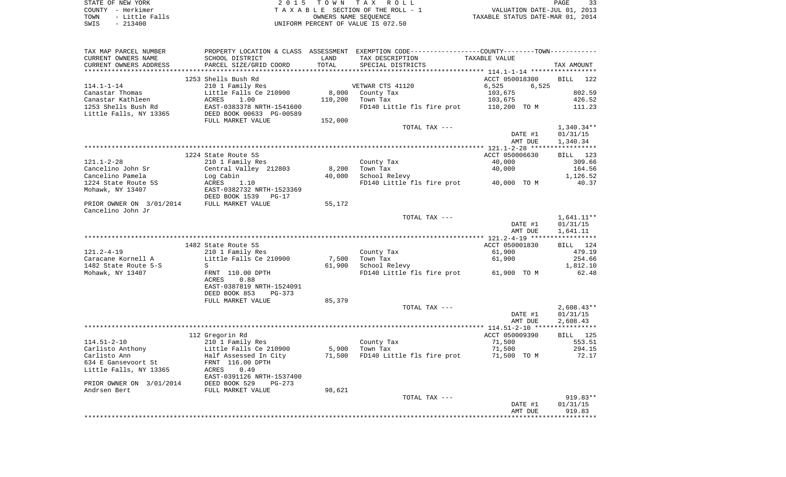| STATE OF NEW YORK |  |           |                |  |
|-------------------|--|-----------|----------------|--|
| COUNTY - Herkimer |  |           |                |  |
| TOWN              |  |           | - Little Falls |  |
| SWTS              |  | $-213400$ |                |  |

2015 TOWN TAX ROLL TA X A B L E SECTION OF THE ROLL - 1 TOWN - Little Falls OWNERS NAME SEQUENCE TAXABLE STATUS DATE-MAR 01, 2014 SWIS - 213400 UNIFORM PERCENT OF VALUE IS 072.50

| TAX MAP PARCEL NUMBER    |                           |         | PROPERTY LOCATION & CLASS ASSESSMENT EXEMPTION CODE---------------COUNTY-------TOWN---------- |                |                   |
|--------------------------|---------------------------|---------|-----------------------------------------------------------------------------------------------|----------------|-------------------|
| CURRENT OWNERS NAME      | SCHOOL DISTRICT           | LAND    | TAX DESCRIPTION                                                                               | TAXABLE VALUE  |                   |
| CURRENT OWNERS ADDRESS   | PARCEL SIZE/GRID COORD    | TOTAL   | SPECIAL DISTRICTS                                                                             |                | TAX AMOUNT        |
|                          |                           |         |                                                                                               |                |                   |
|                          | 1253 Shells Bush Rd       |         |                                                                                               | ACCT 050018300 | BILL 122          |
| $114.1 - 1 - 14$         | 210 1 Family Res          |         | VETWAR CTS 41120                                                                              | 6,525<br>6,525 |                   |
| Canastar Thomas          | Little Falls Ce 210900    | 8,000   | County Tax                                                                                    | 103,675        | 802.59            |
| Canastar Kathleen        | 1.00<br>ACRES             | 110,200 | Town Tax                                                                                      | 103,675        | 426.52            |
| 1253 Shells Bush Rd      | EAST-0383378 NRTH-1541600 |         | FD140 Little fls fire prot                                                                    | 110,200 TO M   | 111.23            |
| Little Falls, NY 13365   | DEED BOOK 00633 PG-00589  |         |                                                                                               |                |                   |
|                          | FULL MARKET VALUE         | 152,000 |                                                                                               |                |                   |
|                          |                           |         | TOTAL TAX ---                                                                                 |                | $1,340.34**$      |
|                          |                           |         |                                                                                               | DATE #1        | 01/31/15          |
|                          |                           |         |                                                                                               | AMT DUE        | 1,340.34          |
|                          |                           |         |                                                                                               |                |                   |
|                          | 1224 State Route 5S       |         |                                                                                               | ACCT 050006630 | BILL 123          |
| $121.1 - 2 - 28$         | 210 1 Family Res          |         | County Tax                                                                                    | 40,000         | 309.66            |
| Cancelino John Sr        | Central Valley 212803     | 8,200   | Town Tax                                                                                      | 40,000         | 164.56            |
| Cancelino Pamela         | Log Cabin                 | 40,000  | School Relevy                                                                                 |                | 1,126.52          |
| 1224 State Route 5S      | ACRES<br>1.10             |         | FD140 Little fls fire prot 40,000 TO M                                                        |                | 40.37             |
| Mohawk, NY 13407         | EAST-0382732 NRTH-1523369 |         |                                                                                               |                |                   |
|                          | DEED BOOK 1539<br>$PG-17$ |         |                                                                                               |                |                   |
| PRIOR OWNER ON 3/01/2014 | FULL MARKET VALUE         | 55,172  |                                                                                               |                |                   |
| Cancelino John Jr        |                           |         |                                                                                               |                |                   |
|                          |                           |         | TOTAL TAX ---                                                                                 |                | $1,641.11**$      |
|                          |                           |         |                                                                                               | DATE #1        | 01/31/15          |
|                          |                           |         |                                                                                               | AMT DUE        | 1,641.11          |
|                          |                           |         |                                                                                               |                |                   |
|                          | 1482 State Route 5S       |         |                                                                                               | ACCT 050001830 | BILL 124          |
| 121.2-4-19               | 210 1 Family Res          |         | County Tax                                                                                    | 61,900         | 479.19            |
| Caracane Kornell A       | Little Falls Ce 210900    | 7,500   | Town Tax                                                                                      | 61,900         | 254.66            |
| 1482 State Route 5-S     | S                         | 61,900  | School Relevy                                                                                 |                | 1,812.10          |
| Mohawk, NY 13407         | FRNT 110.00 DPTH          |         | FD140 Little fls fire prot 61,900 TO M                                                        |                | 62.48             |
|                          | 0.88<br>ACRES             |         |                                                                                               |                |                   |
|                          | EAST-0387819 NRTH-1524091 |         |                                                                                               |                |                   |
|                          | DEED BOOK 853<br>PG-373   |         |                                                                                               |                |                   |
|                          | FULL MARKET VALUE         | 85,379  |                                                                                               |                |                   |
|                          |                           |         | TOTAL TAX ---                                                                                 |                | $2,608.43**$      |
|                          |                           |         |                                                                                               | DATE #1        | 01/31/15          |
|                          |                           |         |                                                                                               | AMT DUE        | 2,608.43          |
|                          |                           |         |                                                                                               |                |                   |
|                          | 112 Gregorin Rd           |         |                                                                                               | ACCT 050009390 | BILL 125          |
| 114.51-2-10              | 210 1 Family Res          |         | County Tax                                                                                    | 71,500         | 553.51            |
| Carlisto Anthony         | Little Falls Ce 210900    | 5,900   | Town Tax                                                                                      | 71,500         | 294.15            |
| Carlisto Ann             | Half Assessed In City     |         | 71,500 FD140 Little fls fire prot                                                             | 71,500 TO M    | 72.17             |
| 634 E Gansevoort St      | FRNT 116.00 DPTH          |         |                                                                                               |                |                   |
| Little Falls, NY 13365   | 0.49<br>ACRES             |         |                                                                                               |                |                   |
|                          | EAST-0391126 NRTH-1537400 |         |                                                                                               |                |                   |
| PRIOR OWNER ON 3/01/2014 | DEED BOOK 529<br>PG-273   |         |                                                                                               |                |                   |
| Andrsen Bert             | FULL MARKET VALUE         | 98,621  |                                                                                               |                |                   |
|                          |                           |         | TOTAL TAX ---                                                                                 |                | $919.83**$        |
|                          |                           |         |                                                                                               | DATE #1        | 01/31/15          |
|                          |                           |         |                                                                                               | AMT DUE        | 919.83            |
|                          |                           |         |                                                                                               |                | * * * * * * * * * |
|                          |                           |         |                                                                                               |                |                   |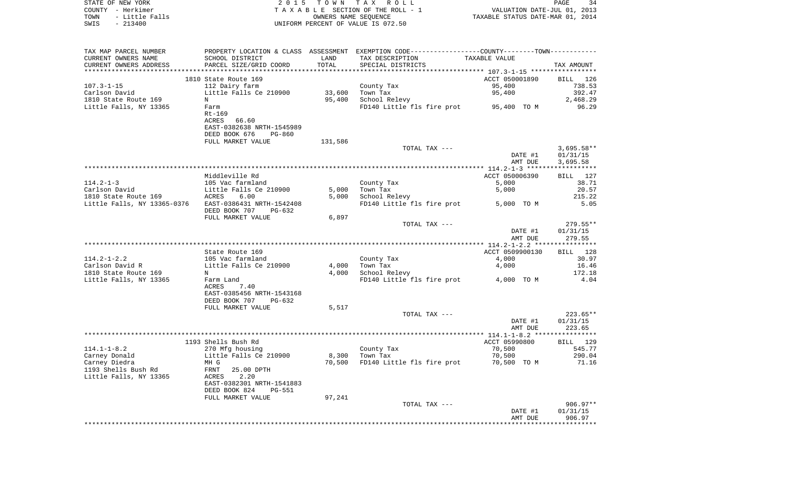|      | STATE OF NEW YORK | 2015 TOWN TAX ROLL                 | PAGE                             |
|------|-------------------|------------------------------------|----------------------------------|
|      | COUNTY - Herkimer | TAXABLE SECTION OF THE ROLL - 1    | VALUATION DATE-JUL 01, 2013      |
| TOWN | - Little Falls    | OWNERS NAME SEOUENCE               | TAXABLE STATUS DATE-MAR 01, 2014 |
| SWIS | $-213400$         | UNIFORM PERCENT OF VALUE IS 072.50 |                                  |

| TAX MAP PARCEL NUMBER              |                                           |                 | PROPERTY LOCATION & CLASS ASSESSMENT EXEMPTION CODE----------------COUNTY-------TOWN---------- |                                                          |                       |
|------------------------------------|-------------------------------------------|-----------------|------------------------------------------------------------------------------------------------|----------------------------------------------------------|-----------------------|
| CURRENT OWNERS NAME                | SCHOOL DISTRICT                           | LAND            | TAX DESCRIPTION                                                                                | TAXABLE VALUE                                            |                       |
| CURRENT OWNERS ADDRESS             | PARCEL SIZE/GRID COORD                    | TOTAL           | SPECIAL DISTRICTS                                                                              |                                                          | TAX AMOUNT            |
| ***********************            | ****************************              | *************** |                                                                                                | ************************** 107.3-1-15 ****************** |                       |
|                                    | 1810 State Route 169                      |                 |                                                                                                | ACCT 050001890                                           | <b>BILL</b><br>126    |
| $107.3 - 1 - 15$                   | 112 Dairy farm                            |                 | County Tax                                                                                     | 95,400                                                   | 738.53                |
| Carlson David                      | Little Falls Ce 210900                    | 33,600          | Town Tax                                                                                       | 95,400                                                   | 392.47                |
| 1810 State Route 169               | N                                         | 95,400          | School Relevy                                                                                  |                                                          | 2,468.29              |
| Little Falls, NY 13365             | Farm<br>$Rt-169$                          |                 | FD140 Little fls fire prot                                                                     | 95,400 TO M                                              | 96.29                 |
|                                    | <b>ACRES</b><br>66.60                     |                 |                                                                                                |                                                          |                       |
|                                    | EAST-0382638 NRTH-1545989                 |                 |                                                                                                |                                                          |                       |
|                                    | DEED BOOK 676<br><b>PG-860</b>            |                 |                                                                                                |                                                          |                       |
|                                    | FULL MARKET VALUE                         | 131,586         |                                                                                                |                                                          |                       |
|                                    |                                           |                 | TOTAL TAX ---                                                                                  |                                                          | $3,695.58**$          |
|                                    |                                           |                 |                                                                                                | DATE #1                                                  | 01/31/15              |
|                                    |                                           |                 |                                                                                                | AMT DUE                                                  | 3,695.58              |
|                                    |                                           |                 |                                                                                                |                                                          | * * * * * * * * * * * |
|                                    | Middleville Rd                            |                 |                                                                                                | ACCT 050006390                                           | 127<br><b>BILL</b>    |
| $114.2 - 1 - 3$                    | 105 Vac farmland                          |                 | County Tax                                                                                     | 5,000                                                    | 38.71                 |
| Carlson David                      | Little Falls Ce 210900                    | 5,000           | Town Tax                                                                                       | 5,000                                                    | 20.57                 |
| 1810 State Route 169               | <b>ACRES</b><br>6.00                      | 5,000           | School Relevy                                                                                  |                                                          | 215.22                |
| Little Falls, NY 13365-0376        | EAST-0386431 NRTH-1542408                 |                 | FD140 Little fls fire prot                                                                     | 5,000 TO M                                               | 5.05                  |
|                                    | DEED BOOK 707<br>$PG-632$                 |                 |                                                                                                |                                                          |                       |
|                                    | FULL MARKET VALUE                         | 6,897           |                                                                                                |                                                          |                       |
|                                    |                                           |                 | TOTAL TAX ---                                                                                  |                                                          | 279.55**              |
|                                    |                                           |                 |                                                                                                | DATE #1                                                  | 01/31/15              |
|                                    |                                           |                 |                                                                                                | AMT DUE                                                  | 279.55                |
|                                    | State Route 169                           |                 |                                                                                                | ACCT 0509900130                                          | BILL<br>128           |
| $114.2 - 1 - 2.2$                  | 105 Vac farmland                          |                 | County Tax                                                                                     | 4,000                                                    | 30.97                 |
| Carlson David R                    | Little Falls Ce 210900                    | 4,000           | Town Tax                                                                                       | 4,000                                                    | 16.46                 |
| 1810 State Route 169               | N                                         | 4,000           | School Relevy                                                                                  |                                                          | 172.18                |
| Little Falls, NY 13365             | Farm Land                                 |                 | FD140 Little fls fire prot                                                                     | 4,000 TO M                                               | 4.04                  |
|                                    | ACRES<br>7.40                             |                 |                                                                                                |                                                          |                       |
|                                    | EAST-0385456 NRTH-1543168                 |                 |                                                                                                |                                                          |                       |
|                                    | DEED BOOK 707<br>$PG-632$                 |                 |                                                                                                |                                                          |                       |
|                                    | FULL MARKET VALUE                         | 5,517           |                                                                                                |                                                          |                       |
|                                    |                                           |                 | TOTAL TAX ---                                                                                  |                                                          | $223.65**$            |
|                                    |                                           |                 |                                                                                                | DATE #1                                                  | 01/31/15              |
|                                    |                                           |                 |                                                                                                | AMT DUE                                                  | 223.65                |
|                                    |                                           |                 |                                                                                                |                                                          |                       |
|                                    | 1193 Shells Bush Rd                       |                 |                                                                                                | ACCT 05990800                                            | BILL 129              |
| $114.1 - 1 - 8.2$<br>Carney Donald | 270 Mfg housing<br>Little Falls Ce 210900 | 8,300           | County Tax<br>Town Tax                                                                         | 70,500<br>70,500                                         | 545.77<br>290.04      |
| Carney Diedra                      | MH G                                      | 70,500          | FD140 Little fls fire prot                                                                     | 70,500 TO M                                              | 71.16                 |
| 1193 Shells Bush Rd                | <b>FRNT</b><br>25.00 DPTH                 |                 |                                                                                                |                                                          |                       |
| Little Falls, NY 13365             | 2.20<br>ACRES                             |                 |                                                                                                |                                                          |                       |
|                                    | EAST-0382301 NRTH-1541883                 |                 |                                                                                                |                                                          |                       |
|                                    | DEED BOOK 824<br>$PG-551$                 |                 |                                                                                                |                                                          |                       |
|                                    | FULL MARKET VALUE                         | 97,241          |                                                                                                |                                                          |                       |
|                                    |                                           |                 | TOTAL TAX ---                                                                                  |                                                          | 906.97**              |
|                                    |                                           |                 |                                                                                                | DATE #1                                                  | 01/31/15              |
|                                    |                                           |                 |                                                                                                | AMT DUE                                                  | 906.97                |
|                                    |                                           |                 |                                                                                                |                                                          |                       |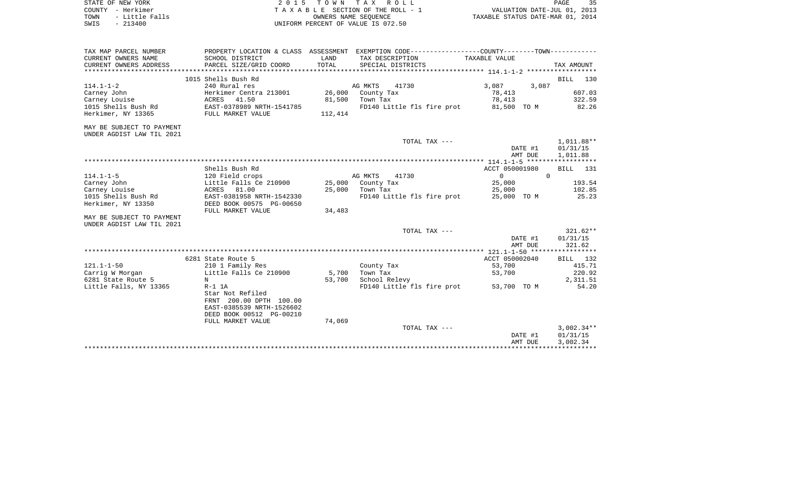|        | STATE OF NEW YORK | 2015 TOWN TAX ROLL                 | PAGE                             | マロ |
|--------|-------------------|------------------------------------|----------------------------------|----|
| COUNTY | – Herkimer        | TAXABLE SECTION OF THE ROLL - 1    | VALUATION DATE-JUL 01, 2013      |    |
| TOWN   | - Little Falls    | OWNERS NAME SEOUENCE               | TAXABLE STATUS DATE-MAR 01, 2014 |    |
| SWIS   | $-213400$         | UNIFORM PERCENT OF VALUE IS 072.50 |                                  |    |

 $\frac{35}{2013}$ <br>2014

| TAX MAP PARCEL NUMBER                                  |                           |         | PROPERTY LOCATION & CLASS ASSESSMENT EXEMPTION CODE---------------COUNTY--------TOWN---------- |                   |              |
|--------------------------------------------------------|---------------------------|---------|------------------------------------------------------------------------------------------------|-------------------|--------------|
| CURRENT OWNERS NAME                                    | SCHOOL DISTRICT           | LAND    | TAX DESCRIPTION                                                                                | TAXABLE VALUE     |              |
| CURRENT OWNERS ADDRESS                                 | PARCEL SIZE/GRID COORD    | TOTAL   | SPECIAL DISTRICTS                                                                              |                   | TAX AMOUNT   |
|                                                        |                           |         |                                                                                                |                   |              |
|                                                        | 1015 Shells Bush Rd       |         |                                                                                                |                   | BILL 130     |
| $114.1 - 1 - 2$                                        | 240 Rural res             |         | AG MKTS<br>41730                                                                               | 3,087<br>3,087    |              |
| Carney John                                            | Herkimer Centra 213001    |         | 26,000 County Tax                                                                              | 78,413            | 607.03       |
| Carney Louise                                          | ACRES 41.50               |         | 81,500 Town Tax                                                                                | 78,413            | 322.59       |
| 1015 Shells Bush Rd                                    | EAST-0378989 NRTH-1541785 |         | FD140 Little fls fire prot 81,500 TO M                                                         |                   | 82.26        |
| Herkimer, NY 13365                                     | FULL MARKET VALUE         | 112,414 |                                                                                                |                   |              |
| MAY BE SUBJECT TO PAYMENT                              |                           |         |                                                                                                |                   |              |
| UNDER AGDIST LAW TIL 2021                              |                           |         |                                                                                                |                   |              |
|                                                        |                           |         | TOTAL TAX ---                                                                                  |                   | 1,011.88**   |
|                                                        |                           |         |                                                                                                | DATE #1           | 01/31/15     |
|                                                        |                           |         |                                                                                                | AMT DUE           | 1,011.88     |
|                                                        |                           |         |                                                                                                |                   |              |
|                                                        | Shells Bush Rd            |         |                                                                                                | ACCT 050001980    | BILL 131     |
| $114.1 - 1 - 5$                                        | 120 Field crops           |         | AG MKTS<br>41730                                                                               | $0 \qquad \qquad$ | $\Omega$     |
| Carney John                                            | Little Falls Ce 210900    |         | 25,000 County Tax                                                                              | 25,000            | 193.54       |
| Carney Louise                                          | ACRES 81.00               |         | 25,000 Town Tax                                                                                | 25,000            | 102.85       |
| 1015 Shells Bush Rd                                    | EAST-0381958 NRTH-1542330 |         | FD140 Little fls fire prot 25,000 TO M                                                         |                   | 25.23        |
| Herkimer, NY 13350                                     | DEED BOOK 00575 PG-00650  |         |                                                                                                |                   |              |
|                                                        | FULL MARKET VALUE         | 34,483  |                                                                                                |                   |              |
| MAY BE SUBJECT TO PAYMENT<br>UNDER AGDIST LAW TIL 2021 |                           |         |                                                                                                |                   |              |
|                                                        |                           |         | TOTAL TAX ---                                                                                  |                   | $321.62**$   |
|                                                        |                           |         |                                                                                                | DATE #1           | 01/31/15     |
|                                                        |                           |         |                                                                                                | AMT DUE           | 321.62       |
|                                                        |                           |         |                                                                                                |                   |              |
|                                                        | 6281 State Route 5        |         |                                                                                                | ACCT 050002040    | BILL 132     |
| $121.1 - 1 - 50$                                       | 210 1 Family Res          |         | County Tax                                                                                     | 53,700            | 415.71       |
| Carrig W Morgan                                        | Little Falls Ce 210900    | 5,700   | Town Tax                                                                                       | 53,700            | 220.92       |
| 6281 State Route 5                                     | N                         | 53,700  | School Relevy                                                                                  |                   | 2,311.51     |
| Little Falls, NY 13365                                 | $R-1$ 1A                  |         | FD140 Little fls fire prot                                                                     | 53,700 TO M       | 54.20        |
|                                                        | Star Not Refiled          |         |                                                                                                |                   |              |
|                                                        | FRNT 200.00 DPTH 100.00   |         |                                                                                                |                   |              |
|                                                        | EAST-0385539 NRTH-1526602 |         |                                                                                                |                   |              |
|                                                        | DEED BOOK 00512 PG-00210  |         |                                                                                                |                   |              |
|                                                        | FULL MARKET VALUE         | 74,069  |                                                                                                |                   |              |
|                                                        |                           |         | TOTAL TAX ---                                                                                  |                   | $3,002.34**$ |
|                                                        |                           |         |                                                                                                | DATE #1           | 01/31/15     |
|                                                        |                           |         |                                                                                                | AMT DUE           | 3,002.34     |
|                                                        |                           |         |                                                                                                |                   |              |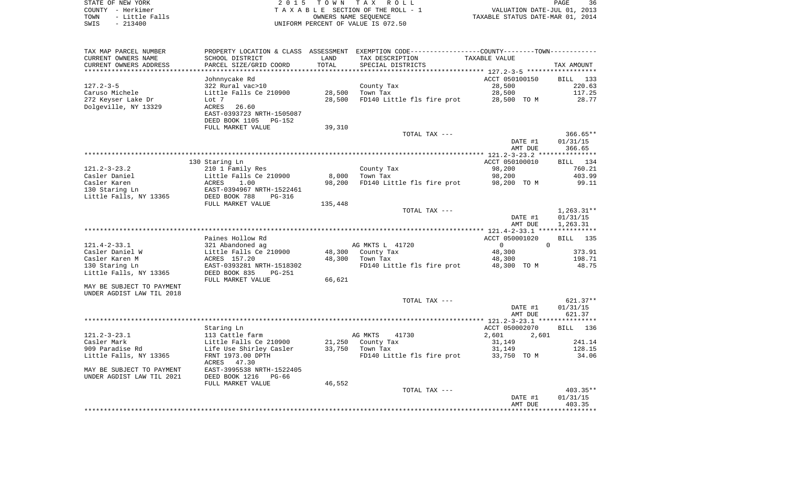| STATE OF NEW YORK |  |           |                |  |
|-------------------|--|-----------|----------------|--|
| COUNTY - Herkimer |  |           |                |  |
| TOWN              |  |           | - Little Falls |  |
| SWIS              |  | $-213400$ |                |  |

2015 TOWN TAX ROLL TA X A B L E SECTION OF THE ROLL - 1 TOWN - Little Falls OWNERS NAME SEQUENCE TAXABLE STATUS DATE-MAR 01, 2014 SWIS - 213400 UNIFORM PERCENT OF VALUE IS 072.50

| TAX MAP PARCEL NUMBER     | PROPERTY LOCATION & CLASS ASSESSMENT EXEMPTION CODE---------------COUNTY-------TOWN---------- |         |                            |                |                    |
|---------------------------|-----------------------------------------------------------------------------------------------|---------|----------------------------|----------------|--------------------|
| CURRENT OWNERS NAME       | SCHOOL DISTRICT                                                                               | LAND    | TAX DESCRIPTION            | TAXABLE VALUE  |                    |
| CURRENT OWNERS ADDRESS    | PARCEL SIZE/GRID COORD                                                                        | TOTAL   | SPECIAL DISTRICTS          |                | TAX AMOUNT         |
| *****************         |                                                                                               |         |                            |                |                    |
|                           | Johnnycake Rd                                                                                 |         |                            | ACCT 050100150 | BILL 133           |
| $127.2 - 3 - 5$           | 322 Rural vac>10                                                                              |         | County Tax                 | 28,500         | 220.63             |
| Caruso Michele            | Little Falls Ce 210900                                                                        | 28,500  | Town Tax                   | 28,500         | 117.25             |
| 272 Keyser Lake Dr        | Lot 7                                                                                         | 28,500  | FD140 Little fls fire prot | 28,500 TO M    | 28.77              |
| Dolgeville, NY 13329      | 26.60<br>ACRES                                                                                |         |                            |                |                    |
|                           | EAST-0393723 NRTH-1505087                                                                     |         |                            |                |                    |
|                           | DEED BOOK 1105<br>PG-152                                                                      |         |                            |                |                    |
|                           | FULL MARKET VALUE                                                                             | 39,310  |                            |                |                    |
|                           |                                                                                               |         | TOTAL TAX ---              |                | $366.65**$         |
|                           |                                                                                               |         |                            | DATE #1        | 01/31/15           |
|                           |                                                                                               |         |                            | AMT DUE        | 366.65             |
|                           |                                                                                               |         |                            |                |                    |
|                           | 130 Staring Ln                                                                                |         |                            | ACCT 050100010 | BILL 134           |
| $121.2 - 3 - 23.2$        | 210 1 Family Res                                                                              |         | County Tax                 | 98,200         | 760.21             |
| Casler Daniel             | Little Falls Ce 210900                                                                        | 8,000   | Town Tax                   | 98,200         | 403.99             |
| Casler Karen              | ACRES<br>1.00                                                                                 | 98,200  |                            | 98,200 TO M    | 99.11              |
|                           |                                                                                               |         | FD140 Little fls fire prot |                |                    |
| 130 Staring Ln            | EAST-0394967 NRTH-1522461                                                                     |         |                            |                |                    |
| Little Falls, NY 13365    | DEED BOOK 788<br>$PG-316$                                                                     |         |                            |                |                    |
|                           | FULL MARKET VALUE                                                                             | 135,448 |                            |                |                    |
|                           |                                                                                               |         | TOTAL TAX ---              |                | $1,263.31**$       |
|                           |                                                                                               |         |                            | DATE #1        | 01/31/15           |
|                           |                                                                                               |         |                            | AMT DUE        | 1,263.31           |
|                           |                                                                                               |         |                            |                |                    |
|                           | Paines Hollow Rd                                                                              |         |                            | ACCT 050001020 | <b>BILL</b><br>135 |
| $121.4 - 2 - 33.1$        | 321 Abandoned ag                                                                              |         | AG MKTS L 41720            | $\overline{0}$ | $\mathbf 0$        |
| Casler Daniel W           | Little Falls Ce 210900                                                                        | 48,300  | County Tax                 | 48,300         | 373.91             |
| Casler Karen M            | ACRES 157.20                                                                                  | 48,300  | Town Tax                   | 48,300         | 198.71             |
| 130 Staring Ln            | EAST-0393281 NRTH-1518302                                                                     |         | FD140 Little fls fire prot | 48,300 TO M    | 48.75              |
| Little Falls, NY 13365    | DEED BOOK 835<br>$PG-251$                                                                     |         |                            |                |                    |
|                           | FULL MARKET VALUE                                                                             | 66,621  |                            |                |                    |
| MAY BE SUBJECT TO PAYMENT |                                                                                               |         |                            |                |                    |
| UNDER AGDIST LAW TIL 2018 |                                                                                               |         |                            |                |                    |
|                           |                                                                                               |         | TOTAL TAX ---              |                | $621.37**$         |
|                           |                                                                                               |         |                            | DATE #1        | 01/31/15           |
|                           |                                                                                               |         |                            | AMT DUE        | 621.37             |
|                           |                                                                                               |         |                            |                |                    |
|                           | Staring Ln                                                                                    |         |                            | ACCT 050002070 | BILL 136           |
| $121.2 - 3 - 23.1$        | 113 Cattle farm                                                                               |         | AG MKTS<br>41730           | 2,601<br>2,601 |                    |
| Casler Mark               | Little Falls Ce 210900                                                                        | 21,250  | County Tax                 | 31,149         | 241.14             |
| 909 Paradise Rd           | Life Use Shirley Casler                                                                       | 33,750  | Town Tax                   | 31,149         | 128.15             |
| Little Falls, NY 13365    | FRNT 1973.00 DPTH                                                                             |         | FD140 Little fls fire prot | 33,750 TO M    | 34.06              |
|                           | ACRES 47.30                                                                                   |         |                            |                |                    |
| MAY BE SUBJECT TO PAYMENT | EAST-3995538 NRTH-1522405                                                                     |         |                            |                |                    |
| UNDER AGDIST LAW TIL 2021 | DEED BOOK 1216<br>PG-66                                                                       |         |                            |                |                    |
|                           | FULL MARKET VALUE                                                                             | 46,552  |                            |                |                    |
|                           |                                                                                               |         | TOTAL TAX ---              |                | 403.35**           |
|                           |                                                                                               |         |                            | DATE #1        | 01/31/15           |
|                           |                                                                                               |         |                            | AMT DUE        | 403.35             |
|                           |                                                                                               |         |                            |                |                    |
|                           |                                                                                               |         |                            |                |                    |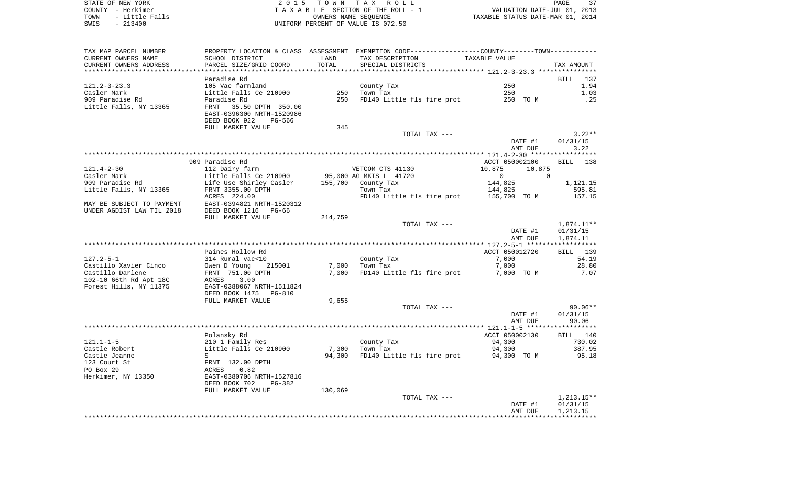STATE OF NEW YORK 2 0 1 5 T O W N T A X R O L L PAGE 37COUNTY - Herkimer **T A X A B L E** SECTION OF THE ROLL - 1 VALUATION DATE-JUL 01, 2013 TOWN - Little Falls OWNERS NAME SEQUENCE TAXABLE STATUS DATE-MAR 01, 2014 SWIS - 213400 UNIFORM PERCENT OF VALUE IS 072.50

TAX MAP PARCEL NUMBER PROPERTY LOCATION & CLASS ASSESSMENT EXEMPTION CODE------------------COUNTY--------TOWN------------ CURRENT OWNERS NAME SCHOOL DISTRICT LAND TAX DESCRIPTION TAXABLE VALUECURRENT OWNERS ADDRESS PARCEL SIZE/GRID COORD TOTAL SPECIAL DISTRICTS TAX AMOUNT \*\*\*\*\*\*\*\*\*\*\*\*\*\*\*\*\*\*\*\*\*\*\*\*\*\*\*\*\*\*\*\*\*\*\*\*\*\*\*\*\*\*\*\*\*\*\*\*\*\*\*\*\*\*\*\*\*\*\*\*\*\*\*\*\*\*\*\*\*\*\*\*\*\*\*\*\*\*\*\*\*\*\*\*\*\*\*\*\*\*\*\*\*\*\*\*\*\*\*\*\*\*\* 121.2-3-23.3 \*\*\*\*\*\*\*\*\*\*\*\*\*\*\*Paradise Rd BILL 137  $1.94$ 121.2-3-23.3 105 Vac farmland County Tax 250 Casler Mark Caster Mark Little Falls Ce 210900 250 Town Tax 250 250 250 250 250 909 Paradise Rd Paradise Rd 250 FD140 Little fls fire prot 250 TO M .25 Little Falls, NY 13365 FRNT 35.50 DPTH 350.00 EAST-0396300 NRTH-1520986 DEED BOOK 922 PG-566FULL MARKET VALUE 345 TOTAL TAX  $-- 3.22**$  DATE #1 01/31/15 AMT DUE 3.22 \*\*\*\*\*\*\*\*\*\*\*\*\*\*\*\*\*\*\*\*\*\*\*\*\*\*\*\*\*\*\*\*\*\*\*\*\*\*\*\*\*\*\*\*\*\*\*\*\*\*\*\*\*\*\*\*\*\*\*\*\*\*\*\*\*\*\*\*\*\*\*\*\*\*\*\*\*\*\*\*\*\*\*\*\*\*\*\*\*\*\*\*\*\*\*\*\*\*\*\*\*\*\* 121.4-2-30 \*\*\*\*\*\*\*\*\*\*\*\*\*\*\*\*\*BILL 138 909 Paradise Rd ACCT 050002100 BILL 1388 BILL 1388 BILL 1388 BILL 1388 BILL 1388 BILL 1388 BILL 1388 BILL 1388 BILL 1388 BILL 1388 BILL 1388 BILL 1388 BILL 1388 BILL 1388 BILL 1388 BILL 1388 BILL 1388 BILL 1388 BILL 1388 B 121.4-2-30 112 Dairy farm VETCOM CTS 41130 10,875 10,875 Casler Mark Little Falls Ce 210900 95,000 AG MKTS L 41720 0 0 909 Paradise Rd Life Use Shirley Casler 155,700 County Tax 144,825 1,121.15 Little Falls, NY 13365 695.81 FRNT 3355.00 DPTH Town Tax Town Tax 144,825 595.81 ACRES 224.00 FD140 Little fls fire prot 155,700 TO M 157.15 MAY BE SUBJECT TO PAYMENT EAST-0394821 NRTH-1520312UNDER AGDIST LAW TIL 2018 DEED BOOK 1216 PG-66 FULL MARKET VALUE 214,759 TOTAL TAX --- 1,874.11\*\* DATE #1 01/31/15 AMT DUE 1,874.11 \*\*\*\*\*\*\*\*\*\*\*\*\*\*\*\*\*\*\*\*\*\*\*\*\*\*\*\*\*\*\*\*\*\*\*\*\*\*\*\*\*\*\*\*\*\*\*\*\*\*\*\*\*\*\*\*\*\*\*\*\*\*\*\*\*\*\*\*\*\*\*\*\*\*\*\*\*\*\*\*\*\*\*\*\*\*\*\*\*\*\*\*\*\*\*\*\*\*\*\*\*\*\* 127.2-5-1 \*\*\*\*\*\*\*\*\*\*\*\*\*\*\*\*\*\*Paines Hollow Rd **Paint Results and ACCT 050012720** BILL 139 127.2-5-1 314 Rural vac<10 County Tax 7,000 54.19 Castillo Xavier Cinco Owen D Young 215001 7,000 Town Tax 7,000 28.80 Castillo Darlene FRNT 751.00 DPTH 7,000 FD140 Little fls fire prot 7,000 TO M 7.07 102-10 66th Rd Apt 18C ACRES 3.00 Forest Hills, NY 11375 EAST-0388067 NRTH-1511824 DEED BOOK 1475 PG-810FULL MARKET VALUE 9,655 TOTAL TAX --- 90.06\*\* DATE #1 01/31/15 AMT DUE 90.06 \*\*\*\*\*\*\*\*\*\*\*\*\*\*\*\*\*\*\*\*\*\*\*\*\*\*\*\*\*\*\*\*\*\*\*\*\*\*\*\*\*\*\*\*\*\*\*\*\*\*\*\*\*\*\*\*\*\*\*\*\*\*\*\*\*\*\*\*\*\*\*\*\*\*\*\*\*\*\*\*\*\*\*\*\*\*\*\*\*\*\*\*\*\*\*\*\*\*\*\*\*\*\* 121.1-1-5 \*\*\*\*\*\*\*\*\*\*\*\*\*\*\*\*\*\* Polansky Rd ACCT 050002130 BILL 140 121.1-1-5 210 1 Family Res County Tax 94,300 730.02 Castle Robert Little Falls Ce 210900 7,300 Town Tax 94,300 387.95 Castle Jeanne S S S Service S 34,300 FD140 Little fls fire prot 94,300 TO M 95.18 123 Court St FRNT 132.00 DPTHPO Box 29 ACRES 0.82 Herkimer, NY 13350 EAST-0380706 NRTH-1527816 DEED BOOK 702 PG-382FULL MARKET VALUE 130,069 TOTAL TAX  $---$  1,213.15\*\* DATE #1 01/31/15 AMT DUE 1,213.15

\*\*\*\*\*\*\*\*\*\*\*\*\*\*\*\*\*\*\*\*\*\*\*\*\*\*\*\*\*\*\*\*\*\*\*\*\*\*\*\*\*\*\*\*\*\*\*\*\*\*\*\*\*\*\*\*\*\*\*\*\*\*\*\*\*\*\*\*\*\*\*\*\*\*\*\*\*\*\*\*\*\*\*\*\*\*\*\*\*\*\*\*\*\*\*\*\*\*\*\*\*\*\*\*\*\*\*\*\*\*\*\*\*\*\*\*\*\*\*\*\*\*\*\*\*\*\*\*\*\*\*\*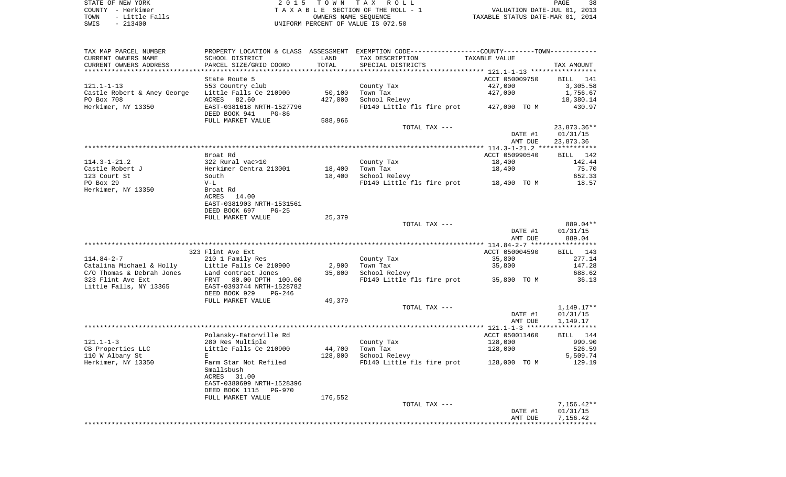STATE OF NEW YORK **EXECUTE:** A G L L 2 0 1 5 T O W N T A X R O L L COUNTY - Herkimer<br>
T A X A B L E SECTION OF THE ROLL - 1<br>
T A X A B L E SECTION OF THE ROLL - 1<br>
OWNERS NAME SEQUENCE<br>
SWIS - 213400<br>
OWNERS NAME SEQUENCE TOWN - Little Falls OWNERS NAME SEQUENCE TAXABLE STATUS DATE-MAR 01, 2014 SWIS - 213400 UNIFORM PERCENT OF VALUE IS 072.50

| TAX MAP PARCEL NUMBER                              |                                 |         | PROPERTY LOCATION & CLASS ASSESSMENT EXEMPTION CODE----------------COUNTY-------TOWN---------- |                |               |
|----------------------------------------------------|---------------------------------|---------|------------------------------------------------------------------------------------------------|----------------|---------------|
| CURRENT OWNERS NAME                                | SCHOOL DISTRICT                 | LAND    | TAX DESCRIPTION                                                                                | TAXABLE VALUE  |               |
| CURRENT OWNERS ADDRESS                             | PARCEL SIZE/GRID COORD          | TOTAL   | SPECIAL DISTRICTS                                                                              |                | TAX AMOUNT    |
|                                                    |                                 |         |                                                                                                |                |               |
|                                                    | State Route 5                   |         |                                                                                                | ACCT 050009750 | BILL 141      |
| $121.1 - 1 - 13$                                   | 553 Country club                |         | County Tax                                                                                     | 427,000        | 3,305.58      |
| Castle Robert & Aney George Little Falls Ce 210900 |                                 | 50,100  | Town Tax                                                                                       | 427,000        | 1,756.67      |
| PO Box 708                                         | ACRES 82.60                     | 427,000 | School Relevy                                                                                  |                | 18,380.14     |
| Herkimer, NY 13350                                 | EAST-0381618 NRTH-1527796       |         | FD140 Little fls fire prot 427,000 TO M                                                        |                | 430.97        |
|                                                    | DEED BOOK 941<br>PG-86          |         |                                                                                                |                |               |
|                                                    | FULL MARKET VALUE               | 588,966 |                                                                                                |                |               |
|                                                    |                                 |         | TOTAL TAX ---                                                                                  |                | $23,873.36**$ |
|                                                    |                                 |         |                                                                                                |                |               |
|                                                    |                                 |         |                                                                                                | DATE #1        | 01/31/15      |
|                                                    |                                 |         |                                                                                                | AMT DUE        | 23,873.36     |
|                                                    |                                 |         |                                                                                                |                |               |
|                                                    | Broat Rd                        |         |                                                                                                | ACCT 050990540 | BILL 142      |
| $114.3 - 1 - 21.2$                                 | 322 Rural vac>10                |         | County Tax                                                                                     | 18,400         | 142.44        |
| Castle Robert J                                    | Herkimer Centra 213001          | 18,400  | Town Tax                                                                                       | 18,400         | 75.70         |
| 123 Court St                                       | South                           | 18,400  | School Relevy                                                                                  |                | 652.33        |
| PO Box 29                                          | $V-L$                           |         | FD140 Little fls fire prot 18,400 TO M                                                         |                | 18.57         |
| Herkimer, NY 13350                                 | Broat Rd                        |         |                                                                                                |                |               |
|                                                    | ACRES<br>14.00                  |         |                                                                                                |                |               |
|                                                    | EAST-0381903 NRTH-1531561       |         |                                                                                                |                |               |
|                                                    | DEED BOOK 697<br>$PG-25$        |         |                                                                                                |                |               |
|                                                    | FULL MARKET VALUE               | 25,379  |                                                                                                |                |               |
|                                                    |                                 |         | TOTAL TAX ---                                                                                  |                | 889.04**      |
|                                                    |                                 |         |                                                                                                | DATE #1        | 01/31/15      |
|                                                    |                                 |         |                                                                                                | AMT DUE        | 889.04        |
|                                                    |                                 |         |                                                                                                |                |               |
|                                                    | 323 Flint Ave Ext               |         |                                                                                                | ACCT 050004590 | BILL 143      |
| $114.84 - 2 - 7$                                   | 210 1 Family Res                |         | County Tax                                                                                     | 35,800         | 277.14        |
| Catalina Michael & Holly                           | Little Falls Ce 210900          |         | 2,900   Town Tax                                                                               | 35,800         | 147.28        |
| C/O Thomas & Debrah Jones                          | Land contract Jones             | 35,800  | School Relevy                                                                                  |                | 688.62        |
| 323 Flint Ave Ext                                  | FRNT 80.00 DPTH 100.00          |         | FD140 Little fls fire prot 35,800 TO M                                                         |                | 36.13         |
|                                                    | EAST-0393744 NRTH-1528782       |         |                                                                                                |                |               |
| Little Falls, NY 13365                             |                                 |         |                                                                                                |                |               |
|                                                    | DEED BOOK 929<br>PG-246         | 49,379  |                                                                                                |                |               |
|                                                    | FULL MARKET VALUE               |         |                                                                                                |                |               |
|                                                    |                                 |         | TOTAL TAX ---                                                                                  |                | $1,149.17**$  |
|                                                    |                                 |         |                                                                                                | DATE #1        | 01/31/15      |
|                                                    |                                 |         |                                                                                                | AMT DUE        | 1,149.17      |
|                                                    |                                 |         |                                                                                                |                |               |
|                                                    | Polansky-Eatonville Rd          |         |                                                                                                | ACCT 050011460 | BILL 144      |
| $121.1 - 1 - 3$                                    | 280 Res Multiple                |         | County Tax                                                                                     | 128,000        | 990.90        |
| CB Properties LLC                                  | Little Falls Ce 210900          | 44,700  | Town Tax                                                                                       | 128,000        | 526.59        |
| 110 W Albany St                                    | E                               | 128,000 | School Relevy                                                                                  |                | 5,509.74      |
| Herkimer, NY 13350                                 | Farm Star Not Refiled           |         | FD140 Little fls fire prot 128,000 TO M                                                        |                | 129.19        |
|                                                    | Smallsbush                      |         |                                                                                                |                |               |
|                                                    | ACRES<br>31.00                  |         |                                                                                                |                |               |
|                                                    | EAST-0380699 NRTH-1528396       |         |                                                                                                |                |               |
|                                                    | DEED BOOK 1115<br><b>PG-970</b> |         |                                                                                                |                |               |
|                                                    | FULL MARKET VALUE               | 176,552 |                                                                                                |                |               |
|                                                    |                                 |         | TOTAL TAX ---                                                                                  |                | $7,156.42**$  |
|                                                    |                                 |         |                                                                                                | DATE #1        | 01/31/15      |
|                                                    |                                 |         |                                                                                                | AMT DUE        | 7,156.42      |
|                                                    |                                 |         |                                                                                                |                | ************  |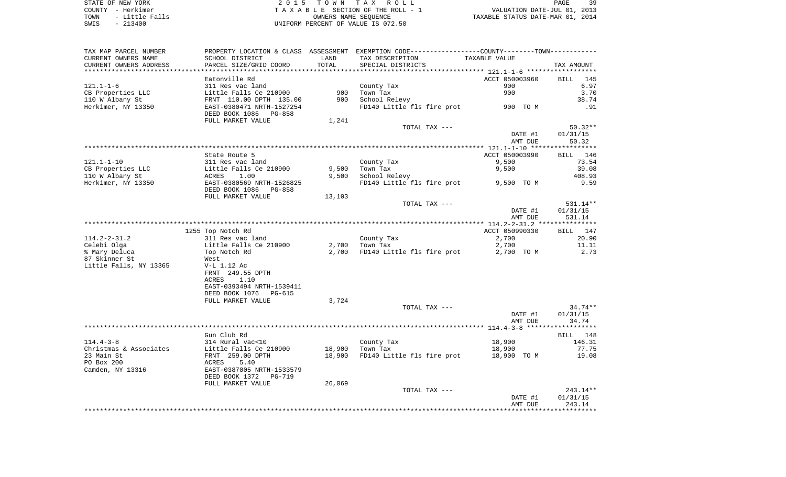STATE OF NEW YORK **EXECUTE:**  $2015$  TOWN TAX ROLL COUNTY - Herkimer<br>
T A X A B L E SECTION OF THE ROLL - 1<br>
T A X A B L E SECTION OF THE ROLL - 1<br>
OWNERS NAME SEQUENCE<br>
SWIS - 213400<br>
OWNERS NAME SEQUENCE TOWN - Little Falls OWNERS NAME SEQUENCE TAXABLE STATUS DATE-MAR 01, 2014 SWIS - 213400 UNIFORM PERCENT OF VALUE IS 072.50

| TAX MAP PARCEL NUMBER  |                           |        | PROPERTY LOCATION & CLASS ASSESSMENT EXEMPTION CODE----------------COUNTY-------TOWN--------- |                |             |
|------------------------|---------------------------|--------|-----------------------------------------------------------------------------------------------|----------------|-------------|
| CURRENT OWNERS NAME    | SCHOOL DISTRICT           | LAND   | TAX DESCRIPTION                                                                               | TAXABLE VALUE  |             |
| CURRENT OWNERS ADDRESS | PARCEL SIZE/GRID COORD    | TOTAL  | SPECIAL DISTRICTS                                                                             |                | TAX AMOUNT  |
|                        |                           |        |                                                                                               |                |             |
|                        | Eatonville Rd             |        |                                                                                               | ACCT 050003960 | BILL<br>145 |
| $121.1 - 1 - 6$        | 311 Res vac land          |        | County Tax                                                                                    | 900            | 6.97        |
| CB Properties LLC      | Little Falls Ce 210900    | 900    | Town Tax                                                                                      | 900            | 3.70        |
| 110 W Albany St        | FRNT 110.00 DPTH 135.00   | 900    | School Relevy                                                                                 |                | 38.74       |
| Herkimer, NY 13350     | EAST-0380471 NRTH-1527254 |        | FD140 Little fls fire prot 900 TO M                                                           |                | .91         |
|                        | DEED BOOK 1086 PG-858     |        |                                                                                               |                |             |
|                        | FULL MARKET VALUE         | 1,241  |                                                                                               |                |             |
|                        |                           |        | TOTAL TAX ---                                                                                 |                | $50.32**$   |
|                        |                           |        |                                                                                               | DATE #1        | 01/31/15    |
|                        |                           |        |                                                                                               | AMT DUE        | 50.32       |
|                        |                           |        |                                                                                               |                |             |
|                        | State Route 5             |        |                                                                                               | ACCT 050003990 | BILL 146    |
| $121.1 - 1 - 10$       | 311 Res vac land          |        | County Tax                                                                                    | 9,500          | 73.54       |
| CB Properties LLC      | Little Falls Ce 210900    | 9,500  | Town Tax                                                                                      | 9,500          | 39.08       |
| 110 W Albany St        | ACRES<br>1.00             | 9,500  | School Relevy                                                                                 |                | 408.93      |
| Herkimer, NY 13350     | EAST-0380569 NRTH-1526825 |        | FD140 Little fls fire prot 9,500 TO M                                                         |                | 9.59        |
|                        | DEED BOOK 1086 PG-858     |        |                                                                                               |                |             |
|                        | FULL MARKET VALUE         | 13,103 |                                                                                               |                |             |
|                        |                           |        | TOTAL TAX ---                                                                                 |                | 531.14**    |
|                        |                           |        |                                                                                               | DATE #1        | 01/31/15    |
|                        |                           |        |                                                                                               | AMT DUE        | 531.14      |
|                        |                           |        |                                                                                               |                |             |
|                        | 1255 Top Notch Rd         |        |                                                                                               | ACCT 050990330 | BILL 147    |
| $114.2 - 2 - 31.2$     | 311 Res vac land          |        | County Tax                                                                                    | 2,700          | 20.90       |
| Celebi Olga            | Little Falls Ce 210900    |        | $2,700$ Town Tax                                                                              | 2,700          | 11.11       |
| % Mary Deluca          | Top Notch Rd              | 2,700  | FD140 Little fls fire prot                                                                    | 2,700 TO M     | 2.73        |
| 87 Skinner St          | West                      |        |                                                                                               |                |             |
| Little Falls, NY 13365 | V-L 1.12 Ac               |        |                                                                                               |                |             |
|                        | FRNT 249.55 DPTH          |        |                                                                                               |                |             |
|                        | 1.10<br>ACRES             |        |                                                                                               |                |             |
|                        | EAST-0393494 NRTH-1539411 |        |                                                                                               |                |             |
|                        | DEED BOOK 1076 PG-615     |        |                                                                                               |                |             |
|                        | FULL MARKET VALUE         | 3,724  |                                                                                               |                |             |
|                        |                           |        | TOTAL TAX ---                                                                                 |                | 34.74**     |
|                        |                           |        |                                                                                               | DATE #1        | 01/31/15    |
|                        |                           |        |                                                                                               | AMT DUE        | 34.74       |
|                        |                           |        |                                                                                               |                |             |
|                        | Gun Club Rd               |        |                                                                                               |                | BILL 148    |
| $114.4 - 3 - 8$        | 314 Rural vac<10          |        | County Tax                                                                                    | 18,900         | 146.31      |
| Christmas & Associates | Little Falls Ce 210900    | 18,900 | Town Tax                                                                                      | 18,900         | 77.75       |
| 23 Main St             | FRNT 259.00 DPTH          | 18,900 | FD140 Little fls fire prot 18,900 TO M                                                        |                | 19.08       |
| PO Box 200             | ACRES<br>5.40             |        |                                                                                               |                |             |
| Camden, NY 13316       | EAST-0387005 NRTH-1533579 |        |                                                                                               |                |             |
|                        | DEED BOOK 1372 PG-719     |        |                                                                                               |                |             |
|                        | FULL MARKET VALUE         | 26,069 |                                                                                               |                |             |
|                        |                           |        | TOTAL TAX ---                                                                                 |                | 243.14**    |
|                        |                           |        |                                                                                               | DATE #1        | 01/31/15    |
|                        |                           |        |                                                                                               | AMT DUE        | 243.14      |
|                        |                           |        |                                                                                               |                |             |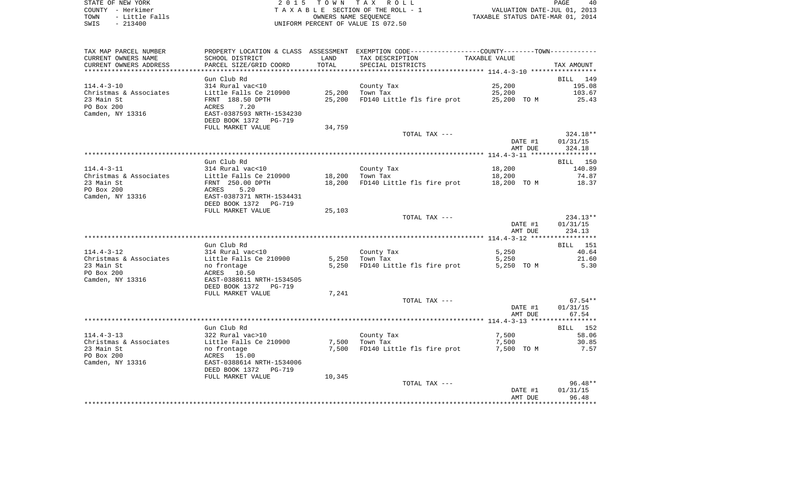STATE OF NEW YORK 2 0 1 5 T O W N T A X R O L L PAGE 40COUNTY - Herkimer **T A X A B L E** SECTION OF THE ROLL - 1 VALUATION DATE-JUL 01, 2013 TOWN - Little Falls OWNERS NAME SEQUENCE TAXABLE STATUS DATE-MAR 01, 2014 SWIS - 213400 UNIFORM PERCENT OF VALUE IS 072.50

TAX MAP PARCEL NUMBER PROPERTY LOCATION & CLASS ASSESSMENT EXEMPTION CODE------------------COUNTY--------TOWN------------ CURRENT OWNERS NAME SCHOOL DISTRICT LAND TAX DESCRIPTION TAXABLE VALUECURRENT OWNERS ADDRESS PARCEL SIZE/GRID COORD TOTAL SPECIAL DISTRICTS TAX AMOUNT \*\*\*\*\*\*\*\*\*\*\*\*\*\*\*\*\*\*\*\*\*\*\*\*\*\*\*\*\*\*\*\*\*\*\*\*\*\*\*\*\*\*\*\*\*\*\*\*\*\*\*\*\*\*\*\*\*\*\*\*\*\*\*\*\*\*\*\*\*\*\*\*\*\*\*\*\*\*\*\*\*\*\*\*\*\*\*\*\*\*\*\*\*\*\*\*\*\*\*\*\*\*\* 114.4-3-10 \*\*\*\*\*\*\*\*\*\*\*\*\*\*\*\*\*Gun Club Rd BILL 149 114.4-3-10 314 Rural vac<10 County Tax 25,200 195.08 Christmas & Associates Little Falls Ce 210900 25,200 Town Tax 25,200 103.67 23 Main St FRNT 188.50 DPTH 25,200 FD140 Little fls fire prot 25,200 TO M 25.43 PO Box 200 ACRES 7.20Camden, NY 13316 EAST-0387593 NRTH-1534230 DEED BOOK 1372 PG-719FULL MARKET VALUE 34,759 TOTAL TAX --- 324.18\*\* DATE #1 01/31/15 AMT DUE 324.18 \*\*\*\*\*\*\*\*\*\*\*\*\*\*\*\*\*\*\*\*\*\*\*\*\*\*\*\*\*\*\*\*\*\*\*\*\*\*\*\*\*\*\*\*\*\*\*\*\*\*\*\*\*\*\*\*\*\*\*\*\*\*\*\*\*\*\*\*\*\*\*\*\*\*\*\*\*\*\*\*\*\*\*\*\*\*\*\*\*\*\*\*\*\*\*\*\*\*\*\*\*\*\* 114.4-3-11 \*\*\*\*\*\*\*\*\*\*\*\*\*\*\*\*\* Gun Club Rd BILL 150140.89 114.4-3-11 314 Rural vac<10 County Tax 18,200 Christmas & Associates and Little Falls Ce 210900 18,200 Town Tax 18,200 18,200 14.87 23 Main St FRNT 250.00 DPTH 18,200 FD140 Little fls fire prot 18,200 TO M 18.37 PO Box 200 ACRES 5.20 Camden, NY 13316 EAST-0387371 NRTH-1534431 DEED BOOK 1372 PG-719FULL MARKET VALUE 25,103 TOTAL TAX --- 234.13\*\* DATE #1 01/31/15 AMT DUE 234.13 \*\*\*\*\*\*\*\*\*\*\*\*\*\*\*\*\*\*\*\*\*\*\*\*\*\*\*\*\*\*\*\*\*\*\*\*\*\*\*\*\*\*\*\*\*\*\*\*\*\*\*\*\*\*\*\*\*\*\*\*\*\*\*\*\*\*\*\*\*\*\*\*\*\*\*\*\*\*\*\*\*\*\*\*\*\*\*\*\*\*\*\*\*\*\*\*\*\*\*\*\*\*\* 114.4-3-12 \*\*\*\*\*\*\*\*\*\*\*\*\*\*\*\*\* Gun Club Rd BILL 151114.4-3-12 314 Rural vac<10 County Tax 5,250 40.64 Christmas & Associates Little Falls Ce 210900 5,250 Town Tax 5,250 21.60 23 Main St 10 10 mo frontage 1996 5,250 FD140 Little fls fire prot 5,250 TO M 5.30 PO Box 200 ACRES 10.50 Camden, NY 13316 EAST-0388611 NRTH-1534505 DEED BOOK 1372 PG-719FULL MARKET VALUE 7,241 TOTAL TAX  $---$  67.54\*\* DATE #1 01/31/15 AMT DUE 67.54 \*\*\*\*\*\*\*\*\*\*\*\*\*\*\*\*\*\*\*\*\*\*\*\*\*\*\*\*\*\*\*\*\*\*\*\*\*\*\*\*\*\*\*\*\*\*\*\*\*\*\*\*\*\*\*\*\*\*\*\*\*\*\*\*\*\*\*\*\*\*\*\*\*\*\*\*\*\*\*\*\*\*\*\*\*\*\*\*\*\*\*\*\*\*\*\*\*\*\*\*\*\*\* 114.4-3-13 \*\*\*\*\*\*\*\*\*\*\*\*\*\*\*\*\*BILL 152 Gun Club Rd 114.4-3-13 322 Rural vac>10 County Tax 7,500 58.06 Christmas & Associates and Little Falls Ce 210900 7,500 70wn Tax 7,500 700 700 700 30.85 23 Main St 1.57 Change 1.57 Change 2.57 Change 2.57 Change 1.57 Change 1.57 Change 2.57 Change 2.57 Change 2.57 PO Box 200 ACRES 15.00 Camden, NY 13316 EAST-0388614 NRTH-1534006 DEED BOOK 1372 PG-719FULL MARKET VALUE 10,345 TOTAL TAX --- 96.48\*\* DATE #1 01/31/15 AMT DUE 96.48\*\*\*\*\*\*\*\*\*\*\*\*\*\*\*\*\*\*\*\*\*\*\*\*\*\*\*\*\*\*\*\*\*\*\*\*\*\*\*\*\*\*\*\*\*\*\*\*\*\*\*\*\*\*\*\*\*\*\*\*\*\*\*\*\*\*\*\*\*\*\*\*\*\*\*\*\*\*\*\*\*\*\*\*\*\*\*\*\*\*\*\*\*\*\*\*\*\*\*\*\*\*\*\*\*\*\*\*\*\*\*\*\*\*\*\*\*\*\*\*\*\*\*\*\*\*\*\*\*\*\*\*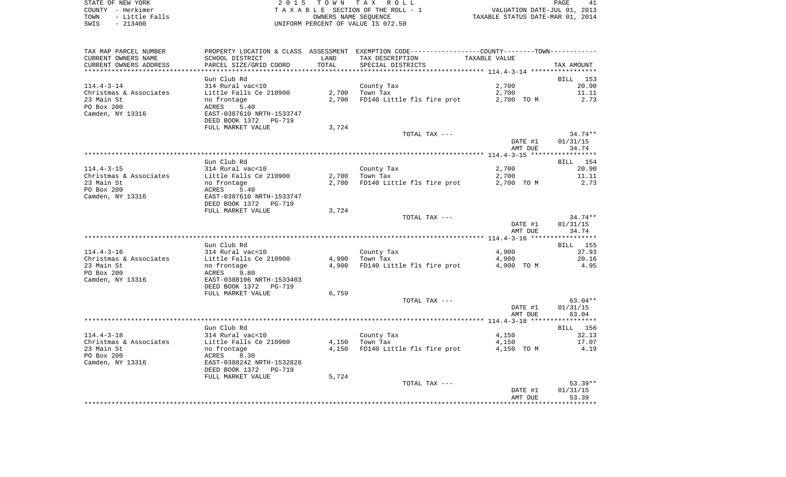STATE OF NEW YORK **EXECUTE:** TO W N TAX ROLL COUNTY - Herkimer<br>
T A X A B L E SECTION OF THE ROLL - 1<br>
T A X A B L E SECTION OF THE ROLL - 1<br>
OWNERS NAME SEQUENCE<br>
SWIS - 213400<br>
OWNERS NAME SEQUENCE TOWN - Little Falls OWNERS NAME SEQUENCE TAXABLE STATUS DATE-MAR 01, 2014 SWIS - 213400 UNIFORM PERCENT OF VALUE IS 072.50

| TAX MAP PARCEL NUMBER                |                           |       | PROPERTY LOCATION & CLASS ASSESSMENT EXEMPTION CODE----------------COUNTY--------TOWN---------- |               |                       |
|--------------------------------------|---------------------------|-------|-------------------------------------------------------------------------------------------------|---------------|-----------------------|
| CURRENT OWNERS NAME                  | SCHOOL DISTRICT           | LAND  | TAX DESCRIPTION                                                                                 | TAXABLE VALUE |                       |
| CURRENT OWNERS ADDRESS               | PARCEL SIZE/GRID COORD    | TOTAL | SPECIAL DISTRICTS                                                                               |               | TAX AMOUNT            |
|                                      |                           |       |                                                                                                 |               |                       |
|                                      | Gun Club Rd               |       |                                                                                                 |               | BILL 153              |
| $114.4 - 3 - 14$                     | 314 Rural vac<10          |       | County Tax                                                                                      | 2,700         | 20.90                 |
| Christmas & Associates               | Little Falls Ce 210900    |       | $2,700$ Town Tax                                                                                |               | 11.11                 |
|                                      |                           |       |                                                                                                 | 2,700         |                       |
| 23 Main St                           | no frontage               | 2,700 | FD140 Little fls fire prot                                                                      | 2,700 TO M    | 2.73                  |
| PO Box 200                           | ACRES<br>5.40             |       |                                                                                                 |               |                       |
| Camden, NY 13316                     | EAST-0387610 NRTH-1533747 |       |                                                                                                 |               |                       |
|                                      | DEED BOOK 1372 PG-719     |       |                                                                                                 |               |                       |
|                                      | FULL MARKET VALUE         | 3,724 |                                                                                                 |               |                       |
|                                      |                           |       | TOTAL TAX ---                                                                                   |               | $34.74**$             |
|                                      |                           |       |                                                                                                 | DATE #1       | 01/31/15              |
|                                      |                           |       |                                                                                                 | AMT DUE       | 34.74                 |
|                                      |                           |       |                                                                                                 |               |                       |
|                                      | Gun Club Rd               |       |                                                                                                 |               | BILL 154              |
| $114.4 - 3 - 15$                     | 314 Rural vac<10          |       | County Tax                                                                                      | 2,700         | 20.90                 |
|                                      | Little Falls Ce 210900    |       | $2,700$ Town Tax                                                                                | 2,700         | 11.11                 |
| Christmas & Associates<br>23 Main St |                           |       | 2,700 FD140 Little fls fire prot 2,700 TO M                                                     |               |                       |
|                                      | no frontage               |       |                                                                                                 |               | 2.73                  |
| PO Box 200                           | ACRES<br>5.40             |       |                                                                                                 |               |                       |
| Camden, NY 13316                     | EAST-0387610 NRTH-1533747 |       |                                                                                                 |               |                       |
|                                      | DEED BOOK 1372 PG-719     |       |                                                                                                 |               |                       |
|                                      | FULL MARKET VALUE         | 3,724 |                                                                                                 |               |                       |
|                                      |                           |       | TOTAL TAX ---                                                                                   |               | $34.74**$             |
|                                      |                           |       |                                                                                                 | DATE #1       | 01/31/15              |
|                                      |                           |       |                                                                                                 | AMT DUE       | 34.74                 |
|                                      |                           |       |                                                                                                 |               | ***********           |
|                                      | Gun Club Rd               |       |                                                                                                 |               | <b>BILL</b> 155       |
| $114.4 - 3 - 16$                     | 314 Rural vac<10          |       | County Tax                                                                                      | 4,900         | 37.93                 |
| Christmas & Associates               | Little Falls Ce 210900    | 4,900 | Town Tax                                                                                        | 4,900         | 20.16                 |
| 23 Main St                           | no frontage               | 4,900 | FD140 Little fls fire prot                                                                      | 4,900 TO M    | 4.95                  |
| PO Box 200                           | ACRES<br>9.80             |       |                                                                                                 |               |                       |
|                                      |                           |       |                                                                                                 |               |                       |
| Camden, NY 13316                     | EAST-0388106 NRTH-1533403 |       |                                                                                                 |               |                       |
|                                      | DEED BOOK 1372 PG-719     |       |                                                                                                 |               |                       |
|                                      | FULL MARKET VALUE         | 6,759 |                                                                                                 |               |                       |
|                                      |                           |       | TOTAL TAX ---                                                                                   |               | 63.04**               |
|                                      |                           |       |                                                                                                 | DATE #1       | 01/31/15              |
|                                      |                           |       |                                                                                                 | AMT DUE       | 63.04                 |
|                                      |                           |       |                                                                                                 |               |                       |
|                                      | Gun Club Rd               |       |                                                                                                 |               | BILL 156              |
| $114.4 - 3 - 18$                     | 314 Rural vac<10          |       | County Tax                                                                                      | 4,150         | 32.13                 |
| Christmas & Associates               | Little Falls Ce 210900    |       | $4,150$ Town Tax                                                                                | 4,150         | 17.07                 |
| 23 Main St                           | no frontage               | 4,150 | FD140 Little fls fire prot                                                                      | 4,150 TO M    | 4.19                  |
| PO Box 200                           | ACRES<br>8.30             |       |                                                                                                 |               |                       |
| Camden, NY 13316                     | EAST-0388242 NRTH-1532828 |       |                                                                                                 |               |                       |
|                                      |                           |       |                                                                                                 |               |                       |
|                                      | DEED BOOK 1372<br>PG-719  |       |                                                                                                 |               |                       |
|                                      | FULL MARKET VALUE         | 5,724 |                                                                                                 |               |                       |
|                                      |                           |       | TOTAL TAX ---                                                                                   |               | $53.39**$             |
|                                      |                           |       |                                                                                                 | DATE #1       | 01/31/15              |
|                                      |                           |       |                                                                                                 | AMT DUE       | 53.39                 |
|                                      |                           |       |                                                                                                 |               | * * * * * * * * * * * |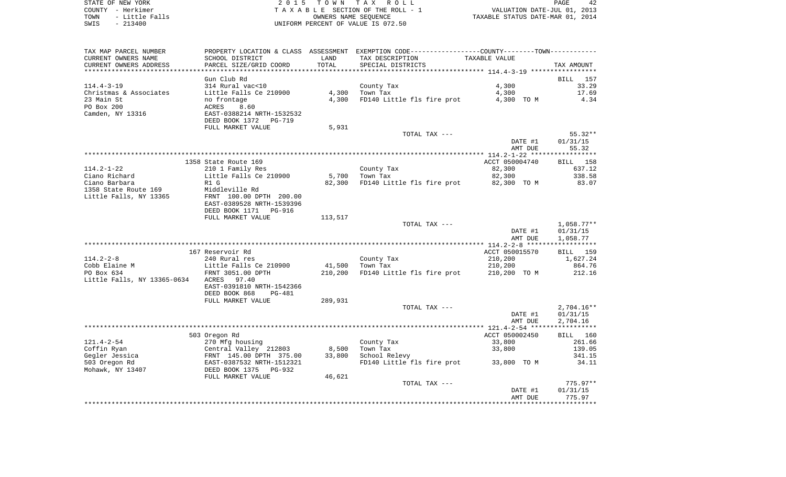STATE OF NEW YORK **EXECUTE:** TO W N TAX ROLL COUNTY - Herkimer<br>
T A X A B L E SECTION OF THE ROLL - 1<br>
T A X A B L E SECTION OF THE ROLL - 1<br>
OWNERS NAME SEQUENCE<br>
SWIS - 213400<br>
OWNERS NAME SEQUENCE TOWN - LITTLE SECTION OF THE ROLL - 1<br>
TAXABLE STATUS DATE-JUL 01, 2013<br>
OWNERS NAME SEQUENCE TAXABLE STATUS DATE-MAR 01, 2014 SWIS - 213400 UNIFORM PERCENT OF VALUE IS 072.50

| TAX MAP PARCEL NUMBER       |                           |         | PROPERTY LOCATION & CLASS ASSESSMENT EXEMPTION CODE----------------COUNTY--------TOWN---------- |                |                 |
|-----------------------------|---------------------------|---------|-------------------------------------------------------------------------------------------------|----------------|-----------------|
| CURRENT OWNERS NAME         | SCHOOL DISTRICT           | LAND    | TAX DESCRIPTION                                                                                 | TAXABLE VALUE  |                 |
| CURRENT OWNERS ADDRESS      | PARCEL SIZE/GRID COORD    | TOTAL   | SPECIAL DISTRICTS                                                                               |                | TAX AMOUNT      |
|                             |                           |         |                                                                                                 |                |                 |
|                             | Gun Club Rd               |         |                                                                                                 |                | BILL 157        |
| $114.4 - 3 - 19$            | 314 Rural vac<10          |         | County Tax                                                                                      | 4,300          | 33.29           |
| Christmas & Associates      | Little Falls Ce 210900    | 4,300   | Town Tax                                                                                        | 4,300          | 17.69           |
|                             |                           |         |                                                                                                 |                |                 |
| 23 Main St                  | no frontage               | 4,300   | FD140 Little fls fire prot                                                                      | 4,300 TO M     | 4.34            |
| PO Box 200                  | 8.60<br>ACRES             |         |                                                                                                 |                |                 |
| Camden, NY 13316            | EAST-0388214 NRTH-1532532 |         |                                                                                                 |                |                 |
|                             | DEED BOOK 1372<br>PG-719  |         |                                                                                                 |                |                 |
|                             | FULL MARKET VALUE         | 5,931   |                                                                                                 |                |                 |
|                             |                           |         | TOTAL TAX ---                                                                                   |                | $55.32**$       |
|                             |                           |         |                                                                                                 | DATE #1        | 01/31/15        |
|                             |                           |         |                                                                                                 | AMT DUE        | 55.32           |
|                             |                           |         |                                                                                                 |                |                 |
|                             | 1358 State Route 169      |         |                                                                                                 | ACCT 050004740 | <b>BILL</b> 158 |
| $114.2 - 1 - 22$            | 210 1 Family Res          |         | County Tax                                                                                      | 82,300         | 637.12          |
| Ciano Richard               | Little Falls Ce 210900    | 5,700   | Town Tax                                                                                        | 82,300         | 338.58          |
| Ciano Barbara               | R1 G                      | 82,300  | FD140 Little fls fire prot 82,300 TO M                                                          |                | 83.07           |
| 1358 State Route 169        | Middleville Rd            |         |                                                                                                 |                |                 |
|                             |                           |         |                                                                                                 |                |                 |
| Little Falls, NY 13365      | FRNT 100.00 DPTH 200.00   |         |                                                                                                 |                |                 |
|                             | EAST-0389528 NRTH-1539396 |         |                                                                                                 |                |                 |
|                             | DEED BOOK 1171 PG-916     |         |                                                                                                 |                |                 |
|                             | FULL MARKET VALUE         | 113,517 |                                                                                                 |                |                 |
|                             |                           |         | TOTAL TAX ---                                                                                   |                | $1,058.77**$    |
|                             |                           |         |                                                                                                 | DATE #1        | 01/31/15        |
|                             |                           |         |                                                                                                 | AMT DUE        | 1,058.77        |
|                             |                           |         |                                                                                                 |                |                 |
|                             | 167 Reservoir Rd          |         |                                                                                                 | ACCT 050015570 | BILL 159        |
| $114.2 - 2 - 8$             | 240 Rural res             |         | County Tax                                                                                      | 210,200        | 1,627.24        |
| Cobb Elaine M               | Little Falls Ce 210900    | 41,500  | Town Tax                                                                                        | 210,200        | 864.76          |
| PO Box 634                  | FRNT 3051.00 DPTH         | 210,200 | FD140 Little fls fire prot                                                                      | 210,200 TO M   | 212.16          |
| Little Falls, NY 13365-0634 | ACRES<br>97.40            |         |                                                                                                 |                |                 |
|                             | EAST-0391810 NRTH-1542366 |         |                                                                                                 |                |                 |
|                             | DEED BOOK 868<br>PG-481   |         |                                                                                                 |                |                 |
|                             | FULL MARKET VALUE         | 289,931 |                                                                                                 |                |                 |
|                             |                           |         | TOTAL TAX ---                                                                                   |                | $2,704.16**$    |
|                             |                           |         |                                                                                                 | DATE #1        | 01/31/15        |
|                             |                           |         |                                                                                                 |                |                 |
|                             |                           |         |                                                                                                 | AMT DUE        | 2,704.16        |
|                             |                           |         |                                                                                                 |                |                 |
|                             | 503 Oregon Rd             |         |                                                                                                 | ACCT 050002450 | BILL 160        |
| $121.4 - 2 - 54$            | 270 Mfg housing           |         | County Tax                                                                                      | 33,800         | 261.66          |
| Coffin Ryan                 | Central Valley 212803     | 8,500   | Town Tax                                                                                        | 33,800         | 139.05          |
| Gegler Jessica              | FRNT 145.00 DPTH 375.00   | 33,800  | School Relevy                                                                                   |                | 341.15          |
| 503 Oregon Rd               | EAST-0387532 NRTH-1512321 |         | FD140 Little fls fire prot                                                                      | 33,800 TO M    | 34.11           |
| Mohawk, NY 13407            | DEED BOOK 1375<br>PG-932  |         |                                                                                                 |                |                 |
|                             | FULL MARKET VALUE         | 46,621  |                                                                                                 |                |                 |
|                             |                           |         | TOTAL TAX ---                                                                                   |                | $775.97**$      |
|                             |                           |         |                                                                                                 | DATE #1        | 01/31/15        |
|                             |                           |         |                                                                                                 | AMT DUE        | 775.97          |
|                             |                           |         |                                                                                                 |                | ***********     |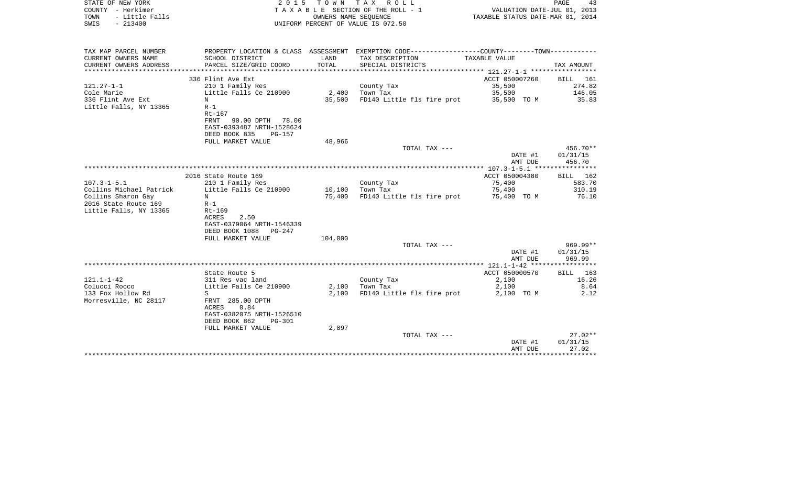| STATE OF NEW YORK<br>COUNTY - Herkimer<br>TOWN<br>- Little Falls<br>SWIS<br>$-213400$ | 2 0 1 5                                                                                                      |                  | TOWN TAX ROLL<br>T A X A B L E SECTION OF THE ROLL - 1<br>OWNERS NAME SEQUENCE<br>UNIFORM PERCENT OF VALUE IS 072.50 | VALUATION DATE-JUL 01, 2013<br>TAXABLE STATUS DATE-MAR 01, 2014 | PAGE<br>43                     |
|---------------------------------------------------------------------------------------|--------------------------------------------------------------------------------------------------------------|------------------|----------------------------------------------------------------------------------------------------------------------|-----------------------------------------------------------------|--------------------------------|
| TAX MAP PARCEL NUMBER                                                                 |                                                                                                              |                  | PROPERTY LOCATION & CLASS ASSESSMENT EXEMPTION CODE----------------COUNTY--------TOWN----------                      |                                                                 |                                |
| CURRENT OWNERS NAME                                                                   | SCHOOL DISTRICT                                                                                              | LAND             | TAX DESCRIPTION                                                                                                      | TAXABLE VALUE                                                   |                                |
| CURRENT OWNERS ADDRESS                                                                | PARCEL SIZE/GRID COORD                                                                                       | TOTAL            | SPECIAL DISTRICTS                                                                                                    |                                                                 | TAX AMOUNT                     |
| ***********************                                                               | ****************************                                                                                 |                  |                                                                                                                      |                                                                 |                                |
|                                                                                       | 336 Flint Ave Ext                                                                                            |                  |                                                                                                                      | ACCT 050007260                                                  | <b>BILL</b><br>- 161           |
| $121.27 - 1 - 1$                                                                      | 210 1 Family Res                                                                                             |                  | County Tax                                                                                                           | 35,500                                                          | 274.82                         |
| Cole Marie                                                                            | Little Falls Ce 210900<br>N                                                                                  | 2,400            | Town Tax                                                                                                             | 35,500                                                          | 146.05<br>35.83                |
| 336 Flint Ave Ext<br>Little Falls, NY 13365                                           | $R-1$<br>Rt-167<br><b>FRNT</b><br>90.00 DPTH<br>78.00                                                        | 35,500           | FD140 Little fls fire prot                                                                                           | 35,500 TO M                                                     |                                |
|                                                                                       | EAST-0393487 NRTH-1528624<br>DEED BOOK 835<br>PG-157<br>FULL MARKET VALUE                                    | 48,966           |                                                                                                                      |                                                                 |                                |
|                                                                                       |                                                                                                              |                  | TOTAL TAX ---                                                                                                        |                                                                 | $456.70**$                     |
|                                                                                       |                                                                                                              |                  |                                                                                                                      | DATE #1<br>AMT DUE                                              | 01/31/15<br>456.70             |
|                                                                                       |                                                                                                              |                  |                                                                                                                      |                                                                 |                                |
|                                                                                       | 2016 State Route 169                                                                                         |                  |                                                                                                                      | ACCT 050004380                                                  | BILL 162                       |
| $107.3 - 1 - 5.1$<br>Collins Michael Patrick                                          | 210 1 Family Res<br>Little Falls Ce 210900                                                                   |                  | County Tax<br>Town Tax                                                                                               | 75,400<br>75,400                                                | 583.70<br>310.19               |
| Collins Sharon Gay                                                                    | N                                                                                                            | 10,100<br>75,400 | FD140 Little fls fire prot                                                                                           | 75,400 TO M                                                     | 76.10                          |
| 2016 State Route 169                                                                  | $R-1$                                                                                                        |                  |                                                                                                                      |                                                                 |                                |
| Little Falls, NY 13365                                                                | Rt-169<br>2.50<br>ACRES<br>EAST-0379064 NRTH-1546339<br>DEED BOOK 1088<br>$PG-247$                           |                  |                                                                                                                      |                                                                 |                                |
|                                                                                       | FULL MARKET VALUE                                                                                            | 104,000          |                                                                                                                      |                                                                 |                                |
|                                                                                       |                                                                                                              |                  | TOTAL TAX ---                                                                                                        | DATE #1<br>AMT DUE                                              | 969.99**<br>01/31/15<br>969.99 |
|                                                                                       |                                                                                                              |                  |                                                                                                                      | *** 121.1-1-42 ***                                              |                                |
|                                                                                       | State Route 5                                                                                                |                  |                                                                                                                      | ACCT 050000570                                                  | BILL<br>163                    |
| $121.1 - 1 - 42$                                                                      | 311 Res vac land                                                                                             |                  | County Tax                                                                                                           | 2,100                                                           | 16.26                          |
| Colucci Rocco                                                                         | Little Falls Ce 210900                                                                                       | 2,100            | Town Tax                                                                                                             | 2,100                                                           | 8.64                           |
| 133 Fox Hollow Rd<br>Morresville, NC 28117                                            | S<br>FRNT 285.00 DPTH<br>0.84<br><b>ACRES</b><br>EAST-0382075 NRTH-1526510<br>DEED BOOK 862<br><b>PG-301</b> | 2,100            | FD140 Little fls fire prot                                                                                           | 2,100 TO M                                                      | 2.12                           |
|                                                                                       | FULL MARKET VALUE                                                                                            | 2,897            |                                                                                                                      |                                                                 |                                |
|                                                                                       |                                                                                                              |                  | TOTAL TAX ---                                                                                                        | DATE #1<br>AMT DUE                                              | $27.02**$<br>01/31/15<br>27.02 |
|                                                                                       |                                                                                                              |                  |                                                                                                                      |                                                                 | **************                 |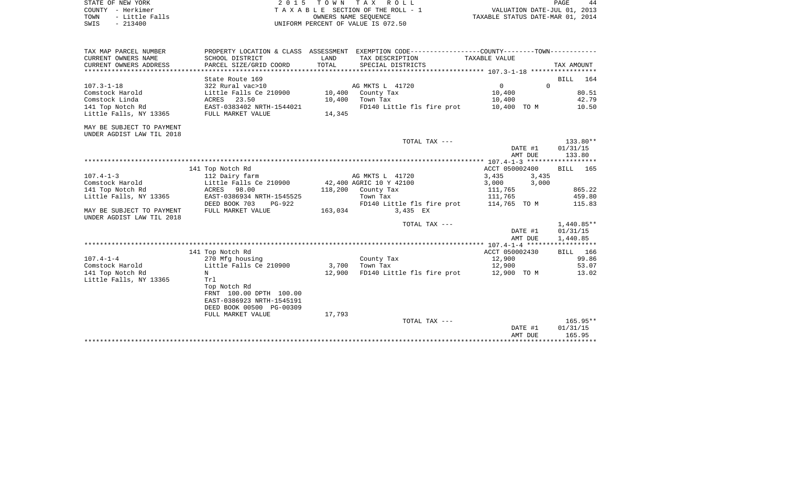| STATE OF NEW YORK      | 2015 TOWN TAX ROLL                 | PAGE                             |
|------------------------|------------------------------------|----------------------------------|
| COUNTY - Herkimer      | TAXABLE SECTION OF THE ROLL - 1    | VALUATION DATE-JUL 01, 2013      |
| TOWN<br>- Little Falls | OWNERS NAME SEOUENCE               | TAXABLE STATUS DATE-MAR 01, 2014 |
| SWIS<br>- 213400       | UNIFORM PERCENT OF VALUE IS 072.50 |                                  |

| TAX MAP PARCEL NUMBER<br>CURRENT OWNERS NAME | SCHOOL DISTRICT                          | LAND    | PROPERTY LOCATION & CLASS ASSESSMENT EXEMPTION CODE----------------COUNTY--------TOWN----------<br>TAX DESCRIPTION | TAXABLE VALUE  |          |            |                 |
|----------------------------------------------|------------------------------------------|---------|--------------------------------------------------------------------------------------------------------------------|----------------|----------|------------|-----------------|
| CURRENT OWNERS ADDRESS                       | PARCEL SIZE/GRID COORD                   | TOTAL   | SPECIAL DISTRICTS                                                                                                  |                |          | TAX AMOUNT |                 |
|                                              |                                          |         |                                                                                                                    |                |          |            |                 |
|                                              | State Route 169                          |         |                                                                                                                    |                |          |            | BILL 164        |
| $107.3 - 1 - 18$                             | 322 Rural vac>10                         |         | AG MKTS L 41720                                                                                                    | $\Omega$       | $\Omega$ |            |                 |
| Comstock Harold                              | Little Falls Ce 210900 10,400 County Tax |         |                                                                                                                    | 10,400         |          |            | 80.51           |
| Comstock Linda                               | ACRES 23.50                              | 10,400  | Town Tax                                                                                                           | 10,400         |          |            | 42.79           |
| 141 Top Notch Rd                             | ACKES 20.00<br>EAST-0383402 NRTH-1544021 |         | FD140 Little fls fire prot                                                                                         | 10,400 TO M    |          |            | 10.50           |
| Little Falls, NY 13365                       | FULL MARKET VALUE                        | 14,345  |                                                                                                                    |                |          |            |                 |
| MAY BE SUBJECT TO PAYMENT                    |                                          |         |                                                                                                                    |                |          |            |                 |
| UNDER AGDIST LAW TIL 2018                    |                                          |         |                                                                                                                    |                |          |            |                 |
|                                              |                                          |         | TOTAL TAX ---                                                                                                      |                |          |            | 133.80**        |
|                                              |                                          |         |                                                                                                                    |                | DATE #1  | 01/31/15   |                 |
|                                              |                                          |         |                                                                                                                    |                | AMT DUE  |            | 133.80          |
|                                              |                                          |         |                                                                                                                    |                |          |            |                 |
|                                              | 141 Top Notch Rd                         |         |                                                                                                                    | ACCT 050002400 |          |            | <b>BILL</b> 165 |
| $107.4 - 1 - 3$                              | 112 Dairy farm                           |         | AG MKTS L 41720                                                                                                    | 3,435          | 3,435    |            |                 |
| Comstock Harold                              | Little Falls Ce 210900                   |         | 42,400 AGRIC 10 Y 42100                                                                                            | 3,000 3,000    |          |            |                 |
| 141 Top Notch Rd                             | ACRES 98.00                              |         | $118,200$ County Tax                                                                                               | 111,765        |          |            | 865.22          |
| Little Falls, NY 13365                       | EAST-0386934 NRTH-1545525                |         | Town Tax                                                                                                           | 111,765        |          |            | 459.80          |
|                                              | DEED BOOK 703<br>PG-922                  |         | FD140 Little fls fire prot 114,765 TO M                                                                            |                |          |            | 115.83          |
| MAY BE SUBJECT TO PAYMENT                    | FULL MARKET VALUE                        | 163,034 | 3,435 EX                                                                                                           |                |          |            |                 |
| UNDER AGDIST LAW TIL 2018                    |                                          |         |                                                                                                                    |                |          |            |                 |
|                                              |                                          |         | TOTAL TAX ---                                                                                                      |                |          |            | $1,440.85**$    |
|                                              |                                          |         |                                                                                                                    |                | DATE #1  |            | 01/31/15        |
|                                              |                                          |         |                                                                                                                    |                | AMT DUE  | 1,440.85   |                 |
|                                              |                                          |         |                                                                                                                    |                |          |            |                 |
|                                              | 141 Top Notch Rd                         |         |                                                                                                                    | ACCT 050002430 |          |            | BILL 166        |
| $107.4 - 1 - 4$                              | 270 Mfg housing                          |         | County Tax                                                                                                         | 12,900         |          |            | 99.86           |
| Comstock Harold                              | Little Falls Ce 210900                   |         | 3,700 Town Tax                                                                                                     | 12,900         |          |            | 53.07           |
| 141 Top Notch Rd                             | N                                        | 12,900  | FD140 Little fls fire prot 12,900 TO M                                                                             |                |          |            | 13.02           |
| Little Falls, NY 13365                       | Trl                                      |         |                                                                                                                    |                |          |            |                 |
|                                              | Top Notch Rd                             |         |                                                                                                                    |                |          |            |                 |
|                                              | FRNT 100.00 DPTH 100.00                  |         |                                                                                                                    |                |          |            |                 |
|                                              | EAST-0386923 NRTH-1545191                |         |                                                                                                                    |                |          |            |                 |
|                                              | DEED BOOK 00500 PG-00309                 |         |                                                                                                                    |                |          |            |                 |
|                                              | FULL MARKET VALUE                        | 17,793  |                                                                                                                    |                |          |            |                 |
|                                              |                                          |         | TOTAL TAX ---                                                                                                      |                |          |            | $165.95**$      |
|                                              |                                          |         |                                                                                                                    |                | DATE #1  |            | 01/31/15        |
|                                              |                                          |         |                                                                                                                    |                | AMT DUE  |            | 165.95          |
|                                              |                                          |         |                                                                                                                    |                |          |            |                 |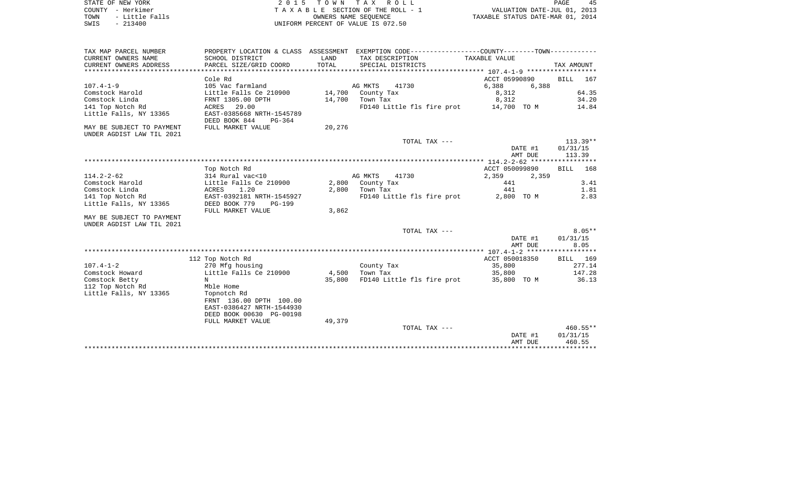| STATE OF NEW YORK |  |           |                |  |
|-------------------|--|-----------|----------------|--|
| COUNTY - Herkimer |  |           |                |  |
| TOWN              |  |           | - Little Falls |  |
| SWIS              |  | $-213400$ |                |  |

 $S$  2 0 1 5 T O W N T A X R O L L PAGE 45 PAGE TA X A B L E SECTION OF THE ROLL - 1 TOWN - LITTLE ROLL - 1<br>
TAXABLE STATUS DATE-JUL 01, 2013<br>
OWNERS NAME SEQUENCE TAXABLE STATUS DATE-MAR 01, 2014 SWIS - 213400 UNIFORM PERCENT OF VALUE IS 072.50

45

| TAX MAP PARCEL NUMBER                         | PROPERTY LOCATION & CLASS                  | ASSESSMENT    |                                      |                |                    |
|-----------------------------------------------|--------------------------------------------|---------------|--------------------------------------|----------------|--------------------|
| CURRENT OWNERS NAME<br>CURRENT OWNERS ADDRESS | SCHOOL DISTRICT<br>PARCEL SIZE/GRID COORD  | LAND<br>TOTAL | TAX DESCRIPTION<br>SPECIAL DISTRICTS | TAXABLE VALUE  | TAX AMOUNT         |
| *************************                     |                                            |               |                                      |                |                    |
|                                               | Cole Rd                                    |               |                                      | ACCT 05990890  | <b>BILL</b><br>167 |
| $107.4 - 1 - 9$                               | 105 Vac farmland                           |               | AG MKTS<br>41730                     | 6,388<br>6,388 |                    |
| Comstock Harold                               | Little Falls Ce 210900                     | 14,700        | County Tax                           | 8,312          | 64.35              |
| Comstock Linda                                | FRNT 1305.00 DPTH                          | 14,700        | Town Tax                             | 8,312          | 34.20              |
| 141 Top Notch Rd                              | ACRES<br>29.00                             |               | FD140 Little fls fire prot           | 14,700 TO M    | 14.84              |
| Little Falls, NY 13365                        | EAST-0385668 NRTH-1545789                  |               |                                      |                |                    |
|                                               | DEED BOOK 844<br>$PG-364$                  |               |                                      |                |                    |
| MAY BE SUBJECT TO PAYMENT                     | FULL MARKET VALUE                          | 20,276        |                                      |                |                    |
| UNDER AGDIST LAW TIL 2021                     |                                            |               |                                      |                |                    |
|                                               |                                            |               | TOTAL TAX ---                        |                | $113.39**$         |
|                                               |                                            |               |                                      | DATE #1        | 01/31/15           |
|                                               |                                            |               |                                      | AMT DUE        | 113.39             |
|                                               |                                            |               |                                      |                |                    |
|                                               | Top Notch Rd                               |               |                                      | ACCT 050099890 | BILL<br>168        |
| $114.2 - 2 - 62$                              | 314 Rural vac<10                           |               | AG MKTS<br>41730                     | 2,359<br>2,359 |                    |
| Comstock Harold                               | Little Falls Ce 210900                     | 2,800         | County Tax                           | 441            | 3.41               |
| Comstock Linda                                | ACRES<br>1.20<br>EAST-0392181 NRTH-1545927 | 2,800         | Town Tax                             | 441            | 1.81               |
| 141 Top Notch Rd<br>Little Falls, NY 13365    | DEED BOOK 779<br><b>PG-199</b>             |               | FD140 Little fls fire prot           | 2,800 TO M     | 2.83               |
|                                               | FULL MARKET VALUE                          | 3,862         |                                      |                |                    |
| MAY BE SUBJECT TO PAYMENT                     |                                            |               |                                      |                |                    |
| UNDER AGDIST LAW TIL 2021                     |                                            |               |                                      |                |                    |
|                                               |                                            |               | TOTAL TAX ---                        |                | $8.05**$           |
|                                               |                                            |               |                                      | DATE #1        | 01/31/15           |
|                                               |                                            |               |                                      | AMT DUE        | 8.05               |
|                                               |                                            |               |                                      |                |                    |
|                                               | 112 Top Notch Rd                           |               |                                      | ACCT 050018350 | BILL 169           |
| $107.4 - 1 - 2$                               | 270 Mfg housing                            |               | County Tax                           | 35,800         | 277.14             |
| Comstock Howard                               | Little Falls Ce 210900                     | 4,500         | Town Tax                             | 35,800         | 147.28             |
| Comstock Betty                                | N                                          | 35,800        | FD140 Little fls fire prot           | 35,800 TO M    | 36.13              |
| 112 Top Notch Rd                              | Mble Home                                  |               |                                      |                |                    |
| Little Falls, NY 13365                        | Topnotch Rd                                |               |                                      |                |                    |
|                                               | FRNT 136.00 DPTH 100.00                    |               |                                      |                |                    |
|                                               | EAST-0386427 NRTH-1544930                  |               |                                      |                |                    |
|                                               | DEED BOOK 00630 PG-00198                   |               |                                      |                |                    |
|                                               | FULL MARKET VALUE                          | 49,379        |                                      |                |                    |
|                                               |                                            |               | TOTAL TAX ---                        |                | $460.55**$         |
|                                               |                                            |               |                                      | DATE #1        | 01/31/15           |
|                                               |                                            |               |                                      | AMT DUE        | 460.55             |
|                                               |                                            |               |                                      |                |                    |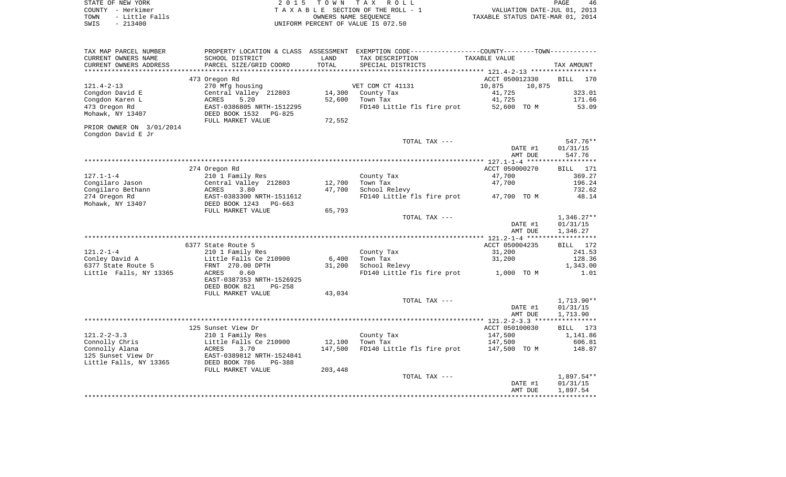|      | STATE OF NEW YORK | 2015 TOWN TAX ROLL                 | 46<br>PAGE                       |
|------|-------------------|------------------------------------|----------------------------------|
|      | COUNTY - Herkimer | TAXABLE SECTION OF THE ROLL - 1    | VALUATION DATE-JUL 01, 2013      |
| TOWN | - Little Falls    | OWNERS NAME SEOUENCE               | TAXABLE STATUS DATE-MAR 01, 2014 |
| SWIS | $-213400$         | UNIFORM PERCENT OF VALUE IS 072.50 |                                  |

| TAX MAP PARCEL NUMBER    | PROPERTY LOCATION & CLASS ASSESSMENT            |         | EXEMPTION CODE-----------------COUNTY-------TOWN----------- |                                                          |                    |
|--------------------------|-------------------------------------------------|---------|-------------------------------------------------------------|----------------------------------------------------------|--------------------|
| CURRENT OWNERS NAME      | SCHOOL DISTRICT                                 | LAND    | TAX DESCRIPTION                                             | <b>TAXABLE VALUE</b>                                     |                    |
| CURRENT OWNERS ADDRESS   | PARCEL SIZE/GRID COORD                          | TOTAL   | SPECIAL DISTRICTS                                           |                                                          | TAX AMOUNT         |
|                          |                                                 |         |                                                             | *************************** 121.4-2-13 ***************** |                    |
|                          | 473 Oregon Rd                                   |         |                                                             | ACCT 050012330                                           | <b>BILL</b><br>170 |
| $121.4 - 2 - 13$         | 270 Mfg housing                                 |         | VET COM CT 41131                                            | 10,875<br>10,875                                         |                    |
| Congdon David E          | Central Valley 212803                           | 14,300  | County Tax                                                  | 41,725                                                   | 323.01             |
| Congdon Karen L          | 5.20<br><b>ACRES</b>                            | 52,600  | Town Tax                                                    | 41,725                                                   | 171.66             |
| 473 Oregon Rd            | EAST-0386805 NRTH-1512295                       |         | FD140 Little fls fire prot                                  | 52,600 TO M                                              | 53.09              |
| Mohawk, NY 13407         | DEED BOOK 1532<br>$PG-825$<br>FULL MARKET VALUE | 72,552  |                                                             |                                                          |                    |
| PRIOR OWNER ON 3/01/2014 |                                                 |         |                                                             |                                                          |                    |
| Congdon David E Jr       |                                                 |         |                                                             |                                                          |                    |
|                          |                                                 |         | TOTAL TAX ---                                               |                                                          | 547.76**           |
|                          |                                                 |         |                                                             | DATE #1                                                  | 01/31/15           |
|                          |                                                 |         |                                                             | AMT DUE                                                  | 547.76             |
|                          |                                                 |         |                                                             |                                                          |                    |
|                          | 274 Oregon Rd                                   |         |                                                             | ACCT 050000270                                           | 171<br>BILL        |
| $127.1 - 1 - 4$          | 210 1 Family Res                                |         | County Tax                                                  | 47,700                                                   | 369.27             |
| Congilaro Jason          | Central Valley 212803                           | 12,700  | Town Tax                                                    | 47,700                                                   | 196.24             |
| Congilaro Bethann        | 3.80<br>ACRES                                   | 47,700  | School Relevy                                               |                                                          | 732.62             |
| 274 Oregon Rd            | EAST-0383300 NRTH-1511612                       |         | FD140 Little fls fire prot                                  | 47,700 TO M                                              | 48.14              |
| Mohawk, NY 13407         | DEED BOOK 1243<br>PG-663                        |         |                                                             |                                                          |                    |
|                          | FULL MARKET VALUE                               | 65,793  |                                                             |                                                          |                    |
|                          |                                                 |         | TOTAL TAX ---                                               |                                                          | $1,346.27**$       |
|                          |                                                 |         |                                                             | DATE #1                                                  | 01/31/15           |
|                          |                                                 |         |                                                             | AMT DUE                                                  | 1,346.27           |
|                          | 6377 State Route 5                              |         |                                                             | ACCT 050004235                                           | BILL<br>172        |
| $121.2 - 1 - 4$          | 210 1 Family Res                                |         | County Tax                                                  | 31,200                                                   | 241.53             |
| Conley David A           | Little Falls Ce 210900                          | 6,400   | Town Tax                                                    | 31,200                                                   | 128.36             |
| 6377 State Route 5       | FRNT 270.00 DPTH                                | 31,200  | School Relevy                                               |                                                          | 1,343.00           |
| Little Falls, NY 13365   | 0.60<br>ACRES                                   |         | FD140 Little fls fire prot                                  | 1,000 TO M                                               | 1.01               |
|                          | EAST-0387353 NRTH-1526925                       |         |                                                             |                                                          |                    |
|                          | DEED BOOK 821<br>$PG-258$                       |         |                                                             |                                                          |                    |
|                          | FULL MARKET VALUE                               | 43,034  |                                                             |                                                          |                    |
|                          |                                                 |         | TOTAL TAX ---                                               |                                                          | $1,713.90**$       |
|                          |                                                 |         |                                                             | DATE #1                                                  | 01/31/15           |
|                          |                                                 |         |                                                             | AMT DUE                                                  | 1,713.90           |
|                          |                                                 |         |                                                             |                                                          |                    |
|                          | 125 Sunset View Dr                              |         |                                                             | ACCT 050100030                                           | 173<br><b>BILL</b> |
| $121.2 - 2 - 3.3$        | 210 1 Family Res                                |         | County Tax                                                  | 147,500                                                  | 1,141.86           |
| Connolly Chris           | Little Falls Ce 210900                          | 12,100  | Town Tax                                                    | 147,500                                                  | 606.81             |
| Connolly Alana           | ACRES<br>3.70                                   | 147,500 | FD140 Little fls fire prot                                  | 147,500 TO M                                             | 148.87             |
| 125 Sunset View Dr       | EAST-0389812 NRTH-1524841                       |         |                                                             |                                                          |                    |
| Little Falls, NY 13365   | DEED BOOK 786<br><b>PG-388</b>                  |         |                                                             |                                                          |                    |
|                          | FULL MARKET VALUE                               | 203,448 |                                                             |                                                          |                    |
|                          |                                                 |         | TOTAL TAX ---                                               |                                                          | $1,897.54**$       |
|                          |                                                 |         |                                                             | DATE #1                                                  | 01/31/15           |
|                          |                                                 |         |                                                             | AMT DUE                                                  | 1,897.54           |
|                          |                                                 |         |                                                             |                                                          |                    |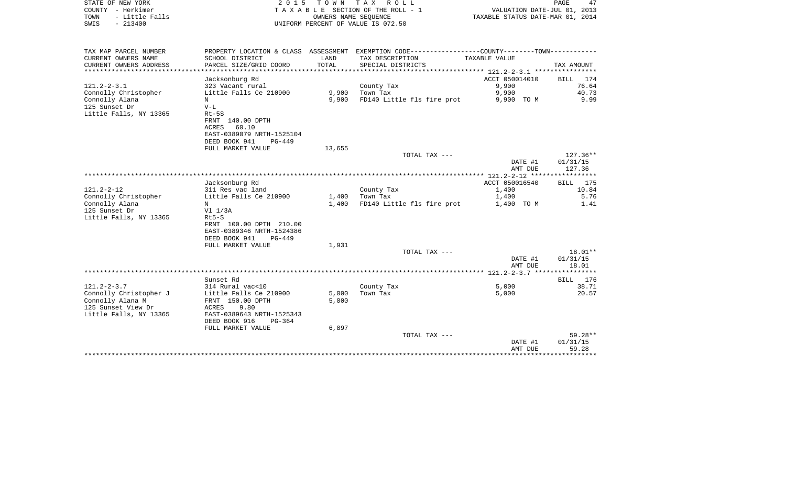| STATE OF NEW YORK<br>COUNTY - Herkimer<br>- Little Falls<br>TOWN<br>$-213400$<br>SWIS                           | 2 0 1 5                                                                                                                                          | T O W N        | TAX ROLL<br>T A X A B L E SECTION OF THE ROLL - 1<br>OWNERS NAME SEQUENCE<br>UNIFORM PERCENT OF VALUE IS 072.50    | VALUATION DATE-JUL 01, 2013<br>TAXABLE STATUS DATE-MAR 01, 2014 | PAGE<br>47                     |
|-----------------------------------------------------------------------------------------------------------------|--------------------------------------------------------------------------------------------------------------------------------------------------|----------------|--------------------------------------------------------------------------------------------------------------------|-----------------------------------------------------------------|--------------------------------|
| TAX MAP PARCEL NUMBER<br>CURRENT OWNERS NAME                                                                    | SCHOOL DISTRICT                                                                                                                                  | LAND           | PROPERTY LOCATION & CLASS ASSESSMENT EXEMPTION CODE----------------COUNTY--------TOWN----------<br>TAX DESCRIPTION | TAXABLE VALUE                                                   |                                |
| CURRENT OWNERS ADDRESS<br>***********************                                                               | PARCEL SIZE/GRID COORD                                                                                                                           | TOTAL          | SPECIAL DISTRICTS                                                                                                  |                                                                 | TAX AMOUNT                     |
|                                                                                                                 | Jacksonburg Rd                                                                                                                                   |                |                                                                                                                    | ACCT 050014010                                                  | <b>BILL</b><br>174             |
| $121.2 - 2 - 3.1$                                                                                               | 323 Vacant rural                                                                                                                                 |                | County Tax                                                                                                         | 9,900                                                           | 76.64                          |
| Connolly Christopher                                                                                            | Little Falls Ce 210900                                                                                                                           | 9,900          | Town Tax                                                                                                           | 9,900                                                           | 40.73                          |
| Connolly Alana<br>125 Sunset Dr<br>Little Falls, NY 13365                                                       | N<br>$V-L$<br>$Rt-5S$<br>FRNT 140.00 DPTH<br><b>ACRES</b><br>60.10<br>EAST-0389079 NRTH-1525104<br>DEED BOOK 941<br>$PG-449$                     | 9,900          | FD140 Little fls fire prot                                                                                         | 9,900 TO M                                                      | 9.99                           |
|                                                                                                                 | FULL MARKET VALUE                                                                                                                                | 13,655         |                                                                                                                    |                                                                 |                                |
|                                                                                                                 |                                                                                                                                                  |                | TOTAL TAX ---                                                                                                      | DATE #1<br>AMT DUE                                              | 127.36**<br>01/31/15<br>127.36 |
|                                                                                                                 |                                                                                                                                                  |                |                                                                                                                    |                                                                 |                                |
|                                                                                                                 | Jacksonburg Rd                                                                                                                                   |                |                                                                                                                    | ACCT 050016540                                                  | 175<br><b>BILL</b>             |
| $121.2 - 2 - 12$<br>Connolly Christopher                                                                        | 311 Res vac land<br>Little Falls Ce 210900                                                                                                       | 1,400          | County Tax<br>Town Tax                                                                                             | 1,400<br>1,400                                                  | 10.84<br>5.76                  |
| Connolly Alana<br>125 Sunset Dr<br>Little Falls, NY 13365                                                       | N<br>$VI$ $1/3A$<br>$Rt5-S$<br>FRNT 100.00 DPTH 210.00<br>EAST-0389346 NRTH-1524386<br>DEED BOOK 941<br>$PG-449$<br>FULL MARKET VALUE            | 1,400<br>1,931 | FD140 Little fls fire prot                                                                                         | 1,400 TO M                                                      | 1.41                           |
|                                                                                                                 |                                                                                                                                                  |                | TOTAL TAX ---                                                                                                      | DATE #1                                                         | $18.01**$<br>01/31/15          |
|                                                                                                                 |                                                                                                                                                  |                |                                                                                                                    | AMT DUE                                                         | 18.01                          |
|                                                                                                                 |                                                                                                                                                  |                | *********************************                                                                                  | *********** 121.2-2-3.7 ***                                     | *******                        |
|                                                                                                                 | Sunset Rd                                                                                                                                        |                |                                                                                                                    |                                                                 | <b>BILL</b><br>176             |
| $121.2 - 2 - 3.7$<br>Connolly Christopher J<br>Connolly Alana M<br>125 Sunset View Dr<br>Little Falls, NY 13365 | 314 Rural vac<10<br>Little Falls Ce 210900<br>FRNT 150.00 DPTH<br>9.80<br><b>ACRES</b><br>EAST-0389643 NRTH-1525343<br>DEED BOOK 916<br>$PG-364$ | 5,000<br>5,000 | County Tax<br>Town Tax                                                                                             | 5,000<br>5,000                                                  | 38.71<br>20.57                 |
|                                                                                                                 | FULL MARKET VALUE                                                                                                                                | 6,897          |                                                                                                                    |                                                                 |                                |
|                                                                                                                 |                                                                                                                                                  |                | TOTAL TAX ---                                                                                                      | DATE #1<br>AMT DUE                                              | $59.28**$<br>01/31/15<br>59.28 |
|                                                                                                                 |                                                                                                                                                  |                |                                                                                                                    | *******************                                             | ************                   |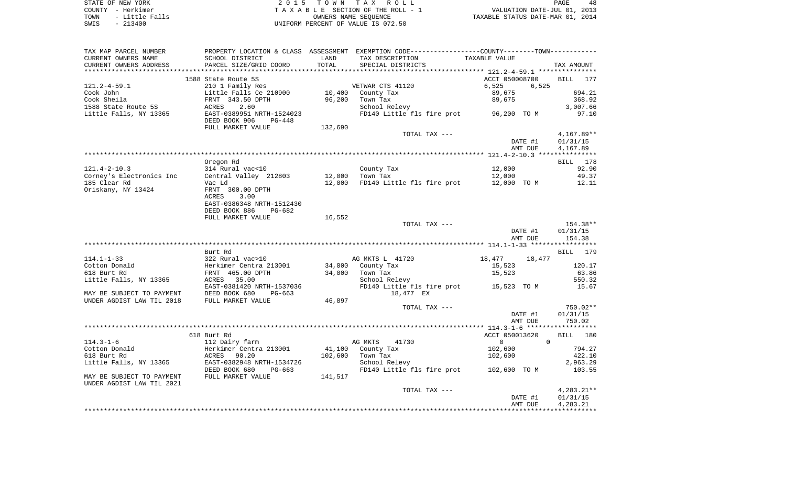| STATE OF NEW YORK      | 2015 TOWN TAX ROLL                 | 48<br>PAGE                       |
|------------------------|------------------------------------|----------------------------------|
| COUNTY - Herkimer      | TAXABLE SECTION OF THE ROLL - 1    | VALUATION DATE-JUL 01, 2013      |
| - Little Falls<br>TOWN | OWNERS NAME SEOUENCE               | TAXABLE STATUS DATE-MAR 01, 2014 |
| $-213400$<br>SWIS      | UNIFORM PERCENT OF VALUE IS 072.50 |                                  |

48

| ***********<br>1588 State Route 5S<br>ACCT 050008700<br>BILL<br>177<br>210 1 Family Res<br>VETWAR CTS 41120<br>6,525<br>6,525<br>694.21<br>Little Falls Ce 210900<br>10,400<br>County Tax<br>89,675<br>96,200<br>Town Tax<br>89,675<br>368.92<br>FRNT 343.50 DPTH<br>3,007.66<br>ACRES<br>2.60<br>School Relevy<br>EAST-0389951 NRTH-1524023<br>FD140 Little fls fire prot 96,200 TO M<br>97.10<br>DEED BOOK 906<br>$PG-448$<br>FULL MARKET VALUE<br>132,690<br>$4,167.89**$<br>TOTAL TAX ---<br>DATE #1<br>01/31/15<br>AMT DUE<br>4,167.89<br>Oregon Rd<br>BILL 178<br>314 Rural vac<10<br>92.90<br>$121.4 - 2 - 10.3$<br>County Tax<br>12,000<br>12,000<br>49.37<br>Corney's Electronics Inc<br>Central Valley 212803<br>Town Tax<br>12,000<br>185 Clear Rd<br>12,000<br>FD140 Little fls fire prot<br>12,000 TO M<br>12.11<br>Vac Ld<br>Oriskany, NY 13424<br>FRNT 300.00 DPTH<br>3.00<br>ACRES<br>EAST-0386348 NRTH-1512430<br>DEED BOOK 886<br>$PG-682$<br>FULL MARKET VALUE<br>16,552<br>TOTAL TAX ---<br>154.38**<br>DATE #1<br>01/31/15<br>154.38<br>AMT DUE<br>Burt Rd<br>179<br>BILL<br>$114.1 - 1 - 33$<br>322 Rural vac>10<br>AG MKTS L 41720<br>18,477<br>18,477<br>Cotton Donald<br>Herkimer Centra 213001<br>34,000<br>County Tax<br>15,523<br>120.17<br>63.86<br>618 Burt Rd<br>FRNT 465.00 DPTH<br>34,000<br>Town Tax<br>15,523<br>Little Falls, NY 13365<br>35.00<br>School Relevy<br>550.32<br>ACRES<br>EAST-0381420 NRTH-1537036<br>FD140 Little fls fire prot 15,523 TO M<br>15.67<br>MAY BE SUBJECT TO PAYMENT<br>DEED BOOK 680<br>18,477 EX<br>PG-663<br>46,897<br>UNDER AGDIST LAW TIL 2018<br>FULL MARKET VALUE<br>$750.02**$<br>TOTAL TAX ---<br>DATE #1<br>01/31/15<br>AMT DUE<br>750.02<br>618 Burt Rd<br>ACCT 050013620<br><b>BILL</b><br>180<br>$\mathbf 0$<br>$\Omega$<br>$114.3 - 1 - 6$<br>112 Dairy farm<br>AG MKTS<br>41730<br>Herkimer Centra 213001<br>41,100<br>102,600<br>794.27<br>County Tax<br>102,600<br>ACRES<br>90.20<br>Town Tax<br>102,600<br>422.10<br>EAST-0382948 NRTH-1534726<br>School Relevy<br>2,963.29<br>DEED BOOK 680<br>FD140 Little fls fire prot 102,600 TO M<br>103.55<br>$PG-663$<br>FULL MARKET VALUE<br>141,517<br>TOTAL TAX ---<br>$4,283.21**$<br>DATE #1<br>01/31/15<br>4,283.21<br>AMT DUE | TAX MAP PARCEL NUMBER<br>CURRENT OWNERS NAME<br>CURRENT OWNERS ADDRESS | SCHOOL DISTRICT<br>PARCEL SIZE/GRID COORD | LAND<br>TOTAL | PROPERTY LOCATION & CLASS ASSESSMENT EXEMPTION CODE---------------COUNTY-------TOWN----------<br>TAX DESCRIPTION<br>SPECIAL DISTRICTS | TAXABLE VALUE | TAX AMOUNT |
|----------------------------------------------------------------------------------------------------------------------------------------------------------------------------------------------------------------------------------------------------------------------------------------------------------------------------------------------------------------------------------------------------------------------------------------------------------------------------------------------------------------------------------------------------------------------------------------------------------------------------------------------------------------------------------------------------------------------------------------------------------------------------------------------------------------------------------------------------------------------------------------------------------------------------------------------------------------------------------------------------------------------------------------------------------------------------------------------------------------------------------------------------------------------------------------------------------------------------------------------------------------------------------------------------------------------------------------------------------------------------------------------------------------------------------------------------------------------------------------------------------------------------------------------------------------------------------------------------------------------------------------------------------------------------------------------------------------------------------------------------------------------------------------------------------------------------------------------------------------------------------------------------------------------------------------------------------------------------------------------------------------------------------------------------------------------------------------------------------------------------------------------------------------------------------------------------------------------------------------------------------------|------------------------------------------------------------------------|-------------------------------------------|---------------|---------------------------------------------------------------------------------------------------------------------------------------|---------------|------------|
|                                                                                                                                                                                                                                                                                                                                                                                                                                                                                                                                                                                                                                                                                                                                                                                                                                                                                                                                                                                                                                                                                                                                                                                                                                                                                                                                                                                                                                                                                                                                                                                                                                                                                                                                                                                                                                                                                                                                                                                                                                                                                                                                                                                                                                                                |                                                                        |                                           |               |                                                                                                                                       |               |            |
|                                                                                                                                                                                                                                                                                                                                                                                                                                                                                                                                                                                                                                                                                                                                                                                                                                                                                                                                                                                                                                                                                                                                                                                                                                                                                                                                                                                                                                                                                                                                                                                                                                                                                                                                                                                                                                                                                                                                                                                                                                                                                                                                                                                                                                                                |                                                                        |                                           |               |                                                                                                                                       |               |            |
|                                                                                                                                                                                                                                                                                                                                                                                                                                                                                                                                                                                                                                                                                                                                                                                                                                                                                                                                                                                                                                                                                                                                                                                                                                                                                                                                                                                                                                                                                                                                                                                                                                                                                                                                                                                                                                                                                                                                                                                                                                                                                                                                                                                                                                                                | $121.2 - 4 - 59.1$                                                     |                                           |               |                                                                                                                                       |               |            |
|                                                                                                                                                                                                                                                                                                                                                                                                                                                                                                                                                                                                                                                                                                                                                                                                                                                                                                                                                                                                                                                                                                                                                                                                                                                                                                                                                                                                                                                                                                                                                                                                                                                                                                                                                                                                                                                                                                                                                                                                                                                                                                                                                                                                                                                                | Cook John                                                              |                                           |               |                                                                                                                                       |               |            |
|                                                                                                                                                                                                                                                                                                                                                                                                                                                                                                                                                                                                                                                                                                                                                                                                                                                                                                                                                                                                                                                                                                                                                                                                                                                                                                                                                                                                                                                                                                                                                                                                                                                                                                                                                                                                                                                                                                                                                                                                                                                                                                                                                                                                                                                                | Cook Sheila                                                            |                                           |               |                                                                                                                                       |               |            |
|                                                                                                                                                                                                                                                                                                                                                                                                                                                                                                                                                                                                                                                                                                                                                                                                                                                                                                                                                                                                                                                                                                                                                                                                                                                                                                                                                                                                                                                                                                                                                                                                                                                                                                                                                                                                                                                                                                                                                                                                                                                                                                                                                                                                                                                                | 1588 State Route 5S                                                    |                                           |               |                                                                                                                                       |               |            |
|                                                                                                                                                                                                                                                                                                                                                                                                                                                                                                                                                                                                                                                                                                                                                                                                                                                                                                                                                                                                                                                                                                                                                                                                                                                                                                                                                                                                                                                                                                                                                                                                                                                                                                                                                                                                                                                                                                                                                                                                                                                                                                                                                                                                                                                                | Little Falls, NY 13365                                                 |                                           |               |                                                                                                                                       |               |            |
|                                                                                                                                                                                                                                                                                                                                                                                                                                                                                                                                                                                                                                                                                                                                                                                                                                                                                                                                                                                                                                                                                                                                                                                                                                                                                                                                                                                                                                                                                                                                                                                                                                                                                                                                                                                                                                                                                                                                                                                                                                                                                                                                                                                                                                                                |                                                                        |                                           |               |                                                                                                                                       |               |            |
|                                                                                                                                                                                                                                                                                                                                                                                                                                                                                                                                                                                                                                                                                                                                                                                                                                                                                                                                                                                                                                                                                                                                                                                                                                                                                                                                                                                                                                                                                                                                                                                                                                                                                                                                                                                                                                                                                                                                                                                                                                                                                                                                                                                                                                                                |                                                                        |                                           |               |                                                                                                                                       |               |            |
|                                                                                                                                                                                                                                                                                                                                                                                                                                                                                                                                                                                                                                                                                                                                                                                                                                                                                                                                                                                                                                                                                                                                                                                                                                                                                                                                                                                                                                                                                                                                                                                                                                                                                                                                                                                                                                                                                                                                                                                                                                                                                                                                                                                                                                                                |                                                                        |                                           |               |                                                                                                                                       |               |            |
|                                                                                                                                                                                                                                                                                                                                                                                                                                                                                                                                                                                                                                                                                                                                                                                                                                                                                                                                                                                                                                                                                                                                                                                                                                                                                                                                                                                                                                                                                                                                                                                                                                                                                                                                                                                                                                                                                                                                                                                                                                                                                                                                                                                                                                                                |                                                                        |                                           |               |                                                                                                                                       |               |            |
|                                                                                                                                                                                                                                                                                                                                                                                                                                                                                                                                                                                                                                                                                                                                                                                                                                                                                                                                                                                                                                                                                                                                                                                                                                                                                                                                                                                                                                                                                                                                                                                                                                                                                                                                                                                                                                                                                                                                                                                                                                                                                                                                                                                                                                                                |                                                                        |                                           |               |                                                                                                                                       |               |            |
|                                                                                                                                                                                                                                                                                                                                                                                                                                                                                                                                                                                                                                                                                                                                                                                                                                                                                                                                                                                                                                                                                                                                                                                                                                                                                                                                                                                                                                                                                                                                                                                                                                                                                                                                                                                                                                                                                                                                                                                                                                                                                                                                                                                                                                                                |                                                                        |                                           |               |                                                                                                                                       |               |            |
|                                                                                                                                                                                                                                                                                                                                                                                                                                                                                                                                                                                                                                                                                                                                                                                                                                                                                                                                                                                                                                                                                                                                                                                                                                                                                                                                                                                                                                                                                                                                                                                                                                                                                                                                                                                                                                                                                                                                                                                                                                                                                                                                                                                                                                                                |                                                                        |                                           |               |                                                                                                                                       |               |            |
|                                                                                                                                                                                                                                                                                                                                                                                                                                                                                                                                                                                                                                                                                                                                                                                                                                                                                                                                                                                                                                                                                                                                                                                                                                                                                                                                                                                                                                                                                                                                                                                                                                                                                                                                                                                                                                                                                                                                                                                                                                                                                                                                                                                                                                                                |                                                                        |                                           |               |                                                                                                                                       |               |            |
|                                                                                                                                                                                                                                                                                                                                                                                                                                                                                                                                                                                                                                                                                                                                                                                                                                                                                                                                                                                                                                                                                                                                                                                                                                                                                                                                                                                                                                                                                                                                                                                                                                                                                                                                                                                                                                                                                                                                                                                                                                                                                                                                                                                                                                                                |                                                                        |                                           |               |                                                                                                                                       |               |            |
|                                                                                                                                                                                                                                                                                                                                                                                                                                                                                                                                                                                                                                                                                                                                                                                                                                                                                                                                                                                                                                                                                                                                                                                                                                                                                                                                                                                                                                                                                                                                                                                                                                                                                                                                                                                                                                                                                                                                                                                                                                                                                                                                                                                                                                                                |                                                                        |                                           |               |                                                                                                                                       |               |            |
|                                                                                                                                                                                                                                                                                                                                                                                                                                                                                                                                                                                                                                                                                                                                                                                                                                                                                                                                                                                                                                                                                                                                                                                                                                                                                                                                                                                                                                                                                                                                                                                                                                                                                                                                                                                                                                                                                                                                                                                                                                                                                                                                                                                                                                                                |                                                                        |                                           |               |                                                                                                                                       |               |            |
|                                                                                                                                                                                                                                                                                                                                                                                                                                                                                                                                                                                                                                                                                                                                                                                                                                                                                                                                                                                                                                                                                                                                                                                                                                                                                                                                                                                                                                                                                                                                                                                                                                                                                                                                                                                                                                                                                                                                                                                                                                                                                                                                                                                                                                                                |                                                                        |                                           |               |                                                                                                                                       |               |            |
|                                                                                                                                                                                                                                                                                                                                                                                                                                                                                                                                                                                                                                                                                                                                                                                                                                                                                                                                                                                                                                                                                                                                                                                                                                                                                                                                                                                                                                                                                                                                                                                                                                                                                                                                                                                                                                                                                                                                                                                                                                                                                                                                                                                                                                                                |                                                                        |                                           |               |                                                                                                                                       |               |            |
|                                                                                                                                                                                                                                                                                                                                                                                                                                                                                                                                                                                                                                                                                                                                                                                                                                                                                                                                                                                                                                                                                                                                                                                                                                                                                                                                                                                                                                                                                                                                                                                                                                                                                                                                                                                                                                                                                                                                                                                                                                                                                                                                                                                                                                                                |                                                                        |                                           |               |                                                                                                                                       |               |            |
|                                                                                                                                                                                                                                                                                                                                                                                                                                                                                                                                                                                                                                                                                                                                                                                                                                                                                                                                                                                                                                                                                                                                                                                                                                                                                                                                                                                                                                                                                                                                                                                                                                                                                                                                                                                                                                                                                                                                                                                                                                                                                                                                                                                                                                                                |                                                                        |                                           |               |                                                                                                                                       |               |            |
|                                                                                                                                                                                                                                                                                                                                                                                                                                                                                                                                                                                                                                                                                                                                                                                                                                                                                                                                                                                                                                                                                                                                                                                                                                                                                                                                                                                                                                                                                                                                                                                                                                                                                                                                                                                                                                                                                                                                                                                                                                                                                                                                                                                                                                                                |                                                                        |                                           |               |                                                                                                                                       |               |            |
|                                                                                                                                                                                                                                                                                                                                                                                                                                                                                                                                                                                                                                                                                                                                                                                                                                                                                                                                                                                                                                                                                                                                                                                                                                                                                                                                                                                                                                                                                                                                                                                                                                                                                                                                                                                                                                                                                                                                                                                                                                                                                                                                                                                                                                                                |                                                                        |                                           |               |                                                                                                                                       |               |            |
|                                                                                                                                                                                                                                                                                                                                                                                                                                                                                                                                                                                                                                                                                                                                                                                                                                                                                                                                                                                                                                                                                                                                                                                                                                                                                                                                                                                                                                                                                                                                                                                                                                                                                                                                                                                                                                                                                                                                                                                                                                                                                                                                                                                                                                                                |                                                                        |                                           |               |                                                                                                                                       |               |            |
|                                                                                                                                                                                                                                                                                                                                                                                                                                                                                                                                                                                                                                                                                                                                                                                                                                                                                                                                                                                                                                                                                                                                                                                                                                                                                                                                                                                                                                                                                                                                                                                                                                                                                                                                                                                                                                                                                                                                                                                                                                                                                                                                                                                                                                                                |                                                                        |                                           |               |                                                                                                                                       |               |            |
|                                                                                                                                                                                                                                                                                                                                                                                                                                                                                                                                                                                                                                                                                                                                                                                                                                                                                                                                                                                                                                                                                                                                                                                                                                                                                                                                                                                                                                                                                                                                                                                                                                                                                                                                                                                                                                                                                                                                                                                                                                                                                                                                                                                                                                                                |                                                                        |                                           |               |                                                                                                                                       |               |            |
|                                                                                                                                                                                                                                                                                                                                                                                                                                                                                                                                                                                                                                                                                                                                                                                                                                                                                                                                                                                                                                                                                                                                                                                                                                                                                                                                                                                                                                                                                                                                                                                                                                                                                                                                                                                                                                                                                                                                                                                                                                                                                                                                                                                                                                                                |                                                                        |                                           |               |                                                                                                                                       |               |            |
|                                                                                                                                                                                                                                                                                                                                                                                                                                                                                                                                                                                                                                                                                                                                                                                                                                                                                                                                                                                                                                                                                                                                                                                                                                                                                                                                                                                                                                                                                                                                                                                                                                                                                                                                                                                                                                                                                                                                                                                                                                                                                                                                                                                                                                                                |                                                                        |                                           |               |                                                                                                                                       |               |            |
|                                                                                                                                                                                                                                                                                                                                                                                                                                                                                                                                                                                                                                                                                                                                                                                                                                                                                                                                                                                                                                                                                                                                                                                                                                                                                                                                                                                                                                                                                                                                                                                                                                                                                                                                                                                                                                                                                                                                                                                                                                                                                                                                                                                                                                                                |                                                                        |                                           |               |                                                                                                                                       |               |            |
|                                                                                                                                                                                                                                                                                                                                                                                                                                                                                                                                                                                                                                                                                                                                                                                                                                                                                                                                                                                                                                                                                                                                                                                                                                                                                                                                                                                                                                                                                                                                                                                                                                                                                                                                                                                                                                                                                                                                                                                                                                                                                                                                                                                                                                                                |                                                                        |                                           |               |                                                                                                                                       |               |            |
|                                                                                                                                                                                                                                                                                                                                                                                                                                                                                                                                                                                                                                                                                                                                                                                                                                                                                                                                                                                                                                                                                                                                                                                                                                                                                                                                                                                                                                                                                                                                                                                                                                                                                                                                                                                                                                                                                                                                                                                                                                                                                                                                                                                                                                                                |                                                                        |                                           |               |                                                                                                                                       |               |            |
|                                                                                                                                                                                                                                                                                                                                                                                                                                                                                                                                                                                                                                                                                                                                                                                                                                                                                                                                                                                                                                                                                                                                                                                                                                                                                                                                                                                                                                                                                                                                                                                                                                                                                                                                                                                                                                                                                                                                                                                                                                                                                                                                                                                                                                                                |                                                                        |                                           |               |                                                                                                                                       |               |            |
|                                                                                                                                                                                                                                                                                                                                                                                                                                                                                                                                                                                                                                                                                                                                                                                                                                                                                                                                                                                                                                                                                                                                                                                                                                                                                                                                                                                                                                                                                                                                                                                                                                                                                                                                                                                                                                                                                                                                                                                                                                                                                                                                                                                                                                                                |                                                                        |                                           |               |                                                                                                                                       |               |            |
|                                                                                                                                                                                                                                                                                                                                                                                                                                                                                                                                                                                                                                                                                                                                                                                                                                                                                                                                                                                                                                                                                                                                                                                                                                                                                                                                                                                                                                                                                                                                                                                                                                                                                                                                                                                                                                                                                                                                                                                                                                                                                                                                                                                                                                                                |                                                                        |                                           |               |                                                                                                                                       |               |            |
|                                                                                                                                                                                                                                                                                                                                                                                                                                                                                                                                                                                                                                                                                                                                                                                                                                                                                                                                                                                                                                                                                                                                                                                                                                                                                                                                                                                                                                                                                                                                                                                                                                                                                                                                                                                                                                                                                                                                                                                                                                                                                                                                                                                                                                                                |                                                                        |                                           |               |                                                                                                                                       |               |            |
|                                                                                                                                                                                                                                                                                                                                                                                                                                                                                                                                                                                                                                                                                                                                                                                                                                                                                                                                                                                                                                                                                                                                                                                                                                                                                                                                                                                                                                                                                                                                                                                                                                                                                                                                                                                                                                                                                                                                                                                                                                                                                                                                                                                                                                                                |                                                                        |                                           |               |                                                                                                                                       |               |            |
|                                                                                                                                                                                                                                                                                                                                                                                                                                                                                                                                                                                                                                                                                                                                                                                                                                                                                                                                                                                                                                                                                                                                                                                                                                                                                                                                                                                                                                                                                                                                                                                                                                                                                                                                                                                                                                                                                                                                                                                                                                                                                                                                                                                                                                                                |                                                                        |                                           |               |                                                                                                                                       |               |            |
|                                                                                                                                                                                                                                                                                                                                                                                                                                                                                                                                                                                                                                                                                                                                                                                                                                                                                                                                                                                                                                                                                                                                                                                                                                                                                                                                                                                                                                                                                                                                                                                                                                                                                                                                                                                                                                                                                                                                                                                                                                                                                                                                                                                                                                                                |                                                                        |                                           |               |                                                                                                                                       |               |            |
|                                                                                                                                                                                                                                                                                                                                                                                                                                                                                                                                                                                                                                                                                                                                                                                                                                                                                                                                                                                                                                                                                                                                                                                                                                                                                                                                                                                                                                                                                                                                                                                                                                                                                                                                                                                                                                                                                                                                                                                                                                                                                                                                                                                                                                                                |                                                                        |                                           |               |                                                                                                                                       |               |            |
|                                                                                                                                                                                                                                                                                                                                                                                                                                                                                                                                                                                                                                                                                                                                                                                                                                                                                                                                                                                                                                                                                                                                                                                                                                                                                                                                                                                                                                                                                                                                                                                                                                                                                                                                                                                                                                                                                                                                                                                                                                                                                                                                                                                                                                                                |                                                                        |                                           |               |                                                                                                                                       |               |            |
|                                                                                                                                                                                                                                                                                                                                                                                                                                                                                                                                                                                                                                                                                                                                                                                                                                                                                                                                                                                                                                                                                                                                                                                                                                                                                                                                                                                                                                                                                                                                                                                                                                                                                                                                                                                                                                                                                                                                                                                                                                                                                                                                                                                                                                                                | Cotton Donald                                                          |                                           |               |                                                                                                                                       |               |            |
|                                                                                                                                                                                                                                                                                                                                                                                                                                                                                                                                                                                                                                                                                                                                                                                                                                                                                                                                                                                                                                                                                                                                                                                                                                                                                                                                                                                                                                                                                                                                                                                                                                                                                                                                                                                                                                                                                                                                                                                                                                                                                                                                                                                                                                                                | 618 Burt Rd                                                            |                                           |               |                                                                                                                                       |               |            |
|                                                                                                                                                                                                                                                                                                                                                                                                                                                                                                                                                                                                                                                                                                                                                                                                                                                                                                                                                                                                                                                                                                                                                                                                                                                                                                                                                                                                                                                                                                                                                                                                                                                                                                                                                                                                                                                                                                                                                                                                                                                                                                                                                                                                                                                                | Little Falls, NY 13365                                                 |                                           |               |                                                                                                                                       |               |            |
|                                                                                                                                                                                                                                                                                                                                                                                                                                                                                                                                                                                                                                                                                                                                                                                                                                                                                                                                                                                                                                                                                                                                                                                                                                                                                                                                                                                                                                                                                                                                                                                                                                                                                                                                                                                                                                                                                                                                                                                                                                                                                                                                                                                                                                                                |                                                                        |                                           |               |                                                                                                                                       |               |            |
|                                                                                                                                                                                                                                                                                                                                                                                                                                                                                                                                                                                                                                                                                                                                                                                                                                                                                                                                                                                                                                                                                                                                                                                                                                                                                                                                                                                                                                                                                                                                                                                                                                                                                                                                                                                                                                                                                                                                                                                                                                                                                                                                                                                                                                                                | MAY BE SUBJECT TO PAYMENT                                              |                                           |               |                                                                                                                                       |               |            |
|                                                                                                                                                                                                                                                                                                                                                                                                                                                                                                                                                                                                                                                                                                                                                                                                                                                                                                                                                                                                                                                                                                                                                                                                                                                                                                                                                                                                                                                                                                                                                                                                                                                                                                                                                                                                                                                                                                                                                                                                                                                                                                                                                                                                                                                                | UNDER AGDIST LAW TIL 2021                                              |                                           |               |                                                                                                                                       |               |            |
|                                                                                                                                                                                                                                                                                                                                                                                                                                                                                                                                                                                                                                                                                                                                                                                                                                                                                                                                                                                                                                                                                                                                                                                                                                                                                                                                                                                                                                                                                                                                                                                                                                                                                                                                                                                                                                                                                                                                                                                                                                                                                                                                                                                                                                                                |                                                                        |                                           |               |                                                                                                                                       |               |            |
|                                                                                                                                                                                                                                                                                                                                                                                                                                                                                                                                                                                                                                                                                                                                                                                                                                                                                                                                                                                                                                                                                                                                                                                                                                                                                                                                                                                                                                                                                                                                                                                                                                                                                                                                                                                                                                                                                                                                                                                                                                                                                                                                                                                                                                                                |                                                                        |                                           |               |                                                                                                                                       |               |            |
|                                                                                                                                                                                                                                                                                                                                                                                                                                                                                                                                                                                                                                                                                                                                                                                                                                                                                                                                                                                                                                                                                                                                                                                                                                                                                                                                                                                                                                                                                                                                                                                                                                                                                                                                                                                                                                                                                                                                                                                                                                                                                                                                                                                                                                                                |                                                                        |                                           |               |                                                                                                                                       |               |            |
|                                                                                                                                                                                                                                                                                                                                                                                                                                                                                                                                                                                                                                                                                                                                                                                                                                                                                                                                                                                                                                                                                                                                                                                                                                                                                                                                                                                                                                                                                                                                                                                                                                                                                                                                                                                                                                                                                                                                                                                                                                                                                                                                                                                                                                                                |                                                                        |                                           |               |                                                                                                                                       |               |            |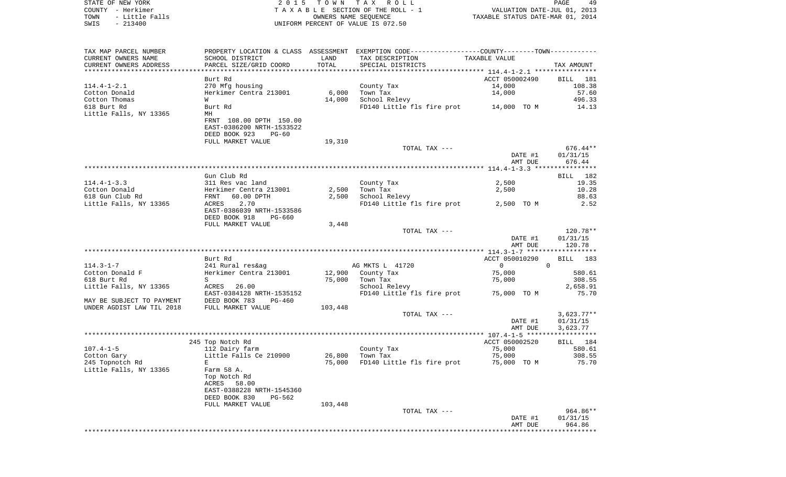|      | STATE OF NEW YORK | 2015 TOWN TAX ROLL                 |                                  | PAGE |  |
|------|-------------------|------------------------------------|----------------------------------|------|--|
|      | COUNTY - Herkimer | TAXABLE SECTION OF THE ROLL - 1    | VALUATION DATE-JUL 01, 2013      |      |  |
| TOWN | - Little Falls    | OWNERS NAME SEOUENCE               | TAXABLE STATUS DATE-MAR 01, 2014 |      |  |
| SWIS | $-213400$         | UNIFORM PERCENT OF VALUE IS 072.50 |                                  |      |  |

| TAX MAP PARCEL NUMBER<br>CURRENT OWNERS NAME<br>CURRENT OWNERS ADDRESS | SCHOOL DISTRICT<br>PARCEL SIZE/GRID COORD            | LAND<br>TOTAL | PROPERTY LOCATION & CLASS ASSESSMENT EXEMPTION CODE---------------COUNTY-------TOWN----------<br>TAX DESCRIPTION<br>SPECIAL DISTRICTS | TAXABLE VALUE                          | TAX AMOUNT            |
|------------------------------------------------------------------------|------------------------------------------------------|---------------|---------------------------------------------------------------------------------------------------------------------------------------|----------------------------------------|-----------------------|
|                                                                        |                                                      |               |                                                                                                                                       |                                        |                       |
| $114.4 - 1 - 2.1$                                                      | Burt Rd<br>270 Mfg housing                           |               | County Tax                                                                                                                            | ACCT 050002490<br>14,000               | BILL<br>181<br>108.38 |
| Cotton Donald                                                          | Herkimer Centra 213001<br>W                          | 6,000         | Town Tax                                                                                                                              | 14,000                                 | 57.60<br>496.33       |
| Cotton Thomas<br>618 Burt Rd                                           | Burt Rd                                              | 14,000        | School Relevy<br>FD140 Little fls fire prot                                                                                           | 14,000 TO M                            | 14.13                 |
| Little Falls, NY 13365                                                 | MН                                                   |               |                                                                                                                                       |                                        |                       |
|                                                                        | FRNT 108.00 DPTH 150.00<br>EAST-0386200 NRTH-1533522 |               |                                                                                                                                       |                                        |                       |
|                                                                        | DEED BOOK 923<br>$PG-60$                             |               |                                                                                                                                       |                                        |                       |
|                                                                        | FULL MARKET VALUE                                    | 19,310        |                                                                                                                                       |                                        |                       |
|                                                                        |                                                      |               | TOTAL TAX ---                                                                                                                         |                                        | $676.44**$            |
|                                                                        |                                                      |               |                                                                                                                                       | DATE #1<br>AMT DUE                     | 01/31/15<br>676.44    |
|                                                                        |                                                      |               |                                                                                                                                       |                                        |                       |
|                                                                        | Gun Club Rd                                          |               |                                                                                                                                       |                                        | <b>BILL</b><br>182    |
| $114.4 - 1 - 3.3$                                                      | 311 Res vac land                                     |               | County Tax                                                                                                                            | 2,500                                  | 19.35                 |
| Cotton Donald                                                          | Herkimer Centra 213001                               | 2,500         | Town Tax                                                                                                                              | 2,500                                  | 10.28                 |
| 618 Gun Club Rd                                                        | 60.00 DPTH<br>FRNT                                   | 2,500         | School Relevy                                                                                                                         |                                        | 88.63                 |
| Little Falls, NY 13365                                                 | 2.70<br>ACRES                                        |               | FD140 Little fls fire prot                                                                                                            | 2,500 TO M                             | 2.52                  |
|                                                                        | EAST-0386039 NRTH-1533586                            |               |                                                                                                                                       |                                        |                       |
|                                                                        | DEED BOOK 918<br>PG-660                              |               |                                                                                                                                       |                                        |                       |
|                                                                        | FULL MARKET VALUE                                    | 3,448         |                                                                                                                                       |                                        |                       |
|                                                                        |                                                      |               | TOTAL TAX ---                                                                                                                         |                                        | 120.78**              |
|                                                                        |                                                      |               |                                                                                                                                       | DATE #1                                | 01/31/15              |
|                                                                        |                                                      |               |                                                                                                                                       | AMT DUE<br>************ 114.3-1-7 **** | 120.78<br>**********  |
|                                                                        | Burt Rd                                              |               |                                                                                                                                       | ACCT 050010290                         | BILL<br>183           |
| $114.3 - 1 - 7$                                                        | 241 Rural res&ag                                     |               | AG MKTS L 41720                                                                                                                       | $\overline{0}$                         | $\mathbf 0$           |
| Cotton Donald F                                                        | Herkimer Centra 213001                               | 12,900        | County Tax                                                                                                                            | 75,000                                 | 580.61                |
| 618 Burt Rd                                                            | S                                                    | 75,000        | Town Tax                                                                                                                              | 75,000                                 | 308.55                |
| Little Falls, NY 13365                                                 | 26.00<br>ACRES                                       |               | School Relevy                                                                                                                         |                                        | 2,658.91              |
|                                                                        | EAST-0384128 NRTH-1535152                            |               | FD140 Little fls fire prot                                                                                                            | 75,000 TO M                            | 75.70                 |
| MAY BE SUBJECT TO PAYMENT                                              | DEED BOOK 783<br>$PG-460$                            |               |                                                                                                                                       |                                        |                       |
| UNDER AGDIST LAW TIL 2018                                              | FULL MARKET VALUE                                    | 103,448       |                                                                                                                                       |                                        |                       |
|                                                                        |                                                      |               | TOTAL TAX ---                                                                                                                         |                                        | $3,623.77**$          |
|                                                                        |                                                      |               |                                                                                                                                       | DATE #1                                | 01/31/15              |
|                                                                        |                                                      |               |                                                                                                                                       | AMT DUE                                | 3,623.77              |
|                                                                        | 245 Top Notch Rd                                     |               |                                                                                                                                       | ACCT 050002520                         | BILL 184              |
| $107.4 - 1 - 5$                                                        | 112 Dairy farm                                       |               | County Tax                                                                                                                            | 75,000                                 | 580.61                |
| Cotton Gary                                                            | Little Falls Ce 210900                               | 26,800        | Town Tax                                                                                                                              | 75,000                                 | 308.55                |
| 245 Topnotch Rd                                                        | E                                                    | 75,000        | FD140 Little fls fire prot                                                                                                            | 75,000 TO M                            | 75.70                 |
| Little Falls, NY 13365                                                 | Farm 58 A.                                           |               |                                                                                                                                       |                                        |                       |
|                                                                        | Top Notch Rd                                         |               |                                                                                                                                       |                                        |                       |
|                                                                        | ACRES<br>58.00                                       |               |                                                                                                                                       |                                        |                       |
|                                                                        | EAST-0388228 NRTH-1545360                            |               |                                                                                                                                       |                                        |                       |
|                                                                        | DEED BOOK 830<br>PG-562                              |               |                                                                                                                                       |                                        |                       |
|                                                                        | FULL MARKET VALUE                                    | 103,448       |                                                                                                                                       |                                        |                       |
|                                                                        |                                                      |               | TOTAL TAX ---                                                                                                                         |                                        | 964.86**              |
|                                                                        |                                                      |               |                                                                                                                                       | DATE #1                                | 01/31/15<br>964.86    |
|                                                                        |                                                      |               |                                                                                                                                       | AMT DUE                                |                       |
|                                                                        |                                                      |               |                                                                                                                                       |                                        |                       |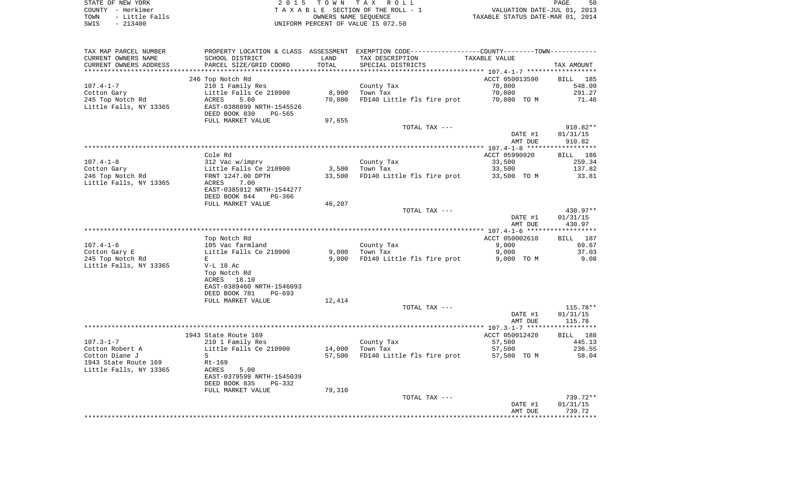STATE OF NEW YORK **EXECUTE:**  $2015$  TOWN TAX ROLL COUNTY - Herkimer<br>
T A X A B L E SECTION OF THE ROLL - 1<br>
T A X A B L E SECTION OF THE ROLL - 1<br>
OWNERS NAME SEQUENCE<br>
SWIS - 213400<br>
OWNERS NAME SEQUENCE TOWN - Little Falls OWNERS NAME SEQUENCE TAXABLE STATUS DATE-MAR 01, 2014 SWIS - 213400 UNIFORM PERCENT OF VALUE IS 072.50

| TAX MAP PARCEL NUMBER  |                           |        | PROPERTY LOCATION & CLASS ASSESSMENT EXEMPTION CODE---------------COUNTY-------TOWN---------- |                    |                    |
|------------------------|---------------------------|--------|-----------------------------------------------------------------------------------------------|--------------------|--------------------|
| CURRENT OWNERS NAME    | SCHOOL DISTRICT           | LAND   | TAX DESCRIPTION                                                                               | TAXABLE VALUE      |                    |
| CURRENT OWNERS ADDRESS | PARCEL SIZE/GRID COORD    | TOTAL  | SPECIAL DISTRICTS                                                                             |                    | TAX AMOUNT         |
|                        |                           |        |                                                                                               |                    |                    |
|                        | 246 Top Notch Rd          |        |                                                                                               | ACCT 050013590     | BILL<br>185        |
| $107.4 - 1 - 7$        | 210 1 Family Res          |        | County Tax                                                                                    | 70,800             | 548.09             |
| Cotton Gary            | Little Falls Ce 210900    | 8,900  | Town Tax                                                                                      | 70,800             | 291.27             |
| 245 Top Notch Rd       | 5.60<br>ACRES             | 70,800 | FD140 Little fls fire prot                                                                    | 70,800 TO M        | 71.46              |
| Little Falls, NY 13365 | EAST-0388899 NRTH-1545526 |        |                                                                                               |                    |                    |
|                        | DEED BOOK 830<br>PG-565   |        |                                                                                               |                    |                    |
|                        | FULL MARKET VALUE         | 97,655 |                                                                                               |                    |                    |
|                        |                           |        | TOTAL TAX ---                                                                                 |                    | 910.82**           |
|                        |                           |        |                                                                                               | DATE #1            | 01/31/15           |
|                        |                           |        |                                                                                               | AMT DUE            | 910.82             |
|                        |                           |        |                                                                                               |                    | ***********        |
|                        | Cole Rd                   |        |                                                                                               | ACCT 05990920      | BILL 186           |
| $107.4 - 1 - 8$        | 312 Vac w/imprv           |        | County Tax                                                                                    | 33,500             | 259.34             |
| Cotton Gary            | Little Falls Ce 210900    | 3,500  | Town Tax                                                                                      | 33,500             | 137.82             |
| 246 Top Notch Rd       | FRNT 1247.00 DPTH         | 33,500 | FD140 Little fls fire prot                                                                    | 33,500 TO M        | 33.81              |
| Little Falls, NY 13365 | ACRES<br>7.00             |        |                                                                                               |                    |                    |
|                        | EAST-0385912 NRTH-1544277 |        |                                                                                               |                    |                    |
|                        | DEED BOOK 844<br>PG-366   |        |                                                                                               |                    |                    |
|                        |                           |        |                                                                                               |                    |                    |
|                        | FULL MARKET VALUE         | 46,207 | TOTAL TAX ---                                                                                 |                    | 430.97**           |
|                        |                           |        |                                                                                               |                    |                    |
|                        |                           |        |                                                                                               | DATE #1<br>AMT DUE | 01/31/15<br>430.97 |
|                        |                           |        |                                                                                               |                    |                    |
|                        |                           |        |                                                                                               |                    |                    |
|                        | Top Notch Rd              |        |                                                                                               | ACCT 050002610     | 187<br>BILL        |
| $107.4 - 1 - 6$        | 105 Vac farmland          |        | County Tax                                                                                    | 9,000              | 69.67              |
| Cotton Gary E          | Little Falls Ce 210900    | 9.000  | Town Tax                                                                                      | 9,000              | 37.03              |
| 245 Top Notch Rd       | E                         | 9,000  | FD140 Little fls fire prot                                                                    | 9,000 TO M         | 9.08               |
| Little Falls, NY 13365 | $V-L$ 18 Ac               |        |                                                                                               |                    |                    |
|                        | Top Notch Rd              |        |                                                                                               |                    |                    |
|                        | ACRES 18.10               |        |                                                                                               |                    |                    |
|                        | EAST-0389460 NRTH-1546093 |        |                                                                                               |                    |                    |
|                        | DEED BOOK 781<br>PG-693   |        |                                                                                               |                    |                    |
|                        | FULL MARKET VALUE         | 12,414 |                                                                                               |                    |                    |
|                        |                           |        | TOTAL TAX ---                                                                                 |                    | 115.78**           |
|                        |                           |        |                                                                                               | DATE #1            | 01/31/15           |
|                        |                           |        |                                                                                               | AMT DUE            | 115.78             |
|                        |                           |        |                                                                                               |                    |                    |
|                        | 1943 State Route 169      |        |                                                                                               | ACCT 050012420     | BILL 188           |
| $107.3 - 1 - 7$        | 210 1 Family Res          |        | County Tax                                                                                    | 57,500             | 445.13             |
| Cotton Robert A        | Little Falls Ce 210900    | 14,000 | Town Tax                                                                                      | 57,500             | 236.55             |
| Cotton Diane J         | S                         | 57,500 | FD140 Little fls fire prot                                                                    | 57,500 TO M        | 58.04              |
| 1943 State Route 169   | Rt-169                    |        |                                                                                               |                    |                    |
| Little Falls, NY 13365 | ACRES<br>5.00             |        |                                                                                               |                    |                    |
|                        | EAST-0379599 NRTH-1545039 |        |                                                                                               |                    |                    |
|                        | DEED BOOK 835<br>$PG-332$ |        |                                                                                               |                    |                    |
|                        | FULL MARKET VALUE         | 79,310 |                                                                                               |                    |                    |
|                        |                           |        | TOTAL TAX ---                                                                                 |                    | 739.72**           |
|                        |                           |        |                                                                                               | DATE #1            | 01/31/15           |
|                        |                           |        |                                                                                               | AMT DUE            | 739.72             |
|                        |                           |        |                                                                                               |                    |                    |
|                        |                           |        |                                                                                               |                    |                    |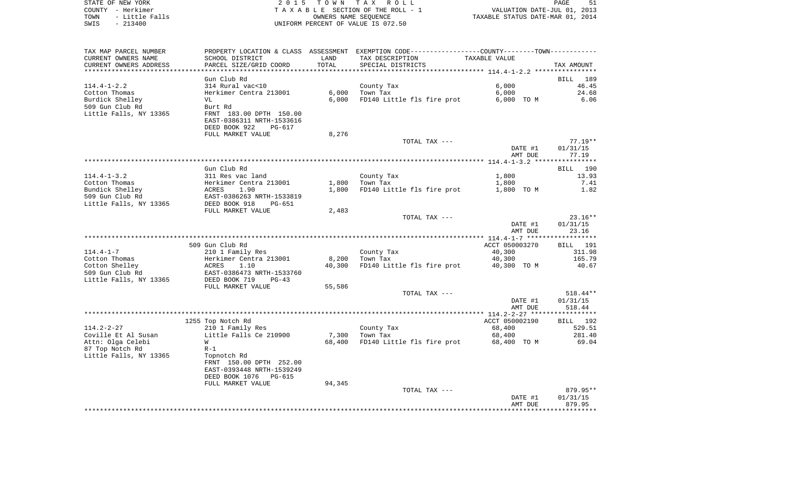|      | STATE OF NEW YORK     |                                      |      | 2015 TOWN TAX ROLL                                          |                                  | PAGE | 51 |
|------|-----------------------|--------------------------------------|------|-------------------------------------------------------------|----------------------------------|------|----|
|      | COUNTY - Herkimer     |                                      |      | TAXABLE SECTION OF THE ROLL - 1                             | VALUATION DATE-JUL 01, 2013      |      |    |
| TOWN | - Little Falls        |                                      |      | OWNERS NAME SEOUENCE                                        | TAXABLE STATUS DATE-MAR 01, 2014 |      |    |
| SWIS | $-213400$             |                                      |      | UNIFORM PERCENT OF VALUE IS 072.50                          |                                  |      |    |
|      |                       |                                      |      |                                                             |                                  |      |    |
|      |                       |                                      |      |                                                             |                                  |      |    |
|      | TAX MAP PARCEL NUMBER | PROPERTY LOCATION & CLASS ASSESSMENT |      | EXEMPTION CODE-----------------COUNTY-------TOWN----------- |                                  |      |    |
|      | CURRENT OWNERS NAME   | SCHOOL DISTRICT                      | LAND | TAX DESCRIPTION                                             | TAXABLE VALUE                    |      |    |
|      |                       |                                      |      |                                                             |                                  |      |    |

| CURRENT OWNERS ADDRESS | PARCEL SIZE/GRID COORD          | TOTAL  | SPECIAL DISTRICTS          |                                  | TAX AMOUNT         |
|------------------------|---------------------------------|--------|----------------------------|----------------------------------|--------------------|
|                        |                                 |        |                            | ********* 114.4-1-2.2 *****      |                    |
|                        | Gun Club Rd                     |        |                            |                                  | BILL<br>189        |
| $114.4 - 1 - 2.2$      | 314 Rural vac<10                |        | County Tax                 | 6,000                            | 46.45              |
| Cotton Thomas          | Herkimer Centra 213001          | 6,000  | Town Tax                   | 6,000                            | 24.68              |
| Burdick Shelley        | VL                              | 6,000  | FD140 Little fls fire prot | 6,000 TO M                       | 6.06               |
| 509 Gun Club Rd        | Burt Rd                         |        |                            |                                  |                    |
| Little Falls, NY 13365 | FRNT 183.00 DPTH 150.00         |        |                            |                                  |                    |
|                        | EAST-0386311 NRTH-1533616       |        |                            |                                  |                    |
|                        | DEED BOOK 922<br>$PG-617$       |        |                            |                                  |                    |
|                        | FULL MARKET VALUE               | 8,276  |                            |                                  |                    |
|                        |                                 |        | TOTAL TAX ---              |                                  | $77.19**$          |
|                        |                                 |        |                            | DATE #1                          | 01/31/15           |
|                        |                                 |        |                            | AMT DUE                          | 77.19              |
|                        |                                 |        |                            |                                  |                    |
|                        | Gun Club Rd                     |        |                            |                                  | 190<br><b>BILL</b> |
| $114.4 - 1 - 3.2$      | 311 Res vac land                |        | County Tax                 | 1,800                            | 13.93              |
| Cotton Thomas          | Herkimer Centra 213001          | 1,800  | Town Tax                   | 1,800                            | 7.41               |
| Bundick Shelley        | ACRES<br>1.90                   | 1,800  | FD140 Little fls fire prot | 1,800 TO M                       | 1.82               |
| 509 Gun Club Rd        | EAST-0386263 NRTH-1533819       |        |                            |                                  |                    |
| Little Falls, NY 13365 | DEED BOOK 918<br>PG-651         |        |                            |                                  |                    |
|                        | FULL MARKET VALUE               | 2,483  |                            |                                  |                    |
|                        |                                 |        | TOTAL TAX ---              |                                  | $23.16**$          |
|                        |                                 |        |                            | DATE #1                          | 01/31/15           |
|                        |                                 |        |                            | AMT DUE                          | 23.16              |
|                        |                                 |        |                            |                                  |                    |
|                        | 509 Gun Club Rd                 |        |                            | ACCT 050003270                   | BILL 191           |
| $114.4 - 1 - 7$        | 210 1 Family Res                |        | County Tax                 | 40,300                           | 311.98             |
| Cotton Thomas          | Herkimer Centra 213001          | 8,200  | Town Tax                   | 40,300                           | 165.79             |
| Cotton Shelley         | 1.10<br>ACRES                   | 40,300 | FD140 Little fls fire prot | 40,300 TO M                      | 40.67              |
| 509 Gun Club Rd        | EAST-0386473 NRTH-1533760       |        |                            |                                  |                    |
| Little Falls, NY 13365 | DEED BOOK 719<br>$PG-43$        |        |                            |                                  |                    |
|                        | FULL MARKET VALUE               | 55,586 |                            |                                  |                    |
|                        |                                 |        | TOTAL TAX ---              |                                  | 518.44**           |
|                        |                                 |        |                            | DATE #1                          | 01/31/15           |
|                        |                                 |        |                            | AMT DUE                          | 518.44             |
|                        |                                 |        |                            | **************** 114.2-2-27 **** | * * * * * * * *    |
|                        | 1255 Top Notch Rd               |        |                            | ACCT 050002190                   | 192<br>BILL        |
| $114.2 - 2 - 27$       | 210 1 Family Res                |        | County Tax                 | 68,400                           | 529.51             |
| Coville Et Al Susan    | Little Falls Ce 210900          | 7,300  | Town Tax                   | 68,400                           | 281.40             |
| Attn: Olga Celebi      | W                               | 68,400 | FD140 Little fls fire prot | 68,400 TO M                      | 69.04              |
| 87 Top Notch Rd        | $R-1$                           |        |                            |                                  |                    |
| Little Falls, NY 13365 | Topnotch Rd                     |        |                            |                                  |                    |
|                        | FRNT 150.00 DPTH 252.00         |        |                            |                                  |                    |
|                        | EAST-0393448 NRTH-1539249       |        |                            |                                  |                    |
|                        | DEED BOOK 1076<br><b>PG-615</b> |        |                            |                                  |                    |
|                        | FULL MARKET VALUE               | 94,345 |                            |                                  |                    |
|                        |                                 |        | TOTAL TAX ---              |                                  | 879.95**           |
|                        |                                 |        |                            | DATE #1                          | 01/31/15           |
|                        |                                 |        |                            | AMT DUE                          | 879.95             |
|                        |                                 |        |                            |                                  |                    |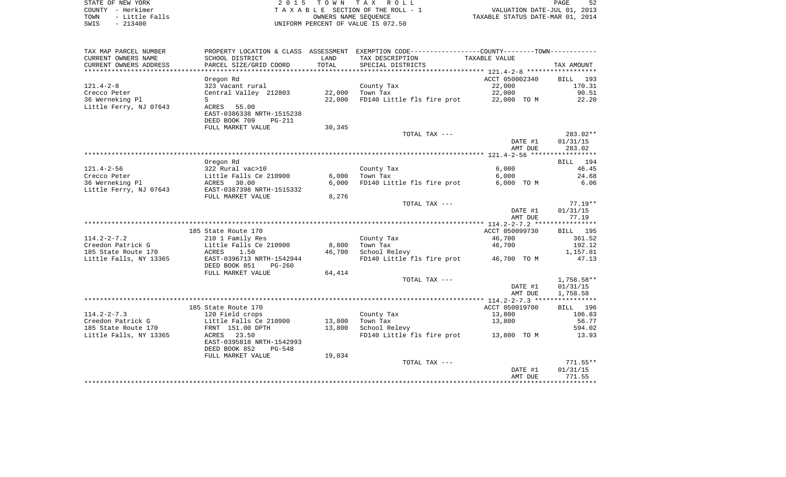| STATE OF NEW YORK |  |           |                |  |
|-------------------|--|-----------|----------------|--|
| COUNTY - Herkimer |  |           |                |  |
| TOWN              |  |           | - Little Falls |  |
| SWIS              |  | $-213400$ |                |  |

2015 TOWN TAX ROLL TA X A B L E SECTION OF THE ROLL - 1 TOWN - Little Falls OWNERS NAME SEQUENCE TAXABLE STATUS DATE-MAR 01, 2014 SWIS - 213400 UNIFORM PERCENT OF VALUE IS 072.50

| TAX MAP PARCEL NUMBER  |                                |        | PROPERTY LOCATION & CLASS ASSESSMENT EXEMPTION CODE---------------COUNTY-------TOWN---------- |                                  |              |
|------------------------|--------------------------------|--------|-----------------------------------------------------------------------------------------------|----------------------------------|--------------|
| CURRENT OWNERS NAME    | SCHOOL DISTRICT                | LAND   | TAX DESCRIPTION                                                                               | TAXABLE VALUE                    |              |
| CURRENT OWNERS ADDRESS | PARCEL SIZE/GRID COORD         | TOTAL  | SPECIAL DISTRICTS                                                                             |                                  | TAX AMOUNT   |
|                        |                                |        |                                                                                               |                                  |              |
|                        |                                |        |                                                                                               | ACCT 050002340                   |              |
|                        | Oregon Rd                      |        |                                                                                               |                                  | BILL<br>193  |
| $121.4 - 2 - 8$        | 323 Vacant rural               |        | County Tax                                                                                    | 22,000                           | 170.31       |
| Crecco Peter           | Central Valley 212803          | 22,000 | Town Tax                                                                                      | 22,000                           | 90.51        |
| 36 Werneking Pl        | S                              | 22,000 | FD140 Little fls fire prot 22,000 TO M                                                        |                                  | 22.20        |
| Little Ferry, NJ 07643 | ACRES 55.00                    |        |                                                                                               |                                  |              |
|                        | EAST-0386338 NRTH-1515238      |        |                                                                                               |                                  |              |
|                        | DEED BOOK 709<br><b>PG-211</b> |        |                                                                                               |                                  |              |
|                        | FULL MARKET VALUE              |        |                                                                                               |                                  |              |
|                        |                                | 30,345 |                                                                                               |                                  |              |
|                        |                                |        | TOTAL TAX ---                                                                                 |                                  | 283.02**     |
|                        |                                |        |                                                                                               | DATE #1                          | 01/31/15     |
|                        |                                |        |                                                                                               | AMT DUE                          | 283.02       |
|                        |                                |        |                                                                                               |                                  |              |
|                        | Oregon Rd                      |        |                                                                                               |                                  | 194<br>BILL  |
| $121.4 - 2 - 56$       | 322 Rural vac>10               |        | County Tax                                                                                    | 6,000                            | 46.45        |
| Crecco Peter           | Little Falls Ce 210900         | 6,000  | Town Tax                                                                                      | 6,000                            | 24.68        |
|                        |                                |        |                                                                                               |                                  |              |
| 36 Werneking Pl        | 30.00<br>ACRES                 | 6,000  | FD140 Little fls fire prot                                                                    | 6,000 TO M                       | 6.06         |
| Little Ferry, NJ 07643 | EAST-0387398 NRTH-1515332      |        |                                                                                               |                                  |              |
|                        | FULL MARKET VALUE              | 8,276  |                                                                                               |                                  |              |
|                        |                                |        | TOTAL TAX ---                                                                                 |                                  | $77.19**$    |
|                        |                                |        |                                                                                               | DATE #1                          | 01/31/15     |
|                        |                                |        |                                                                                               | AMT DUE                          | 77.19        |
|                        |                                |        |                                                                                               |                                  |              |
|                        | 185 State Route 170            |        |                                                                                               | ACCT 050099730                   | BILL 195     |
|                        |                                |        |                                                                                               |                                  |              |
| $114.2 - 2 - 7.2$      | 210 1 Family Res               |        | County Tax                                                                                    | 46,700                           | 361.52       |
| Creedon Patrick G      | Little Falls Ce 210900         | 8,800  | Town Tax                                                                                      | 46,700                           | 192.12       |
| 185 State Route 170    | ACRES<br>1.50                  | 46,700 | School Relevy                                                                                 |                                  | 1,157.81     |
| Little Falls, NY 13365 | EAST-0396713 NRTH-1542944      |        | FD140 Little fls fire prot 46,700 TO M                                                        |                                  | 47.13        |
|                        | DEED BOOK 851<br>$PG-260$      |        |                                                                                               |                                  |              |
|                        | FULL MARKET VALUE              | 64,414 |                                                                                               |                                  |              |
|                        |                                |        | TOTAL TAX ---                                                                                 |                                  | $1,758.58**$ |
|                        |                                |        |                                                                                               | DATE #1                          | 01/31/15     |
|                        |                                |        |                                                                                               | AMT DUE                          | 1,758.58     |
|                        |                                |        |                                                                                               |                                  |              |
|                        |                                |        |                                                                                               |                                  |              |
|                        | 185 State Route 170            |        |                                                                                               | ACCT 050019700                   | BILL 196     |
| $114.2 - 2 - 7.3$      | 120 Field crops                |        | County Tax                                                                                    | 13,800                           | 106.83       |
| Creedon Patrick G      | Little Falls Ce 210900         | 13,800 | Town Tax                                                                                      | 13,800                           | 56.77        |
| 185 State Route 170    | FRNT 151.00 DPTH               | 13,800 | School Relevy                                                                                 |                                  | 594.02       |
| Little Falls, NY 13365 | ACRES 23.50                    |        | FD140 Little fls fire prot 13,800 TO M                                                        |                                  | 13.93        |
|                        | EAST-0395818 NRTH-1542993      |        |                                                                                               |                                  |              |
|                        |                                |        |                                                                                               |                                  |              |
|                        | DEED BOOK 852<br><b>PG-548</b> |        |                                                                                               |                                  |              |
|                        | FULL MARKET VALUE              | 19,034 |                                                                                               |                                  |              |
|                        |                                |        | TOTAL TAX ---                                                                                 |                                  | $771.55**$   |
|                        |                                |        |                                                                                               | DATE #1                          | 01/31/15     |
|                        |                                |        |                                                                                               | AMT DUE                          | 771.55       |
|                        |                                |        |                                                                                               | ******************************** |              |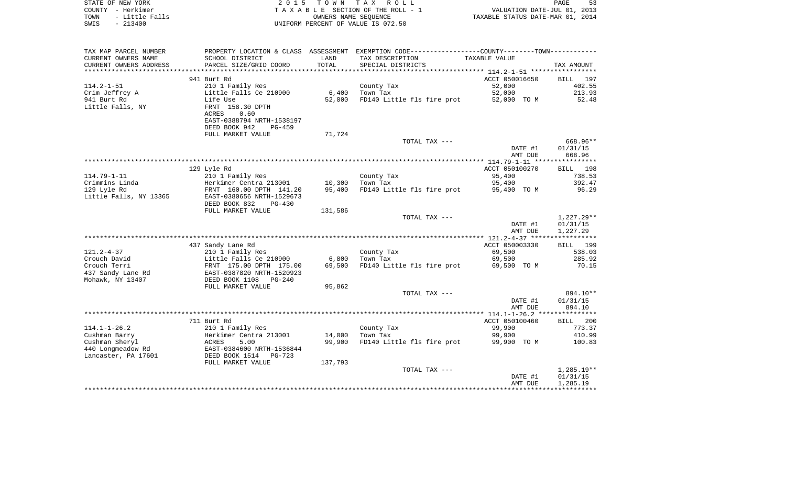| STATE OF NEW YORK      | 2015 TOWN TAX ROLL                   | 53<br>PAGE                                                  |
|------------------------|--------------------------------------|-------------------------------------------------------------|
| - Herkimer<br>COUNTY   | TAXABLE SECTION OF THE ROLL - 1      | VALUATION DATE-JUL 01, 2013                                 |
| - Little Falls<br>TOWN | OWNERS NAME SEOUENCE                 | TAXABLE STATUS DATE-MAR 01, 2014                            |
| SWIS<br>$-213400$      | UNIFORM PERCENT OF VALUE IS 072.50   |                                                             |
|                        |                                      |                                                             |
|                        |                                      |                                                             |
|                        |                                      |                                                             |
| TAX MAP PARCEL NUMBER  | PROPERTY LOCATION & CLASS ASSESSMENT | EXEMPTION CODE-----------------COUNTY-------TOWN----------- |

| CURRENT OWNERS NAME    | SCHOOL DISTRICT            | LAND       | TAX DESCRIPTION            | TAXABLE VALUE  |                    |
|------------------------|----------------------------|------------|----------------------------|----------------|--------------------|
| CURRENT OWNERS ADDRESS | PARCEL SIZE/GRID COORD     | TOTAL      | SPECIAL DISTRICTS          |                | TAX AMOUNT         |
| ********************   | ***********************    | ********** |                            |                |                    |
|                        | 941 Burt Rd                |            |                            | ACCT 050016650 | BILL<br>197        |
| $114.2 - 1 - 51$       | 210 1 Family Res           |            | County Tax                 | 52,000         | 402.55             |
| Crim Jeffrey A         | Little Falls Ce 210900     | 6,400      | Town Tax                   | 52,000         | 213.93             |
| 941 Burt Rd            | Life Use                   | 52,000     | FD140 Little fls fire prot | 52,000 TO M    | 52.48              |
| Little Falls, NY       | FRNT 158.30 DPTH           |            |                            |                |                    |
|                        | <b>ACRES</b><br>0.60       |            |                            |                |                    |
|                        | EAST-0388794 NRTH-1538197  |            |                            |                |                    |
|                        | DEED BOOK 942<br>PG-459    |            |                            |                |                    |
|                        | FULL MARKET VALUE          |            |                            |                |                    |
|                        |                            | 71,724     |                            |                | 668.96**           |
|                        |                            |            | TOTAL TAX ---              |                |                    |
|                        |                            |            |                            | DATE #1        | 01/31/15           |
|                        |                            |            |                            | AMT DUE        | 668.96             |
|                        |                            |            |                            |                |                    |
|                        | 129 Lyle Rd                |            |                            | ACCT 050100270 | <b>BILL</b><br>198 |
| $114.79 - 1 - 11$      | 210 1 Family Res           |            | County Tax                 | 95,400         | 738.53             |
| Crimmins Linda         | Herkimer Centra 213001     | 10,300     | Town Tax                   | 95,400         | 392.47             |
| 129 Lyle Rd            | FRNT 160.00 DPTH 141.20    | 95,400     | FD140 Little fls fire prot | 95,400 TO M    | 96.29              |
| Little Falls, NY 13365 | EAST-0380656 NRTH-1529673  |            |                            |                |                    |
|                        | DEED BOOK 832<br>$PG-430$  |            |                            |                |                    |
|                        | FULL MARKET VALUE          | 131,586    |                            |                |                    |
|                        |                            |            | TOTAL TAX ---              |                | $1,227.29**$       |
|                        |                            |            |                            | DATE #1        | 01/31/15           |
|                        |                            |            |                            | AMT DUE        | 1,227.29           |
|                        |                            |            |                            |                |                    |
|                        | 437 Sandy Lane Rd          |            |                            | ACCT 050003330 | BILL<br>199        |
| $121.2 - 4 - 37$       | 210 1 Family Res           |            | County Tax                 | 69,500         | 538.03             |
| Crouch David           | Little Falls Ce 210900     | 6,800      | Town Tax                   | 69,500         | 285.92             |
| Crouch Terri           | FRNT 175.00 DPTH 175.00    | 69,500     | FD140 Little fls fire prot | 69,500 TO M    | 70.15              |
| 437 Sandy Lane Rd      | EAST-0387820 NRTH-1520923  |            |                            |                |                    |
| Mohawk, NY 13407       | DEED BOOK 1108<br>$PG-240$ |            |                            |                |                    |
|                        | FULL MARKET VALUE          | 95,862     |                            |                |                    |
|                        |                            |            | TOTAL TAX ---              |                | 894.10**           |
|                        |                            |            |                            |                |                    |
|                        |                            |            |                            | DATE #1        | 01/31/15           |
|                        |                            |            |                            | AMT DUE        | 894.10             |
|                        |                            |            |                            |                |                    |
|                        | 711 Burt Rd                |            |                            | ACCT 050100460 | 200<br>BILL        |
| $114.1 - 1 - 26.2$     | 210 1 Family Res           |            | County Tax                 | 99,900         | 773.37             |
| Cushman Barry          | Herkimer Centra 213001     | 14,000     | Town Tax                   | 99,900         | 410.99             |
| Cushman Sheryl         | ACRES<br>5.00              | 99,900     | FD140 Little fls fire prot | 99,900 TO M    | 100.83             |
| 440 Longmeadow Rd      | EAST-0384600 NRTH-1536844  |            |                            |                |                    |
| Lancaster, PA 17601    | DEED BOOK 1514 PG-723      |            |                            |                |                    |
|                        | FULL MARKET VALUE          | 137,793    |                            |                |                    |
|                        |                            |            | TOTAL TAX ---              |                | $1,285.19**$       |
|                        |                            |            |                            | DATE #1        | 01/31/15           |
|                        |                            |            |                            | AMT DUE        | 1,285.19           |
|                        |                            |            |                            |                |                    |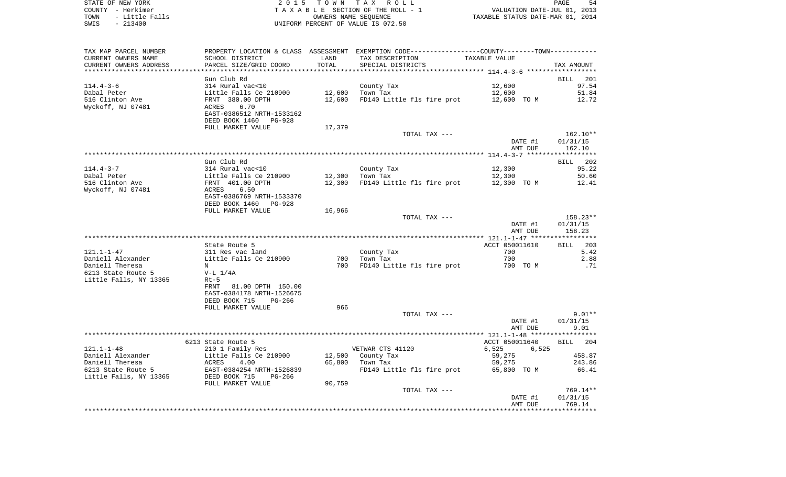STATE OF NEW YORK **EXECUTE:** TO W N TAX ROLL COUNTY - Herkimer<br>
T A X A B L E SECTION OF THE ROLL - 1<br>
T A X A B L E SECTION OF THE ROLL - 1<br>
OWNERS NAME SEQUENCE<br>
SWIS - 213400<br>
OWNERS NAME SEQUENCE TOWN - LITTLE SECTION OF THE ROLL - 1<br>
TAXABLE STATUS DATE-JUL 01, 2013<br>
OWNERS NAME SEQUENCE TAXABLE STATUS DATE-MAR 01, 2014 SWIS - 213400 UNIFORM PERCENT OF VALUE IS 072.50

| TAX MAP PARCEL NUMBER  |                           |        | PROPERTY LOCATION & CLASS ASSESSMENT EXEMPTION CODE---------------COUNTY-------TOWN---------- |                |            |
|------------------------|---------------------------|--------|-----------------------------------------------------------------------------------------------|----------------|------------|
| CURRENT OWNERS NAME    | SCHOOL DISTRICT           | LAND   | TAX DESCRIPTION                                                                               | TAXABLE VALUE  |            |
| CURRENT OWNERS ADDRESS | PARCEL SIZE/GRID COORD    | TOTAL  | SPECIAL DISTRICTS                                                                             |                | TAX AMOUNT |
|                        |                           |        |                                                                                               |                |            |
|                        | Gun Club Rd               |        |                                                                                               |                | BILL 201   |
| $114.4 - 3 - 6$        | 314 Rural vac<10          |        | County Tax                                                                                    | 12,600         | 97.54      |
| Dabal Peter            | Little Falls Ce 210900    | 12,600 | Town Tax                                                                                      | 12,600         | 51.84      |
|                        |                           |        |                                                                                               |                |            |
| 516 Clinton Ave        | FRNT 380.00 DPTH          | 12,600 | FD140 Little fls fire prot                                                                    | 12,600 TO M    | 12.72      |
| Wyckoff, NJ 07481      | 6.70<br>ACRES             |        |                                                                                               |                |            |
|                        | EAST-0386512 NRTH-1533162 |        |                                                                                               |                |            |
|                        | DEED BOOK 1460 PG-928     |        |                                                                                               |                |            |
|                        | FULL MARKET VALUE         | 17,379 |                                                                                               |                |            |
|                        |                           |        | TOTAL TAX ---                                                                                 |                | 162.10**   |
|                        |                           |        |                                                                                               | DATE #1        | 01/31/15   |
|                        |                           |        |                                                                                               | AMT DUE        | 162.10     |
|                        |                           |        |                                                                                               |                |            |
|                        | Gun Club Rd               |        |                                                                                               |                | BILL 202   |
| $114.4 - 3 - 7$        | 314 Rural vac<10          |        | County Tax                                                                                    | 12,300         | 95.22      |
| Dabal Peter            | Little Falls Ce 210900    | 12,300 | Town Tax                                                                                      | 12,300         | 50.60      |
| 516 Clinton Ave        | FRNT 401.00 DPTH          | 12,300 | FD140 Little fls fire prot                                                                    | 12,300 TO M    | 12.41      |
|                        |                           |        |                                                                                               |                |            |
| Wyckoff, NJ 07481      | ACRES<br>6.50             |        |                                                                                               |                |            |
|                        | EAST-0386769 NRTH-1533370 |        |                                                                                               |                |            |
|                        | DEED BOOK 1460 PG-928     |        |                                                                                               |                |            |
|                        | FULL MARKET VALUE         | 16,966 |                                                                                               |                |            |
|                        |                           |        | TOTAL TAX ---                                                                                 |                | 158.23**   |
|                        |                           |        |                                                                                               | DATE #1        | 01/31/15   |
|                        |                           |        |                                                                                               | AMT DUE        | 158.23     |
|                        |                           |        |                                                                                               |                |            |
|                        | State Route 5             |        |                                                                                               | ACCT 050011610 | BILL 203   |
| $121.1 - 1 - 47$       | 311 Res vac land          |        | County Tax                                                                                    | 700            | 5.42       |
| Daniell Alexander      | Little Falls Ce 210900    | 700    | Town Tax                                                                                      | 700            | 2.88       |
| Daniell Theresa        | N                         | 700    | FD140 Little fls fire prot                                                                    | 700 TO M       | .71        |
| 6213 State Route 5     | $V-L 1/4A$                |        |                                                                                               |                |            |
| Little Falls, NY 13365 | $Rt-5$                    |        |                                                                                               |                |            |
|                        | FRNT 81.00 DPTH 150.00    |        |                                                                                               |                |            |
|                        |                           |        |                                                                                               |                |            |
|                        | EAST-0384178 NRTH-1526675 |        |                                                                                               |                |            |
|                        | DEED BOOK 715<br>PG-266   |        |                                                                                               |                |            |
|                        | FULL MARKET VALUE         | 966    |                                                                                               |                |            |
|                        |                           |        | TOTAL TAX ---                                                                                 |                | $9.01**$   |
|                        |                           |        |                                                                                               | DATE #1        | 01/31/15   |
|                        |                           |        |                                                                                               | AMT DUE        | 9.01       |
|                        |                           |        |                                                                                               |                |            |
|                        | 6213 State Route 5        |        |                                                                                               | ACCT 050011640 | BILL 204   |
| $121.1 - 1 - 48$       | 210 1 Family Res          |        | VETWAR CTS 41120                                                                              | 6,525<br>6,525 |            |
| Daniell Alexander      | Little Falls Ce 210900    |        | 12,500 County Tax                                                                             | 59,275         | 458.87     |
| Daniell Theresa        | ACRES<br>4.00             | 65,800 | Town Tax                                                                                      | 59,275         | 243.86     |
| 6213 State Route 5     | EAST-0384254 NRTH-1526839 |        | FD140 Little fls fire prot                                                                    | 65,800 TO M    | 66.41      |
| Little Falls, NY 13365 | DEED BOOK 715<br>PG-266   |        |                                                                                               |                |            |
|                        | FULL MARKET VALUE         | 90,759 |                                                                                               |                |            |
|                        |                           |        | TOTAL TAX ---                                                                                 |                | 769.14**   |
|                        |                           |        |                                                                                               | DATE #1        | 01/31/15   |
|                        |                           |        |                                                                                               | AMT DUE        | 769.14     |
|                        |                           |        |                                                                                               |                |            |
|                        |                           |        |                                                                                               |                |            |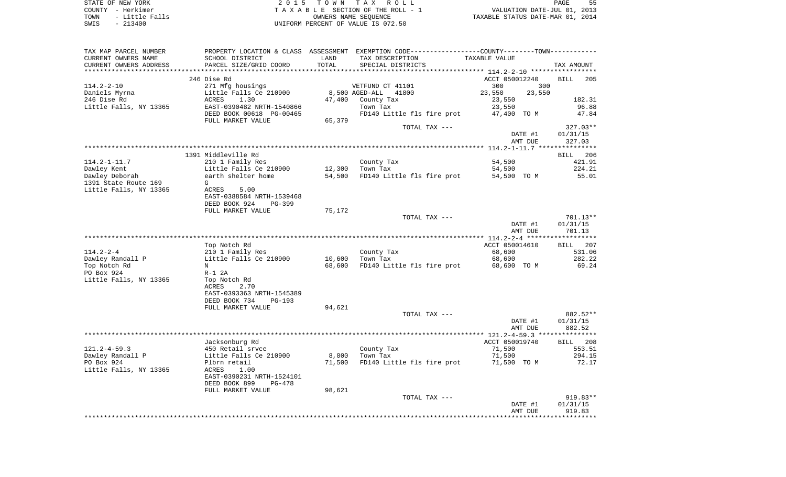STATE OF NEW YORK **EXECUTE:**  $2015$  TOWN TAX ROLL COUNTY - Herkimer<br>
T A X A B L E SECTION OF THE ROLL - 1<br>
T A X A B L E SECTION OF THE ROLL - 1<br>
OWNERS NAME SEQUENCE<br>
SWIS - 213400<br>
OWNERS NAME SEQUENCE TOWN - Little Falls OWNERS NAME SEQUENCE TAXABLE STATUS DATE-MAR 01, 2014 SWIS - 213400 UNIFORM PERCENT OF VALUE IS 072.50

| TAX MAP PARCEL NUMBER        |                                            |        | PROPERTY LOCATION & CLASS ASSESSMENT EXEMPTION CODE---------------COUNTY-------TOWN---------- |                         |                           |
|------------------------------|--------------------------------------------|--------|-----------------------------------------------------------------------------------------------|-------------------------|---------------------------|
| CURRENT OWNERS NAME          | SCHOOL DISTRICT                            | LAND   | TAX DESCRIPTION                                                                               | TAXABLE VALUE           |                           |
| CURRENT OWNERS ADDRESS       | PARCEL SIZE/GRID COORD                     | TOTAL  | SPECIAL DISTRICTS                                                                             |                         | TAX AMOUNT                |
|                              |                                            |        |                                                                                               |                         |                           |
| $114.2 - 2 - 10$             | 246 Dise Rd                                |        |                                                                                               | ACCT 050012240          | <b>BILL</b><br>205<br>300 |
|                              | 271 Mfg housings<br>Little Falls Ce 210900 |        | VETFUND CT 41101<br>8,500 AGED-ALL<br>41800                                                   | 300<br>23,550<br>23,550 |                           |
| Daniels Myrna<br>246 Dise Rd | ACRES<br>1.30                              | 47,400 | County Tax                                                                                    | 23,550                  | 182.31                    |
| Little Falls, NY 13365       | EAST-0390482 NRTH-1540866                  |        | Town Tax                                                                                      | 23,550                  | 96.88                     |
|                              | DEED BOOK 00618 PG-00465                   |        | FD140 Little fls fire prot                                                                    | 47,400 TO M             | 47.84                     |
|                              | FULL MARKET VALUE                          | 65,379 |                                                                                               |                         |                           |
|                              |                                            |        | TOTAL TAX ---                                                                                 |                         | $327.03**$                |
|                              |                                            |        |                                                                                               | DATE #1                 | 01/31/15                  |
|                              |                                            |        |                                                                                               | AMT DUE                 | 327.03                    |
|                              |                                            |        |                                                                                               |                         |                           |
|                              | 1391 Middleville Rd                        |        |                                                                                               |                         | BILL 206                  |
| $114.2 - 1 - 11.7$           | 210 1 Family Res                           |        | County Tax                                                                                    | 54,500                  | 421.91                    |
| Dawley Kent                  | Little Falls Ce 210900                     | 12,300 | Town Tax                                                                                      | 54,500                  | 224.21                    |
| Dawley Deborah               | earth shelter home                         | 54,500 | FD140 Little fls fire prot                                                                    | 54,500 TO M             | 55.01                     |
| 1391 State Route 169         | G                                          |        |                                                                                               |                         |                           |
| Little Falls, NY 13365       | ACRES<br>5.00                              |        |                                                                                               |                         |                           |
|                              | EAST-0388584 NRTH-1539468                  |        |                                                                                               |                         |                           |
|                              | DEED BOOK 924<br>PG-399                    |        |                                                                                               |                         |                           |
|                              | FULL MARKET VALUE                          | 75,172 |                                                                                               |                         |                           |
|                              |                                            |        | TOTAL TAX ---                                                                                 | DATE #1                 | 701.13**<br>01/31/15      |
|                              |                                            |        |                                                                                               | AMT DUE                 | 701.13                    |
|                              |                                            |        |                                                                                               |                         |                           |
|                              | Top Notch Rd                               |        |                                                                                               | ACCT 050014610          | BILL 207                  |
| $114.2 - 2 - 4$              | 210 1 Family Res                           |        | County Tax                                                                                    | 68,600                  | 531.06                    |
| Dawley Randall P             | Little Falls Ce 210900                     | 10,600 | Town Tax                                                                                      | 68,600                  | 282.22                    |
| Top Notch Rd                 | N                                          | 68,600 | FD140 Little fls fire prot                                                                    | 68,600 TO M             | 69.24                     |
| PO Box 924                   | $R-1$ 2A                                   |        |                                                                                               |                         |                           |
| Little Falls, NY 13365       | Top Notch Rd                               |        |                                                                                               |                         |                           |
|                              | 2.70<br>ACRES                              |        |                                                                                               |                         |                           |
|                              | EAST-0393363 NRTH-1545389                  |        |                                                                                               |                         |                           |
|                              | DEED BOOK 734<br>$PG-193$                  |        |                                                                                               |                         |                           |
|                              | FULL MARKET VALUE                          | 94,621 |                                                                                               |                         |                           |
|                              |                                            |        | TOTAL TAX ---                                                                                 |                         | 882.52**                  |
|                              |                                            |        |                                                                                               | DATE #1                 | 01/31/15                  |
|                              |                                            |        |                                                                                               | AMT DUE                 | 882.52                    |
|                              |                                            |        |                                                                                               | ACCT 050019740          | BILL 208                  |
| $121.2 - 4 - 59.3$           | Jacksonburg Rd<br>450 Retail sryce         |        | County Tax                                                                                    | 71,500                  | 553.51                    |
| Dawley Randall P             | Little Falls Ce 210900                     | 8,000  | Town Tax                                                                                      | 71,500                  | 294.15                    |
| PO Box 924                   | Plbrn retail                               | 71,500 | FD140 Little fls fire prot                                                                    | 71,500 TO M             | 72.17                     |
| Little Falls, NY 13365       | ACRES<br>1.00                              |        |                                                                                               |                         |                           |
|                              | EAST-0390231 NRTH-1524101                  |        |                                                                                               |                         |                           |
|                              | DEED BOOK 899<br>PG-478                    |        |                                                                                               |                         |                           |
|                              | FULL MARKET VALUE                          | 98,621 |                                                                                               |                         |                           |
|                              |                                            |        | TOTAL TAX ---                                                                                 |                         | 919.83**                  |
|                              |                                            |        |                                                                                               | DATE #1                 | 01/31/15                  |
|                              |                                            |        |                                                                                               | AMT DUE                 | 919.83                    |
|                              |                                            |        |                                                                                               |                         |                           |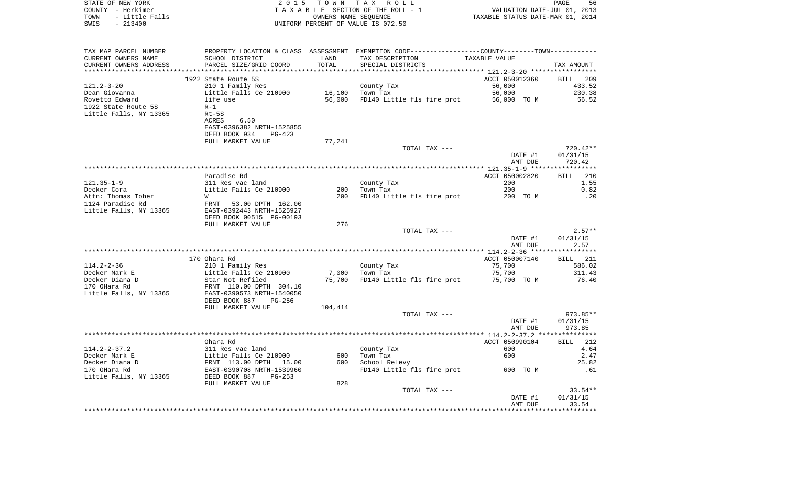| STATE OF NEW YORK<br>COUNTY - Herkimer<br>TOWN<br>- Little Falls | 2 0 1 5                                             | OWNERS NAME SEQUENCE | TOWN TAX ROLL<br>TAXABLE SECTION OF THE ROLL - 1                                              | VALUATION DATE-JUL 01, 2013<br>TAXABLE STATUS DATE-MAR 01, 2014 | PAGE<br>56           |
|------------------------------------------------------------------|-----------------------------------------------------|----------------------|-----------------------------------------------------------------------------------------------|-----------------------------------------------------------------|----------------------|
| SWIS<br>$-213400$                                                |                                                     |                      | UNIFORM PERCENT OF VALUE IS 072.50                                                            |                                                                 |                      |
| TAX MAP PARCEL NUMBER                                            |                                                     |                      | PROPERTY LOCATION & CLASS ASSESSMENT EXEMPTION CODE---------------COUNTY-------TOWN---------- |                                                                 |                      |
| CURRENT OWNERS NAME                                              | SCHOOL DISTRICT                                     | LAND                 | TAX DESCRIPTION                                                                               | TAXABLE VALUE                                                   |                      |
| CURRENT OWNERS ADDRESS<br>***********************                | PARCEL SIZE/GRID COORD                              | TOTAL                | SPECIAL DISTRICTS                                                                             |                                                                 | TAX AMOUNT           |
|                                                                  | 1922 State Route 5S                                 |                      |                                                                                               | ACCT 050012360                                                  | BILL<br>-209         |
| 121.2-3-20                                                       | 210 1 Family Res                                    |                      | County Tax                                                                                    | 56,000                                                          | 433.52               |
| Dean Giovanna                                                    | Little Falls Ce 210900                              | 16,100               | Town Tax                                                                                      | 56,000                                                          | 230.38               |
| Rovetto Edward                                                   | life use                                            | 56,000               | FD140 Little fls fire prot                                                                    | 56,000 TO M                                                     | 56.52                |
| 1922 State Route 5S                                              | $R-1$                                               |                      |                                                                                               |                                                                 |                      |
| Little Falls, NY 13365                                           | Rt-5S<br>6.50<br>ACRES                              |                      |                                                                                               |                                                                 |                      |
|                                                                  | EAST-0396382 NRTH-1525855                           |                      |                                                                                               |                                                                 |                      |
|                                                                  | DEED BOOK 934<br>PG-423                             |                      |                                                                                               |                                                                 |                      |
|                                                                  | FULL MARKET VALUE                                   | 77,241               |                                                                                               |                                                                 |                      |
|                                                                  |                                                     |                      | TOTAL TAX ---                                                                                 |                                                                 | 720.42**             |
|                                                                  |                                                     |                      |                                                                                               | DATE #1                                                         | 01/31/15             |
|                                                                  |                                                     |                      |                                                                                               | AMT DUE                                                         | 720.42               |
|                                                                  | Paradise Rd                                         |                      |                                                                                               | ACCT 050002820                                                  | BILL<br>210          |
| $121.35 - 1 - 9$                                                 | 311 Res vac land                                    |                      | County Tax                                                                                    | 200                                                             | 1.55                 |
| Decker Cora                                                      | Little Falls Ce 210900                              | 200                  | Town Tax                                                                                      | 200                                                             | 0.82                 |
| Attn: Thomas Toher                                               | W                                                   | 200                  | FD140 Little fls fire prot                                                                    | 200 TO M                                                        | .20                  |
| 1124 Paradise Rd                                                 | 53.00 DPTH 162.00<br>FRNT                           |                      |                                                                                               |                                                                 |                      |
| Little Falls, NY 13365                                           | EAST-0392443 NRTH-1525927                           |                      |                                                                                               |                                                                 |                      |
|                                                                  | DEED BOOK 00515 PG-00193<br>FULL MARKET VALUE       | 276                  |                                                                                               |                                                                 |                      |
|                                                                  |                                                     |                      | TOTAL TAX ---                                                                                 |                                                                 | $2.57**$             |
|                                                                  |                                                     |                      |                                                                                               | DATE #1                                                         | 01/31/15             |
|                                                                  |                                                     |                      |                                                                                               | AMT DUE                                                         | 2.57                 |
|                                                                  |                                                     |                      |                                                                                               |                                                                 |                      |
| $114.2 - 2 - 36$                                                 | 170 Ohara Rd<br>210 1 Family Res                    |                      | County Tax                                                                                    | ACCT 050007140<br>75,700                                        | BILL 211<br>586.02   |
| Decker Mark E                                                    | Little Falls Ce 210900                              | 7,000                | Town Tax                                                                                      | 75,700                                                          | 311.43               |
| Decker Diana D                                                   | Star Not Refiled                                    | 75,700               | FD140 Little fls fire prot                                                                    | 75,700 TOM                                                      | 76.40                |
| 170 OHara Rd                                                     | FRNT 110.00 DPTH 304.10                             |                      |                                                                                               |                                                                 |                      |
| Little Falls, NY 13365                                           | EAST-0390573 NRTH-1540050                           |                      |                                                                                               |                                                                 |                      |
|                                                                  | DEED BOOK 887<br>PG-256                             |                      |                                                                                               |                                                                 |                      |
|                                                                  | FULL MARKET VALUE                                   | 104,414              |                                                                                               |                                                                 |                      |
|                                                                  |                                                     |                      | TOTAL TAX ---                                                                                 | DATE #1                                                         | 973.85**<br>01/31/15 |
|                                                                  |                                                     |                      |                                                                                               | AMT DUE                                                         | 973.85               |
|                                                                  |                                                     |                      |                                                                                               |                                                                 |                      |
|                                                                  | Ohara Rd                                            |                      |                                                                                               | ACCT 050990104                                                  | 212<br>BILL          |
| $114.2 - 2 - 37.2$                                               | 311 Res vac land                                    |                      | County Tax                                                                                    | 600                                                             | 4.64                 |
| Decker Mark E                                                    | Little Falls Ce 210900                              | 600                  | Town Tax                                                                                      | 600                                                             | 2.47                 |
| Decker Diana D<br>170 OHara Rd                                   | FRNT 113.00 DPTH 15.00<br>EAST-0390708 NRTH-1539960 | 600                  | School Relevy                                                                                 |                                                                 | 25.82                |
| Little Falls, NY 13365                                           | DEED BOOK 887<br>PG-253                             |                      | FD140 Little fls fire prot                                                                    | 600 TO M                                                        | .61                  |
|                                                                  | FULL MARKET VALUE                                   | 828                  |                                                                                               |                                                                 |                      |
|                                                                  |                                                     |                      | TOTAL TAX ---                                                                                 |                                                                 | $33.54**$            |
|                                                                  |                                                     |                      |                                                                                               | DATE #1                                                         | 01/31/15             |
|                                                                  |                                                     |                      |                                                                                               | AMT DUE                                                         | 33.54                |
|                                                                  |                                                     |                      |                                                                                               |                                                                 |                      |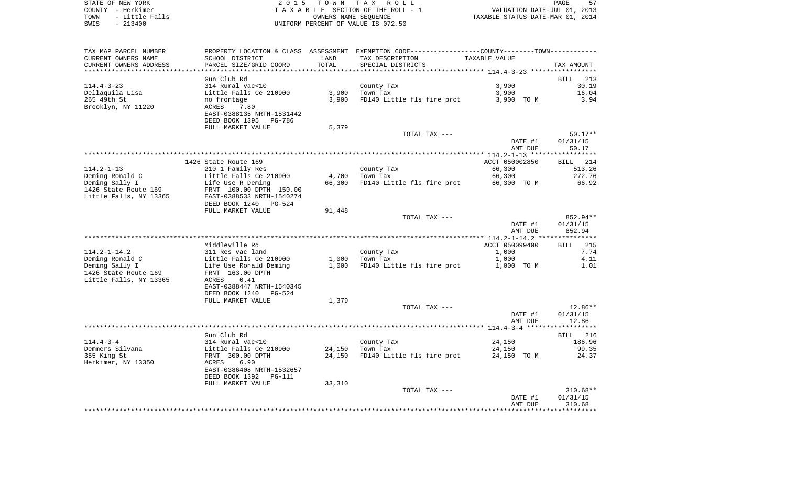STATE OF NEW YORK **EXECUTE:** TOWN TAX ROLL COUNTY - Herkimer<br>
T A X A B L E SECTION OF THE ROLL - 1<br>
T A X A B L E SECTION OF THE ROLL - 1<br>
OWNERS NAME SEQUENCE<br>
SWIS - 213400<br>
OWNERS NAME SEQUENCE TOWN - Little Falls OWNERS NAME SEQUENCE TAXABLE STATUS DATE-MAR 01, 2014 SWIS - 213400 UNIFORM PERCENT OF VALUE IS 072.50

| TAX MAP PARCEL NUMBER          |                                 |        | PROPERTY LOCATION & CLASS ASSESSMENT EXEMPTION CODE----------------COUNTY-------TOWN--------- |                |                      |
|--------------------------------|---------------------------------|--------|-----------------------------------------------------------------------------------------------|----------------|----------------------|
| CURRENT OWNERS NAME            | SCHOOL DISTRICT                 | LAND   | TAX DESCRIPTION                                                                               | TAXABLE VALUE  |                      |
| CURRENT OWNERS ADDRESS         | PARCEL SIZE/GRID COORD          | TOTAL  | SPECIAL DISTRICTS                                                                             |                | TAX AMOUNT           |
|                                |                                 |        |                                                                                               |                |                      |
| $114.4 - 3 - 23$               | Gun Club Rd<br>314 Rural vac<10 |        |                                                                                               | 3,900          | BILL 213<br>30.19    |
|                                | Little Falls Ce 210900          |        | County Tax<br>$3,900$ Town Tax                                                                | 3,900          |                      |
| Dellaquila Lisa<br>265 49th St | no frontage                     | 3,900  | FD140 Little fls fire prot 3,900 TO M                                                         |                | 16.04<br>3.94        |
| Brooklyn, NY 11220             | ACRES<br>7.80                   |        |                                                                                               |                |                      |
|                                | EAST-0388135 NRTH-1531442       |        |                                                                                               |                |                      |
|                                | DEED BOOK 1395 PG-786           |        |                                                                                               |                |                      |
|                                | FULL MARKET VALUE               | 5,379  |                                                                                               |                |                      |
|                                |                                 |        | TOTAL TAX ---                                                                                 |                | $50.17**$            |
|                                |                                 |        |                                                                                               | DATE #1        | 01/31/15             |
|                                |                                 |        |                                                                                               | AMT DUE        | 50.17                |
|                                |                                 |        |                                                                                               |                |                      |
|                                | 1426 State Route 169            |        |                                                                                               | ACCT 050002850 | BILL 214             |
| $114.2 - 1 - 13$               | 210 1 Family Res                |        | County Tax                                                                                    | 66,300         | 513.26               |
| Deming Ronald C                | Little Falls Ce 210900          |        | 4,700 Town Tax                                                                                | 66,300         | 272.76               |
| Deming Sally I                 | Life Use R Deming               | 66,300 | FD140 Little fls fire prot                                                                    | 66,300 TO M    | 66.92                |
| 1426 State Route 169           | FRNT 100.00 DPTH 150.00         |        |                                                                                               |                |                      |
| Little Falls, NY 13365         | EAST-0388533 NRTH-1540274       |        |                                                                                               |                |                      |
|                                | DEED BOOK 1240 PG-524           |        |                                                                                               |                |                      |
|                                | FULL MARKET VALUE               | 91,448 |                                                                                               |                |                      |
|                                |                                 |        | TOTAL TAX ---                                                                                 | DATE #1        | 852.94**<br>01/31/15 |
|                                |                                 |        |                                                                                               | AMT DUE        | 852.94               |
|                                |                                 |        |                                                                                               |                |                      |
|                                | Middleville Rd                  |        |                                                                                               | ACCT 050099400 | <b>BILL</b> 215      |
| $114.2 - 1 - 14.2$             | 311 Res vac land                |        | County Tax                                                                                    | 1,000          | 7.74                 |
| Deming Ronald C                | Little Falls Ce 210900          |        | $1.000$ Town Tax                                                                              | 1,000          | 4.11                 |
| Deming Sally I                 | Life Use Ronald Deming          |        | 1,000 FD140 Little fls fire prot                                                              | 1,000 TO M     | 1.01                 |
| 1426 State Route 169           | FRNT 163.00 DPTH                |        |                                                                                               |                |                      |
| Little Falls, NY 13365         | ACRES<br>0.41                   |        |                                                                                               |                |                      |
|                                | EAST-0388447 NRTH-1540345       |        |                                                                                               |                |                      |
|                                | DEED BOOK 1240<br>PG-524        |        |                                                                                               |                |                      |
|                                | FULL MARKET VALUE               | 1,379  |                                                                                               |                |                      |
|                                |                                 |        | TOTAL TAX ---                                                                                 |                | 12.86**              |
|                                |                                 |        |                                                                                               | DATE #1        | 01/31/15             |
|                                |                                 |        |                                                                                               | AMT DUE        | 12.86                |
|                                | Gun Club Rd                     |        |                                                                                               |                | BILL 216             |
| $114.4 - 3 - 4$                | 314 Rural vac<10                |        | County Tax                                                                                    | 24,150         | 186.96               |
| Demmers Silvana                | Little Falls Ce 210900          |        | 24,150 Town Tax                                                                               | 24,150         | 99.35                |
| 355 King St                    | FRNT 300.00 DPTH                | 24,150 | FD140 Little fls fire prot 24,150 TO M                                                        |                | 24.37                |
| Herkimer, NY 13350             | ACRES<br>6.90                   |        |                                                                                               |                |                      |
|                                | EAST-0386408 NRTH-1532657       |        |                                                                                               |                |                      |
|                                | DEED BOOK 1392<br>PG-111        |        |                                                                                               |                |                      |
|                                | FULL MARKET VALUE               | 33,310 |                                                                                               |                |                      |
|                                |                                 |        | TOTAL TAX ---                                                                                 |                | $310.68**$           |
|                                |                                 |        |                                                                                               | DATE #1        | 01/31/15             |
|                                |                                 |        |                                                                                               | AMT DUE        | 310.68               |
|                                |                                 |        |                                                                                               |                |                      |
|                                |                                 |        |                                                                                               |                |                      |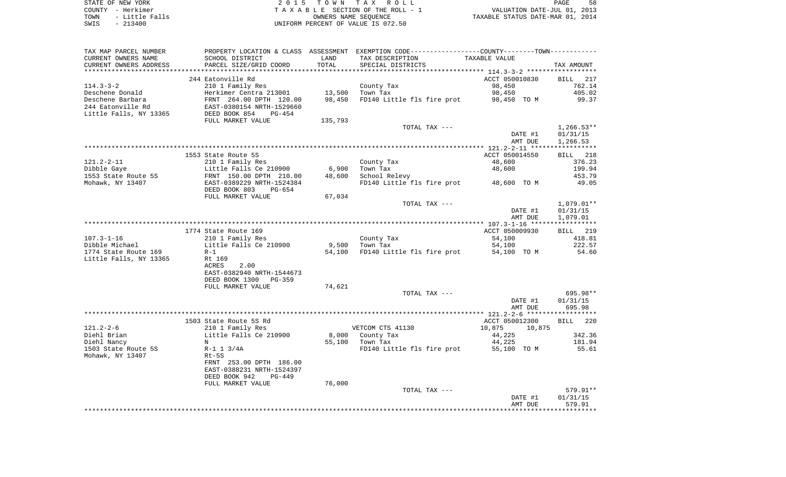STATE OF NEW YORK 2 0 1 5 T O W N T A X R O L L PAGE 58COUNTY - Herkimer<br>
T A X A B L E SECTION OF THE ROLL - 1<br>
TOWN - Little Falls<br>
SWIS - 213400 - 2013400 - UNIFORM PERCENT OF VALUE IS 072.50 UNIFORM PERCENT OF VALUE IS 072.50

PAGE 58 TO A CONSIDER THE ROLL - 1 WALUATION DATE-JUL 01, 2013<br>
OWNERS NAME SEQUENCE TAXABLE STATUS DATE-MAR 01, 2014

| TAX MAP PARCEL NUMBER    |                                            |         | PROPERTY LOCATION & CLASS ASSESSMENT EXEMPTION CODE----------------COUNTY-------TOWN---------- |                  |                    |
|--------------------------|--------------------------------------------|---------|------------------------------------------------------------------------------------------------|------------------|--------------------|
| CURRENT OWNERS NAME      | SCHOOL DISTRICT                            | LAND    | TAX DESCRIPTION                                                                                | TAXABLE VALUE    |                    |
| CURRENT OWNERS ADDRESS   | PARCEL SIZE/GRID COORD                     | TOTAL   | SPECIAL DISTRICTS                                                                              |                  | TAX AMOUNT         |
| ************************ |                                            |         |                                                                                                |                  |                    |
|                          | 244 Eatonville Rd                          |         |                                                                                                | ACCT 050010830   | <b>BILL</b><br>217 |
| $114.3 - 3 - 2$          | 210 1 Family Res                           |         | County Tax                                                                                     | 98,450           | 762.14             |
| Deschene Donald          | Herkimer Centra 213001                     | 13,500  | Town Tax                                                                                       | 98,450           | 405.02             |
| Deschene Barbara         | FRNT 264.00 DPTH 120.00                    | 98,450  | FD140 Little fls fire prot                                                                     | 98,450 TO M      | 99.37              |
| 244 Eatonville Rd        | EAST-0380154 NRTH-1529660                  |         |                                                                                                |                  |                    |
| Little Falls, NY 13365   | DEED BOOK 854<br>PG-454                    |         |                                                                                                |                  |                    |
|                          | FULL MARKET VALUE                          | 135,793 |                                                                                                |                  |                    |
|                          |                                            |         | TOTAL TAX ---                                                                                  |                  | $1,266.53**$       |
|                          |                                            |         |                                                                                                | DATE #1          | 01/31/15           |
|                          |                                            |         |                                                                                                | AMT DUE          | 1,266.53           |
|                          |                                            |         |                                                                                                |                  |                    |
|                          | 1553 State Route 5S                        |         |                                                                                                | ACCT 050014550   | BILL 218           |
| $121.2 - 2 - 11$         | 210 1 Family Res                           |         | County Tax                                                                                     | 48,600           | 376.23             |
| Dibble Gaye              | Little Falls Ce 210900                     | 6,900   | Town Tax                                                                                       | 48,600           | 199.94             |
| 1553 State Route 5S      | FRNT 150.00 DPTH 210.00                    | 48,600  | School Relevy                                                                                  |                  | 453.79             |
| Mohawk, NY 13407         | EAST-0389229 NRTH-1524384                  |         | FD140 Little fls fire prot                                                                     | 48,600 TO M      | 49.05              |
|                          | DEED BOOK 803<br>$PG-654$                  |         |                                                                                                |                  |                    |
|                          | FULL MARKET VALUE                          | 67,034  |                                                                                                |                  |                    |
|                          |                                            |         | TOTAL TAX ---                                                                                  |                  | $1,079.01**$       |
|                          |                                            |         |                                                                                                | DATE #1          | 01/31/15           |
|                          |                                            |         |                                                                                                | AMT DUE          | 1,079.01           |
|                          |                                            |         |                                                                                                |                  | ***********        |
|                          | 1774 State Route 169                       |         |                                                                                                | ACCT 050009930   | BILL 219           |
| $107.3 - 1 - 16$         | 210 1 Family Res                           |         | County Tax                                                                                     | 54,100           | 418.81             |
| Dibble Michael           | Little Falls Ce 210900                     | 9,500   | Town Tax                                                                                       | 54,100           | 222.57             |
| 1774 State Route 169     | $R-1$                                      | 54,100  | FD140 Little fls fire prot                                                                     | 54,100 TO M      | 54.60              |
| Little Falls, NY 13365   | Rt 169                                     |         |                                                                                                |                  |                    |
|                          | ACRES<br>2.00                              |         |                                                                                                |                  |                    |
|                          | EAST-0382940 NRTH-1544673                  |         |                                                                                                |                  |                    |
|                          | DEED BOOK 1300<br>PG-359                   |         |                                                                                                |                  |                    |
|                          | FULL MARKET VALUE                          | 74,621  |                                                                                                |                  |                    |
|                          |                                            |         | TOTAL TAX ---                                                                                  |                  | 695.98**           |
|                          |                                            |         |                                                                                                | DATE #1          | 01/31/15           |
|                          |                                            |         |                                                                                                | AMT DUE          | 695.98             |
|                          |                                            |         |                                                                                                | ACCT 050012300   |                    |
| $121.2 - 2 - 6$          | 1503 State Route 5S Rd                     |         | VETCOM CTS 41130                                                                               | 10,875<br>10,875 | 220<br><b>BILL</b> |
| Diehl Brian              | 210 1 Family Res<br>Little Falls Ce 210900 |         | 8,000 County Tax                                                                               | 44,225           | 342.36             |
| Diehl Nancy              | N                                          | 55,100  | Town Tax                                                                                       | 44,225           | 181.94             |
| 1503 State Route 5S      | $R-1$ 1 3/4A                               |         | FD140 Little fls fire prot                                                                     | 55,100 TO M      | 55.61              |
| Mohawk, NY 13407         | $Rt-5S$                                    |         |                                                                                                |                  |                    |
|                          | FRNT 253.00 DPTH 186.00                    |         |                                                                                                |                  |                    |
|                          | EAST-0388231 NRTH-1524397                  |         |                                                                                                |                  |                    |
|                          | DEED BOOK 942<br>$PG-449$                  |         |                                                                                                |                  |                    |
|                          | FULL MARKET VALUE                          | 76,000  |                                                                                                |                  |                    |
|                          |                                            |         | TOTAL TAX ---                                                                                  |                  | 579.91**           |
|                          |                                            |         |                                                                                                | DATE #1          | 01/31/15           |
|                          |                                            |         |                                                                                                | AMT DUE          | 579.91             |
|                          |                                            |         |                                                                                                |                  |                    |
|                          |                                            |         |                                                                                                |                  |                    |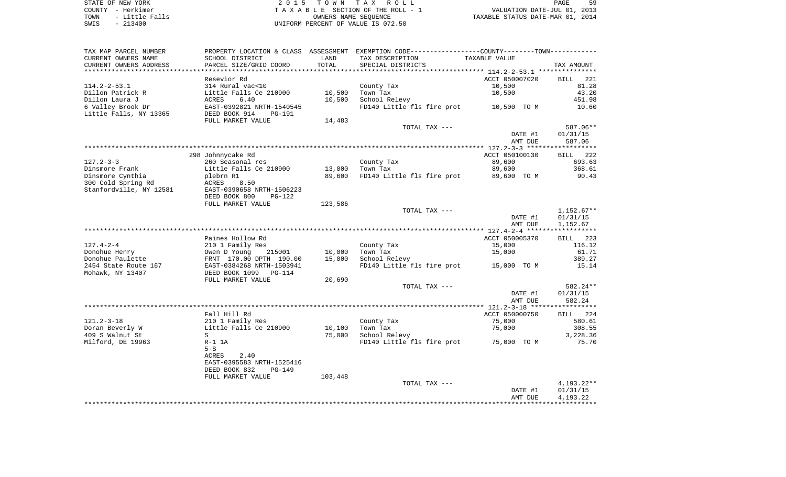STATE OF NEW YORK **EXECUTE:**  $2015$  TOWN TAX ROLL COUNTY - Herkimer<br>
T A X A B L E SECTION OF THE ROLL - 1<br>
T A X A B L E SECTION OF THE ROLL - 1<br>
OWNERS NAME SEQUENCE<br>
SWIS - 213400<br>
OWNERS NAME SEQUENCE TOWN - LITTLE FACE TAXABLE SECTION OF THE ROLL - 1<br>
TAXABLE STATUS DATE-MAR 01, 2014<br>
TAXABLE STATUS DATE-MAR 01, 2014 SWIS - 213400 UNIFORM PERCENT OF VALUE IS 072.50

| TAX MAP PARCEL NUMBER   | PROPERTY LOCATION & CLASS ASSESSMENT |         | EXEMPTION CODE-----------------COUNTY--------TOWN---------- |                |                    |
|-------------------------|--------------------------------------|---------|-------------------------------------------------------------|----------------|--------------------|
| CURRENT OWNERS NAME     | SCHOOL DISTRICT                      | LAND    | TAX DESCRIPTION                                             | TAXABLE VALUE  |                    |
| CURRENT OWNERS ADDRESS  | PARCEL SIZE/GRID COORD               | TOTAL   | SPECIAL DISTRICTS                                           |                | TAX AMOUNT         |
|                         |                                      |         |                                                             |                |                    |
|                         | Resevior Rd                          |         |                                                             | ACCT 050007020 | <b>BILL</b><br>221 |
| $114.2 - 2 - 53.1$      | 314 Rural vac<10                     |         | County Tax                                                  | 10,500         | 81.28              |
| Dillon Patrick R        | Little Falls Ce 210900               | 10,500  | Town Tax                                                    | 10,500         | 43.20              |
|                         |                                      |         |                                                             |                |                    |
| Dillon Laura J          | 6.40<br>ACRES                        | 10,500  | School Relevy                                               |                | 451.98             |
| 6 Valley Brook Dr       | EAST-0392821 NRTH-1540545            |         | FD140 Little fls fire prot 10,500 TO M                      |                | 10.60              |
| Little Falls, NY 13365  | DEED BOOK 914<br><b>PG-191</b>       |         |                                                             |                |                    |
|                         | FULL MARKET VALUE                    | 14,483  |                                                             |                |                    |
|                         |                                      |         | TOTAL TAX ---                                               |                | 587.06**           |
|                         |                                      |         |                                                             | DATE #1        | 01/31/15           |
|                         |                                      |         |                                                             | AMT DUE        | 587.06             |
|                         |                                      |         |                                                             |                |                    |
|                         | 298 Johnnycake Rd                    |         |                                                             | ACCT 050100130 | BILL 222           |
| $127.2 - 3 - 3$         | 260 Seasonal res                     |         | County Tax                                                  | 89,600         | 693.63             |
| Dinsmore Frank          | Little Falls Ce 210900               | 13,000  | Town Tax                                                    | 89,600         | 368.61             |
| Dinsmore Cynthia        | plebrn R1                            | 89,600  | FD140 Little fls fire prot 89,600 TO M                      |                | 90.43              |
|                         | 8.50                                 |         |                                                             |                |                    |
| 300 Cold Spring Rd      | ACRES                                |         |                                                             |                |                    |
| Stanfordville, NY 12581 | EAST-0390658 NRTH-1506223            |         |                                                             |                |                    |
|                         | DEED BOOK 800<br>PG-122              |         |                                                             |                |                    |
|                         | FULL MARKET VALUE                    | 123,586 |                                                             |                |                    |
|                         |                                      |         | TOTAL TAX ---                                               |                | $1,152.67**$       |
|                         |                                      |         |                                                             | DATE #1        | 01/31/15           |
|                         |                                      |         |                                                             | AMT DUE        | 1,152.67           |
|                         |                                      |         |                                                             |                |                    |
|                         | Paines Hollow Rd                     |         |                                                             | ACCT 050005370 | <b>BILL</b><br>223 |
| $127.4 - 2 - 4$         | 210 1 Family Res                     |         | County Tax                                                  | 15,000         | 116.12             |
| Donohue Henry           | Owen D Young<br>215001               | 10,000  | Town Tax                                                    | 15,000         | 61.71              |
| Donohue Paulette        | FRNT 170.00 DPTH 190.00              | 15,000  | School Relevy                                               |                | 389.27             |
| 2454 State Route 167    | EAST-0384268 NRTH-1503941            |         | FD140 Little fls fire prot                                  | 15,000 TO M    | 15.14              |
| Mohawk, NY 13407        | DEED BOOK 1099 PG-114                |         |                                                             |                |                    |
|                         |                                      |         |                                                             |                |                    |
|                         | FULL MARKET VALUE                    | 20,690  |                                                             |                |                    |
|                         |                                      |         | TOTAL TAX ---                                               |                | 582.24**           |
|                         |                                      |         |                                                             | DATE #1        | 01/31/15           |
|                         |                                      |         |                                                             | AMT DUE        | 582.24             |
|                         |                                      |         |                                                             |                |                    |
|                         | Fall Hill Rd                         |         |                                                             | ACCT 050000750 | 224<br><b>BILL</b> |
| $121.2 - 3 - 18$        | 210 1 Family Res                     |         | County Tax                                                  | 75,000         | 580.61             |
| Doran Beverly W         | Little Falls Ce 210900               | 10,100  | Town Tax                                                    | 75,000         | 308.55             |
| 409 S Walnut St         | S                                    | 75,000  | School Relevy                                               |                | 3,228.36           |
| Milford, DE 19963       | $R-1$ 1A                             |         | FD140 Little fls fire prot 75,000 TO M                      |                | 75.70              |
|                         | $5-S$                                |         |                                                             |                |                    |
|                         | ACRES<br>2.40                        |         |                                                             |                |                    |
|                         | EAST-0395583 NRTH-1525416            |         |                                                             |                |                    |
|                         | DEED BOOK 832<br><b>PG-149</b>       |         |                                                             |                |                    |
|                         |                                      |         |                                                             |                |                    |
|                         | FULL MARKET VALUE                    | 103,448 |                                                             |                |                    |
|                         |                                      |         | TOTAL TAX ---                                               |                | 4,193.22**         |
|                         |                                      |         |                                                             | DATE #1        | 01/31/15           |
|                         |                                      |         |                                                             | AMT DUE        | 4,193.22           |
|                         |                                      |         |                                                             |                |                    |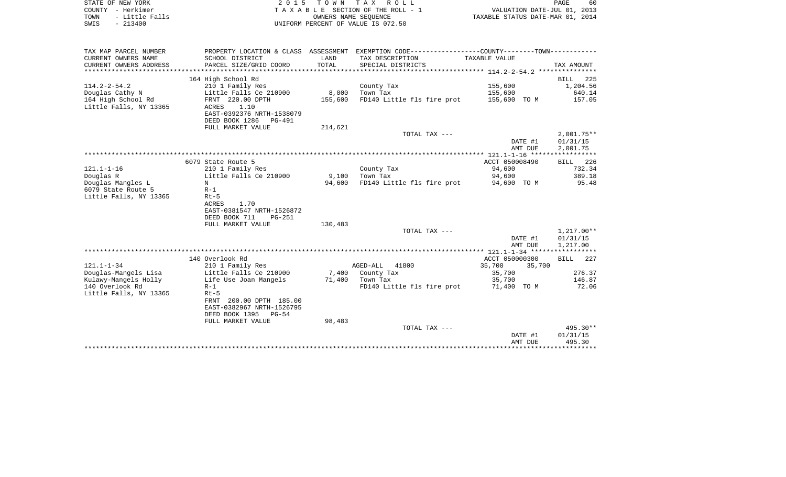| STATE OF NEW YORK |                | 2015 TOWN TAX ROLL                 | 60<br>PAGE                       |
|-------------------|----------------|------------------------------------|----------------------------------|
| COUNTY - Herkimer |                | TAXABLE SECTION OF THE ROLL - 1    | VALUATION DATE-JUL 01, 2013      |
| TOWN              | - Little Falls | OWNERS NAME SEOUENCE               | TAXABLE STATUS DATE-MAR 01, 2014 |
| SWIS              | - 213400       | UNIFORM PERCENT OF VALUE IS 072.50 |                                  |

| TAX MAP PARCEL NUMBER  |                                |         | PROPERTY LOCATION & CLASS ASSESSMENT EXEMPTION CODE----------------COUNTY-------TOWN---------- |                  |                    |
|------------------------|--------------------------------|---------|------------------------------------------------------------------------------------------------|------------------|--------------------|
| CURRENT OWNERS NAME    | SCHOOL DISTRICT                | LAND    | TAX DESCRIPTION                                                                                | TAXABLE VALUE    |                    |
| CURRENT OWNERS ADDRESS | PARCEL SIZE/GRID COORD         | TOTAL   | SPECIAL DISTRICTS                                                                              |                  | TAX AMOUNT         |
|                        |                                |         |                                                                                                |                  |                    |
|                        | 164 High School Rd             |         |                                                                                                |                  | <b>BILL</b><br>225 |
| $114.2 - 2 - 54.2$     | 210 1 Family Res               |         | County Tax                                                                                     | 155,600          | 1,204.56           |
| Douglas Cathy N        | Little Falls Ce 210900         | 8,000   | Town Tax                                                                                       | 155,600          | 640.14             |
| 164 High School Rd     | FRNT 220.00 DPTH               | 155,600 | FD140 Little fls fire prot                                                                     | 155,600 TO M     | 157.05             |
| Little Falls, NY 13365 | 1.10<br>ACRES                  |         |                                                                                                |                  |                    |
|                        | EAST-0392376 NRTH-1538079      |         |                                                                                                |                  |                    |
|                        | DEED BOOK 1286<br>PG-491       |         |                                                                                                |                  |                    |
|                        | FULL MARKET VALUE              | 214,621 |                                                                                                |                  |                    |
|                        |                                |         | TOTAL TAX ---                                                                                  |                  | $2,001.75**$       |
|                        |                                |         |                                                                                                | DATE #1          | 01/31/15           |
|                        |                                |         |                                                                                                | AMT DUE          | 2,001.75           |
|                        |                                |         |                                                                                                |                  |                    |
|                        | 6079 State Route 5             |         |                                                                                                | ACCT 050008490   | BILL 226           |
| $121.1 - 1 - 16$       | 210 1 Family Res               |         | County Tax                                                                                     | 94,600           | 732.34             |
| Douglas R              | Little Falls Ce 210900         | 9,100   | Town Tax                                                                                       | 94,600           | 389.18             |
| Douglas Mangles L      | N                              | 94,600  | FD140 Little fls fire prot                                                                     | 94,600 TO M      | 95.48              |
| 6079 State Route 5     | $R-1$                          |         |                                                                                                |                  |                    |
| Little Falls, NY 13365 | $Rt-5$                         |         |                                                                                                |                  |                    |
|                        | ACRES<br>1.70                  |         |                                                                                                |                  |                    |
|                        | EAST-0381547 NRTH-1526872      |         |                                                                                                |                  |                    |
|                        | DEED BOOK 711<br><b>PG-251</b> |         |                                                                                                |                  |                    |
|                        | FULL MARKET VALUE              | 130,483 |                                                                                                |                  |                    |
|                        |                                |         | TOTAL TAX ---                                                                                  |                  | 1,217.00**         |
|                        |                                |         |                                                                                                | DATE #1          | 01/31/15           |
|                        |                                |         |                                                                                                | AMT DUE          | 1,217.00           |
|                        |                                |         |                                                                                                |                  |                    |
|                        | 140 Overlook Rd                |         |                                                                                                | ACCT 050000300   | BILL<br>227        |
| $121.1 - 1 - 34$       | 210 1 Family Res               |         | AGED-ALL<br>41800                                                                              | 35,700<br>35,700 |                    |
| Douglas-Mangels Lisa   | Little Falls Ce 210900         |         | 7,400 County Tax                                                                               | 35,700           | 276.37             |
| Kulawy-Mangels Holly   | Life Use Joan Mangels          | 71,400  | Town Tax                                                                                       | 35,700           | 146.87             |
| 140 Overlook Rd        | $R-1$                          |         | FD140 Little fls fire prot                                                                     | 71,400 TO M      | 72.06              |
| Little Falls, NY 13365 | $Rt-5$                         |         |                                                                                                |                  |                    |
|                        | 200.00 DPTH 185.00<br>FRNT     |         |                                                                                                |                  |                    |
|                        | EAST-0382967 NRTH-1526795      |         |                                                                                                |                  |                    |
|                        | DEED BOOK 1395<br>PG-54        |         |                                                                                                |                  |                    |
|                        | FULL MARKET VALUE              | 98,483  |                                                                                                |                  |                    |
|                        |                                |         | TOTAL TAX ---                                                                                  |                  | 495.30**           |
|                        |                                |         |                                                                                                | DATE #1          | 01/31/15           |
|                        |                                |         |                                                                                                | AMT DUE          | 495.30             |
|                        |                                |         |                                                                                                |                  |                    |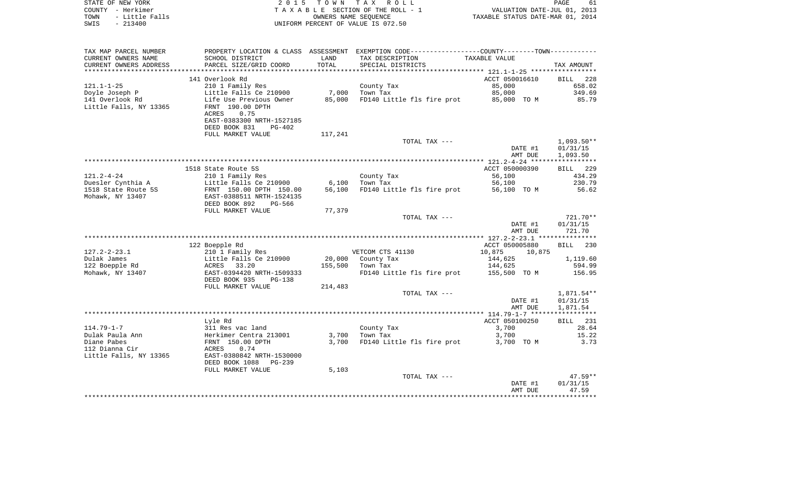| STATE OF NEW YORK<br>COUNTY - Herkimer<br>- Little Falls<br>TOWN<br>SWIS<br>$-213400$ | 2 0 1 5                                                                | T O W N | TAX ROLL<br>TAXABLE SECTION OF THE ROLL - 1<br>OWNERS NAME SEOUENCE<br>UNIFORM PERCENT OF VALUE IS 072.50 | VALUATION DATE-JUL 01, 2013<br>TAXABLE STATUS DATE-MAR 01, 2014 | PAGE<br>61                           |
|---------------------------------------------------------------------------------------|------------------------------------------------------------------------|---------|-----------------------------------------------------------------------------------------------------------|-----------------------------------------------------------------|--------------------------------------|
|                                                                                       |                                                                        |         |                                                                                                           |                                                                 |                                      |
| TAX MAP PARCEL NUMBER                                                                 |                                                                        |         | PROPERTY LOCATION & CLASS ASSESSMENT EXEMPTION CODE---------------COUNTY-------TOWN----------             |                                                                 |                                      |
| CURRENT OWNERS NAME                                                                   | SCHOOL DISTRICT                                                        | LAND    | TAX DESCRIPTION                                                                                           | TAXABLE VALUE                                                   |                                      |
| CURRENT OWNERS ADDRESS                                                                | PARCEL SIZE/GRID COORD                                                 | TOTAL   | SPECIAL DISTRICTS                                                                                         |                                                                 | TAX AMOUNT                           |
| ***********************                                                               |                                                                        |         |                                                                                                           |                                                                 |                                      |
| $121.1 - 1 - 25$                                                                      | 141 Overlook Rd<br>210 1 Family Res                                    |         | County Tax                                                                                                | ACCT 050016610<br>85,000                                        | 228<br><b>BILL</b><br>658.02         |
| Doyle Joseph P                                                                        | Little Falls Ce 210900                                                 | 7,000   | Town Tax                                                                                                  | 85,000                                                          | 349.69                               |
| 141 Overlook Rd<br>Little Falls, NY 13365                                             | Life Use Previous Owner<br>FRNT 190.00 DPTH<br><b>ACRES</b><br>0.75    | 85,000  | FD140 Little fls fire prot                                                                                | 85,000 TO M                                                     | 85.79                                |
|                                                                                       | EAST-0383300 NRTH-1527185<br>DEED BOOK 831<br>$PG-402$                 |         |                                                                                                           |                                                                 |                                      |
|                                                                                       | FULL MARKET VALUE                                                      | 117,241 |                                                                                                           |                                                                 |                                      |
|                                                                                       |                                                                        |         | TOTAL TAX ---                                                                                             | DATE #1<br>AMT DUE                                              | $1,093.50**$<br>01/31/15<br>1,093.50 |
|                                                                                       |                                                                        |         |                                                                                                           |                                                                 |                                      |
|                                                                                       | 1518 State Route 5S                                                    |         |                                                                                                           | ACCT 050000390                                                  | 229<br>BILL                          |
| $121.2 - 4 - 24$                                                                      | 210 1 Family Res                                                       |         | County Tax                                                                                                | 56,100                                                          | 434.29                               |
| Duesler Cynthia A                                                                     | Little Falls Ce 210900                                                 | 6,100   | Town Tax                                                                                                  | 56,100                                                          | 230.79                               |
| 1518 State Route 5S<br>Mohawk, NY 13407                                               | FRNT 150.00 DPTH 150.00<br>EAST-0388511 NRTH-1524135                   | 56,100  | FD140 Little fls fire prot                                                                                | 56,100 TO M                                                     | 56.62                                |
|                                                                                       | DEED BOOK 892<br>PG-566                                                |         |                                                                                                           |                                                                 |                                      |
|                                                                                       | FULL MARKET VALUE                                                      | 77,379  |                                                                                                           |                                                                 |                                      |
|                                                                                       |                                                                        |         | TOTAL TAX ---                                                                                             |                                                                 | 721.70**                             |
|                                                                                       |                                                                        |         |                                                                                                           | DATE #1<br>AMT DUE                                              | 01/31/15<br>721.70                   |
|                                                                                       |                                                                        |         |                                                                                                           |                                                                 |                                      |
|                                                                                       | 122 Boepple Rd                                                         |         |                                                                                                           | ACCT 050005880                                                  | 230<br><b>BILL</b>                   |
| $127.2 - 2 - 23.1$                                                                    | 210 1 Family Res                                                       |         | VETCOM CTS 41130                                                                                          | 10,875<br>10,875                                                |                                      |
| Dulak James<br>122 Boepple Rd                                                         | Little Falls Ce 210900<br>33.20<br>ACRES                               | 155,500 | 20,000 County Tax<br>Town Tax                                                                             | 144,625<br>144,625                                              | 1,119.60<br>594.99                   |
| Mohawk, NY 13407                                                                      | EAST-0394420 NRTH-1509333<br>DEED BOOK 935<br>PG-138                   |         | FD140 Little fls fire prot                                                                                | 155,500 TO M                                                    | 156.95                               |
|                                                                                       | FULL MARKET VALUE                                                      | 214,483 |                                                                                                           |                                                                 |                                      |
|                                                                                       |                                                                        |         | TOTAL TAX ---                                                                                             |                                                                 | 1,871.54**                           |
|                                                                                       |                                                                        |         |                                                                                                           | DATE #1                                                         | 01/31/15                             |
|                                                                                       |                                                                        |         |                                                                                                           | AMT DUE                                                         | 1,871.54                             |
|                                                                                       | Lyle Rd                                                                |         |                                                                                                           | ACCT 050100250                                                  | 231<br>BILL                          |
| $114.79 - 1 - 7$                                                                      | 311 Res vac land                                                       |         | County Tax                                                                                                | 3,700                                                           | 28.64                                |
| Dulak Paula Ann                                                                       | Herkimer Centra 213001                                                 | 3,700   | Town Tax                                                                                                  | 3,700                                                           | 15.22                                |
| Diane Pabes                                                                           | FRNT 150.00 DPTH                                                       | 3,700   | FD140 Little fls fire prot                                                                                | 3,700 TO M                                                      | 3.73                                 |
| 112 Dianna Cir<br>Little Falls, NY 13365                                              | 0.74<br>ACRES<br>EAST-0380842 NRTH-1530000<br>DEED BOOK 1088<br>PG-239 |         |                                                                                                           |                                                                 |                                      |
|                                                                                       | FULL MARKET VALUE                                                      | 5,103   |                                                                                                           |                                                                 |                                      |
|                                                                                       |                                                                        |         | TOTAL TAX ---                                                                                             |                                                                 | $47.59**$                            |
|                                                                                       |                                                                        |         |                                                                                                           | DATE #1                                                         | 01/31/15                             |
|                                                                                       |                                                                        |         |                                                                                                           | AMT DUE                                                         | 47.59<br>***********                 |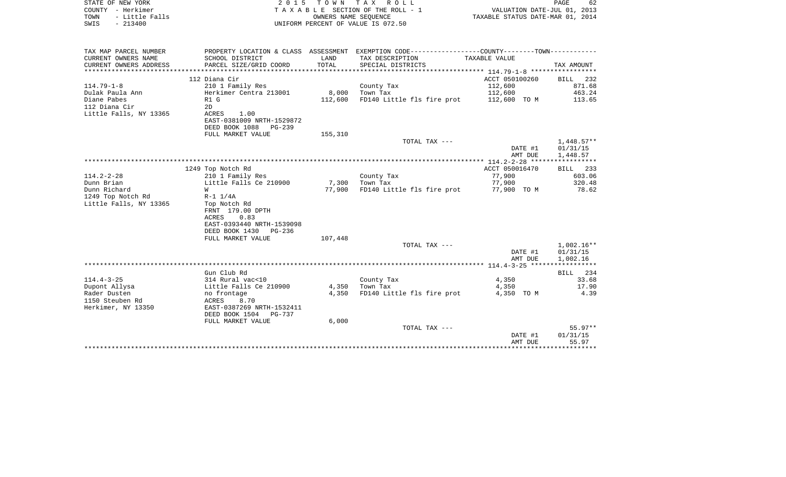| STATE OF NEW YORK<br>COUNTY - Herkimer<br>- Little Falls<br>TOWN<br>$-213400$<br>SWIS | 2 0 1 5                                            | T O W N            | TAX ROLL<br>TAXABLE SECTION OF THE ROLL - 1<br>OWNERS NAME SEQUENCE<br>UNIFORM PERCENT OF VALUE IS 072.50        | VALUATION DATE-JUL 01, 2013<br>TAXABLE STATUS DATE-MAR 01, 2014 | PAGE<br>62               |
|---------------------------------------------------------------------------------------|----------------------------------------------------|--------------------|------------------------------------------------------------------------------------------------------------------|-----------------------------------------------------------------|--------------------------|
| TAX MAP PARCEL NUMBER<br>CURRENT OWNERS NAME                                          | SCHOOL DISTRICT                                    | LAND               | PROPERTY LOCATION & CLASS ASSESSMENT EXEMPTION CODE---------------COUNTY-------TOWN----------<br>TAX DESCRIPTION | TAXABLE VALUE                                                   |                          |
| CURRENT OWNERS ADDRESS<br>*******************                                         | PARCEL SIZE/GRID COORD<br>*******************      | TOTAL<br>********* | SPECIAL DISTRICTS<br>********************************* 114.79-1-8 *****************                              |                                                                 | TAX AMOUNT               |
|                                                                                       | 112 Diana Cir                                      |                    |                                                                                                                  | ACCT 050100260                                                  | <b>BILL</b><br>232       |
| $114.79 - 1 - 8$                                                                      | 210 1 Family Res                                   |                    | County Tax                                                                                                       | 112,600                                                         | 871.68                   |
| Dulak Paula Ann                                                                       | Herkimer Centra 213001                             | 8,000              | Town Tax                                                                                                         | 112,600                                                         | 463.24                   |
| Diane Pabes                                                                           | R1 G                                               | 112,600            | FD140 Little fls fire prot                                                                                       | 112,600 TO M                                                    | 113.65                   |
| 112 Diana Cir                                                                         | 2D                                                 |                    |                                                                                                                  |                                                                 |                          |
| Little Falls, NY 13365                                                                | ACRES<br>1.00                                      |                    |                                                                                                                  |                                                                 |                          |
|                                                                                       | EAST-0381009 NRTH-1529872<br>DEED BOOK 1088 PG-239 |                    |                                                                                                                  |                                                                 |                          |
|                                                                                       | FULL MARKET VALUE                                  | 155,310            |                                                                                                                  |                                                                 |                          |
|                                                                                       |                                                    |                    | TOTAL TAX ---                                                                                                    |                                                                 | $1,448.57**$             |
|                                                                                       |                                                    |                    |                                                                                                                  | DATE #1                                                         | 01/31/15                 |
|                                                                                       |                                                    |                    |                                                                                                                  | AMT DUE                                                         | 1,448.57                 |
|                                                                                       |                                                    |                    |                                                                                                                  |                                                                 |                          |
|                                                                                       | 1249 Top Notch Rd                                  |                    |                                                                                                                  | ACCT 050016470                                                  | BILL 233                 |
| $114.2 - 2 - 28$<br>Dunn Brian                                                        | 210 1 Family Res<br>Little Falls Ce 210900         | 7,300              | County Tax<br>Town Tax                                                                                           | 77,900<br>77,900                                                | 603.06<br>320.48         |
| Dunn Richard                                                                          | W                                                  | 77,900             | FD140 Little fls fire prot                                                                                       | 77,900 TO M                                                     | 78.62                    |
| 1249 Top Notch Rd                                                                     | $R-1$ $1/4A$                                       |                    |                                                                                                                  |                                                                 |                          |
| Little Falls, NY 13365                                                                | Top Notch Rd                                       |                    |                                                                                                                  |                                                                 |                          |
|                                                                                       | FRNT 179.00 DPTH                                   |                    |                                                                                                                  |                                                                 |                          |
|                                                                                       | 0.83<br>ACRES                                      |                    |                                                                                                                  |                                                                 |                          |
|                                                                                       | EAST-0393440 NRTH-1539098                          |                    |                                                                                                                  |                                                                 |                          |
|                                                                                       | DEED BOOK 1430<br>$PG-236$                         |                    |                                                                                                                  |                                                                 |                          |
|                                                                                       | FULL MARKET VALUE                                  | 107,448            |                                                                                                                  |                                                                 |                          |
|                                                                                       |                                                    |                    | TOTAL TAX ---                                                                                                    | DATE #1                                                         | $1,002.16**$<br>01/31/15 |
|                                                                                       |                                                    |                    |                                                                                                                  | AMT DUE                                                         | 1,002.16                 |
|                                                                                       |                                                    |                    |                                                                                                                  |                                                                 | ***********              |
|                                                                                       | Gun Club Rd                                        |                    |                                                                                                                  |                                                                 | BILL<br>234              |
| $114.4 - 3 - 25$                                                                      | 314 Rural vac<10                                   |                    | County Tax                                                                                                       | 4,350                                                           | 33.68                    |
| Dupont Allysa                                                                         | Little Falls Ce 210900                             | 4,350              | Town Tax                                                                                                         | 4,350                                                           | 17.90                    |
| Rader Dusten                                                                          | no frontage                                        | 4,350              | FD140 Little fls fire prot                                                                                       | 4,350 TO M                                                      | 4.39                     |
| 1150 Steuben Rd<br>Herkimer, NY 13350                                                 | 8.70<br>ACRES<br>EAST-0387269 NRTH-1532411         |                    |                                                                                                                  |                                                                 |                          |
|                                                                                       | DEED BOOK 1504<br><b>PG-737</b>                    |                    |                                                                                                                  |                                                                 |                          |
|                                                                                       | FULL MARKET VALUE                                  | 6.000              |                                                                                                                  |                                                                 |                          |
|                                                                                       |                                                    |                    | TOTAL TAX ---                                                                                                    |                                                                 | $55.97**$                |
|                                                                                       |                                                    |                    |                                                                                                                  | DATE #1                                                         | 01/31/15                 |
|                                                                                       |                                                    |                    |                                                                                                                  | AMT DUE                                                         | 55.97                    |
|                                                                                       |                                                    |                    |                                                                                                                  |                                                                 | ********                 |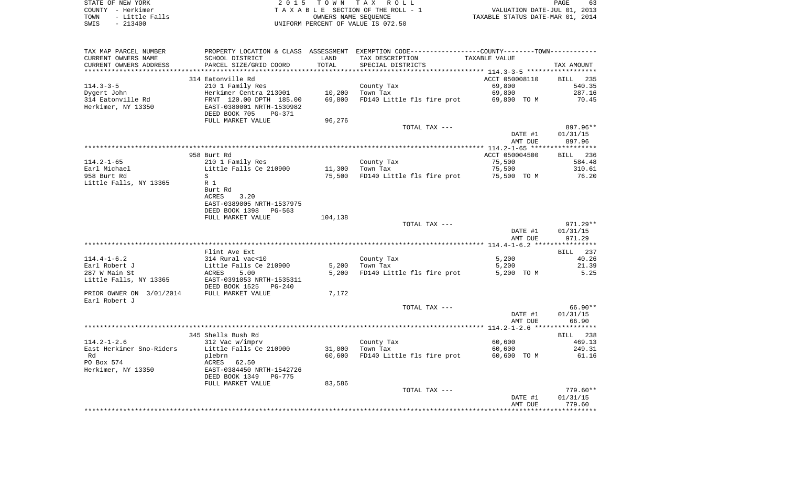| STATE OF NEW YORK |  |           |                |  |
|-------------------|--|-----------|----------------|--|
| COUNTY - Herkimer |  |           |                |  |
| TOWN              |  |           | - Little Falls |  |
| SWIS              |  | $-213400$ |                |  |

2015 TOWN TAX ROLL TA X A B L E SECTION OF THE ROLL - 1 TOWN - Little Falls OWNERS NAME SEQUENCE TAXABLE STATUS DATE-MAR 01, 2014 SWIS - 213400 UNIFORM PERCENT OF VALUE IS 072.50

| TAX MAP PARCEL NUMBER    | PROPERTY LOCATION & CLASS ASSESSMENT EXEMPTION CODE---------------COUNTY-------TOWN---------- |                                |                                        |                                                     |            |
|--------------------------|-----------------------------------------------------------------------------------------------|--------------------------------|----------------------------------------|-----------------------------------------------------|------------|
| CURRENT OWNERS NAME      | SCHOOL DISTRICT                                                                               | LAND                           | TAX DESCRIPTION                        | TAXABLE VALUE                                       |            |
| CURRENT OWNERS ADDRESS   | PARCEL SIZE/GRID COORD                                                                        | TOTAL                          | SPECIAL DISTRICTS                      |                                                     | TAX AMOUNT |
|                          | **************************                                                                    | ****************************** |                                        | ********************* 114.3-3-5 ******************* |            |
|                          | 314 Eatonville Rd                                                                             |                                |                                        | ACCT 050008110                                      | BILL 235   |
| $114.3 - 3 - 5$          | 210 1 Family Res                                                                              |                                | County Tax                             | 69,800                                              | 540.35     |
| Dygert John              | Herkimer Centra 213001                                                                        | 10,200                         | Town Tax                               | 69,800                                              | 287.16     |
| 314 Eatonville Rd        | FRNT 120.00 DPTH 185.00                                                                       | 69,800                         | FD140 Little fls fire prot 69,800 TO M |                                                     | 70.45      |
| Herkimer, NY 13350       | EAST-0380001 NRTH-1530982                                                                     |                                |                                        |                                                     |            |
|                          | DEED BOOK 705<br>PG-371                                                                       |                                |                                        |                                                     |            |
|                          |                                                                                               |                                |                                        |                                                     |            |
|                          | FULL MARKET VALUE                                                                             | 96,276                         |                                        |                                                     |            |
|                          |                                                                                               |                                | TOTAL TAX ---                          |                                                     | 897.96**   |
|                          |                                                                                               |                                |                                        | DATE #1                                             | 01/31/15   |
|                          |                                                                                               |                                |                                        | AMT DUE                                             | 897.96     |
|                          |                                                                                               |                                |                                        |                                                     |            |
|                          | 958 Burt Rd                                                                                   |                                |                                        | ACCT 050004500                                      | BILL 236   |
| $114.2 - 1 - 65$         | 210 1 Family Res                                                                              |                                | County Tax                             | 75,500                                              | 584.48     |
| Earl Michael             | Little Falls Ce 210900                                                                        |                                | $11,300$ Town Tax                      | 75,500                                              | 310.61     |
| 958 Burt Rd              | S                                                                                             | 75,500                         | FD140 Little fls fire prot 75,500 TO M |                                                     | 76.20      |
| Little Falls, NY 13365   | R 1                                                                                           |                                |                                        |                                                     |            |
|                          | Burt Rd                                                                                       |                                |                                        |                                                     |            |
|                          | ACRES<br>3.20                                                                                 |                                |                                        |                                                     |            |
|                          | EAST-0389005 NRTH-1537975                                                                     |                                |                                        |                                                     |            |
|                          | DEED BOOK 1398 PG-563                                                                         |                                |                                        |                                                     |            |
|                          | FULL MARKET VALUE                                                                             | 104,138                        |                                        |                                                     |            |
|                          |                                                                                               |                                | TOTAL TAX ---                          |                                                     | $971.29**$ |
|                          |                                                                                               |                                |                                        | DATE #1                                             | 01/31/15   |
|                          |                                                                                               |                                |                                        | AMT DUE                                             | 971.29     |
|                          |                                                                                               |                                |                                        |                                                     |            |
|                          | Flint Ave Ext                                                                                 |                                |                                        |                                                     | BILL 237   |
| $114.4 - 1 - 6.2$        | 314 Rural vac<10                                                                              |                                |                                        | 5,200                                               | 40.26      |
| Earl Robert J            | Little Falls Ce 210900                                                                        | 5,200                          | County Tax                             |                                                     | 21.39      |
|                          |                                                                                               |                                | Town Tax                               | 5,200                                               |            |
| 287 W Main St            | ACRES<br>5.00                                                                                 | 5,200                          | FD140 Little fls fire prot             | 5,200 TO M                                          | 5.25       |
| Little Falls, NY 13365   | EAST-0391053 NRTH-1535311                                                                     |                                |                                        |                                                     |            |
|                          | DEED BOOK 1525<br>$PG-240$                                                                    |                                |                                        |                                                     |            |
| PRIOR OWNER ON 3/01/2014 | FULL MARKET VALUE                                                                             | 7,172                          |                                        |                                                     |            |
| Earl Robert J            |                                                                                               |                                |                                        |                                                     |            |
|                          |                                                                                               |                                | TOTAL TAX ---                          |                                                     | 66.90**    |
|                          |                                                                                               |                                |                                        | DATE #1                                             | 01/31/15   |
|                          |                                                                                               |                                |                                        | AMT DUE                                             | 66.90      |
|                          |                                                                                               |                                |                                        |                                                     |            |
|                          | 345 Shells Bush Rd                                                                            |                                |                                        |                                                     | BILL 238   |
| $114.2 - 1 - 2.6$        | 312 Vac w/imprv                                                                               |                                | County Tax                             | 60,600                                              | 469.13     |
| East Herkimer Sno-Riders | Little Falls Ce 210900                                                                        | 31,000                         | Town Tax                               | 60,600                                              | 249.31     |
| Rd                       | plebrn                                                                                        | 60,600                         | FD140 Little fls fire prot             | 60,600 TO M                                         | 61.16      |
| PO Box 574               | ACRES 62.50                                                                                   |                                |                                        |                                                     |            |
| Herkimer, NY 13350       | EAST-0384450 NRTH-1542726                                                                     |                                |                                        |                                                     |            |
|                          | DEED BOOK 1349<br>PG-775                                                                      |                                |                                        |                                                     |            |
|                          | FULL MARKET VALUE                                                                             | 83,586                         |                                        |                                                     |            |
|                          |                                                                                               |                                | TOTAL TAX ---                          |                                                     | $779.60**$ |
|                          |                                                                                               |                                |                                        | DATE #1                                             | 01/31/15   |
|                          |                                                                                               |                                |                                        | AMT DUE                                             | 779.60     |
|                          |                                                                                               |                                |                                        |                                                     |            |
|                          |                                                                                               |                                |                                        |                                                     |            |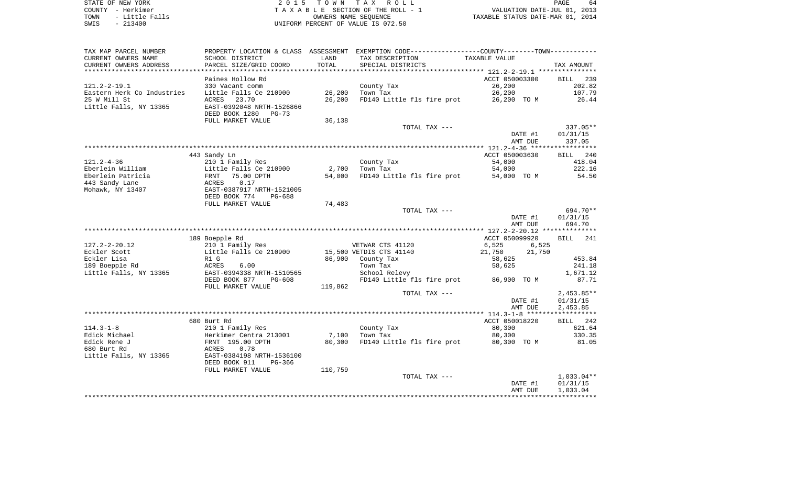STATE OF NEW YORK **EXECUTE:** A G L L 2 0 1 5 T O W N T A X R O L L COUNTY - Herkimer<br>
T A X A B L E SECTION OF THE ROLL - 1<br>
T A X A B L E SECTION OF THE ROLL - 1<br>
OWNERS NAME SEQUENCE<br>
SWIS - 213400<br>
OWNERS NAME SEQUENCE TOWN - LITTLE SECTION OF THE ROLL - 1<br>
TAXABLE STATUS DATE-JUL 01, 2013<br>
OWNERS NAME SEQUENCE TAXABLE STATUS DATE-MAR 01, 2014 SWIS - 213400 UNIFORM PERCENT OF VALUE IS 072.50

| SCHOOL DISTRICT<br>LAND<br>TAX DESCRIPTION<br>TAXABLE VALUE<br>PARCEL SIZE/GRID COORD<br>TOTAL<br>SPECIAL DISTRICTS<br>TAX AMOUNT<br>ACCT 050003300<br>Paines Hollow Rd<br>BILL 239<br>26,200<br>202.82<br>330 Vacant comm<br>County Tax<br>Little Falls Ce 210900<br>26,200<br>Eastern Herk Co Industries<br>26,200<br>Town Tax<br>107.79<br>25 W Mill St<br>23.70<br>FD140 Little fls fire prot<br>ACRES<br>26,200<br>26,200 TO M<br>26.44<br>Little Falls, NY 13365<br>EAST-0392048 NRTH-1526866<br>DEED BOOK 1280<br>PG-73<br>FULL MARKET VALUE<br>36,138<br>TOTAL TAX ---<br>337.05**<br>01/31/15<br>DATE #1<br>AMT DUE<br>337.05<br>ACCT 050003630<br>BILL 240<br>443 Sandy Ln<br>$121.2 - 4 - 36$<br>County Tax<br>210 1 Family Res<br>54,000<br>418.04<br>Eberlein William<br>Little Falls Ce 210900<br>2,700<br>54,000<br>222.16<br>Town Tax<br>Eberlein Patricia<br>75.00 DPTH<br>54,000<br>FD140 Little fls fire prot<br>54.50<br>FRNT<br>54,000 TO M<br>443 Sandy Lane<br>ACRES<br>0.17<br>EAST-0387917 NRTH-1521005<br>Mohawk, NY 13407<br>DEED BOOK 774<br>PG-688<br>74,483<br>FULL MARKET VALUE<br>694.70**<br>TOTAL TAX ---<br>DATE #1<br>01/31/15<br>694.70<br>AMT DUE<br>189 Boepple Rd<br>ACCT 050099920<br>BILL 241<br>$127.2 - 2 - 20.12$<br>VETWAR CTS 41120<br>210 1 Family Res<br>6,525<br>6,525<br>Eckler Scott<br>Little Falls Ce 210900<br>15,500 VETDIS CTS 41140<br>21,750<br>21,750<br>Eckler Lisa<br>86,900<br>County Tax<br>58,625<br>453.84<br>R1 G<br>189 Boepple Rd<br>ACRES<br>6.00<br>Town Tax<br>58,625<br>241.18<br>Little Falls, NY 13365<br>EAST-0394338 NRTH-1510565<br>1,671.12<br>School Relevy<br>DEED BOOK 877<br>FD140 Little fls fire prot<br>87.71<br>$PG-608$<br>86,900 TO M<br>FULL MARKET VALUE<br>119,862<br>TOTAL TAX ---<br>$2,453.85**$<br>01/31/15<br>DATE #1<br>2,453.85<br>AMT DUE<br>680 Burt Rd<br>ACCT 050018220<br>BILL 242<br>$114.3 - 1 - 8$<br>210 1 Family Res<br>County Tax<br>80,300<br>621.64<br>Edick Michael<br>7,100<br>Herkimer Centra 213001<br>Town Tax<br>80,300<br>330.35<br>Edick Rene J<br>FD140 Little fls fire prot<br>FRNT 195.00 DPTH<br>80,300<br>80,300 TO M<br>81.05<br>0.78<br>ACRES<br>EAST-0384198 NRTH-1536100<br>DEED BOOK 911<br>PG-366<br>FULL MARKET VALUE<br>110,759<br>TOTAL TAX ---<br>$1,033.04**$<br>DATE #1<br>01/31/15<br>1,033.04<br>AMT DUE | TAX MAP PARCEL NUMBER  |  | PROPERTY LOCATION & CLASS ASSESSMENT EXEMPTION CODE-----------------COUNTY--------TOWN--------- |  |
|-----------------------------------------------------------------------------------------------------------------------------------------------------------------------------------------------------------------------------------------------------------------------------------------------------------------------------------------------------------------------------------------------------------------------------------------------------------------------------------------------------------------------------------------------------------------------------------------------------------------------------------------------------------------------------------------------------------------------------------------------------------------------------------------------------------------------------------------------------------------------------------------------------------------------------------------------------------------------------------------------------------------------------------------------------------------------------------------------------------------------------------------------------------------------------------------------------------------------------------------------------------------------------------------------------------------------------------------------------------------------------------------------------------------------------------------------------------------------------------------------------------------------------------------------------------------------------------------------------------------------------------------------------------------------------------------------------------------------------------------------------------------------------------------------------------------------------------------------------------------------------------------------------------------------------------------------------------------------------------------------------------------------------------------------------------------------------------------------------------------------------------------------------------------------------------------------------------------------------------------------------------------------------------------------------------------------------------------------------|------------------------|--|-------------------------------------------------------------------------------------------------|--|
|                                                                                                                                                                                                                                                                                                                                                                                                                                                                                                                                                                                                                                                                                                                                                                                                                                                                                                                                                                                                                                                                                                                                                                                                                                                                                                                                                                                                                                                                                                                                                                                                                                                                                                                                                                                                                                                                                                                                                                                                                                                                                                                                                                                                                                                                                                                                                     | CURRENT OWNERS NAME    |  |                                                                                                 |  |
|                                                                                                                                                                                                                                                                                                                                                                                                                                                                                                                                                                                                                                                                                                                                                                                                                                                                                                                                                                                                                                                                                                                                                                                                                                                                                                                                                                                                                                                                                                                                                                                                                                                                                                                                                                                                                                                                                                                                                                                                                                                                                                                                                                                                                                                                                                                                                     | CURRENT OWNERS ADDRESS |  |                                                                                                 |  |
|                                                                                                                                                                                                                                                                                                                                                                                                                                                                                                                                                                                                                                                                                                                                                                                                                                                                                                                                                                                                                                                                                                                                                                                                                                                                                                                                                                                                                                                                                                                                                                                                                                                                                                                                                                                                                                                                                                                                                                                                                                                                                                                                                                                                                                                                                                                                                     |                        |  |                                                                                                 |  |
|                                                                                                                                                                                                                                                                                                                                                                                                                                                                                                                                                                                                                                                                                                                                                                                                                                                                                                                                                                                                                                                                                                                                                                                                                                                                                                                                                                                                                                                                                                                                                                                                                                                                                                                                                                                                                                                                                                                                                                                                                                                                                                                                                                                                                                                                                                                                                     |                        |  |                                                                                                 |  |
|                                                                                                                                                                                                                                                                                                                                                                                                                                                                                                                                                                                                                                                                                                                                                                                                                                                                                                                                                                                                                                                                                                                                                                                                                                                                                                                                                                                                                                                                                                                                                                                                                                                                                                                                                                                                                                                                                                                                                                                                                                                                                                                                                                                                                                                                                                                                                     | $121.2 - 2 - 19.1$     |  |                                                                                                 |  |
|                                                                                                                                                                                                                                                                                                                                                                                                                                                                                                                                                                                                                                                                                                                                                                                                                                                                                                                                                                                                                                                                                                                                                                                                                                                                                                                                                                                                                                                                                                                                                                                                                                                                                                                                                                                                                                                                                                                                                                                                                                                                                                                                                                                                                                                                                                                                                     |                        |  |                                                                                                 |  |
|                                                                                                                                                                                                                                                                                                                                                                                                                                                                                                                                                                                                                                                                                                                                                                                                                                                                                                                                                                                                                                                                                                                                                                                                                                                                                                                                                                                                                                                                                                                                                                                                                                                                                                                                                                                                                                                                                                                                                                                                                                                                                                                                                                                                                                                                                                                                                     |                        |  |                                                                                                 |  |
|                                                                                                                                                                                                                                                                                                                                                                                                                                                                                                                                                                                                                                                                                                                                                                                                                                                                                                                                                                                                                                                                                                                                                                                                                                                                                                                                                                                                                                                                                                                                                                                                                                                                                                                                                                                                                                                                                                                                                                                                                                                                                                                                                                                                                                                                                                                                                     |                        |  |                                                                                                 |  |
|                                                                                                                                                                                                                                                                                                                                                                                                                                                                                                                                                                                                                                                                                                                                                                                                                                                                                                                                                                                                                                                                                                                                                                                                                                                                                                                                                                                                                                                                                                                                                                                                                                                                                                                                                                                                                                                                                                                                                                                                                                                                                                                                                                                                                                                                                                                                                     |                        |  |                                                                                                 |  |
|                                                                                                                                                                                                                                                                                                                                                                                                                                                                                                                                                                                                                                                                                                                                                                                                                                                                                                                                                                                                                                                                                                                                                                                                                                                                                                                                                                                                                                                                                                                                                                                                                                                                                                                                                                                                                                                                                                                                                                                                                                                                                                                                                                                                                                                                                                                                                     |                        |  |                                                                                                 |  |
|                                                                                                                                                                                                                                                                                                                                                                                                                                                                                                                                                                                                                                                                                                                                                                                                                                                                                                                                                                                                                                                                                                                                                                                                                                                                                                                                                                                                                                                                                                                                                                                                                                                                                                                                                                                                                                                                                                                                                                                                                                                                                                                                                                                                                                                                                                                                                     |                        |  |                                                                                                 |  |
|                                                                                                                                                                                                                                                                                                                                                                                                                                                                                                                                                                                                                                                                                                                                                                                                                                                                                                                                                                                                                                                                                                                                                                                                                                                                                                                                                                                                                                                                                                                                                                                                                                                                                                                                                                                                                                                                                                                                                                                                                                                                                                                                                                                                                                                                                                                                                     |                        |  |                                                                                                 |  |
|                                                                                                                                                                                                                                                                                                                                                                                                                                                                                                                                                                                                                                                                                                                                                                                                                                                                                                                                                                                                                                                                                                                                                                                                                                                                                                                                                                                                                                                                                                                                                                                                                                                                                                                                                                                                                                                                                                                                                                                                                                                                                                                                                                                                                                                                                                                                                     |                        |  |                                                                                                 |  |
|                                                                                                                                                                                                                                                                                                                                                                                                                                                                                                                                                                                                                                                                                                                                                                                                                                                                                                                                                                                                                                                                                                                                                                                                                                                                                                                                                                                                                                                                                                                                                                                                                                                                                                                                                                                                                                                                                                                                                                                                                                                                                                                                                                                                                                                                                                                                                     |                        |  |                                                                                                 |  |
|                                                                                                                                                                                                                                                                                                                                                                                                                                                                                                                                                                                                                                                                                                                                                                                                                                                                                                                                                                                                                                                                                                                                                                                                                                                                                                                                                                                                                                                                                                                                                                                                                                                                                                                                                                                                                                                                                                                                                                                                                                                                                                                                                                                                                                                                                                                                                     |                        |  |                                                                                                 |  |
|                                                                                                                                                                                                                                                                                                                                                                                                                                                                                                                                                                                                                                                                                                                                                                                                                                                                                                                                                                                                                                                                                                                                                                                                                                                                                                                                                                                                                                                                                                                                                                                                                                                                                                                                                                                                                                                                                                                                                                                                                                                                                                                                                                                                                                                                                                                                                     |                        |  |                                                                                                 |  |
|                                                                                                                                                                                                                                                                                                                                                                                                                                                                                                                                                                                                                                                                                                                                                                                                                                                                                                                                                                                                                                                                                                                                                                                                                                                                                                                                                                                                                                                                                                                                                                                                                                                                                                                                                                                                                                                                                                                                                                                                                                                                                                                                                                                                                                                                                                                                                     |                        |  |                                                                                                 |  |
|                                                                                                                                                                                                                                                                                                                                                                                                                                                                                                                                                                                                                                                                                                                                                                                                                                                                                                                                                                                                                                                                                                                                                                                                                                                                                                                                                                                                                                                                                                                                                                                                                                                                                                                                                                                                                                                                                                                                                                                                                                                                                                                                                                                                                                                                                                                                                     |                        |  |                                                                                                 |  |
|                                                                                                                                                                                                                                                                                                                                                                                                                                                                                                                                                                                                                                                                                                                                                                                                                                                                                                                                                                                                                                                                                                                                                                                                                                                                                                                                                                                                                                                                                                                                                                                                                                                                                                                                                                                                                                                                                                                                                                                                                                                                                                                                                                                                                                                                                                                                                     |                        |  |                                                                                                 |  |
|                                                                                                                                                                                                                                                                                                                                                                                                                                                                                                                                                                                                                                                                                                                                                                                                                                                                                                                                                                                                                                                                                                                                                                                                                                                                                                                                                                                                                                                                                                                                                                                                                                                                                                                                                                                                                                                                                                                                                                                                                                                                                                                                                                                                                                                                                                                                                     |                        |  |                                                                                                 |  |
|                                                                                                                                                                                                                                                                                                                                                                                                                                                                                                                                                                                                                                                                                                                                                                                                                                                                                                                                                                                                                                                                                                                                                                                                                                                                                                                                                                                                                                                                                                                                                                                                                                                                                                                                                                                                                                                                                                                                                                                                                                                                                                                                                                                                                                                                                                                                                     |                        |  |                                                                                                 |  |
|                                                                                                                                                                                                                                                                                                                                                                                                                                                                                                                                                                                                                                                                                                                                                                                                                                                                                                                                                                                                                                                                                                                                                                                                                                                                                                                                                                                                                                                                                                                                                                                                                                                                                                                                                                                                                                                                                                                                                                                                                                                                                                                                                                                                                                                                                                                                                     |                        |  |                                                                                                 |  |
|                                                                                                                                                                                                                                                                                                                                                                                                                                                                                                                                                                                                                                                                                                                                                                                                                                                                                                                                                                                                                                                                                                                                                                                                                                                                                                                                                                                                                                                                                                                                                                                                                                                                                                                                                                                                                                                                                                                                                                                                                                                                                                                                                                                                                                                                                                                                                     |                        |  |                                                                                                 |  |
|                                                                                                                                                                                                                                                                                                                                                                                                                                                                                                                                                                                                                                                                                                                                                                                                                                                                                                                                                                                                                                                                                                                                                                                                                                                                                                                                                                                                                                                                                                                                                                                                                                                                                                                                                                                                                                                                                                                                                                                                                                                                                                                                                                                                                                                                                                                                                     |                        |  |                                                                                                 |  |
|                                                                                                                                                                                                                                                                                                                                                                                                                                                                                                                                                                                                                                                                                                                                                                                                                                                                                                                                                                                                                                                                                                                                                                                                                                                                                                                                                                                                                                                                                                                                                                                                                                                                                                                                                                                                                                                                                                                                                                                                                                                                                                                                                                                                                                                                                                                                                     |                        |  |                                                                                                 |  |
|                                                                                                                                                                                                                                                                                                                                                                                                                                                                                                                                                                                                                                                                                                                                                                                                                                                                                                                                                                                                                                                                                                                                                                                                                                                                                                                                                                                                                                                                                                                                                                                                                                                                                                                                                                                                                                                                                                                                                                                                                                                                                                                                                                                                                                                                                                                                                     |                        |  |                                                                                                 |  |
|                                                                                                                                                                                                                                                                                                                                                                                                                                                                                                                                                                                                                                                                                                                                                                                                                                                                                                                                                                                                                                                                                                                                                                                                                                                                                                                                                                                                                                                                                                                                                                                                                                                                                                                                                                                                                                                                                                                                                                                                                                                                                                                                                                                                                                                                                                                                                     |                        |  |                                                                                                 |  |
|                                                                                                                                                                                                                                                                                                                                                                                                                                                                                                                                                                                                                                                                                                                                                                                                                                                                                                                                                                                                                                                                                                                                                                                                                                                                                                                                                                                                                                                                                                                                                                                                                                                                                                                                                                                                                                                                                                                                                                                                                                                                                                                                                                                                                                                                                                                                                     |                        |  |                                                                                                 |  |
|                                                                                                                                                                                                                                                                                                                                                                                                                                                                                                                                                                                                                                                                                                                                                                                                                                                                                                                                                                                                                                                                                                                                                                                                                                                                                                                                                                                                                                                                                                                                                                                                                                                                                                                                                                                                                                                                                                                                                                                                                                                                                                                                                                                                                                                                                                                                                     |                        |  |                                                                                                 |  |
|                                                                                                                                                                                                                                                                                                                                                                                                                                                                                                                                                                                                                                                                                                                                                                                                                                                                                                                                                                                                                                                                                                                                                                                                                                                                                                                                                                                                                                                                                                                                                                                                                                                                                                                                                                                                                                                                                                                                                                                                                                                                                                                                                                                                                                                                                                                                                     |                        |  |                                                                                                 |  |
|                                                                                                                                                                                                                                                                                                                                                                                                                                                                                                                                                                                                                                                                                                                                                                                                                                                                                                                                                                                                                                                                                                                                                                                                                                                                                                                                                                                                                                                                                                                                                                                                                                                                                                                                                                                                                                                                                                                                                                                                                                                                                                                                                                                                                                                                                                                                                     |                        |  |                                                                                                 |  |
|                                                                                                                                                                                                                                                                                                                                                                                                                                                                                                                                                                                                                                                                                                                                                                                                                                                                                                                                                                                                                                                                                                                                                                                                                                                                                                                                                                                                                                                                                                                                                                                                                                                                                                                                                                                                                                                                                                                                                                                                                                                                                                                                                                                                                                                                                                                                                     |                        |  |                                                                                                 |  |
|                                                                                                                                                                                                                                                                                                                                                                                                                                                                                                                                                                                                                                                                                                                                                                                                                                                                                                                                                                                                                                                                                                                                                                                                                                                                                                                                                                                                                                                                                                                                                                                                                                                                                                                                                                                                                                                                                                                                                                                                                                                                                                                                                                                                                                                                                                                                                     |                        |  |                                                                                                 |  |
|                                                                                                                                                                                                                                                                                                                                                                                                                                                                                                                                                                                                                                                                                                                                                                                                                                                                                                                                                                                                                                                                                                                                                                                                                                                                                                                                                                                                                                                                                                                                                                                                                                                                                                                                                                                                                                                                                                                                                                                                                                                                                                                                                                                                                                                                                                                                                     |                        |  |                                                                                                 |  |
|                                                                                                                                                                                                                                                                                                                                                                                                                                                                                                                                                                                                                                                                                                                                                                                                                                                                                                                                                                                                                                                                                                                                                                                                                                                                                                                                                                                                                                                                                                                                                                                                                                                                                                                                                                                                                                                                                                                                                                                                                                                                                                                                                                                                                                                                                                                                                     |                        |  |                                                                                                 |  |
|                                                                                                                                                                                                                                                                                                                                                                                                                                                                                                                                                                                                                                                                                                                                                                                                                                                                                                                                                                                                                                                                                                                                                                                                                                                                                                                                                                                                                                                                                                                                                                                                                                                                                                                                                                                                                                                                                                                                                                                                                                                                                                                                                                                                                                                                                                                                                     |                        |  |                                                                                                 |  |
|                                                                                                                                                                                                                                                                                                                                                                                                                                                                                                                                                                                                                                                                                                                                                                                                                                                                                                                                                                                                                                                                                                                                                                                                                                                                                                                                                                                                                                                                                                                                                                                                                                                                                                                                                                                                                                                                                                                                                                                                                                                                                                                                                                                                                                                                                                                                                     |                        |  |                                                                                                 |  |
|                                                                                                                                                                                                                                                                                                                                                                                                                                                                                                                                                                                                                                                                                                                                                                                                                                                                                                                                                                                                                                                                                                                                                                                                                                                                                                                                                                                                                                                                                                                                                                                                                                                                                                                                                                                                                                                                                                                                                                                                                                                                                                                                                                                                                                                                                                                                                     |                        |  |                                                                                                 |  |
|                                                                                                                                                                                                                                                                                                                                                                                                                                                                                                                                                                                                                                                                                                                                                                                                                                                                                                                                                                                                                                                                                                                                                                                                                                                                                                                                                                                                                                                                                                                                                                                                                                                                                                                                                                                                                                                                                                                                                                                                                                                                                                                                                                                                                                                                                                                                                     |                        |  |                                                                                                 |  |
|                                                                                                                                                                                                                                                                                                                                                                                                                                                                                                                                                                                                                                                                                                                                                                                                                                                                                                                                                                                                                                                                                                                                                                                                                                                                                                                                                                                                                                                                                                                                                                                                                                                                                                                                                                                                                                                                                                                                                                                                                                                                                                                                                                                                                                                                                                                                                     |                        |  |                                                                                                 |  |
|                                                                                                                                                                                                                                                                                                                                                                                                                                                                                                                                                                                                                                                                                                                                                                                                                                                                                                                                                                                                                                                                                                                                                                                                                                                                                                                                                                                                                                                                                                                                                                                                                                                                                                                                                                                                                                                                                                                                                                                                                                                                                                                                                                                                                                                                                                                                                     |                        |  |                                                                                                 |  |
|                                                                                                                                                                                                                                                                                                                                                                                                                                                                                                                                                                                                                                                                                                                                                                                                                                                                                                                                                                                                                                                                                                                                                                                                                                                                                                                                                                                                                                                                                                                                                                                                                                                                                                                                                                                                                                                                                                                                                                                                                                                                                                                                                                                                                                                                                                                                                     |                        |  |                                                                                                 |  |
|                                                                                                                                                                                                                                                                                                                                                                                                                                                                                                                                                                                                                                                                                                                                                                                                                                                                                                                                                                                                                                                                                                                                                                                                                                                                                                                                                                                                                                                                                                                                                                                                                                                                                                                                                                                                                                                                                                                                                                                                                                                                                                                                                                                                                                                                                                                                                     |                        |  |                                                                                                 |  |
|                                                                                                                                                                                                                                                                                                                                                                                                                                                                                                                                                                                                                                                                                                                                                                                                                                                                                                                                                                                                                                                                                                                                                                                                                                                                                                                                                                                                                                                                                                                                                                                                                                                                                                                                                                                                                                                                                                                                                                                                                                                                                                                                                                                                                                                                                                                                                     | 680 Burt Rd            |  |                                                                                                 |  |
|                                                                                                                                                                                                                                                                                                                                                                                                                                                                                                                                                                                                                                                                                                                                                                                                                                                                                                                                                                                                                                                                                                                                                                                                                                                                                                                                                                                                                                                                                                                                                                                                                                                                                                                                                                                                                                                                                                                                                                                                                                                                                                                                                                                                                                                                                                                                                     | Little Falls, NY 13365 |  |                                                                                                 |  |
|                                                                                                                                                                                                                                                                                                                                                                                                                                                                                                                                                                                                                                                                                                                                                                                                                                                                                                                                                                                                                                                                                                                                                                                                                                                                                                                                                                                                                                                                                                                                                                                                                                                                                                                                                                                                                                                                                                                                                                                                                                                                                                                                                                                                                                                                                                                                                     |                        |  |                                                                                                 |  |
|                                                                                                                                                                                                                                                                                                                                                                                                                                                                                                                                                                                                                                                                                                                                                                                                                                                                                                                                                                                                                                                                                                                                                                                                                                                                                                                                                                                                                                                                                                                                                                                                                                                                                                                                                                                                                                                                                                                                                                                                                                                                                                                                                                                                                                                                                                                                                     |                        |  |                                                                                                 |  |
|                                                                                                                                                                                                                                                                                                                                                                                                                                                                                                                                                                                                                                                                                                                                                                                                                                                                                                                                                                                                                                                                                                                                                                                                                                                                                                                                                                                                                                                                                                                                                                                                                                                                                                                                                                                                                                                                                                                                                                                                                                                                                                                                                                                                                                                                                                                                                     |                        |  |                                                                                                 |  |
|                                                                                                                                                                                                                                                                                                                                                                                                                                                                                                                                                                                                                                                                                                                                                                                                                                                                                                                                                                                                                                                                                                                                                                                                                                                                                                                                                                                                                                                                                                                                                                                                                                                                                                                                                                                                                                                                                                                                                                                                                                                                                                                                                                                                                                                                                                                                                     |                        |  |                                                                                                 |  |
|                                                                                                                                                                                                                                                                                                                                                                                                                                                                                                                                                                                                                                                                                                                                                                                                                                                                                                                                                                                                                                                                                                                                                                                                                                                                                                                                                                                                                                                                                                                                                                                                                                                                                                                                                                                                                                                                                                                                                                                                                                                                                                                                                                                                                                                                                                                                                     |                        |  |                                                                                                 |  |
|                                                                                                                                                                                                                                                                                                                                                                                                                                                                                                                                                                                                                                                                                                                                                                                                                                                                                                                                                                                                                                                                                                                                                                                                                                                                                                                                                                                                                                                                                                                                                                                                                                                                                                                                                                                                                                                                                                                                                                                                                                                                                                                                                                                                                                                                                                                                                     |                        |  |                                                                                                 |  |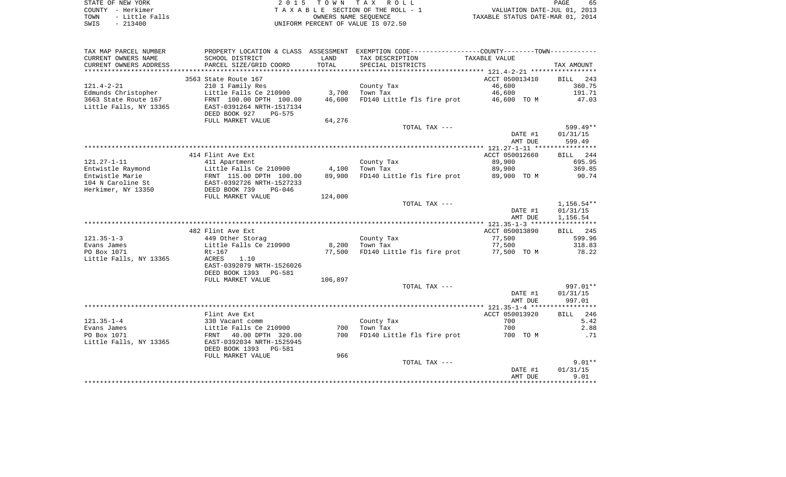|      | STATE OF NEW YORK | 2015 TOWN TAX ROLL                 | PAGE                             | 65 |
|------|-------------------|------------------------------------|----------------------------------|----|
|      | COUNTY - Herkimer | TAXABLE SECTION OF THE ROLL - 1    | VALUATION DATE-JUL 01, 2013      |    |
| TOWN | - Little Falls    | OWNERS NAME SEOUENCE               | TAXABLE STATUS DATE-MAR 01, 2014 |    |
| SWIS | $-213400$         | UNIFORM PERCENT OF VALUE IS 072.50 |                                  |    |

| TAX MAP PARCEL NUMBER  | PROPERTY LOCATION & CLASS ASSESSMENT |         |                            |                                             |                    |
|------------------------|--------------------------------------|---------|----------------------------|---------------------------------------------|--------------------|
| CURRENT OWNERS NAME    | SCHOOL DISTRICT                      | LAND    | TAX DESCRIPTION            | TAXABLE VALUE                               |                    |
| CURRENT OWNERS ADDRESS | PARCEL SIZE/GRID COORD               | TOTAL   | SPECIAL DISTRICTS          |                                             | TAX AMOUNT         |
|                        |                                      |         |                            |                                             |                    |
|                        | 3563 State Route 167                 |         |                            | ACCT 050013410                              | BILL<br>243        |
| $121.4 - 2 - 21$       | 210 1 Family Res                     |         |                            | 46,600                                      | 360.75             |
|                        |                                      |         | County Tax                 |                                             |                    |
| Edmunds Christopher    | Little Falls Ce 210900               | 3,700   | Town Tax                   | 46,600                                      | 191.71             |
| 3663 State Route 167   | FRNT 100.00 DPTH 100.00              | 46,600  | FD140 Little fls fire prot | 46,600 TO M                                 | 47.03              |
| Little Falls, NY 13365 | EAST-0391264 NRTH-1517134            |         |                            |                                             |                    |
|                        | DEED BOOK 927<br><b>PG-575</b>       |         |                            |                                             |                    |
|                        | FULL MARKET VALUE                    | 64,276  |                            |                                             |                    |
|                        |                                      |         | TOTAL TAX ---              |                                             | 599.49**           |
|                        |                                      |         |                            | DATE #1                                     | 01/31/15           |
|                        |                                      |         |                            | AMT DUE                                     | 599.49             |
|                        |                                      |         |                            |                                             |                    |
|                        | 414 Flint Ave Ext                    |         |                            | ACCT 050012660                              | BILL 244           |
| $121.27 - 1 - 11$      | 411 Apartment                        |         | County Tax                 | 89,900                                      | 695.95             |
| Entwistle Raymond      | Little Falls Ce 210900               | 4,100   | Town Tax                   | 89,900                                      | 369.85             |
| Entwistle Marie        |                                      | 89,900  | FD140 Little fls fire prot | 89,900 TO M                                 |                    |
|                        | FRNT 115.00 DPTH 100.00              |         |                            |                                             | 90.74              |
| 104 N Caroline St      | EAST-0392726 NRTH-1527233            |         |                            |                                             |                    |
| Herkimer, NY 13350     | DEED BOOK 739<br>PG-046              |         |                            |                                             |                    |
|                        | FULL MARKET VALUE                    | 124,000 |                            |                                             |                    |
|                        |                                      |         | TOTAL TAX ---              |                                             | 1,156.54**         |
|                        |                                      |         |                            | DATE #1                                     | 01/31/15           |
|                        |                                      |         |                            | AMT DUE                                     | 1,156.54           |
|                        |                                      |         |                            |                                             |                    |
|                        | 482 Flint Ave Ext                    |         |                            | ACCT 050013890                              | BILL 245           |
| $121.35 - 1 - 3$       | 449 Other Storag                     |         | County Tax                 | 77,500                                      | 599.96             |
| Evans James            | Little Falls Ce 210900               | 8,200   | Town Tax                   | 77,500                                      | 318.83             |
| PO Box 1071            | $Rt-167$                             | 77,500  | FD140 Little fls fire prot | 77,500 TO M                                 | 78.22              |
| Little Falls, NY 13365 | ACRES<br>1.10                        |         |                            |                                             |                    |
|                        | EAST-0392079 NRTH-1526026            |         |                            |                                             |                    |
|                        |                                      |         |                            |                                             |                    |
|                        | DEED BOOK 1393 PG-581                |         |                            |                                             |                    |
|                        | FULL MARKET VALUE                    | 106,897 |                            |                                             |                    |
|                        |                                      |         | TOTAL TAX ---              |                                             | 997.01**           |
|                        |                                      |         |                            | DATE #1                                     | 01/31/15           |
|                        |                                      |         |                            | AMT DUE                                     | 997.01             |
|                        |                                      |         |                            |                                             |                    |
|                        | Flint Ave Ext                        |         |                            | ACCT 050013920                              | 246<br><b>BILL</b> |
| $121.35 - 1 - 4$       | 330 Vacant comm                      |         | County Tax                 | 700                                         | 5.42               |
| Evans James            | Little Falls Ce 210900               | 700     | Town Tax                   | 700                                         | 2.88               |
| PO Box 1071            | FRNT 40.00 DPTH 320.00               | 700     | FD140 Little fls fire prot | 700 TO M                                    | .71                |
| Little Falls, NY 13365 | EAST-0392034 NRTH-1525945            |         |                            |                                             |                    |
|                        | DEED BOOK 1393 PG-581                |         |                            |                                             |                    |
|                        |                                      |         |                            |                                             |                    |
|                        | FULL MARKET VALUE                    | 966     |                            |                                             |                    |
|                        |                                      |         | TOTAL TAX ---              |                                             | $9.01**$           |
|                        |                                      |         |                            | DATE #1                                     | 01/31/15           |
|                        |                                      |         |                            |                                             |                    |
|                        |                                      |         |                            | AMT DUE<br>******************************** | 9.01               |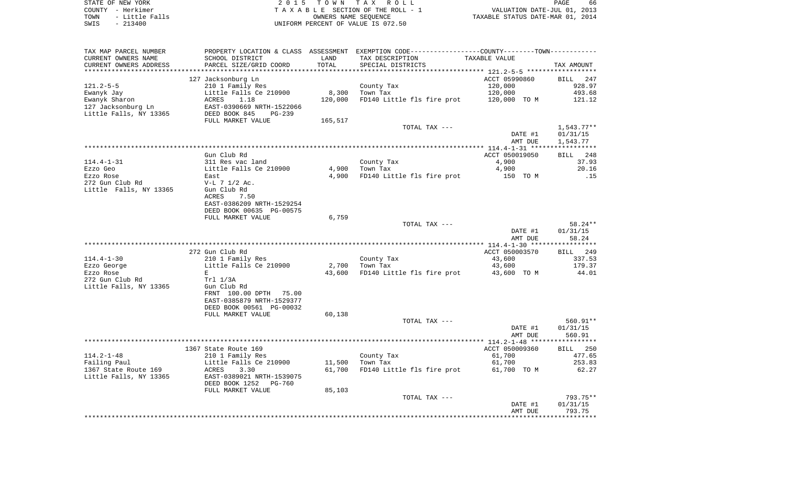STATE OF NEW YORK **EXECUTE:** A G L L 2 0 1 5 T O W N T A X R O L L COUNTY - Herkimer<br>
T A X A B L E SECTION OF THE ROLL - 1<br>
T A X A B L E SECTION OF THE ROLL - 1<br>
OWNERS NAME SEQUENCE<br>
SWIS - 213400<br>
OWNERS NAME SEQUENCE TOWN - Little Falls OWNERS NAME SEQUENCE TAXABLE STATUS DATE-MAR 01, 2014 SWIS - 213400 UNIFORM PERCENT OF VALUE IS 072.50

| TAX MAP PARCEL NUMBER        |                           |         | PROPERTY LOCATION & CLASS ASSESSMENT EXEMPTION CODE---------------COUNTY-------TOWN---------- |                |                      |
|------------------------------|---------------------------|---------|-----------------------------------------------------------------------------------------------|----------------|----------------------|
| CURRENT OWNERS NAME          | SCHOOL DISTRICT           | LAND    | TAX DESCRIPTION                                                                               | TAXABLE VALUE  |                      |
| CURRENT OWNERS ADDRESS       | PARCEL SIZE/GRID COORD    | TOTAL   | SPECIAL DISTRICTS                                                                             |                | TAX AMOUNT           |
|                              |                           |         |                                                                                               |                |                      |
|                              | 127 Jacksonburg Ln        |         |                                                                                               | ACCT 05990860  | BILL 247             |
| $121.2 - 5 - 5$              | 210 1 Family Res          |         | County Tax                                                                                    | 120,000        | 928.97               |
| Ewanyk Jay                   | Little Falls Ce 210900    | 8,300   | Town Tax                                                                                      | 120,000        | 493.68               |
| Ewanyk Sharon                | ACRES<br>1.18             | 120,000 | FD140 Little fls fire prot 120,000 TO M                                                       |                | 121.12               |
| 127 Jacksonburg Ln           | EAST-0390669 NRTH-1522066 |         |                                                                                               |                |                      |
| Little Falls, NY 13365       | DEED BOOK 845<br>PG-239   |         |                                                                                               |                |                      |
|                              | FULL MARKET VALUE         | 165,517 |                                                                                               |                |                      |
|                              |                           |         | TOTAL TAX ---                                                                                 |                | $1,543.77**$         |
|                              |                           |         |                                                                                               | DATE #1        | 01/31/15             |
|                              |                           |         |                                                                                               | AMT DUE        | 1,543.77             |
|                              |                           |         |                                                                                               |                |                      |
|                              | Gun Club Rd               |         |                                                                                               | ACCT 050019050 | BILL 248             |
| 114.4-1-31                   | 311 Res vac land          |         | County Tax                                                                                    | 4,900          | 37.93                |
| Ezzo Geo                     | Little Falls Ce 210900    |         | $4,900$ Town Tax                                                                              | 4,900          | 20.16                |
|                              | East                      | 4,900   |                                                                                               |                |                      |
| Ezzo Rose<br>272 Gun Club Rd | $V-L$ 7 $1/2$ Ac.         |         | FD140 Little fls fire prot                                                                    | 150 TO M       | .15                  |
|                              |                           |         |                                                                                               |                |                      |
| Little Falls, NY 13365       | Gun Club Rd               |         |                                                                                               |                |                      |
|                              | 7.50<br>ACRES             |         |                                                                                               |                |                      |
|                              | EAST-0386209 NRTH-1529254 |         |                                                                                               |                |                      |
|                              | DEED BOOK 00635 PG-00575  |         |                                                                                               |                |                      |
|                              | FULL MARKET VALUE         | 6,759   |                                                                                               |                |                      |
|                              |                           |         | TOTAL TAX ---                                                                                 |                | 58.24**              |
|                              |                           |         |                                                                                               | DATE #1        | 01/31/15             |
|                              |                           |         |                                                                                               | AMT DUE        | 58.24<br>*********** |
|                              |                           |         |                                                                                               |                |                      |
|                              | 272 Gun Club Rd           |         |                                                                                               | ACCT 050003570 | BILL<br>249          |
| $114.4 - 1 - 30$             | 210 1 Family Res          |         | County Tax                                                                                    | 43,600         | 337.53               |
| Ezzo George                  | Little Falls Ce 210900    | 2,700   | Town Tax                                                                                      | 43,600         | 179.37               |
| Ezzo Rose                    | E                         | 43,600  | FD140 Little fls fire prot                                                                    | 43,600 TO M    | 44.01                |
| 272 Gun Club Rd              | Trl 1/3A                  |         |                                                                                               |                |                      |
| Little Falls, NY 13365       | Gun Club Rd               |         |                                                                                               |                |                      |
|                              | FRNT 100.00 DPTH 75.00    |         |                                                                                               |                |                      |
|                              | EAST-0385879 NRTH-1529377 |         |                                                                                               |                |                      |
|                              | DEED BOOK 00561 PG-00032  |         |                                                                                               |                |                      |
|                              | FULL MARKET VALUE         | 60,138  |                                                                                               |                |                      |
|                              |                           |         | TOTAL TAX ---                                                                                 |                | $560.91**$           |
|                              |                           |         |                                                                                               | DATE #1        | 01/31/15             |
|                              |                           |         |                                                                                               | AMT DUE        | 560.91               |
|                              |                           |         |                                                                                               |                |                      |
|                              | 1367 State Route 169      |         |                                                                                               | ACCT 050009360 | BILL 250             |
| $114.2 - 1 - 48$             | 210 1 Family Res          |         | County Tax                                                                                    | 61,700         | 477.65               |
| Failing Paul                 | Little Falls Ce 210900    | 11,500  | Town Tax                                                                                      | 61,700         | 253.83               |
| 1367 State Route 169         | ACRES<br>3.30             | 61,700  | FD140 Little fls fire prot                                                                    | 61,700 TO M    | 62.27                |
| Little Falls, NY 13365       | EAST-0389021 NRTH-1539075 |         |                                                                                               |                |                      |
|                              | DEED BOOK 1252<br>PG-760  |         |                                                                                               |                |                      |
|                              | FULL MARKET VALUE         | 85,103  |                                                                                               |                |                      |
|                              |                           |         | TOTAL TAX ---                                                                                 |                | 793.75**             |
|                              |                           |         |                                                                                               | DATE #1        | 01/31/15             |
|                              |                           |         |                                                                                               | AMT DUE        | 793.75               |
|                              |                           |         |                                                                                               |                |                      |
|                              |                           |         |                                                                                               |                |                      |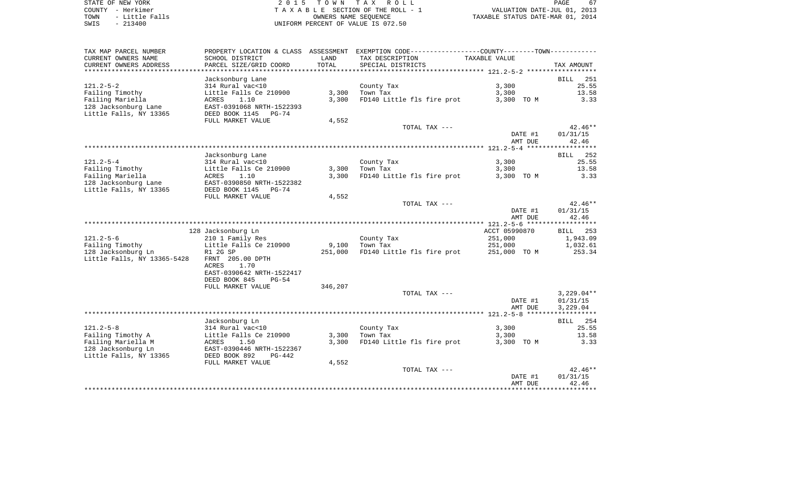STATE OF NEW YORK 2 0 1 5 T O W N T A X R O L L PAGE 67COUNTY - Herkimer<br>
T A X A B L E SECTION OF THE ROLL - 1<br>
T A X A B L E SECTION OF THE ROLL - 1<br>
OWNERS NAME SEQUENCE<br>
SWIS - 213400<br>
OWNERS NAME SEQUENCE UNIFORM PERCENT OF VALUE IS 072.50

PAGE 67 TO A CONSIDER THE ROLL - 1 WALUATION DATE-JUL 01, 2013<br>
OWNERS NAME SEQUENCE TAXABLE STATUS DATE-MAR 01, 2014

| TAX MAP PARCEL NUMBER<br>CURRENT OWNERS NAME<br>CURRENT OWNERS ADDRESS | PROPERTY LOCATION & CLASS ASSESSMENT<br>SCHOOL DISTRICT<br>PARCEL SIZE/GRID COORD | LAND<br>TOTAL | EXEMPTION CODE-----------------COUNTY-------TOWN-----------<br>TAX DESCRIPTION<br>SPECIAL DISTRICTS | <b>TAXABLE VALUE</b>             | TAX AMOUNT            |
|------------------------------------------------------------------------|-----------------------------------------------------------------------------------|---------------|-----------------------------------------------------------------------------------------------------|----------------------------------|-----------------------|
| *********************                                                  |                                                                                   |               |                                                                                                     |                                  |                       |
|                                                                        | Jacksonburg Lane                                                                  |               |                                                                                                     |                                  | <b>BILL</b><br>251    |
| $121.2 - 5 - 2$                                                        | 314 Rural vac<10                                                                  |               | County Tax                                                                                          | 3,300                            | 25.55                 |
| Failing Timothy                                                        | Little Falls Ce 210900                                                            | 3,300         | Town Tax                                                                                            | 3,300                            | 13.58                 |
| Failing Mariella                                                       | <b>ACRES</b><br>1.10                                                              | 3,300         | FD140 Little fls fire prot                                                                          | 3,300 TO M                       | 3.33                  |
| 128 Jacksonburg Lane<br>Little Falls, NY 13365                         | EAST-0391068 NRTH-1522393<br>DEED BOOK 1145 PG-74                                 |               |                                                                                                     |                                  |                       |
|                                                                        | FULL MARKET VALUE                                                                 | 4,552         |                                                                                                     |                                  |                       |
|                                                                        |                                                                                   |               | TOTAL TAX ---                                                                                       |                                  | $42.46**$             |
|                                                                        |                                                                                   |               |                                                                                                     | DATE #1                          | 01/31/15              |
|                                                                        |                                                                                   |               |                                                                                                     | AMT DUE                          | 42.46                 |
|                                                                        |                                                                                   |               |                                                                                                     |                                  |                       |
|                                                                        | Jacksonburg Lane                                                                  |               |                                                                                                     |                                  | 252<br>BILL           |
| $121.2 - 5 - 4$                                                        | 314 Rural vac<10                                                                  |               | County Tax                                                                                          | 3,300                            | 25.55                 |
| Failing Timothy                                                        | Little Falls Ce 210900                                                            | 3,300         | Town Tax                                                                                            | 3,300                            | 13.58                 |
| Failing Mariella                                                       | ACRES<br>1.10                                                                     | 3,300         | FD140 Little fls fire prot                                                                          | 3,300 TO M                       | 3.33                  |
| 128 Jacksonburg Lane                                                   | EAST-0390850 NRTH-1522382                                                         |               |                                                                                                     |                                  |                       |
| Little Falls, NY 13365                                                 | DEED BOOK 1145 PG-74                                                              |               |                                                                                                     |                                  |                       |
|                                                                        | FULL MARKET VALUE                                                                 | 4,552         |                                                                                                     |                                  |                       |
|                                                                        |                                                                                   |               | TOTAL TAX ---                                                                                       |                                  | $42.46**$             |
|                                                                        |                                                                                   |               |                                                                                                     | DATE #1                          | 01/31/15              |
|                                                                        |                                                                                   |               |                                                                                                     | AMT DUE                          | 42.46                 |
|                                                                        |                                                                                   |               |                                                                                                     |                                  |                       |
|                                                                        | 128 Jacksonburg Ln                                                                |               |                                                                                                     | ACCT 05990870                    | <b>BILL</b><br>253    |
| $121.2 - 5 - 6$                                                        | 210 1 Family Res                                                                  |               | County Tax                                                                                          | 251,000                          | 1,943.09              |
| Failing Timothy                                                        | Little Falls Ce 210900                                                            | 9,100         | Town Tax                                                                                            | 251,000                          | 1,032.61              |
| 128 Jacksonburg Ln                                                     | R1 2G SP                                                                          | 251,000       | FD140 Little fls fire prot                                                                          | 251,000 TO M                     | 253.34                |
| Little Falls, NY 13365-5428                                            | FRNT 205.00 DPTH<br><b>ACRES</b><br>1.70                                          |               |                                                                                                     |                                  |                       |
|                                                                        | EAST-0390642 NRTH-1522417                                                         |               |                                                                                                     |                                  |                       |
|                                                                        | DEED BOOK 845<br>$PG-54$                                                          |               |                                                                                                     |                                  |                       |
|                                                                        | FULL MARKET VALUE                                                                 | 346,207       |                                                                                                     |                                  |                       |
|                                                                        |                                                                                   |               | TOTAL TAX ---                                                                                       |                                  | $3,229.04**$          |
|                                                                        |                                                                                   |               |                                                                                                     | DATE #1                          | 01/31/15              |
|                                                                        |                                                                                   |               |                                                                                                     | AMT DUE                          | 3,229.04              |
|                                                                        |                                                                                   |               |                                                                                                     |                                  | * * * * * * * * * * * |
|                                                                        | Jacksonburg Ln                                                                    |               |                                                                                                     |                                  | BILL<br>254           |
| $121.2 - 5 - 8$                                                        | 314 Rural vac<10                                                                  |               | County Tax                                                                                          | 3,300                            | 25.55                 |
| Failing Timothy A                                                      | Little Falls Ce 210900                                                            | 3,300         | Town Tax                                                                                            | 3,300                            | 13.58                 |
| Failing Mariella M                                                     | ACRES<br>1.50                                                                     | 3,300         | FD140 Little fls fire prot                                                                          | 3,300 TO M                       | 3.33                  |
| 128 Jacksonburg Ln                                                     | EAST-0390446 NRTH-1522367                                                         |               |                                                                                                     |                                  |                       |
| Little Falls, NY 13365                                                 | DEED BOOK 892<br>PG-442                                                           |               |                                                                                                     |                                  |                       |
|                                                                        | FULL MARKET VALUE                                                                 | 4,552         |                                                                                                     |                                  |                       |
|                                                                        |                                                                                   |               | TOTAL TAX ---                                                                                       |                                  | $42.46**$             |
|                                                                        |                                                                                   |               |                                                                                                     | DATE #1<br>AMT DUE               | 01/31/15<br>42.46     |
|                                                                        |                                                                                   |               |                                                                                                     | ******************************** |                       |
|                                                                        |                                                                                   |               |                                                                                                     |                                  |                       |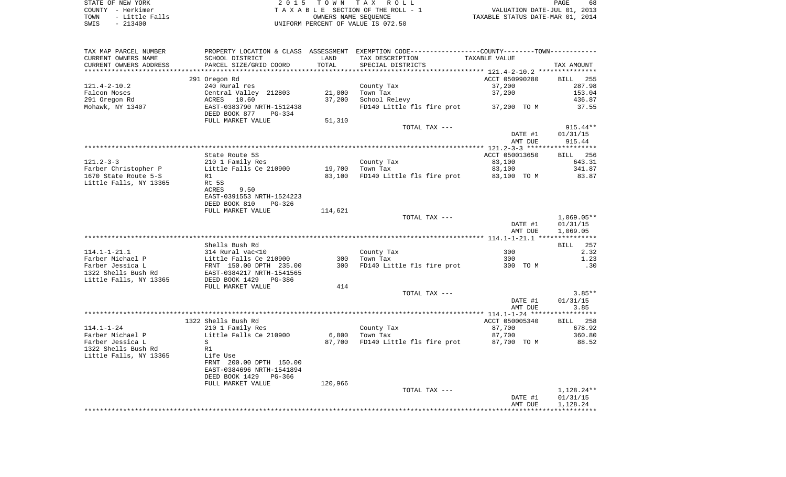STATE OF NEW YORK **EXECUTE:** A G L L 2 0 1 5 T O W N T A X R O L L COUNTY - Herkimer<br>
T A X A B L E SECTION OF THE ROLL - 1<br>
T A X A B L E SECTION OF THE ROLL - 1<br>
OWNERS NAME SEQUENCE<br>
SWIS - 213400<br>
OWNERS NAME SEQUENCE TO A MOVE AND THE ROLL - 1 WALUATION DATE-JUL 01, 2013<br>
UNIERS NAME SEQUENCE TAXABLE STATUS DATE-MAR 01, 2014 UNIFORM PERCENT OF VALUE IS 072.50

| TAX MAP PARCEL NUMBER     |                                                      |         | PROPERTY LOCATION & CLASS ASSESSMENT EXEMPTION CODE----------------COUNTY-------TOWN---------- |                      |                     |
|---------------------------|------------------------------------------------------|---------|------------------------------------------------------------------------------------------------|----------------------|---------------------|
| CURRENT OWNERS NAME       | SCHOOL DISTRICT                                      | LAND    | TAX DESCRIPTION                                                                                | <b>TAXABLE VALUE</b> |                     |
| CURRENT OWNERS ADDRESS    | PARCEL SIZE/GRID COORD                               | TOTAL   | SPECIAL DISTRICTS                                                                              |                      | TAX AMOUNT          |
| ************************* |                                                      |         |                                                                                                |                      |                     |
|                           | 291 Oregon Rd                                        |         |                                                                                                | ACCT 050990280       | <b>BILL</b><br>255  |
| $121.4 - 2 - 10.2$        | 240 Rural res                                        |         | County Tax                                                                                     | 37,200               | 287.98              |
| Falcon Moses              | Central Valley 212803                                | 21,000  | Town Tax                                                                                       | 37,200               | 153.04              |
| 291 Oregon Rd             | ACRES 10.60                                          | 37,200  | School Relevy                                                                                  |                      | 436.87              |
| Mohawk, NY 13407          | EAST-0383790 NRTH-1512438<br>DEED BOOK 877<br>PG-334 |         | FD140 Little fls fire prot                                                                     | 37,200 TO M          | 37.55               |
|                           | FULL MARKET VALUE                                    | 51,310  |                                                                                                |                      |                     |
|                           |                                                      |         | TOTAL TAX ---                                                                                  |                      | $915.44**$          |
|                           |                                                      |         |                                                                                                | DATE #1              | 01/31/15            |
|                           |                                                      |         |                                                                                                | AMT DUE              | 915.44              |
|                           |                                                      |         |                                                                                                |                      |                     |
|                           | State Route 5S                                       |         |                                                                                                | ACCT 050013650       | <b>BILL</b> 256     |
| $121.2 - 3 - 3$           | 210 1 Family Res                                     |         | County Tax                                                                                     | 83,100               | 643.31              |
| Farber Christopher P      | Little Falls Ce 210900                               | 19,700  | Town Tax                                                                                       | 83,100               | 341.87              |
| 1670 State Route 5-S      | R1                                                   | 83,100  | FD140 Little fls fire prot                                                                     | 83,100 TO M          | 83.87               |
| Little Falls, NY 13365    | Rt 5S                                                |         |                                                                                                |                      |                     |
|                           | ACRES<br>9.50                                        |         |                                                                                                |                      |                     |
|                           | EAST-0391553 NRTH-1524223                            |         |                                                                                                |                      |                     |
|                           | DEED BOOK 810<br>PG-326                              |         |                                                                                                |                      |                     |
|                           | FULL MARKET VALUE                                    | 114,621 |                                                                                                |                      |                     |
|                           |                                                      |         | TOTAL TAX ---                                                                                  |                      | $1,069.05**$        |
|                           |                                                      |         |                                                                                                | DATE #1              | 01/31/15            |
|                           |                                                      |         |                                                                                                | AMT DUE              | 1,069.05            |
|                           |                                                      |         |                                                                                                |                      |                     |
| $114.1 - 1 - 21.1$        | Shells Bush Rd<br>314 Rural vac<10                   |         |                                                                                                | 300                  | 257<br>BILL<br>2.32 |
| Farber Michael P          | Little Falls Ce 210900                               | 300     | County Tax<br>Town Tax                                                                         | 300                  | 1.23                |
| Farber Jessica L          | FRNT 150.00 DPTH 235.00                              | 300     | FD140 Little fls fire prot                                                                     | 300 TO M             | .30                 |
| 1322 Shells Bush Rd       | EAST-0384217 NRTH-1541565                            |         |                                                                                                |                      |                     |
| Little Falls, NY 13365    | DEED BOOK 1429 PG-386                                |         |                                                                                                |                      |                     |
|                           | FULL MARKET VALUE                                    | 414     |                                                                                                |                      |                     |
|                           |                                                      |         | TOTAL TAX ---                                                                                  |                      | $3.85**$            |
|                           |                                                      |         |                                                                                                | DATE #1              | 01/31/15            |
|                           |                                                      |         |                                                                                                | AMT DUE              | 3.85                |
|                           |                                                      |         |                                                                                                |                      |                     |
|                           | 1322 Shells Bush Rd                                  |         |                                                                                                | ACCT 050005340       | <b>BILL</b><br>258  |
| $114.1 - 1 - 24$          | 210 1 Family Res                                     |         | County Tax                                                                                     | 87,700               | 678.92              |
| Farber Michael P          | Little Falls Ce 210900                               | 6,800   | Town Tax                                                                                       | 87,700               | 360.80              |
| Farber Jessica L          | S                                                    | 87,700  | FD140 Little fls fire prot                                                                     | 87,700 TO M          | 88.52               |
| 1322 Shells Bush Rd       | R1                                                   |         |                                                                                                |                      |                     |
| Little Falls, NY 13365    | Life Use                                             |         |                                                                                                |                      |                     |
|                           | FRNT 200.00 DPTH 150.00                              |         |                                                                                                |                      |                     |
|                           | EAST-0384696 NRTH-1541894                            |         |                                                                                                |                      |                     |
|                           | DEED BOOK 1429 PG-366                                |         |                                                                                                |                      |                     |
|                           | FULL MARKET VALUE                                    | 120,966 |                                                                                                |                      |                     |
|                           |                                                      |         | TOTAL TAX ---                                                                                  |                      | 1,128.24**          |
|                           |                                                      |         |                                                                                                | DATE #1<br>AMT DUE   | 01/31/15            |
|                           |                                                      |         |                                                                                                |                      | 1,128.24            |
|                           |                                                      |         |                                                                                                |                      |                     |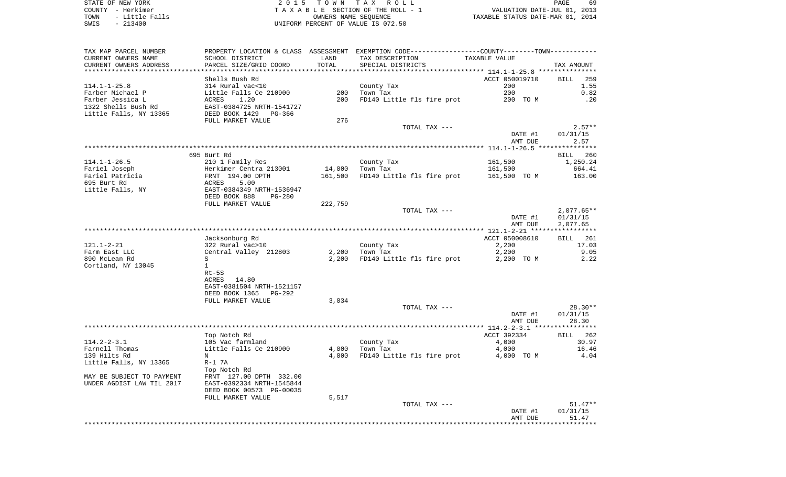STATE OF NEW YORK **EXECUTE:** TO W N TAX ROLL COUNTY - Herkimer<br>
T A X A B L E SECTION OF THE ROLL - 1<br>
T A X A B L E SECTION OF THE ROLL - 1<br>
OWNERS NAME SEQUENCE<br>
SWIS - 213400<br>
OWNERS NAME SEQUENCE TOWN - LITTLE FALLS OF THE ROLL - 1<br>
TAXABLE STATUS DATE-JUL 01, 2013<br>
OWNERS NAME SEQUENCE TAXABLE STATUS DATE-MAR 01, 2014 SWIS - 213400 UNIFORM PERCENT OF VALUE IS 072.50

| TAX MAP PARCEL NUMBER     |                                |         | PROPERTY LOCATION & CLASS ASSESSMENT EXEMPTION CODE---------------COUNTY-------TOWN---------- |                |                    |
|---------------------------|--------------------------------|---------|-----------------------------------------------------------------------------------------------|----------------|--------------------|
| CURRENT OWNERS NAME       | SCHOOL DISTRICT                | LAND    | TAX DESCRIPTION                                                                               | TAXABLE VALUE  |                    |
| CURRENT OWNERS ADDRESS    | PARCEL SIZE/GRID COORD         | TOTAL   | SPECIAL DISTRICTS                                                                             |                | TAX AMOUNT         |
|                           |                                |         |                                                                                               |                |                    |
|                           | Shells Bush Rd                 |         |                                                                                               | ACCT 050019710 | 259<br>BILL        |
| $114.1 - 1 - 25.8$        | 314 Rural vac<10               |         | County Tax                                                                                    | 200            | 1.55               |
| Farber Michael P          | Little Falls Ce 210900         | 200     | Town Tax                                                                                      | 200            | 0.82               |
| Farber Jessica L          | ACRES<br>1.20                  | 200     | FD140 Little fls fire prot                                                                    | 200 TO M       | .20                |
| 1322 Shells Bush Rd       | EAST-0384725 NRTH-1541727      |         |                                                                                               |                |                    |
| Little Falls, NY 13365    | DEED BOOK 1429<br>PG-366       |         |                                                                                               |                |                    |
|                           | FULL MARKET VALUE              | 276     |                                                                                               |                |                    |
|                           |                                |         | TOTAL TAX ---                                                                                 |                | $2.57**$           |
|                           |                                |         |                                                                                               | DATE #1        | 01/31/15           |
|                           |                                |         |                                                                                               | AMT DUE        | 2.57               |
|                           |                                |         |                                                                                               |                |                    |
|                           | 695 Burt Rd                    |         |                                                                                               |                |                    |
|                           |                                |         |                                                                                               |                | 260<br>BILL        |
| $114.1 - 1 - 26.5$        | 210 1 Family Res               |         | County Tax                                                                                    | 161,500        | 1,250.24           |
| Fariel Joseph             | Herkimer Centra 213001         | 14,000  | Town Tax                                                                                      | 161,500        | 664.41             |
| Fariel Patricia           | FRNT 194.00 DPTH               | 161,500 | FD140 Little fls fire prot                                                                    | 161,500 TO M   | 163.00             |
| 695 Burt Rd               | ACRES<br>5.00                  |         |                                                                                               |                |                    |
| Little Falls, NY          | EAST-0384349 NRTH-1536947      |         |                                                                                               |                |                    |
|                           | DEED BOOK 888<br><b>PG-280</b> |         |                                                                                               |                |                    |
|                           | FULL MARKET VALUE              | 222,759 |                                                                                               |                |                    |
|                           |                                |         | TOTAL TAX ---                                                                                 |                | $2,077.65**$       |
|                           |                                |         |                                                                                               | DATE #1        | 01/31/15           |
|                           |                                |         |                                                                                               | AMT DUE        | 2,077.65           |
|                           |                                |         |                                                                                               |                | ***********        |
|                           | Jacksonburg Rd                 |         |                                                                                               | ACCT 050008610 | 261<br><b>BILL</b> |
| $121.1 - 2 - 21$          | 322 Rural vac>10               |         | County Tax                                                                                    | 2,200          | 17.03              |
| Farm East LLC             | Central Valley 212803          | 2,200   | Town Tax                                                                                      | 2,200          | 9.05               |
| 890 McLean Rd             | S                              | 2,200   | FD140 Little fls fire prot                                                                    | 2,200 TO M     | 2.22               |
| Cortland, NY 13045        | $\mathbf{1}$                   |         |                                                                                               |                |                    |
|                           | $Rt-5S$                        |         |                                                                                               |                |                    |
|                           | 14.80<br>ACRES                 |         |                                                                                               |                |                    |
|                           | EAST-0381504 NRTH-1521157      |         |                                                                                               |                |                    |
|                           | DEED BOOK 1365<br>PG-292       |         |                                                                                               |                |                    |
|                           | FULL MARKET VALUE              | 3,034   |                                                                                               |                |                    |
|                           |                                |         | TOTAL TAX ---                                                                                 |                | $28.30**$          |
|                           |                                |         |                                                                                               | DATE #1        | 01/31/15           |
|                           |                                |         |                                                                                               | AMT DUE        | 28.30              |
|                           |                                |         |                                                                                               |                |                    |
|                           | Top Notch Rd                   |         |                                                                                               | ACCT 392334    | <b>BILL</b><br>262 |
| $114.2 - 2 - 3.1$         | 105 Vac farmland               |         | County Tax                                                                                    | 4,000          | 30.97              |
|                           |                                |         |                                                                                               |                |                    |
| Farnell Thomas            | Little Falls Ce 210900         | 4,000   | Town Tax                                                                                      | 4,000          | 16.46              |
| 139 Hilts Rd              | N                              | 4,000   | FD140 Little fls fire prot                                                                    | 4,000 TO M     | 4.04               |
| Little Falls, NY 13365    | $R-1$ 7A                       |         |                                                                                               |                |                    |
|                           | Top Notch Rd                   |         |                                                                                               |                |                    |
| MAY BE SUBJECT TO PAYMENT | FRNT 127.00 DPTH 332.00        |         |                                                                                               |                |                    |
| UNDER AGDIST LAW TIL 2017 | EAST-0392334 NRTH-1545844      |         |                                                                                               |                |                    |
|                           | DEED BOOK 00573 PG-00035       |         |                                                                                               |                |                    |
|                           | FULL MARKET VALUE              | 5,517   |                                                                                               |                |                    |
|                           |                                |         | TOTAL TAX ---                                                                                 |                | $51.47**$          |
|                           |                                |         |                                                                                               | DATE #1        | 01/31/15           |
|                           |                                |         |                                                                                               | AMT DUE        | 51.47              |
|                           |                                |         |                                                                                               |                |                    |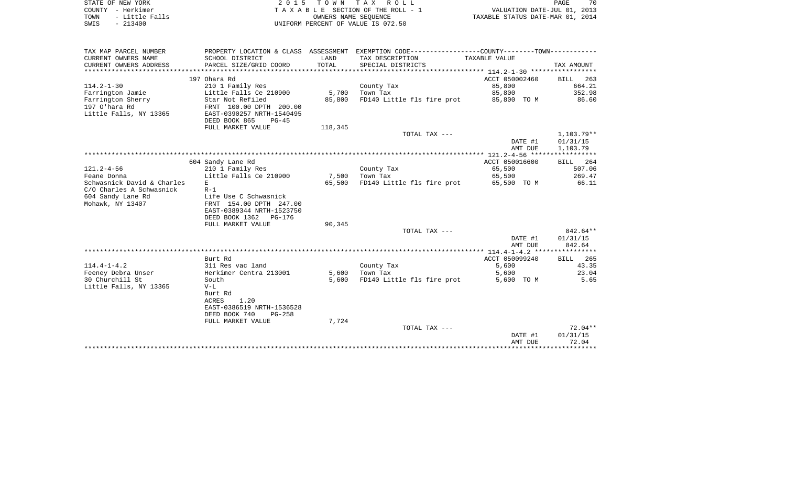| STATE OF NEW YORK<br>- Herkimer<br>COUNTY<br>- Little Falls<br>TOWN<br>$-213400$<br>SWIS | 2015 TOWN TAX ROLL<br>TAXABLE SECTION OF THE ROLL - 1<br>VALUATION DATE-JUL 01, 2013<br>TAXABLE STATUS DATE-MAR 01, 2014<br>OWNERS NAME SEOUENCE<br>UNIFORM PERCENT OF VALUE IS 072.50 |                    |                 |                                                                              |  | 70 |
|------------------------------------------------------------------------------------------|----------------------------------------------------------------------------------------------------------------------------------------------------------------------------------------|--------------------|-----------------|------------------------------------------------------------------------------|--|----|
| TAX MAP PARCEL NUMBER<br>CURRENT OWNERS NAME                                             | PROPERTY LOCATION & CLASS<br>SCHOOL DISTRICT                                                                                                                                           | ASSESSMENT<br>LAND | TAX DESCRIPTION | EXEMPTION CODE-----------------COUNTY-------TOWN-----------<br>TAXABLE VALUE |  |    |

| CURRENT OWNERS ADDRESS     | PARCEL SIZE/GRID COORD    | TOTAL   | SPECIAL DISTRICTS          |                | TAX AMOUNT         |
|----------------------------|---------------------------|---------|----------------------------|----------------|--------------------|
|                            | 197 Ohara Rd              |         |                            | ACCT 050002460 | 263<br><b>BILL</b> |
| $114.2 - 1 - 30$           | 210 1 Family Res          |         | County Tax                 | 85,800         | 664.21             |
| Farrington Jamie           | Little Falls Ce 210900    | 5,700   | Town Tax                   | 85,800         | 352.98             |
| Farrington Sherry          | Star Not Refiled          | 85,800  | FD140 Little fls fire prot | 85,800 TO M    | 86.60              |
| 197 O'hara Rd              | FRNT 100.00 DPTH 200.00   |         |                            |                |                    |
| Little Falls, NY 13365     | EAST-0390257 NRTH-1540495 |         |                            |                |                    |
|                            | DEED BOOK 865<br>$PG-45$  |         |                            |                |                    |
|                            | FULL MARKET VALUE         | 118,345 |                            |                |                    |
|                            |                           |         | TOTAL TAX ---              |                | 1,103.79**         |
|                            |                           |         |                            | DATE #1        | 01/31/15           |
|                            |                           |         |                            | AMT DUE        | 1,103.79           |
|                            |                           |         |                            |                |                    |
|                            | 604 Sandy Lane Rd         |         |                            | ACCT 050016600 | 264<br><b>BILL</b> |
| $121.2 - 4 - 56$           | 210 1 Family Res          |         | County Tax                 | 65,500         | 507.06             |
| Feane Donna                | Little Falls Ce 210900    | 7,500   | Town Tax                   | 65,500         | 269.47             |
| Schwasnick David & Charles | E.                        | 65,500  | FD140 Little fls fire prot | 65,500 TO M    | 66.11              |
| C/O Charles A Schwasnick   | $R-1$                     |         |                            |                |                    |
| 604 Sandy Lane Rd          | Life Use C Schwasnick     |         |                            |                |                    |
| Mohawk, NY 13407           | FRNT 154.00 DPTH 247.00   |         |                            |                |                    |
|                            | EAST-0389344 NRTH-1523750 |         |                            |                |                    |
|                            | DEED BOOK 1362 PG-176     |         |                            |                |                    |
|                            | FULL MARKET VALUE         | 90,345  |                            |                |                    |
|                            |                           |         | TOTAL TAX ---              |                | 842.64**           |
|                            |                           |         |                            | DATE #1        | 01/31/15           |
|                            |                           |         |                            | AMT DUE        | 842.64             |
|                            |                           |         |                            |                |                    |
|                            | Burt Rd                   |         |                            | ACCT 050099240 | 265<br><b>BILL</b> |
| $114.4 - 1 - 4.2$          | 311 Res vac land          |         | County Tax                 | 5,600          | 43.35              |
| Feeney Debra Unser         | Herkimer Centra 213001    | 5,600   | Town Tax                   | 5,600          | 23.04              |
| 30 Churchill St            | South                     | 5,600   | FD140 Little fls fire prot | 5,600 TO M     | 5.65               |
| Little Falls, NY 13365     | $V-L$                     |         |                            |                |                    |
|                            | Burt Rd                   |         |                            |                |                    |
|                            | 1.20<br><b>ACRES</b>      |         |                            |                |                    |
|                            | EAST-0386519 NRTH-1536528 |         |                            |                |                    |
|                            | DEED BOOK 740<br>$PG-258$ |         |                            |                |                    |
|                            | FULL MARKET VALUE         | 7,724   |                            |                | $72.04**$          |
|                            |                           |         | TOTAL TAX ---              | DATE #1        | 01/31/15           |
|                            |                           |         |                            | AMT DUE        | 72.04              |
|                            |                           |         |                            |                |                    |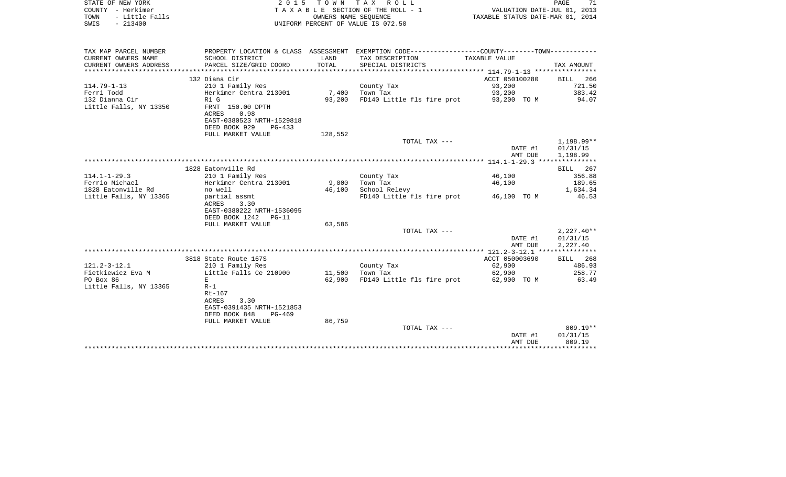| TOWN<br>- Little Falls<br>OWNERS NAME SEOUENCE<br>$-213400$<br>UNIFORM PERCENT OF VALUE IS 072.50<br>SWIS                   |                       |         | TAXABLE STATUS DATE-MAR 01, 2014 |
|-----------------------------------------------------------------------------------------------------------------------------|-----------------------|---------|----------------------------------|
| PROPERTY LOCATION & CLASS ASSESSMENT EXEMPTION CODE---------------COUNTY-------TOWN----------<br>TAX MAP PARCEL NUMBER      |                       |         |                                  |
| CURRENT OWNERS NAME<br>SCHOOL DISTRICT<br>LAND<br>TAX DESCRIPTION<br>TAXABLE VALUE                                          |                       |         |                                  |
| PARCEL SIZE/GRID COORD<br>TOTAL<br>CURRENT OWNERS ADDRESS<br>SPECIAL DISTRICTS                                              |                       |         | TAX AMOUNT                       |
|                                                                                                                             |                       |         |                                  |
| 132 Diana Cir                                                                                                               | ACCT 050100280        |         | <b>BILL</b><br>266               |
| $114.79 - 1 - 13$<br>210 1 Family Res<br>County Tax                                                                         | 93,200                |         | 721.50                           |
| Ferri Todd<br>Herkimer Centra 213001<br>7,400 Town Tax                                                                      | 93,200                |         | 383.42                           |
| 132 Dianna Cir<br>FD140 Little fls fire prot<br>R1 G<br>93,200                                                              | 93,200 TO M           |         | 94.07                            |
| Little Falls, NY 13350<br>FRNT 150.00 DPTH<br>ACRES<br>0.98                                                                 |                       |         |                                  |
| EAST-0380523 NRTH-1529818                                                                                                   |                       |         |                                  |
| DEED BOOK 929<br>$PG-433$                                                                                                   |                       |         |                                  |
| 128,552<br>FULL MARKET VALUE                                                                                                |                       |         |                                  |
| TOTAL TAX ---                                                                                                               |                       |         | 1,198.99**                       |
|                                                                                                                             |                       | DATE #1 | 01/31/15                         |
|                                                                                                                             |                       | AMT DUE | 1,198.99                         |
|                                                                                                                             |                       |         |                                  |
| 1828 Eatonville Rd                                                                                                          |                       |         | BILL<br>267                      |
| $114.1 - 1 - 29.3$<br>210 1 Family Res<br>County Tax                                                                        | 46,100                |         | 356.88                           |
| 9,000<br>Ferrio Michael<br>Herkimer Centra 213001<br>Town Tax                                                               | 46,100                |         | 189.65                           |
| 1828 Eatonville Rd<br>46,100<br>School Relevy<br>no well                                                                    |                       |         | 1,634.34<br>46.53                |
| Little Falls, NY 13365<br>partial assmt<br>FD140 Little fls fire prot<br>ACRES<br>3.30                                      | 46,100 TO M           |         |                                  |
| EAST-0380222 NRTH-1536095                                                                                                   |                       |         |                                  |
| DEED BOOK 1242<br>$PG-11$                                                                                                   |                       |         |                                  |
| 63,586<br>FULL MARKET VALUE                                                                                                 |                       |         |                                  |
| TOTAL TAX ---                                                                                                               |                       |         | $2,227.40**$                     |
|                                                                                                                             |                       | DATE #1 | 01/31/15                         |
|                                                                                                                             |                       | AMT DUE | 2,227.40                         |
|                                                                                                                             |                       |         |                                  |
| 3818 State Route 167S                                                                                                       | ACCT 050003690        |         | BILL 268                         |
| $121.2 - 3 - 12.1$<br>210 1 Family Res<br>County Tax                                                                        | 62,900                |         | 486.93<br>258.77                 |
| Fietkiewicz Eva M<br>Little Falls Ce 210900<br>11,500<br>Town Tax<br>PO Box 86<br>E<br>62,900<br>FD140 Little fls fire prot | 62,900<br>62,900 TO M |         | 63.49                            |
| Little Falls, NY 13365<br>$R-1$                                                                                             |                       |         |                                  |
| Rt-167                                                                                                                      |                       |         |                                  |
| ACRES<br>3.30                                                                                                               |                       |         |                                  |
| EAST-0391435 NRTH-1521853                                                                                                   |                       |         |                                  |
| DEED BOOK 848<br>PG-469                                                                                                     |                       |         |                                  |
| 86,759<br>FULL MARKET VALUE                                                                                                 |                       |         |                                  |
| TOTAL TAX ---                                                                                                               |                       |         | $809.19**$                       |
|                                                                                                                             |                       | DATE #1 | 01/31/15                         |
|                                                                                                                             |                       | AMT DUE | 809.19                           |

STATE OF NEW YORK 2 0 1 5 T O W N T A X R O L L PAGE 71

71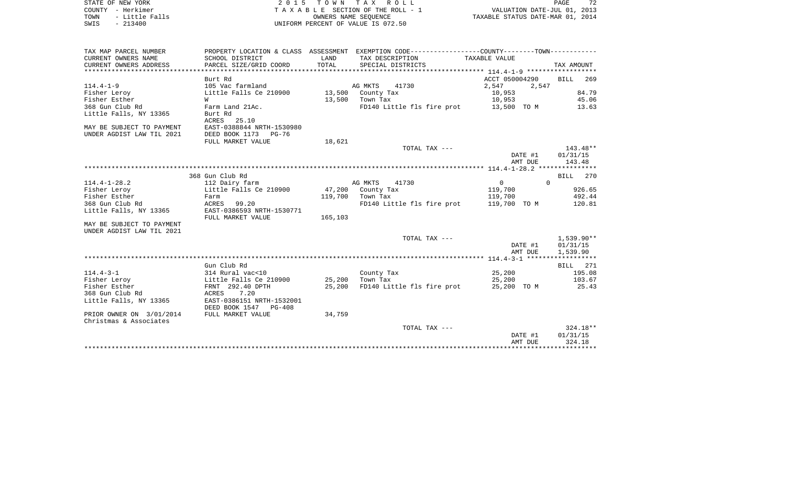| STATE OF NEW YORK      | 2015 TOWN TAX ROLL                 | 72<br>PAGE                       |
|------------------------|------------------------------------|----------------------------------|
| COUNTY - Herkimer      | TAXABLE SECTION OF THE ROLL - 1    | VALUATION DATE-JUL 01, 2013      |
| - Little Falls<br>TOWN | OWNERS NAME SEOUENCE               | TAXABLE STATUS DATE-MAR 01, 2014 |
| $-213400$<br>SWIS      | UNIFORM PERCENT OF VALUE IS 072.50 |                                  |
|                        |                                    |                                  |

| TAX MAP PARCEL NUMBER<br>CURRENT OWNERS NAME | SCHOOL DISTRICT           | LAND    | PROPERTY LOCATION & CLASS ASSESSMENT EXEMPTION CODE----------------COUNTY-------TOWN----------<br>TAX DESCRIPTION | TAXABLE VALUE                         |              |
|----------------------------------------------|---------------------------|---------|-------------------------------------------------------------------------------------------------------------------|---------------------------------------|--------------|
| CURRENT OWNERS ADDRESS                       | PARCEL SIZE/GRID COORD    | TOTAL   | SPECIAL DISTRICTS                                                                                                 |                                       | TAX AMOUNT   |
|                                              |                           |         |                                                                                                                   |                                       |              |
|                                              | Burt Rd                   |         |                                                                                                                   | ACCT 050004290                        | 269<br>BILL  |
| $114.4 - 1 - 9$                              | 105 Vac farmland          |         | AG MKTS<br>41730                                                                                                  | 2,547<br>2,547                        |              |
| Fisher Leroy                                 | Little Falls Ce 210900    |         | 13,500 County Tax                                                                                                 | 10,953                                | 84.79        |
| Fisher Esther                                | W                         | 13,500  | Town Tax                                                                                                          | 10,953                                | 45.06        |
| 368 Gun Club Rd                              | Farm Land 21Ac.           |         | FD140 Little fls fire prot 13,500 TO M                                                                            |                                       | 13.63        |
| Little Falls, NY 13365                       | Burt Rd                   |         |                                                                                                                   |                                       |              |
|                                              | ACRES 25.10               |         |                                                                                                                   |                                       |              |
| MAY BE SUBJECT TO PAYMENT                    | EAST-0388844 NRTH-1530980 |         |                                                                                                                   |                                       |              |
| UNDER AGDIST LAW TIL 2021                    | DEED BOOK 1173 PG-76      |         |                                                                                                                   |                                       |              |
|                                              | FULL MARKET VALUE         | 18,621  |                                                                                                                   |                                       |              |
|                                              |                           |         | TOTAL TAX ---                                                                                                     |                                       | 143.48**     |
|                                              |                           |         |                                                                                                                   | DATE #1                               | 01/31/15     |
|                                              |                           |         |                                                                                                                   | AMT DUE                               | 143.48       |
|                                              |                           |         |                                                                                                                   |                                       |              |
|                                              | 368 Gun Club Rd           |         |                                                                                                                   |                                       | 270<br>BILL  |
| $114.4 - 1 - 28.2$                           | 112 Dairy farm            |         | AG MKTS<br>41730                                                                                                  | $\Omega$<br>$\overline{0}$            |              |
| Fisher Leroy                                 | Little Falls Ce 210900    | 47,200  | County Tax                                                                                                        | 119,700                               | 926.65       |
| Fisher Esther                                | Farm                      | 119,700 | Town Tax                                                                                                          | 119,700                               | 492.44       |
| 368 Gun Club Rd                              | 99.20<br>ACRES            |         | FD140 Little fls fire prot                                                                                        | 119,700 TO M                          | 120.81       |
| Little Falls, NY 13365                       | EAST-0386593 NRTH-1530771 | 165,103 |                                                                                                                   |                                       |              |
| MAY BE SUBJECT TO PAYMENT                    | FULL MARKET VALUE         |         |                                                                                                                   |                                       |              |
| UNDER AGDIST LAW TIL 2021                    |                           |         |                                                                                                                   |                                       |              |
|                                              |                           |         | TOTAL TAX ---                                                                                                     |                                       | $1,539.90**$ |
|                                              |                           |         |                                                                                                                   | DATE #1                               | 01/31/15     |
|                                              |                           |         |                                                                                                                   | AMT DUE                               | 1,539.90     |
|                                              |                           |         |                                                                                                                   |                                       |              |
|                                              | Gun Club Rd               |         |                                                                                                                   |                                       | BILL 271     |
| $114.4 - 3 - 1$                              | 314 Rural vac<10          |         | County Tax                                                                                                        | 25,200                                | 195.08       |
| Fisher Leroy                                 | Little Falls Ce 210900    | 25,200  | Town Tax                                                                                                          | 25,200                                | 103.67       |
| Fisher Esther                                | FRNT 292.40 DPTH          | 25,200  | FD140 Little fls fire prot                                                                                        | 25,200 TO M                           | 25.43        |
| 368 Gun Club Rd                              | ACRES<br>7.20             |         |                                                                                                                   |                                       |              |
| Little Falls, NY 13365                       | EAST-0386151 NRTH-1532001 |         |                                                                                                                   |                                       |              |
|                                              | DEED BOOK 1547 PG-408     |         |                                                                                                                   |                                       |              |
| PRIOR OWNER ON 3/01/2014                     | FULL MARKET VALUE         | 34,759  |                                                                                                                   |                                       |              |
| Christmas & Associates                       |                           |         |                                                                                                                   |                                       |              |
|                                              |                           |         | TOTAL TAX ---                                                                                                     |                                       | $324.18**$   |
|                                              |                           |         |                                                                                                                   | DATE #1                               | 01/31/15     |
|                                              |                           |         |                                                                                                                   | AMT DUE                               | 324.18       |
|                                              |                           |         |                                                                                                                   | ************************************* |              |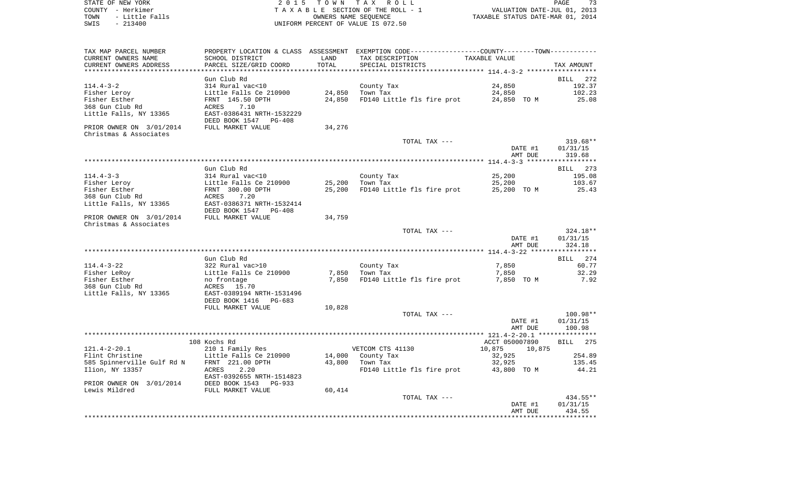STATE OF NEW YORK 2 0 1 5 T O W N T A X R O L L PAGE 73COUNTY - Herkimer **T A X A B L E** SECTION OF THE ROLL - 1 VALUATION DATE-JUL 01, 2013 TOWN - Little Falls OWNERS NAME SEQUENCE TAXABLE STATUS DATE-MAR 01, 2014 SWIS - 213400 UNIFORM PERCENT OF VALUE IS 072.50

TAX MAP PARCEL NUMBER PROPERTY LOCATION & CLASS ASSESSMENT EXEMPTION CODE------------------COUNTY--------TOWN------------ CURRENT OWNERS NAME SCHOOL DISTRICT LAND TAX DESCRIPTION TAXABLE VALUECURRENT OWNERS ADDRESS PARCEL SIZE/GRID COORD TOTAL SPECIAL DISTRICTS TAX AMOUNT \*\*\*\*\*\*\*\*\*\*\*\*\*\*\*\*\*\*\*\*\*\*\*\*\*\*\*\*\*\*\*\*\*\*\*\*\*\*\*\*\*\*\*\*\*\*\*\*\*\*\*\*\*\*\*\*\*\*\*\*\*\*\*\*\*\*\*\*\*\*\*\*\*\*\*\*\*\*\*\*\*\*\*\*\*\*\*\*\*\*\*\*\*\*\*\*\*\*\*\*\*\*\* 114.4-3-2 \*\*\*\*\*\*\*\*\*\*\*\*\*\*\*\*\*\* Gun Club Rd BILL 272192.37 114.4-3-2 314 Rural vac<10 County Tax 24,850 192.37 Fisher Leroy Little Falls Ce 210900 24,850 Town Tax 24,850 102.23 Fisher Esther FRNT 145.50 DPTH 24,850 FD140 Little fls fire prot 24,850 TO M 25.08 368 Gun Club Rd ACRES 7.10Little Falls, NY 13365 EAST-0386431 NRTH-1532229 DEED BOOK 1547 PG-408PRIOR OWNER ON 3/01/2014 FULL MARKET VALUE 34,276 Christmas & Associates TOTAL TAX --- 319.68\*\* DATE #1 01/31/15 AMT DUE 319.68 \*\*\*\*\*\*\*\*\*\*\*\*\*\*\*\*\*\*\*\*\*\*\*\*\*\*\*\*\*\*\*\*\*\*\*\*\*\*\*\*\*\*\*\*\*\*\*\*\*\*\*\*\*\*\*\*\*\*\*\*\*\*\*\*\*\*\*\*\*\*\*\*\*\*\*\*\*\*\*\*\*\*\*\*\*\*\*\*\*\*\*\*\*\*\*\*\*\*\*\*\*\*\* 114.4-3-3 \*\*\*\*\*\*\*\*\*\*\*\*\*\*\*\*\*\*BILL 273 Gun Club Rd 114.4-3-3 314 Rural vac<10 County Tax 25,200 195.08 Fisher Leroy Little Falls Ce 210900 25,200 Town Tax 25,200 103.67 Fisher Esther FRNT 300.00 DPTH 25,200 FD140 Little fls fire prot 25,200 TO M 25.43 368 Gun Club Rd ACRES 7.20Little Falls, NY 13365 EAST-0386371 NRTH-1532414 DEED BOOK 1547 PG-408 PRIOR OWNER ON  $3/01/2014$  FULL MARKET VALUE 34,759 Christmas & Associates TOTAL TAX --- 324.18\*\* DATE #1 01/31/15 AMT DUE 324.18 \*\*\*\*\*\*\*\*\*\*\*\*\*\*\*\*\*\*\*\*\*\*\*\*\*\*\*\*\*\*\*\*\*\*\*\*\*\*\*\*\*\*\*\*\*\*\*\*\*\*\*\*\*\*\*\*\*\*\*\*\*\*\*\*\*\*\*\*\*\*\*\*\*\*\*\*\*\*\*\*\*\*\*\*\*\*\*\*\*\*\*\*\*\*\*\*\*\*\*\*\*\*\* 114.4-3-22 \*\*\*\*\*\*\*\*\*\*\*\*\*\*\*\*\* Gun Club Rd BILL 274114.4-3-22 322 Rural vac>10 County Tax 7,850 60.77 Fisher LeRoy **Example 2008** Little Falls Ce 210900 7,850 Town Tax 7,850 70850 7,850 7,850 Fisher Esther **no frontage 1998** To 1850 FD140 Little fls fire prot 7,850 TO M 7,92 368 Gun Club Rd ACRES 15.70Little Falls, NY 13365 EAST-0389194 NRTH-1531496 DEED BOOK 1416 PG-683FULL MARKET VALUE 10,828 TOTAL TAX --- 100.98\*\* DATE #1 01/31/15 AMT DUE 100.98 \*\*\*\*\*\*\*\*\*\*\*\*\*\*\*\*\*\*\*\*\*\*\*\*\*\*\*\*\*\*\*\*\*\*\*\*\*\*\*\*\*\*\*\*\*\*\*\*\*\*\*\*\*\*\*\*\*\*\*\*\*\*\*\*\*\*\*\*\*\*\*\*\*\*\*\*\*\*\*\*\*\*\*\*\*\*\*\*\*\*\*\*\*\*\*\*\*\*\*\*\*\*\* 121.4-2-20.1 \*\*\*\*\*\*\*\*\*\*\*\*\*\*\* 108 Kochs Rd ACCT 050007890 BILL 275121.4-2-20.1 210 1 Family Res 200 VETCOM CTS 41130 10,875 10,875 10,875 Flint Christine **Little Falls Ce 210900** 14,000 County Tax 32,925 32,925 585 Spinnerville Gulf Rd N FRNT 221.00 DPTH 43,800 Town Tax 32,925 135.45 Ilion, NY 13357 ACRES 2.20 FD140 Little fls fire prot 43,800 TO M 44.21 EAST-0392655 NRTH-1514823PRIOR OWNER ON 3/01/2014 DEED BOOK 1543 PG-933 Lewis Mildred **FULL MARKET VALUE** 60,414

 TOTAL TAX --- 434.55\*\* DATE #1 01/31/15 AMT DUE 434.55\*\*\*\*\*\*\*\*\*\*\*\*\*\*\*\*\*\*\*\*\*\*\*\*\*\*\*\*\*\*\*\*\*\*\*\*\*\*\*\*\*\*\*\*\*\*\*\*\*\*\*\*\*\*\*\*\*\*\*\*\*\*\*\*\*\*\*\*\*\*\*\*\*\*\*\*\*\*\*\*\*\*\*\*\*\*\*\*\*\*\*\*\*\*\*\*\*\*\*\*\*\*\*\*\*\*\*\*\*\*\*\*\*\*\*\*\*\*\*\*\*\*\*\*\*\*\*\*\*\*\*\*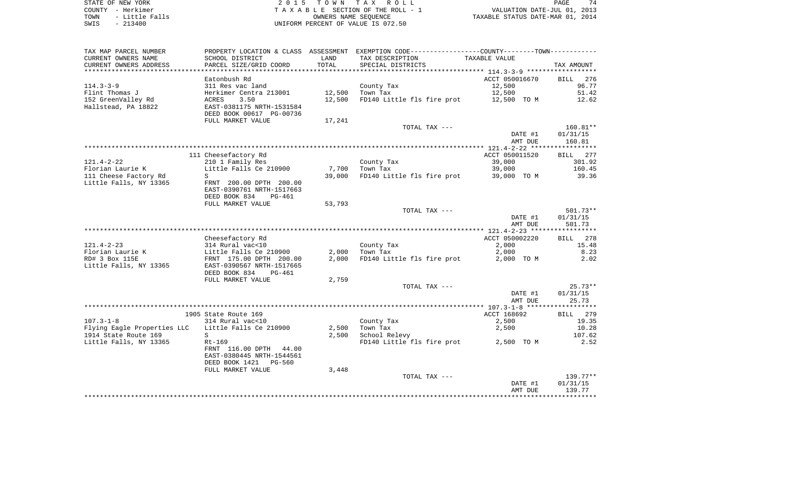STATE OF NEW YORK 2 0 1 5 T O W N T A X R O L L PAGE 74COUNTY - Herkimer<br>
T A X A B L E SECTION OF THE ROLL - 1<br>
T A X A B L E SECTION OF THE ROLL - 1<br>
OWNERS NAME SEQUENCE<br>
SWIS - 213400<br>
OWNERS NAME SEQUENCE UNIFORM PERCENT OF VALUE IS 072.50

PAGE 74 TO A CONSERVED A CONSERVATION OF THE ROLL - 1 WALUATION DATE-JUL 01, 2013<br>
TAXABLE STATUS DATE-MAR 01, 2014

| TAX MAP PARCEL NUMBER<br>CURRENT OWNERS NAME<br>CURRENT OWNERS ADDRESS | PROPERTY LOCATION & CLASS ASSESSMENT<br>SCHOOL DISTRICT<br>PARCEL SIZE/GRID COORD | LAND<br>TOTAL | EXEMPTION CODE-----------------COUNTY-------TOWN-----------<br>TAX DESCRIPTION<br>SPECIAL DISTRICTS | TAXABLE VALUE  | TAX AMOUNT             |
|------------------------------------------------------------------------|-----------------------------------------------------------------------------------|---------------|-----------------------------------------------------------------------------------------------------|----------------|------------------------|
| ***********************                                                | ************************                                                          |               |                                                                                                     |                |                        |
|                                                                        | Eatonbush Rd                                                                      |               |                                                                                                     | ACCT 050016670 | 276<br><b>BILL</b>     |
| $114.3 - 3 - 9$                                                        | 311 Res vac land                                                                  |               | County Tax                                                                                          | 12,500         | 96.77                  |
| Flint Thomas J                                                         | Herkimer Centra 213001                                                            | 12,500        | Town Tax                                                                                            | 12,500         | 51.42                  |
| 152 GreenValley Rd                                                     | ACRES<br>3.50                                                                     | 12,500        | FD140 Little fls fire prot                                                                          | 12,500 TO M    | 12.62                  |
| Hallstead, PA 18822                                                    | EAST-0381175 NRTH-1531584<br>DEED BOOK 00617 PG-00736                             |               |                                                                                                     |                |                        |
|                                                                        | FULL MARKET VALUE                                                                 | 17,241        |                                                                                                     |                |                        |
|                                                                        |                                                                                   |               | TOTAL TAX ---                                                                                       | DATE #1        | $160.81**$<br>01/31/15 |
|                                                                        |                                                                                   |               |                                                                                                     | AMT DUE        | 160.81                 |
|                                                                        | 111 Cheesefactory Rd                                                              |               |                                                                                                     | ACCT 050011520 | 277<br><b>BILL</b>     |
| $121.4 - 2 - 22$                                                       | 210 1 Family Res                                                                  |               | County Tax                                                                                          | 39,000         | 301.92                 |
| Florian Laurie K                                                       | Little Falls Ce 210900                                                            | 7,700         | Town Tax                                                                                            | 39,000         | 160.45                 |
| 111 Cheese Factory Rd                                                  | S                                                                                 | 39,000        | FD140 Little fls fire prot                                                                          | 39,000 TO M    | 39.36                  |
| Little Falls, NY 13365                                                 | FRNT 200.00 DPTH 200.00<br>EAST-0390761 NRTH-1517663<br>DEED BOOK 834<br>PG-461   |               |                                                                                                     |                |                        |
|                                                                        | FULL MARKET VALUE                                                                 | 53,793        |                                                                                                     |                |                        |
|                                                                        |                                                                                   |               | TOTAL TAX ---                                                                                       |                | $501.73**$             |
|                                                                        |                                                                                   |               |                                                                                                     | DATE #1        | 01/31/15               |
|                                                                        |                                                                                   |               |                                                                                                     | AMT DUE        | 501.73                 |
|                                                                        |                                                                                   |               |                                                                                                     |                |                        |
|                                                                        | Cheesefactory Rd                                                                  |               |                                                                                                     | ACCT 050002220 | 278<br><b>BILL</b>     |
| $121.4 - 2 - 23$                                                       | 314 Rural vac<10                                                                  |               | County Tax                                                                                          | 2,000          | 15.48                  |
| Florian Laurie K                                                       | Little Falls Ce 210900                                                            | 2,000         | Town Tax                                                                                            | 2,000          | 8.23                   |
| RD# 3 Box 115E<br>Little Falls, NY 13365                               | FRNT 175.00 DPTH 200.00<br>EAST-0390567 NRTH-1517665<br>DEED BOOK 834<br>$PG-461$ | 2,000         | FD140 Little fls fire prot                                                                          | 2,000 TO M     | 2.02                   |
|                                                                        | FULL MARKET VALUE                                                                 | 2,759         |                                                                                                     |                |                        |
|                                                                        |                                                                                   |               | TOTAL TAX ---                                                                                       |                | $25.73**$              |
|                                                                        |                                                                                   |               |                                                                                                     | DATE #1        | 01/31/15               |
|                                                                        |                                                                                   |               |                                                                                                     | AMT DUE        | 25.73                  |
|                                                                        |                                                                                   |               |                                                                                                     |                |                        |
|                                                                        | 1905 State Route 169                                                              |               |                                                                                                     | ACCT 168692    | <b>BILL</b><br>279     |
| $107.3 - 1 - 8$                                                        | 314 Rural vac<10                                                                  |               | County Tax                                                                                          | 2,500          | 19.35                  |
| Flying Eagle Properties LLC                                            | Little Falls Ce 210900                                                            | 2,500         | Town Tax                                                                                            | 2,500          | 10.28                  |
| 1914 State Route 169                                                   | S.                                                                                | 2,500         | School Relevy                                                                                       |                | 107.62                 |
| Little Falls, NY 13365                                                 | $Rt-169$                                                                          |               | FD140 Little fls fire prot                                                                          | 2,500 TO M     | 2.52                   |
|                                                                        | FRNT 116.00 DPTH<br>44.00<br>EAST-0380445 NRTH-1544561                            |               |                                                                                                     |                |                        |
|                                                                        | DEED BOOK 1421 PG-560                                                             |               |                                                                                                     |                |                        |
|                                                                        | FULL MARKET VALUE                                                                 | 3,448         | TOTAL TAX ---                                                                                       |                | $139.77**$             |
|                                                                        |                                                                                   |               |                                                                                                     | DATE #1        | 01/31/15               |
|                                                                        |                                                                                   |               |                                                                                                     | AMT DUE        | 139.77                 |
|                                                                        |                                                                                   |               |                                                                                                     |                |                        |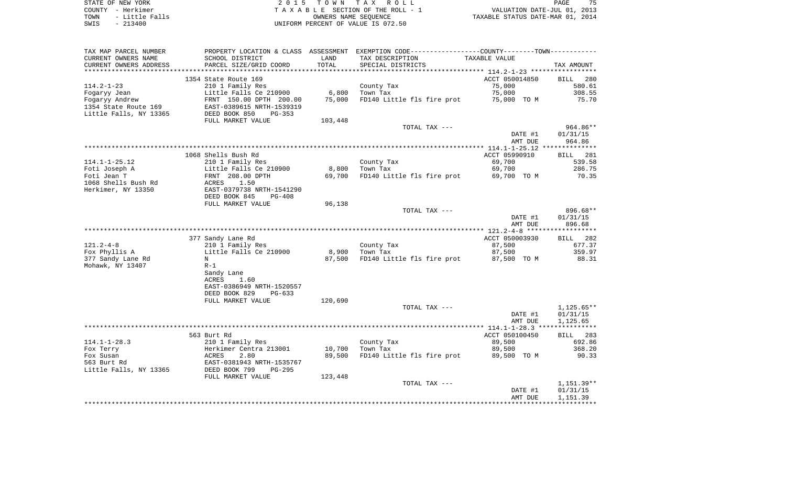STATE OF NEW YORK 2 0 1 5 T O W N T A X R O L L PAGE 75COUNTY - Herkimer **T A X A B L E** SECTION OF THE ROLL - 1 VALUATION DATE-JUL 01, 2013 TOWN - Little Falls OWNERS NAME SEQUENCE TAXABLE STATUS DATE-MAR 01, 2014 SWIS - 213400 UNIFORM PERCENT OF VALUE IS 072.50

TAX MAP PARCEL NUMBER PROPERTY LOCATION & CLASS ASSESSMENT EXEMPTION CODE------------------COUNTY--------TOWN------------ CURRENT OWNERS NAME SCHOOL DISTRICT LAND TAX DESCRIPTION TAXABLE VALUECURRENT OWNERS ADDRESS PARCEL SIZE/GRID COORD TOTAL SPECIAL DISTRICTS TAX AMOUNT \*\*\*\*\*\*\*\*\*\*\*\*\*\*\*\*\*\*\*\*\*\*\*\*\*\*\*\*\*\*\*\*\*\*\*\*\*\*\*\*\*\*\*\*\*\*\*\*\*\*\*\*\*\*\*\*\*\*\*\*\*\*\*\*\*\*\*\*\*\*\*\*\*\*\*\*\*\*\*\*\*\*\*\*\*\*\*\*\*\*\*\*\*\*\*\*\*\*\*\*\*\*\* 114.2-1-23 \*\*\*\*\*\*\*\*\*\*\*\*\*\*\*\*\*1354 State Route 169 **ACCT** 050014850 BILL 280 580.61 114.2-1-23 210 1 Family Res County Tax 75,000 Fogaryy Jean Little Falls Ce 210900 6,800 Town Tax 75,000 308.55 Fogaryy Andrew FRNT 150.00 DPTH 200.00 75,000 FD140 Little fls fire prot 75,000 TO M 75.70 1354 State Route 169 EAST-0389615 NRTH-1539319Little Falls, NY 13365 DEED BOOK 850 PG-353 FULL MARKET VALUE 103,448 TOTAL TAX --- 964.86\*\* DATE #1 01/31/15 AMT DUE 964.86\*\*\*\*\*\*\*\*\*\*\*\*\*\* \*\*\*\*\*\*\*\*\*\*\*\*\*\*\*\*\*\*\*\*\*\*\*\*\*\*\*\*\*\*\*\*\*\*\*\*\*\*\*\*\*\*\*\*\*\*\*\*\*\*\*\*\*\*\*\*\*\*\*\*\*\*\*\*\*\*\*\*\*\*\*\*\*\*\*\*\*\*\*\*\*\*\*\*\*\*\*\*\*\*\*\*\*\*\*\*\*\*\*\*\*\*\* 114.1-1-25.12 \*\*\*\*\*\*\*\*\*\*\*\*\*\* 1068 Shells Bush Rd ACCT 05990910 BILL 281114.1-1-25.12 210 1 Family Res County Tax 69,700 539.58 Foti Joseph A Little Falls Ce 210900 8,800 Town Tax 69,700 286.75 Foti Jean T FRNT 208.00 DPTH 69,700 FD140 Little fls fire prot 69,700 TO M 70.35 1068 Shells Bush Rd ACRES 1.50Herkimer, NY 13350 EAST-0379738 NRTH-1541290 DEED BOOK 845 PG-408FULL MARKET VALUE 96,138 TOTAL TAX --- 896.68\*\* DATE #1 01/31/15 AMT DUE 896.68 \*\*\*\*\*\*\*\*\*\*\*\*\*\*\*\*\*\*\*\*\*\*\*\*\*\*\*\*\*\*\*\*\*\*\*\*\*\*\*\*\*\*\*\*\*\*\*\*\*\*\*\*\*\*\*\*\*\*\*\*\*\*\*\*\*\*\*\*\*\*\*\*\*\*\*\*\*\*\*\*\*\*\*\*\*\*\*\*\*\*\*\*\*\*\*\*\*\*\*\*\*\*\* 121.2-4-8 \*\*\*\*\*\*\*\*\*\*\*\*\*\*\*\*\*\*BILL 282 377 Sandy Lane Rd ACCT 050003930 BILL 282 121.2-4-8 210 1 Family Res County Tax 87,500 677.37 Fox Phyllis A Little Falls Ce 210900 8,900 Town Tax 87,500 359.97 377 Sandy Lane Rd N 88.31 N 87,500 FD140 Little fls fire prot 87,500 TO M 88.31 Mohawk, NY 13407 R-1 Sandy Lane ACRES 1.60 EAST-0386949 NRTH-1520557 DEED BOOK 829 PG-633FULL MARKET VALUE 120,690 TOTAL TAX  $---$  1,125.65\*\* DATE #1 01/31/15 AMT DUE 1,125.65 \*\*\*\*\*\*\*\*\*\*\*\*\*\*\*\*\*\*\*\*\*\*\*\*\*\*\*\*\*\*\*\*\*\*\*\*\*\*\*\*\*\*\*\*\*\*\*\*\*\*\*\*\*\*\*\*\*\*\*\*\*\*\*\*\*\*\*\*\*\*\*\*\*\*\*\*\*\*\*\*\*\*\*\*\*\*\*\*\*\*\*\*\*\*\*\*\*\*\*\*\*\*\* 114.1-1-28.3 \*\*\*\*\*\*\*\*\*\*\*\*\*\*\* 563 Burt Rd ACCT 050100450 BILL 283114.1-1-28.3 210 1 Family Res County Tax 89,500 692.86 Fox Terry Herkimer Centra 213001 10,700 Town Tax 89,500 368.20 Fox Susan 60 10 10 10 12 12 13 13 14 15 16 16 17 18 18 18 18 18 19 18 18 19 19 19 19 19 19 19 19 19 19 19 19 1 563 Burt Rd EAST-0381943 NRTH-1535767Little Falls, NY 13365 DEED BOOK 799 PG-295 FULL MARKET VALUE 123,448 TOTAL TAX --- 1,151.39\*\* DATE #1 01/31/15 AMT DUE 1,151.39 \*\*\*\*\*\*\*\*\*\*\*\*\*\*\*\*\*\*\*\*\*\*\*\*\*\*\*\*\*\*\*\*\*\*\*\*\*\*\*\*\*\*\*\*\*\*\*\*\*\*\*\*\*\*\*\*\*\*\*\*\*\*\*\*\*\*\*\*\*\*\*\*\*\*\*\*\*\*\*\*\*\*\*\*\*\*\*\*\*\*\*\*\*\*\*\*\*\*\*\*\*\*\*\*\*\*\*\*\*\*\*\*\*\*\*\*\*\*\*\*\*\*\*\*\*\*\*\*\*\*\*\*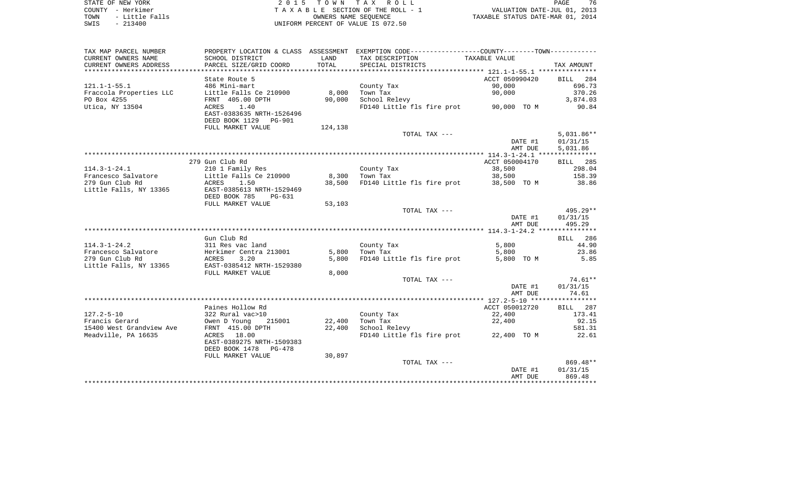| STATE OF NEW YORK |  |           |                |  |
|-------------------|--|-----------|----------------|--|
| COUNTY - Herkimer |  |           |                |  |
| TOWN              |  |           | - Little Falls |  |
| SWTS              |  | $-213400$ |                |  |

2015 TOWN TAX ROLL TA X A B L E SECTION OF THE ROLL - 1 TOWN - Little Falls OWNERS NAME SEQUENCE TAXABLE STATUS DATE-MAR 01, 2014 SWIS - 213400 UNIFORM PERCENT OF VALUE IS 072.50

| TAX MAP PARCEL NUMBER    |                           |         | PROPERTY LOCATION & CLASS ASSESSMENT EXEMPTION CODE---------------COUNTY-------TOWN---------- |                |              |
|--------------------------|---------------------------|---------|-----------------------------------------------------------------------------------------------|----------------|--------------|
| CURRENT OWNERS NAME      | SCHOOL DISTRICT           | LAND    | TAX DESCRIPTION                                                                               | TAXABLE VALUE  |              |
| CURRENT OWNERS ADDRESS   | PARCEL SIZE/GRID COORD    | TOTAL   | SPECIAL DISTRICTS                                                                             |                | TAX AMOUNT   |
|                          |                           |         |                                                                                               |                |              |
|                          | State Route 5             |         |                                                                                               | ACCT 050990420 | 284<br>BILL  |
| $121.1 - 1 - 55.1$       | 486 Mini-mart             |         | County Tax                                                                                    | 90,000         | 696.73       |
| Fraccola Properties LLC  | Little Falls Ce 210900    | 8,000   | Town Tax                                                                                      | 90,000         | 370.26       |
| PO Box 4255              | FRNT 405.00 DPTH          | 90,000  | School Relevy                                                                                 |                | 3,874.03     |
| Utica, NY 13504          | ACRES<br>1.40             |         | FD140 Little fls fire prot 90,000 TO M                                                        |                | 90.84        |
|                          | EAST-0383635 NRTH-1526496 |         |                                                                                               |                |              |
|                          | DEED BOOK 1129 PG-901     |         |                                                                                               |                |              |
|                          | FULL MARKET VALUE         | 124,138 |                                                                                               |                |              |
|                          |                           |         | TOTAL TAX ---                                                                                 |                | $5,031.86**$ |
|                          |                           |         |                                                                                               | DATE #1        | 01/31/15     |
|                          |                           |         |                                                                                               | AMT DUE        |              |
|                          |                           |         |                                                                                               |                | 5,031.86     |
|                          |                           |         |                                                                                               |                |              |
|                          | 279 Gun Club Rd           |         |                                                                                               | ACCT 050004170 | BILL 285     |
| $114.3 - 1 - 24.1$       | 210 1 Family Res          |         | County Tax                                                                                    | 38,500         | 298.04       |
| Francesco Salvatore      | Little Falls Ce 210900    | 8,300   | Town Tax                                                                                      | 38,500         | 158.39       |
| 279 Gun Club Rd          | ACRES<br>1.50             | 38,500  | FD140 Little fls fire prot 38,500 TO M                                                        |                | 38.86        |
| Little Falls, NY 13365   | EAST-0385613 NRTH-1529469 |         |                                                                                               |                |              |
|                          | DEED BOOK 785<br>PG-631   |         |                                                                                               |                |              |
|                          | FULL MARKET VALUE         | 53,103  |                                                                                               |                |              |
|                          |                           |         | TOTAL TAX ---                                                                                 |                | $495.29**$   |
|                          |                           |         |                                                                                               | DATE #1        | 01/31/15     |
|                          |                           |         |                                                                                               | AMT DUE        | 495.29       |
|                          |                           |         |                                                                                               |                |              |
|                          | Gun Club Rd               |         |                                                                                               |                | BILL 286     |
| $114.3 - 1 - 24.2$       | 311 Res vac land          |         | County Tax                                                                                    | 5,800          | 44.90        |
| Francesco Salvatore      | Herkimer Centra 213001    | 5,800   | Town Tax                                                                                      | 5,800          | 23.86        |
| 279 Gun Club Rd          | ACRES<br>3.20             | 5,800   | FD140 Little fls fire prot                                                                    | 5,800 TO M     | 5.85         |
| Little Falls, NY 13365   | EAST-0385412 NRTH-1529380 |         |                                                                                               |                |              |
|                          | FULL MARKET VALUE         | 8,000   |                                                                                               |                |              |
|                          |                           |         | TOTAL TAX ---                                                                                 |                | $74.61**$    |
|                          |                           |         |                                                                                               | DATE #1        | 01/31/15     |
|                          |                           |         |                                                                                               | AMT DUE        | 74.61        |
|                          |                           |         |                                                                                               |                |              |
|                          | Paines Hollow Rd          |         |                                                                                               | ACCT 050012720 | BILL 287     |
| $127.2 - 5 - 10$         | 322 Rural vac>10          |         | County Tax                                                                                    | 22,400         | 173.41       |
| Francis Gerard           | Owen D Young<br>215001    | 22,400  | Town Tax                                                                                      | 22,400         | 92.15        |
| 15400 West Grandview Ave | FRNT 415.00 DPTH          | 22,400  | School Relevy                                                                                 |                | 581.31       |
| Meadville, PA 16635      | ACRES 18.00               |         | FD140 Little fls fire prot 22,400 TO M                                                        |                | 22.61        |
|                          | EAST-0389275 NRTH-1509383 |         |                                                                                               |                |              |
|                          | DEED BOOK 1478 PG-478     |         |                                                                                               |                |              |
|                          | FULL MARKET VALUE         | 30,897  |                                                                                               |                |              |
|                          |                           |         | TOTAL TAX ---                                                                                 |                | 869.48**     |
|                          |                           |         |                                                                                               | DATE #1        | 01/31/15     |
|                          |                           |         |                                                                                               | AMT DUE        | 869.48       |
|                          |                           |         |                                                                                               |                |              |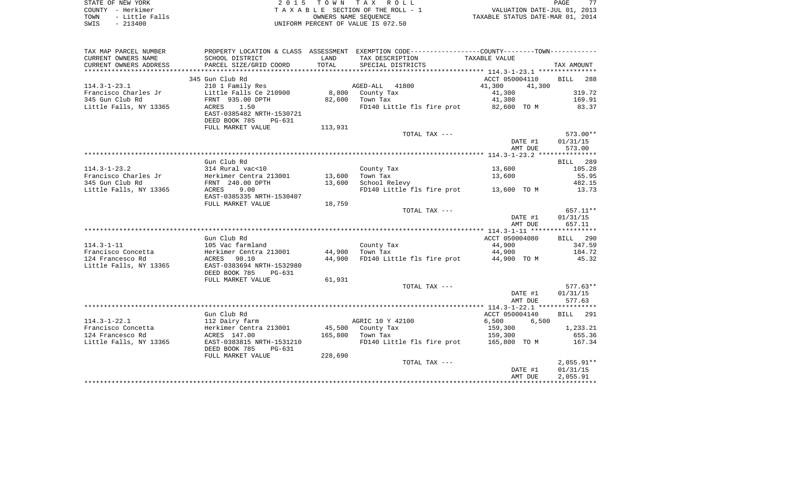| STATE OF NEW YORK      | 2015 TOWN TAX ROLL                 | 77<br>PAGE                       |
|------------------------|------------------------------------|----------------------------------|
| COUNTY - Herkimer      | TAXABLE SECTION OF THE ROLL - 1    | VALUATION DATE-JUL 01, 2013      |
| - Little Falls<br>TOWN | OWNERS NAME SEOUENCE               | TAXABLE STATUS DATE-MAR 01, 2014 |
| $-213400$<br>SWIS      | UNIFORM PERCENT OF VALUE IS 072.50 |                                  |

| TAX MAP PARCEL NUMBER  |                                                      |         | PROPERTY LOCATION & CLASS ASSESSMENT EXEMPTION CODE----------------COUNTY--------TOWN---------- |                  |                    |
|------------------------|------------------------------------------------------|---------|-------------------------------------------------------------------------------------------------|------------------|--------------------|
| CURRENT OWNERS NAME    | SCHOOL DISTRICT                                      | LAND    | TAX DESCRIPTION                                                                                 | TAXABLE VALUE    |                    |
| CURRENT OWNERS ADDRESS | PARCEL SIZE/GRID COORD                               | TOTAL   | SPECIAL DISTRICTS                                                                               |                  | TAX AMOUNT         |
| ********************   | ****************************                         |         |                                                                                                 |                  |                    |
|                        | 345 Gun Club Rd                                      |         |                                                                                                 | ACCT 050004110   | <b>BILL</b><br>288 |
| $114.3 - 1 - 23.1$     | 210 1 Family Res                                     |         | AGED-ALL 41800                                                                                  | 41,300<br>41,300 |                    |
| Francisco Charles Jr   | Little Falls Ce 210900                               |         | 8,800 County Tax                                                                                | 41,300           | 319.72             |
| 345 Gun Club Rd        | FRNT 935.00 DPTH                                     | 82,600  | Town Tax                                                                                        | 41,300           | 169.91             |
| Little Falls, NY 13365 | 1.50<br>ACRES                                        |         | FD140 Little fls fire prot 82,600 TO M                                                          |                  | 83.37              |
|                        | EAST-0385482 NRTH-1530721<br>DEED BOOK 785<br>PG-631 |         |                                                                                                 |                  |                    |
|                        | FULL MARKET VALUE                                    | 113,931 |                                                                                                 |                  |                    |
|                        |                                                      |         | TOTAL TAX ---                                                                                   |                  | 573.00**           |
|                        |                                                      |         |                                                                                                 | DATE #1          | 01/31/15           |
|                        |                                                      |         |                                                                                                 | AMT DUE          | 573.00             |
|                        |                                                      |         |                                                                                                 |                  |                    |
|                        | Gun Club Rd                                          |         |                                                                                                 |                  | BILL 289           |
| $114.3 - 1 - 23.2$     | 314 Rural vac<10                                     |         | County Tax                                                                                      | 13,600           | 105.28             |
| Francisco Charles Jr   |                                                      | 13,600  | Town Tax                                                                                        | 13,600           | 55.95              |
| 345 Gun Club Rd        | Herkimer Centra 213001<br>FRNT 240.00 DPTH           | 13,600  | School Relevy                                                                                   |                  | 482.15             |
| Little Falls, NY 13365 | ACRES<br>9.00                                        |         | FD140 Little fls fire prot 13,600 TO M                                                          |                  | 13.73              |
|                        | EAST-0385335 NRTH-1530407                            |         |                                                                                                 |                  |                    |
|                        | FULL MARKET VALUE                                    | 18,759  |                                                                                                 |                  |                    |
|                        |                                                      |         | TOTAL TAX ---                                                                                   |                  | 657.11**           |
|                        |                                                      |         |                                                                                                 | DATE #1          | 01/31/15           |
|                        |                                                      |         |                                                                                                 | AMT DUE          | 657.11             |
|                        |                                                      |         |                                                                                                 |                  |                    |
|                        | Gun Club Rd                                          |         |                                                                                                 | ACCT 050004080   | BILL 290           |
| $114.3 - 1 - 11$       | 105 Vac farmland                                     |         | County Tax                                                                                      | 44,900           | 347.59             |
| Francisco Concetta     | Herkimer Centra 213001                               | 44,900  | Town Tax                                                                                        | 44,900           | 184.72             |
| 124 Francesco Rd       | 90.10<br>ACRES                                       | 44,900  | FD140 Little fls fire prot 44,900 TO M                                                          |                  | 45.32              |
| Little Falls, NY 13365 | EAST-0383694 NRTH-1532980                            |         |                                                                                                 |                  |                    |
|                        | DEED BOOK 785<br>PG-631                              |         |                                                                                                 |                  |                    |
|                        | FULL MARKET VALUE                                    | 61,931  |                                                                                                 |                  |                    |
|                        |                                                      |         | TOTAL TAX ---                                                                                   |                  | $577.63**$         |
|                        |                                                      |         |                                                                                                 | DATE #1          | 01/31/15           |
|                        |                                                      |         |                                                                                                 | AMT DUE          | 577.63             |
|                        |                                                      |         |                                                                                                 |                  |                    |
|                        | Gun Club Rd                                          |         |                                                                                                 | ACCT 050004140   | BILL 291           |
| $114.3 - 1 - 22.1$     | 112 Dairy farm                                       |         | AGRIC 10 Y 42100                                                                                | 6,500 6,500      |                    |
| Francisco Concetta     | Herkimer Centra 213001                               |         | 45,500 County Tax                                                                               | 159,300          | 1,233.21<br>655.36 |
| 124 Francesco Rd       | ACRES 147.00                                         |         | 165,800 Town Tax<br>FD140 Little fls fire prot 165,800 TO M                                     | 159,300          | 167.34             |
| Little Falls, NY 13365 | EAST-0383815 NRTH-1531210                            |         |                                                                                                 |                  |                    |
|                        | DEED BOOK 785<br>PG-631                              | 228,690 |                                                                                                 |                  |                    |
|                        | FULL MARKET VALUE                                    |         | TOTAL TAX ---                                                                                   |                  | $2,055.91**$       |
|                        |                                                      |         |                                                                                                 | DATE #1          | 01/31/15           |
|                        |                                                      |         |                                                                                                 | AMT DUE          | 2,055.91           |
|                        |                                                      |         |                                                                                                 |                  |                    |
|                        |                                                      |         |                                                                                                 |                  |                    |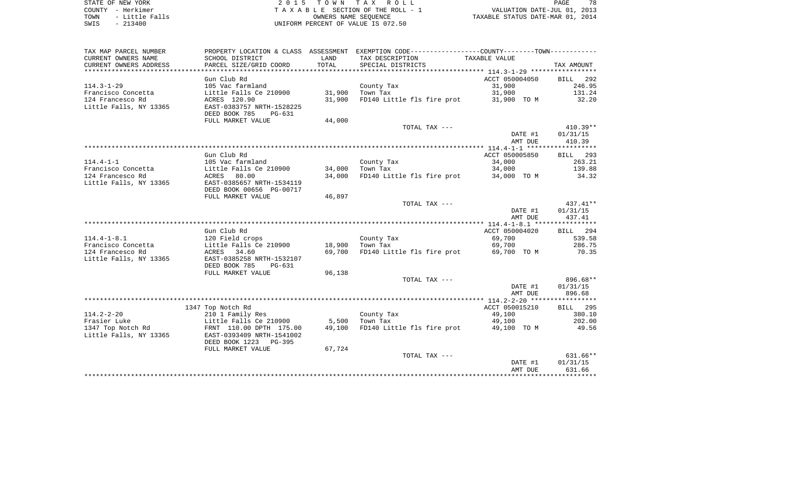STATE OF NEW YORK **EXECUTE:** A 2 0 1 5 T O W N T A X R O L L COUNTY - Herkimer<br>
T A X A B L E SECTION OF THE ROLL - 1<br>
T A X A B L E SECTION OF THE ROLL - 1<br>
OWNERS NAME SEQUENCE<br>
SWIS - 213400 TOWN - LITTLE FALLS OF THE ROLL - 1<br>
TAXABLE STATUS DATE-JUL 01, 2013<br>
OWNERS NAME SEQUENCE TAXABLE STATUS DATE-MAR 01, 2014 SWIS - 213400 UNIFORM PERCENT OF VALUE IS 072.50

PAGE 78

| CURRENT OWNERS NAME<br>SCHOOL DISTRICT<br>LAND<br>TAX DESCRIPTION<br>TAXABLE VALUE<br>PARCEL SIZE/GRID COORD<br>TOTAL<br>CURRENT OWNERS ADDRESS<br>SPECIAL DISTRICTS<br>TAX AMOUNT<br>********************<br>********************<br>Gun Club Rd<br>ACCT 050004050<br>292<br><b>BILL</b><br>$114.3 - 1 - 29$<br>246.95<br>105 Vac farmland<br>County Tax<br>31,900<br>Francisco Concetta<br>Little Falls Ce 210900<br>31,900<br>31,900<br>131.24<br>Town Tax<br>32.20<br>124 Francesco Rd<br>ACRES 120.90<br>31,900<br>FD140 Little fls fire prot<br>31,900 TO M<br>Little Falls, NY 13365<br>EAST-0383757 NRTH-1528225<br>DEED BOOK 785<br>PG-631<br>FULL MARKET VALUE<br>44,000<br>410.39**<br>TOTAL TAX ---<br>DATE #1<br>01/31/15<br>410.39<br>AMT DUE<br>Gun Club Rd<br>ACCT 050005850<br>BILL 293<br>263.21<br>$114.4 - 1 - 1$<br>105 Vac farmland<br>County Tax<br>34,000<br>Francisco Concetta<br>Little Falls Ce 210900<br>34,000<br>Town Tax<br>34,000<br>139.88<br>124 Francesco Rd<br>ACRES<br>80.00<br>FD140 Little fls fire prot<br>34.32<br>34,000<br>34,000 TO M<br>EAST-0385657 NRTH-1534119<br>Little Falls, NY 13365<br>DEED BOOK 00656 PG-00717<br>46,897<br>FULL MARKET VALUE<br>$437.41**$<br>TOTAL TAX ---<br>DATE #1<br>01/31/15<br>437.41<br>AMT DUE<br>ACCT 050004020<br>Gun Club Rd<br>BILL 294<br>$114.4 - 1 - 8.1$<br>69,700<br>539.58<br>120 Field crops<br>County Tax<br>Francisco Concetta<br>Little Falls Ce 210900<br>18,900<br>Town Tax<br>69,700<br>286.75<br>FD140 Little fls fire prot<br>124 Francesco Rd<br>ACRES 34.60<br>69,700<br>69,700 TO M<br>70.35<br>Little Falls, NY 13365<br>EAST-0385258 NRTH-1532107<br>DEED BOOK 785<br>PG-631<br>FULL MARKET VALUE<br>96,138<br>896.68**<br>TOTAL TAX ---<br>01/31/15<br>DATE #1<br>AMT DUE<br>896.68<br>ACCT 050015210<br><b>BILL</b> 295<br>1347 Top Notch Rd<br>$114.2 - 2 - 20$<br>210 1 Family Res<br>County Tax<br>49,100<br>380.10<br>Frasier Luke<br>Little Falls Ce 210900<br>5,500<br>202.00<br>Town Tax<br>49,100<br>1347 Top Notch Rd<br>49,100<br>FD140 Little fls fire prot<br>49.56<br>FRNT 110.00 DPTH 175.00<br>49,100 TO M<br>Little Falls, NY 13365<br>EAST-0393409 NRTH-1541002<br>DEED BOOK 1223 PG-395<br>FULL MARKET VALUE<br>67,724<br>631.66**<br>TOTAL TAX ---<br>01/31/15<br>DATE #1<br>631.66<br>AMT DUE | TAX MAP PARCEL NUMBER |  | PROPERTY LOCATION & CLASS ASSESSMENT EXEMPTION CODE---------------COUNTY-------TOWN--------- |  |
|-----------------------------------------------------------------------------------------------------------------------------------------------------------------------------------------------------------------------------------------------------------------------------------------------------------------------------------------------------------------------------------------------------------------------------------------------------------------------------------------------------------------------------------------------------------------------------------------------------------------------------------------------------------------------------------------------------------------------------------------------------------------------------------------------------------------------------------------------------------------------------------------------------------------------------------------------------------------------------------------------------------------------------------------------------------------------------------------------------------------------------------------------------------------------------------------------------------------------------------------------------------------------------------------------------------------------------------------------------------------------------------------------------------------------------------------------------------------------------------------------------------------------------------------------------------------------------------------------------------------------------------------------------------------------------------------------------------------------------------------------------------------------------------------------------------------------------------------------------------------------------------------------------------------------------------------------------------------------------------------------------------------------------------------------------------------------------------------------------------------------------------------------------------------------------------------------------------------------------------------------------------------------------------------------------------------------------|-----------------------|--|----------------------------------------------------------------------------------------------|--|
|                                                                                                                                                                                                                                                                                                                                                                                                                                                                                                                                                                                                                                                                                                                                                                                                                                                                                                                                                                                                                                                                                                                                                                                                                                                                                                                                                                                                                                                                                                                                                                                                                                                                                                                                                                                                                                                                                                                                                                                                                                                                                                                                                                                                                                                                                                                             |                       |  |                                                                                              |  |
|                                                                                                                                                                                                                                                                                                                                                                                                                                                                                                                                                                                                                                                                                                                                                                                                                                                                                                                                                                                                                                                                                                                                                                                                                                                                                                                                                                                                                                                                                                                                                                                                                                                                                                                                                                                                                                                                                                                                                                                                                                                                                                                                                                                                                                                                                                                             |                       |  |                                                                                              |  |
|                                                                                                                                                                                                                                                                                                                                                                                                                                                                                                                                                                                                                                                                                                                                                                                                                                                                                                                                                                                                                                                                                                                                                                                                                                                                                                                                                                                                                                                                                                                                                                                                                                                                                                                                                                                                                                                                                                                                                                                                                                                                                                                                                                                                                                                                                                                             |                       |  |                                                                                              |  |
|                                                                                                                                                                                                                                                                                                                                                                                                                                                                                                                                                                                                                                                                                                                                                                                                                                                                                                                                                                                                                                                                                                                                                                                                                                                                                                                                                                                                                                                                                                                                                                                                                                                                                                                                                                                                                                                                                                                                                                                                                                                                                                                                                                                                                                                                                                                             |                       |  |                                                                                              |  |
|                                                                                                                                                                                                                                                                                                                                                                                                                                                                                                                                                                                                                                                                                                                                                                                                                                                                                                                                                                                                                                                                                                                                                                                                                                                                                                                                                                                                                                                                                                                                                                                                                                                                                                                                                                                                                                                                                                                                                                                                                                                                                                                                                                                                                                                                                                                             |                       |  |                                                                                              |  |
|                                                                                                                                                                                                                                                                                                                                                                                                                                                                                                                                                                                                                                                                                                                                                                                                                                                                                                                                                                                                                                                                                                                                                                                                                                                                                                                                                                                                                                                                                                                                                                                                                                                                                                                                                                                                                                                                                                                                                                                                                                                                                                                                                                                                                                                                                                                             |                       |  |                                                                                              |  |
|                                                                                                                                                                                                                                                                                                                                                                                                                                                                                                                                                                                                                                                                                                                                                                                                                                                                                                                                                                                                                                                                                                                                                                                                                                                                                                                                                                                                                                                                                                                                                                                                                                                                                                                                                                                                                                                                                                                                                                                                                                                                                                                                                                                                                                                                                                                             |                       |  |                                                                                              |  |
|                                                                                                                                                                                                                                                                                                                                                                                                                                                                                                                                                                                                                                                                                                                                                                                                                                                                                                                                                                                                                                                                                                                                                                                                                                                                                                                                                                                                                                                                                                                                                                                                                                                                                                                                                                                                                                                                                                                                                                                                                                                                                                                                                                                                                                                                                                                             |                       |  |                                                                                              |  |
|                                                                                                                                                                                                                                                                                                                                                                                                                                                                                                                                                                                                                                                                                                                                                                                                                                                                                                                                                                                                                                                                                                                                                                                                                                                                                                                                                                                                                                                                                                                                                                                                                                                                                                                                                                                                                                                                                                                                                                                                                                                                                                                                                                                                                                                                                                                             |                       |  |                                                                                              |  |
|                                                                                                                                                                                                                                                                                                                                                                                                                                                                                                                                                                                                                                                                                                                                                                                                                                                                                                                                                                                                                                                                                                                                                                                                                                                                                                                                                                                                                                                                                                                                                                                                                                                                                                                                                                                                                                                                                                                                                                                                                                                                                                                                                                                                                                                                                                                             |                       |  |                                                                                              |  |
|                                                                                                                                                                                                                                                                                                                                                                                                                                                                                                                                                                                                                                                                                                                                                                                                                                                                                                                                                                                                                                                                                                                                                                                                                                                                                                                                                                                                                                                                                                                                                                                                                                                                                                                                                                                                                                                                                                                                                                                                                                                                                                                                                                                                                                                                                                                             |                       |  |                                                                                              |  |
|                                                                                                                                                                                                                                                                                                                                                                                                                                                                                                                                                                                                                                                                                                                                                                                                                                                                                                                                                                                                                                                                                                                                                                                                                                                                                                                                                                                                                                                                                                                                                                                                                                                                                                                                                                                                                                                                                                                                                                                                                                                                                                                                                                                                                                                                                                                             |                       |  |                                                                                              |  |
|                                                                                                                                                                                                                                                                                                                                                                                                                                                                                                                                                                                                                                                                                                                                                                                                                                                                                                                                                                                                                                                                                                                                                                                                                                                                                                                                                                                                                                                                                                                                                                                                                                                                                                                                                                                                                                                                                                                                                                                                                                                                                                                                                                                                                                                                                                                             |                       |  |                                                                                              |  |
|                                                                                                                                                                                                                                                                                                                                                                                                                                                                                                                                                                                                                                                                                                                                                                                                                                                                                                                                                                                                                                                                                                                                                                                                                                                                                                                                                                                                                                                                                                                                                                                                                                                                                                                                                                                                                                                                                                                                                                                                                                                                                                                                                                                                                                                                                                                             |                       |  |                                                                                              |  |
|                                                                                                                                                                                                                                                                                                                                                                                                                                                                                                                                                                                                                                                                                                                                                                                                                                                                                                                                                                                                                                                                                                                                                                                                                                                                                                                                                                                                                                                                                                                                                                                                                                                                                                                                                                                                                                                                                                                                                                                                                                                                                                                                                                                                                                                                                                                             |                       |  |                                                                                              |  |
|                                                                                                                                                                                                                                                                                                                                                                                                                                                                                                                                                                                                                                                                                                                                                                                                                                                                                                                                                                                                                                                                                                                                                                                                                                                                                                                                                                                                                                                                                                                                                                                                                                                                                                                                                                                                                                                                                                                                                                                                                                                                                                                                                                                                                                                                                                                             |                       |  |                                                                                              |  |
|                                                                                                                                                                                                                                                                                                                                                                                                                                                                                                                                                                                                                                                                                                                                                                                                                                                                                                                                                                                                                                                                                                                                                                                                                                                                                                                                                                                                                                                                                                                                                                                                                                                                                                                                                                                                                                                                                                                                                                                                                                                                                                                                                                                                                                                                                                                             |                       |  |                                                                                              |  |
|                                                                                                                                                                                                                                                                                                                                                                                                                                                                                                                                                                                                                                                                                                                                                                                                                                                                                                                                                                                                                                                                                                                                                                                                                                                                                                                                                                                                                                                                                                                                                                                                                                                                                                                                                                                                                                                                                                                                                                                                                                                                                                                                                                                                                                                                                                                             |                       |  |                                                                                              |  |
|                                                                                                                                                                                                                                                                                                                                                                                                                                                                                                                                                                                                                                                                                                                                                                                                                                                                                                                                                                                                                                                                                                                                                                                                                                                                                                                                                                                                                                                                                                                                                                                                                                                                                                                                                                                                                                                                                                                                                                                                                                                                                                                                                                                                                                                                                                                             |                       |  |                                                                                              |  |
|                                                                                                                                                                                                                                                                                                                                                                                                                                                                                                                                                                                                                                                                                                                                                                                                                                                                                                                                                                                                                                                                                                                                                                                                                                                                                                                                                                                                                                                                                                                                                                                                                                                                                                                                                                                                                                                                                                                                                                                                                                                                                                                                                                                                                                                                                                                             |                       |  |                                                                                              |  |
|                                                                                                                                                                                                                                                                                                                                                                                                                                                                                                                                                                                                                                                                                                                                                                                                                                                                                                                                                                                                                                                                                                                                                                                                                                                                                                                                                                                                                                                                                                                                                                                                                                                                                                                                                                                                                                                                                                                                                                                                                                                                                                                                                                                                                                                                                                                             |                       |  |                                                                                              |  |
|                                                                                                                                                                                                                                                                                                                                                                                                                                                                                                                                                                                                                                                                                                                                                                                                                                                                                                                                                                                                                                                                                                                                                                                                                                                                                                                                                                                                                                                                                                                                                                                                                                                                                                                                                                                                                                                                                                                                                                                                                                                                                                                                                                                                                                                                                                                             |                       |  |                                                                                              |  |
|                                                                                                                                                                                                                                                                                                                                                                                                                                                                                                                                                                                                                                                                                                                                                                                                                                                                                                                                                                                                                                                                                                                                                                                                                                                                                                                                                                                                                                                                                                                                                                                                                                                                                                                                                                                                                                                                                                                                                                                                                                                                                                                                                                                                                                                                                                                             |                       |  |                                                                                              |  |
|                                                                                                                                                                                                                                                                                                                                                                                                                                                                                                                                                                                                                                                                                                                                                                                                                                                                                                                                                                                                                                                                                                                                                                                                                                                                                                                                                                                                                                                                                                                                                                                                                                                                                                                                                                                                                                                                                                                                                                                                                                                                                                                                                                                                                                                                                                                             |                       |  |                                                                                              |  |
|                                                                                                                                                                                                                                                                                                                                                                                                                                                                                                                                                                                                                                                                                                                                                                                                                                                                                                                                                                                                                                                                                                                                                                                                                                                                                                                                                                                                                                                                                                                                                                                                                                                                                                                                                                                                                                                                                                                                                                                                                                                                                                                                                                                                                                                                                                                             |                       |  |                                                                                              |  |
|                                                                                                                                                                                                                                                                                                                                                                                                                                                                                                                                                                                                                                                                                                                                                                                                                                                                                                                                                                                                                                                                                                                                                                                                                                                                                                                                                                                                                                                                                                                                                                                                                                                                                                                                                                                                                                                                                                                                                                                                                                                                                                                                                                                                                                                                                                                             |                       |  |                                                                                              |  |
|                                                                                                                                                                                                                                                                                                                                                                                                                                                                                                                                                                                                                                                                                                                                                                                                                                                                                                                                                                                                                                                                                                                                                                                                                                                                                                                                                                                                                                                                                                                                                                                                                                                                                                                                                                                                                                                                                                                                                                                                                                                                                                                                                                                                                                                                                                                             |                       |  |                                                                                              |  |
|                                                                                                                                                                                                                                                                                                                                                                                                                                                                                                                                                                                                                                                                                                                                                                                                                                                                                                                                                                                                                                                                                                                                                                                                                                                                                                                                                                                                                                                                                                                                                                                                                                                                                                                                                                                                                                                                                                                                                                                                                                                                                                                                                                                                                                                                                                                             |                       |  |                                                                                              |  |
|                                                                                                                                                                                                                                                                                                                                                                                                                                                                                                                                                                                                                                                                                                                                                                                                                                                                                                                                                                                                                                                                                                                                                                                                                                                                                                                                                                                                                                                                                                                                                                                                                                                                                                                                                                                                                                                                                                                                                                                                                                                                                                                                                                                                                                                                                                                             |                       |  |                                                                                              |  |
|                                                                                                                                                                                                                                                                                                                                                                                                                                                                                                                                                                                                                                                                                                                                                                                                                                                                                                                                                                                                                                                                                                                                                                                                                                                                                                                                                                                                                                                                                                                                                                                                                                                                                                                                                                                                                                                                                                                                                                                                                                                                                                                                                                                                                                                                                                                             |                       |  |                                                                                              |  |
|                                                                                                                                                                                                                                                                                                                                                                                                                                                                                                                                                                                                                                                                                                                                                                                                                                                                                                                                                                                                                                                                                                                                                                                                                                                                                                                                                                                                                                                                                                                                                                                                                                                                                                                                                                                                                                                                                                                                                                                                                                                                                                                                                                                                                                                                                                                             |                       |  |                                                                                              |  |
|                                                                                                                                                                                                                                                                                                                                                                                                                                                                                                                                                                                                                                                                                                                                                                                                                                                                                                                                                                                                                                                                                                                                                                                                                                                                                                                                                                                                                                                                                                                                                                                                                                                                                                                                                                                                                                                                                                                                                                                                                                                                                                                                                                                                                                                                                                                             |                       |  |                                                                                              |  |
|                                                                                                                                                                                                                                                                                                                                                                                                                                                                                                                                                                                                                                                                                                                                                                                                                                                                                                                                                                                                                                                                                                                                                                                                                                                                                                                                                                                                                                                                                                                                                                                                                                                                                                                                                                                                                                                                                                                                                                                                                                                                                                                                                                                                                                                                                                                             |                       |  |                                                                                              |  |
|                                                                                                                                                                                                                                                                                                                                                                                                                                                                                                                                                                                                                                                                                                                                                                                                                                                                                                                                                                                                                                                                                                                                                                                                                                                                                                                                                                                                                                                                                                                                                                                                                                                                                                                                                                                                                                                                                                                                                                                                                                                                                                                                                                                                                                                                                                                             |                       |  |                                                                                              |  |
|                                                                                                                                                                                                                                                                                                                                                                                                                                                                                                                                                                                                                                                                                                                                                                                                                                                                                                                                                                                                                                                                                                                                                                                                                                                                                                                                                                                                                                                                                                                                                                                                                                                                                                                                                                                                                                                                                                                                                                                                                                                                                                                                                                                                                                                                                                                             |                       |  |                                                                                              |  |
|                                                                                                                                                                                                                                                                                                                                                                                                                                                                                                                                                                                                                                                                                                                                                                                                                                                                                                                                                                                                                                                                                                                                                                                                                                                                                                                                                                                                                                                                                                                                                                                                                                                                                                                                                                                                                                                                                                                                                                                                                                                                                                                                                                                                                                                                                                                             |                       |  |                                                                                              |  |
|                                                                                                                                                                                                                                                                                                                                                                                                                                                                                                                                                                                                                                                                                                                                                                                                                                                                                                                                                                                                                                                                                                                                                                                                                                                                                                                                                                                                                                                                                                                                                                                                                                                                                                                                                                                                                                                                                                                                                                                                                                                                                                                                                                                                                                                                                                                             |                       |  |                                                                                              |  |
|                                                                                                                                                                                                                                                                                                                                                                                                                                                                                                                                                                                                                                                                                                                                                                                                                                                                                                                                                                                                                                                                                                                                                                                                                                                                                                                                                                                                                                                                                                                                                                                                                                                                                                                                                                                                                                                                                                                                                                                                                                                                                                                                                                                                                                                                                                                             |                       |  |                                                                                              |  |
|                                                                                                                                                                                                                                                                                                                                                                                                                                                                                                                                                                                                                                                                                                                                                                                                                                                                                                                                                                                                                                                                                                                                                                                                                                                                                                                                                                                                                                                                                                                                                                                                                                                                                                                                                                                                                                                                                                                                                                                                                                                                                                                                                                                                                                                                                                                             |                       |  |                                                                                              |  |
|                                                                                                                                                                                                                                                                                                                                                                                                                                                                                                                                                                                                                                                                                                                                                                                                                                                                                                                                                                                                                                                                                                                                                                                                                                                                                                                                                                                                                                                                                                                                                                                                                                                                                                                                                                                                                                                                                                                                                                                                                                                                                                                                                                                                                                                                                                                             |                       |  |                                                                                              |  |
|                                                                                                                                                                                                                                                                                                                                                                                                                                                                                                                                                                                                                                                                                                                                                                                                                                                                                                                                                                                                                                                                                                                                                                                                                                                                                                                                                                                                                                                                                                                                                                                                                                                                                                                                                                                                                                                                                                                                                                                                                                                                                                                                                                                                                                                                                                                             |                       |  |                                                                                              |  |
|                                                                                                                                                                                                                                                                                                                                                                                                                                                                                                                                                                                                                                                                                                                                                                                                                                                                                                                                                                                                                                                                                                                                                                                                                                                                                                                                                                                                                                                                                                                                                                                                                                                                                                                                                                                                                                                                                                                                                                                                                                                                                                                                                                                                                                                                                                                             |                       |  |                                                                                              |  |
|                                                                                                                                                                                                                                                                                                                                                                                                                                                                                                                                                                                                                                                                                                                                                                                                                                                                                                                                                                                                                                                                                                                                                                                                                                                                                                                                                                                                                                                                                                                                                                                                                                                                                                                                                                                                                                                                                                                                                                                                                                                                                                                                                                                                                                                                                                                             |                       |  |                                                                                              |  |
|                                                                                                                                                                                                                                                                                                                                                                                                                                                                                                                                                                                                                                                                                                                                                                                                                                                                                                                                                                                                                                                                                                                                                                                                                                                                                                                                                                                                                                                                                                                                                                                                                                                                                                                                                                                                                                                                                                                                                                                                                                                                                                                                                                                                                                                                                                                             |                       |  |                                                                                              |  |
|                                                                                                                                                                                                                                                                                                                                                                                                                                                                                                                                                                                                                                                                                                                                                                                                                                                                                                                                                                                                                                                                                                                                                                                                                                                                                                                                                                                                                                                                                                                                                                                                                                                                                                                                                                                                                                                                                                                                                                                                                                                                                                                                                                                                                                                                                                                             |                       |  |                                                                                              |  |
|                                                                                                                                                                                                                                                                                                                                                                                                                                                                                                                                                                                                                                                                                                                                                                                                                                                                                                                                                                                                                                                                                                                                                                                                                                                                                                                                                                                                                                                                                                                                                                                                                                                                                                                                                                                                                                                                                                                                                                                                                                                                                                                                                                                                                                                                                                                             |                       |  |                                                                                              |  |
|                                                                                                                                                                                                                                                                                                                                                                                                                                                                                                                                                                                                                                                                                                                                                                                                                                                                                                                                                                                                                                                                                                                                                                                                                                                                                                                                                                                                                                                                                                                                                                                                                                                                                                                                                                                                                                                                                                                                                                                                                                                                                                                                                                                                                                                                                                                             |                       |  |                                                                                              |  |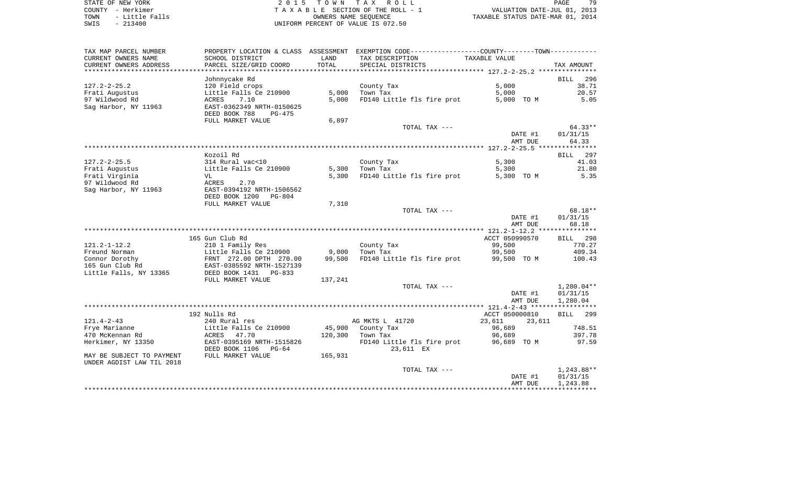STATE OF NEW YORK **EXECUTE:** TOWN TAX ROLL COUNTY - Herkimer<br>
T A X A B L E SECTION OF THE ROLL - 1<br>
T A X A B L E SECTION OF THE ROLL - 1<br>
OWNERS NAME SEQUENCE<br>
SWIS - 213400<br>
OWNERS NAME SEQUENCE TOWN - LITTLE FALLS OF THE ROLL - 1<br>
TAXABLE STATUS DATE-JUL 01, 2013<br>
OWNERS NAME SEQUENCE TAXABLE STATUS DATE-MAR 01, 2014 SWIS - 213400 UNIFORM PERCENT OF VALUE IS 072.50

PAGE 79

| TAX MAP PARCEL NUMBER                                  | PROPERTY LOCATION & CLASS ASSESSMENT                                      |         | EXEMPTION CODE-----------------COUNTY-------TOWN----------- |                    |                   |
|--------------------------------------------------------|---------------------------------------------------------------------------|---------|-------------------------------------------------------------|--------------------|-------------------|
| CURRENT OWNERS NAME                                    | SCHOOL DISTRICT                                                           | LAND    | TAX DESCRIPTION                                             | TAXABLE VALUE      |                   |
| CURRENT OWNERS ADDRESS                                 | PARCEL SIZE/GRID COORD                                                    | TOTAL   | SPECIAL DISTRICTS                                           |                    | TAX AMOUNT        |
|                                                        |                                                                           |         |                                                             |                    |                   |
|                                                        | Johnnycake Rd                                                             |         |                                                             |                    | 296<br>BILL       |
| $127.2 - 2 - 25.2$                                     | 120 Field crops                                                           |         | County Tax                                                  | 5.000              | 38.71             |
| Frati Augustus                                         | Little Falls Ce 210900                                                    | 5,000   | Town Tax                                                    | 5,000              | 20.57             |
| 97 Wildwood Rd                                         | ACRES<br>7.10                                                             | 5,000   | FD140 Little fls fire prot                                  | 5,000 TO M         | 5.05              |
| Sag Harbor, NY 11963                                   | EAST-0362349 NRTH-0150625<br>DEED BOOK 788<br>PG-475<br>FULL MARKET VALUE | 6,897   |                                                             |                    |                   |
|                                                        |                                                                           |         | TOTAL TAX ---                                               |                    | $64.33**$         |
|                                                        |                                                                           |         |                                                             | DATE #1<br>AMT DUE | 01/31/15<br>64.33 |
|                                                        |                                                                           |         |                                                             |                    |                   |
|                                                        | Kozoil Rd                                                                 |         |                                                             |                    | BILL 297          |
| $127.2 - 2 - 25.5$                                     | 314 Rural vac<10                                                          |         | County Tax                                                  | 5,300              | 41.03             |
| Frati Augustus                                         | Little Falls Ce 210900                                                    | 5,300   | Town Tax                                                    | 5,300              | 21.80             |
| Frati Virginia                                         | VL                                                                        | 5,300   | FD140 Little fls fire prot                                  | 5,300 TO M         | 5.35              |
| 97 Wildwood Rd<br>Sag Harbor, NY 11963                 | ACRES<br>2.70<br>EAST-0394192 NRTH-1506562                                |         |                                                             |                    |                   |
|                                                        | DEED BOOK 1200<br>PG-804<br>FULL MARKET VALUE                             | 7,310   |                                                             |                    |                   |
|                                                        |                                                                           |         | TOTAL TAX ---                                               |                    | 68.18**           |
|                                                        |                                                                           |         |                                                             | DATE #1            | 01/31/15          |
|                                                        |                                                                           |         |                                                             | AMT DUE            | 68.18             |
|                                                        |                                                                           |         |                                                             |                    |                   |
|                                                        | 165 Gun Club Rd                                                           |         |                                                             | ACCT 050990570     | BILL 298          |
| $121.2 - 1 - 12.2$                                     | 210 1 Family Res                                                          |         | County Tax                                                  | 99,500             | 770.27            |
| Freund Norman                                          | Little Falls Ce 210900                                                    | 9,000   | Town Tax                                                    | 99,500             | 409.34            |
| Connor Dorothy                                         | FRNT 272.00 DPTH 270.00                                                   | 99,500  | FD140 Little fls fire prot                                  | 99,500 TO M        | 100.43            |
| 165 Gun Club Rd                                        | EAST-0385592 NRTH-1527139                                                 |         |                                                             |                    |                   |
| Little Falls, NY 13365                                 | DEED BOOK 1431 PG-833                                                     |         |                                                             |                    |                   |
|                                                        | FULL MARKET VALUE                                                         | 137,241 |                                                             |                    |                   |
|                                                        |                                                                           |         | TOTAL TAX ---                                               |                    | $1,280.04**$      |
|                                                        |                                                                           |         |                                                             | DATE #1            | 01/31/15          |
|                                                        |                                                                           |         |                                                             | AMT DUE            | 1,280.04          |
|                                                        |                                                                           |         |                                                             |                    |                   |
|                                                        | 192 Nulls Rd                                                              |         |                                                             | ACCT 050000810     | BILL 299          |
| $121.4 - 2 - 43$                                       | 240 Rural res                                                             |         | AG MKTS L 41720                                             | 23,611<br>23,611   |                   |
| Frye Marianne                                          | Little Falls Ce 210900                                                    |         | 45,900 County Tax                                           | 96,689             | 748.51            |
| 470 McKennan Rd                                        | ACRES<br>47.70                                                            | 120,300 | Town Tax                                                    | 96,689             | 397.78            |
| Herkimer, NY 13350                                     | EAST-0395169 NRTH-1515826                                                 |         | FD140 Little fls fire prot                                  | 96,689 TO M        | 97.59             |
|                                                        | DEED BOOK 1106<br>$PG-64$                                                 |         | 23,611 EX                                                   |                    |                   |
| MAY BE SUBJECT TO PAYMENT<br>UNDER AGDIST LAW TIL 2018 | FULL MARKET VALUE                                                         | 165,931 |                                                             |                    |                   |
|                                                        |                                                                           |         | TOTAL TAX ---                                               |                    | $1,243.88**$      |
|                                                        |                                                                           |         |                                                             | DATE #1            | 01/31/15          |
|                                                        |                                                                           |         |                                                             | AMT DUE            | 1,243.88          |
|                                                        |                                                                           |         |                                                             |                    |                   |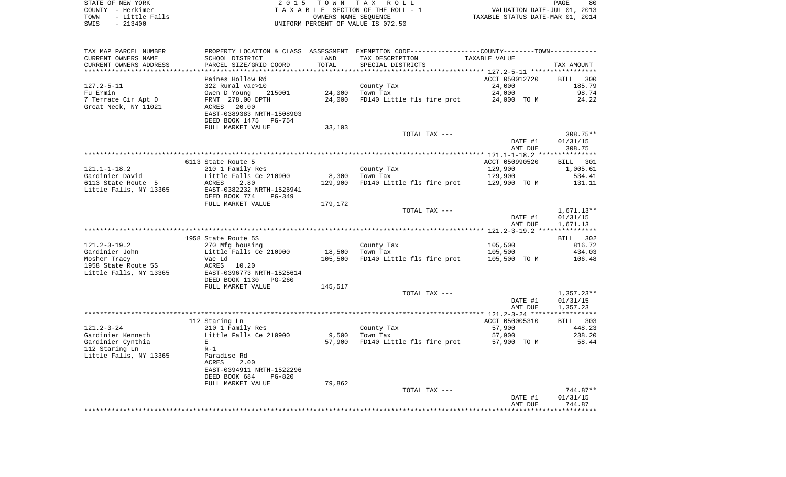STATE OF NEW YORK 2 0 1 5 T O W N T A X R O L L PAGE 80COUNTY - Herkimer **T A X A B L E** SECTION OF THE ROLL - 1 VALUATION DATE-JUL 01, 2013 TOWN - Little Falls OWNERS NAME SEQUENCE TAXABLE STATUS DATE-MAR 01, 2014 SWIS - 213400 UNIFORM PERCENT OF VALUE IS 072.50

TAX MAP PARCEL NUMBER PROPERTY LOCATION & CLASS ASSESSMENT EXEMPTION CODE------------------COUNTY--------TOWN------------ CURRENT OWNERS NAME SCHOOL DISTRICT LAND TAX DESCRIPTION TAXABLE VALUECURRENT OWNERS ADDRESS PARCEL SIZE/GRID COORD TOTAL SPECIAL DISTRICTS TAX AMOUNT \*\*\*\*\*\*\*\*\*\*\*\*\*\*\*\*\*\*\*\*\*\*\*\*\*\*\*\*\*\*\*\*\*\*\*\*\*\*\*\*\*\*\*\*\*\*\*\*\*\*\*\*\*\*\*\*\*\*\*\*\*\*\*\*\*\*\*\*\*\*\*\*\*\*\*\*\*\*\*\*\*\*\*\*\*\*\*\*\*\*\*\*\*\*\*\*\*\*\*\*\*\*\* 127.2-5-11 \*\*\*\*\*\*\*\*\*\*\*\*\*\*\*\*\*Paines Hollow Rd **Paint Results and ACCT 050012720** BILL 300 185.79 127.2-5-11 322 Rural vac>10 County Tax 34,000 Fu Ermin Owen D Young 215001 24,000 Town Tax 24,000 98.74 7 Terrace Cir Apt D FRNT 278.00 DPTH 24,000 FD140 Little fls fire prot 24,000 TO M 24.22 Great Neck, NY 11021 ACRES 20.00 EAST-0389383 NRTH-1508903 DEED BOOK 1475 PG-754FULL MARKET VALUE 33,103 TOTAL TAX --- 308.75\*\* DATE #1 01/31/15 AMT DUE 308.75 \*\*\*\*\*\*\*\*\*\*\*\*\*\*\*\*\*\*\*\*\*\*\*\*\*\*\*\*\*\*\*\*\*\*\*\*\*\*\*\*\*\*\*\*\*\*\*\*\*\*\*\*\*\*\*\*\*\*\*\*\*\*\*\*\*\*\*\*\*\*\*\*\*\*\*\*\*\*\*\*\*\*\*\*\*\*\*\*\*\*\*\*\*\*\*\*\*\*\*\*\*\*\* 121.1-1-18.2 \*\*\*\*\*\*\*\*\*\*\*\*\*\*\*6113 State Route 5 ACCT 050990520 BILL 301 1,005.61 121.1-1-18.2 210 1 Family Res County Tax 210 1 29,900 Gardinier David Little Falls Ce 210900 8,300 Town Tax 129,900 534.41 6113 State Route 5 ACRES 2.80 129,900 FD140 Little fls fire prot 129,900 TO M 131.11 Little Falls, NY 13365 EAST-0382232 NRTH-1526941 DEED BOOK 774 PG-349FULL MARKET VALUE 179,172 TOTAL TAX --- 1,671.13\*\* DATE #1 01/31/15 AMT DUE 1,671.13 \*\*\*\*\*\*\*\*\*\*\*\*\*\*\*\*\*\*\*\*\*\*\*\*\*\*\*\*\*\*\*\*\*\*\*\*\*\*\*\*\*\*\*\*\*\*\*\*\*\*\*\*\*\*\*\*\*\*\*\*\*\*\*\*\*\*\*\*\*\*\*\*\*\*\*\*\*\*\*\*\*\*\*\*\*\*\*\*\*\*\*\*\*\*\*\*\*\*\*\*\*\*\* 121.2-3-19.2 \*\*\*\*\*\*\*\*\*\*\*\*\*\*\*BILL 302 1958 State Route 5S 816.72 121.2-3-19.2 270 Mfg housing County Tax 200 105,500 Gardinier John 105,500 Little Falls Ce 210900 18,500 Town Tax 105,500 105,500 434.03 Mosher Tracy Carlo Vac Ld 105,500 FD140 Little fls fire prot 105,500 TO M 106.48 1958 State Route 5S ACRES 10.20Little Falls, NY 13365 EAST-0396773 NRTH-1525614 DEED BOOK 1130 PG-260FULL MARKET VALUE 145,517 TOTAL TAX --- 1,357.23\*\* DATE #1 01/31/15 AMT DUE 1,357.23 \*\*\*\*\*\*\*\*\*\*\*\*\*\*\*\*\*\*\*\*\*\*\*\*\*\*\*\*\*\*\*\*\*\*\*\*\*\*\*\*\*\*\*\*\*\*\*\*\*\*\*\*\*\*\*\*\*\*\*\*\*\*\*\*\*\*\*\*\*\*\*\*\*\*\*\*\*\*\*\*\*\*\*\*\*\*\*\*\*\*\*\*\*\*\*\*\*\*\*\*\*\*\* 121.2-3-24 \*\*\*\*\*\*\*\*\*\*\*\*\*\*\*\*\* 112 Staring Ln ACCT 050005310 BILL 303 121.2-3-24 210 1 Family Res County Tax Gardinier Kenneth Little Falls Ce 210900 9,500 Town Tax 57,900 238.20 Gardinier Cynthia <sup>E</sup> 57,900 FD140 Little fls fire prot 57,900 TO M 58.44 112 Staring Ln R-1 Little Falls, NY 13365 Paradise Rd ACRES 2.00 EAST-0394911 NRTH-1522296 DEED BOOK 684 PG-820FULL MARKET VALUE 79,862 TOTAL TAX  $---$  744.87\*\* DATE #1 01/31/15

 AMT DUE 744.87\*\*\*\*\*\*\*\*\*\*\*\*\*\*\*\*\*\*\*\*\*\*\*\*\*\*\*\*\*\*\*\*\*\*\*\*\*\*\*\*\*\*\*\*\*\*\*\*\*\*\*\*\*\*\*\*\*\*\*\*\*\*\*\*\*\*\*\*\*\*\*\*\*\*\*\*\*\*\*\*\*\*\*\*\*\*\*\*\*\*\*\*\*\*\*\*\*\*\*\*\*\*\*\*\*\*\*\*\*\*\*\*\*\*\*\*\*\*\*\*\*\*\*\*\*\*\*\*\*\*\*\*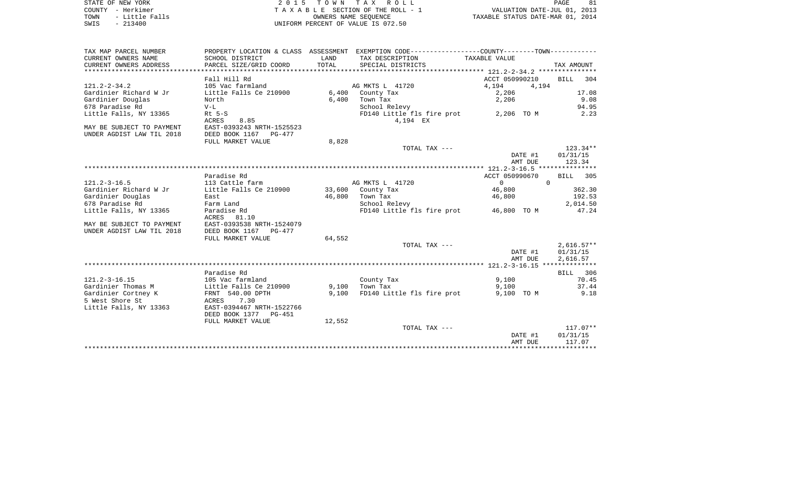| STATE OF NEW YORK |  |           |                |  |
|-------------------|--|-----------|----------------|--|
| COUNTY - Herkimer |  |           |                |  |
| TOWN              |  |           | - Little Falls |  |
| SWIS              |  | $-213400$ |                |  |

2015 TOWN TAX ROLL TA X A B L E SECTION OF THE ROLL - 1 TOWN A LITTLE TO A LITTLE TO BE CALL A LITTLE FOR THE ROLL - 1<br>
TAXABLE STATUS DATE-MAR 01, 2014 SWIS - 213400 UNIFORM PERCENT OF VALUE IS 072.50

PAGE 81

| TAX MAP PARCEL NUMBER     |                           |        | PROPERTY LOCATION & CLASS ASSESSMENT EXEMPTION CODE---------------COUNTY-------TOWN---------- |                      |              |
|---------------------------|---------------------------|--------|-----------------------------------------------------------------------------------------------|----------------------|--------------|
| CURRENT OWNERS NAME       | SCHOOL DISTRICT           | LAND   | TAX DESCRIPTION                                                                               | TAXABLE VALUE        |              |
| CURRENT OWNERS ADDRESS    | PARCEL SIZE/GRID COORD    | TOTAL  | SPECIAL DISTRICTS                                                                             |                      | TAX AMOUNT   |
|                           |                           |        |                                                                                               |                      |              |
|                           | Fall Hill Rd              |        |                                                                                               | ACCT 050990210       | BILL 304     |
| $121.2 - 2 - 34.2$        | 105 Vac farmland          |        | AG MKTS L 41720                                                                               | 4,194<br>4,194       |              |
| Gardinier Richard W Jr    | Little Falls Ce 210900    |        | 6,400 County Tax                                                                              | 2,206                | 17.08        |
| Gardinier Douglas         | North                     | 6,400  | Town Tax                                                                                      | 2,206                | 9.08         |
| 678 Paradise Rd           | $V-L$                     |        | School Relevy                                                                                 |                      | 94.95        |
| Little Falls, NY 13365    | $Rt$ 5-S                  |        | FD140 Little fls fire prot 2,206 TO M                                                         |                      | 2.23         |
|                           | ACRES<br>8.85             |        | 4,194 EX                                                                                      |                      |              |
| MAY BE SUBJECT TO PAYMENT | EAST-0393243 NRTH-1525523 |        |                                                                                               |                      |              |
| UNDER AGDIST LAW TIL 2018 | DEED BOOK 1167 PG-477     |        |                                                                                               |                      |              |
|                           | FULL MARKET VALUE         | 8,828  |                                                                                               |                      |              |
|                           |                           |        | TOTAL TAX ---                                                                                 |                      | 123.34**     |
|                           |                           |        |                                                                                               |                      |              |
|                           |                           |        |                                                                                               | DATE #1              | 01/31/15     |
|                           |                           |        |                                                                                               | AMT DUE              | 123.34       |
|                           |                           |        |                                                                                               |                      |              |
|                           | Paradise Rd               |        |                                                                                               | ACCT 050990670       | BILL 305     |
| $121.2 - 3 - 16.5$        | 113 Cattle farm           |        | AG MKTS L 41720                                                                               | $\Omega$<br>$\Omega$ |              |
| Gardinier Richard W Jr    | Little Falls Ce 210900    |        | 33,600 County Tax                                                                             | 46,800               | 362.30       |
| Gardinier Douglas         | East                      |        | 46,800 Town Tax                                                                               | 46,800               | 192.53       |
| 678 Paradise Rd           | Farm Land                 |        | School Relevy                                                                                 |                      | 2,014.50     |
| Little Falls, NY 13365    | Paradise Rd               |        | FD140 Little fls fire prot 46,800 TO M                                                        |                      | 47.24        |
|                           | ACRES 81.10               |        |                                                                                               |                      |              |
| MAY BE SUBJECT TO PAYMENT | EAST-0393538 NRTH-1524079 |        |                                                                                               |                      |              |
| UNDER AGDIST LAW TIL 2018 | DEED BOOK 1167 PG-477     |        |                                                                                               |                      |              |
|                           | FULL MARKET VALUE         | 64,552 |                                                                                               |                      |              |
|                           |                           |        | TOTAL TAX ---                                                                                 |                      | $2,616.57**$ |
|                           |                           |        |                                                                                               | DATE #1              | 01/31/15     |
|                           |                           |        |                                                                                               | AMT DUE              | 2,616.57     |
|                           |                           |        |                                                                                               |                      |              |
|                           | Paradise Rd               |        |                                                                                               |                      | BILL 306     |
| $121.2 - 3 - 16.15$       | 105 Vac farmland          |        | County Tax                                                                                    | 9,100                | 70.45        |
| Gardinier Thomas M        | Little Falls Ce 210900    | 9,100  | Town Tax                                                                                      | 9,100                | 37.44        |
| Gardinier Cortney K       | FRNT 540.00 DPTH          | 9,100  | FD140 Little fls fire prot                                                                    | 9,100 TO M           | 9.18         |
| 5 West Shore St           | ACRES 7.30                |        |                                                                                               |                      |              |
| Little Falls, NY 13363    | EAST-0394467 NRTH-1522766 |        |                                                                                               |                      |              |
|                           | DEED BOOK 1377 PG-451     |        |                                                                                               |                      |              |
|                           | FULL MARKET VALUE         | 12,552 |                                                                                               |                      |              |
|                           |                           |        | TOTAL TAX ---                                                                                 |                      | $117.07**$   |
|                           |                           |        |                                                                                               | DATE #1              | 01/31/15     |
|                           |                           |        |                                                                                               | AMT DUE              | 117.07       |
|                           |                           |        |                                                                                               |                      |              |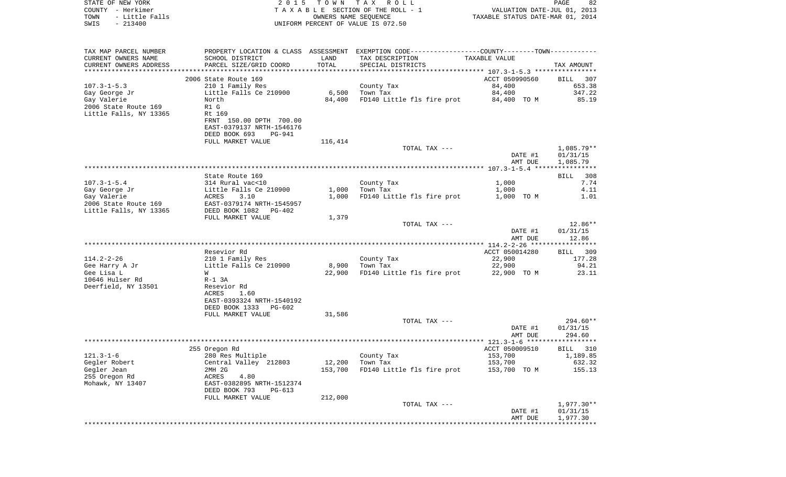| STATE OF NEW YORK<br>COUNTY - Herkimer | 2 0 1 5                                                     | TOWN TAX | ROLL<br>TAXABLE SECTION OF THE ROLL - 1                                                       |                                  | 82<br>PAGE<br>VALUATION DATE-JUL 01, 2013 |
|----------------------------------------|-------------------------------------------------------------|----------|-----------------------------------------------------------------------------------------------|----------------------------------|-------------------------------------------|
| TOWN<br>- Little Falls                 |                                                             |          | OWNERS NAME SEOUENCE                                                                          | TAXABLE STATUS DATE-MAR 01, 2014 |                                           |
| SWIS<br>$-213400$                      |                                                             |          | UNIFORM PERCENT OF VALUE IS 072.50                                                            |                                  |                                           |
|                                        |                                                             |          |                                                                                               |                                  |                                           |
| TAX MAP PARCEL NUMBER                  |                                                             |          | PROPERTY LOCATION & CLASS ASSESSMENT EXEMPTION CODE---------------COUNTY-------TOWN---------- |                                  |                                           |
| CURRENT OWNERS NAME                    | SCHOOL DISTRICT                                             | LAND     | TAX DESCRIPTION                                                                               | TAXABLE VALUE                    |                                           |
| CURRENT OWNERS ADDRESS                 | PARCEL SIZE/GRID COORD                                      | TOTAL    | SPECIAL DISTRICTS                                                                             |                                  | TAX AMOUNT                                |
|                                        | 2006 State Route 169                                        |          |                                                                                               | ACCT 050990560                   | BILL<br>307                               |
| $107.3 - 1 - 5.3$                      | 210 1 Family Res                                            |          | County Tax                                                                                    | 84,400                           | 653.38                                    |
| Gay George Jr                          | Little Falls Ce 210900                                      | 6,500    | Town Tax                                                                                      | 84,400                           | 347.22                                    |
| Gay Valerie                            | North                                                       | 84,400   | FD140 Little fls fire prot                                                                    | 84,400 TO M                      | 85.19                                     |
| 2006 State Route 169                   | R1 G                                                        |          |                                                                                               |                                  |                                           |
| Little Falls, NY 13365                 | Rt 169                                                      |          |                                                                                               |                                  |                                           |
|                                        | FRNT 150.00 DPTH 700.00                                     |          |                                                                                               |                                  |                                           |
|                                        | EAST-0379137 NRTH-1546176<br>DEED BOOK 693<br><b>PG-941</b> |          |                                                                                               |                                  |                                           |
|                                        | FULL MARKET VALUE                                           | 116,414  |                                                                                               |                                  |                                           |
|                                        |                                                             |          | TOTAL TAX ---                                                                                 |                                  | 1,085.79**                                |
|                                        |                                                             |          |                                                                                               | DATE #1                          | 01/31/15                                  |
|                                        |                                                             |          |                                                                                               | AMT DUE                          | 1,085.79                                  |
|                                        |                                                             |          |                                                                                               |                                  |                                           |
|                                        | State Route 169                                             |          |                                                                                               |                                  | 308<br>BILL                               |
| $107.3 - 1 - 5.4$                      | 314 Rural vac<10                                            |          | County Tax                                                                                    | 1,000                            | 7.74                                      |
| Gay George Jr                          | Little Falls Ce 210900                                      | 1,000    | Town Tax                                                                                      | 1,000                            | 4.11                                      |
| Gay Valerie<br>2006 State Route 169    | ACRES<br>3.10<br>EAST-0379174 NRTH-1545957                  | 1,000    | FD140 Little fls fire prot                                                                    | 1,000 TO M                       | 1.01                                      |
| Little Falls, NY 13365                 | DEED BOOK 1082<br>PG-402                                    |          |                                                                                               |                                  |                                           |
|                                        | FULL MARKET VALUE                                           | 1,379    |                                                                                               |                                  |                                           |
|                                        |                                                             |          | TOTAL TAX ---                                                                                 |                                  | $12.86**$                                 |
|                                        |                                                             |          |                                                                                               | DATE #1                          | 01/31/15                                  |
|                                        |                                                             |          |                                                                                               | AMT DUE                          | 12.86                                     |
|                                        |                                                             |          |                                                                                               |                                  |                                           |
| 114.2-2-26                             | Resevior Rd<br>210 1 Family Res                             |          | County Tax                                                                                    | ACCT 050014280<br>22,900         | BILL 309<br>177.28                        |
| Gee Harry A Jr                         | Little Falls Ce 210900                                      | 8,900    | Town Tax                                                                                      | 22,900                           | 94.21                                     |
| Gee Lisa L                             | W                                                           | 22,900   | FD140 Little fls fire prot                                                                    | 22,900 TO M                      | 23.11                                     |
| 10646 Hulser Rd                        | $R-1$ 3A                                                    |          |                                                                                               |                                  |                                           |
| Deerfield, NY 13501                    | Resevior Rd                                                 |          |                                                                                               |                                  |                                           |
|                                        | ACRES<br>1.60                                               |          |                                                                                               |                                  |                                           |
|                                        | EAST-0393324 NRTH-1540192                                   |          |                                                                                               |                                  |                                           |
|                                        | DEED BOOK 1333<br>PG-602                                    |          |                                                                                               |                                  |                                           |
|                                        | FULL MARKET VALUE                                           | 31,586   | TOTAL TAX ---                                                                                 |                                  | 294.60**                                  |
|                                        |                                                             |          |                                                                                               | DATE #1                          | 01/31/15                                  |
|                                        |                                                             |          |                                                                                               | AMT DUE                          | 294.60                                    |
|                                        |                                                             |          |                                                                                               |                                  |                                           |
|                                        | 255 Oregon Rd                                               |          |                                                                                               | ACCT 050009510                   | BILL 310                                  |
| $121.3 - 1 - 6$                        | 280 Res Multiple                                            |          | County Tax                                                                                    | 153,700                          | 1,189.85                                  |
| Gegler Robert                          | Central Valley 212803                                       | 12,200   | Town Tax                                                                                      | 153,700                          | 632.32                                    |
| Gegler Jean                            | 2MH 2G                                                      | 153,700  | FD140 Little fls fire prot                                                                    | 153,700 TO M                     | 155.13                                    |
| 255 Oregon Rd<br>Mohawk, NY 13407      | ACRES<br>4.80<br>EAST-0382895 NRTH-1512374                  |          |                                                                                               |                                  |                                           |
|                                        | DEED BOOK 793<br>PG-613                                     |          |                                                                                               |                                  |                                           |
|                                        | FULL MARKET VALUE                                           | 212,000  |                                                                                               |                                  |                                           |
|                                        |                                                             |          | TOTAL TAX ---                                                                                 |                                  | $1,977.30**$                              |
|                                        |                                                             |          |                                                                                               | DATE #1                          | 01/31/15                                  |
|                                        |                                                             |          |                                                                                               | AMT DUE                          | 1,977.30                                  |
|                                        |                                                             |          |                                                                                               |                                  |                                           |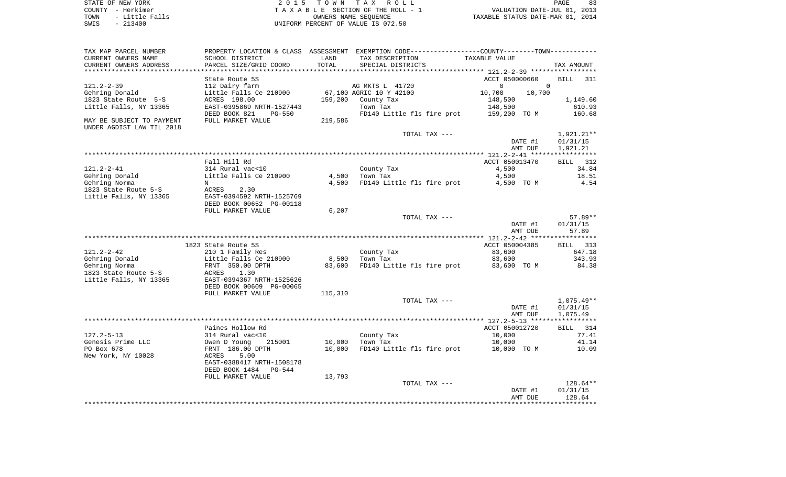STATE OF NEW YORK 2 0 1 5 T O W N T A X R O L L PAGE 83 COUNTY - Herkimer T A X A B L E SECTION OF THE ROLL - 1 VALUATION DATE-JUL 01, 2013 TOWN - Little Falls OWNERS NAME SEQUENCE TAXABLE STATUS DATE-MAR 01, 2014

SWIS - 213400 UNIFORM PERCENT OF VALUE IS 072.50

| TAX MAP PARCEL NUMBER<br>CURRENT OWNERS NAME<br>CURRENT OWNERS ADDRESS               | PROPERTY LOCATION & CLASS ASSESSMENT<br>SCHOOL DISTRICT<br>PARCEL SIZE/GRID COORD                                                         | LAND<br>TOTAL | EXEMPTION CODE-----------------COUNTY-------TOWN-----------<br>TAX DESCRIPTION<br>SPECIAL DISTRICTS |                                      | TAXABLE VALUE                                                                 |                       | TAX AMOUNT                                         |
|--------------------------------------------------------------------------------------|-------------------------------------------------------------------------------------------------------------------------------------------|---------------|-----------------------------------------------------------------------------------------------------|--------------------------------------|-------------------------------------------------------------------------------|-----------------------|----------------------------------------------------|
| ********************                                                                 |                                                                                                                                           |               |                                                                                                     | ************ 121.2-2-39 ************ |                                                                               |                       |                                                    |
| $121.2 - 2 - 39$<br>Gehring Donald<br>1823 State Route 5-S<br>Little Falls, NY 13365 | State Route 5S<br>112 Dairy farm<br>Little Falls Ce 210900<br>ACRES 198.00<br>EAST-0395869 NRTH-1527443<br>DEED BOOK 821<br><b>PG-550</b> | 159,200       | AG MKTS L 41720<br>67,100 AGRIC 10 Y 42100<br>County Tax<br>Town Tax<br>FD140 Little fls fire prot  |                                      | ACCT 050000660<br>$\mathbf 0$<br>10,700<br>148,500<br>148,500<br>159,200 TO M | $\mathbf 0$<br>10,700 | <b>BILL</b><br>311<br>1,149.60<br>610.93<br>160.68 |
| MAY BE SUBJECT TO PAYMENT<br>UNDER AGDIST LAW TIL 2018                               | FULL MARKET VALUE                                                                                                                         | 219,586       |                                                                                                     |                                      |                                                                               |                       |                                                    |
|                                                                                      |                                                                                                                                           |               | TOTAL TAX ---                                                                                       |                                      |                                                                               | DATE #1<br>AMT DUE    | 1,921.21**<br>01/31/15<br>1,921.21                 |
|                                                                                      | Fall Hill Rd                                                                                                                              |               |                                                                                                     |                                      | ACCT 050013470                                                                |                       | 312<br>BILL                                        |
| $121.2 - 2 - 41$                                                                     | 314 Rural vac<10                                                                                                                          |               | County Tax                                                                                          |                                      | 4,500                                                                         |                       | 34.84                                              |
| Gehring Donald                                                                       | Little Falls Ce 210900                                                                                                                    | 4,500         | Town Tax                                                                                            |                                      | 4,500                                                                         |                       | 18.51                                              |
| Gehring Norma                                                                        | N                                                                                                                                         | 4,500         | FD140 Little fls fire prot                                                                          |                                      | 4,500 TO M                                                                    |                       | 4.54                                               |
| 1823 State Route 5-S                                                                 | ACRES<br>2.30                                                                                                                             |               |                                                                                                     |                                      |                                                                               |                       |                                                    |
|                                                                                      | EAST-0394592 NRTH-1525769                                                                                                                 |               |                                                                                                     |                                      |                                                                               |                       |                                                    |
| Little Falls, NY 13365                                                               | DEED BOOK 00652 PG-00118                                                                                                                  |               |                                                                                                     |                                      |                                                                               |                       |                                                    |
|                                                                                      |                                                                                                                                           |               |                                                                                                     |                                      |                                                                               |                       |                                                    |
|                                                                                      | FULL MARKET VALUE                                                                                                                         | 6,207         |                                                                                                     |                                      |                                                                               |                       | $57.89**$                                          |
|                                                                                      |                                                                                                                                           |               | TOTAL TAX ---                                                                                       |                                      |                                                                               | DATE #1               |                                                    |
|                                                                                      |                                                                                                                                           |               |                                                                                                     |                                      |                                                                               | AMT DUE               | 01/31/15<br>57.89                                  |
|                                                                                      |                                                                                                                                           |               |                                                                                                     |                                      |                                                                               |                       | ***********                                        |
|                                                                                      | 1823 State Route 5S                                                                                                                       |               |                                                                                                     | **************** 121.2-2-42 ******   |                                                                               |                       |                                                    |
| $121.2 - 2 - 42$                                                                     |                                                                                                                                           |               |                                                                                                     |                                      | ACCT 050004385                                                                |                       | 313<br>BILL<br>647.18                              |
|                                                                                      | 210 1 Family Res                                                                                                                          |               | County Tax                                                                                          |                                      | 83,600                                                                        |                       |                                                    |
| Gehring Donald                                                                       | Little Falls Ce 210900                                                                                                                    | 8,500         | Town Tax                                                                                            |                                      | 83,600                                                                        |                       | 343.93                                             |
| Gehring Norma                                                                        | FRNT 350.00 DPTH                                                                                                                          | 83,600        | FD140 Little fls fire prot                                                                          |                                      | 83,600 TO M                                                                   |                       | 84.38                                              |
| 1823 State Route 5-S<br>Little Falls, NY 13365                                       | ACRES<br>1.30<br>EAST-0394367 NRTH-1525626                                                                                                |               |                                                                                                     |                                      |                                                                               |                       |                                                    |
|                                                                                      | DEED BOOK 00609 PG-00065                                                                                                                  |               |                                                                                                     |                                      |                                                                               |                       |                                                    |
|                                                                                      | FULL MARKET VALUE                                                                                                                         | 115,310       |                                                                                                     |                                      |                                                                               |                       |                                                    |
|                                                                                      |                                                                                                                                           |               | TOTAL TAX ---                                                                                       |                                      |                                                                               |                       | $1,075.49**$                                       |
|                                                                                      |                                                                                                                                           |               |                                                                                                     |                                      |                                                                               | DATE #1<br>AMT DUE    | 01/31/15<br>1,075.49                               |
|                                                                                      |                                                                                                                                           |               |                                                                                                     |                                      |                                                                               |                       |                                                    |
|                                                                                      | Paines Hollow Rd                                                                                                                          |               |                                                                                                     |                                      | ACCT 050012720                                                                |                       | 314<br>BILL                                        |
| $127.2 - 5 - 13$                                                                     | 314 Rural vac<10                                                                                                                          |               | County Tax                                                                                          |                                      | 10,000                                                                        |                       | 77.41                                              |
| Genesis Prime LLC                                                                    | Owen D Young<br>215001                                                                                                                    | 10,000        | Town Tax                                                                                            |                                      | 10,000                                                                        |                       | 41.14                                              |
| PO Box 678                                                                           | FRNT 186.00 DPTH                                                                                                                          | 10,000        | FD140 Little fls fire prot                                                                          |                                      | 10,000 TO M                                                                   |                       | 10.09                                              |
| New York, NY 10028                                                                   | ACRES<br>5.00<br>EAST-0388417 NRTH-1508178<br>DEED BOOK 1484<br><b>PG-544</b>                                                             |               |                                                                                                     |                                      |                                                                               |                       |                                                    |
|                                                                                      | FULL MARKET VALUE                                                                                                                         | 13,793        |                                                                                                     |                                      |                                                                               |                       |                                                    |
|                                                                                      |                                                                                                                                           |               | TOTAL TAX ---                                                                                       |                                      |                                                                               |                       | $128.64**$                                         |
|                                                                                      |                                                                                                                                           |               |                                                                                                     |                                      |                                                                               | DATE #1<br>AMT DUE    | 01/31/15<br>128.64                                 |
|                                                                                      |                                                                                                                                           |               |                                                                                                     |                                      | ****************                                                              |                       | *********                                          |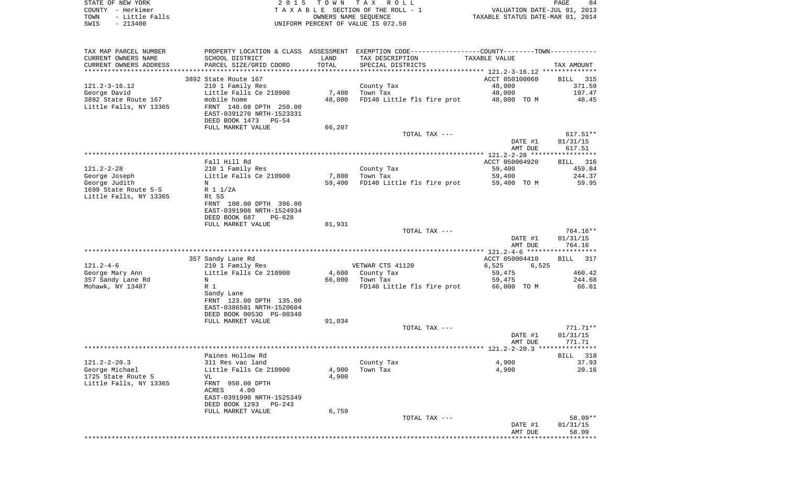| STATE OF NEW YORK      | 2015 TOWN TAX ROLL                 | 84<br>PAGE                       |
|------------------------|------------------------------------|----------------------------------|
| COUNTY - Herkimer      | TAXABLE SECTION OF THE ROLL - 1    | VALUATION DATE-JUL 01, 2013      |
| TOWN<br>- Little Falls | OWNERS NAME SEOUENCE               | TAXABLE STATUS DATE-MAR 01, 2014 |
| $-213400$<br>SWIS      | UNIFORM PERCENT OF VALUE IS 072.50 |                                  |

| TAX MAP PARCEL NUMBER                         |                                                      |               | PROPERTY LOCATION & CLASS ASSESSMENT EXEMPTION CODE----------------COUNTY--------TOWN---------- |                  |                       |
|-----------------------------------------------|------------------------------------------------------|---------------|-------------------------------------------------------------------------------------------------|------------------|-----------------------|
| CURRENT OWNERS NAME<br>CURRENT OWNERS ADDRESS | SCHOOL DISTRICT<br>PARCEL SIZE/GRID COORD            | LAND<br>TOTAL | TAX DESCRIPTION<br>SPECIAL DISTRICTS                                                            | TAXABLE VALUE    | TAX AMOUNT            |
| ************************                      |                                                      |               |                                                                                                 |                  |                       |
|                                               | 3892 State Route 167                                 |               |                                                                                                 | ACCT 050100060   | BILL 315              |
| $121.2 - 3 - 16.12$                           | 210 1 Family Res                                     |               | County Tax                                                                                      | 48,000           | 371.59                |
| George David                                  | Little Falls Ce 210900                               | 7,400         | Town Tax                                                                                        | 48,000           | 197.47                |
| 3892 State Route 167                          | mobile home                                          | 48,000        | FD140 Little fls fire prot                                                                      | 48,000 TO M      | 48.45                 |
| Little Falls, NY 13365                        | FRNT 140.08 DPTH 250.00<br>EAST-0391270 NRTH-1523331 |               |                                                                                                 |                  |                       |
|                                               | DEED BOOK 1473<br>PG-54                              |               |                                                                                                 |                  |                       |
|                                               | FULL MARKET VALUE                                    | 66,207        |                                                                                                 |                  |                       |
|                                               |                                                      |               | TOTAL TAX ---                                                                                   |                  | $617.51**$            |
|                                               |                                                      |               |                                                                                                 | DATE #1          | 01/31/15              |
|                                               |                                                      |               |                                                                                                 | AMT DUE          | 617.51                |
|                                               |                                                      |               |                                                                                                 |                  | **********            |
|                                               | Fall Hill Rd                                         |               |                                                                                                 | ACCT 050004920   | BILL<br>316           |
| $121.2 - 2 - 28$                              | 210 1 Family Res<br>Little Falls Ce 210900           | 7,800         | County Tax<br>Town Tax                                                                          | 59,400<br>59,400 | 459.84<br>244.37      |
| George Joseph<br>George Judith                | N                                                    | 59,400        | FD140 Little fls fire prot                                                                      | 59,400 TO M      | 59.95                 |
| 1699 State Route 5-S                          | R 1 1/2A                                             |               |                                                                                                 |                  |                       |
| Little Falls, NY 13365                        | Rt 5S                                                |               |                                                                                                 |                  |                       |
|                                               | FRNT 100.00 DPTH 396.00                              |               |                                                                                                 |                  |                       |
|                                               | EAST-0391908 NRTH-1524934                            |               |                                                                                                 |                  |                       |
|                                               | DEED BOOK 687<br>$PG-628$                            |               |                                                                                                 |                  |                       |
|                                               | FULL MARKET VALUE                                    | 81,931        |                                                                                                 |                  |                       |
|                                               |                                                      |               | TOTAL TAX ---                                                                                   | DATE #1          | 764.16**<br>01/31/15  |
|                                               |                                                      |               |                                                                                                 | AMT DUE          | 764.16                |
|                                               |                                                      |               |                                                                                                 |                  | ******************    |
|                                               | 357 Sandy Lane Rd                                    |               |                                                                                                 | ACCT 050004410   | <b>BILL</b><br>317    |
| $121.2 - 4 - 6$                               | 210 1 Family Res                                     |               | VETWAR CTS 41120                                                                                | 6,525<br>6,525   |                       |
| George Mary Ann                               | Little Falls Ce 210900                               | 4,600         | County Tax                                                                                      | 59,475           | 460.42                |
| 357 Sandy Lane Rd                             | N                                                    | 66,000        | Town Tax                                                                                        | 59,475           | 244.68                |
| Mohawk, NY 13407                              | R <sub>1</sub>                                       |               | FD140 Little fls fire prot                                                                      | 66,000 TO M      | 66.61                 |
|                                               | Sandy Lane<br>FRNT 123.00 DPTH 135.00                |               |                                                                                                 |                  |                       |
|                                               | EAST-0386501 NRTH-1520604                            |               |                                                                                                 |                  |                       |
|                                               | DEED BOOK 00530 PG-00340                             |               |                                                                                                 |                  |                       |
|                                               | FULL MARKET VALUE                                    | 91,034        |                                                                                                 |                  |                       |
|                                               |                                                      |               | TOTAL TAX ---                                                                                   |                  | 771.71**              |
|                                               |                                                      |               |                                                                                                 | DATE #1          | 01/31/15              |
|                                               |                                                      |               |                                                                                                 | AMT DUE          | 771.71<br>*********** |
|                                               | Paines Hollow Rd                                     |               |                                                                                                 |                  | <b>BILL</b><br>318    |
| $121.2 - 2 - 20.3$                            | 311 Res vac land                                     |               | County Tax                                                                                      | 4,900            | 37.93                 |
| George Michael                                | Little Falls Ce 210900                               | 4,900         | Town Tax                                                                                        | 4,900            | 20.16                 |
| 1725 State Route 5                            | VL                                                   | 4,900         |                                                                                                 |                  |                       |
| Little Falls, NY 13365                        | FRNT 950.00 DPTH                                     |               |                                                                                                 |                  |                       |
|                                               | ACRES<br>4.00                                        |               |                                                                                                 |                  |                       |
|                                               | EAST-0391990 NRTH-1525349                            |               |                                                                                                 |                  |                       |
|                                               | DEED BOOK 1293<br>PG-243                             |               |                                                                                                 |                  |                       |
|                                               | FULL MARKET VALUE                                    | 6,759         | TOTAL TAX ---                                                                                   |                  | 58.09**               |
|                                               |                                                      |               |                                                                                                 | DATE #1          | 01/31/15              |
|                                               |                                                      |               |                                                                                                 | AMT DUE          | 58.09                 |
|                                               |                                                      |               |                                                                                                 |                  |                       |
|                                               |                                                      |               |                                                                                                 |                  |                       |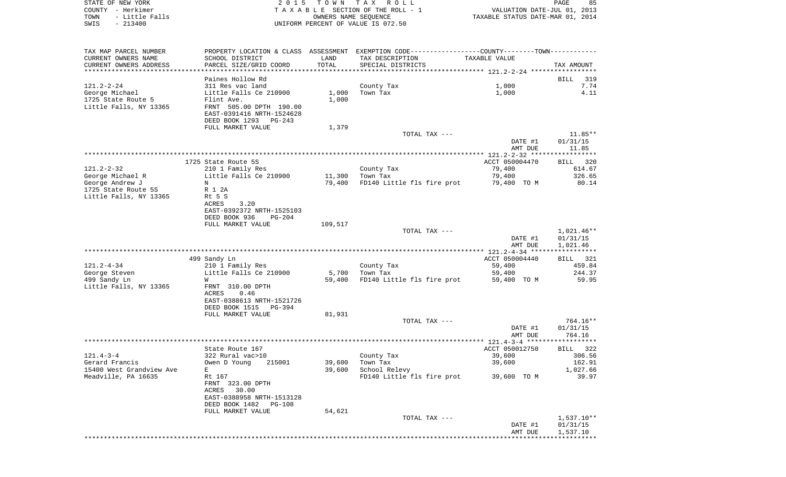| STATE OF NEW YORK<br>COUNTY - Herkimer<br>- Little Falls<br>TOWN<br>$-213400$<br>SWIS | 2 0 1 5                                                                                                                                   | T O W N          | TAX ROLL<br>TAXABLE SECTION OF THE ROLL - 1<br>OWNERS NAME SEQUENCE<br>UNIFORM PERCENT OF VALUE IS 072.50                             | TAXABLE STATUS DATE-MAR 01, 2014                  | PAGE<br>85<br>VALUATION DATE-JUL 01, 2013       |
|---------------------------------------------------------------------------------------|-------------------------------------------------------------------------------------------------------------------------------------------|------------------|---------------------------------------------------------------------------------------------------------------------------------------|---------------------------------------------------|-------------------------------------------------|
| TAX MAP PARCEL NUMBER<br>CURRENT OWNERS NAME<br>CURRENT OWNERS ADDRESS                | SCHOOL DISTRICT<br>PARCEL SIZE/GRID COORD                                                                                                 | LAND<br>TOTAL    | PROPERTY LOCATION & CLASS ASSESSMENT EXEMPTION CODE---------------COUNTY-------TOWN----------<br>TAX DESCRIPTION<br>SPECIAL DISTRICTS | TAXABLE VALUE                                     | TAX AMOUNT                                      |
| ************************                                                              | Paines Hollow Rd                                                                                                                          |                  |                                                                                                                                       |                                                   | 319<br>BILL                                     |
| $121.2 - 2 - 24$<br>George Michael<br>1725 State Route 5<br>Little Falls, NY 13365    | 311 Res vac land<br>Little Falls Ce 210900<br>Flint Ave.<br>FRNT 505.00 DPTH 190.00<br>EAST-0391416 NRTH-1524628<br>DEED BOOK 1293 PG-243 | 1,000<br>1,000   | County Tax<br>Town Tax                                                                                                                | 1,000<br>1,000                                    | 7.74<br>4.11                                    |
|                                                                                       | FULL MARKET VALUE                                                                                                                         | 1,379            |                                                                                                                                       |                                                   |                                                 |
|                                                                                       |                                                                                                                                           |                  | TOTAL TAX ---                                                                                                                         | DATE #1<br>AMT DUE                                | $11.85**$<br>01/31/15<br>11.85                  |
|                                                                                       |                                                                                                                                           |                  |                                                                                                                                       |                                                   |                                                 |
| $121.2 - 2 - 32$<br>George Michael R<br>George Andrew J                               | 1725 State Route 5S<br>210 1 Family Res<br>Little Falls Ce 210900<br>N                                                                    | 11,300<br>79,400 | County Tax<br>Town Tax<br>FD140 Little fls fire prot                                                                                  | ACCT 050004470<br>79,400<br>79,400<br>79,400 TO M | <b>BILL</b><br>320<br>614.67<br>326.65<br>80.14 |
| 1725 State Route 5S<br>Little Falls, NY 13365                                         | R 1 2A<br>Rt 5 S<br>ACRES<br>3.20<br>EAST-0392372 NRTH-1525103<br>DEED BOOK 936<br>$PG-204$<br>FULL MARKET VALUE                          | 109,517          |                                                                                                                                       |                                                   |                                                 |
|                                                                                       |                                                                                                                                           |                  | TOTAL TAX ---                                                                                                                         | DATE #1<br>AMT DUE                                | 1,021.46**<br>01/31/15<br>1,021.46              |
|                                                                                       |                                                                                                                                           |                  |                                                                                                                                       |                                                   |                                                 |
| $121.2 - 4 - 34$<br>George Steven<br>499 Sandy Ln<br>Little Falls, NY 13365           | 499 Sandy Ln<br>210 1 Family Res<br>Little Falls Ce 210900<br>W<br>FRNT 310.00 DPTH<br>ACRES<br>0.46                                      | 5,700<br>59,400  | County Tax<br>Town Tax<br>FD140 Little fls fire prot                                                                                  | ACCT 050004440<br>59,400<br>59,400<br>59,400 TO M | BILL 321<br>459.84<br>244.37<br>59.95           |
|                                                                                       | EAST-0388613 NRTH-1521726<br>DEED BOOK 1515<br>PG-394                                                                                     |                  |                                                                                                                                       |                                                   |                                                 |
|                                                                                       | FULL MARKET VALUE                                                                                                                         | 81,931           | TOTAL TAX ---                                                                                                                         | DATE #1                                           | 764.16**<br>01/31/15                            |
|                                                                                       |                                                                                                                                           |                  |                                                                                                                                       | AMT DUE                                           | 764.16                                          |
| $121.4 - 3 - 4$<br>Gerard Francis                                                     | State Route 167<br>322 Rural vac>10<br>Owen D Young<br>215001                                                                             | 39,600           | County Tax<br>Town Tax                                                                                                                | ACCT 050012750<br>39,600<br>39,600                | BILL 322<br>306.56<br>162.91                    |
| 15400 West Grandview Ave<br>Meadville, PA 16635                                       | Е<br>Rt 167<br>FRNT 323.00 DPTH<br>ACRES 30.00<br>EAST-0388958 NRTH-1513128<br>DEED BOOK 1482 PG-108<br>FULL MARKET VALUE                 | 39,600<br>54,621 | School Relevy<br>FD140 Little fls fire prot                                                                                           | 39,600 TO M                                       | 1,027.66<br>39.97                               |
|                                                                                       |                                                                                                                                           |                  | TOTAL TAX ---                                                                                                                         | DATE #1<br>AMT DUE                                | $1,537.10**$<br>01/31/15<br>1,537.10            |
|                                                                                       |                                                                                                                                           |                  |                                                                                                                                       |                                                   |                                                 |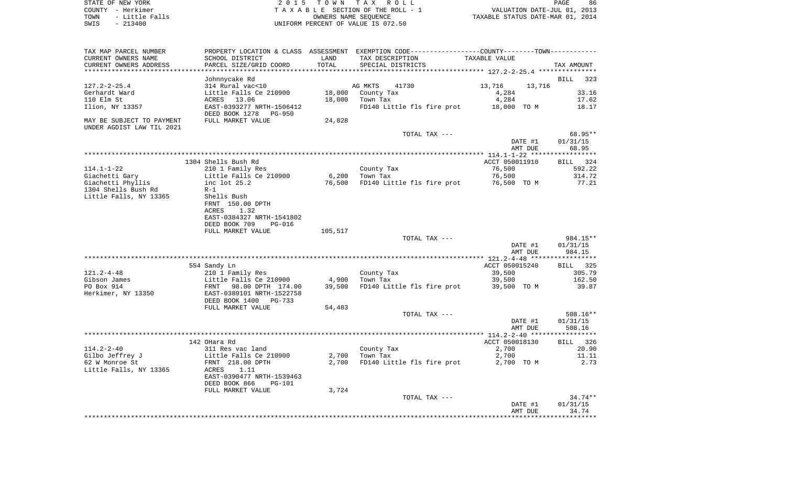STATE OF NEW YORK 2 0 1 5 T O W N T A X R O L L PAGE 86COUNTY - Herkimer **T A X A B L E** SECTION OF THE ROLL - 1 VALUATION DATE-JUL 01, 2013 TOWN - Little Falls OWNERS NAME SEQUENCE TAXABLE STATUS DATE-MAR 01, 2014 SWIS - 213400 UNIFORM PERCENT OF VALUE IS 072.50

TAX MAP PARCEL NUMBER PROPERTY LOCATION & CLASS ASSESSMENT EXEMPTION CODE------------------COUNTY--------TOWN------------ CURRENT OWNERS NAME SCHOOL DISTRICT LAND TAX DESCRIPTION TAXABLE VALUECURRENT OWNERS ADDRESS PARCEL SIZE/GRID COORD TOTAL SPECIAL DISTRICTS TAX AMOUNT \*\*\*\*\*\*\*\*\*\*\*\*\*\*\*\*\*\*\*\*\*\*\*\*\*\*\*\*\*\*\*\*\*\*\*\*\*\*\*\*\*\*\*\*\*\*\*\*\*\*\*\*\*\*\*\*\*\*\*\*\*\*\*\*\*\*\*\*\*\*\*\*\*\*\*\*\*\*\*\*\*\*\*\*\*\*\*\*\*\*\*\*\*\*\*\*\*\*\*\*\*\*\* 127.2-2-25.4 \*\*\*\*\*\*\*\*\*\*\*\*\*\*\* Johnnycake Rd BILL 323 127.2-2-25.4 314 Rural vac<10 AG MKTS 41730 13,716 13,716 Gerhardt Ward Little Falls Ce 210900 18,000 County Tax 4,284 33.16 110 Elm St ACRES 13.06 18,000 Town Tax 4,284 17.62 Ilion, NY 13357 EAST-0393277 NRTH-1506412 FD140 Little fls fire prot 18,000 TO M 18.17 DEED BOOK 1278 PG-950MAY BE SUBJECT TO PAYMENT FULL MARKET VALUE  $24.828$ UNDER AGDIST LAW TIL 2021 TOTAL TAX  $---$  68.95\*\* DATE #1 01/31/15 AMT DUE 68.95 \*\*\*\*\*\*\*\*\*\*\*\*\*\*\*\*\*\*\*\*\*\*\*\*\*\*\*\*\*\*\*\*\*\*\*\*\*\*\*\*\*\*\*\*\*\*\*\*\*\*\*\*\*\*\*\*\*\*\*\*\*\*\*\*\*\*\*\*\*\*\*\*\*\*\*\*\*\*\*\*\*\*\*\*\*\*\*\*\*\*\*\*\*\*\*\*\*\*\*\*\*\*\* 114.1-1-22 \*\*\*\*\*\*\*\*\*\*\*\*\*\*\*\*\*BILL 324 1304 Shells Bush Rd ACCT 050011910 BILL 324 Shells Bush Rd 592.22 114.1-1-22 210 1 Family Res County Tax 76,500 Giachetti Gary **Little Falls Ce 210900** 6,200 Town Tax 76,500 314.72 Giachetti Phyllis inc lot 25.2 76,500 FD140 Little fls fire prot 76,500 TO M 77.21 1304 Shells Bush Rd R-1Little Falls, NY 13365 Shells Bush FRNT 150.00 DPTH ACRES 1.32 EAST-0384327 NRTH-1541802 DEED BOOK 709 PG-016FULL MARKET VALUE 105,517 TOTAL TAX --- 984.15\*\* DATE #1 01/31/15 AMT DUE 984.15 \*\*\*\*\*\*\*\*\*\*\*\*\*\*\*\*\*\*\*\*\*\*\*\*\*\*\*\*\*\*\*\*\*\*\*\*\*\*\*\*\*\*\*\*\*\*\*\*\*\*\*\*\*\*\*\*\*\*\*\*\*\*\*\*\*\*\*\*\*\*\*\*\*\*\*\*\*\*\*\*\*\*\*\*\*\*\*\*\*\*\*\*\*\*\*\*\*\*\*\*\*\*\* 121.2-4-48 \*\*\*\*\*\*\*\*\*\*\*\*\*\*\*\*\* 554 Sandy Ln ACCT 050015240 BILL 325 121.2-4-48 210 1 Family Res County Tax 39,500 305.79 Gibson James  $Little$  Falls Ce 210900  $4.900$  Town Tax  $39.500$ PO Box 914 FRNT 98.00 DPTH 174.00 39,500 FD140 Little fls fire prot 39,500 TO M 39.87 Herkimer, NY 13350 EAST-0389101 NRTH-1522758 DEED BOOK 1400 PG-733FULL MARKET VALUE 54,483 TOTAL TAX --- 508.16\*\* DATE #1 01/31/15 AMT DUE 508.16 \*\*\*\*\*\*\*\*\*\*\*\*\*\*\*\*\*\*\*\*\*\*\*\*\*\*\*\*\*\*\*\*\*\*\*\*\*\*\*\*\*\*\*\*\*\*\*\*\*\*\*\*\*\*\*\*\*\*\*\*\*\*\*\*\*\*\*\*\*\*\*\*\*\*\*\*\*\*\*\*\*\*\*\*\*\*\*\*\*\*\*\*\*\*\*\*\*\*\*\*\*\*\* 114.2-2-40 \*\*\*\*\*\*\*\*\*\*\*\*\*\*\*\*\*BILL 326 142 OHara Rd ACCT 050018130 BILL 3266 BILL 3266 BILL 3266 BILL 3266 BILL 3266 BILL 3266 BILL 3266 BILL 3266 BILL 3266 BILL 3266 BILL 3266 BILL 3266 BILL 3266 BILL 3266 BILL 3266 BILL 3266 BILL 3266 BILL 3266 BILL 3266 BILL 114.2-2-40 311 Res vac land County Tax 2,700 20.90 Gilbo Jeffrey J Little Falls Ce 210900 2,700 Town Tax 2,700 11.11 62 W Monroe St FRNT 218.00 DPTH 2,700 FD140 Little fls fire prot 2,700 TO M 2.73 Little Falls, NY 13365 ACRES 1.11 EAST-0390477 NRTH-1539463 DEED BOOK 866 PG-101FULL MARKET VALUE 3,724 TOTAL TAX  $---$  34.74\*\* DATE #1 01/31/15 AMT DUE 34.74\*\*\*\*\*\*\*\*\*\*\*\*\*\*\*\*\*\*\*\*\*\*\*\*\*\*\*\*\*\*\*\*\*\*\*\*\*\*\*\*\*\*\*\*\*\*\*\*\*\*\*\*\*\*\*\*\*\*\*\*\*\*\*\*\*\*\*\*\*\*\*\*\*\*\*\*\*\*\*\*\*\*\*\*\*\*\*\*\*\*\*\*\*\*\*\*\*\*\*\*\*\*\*\*\*\*\*\*\*\*\*\*\*\*\*\*\*\*\*\*\*\*\*\*\*\*\*\*\*\*\*\*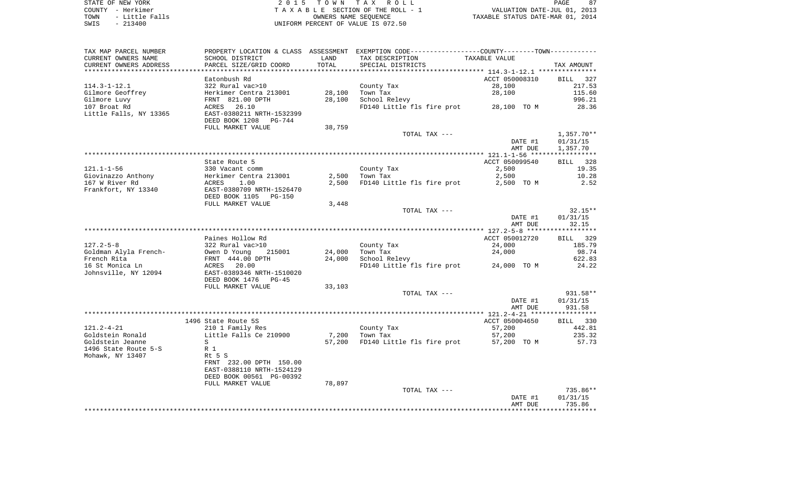STATE OF NEW YORK 2 0 1 5 T O W N T A X R O L L PAGE 87 COUNTY - Herkimer T A X A B L E SECTION OF THE ROLL - 1 VALUATION DATE-JUL 01, 2013 TOWN - Little Falls OWNERS NAME SEQUENCE TAXABLE STATUS DATE-MAR 01, 2014 SWIS - 213400 UNIFORM PERCENT OF VALUE IS 072.50

| TAX MAP PARCEL NUMBER  |                           |        | PROPERTY LOCATION & CLASS ASSESSMENT EXEMPTION CODE----------------COUNTY--------TOWN----------- |                                    |                    |
|------------------------|---------------------------|--------|--------------------------------------------------------------------------------------------------|------------------------------------|--------------------|
| CURRENT OWNERS NAME    | SCHOOL DISTRICT           | LAND   | TAX DESCRIPTION                                                                                  | TAXABLE VALUE                      |                    |
| CURRENT OWNERS ADDRESS | PARCEL SIZE/GRID COORD    | TOTAL  | SPECIAL DISTRICTS                                                                                |                                    | TAX AMOUNT         |
|                        |                           |        |                                                                                                  |                                    |                    |
|                        | Eatonbush Rd              |        |                                                                                                  | ACCT 050008310                     | BILL<br>327        |
| $114.3 - 1 - 12.1$     | 322 Rural vac>10          |        | County Tax                                                                                       | 28,100                             | 217.53             |
| Gilmore Geoffrey       | Herkimer Centra 213001    | 28,100 | Town Tax                                                                                         | 28,100                             | 115.60             |
| Gilmore Luvy           | FRNT 821.00 DPTH          | 28,100 | School Relevy                                                                                    |                                    | 996.21             |
| 107 Broat Rd           | 26.10<br>ACRES            |        | FD140 Little fls fire prot                                                                       | 28,100 TO M                        | 28.36              |
| Little Falls, NY 13365 | EAST-0380211 NRTH-1532399 |        |                                                                                                  |                                    |                    |
|                        | DEED BOOK 1208 PG-744     |        |                                                                                                  |                                    |                    |
|                        | FULL MARKET VALUE         | 38,759 |                                                                                                  |                                    |                    |
|                        |                           |        | TOTAL TAX ---                                                                                    |                                    | $1,357.70**$       |
|                        |                           |        |                                                                                                  | DATE #1                            | 01/31/15           |
|                        |                           |        |                                                                                                  | AMT DUE                            | 1,357.70           |
|                        |                           |        |                                                                                                  |                                    |                    |
|                        | State Route 5             |        |                                                                                                  | ACCT 050099540                     | 328<br>BILL        |
| $121.1 - 1 - 56$       | 330 Vacant comm           |        | County Tax                                                                                       | 2,500                              | 19.35              |
| Giovinazzo Anthony     | Herkimer Centra 213001    | 2,500  | Town Tax                                                                                         | 2,500                              | 10.28              |
| 167 W River Rd         | 1.00<br>ACRES             | 2,500  | FD140 Little fls fire prot                                                                       | 2,500 TO M                         | 2.52               |
| Frankfort, NY 13340    | EAST-0380709 NRTH-1526470 |        |                                                                                                  |                                    |                    |
|                        | DEED BOOK 1105<br>PG-150  |        |                                                                                                  |                                    |                    |
|                        | FULL MARKET VALUE         | 3,448  |                                                                                                  |                                    |                    |
|                        |                           |        | TOTAL TAX ---                                                                                    |                                    | $32.15**$          |
|                        |                           |        |                                                                                                  | DATE #1                            | 01/31/15           |
|                        |                           |        |                                                                                                  | AMT DUE                            | 32.15              |
|                        |                           |        |                                                                                                  | ***************** 127.2-5-8 ****** | *********          |
|                        | Paines Hollow Rd          |        |                                                                                                  | ACCT 050012720                     | <b>BILL</b><br>329 |
| $127.2 - 5 - 8$        | 322 Rural vac>10          |        | County Tax                                                                                       | 24,000                             | 185.79             |
| Goldman Alyla French-  | Owen D Young<br>215001    | 24,000 | Town Tax                                                                                         | 24,000                             | 98.74              |
| French Rita            | FRNT 444.00 DPTH          | 24,000 | School Relevy                                                                                    |                                    | 622.83             |
| 16 St Monica Ln        | ACRES 20.00               |        | FD140 Little fls fire prot                                                                       | 24,000 TO M                        | 24.22              |
| Johnsville, NY 12094   | EAST-0389346 NRTH-1510020 |        |                                                                                                  |                                    |                    |
|                        | DEED BOOK 1476<br>$PG-45$ |        |                                                                                                  |                                    |                    |
|                        | FULL MARKET VALUE         | 33,103 |                                                                                                  |                                    |                    |
|                        |                           |        | TOTAL TAX ---                                                                                    |                                    | 931.58**           |
|                        |                           |        |                                                                                                  | DATE #1                            | 01/31/15           |
|                        |                           |        |                                                                                                  | AMT DUE                            | 931.58             |
|                        |                           |        |                                                                                                  |                                    |                    |
|                        | 1496 State Route 5S       |        |                                                                                                  | ACCT 050004650                     | BILL 330           |
| $121.2 - 4 - 21$       | 210 1 Family Res          |        | County Tax                                                                                       | 57,200                             | 442.81             |
| Goldstein Ronald       | Little Falls Ce 210900    | 7,200  | Town Tax                                                                                         | 57,200                             | 235.32             |
| Goldstein Jeanne       | S                         | 57,200 | FD140 Little fls fire prot                                                                       | 57,200 TO M                        | 57.73              |
| 1496 State Route 5-S   | R 1                       |        |                                                                                                  |                                    |                    |
| Mohawk, NY 13407       | Rt 5 S                    |        |                                                                                                  |                                    |                    |
|                        | FRNT 232.00 DPTH 150.00   |        |                                                                                                  |                                    |                    |
|                        | EAST-0388110 NRTH-1524129 |        |                                                                                                  |                                    |                    |
|                        | DEED BOOK 00561 PG-00392  |        |                                                                                                  |                                    |                    |
|                        | FULL MARKET VALUE         | 78,897 |                                                                                                  |                                    |                    |
|                        |                           |        | TOTAL TAX ---                                                                                    |                                    | 735.86**           |
|                        |                           |        |                                                                                                  | DATE #1                            | 01/31/15           |
|                        |                           |        |                                                                                                  | AMT DUE                            | 735.86             |
|                        |                           |        |                                                                                                  |                                    |                    |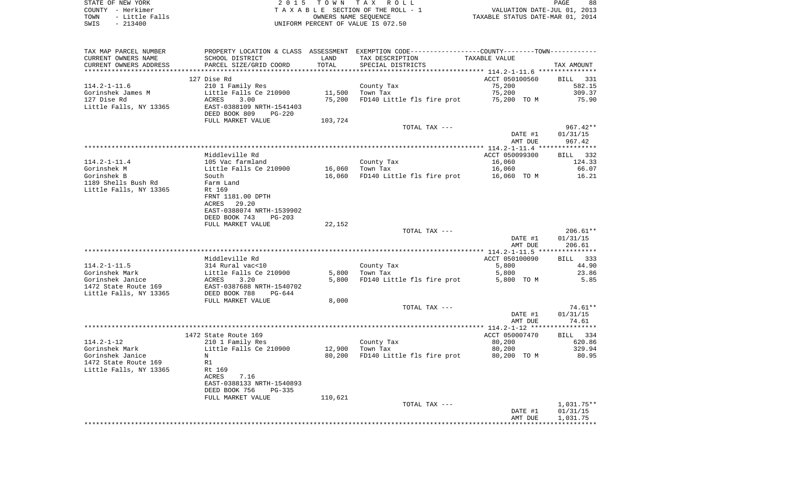STATE OF NEW YORK **EXECUTE:** A G L L 2 0 1 5 T O W N T A X R O L L COUNTY - Herkimer<br>
T A X A B L E SECTION OF THE ROLL - 1<br>
TOWN - Little Falls<br>
SWIS - 213400 - 2013400 - UNIFORM PERCENT OF VALUE IS 072.50 TOWN - Little Falls OWNERS NAME SEQUENCE TAXABLE STATUS DATE-MAR 01, 2014 SWIS - 213400 UNIFORM PERCENT OF VALUE IS 072.50

| TAX MAP PARCEL NUMBER  | PROPERTY LOCATION & CLASS ASSESSMENT |         | EXEMPTION CODE-----------------COUNTY-------TOWN----------- |                |              |
|------------------------|--------------------------------------|---------|-------------------------------------------------------------|----------------|--------------|
| CURRENT OWNERS NAME    | SCHOOL DISTRICT                      | LAND    | TAX DESCRIPTION                                             | TAXABLE VALUE  |              |
| CURRENT OWNERS ADDRESS | PARCEL SIZE/GRID COORD               | TOTAL   | SPECIAL DISTRICTS                                           |                | TAX AMOUNT   |
|                        |                                      |         |                                                             |                |              |
|                        | 127 Dise Rd                          |         |                                                             | ACCT 050100560 | BILL 331     |
| $114.2 - 1 - 11.6$     | 210 1 Family Res                     |         | County Tax                                                  | 75,200         | 582.15       |
| Gorinshek James M      | Little Falls Ce 210900               | 11,500  | Town Tax                                                    | 75,200         | 309.37       |
| 127 Dise Rd            | ACRES<br>3.00                        | 75,200  | FD140 Little fls fire prot                                  | 75,200 TO M    | 75.90        |
| Little Falls, NY 13365 | EAST-0388109 NRTH-1541403            |         |                                                             |                |              |
|                        | DEED BOOK 809<br><b>PG-220</b>       |         |                                                             |                |              |
|                        | FULL MARKET VALUE                    | 103,724 |                                                             |                |              |
|                        |                                      |         | TOTAL TAX ---                                               |                | $967.42**$   |
|                        |                                      |         |                                                             | DATE #1        | 01/31/15     |
|                        |                                      |         |                                                             | AMT DUE        | 967.42       |
|                        |                                      |         |                                                             |                |              |
|                        | Middleville Rd                       |         |                                                             | ACCT 050099300 | BILL 332     |
| $114.2 - 1 - 11.4$     | 105 Vac farmland                     |         | County Tax                                                  | 16,060         | 124.33       |
| Gorinshek M            | Little Falls Ce 210900               | 16,060  | Town Tax                                                    | 16,060         | 66.07        |
| Gorinshek B            | South                                | 16,060  | FD140 Little fls fire prot                                  | 16,060 TO M    | 16.21        |
| 1189 Shells Bush Rd    | Farm Land                            |         |                                                             |                |              |
| Little Falls, NY 13365 | Rt 169                               |         |                                                             |                |              |
|                        | FRNT 1181.00 DPTH                    |         |                                                             |                |              |
|                        | 29.20<br>ACRES                       |         |                                                             |                |              |
|                        | EAST-0388074 NRTH-1539902            |         |                                                             |                |              |
|                        | DEED BOOK 743<br>$PG-203$            |         |                                                             |                |              |
|                        | FULL MARKET VALUE                    | 22,152  |                                                             |                |              |
|                        |                                      |         | TOTAL TAX ---                                               |                | $206.61**$   |
|                        |                                      |         |                                                             | DATE #1        | 01/31/15     |
|                        |                                      |         |                                                             | AMT DUE        | 206.61       |
|                        |                                      |         |                                                             |                |              |
|                        | Middleville Rd                       |         |                                                             | ACCT 050100090 | BILL 333     |
| $114.2 - 1 - 11.5$     |                                      |         |                                                             |                | 44.90        |
|                        | 314 Rural vac<10                     |         | County Tax                                                  | 5,800          |              |
| Gorinshek Mark         | Little Falls Ce 210900               | 5,800   | Town Tax                                                    | 5,800          | 23.86        |
| Gorinshek Janice       | ACRES<br>3.20                        | 5,800   | FD140 Little fls fire prot                                  | 5,800 TO M     | 5.85         |
| 1472 State Route 169   | EAST-0387688 NRTH-1540702            |         |                                                             |                |              |
| Little Falls, NY 13365 | DEED BOOK 788<br>$PG-644$            |         |                                                             |                |              |
|                        | FULL MARKET VALUE                    | 8,000   |                                                             |                |              |
|                        |                                      |         | TOTAL TAX ---                                               |                | $74.61**$    |
|                        |                                      |         |                                                             | DATE #1        | 01/31/15     |
|                        |                                      |         |                                                             | AMT DUE        | 74.61        |
|                        |                                      |         |                                                             |                |              |
|                        | 1472 State Route 169                 |         |                                                             | ACCT 050007470 | BILL 334     |
| $114.2 - 1 - 12$       | 210 1 Family Res                     |         | County Tax                                                  | 80,200         | 620.86       |
| Gorinshek Mark         | Little Falls Ce 210900               | 12,900  | Town Tax                                                    | 80,200         | 329.94       |
| Gorinshek Janice       | N                                    | 80,200  | FD140 Little fls fire prot                                  | 80,200 TO M    | 80.95        |
| 1472 State Route 169   | R1                                   |         |                                                             |                |              |
| Little Falls, NY 13365 | Rt 169                               |         |                                                             |                |              |
|                        | 7.16<br>ACRES                        |         |                                                             |                |              |
|                        | EAST-0388133 NRTH-1540893            |         |                                                             |                |              |
|                        | DEED BOOK 756<br>$PG-335$            |         |                                                             |                |              |
|                        | FULL MARKET VALUE                    | 110,621 |                                                             |                |              |
|                        |                                      |         | TOTAL TAX ---                                               |                | $1,031.75**$ |
|                        |                                      |         |                                                             | DATE #1        | 01/31/15     |
|                        |                                      |         |                                                             | AMT DUE        | 1,031.75     |
|                        |                                      |         |                                                             |                |              |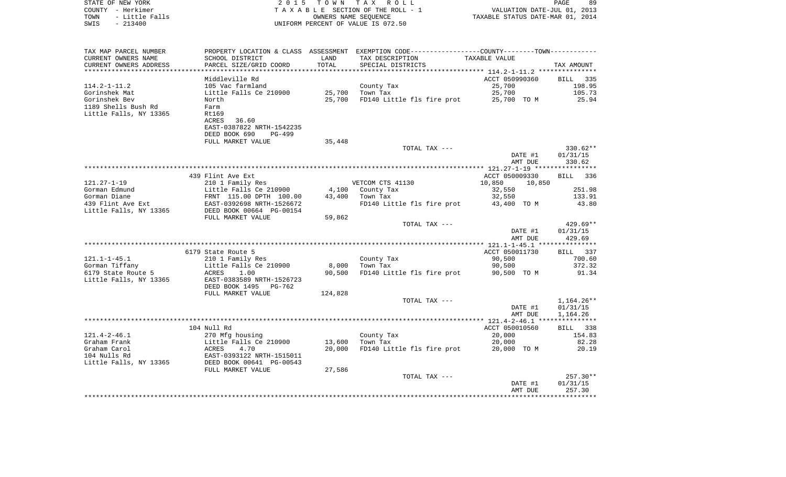| STATE OF NEW YORK<br>COUNTY - Herkimer<br>- Little Falls<br>TOWN<br>SWIS<br>$-213400$ | 2 0 1 5                                               | T O W N         | TAX ROLL<br>TAXABLE SECTION OF THE ROLL - 1<br>OWNERS NAME SEQUENCE<br>UNIFORM PERCENT OF VALUE IS 072.50 | VALUATION DATE-JUL 01, 2013<br>TAXABLE STATUS DATE-MAR 01, 2014 | 89<br>PAGE            |
|---------------------------------------------------------------------------------------|-------------------------------------------------------|-----------------|-----------------------------------------------------------------------------------------------------------|-----------------------------------------------------------------|-----------------------|
|                                                                                       |                                                       |                 |                                                                                                           |                                                                 |                       |
| TAX MAP PARCEL NUMBER                                                                 | SCHOOL DISTRICT                                       | LAND            | PROPERTY LOCATION & CLASS ASSESSMENT EXEMPTION CODE---------------COUNTY-------TOWN----------             |                                                                 |                       |
| CURRENT OWNERS NAME<br>CURRENT OWNERS ADDRESS                                         | PARCEL SIZE/GRID COORD                                | TOTAL           | TAX DESCRIPTION<br>SPECIAL DISTRICTS                                                                      | TAXABLE VALUE                                                   | TAX AMOUNT            |
| ***********************                                                               | ************************                              | ***********     |                                                                                                           |                                                                 |                       |
|                                                                                       | Middleville Rd                                        |                 |                                                                                                           | ACCT 050990360                                                  | <b>BILL</b><br>335    |
| $114.2 - 1 - 11.2$                                                                    | 105 Vac farmland                                      |                 | County Tax                                                                                                | 25,700                                                          | 198.95                |
| Gorinshek Mat                                                                         | Little Falls Ce 210900                                | 25,700          | Town Tax                                                                                                  | 25,700                                                          | 105.73                |
| Gorinshek Bev                                                                         | North                                                 | 25,700          | FD140 Little fls fire prot                                                                                | 25,700 TO M                                                     | 25.94                 |
| 1189 Shells Bush Rd<br>Little Falls, NY 13365                                         | Farm<br>Rt169                                         |                 |                                                                                                           |                                                                 |                       |
|                                                                                       | ACRES<br>36.60                                        |                 |                                                                                                           |                                                                 |                       |
|                                                                                       | EAST-0387822 NRTH-1542235                             |                 |                                                                                                           |                                                                 |                       |
|                                                                                       | DEED BOOK 690<br>PG-499                               |                 |                                                                                                           |                                                                 |                       |
|                                                                                       | FULL MARKET VALUE                                     | 35,448          |                                                                                                           |                                                                 |                       |
|                                                                                       |                                                       |                 | TOTAL TAX ---                                                                                             |                                                                 | 330.62**              |
|                                                                                       |                                                       |                 |                                                                                                           | DATE #1<br>AMT DUE                                              | 01/31/15<br>330.62    |
|                                                                                       |                                                       |                 |                                                                                                           | **************** 121.27-1-19 *****                              | * * * * * * * * * * * |
|                                                                                       | 439 Flint Ave Ext                                     |                 |                                                                                                           | ACCT 050009330                                                  | 336<br>BILL           |
| $121.27 - 1 - 19$                                                                     | 210 1 Family Res                                      |                 | VETCOM CTS 41130                                                                                          | 10,850<br>10,850                                                |                       |
| Gorman Edmund                                                                         | Little Falls Ce 210900                                | 4,100           | County Tax                                                                                                | 32,550                                                          | 251.98                |
| Gorman Diane                                                                          | FRNT 115.00 DPTH 100.00                               | 43,400          | Town Tax                                                                                                  | 32,550                                                          | 133.91                |
| 439 Flint Ave Ext<br>Little Falls, NY 13365                                           | EAST-0392698 NRTH-1526672<br>DEED BOOK 00664 PG-00154 |                 | FD140 Little fls fire prot                                                                                | 43,400 TO M                                                     | 43.80                 |
|                                                                                       | FULL MARKET VALUE                                     | 59,862          | TOTAL TAX ---                                                                                             |                                                                 | $429.69**$            |
|                                                                                       |                                                       |                 |                                                                                                           | DATE #1                                                         | 01/31/15              |
|                                                                                       |                                                       |                 |                                                                                                           | AMT DUE                                                         | 429.69                |
|                                                                                       |                                                       |                 |                                                                                                           |                                                                 |                       |
|                                                                                       | 6179 State Route 5                                    |                 |                                                                                                           | ACCT 050011730                                                  | 337<br>BILL           |
| $121.1 - 1 - 45.1$                                                                    | 210 1 Family Res                                      |                 | County Tax                                                                                                | 90,500                                                          | 700.60                |
| Gorman Tiffany<br>6179 State Route 5                                                  | Little Falls Ce 210900<br>ACRES<br>1.00               | 8,000<br>90,500 | Town Tax<br>FD140 Little fls fire prot                                                                    | 90,500<br>90,500 TO M                                           | 372.32<br>91.34       |
| Little Falls, NY 13365                                                                | EAST-0383589 NRTH-1526723                             |                 |                                                                                                           |                                                                 |                       |
|                                                                                       | DEED BOOK 1495<br>PG-762                              |                 |                                                                                                           |                                                                 |                       |
|                                                                                       | FULL MARKET VALUE                                     | 124,828         |                                                                                                           |                                                                 |                       |
|                                                                                       |                                                       |                 | TOTAL TAX ---                                                                                             |                                                                 | $1,164.26**$          |
|                                                                                       |                                                       |                 |                                                                                                           | DATE #1                                                         | 01/31/15              |
|                                                                                       |                                                       |                 |                                                                                                           | AMT DUE                                                         | 1,164.26              |
|                                                                                       | 104 Null Rd                                           |                 |                                                                                                           | ACCT 050010560                                                  | <b>BILL</b><br>338    |
| $121.4 - 2 - 46.1$                                                                    | 270 Mfg housing                                       |                 | County Tax                                                                                                | 20,000                                                          | 154.83                |
| Graham Frank                                                                          | Little Falls Ce 210900                                | 13,600          | Town Tax                                                                                                  | 20,000                                                          | 82.28                 |
| Graham Carol                                                                          | ACRES<br>4.70                                         | 20,000          | FD140 Little fls fire prot                                                                                | 20,000 TO M                                                     | 20.19                 |
| 104 Nulls Rd                                                                          | EAST-0393122 NRTH-1515011                             |                 |                                                                                                           |                                                                 |                       |
| Little Falls, NY 13365                                                                | DEED BOOK 00641 PG-00543                              |                 |                                                                                                           |                                                                 |                       |
|                                                                                       | FULL MARKET VALUE                                     | 27,586          | TOTAL TAX ---                                                                                             |                                                                 | 257.30**              |
|                                                                                       |                                                       |                 |                                                                                                           | DATE #1                                                         | 01/31/15              |
|                                                                                       |                                                       |                 |                                                                                                           | AMT DUE                                                         | 257.30                |
|                                                                                       |                                                       |                 |                                                                                                           | **************                                                  | * * * * * * * * * * * |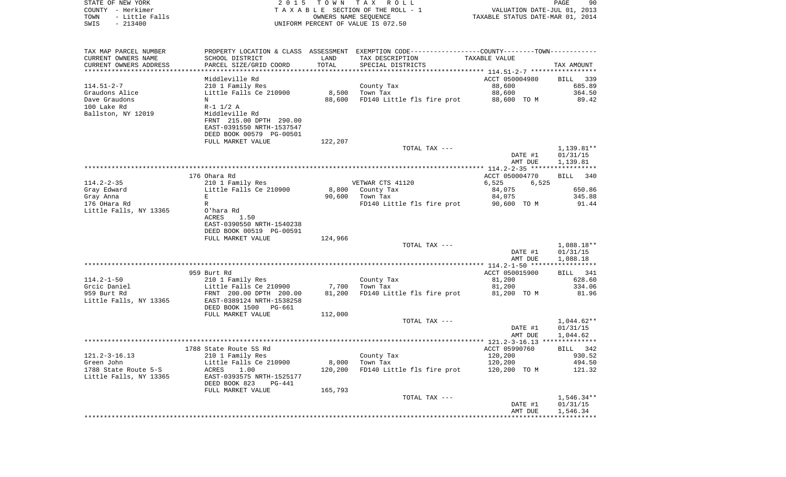| STATE OF NEW YORK      | 2 0 1 5                   |                      | TOWN TAX ROLL                                                                                 |                                  | 90<br>PAGE                  |
|------------------------|---------------------------|----------------------|-----------------------------------------------------------------------------------------------|----------------------------------|-----------------------------|
| COUNTY - Herkimer      |                           |                      | TAXABLE SECTION OF THE ROLL - 1                                                               |                                  | VALUATION DATE-JUL 01, 2013 |
| TOWN<br>- Little Falls |                           | OWNERS NAME SEQUENCE |                                                                                               | TAXABLE STATUS DATE-MAR 01, 2014 |                             |
| $-213400$<br>SWIS      |                           |                      | UNIFORM PERCENT OF VALUE IS 072.50                                                            |                                  |                             |
|                        |                           |                      |                                                                                               |                                  |                             |
|                        |                           |                      |                                                                                               |                                  |                             |
| TAX MAP PARCEL NUMBER  |                           |                      | PROPERTY LOCATION & CLASS ASSESSMENT EXEMPTION CODE---------------COUNTY-------TOWN---------- |                                  |                             |
| CURRENT OWNERS NAME    | SCHOOL DISTRICT           | LAND                 | TAX DESCRIPTION                                                                               | TAXABLE VALUE                    |                             |
| CURRENT OWNERS ADDRESS | PARCEL SIZE/GRID COORD    | TOTAL                | SPECIAL DISTRICTS                                                                             |                                  | TAX AMOUNT                  |
|                        |                           |                      |                                                                                               |                                  |                             |
|                        | Middleville Rd            |                      |                                                                                               | ACCT 050004980                   | BILL<br>339                 |
| 114.51-2-7             | 210 1 Family Res          |                      | County Tax                                                                                    | 88,600                           | 685.89                      |
| Graudons Alice         | Little Falls Ce 210900    | 8,500                | Town Tax                                                                                      | 88,600                           | 364.50                      |
| Dave Graudons          | N                         | 88,600               | FD140 Little fls fire prot                                                                    | 88,600 TO M                      | 89.42                       |
| 100 Lake Rd            | $R-1$ 1/2 A               |                      |                                                                                               |                                  |                             |
| Ballston, NY 12019     | Middleville Rd            |                      |                                                                                               |                                  |                             |
|                        | FRNT 215.00 DPTH 290.00   |                      |                                                                                               |                                  |                             |
|                        | EAST-0391550 NRTH-1537547 |                      |                                                                                               |                                  |                             |
|                        | DEED BOOK 00579 PG-00501  |                      |                                                                                               |                                  |                             |
|                        | FULL MARKET VALUE         | 122,207              |                                                                                               |                                  |                             |
|                        |                           |                      | TOTAL TAX ---                                                                                 |                                  | 1,139.81**                  |
|                        |                           |                      |                                                                                               | DATE #1                          | 01/31/15                    |
|                        |                           |                      |                                                                                               | AMT DUE                          | 1,139.81                    |
|                        |                           |                      |                                                                                               |                                  |                             |
|                        | 176 Ohara Rd              |                      |                                                                                               | ACCT 050004770                   | BILL<br>340                 |
| 114.2-2-35             | 210 1 Family Res          |                      | VETWAR CTS 41120                                                                              | 6,525<br>6,525                   |                             |
| Gray Edward            | Little Falls Ce 210900    | 8,800                | County Tax                                                                                    | 84,075                           | 650.86                      |
| Gray Anna              | E                         | 90,600               | Town Tax                                                                                      | 84,075                           | 345.88                      |
| 176 OHara Rd           | R                         |                      | FD140 Little fls fire prot                                                                    | 90,600 TO M                      | 91.44                       |
|                        |                           |                      |                                                                                               |                                  |                             |
| Little Falls, NY 13365 | O'hara Rd                 |                      |                                                                                               |                                  |                             |
|                        | ACRES<br>1.50             |                      |                                                                                               |                                  |                             |
|                        | EAST-0390550 NRTH-1540238 |                      |                                                                                               |                                  |                             |
|                        | DEED BOOK 00519 PG-00591  |                      |                                                                                               |                                  |                             |
|                        | FULL MARKET VALUE         | 124,966              |                                                                                               |                                  |                             |
|                        |                           |                      | TOTAL TAX ---                                                                                 |                                  | $1,088.18**$                |
|                        |                           |                      |                                                                                               | DATE #1                          | 01/31/15                    |
|                        |                           |                      |                                                                                               | AMT DUE                          | 1,088.18                    |
|                        |                           |                      |                                                                                               |                                  |                             |
|                        | 959 Burt Rd               |                      |                                                                                               | ACCT 050015900                   | BILL 341                    |
| 114.2-1-50             | 210 1 Family Res          |                      | County Tax                                                                                    | 81,200                           | 628.60                      |
| Grcic Daniel           | Little Falls Ce 210900    | 7,700                | Town Tax                                                                                      | 81,200                           | 334.06                      |
| 959 Burt Rd            | FRNT 200.00 DPTH 200.00   | 81,200               | FD140 Little fls fire prot                                                                    | 81,200 TO M                      | 81.96                       |
| Little Falls, NY 13365 | EAST-0389124 NRTH-1538258 |                      |                                                                                               |                                  |                             |
|                        | DEED BOOK 1500<br>PG-661  |                      |                                                                                               |                                  |                             |
|                        | FULL MARKET VALUE         | 112,000              |                                                                                               |                                  |                             |
|                        |                           |                      | TOTAL TAX ---                                                                                 |                                  | 1,044.62**                  |
|                        |                           |                      |                                                                                               | DATE #1                          | 01/31/15                    |
|                        |                           |                      |                                                                                               | AMT DUE                          | 1,044.62                    |
|                        |                           |                      |                                                                                               |                                  |                             |
|                        | 1788 State Route 5S Rd    |                      |                                                                                               | ACCT 05990760                    | BILL 342                    |
| 121.2-3-16.13          | 210 1 Family Res          |                      | County Tax                                                                                    | 120,200                          | 930.52                      |
| Green John             | Little Falls Ce 210900    | 8,000                | Town Tax                                                                                      | 120,200                          | 494.50                      |
| 1788 State Route 5-S   | ACRES<br>1.00             | 120,200              | FD140 Little fls fire prot                                                                    | 120,200<br>TO M                  | 121.32                      |
| Little Falls, NY 13365 | EAST-0393575 NRTH-1525177 |                      |                                                                                               |                                  |                             |
|                        | DEED BOOK 823<br>PG-441   |                      |                                                                                               |                                  |                             |
|                        | FULL MARKET VALUE         | 165,793              |                                                                                               |                                  |                             |
|                        |                           |                      | TOTAL TAX ---                                                                                 |                                  | 1,546.34**                  |
|                        |                           |                      |                                                                                               | DATE #1                          | 01/31/15                    |
|                        |                           |                      |                                                                                               | AMT DUE                          | 1,546.34                    |
|                        |                           |                      |                                                                                               | ***************                  |                             |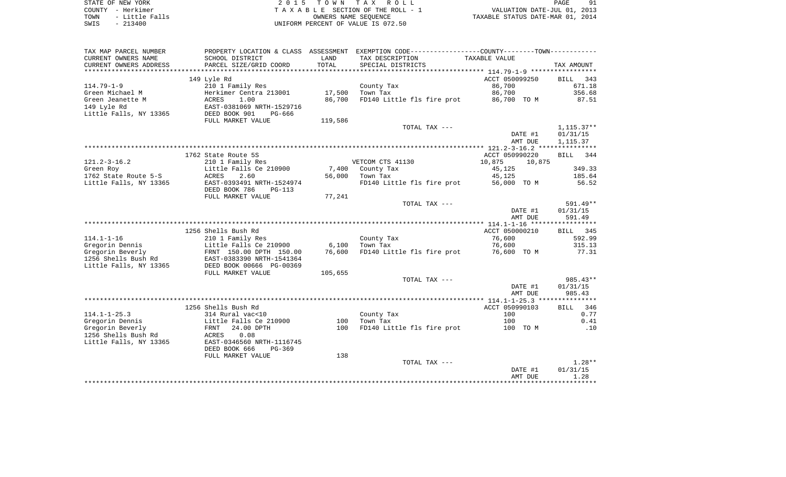| STATE OF NEW YORK |  |           |                |  |
|-------------------|--|-----------|----------------|--|
| COUNTY - Herkimer |  |           |                |  |
| TOWN              |  |           | - Little Falls |  |
| SWIS              |  | $-213400$ |                |  |

STATE OF NEW YORK 2 0 1 5 T O W N T A X R O L L PAGE 91TA X A B L E SECTION OF THE ROLL - 1 TOWN - Little Falls OWNERS NAME SEQUENCE TAXABLE STATUS DATE-MAR 01, 2014 SWIS - 213400 UNIFORM PERCENT OF VALUE IS 072.50

| TAX MAP PARCEL NUMBER  |                           |         | PROPERTY LOCATION & CLASS ASSESSMENT EXEMPTION CODE---------------COUNTY-------TOWN---------- |                  |                    |
|------------------------|---------------------------|---------|-----------------------------------------------------------------------------------------------|------------------|--------------------|
| CURRENT OWNERS NAME    | SCHOOL DISTRICT           | LAND    | TAX DESCRIPTION                                                                               | TAXABLE VALUE    |                    |
| CURRENT OWNERS ADDRESS | PARCEL SIZE/GRID COORD    | TOTAL   | SPECIAL DISTRICTS                                                                             |                  | TAX AMOUNT         |
|                        |                           |         |                                                                                               |                  |                    |
|                        | 149 Lyle Rd               |         |                                                                                               | ACCT 050099250   | 343<br><b>BILL</b> |
| $114.79 - 1 - 9$       | 210 1 Family Res          |         | County Tax                                                                                    | 86,700           | 671.18             |
| Green Michael M        | Herkimer Centra 213001    | 17,500  | Town Tax                                                                                      | 86,700           | 356.68             |
| Green Jeanette M       | ACRES<br>1.00             | 86,700  | FD140 Little fls fire prot                                                                    | 86,700 TO M      | 87.51              |
| 149 Lyle Rd            | EAST-0381069 NRTH-1529716 |         |                                                                                               |                  |                    |
| Little Falls, NY 13365 | DEED BOOK 901<br>PG-666   |         |                                                                                               |                  |                    |
|                        |                           |         |                                                                                               |                  |                    |
|                        | FULL MARKET VALUE         | 119,586 |                                                                                               |                  |                    |
|                        |                           |         | TOTAL TAX ---                                                                                 |                  | $1,115.37**$       |
|                        |                           |         |                                                                                               | DATE #1          | 01/31/15           |
|                        |                           |         |                                                                                               | AMT DUE          | 1,115.37           |
|                        |                           |         |                                                                                               |                  |                    |
|                        | 1762 State Route 5S       |         |                                                                                               | ACCT 050990220   | BILL 344           |
| $121.2 - 3 - 16.2$     | 210 1 Family Res          |         | VETCOM CTS 41130                                                                              | 10,875<br>10,875 |                    |
| Green Roy              | Little Falls Ce 210900    |         | 7,400 County Tax                                                                              | 45,125           | 349.33             |
| 1762 State Route 5-S   | ACRES<br>2.60             | 56,000  | Town Tax                                                                                      | 45,125           | 185.64             |
| Little Falls, NY 13365 | EAST-0393491 NRTH-1524974 |         | FD140 Little fls fire prot                                                                    | 56,000 TO M      | 56.52              |
|                        | DEED BOOK 786<br>PG-113   |         |                                                                                               |                  |                    |
|                        | FULL MARKET VALUE         | 77,241  |                                                                                               |                  |                    |
|                        |                           |         | TOTAL TAX ---                                                                                 |                  | 591.49**           |
|                        |                           |         |                                                                                               | DATE #1          | 01/31/15           |
|                        |                           |         |                                                                                               | AMT DUE          | 591.49             |
|                        |                           |         |                                                                                               |                  |                    |
|                        | 1256 Shells Bush Rd       |         |                                                                                               | ACCT 050000210   | BILL 345           |
| $114.1 - 1 - 16$       | 210 1 Family Res          |         | County Tax                                                                                    | 76,600           | 592.99             |
| Gregorin Dennis        | Little Falls Ce 210900    | 6,100   | Town Tax                                                                                      | 76,600           | 315.13             |
| Gregorin Beverly       | FRNT 150.00 DPTH 150.00   | 76,600  | FD140 Little fls fire prot                                                                    | 76,600 TO M      | 77.31              |
| 1256 Shells Bush Rd    | EAST-0383390 NRTH-1541364 |         |                                                                                               |                  |                    |
| Little Falls, NY 13365 | DEED BOOK 00666 PG-00369  |         |                                                                                               |                  |                    |
|                        | FULL MARKET VALUE         | 105,655 |                                                                                               |                  |                    |
|                        |                           |         | TOTAL TAX ---                                                                                 |                  | 985.43**           |
|                        |                           |         |                                                                                               |                  |                    |
|                        |                           |         |                                                                                               | DATE #1          | 01/31/15           |
|                        |                           |         |                                                                                               | AMT DUE          | 985.43             |
|                        |                           |         |                                                                                               |                  |                    |
|                        | 1256 Shells Bush Rd       |         |                                                                                               | ACCT 050990103   | BILL 346           |
| $114.1 - 1 - 25.3$     | 314 Rural vac<10          |         | County Tax                                                                                    | 100              | 0.77               |
| Gregorin Dennis        | Little Falls Ce 210900    | 100     | Town Tax                                                                                      | 100              | 0.41               |
| Gregorin Beverly       | 24.00 DPTH<br>FRNT        | 100     | FD140 Little fls fire prot                                                                    | 100 TO M         | .10                |
| 1256 Shells Bush Rd    | 0.08<br>ACRES             |         |                                                                                               |                  |                    |
| Little Falls, NY 13365 | EAST-0346560 NRTH-1116745 |         |                                                                                               |                  |                    |
|                        | DEED BOOK 666<br>$PG-369$ |         |                                                                                               |                  |                    |
|                        | FULL MARKET VALUE         | 138     |                                                                                               |                  |                    |
|                        |                           |         | TOTAL TAX ---                                                                                 |                  | $1.28**$           |
|                        |                           |         |                                                                                               | DATE #1          | 01/31/15           |
|                        |                           |         |                                                                                               | AMT DUE          | 1.28               |
|                        |                           |         |                                                                                               |                  | **********         |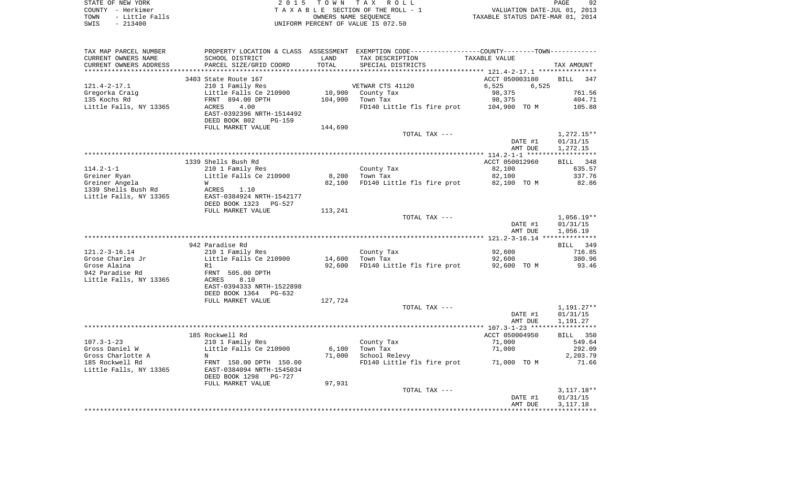| STATE OF NEW YORK      | 2015 TOWN TAX ROLL                 | 92<br>PAGE                       |
|------------------------|------------------------------------|----------------------------------|
| COUNTY - Herkimer      | TAXABLE SECTION OF THE ROLL - 1    | VALUATION DATE-JUL 01, 2013      |
| - Little Falls<br>TOWN | OWNERS NAME SEOUENCE               | TAXABLE STATUS DATE-MAR 01, 2014 |
| $-213400$<br>SWIS      | UNIFORM PERCENT OF VALUE IS 072.50 |                                  |

| TAX MAP PARCEL NUMBER<br>CURRENT OWNERS NAME<br>CURRENT OWNERS ADDRESS | PROPERTY LOCATION & CLASS ASSESSMENT<br>SCHOOL DISTRICT<br>PARCEL SIZE/GRID COORD | LAND<br>TOTAL      | EXEMPTION CODE-----------------COUNTY-------TOWN-----------<br>TAX DESCRIPTION<br>SPECIAL DISTRICTS | TAXABLE VALUE  | TAX AMOUNT         |
|------------------------------------------------------------------------|-----------------------------------------------------------------------------------|--------------------|-----------------------------------------------------------------------------------------------------|----------------|--------------------|
| ********************                                                   | ***********************                                                           | ****************** | ********************************** 121.4-2-17.1 ****************                                    |                |                    |
|                                                                        | 3403 State Route 167                                                              |                    |                                                                                                     | ACCT 050003180 | <b>BILL</b><br>347 |
| $121.4 - 2 - 17.1$                                                     | 210 1 Family Res                                                                  |                    | VETWAR CTS 41120                                                                                    | 6,525<br>6,525 |                    |
| Gregorka Craig                                                         | Little Falls Ce 210900                                                            | 10,900             | County Tax                                                                                          | 98,375         | 761.56             |
| 135 Kochs Rd                                                           | FRNT 894.00 DPTH                                                                  | 104,900            | Town Tax                                                                                            | 98,375         | 404.71             |
| Little Falls, NY 13365                                                 | ACRES<br>4.00                                                                     |                    | FD140 Little fls fire prot                                                                          | 104,900 TO M   | 105.88             |
|                                                                        | EAST-0392396 NRTH-1514492                                                         |                    |                                                                                                     |                |                    |
|                                                                        | DEED BOOK 802<br><b>PG-159</b>                                                    |                    |                                                                                                     |                |                    |
|                                                                        | FULL MARKET VALUE                                                                 | 144,690            |                                                                                                     |                |                    |
|                                                                        |                                                                                   |                    | TOTAL TAX ---                                                                                       |                | $1,272.15**$       |
|                                                                        |                                                                                   |                    |                                                                                                     | DATE #1        | 01/31/15           |
|                                                                        |                                                                                   |                    |                                                                                                     | AMT DUE        | 1,272.15           |
|                                                                        |                                                                                   |                    |                                                                                                     |                |                    |
|                                                                        | 1339 Shells Bush Rd                                                               |                    |                                                                                                     | ACCT 050012960 | 348<br>BILL        |
| $114.2 - 1 - 1$                                                        | 210 1 Family Res                                                                  |                    | County Tax                                                                                          | 82,100         | 635.57             |
| Greiner Ryan                                                           | Little Falls Ce 210900                                                            | 8,200              | Town Tax                                                                                            | 82,100         | 337.76             |
| Greiner Angela                                                         | W                                                                                 | 82,100             | FD140 Little fls fire prot                                                                          | 82,100 TO M    | 82.86              |
| 1339 Shells Bush Rd<br>Little Falls, NY 13365                          | ACRES<br>1.10<br>EAST-0384924 NRTH-1542177                                        |                    |                                                                                                     |                |                    |
|                                                                        | DEED BOOK 1323<br>PG-527                                                          |                    |                                                                                                     |                |                    |
|                                                                        | FULL MARKET VALUE                                                                 | 113,241            |                                                                                                     |                |                    |
|                                                                        |                                                                                   |                    | TOTAL TAX ---                                                                                       |                | $1,056.19**$       |
|                                                                        |                                                                                   |                    |                                                                                                     | DATE #1        | 01/31/15           |
|                                                                        |                                                                                   |                    |                                                                                                     | AMT DUE        | 1,056.19           |
|                                                                        |                                                                                   |                    |                                                                                                     |                |                    |
|                                                                        | 942 Paradise Rd                                                                   |                    |                                                                                                     |                | BILL 349           |
| $121.2 - 3 - 16.14$                                                    | 210 1 Family Res                                                                  |                    | County Tax                                                                                          | 92,600         | 716.85             |
| Grose Charles Jr                                                       | Little Falls Ce 210900                                                            | 14,600             | Town Tax                                                                                            | 92,600         | 380.96             |
| Grose Alaina                                                           | R1                                                                                | 92,600             | FD140 Little fls fire prot                                                                          | 92,600 TO M    | 93.46              |
| 942 Paradise Rd                                                        | FRNT 505.00 DPTH                                                                  |                    |                                                                                                     |                |                    |
| Little Falls, NY 13365                                                 | 8.10<br>ACRES                                                                     |                    |                                                                                                     |                |                    |
|                                                                        | EAST-0394333 NRTH-1522898                                                         |                    |                                                                                                     |                |                    |
|                                                                        | DEED BOOK 1364<br>PG-632                                                          |                    |                                                                                                     |                |                    |
|                                                                        | FULL MARKET VALUE                                                                 | 127,724            |                                                                                                     |                |                    |
|                                                                        |                                                                                   |                    | TOTAL TAX ---                                                                                       |                | 1,191.27**         |
|                                                                        |                                                                                   |                    |                                                                                                     | DATE #1        | 01/31/15           |
|                                                                        |                                                                                   |                    |                                                                                                     | AMT DUE        | 1,191.27           |
|                                                                        |                                                                                   |                    |                                                                                                     |                |                    |
|                                                                        | 185 Rockwell Rd                                                                   |                    |                                                                                                     | ACCT 050004950 | 350<br><b>BILL</b> |
| $107.3 - 1 - 23$                                                       | 210 1 Family Res                                                                  |                    | County Tax                                                                                          | 71,000         | 549.64             |
| Gross Daniel W<br>Gross Charlotte A                                    | Little Falls Ce 210900<br>$_{\rm N}$                                              | 6,100<br>71,000    | Town Tax<br>School Relevy                                                                           | 71,000         | 292.09<br>2,203.79 |
| 185 Rockwell Rd                                                        | FRNT 150.00 DPTH 150.00                                                           |                    | FD140 Little fls fire prot 71,000 TO M                                                              |                | 71.66              |
| Little Falls, NY 13365                                                 | EAST-0384094 NRTH-1545034                                                         |                    |                                                                                                     |                |                    |
|                                                                        | DEED BOOK 1298<br>PG-727                                                          |                    |                                                                                                     |                |                    |
|                                                                        | FULL MARKET VALUE                                                                 | 97,931             |                                                                                                     |                |                    |
|                                                                        |                                                                                   |                    | TOTAL TAX ---                                                                                       |                | $3,117.18**$       |
|                                                                        |                                                                                   |                    |                                                                                                     | DATE #1        | 01/31/15           |
|                                                                        |                                                                                   |                    |                                                                                                     | AMT DUE        | 3, 117. 18         |
|                                                                        |                                                                                   |                    |                                                                                                     |                |                    |
|                                                                        |                                                                                   |                    |                                                                                                     |                |                    |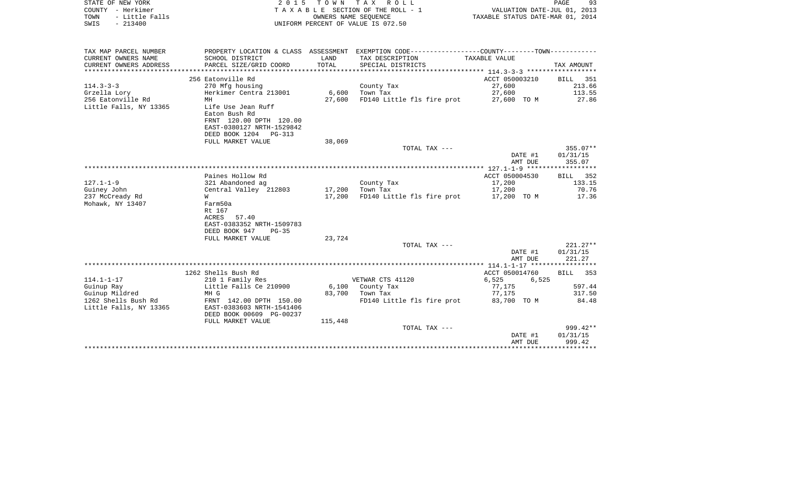| STATE OF NEW YORK<br>COUNTY - Herkimer<br>- Little Falls<br>TOWN<br>$-213400$<br>SWIS | 2 0 1 5                                    | OWNERS NAME SEOUENCE | TOWN TAX ROLL<br>TAXABLE SECTION OF THE ROLL - 1<br>UNIFORM PERCENT OF VALUE IS 072.50        | VALUATION DATE-JUL 01, 2013<br>TAXABLE STATUS DATE-MAR 01, 2014 | PAGE<br>93                                                                      |
|---------------------------------------------------------------------------------------|--------------------------------------------|----------------------|-----------------------------------------------------------------------------------------------|-----------------------------------------------------------------|---------------------------------------------------------------------------------|
|                                                                                       |                                            |                      |                                                                                               |                                                                 |                                                                                 |
| TAX MAP PARCEL NUMBER                                                                 |                                            |                      | PROPERTY LOCATION & CLASS ASSESSMENT EXEMPTION CODE---------------COUNTY-------TOWN---------- |                                                                 |                                                                                 |
| CURRENT OWNERS NAME<br>CURRENT OWNERS ADDRESS<br>************************             | SCHOOL DISTRICT<br>PARCEL SIZE/GRID COORD  | LAND<br>TOTAL        | TAX DESCRIPTION<br>SPECIAL DISTRICTS                                                          | TAXABLE VALUE                                                   | TAX AMOUNT                                                                      |
|                                                                                       | 256 Eatonville Rd                          |                      |                                                                                               | ACCT 050003210                                                  | 351<br>BILL                                                                     |
| $114.3 - 3 - 3$                                                                       | 270 Mfg housing                            |                      | County Tax                                                                                    | 27,600                                                          | 213.66                                                                          |
| Grzella Lory                                                                          | Herkimer Centra 213001                     | 6,600                | Town Tax                                                                                      | 27,600                                                          | 113.55                                                                          |
| 256 Eatonville Rd                                                                     | MH                                         | 27,600               | FD140 Little fls fire prot                                                                    | 27,600 TO M                                                     | 27.86                                                                           |
| Little Falls, NY 13365                                                                | Life Use Jean Ruff<br>Eaton Bush Rd        |                      |                                                                                               |                                                                 |                                                                                 |
|                                                                                       | FRNT 120.00 DPTH 120.00                    |                      |                                                                                               |                                                                 |                                                                                 |
|                                                                                       | EAST-0380127 NRTH-1529842                  |                      |                                                                                               |                                                                 |                                                                                 |
|                                                                                       | DEED BOOK 1204 PG-313                      |                      |                                                                                               |                                                                 |                                                                                 |
|                                                                                       | FULL MARKET VALUE                          | 38,069               |                                                                                               |                                                                 |                                                                                 |
|                                                                                       |                                            |                      | TOTAL TAX ---                                                                                 |                                                                 | 355.07**                                                                        |
|                                                                                       |                                            |                      |                                                                                               | DATE #1<br>AMT DUE                                              | 01/31/15<br>355.07                                                              |
|                                                                                       |                                            |                      |                                                                                               |                                                                 |                                                                                 |
|                                                                                       | Paines Hollow Rd                           |                      |                                                                                               | ACCT 050004530                                                  | 352<br>BILL                                                                     |
| $127.1 - 1 - 9$                                                                       | 321 Abandoned ag                           |                      | County Tax                                                                                    | 17,200                                                          | 133.15                                                                          |
| Guiney John                                                                           | Central Valley 212803                      | 17,200               | Town Tax                                                                                      | 17,200                                                          | 70.76                                                                           |
| 237 McCready Rd                                                                       | W                                          | 17,200               | FD140 Little fls fire prot                                                                    |                                                                 |                                                                                 |
|                                                                                       |                                            |                      |                                                                                               | 17,200 TO M                                                     |                                                                                 |
|                                                                                       | Farm50a                                    |                      |                                                                                               |                                                                 |                                                                                 |
|                                                                                       | Rt 167                                     |                      |                                                                                               |                                                                 |                                                                                 |
|                                                                                       | 57.40<br>ACRES                             |                      |                                                                                               |                                                                 |                                                                                 |
|                                                                                       | EAST-0383352 NRTH-1509783<br>$PG-35$       |                      |                                                                                               |                                                                 |                                                                                 |
|                                                                                       | DEED BOOK 947<br>FULL MARKET VALUE         | 23,724               |                                                                                               |                                                                 |                                                                                 |
|                                                                                       |                                            |                      | TOTAL TAX ---                                                                                 |                                                                 |                                                                                 |
|                                                                                       |                                            |                      |                                                                                               | DATE #1                                                         | 01/31/15                                                                        |
|                                                                                       |                                            |                      |                                                                                               | AMT DUE                                                         | 221.27                                                                          |
|                                                                                       |                                            |                      |                                                                                               |                                                                 |                                                                                 |
|                                                                                       | 1262 Shells Bush Rd                        |                      |                                                                                               | ACCT 050014760                                                  | <b>BILL</b>                                                                     |
| Mohawk, NY 13407<br>$114.1 - 1 - 17$<br>Guinup Ray                                    | 210 1 Family Res<br>Little Falls Ce 210900 | 6,100                | VETWAR CTS 41120<br>County Tax                                                                | 6,525<br>6,525<br>77,175                                        |                                                                                 |
| Guinup Mildred                                                                        | MH G                                       | 83,700               | Town Tax                                                                                      | 77,175                                                          |                                                                                 |
| 1262 Shells Bush Rd                                                                   | FRNT 142.00 DPTH 150.00                    |                      | FD140 Little fls fire prot                                                                    | 83,700 TO M                                                     |                                                                                 |
| Little Falls, NY 13365                                                                | EAST-0383603 NRTH-1541406                  |                      |                                                                                               |                                                                 |                                                                                 |
|                                                                                       | DEED BOOK 00609 PG-00237                   |                      |                                                                                               |                                                                 |                                                                                 |
|                                                                                       | FULL MARKET VALUE                          | 115,448              |                                                                                               |                                                                 |                                                                                 |
|                                                                                       |                                            |                      | TOTAL TAX ---                                                                                 | DATE #1                                                         | 17.36<br>$221.27**$<br>353<br>597.44<br>317.50<br>84.48<br>999.42**<br>01/31/15 |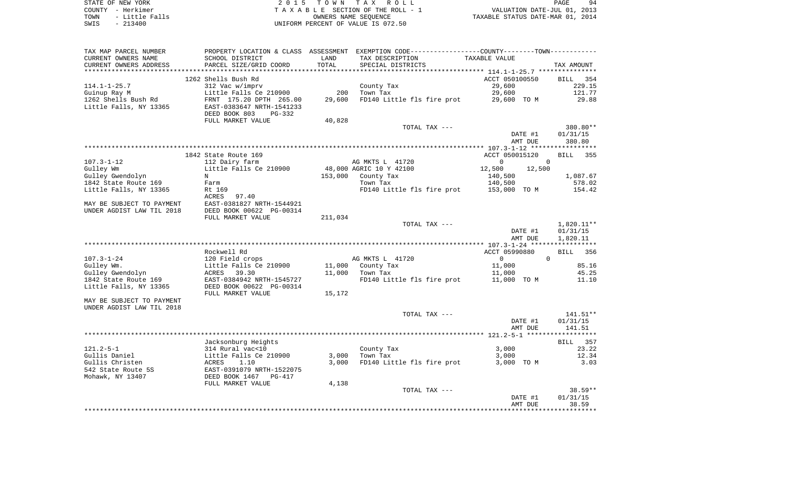| STATE OF NEW YORK      | 2015 TOWN TAX ROLL                  | 94<br>PAGE                       |
|------------------------|-------------------------------------|----------------------------------|
| COUNTY - Herkimer      | TAXABLE SECTION OF THE ROLL - 1     | VALUATION DATE-JUL 01, 2013      |
| - Little Falls<br>TOWN | OWNERS NAME SEOUENCE                | TAXABLE STATUS DATE-MAR 01, 2014 |
| CMTC _ 213400          | INITEORM DERCENT OF VALUE IS 072 50 |                                  |

SWIS - 213400 UNIFORM PERCENT OF VALUE IS 072.50

| TAX MAP PARCEL NUMBER     |                           |         | PROPERTY LOCATION & CLASS ASSESSMENT EXEMPTION CODE---------------COUNTY-------TOWN---------- |                    |                    |
|---------------------------|---------------------------|---------|-----------------------------------------------------------------------------------------------|--------------------|--------------------|
| CURRENT OWNERS NAME       | SCHOOL DISTRICT           | LAND    | TAX DESCRIPTION                                                                               | TAXABLE VALUE      |                    |
| CURRENT OWNERS ADDRESS    | PARCEL SIZE/GRID COORD    | TOTAL   | SPECIAL DISTRICTS                                                                             |                    | TAX AMOUNT         |
|                           |                           |         |                                                                                               |                    |                    |
|                           | 1262 Shells Bush Rd       |         |                                                                                               | ACCT 050100550     | <b>BILL</b><br>354 |
| $114.1 - 1 - 25.7$        | 312 Vac w/imprv           |         | County Tax                                                                                    | 29,600             | 229.15             |
| Guinup Ray M              | Little Falls Ce 210900    | 200     | Town Tax                                                                                      | 29,600             | 121.77             |
| 1262 Shells Bush Rd       | FRNT 175.20 DPTH 265.00   | 29,600  | FD140 Little fls fire prot                                                                    | 29,600 TO M        | 29.88              |
| Little Falls, NY 13365    | EAST-0383647 NRTH-1541233 |         |                                                                                               |                    |                    |
|                           | DEED BOOK 803<br>PG-332   |         |                                                                                               |                    |                    |
|                           | FULL MARKET VALUE         | 40,828  |                                                                                               |                    |                    |
|                           |                           |         | TOTAL TAX ---                                                                                 |                    | 380.80**           |
|                           |                           |         |                                                                                               |                    | 01/31/15           |
|                           |                           |         |                                                                                               | DATE #1<br>AMT DUE | 380.80             |
|                           |                           |         |                                                                                               |                    |                    |
|                           |                           |         |                                                                                               |                    |                    |
|                           | 1842 State Route 169      |         |                                                                                               | ACCT 050015120     | <b>BILL</b><br>355 |
| $107.3 - 1 - 12$          | 112 Dairy farm            |         | AG MKTS L 41720                                                                               | $\overline{0}$     | $\Omega$           |
| Gulley Wm                 | Little Falls Ce 210900    |         | 48,000 AGRIC 10 Y 42100                                                                       | 12,500<br>12,500   |                    |
| Gulley Gwendolyn          | N                         | 153,000 | County Tax                                                                                    | 140,500            | 1,087.67           |
| 1842 State Route 169      | Farm                      |         | Town Tax                                                                                      | 140,500            | 578.02             |
| Little Falls, NY 13365    | Rt 169                    |         | FD140 Little fls fire prot                                                                    | 153,000 TO M       | 154.42             |
|                           | ACRES<br>97.40            |         |                                                                                               |                    |                    |
| MAY BE SUBJECT TO PAYMENT | EAST-0381827 NRTH-1544921 |         |                                                                                               |                    |                    |
| UNDER AGDIST LAW TIL 2018 | DEED BOOK 00622 PG-00314  |         |                                                                                               |                    |                    |
|                           | FULL MARKET VALUE         | 211,034 |                                                                                               |                    |                    |
|                           |                           |         | TOTAL TAX ---                                                                                 |                    | 1,820.11**         |
|                           |                           |         |                                                                                               | DATE #1            | 01/31/15           |
|                           |                           |         |                                                                                               | AMT DUE            | 1,820.11           |
|                           |                           |         |                                                                                               |                    |                    |
|                           | Rockwell Rd               |         |                                                                                               | ACCT 05990880      | <b>BILL</b><br>356 |
| $107.3 - 1 - 24$          | 120 Field crops           |         | AG MKTS L 41720                                                                               | $\overline{0}$     | $\Omega$           |
| Gulley Wm.                | Little Falls Ce 210900    | 11,000  | County Tax                                                                                    | 11,000             | 85.16              |
| Gulley Gwendolyn          | ACRES<br>39.30            | 11,000  | Town Tax                                                                                      | 11,000             | 45.25              |
| 1842 State Route 169      | EAST-0384942 NRTH-1545727 |         | FD140 Little fls fire prot                                                                    | 11,000 TO M        | 11.10              |
| Little Falls, NY 13365    | DEED BOOK 00622 PG-00314  |         |                                                                                               |                    |                    |
|                           | FULL MARKET VALUE         | 15,172  |                                                                                               |                    |                    |
| MAY BE SUBJECT TO PAYMENT |                           |         |                                                                                               |                    |                    |
| UNDER AGDIST LAW TIL 2018 |                           |         |                                                                                               |                    |                    |
|                           |                           |         | TOTAL TAX ---                                                                                 |                    | 141.51**           |
|                           |                           |         |                                                                                               | DATE #1            | 01/31/15           |
|                           |                           |         |                                                                                               | AMT DUE            | 141.51             |
|                           |                           |         |                                                                                               |                    |                    |
|                           |                           |         |                                                                                               |                    |                    |
|                           | Jacksonburg Heights       |         |                                                                                               |                    | BILL 357           |
| $121.2 - 5 - 1$           | 314 Rural vac<10          |         | County Tax                                                                                    | 3,000              | 23.22              |
| Gullis Daniel             | Little Falls Ce 210900    | 3,000   | Town Tax                                                                                      | 3,000              | 12.34              |
| Gullis Christen           | <b>ACRES</b><br>1.10      | 3,000   | FD140 Little fls fire prot                                                                    | 3,000 TO M         | 3.03               |
| 542 State Route 5S        | EAST-0391079 NRTH-1522075 |         |                                                                                               |                    |                    |
| Mohawk, NY 13407          | DEED BOOK 1467<br>PG-417  |         |                                                                                               |                    |                    |
|                           | FULL MARKET VALUE         | 4,138   |                                                                                               |                    |                    |
|                           |                           |         | TOTAL TAX ---                                                                                 |                    | 38.59**            |
|                           |                           |         |                                                                                               | DATE #1            | 01/31/15           |
|                           |                           |         |                                                                                               | AMT DUE            | 38.59              |
|                           |                           |         |                                                                                               |                    | ***********        |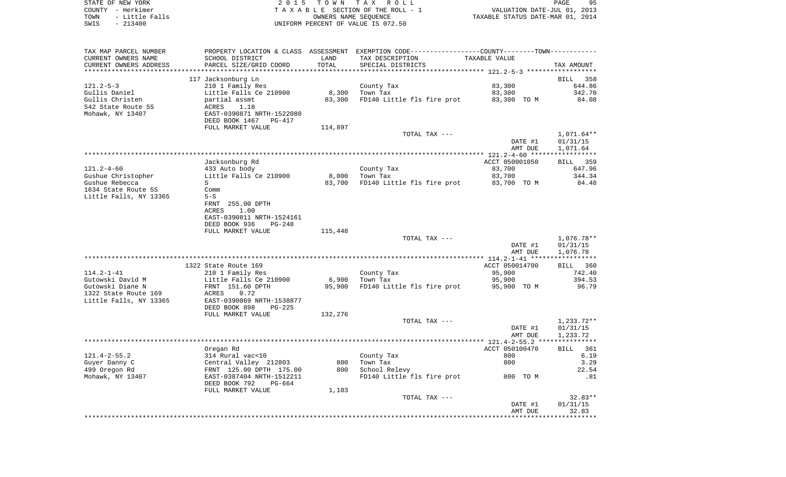| STATE OF NEW YORK      | 2015 TOWN TAX ROLL                 | 95<br>PAGE                       |
|------------------------|------------------------------------|----------------------------------|
| COUNTY - Herkimer      | TAXABLE SECTION OF THE ROLL - 1    | VALUATION DATE-JUL 01, 2013      |
| TOWN<br>- Little Falls | OWNERS NAME SEOUENCE               | TAXABLE STATUS DATE-MAR 01, 2014 |
| $-213400$<br>SWIS      | UNIFORM PERCENT OF VALUE IS 072.50 |                                  |

| TAX MAP PARCEL NUMBER<br>CURRENT OWNERS NAME<br>CURRENT OWNERS ADDRESS | PROPERTY LOCATION & CLASS ASSESSMENT<br>SCHOOL DISTRICT<br>PARCEL SIZE/GRID COORD       | LAND<br>TOTAL | EXEMPTION CODE-----------------COUNTY-------TOWN-----------<br>TAX DESCRIPTION<br>SPECIAL DISTRICTS | TAXABLE VALUE      | TAX AMOUNT                         |
|------------------------------------------------------------------------|-----------------------------------------------------------------------------------------|---------------|-----------------------------------------------------------------------------------------------------|--------------------|------------------------------------|
| ************************                                               |                                                                                         |               |                                                                                                     |                    |                                    |
| $121.2 - 5 - 3$<br>Gullis Daniel                                       | 117 Jacksonburg Ln<br>210 1 Family Res<br>Little Falls Ce 210900                        | 8,300         | County Tax<br>Town Tax                                                                              | 83,300<br>83,300   | 358<br>BILL<br>644.86<br>342.70    |
| Gullis Christen<br>542 State Route 5S<br>Mohawk, NY 13407              | partial assmt<br>ACRES<br>1.18<br>EAST-0390871 NRTH-1522080<br>DEED BOOK 1467<br>PG-417 | 83,300        | FD140 Little fls fire prot                                                                          | 83,300 TO M        | 84.08                              |
|                                                                        | FULL MARKET VALUE                                                                       | 114,897       |                                                                                                     |                    |                                    |
|                                                                        |                                                                                         |               | TOTAL TAX ---                                                                                       | DATE #1<br>AMT DUE | 1,071.64**<br>01/31/15<br>1,071.64 |
|                                                                        |                                                                                         |               |                                                                                                     |                    |                                    |
|                                                                        | Jacksonburg Rd                                                                          |               |                                                                                                     | ACCT 050001050     | 359<br>BILL                        |
| $121.2 - 4 - 60$                                                       | 433 Auto body                                                                           |               | County Tax                                                                                          | 83,700             | 647.96                             |
| Gushue Christopher                                                     | Little Falls Ce 210900                                                                  | 8,000         | Town Tax                                                                                            | 83,700             | 344.34                             |
| Gushue Rebecca                                                         | S                                                                                       | 83,700        | FD140 Little fls fire prot                                                                          | 83,700 TO M        | 84.48                              |
| 1634 State Route 5S                                                    | Comm                                                                                    |               |                                                                                                     |                    |                                    |
| Little Falls, NY 13365                                                 | $5-S$                                                                                   |               |                                                                                                     |                    |                                    |
|                                                                        | FRNT 255.00 DPTH                                                                        |               |                                                                                                     |                    |                                    |
|                                                                        | 1.00<br>ACRES                                                                           |               |                                                                                                     |                    |                                    |
|                                                                        | EAST-0390811 NRTH-1524161<br>DEED BOOK 936<br>$PG-248$                                  |               |                                                                                                     |                    |                                    |
|                                                                        | FULL MARKET VALUE                                                                       | 115,448       |                                                                                                     |                    |                                    |
|                                                                        |                                                                                         |               | TOTAL TAX ---                                                                                       |                    | 1,076.78**                         |
|                                                                        |                                                                                         |               |                                                                                                     | DATE #1            | 01/31/15                           |
|                                                                        |                                                                                         |               |                                                                                                     | AMT DUE            | 1,076.78                           |
|                                                                        |                                                                                         |               |                                                                                                     |                    |                                    |
|                                                                        | 1322 State Route 169                                                                    |               |                                                                                                     | ACCT 050014700     | <b>BILL</b><br>360                 |
| $114.2 - 1 - 41$                                                       | 210 1 Family Res                                                                        |               | County Tax                                                                                          | 95,900             | 742.40                             |
| Gutowski David M                                                       | Little Falls Ce 210900                                                                  | 6,900         | Town Tax                                                                                            | 95,900             | 394.53                             |
| Gutowski Diane N<br>1322 State Route 169                               | FRNT 151.60 DPTH<br>ACRES<br>0.72                                                       | 95,900        | FD140 Little fls fire prot                                                                          | 95,900 TO M        | 96.79                              |
| Little Falls, NY 13365                                                 | EAST-0390069 NRTH-1538877<br>DEED BOOK 898<br>$PG-225$                                  |               |                                                                                                     |                    |                                    |
|                                                                        | FULL MARKET VALUE                                                                       | 132,276       |                                                                                                     |                    |                                    |
|                                                                        |                                                                                         |               | TOTAL TAX ---                                                                                       | DATE #1<br>AMT DUE | 1,233.72**<br>01/31/15<br>1,233.72 |
|                                                                        |                                                                                         |               |                                                                                                     |                    |                                    |
|                                                                        | Oregan Rd                                                                               |               |                                                                                                     | ACCT 050100470     | 361<br>BILL                        |
| $121.4 - 2 - 55.2$                                                     | 314 Rural vac<10                                                                        |               | County Tax                                                                                          | 800                | 6.19                               |
| Guyer Danny C                                                          | Central Valley 212803                                                                   | 800           | Town Tax                                                                                            | 800                | 3.29                               |
| 499 Oregon Rd                                                          | FRNT 125.00 DPTH 175.00                                                                 | 800           | School Relevy                                                                                       |                    | 22.54                              |
| Mohawk, NY 13407                                                       | EAST-0387404 NRTH-1512211<br>DEED BOOK 792<br>$PG-664$                                  |               | FD140 Little fls fire prot                                                                          | 800 TO M           | .81                                |
|                                                                        | FULL MARKET VALUE                                                                       | 1,103         |                                                                                                     |                    |                                    |
|                                                                        |                                                                                         |               | TOTAL TAX ---                                                                                       |                    | $32.83**$                          |
|                                                                        |                                                                                         |               |                                                                                                     | DATE #1<br>AMT DUE | 01/31/15<br>32.83                  |
|                                                                        |                                                                                         |               |                                                                                                     |                    |                                    |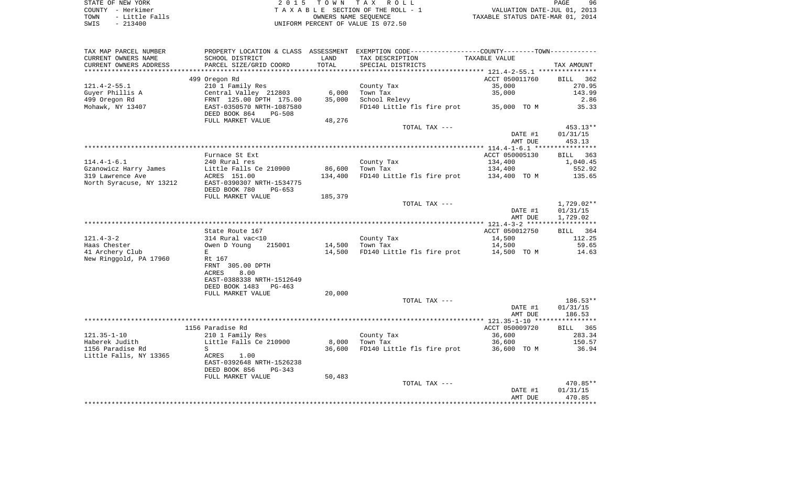STATE OF NEW YORK 2 0 1 5 T O W N T A X R O L L PAGE 96COUNTY - Herkimer<br>
T A X A B L E SECTION OF THE ROLL - 1<br>
TOWN - Little Falls<br>
SWIS - 213400 - 2013400 - UNIFORM PERCENT OF VALUE IS 072.50 UNIFORM PERCENT OF VALUE IS 072.50

PAGE 96 TO A CONSERVED A CONSERVATION OF THE ROLL - 1 WALUATION DATE-JUL 01, 2013<br>
TAXABLE STATUS DATE-MAR 01, 2014

| TAX MAP PARCEL NUMBER<br>CURRENT OWNERS NAME | PROPERTY LOCATION & CLASS ASSESSMENT<br>SCHOOL DISTRICT | LAND<br>TOTAL     | TAX DESCRIPTION                        | EXEMPTION CODE-----------------COUNTY-------TOWN-----------<br>TAXABLE VALUE |                                      |
|----------------------------------------------|---------------------------------------------------------|-------------------|----------------------------------------|------------------------------------------------------------------------------|--------------------------------------|
| CURRENT OWNERS ADDRESS                       | PARCEL SIZE/GRID COORD                                  | *******           | SPECIAL DISTRICTS                      | ************ 121.4-2-55.1 **********                                         | TAX AMOUNT                           |
| $121.4 - 2 - 55.1$                           | 499 Oregon Rd<br>210 1 Family Res                       |                   | County Tax                             | ACCT 050011760<br>35,000                                                     | <b>BILL</b><br>362<br>270.95         |
| Guyer Phillis A<br>499 Oregon Rd             | Central Valley 212803<br>FRNT 125.00 DPTH 175.00        | 6,000<br>35,000   | Town Tax<br>School Relevy              | 35,000                                                                       | 143.99<br>2.86                       |
| Mohawk, NY 13407                             | EAST-0350570 NRTH-1087580<br>DEED BOOK 864<br>$PG-508$  |                   | FD140 Little fls fire prot             | 35,000 TO M                                                                  | 35.33                                |
|                                              | FULL MARKET VALUE                                       | 48,276            | TOTAL TAX ---                          |                                                                              | 453.13**                             |
|                                              |                                                         |                   |                                        | DATE #1<br>AMT DUE                                                           | 01/31/15<br>453.13                   |
|                                              |                                                         |                   |                                        |                                                                              |                                      |
| $114.4 - 1 - 6.1$                            | Furnace St Ext<br>240 Rural res                         |                   | County Tax                             | ACCT 050005130<br>134,400                                                    | BILL<br>363<br>1,040.45              |
| Gzanowicz Harry James<br>319 Lawrence Ave    | Little Falls Ce 210900<br>ACRES 151.00                  | 86,600<br>134,400 | Town Tax<br>FD140 Little fls fire prot | 134,400<br>134,400 TO M                                                      | 552.92<br>135.65                     |
| North Syracuse, NY 13212                     | EAST-0390307 NRTH-1534775<br>DEED BOOK 780<br>PG-653    |                   |                                        |                                                                              |                                      |
|                                              | FULL MARKET VALUE                                       | 185,379           |                                        |                                                                              |                                      |
|                                              |                                                         |                   | TOTAL TAX ---                          | DATE #1<br>AMT DUE                                                           | $1,729.02**$<br>01/31/15<br>1,729.02 |
|                                              |                                                         |                   |                                        |                                                                              |                                      |
|                                              | State Route 167                                         |                   |                                        | ACCT 050012750                                                               | BILL 364                             |
| $121.4 - 3 - 2$                              | 314 Rural vac<10                                        |                   | County Tax                             | 14,500                                                                       | 112.25                               |
| Haas Chester                                 | Owen D Young<br>215001                                  | 14,500            | Town Tax                               | 14,500                                                                       | 59.65                                |
| 41 Archery Club<br>New Ringgold, PA 17960    | E<br>Rt 167<br>FRNT 305.00 DPTH<br>8.00<br>ACRES        | 14,500            | FD140 Little fls fire prot             | 14,500 TO M                                                                  | 14.63                                |
|                                              | EAST-0388338 NRTH-1512649<br>DEED BOOK 1483 PG-463      |                   |                                        |                                                                              |                                      |
|                                              | FULL MARKET VALUE                                       | 20,000            | TOTAL TAX ---                          |                                                                              | $186.53**$                           |
|                                              |                                                         |                   |                                        | DATE #1<br>AMT DUE                                                           | 01/31/15<br>186.53                   |
|                                              |                                                         |                   |                                        |                                                                              |                                      |
|                                              | 1156 Paradise Rd                                        |                   |                                        | ACCT 050009720                                                               | <b>BILL</b><br>365                   |
| $121.35 - 1 - 10$<br>Haberek Judith          | 210 1 Family Res<br>Little Falls Ce 210900              | 8,000             | County Tax<br>Town Tax                 | 36,600<br>36,600                                                             | 283.34<br>150.57                     |
| 1156 Paradise Rd                             | S                                                       | 36,600            | FD140 Little fls fire prot             | 36,600 TO M                                                                  | 36.94                                |
| Little Falls, NY 13365                       | ACRES<br>1.00<br>EAST-0392648 NRTH-1526238              |                   |                                        |                                                                              |                                      |
|                                              | DEED BOOK 856<br>PG-343                                 |                   |                                        |                                                                              |                                      |
|                                              | FULL MARKET VALUE                                       | 50,483            | TOTAL TAX ---                          |                                                                              | 470.85**                             |
|                                              |                                                         |                   |                                        | DATE #1<br>AMT DUE                                                           | 01/31/15<br>470.85                   |
|                                              |                                                         |                   |                                        |                                                                              | ************                         |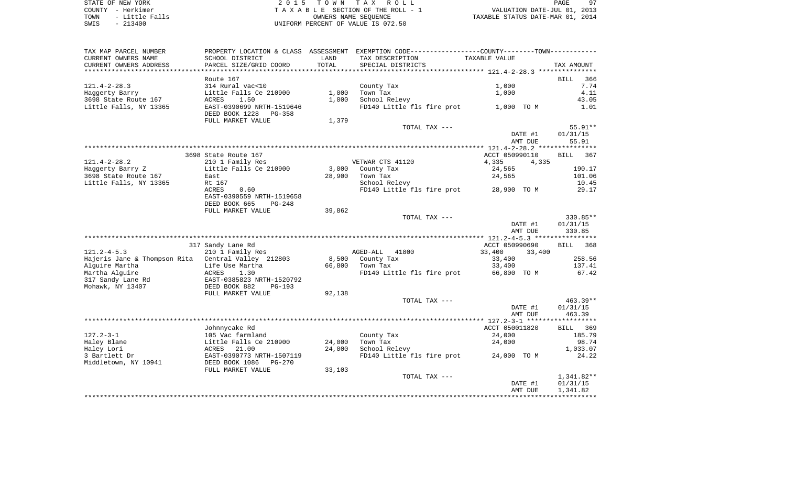STATE OF NEW YORK 2 0 1 5 T O W N T A X R O L L PAGE 97COUNTY - Herkimer<br>
T A X A B L E SECTION OF THE ROLL - 1<br>
TOWN - Little Falls<br>
SWIS - 213400 - 2013400 - UNIFORM PERCENT OF VALUE IS 072.50 TO A CONSERVED A CONSERVATION OF THE ROLL - 1 WALUATION DATE-JUL 01, 2013<br>
TAXABLE STATUS DATE-MAR 01, 2014 UNIFORM PERCENT OF VALUE IS 072.50

PAGE 97

| TAX MAP PARCEL NUMBER<br>CURRENT OWNERS NAME        | PROPERTY LOCATION & CLASS ASSESSMENT<br>SCHOOL DISTRICT | LAND   | EXEMPTION CODE-----------------COUNTY-------TOWN-----------<br>TAX DESCRIPTION |               | TAXABLE VALUE                               |         |                    |
|-----------------------------------------------------|---------------------------------------------------------|--------|--------------------------------------------------------------------------------|---------------|---------------------------------------------|---------|--------------------|
| CURRENT OWNERS ADDRESS<br>************************* | PARCEL SIZE/GRID COORD                                  | TOTAL  | SPECIAL DISTRICTS                                                              |               |                                             |         | TAX AMOUNT         |
|                                                     | Route 167                                               |        |                                                                                |               |                                             |         | 366<br><b>BILL</b> |
| $121.4 - 2 - 28.3$                                  | 314 Rural vac<10                                        |        | County Tax                                                                     |               | 1,000                                       |         | 7.74               |
| Haggerty Barry                                      | Little Falls Ce 210900                                  | 1,000  | Town Tax                                                                       |               | 1,000                                       |         | 4.11               |
| 3698 State Route 167                                | 1.50<br>ACRES                                           | 1,000  | School Relevy                                                                  |               |                                             |         | 43.05              |
| Little Falls, NY 13365                              | EAST-0390699 NRTH-1519646                               |        | FD140 Little fls fire prot                                                     |               | 1,000 TO M                                  |         | 1.01               |
|                                                     | DEED BOOK 1228<br>PG-358<br>FULL MARKET VALUE           | 1,379  |                                                                                |               |                                             |         |                    |
|                                                     |                                                         |        |                                                                                | TOTAL TAX --- |                                             |         | 55.91**            |
|                                                     |                                                         |        |                                                                                |               |                                             | DATE #1 | 01/31/15           |
|                                                     |                                                         |        |                                                                                |               |                                             | AMT DUE | 55.91              |
|                                                     |                                                         |        |                                                                                |               |                                             |         |                    |
|                                                     | 3698 State Route 167                                    |        |                                                                                |               | ACCT 050990110                              |         | 367<br><b>BILL</b> |
| $121.4 - 2 - 28.2$                                  | 210 1 Family Res                                        |        | VETWAR CTS 41120                                                               |               | 4,335                                       | 4,335   |                    |
| Haggerty Barry Z                                    | Little Falls Ce 210900                                  | 3,000  | County Tax                                                                     |               | 24,565                                      |         | 190.17             |
| 3698 State Route 167                                | East                                                    | 28,900 | Town Tax                                                                       |               | 24,565                                      |         | 101.06             |
| Little Falls, NY 13365                              | Rt 167<br><b>ACRES</b><br>0.60                          |        | School Relevy<br>FD140 Little fls fire prot                                    |               | 28,900 TO M                                 |         | 10.45<br>29.17     |
|                                                     | EAST-0390559 NRTH-1519658                               |        |                                                                                |               |                                             |         |                    |
|                                                     | DEED BOOK 665<br>PG-248                                 |        |                                                                                |               |                                             |         |                    |
|                                                     | FULL MARKET VALUE                                       | 39,862 |                                                                                |               |                                             |         |                    |
|                                                     |                                                         |        |                                                                                | TOTAL TAX --- |                                             |         | 330.85**           |
|                                                     |                                                         |        |                                                                                |               |                                             | DATE #1 | 01/31/15           |
|                                                     |                                                         |        |                                                                                |               |                                             | AMT DUE | 330.85             |
|                                                     |                                                         |        |                                                                                |               | ************* 121.2-4-5.3 ***************** |         |                    |
|                                                     | 317 Sandy Lane Rd                                       |        |                                                                                |               | ACCT 050990690                              |         | 368<br><b>BILL</b> |
| $121.2 - 4 - 5.3$                                   | 210 1 Family Res                                        |        | AGED-ALL<br>41800                                                              |               | 33,400                                      | 33,400  |                    |
| Hajeris Jane & Thompson Rita Central Valley 212803  |                                                         | 8,500  | County Tax                                                                     |               | 33,400                                      |         | 258.56             |
| Alquire Martha                                      | Life Use Martha                                         | 66,800 | Town Tax                                                                       |               | 33,400                                      |         | 137.41             |
| Martha Alguire<br>317 Sandy Lane Rd                 | ACRES<br>1.30<br>EAST-0385823 NRTH-1520792              |        | FD140 Little fls fire prot                                                     |               | 66,800 TO M                                 |         | 67.42              |
| Mohawk, NY 13407                                    | DEED BOOK 882<br>$PG-193$                               |        |                                                                                |               |                                             |         |                    |
|                                                     | FULL MARKET VALUE                                       | 92,138 |                                                                                |               |                                             |         |                    |
|                                                     |                                                         |        |                                                                                | TOTAL TAX --- |                                             |         | 463.39**           |
|                                                     |                                                         |        |                                                                                |               |                                             | DATE #1 | 01/31/15           |
|                                                     |                                                         |        |                                                                                |               |                                             | AMT DUE | 463.39             |
|                                                     |                                                         |        |                                                                                |               |                                             |         |                    |
|                                                     | Johnnycake Rd                                           |        |                                                                                |               | ACCT 050011820                              |         | <b>BILL</b><br>369 |
| $127.2 - 3 - 1$                                     | 105 Vac farmland                                        |        | County Tax                                                                     |               | 24,000                                      |         | 185.79             |
| Haley Blane                                         | Little Falls Ce 210900                                  | 24,000 | Town Tax                                                                       |               | 24,000                                      |         | 98.74              |
| Haley Lori                                          | ACRES<br>21.00                                          | 24,000 | School Relevy                                                                  |               |                                             |         | 1,033.07           |
| 3 Bartlett Dr                                       | EAST-0390773 NRTH-1507119                               |        | FD140 Little fls fire prot                                                     |               | 24,000 TO M                                 |         | 24.22              |
| Middletown, NY 10941                                | DEED BOOK 1086<br>PG-270                                |        |                                                                                |               |                                             |         |                    |
|                                                     | FULL MARKET VALUE                                       | 33,103 |                                                                                | TOTAL TAX --- |                                             |         | $1,341.82**$       |
|                                                     |                                                         |        |                                                                                |               |                                             | DATE #1 | 01/31/15           |
|                                                     |                                                         |        |                                                                                |               |                                             | AMT DUE | 1,341.82           |
|                                                     |                                                         |        |                                                                                |               | *******************                         |         |                    |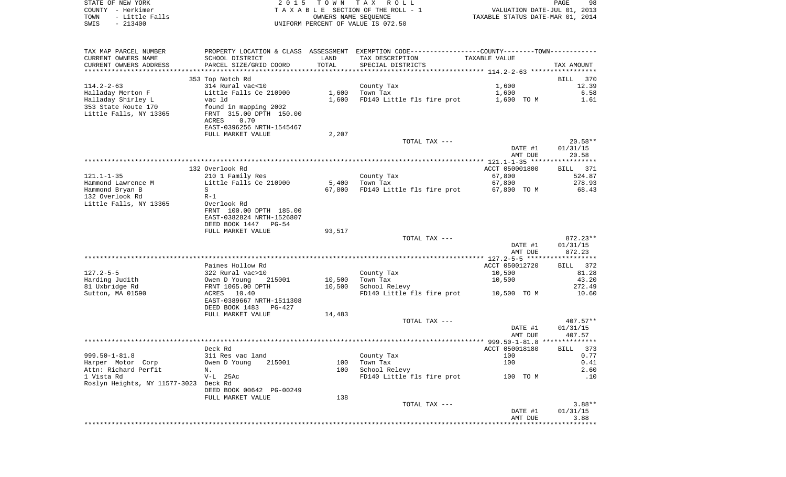| STATE OF NEW YORK                                | 2 0 1 5                   | T O W N              | TAX ROLL                                                                                      |                                  | 98<br>PAGE  |
|--------------------------------------------------|---------------------------|----------------------|-----------------------------------------------------------------------------------------------|----------------------------------|-------------|
| COUNTY - Herkimer<br>TOWN<br>- Little Falls      |                           |                      | TAXABLE SECTION OF THE ROLL - 1                                                               | VALUATION DATE-JUL 01, 2013      |             |
| $-213400$<br>SWIS                                |                           | OWNERS NAME SEQUENCE | UNIFORM PERCENT OF VALUE IS 072.50                                                            | TAXABLE STATUS DATE-MAR 01, 2014 |             |
|                                                  |                           |                      |                                                                                               |                                  |             |
|                                                  |                           |                      |                                                                                               |                                  |             |
| TAX MAP PARCEL NUMBER                            |                           |                      | PROPERTY LOCATION & CLASS ASSESSMENT EXEMPTION CODE---------------COUNTY-------TOWN---------- |                                  |             |
| CURRENT OWNERS NAME                              | SCHOOL DISTRICT           | LAND                 | TAX DESCRIPTION                                                                               | TAXABLE VALUE                    |             |
| CURRENT OWNERS ADDRESS<br>********************** | PARCEL SIZE/GRID COORD    | TOTAL                | SPECIAL DISTRICTS                                                                             |                                  | TAX AMOUNT  |
|                                                  | 353 Top Notch Rd          |                      |                                                                                               |                                  | BILL<br>370 |
| $114.2 - 2 - 63$                                 | 314 Rural vac<10          |                      | County Tax                                                                                    | 1,600                            | 12.39       |
| Halladay Merton F                                | Little Falls Ce 210900    | 1,600                | Town Tax                                                                                      | 1,600                            | 6.58        |
| Halladay Shirley L                               | vac ld                    | 1,600                | FD140 Little fls fire prot                                                                    | 1,600 TO M                       | 1.61        |
| 353 State Route 170                              | found in mapping 2002     |                      |                                                                                               |                                  |             |
| Little Falls, NY 13365                           | FRNT 315.00 DPTH 150.00   |                      |                                                                                               |                                  |             |
|                                                  | ACRES<br>0.70             |                      |                                                                                               |                                  |             |
|                                                  | EAST-0396256 NRTH-1545467 |                      |                                                                                               |                                  |             |
|                                                  | FULL MARKET VALUE         | 2,207                |                                                                                               |                                  |             |
|                                                  |                           |                      | TOTAL TAX ---                                                                                 |                                  | $20.58**$   |
|                                                  |                           |                      |                                                                                               | DATE #1                          | 01/31/15    |
|                                                  |                           |                      |                                                                                               | AMT DUE                          | 20.58       |
|                                                  | 132 Overlook Rd           |                      |                                                                                               | ACCT 050001800                   | BILL 371    |
| $121.1 - 1 - 35$                                 | 210 1 Family Res          |                      | County Tax                                                                                    | 67,800                           | 524.87      |
| Hammond Lawrence M                               | Little Falls Ce 210900    | 5,400                | Town Tax                                                                                      | 67,800                           | 278.93      |
| Hammond Bryan B                                  | S                         | 67,800               | FD140 Little fls fire prot                                                                    | 67,800 TO M                      | 68.43       |
| 132 Overlook Rd                                  | $R-1$                     |                      |                                                                                               |                                  |             |
| Little Falls, NY 13365                           | Overlook Rd               |                      |                                                                                               |                                  |             |
|                                                  | FRNT 100.00 DPTH 185.00   |                      |                                                                                               |                                  |             |
|                                                  | EAST-0382824 NRTH-1526807 |                      |                                                                                               |                                  |             |
|                                                  | DEED BOOK 1447<br>PG-54   |                      |                                                                                               |                                  |             |
|                                                  | FULL MARKET VALUE         | 93,517               |                                                                                               |                                  |             |
|                                                  |                           |                      | TOTAL TAX ---                                                                                 |                                  | 872.23**    |
|                                                  |                           |                      |                                                                                               | DATE #1                          | 01/31/15    |
|                                                  |                           |                      |                                                                                               | AMT DUE                          | 872.23      |
|                                                  | Paines Hollow Rd          |                      |                                                                                               | ACCT 050012720                   | 372<br>BILL |
| $127.2 - 5 - 5$                                  | 322 Rural vac>10          |                      | County Tax                                                                                    | 10,500                           | 81.28       |
| Harding Judith                                   | Owen D Young<br>215001    | 10,500               | Town Tax                                                                                      | 10,500                           | 43.20       |
| 81 Uxbridge Rd                                   | FRNT 1065.00 DPTH         | 10,500               | School Relevy                                                                                 |                                  | 272.49      |
| Sutton, MA 01590                                 | ACRES<br>10.40            |                      | FD140 Little fls fire prot                                                                    | 10,500 TO M                      | 10.60       |
|                                                  | EAST-0389667 NRTH-1511308 |                      |                                                                                               |                                  |             |
|                                                  | DEED BOOK 1483<br>PG-427  |                      |                                                                                               |                                  |             |
|                                                  | FULL MARKET VALUE         | 14,483               |                                                                                               |                                  |             |
|                                                  |                           |                      | TOTAL TAX ---                                                                                 |                                  | 407.57**    |
|                                                  |                           |                      |                                                                                               | DATE #1                          | 01/31/15    |
|                                                  |                           |                      |                                                                                               | AMT DUE                          | 407.57      |
|                                                  |                           |                      |                                                                                               |                                  |             |
|                                                  | Deck Rd                   |                      |                                                                                               | ACCT 050018180                   | BILL 373    |
| $999.50 - 1 - 81.8$                              | 311 Res vac land          |                      | County Tax                                                                                    | 100                              | 0.77        |
| Harper Motor Corp                                | Owen D Young<br>215001    | 100                  | Town Tax                                                                                      | 100                              | 0.41        |
| Attn: Richard Perfit<br>1 Vista Rd               | Ν.<br>$V-L$ 25Ac          | 100                  | School Relevy                                                                                 | 100 TO M                         | 2.60<br>.10 |
| Roslyn Heights, NY 11577-3023 Deck Rd            |                           |                      | FD140 Little fls fire prot                                                                    |                                  |             |
|                                                  | DEED BOOK 00642 PG-00249  |                      |                                                                                               |                                  |             |
|                                                  | FULL MARKET VALUE         | 138                  |                                                                                               |                                  |             |
|                                                  |                           |                      | TOTAL TAX ---                                                                                 |                                  | $3.88**$    |
|                                                  |                           |                      |                                                                                               | DATE #1                          | 01/31/15    |
|                                                  |                           |                      |                                                                                               | AMT DUE                          | 3.88        |
|                                                  |                           |                      |                                                                                               |                                  |             |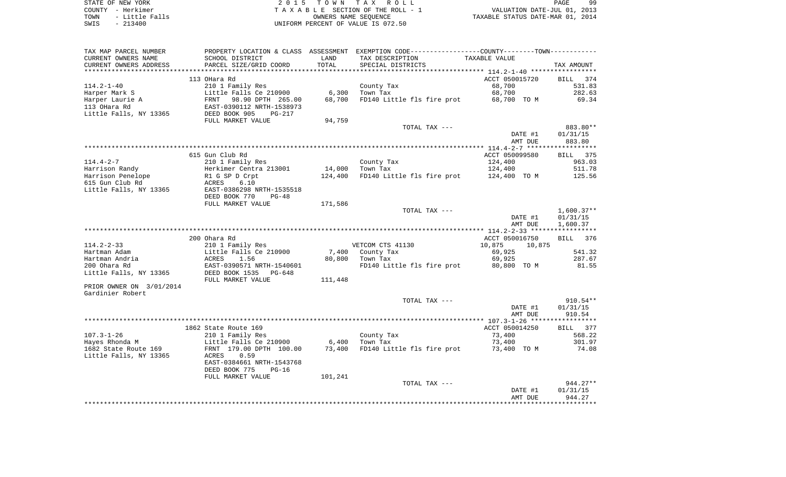STATE OF NEW YORK GALLERY CONSULTER STATE OF NEW YORK AND RAGE AND RAGE AND RESPONDENTLY CONSULTER STATE OF NEW YORK AND RAGE COUNTY - Herkimer T A X A B L E SECTION OF THE ROLL - 1 VALUATION DATE-JUL 01, 2013 TOWN - Little Falls OWNERS NAME SEQUENCE TAXABLE STATUS DATE-MAR 01, 2014 UNIFORM PERCENT OF VALUE IS 072.50

99

| TAX MAP PARCEL NUMBER    | PROPERTY LOCATION & CLASS ASSESSMENT EXEMPTION CODE---------------COUNTY-------TOWN---------- |         |                            |               |                |         |                      |
|--------------------------|-----------------------------------------------------------------------------------------------|---------|----------------------------|---------------|----------------|---------|----------------------|
| CURRENT OWNERS NAME      | SCHOOL DISTRICT                                                                               | LAND    | TAX DESCRIPTION            |               | TAXABLE VALUE  |         |                      |
| CURRENT OWNERS ADDRESS   | PARCEL SIZE/GRID COORD                                                                        | TOTAL   | SPECIAL DISTRICTS          |               |                |         | TAX AMOUNT           |
|                          |                                                                                               |         |                            |               |                |         |                      |
|                          | 113 OHara Rd                                                                                  |         |                            |               | ACCT 050015720 |         | <b>BILL</b><br>374   |
| $114.2 - 1 - 40$         | 210 1 Family Res                                                                              |         | County Tax                 |               | 68,700         |         | 531.83               |
| Harper Mark S            | Little Falls Ce 210900                                                                        | 6,300   | Town Tax                   |               | 68,700         |         | 282.63               |
| Harper Laurie A          | FRNT 98.90 DPTH 265.00                                                                        | 68,700  | FD140 Little fls fire prot |               | 68,700 TO M    |         | 69.34                |
| 113 OHara Rd             | EAST-0390112 NRTH-1538973                                                                     |         |                            |               |                |         |                      |
| Little Falls, NY 13365   | DEED BOOK 905<br>PG-217                                                                       |         |                            |               |                |         |                      |
|                          | FULL MARKET VALUE                                                                             | 94,759  |                            |               |                |         |                      |
|                          |                                                                                               |         | TOTAL TAX ---              |               |                |         | 883.80**             |
|                          |                                                                                               |         |                            |               |                | DATE #1 | 01/31/15<br>883.80   |
|                          |                                                                                               |         |                            |               |                | AMT DUE |                      |
|                          | 615 Gun Club Rd                                                                               |         |                            |               | ACCT 050099580 |         | <b>BILL</b><br>375   |
| $114.4 - 2 - 7$          | 210 1 Family Res                                                                              |         | County Tax                 |               | 124,400        |         | 963.03               |
| Harrison Randy           | Herkimer Centra 213001                                                                        | 14,000  | Town Tax                   |               | 124,400        |         | 511.78               |
| Harrison Penelope        | R1 G SP D Crpt                                                                                | 124,400 | FD140 Little fls fire prot |               | 124,400 TO M   |         | 125.56               |
| 615 Gun Club Rd          | ACRES<br>6.10                                                                                 |         |                            |               |                |         |                      |
| Little Falls, NY 13365   | EAST-0386298 NRTH-1535518                                                                     |         |                            |               |                |         |                      |
|                          | DEED BOOK 770<br>$PG-48$                                                                      |         |                            |               |                |         |                      |
|                          | FULL MARKET VALUE                                                                             | 171,586 |                            |               |                |         |                      |
|                          |                                                                                               |         |                            | TOTAL TAX --- |                |         | $1,600.37**$         |
|                          |                                                                                               |         |                            |               |                | DATE #1 | 01/31/15             |
|                          |                                                                                               |         |                            |               |                | AMT DUE | 1,600.37             |
|                          |                                                                                               |         |                            |               |                |         |                      |
|                          | 200 Ohara Rd                                                                                  |         |                            |               | ACCT 050016750 |         | BILL 376             |
| $114.2 - 2 - 33$         | 210 1 Family Res                                                                              |         | VETCOM CTS 41130           |               | 10,875         | 10,875  |                      |
| Hartman Adam             | Little Falls Ce 210900                                                                        |         | 7,400 County Tax           |               | 69,925         |         | 541.32               |
| Hartman Andria           | ACRES<br>1.56                                                                                 | 80,800  | Town Tax                   |               | 69,925         |         | 287.67               |
| 200 Ohara Rd             | EAST-0390571 NRTH-1540601                                                                     |         | FD140 Little fls fire prot |               | 80,800 TO M    |         | 81.55                |
| Little Falls, NY 13365   | DEED BOOK 1535 PG-648                                                                         |         |                            |               |                |         |                      |
|                          | FULL MARKET VALUE                                                                             | 111,448 |                            |               |                |         |                      |
| PRIOR OWNER ON 3/01/2014 |                                                                                               |         |                            |               |                |         |                      |
| Gardinier Robert         |                                                                                               |         |                            |               |                |         |                      |
|                          |                                                                                               |         | TOTAL TAX ---              |               |                | DATE #1 | 910.54**<br>01/31/15 |
|                          |                                                                                               |         |                            |               |                | AMT DUE | 910.54               |
|                          |                                                                                               |         |                            |               |                |         |                      |
|                          | 1862 State Route 169                                                                          |         |                            |               | ACCT 050014250 |         | BILL 377             |
| $107.3 - 1 - 26$         | 210 1 Family Res                                                                              |         | County Tax                 |               | 73,400         |         | 568.22               |
| Hayes Rhonda M           | Little Falls Ce 210900                                                                        | 6,400   | Town Tax                   |               | 73,400         |         | 301.97               |
| 1682 State Route 169     | FRNT 179.00 DPTH 100.00                                                                       | 73,400  | FD140 Little fls fire prot |               | 73,400 TO M    |         | 74.08                |
| Little Falls, NY 13365   | ACRES<br>0.59                                                                                 |         |                            |               |                |         |                      |
|                          | EAST-0384661 NRTH-1543768                                                                     |         |                            |               |                |         |                      |
|                          | DEED BOOK 775<br>$PG-16$                                                                      |         |                            |               |                |         |                      |
|                          | FULL MARKET VALUE                                                                             | 101,241 |                            |               |                |         |                      |
|                          |                                                                                               |         |                            | TOTAL TAX --- |                |         | $944.27**$           |
|                          |                                                                                               |         |                            |               |                | DATE #1 | 01/31/15             |
|                          |                                                                                               |         |                            |               |                | AMT DUE | 944.27               |
|                          |                                                                                               |         |                            |               |                |         |                      |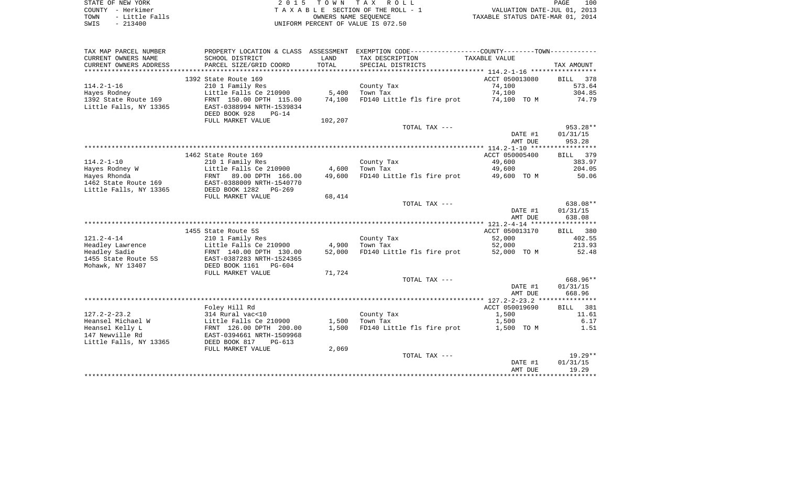| STATE OF NEW YORK      | 2015 TOWN TAX ROLL                 | 100<br>PAGE                      |
|------------------------|------------------------------------|----------------------------------|
| COUNTY - Herkimer      | TAXABLE SECTION OF THE ROLL - 1    | VALUATION DATE-JUL 01, 2013      |
| - Little Falls<br>TOWN | OWNERS NAME SEOUENCE               | TAXABLE STATUS DATE-MAR 01, 2014 |
| $-213400$<br>SWIS      | UNIFORM PERCENT OF VALUE IS 072.50 |                                  |

| TAX MAP PARCEL NUMBER                                        |                                                                                   |         | PROPERTY LOCATION & CLASS ASSESSMENT EXEMPTION CODE---------------COUNTY--------TOWN---------- |                    |                    |
|--------------------------------------------------------------|-----------------------------------------------------------------------------------|---------|------------------------------------------------------------------------------------------------|--------------------|--------------------|
| CURRENT OWNERS NAME                                          | SCHOOL DISTRICT                                                                   | LAND    | TAX DESCRIPTION                                                                                | TAXABLE VALUE      |                    |
| CURRENT OWNERS ADDRESS                                       | PARCEL SIZE/GRID COORD                                                            | TOTAL   | SPECIAL DISTRICTS                                                                              |                    | TAX AMOUNT         |
|                                                              |                                                                                   |         |                                                                                                |                    |                    |
|                                                              | 1392 State Route 169                                                              |         |                                                                                                | ACCT 050013080     | 378<br>BILL        |
| $114.2 - 1 - 16$                                             | 210 1 Family Res                                                                  |         | County Tax                                                                                     | 74,100             | 573.64             |
| Hayes Rodney                                                 | Little Falls Ce 210900                                                            | 5,400   | Town Tax                                                                                       | 74,100             | 304.85             |
| 1392 State Route 169<br>Little Falls, NY 13365               | FRNT 150.00 DPTH 115.00<br>EAST-0388994 NRTH-1539834<br>DEED BOOK 928<br>$PG-14$  | 74,100  | FD140 Little fls fire prot                                                                     | 74,100 TO M        | 74.79              |
|                                                              | FULL MARKET VALUE                                                                 | 102,207 | TOTAL TAX ---                                                                                  |                    | $953.28**$         |
|                                                              |                                                                                   |         |                                                                                                |                    |                    |
|                                                              |                                                                                   |         |                                                                                                | DATE #1<br>AMT DUE | 01/31/15<br>953.28 |
|                                                              |                                                                                   |         |                                                                                                |                    |                    |
|                                                              | 1462 State Route 169                                                              |         |                                                                                                | ACCT 050005400     | BILL 379           |
| $114.2 - 1 - 10$                                             | 210 1 Family Res                                                                  |         | County Tax                                                                                     | 49,600             | 383.97             |
| Hayes Rodney W                                               | Little Falls Ce 210900                                                            | 4,600   | Town Tax                                                                                       | 49,600             | 204.05             |
| Hayes Rhonda                                                 | FRNT 89.00 DPTH 166.00                                                            | 49,600  | FD140 Little fls fire prot                                                                     | 49,600 TO M        | 50.06              |
| 1462 State Route 169                                         | EAST-0388009 NRTH-1540770                                                         |         |                                                                                                |                    |                    |
| Little Falls, NY 13365                                       | DEED BOOK 1282 PG-269                                                             |         |                                                                                                |                    |                    |
|                                                              | FULL MARKET VALUE                                                                 | 68,414  |                                                                                                |                    |                    |
|                                                              |                                                                                   |         | TOTAL TAX ---                                                                                  |                    | 638.08**           |
|                                                              |                                                                                   |         |                                                                                                | DATE #1            | 01/31/15           |
|                                                              |                                                                                   |         |                                                                                                | AMT DUE            | 638.08             |
|                                                              |                                                                                   |         |                                                                                                |                    |                    |
|                                                              | 1455 State Route 5S                                                               |         |                                                                                                | ACCT 050013170     | BILL 380           |
| $121.2 - 4 - 14$<br>Headley Lawrence                         | 210 1 Family Res                                                                  | 4,900   | County Tax<br>Town Tax                                                                         | 52,000<br>52,000   | 402.55<br>213.93   |
| Headley Sadie                                                | Little Falls Ce 210900<br>FRNT 140.00 DPTH 130.00                                 | 52,000  | FD140 Little fls fire prot 52,000 TO M                                                         |                    | 52.48              |
| 1455 State Route 5S<br>Mohawk, NY 13407                      | EAST-0387283 NRTH-1524365<br>DEED BOOK 1161 PG-604                                |         |                                                                                                |                    |                    |
|                                                              | FULL MARKET VALUE                                                                 | 71,724  |                                                                                                |                    |                    |
|                                                              |                                                                                   |         | TOTAL TAX ---                                                                                  |                    | 668.96**           |
|                                                              |                                                                                   |         |                                                                                                | DATE #1<br>AMT DUE | 01/31/15<br>668.96 |
|                                                              |                                                                                   |         |                                                                                                |                    |                    |
|                                                              | Foley Hill Rd                                                                     |         |                                                                                                | ACCT 050019690     | BILL 381           |
| $127.2 - 2 - 23.2$                                           | 314 Rural vac<10                                                                  |         | County Tax                                                                                     | 1,500              | 11.61              |
| Heansel Michael W                                            | Little Falls Ce 210900                                                            | 1,500   | Town Tax                                                                                       | 1,500              | 6.17               |
| Heansel Kelly L<br>147 Newville Rd<br>Little Falls, NY 13365 | FRNT 126.00 DPTH 200.00<br>EAST-0394661 NRTH-1509968<br>DEED BOOK 817<br>$PG-613$ | 1,500   | FD140 Little fls fire prot                                                                     | 1,500 TO M         | 1.51               |
|                                                              | FULL MARKET VALUE                                                                 | 2,069   |                                                                                                |                    |                    |
|                                                              |                                                                                   |         | TOTAL TAX ---                                                                                  |                    | $19.29**$          |
|                                                              |                                                                                   |         |                                                                                                | DATE #1<br>AMT DUE | 01/31/15<br>19.29  |
|                                                              |                                                                                   |         |                                                                                                |                    |                    |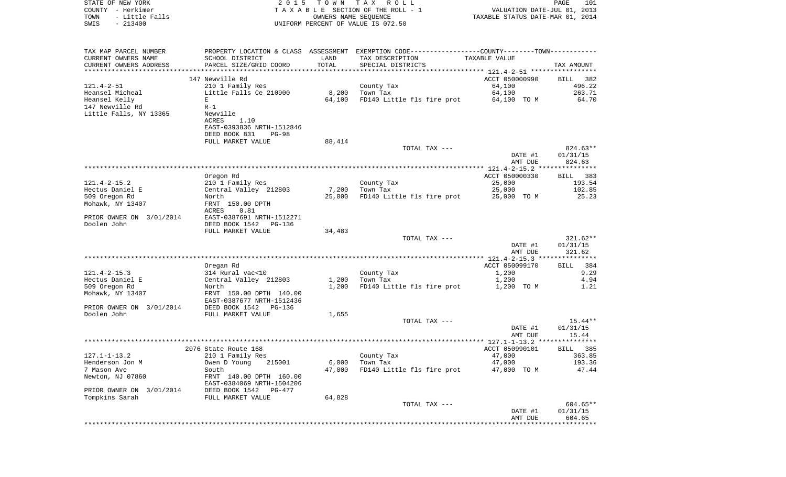| STATE OF NEW YORK<br>COUNTY - Herkimer |                                                                                                |                      | 2015 TOWN TAX ROLL<br>TAXABLE SECTION OF THE ROLL - 1 | VALUATION DATE-JUL 01, 2013      | PAGE<br>101          |
|----------------------------------------|------------------------------------------------------------------------------------------------|----------------------|-------------------------------------------------------|----------------------------------|----------------------|
| TOWN<br>- Little Falls                 |                                                                                                | OWNERS NAME SEQUENCE |                                                       | TAXABLE STATUS DATE-MAR 01, 2014 |                      |
| $-213400$<br>SWIS                      |                                                                                                |                      | UNIFORM PERCENT OF VALUE IS 072.50                    |                                  |                      |
|                                        |                                                                                                |                      |                                                       |                                  |                      |
| TAX MAP PARCEL NUMBER                  | PROPERTY LOCATION & CLASS ASSESSMENT EXEMPTION CODE----------------COUNTY-------TOWN---------- |                      |                                                       |                                  |                      |
| CURRENT OWNERS NAME                    | SCHOOL DISTRICT                                                                                | LAND                 | TAX DESCRIPTION                                       | TAXABLE VALUE                    |                      |
| CURRENT OWNERS ADDRESS                 | PARCEL SIZE/GRID COORD                                                                         | TOTAL                | SPECIAL DISTRICTS                                     |                                  | TAX AMOUNT           |
|                                        |                                                                                                |                      |                                                       |                                  |                      |
|                                        | 147 Newville Rd                                                                                |                      |                                                       | ACCT 050000990                   | BILL 382             |
| 121.4-2-51                             | 210 1 Family Res                                                                               |                      | County Tax                                            | 64,100                           | 496.22               |
| Heansel Micheal                        | Little Falls Ce 210900                                                                         | 8,200                | Town Tax                                              | 64,100                           | 263.71               |
| Heansel Kelly                          | E                                                                                              | 64,100               | FD140 Little fls fire prot 64,100 TO M                |                                  | 64.70                |
| 147 Newville Rd                        | $R-1$                                                                                          |                      |                                                       |                                  |                      |
| Little Falls, NY 13365                 | Newville                                                                                       |                      |                                                       |                                  |                      |
|                                        | ACRES<br>1.10                                                                                  |                      |                                                       |                                  |                      |
|                                        | EAST-0393836 NRTH-1512846                                                                      |                      |                                                       |                                  |                      |
|                                        | DEED BOOK 831<br>PG-98                                                                         |                      |                                                       |                                  |                      |
|                                        | FULL MARKET VALUE                                                                              | 88,414               | TOTAL TAX ---                                         |                                  |                      |
|                                        |                                                                                                |                      |                                                       | DATE #1                          | 824.63**<br>01/31/15 |
|                                        |                                                                                                |                      |                                                       | AMT DUE                          | 824.63               |
|                                        | Oregon Rd                                                                                      |                      |                                                       | ACCT 050000330                   | BILL 383             |
| $121.4 - 2 - 15.2$                     | 210 1 Family Res                                                                               |                      | County Tax                                            | 25,000                           | 193.54               |
| Hectus Daniel E                        | Central Valley 212803                                                                          | 7,200                | Town Tax                                              | 25,000                           | 102.85               |
| 509 Oregon Rd                          | North                                                                                          | 25,000               | FD140 Little fls fire prot 25,000 TO M                |                                  | 25.23                |
| Mohawk, NY 13407                       | FRNT 150.00 DPTH                                                                               |                      |                                                       |                                  |                      |
|                                        | ACRES<br>0.81                                                                                  |                      |                                                       |                                  |                      |
| PRIOR OWNER ON 3/01/2014               | EAST-0387691 NRTH-1512271                                                                      |                      |                                                       |                                  |                      |
| Doolen John                            | DEED BOOK 1542 PG-136                                                                          |                      |                                                       |                                  |                      |
|                                        | FULL MARKET VALUE                                                                              | 34,483               |                                                       |                                  |                      |
|                                        |                                                                                                |                      | TOTAL TAX ---                                         |                                  | 321.62**             |
|                                        |                                                                                                |                      |                                                       | DATE #1                          | 01/31/15             |
|                                        |                                                                                                |                      |                                                       | AMT DUE                          | 321.62               |
|                                        |                                                                                                |                      |                                                       |                                  |                      |
|                                        | Oregan Rd                                                                                      |                      |                                                       | ACCT 050099170                   | BILL 384             |
| 121.4-2-15.3                           | 314 Rural vac<10                                                                               |                      | County Tax                                            | 1,200                            | 9.29                 |
| Hectus Daniel E                        | Central Valley 212803                                                                          | 1,200                | Town Tax                                              | 1,200                            | 4.94                 |
| 509 Oregon Rd                          | North                                                                                          | 1,200                | FD140 Little fls fire prot                            | 1,200 TO M                       | 1.21                 |
| Mohawk, NY 13407                       | FRNT 150.00 DPTH 140.00                                                                        |                      |                                                       |                                  |                      |
|                                        | EAST-0387677 NRTH-1512436                                                                      |                      |                                                       |                                  |                      |
| PRIOR OWNER ON 3/01/2014               | DEED BOOK 1542 PG-136                                                                          |                      |                                                       |                                  |                      |
| Doolen John                            | FULL MARKET VALUE                                                                              | 1,655                | TOTAL TAX ---                                         |                                  | 15.44**              |
|                                        |                                                                                                |                      |                                                       | DATE #1                          | 01/31/15             |
|                                        |                                                                                                |                      |                                                       | AMT DUE                          | 15.44                |
|                                        |                                                                                                |                      |                                                       |                                  |                      |
|                                        | 2076 State Route 168                                                                           |                      |                                                       | ACCT 050990101 BILL 385          |                      |
| $127.1 - 1 - 13.2$                     | 210 1 Family Res                                                                               |                      | County Tax                                            | 47,000                           | 363.85               |
| Henderson Jon M                        | Owen D Young<br>215001                                                                         | 6,000                | Town Tax                                              | 47,000                           | 193.36               |
| 7 Mason Ave                            | South                                                                                          | 47,000               | FD140 Little fls fire prot                            | 47,000 TO M                      | 47.44                |
| Newton, NJ 07860                       | FRNT 140.00 DPTH 160.00                                                                        |                      |                                                       |                                  |                      |
|                                        | EAST-0384069 NRTH-1504206                                                                      |                      |                                                       |                                  |                      |
| PRIOR OWNER ON 3/01/2014               | DEED BOOK 1542<br>PG-477                                                                       |                      |                                                       |                                  |                      |
| Tompkins Sarah                         | FULL MARKET VALUE                                                                              | 64,828               |                                                       |                                  |                      |
|                                        |                                                                                                |                      | TOTAL TAX ---                                         |                                  | 604.65**             |
|                                        |                                                                                                |                      |                                                       | DATE #1                          | 01/31/15             |
|                                        |                                                                                                |                      |                                                       | AMT DUE                          | 604.65               |
|                                        |                                                                                                |                      |                                                       |                                  |                      |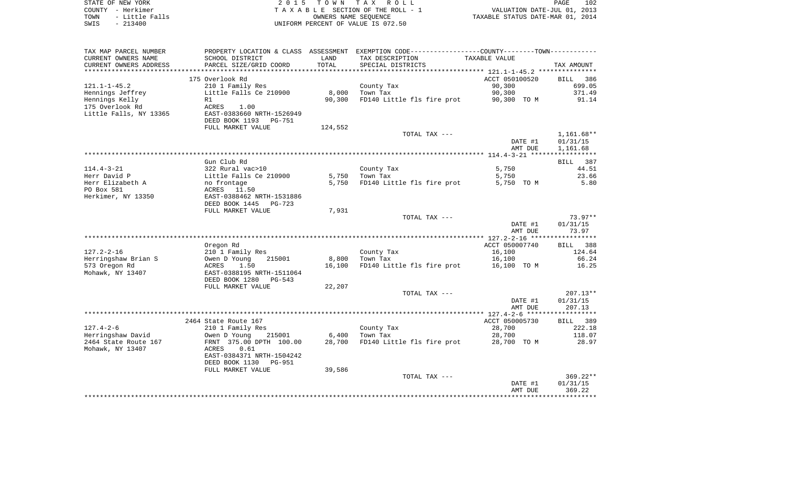| STATE OF NEW YORK                                        |                                                              |               | 2015 TOWN TAX ROLL                                                                            |                                                                 | PAGE<br>102        |
|----------------------------------------------------------|--------------------------------------------------------------|---------------|-----------------------------------------------------------------------------------------------|-----------------------------------------------------------------|--------------------|
| COUNTY - Herkimer<br>TOWN<br>- Little Falls<br>$-213400$ |                                                              |               | TAXABLE SECTION OF THE ROLL - 1<br>OWNERS NAME SEQUENCE<br>UNIFORM PERCENT OF VALUE IS 072.50 | VALUATION DATE-JUL 01, 2013<br>TAXABLE STATUS DATE-MAR 01, 2014 |                    |
| SWIS                                                     |                                                              |               |                                                                                               |                                                                 |                    |
| TAX MAP PARCEL NUMBER                                    |                                                              |               | PROPERTY LOCATION & CLASS ASSESSMENT EXEMPTION CODE---------------COUNTY-------TOWN---------- |                                                                 |                    |
| CURRENT OWNERS NAME<br>CURRENT OWNERS ADDRESS            | SCHOOL DISTRICT<br>PARCEL SIZE/GRID COORD                    | LAND<br>TOTAL | TAX DESCRIPTION<br>SPECIAL DISTRICTS                                                          | TAXABLE VALUE                                                   | TAX AMOUNT         |
|                                                          |                                                              |               |                                                                                               |                                                                 |                    |
| 121.1-1-45.2                                             | 175 Overlook Rd<br>210 1 Family Res                          |               | County Tax                                                                                    | ACCT 050100520<br>90,300                                        | BILL 386<br>699.05 |
| Hennings Jeffrey                                         | Little Falls Ce 210900                                       | 8,000         | Town Tax                                                                                      | 90,300                                                          | 371.49             |
| Hennings Kelly                                           | R1                                                           | 90,300        | FD140 Little fls fire prot                                                                    | 90,300 TO M                                                     | 91.14              |
| 175 Overlook Rd                                          | ACRES<br>1.00                                                |               |                                                                                               |                                                                 |                    |
| Little Falls, NY 13365                                   | EAST-0383660 NRTH-1526949<br>DEED BOOK 1193 PG-751           |               |                                                                                               |                                                                 |                    |
|                                                          | FULL MARKET VALUE                                            | 124,552       |                                                                                               |                                                                 |                    |
|                                                          |                                                              |               | TOTAL TAX ---                                                                                 |                                                                 | $1,161.68**$       |
|                                                          |                                                              |               |                                                                                               | DATE #1                                                         | 01/31/15           |
|                                                          |                                                              |               |                                                                                               | AMT DUE                                                         | 1,161.68           |
|                                                          |                                                              |               |                                                                                               |                                                                 |                    |
| 114.4-3-21                                               | Gun Club Rd<br>322 Rural vac>10                              |               | County Tax                                                                                    | 5,750                                                           | BILL 387<br>44.51  |
| Herr David P                                             |                                                              | 5,750         | Town Tax                                                                                      | 5,750                                                           | 23.66              |
| Herr Elizabeth A                                         | Little Falls Ce 210900<br>no frontage                        | 5,750         | FD140 Little fls fire prot                                                                    | 5,750 TO M                                                      | 5.80               |
| PO Box 581                                               | ACRES 11.50                                                  |               |                                                                                               |                                                                 |                    |
| Herkimer, NY 13350                                       | EAST-0388462 NRTH-1531886                                    |               |                                                                                               |                                                                 |                    |
|                                                          | DEED BOOK 1445 PG-723                                        |               |                                                                                               |                                                                 |                    |
|                                                          | FULL MARKET VALUE                                            | 7,931         |                                                                                               |                                                                 |                    |
|                                                          |                                                              |               | TOTAL TAX ---                                                                                 |                                                                 | $73.97**$          |
|                                                          |                                                              |               |                                                                                               | DATE #1                                                         | 01/31/15           |
|                                                          |                                                              |               |                                                                                               | AMT DUE                                                         | 73.97              |
|                                                          | Oregon Rd                                                    |               |                                                                                               | ACCT 050007740                                                  | 388<br>BILL        |
| 127.2-2-16                                               | 210 1 Family Res                                             |               | County Tax                                                                                    | 16,100                                                          | 124.64             |
| Herringshaw Brian S                                      | Owen D Young<br>215001                                       | 8,800         | Town Tax                                                                                      | 16,100                                                          | 66.24              |
| 573 Oregon Rd                                            | ACRES<br>1.50                                                | 16,100        | FD140 Little fls fire prot                                                                    | 16,100 TO M                                                     | 16.25              |
| Mohawk, NY 13407                                         | EAST-0388195 NRTH-1511064                                    |               |                                                                                               |                                                                 |                    |
|                                                          | DEED BOOK 1280<br>PG-543                                     |               |                                                                                               |                                                                 |                    |
|                                                          | FULL MARKET VALUE                                            | 22,207        |                                                                                               |                                                                 |                    |
|                                                          |                                                              |               | TOTAL TAX ---                                                                                 |                                                                 | $207.13**$         |
|                                                          |                                                              |               |                                                                                               | DATE #1<br>AMT DUE                                              | 01/31/15<br>207.13 |
|                                                          |                                                              |               |                                                                                               |                                                                 |                    |
|                                                          | 2464 State Route 167                                         |               |                                                                                               | ACCT 050005730                                                  | BILL 389           |
| $127.4 - 2 - 6$                                          | 210 1 Family Res                                             |               | County Tax                                                                                    | 28,700                                                          | 222.18             |
| Herringshaw David                                        | Owen D Young<br>215001                                       | 6,400         | Town Tax                                                                                      | 28,700                                                          | 118.07             |
| 2464 State Route 167                                     | FRNT 375.00 DPTH 100.00                                      |               | 28,700 FD140 Little fls fire prot                                                             | 28,700 TO M                                                     | 28.97              |
| Mohawk, NY 13407                                         | ACRES<br>0.61                                                |               |                                                                                               |                                                                 |                    |
|                                                          | EAST-0384371 NRTH-1504242<br>DEED BOOK 1130<br><b>PG-951</b> |               |                                                                                               |                                                                 |                    |
|                                                          | FULL MARKET VALUE                                            | 39,586        |                                                                                               |                                                                 |                    |
|                                                          |                                                              |               | TOTAL TAX ---                                                                                 |                                                                 | $369.22**$         |
|                                                          |                                                              |               |                                                                                               |                                                                 |                    |

 DATE #1 01/31/15 AMT DUE 369.22\*\*\*\*\*\*\*\*\*\*\*\*\*\*\*\*\*\*\*\*\*\*\*\*\*\*\*\*\*\*\*\*\*\*\*\*\*\*\*\*\*\*\*\*\*\*\*\*\*\*\*\*\*\*\*\*\*\*\*\*\*\*\*\*\*\*\*\*\*\*\*\*\*\*\*\*\*\*\*\*\*\*\*\*\*\*\*\*\*\*\*\*\*\*\*\*\*\*\*\*\*\*\*\*\*\*\*\*\*\*\*\*\*\*\*\*\*\*\*\*\*\*\*\*\*\*\*\*\*\*\*\*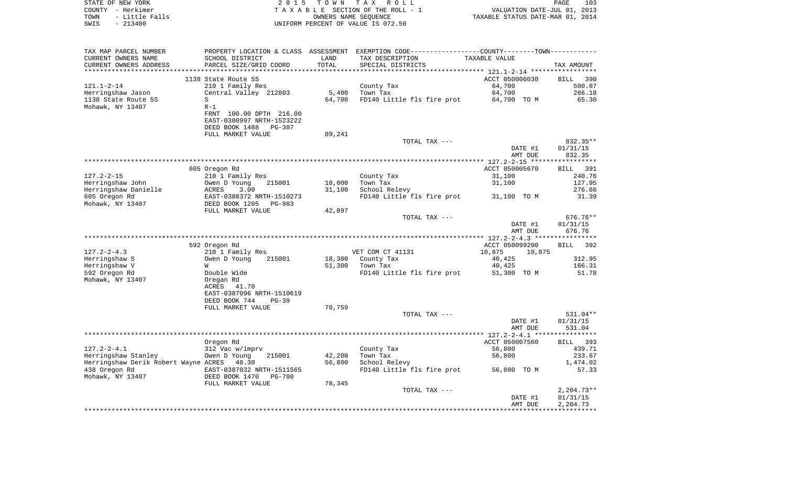| COUNTY - Herkimer<br>TOWN<br>- Little Falls<br>$-213400$<br>SWIS |                                                                  | OWNERS NAME SEQUENCE | TAXABLE SECTION OF THE ROLL - 1<br>UNIFORM PERCENT OF VALUE IS 072.50                         | VALUATION DATE-JUL 01, 2013<br>TAXABLE STATUS DATE-MAR 01, 2014 |                   |
|------------------------------------------------------------------|------------------------------------------------------------------|----------------------|-----------------------------------------------------------------------------------------------|-----------------------------------------------------------------|-------------------|
| TAX MAP PARCEL NUMBER                                            |                                                                  |                      | PROPERTY LOCATION & CLASS ASSESSMENT EXEMPTION CODE---------------COUNTY-------TOWN---------- |                                                                 |                   |
| CURRENT OWNERS NAME<br>CURRENT OWNERS ADDRESS                    | SCHOOL DISTRICT<br>PARCEL SIZE/GRID COORD                        | LAND<br>TOTAL        | TAX DESCRIPTION<br>SPECIAL DISTRICTS                                                          | TAXABLE VALUE                                                   | TAX AMOUNT        |
|                                                                  |                                                                  |                      |                                                                                               |                                                                 |                   |
|                                                                  | 1138 State Route 5S                                              |                      |                                                                                               | ACCT 050006030                                                  | BILL<br>390       |
| $121.1 - 2 - 14$                                                 | 210 1 Family Res                                                 |                      | County Tax                                                                                    | 64,700                                                          | 500.87            |
| Herringshaw Jason                                                | Central Valley 212803                                            |                      | 5,400 Town Tax                                                                                | 64,700                                                          | 266.18            |
| 1138 State Route 5S                                              | S                                                                |                      | 64,700 FD140 Little fls fire prot 64,700 TO M                                                 |                                                                 | 65.30             |
| Mohawk, NY 13407                                                 | $R-1$                                                            |                      |                                                                                               |                                                                 |                   |
|                                                                  | FRNT 100.00 DPTH 216.00                                          |                      |                                                                                               |                                                                 |                   |
|                                                                  | EAST-0380997 NRTH-1523222<br>DEED BOOK 1488 PG-307               |                      |                                                                                               |                                                                 |                   |
|                                                                  | FULL MARKET VALUE                                                | 89,241               |                                                                                               |                                                                 |                   |
|                                                                  |                                                                  |                      | TOTAL TAX ---                                                                                 |                                                                 | 832.35**          |
|                                                                  |                                                                  |                      |                                                                                               | DATE #1                                                         | 01/31/15          |
|                                                                  |                                                                  |                      |                                                                                               | AMT DUE                                                         | 832.35            |
|                                                                  |                                                                  |                      |                                                                                               |                                                                 |                   |
|                                                                  | 605 Oregon Rd                                                    |                      |                                                                                               | ACCT 050005670                                                  | BILL 391          |
| $127.2 - 2 - 15$<br>Herringshaw John                             | 210 1 Family Res                                                 |                      | County Tax                                                                                    | 31,100                                                          | 240.76            |
| Herringshaw Danielle                                             | Owen D Young 215001                                              | 10,000<br>31,100     | Town Tax<br>School Relevy                                                                     | 31,100                                                          | 127.95<br>276.66  |
| 605 Oregon Rd                                                    |                                                                  |                      | FD140 Little fls fire prot 31,100 TO M                                                        |                                                                 | 31.39             |
| Mohawk, NY 13407                                                 | ACRES 3.00<br>EAST-0388372 NRTH-1510273<br>DEED BOOK 1205 PG-983 |                      |                                                                                               |                                                                 |                   |
|                                                                  | FULL MARKET VALUE                                                | 42,897               |                                                                                               |                                                                 |                   |
|                                                                  |                                                                  |                      | TOTAL TAX ---                                                                                 |                                                                 | 676.76**          |
|                                                                  |                                                                  |                      |                                                                                               | DATE #1                                                         | 01/31/15          |
|                                                                  |                                                                  |                      |                                                                                               | AMT DUE                                                         | 676.76            |
|                                                                  | 592 Oregon Rd                                                    |                      |                                                                                               | ACCT 050099290                                                  | BILL 392          |
| 127.2-2-4.3                                                      | 210 1 Family Res                                                 |                      | VET COM CT 41131                                                                              | 10,875<br>10,875                                                |                   |
| Herringshaw S                                                    | Owen D Young 215001                                              |                      | 18,300 County Tax                                                                             | 40,425                                                          | 312.95            |
| Herringshaw V                                                    | W                                                                |                      | 51,300 Town Tax                                                                               | 40,425                                                          | 166.31            |
| 592 Oregon Rd                                                    | Double Wide<br>Oregan Rd                                         |                      | FD140 Little fls fire prot 51,300 TO M                                                        |                                                                 | 51.78             |
| Mohawk, NY 13407                                                 |                                                                  |                      |                                                                                               |                                                                 |                   |
|                                                                  | ACRES<br>41.70                                                   |                      |                                                                                               |                                                                 |                   |
|                                                                  | EAST-0387096 NRTH-1510619                                        |                      |                                                                                               |                                                                 |                   |
|                                                                  | DEED BOOK 744<br>$PG-39$<br>FULL MARKET VALUE                    | 70,759               |                                                                                               |                                                                 |                   |
|                                                                  |                                                                  |                      | TOTAL TAX ---                                                                                 |                                                                 | 531.04**          |
|                                                                  |                                                                  |                      |                                                                                               | DATE #1                                                         | 01/31/15          |
|                                                                  |                                                                  |                      |                                                                                               | AMT DUE                                                         | 531.04            |
|                                                                  |                                                                  |                      |                                                                                               |                                                                 |                   |
|                                                                  | Oregon Rd                                                        |                      |                                                                                               | ACCT 050007560                                                  | BILL 393          |
|                                                                  |                                                                  |                      | County Tax                                                                                    | 56,800                                                          | 439.71            |
|                                                                  | 215001                                                           | 42,200               | Town Tax                                                                                      | 56,800                                                          | 233.67            |
| Herringshaw Derik Robert Wayne ACRES 40.30<br>438 Oregon Rd      |                                                                  | 56,800               | School Relevy<br>FD140 Little fls fire prot 56,800 TO M                                       |                                                                 | 1,474.02<br>57.33 |
| Mohawk, NY 13407                                                 | EAST-0387032 NRTH-1511565<br>DEED BOOK 1470 PG-780               |                      |                                                                                               |                                                                 |                   |
|                                                                  | FULL MARKET VALUE                                                | 78,345               |                                                                                               |                                                                 |                   |
|                                                                  |                                                                  |                      | TOTAL TAX ---                                                                                 |                                                                 | $2,204.73**$      |
|                                                                  |                                                                  |                      |                                                                                               | DATE #1                                                         | 01/31/15          |
|                                                                  |                                                                  |                      |                                                                                               | AMT DUE                                                         | 2,204.73          |
|                                                                  |                                                                  |                      |                                                                                               |                                                                 |                   |

STATE OF NEW YORK 2 0 1 5 T O W N T A X R O L L PAGE 103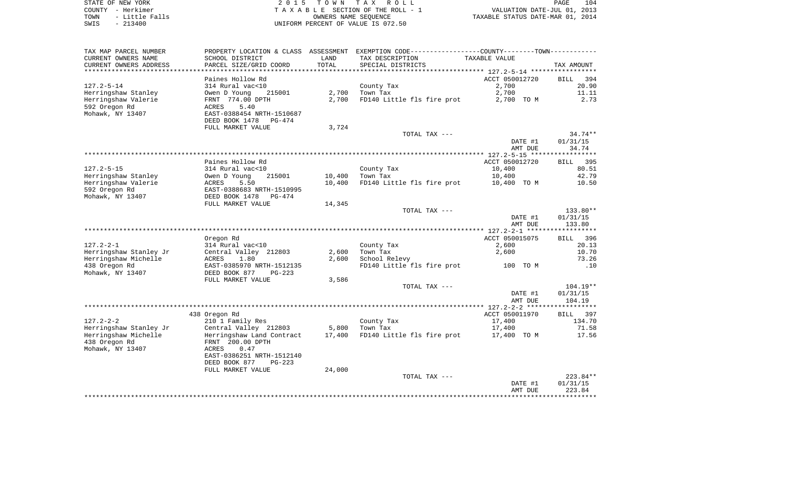| STATE OF NEW YORK   | 2015 TOWN TAX ROLL                 |
|---------------------|------------------------------------|
| COUNTY - Herkimer   | TAXABLE SECTION OF THE ROLL - 1    |
| TOWN - Little Falls | OWNERS NAME SEOUENCE               |
| CMTC – 213400       | INIFORM PERCENT OF VALUE IS 072 50 |

COUNTY - Herkimer T A X A B L E SECTION OF THE ROLL - 1 TOWN - Little Falls OWNERS NAME SEQUENCE TAXABLE STATUS DATE-MAR 01, 2014 SWIS - 213400 UNIFORM PERCENT OF VALUE IS 072.50

| TAX MAP PARCEL NUMBER                      |                                 |                  | PROPERTY LOCATION & CLASS ASSESSMENT EXEMPTION CODE---------------COUNTY-------TOWN--------- |                |                    |
|--------------------------------------------|---------------------------------|------------------|----------------------------------------------------------------------------------------------|----------------|--------------------|
| CURRENT OWNERS NAME                        | SCHOOL DISTRICT                 | LAND             | TAX DESCRIPTION                                                                              | TAXABLE VALUE  |                    |
| CURRENT OWNERS ADDRESS                     | PARCEL SIZE/GRID COORD          | TOTAL            | SPECIAL DISTRICTS                                                                            |                | TAX AMOUNT         |
|                                            |                                 |                  |                                                                                              |                |                    |
|                                            | Paines Hollow Rd                |                  |                                                                                              | ACCT 050012720 | <b>BILL</b><br>394 |
| $127.2 - 5 - 14$                           | 314 Rural vac<10                |                  | County Tax                                                                                   | 2,700          | 20.90              |
| Herringshaw Stanley                        | Owen D Young<br>215001          | 2,700            | Town Tax                                                                                     | 2,700          | 11.11              |
| Herringshaw Valerie                        | FRNT 774.00 DPTH                | 2,700            | FD140 Little fls fire prot                                                                   | 2,700 TO M     | 2.73               |
| 592 Oregon Rd                              | ACRES<br>5.40                   |                  |                                                                                              |                |                    |
| Mohawk, NY 13407                           | EAST-0388454 NRTH-1510687       |                  |                                                                                              |                |                    |
|                                            | DEED BOOK 1478<br><b>PG-474</b> |                  |                                                                                              |                |                    |
|                                            | FULL MARKET VALUE               | 3,724            |                                                                                              |                |                    |
|                                            |                                 |                  | TOTAL TAX ---                                                                                |                | $34.74**$          |
|                                            |                                 |                  |                                                                                              | DATE #1        | 01/31/15           |
|                                            |                                 |                  |                                                                                              | AMT DUE        | 34.74              |
|                                            |                                 |                  |                                                                                              |                |                    |
|                                            | Paines Hollow Rd                |                  |                                                                                              | ACCT 050012720 | BILL 395           |
| $127.2 - 5 - 15$                           | 314 Rural vac<10                |                  | County Tax                                                                                   | 10,400         | 80.51              |
|                                            | 215001                          |                  |                                                                                              |                | 42.79              |
| Herringshaw Stanley<br>Herringshaw Valerie | Owen D Young<br>ACRES<br>5.50   | 10,400<br>10,400 | Town Tax<br>FD140 Little fls fire prot 10,400 TO M                                           | 10,400         | 10.50              |
|                                            | EAST-0388683 NRTH-1510995       |                  |                                                                                              |                |                    |
| 592 Oregon Rd                              |                                 |                  |                                                                                              |                |                    |
| Mohawk, NY 13407                           | DEED BOOK 1478<br>PG-474        |                  |                                                                                              |                |                    |
|                                            | FULL MARKET VALUE               | 14,345           |                                                                                              |                |                    |
|                                            |                                 |                  | TOTAL TAX ---                                                                                |                | 133.80**           |
|                                            |                                 |                  |                                                                                              | DATE #1        | 01/31/15           |
|                                            |                                 |                  |                                                                                              | AMT DUE        | 133.80             |
|                                            |                                 |                  |                                                                                              |                |                    |
|                                            | Oregon Rd                       |                  |                                                                                              | ACCT 050015075 | BILL 396           |
| $127.2 - 2 - 1$                            | 314 Rural vac<10                |                  | County Tax                                                                                   | 2,600          | 20.13              |
| Herringshaw Stanley Jr                     | Central Valley 212803           | 2,600            | Town Tax                                                                                     | 2,600          | 10.70              |
| Herringshaw Michelle                       | 1.80<br>ACRES                   | 2,600            | School Relevy                                                                                |                | 73.26              |
| 438 Oregon Rd                              | EAST-0385970 NRTH-1512135       |                  | FD140 Little fls fire prot                                                                   | 100 TO M       | .10                |
| Mohawk, NY 13407                           | DEED BOOK 877<br>$PG-223$       |                  |                                                                                              |                |                    |
|                                            | FULL MARKET VALUE               | 3,586            |                                                                                              |                |                    |
|                                            |                                 |                  | TOTAL TAX ---                                                                                |                | $104.19**$         |
|                                            |                                 |                  |                                                                                              | DATE #1        | 01/31/15           |
|                                            |                                 |                  |                                                                                              | AMT DUE        | 104.19             |
|                                            |                                 |                  |                                                                                              |                |                    |
|                                            | 438 Oregon Rd                   |                  |                                                                                              | ACCT 050011970 | <b>BILL</b><br>397 |
| $127.2 - 2 - 2$                            | 210 1 Family Res                |                  | County Tax                                                                                   | 17,400         | 134.70             |
| Herringshaw Stanley Jr                     | Central Valley 212803           | 5,800            | Town Tax                                                                                     | 17,400         | 71.58              |
| Herringshaw Michelle                       | Herringshaw Land Contract       | 17,400           | FD140 Little fls fire prot                                                                   | 17,400 TO M    | 17.56              |
| 438 Oregon Rd                              | FRNT 200.00 DPTH                |                  |                                                                                              |                |                    |
| Mohawk, NY 13407                           | 0.47<br><b>ACRES</b>            |                  |                                                                                              |                |                    |
|                                            | EAST-0386251 NRTH-1512140       |                  |                                                                                              |                |                    |
|                                            | DEED BOOK 877<br>PG-223         |                  |                                                                                              |                |                    |
|                                            | FULL MARKET VALUE               | 24,000           |                                                                                              |                |                    |
|                                            |                                 |                  | TOTAL TAX ---                                                                                |                | 223.84**           |
|                                            |                                 |                  |                                                                                              | DATE #1        | 01/31/15           |
|                                            |                                 |                  |                                                                                              | AMT DUE        | 223.84             |
|                                            |                                 |                  |                                                                                              |                |                    |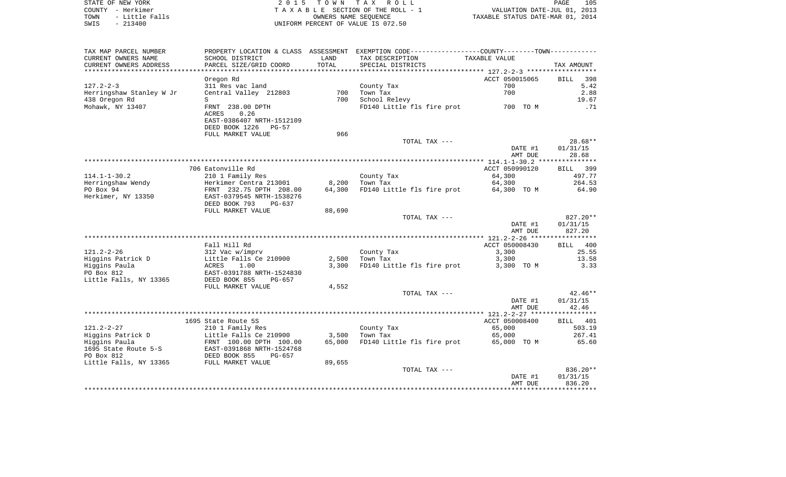| STATE OF NEW YORK |                |  |
|-------------------|----------------|--|
| COUNTY - Herkimer |                |  |
| TOWN              | - Little Falls |  |
| SWIS              | $-213400$      |  |

2015 TOWN TAX ROLL TA X A B L E SECTION OF THE ROLL - 1 TOWN - Little Falls OWNERS NAME SEQUENCE TAXABLE STATUS DATE-MAR 01, 2014 SWIS - 213400 UNIFORM PERCENT OF VALUE IS 072.50

| CURRENT OWNERS NAME<br>SCHOOL DISTRICT<br>TAX DESCRIPTION<br>LAND<br>TAXABLE VALUE<br>PARCEL SIZE/GRID COORD<br>TOTAL<br>CURRENT OWNERS ADDRESS<br>SPECIAL DISTRICTS<br>TAX AMOUNT<br>*******************<br>.<br>ACCT 050015065<br>398<br>Oregon Rd<br><b>BILL</b><br>5.42<br>311 Res vac land<br>County Tax<br>700<br>Central Valley 212803<br>700<br>Town Tax<br>700<br>2.88<br>438 Oregon Rd<br>700<br>School Relevy<br>19.67<br>S<br>FRNT 238.00 DPTH<br>FD140 Little fls fire prot<br>700 TO M<br>.71<br>ACRES<br>0.26<br>EAST-0386407 NRTH-1512109<br>DEED BOOK 1226<br>$PG-57$<br>966<br>FULL MARKET VALUE<br>$28.68**$<br>TOTAL TAX ---<br>01/31/15<br>DATE #1<br>28.68<br>AMT DUE<br>*******************************<br>***************** 114.1-1-30.2 ****************<br>706 Eatonville Rd<br>ACCT 050990120<br>399<br>BILL<br>210 1 Family Res<br>64,300<br>497.77<br>County Tax<br>Herringshaw Wendy<br>Herkimer Centra 213001<br>8,200<br>Town Tax<br>64,300<br>264.53<br>PO Box 94<br>FRNT 232.75 DPTH 208.00<br>64,300<br>FD140 Little fls fire prot<br>64.90<br>64,300 TO M<br>Herkimer, NY 13350<br>EAST-0379545 NRTH-1538276<br>DEED BOOK 793<br>$PG-637$<br>FULL MARKET VALUE<br>88,690<br>$827.20**$<br>TOTAL TAX ---<br>01/31/15<br>DATE #1<br>827.20<br>AMT DUE<br>Fall Hill Rd<br>ACCT 050008430<br>400<br><b>BILL</b><br>$121.2 - 2 - 26$<br>3,300<br>25.55<br>312 Vac w/imprv<br>County Tax<br>Higgins Patrick D<br>2,500<br>3,300<br>13.58<br>Little Falls Ce 210900<br>Town Tax<br>Higgins Paula<br>3,300<br>FD140 Little fls fire prot<br>ACRES<br>1.00<br>3,300 TO M<br>3.33<br>PO Box 812<br>EAST-0391788 NRTH-1524830<br>Little Falls, NY 13365<br>DEED BOOK 855<br>PG-657<br>FULL MARKET VALUE<br>4,552<br>$42.46**$<br>TOTAL TAX ---<br>01/31/15<br>DATE #1<br>42.46<br>AMT DUE<br>ACCT 050008400<br>1695 State Route 5S<br>401<br>BILL<br>$121.2 - 2 - 27$<br>210 1 Family Res<br>65,000<br>503.19<br>County Tax<br>267.41<br>Higgins Patrick D<br>Little Falls Ce 210900<br>3,500<br>Town Tax<br>65,000<br>FD140 Little fls fire prot<br>Higgins Paula<br>FRNT 100.00 DPTH 100.00<br>65,000<br>65,000 TO M<br>65.60<br>1695 State Route 5-S<br>EAST-0391868 NRTH-1524768<br>PO Box 812<br>DEED BOOK 855<br>$PG-657$<br>Little Falls, NY 13365<br>FULL MARKET VALUE<br>89,655<br>836.20**<br>TOTAL TAX ---<br>01/31/15<br>DATE #1<br>836.20<br>AMT DUE | TAX MAP PARCEL NUMBER    | PROPERTY LOCATION & CLASS ASSESSMENT | EXEMPTION CODE----------------COUNTY-------TOWN----------- |  |
|--------------------------------------------------------------------------------------------------------------------------------------------------------------------------------------------------------------------------------------------------------------------------------------------------------------------------------------------------------------------------------------------------------------------------------------------------------------------------------------------------------------------------------------------------------------------------------------------------------------------------------------------------------------------------------------------------------------------------------------------------------------------------------------------------------------------------------------------------------------------------------------------------------------------------------------------------------------------------------------------------------------------------------------------------------------------------------------------------------------------------------------------------------------------------------------------------------------------------------------------------------------------------------------------------------------------------------------------------------------------------------------------------------------------------------------------------------------------------------------------------------------------------------------------------------------------------------------------------------------------------------------------------------------------------------------------------------------------------------------------------------------------------------------------------------------------------------------------------------------------------------------------------------------------------------------------------------------------------------------------------------------------------------------------------------------------------------------------------------------------------------------------------------------------------------------------------------------------------------------------------------------------------------------------------------------------------------------------------------------------------------------------|--------------------------|--------------------------------------|------------------------------------------------------------|--|
|                                                                                                                                                                                                                                                                                                                                                                                                                                                                                                                                                                                                                                                                                                                                                                                                                                                                                                                                                                                                                                                                                                                                                                                                                                                                                                                                                                                                                                                                                                                                                                                                                                                                                                                                                                                                                                                                                                                                                                                                                                                                                                                                                                                                                                                                                                                                                                                            |                          |                                      |                                                            |  |
|                                                                                                                                                                                                                                                                                                                                                                                                                                                                                                                                                                                                                                                                                                                                                                                                                                                                                                                                                                                                                                                                                                                                                                                                                                                                                                                                                                                                                                                                                                                                                                                                                                                                                                                                                                                                                                                                                                                                                                                                                                                                                                                                                                                                                                                                                                                                                                                            |                          |                                      |                                                            |  |
|                                                                                                                                                                                                                                                                                                                                                                                                                                                                                                                                                                                                                                                                                                                                                                                                                                                                                                                                                                                                                                                                                                                                                                                                                                                                                                                                                                                                                                                                                                                                                                                                                                                                                                                                                                                                                                                                                                                                                                                                                                                                                                                                                                                                                                                                                                                                                                                            |                          |                                      |                                                            |  |
|                                                                                                                                                                                                                                                                                                                                                                                                                                                                                                                                                                                                                                                                                                                                                                                                                                                                                                                                                                                                                                                                                                                                                                                                                                                                                                                                                                                                                                                                                                                                                                                                                                                                                                                                                                                                                                                                                                                                                                                                                                                                                                                                                                                                                                                                                                                                                                                            |                          |                                      |                                                            |  |
|                                                                                                                                                                                                                                                                                                                                                                                                                                                                                                                                                                                                                                                                                                                                                                                                                                                                                                                                                                                                                                                                                                                                                                                                                                                                                                                                                                                                                                                                                                                                                                                                                                                                                                                                                                                                                                                                                                                                                                                                                                                                                                                                                                                                                                                                                                                                                                                            | $127.2 - 2 - 3$          |                                      |                                                            |  |
|                                                                                                                                                                                                                                                                                                                                                                                                                                                                                                                                                                                                                                                                                                                                                                                                                                                                                                                                                                                                                                                                                                                                                                                                                                                                                                                                                                                                                                                                                                                                                                                                                                                                                                                                                                                                                                                                                                                                                                                                                                                                                                                                                                                                                                                                                                                                                                                            | Herringshaw Stanley W Jr |                                      |                                                            |  |
|                                                                                                                                                                                                                                                                                                                                                                                                                                                                                                                                                                                                                                                                                                                                                                                                                                                                                                                                                                                                                                                                                                                                                                                                                                                                                                                                                                                                                                                                                                                                                                                                                                                                                                                                                                                                                                                                                                                                                                                                                                                                                                                                                                                                                                                                                                                                                                                            |                          |                                      |                                                            |  |
|                                                                                                                                                                                                                                                                                                                                                                                                                                                                                                                                                                                                                                                                                                                                                                                                                                                                                                                                                                                                                                                                                                                                                                                                                                                                                                                                                                                                                                                                                                                                                                                                                                                                                                                                                                                                                                                                                                                                                                                                                                                                                                                                                                                                                                                                                                                                                                                            | Mohawk, NY 13407         |                                      |                                                            |  |
|                                                                                                                                                                                                                                                                                                                                                                                                                                                                                                                                                                                                                                                                                                                                                                                                                                                                                                                                                                                                                                                                                                                                                                                                                                                                                                                                                                                                                                                                                                                                                                                                                                                                                                                                                                                                                                                                                                                                                                                                                                                                                                                                                                                                                                                                                                                                                                                            |                          |                                      |                                                            |  |
|                                                                                                                                                                                                                                                                                                                                                                                                                                                                                                                                                                                                                                                                                                                                                                                                                                                                                                                                                                                                                                                                                                                                                                                                                                                                                                                                                                                                                                                                                                                                                                                                                                                                                                                                                                                                                                                                                                                                                                                                                                                                                                                                                                                                                                                                                                                                                                                            |                          |                                      |                                                            |  |
|                                                                                                                                                                                                                                                                                                                                                                                                                                                                                                                                                                                                                                                                                                                                                                                                                                                                                                                                                                                                                                                                                                                                                                                                                                                                                                                                                                                                                                                                                                                                                                                                                                                                                                                                                                                                                                                                                                                                                                                                                                                                                                                                                                                                                                                                                                                                                                                            |                          |                                      |                                                            |  |
|                                                                                                                                                                                                                                                                                                                                                                                                                                                                                                                                                                                                                                                                                                                                                                                                                                                                                                                                                                                                                                                                                                                                                                                                                                                                                                                                                                                                                                                                                                                                                                                                                                                                                                                                                                                                                                                                                                                                                                                                                                                                                                                                                                                                                                                                                                                                                                                            |                          |                                      |                                                            |  |
|                                                                                                                                                                                                                                                                                                                                                                                                                                                                                                                                                                                                                                                                                                                                                                                                                                                                                                                                                                                                                                                                                                                                                                                                                                                                                                                                                                                                                                                                                                                                                                                                                                                                                                                                                                                                                                                                                                                                                                                                                                                                                                                                                                                                                                                                                                                                                                                            |                          |                                      |                                                            |  |
|                                                                                                                                                                                                                                                                                                                                                                                                                                                                                                                                                                                                                                                                                                                                                                                                                                                                                                                                                                                                                                                                                                                                                                                                                                                                                                                                                                                                                                                                                                                                                                                                                                                                                                                                                                                                                                                                                                                                                                                                                                                                                                                                                                                                                                                                                                                                                                                            |                          |                                      |                                                            |  |
|                                                                                                                                                                                                                                                                                                                                                                                                                                                                                                                                                                                                                                                                                                                                                                                                                                                                                                                                                                                                                                                                                                                                                                                                                                                                                                                                                                                                                                                                                                                                                                                                                                                                                                                                                                                                                                                                                                                                                                                                                                                                                                                                                                                                                                                                                                                                                                                            |                          |                                      |                                                            |  |
|                                                                                                                                                                                                                                                                                                                                                                                                                                                                                                                                                                                                                                                                                                                                                                                                                                                                                                                                                                                                                                                                                                                                                                                                                                                                                                                                                                                                                                                                                                                                                                                                                                                                                                                                                                                                                                                                                                                                                                                                                                                                                                                                                                                                                                                                                                                                                                                            |                          |                                      |                                                            |  |
|                                                                                                                                                                                                                                                                                                                                                                                                                                                                                                                                                                                                                                                                                                                                                                                                                                                                                                                                                                                                                                                                                                                                                                                                                                                                                                                                                                                                                                                                                                                                                                                                                                                                                                                                                                                                                                                                                                                                                                                                                                                                                                                                                                                                                                                                                                                                                                                            |                          |                                      |                                                            |  |
|                                                                                                                                                                                                                                                                                                                                                                                                                                                                                                                                                                                                                                                                                                                                                                                                                                                                                                                                                                                                                                                                                                                                                                                                                                                                                                                                                                                                                                                                                                                                                                                                                                                                                                                                                                                                                                                                                                                                                                                                                                                                                                                                                                                                                                                                                                                                                                                            | $114.1 - 1 - 30.2$       |                                      |                                                            |  |
|                                                                                                                                                                                                                                                                                                                                                                                                                                                                                                                                                                                                                                                                                                                                                                                                                                                                                                                                                                                                                                                                                                                                                                                                                                                                                                                                                                                                                                                                                                                                                                                                                                                                                                                                                                                                                                                                                                                                                                                                                                                                                                                                                                                                                                                                                                                                                                                            |                          |                                      |                                                            |  |
|                                                                                                                                                                                                                                                                                                                                                                                                                                                                                                                                                                                                                                                                                                                                                                                                                                                                                                                                                                                                                                                                                                                                                                                                                                                                                                                                                                                                                                                                                                                                                                                                                                                                                                                                                                                                                                                                                                                                                                                                                                                                                                                                                                                                                                                                                                                                                                                            |                          |                                      |                                                            |  |
|                                                                                                                                                                                                                                                                                                                                                                                                                                                                                                                                                                                                                                                                                                                                                                                                                                                                                                                                                                                                                                                                                                                                                                                                                                                                                                                                                                                                                                                                                                                                                                                                                                                                                                                                                                                                                                                                                                                                                                                                                                                                                                                                                                                                                                                                                                                                                                                            |                          |                                      |                                                            |  |
|                                                                                                                                                                                                                                                                                                                                                                                                                                                                                                                                                                                                                                                                                                                                                                                                                                                                                                                                                                                                                                                                                                                                                                                                                                                                                                                                                                                                                                                                                                                                                                                                                                                                                                                                                                                                                                                                                                                                                                                                                                                                                                                                                                                                                                                                                                                                                                                            |                          |                                      |                                                            |  |
|                                                                                                                                                                                                                                                                                                                                                                                                                                                                                                                                                                                                                                                                                                                                                                                                                                                                                                                                                                                                                                                                                                                                                                                                                                                                                                                                                                                                                                                                                                                                                                                                                                                                                                                                                                                                                                                                                                                                                                                                                                                                                                                                                                                                                                                                                                                                                                                            |                          |                                      |                                                            |  |
|                                                                                                                                                                                                                                                                                                                                                                                                                                                                                                                                                                                                                                                                                                                                                                                                                                                                                                                                                                                                                                                                                                                                                                                                                                                                                                                                                                                                                                                                                                                                                                                                                                                                                                                                                                                                                                                                                                                                                                                                                                                                                                                                                                                                                                                                                                                                                                                            |                          |                                      |                                                            |  |
|                                                                                                                                                                                                                                                                                                                                                                                                                                                                                                                                                                                                                                                                                                                                                                                                                                                                                                                                                                                                                                                                                                                                                                                                                                                                                                                                                                                                                                                                                                                                                                                                                                                                                                                                                                                                                                                                                                                                                                                                                                                                                                                                                                                                                                                                                                                                                                                            |                          |                                      |                                                            |  |
|                                                                                                                                                                                                                                                                                                                                                                                                                                                                                                                                                                                                                                                                                                                                                                                                                                                                                                                                                                                                                                                                                                                                                                                                                                                                                                                                                                                                                                                                                                                                                                                                                                                                                                                                                                                                                                                                                                                                                                                                                                                                                                                                                                                                                                                                                                                                                                                            |                          |                                      |                                                            |  |
|                                                                                                                                                                                                                                                                                                                                                                                                                                                                                                                                                                                                                                                                                                                                                                                                                                                                                                                                                                                                                                                                                                                                                                                                                                                                                                                                                                                                                                                                                                                                                                                                                                                                                                                                                                                                                                                                                                                                                                                                                                                                                                                                                                                                                                                                                                                                                                                            |                          |                                      |                                                            |  |
|                                                                                                                                                                                                                                                                                                                                                                                                                                                                                                                                                                                                                                                                                                                                                                                                                                                                                                                                                                                                                                                                                                                                                                                                                                                                                                                                                                                                                                                                                                                                                                                                                                                                                                                                                                                                                                                                                                                                                                                                                                                                                                                                                                                                                                                                                                                                                                                            |                          |                                      |                                                            |  |
|                                                                                                                                                                                                                                                                                                                                                                                                                                                                                                                                                                                                                                                                                                                                                                                                                                                                                                                                                                                                                                                                                                                                                                                                                                                                                                                                                                                                                                                                                                                                                                                                                                                                                                                                                                                                                                                                                                                                                                                                                                                                                                                                                                                                                                                                                                                                                                                            |                          |                                      |                                                            |  |
|                                                                                                                                                                                                                                                                                                                                                                                                                                                                                                                                                                                                                                                                                                                                                                                                                                                                                                                                                                                                                                                                                                                                                                                                                                                                                                                                                                                                                                                                                                                                                                                                                                                                                                                                                                                                                                                                                                                                                                                                                                                                                                                                                                                                                                                                                                                                                                                            |                          |                                      |                                                            |  |
|                                                                                                                                                                                                                                                                                                                                                                                                                                                                                                                                                                                                                                                                                                                                                                                                                                                                                                                                                                                                                                                                                                                                                                                                                                                                                                                                                                                                                                                                                                                                                                                                                                                                                                                                                                                                                                                                                                                                                                                                                                                                                                                                                                                                                                                                                                                                                                                            |                          |                                      |                                                            |  |
|                                                                                                                                                                                                                                                                                                                                                                                                                                                                                                                                                                                                                                                                                                                                                                                                                                                                                                                                                                                                                                                                                                                                                                                                                                                                                                                                                                                                                                                                                                                                                                                                                                                                                                                                                                                                                                                                                                                                                                                                                                                                                                                                                                                                                                                                                                                                                                                            |                          |                                      |                                                            |  |
|                                                                                                                                                                                                                                                                                                                                                                                                                                                                                                                                                                                                                                                                                                                                                                                                                                                                                                                                                                                                                                                                                                                                                                                                                                                                                                                                                                                                                                                                                                                                                                                                                                                                                                                                                                                                                                                                                                                                                                                                                                                                                                                                                                                                                                                                                                                                                                                            |                          |                                      |                                                            |  |
|                                                                                                                                                                                                                                                                                                                                                                                                                                                                                                                                                                                                                                                                                                                                                                                                                                                                                                                                                                                                                                                                                                                                                                                                                                                                                                                                                                                                                                                                                                                                                                                                                                                                                                                                                                                                                                                                                                                                                                                                                                                                                                                                                                                                                                                                                                                                                                                            |                          |                                      |                                                            |  |
|                                                                                                                                                                                                                                                                                                                                                                                                                                                                                                                                                                                                                                                                                                                                                                                                                                                                                                                                                                                                                                                                                                                                                                                                                                                                                                                                                                                                                                                                                                                                                                                                                                                                                                                                                                                                                                                                                                                                                                                                                                                                                                                                                                                                                                                                                                                                                                                            |                          |                                      |                                                            |  |
|                                                                                                                                                                                                                                                                                                                                                                                                                                                                                                                                                                                                                                                                                                                                                                                                                                                                                                                                                                                                                                                                                                                                                                                                                                                                                                                                                                                                                                                                                                                                                                                                                                                                                                                                                                                                                                                                                                                                                                                                                                                                                                                                                                                                                                                                                                                                                                                            |                          |                                      |                                                            |  |
|                                                                                                                                                                                                                                                                                                                                                                                                                                                                                                                                                                                                                                                                                                                                                                                                                                                                                                                                                                                                                                                                                                                                                                                                                                                                                                                                                                                                                                                                                                                                                                                                                                                                                                                                                                                                                                                                                                                                                                                                                                                                                                                                                                                                                                                                                                                                                                                            |                          |                                      |                                                            |  |
|                                                                                                                                                                                                                                                                                                                                                                                                                                                                                                                                                                                                                                                                                                                                                                                                                                                                                                                                                                                                                                                                                                                                                                                                                                                                                                                                                                                                                                                                                                                                                                                                                                                                                                                                                                                                                                                                                                                                                                                                                                                                                                                                                                                                                                                                                                                                                                                            |                          |                                      |                                                            |  |
|                                                                                                                                                                                                                                                                                                                                                                                                                                                                                                                                                                                                                                                                                                                                                                                                                                                                                                                                                                                                                                                                                                                                                                                                                                                                                                                                                                                                                                                                                                                                                                                                                                                                                                                                                                                                                                                                                                                                                                                                                                                                                                                                                                                                                                                                                                                                                                                            |                          |                                      |                                                            |  |
|                                                                                                                                                                                                                                                                                                                                                                                                                                                                                                                                                                                                                                                                                                                                                                                                                                                                                                                                                                                                                                                                                                                                                                                                                                                                                                                                                                                                                                                                                                                                                                                                                                                                                                                                                                                                                                                                                                                                                                                                                                                                                                                                                                                                                                                                                                                                                                                            |                          |                                      |                                                            |  |
|                                                                                                                                                                                                                                                                                                                                                                                                                                                                                                                                                                                                                                                                                                                                                                                                                                                                                                                                                                                                                                                                                                                                                                                                                                                                                                                                                                                                                                                                                                                                                                                                                                                                                                                                                                                                                                                                                                                                                                                                                                                                                                                                                                                                                                                                                                                                                                                            |                          |                                      |                                                            |  |
|                                                                                                                                                                                                                                                                                                                                                                                                                                                                                                                                                                                                                                                                                                                                                                                                                                                                                                                                                                                                                                                                                                                                                                                                                                                                                                                                                                                                                                                                                                                                                                                                                                                                                                                                                                                                                                                                                                                                                                                                                                                                                                                                                                                                                                                                                                                                                                                            |                          |                                      |                                                            |  |
|                                                                                                                                                                                                                                                                                                                                                                                                                                                                                                                                                                                                                                                                                                                                                                                                                                                                                                                                                                                                                                                                                                                                                                                                                                                                                                                                                                                                                                                                                                                                                                                                                                                                                                                                                                                                                                                                                                                                                                                                                                                                                                                                                                                                                                                                                                                                                                                            |                          |                                      |                                                            |  |
|                                                                                                                                                                                                                                                                                                                                                                                                                                                                                                                                                                                                                                                                                                                                                                                                                                                                                                                                                                                                                                                                                                                                                                                                                                                                                                                                                                                                                                                                                                                                                                                                                                                                                                                                                                                                                                                                                                                                                                                                                                                                                                                                                                                                                                                                                                                                                                                            |                          |                                      |                                                            |  |
|                                                                                                                                                                                                                                                                                                                                                                                                                                                                                                                                                                                                                                                                                                                                                                                                                                                                                                                                                                                                                                                                                                                                                                                                                                                                                                                                                                                                                                                                                                                                                                                                                                                                                                                                                                                                                                                                                                                                                                                                                                                                                                                                                                                                                                                                                                                                                                                            |                          |                                      |                                                            |  |
|                                                                                                                                                                                                                                                                                                                                                                                                                                                                                                                                                                                                                                                                                                                                                                                                                                                                                                                                                                                                                                                                                                                                                                                                                                                                                                                                                                                                                                                                                                                                                                                                                                                                                                                                                                                                                                                                                                                                                                                                                                                                                                                                                                                                                                                                                                                                                                                            |                          |                                      |                                                            |  |
|                                                                                                                                                                                                                                                                                                                                                                                                                                                                                                                                                                                                                                                                                                                                                                                                                                                                                                                                                                                                                                                                                                                                                                                                                                                                                                                                                                                                                                                                                                                                                                                                                                                                                                                                                                                                                                                                                                                                                                                                                                                                                                                                                                                                                                                                                                                                                                                            |                          |                                      |                                                            |  |
|                                                                                                                                                                                                                                                                                                                                                                                                                                                                                                                                                                                                                                                                                                                                                                                                                                                                                                                                                                                                                                                                                                                                                                                                                                                                                                                                                                                                                                                                                                                                                                                                                                                                                                                                                                                                                                                                                                                                                                                                                                                                                                                                                                                                                                                                                                                                                                                            |                          |                                      |                                                            |  |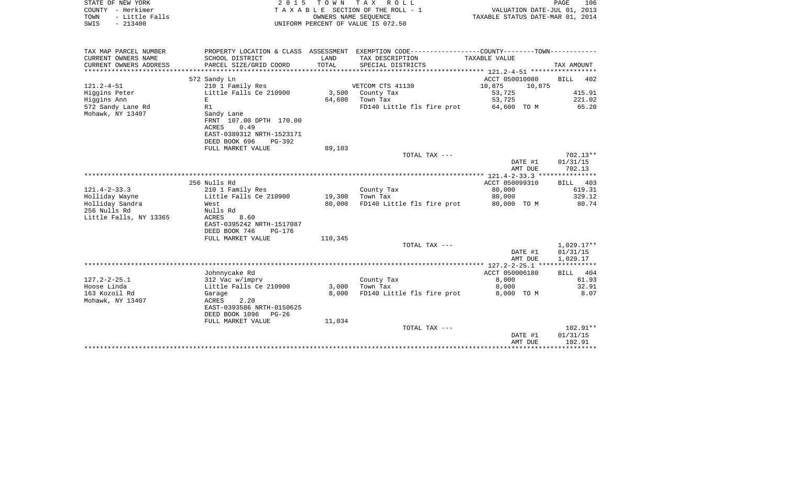| STATE OF NEW YORK<br>COUNTY - Herkimer<br>- Little Falls<br>TOWN<br>$-213400$<br>SWIS | 2 0 1 5                                                                                         | T O W N<br>OWNERS NAME SEOUENCE | TAX ROLL<br>TAXABLE SECTION OF THE ROLL - 1<br>UNIFORM PERCENT OF VALUE IS 072.50                                | VALUATION DATE-JUL 01, 2013<br>TAXABLE STATUS DATE-MAR 01, 2014 | 106<br>PAGE                          |
|---------------------------------------------------------------------------------------|-------------------------------------------------------------------------------------------------|---------------------------------|------------------------------------------------------------------------------------------------------------------|-----------------------------------------------------------------|--------------------------------------|
| TAX MAP PARCEL NUMBER<br>CURRENT OWNERS NAME                                          | SCHOOL DISTRICT                                                                                 | LAND                            | PROPERTY LOCATION & CLASS ASSESSMENT EXEMPTION CODE---------------COUNTY-------TOWN----------<br>TAX DESCRIPTION | TAXABLE VALUE                                                   |                                      |
| CURRENT OWNERS ADDRESS<br>*************************                                   | PARCEL SIZE/GRID COORD                                                                          | TOTAL                           | SPECIAL DISTRICTS                                                                                                |                                                                 | TAX AMOUNT                           |
|                                                                                       | 572 Sandy Ln                                                                                    |                                 |                                                                                                                  | ACCT 050010080                                                  | <b>BILL</b><br>402                   |
| $121.2 - 4 - 51$                                                                      | 210 1 Family Res                                                                                |                                 | VETCOM CTS 41130                                                                                                 | 10,875<br>10,875                                                |                                      |
| Higgins Peter<br>Higgins Ann                                                          | Little Falls Ce 210900<br>E                                                                     | 3,500<br>64,600                 | County Tax<br>Town Tax                                                                                           | 53,725<br>53,725                                                | 415.91<br>221.02                     |
| 572 Sandy Lane Rd                                                                     | R1                                                                                              |                                 | FD140 Little fls fire prot                                                                                       | 64,600 TO M                                                     | 65.20                                |
| Mohawk, NY 13407                                                                      | Sandy Lane<br>FRNT 107.00 DPTH 170.00<br><b>ACRES</b><br>0.49<br>EAST-0389312 NRTH-1523171      |                                 |                                                                                                                  |                                                                 |                                      |
|                                                                                       | DEED BOOK 696<br>PG-392<br>FULL MARKET VALUE                                                    | 89,103                          |                                                                                                                  |                                                                 |                                      |
|                                                                                       |                                                                                                 |                                 | TOTAL TAX ---                                                                                                    |                                                                 | $702.13**$                           |
|                                                                                       |                                                                                                 |                                 |                                                                                                                  | DATE #1                                                         | 01/31/15                             |
|                                                                                       |                                                                                                 |                                 |                                                                                                                  | AMT DUE<br>$121.4 - 2 - 33.3$ ****************                  | 702.13                               |
|                                                                                       | 256 Nulls Rd                                                                                    |                                 |                                                                                                                  | ACCT 050099310                                                  | 403<br><b>BILL</b>                   |
| $121.4 - 2 - 33.3$                                                                    | 210 1 Family Res                                                                                |                                 | County Tax                                                                                                       | 80,000                                                          | 619.31                               |
| Holliday Wayne                                                                        | Little Falls Ce 210900                                                                          | 19,300                          | Town Tax                                                                                                         | 80,000                                                          | 329.12                               |
| Holliday Sandra                                                                       | West                                                                                            | 80,000                          | FD140 Little fls fire prot                                                                                       | 80,000 TO M                                                     | 80.74                                |
| 256 Nulls Rd<br>Little Falls, NY 13365                                                | Nulls Rd<br>8.60<br><b>ACRES</b><br>EAST-0395242 NRTH-1517087<br>DEED BOOK 746<br><b>PG-176</b> |                                 |                                                                                                                  |                                                                 |                                      |
|                                                                                       | FULL MARKET VALUE                                                                               | 110,345                         |                                                                                                                  |                                                                 |                                      |
|                                                                                       |                                                                                                 |                                 | TOTAL TAX ---                                                                                                    | DATE #1<br>AMT DUE                                              | $1,029.17**$<br>01/31/15<br>1,029.17 |
|                                                                                       |                                                                                                 |                                 |                                                                                                                  | **************** 127.2-2-25.1 ****                              | ***********                          |
|                                                                                       | Johnnycake Rd                                                                                   |                                 |                                                                                                                  | ACCT 050006180                                                  | 404<br><b>BILL</b>                   |
| $127.2 - 2 - 25.1$<br>Hoose Linda                                                     | 312 Vac w/imprv<br>Little Falls Ce 210900                                                       | 3,000                           | County Tax<br>Town Tax                                                                                           | 8,000<br>8,000                                                  | 61.93<br>32.91                       |
| 163 Kozoil Rd                                                                         | Garage                                                                                          | 8,000                           | FD140 Little fls fire prot                                                                                       | 8,000 TO M                                                      | 8.07                                 |
| Mohawk, NY 13407                                                                      | ACRES<br>2.20<br>EAST-0393586 NRTH-0150625<br>DEED BOOK 1096<br>$PG-26$                         |                                 |                                                                                                                  |                                                                 |                                      |
|                                                                                       | FULL MARKET VALUE                                                                               | 11,034                          |                                                                                                                  |                                                                 |                                      |
|                                                                                       |                                                                                                 |                                 | TOTAL TAX ---                                                                                                    | DATE #1<br>AMT DUE                                              | 102.91**<br>01/31/15<br>102.91       |
|                                                                                       |                                                                                                 |                                 |                                                                                                                  | ****************                                                | ************                         |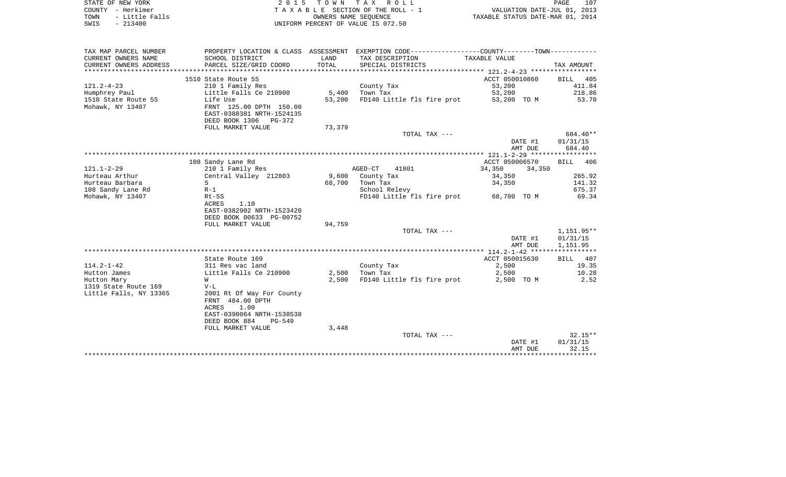|      | STATE OF NEW YORK | 2015 TOWN TAX ROLL                 | 107<br>PAGE                      |
|------|-------------------|------------------------------------|----------------------------------|
|      | COUNTY - Herkimer | TAXABLE SECTION OF THE ROLL - 1    | VALUATION DATE-JUL 01, 2013      |
| TOWN | - Little Falls    | OWNERS NAME SEOUENCE               | TAXABLE STATUS DATE-MAR 01, 2014 |
| SWIS | $-213400$         | UNIFORM PERCENT OF VALUE IS 072.50 |                                  |

 $\frac{107}{2013}$ <br>2014

| TAX MAP PARCEL NUMBER  | PROPERTY LOCATION & CLASS ASSESSMENT EXEMPTION CODE----------------COUNTY--------TOWN---------- |        |                                        |                  |                    |
|------------------------|-------------------------------------------------------------------------------------------------|--------|----------------------------------------|------------------|--------------------|
| CURRENT OWNERS NAME    | SCHOOL DISTRICT                                                                                 | LAND   | TAX DESCRIPTION                        | TAXABLE VALUE    |                    |
| CURRENT OWNERS ADDRESS | PARCEL SIZE/GRID COORD                                                                          | TOTAL  | SPECIAL DISTRICTS                      |                  | TAX AMOUNT         |
|                        |                                                                                                 |        |                                        |                  |                    |
|                        | 1510 State Route 5S                                                                             |        |                                        | ACCT 050010860   | BILL<br>405        |
| $121.2 - 4 - 23$       | 210 1 Family Res                                                                                |        | County Tax                             | 53,200           | 411.84             |
| Humphrey Paul          | Little Falls Ce 210900                                                                          | 5,400  | Town Tax                               | 53,200           | 218.86             |
| 1510 State Route 5S    | Life Use                                                                                        | 53,200 | FD140 Little fls fire prot 53,200 TO M |                  | 53.70              |
| Mohawk, NY 13407       | FRNT 125.00 DPTH 150.00                                                                         |        |                                        |                  |                    |
|                        | EAST-0388381 NRTH-1524135                                                                       |        |                                        |                  |                    |
|                        | DEED BOOK 1306 PG-372                                                                           |        |                                        |                  |                    |
|                        | FULL MARKET VALUE                                                                               | 73,379 |                                        |                  |                    |
|                        |                                                                                                 |        | TOTAL TAX ---                          |                  | 684.40**           |
|                        |                                                                                                 |        |                                        | DATE #1          | 01/31/15           |
|                        |                                                                                                 |        |                                        | AMT DUE          | 684.40             |
|                        |                                                                                                 |        |                                        |                  |                    |
|                        | 108 Sandy Lane Rd                                                                               |        |                                        | ACCT 050006570   | 406<br><b>BILL</b> |
| $121.1 - 2 - 29$       | 210 1 Family Res                                                                                |        | AGED-CT<br>41801                       | 34,350<br>34,350 |                    |
| Hurteau Arthur         | Central Valley 212803                                                                           |        | 9,600 County Tax                       | 34,350           | 265.92             |
| Hurteau Barbara        | S                                                                                               | 68,700 | Town Tax                               | 34,350           | 141.32             |
| 108 Sandy Lane Rd      | $R-1$                                                                                           |        | School Relevy                          |                  | 675.37             |
| Mohawk, NY 13407       | Rt-5S                                                                                           |        | FD140 Little fls fire prot 68,700 TO M |                  | 69.34              |
|                        | ACRES<br>1.10                                                                                   |        |                                        |                  |                    |
|                        | EAST-0382902 NRTH-1523420                                                                       |        |                                        |                  |                    |
|                        | DEED BOOK 00633 PG-00752                                                                        |        |                                        |                  |                    |
|                        | FULL MARKET VALUE                                                                               | 94,759 |                                        |                  |                    |
|                        |                                                                                                 |        | TOTAL TAX ---                          |                  | 1,151.95**         |
|                        |                                                                                                 |        |                                        | DATE #1          | 01/31/15           |
|                        |                                                                                                 |        |                                        | AMT DUE          | 1,151.95           |
|                        |                                                                                                 |        |                                        |                  |                    |
|                        | State Route 169                                                                                 |        |                                        | ACCT 050015630   | BILL 407           |
| $114.2 - 1 - 42$       | 311 Res vac land                                                                                |        | County Tax                             | 2,500            | 19.35              |
| Hutton James           | Little Falls Ce 210900                                                                          |        | $2,500$ Town Tax                       | 2,500            | 10.28              |
| Hutton Mary            | W                                                                                               | 2,500  | FD140 Little fls fire prot             | 2,500 TO M       | 2.52               |
| 1319 State Route 169   | $V-L$                                                                                           |        |                                        |                  |                    |
| Little Falls, NY 13365 | 2001 Rt Of Way For County                                                                       |        |                                        |                  |                    |
|                        | FRNT 484.00 DPTH                                                                                |        |                                        |                  |                    |
|                        | 1.00<br>ACRES                                                                                   |        |                                        |                  |                    |
|                        | EAST-0390064 NRTH-1538538                                                                       |        |                                        |                  |                    |
|                        | DEED BOOK 884<br>PG-549                                                                         |        |                                        |                  |                    |
|                        | FULL MARKET VALUE                                                                               | 3,448  |                                        |                  |                    |
|                        |                                                                                                 |        | TOTAL TAX ---                          |                  | $32.15**$          |
|                        |                                                                                                 |        |                                        | DATE #1          | 01/31/15           |
|                        |                                                                                                 |        |                                        | AMT DUE          | 32.15              |
|                        |                                                                                                 |        |                                        |                  |                    |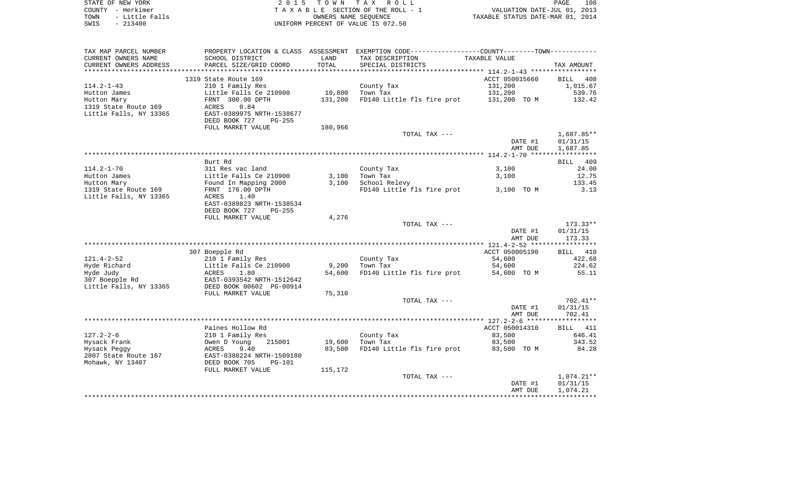| STATE OF NEW YORK      | 2 0 1 5                              | T O W N | TAX ROLL                                                    |                                  | 108<br>PAGE |
|------------------------|--------------------------------------|---------|-------------------------------------------------------------|----------------------------------|-------------|
| - Herkimer<br>COUNTY   |                                      |         | TAXABLE SECTION OF THE ROLL - 1                             | VALUATION DATE-JUL 01, 2013      |             |
| - Little Falls<br>TOWN |                                      |         | OWNERS NAME SEOUENCE                                        | TAXABLE STATUS DATE-MAR 01, 2014 |             |
| $-213400$<br>SWIS      |                                      |         | UNIFORM PERCENT OF VALUE IS 072.50                          |                                  |             |
|                        |                                      |         |                                                             |                                  |             |
| TAX MAP PARCEL NUMBER  | PROPERTY LOCATION & CLASS ASSESSMENT |         | EXEMPTION CODE-----------------COUNTY-------TOWN----------- |                                  |             |
| CURRENT OWNERS NAME    | SCHOOL DISTRICT                      | LAND    | TAX DESCRIPTION                                             | TAXABLE VALUE                    |             |
| CURRENT OWNERS ADDRESS | PARCEL SIZE/GRID COORD               | TOTAL   | SPECIAL DISTRICTS                                           |                                  | TAX AMOUNT  |
|                        |                                      |         |                                                             |                                  |             |
|                        | 1319 State Route 169                 |         |                                                             | ACCT 050015660                   | BILL 408    |
| $114.2 - 1 - 43$       | 210 1 Family Res                     |         | County Tax                                                  | 131,200                          | 1,015.67    |
| Hutton James           | Little Falls Ce 210900               | 10,800  | Town Tax                                                    | 131,200                          | 539.76      |
| Hutton Mary            | FRNT 300.00 DPTH                     | 131,200 | FD140 Little fls fire prot 131,200 TO M                     |                                  | 132.42      |
| 1319 State Route 169   | 0.84<br>ACRES                        |         |                                                             |                                  |             |
| Little Falls, NY 13365 | EAST-0389975 NRTH-1538677            |         |                                                             |                                  |             |
|                        |                                      |         |                                                             |                                  |             |
|                        | DEED BOOK 727<br>PG-255              |         |                                                             |                                  |             |
|                        | FULL MARKET VALUE                    | 180,966 |                                                             |                                  |             |
|                        |                                      |         | TOTAL TAX ---                                               |                                  | 1,687.85**  |
|                        |                                      |         |                                                             | <b>DAME 41</b>                   | 01/21/15    |

|                        |                           |        |                            | DATE #1        | 01/31/15           |
|------------------------|---------------------------|--------|----------------------------|----------------|--------------------|
|                        |                           |        |                            | AMT DUE        | 1,687.85           |
|                        |                           |        |                            |                |                    |
|                        | Burt Rd                   |        |                            |                | 409<br><b>BILL</b> |
| $114.2 - 1 - 70$       | 311 Res vac land          |        | County Tax                 | 3,100          | 24.00              |
| Hutton James           | Little Falls Ce 210900    | 3,100  | Town Tax                   | 3,100          | 12.75              |
| Hutton Mary            | Found In Mapping 2000     | 3,100  | School Relevy              |                | 133.45             |
| 1319 State Route 169   | FRNT 176.00 DPTH          |        | FD140 Little fls fire prot | 3,100 TO M     | 3.13               |
| Little Falls, NY 13365 | 1.40<br>ACRES             |        |                            |                |                    |
|                        | EAST-0389823 NRTH-1538534 |        |                            |                |                    |
|                        | DEED BOOK 727<br>$PG-255$ |        |                            |                |                    |
|                        | FULL MARKET VALUE         | 4,276  |                            |                |                    |
|                        |                           |        | TOTAL TAX ---              |                | $173.33**$         |
|                        |                           |        |                            | DATE #1        | 01/31/15           |
|                        |                           |        |                            | AMT DUE        | 173.33             |
|                        |                           |        |                            |                |                    |
|                        | 307 Boepple Rd            |        |                            | ACCT 050005190 | 410<br>BILL        |
| $121.4 - 2 - 52$       | 210 1 Family Res          |        | County Tax                 | 54,600         | 422.68             |
| Hyde Richard           | Little Falls Ce 210900    | 9,200  | Town Tax                   | 54,600         | 224.62             |
| Hyde Judy              | ACRES<br>1.80             | 54,600 | FD140 Little fls fire prot | 54,600 TO M    | 55.11              |
| 307 Boepple Rd         | EAST-0393542 NRTH-1512642 |        |                            |                |                    |
| Little Falls, NY 13365 | DEED BOOK 00602 PG-00914  |        |                            |                |                    |
|                        | FULL MARKET VALUE         | 75,310 |                            |                |                    |
|                        |                           |        | TOTAL TAX ---              |                | $702.41**$         |
|                        |                           |        |                            | DATE #1        | 01/31/15           |
|                        |                           |        |                            | AMT DUE        | 702.41             |
|                        |                           |        |                            |                | ****************** |
|                        | Paines Hollow Rd          |        |                            | ACCT 050014310 | BILL 411           |
| $127.2 - 2 - 6$        | 210 1 Family Res          |        | County Tax                 | 83,500         | 646.41             |
| Hysack Frank           | Owen D Young<br>215001    | 19,600 | Town Tax                   | 83,500         | 343.52             |
| Hysack Peggy           | 9.40<br>ACRES             | 83,500 | FD140 Little fls fire prot | 83,500 TO M    | 84.28              |
| 2807 State Route 167   | EAST-0388224 NRTH-1509180 |        |                            |                |                    |
| Mohawk, NY 13407       | DEED BOOK 705<br>$PG-101$ |        |                            |                |                    |

| FULL MARKET VALUE | 115,172 |               |         |            |
|-------------------|---------|---------------|---------|------------|
|                   |         | TOTAL TAX --- |         | ⊥,074.21** |
|                   |         |               | DATE #1 | 01/31/15   |
|                   |         |               | AMT DUE | 1,074.21   |
|                   |         |               |         |            |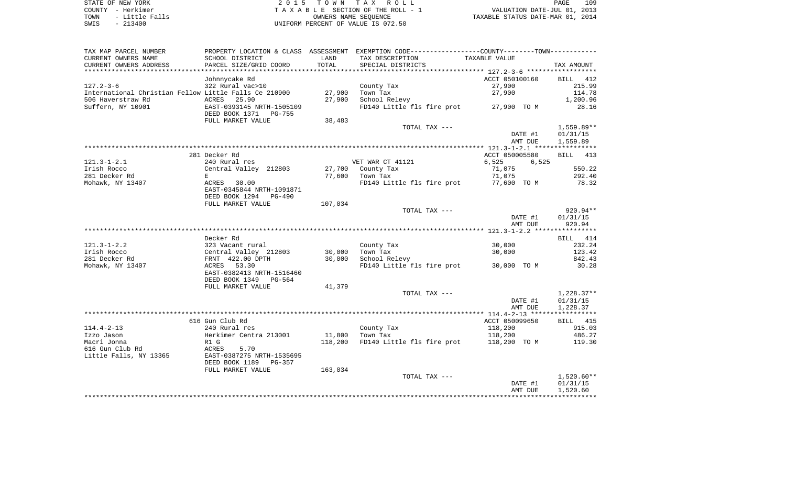|      | STATE OF NEW YORK | 2015 TOWN TAX ROLL                 | PAGE                             | 109 |
|------|-------------------|------------------------------------|----------------------------------|-----|
|      | COUNTY - Herkimer | TAXABLE SECTION OF THE ROLL - 1    | VALUATION DATE-JUL 01, 2013      |     |
| TOWN | - Little Falls    | OWNERS NAME SEOUENCE               | TAXABLE STATUS DATE-MAR 01, 2014 |     |
| SWIS | $-213400$         | UNIFORM PERCENT OF VALUE IS 072.50 |                                  |     |

| TAX MAP PARCEL NUMBER                                 |                           |         | PROPERTY LOCATION & CLASS ASSESSMENT EXEMPTION CODE---------------COUNTY-------TOWN---------- |                |              |
|-------------------------------------------------------|---------------------------|---------|-----------------------------------------------------------------------------------------------|----------------|--------------|
| CURRENT OWNERS NAME                                   | SCHOOL DISTRICT           | LAND    | TAX DESCRIPTION                                                                               | TAXABLE VALUE  |              |
| CURRENT OWNERS ADDRESS                                | PARCEL SIZE/GRID COORD    | TOTAL   | SPECIAL DISTRICTS                                                                             |                | TAX AMOUNT   |
|                                                       |                           |         |                                                                                               |                |              |
|                                                       | Johnnycake Rd             |         |                                                                                               | ACCT 050100160 | BILL 412     |
| $127.2 - 3 - 6$                                       | 322 Rural vac>10          |         | County Tax                                                                                    | 27,900         | 215.99       |
| International Christian Fellow Little Falls Ce 210900 |                           | 27,900  | Town Tax                                                                                      | 27,900         | 114.78       |
| 506 Haverstraw Rd                                     | ACRES 25.90               | 27,900  | School Relevy                                                                                 |                | 1,200.96     |
| Suffern, NY 10901                                     | EAST-0393145 NRTH-1505109 |         | FD140 Little fls fire prot 27,900 TO M                                                        |                | 28.16        |
|                                                       | DEED BOOK 1371 PG-755     |         |                                                                                               |                |              |
|                                                       | FULL MARKET VALUE         | 38,483  |                                                                                               |                |              |
|                                                       |                           |         | TOTAL TAX ---                                                                                 |                | $1,559.89**$ |
|                                                       |                           |         |                                                                                               | DATE #1        | 01/31/15     |
|                                                       |                           |         |                                                                                               | AMT DUE        | 1,559.89     |
|                                                       |                           |         |                                                                                               |                |              |
|                                                       | 281 Decker Rd             |         |                                                                                               | ACCT 050005580 | BILL 413     |
| $121.3 - 1 - 2.1$                                     | 240 Rural res             |         | VET WAR CT 41121                                                                              | 6,525<br>6,525 |              |
| Irish Rocco                                           | Central Valley 212803     |         | 27,700 County Tax                                                                             | 71,075         | 550.22       |
| 281 Decker Rd                                         | E                         | 77,600  | Town Tax                                                                                      | 71,075         | 292.40       |
| Mohawk, NY 13407                                      | ACRES 30.00               |         | FD140 Little fls fire prot 77,600 TO M                                                        |                | 78.32        |
|                                                       | EAST-0345844 NRTH-1091871 |         |                                                                                               |                |              |
|                                                       | DEED BOOK 1294 PG-490     |         |                                                                                               |                |              |
|                                                       | FULL MARKET VALUE         | 107,034 |                                                                                               |                |              |
|                                                       |                           |         | TOTAL TAX ---                                                                                 |                | 920.94**     |
|                                                       |                           |         |                                                                                               | DATE #1        | 01/31/15     |
|                                                       |                           |         |                                                                                               | AMT DUE        | 920.94       |
|                                                       |                           |         |                                                                                               |                |              |
|                                                       | Decker Rd                 |         |                                                                                               |                | BILL 414     |
| $121.3 - 1 - 2.2$                                     | 323 Vacant rural          |         | County Tax                                                                                    | 30,000         | 232.24       |
| Irish Rocco                                           | Central Valley 212803     | 30,000  | Town Tax                                                                                      | 30,000         | 123.42       |
| 281 Decker Rd                                         | FRNT 422.00 DPTH          | 30,000  | School Relevy                                                                                 |                | 842.43       |
| Mohawk, NY 13407                                      | ACRES 53.30               |         | FD140 Little fls fire prot 30,000 TO M                                                        |                | 30.28        |
|                                                       | EAST-0382413 NRTH-1516460 |         |                                                                                               |                |              |
|                                                       | DEED BOOK 1349<br>PG-564  |         |                                                                                               |                |              |
|                                                       | FULL MARKET VALUE         | 41,379  |                                                                                               |                |              |
|                                                       |                           |         | TOTAL TAX ---                                                                                 |                | $1,228.37**$ |
|                                                       |                           |         |                                                                                               | DATE #1        | 01/31/15     |
|                                                       |                           |         |                                                                                               | AMT DUE        | 1,228.37     |
|                                                       |                           |         |                                                                                               |                |              |
|                                                       | 616 Gun Club Rd           |         |                                                                                               | ACCT 050099650 | BILL 415     |
| $114.4 - 2 - 13$                                      | 240 Rural res             |         | County Tax                                                                                    | 118,200        | 915.03       |
| Izzo Jason                                            | Herkimer Centra 213001    | 11,800  | Town Tax                                                                                      | 118,200        | 486.27       |
| Macri Jonna                                           | R1 G                      | 118,200 | FD140 Little fls fire prot 118,200 TO M                                                       |                | 119.30       |
| 616 Gun Club Rd                                       | 5.70<br>ACRES             |         |                                                                                               |                |              |
| Little Falls, NY 13365                                | EAST-0387275 NRTH-1535695 |         |                                                                                               |                |              |
|                                                       | DEED BOOK 1189<br>PG-357  |         |                                                                                               |                |              |
|                                                       | FULL MARKET VALUE         | 163,034 |                                                                                               |                |              |
|                                                       |                           |         | TOTAL TAX ---                                                                                 |                | $1,520.60**$ |
|                                                       |                           |         |                                                                                               | DATE #1        | 01/31/15     |
|                                                       |                           |         |                                                                                               | AMT DUE        | 1,520.60     |
|                                                       |                           |         |                                                                                               |                |              |
|                                                       |                           |         |                                                                                               |                |              |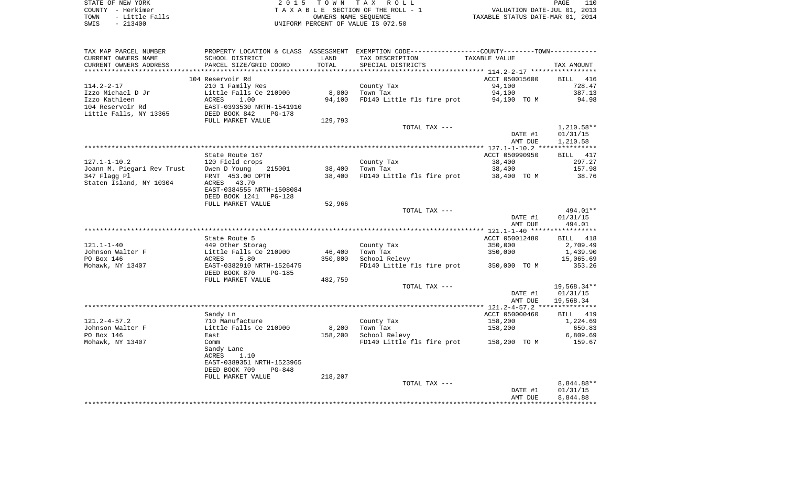| STATE OF NEW YORK |                | 2015 TOWN TAX ROLL                 | PAGE                             | 110 |
|-------------------|----------------|------------------------------------|----------------------------------|-----|
| COUNTY - Herkimer |                | TAXABLE SECTION OF THE ROLL - 1    | VALUATION DATE-JUL 01, 2013      |     |
| TOWN              | - Little Falls | OWNERS NAME SEOUENCE               | TAXABLE STATUS DATE-MAR 01, 2014 |     |
| SWIS              | - 213400       | UNIFORM PERCENT OF VALUE IS 072.50 |                                  |     |

|  | PAGE                            | 110 |
|--|---------------------------------|-----|
|  | VALUATION DATE-JUL 01, 2013     |     |
|  | XABLE STATUS DATE-MAR 01, 2014. |     |

| TAX MAP PARCEL NUMBER      |                                                      |         |                            | PROPERTY LOCATION & CLASS ASSESSMENT EXEMPTION CODE----------------COUNTY--------TOWN----------- |                       |
|----------------------------|------------------------------------------------------|---------|----------------------------|--------------------------------------------------------------------------------------------------|-----------------------|
| CURRENT OWNERS NAME        | SCHOOL DISTRICT                                      | LAND    | TAX DESCRIPTION            | TAXABLE VALUE                                                                                    |                       |
| CURRENT OWNERS ADDRESS     | PARCEL SIZE/GRID COORD                               | TOTAL   | SPECIAL DISTRICTS          |                                                                                                  | TAX AMOUNT            |
|                            |                                                      |         |                            |                                                                                                  |                       |
|                            | 104 Reservoir Rd                                     |         |                            | ACCT 050015600                                                                                   | <b>BILL</b><br>416    |
| $114.2 - 2 - 17$           | 210 1 Family Res                                     |         | County Tax                 | 94,100                                                                                           | 728.47                |
| Izzo Michael D Jr          | Little Falls Ce 210900                               | 8,000   | Town Tax                   | 94,100                                                                                           | 387.13                |
| Izzo Kathleen              | ACRES<br>1.00                                        | 94,100  | FD140 Little fls fire prot | 94,100 TO M                                                                                      | 94.98                 |
| 104 Reservoir Rd           | EAST-0393530 NRTH-1541910<br>DEED BOOK 842<br>PG-178 |         |                            |                                                                                                  |                       |
| Little Falls, NY 13365     | FULL MARKET VALUE                                    | 129,793 |                            |                                                                                                  |                       |
|                            |                                                      |         | TOTAL TAX ---              |                                                                                                  | $1,210.58**$          |
|                            |                                                      |         |                            | DATE #1                                                                                          | 01/31/15              |
|                            |                                                      |         |                            | AMT DUE                                                                                          | 1,210.58              |
|                            |                                                      |         |                            |                                                                                                  |                       |
|                            | State Route 167                                      |         |                            | ACCT 050990950                                                                                   | BILL 417              |
| $127.1 - 1 - 10.2$         | 120 Field crops                                      |         | County Tax                 | 38,400                                                                                           | 297.27                |
| Joann M. Piegari Rev Trust | Owen D Young<br>215001                               | 38,400  | Town Tax                   | 38,400                                                                                           | 157.98                |
| 347 Flagg Pl               | FRNT 453.00 DPTH                                     | 38,400  | FD140 Little fls fire prot | 38,400 TO M                                                                                      | 38.76                 |
| Staten Island, NY 10304    | ACRES 43.70                                          |         |                            |                                                                                                  |                       |
|                            | EAST-0384555 NRTH-1508084                            |         |                            |                                                                                                  |                       |
|                            | DEED BOOK 1241 PG-128                                |         |                            |                                                                                                  |                       |
|                            | FULL MARKET VALUE                                    | 52,966  |                            |                                                                                                  |                       |
|                            |                                                      |         | TOTAL TAX ---              |                                                                                                  | 494.01**              |
|                            |                                                      |         |                            | DATE #1                                                                                          | 01/31/15              |
|                            |                                                      |         |                            | AMT DUE                                                                                          | 494.01                |
|                            |                                                      |         |                            |                                                                                                  |                       |
|                            | State Route 5                                        |         |                            | ACCT 050012480                                                                                   | BILL 418              |
| $121.1 - 1 - 40$           | 449 Other Storag                                     |         | County Tax                 | 350,000                                                                                          | 2,709.49              |
| Johnson Walter F           | Little Falls Ce 210900                               | 46,400  | Town Tax                   | 350,000                                                                                          | 1,439.90              |
| PO Box 146                 | ACRES<br>5.80                                        | 350,000 | School Relevy              |                                                                                                  | 15,065.69             |
| Mohawk, NY 13407           | EAST-0382910 NRTH-1526475                            |         | FD140 Little fls fire prot | 350,000 TO M                                                                                     | 353.26                |
|                            | DEED BOOK 870<br>PG-185                              |         |                            |                                                                                                  |                       |
|                            | FULL MARKET VALUE                                    | 482,759 |                            |                                                                                                  |                       |
|                            |                                                      |         | TOTAL TAX ---              |                                                                                                  | 19,568.34**           |
|                            |                                                      |         |                            | DATE #1<br>AMT DUE                                                                               | 01/31/15<br>19,568.34 |
|                            |                                                      |         |                            |                                                                                                  |                       |
|                            | Sandy Ln                                             |         |                            | ACCT 050000460                                                                                   | BILL 419              |
| $121.2 - 4 - 57.2$         | 710 Manufacture                                      |         | County Tax                 | 158,200                                                                                          | 1,224.69              |
| Johnson Walter F           | Little Falls Ce 210900                               | 8,200   | Town Tax                   | 158,200                                                                                          | 650.83                |
| PO Box 146                 | East                                                 | 158,200 | School Relevy              |                                                                                                  | 6,809.69              |
| Mohawk, NY 13407           | Comm                                                 |         |                            | FD140 Little fls fire prot 158,200 TO M                                                          | 159.67                |
|                            | Sandy Lane                                           |         |                            |                                                                                                  |                       |
|                            | ACRES<br>1.10                                        |         |                            |                                                                                                  |                       |
|                            | EAST-0389351 NRTH-1523965                            |         |                            |                                                                                                  |                       |
|                            | DEED BOOK 709<br>$PG-848$                            |         |                            |                                                                                                  |                       |
|                            | FULL MARKET VALUE                                    | 218,207 |                            |                                                                                                  |                       |
|                            |                                                      |         | TOTAL TAX ---              |                                                                                                  | 8,844.88**            |
|                            |                                                      |         |                            | DATE #1                                                                                          | 01/31/15              |
|                            |                                                      |         |                            | AMT DUE                                                                                          | 8,844.88              |
|                            |                                                      |         |                            |                                                                                                  |                       |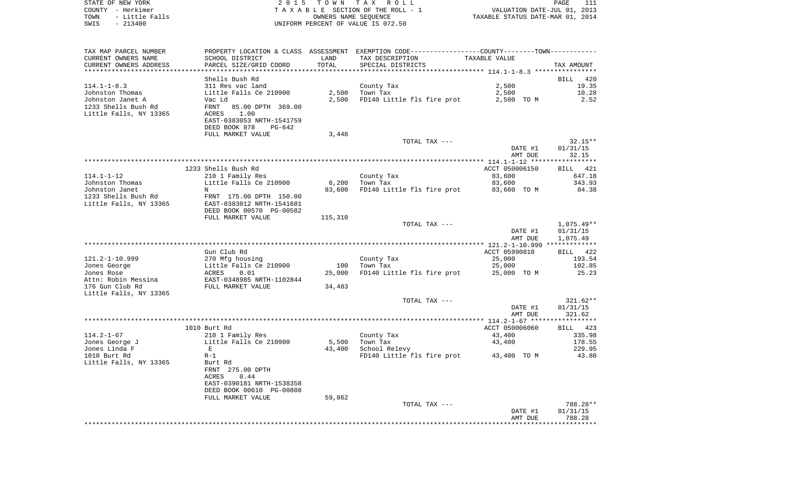| STATE OF NEW YORK      | 2 0 1 5                         | TOWN                 | T A X<br>R O L L                                             |                                  | PAGE | 111        |
|------------------------|---------------------------------|----------------------|--------------------------------------------------------------|----------------------------------|------|------------|
| – Herkimer<br>COUNTY   | TAXABLE SECTION OF THE ROLL - 1 |                      |                                                              | VALUATION DATE-JUL 01, 2013      |      |            |
| - Little Falls<br>TOWN |                                 | OWNERS NAME SEOUENCE |                                                              | TAXABLE STATUS DATE-MAR 01, 2014 |      |            |
| $-213400$<br>SWIS      |                                 |                      | UNIFORM PERCENT OF VALUE IS 072.50                           |                                  |      |            |
|                        |                                 |                      |                                                              |                                  |      |            |
|                        |                                 |                      |                                                              |                                  |      |            |
|                        |                                 |                      |                                                              |                                  |      |            |
| TAX MAP PARCEL NUMBER  | PROPERTY LOCATION & CLASS       | ASSESSMENT           | EXEMPTION CODE-----------------COUNTY-------TOWN------------ |                                  |      |            |
| CURRENT OWNERS NAME    | SCHOOL DISTRICT                 | LAND                 | TAX DESCRIPTION                                              | TAXABLE VALUE                    |      |            |
| CURRENT OWNERS ADDRESS | PARCEL SIZE/GRID COORD          | TOTAL                | SPECIAL DISTRICTS                                            |                                  |      | TAX AMOUNT |
|                        |                                 |                      |                                                              |                                  |      |            |
|                        | Shells Bush Rd                  |                      |                                                              |                                  |      | BILL 420   |
| $114.1 - 1 - 8.3$      | 311 Res vac land                |                      | County Tax                                                   | 2,500                            |      | 19.35      |
| Johnston Thomas        | Little Falls Ce 210900          | 2,500                | Town Tax                                                     | 2,500                            |      | 10.28      |
| Johnston Janet A       | Vac Ld                          | 2,500                | FD140 Little fls fire prot                                   | 2,500                            | TO M | 2.52       |
| 1233 Shells Bush Rd    | 85.00 DPTH 369.00<br>FRNT       |                      |                                                              |                                  |      |            |
| Little Falls, NY 13365 | 1.00<br>ACRES                   |                      |                                                              |                                  |      |            |

EAST-0383053 NRTH-1541759

|                        | DEED BOOK 878<br>PG-642   |         |                            |                |            |
|------------------------|---------------------------|---------|----------------------------|----------------|------------|
|                        | FULL MARKET VALUE         | 3,448   |                            |                |            |
|                        |                           |         | TOTAL TAX ---              |                | $32.15**$  |
|                        |                           |         |                            | DATE #1        | 01/31/15   |
|                        |                           |         |                            | AMT DUE        | 32.15      |
|                        |                           |         |                            |                |            |
|                        | 1233 Shells Bush Rd       |         |                            | ACCT 050006150 | BILL 421   |
| $114.1 - 1 - 12$       | 210 1 Family Res          |         | County Tax                 | 83,600         | 647.18     |
| Johnston Thomas        | Little Falls Ce 210900    | 6,200   | Town Tax                   | 83,600         | 343.93     |
| Johnston Janet         | $\mathbb N$               | 83,600  | FD140 Little fls fire prot | 83,600 TO M    | 84.38      |
| 1233 Shells Bush Rd    | FRNT 175.00 DPTH 150.00   |         |                            |                |            |
| Little Falls, NY 13365 | EAST-0383012 NRTH-1541601 |         |                            |                |            |
|                        | DEED BOOK 00570 PG-00582  |         |                            |                |            |
|                        | FULL MARKET VALUE         | 115,310 |                            |                |            |
|                        |                           |         | TOTAL TAX ---              |                | 1,075.49** |
|                        |                           |         |                            | DATE #1        | 01/31/15   |
|                        |                           |         |                            | AMT DUE        | 1,075.49   |
|                        |                           |         |                            |                |            |
|                        | Gun Club Rd               |         |                            | ACCT 05990810  | BILL 422   |
| 121.2-1-10.999         | 270 Mfg housing           |         | County Tax                 | 25,000         | 193.54     |
| Jones George           | Little Falls Ce 210900    | 100     | Town Tax                   | 25,000         | 102.85     |
| Jones Rose             | ACRES 0.01                | 25,000  | FD140 Little fls fire prot | 25,000 TO M    | 25.23      |
| Attn: Robin Messina    | EAST-0348985 NRTH-1102844 |         |                            |                |            |
| 176 Gun Club Rd        | FULL MARKET VALUE         | 34,483  |                            |                |            |
| Little Falls, NY 13365 |                           |         |                            |                |            |
|                        |                           |         | TOTAL TAX ---              |                | $321.62**$ |
|                        |                           |         |                            | DATE #1        | 01/31/15   |
|                        |                           |         |                            | AMT DUE        | 321.62     |
|                        |                           |         |                            |                |            |

|                        |                                                                                                                               |        |                            | AMT DUE         | 321.62   |
|------------------------|-------------------------------------------------------------------------------------------------------------------------------|--------|----------------------------|-----------------|----------|
|                        |                                                                                                                               |        |                            |                 |          |
|                        | 1010 Burt Rd                                                                                                                  |        |                            | ACCT 050006060  | BILL 423 |
| $114.2 - 1 - 67$       | 210 1 Family Res                                                                                                              |        | County Tax                 | 43,400          | 335.98   |
| Jones George J         | Little Falls Ce 210900                                                                                                        | 5,500  | Town Tax                   | 43,400          | 178.55   |
| Jones Linda F          | Ε                                                                                                                             | 43,400 | School Relevy              |                 | 229.95   |
| 1010 Burt Rd           | $R-1$                                                                                                                         |        | FD140 Little fls fire prot | 43,400 TO M     | 43.80    |
| Little Falls, NY 13365 | Burt Rd<br>275.00 DPTH<br>FRNT<br>0.44<br>ACRES<br>EAST-0390181 NRTH-1538358<br>DEED BOOK 00610 PG-00808<br>FULL MARKET VALUE | 59,862 |                            |                 |          |
|                        |                                                                                                                               |        | TOTAL TAX ---              |                 | 788.28** |
|                        |                                                                                                                               |        |                            | DATE #1         | 01/31/15 |
|                        |                                                                                                                               |        |                            | <b>AMT DILE</b> | 788.28   |

AMT DUE 788.28 \*\*\*\*\*\*\*\*\*\*\*\*\*\*\*\*\*\*\*\*\*\*\*\*\*\*\*\*\*\*\*\*\*\*\*\*\*\*\*\*\*\*\*\*\*\*\*\*\*\*\*\*\*\*\*\*\*\*\*\*\*\*\*\*\*\*\*\*\*\*\*\*\*\*\*\*\*\*\*\*\*\*\*\*\*\*\*\*\*\*\*\*\*\*\*\*\*\*\*\*\*\*\*\*\*\*\*\*\*\*\*\*\*\*\*\*\*\*\*\*\*\*\*\*\*\*\*\*\*\*\*\*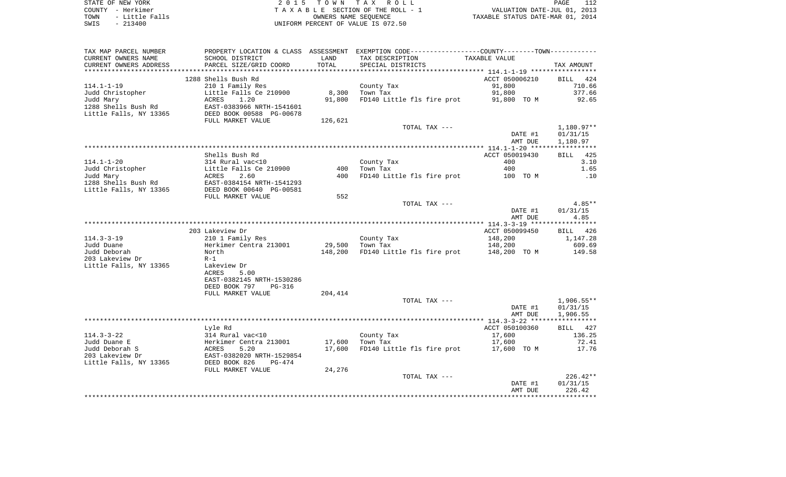| STATE OF NEW YORK      | 2015 TOWN TAX ROLL                 | 112<br>PAGE                      |
|------------------------|------------------------------------|----------------------------------|
| COUNTY - Herkimer      | TAXABLE SECTION OF THE ROLL - 1    | VALUATION DATE-JUL 01, 2013      |
| - Little Falls<br>TOWN | OWNERS NAME SEOUENCE               | TAXABLE STATUS DATE-MAR 01, 2014 |
| $-213400$<br>SWIS      | UNIFORM PERCENT OF VALUE IS 072.50 |                                  |

| TAX MAP PARCEL NUMBER                |                                                                                                                                                                                                     |                 | PROPERTY LOCATION & CLASS ASSESSMENT EXEMPTION CODE---------------COUNTY--------TOWN---------- |                  |                  |
|--------------------------------------|-----------------------------------------------------------------------------------------------------------------------------------------------------------------------------------------------------|-----------------|------------------------------------------------------------------------------------------------|------------------|------------------|
| CURRENT OWNERS NAME                  | SCHOOL DISTRICT                                                                                                                                                                                     | LAND            | TAX DESCRIPTION                                                                                | TAXABLE VALUE    |                  |
| CURRENT OWNERS ADDRESS               | PARCEL SIZE/GRID COORD                                                                                                                                                                              | TOTAL           | SPECIAL DISTRICTS                                                                              |                  | TAX AMOUNT       |
|                                      | 1288 Shells Bush Rd                                                                                                                                                                                 |                 |                                                                                                |                  | BILL 424         |
|                                      |                                                                                                                                                                                                     |                 |                                                                                                | ACCT 050006210   |                  |
| $114.1 - 1 - 19$<br>Judd Christopher | 210 1 Family Res                                                                                                                                                                                    |                 | County Tax<br>$8,300$ Town Tax                                                                 | 91,800<br>91,800 | 710.66<br>377.66 |
|                                      |                                                                                                                                                                                                     | 91,800          | FD140 Little fls fire prot 91,800 TO M                                                         |                  | 92.65            |
| Judd Mary<br>1288 Shells Bush Rd     | Little Falls Ce 210900<br>ACRES 1.20<br>EAST-0383966 NRTH-1541601<br>DEED BOOK 00588 PG-00678<br>EHIL MABKET VALUE                                                                                  |                 |                                                                                                |                  |                  |
| Little Falls, NY 13365               |                                                                                                                                                                                                     |                 |                                                                                                |                  |                  |
|                                      | FULL MARKET VALUE                                                                                                                                                                                   | 126,621         |                                                                                                |                  |                  |
|                                      |                                                                                                                                                                                                     |                 | TOTAL TAX ---                                                                                  |                  | $1,180.97**$     |
|                                      |                                                                                                                                                                                                     |                 |                                                                                                | DATE #1          | 01/31/15         |
|                                      |                                                                                                                                                                                                     |                 |                                                                                                | AMT DUE          | 1,180.97         |
|                                      |                                                                                                                                                                                                     |                 |                                                                                                |                  |                  |
|                                      | Shells Bush Rd                                                                                                                                                                                      |                 |                                                                                                | ACCT 050019430   | BILL 425         |
|                                      |                                                                                                                                                                                                     |                 | County Tax                                                                                     | 400              | 3.10             |
|                                      |                                                                                                                                                                                                     | 400             | Town Tax                                                                                       | 400              | 1.65             |
|                                      | 114.1-1-20<br>Judd Christopher<br>Judd Mary<br>1288 Shells Bush Rd<br>Little Falls, NY 13365<br>2000 DEED BOOK 00640 PG-00581<br>2011<br>EAST-0384154 NRTH-1541293<br>2016 DEED BOOK 00640 PG-00581 | 400             | FD140 Little fls fire prot 100 TO M                                                            |                  | .10              |
|                                      |                                                                                                                                                                                                     |                 |                                                                                                |                  |                  |
|                                      |                                                                                                                                                                                                     |                 |                                                                                                |                  |                  |
|                                      | FULL MARKET VALUE                                                                                                                                                                                   | 552             |                                                                                                |                  |                  |
|                                      |                                                                                                                                                                                                     |                 | TOTAL TAX ---                                                                                  |                  | $4.85**$         |
|                                      |                                                                                                                                                                                                     |                 |                                                                                                | DATE #1          | 01/31/15         |
|                                      |                                                                                                                                                                                                     |                 |                                                                                                | AMT DUE          | 4.85             |
|                                      |                                                                                                                                                                                                     |                 |                                                                                                |                  |                  |
|                                      | 203 Lakeview Dr                                                                                                                                                                                     |                 |                                                                                                | ACCT 050099450   | BILL 426         |
| $114.3 - 3 - 19$                     | 210 1 Family Res                                                                                                                                                                                    |                 | County Tax                                                                                     | 148,200          | 1,147.28         |
| Judd Duane                           |                                                                                                                                                                                                     | 29,500 Town Tax |                                                                                                | 148,200          | 609.69           |
| Judd Deborah                         | Herkimer Centra 213001<br>North                                                                                                                                                                     | 148,200         | FD140 Little fls fire prot 148,200 TO M                                                        |                  | 149.58           |
| 203 Lakeview Dr                      | $R-1$                                                                                                                                                                                               |                 |                                                                                                |                  |                  |
| Little Falls, NY 13365               | Lakeview Dr                                                                                                                                                                                         |                 |                                                                                                |                  |                  |
|                                      | 5.00<br>ACRES                                                                                                                                                                                       |                 |                                                                                                |                  |                  |
|                                      | EAST-0382145 NRTH-1530286                                                                                                                                                                           |                 |                                                                                                |                  |                  |
|                                      | DEED BOOK 797<br>PG-316                                                                                                                                                                             |                 |                                                                                                |                  |                  |
|                                      | FULL MARKET VALUE                                                                                                                                                                                   | 204,414         | TOTAL TAX ---                                                                                  |                  | $1,906.55**$     |
|                                      |                                                                                                                                                                                                     |                 |                                                                                                | DATE #1          | 01/31/15         |
|                                      |                                                                                                                                                                                                     |                 |                                                                                                | AMT DUE          | 1,906.55         |
|                                      |                                                                                                                                                                                                     |                 |                                                                                                |                  |                  |
|                                      | Lyle Rd                                                                                                                                                                                             |                 |                                                                                                | ACCT 050100360   | BILL 427         |
| $114.3 - 3 - 22$                     | 314 Rural vac<10                                                                                                                                                                                    |                 | County Tax                                                                                     | 17,600           | 136.25           |
| Judd Duane E                         |                                                                                                                                                                                                     |                 | 17,600 Town Tax                                                                                | 17,600           | 72.41            |
| Judd Deborah S                       |                                                                                                                                                                                                     | 17,600          | FD140 Little fls fire prot 17,600 TO M                                                         |                  | 17.76            |
| 203 Lakeview Dr                      | Ferkimer Centra 213001<br>ACRES 5.20<br>EAST-0382020 NRTH-1529854<br>DEED BOOK 826 PG-474                                                                                                           |                 |                                                                                                |                  |                  |
| Little Falls, NY 13365               |                                                                                                                                                                                                     |                 |                                                                                                |                  |                  |
|                                      | FULL MARKET VALUE                                                                                                                                                                                   | 24,276          |                                                                                                |                  |                  |
|                                      |                                                                                                                                                                                                     |                 | TOTAL TAX ---                                                                                  |                  | $226.42**$       |
|                                      |                                                                                                                                                                                                     |                 |                                                                                                | DATE #1          | 01/31/15         |
|                                      |                                                                                                                                                                                                     |                 |                                                                                                | AMT DUE          | 226.42           |
|                                      |                                                                                                                                                                                                     |                 |                                                                                                |                  |                  |
|                                      |                                                                                                                                                                                                     |                 |                                                                                                |                  |                  |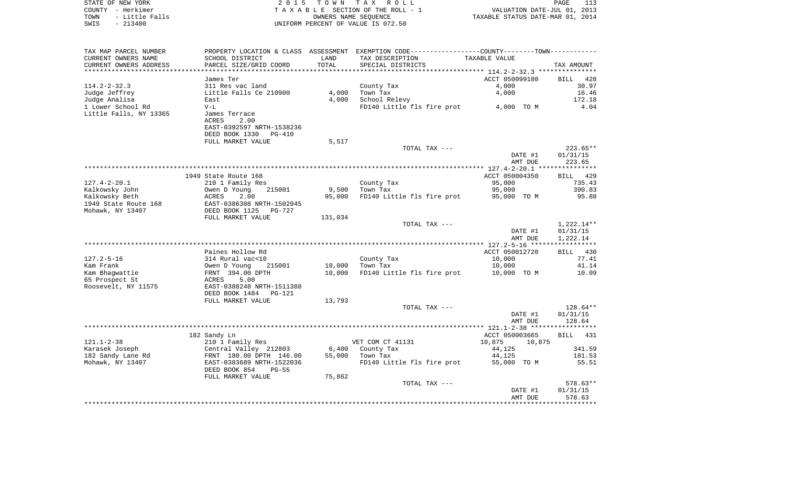| STATE OF NEW YORK |                     | 2015 TOWN TAX ROLL                 |                                  | PAGE | 113 |
|-------------------|---------------------|------------------------------------|----------------------------------|------|-----|
| COUNTY - Herkimer |                     | TAXABLE SECTION OF THE ROLL - 1    | VALUATION DATE-JUL 01, 2013      |      |     |
|                   | TOWN - Little Falls | OWNERS NAME SEOUENCE               | TAXABLE STATUS DATE-MAR 01, 2014 |      |     |
| SWIS              | - 213400            | UNIFORM PERCENT OF VALUE IS 072.50 |                                  |      |     |
|                   |                     |                                    |                                  |      |     |
|                   |                     |                                    |                                  |      |     |

| TAX MAP PARCEL NUMBER      | PROPERTY LOCATION & CLASS ASSESSMENT |         | EXEMPTION CODE-----------------COUNTY-------TOWN-------- |                                                   |              |
|----------------------------|--------------------------------------|---------|----------------------------------------------------------|---------------------------------------------------|--------------|
| CURRENT OWNERS NAME        | SCHOOL DISTRICT                      | LAND    | TAX DESCRIPTION                                          | TAXABLE VALUE                                     |              |
| CURRENT OWNERS ADDRESS     | PARCEL SIZE/GRID COORD               | TOTAL   | SPECIAL DISTRICTS                                        |                                                   | TAX AMOUNT   |
| ************************** |                                      |         |                                                          | ******************** 114.2-2-32.3 *************** |              |
|                            | James Ter                            |         |                                                          | ACCT 050099180                                    | BILL 428     |
| $114.2 - 2 - 32.3$         | 311 Res vac land                     |         | County Tax                                               | 4,000                                             | 30.97        |
| Judge Jeffrey              | Little Falls Ce 210900               | 4,000   | Town Tax                                                 | 4,000                                             | 16.46        |
| Judge Analisa              | East                                 | 4,000   | School Relevy                                            |                                                   | 172.18       |
| 1 Lower School Rd          | $V-L$                                |         | FD140 Little fls fire prot                               | 4,000 TO M                                        | 4.04         |
| Little Falls, NY 13365     | James Terrace                        |         |                                                          |                                                   |              |
|                            | 2.00<br>ACRES                        |         |                                                          |                                                   |              |
|                            |                                      |         |                                                          |                                                   |              |
|                            | EAST-0392597 NRTH-1538236            |         |                                                          |                                                   |              |
|                            | DEED BOOK 1330<br>PG-410             |         |                                                          |                                                   |              |
|                            | FULL MARKET VALUE                    | 5,517   |                                                          |                                                   |              |
|                            |                                      |         | TOTAL TAX ---                                            |                                                   | $223.65**$   |
|                            |                                      |         |                                                          | DATE #1                                           | 01/31/15     |
|                            |                                      |         |                                                          | AMT DUE                                           | 223.65       |
|                            |                                      |         |                                                          |                                                   |              |
|                            | 1949 State Route 168                 |         |                                                          | ACCT 050004350                                    | BILL 429     |
| $127.4 - 2 - 20.1$         | 210 1 Family Res                     |         | County Tax                                               | 95,000                                            | 735.43       |
| Kalkowsky John             | Owen D Young<br>215001               | 9,500   | Town Tax                                                 | 95,000                                            | 390.83       |
| Kalkowsky Beth             | 2.00<br>ACRES                        | 95,000  | FD140 Little fls fire prot                               | 95,000 TO M                                       | 95.88        |
| 1949 State Route 168       | EAST-0386308 NRTH-1502945            |         |                                                          |                                                   |              |
| Mohawk, NY 13407           | DEED BOOK 1125 PG-727                |         |                                                          |                                                   |              |
|                            | FULL MARKET VALUE                    | 131,034 |                                                          |                                                   |              |
|                            |                                      |         |                                                          |                                                   |              |
|                            |                                      |         | TOTAL TAX ---                                            |                                                   | $1,222.14**$ |
|                            |                                      |         |                                                          | DATE #1                                           | 01/31/15     |
|                            |                                      |         |                                                          | AMT DUE                                           | 1,222.14     |
|                            |                                      |         |                                                          |                                                   |              |
|                            | Paines Hollow Rd                     |         |                                                          | ACCT 050012720                                    | BILL 430     |
| $127.2 - 5 - 16$           | 314 Rural vac<10                     |         | County Tax                                               | 10,000                                            | 77.41        |
| Kam Frank                  | 215001<br>Owen D Young               | 10,000  | Town Tax                                                 | 10,000                                            | 41.14        |
| Kam Bhaqwattie             | FRNT 394.00 DPTH                     | 10,000  | FD140 Little fls fire prot                               | 10,000 TO M                                       | 10.09        |
| 65 Prospect St             | ACRES<br>5.00                        |         |                                                          |                                                   |              |
| Roosevelt, NY 11575        | EAST-0388248 NRTH-1511388            |         |                                                          |                                                   |              |
|                            | DEED BOOK 1484 PG-121                |         |                                                          |                                                   |              |
|                            | FULL MARKET VALUE                    | 13,793  |                                                          |                                                   |              |
|                            |                                      |         | TOTAL TAX ---                                            |                                                   | $128.64**$   |
|                            |                                      |         |                                                          | DATE #1                                           | 01/31/15     |
|                            |                                      |         |                                                          | AMT DUE                                           | 128.64       |
|                            |                                      |         |                                                          |                                                   |              |
|                            | 182 Sandy Ln                         |         |                                                          | ACCT 050003665                                    | BILL 431     |
| $121.1 - 2 - 38$           |                                      |         | VET COM CT 41131                                         | 10,875<br>10,875                                  |              |
|                            | 210 1 Family Res                     |         |                                                          |                                                   |              |
| Karasek Joseph             | Central Valley 212803                | 6,400   | County Tax                                               | 44,125                                            | 341.59       |
| 182 Sandy Lane Rd          | FRNT 180.00 DPTH 146.00              | 55,000  | Town Tax                                                 | 44,125                                            | 181.53       |
| Mohawk, NY 13407           | EAST-0383689 NRTH-1522036            |         | FD140 Little fls fire prot                               | 55,000 TO M                                       | 55.51        |
|                            | DEED BOOK 854<br>$PG-55$             |         |                                                          |                                                   |              |
|                            | FULL MARKET VALUE                    | 75,862  |                                                          |                                                   |              |
|                            |                                      |         | TOTAL TAX ---                                            |                                                   | 578.63**     |
|                            |                                      |         |                                                          | DATE #1                                           | 01/31/15     |
|                            |                                      |         |                                                          | AMT DUE                                           | 578.63       |
|                            |                                      |         |                                                          |                                                   |              |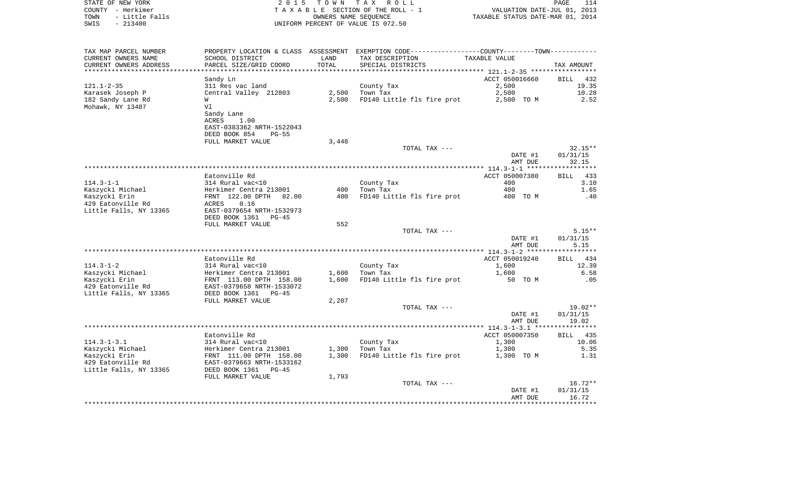|      | STATE OF NEW YORK | 2015 TOWN TAX ROLL                 |                                  | PAGE |  |
|------|-------------------|------------------------------------|----------------------------------|------|--|
|      | COUNTY - Herkimer | TAXABLE SECTION OF THE ROLL - 1    | VALUATION DATE-JUL 01, 2013      |      |  |
| TOWN | - Little Falls    | OWNERS NAME SEOUENCE               | TAXABLE STATUS DATE-MAR 01, 2014 |      |  |
| SWIS | $-213400$         | UNIFORM PERCENT OF VALUE IS 072.50 |                                  |      |  |

| STATE OF NEW YORK      | 2015 TOWN TAX ROLL                 | PAGE                             |
|------------------------|------------------------------------|----------------------------------|
| COUNTY - Herkimer      | TAXABLE SECTION OF THE ROLL - 1    | VALUATION DATE-JUL 01, 2013      |
| TOWN<br>- Little Falls | OWNERS NAME SEOUENCE               | TAXABLE STATUS DATE-MAR 01, 2014 |
| - 213400<br>SWIS       | UNIFORM PERCENT OF VALUE IS 072.50 |                                  |

| TAX MAP PARCEL NUMBER  | PROPERTY LOCATION & CLASS ASSESSMENT |       | EXEMPTION CODE------------------COUNTY-------TOWN- |                |                    |
|------------------------|--------------------------------------|-------|----------------------------------------------------|----------------|--------------------|
| CURRENT OWNERS NAME    | SCHOOL DISTRICT                      | LAND  | TAX DESCRIPTION                                    | TAXABLE VALUE  |                    |
| CURRENT OWNERS ADDRESS | PARCEL SIZE/GRID COORD               | TOTAL | SPECIAL DISTRICTS                                  |                | TAX AMOUNT         |
| ***************        |                                      |       |                                                    |                |                    |
|                        | Sandy Ln                             |       |                                                    | ACCT 050016660 | BILL<br>432        |
| $121.1 - 2 - 35$       | 311 Res vac land                     |       | County Tax                                         | 2,500          | 19.35              |
| Karasek Joseph P       | Central Valley 212803                | 2,500 | Town Tax                                           | 2,500          | 10.28              |
| 182 Sandy Lane Rd      | W                                    | 2,500 | FD140 Little fls fire prot                         | 2,500 TO M     | 2.52               |
| Mohawk, NY 13407       | Vl                                   |       |                                                    |                |                    |
|                        | Sandy Lane                           |       |                                                    |                |                    |
|                        |                                      |       |                                                    |                |                    |
|                        | ACRES<br>1.00                        |       |                                                    |                |                    |
|                        | EAST-0383362 NRTH-1522043            |       |                                                    |                |                    |
|                        | DEED BOOK 854<br>$PG-55$             |       |                                                    |                |                    |
|                        | FULL MARKET VALUE                    | 3,448 |                                                    |                |                    |
|                        |                                      |       | TOTAL TAX ---                                      |                | $32.15**$          |
|                        |                                      |       |                                                    | DATE #1        | 01/31/15           |
|                        |                                      |       |                                                    | AMT DUE        | 32.15              |
|                        |                                      |       |                                                    |                | ***********        |
|                        | Eatonville Rd                        |       |                                                    | ACCT 050007380 | <b>BILL</b><br>433 |
| $114.3 - 1 - 1$        | 314 Rural vac<10                     |       | County Tax                                         | 400            | 3.10               |
| Kaszycki Michael       | Herkimer Centra 213001               | 400   | Town Tax                                           | 400            | 1.65               |
| Kaszycki Erin          | FRNT 122.00 DPTH<br>82.00            | 400   | FD140 Little fls fire prot                         | 400 TO M       | .40                |
| 429 Eatonville Rd      | ACRES<br>0.16                        |       |                                                    |                |                    |
|                        | EAST-0379654 NRTH-1532973            |       |                                                    |                |                    |
| Little Falls, NY 13365 |                                      |       |                                                    |                |                    |
|                        | DEED BOOK 1361<br>$PG-45$            |       |                                                    |                |                    |
|                        | FULL MARKET VALUE                    | 552   |                                                    |                |                    |
|                        |                                      |       | TOTAL TAX ---                                      |                | $5.15**$           |
|                        |                                      |       |                                                    | DATE #1        | 01/31/15           |
|                        |                                      |       |                                                    | AMT DUE        | 5.15               |
|                        |                                      |       |                                                    |                |                    |
|                        | Eatonville Rd                        |       |                                                    | ACCT 050019240 | BILL<br>434        |
| $114.3 - 1 - 2$        | 314 Rural vac<10                     |       | County Tax                                         | 1,600          | 12.39              |
| Kaszycki Michael       | Herkimer Centra 213001               | 1,600 | Town Tax                                           | 1,600          | 6.58               |
| Kaszycki Erin          | FRNT 113.00 DPTH 158.00              | 1,600 | FD140 Little fls fire prot                         | 50 TO M        | .05                |
| 429 Eatonville Rd      | EAST-0379658 NRTH-1533072            |       |                                                    |                |                    |
| Little Falls, NY 13365 | DEED BOOK 1361<br>$PG-45$            |       |                                                    |                |                    |
|                        | FULL MARKET VALUE                    | 2,207 |                                                    |                |                    |
|                        |                                      |       | TOTAL TAX ---                                      |                | $19.02**$          |
|                        |                                      |       |                                                    | DATE #1        | 01/31/15           |
|                        |                                      |       |                                                    |                | 19.02              |
|                        |                                      |       |                                                    | AMT DUE        |                    |
|                        |                                      |       |                                                    |                |                    |
|                        | Eatonville Rd                        |       |                                                    | ACCT 050007350 | BILL<br>435        |
| $114.3 - 1 - 3.1$      | 314 Rural vac<10                     |       | County Tax                                         | 1,300          | 10.06              |
| Kaszycki Michael       | Herkimer Centra 213001               | 1,300 | Town Tax                                           | 1,300          | 5.35               |
| Kaszycki Erin          | FRNT 111.00 DPTH 158.00              | 1,300 | FD140 Little fls fire prot                         | 1,300 TO M     | 1.31               |
| 429 Eatonville Rd      | EAST-0379663 NRTH-1533162            |       |                                                    |                |                    |
| Little Falls, NY 13365 | DEED BOOK 1361<br>$PG-45$            |       |                                                    |                |                    |
|                        | FULL MARKET VALUE                    | 1,793 |                                                    |                |                    |
|                        |                                      |       | TOTAL TAX ---                                      |                | $16.72**$          |
|                        |                                      |       |                                                    | DATE #1        | 01/31/15           |
|                        |                                      |       |                                                    | AMT DUE        | 16.72              |
|                        |                                      |       |                                                    |                |                    |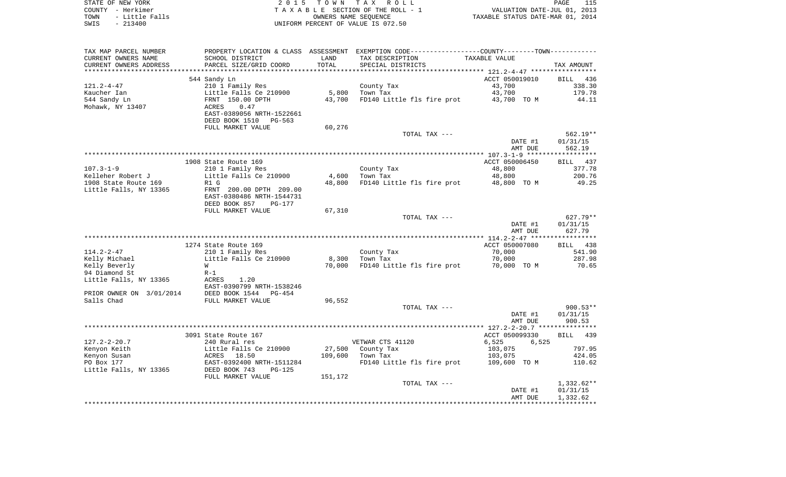| STATE OF NEW YORK      | 2015 TOWN TAX ROLL                 | PAGE                             |
|------------------------|------------------------------------|----------------------------------|
| COUNTY<br>– Herkimer   | TAXABLE SECTION OF THE ROLL - 1    | VALUATION DATE-JUL 01, 2013      |
| - Little Falls<br>TOWN | OWNERS NAME SEOUENCE               | TAXABLE STATUS DATE-MAR 01, 2014 |
| $-213400$<br>SWIS      | UNIFORM PERCENT OF VALUE IS 072.50 |                                  |

 $\frac{115}{2013}$ <br>2014

| TAX MAP PARCEL NUMBER    |                                             |         | PROPERTY LOCATION & CLASS ASSESSMENT EXEMPTION CODE---------------COUNTY-------TOWN---------- |                |                       |
|--------------------------|---------------------------------------------|---------|-----------------------------------------------------------------------------------------------|----------------|-----------------------|
| CURRENT OWNERS NAME      | SCHOOL DISTRICT                             | LAND    | TAX DESCRIPTION                                                                               | TAXABLE VALUE  |                       |
| CURRENT OWNERS ADDRESS   | PARCEL SIZE/GRID COORD                      | TOTAL   | SPECIAL DISTRICTS                                                                             |                | TAX AMOUNT            |
|                          |                                             |         |                                                                                               |                |                       |
|                          | 544 Sandy Ln                                |         |                                                                                               | ACCT 050019010 | <b>BILL</b><br>436    |
| $121.2 - 4 - 47$         | 210 1 Family Res                            |         | County Tax                                                                                    | 43,700         | 338.30                |
| Kaucher Ian              | Little Falls Ce 210900                      | 5,800   | Town Tax                                                                                      | 43,700         | 179.78                |
| 544 Sandy Ln             | FRNT 150.00 DPTH                            | 43,700  | FD140 Little fls fire prot                                                                    | 43,700 TO M    | 44.11                 |
| Mohawk, NY 13407         | 0.47<br>ACRES                               |         |                                                                                               |                |                       |
|                          | EAST-0389056 NRTH-1522661                   |         |                                                                                               |                |                       |
|                          | DEED BOOK 1510<br>PG-563                    |         |                                                                                               |                |                       |
|                          | FULL MARKET VALUE                           | 60,276  |                                                                                               |                |                       |
|                          |                                             |         | TOTAL TAX ---                                                                                 |                | $562.19**$            |
|                          |                                             |         |                                                                                               | DATE #1        | 01/31/15              |
|                          |                                             |         |                                                                                               | AMT DUE        | 562.19                |
|                          |                                             |         |                                                                                               |                | * * * * * * * * * * * |
|                          | 1908 State Route 169                        |         |                                                                                               | ACCT 050006450 | BILL 437              |
| $107.3 - 1 - 9$          | 210 1 Family Res                            |         | County Tax                                                                                    | 48,800         | 377.78                |
| Kelleher Robert J        | Little Falls Ce 210900                      | 4,600   | Town Tax                                                                                      | 48,800         | 200.76                |
| 1908 State Route 169     | R1 G                                        | 48,800  | FD140 Little fls fire prot                                                                    | 48,800 TO M    | 49.25                 |
| Little Falls, NY 13365   | FRNT 200.00 DPTH 209.00                     |         |                                                                                               |                |                       |
|                          | EAST-0380486 NRTH-1544731                   |         |                                                                                               |                |                       |
|                          | DEED BOOK 857<br>PG-177                     |         |                                                                                               |                |                       |
|                          | FULL MARKET VALUE                           | 67,310  |                                                                                               |                |                       |
|                          |                                             |         | TOTAL TAX ---                                                                                 |                | $627.79**$            |
|                          |                                             |         |                                                                                               | DATE #1        | 01/31/15              |
|                          |                                             |         |                                                                                               | AMT DUE        | 627.79                |
|                          |                                             |         |                                                                                               |                |                       |
|                          | 1274 State Route 169                        |         |                                                                                               | ACCT 050007080 | BILL 438              |
| $114.2 - 2 - 47$         | 210 1 Family Res                            |         | County Tax                                                                                    | 70,000         | 541.90                |
| Kelly Michael            | Little Falls Ce 210900                      | 8,300   | Town Tax                                                                                      | 70,000         | 287.98                |
| Kelly Beverly            | W                                           | 70,000  | FD140 Little fls fire prot                                                                    | 70,000 TO M    | 70.65                 |
| 94 Diamond St            | $R-1$                                       |         |                                                                                               |                |                       |
|                          |                                             |         |                                                                                               |                |                       |
| Little Falls, NY 13365   | ACRES<br>1.20                               |         |                                                                                               |                |                       |
| PRIOR OWNER ON 3/01/2014 | EAST-0390799 NRTH-1538246<br>DEED BOOK 1544 |         |                                                                                               |                |                       |
| Salls Chad               | PG-454<br>FULL MARKET VALUE                 | 96,552  |                                                                                               |                |                       |
|                          |                                             |         |                                                                                               |                | $900.53**$            |
|                          |                                             |         | TOTAL TAX ---                                                                                 | DATE #1        | 01/31/15              |
|                          |                                             |         |                                                                                               |                | 900.53                |
|                          |                                             |         |                                                                                               | AMT DUE        |                       |
|                          | 3091 State Route 167                        |         |                                                                                               | ACCT 050099330 | 439<br>BILL           |
| $127.2 - 2 - 20.7$       |                                             |         | VETWAR CTS 41120                                                                              | 6,525          |                       |
|                          | 240 Rural res                               |         |                                                                                               | 6,525          |                       |
| Kenyon Keith             | Little Falls Ce 210900                      | 27,500  | County Tax                                                                                    | 103,075        | 797.95                |
| Kenyon Susan             | ACRES 18.50                                 | 109,600 | Town Tax                                                                                      | 103,075        | 424.05                |
| PO Box 177               | EAST-0392400 NRTH-1511284                   |         | FD140 Little fls fire prot                                                                    | 109,600 TO M   | 110.62                |
| Little Falls, NY 13365   | DEED BOOK 743<br>$PG-125$                   |         |                                                                                               |                |                       |
|                          | FULL MARKET VALUE                           | 151,172 |                                                                                               |                |                       |
|                          |                                             |         | TOTAL TAX ---                                                                                 |                | $1,332.62**$          |
|                          |                                             |         |                                                                                               | DATE #1        | 01/31/15              |
|                          |                                             |         |                                                                                               | AMT DUE        | 1,332.62              |
|                          |                                             |         |                                                                                               |                |                       |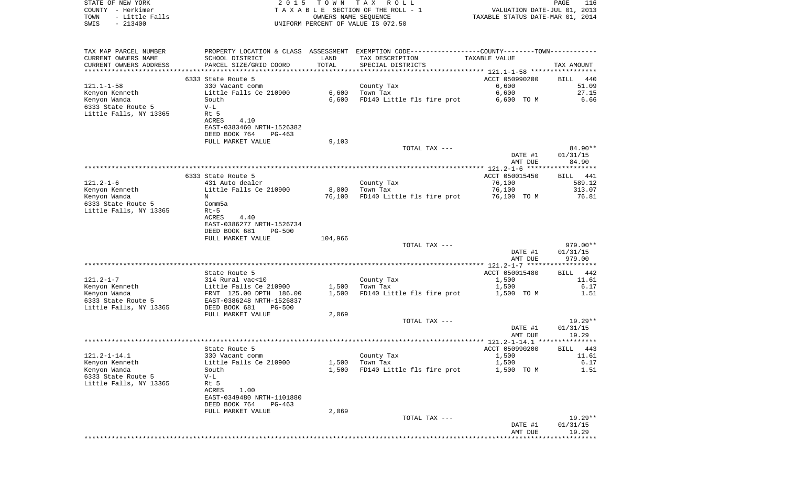| COUNTY - Herkimer<br>TOWN<br>- Little Falls<br>$-213400$<br>SWIS |                                                             | OWNERS NAME SEQUENCE | T A X A B L E SECTION OF THE ROLL - 1<br>UNIFORM PERCENT OF VALUE IS 072.50                      | VALUATION DATE-JUL 01, 2013<br>TAXABLE STATUS DATE-MAR 01, 2014 |                      |
|------------------------------------------------------------------|-------------------------------------------------------------|----------------------|--------------------------------------------------------------------------------------------------|-----------------------------------------------------------------|----------------------|
|                                                                  |                                                             |                      |                                                                                                  |                                                                 |                      |
| TAX MAP PARCEL NUMBER                                            |                                                             |                      | PROPERTY LOCATION & CLASS ASSESSMENT EXEMPTION CODE-----------------COUNTY--------TOWN---------- |                                                                 |                      |
| CURRENT OWNERS NAME                                              | SCHOOL DISTRICT                                             | LAND                 | TAX DESCRIPTION                                                                                  | TAXABLE VALUE                                                   |                      |
| CURRENT OWNERS ADDRESS                                           | PARCEL SIZE/GRID COORD                                      | TOTAL                | SPECIAL DISTRICTS                                                                                |                                                                 | TAX AMOUNT           |
|                                                                  | 6333 State Route 5                                          |                      |                                                                                                  | ACCT 050990200                                                  |                      |
| 121.1-1-58                                                       | 330 Vacant comm                                             |                      | County Tax                                                                                       | 6,600                                                           | BILL<br>440<br>51.09 |
| Kenyon Kenneth                                                   | Little Falls Ce 210900                                      | 6,600                | Town Tax                                                                                         | 6,600                                                           | 27.15                |
| Kenyon Wanda                                                     | South                                                       | 6,600                | FD140 Little fls fire prot                                                                       | 6,600 TO M                                                      | 6.66                 |
| 6333 State Route 5                                               | $V-L$                                                       |                      |                                                                                                  |                                                                 |                      |
| Little Falls, NY 13365                                           | Rt 5                                                        |                      |                                                                                                  |                                                                 |                      |
|                                                                  | ACRES<br>4.10<br>EAST-0383460 NRTH-1526382                  |                      |                                                                                                  |                                                                 |                      |
|                                                                  | DEED BOOK 764<br>PG-463                                     |                      |                                                                                                  |                                                                 |                      |
|                                                                  | FULL MARKET VALUE                                           | 9,103                |                                                                                                  |                                                                 |                      |
|                                                                  |                                                             |                      | TOTAL TAX ---                                                                                    |                                                                 | 84.90**              |
|                                                                  |                                                             |                      |                                                                                                  | DATE #1                                                         | 01/31/15             |
|                                                                  |                                                             |                      |                                                                                                  | AMT DUE                                                         | 84.90                |
|                                                                  | 6333 State Route 5                                          |                      |                                                                                                  | ACCT 050015450                                                  | BILL 441             |
| 121.2-1-6                                                        | 431 Auto dealer                                             |                      | County Tax                                                                                       | 76,100                                                          | 589.12               |
| Kenyon Kenneth                                                   | Little Falls Ce 210900                                      | 8,000                | Town Tax                                                                                         | 76,100                                                          | 313.07               |
| Kenyon Wanda                                                     | N                                                           | 76,100               | FD140 Little fls fire prot                                                                       | 76,100 TO M                                                     | 76.81                |
| 6333 State Route 5                                               | Comm5a                                                      |                      |                                                                                                  |                                                                 |                      |
| Little Falls, NY 13365                                           | $Rt-5$<br>4.40<br>ACRES                                     |                      |                                                                                                  |                                                                 |                      |
|                                                                  | EAST-0386277 NRTH-1526734                                   |                      |                                                                                                  |                                                                 |                      |
|                                                                  | DEED BOOK 681<br><b>PG-500</b>                              |                      |                                                                                                  |                                                                 |                      |
|                                                                  | FULL MARKET VALUE                                           | 104,966              |                                                                                                  |                                                                 |                      |
|                                                                  |                                                             |                      | TOTAL TAX ---                                                                                    |                                                                 | 979.00**             |
|                                                                  |                                                             |                      |                                                                                                  | DATE #1<br>AMT DUE                                              | 01/31/15<br>979.00   |
|                                                                  |                                                             |                      |                                                                                                  |                                                                 |                      |
|                                                                  | State Route 5                                               |                      |                                                                                                  | ACCT 050015480                                                  | 442<br>BILL          |
| 121.2-1-7                                                        | 314 Rural vac<10                                            |                      | County Tax                                                                                       | 1,500                                                           | 11.61                |
| Kenyon Kenneth                                                   | Little Falls Ce 210900                                      | 1,500                | Town Tax                                                                                         | 1,500                                                           | 6.17                 |
| Kenyon Wanda                                                     | FRNT 125.00 DPTH 186.00                                     | 1,500                | FD140 Little fls fire prot                                                                       | 1,500 TO M                                                      | 1.51                 |
| 6333 State Route 5<br>Little Falls, NY 13365                     | EAST-0386248 NRTH-1526837<br>DEED BOOK 681<br><b>PG-500</b> |                      |                                                                                                  |                                                                 |                      |
|                                                                  | FULL MARKET VALUE                                           | 2,069                |                                                                                                  |                                                                 |                      |
|                                                                  |                                                             |                      | TOTAL TAX ---                                                                                    |                                                                 | 19.29**              |
|                                                                  |                                                             |                      |                                                                                                  | DATE #1                                                         | 01/31/15             |
|                                                                  |                                                             |                      |                                                                                                  | AMT DUE                                                         | 19.29                |
|                                                                  | State Route 5                                               |                      |                                                                                                  | ACCT 050990200                                                  | 443<br>BILL          |
| 121.2-1-14.1                                                     | 330 Vacant comm                                             |                      | County Tax                                                                                       | 1,500                                                           | 11.61                |
| Kenyon Kenneth                                                   | Little Falls Ce 210900                                      | 1,500                | Town Tax                                                                                         | 1,500                                                           | 6.17                 |
| Kenyon Wanda                                                     | South                                                       | 1,500                | FD140 Little fls fire prot                                                                       | 1,500 TO M                                                      | 1.51                 |
| 6333 State Route 5                                               | $V-L$                                                       |                      |                                                                                                  |                                                                 |                      |
| Little Falls, NY 13365                                           | Rt 5                                                        |                      |                                                                                                  |                                                                 |                      |
|                                                                  | ACRES<br>1.00<br>EAST-0349480 NRTH-1101880                  |                      |                                                                                                  |                                                                 |                      |
|                                                                  | DEED BOOK 764<br>PG-463                                     |                      |                                                                                                  |                                                                 |                      |
|                                                                  | FULL MARKET VALUE                                           | 2,069                |                                                                                                  |                                                                 |                      |
|                                                                  |                                                             |                      | TOTAL TAX ---                                                                                    |                                                                 | $19.29**$            |
|                                                                  |                                                             |                      |                                                                                                  | DATE #1                                                         | 01/31/15             |
|                                                                  |                                                             |                      |                                                                                                  | AMT DUE                                                         | 19.29<br>*******     |

PAGE 116

STATE OF NEW YORK **EXECUTE:**  $2015$  TOWN TAX ROLL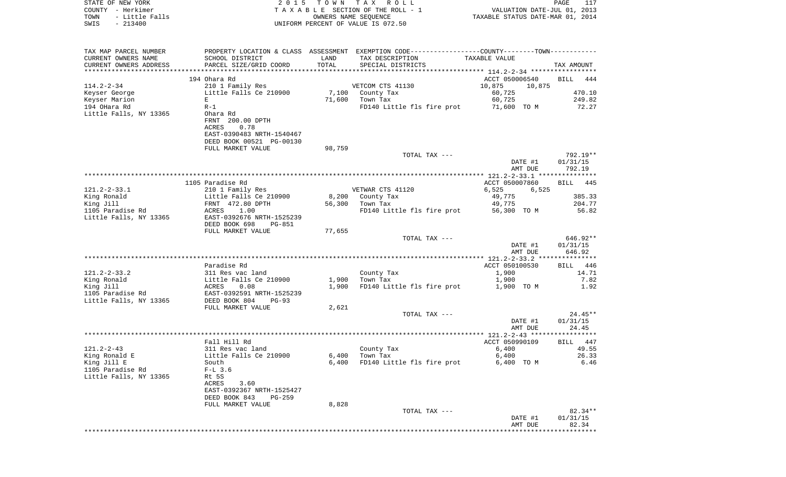| STATE OF NEW YORK<br>COUNTY - Herkimer<br>- Little Falls<br>TOWN<br>$-213400$<br>SWIS | 2 0 1 5                                                                                                                          |                | TOWN TAX ROLL<br>TAXABLE SECTION OF THE ROLL - 1<br>OWNERS NAME SEQUENCE<br>UNIFORM PERCENT OF VALUE IS 072.50   | VALUATION DATE-JUL 01, 2013<br>TAXABLE STATUS DATE-MAR 01, 2014 | PAGE<br>117                      |
|---------------------------------------------------------------------------------------|----------------------------------------------------------------------------------------------------------------------------------|----------------|------------------------------------------------------------------------------------------------------------------|-----------------------------------------------------------------|----------------------------------|
| TAX MAP PARCEL NUMBER<br>CURRENT OWNERS NAME                                          | SCHOOL DISTRICT                                                                                                                  | LAND           | PROPERTY LOCATION & CLASS ASSESSMENT EXEMPTION CODE---------------COUNTY-------TOWN----------<br>TAX DESCRIPTION | TAXABLE VALUE                                                   |                                  |
| CURRENT OWNERS ADDRESS<br>*************************                                   | PARCEL SIZE/GRID COORD                                                                                                           | TOTAL          | SPECIAL DISTRICTS                                                                                                |                                                                 | TAX AMOUNT                       |
|                                                                                       | 194 Ohara Rd                                                                                                                     |                |                                                                                                                  | ACCT 050006540                                                  | <b>BILL</b><br>444               |
| $114.2 - 2 - 34$                                                                      | 210 1 Family Res                                                                                                                 |                | VETCOM CTS 41130                                                                                                 | 10,875<br>10,875                                                |                                  |
| Keyser George                                                                         | Little Falls Ce 210900                                                                                                           |                | 7,100 County Tax                                                                                                 | 60,725                                                          | 470.10                           |
| Keyser Marion<br>194 OHara Rd                                                         | E<br>$R-1$                                                                                                                       | 71,600         | Town Tax<br>FD140 Little fls fire prot                                                                           | 60,725<br>71,600 TO M                                           | 249.82<br>72.27                  |
| Little Falls, NY 13365                                                                | Ohara Rd<br>FRNT 200.00 DPTH<br>ACRES<br>0.78<br>EAST-0390483 NRTH-1540467<br>DEED BOOK 00521 PG-00130                           |                |                                                                                                                  |                                                                 |                                  |
|                                                                                       | FULL MARKET VALUE                                                                                                                | 98,759         |                                                                                                                  |                                                                 |                                  |
|                                                                                       |                                                                                                                                  |                | TOTAL TAX ---                                                                                                    | DATE #1<br>AMT DUE                                              | $792.19**$<br>01/31/15<br>792.19 |
|                                                                                       | 1105 Paradise Rd                                                                                                                 |                |                                                                                                                  | ACCT 050007860                                                  | 445<br>BILL                      |
| $121.2 - 2 - 33.1$                                                                    | 210 1 Family Res                                                                                                                 |                | VETWAR CTS 41120                                                                                                 | 6,525<br>6,525                                                  |                                  |
| King Ronald                                                                           | Little Falls Ce 210900                                                                                                           | 8,200          | County Tax                                                                                                       | 49,775                                                          | 385.33                           |
| King Jill<br>1105 Paradise Rd                                                         | FRNT 472.80 DPTH<br>ACRES<br>1.00                                                                                                | 56,300         | Town Tax<br>FD140 Little fls fire prot                                                                           | 49,775<br>56,300 TO M                                           | 204.77<br>56.82                  |
| Little Falls, NY 13365                                                                | EAST-0392676 NRTH-1525239<br>DEED BOOK 698<br>PG-851                                                                             |                |                                                                                                                  |                                                                 |                                  |
|                                                                                       | FULL MARKET VALUE                                                                                                                | 77,655         | TOTAL TAX ---                                                                                                    | DATE #1<br>AMT DUE                                              | 646.92**<br>01/31/15<br>646.92   |
|                                                                                       |                                                                                                                                  |                |                                                                                                                  |                                                                 |                                  |
| $121.2 - 2 - 33.2$                                                                    | Paradise Rd<br>311 Res vac land                                                                                                  |                | County Tax                                                                                                       | ACCT 050100530<br>1,900                                         | 446<br>BILL<br>14.71             |
| King Ronald                                                                           | Little Falls Ce 210900                                                                                                           | 1,900          | Town Tax                                                                                                         | 1,900                                                           | 7.82                             |
| King Jill<br>1105 Paradise Rd<br>Little Falls, NY 13365                               | ACRES<br>0.08<br>EAST-0392591 NRTH-1525239<br>DEED BOOK 804<br>$PG-93$                                                           | 1,900          | FD140 Little fls fire prot                                                                                       | 1,900 TO M                                                      | 1.92                             |
|                                                                                       | FULL MARKET VALUE                                                                                                                | 2,621          |                                                                                                                  |                                                                 |                                  |
|                                                                                       |                                                                                                                                  |                | TOTAL TAX ---                                                                                                    | DATE #1<br>AMT DUE                                              | $24.45**$<br>01/31/15<br>24.45   |
|                                                                                       | Fall Hill Rd                                                                                                                     |                |                                                                                                                  | ACCT 050990109                                                  | 447<br>BILL                      |
| $121.2 - 2 - 43$                                                                      | 311 Res vac land                                                                                                                 |                | County Tax                                                                                                       | 6,400                                                           | 49.55                            |
| King Ronald E                                                                         | Little Falls Ce 210900                                                                                                           | 6,400          | Town Tax                                                                                                         | 6,400                                                           | 26.33                            |
| King Jill E<br>1105 Paradise Rd<br>Little Falls, NY 13365                             | South<br>$F-L$ 3.6<br>Rt 5S<br>ACRES<br>3.60<br>EAST-0392367 NRTH-1525427<br>DEED BOOK 843<br><b>PG-259</b><br>FULL MARKET VALUE | 6,400<br>8,828 | FD140 Little fls fire prot                                                                                       | 6,400 TO M                                                      | 6.46                             |
|                                                                                       |                                                                                                                                  |                | TOTAL TAX ---                                                                                                    |                                                                 | $82.34**$                        |
|                                                                                       |                                                                                                                                  |                |                                                                                                                  | DATE #1<br>AMT DUE<br>*******************************           | 01/31/15<br>82.34                |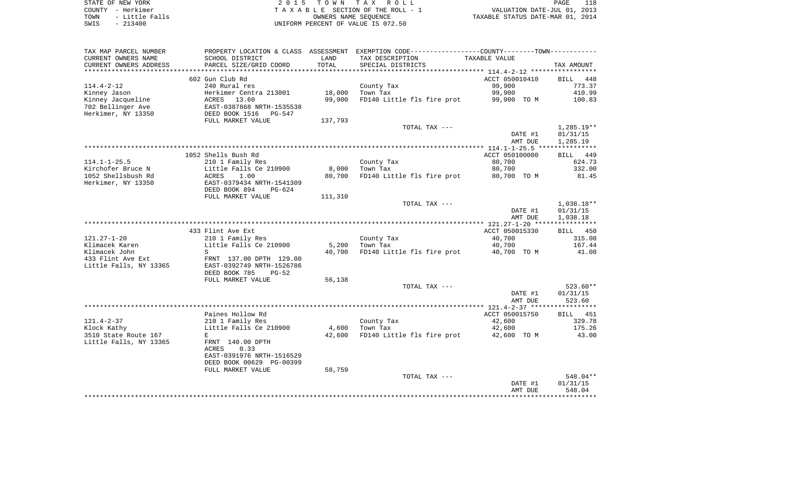| STATE OF NEW YORK      | 2015 TOWN TAX ROLL                 | 118<br>PAGE                      |
|------------------------|------------------------------------|----------------------------------|
| COUNTY - Herkimer      | TAXABLE SECTION OF THE ROLL - 1    | VALUATION DATE-JUL 01, 2013      |
| - Little Falls<br>TOWN | OWNERS NAME SEOUENCE               | TAXABLE STATUS DATE-MAR 01, 2014 |
| - 213400<br>SWIS       | UNIFORM PERCENT OF VALUE IS 072.50 |                                  |

|  | PAGE.                          |  |
|--|--------------------------------|--|
|  | VALUATION DATE-JUL 01, 2013    |  |
|  | XABLE STATUS DATE-MAR 01, 2014 |  |

| TAX MAP PARCEL NUMBER  | PROPERTY LOCATION & CLASS ASSESSMENT |         | EXEMPTION CODE-----------------COUNTY--------TOWN----------- |                |                    |
|------------------------|--------------------------------------|---------|--------------------------------------------------------------|----------------|--------------------|
| CURRENT OWNERS NAME    | SCHOOL DISTRICT                      | LAND    | TAX DESCRIPTION                                              | TAXABLE VALUE  |                    |
| CURRENT OWNERS ADDRESS | PARCEL SIZE/GRID COORD               | TOTAL   | SPECIAL DISTRICTS                                            |                | TAX AMOUNT         |
| ********************** |                                      |         |                                                              |                |                    |
|                        | 602 Gun Club Rd                      |         |                                                              | ACCT 050010410 | <b>BILL</b><br>448 |
| $114.4 - 2 - 12$       | 240 Rural res                        |         | County Tax                                                   | 99,900         | 773.37             |
| Kinney Jason           | Herkimer Centra 213001               | 18,000  | Town Tax                                                     | 99,900         | 410.99             |
| Kinney Jacqueline      | ACRES<br>13.60                       | 99,900  | FD140 Little fls fire prot                                   | 99,900 TO M    | 100.83             |
| 702 Bellinger Ave      | EAST-0387868 NRTH-1535538            |         |                                                              |                |                    |
| Herkimer, NY 13350     | DEED BOOK 1516<br>PG-547             |         |                                                              |                |                    |
|                        | FULL MARKET VALUE                    | 137,793 |                                                              |                |                    |
|                        |                                      |         | TOTAL TAX ---                                                |                | $1,285.19**$       |
|                        |                                      |         |                                                              | DATE #1        | 01/31/15           |
|                        |                                      |         |                                                              | AMT DUE        | 1,285.19           |
|                        |                                      |         |                                                              |                |                    |
|                        | 1052 Shells Bush Rd                  |         |                                                              | ACCT 050100000 | 449<br>BILL        |
| $114.1 - 1 - 25.5$     | 210 1 Family Res                     |         | County Tax                                                   | 80,700         | 624.73             |
| Kirchofer Bruce N      | Little Falls Ce 210900               | 8,000   | Town Tax                                                     | 80,700         | 332.00             |
| 1052 Shellsbush Rd     | <b>ACRES</b><br>1.00                 | 80,700  | FD140 Little fls fire prot                                   | 80,700 TO M    | 81.45              |
| Herkimer, NY 13350     | EAST-0379434 NRTH-1541309            |         |                                                              |                |                    |
|                        | DEED BOOK 894<br>$PG-624$            |         |                                                              |                |                    |
|                        | FULL MARKET VALUE                    | 111,310 |                                                              |                |                    |
|                        |                                      |         | TOTAL TAX ---                                                |                | $1,038.18**$       |
|                        |                                      |         |                                                              | DATE #1        | 01/31/15           |
|                        |                                      |         |                                                              | AMT DUE        | 1,038.18           |
|                        |                                      |         |                                                              |                |                    |
|                        | 433 Flint Ave Ext                    |         |                                                              | ACCT 050015330 | 450<br>BILL        |
| $121.27 - 1 - 20$      | 210 1 Family Res                     |         | County Tax                                                   | 40,700         | 315.08             |
| Klimacek Karen         | Little Falls Ce 210900               | 5,200   | Town Tax                                                     | 40,700         | 167.44             |
| Klimacek John          | S                                    | 40,700  | FD140 Little fls fire prot                                   | 40,700 TO M    | 41.08              |
| 433 Flint Ave Ext      | FRNT 137.00 DPTH 129.00              |         |                                                              |                |                    |
| Little Falls, NY 13365 | EAST-0392749 NRTH-1526786            |         |                                                              |                |                    |
|                        | DEED BOOK 785<br>$PG-52$             |         |                                                              |                |                    |
|                        | FULL MARKET VALUE                    | 56,138  |                                                              |                |                    |
|                        |                                      |         | TOTAL TAX ---                                                |                | $523.60**$         |
|                        |                                      |         |                                                              | DATE #1        | 01/31/15           |
|                        |                                      |         |                                                              | AMT DUE        | 523.60             |
|                        |                                      |         |                                                              |                |                    |
|                        | Paines Hollow Rd                     |         |                                                              | ACCT 050015750 | <b>BILL</b> 451    |
| $121.4 - 2 - 37$       |                                      |         |                                                              |                |                    |
|                        | 210 1 Family Res                     |         | County Tax                                                   | 42,600         | 329.78             |
| Klock Kathy            | Little Falls Ce 210900               | 4,600   | Town Tax                                                     | 42,600         | 175.26             |
| 3510 State Route 167   | E                                    | 42,600  | FD140 Little fls fire prot                                   | 42,600 TO M    | 43.00              |
| Little Falls, NY 13365 | FRNT 140.00 DPTH                     |         |                                                              |                |                    |
|                        | 0.33<br><b>ACRES</b>                 |         |                                                              |                |                    |
|                        | EAST-0391976 NRTH-1516529            |         |                                                              |                |                    |
|                        | DEED BOOK 00629 PG-00399             |         |                                                              |                |                    |
|                        | FULL MARKET VALUE                    | 58,759  |                                                              |                |                    |
|                        |                                      |         | TOTAL TAX ---                                                |                | 548.04**           |
|                        |                                      |         |                                                              | DATE #1        | 01/31/15           |
|                        |                                      |         |                                                              | AMT DUE        | 548.04             |
|                        |                                      |         |                                                              |                |                    |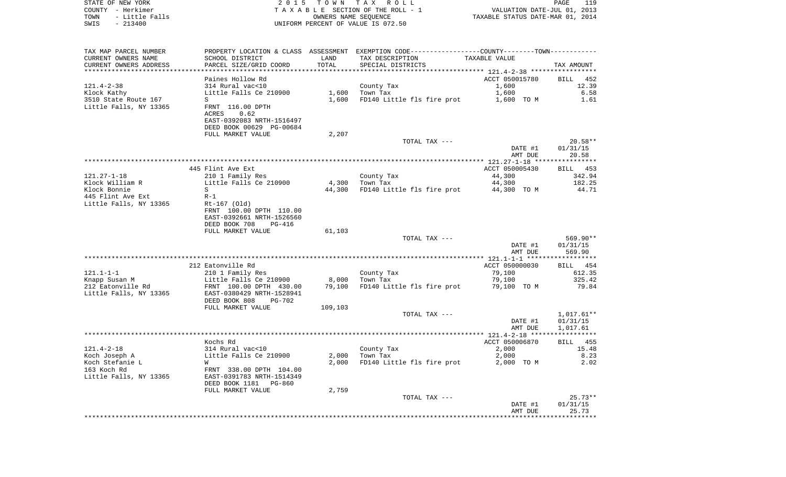| STATE OF NEW YORK        | 2 0 1 5                   |                      | TOWN TAX ROLL                                                                                 |                                                | 119<br>PAGE           |
|--------------------------|---------------------------|----------------------|-----------------------------------------------------------------------------------------------|------------------------------------------------|-----------------------|
| COUNTY - Herkimer        |                           |                      | TAXABLE SECTION OF THE ROLL - 1                                                               | VALUATION DATE-JUL 01, 2013                    |                       |
| TOWN<br>- Little Falls   |                           | OWNERS NAME SEQUENCE |                                                                                               | TAXABLE STATUS DATE-MAR 01, 2014               |                       |
| $-213400$<br>SWIS        |                           |                      | UNIFORM PERCENT OF VALUE IS 072.50                                                            |                                                |                       |
|                          |                           |                      |                                                                                               |                                                |                       |
|                          |                           |                      |                                                                                               |                                                |                       |
| TAX MAP PARCEL NUMBER    |                           |                      | PROPERTY LOCATION & CLASS ASSESSMENT EXEMPTION CODE---------------COUNTY-------TOWN---------- |                                                |                       |
| CURRENT OWNERS NAME      | SCHOOL DISTRICT           | LAND                 | TAX DESCRIPTION                                                                               | TAXABLE VALUE                                  |                       |
| CURRENT OWNERS ADDRESS   | PARCEL SIZE/GRID COORD    | TOTAL                | SPECIAL DISTRICTS                                                                             |                                                | TAX AMOUNT            |
| ************************ |                           |                      |                                                                                               |                                                |                       |
|                          | Paines Hollow Rd          |                      |                                                                                               | ACCT 050015780                                 | BILL<br>452           |
| $121.4 - 2 - 38$         | 314 Rural vac<10          |                      | County Tax                                                                                    | 1,600                                          | 12.39                 |
| Klock Kathy              | Little Falls Ce 210900    | 1,600                | Town Tax                                                                                      | 1,600                                          | 6.58                  |
| 3510 State Route 167     | S                         | 1,600                | FD140 Little fls fire prot                                                                    | 1,600 TO M                                     | 1.61                  |
| Little Falls, NY 13365   | FRNT 116.00 DPTH          |                      |                                                                                               |                                                |                       |
|                          | ACRES<br>0.62             |                      |                                                                                               |                                                |                       |
|                          | EAST-0392083 NRTH-1516497 |                      |                                                                                               |                                                |                       |
|                          | DEED BOOK 00629 PG-00684  |                      |                                                                                               |                                                |                       |
|                          | FULL MARKET VALUE         | 2,207                | TOTAL TAX ---                                                                                 |                                                | $20.58**$             |
|                          |                           |                      |                                                                                               | DATE #1                                        | 01/31/15              |
|                          |                           |                      |                                                                                               | AMT DUE                                        | 20.58                 |
|                          |                           |                      |                                                                                               |                                                |                       |
|                          | 445 Flint Ave Ext         |                      |                                                                                               | ACCT 050005430                                 | BILL 453              |
| $121.27 - 1 - 18$        | 210 1 Family Res          |                      | County Tax                                                                                    | 44,300                                         | 342.94                |
| Klock William R          | Little Falls Ce 210900    | 4,300                | Town Tax                                                                                      | 44,300                                         | 182.25                |
| Klock Bonnie             | S                         | 44,300               | FD140 Little fls fire prot                                                                    | 44,300 TO M                                    | 44.71                 |
| 445 Flint Ave Ext        | $R-1$                     |                      |                                                                                               |                                                |                       |
| Little Falls, NY 13365   | Rt-167 (Old)              |                      |                                                                                               |                                                |                       |
|                          | FRNT 100.00 DPTH 110.00   |                      |                                                                                               |                                                |                       |
|                          | EAST-0392661 NRTH-1526560 |                      |                                                                                               |                                                |                       |
|                          | DEED BOOK 708<br>PG-416   |                      |                                                                                               |                                                |                       |
|                          | FULL MARKET VALUE         | 61,103               |                                                                                               |                                                |                       |
|                          |                           |                      | TOTAL TAX ---                                                                                 |                                                | 569.90**              |
|                          |                           |                      |                                                                                               | DATE #1                                        | 01/31/15              |
|                          |                           |                      |                                                                                               | AMT DUE                                        | 569.90                |
|                          |                           |                      |                                                                                               |                                                |                       |
|                          | 212 Eatonville Rd         |                      |                                                                                               | ACCT 050000030                                 | BILL 454              |
| $121.1 - 1 - 1$          | 210 1 Family Res          |                      | County Tax                                                                                    | 79,100                                         | 612.35                |
| Knapp Susan M            | Little Falls Ce 210900    | 8,000                | Town Tax                                                                                      | 79,100                                         | 325.42                |
| 212 Eatonville Rd        | FRNT 100.00 DPTH 430.00   | 79,100               | FD140 Little fls fire prot                                                                    | 79,100 TO M                                    | 79.84                 |
| Little Falls, NY 13365   | EAST-0380429 NRTH-1528941 |                      |                                                                                               |                                                |                       |
|                          | DEED BOOK 808<br>PG-702   |                      |                                                                                               |                                                |                       |
|                          | FULL MARKET VALUE         | 109,103              |                                                                                               |                                                |                       |
|                          |                           |                      | TOTAL TAX ---                                                                                 |                                                | $1,017.61**$          |
|                          |                           |                      |                                                                                               | DATE #1                                        | 01/31/15              |
|                          |                           |                      |                                                                                               | AMT DUE<br>***************** 121.4-2-18 ****** | 1,017.61<br>* * * * * |
|                          | Kochs Rd                  |                      |                                                                                               | ACCT 050006870                                 | 455<br>BILL           |
| $121.4 - 2 - 18$         | 314 Rural vac<10          |                      | County Tax                                                                                    | 2,000                                          | 15.48                 |
| Koch Joseph A            | Little Falls Ce 210900    | 2,000                | Town Tax                                                                                      | 2,000                                          | 8.23                  |
| Koch Stefanie L          | W                         | 2,000                | FD140 Little fls fire prot                                                                    | 2,000 TO M                                     | 2.02                  |
| 163 Koch Rd              | FRNT 338.00 DPTH 104.00   |                      |                                                                                               |                                                |                       |
| Little Falls, NY 13365   | EAST-0391783 NRTH-1514349 |                      |                                                                                               |                                                |                       |
|                          | DEED BOOK 1181<br>PG-860  |                      |                                                                                               |                                                |                       |
|                          | FULL MARKET VALUE         | 2,759                |                                                                                               |                                                |                       |
|                          |                           |                      | TOTAL TAX ---                                                                                 |                                                | $25.73**$             |
|                          |                           |                      |                                                                                               | DATE #1                                        | 01/31/15              |
|                          |                           |                      |                                                                                               | AMT DUE                                        | 25.73                 |
|                          |                           |                      |                                                                                               |                                                |                       |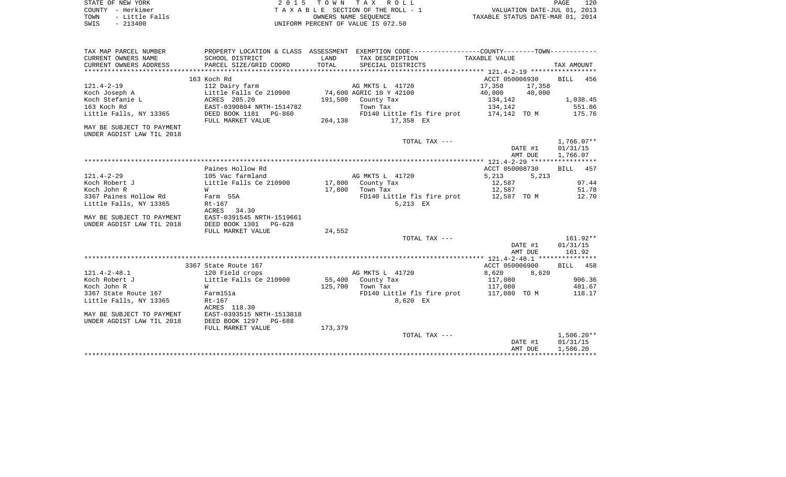|      | STATE OF NEW YORK | 2015 TOWN TAX ROLL                 | PAGE                             | 120 |
|------|-------------------|------------------------------------|----------------------------------|-----|
|      | COUNTY - Herkimer | TAXABLE SECTION OF THE ROLL - 1    | VALUATION DATE-JUL 01, 2013      |     |
| TOWN | - Little Falls    | OWNERS NAME SEOUENCE               | TAXABLE STATUS DATE-MAR 01, 2014 |     |
| SWIS | $-213400$         | UNIFORM PERCENT OF VALUE IS 072.50 |                                  |     |

| TAX MAP PARCEL NUMBER     |                                          |          | PROPERTY LOCATION & CLASS ASSESSMENT EXEMPTION CODE---------------COUNTY-------TOWN---------- |                  |              |
|---------------------------|------------------------------------------|----------|-----------------------------------------------------------------------------------------------|------------------|--------------|
| CURRENT OWNERS NAME       | SCHOOL DISTRICT                          | LAND     | TAX DESCRIPTION                                                                               | TAXABLE VALUE    |              |
| CURRENT OWNERS ADDRESS    | PARCEL SIZE/GRID COORD                   | TOTAL    | SPECIAL DISTRICTS                                                                             |                  | TAX AMOUNT   |
|                           |                                          |          |                                                                                               |                  |              |
|                           | 163 Koch Rd                              |          |                                                                                               | ACCT 050006930   | BILL<br>456  |
| $121.4 - 2 - 19$          | 112 Dairy farm                           |          | AG MKTS L 41720                                                                               | 17,358<br>17,358 |              |
| Koch Joseph A             | Little Falls Ce 210900                   |          | 74,600 AGRIC 10 Y 42100                                                                       | 40,000<br>40,000 |              |
| Koch Stefanie L           | ACRES 205.20                             |          | 191,500 County Tax                                                                            | 134,142          | 1,038.45     |
| 163 Koch Rd               | EAST-0390804 NRTH-1514782                |          | Town Tax                                                                                      | 134,142          | 551.86       |
| Little Falls, NY 13365    | DEED BOOK 1181    PG-860                 |          | FD140 Little fls fire prot 174,142 TO M                                                       |                  | 175.76       |
|                           | FULL MARKET VALUE                        | 264, 138 | 17,358 EX                                                                                     |                  |              |
| MAY BE SUBJECT TO PAYMENT |                                          |          |                                                                                               |                  |              |
| UNDER AGDIST LAW TIL 2018 |                                          |          |                                                                                               |                  |              |
|                           |                                          |          | TOTAL TAX ---                                                                                 |                  | $1,766.07**$ |
|                           |                                          |          |                                                                                               | DATE #1          | 01/31/15     |
|                           |                                          |          |                                                                                               | AMT DUE          | 1,766.07     |
|                           |                                          |          |                                                                                               |                  |              |
|                           | Paines Hollow Rd                         |          |                                                                                               | ACCT 050008730   | BILL 457     |
| $121.4 - 2 - 29$          | 105 Vac farmland                         |          | AG MKTS L 41720                                                                               | 5,213<br>5.213   |              |
| Koch Robert J             | Little Falls Ce 210900 17,800 County Tax |          |                                                                                               | 12,587           | 97.44        |
| Koch John R               | W                                        |          | 17,800 Town Tax                                                                               | 12,587           | 51.78        |
| 3367 Paines Hollow Rd     | Farm 55A                                 |          | FD140 Little fls fire prot 12,587 TO M                                                        |                  | 12.70        |
| Little Falls, NY 13365    | Rt-167                                   |          | 5,213 EX                                                                                      |                  |              |
|                           | ACRES 34.30                              |          |                                                                                               |                  |              |
| MAY BE SUBJECT TO PAYMENT | EAST-0391545 NRTH-1519661                |          |                                                                                               |                  |              |
| UNDER AGDIST LAW TIL 2018 | DEED BOOK 1301 PG-628                    |          |                                                                                               |                  |              |
|                           | FULL MARKET VALUE                        | 24,552   |                                                                                               |                  |              |
|                           |                                          |          | TOTAL TAX ---                                                                                 |                  | $161.92**$   |
|                           |                                          |          |                                                                                               | DATE #1          | 01/31/15     |
|                           |                                          |          |                                                                                               | AMT DUE          | 161.92       |
|                           |                                          |          |                                                                                               |                  |              |
|                           | 3367 State Route 167                     |          |                                                                                               | ACCT 050006900   | BILL 458     |
| $121.4 - 2 - 48.1$        | 120 Field crops                          |          | AG MKTS L 41720                                                                               | 8,620<br>8,620   |              |
| Koch Robert J             | Little Falls Ce 210900                   |          | 55,400 County Tax                                                                             | 117,080          | 906.36       |
| Koch John R               | W                                        | 125,700  | Town Tax                                                                                      | 117,080          | 481.67       |
| 3367 State Route 167      | Farm151a                                 |          | FD140 Little fls fire prot                                                                    | 117,080 TO M     | 118.17       |
| Little Falls, NY 13365    | $Rt-167$                                 |          | 8,620 EX                                                                                      |                  |              |
|                           | ACRES 118.30                             |          |                                                                                               |                  |              |
| MAY BE SUBJECT TO PAYMENT | EAST-0393515 NRTH-1513818                |          |                                                                                               |                  |              |
| UNDER AGDIST LAW TIL 2018 | DEED BOOK 1297 PG-688                    |          |                                                                                               |                  |              |
|                           | FULL MARKET VALUE                        | 173,379  |                                                                                               |                  |              |
|                           |                                          |          | TOTAL TAX ---                                                                                 |                  | $1,506.20**$ |
|                           |                                          |          |                                                                                               | DATE #1          | 01/31/15     |
|                           |                                          |          |                                                                                               | AMT DUE          | 1,506.20     |
|                           |                                          |          |                                                                                               |                  |              |
|                           |                                          |          |                                                                                               |                  |              |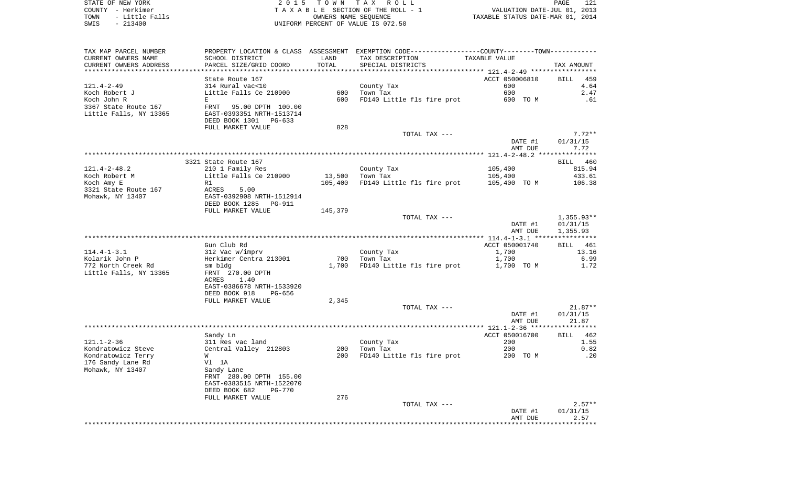STATE OF NEW YORK 2 0 1 5 T O W N T A X R O L L PAGE 121COUNTY - Herkimer **T A X A B L E** SECTION OF THE ROLL - 1 VALUATION DATE-JUL 01, 2013 TOWN - Little Falls OWNERS NAME SEQUENCE TAXABLE STATUS DATE-MAR 01, 2014 SWIS - 213400 UNIFORM PERCENT OF VALUE IS 072.50

TAX MAP PARCEL NUMBER PROPERTY LOCATION & CLASS ASSESSMENT EXEMPTION CODE------------------COUNTY--------TOWN------------ CURRENT OWNERS NAME SCHOOL DISTRICT LAND TAX DESCRIPTION TAXABLE VALUECURRENT OWNERS ADDRESS PARCEL SIZE/GRID COORD TOTAL SPECIAL DISTRICTS TAX AMOUNT \*\*\*\*\*\*\*\*\*\*\*\*\*\*\*\*\*\*\*\*\*\*\*\*\*\*\*\*\*\*\*\*\*\*\*\*\*\*\*\*\*\*\*\*\*\*\*\*\*\*\*\*\*\*\*\*\*\*\*\*\*\*\*\*\*\*\*\*\*\*\*\*\*\*\*\*\*\*\*\*\*\*\*\*\*\*\*\*\*\*\*\*\*\*\*\*\*\*\*\*\*\*\* 121.4-2-49 \*\*\*\*\*\*\*\*\*\*\*\*\*\*\*\*\*State Route 167 ACCT 050006810 BILL 459  $4.64$ 121.4-2-49 314 Rural vac<10 County Tax 600 4.64 Koch Robert J Little Falls Ce 210900 600 Town Tax 600 2.47Koch John R <sup>E</sup> 600 FD140 Little fls fire prot 600 TO M .61 3367 State Route 167 FRNT 95.00 DPTH 100.00EAST-0393351 NRTH-1513714 Little Falls, NY 13365 DEED BOOK 1301 PG-633FULL MARKET VALUE 828 TOTAL TAX  $---$  7.72\*\* DATE #1 01/31/15 AMT DUE 7.72 \*\*\*\*\*\*\*\*\*\*\*\*\*\*\*\*\*\*\*\*\*\*\*\*\*\*\*\*\*\*\*\*\*\*\*\*\*\*\*\*\*\*\*\*\*\*\*\*\*\*\*\*\*\*\*\*\*\*\*\*\*\*\*\*\*\*\*\*\*\*\*\*\*\*\*\*\*\*\*\*\*\*\*\*\*\*\*\*\*\*\*\*\*\*\*\*\*\*\*\*\*\*\* 121.4-2-48.2 \*\*\*\*\*\*\*\*\*\*\*\*\*\*\*3321 State Route 167 BILL 460 815.94 121.4-2-48.2 210 1 Family Res County Tax 2005,400 Koch Robert M **Little Falls Ce 210900** 13,500 Town Tax 105,400 105,400 433.61 Koch Amy E R1 Research CH5,400 FD140 Little fls fire prot 105,400 TO M 106.38 3321 State Route 167 ACRES 5.00Mohawk, NY 13407 EAST-0392908 NRTH-1512914 DEED BOOK 1285 PG-911FULL MARKET VALUE 145,379 TOTAL TAX --- 1,355.93\*\* DATE #1 01/31/15 AMT DUE 1,355.93 \*\*\*\*\*\*\*\*\*\*\*\*\*\*\*\*\*\*\*\*\*\*\*\*\*\*\*\*\*\*\*\*\*\*\*\*\*\*\*\*\*\*\*\*\*\*\*\*\*\*\*\*\*\*\*\*\*\*\*\*\*\*\*\*\*\*\*\*\*\*\*\*\*\*\*\*\*\*\*\*\*\*\*\*\*\*\*\*\*\*\*\*\*\*\*\*\*\*\*\*\*\*\* 114.4-1-3.1 \*\*\*\*\*\*\*\*\*\*\*\*\*\*\*\*BTLL 461 Gun Club Rd **ACCT** 050001740 114.4-1-3.1 312 Vac w/imprv County Tax 1,700 13.16 Kolarik John P Herkimer Centra 213001 700 Town Tax 1,700 6.99 772 North Creek Rd sm bldg 1,700 FD140 Little fls fire prot 1,700 TO M 1.72 Little Falls, NY 13365 FRNT 270.00 DPTH ACRES 1.40 EAST-0386678 NRTH-1533920 DEED BOOK 918 PG-656FULL MARKET VALUE 2,345 TOTAL TAX --- 21.87\*\* DATE #1 01/31/15 AMT DUE 21.87 \*\*\*\*\*\*\*\*\*\*\*\*\*\*\*\*\*\*\*\*\*\*\*\*\*\*\*\*\*\*\*\*\*\*\*\*\*\*\*\*\*\*\*\*\*\*\*\*\*\*\*\*\*\*\*\*\*\*\*\*\*\*\*\*\*\*\*\*\*\*\*\*\*\*\*\*\*\*\*\*\*\*\*\*\*\*\*\*\*\*\*\*\*\*\*\*\*\*\*\*\*\*\* 121.1-2-36 \*\*\*\*\*\*\*\*\*\*\*\*\*\*\*\*\*Sandy Ln **Bill Accro**bing to the Sandy Ln Accrossible Accrossible Accrossible Accrossible Accrossible Accrossible 121.1-2-36 311 Res vac land County Tax 200 1.55 Kondratowicz Steve Central Valley 212803 200 Town Tax 200 200 200 200 200 200 Kondratowicz Terry W 600 W 200 FD140 Little fls fire prot 200 TO M 200 TO M 200 TO M 176 Sandy Lane Rd Vl 1A Mohawk, NY 13407 Sandy Lane FRNT 280.00 DPTH 155.00 EAST-0383515 NRTH-1522070 DEED BOOK 682 PG-770FULL MARKET VALUE 276 TOTAL TAX  $---$  2.57\*\* DATE #1 01/31/15 AMT DUE 2.57 \*\*\*\*\*\*\*\*\*\*\*\*\*\*\*\*\*\*\*\*\*\*\*\*\*\*\*\*\*\*\*\*\*\*\*\*\*\*\*\*\*\*\*\*\*\*\*\*\*\*\*\*\*\*\*\*\*\*\*\*\*\*\*\*\*\*\*\*\*\*\*\*\*\*\*\*\*\*\*\*\*\*\*\*\*\*\*\*\*\*\*\*\*\*\*\*\*\*\*\*\*\*\*\*\*\*\*\*\*\*\*\*\*\*\*\*\*\*\*\*\*\*\*\*\*\*\*\*\*\*\*\*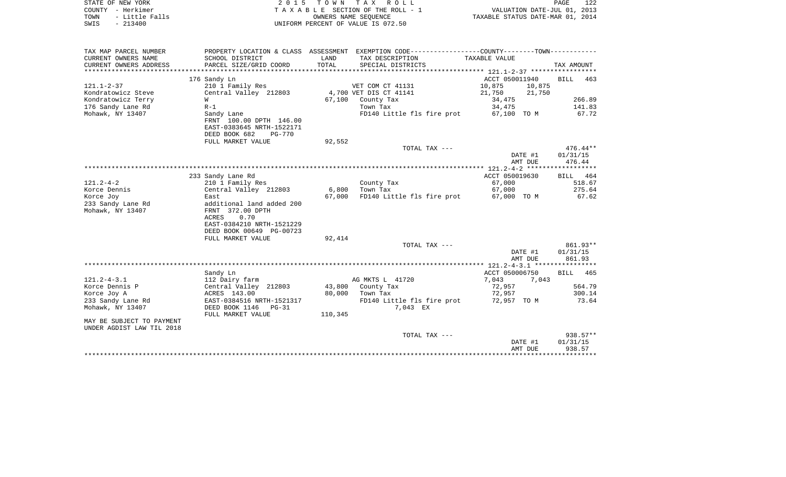| PROPERTY LOCATION & CLASS ASSESSMENT EXEMPTION CODE---------------COUNTY-------TOWN---------<br>CURRENT OWNERS NAME<br>LAND<br>SCHOOL DISTRICT<br>TAX DESCRIPTION<br>TAXABLE VALUE<br>TOTAL<br>TAX AMOUNT<br>CURRENT OWNERS ADDRESS<br>PARCEL SIZE/GRID COORD<br>SPECIAL DISTRICTS<br>ACCT 050011940<br><b>BILL</b><br>176 Sandy Ln<br>463<br>10,875<br>210 1 Family Res<br>VET COM CT 41131<br>10,875<br>Central Valley 212803<br>4,700 VET DIS CT 41141<br>21,750<br>21,750<br>67,100<br>County Tax<br>34,475<br>266.89<br>W<br>176 Sandy Lane Rd<br>141.83<br>$R-1$<br>Town Tax<br>34,475<br>67.72<br>Mohawk, NY 13407<br>FD140 Little fls fire prot<br>67,100 TO M<br>Sandy Lane<br>FRNT 100.00 DPTH 146.00<br>EAST-0383645 NRTH-1522171<br>DEED BOOK 682<br><b>PG-770</b><br>92,552<br>FULL MARKET VALUE<br>TOTAL TAX ---<br>DATE #1<br>01/31/15<br>AMT DUE<br>476.44<br>233 Sandy Lane Rd<br>ACCT 050019630<br>BILL 464<br>$121.2 - 4 - 2$<br>210 1 Family Res<br>County Tax<br>67,000<br>518.67<br>Korce Dennis<br>Central Valley 212803<br>6,800<br>Town Tax<br>67,000<br>275.64<br>Korce Joy<br>67,000<br>FD140 Little fls fire prot<br>67,000 TO M<br>67.62<br>East<br>233 Sandy Lane Rd<br>additional land added 200<br>Mohawk, NY 13407<br>FRNT 372.00 DPTH<br>ACRES<br>0.70<br>EAST-0384210 NRTH-1521229<br>DEED BOOK 00649 PG-00723<br>92,414<br>FULL MARKET VALUE<br>TOTAL TAX ---<br>DATE #1<br>01/31/15<br>AMT DUE<br>861.93<br>Sandy Ln<br>ACCT 050006750<br><b>BILL</b><br>465<br>AG MKTS L 41720<br>7,043<br>112 Dairy farm<br>7,043<br>Central Valley 212803<br>43,800<br>564.79<br>County Tax<br>72,957<br>80,000<br>72,957<br>300.14<br>ACRES 143.00<br>Town Tax<br>73.64<br>EAST-0384516 NRTH-1521317<br>FD140 Little fls fire prot<br>72,957 TO M<br>233 Sandy Lane Rd<br>Mohawk, NY 13407<br>DEED BOOK 1146<br>7,043 EX<br>$PG-31$<br>110,345<br>FULL MARKET VALUE<br>MAY BE SUBJECT TO PAYMENT<br>TOTAL TAX ---<br>$938.57**$<br>DATE #1<br>01/31/15<br>AMT DUE<br>938.57 | COUNTY - Herkimer<br>TOWN<br>- Little Falls<br>SWIS<br>$-213400$ |  | TAXABLE SECTION OF THE ROLL - 1<br>OWNERS NAME SEQUENCE<br>UNIFORM PERCENT OF VALUE IS 072.50 | VALUATION DATE-JUL 01, 2013<br>TAXABLE STATUS DATE-MAR 01, 2014 |  |
|------------------------------------------------------------------------------------------------------------------------------------------------------------------------------------------------------------------------------------------------------------------------------------------------------------------------------------------------------------------------------------------------------------------------------------------------------------------------------------------------------------------------------------------------------------------------------------------------------------------------------------------------------------------------------------------------------------------------------------------------------------------------------------------------------------------------------------------------------------------------------------------------------------------------------------------------------------------------------------------------------------------------------------------------------------------------------------------------------------------------------------------------------------------------------------------------------------------------------------------------------------------------------------------------------------------------------------------------------------------------------------------------------------------------------------------------------------------------------------------------------------------------------------------------------------------------------------------------------------------------------------------------------------------------------------------------------------------------------------------------------------------------------------------------------------------------------------------------------------------------------------------------------------------------------------------------------------------------------------------------------|------------------------------------------------------------------|--|-----------------------------------------------------------------------------------------------|-----------------------------------------------------------------|--|
| 476.44**<br>861.93**                                                                                                                                                                                                                                                                                                                                                                                                                                                                                                                                                                                                                                                                                                                                                                                                                                                                                                                                                                                                                                                                                                                                                                                                                                                                                                                                                                                                                                                                                                                                                                                                                                                                                                                                                                                                                                                                                                                                                                                 |                                                                  |  |                                                                                               |                                                                 |  |
|                                                                                                                                                                                                                                                                                                                                                                                                                                                                                                                                                                                                                                                                                                                                                                                                                                                                                                                                                                                                                                                                                                                                                                                                                                                                                                                                                                                                                                                                                                                                                                                                                                                                                                                                                                                                                                                                                                                                                                                                      | TAX MAP PARCEL NUMBER                                            |  |                                                                                               |                                                                 |  |
|                                                                                                                                                                                                                                                                                                                                                                                                                                                                                                                                                                                                                                                                                                                                                                                                                                                                                                                                                                                                                                                                                                                                                                                                                                                                                                                                                                                                                                                                                                                                                                                                                                                                                                                                                                                                                                                                                                                                                                                                      |                                                                  |  |                                                                                               |                                                                 |  |
|                                                                                                                                                                                                                                                                                                                                                                                                                                                                                                                                                                                                                                                                                                                                                                                                                                                                                                                                                                                                                                                                                                                                                                                                                                                                                                                                                                                                                                                                                                                                                                                                                                                                                                                                                                                                                                                                                                                                                                                                      |                                                                  |  |                                                                                               |                                                                 |  |
|                                                                                                                                                                                                                                                                                                                                                                                                                                                                                                                                                                                                                                                                                                                                                                                                                                                                                                                                                                                                                                                                                                                                                                                                                                                                                                                                                                                                                                                                                                                                                                                                                                                                                                                                                                                                                                                                                                                                                                                                      |                                                                  |  |                                                                                               |                                                                 |  |
|                                                                                                                                                                                                                                                                                                                                                                                                                                                                                                                                                                                                                                                                                                                                                                                                                                                                                                                                                                                                                                                                                                                                                                                                                                                                                                                                                                                                                                                                                                                                                                                                                                                                                                                                                                                                                                                                                                                                                                                                      | $121.1 - 2 - 37$                                                 |  |                                                                                               |                                                                 |  |
|                                                                                                                                                                                                                                                                                                                                                                                                                                                                                                                                                                                                                                                                                                                                                                                                                                                                                                                                                                                                                                                                                                                                                                                                                                                                                                                                                                                                                                                                                                                                                                                                                                                                                                                                                                                                                                                                                                                                                                                                      | Kondratowicz Steve                                               |  |                                                                                               |                                                                 |  |
|                                                                                                                                                                                                                                                                                                                                                                                                                                                                                                                                                                                                                                                                                                                                                                                                                                                                                                                                                                                                                                                                                                                                                                                                                                                                                                                                                                                                                                                                                                                                                                                                                                                                                                                                                                                                                                                                                                                                                                                                      | Kondratowicz Terry                                               |  |                                                                                               |                                                                 |  |
|                                                                                                                                                                                                                                                                                                                                                                                                                                                                                                                                                                                                                                                                                                                                                                                                                                                                                                                                                                                                                                                                                                                                                                                                                                                                                                                                                                                                                                                                                                                                                                                                                                                                                                                                                                                                                                                                                                                                                                                                      |                                                                  |  |                                                                                               |                                                                 |  |
|                                                                                                                                                                                                                                                                                                                                                                                                                                                                                                                                                                                                                                                                                                                                                                                                                                                                                                                                                                                                                                                                                                                                                                                                                                                                                                                                                                                                                                                                                                                                                                                                                                                                                                                                                                                                                                                                                                                                                                                                      |                                                                  |  |                                                                                               |                                                                 |  |
|                                                                                                                                                                                                                                                                                                                                                                                                                                                                                                                                                                                                                                                                                                                                                                                                                                                                                                                                                                                                                                                                                                                                                                                                                                                                                                                                                                                                                                                                                                                                                                                                                                                                                                                                                                                                                                                                                                                                                                                                      |                                                                  |  |                                                                                               |                                                                 |  |
|                                                                                                                                                                                                                                                                                                                                                                                                                                                                                                                                                                                                                                                                                                                                                                                                                                                                                                                                                                                                                                                                                                                                                                                                                                                                                                                                                                                                                                                                                                                                                                                                                                                                                                                                                                                                                                                                                                                                                                                                      |                                                                  |  |                                                                                               |                                                                 |  |
|                                                                                                                                                                                                                                                                                                                                                                                                                                                                                                                                                                                                                                                                                                                                                                                                                                                                                                                                                                                                                                                                                                                                                                                                                                                                                                                                                                                                                                                                                                                                                                                                                                                                                                                                                                                                                                                                                                                                                                                                      |                                                                  |  |                                                                                               |                                                                 |  |
|                                                                                                                                                                                                                                                                                                                                                                                                                                                                                                                                                                                                                                                                                                                                                                                                                                                                                                                                                                                                                                                                                                                                                                                                                                                                                                                                                                                                                                                                                                                                                                                                                                                                                                                                                                                                                                                                                                                                                                                                      |                                                                  |  |                                                                                               |                                                                 |  |
|                                                                                                                                                                                                                                                                                                                                                                                                                                                                                                                                                                                                                                                                                                                                                                                                                                                                                                                                                                                                                                                                                                                                                                                                                                                                                                                                                                                                                                                                                                                                                                                                                                                                                                                                                                                                                                                                                                                                                                                                      |                                                                  |  |                                                                                               |                                                                 |  |
|                                                                                                                                                                                                                                                                                                                                                                                                                                                                                                                                                                                                                                                                                                                                                                                                                                                                                                                                                                                                                                                                                                                                                                                                                                                                                                                                                                                                                                                                                                                                                                                                                                                                                                                                                                                                                                                                                                                                                                                                      |                                                                  |  |                                                                                               |                                                                 |  |
|                                                                                                                                                                                                                                                                                                                                                                                                                                                                                                                                                                                                                                                                                                                                                                                                                                                                                                                                                                                                                                                                                                                                                                                                                                                                                                                                                                                                                                                                                                                                                                                                                                                                                                                                                                                                                                                                                                                                                                                                      |                                                                  |  |                                                                                               |                                                                 |  |
|                                                                                                                                                                                                                                                                                                                                                                                                                                                                                                                                                                                                                                                                                                                                                                                                                                                                                                                                                                                                                                                                                                                                                                                                                                                                                                                                                                                                                                                                                                                                                                                                                                                                                                                                                                                                                                                                                                                                                                                                      |                                                                  |  |                                                                                               |                                                                 |  |
|                                                                                                                                                                                                                                                                                                                                                                                                                                                                                                                                                                                                                                                                                                                                                                                                                                                                                                                                                                                                                                                                                                                                                                                                                                                                                                                                                                                                                                                                                                                                                                                                                                                                                                                                                                                                                                                                                                                                                                                                      |                                                                  |  |                                                                                               |                                                                 |  |
|                                                                                                                                                                                                                                                                                                                                                                                                                                                                                                                                                                                                                                                                                                                                                                                                                                                                                                                                                                                                                                                                                                                                                                                                                                                                                                                                                                                                                                                                                                                                                                                                                                                                                                                                                                                                                                                                                                                                                                                                      |                                                                  |  |                                                                                               |                                                                 |  |
|                                                                                                                                                                                                                                                                                                                                                                                                                                                                                                                                                                                                                                                                                                                                                                                                                                                                                                                                                                                                                                                                                                                                                                                                                                                                                                                                                                                                                                                                                                                                                                                                                                                                                                                                                                                                                                                                                                                                                                                                      |                                                                  |  |                                                                                               |                                                                 |  |
|                                                                                                                                                                                                                                                                                                                                                                                                                                                                                                                                                                                                                                                                                                                                                                                                                                                                                                                                                                                                                                                                                                                                                                                                                                                                                                                                                                                                                                                                                                                                                                                                                                                                                                                                                                                                                                                                                                                                                                                                      |                                                                  |  |                                                                                               |                                                                 |  |
|                                                                                                                                                                                                                                                                                                                                                                                                                                                                                                                                                                                                                                                                                                                                                                                                                                                                                                                                                                                                                                                                                                                                                                                                                                                                                                                                                                                                                                                                                                                                                                                                                                                                                                                                                                                                                                                                                                                                                                                                      |                                                                  |  |                                                                                               |                                                                 |  |
|                                                                                                                                                                                                                                                                                                                                                                                                                                                                                                                                                                                                                                                                                                                                                                                                                                                                                                                                                                                                                                                                                                                                                                                                                                                                                                                                                                                                                                                                                                                                                                                                                                                                                                                                                                                                                                                                                                                                                                                                      |                                                                  |  |                                                                                               |                                                                 |  |
|                                                                                                                                                                                                                                                                                                                                                                                                                                                                                                                                                                                                                                                                                                                                                                                                                                                                                                                                                                                                                                                                                                                                                                                                                                                                                                                                                                                                                                                                                                                                                                                                                                                                                                                                                                                                                                                                                                                                                                                                      |                                                                  |  |                                                                                               |                                                                 |  |
|                                                                                                                                                                                                                                                                                                                                                                                                                                                                                                                                                                                                                                                                                                                                                                                                                                                                                                                                                                                                                                                                                                                                                                                                                                                                                                                                                                                                                                                                                                                                                                                                                                                                                                                                                                                                                                                                                                                                                                                                      |                                                                  |  |                                                                                               |                                                                 |  |
|                                                                                                                                                                                                                                                                                                                                                                                                                                                                                                                                                                                                                                                                                                                                                                                                                                                                                                                                                                                                                                                                                                                                                                                                                                                                                                                                                                                                                                                                                                                                                                                                                                                                                                                                                                                                                                                                                                                                                                                                      |                                                                  |  |                                                                                               |                                                                 |  |
|                                                                                                                                                                                                                                                                                                                                                                                                                                                                                                                                                                                                                                                                                                                                                                                                                                                                                                                                                                                                                                                                                                                                                                                                                                                                                                                                                                                                                                                                                                                                                                                                                                                                                                                                                                                                                                                                                                                                                                                                      |                                                                  |  |                                                                                               |                                                                 |  |
|                                                                                                                                                                                                                                                                                                                                                                                                                                                                                                                                                                                                                                                                                                                                                                                                                                                                                                                                                                                                                                                                                                                                                                                                                                                                                                                                                                                                                                                                                                                                                                                                                                                                                                                                                                                                                                                                                                                                                                                                      |                                                                  |  |                                                                                               |                                                                 |  |
|                                                                                                                                                                                                                                                                                                                                                                                                                                                                                                                                                                                                                                                                                                                                                                                                                                                                                                                                                                                                                                                                                                                                                                                                                                                                                                                                                                                                                                                                                                                                                                                                                                                                                                                                                                                                                                                                                                                                                                                                      | $121.2 - 4 - 3.1$                                                |  |                                                                                               |                                                                 |  |
|                                                                                                                                                                                                                                                                                                                                                                                                                                                                                                                                                                                                                                                                                                                                                                                                                                                                                                                                                                                                                                                                                                                                                                                                                                                                                                                                                                                                                                                                                                                                                                                                                                                                                                                                                                                                                                                                                                                                                                                                      | Korce Dennis P                                                   |  |                                                                                               |                                                                 |  |
|                                                                                                                                                                                                                                                                                                                                                                                                                                                                                                                                                                                                                                                                                                                                                                                                                                                                                                                                                                                                                                                                                                                                                                                                                                                                                                                                                                                                                                                                                                                                                                                                                                                                                                                                                                                                                                                                                                                                                                                                      | Korce Joy A                                                      |  |                                                                                               |                                                                 |  |
|                                                                                                                                                                                                                                                                                                                                                                                                                                                                                                                                                                                                                                                                                                                                                                                                                                                                                                                                                                                                                                                                                                                                                                                                                                                                                                                                                                                                                                                                                                                                                                                                                                                                                                                                                                                                                                                                                                                                                                                                      |                                                                  |  |                                                                                               |                                                                 |  |
|                                                                                                                                                                                                                                                                                                                                                                                                                                                                                                                                                                                                                                                                                                                                                                                                                                                                                                                                                                                                                                                                                                                                                                                                                                                                                                                                                                                                                                                                                                                                                                                                                                                                                                                                                                                                                                                                                                                                                                                                      |                                                                  |  |                                                                                               |                                                                 |  |
|                                                                                                                                                                                                                                                                                                                                                                                                                                                                                                                                                                                                                                                                                                                                                                                                                                                                                                                                                                                                                                                                                                                                                                                                                                                                                                                                                                                                                                                                                                                                                                                                                                                                                                                                                                                                                                                                                                                                                                                                      |                                                                  |  |                                                                                               |                                                                 |  |
|                                                                                                                                                                                                                                                                                                                                                                                                                                                                                                                                                                                                                                                                                                                                                                                                                                                                                                                                                                                                                                                                                                                                                                                                                                                                                                                                                                                                                                                                                                                                                                                                                                                                                                                                                                                                                                                                                                                                                                                                      | UNDER AGDIST LAW TIL 2018                                        |  |                                                                                               |                                                                 |  |
|                                                                                                                                                                                                                                                                                                                                                                                                                                                                                                                                                                                                                                                                                                                                                                                                                                                                                                                                                                                                                                                                                                                                                                                                                                                                                                                                                                                                                                                                                                                                                                                                                                                                                                                                                                                                                                                                                                                                                                                                      |                                                                  |  |                                                                                               |                                                                 |  |
|                                                                                                                                                                                                                                                                                                                                                                                                                                                                                                                                                                                                                                                                                                                                                                                                                                                                                                                                                                                                                                                                                                                                                                                                                                                                                                                                                                                                                                                                                                                                                                                                                                                                                                                                                                                                                                                                                                                                                                                                      |                                                                  |  |                                                                                               |                                                                 |  |
|                                                                                                                                                                                                                                                                                                                                                                                                                                                                                                                                                                                                                                                                                                                                                                                                                                                                                                                                                                                                                                                                                                                                                                                                                                                                                                                                                                                                                                                                                                                                                                                                                                                                                                                                                                                                                                                                                                                                                                                                      |                                                                  |  |                                                                                               |                                                                 |  |

STATE OF NEW YORK **EXECUTE:**  $2015$  TOWN TAX ROLL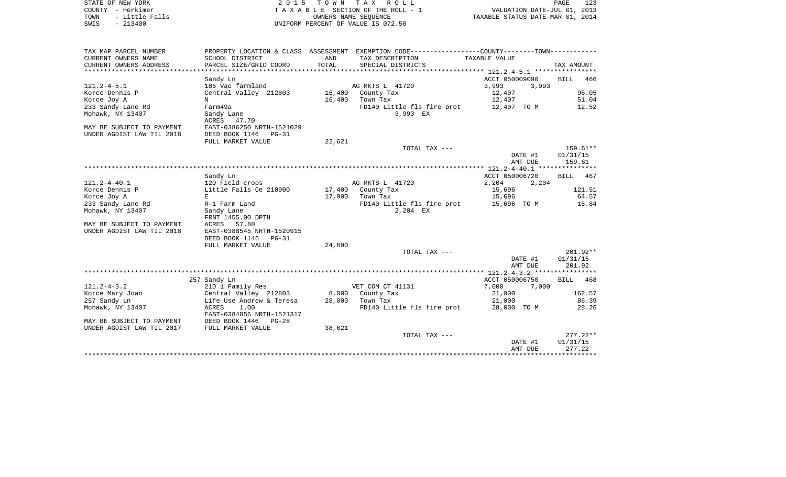| STATE OF NEW YORK      | 2015 TOWN TAX ROLL                 | 123<br>PAGE                      |
|------------------------|------------------------------------|----------------------------------|
| COUNTY - Herkimer      | TAXABLE SECTION OF THE ROLL - 1    | VALUATION DATE-JUL 01, 2013      |
| - Little Falls<br>TOWN | OWNERS NAME SEOUENCE               | TAXABLE STATUS DATE-MAR 01, 2014 |
| $-213400$<br>SWIS      | UNIFORM PERCENT OF VALUE IS 072.50 |                                  |

| ACCT 050009090<br>BILL<br>466<br>Sandy Ln<br>105 Vac farmland<br>AG MKTS L 41720<br>3,993<br>3,993<br>Central Valley 212803<br>96.05<br>16,400<br>County Tax<br>12,407<br>51.04<br>Korce Joy A<br>16,400<br>Town Tax<br>12,407<br>N<br>233 Sandy Lane Rd<br>FD140 Little fls fire prot<br>12.52<br>Farm49a<br>12,407 TO M<br>3,993 EX<br>Sandy Lane<br>ACRES 47.70<br>EAST-0386250 NRTH-1521029<br>MAY BE SUBJECT TO PAYMENT<br>DEED BOOK 1146<br>UNDER AGDIST LAW TIL 2018<br>PG-31<br>22,621<br>FULL MARKET VALUE<br>TOTAL TAX ---<br>$159.61**$<br>01/31/15<br>DATE #1<br>AMT DUE<br>159.61<br>ACCT 050006720<br>Sandy Ln<br><b>BILL</b><br>467<br>AG MKTS L 41720<br>2,204<br>2,204<br>120 Field crops<br>121.51<br>Little Falls Ce 210900<br>17,400<br>15,696<br>County Tax<br>64.57<br>Korce Joy A<br>17,900<br>15,696<br>Е<br>Town Tax<br>233 Sandy Lane Rd<br>FD140 Little fls fire prot<br>15.84<br>R-1 Farm Land<br>15,696 TO M<br>2,204 EX<br>Mohawk, NY 13407<br>Sandy Lane<br>FRNT 1455.00 DPTH<br>MAY BE SUBJECT TO PAYMENT<br>ACRES 57.80<br>UNDER AGDIST LAW TIL 2018<br>EAST-0388545 NRTH-1520915<br>DEED BOOK 1146<br>$PG-31$<br>FULL MARKET VALUE<br>24,690<br>$201.92**$<br>TOTAL TAX ---<br>DATE #1<br>01/31/15<br>201.92<br>AMT DUE<br>ACCT 050006750<br><b>BILL</b><br>257 Sandy Ln<br>468<br>210 1 Family Res<br>VET COM CT 41131<br>7,000<br>7,000<br>Central Valley 212803<br>8,000<br>21,000<br>162.57<br>Korce Mary Joan<br>County Tax<br>257 Sandy Ln<br>Life Use Andrew & Teresa<br>86.39<br>28,000<br>Town Tax<br>21,000<br>ACRES<br>1.00<br>FD140 Little fls fire prot<br>28.26<br>Mohawk, NY 13407<br>28,000 TO M<br>EAST-0384856 NRTH-1521317<br>DEED BOOK 1446 PG-28<br>MAY BE SUBJECT TO PAYMENT<br>UNDER AGDIST LAW TIL 2017<br>38,621<br>FULL MARKET VALUE<br>$277.22**$<br>TOTAL TAX ---<br>01/31/15<br>DATE #1<br>277.22<br>AMT DUE | TAX MAP PARCEL NUMBER<br>CURRENT OWNERS NAME<br>CURRENT OWNERS ADDRESS | PROPERTY LOCATION & CLASS ASSESSMENT<br>SCHOOL DISTRICT<br>PARCEL SIZE/GRID COORD | LAND<br>TOTAL | EXEMPTION CODE-----------------COUNTY-------TOWN-----------<br>TAX DESCRIPTION<br>SPECIAL DISTRICTS | TAXABLE VALUE | TAX AMOUNT |
|-----------------------------------------------------------------------------------------------------------------------------------------------------------------------------------------------------------------------------------------------------------------------------------------------------------------------------------------------------------------------------------------------------------------------------------------------------------------------------------------------------------------------------------------------------------------------------------------------------------------------------------------------------------------------------------------------------------------------------------------------------------------------------------------------------------------------------------------------------------------------------------------------------------------------------------------------------------------------------------------------------------------------------------------------------------------------------------------------------------------------------------------------------------------------------------------------------------------------------------------------------------------------------------------------------------------------------------------------------------------------------------------------------------------------------------------------------------------------------------------------------------------------------------------------------------------------------------------------------------------------------------------------------------------------------------------------------------------------------------------------------------------------------------------------------------------------------------------------------------------------------|------------------------------------------------------------------------|-----------------------------------------------------------------------------------|---------------|-----------------------------------------------------------------------------------------------------|---------------|------------|
|                                                                                                                                                                                                                                                                                                                                                                                                                                                                                                                                                                                                                                                                                                                                                                                                                                                                                                                                                                                                                                                                                                                                                                                                                                                                                                                                                                                                                                                                                                                                                                                                                                                                                                                                                                                                                                                                             |                                                                        |                                                                                   |               |                                                                                                     |               |            |
|                                                                                                                                                                                                                                                                                                                                                                                                                                                                                                                                                                                                                                                                                                                                                                                                                                                                                                                                                                                                                                                                                                                                                                                                                                                                                                                                                                                                                                                                                                                                                                                                                                                                                                                                                                                                                                                                             |                                                                        |                                                                                   |               |                                                                                                     |               |            |
|                                                                                                                                                                                                                                                                                                                                                                                                                                                                                                                                                                                                                                                                                                                                                                                                                                                                                                                                                                                                                                                                                                                                                                                                                                                                                                                                                                                                                                                                                                                                                                                                                                                                                                                                                                                                                                                                             | $121.2 - 4 - 5.1$                                                      |                                                                                   |               |                                                                                                     |               |            |
|                                                                                                                                                                                                                                                                                                                                                                                                                                                                                                                                                                                                                                                                                                                                                                                                                                                                                                                                                                                                                                                                                                                                                                                                                                                                                                                                                                                                                                                                                                                                                                                                                                                                                                                                                                                                                                                                             | Korce Dennis P                                                         |                                                                                   |               |                                                                                                     |               |            |
|                                                                                                                                                                                                                                                                                                                                                                                                                                                                                                                                                                                                                                                                                                                                                                                                                                                                                                                                                                                                                                                                                                                                                                                                                                                                                                                                                                                                                                                                                                                                                                                                                                                                                                                                                                                                                                                                             |                                                                        |                                                                                   |               |                                                                                                     |               |            |
|                                                                                                                                                                                                                                                                                                                                                                                                                                                                                                                                                                                                                                                                                                                                                                                                                                                                                                                                                                                                                                                                                                                                                                                                                                                                                                                                                                                                                                                                                                                                                                                                                                                                                                                                                                                                                                                                             |                                                                        |                                                                                   |               |                                                                                                     |               |            |
|                                                                                                                                                                                                                                                                                                                                                                                                                                                                                                                                                                                                                                                                                                                                                                                                                                                                                                                                                                                                                                                                                                                                                                                                                                                                                                                                                                                                                                                                                                                                                                                                                                                                                                                                                                                                                                                                             | Mohawk, NY 13407                                                       |                                                                                   |               |                                                                                                     |               |            |
|                                                                                                                                                                                                                                                                                                                                                                                                                                                                                                                                                                                                                                                                                                                                                                                                                                                                                                                                                                                                                                                                                                                                                                                                                                                                                                                                                                                                                                                                                                                                                                                                                                                                                                                                                                                                                                                                             |                                                                        |                                                                                   |               |                                                                                                     |               |            |
|                                                                                                                                                                                                                                                                                                                                                                                                                                                                                                                                                                                                                                                                                                                                                                                                                                                                                                                                                                                                                                                                                                                                                                                                                                                                                                                                                                                                                                                                                                                                                                                                                                                                                                                                                                                                                                                                             |                                                                        |                                                                                   |               |                                                                                                     |               |            |
|                                                                                                                                                                                                                                                                                                                                                                                                                                                                                                                                                                                                                                                                                                                                                                                                                                                                                                                                                                                                                                                                                                                                                                                                                                                                                                                                                                                                                                                                                                                                                                                                                                                                                                                                                                                                                                                                             |                                                                        |                                                                                   |               |                                                                                                     |               |            |
|                                                                                                                                                                                                                                                                                                                                                                                                                                                                                                                                                                                                                                                                                                                                                                                                                                                                                                                                                                                                                                                                                                                                                                                                                                                                                                                                                                                                                                                                                                                                                                                                                                                                                                                                                                                                                                                                             |                                                                        |                                                                                   |               |                                                                                                     |               |            |
|                                                                                                                                                                                                                                                                                                                                                                                                                                                                                                                                                                                                                                                                                                                                                                                                                                                                                                                                                                                                                                                                                                                                                                                                                                                                                                                                                                                                                                                                                                                                                                                                                                                                                                                                                                                                                                                                             |                                                                        |                                                                                   |               |                                                                                                     |               |            |
|                                                                                                                                                                                                                                                                                                                                                                                                                                                                                                                                                                                                                                                                                                                                                                                                                                                                                                                                                                                                                                                                                                                                                                                                                                                                                                                                                                                                                                                                                                                                                                                                                                                                                                                                                                                                                                                                             |                                                                        |                                                                                   |               |                                                                                                     |               |            |
|                                                                                                                                                                                                                                                                                                                                                                                                                                                                                                                                                                                                                                                                                                                                                                                                                                                                                                                                                                                                                                                                                                                                                                                                                                                                                                                                                                                                                                                                                                                                                                                                                                                                                                                                                                                                                                                                             |                                                                        |                                                                                   |               |                                                                                                     |               |            |
|                                                                                                                                                                                                                                                                                                                                                                                                                                                                                                                                                                                                                                                                                                                                                                                                                                                                                                                                                                                                                                                                                                                                                                                                                                                                                                                                                                                                                                                                                                                                                                                                                                                                                                                                                                                                                                                                             |                                                                        |                                                                                   |               |                                                                                                     |               |            |
|                                                                                                                                                                                                                                                                                                                                                                                                                                                                                                                                                                                                                                                                                                                                                                                                                                                                                                                                                                                                                                                                                                                                                                                                                                                                                                                                                                                                                                                                                                                                                                                                                                                                                                                                                                                                                                                                             | $121.2 - 4 - 40.1$                                                     |                                                                                   |               |                                                                                                     |               |            |
|                                                                                                                                                                                                                                                                                                                                                                                                                                                                                                                                                                                                                                                                                                                                                                                                                                                                                                                                                                                                                                                                                                                                                                                                                                                                                                                                                                                                                                                                                                                                                                                                                                                                                                                                                                                                                                                                             | Korce Dennis P                                                         |                                                                                   |               |                                                                                                     |               |            |
|                                                                                                                                                                                                                                                                                                                                                                                                                                                                                                                                                                                                                                                                                                                                                                                                                                                                                                                                                                                                                                                                                                                                                                                                                                                                                                                                                                                                                                                                                                                                                                                                                                                                                                                                                                                                                                                                             |                                                                        |                                                                                   |               |                                                                                                     |               |            |
|                                                                                                                                                                                                                                                                                                                                                                                                                                                                                                                                                                                                                                                                                                                                                                                                                                                                                                                                                                                                                                                                                                                                                                                                                                                                                                                                                                                                                                                                                                                                                                                                                                                                                                                                                                                                                                                                             |                                                                        |                                                                                   |               |                                                                                                     |               |            |
|                                                                                                                                                                                                                                                                                                                                                                                                                                                                                                                                                                                                                                                                                                                                                                                                                                                                                                                                                                                                                                                                                                                                                                                                                                                                                                                                                                                                                                                                                                                                                                                                                                                                                                                                                                                                                                                                             |                                                                        |                                                                                   |               |                                                                                                     |               |            |
|                                                                                                                                                                                                                                                                                                                                                                                                                                                                                                                                                                                                                                                                                                                                                                                                                                                                                                                                                                                                                                                                                                                                                                                                                                                                                                                                                                                                                                                                                                                                                                                                                                                                                                                                                                                                                                                                             |                                                                        |                                                                                   |               |                                                                                                     |               |            |
|                                                                                                                                                                                                                                                                                                                                                                                                                                                                                                                                                                                                                                                                                                                                                                                                                                                                                                                                                                                                                                                                                                                                                                                                                                                                                                                                                                                                                                                                                                                                                                                                                                                                                                                                                                                                                                                                             |                                                                        |                                                                                   |               |                                                                                                     |               |            |
|                                                                                                                                                                                                                                                                                                                                                                                                                                                                                                                                                                                                                                                                                                                                                                                                                                                                                                                                                                                                                                                                                                                                                                                                                                                                                                                                                                                                                                                                                                                                                                                                                                                                                                                                                                                                                                                                             |                                                                        |                                                                                   |               |                                                                                                     |               |            |
|                                                                                                                                                                                                                                                                                                                                                                                                                                                                                                                                                                                                                                                                                                                                                                                                                                                                                                                                                                                                                                                                                                                                                                                                                                                                                                                                                                                                                                                                                                                                                                                                                                                                                                                                                                                                                                                                             |                                                                        |                                                                                   |               |                                                                                                     |               |            |
|                                                                                                                                                                                                                                                                                                                                                                                                                                                                                                                                                                                                                                                                                                                                                                                                                                                                                                                                                                                                                                                                                                                                                                                                                                                                                                                                                                                                                                                                                                                                                                                                                                                                                                                                                                                                                                                                             |                                                                        |                                                                                   |               |                                                                                                     |               |            |
|                                                                                                                                                                                                                                                                                                                                                                                                                                                                                                                                                                                                                                                                                                                                                                                                                                                                                                                                                                                                                                                                                                                                                                                                                                                                                                                                                                                                                                                                                                                                                                                                                                                                                                                                                                                                                                                                             |                                                                        |                                                                                   |               |                                                                                                     |               |            |
|                                                                                                                                                                                                                                                                                                                                                                                                                                                                                                                                                                                                                                                                                                                                                                                                                                                                                                                                                                                                                                                                                                                                                                                                                                                                                                                                                                                                                                                                                                                                                                                                                                                                                                                                                                                                                                                                             |                                                                        |                                                                                   |               |                                                                                                     |               |            |
|                                                                                                                                                                                                                                                                                                                                                                                                                                                                                                                                                                                                                                                                                                                                                                                                                                                                                                                                                                                                                                                                                                                                                                                                                                                                                                                                                                                                                                                                                                                                                                                                                                                                                                                                                                                                                                                                             |                                                                        |                                                                                   |               |                                                                                                     |               |            |
|                                                                                                                                                                                                                                                                                                                                                                                                                                                                                                                                                                                                                                                                                                                                                                                                                                                                                                                                                                                                                                                                                                                                                                                                                                                                                                                                                                                                                                                                                                                                                                                                                                                                                                                                                                                                                                                                             |                                                                        |                                                                                   |               |                                                                                                     |               |            |
|                                                                                                                                                                                                                                                                                                                                                                                                                                                                                                                                                                                                                                                                                                                                                                                                                                                                                                                                                                                                                                                                                                                                                                                                                                                                                                                                                                                                                                                                                                                                                                                                                                                                                                                                                                                                                                                                             |                                                                        |                                                                                   |               |                                                                                                     |               |            |
|                                                                                                                                                                                                                                                                                                                                                                                                                                                                                                                                                                                                                                                                                                                                                                                                                                                                                                                                                                                                                                                                                                                                                                                                                                                                                                                                                                                                                                                                                                                                                                                                                                                                                                                                                                                                                                                                             | $121.2 - 4 - 3.2$                                                      |                                                                                   |               |                                                                                                     |               |            |
|                                                                                                                                                                                                                                                                                                                                                                                                                                                                                                                                                                                                                                                                                                                                                                                                                                                                                                                                                                                                                                                                                                                                                                                                                                                                                                                                                                                                                                                                                                                                                                                                                                                                                                                                                                                                                                                                             |                                                                        |                                                                                   |               |                                                                                                     |               |            |
|                                                                                                                                                                                                                                                                                                                                                                                                                                                                                                                                                                                                                                                                                                                                                                                                                                                                                                                                                                                                                                                                                                                                                                                                                                                                                                                                                                                                                                                                                                                                                                                                                                                                                                                                                                                                                                                                             |                                                                        |                                                                                   |               |                                                                                                     |               |            |
|                                                                                                                                                                                                                                                                                                                                                                                                                                                                                                                                                                                                                                                                                                                                                                                                                                                                                                                                                                                                                                                                                                                                                                                                                                                                                                                                                                                                                                                                                                                                                                                                                                                                                                                                                                                                                                                                             |                                                                        |                                                                                   |               |                                                                                                     |               |            |
|                                                                                                                                                                                                                                                                                                                                                                                                                                                                                                                                                                                                                                                                                                                                                                                                                                                                                                                                                                                                                                                                                                                                                                                                                                                                                                                                                                                                                                                                                                                                                                                                                                                                                                                                                                                                                                                                             |                                                                        |                                                                                   |               |                                                                                                     |               |            |
|                                                                                                                                                                                                                                                                                                                                                                                                                                                                                                                                                                                                                                                                                                                                                                                                                                                                                                                                                                                                                                                                                                                                                                                                                                                                                                                                                                                                                                                                                                                                                                                                                                                                                                                                                                                                                                                                             |                                                                        |                                                                                   |               |                                                                                                     |               |            |
|                                                                                                                                                                                                                                                                                                                                                                                                                                                                                                                                                                                                                                                                                                                                                                                                                                                                                                                                                                                                                                                                                                                                                                                                                                                                                                                                                                                                                                                                                                                                                                                                                                                                                                                                                                                                                                                                             |                                                                        |                                                                                   |               |                                                                                                     |               |            |
|                                                                                                                                                                                                                                                                                                                                                                                                                                                                                                                                                                                                                                                                                                                                                                                                                                                                                                                                                                                                                                                                                                                                                                                                                                                                                                                                                                                                                                                                                                                                                                                                                                                                                                                                                                                                                                                                             |                                                                        |                                                                                   |               |                                                                                                     |               |            |
|                                                                                                                                                                                                                                                                                                                                                                                                                                                                                                                                                                                                                                                                                                                                                                                                                                                                                                                                                                                                                                                                                                                                                                                                                                                                                                                                                                                                                                                                                                                                                                                                                                                                                                                                                                                                                                                                             |                                                                        |                                                                                   |               |                                                                                                     |               |            |
|                                                                                                                                                                                                                                                                                                                                                                                                                                                                                                                                                                                                                                                                                                                                                                                                                                                                                                                                                                                                                                                                                                                                                                                                                                                                                                                                                                                                                                                                                                                                                                                                                                                                                                                                                                                                                                                                             |                                                                        |                                                                                   |               |                                                                                                     |               |            |
|                                                                                                                                                                                                                                                                                                                                                                                                                                                                                                                                                                                                                                                                                                                                                                                                                                                                                                                                                                                                                                                                                                                                                                                                                                                                                                                                                                                                                                                                                                                                                                                                                                                                                                                                                                                                                                                                             |                                                                        |                                                                                   |               |                                                                                                     |               |            |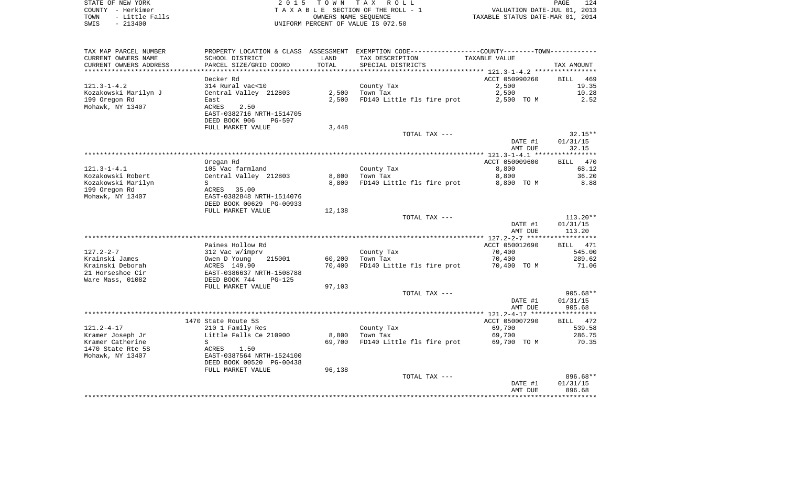| STATE OF NEW YORK |  |          |                |  |
|-------------------|--|----------|----------------|--|
| COUNTY - Herkimer |  |          |                |  |
| TOWN              |  |          | - Little Falls |  |
| SWTS              |  | - 213400 |                |  |

2015 TOWN TAX ROLL TA X A B L E SECTION OF THE ROLL - 1 TOWN - Little Falls OWNERS NAME SEQUENCE TAXABLE STATUS DATE-MAR 01, 2014 SWIS - 213400 UNIFORM PERCENT OF VALUE IS 072.50

| TAX MAP PARCEL NUMBER  |                           |        | PROPERTY LOCATION & CLASS ASSESSMENT EXEMPTION CODE------------------COUNTY--------TOWN--------- |                |            |
|------------------------|---------------------------|--------|--------------------------------------------------------------------------------------------------|----------------|------------|
| CURRENT OWNERS NAME    | SCHOOL DISTRICT           | LAND   | TAX DESCRIPTION                                                                                  | TAXABLE VALUE  |            |
| CURRENT OWNERS ADDRESS | PARCEL SIZE/GRID COORD    | TOTAL  | SPECIAL DISTRICTS                                                                                |                | TAX AMOUNT |
|                        |                           |        |                                                                                                  |                |            |
|                        | Decker Rd                 |        |                                                                                                  | ACCT 050990260 | BILL 469   |
| $121.3 - 1 - 4.2$      | 314 Rural vac<10          |        | County Tax                                                                                       | 2,500          | 19.35      |
| Kozakowski Marilyn J   | Central Valley 212803     | 2,500  | Town Tax                                                                                         | 2,500          | 10.28      |
| 199 Oregon Rd          | East                      | 2,500  | FD140 Little fls fire prot                                                                       | 2,500 TO M     | 2.52       |
| Mohawk, NY 13407       | 2.50<br><b>ACRES</b>      |        |                                                                                                  |                |            |
|                        | EAST-0382716 NRTH-1514705 |        |                                                                                                  |                |            |
|                        | DEED BOOK 906<br>PG-597   |        |                                                                                                  |                |            |
|                        | FULL MARKET VALUE         | 3,448  |                                                                                                  |                |            |
|                        |                           |        | TOTAL TAX ---                                                                                    |                | $32.15**$  |
|                        |                           |        |                                                                                                  | DATE #1        | 01/31/15   |
|                        |                           |        |                                                                                                  | AMT DUE        | 32.15      |
|                        |                           |        |                                                                                                  |                |            |
|                        | Oregan Rd                 |        |                                                                                                  | ACCT 050009600 | BILL 470   |
| $121.3 - 1 - 4.1$      | 105 Vac farmland          |        | County Tax                                                                                       | 8,800          | 68.12      |
| Kozakowski Robert      | Central Valley 212803     | 8,800  | Town Tax                                                                                         | 8,800          | 36.20      |
| Kozakowski Marilyn     | S                         | 8,800  | FD140 Little fls fire prot                                                                       | 8,800 TO M     | 8.88       |
| 199 Oregon Rd          | ACRES 35.00               |        |                                                                                                  |                |            |
| Mohawk, NY 13407       | EAST-0382848 NRTH-1514076 |        |                                                                                                  |                |            |
|                        | DEED BOOK 00629 PG-00933  |        |                                                                                                  |                |            |
|                        | FULL MARKET VALUE         | 12,138 |                                                                                                  |                |            |
|                        |                           |        | TOTAL TAX ---                                                                                    |                | $113.20**$ |
|                        |                           |        |                                                                                                  | DATE #1        | 01/31/15   |
|                        |                           |        |                                                                                                  | AMT DUE        | 113.20     |
|                        |                           |        |                                                                                                  |                |            |
|                        | Paines Hollow Rd          |        |                                                                                                  | ACCT 050012690 | BILL 471   |
| $127.2 - 2 - 7$        | 312 Vac w/imprv           |        | County Tax                                                                                       | 70,400         | 545.00     |
| Krainski James         | Owen D Young<br>215001    | 60,200 | Town Tax                                                                                         | 70,400         | 289.62     |
| Krainski Deborah       | ACRES 149.90              | 70,400 | FD140 Little fls fire prot                                                                       | 70,400 TO M    | 71.06      |
| 21 Horseshoe Cir       | EAST-0386637 NRTH-1508788 |        |                                                                                                  |                |            |
| Ware Mass, 01082       | DEED BOOK 744<br>$PG-125$ |        |                                                                                                  |                |            |
|                        | FULL MARKET VALUE         | 97,103 |                                                                                                  |                |            |
|                        |                           |        | TOTAL TAX ---                                                                                    |                | $905.68**$ |
|                        |                           |        |                                                                                                  | DATE #1        | 01/31/15   |
|                        |                           |        |                                                                                                  | AMT DUE        | 905.68     |
|                        |                           |        |                                                                                                  |                |            |
|                        | 1470 State Route 5S       |        |                                                                                                  | ACCT 050007290 | BILL 472   |
| $121.2 - 4 - 17$       | 210 1 Family Res          |        | County Tax                                                                                       | 69,700         | 539.58     |
| Kramer Joseph Jr       | Little Falls Ce 210900    | 8,800  | Town Tax                                                                                         | 69,700         | 286.75     |
| Kramer Catherine       | S                         | 69,700 | FD140 Little fls fire prot                                                                       | 69,700 TO M    | 70.35      |
| 1470 State Rte 5S      | ACRES<br>1.50             |        |                                                                                                  |                |            |
| Mohawk, NY 13407       | EAST-0387564 NRTH-1524100 |        |                                                                                                  |                |            |
|                        | DEED BOOK 00520 PG-00438  |        |                                                                                                  |                |            |
|                        | FULL MARKET VALUE         | 96,138 |                                                                                                  |                |            |
|                        |                           |        | TOTAL TAX ---                                                                                    |                | 896.68**   |
|                        |                           |        |                                                                                                  | DATE #1        | 01/31/15   |
|                        |                           |        |                                                                                                  | AMT DUE        | 896.68     |
|                        |                           |        |                                                                                                  |                |            |
|                        |                           |        |                                                                                                  |                |            |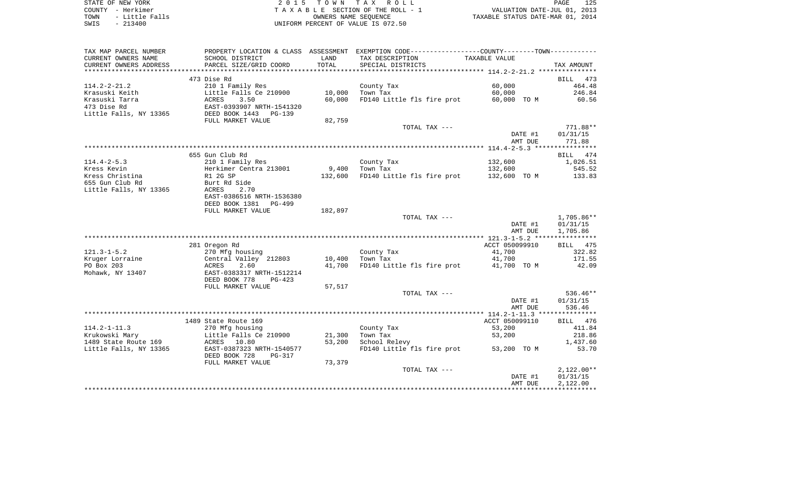| STATE OF NEW YORK      | 2015 TOWN TAX ROLL                 | 125<br>PAGE                      |
|------------------------|------------------------------------|----------------------------------|
| COUNTY - Herkimer      | TAXABLE SECTION OF THE ROLL - 1    | VALUATION DATE-JUL 01, 2013      |
| - Little Falls<br>TOWN | OWNERS NAME SEOUENCE               | TAXABLE STATUS DATE-MAR 01, 2014 |
| $-213400$<br>SWIS      | UNIFORM PERCENT OF VALUE IS 072.50 |                                  |

| TAX MAP PARCEL NUMBER  |                           |         | PROPERTY LOCATION & CLASS ASSESSMENT EXEMPTION CODE---------------COUNTY-------TOWN---------- |                |              |
|------------------------|---------------------------|---------|-----------------------------------------------------------------------------------------------|----------------|--------------|
| CURRENT OWNERS NAME    | SCHOOL DISTRICT           | LAND    | TAX DESCRIPTION                                                                               | TAXABLE VALUE  |              |
| CURRENT OWNERS ADDRESS | PARCEL SIZE/GRID COORD    | TOTAL   | SPECIAL DISTRICTS                                                                             |                | TAX AMOUNT   |
| *********************  |                           |         |                                                                                               |                |              |
|                        | 473 Dise Rd               |         |                                                                                               |                | BILL<br>473  |
| $114.2 - 2 - 21.2$     | 210 1 Family Res          |         | County Tax                                                                                    | 60,000         | 464.48       |
| Krasuski Keith         | Little Falls Ce 210900    | 10,000  | Town Tax                                                                                      | 60,000         | 246.84       |
| Krasuski Tarra         | ACRES<br>3.50             | 60,000  | FD140 Little fls fire prot                                                                    | 60,000 TO M    | 60.56        |
| 473 Dise Rd            | EAST-0393907 NRTH-1541320 |         |                                                                                               |                |              |
| Little Falls, NY 13365 | DEED BOOK 1443<br>PG-139  |         |                                                                                               |                |              |
|                        | FULL MARKET VALUE         | 82,759  |                                                                                               |                |              |
|                        |                           |         | TOTAL TAX ---                                                                                 |                | 771.88**     |
|                        |                           |         |                                                                                               | DATE #1        | 01/31/15     |
|                        |                           |         |                                                                                               | AMT DUE        | 771.88       |
|                        |                           |         |                                                                                               |                |              |
|                        | 655 Gun Club Rd           |         |                                                                                               |                | 474<br>BILL  |
| $114.4 - 2 - 5.3$      | 210 1 Family Res          |         | County Tax                                                                                    | 132,600        | 1,026.51     |
| Kress Kevin            | Herkimer Centra 213001    | 9,400   | Town Tax                                                                                      | 132,600        | 545.52       |
| Kress Christina        | R1 2G SP                  | 132,600 | FD140 Little fls fire prot                                                                    | 132,600 TO M   | 133.83       |
| 655 Gun Club Rd        | Burt Rd Side              |         |                                                                                               |                |              |
| Little Falls, NY 13365 | ACRES<br>2.70             |         |                                                                                               |                |              |
|                        | EAST-0386516 NRTH-1536380 |         |                                                                                               |                |              |
|                        | DEED BOOK 1381<br>PG-499  |         |                                                                                               |                |              |
|                        | FULL MARKET VALUE         | 182,897 |                                                                                               |                |              |
|                        |                           |         | TOTAL TAX ---                                                                                 |                | 1,705.86**   |
|                        |                           |         |                                                                                               | DATE #1        | 01/31/15     |
|                        |                           |         |                                                                                               | AMT DUE        | 1,705.86     |
|                        |                           |         |                                                                                               |                |              |
|                        | 281 Oregon Rd             |         |                                                                                               | ACCT 050099910 | BILL 475     |
| $121.3 - 1 - 5.2$      | 270 Mfg housing           |         | County Tax                                                                                    | 41,700         | 322.82       |
| Kruger Lorraine        | Central Valley 212803     | 10,400  | Town Tax                                                                                      | 41,700         | 171.55       |
| PO Box 203             | ACRES<br>2.60             | 41,700  | FD140 Little fls fire prot                                                                    | 41,700 TO M    | 42.09        |
| Mohawk, NY 13407       | EAST-0383317 NRTH-1512214 |         |                                                                                               |                |              |
|                        | DEED BOOK 778<br>$PG-423$ |         |                                                                                               |                |              |
|                        | FULL MARKET VALUE         | 57,517  |                                                                                               |                |              |
|                        |                           |         | TOTAL TAX ---                                                                                 |                | $536.46**$   |
|                        |                           |         |                                                                                               | DATE #1        | 01/31/15     |
|                        |                           |         |                                                                                               | AMT DUE        | 536.46       |
|                        |                           |         |                                                                                               |                |              |
|                        | 1489 State Route 169      |         |                                                                                               | ACCT 050099110 | BILL 476     |
| $114.2 - 1 - 11.3$     | 270 Mfg housing           |         | County Tax                                                                                    | 53,200         | 411.84       |
| Krukowski Mary         | Little Falls Ce 210900    | 21,300  | Town Tax                                                                                      | 53,200         | 218.86       |
| 1489 State Route 169   | ACRES 10.80               | 53,200  | School Relevy                                                                                 |                | 1,437.60     |
| Little Falls, NY 13365 | EAST-0387323 NRTH-1540577 |         | FD140 Little fls fire prot 53,200 TO M                                                        |                | 53.70        |
|                        | DEED BOOK 728<br>PG-317   |         |                                                                                               |                |              |
|                        | FULL MARKET VALUE         | 73,379  |                                                                                               |                |              |
|                        |                           |         | TOTAL TAX ---                                                                                 |                | $2,122.00**$ |
|                        |                           |         |                                                                                               | DATE #1        | 01/31/15     |
|                        |                           |         |                                                                                               | AMT DUE        | 2,122.00     |
|                        |                           |         |                                                                                               |                |              |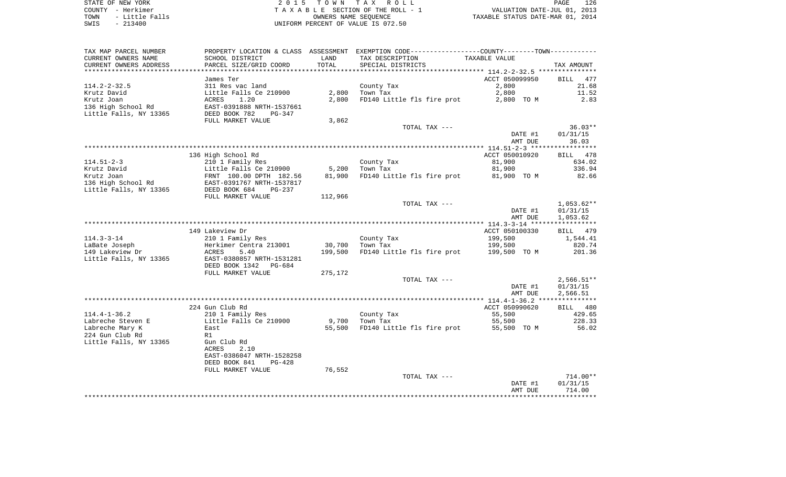STATE OF NEW YORK **EXECUTE:**  $2015$  TOWN TAX ROLL COUNTY - Herkimer<br>
T A X A B L E SECTION OF THE ROLL - 1<br>
TOWN - Little Falls<br>
SWIS - 213400 - 2013400 - UNIFORM PERCENT OF VALUE IS 072.50 TOWN - Little Falls OWNERS NAME SEQUENCE TAXABLE STATUS DATE-MAR 01, 2014 SWIS - 213400 UNIFORM PERCENT OF VALUE IS 072.50

| TAX MAP PARCEL NUMBER  |                           |         | PROPERTY LOCATION & CLASS ASSESSMENT EXEMPTION CODE---------------COUNTY-------TOWN---------- |                          |                          |
|------------------------|---------------------------|---------|-----------------------------------------------------------------------------------------------|--------------------------|--------------------------|
| CURRENT OWNERS NAME    | SCHOOL DISTRICT           | LAND    | TAX DESCRIPTION                                                                               | TAXABLE VALUE            |                          |
| CURRENT OWNERS ADDRESS | PARCEL SIZE/GRID COORD    | TOTAL   | SPECIAL DISTRICTS                                                                             |                          | TAX AMOUNT               |
|                        |                           |         |                                                                                               |                          |                          |
|                        | James Ter                 |         |                                                                                               | ACCT 050099950           | <b>BILL</b><br>477       |
| $114.2 - 2 - 32.5$     | 311 Res vac land          |         | County Tax                                                                                    | 2,800                    | 21.68                    |
| Krutz David            | Little Falls Ce 210900    | 2,800   | Town Tax                                                                                      | 2,800                    | 11.52                    |
| Krutz Joan             | ACRES<br>1.20             | 2,800   | FD140 Little fls fire prot                                                                    | 2,800 TO M               | 2.83                     |
| 136 High School Rd     | EAST-0391888 NRTH-1537661 |         |                                                                                               |                          |                          |
| Little Falls, NY 13365 | DEED BOOK 782<br>$PG-347$ |         |                                                                                               |                          |                          |
|                        | FULL MARKET VALUE         | 3,862   |                                                                                               |                          |                          |
|                        |                           |         | TOTAL TAX ---                                                                                 |                          | $36.03**$                |
|                        |                           |         |                                                                                               | DATE #1                  | 01/31/15                 |
|                        |                           |         |                                                                                               | AMT DUE                  | 36.03                    |
|                        |                           |         |                                                                                               |                          |                          |
|                        | 136 High School Rd        |         |                                                                                               | ACCT 050010920           | BILL 478                 |
| $114.51 - 2 - 3$       | 210 1 Family Res          |         | County Tax                                                                                    | 81,900                   | 634.02                   |
| Krutz David            | Little Falls Ce 210900    | 5,200   | Town Tax                                                                                      | 81,900                   | 336.94                   |
| Krutz Joan             | FRNT 100.00 DPTH 182.56   | 81,900  | FD140 Little fls fire prot                                                                    | 81,900 TO M              | 82.66                    |
| 136 High School Rd     | EAST-0391767 NRTH-1537817 |         |                                                                                               |                          |                          |
| Little Falls, NY 13365 | DEED BOOK 684<br>PG-237   |         |                                                                                               |                          |                          |
|                        | FULL MARKET VALUE         | 112,966 |                                                                                               |                          |                          |
|                        |                           |         | TOTAL TAX ---                                                                                 |                          | $1,053.62**$             |
|                        |                           |         |                                                                                               | DATE #1                  | 01/31/15                 |
|                        |                           |         |                                                                                               | AMT DUE                  | 1,053.62                 |
|                        |                           |         |                                                                                               |                          |                          |
|                        | 149 Lakeview Dr           |         |                                                                                               | ACCT 050100330           | BILL 479                 |
| $114.3 - 3 - 14$       | 210 1 Family Res          |         | County Tax                                                                                    | 199,500                  | 1,544.41                 |
| LaBate Joseph          | Herkimer Centra 213001    | 30,700  | Town Tax                                                                                      | 199,500                  | 820.74                   |
| 149 Lakeview Dr        | ACRES<br>5.40             | 199,500 | FD140 Little fls fire prot                                                                    | 199,500 TO M             | 201.36                   |
| Little Falls, NY 13365 | EAST-0380857 NRTH-1531281 |         |                                                                                               |                          |                          |
|                        | DEED BOOK 1342<br>PG-684  |         |                                                                                               |                          |                          |
|                        |                           |         |                                                                                               |                          |                          |
|                        | FULL MARKET VALUE         | 275,172 | TOTAL TAX ---                                                                                 |                          |                          |
|                        |                           |         |                                                                                               |                          | $2,566.51**$<br>01/31/15 |
|                        |                           |         |                                                                                               | DATE #1<br>AMT DUE       | 2,566.51                 |
|                        |                           |         |                                                                                               |                          |                          |
|                        | 224 Gun Club Rd           |         |                                                                                               |                          | BILL 480                 |
| $114.4 - 1 - 36.2$     | 210 1 Family Res          |         | County Tax                                                                                    | ACCT 050990620<br>55,500 | 429.65                   |
|                        |                           |         |                                                                                               |                          |                          |
| Labreche Steven E      | Little Falls Ce 210900    | 9,700   | Town Tax                                                                                      | 55,500                   | 228.33                   |
| Labreche Mary K        | East                      | 55,500  | FD140 Little fls fire prot                                                                    | 55,500 TO M              | 56.02                    |
| 224 Gun Club Rd        | R1                        |         |                                                                                               |                          |                          |
| Little Falls, NY 13365 | Gun Club Rd               |         |                                                                                               |                          |                          |
|                        | <b>ACRES</b><br>2.10      |         |                                                                                               |                          |                          |
|                        | EAST-0386047 NRTH-1528258 |         |                                                                                               |                          |                          |
|                        | DEED BOOK 841<br>$PG-428$ |         |                                                                                               |                          |                          |
|                        | FULL MARKET VALUE         | 76,552  |                                                                                               |                          |                          |
|                        |                           |         | TOTAL TAX ---                                                                                 |                          | 714.00**                 |
|                        |                           |         |                                                                                               | DATE #1                  | 01/31/15                 |
|                        |                           |         |                                                                                               | AMT DUE                  | 714.00                   |
|                        |                           |         |                                                                                               |                          |                          |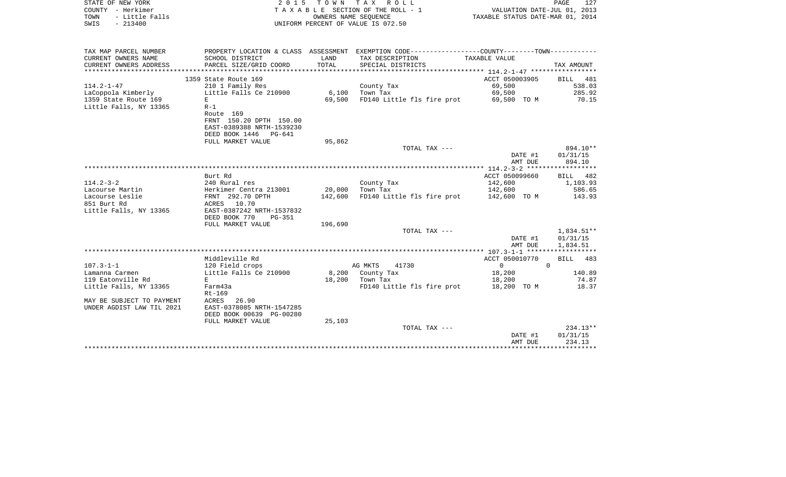| COUNTY - Herkimer<br>TOWN<br>- Little Falls  |                                                           |         | TAXABLE SECTION OF THE ROLL - 1<br>OWNERS NAME SEQUENCE                                                           | VALUATION DATE-JUL 01, 2013<br>TAXABLE STATUS DATE-MAR 01, 2014 |              |
|----------------------------------------------|-----------------------------------------------------------|---------|-------------------------------------------------------------------------------------------------------------------|-----------------------------------------------------------------|--------------|
| $-213400$<br>SWIS                            |                                                           |         | UNIFORM PERCENT OF VALUE IS 072.50                                                                                |                                                                 |              |
|                                              |                                                           |         |                                                                                                                   |                                                                 |              |
| TAX MAP PARCEL NUMBER<br>CURRENT OWNERS NAME | SCHOOL DISTRICT                                           | LAND    | PROPERTY LOCATION & CLASS ASSESSMENT EXEMPTION CODE----------------COUNTY-------TOWN----------<br>TAX DESCRIPTION | TAXABLE VALUE                                                   |              |
| CURRENT OWNERS ADDRESS                       | PARCEL SIZE/GRID COORD                                    | TOTAL   | SPECIAL DISTRICTS                                                                                                 |                                                                 | TAX AMOUNT   |
| ************************                     |                                                           |         |                                                                                                                   |                                                                 |              |
|                                              | 1359 State Route 169                                      |         |                                                                                                                   | ACCT 050003905                                                  | BILL 481     |
| $114.2 - 1 - 47$                             | 210 1 Family Res                                          |         | County Tax                                                                                                        | 69,500                                                          | 538.03       |
| LaCoppola Kimberly                           | Little Falls Ce 210900                                    |         | 6,100 Town Tax                                                                                                    | 69,500                                                          | 285.92       |
| 1359 State Route 169                         | E                                                         | 69,500  | FD140 Little fls fire prot 69,500 TO M                                                                            |                                                                 | 70.15        |
| Little Falls, NY 13365                       | $R-1$                                                     |         |                                                                                                                   |                                                                 |              |
|                                              | Route 169<br>FRNT 150.20 DPTH 150.00                      |         |                                                                                                                   |                                                                 |              |
|                                              |                                                           |         |                                                                                                                   |                                                                 |              |
|                                              | EAST-0389388 NRTH-1539230<br>DEED BOOK 1446 PG-641        |         |                                                                                                                   |                                                                 |              |
|                                              | FULL MARKET VALUE                                         | 95,862  |                                                                                                                   |                                                                 |              |
|                                              |                                                           |         | TOTAL TAX ---                                                                                                     |                                                                 | 894.10**     |
|                                              |                                                           |         |                                                                                                                   | DATE #1                                                         | 01/31/15     |
|                                              |                                                           |         |                                                                                                                   | AMT DUE                                                         | 894.10       |
|                                              |                                                           |         |                                                                                                                   |                                                                 |              |
|                                              | Burt Rd                                                   |         |                                                                                                                   | ACCT 050099660                                                  | BILL 482     |
| 114.2-3-2                                    | 240 Rural res                                             |         | County Tax                                                                                                        | 142,600                                                         | 1,103.93     |
| Lacourse Martin                              |                                                           |         | 20,000 Town Tax                                                                                                   | 142,600                                                         | 586.65       |
| Lacourse Leslie                              | Herkimer Centra 213001<br>FRNT 292.70 DPTH<br>ACRES 10.70 | 142,600 | FD140 Little fls fire prot 142,600 TO M                                                                           |                                                                 | 143.93       |
| 851 Burt Rd                                  |                                                           |         |                                                                                                                   |                                                                 |              |
| Little Falls, NY 13365                       | EAST-0387242 NRTH-1537832                                 |         |                                                                                                                   |                                                                 |              |
|                                              | DEED BOOK 770<br>PG-351                                   |         |                                                                                                                   |                                                                 |              |
|                                              | FULL MARKET VALUE                                         | 196,690 |                                                                                                                   |                                                                 |              |
|                                              |                                                           |         | TOTAL TAX ---                                                                                                     |                                                                 | $1,834.51**$ |
|                                              |                                                           |         |                                                                                                                   | DATE #1                                                         | 01/31/15     |
|                                              |                                                           |         |                                                                                                                   | AMT DUE                                                         | 1,834.51     |
|                                              |                                                           |         |                                                                                                                   |                                                                 |              |
|                                              | Middleville Rd                                            |         |                                                                                                                   | ACCT 050010770                                                  | 483<br>BILL  |
| $107.3 - 1 - 1$                              | 120 Field crops                                           |         | AG MKTS<br>41730                                                                                                  | $0 \qquad \qquad$                                               | $\Omega$     |
| Lamanna Carmen                               | Little Falls Ce 210900                                    |         | 8,200 County Tax                                                                                                  | 18,200                                                          | 140.89       |
| 119 Eatonville Rd                            | $E_{\perp}$                                               |         | 18,200 Town Tax                                                                                                   | 18,200                                                          | 74.87        |
| Little Falls, NY 13365                       | Farm43a<br>Rt-169                                         |         | FD140 Little fls fire prot 18,200 TO M                                                                            |                                                                 | 18.37        |
| MAY BE SUBJECT TO PAYMENT                    | ACRES 26.90                                               |         |                                                                                                                   |                                                                 |              |
| UNDER AGDIST LAW TIL 2021                    | EAST-0378085 NRTH-1547285                                 |         |                                                                                                                   |                                                                 |              |
|                                              | DEED BOOK 00639 PG-00280                                  |         |                                                                                                                   |                                                                 |              |
|                                              | FULL MARKET VALUE                                         | 25,103  |                                                                                                                   |                                                                 |              |
|                                              |                                                           |         | TOTAL TAX ---                                                                                                     |                                                                 | $234.13**$   |
|                                              |                                                           |         |                                                                                                                   | DATE #1                                                         | 01/31/15     |
|                                              |                                                           |         |                                                                                                                   | AMT DUE                                                         | 234.13       |
|                                              |                                                           |         |                                                                                                                   |                                                                 |              |

STATE OF NEW YORK **EXECUTE:**  $2015$  TOWN TAX ROLL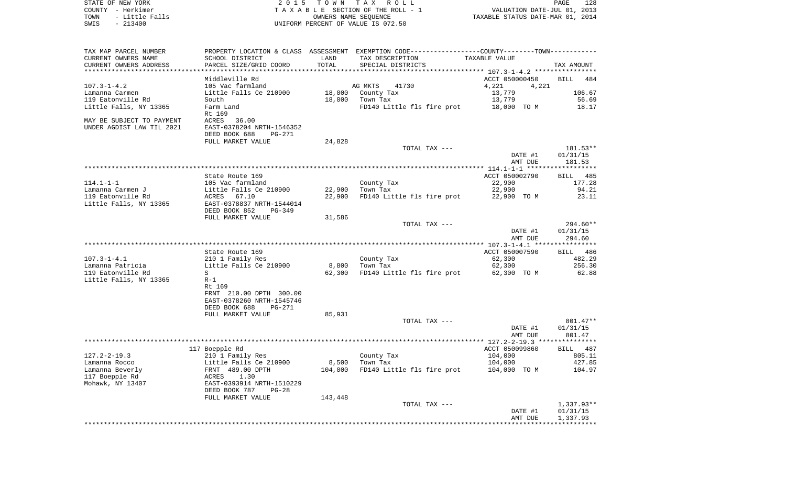| STATE OF NEW YORK                                |                                            |                  | 2015 TOWN TAX ROLL                                                                            |                                  | PAGE<br>128    |
|--------------------------------------------------|--------------------------------------------|------------------|-----------------------------------------------------------------------------------------------|----------------------------------|----------------|
| COUNTY - Herkimer                                |                                            |                  | TAXABLE SECTION OF THE ROLL - 1                                                               | VALUATION DATE-JUL 01, 2013      |                |
| TOWN<br>- Little Falls                           |                                            |                  | OWNERS NAME SEQUENCE                                                                          | TAXABLE STATUS DATE-MAR 01, 2014 |                |
| $-213400$<br>SWIS                                |                                            |                  | UNIFORM PERCENT OF VALUE IS 072.50                                                            |                                  |                |
|                                                  |                                            |                  |                                                                                               |                                  |                |
| TAX MAP PARCEL NUMBER                            |                                            |                  | PROPERTY LOCATION & CLASS ASSESSMENT EXEMPTION CODE---------------COUNTY-------TOWN---------- |                                  |                |
| CURRENT OWNERS NAME                              | SCHOOL DISTRICT                            | LAND             | TAX DESCRIPTION                                                                               | TAXABLE VALUE                    |                |
| CURRENT OWNERS ADDRESS<br>********************** | PARCEL SIZE/GRID COORD                     | TOTAL            | SPECIAL DISTRICTS                                                                             |                                  | TAX AMOUNT     |
|                                                  | Middleville Rd                             |                  |                                                                                               | ACCT 050000450                   | BILL 484       |
| $107.3 - 1 - 4.2$                                | 105 Vac farmland                           |                  | AG MKTS 41730                                                                                 | 4,221<br>4,221                   |                |
| Lamanna Carmen                                   | Little Falls Ce 210900                     |                  | 18,000 County Tax                                                                             | 13,779                           | 106.67         |
| 119 Eatonville Rd                                | South                                      |                  | 18,000 Town Tax                                                                               | 13,779                           | 56.69          |
| Little Falls, NY 13365                           | Farm Land                                  |                  | FD140 Little fls fire prot 18,000 TO M                                                        |                                  | 18.17          |
|                                                  | Rt 169                                     |                  |                                                                                               |                                  |                |
| MAY BE SUBJECT TO PAYMENT                        | ACRES<br>36.00                             |                  |                                                                                               |                                  |                |
| UNDER AGDIST LAW TIL 2021                        | EAST-0378204 NRTH-1546352                  |                  |                                                                                               |                                  |                |
|                                                  | DEED BOOK 688<br>PG-271                    |                  |                                                                                               |                                  |                |
|                                                  | FULL MARKET VALUE                          | 24,828           |                                                                                               |                                  |                |
|                                                  |                                            |                  | TOTAL TAX ---                                                                                 |                                  | 181.53**       |
|                                                  |                                            |                  |                                                                                               | DATE #1                          | 01/31/15       |
|                                                  |                                            |                  |                                                                                               | AMT DUE                          | 181.53         |
|                                                  |                                            |                  |                                                                                               |                                  |                |
|                                                  | State Route 169                            |                  |                                                                                               | ACCT 050002790                   | BILL 485       |
| 114.1-1-1                                        | 105 Vac farmland                           |                  | County Tax                                                                                    | 22,900                           | 177.28         |
| Lamanna Carmen J<br>119 Eatonville Rd            | Little Falls Ce 210900<br>ACRES 67.10      | 22,900<br>22,900 | Town Tax<br>FD140 Little fls fire prot                                                        | 22,900<br>22,900 TO M            | 94.21<br>23.11 |
| Little Falls, NY 13365                           | EAST-0378837 NRTH-1544014                  |                  |                                                                                               |                                  |                |
|                                                  | DEED BOOK 852<br>PG-349                    |                  |                                                                                               |                                  |                |
|                                                  | FULL MARKET VALUE                          | 31,586           |                                                                                               |                                  |                |
|                                                  |                                            |                  | TOTAL TAX ---                                                                                 |                                  | $294.60**$     |
|                                                  |                                            |                  |                                                                                               | DATE #1                          | 01/31/15       |
|                                                  |                                            |                  |                                                                                               | AMT DUE                          | 294.60         |
|                                                  |                                            |                  |                                                                                               |                                  |                |
|                                                  | State Route 169                            |                  |                                                                                               | ACCT 050007590                   | BILL 486       |
| 107.3-1-4.1                                      | 210 1 Family Res                           |                  | County Tax                                                                                    | 62,300                           | 482.29         |
| Lamanna Patricia                                 | Little Falls Ce 210900                     | 8,800            | Town Tax                                                                                      | 62,300                           | 256.30         |
| 119 Eatonville Rd                                | S                                          | 62,300           | FD140 Little fls fire prot                                                                    | 62,300 TO M                      | 62.88          |
| Little Falls, NY 13365                           | $R-1$                                      |                  |                                                                                               |                                  |                |
|                                                  | Rt 169                                     |                  |                                                                                               |                                  |                |
|                                                  | FRNT 210.00 DPTH 300.00                    |                  |                                                                                               |                                  |                |
|                                                  | EAST-0378260 NRTH-1545746<br>DEED BOOK 688 |                  |                                                                                               |                                  |                |
|                                                  | PG-271<br>FULL MARKET VALUE                | 85,931           |                                                                                               |                                  |                |
|                                                  |                                            |                  | TOTAL TAX ---                                                                                 |                                  | 801.47**       |
|                                                  |                                            |                  |                                                                                               | DATE #1                          | 01/31/15       |
|                                                  |                                            |                  |                                                                                               | AMT DUE                          | 801.47         |
|                                                  |                                            |                  |                                                                                               |                                  |                |
|                                                  | 117 Boepple Rd                             |                  |                                                                                               | ACCT 050099860                   | BILL 487       |
| 127.2-2-19.3                                     | 210 1 Family Res                           |                  | County Tax                                                                                    | 104,000                          | 805.11         |
| Lamanna Rocco                                    | Little Falls Ce 210900                     | 8,500            | Town Tax                                                                                      | 104,000                          | 427.85         |
| Lamanna Beverly                                  | FRNT 489.00 DPTH                           | 104,000          | FD140 Little fls fire prot                                                                    | 104,000 TO M                     | 104.97         |
| 117 Boepple Rd                                   | 1.30<br>ACRES                              |                  |                                                                                               |                                  |                |
| Mohawk, NY 13407                                 | EAST-0393914 NRTH-1510229                  |                  |                                                                                               |                                  |                |
|                                                  | DEED BOOK 787<br>$PG-28$                   |                  |                                                                                               |                                  |                |
|                                                  | FULL MARKET VALUE                          | 143,448          |                                                                                               |                                  |                |

TOTAL TAX ---  $\begin{array}{cccc} 1,337.93^{**} \\ -& -& 1,337.93^{**} \\ \end{array}$  DATE #1 01/31/15 AMT DUE 1,337.93 \*\*\*\*\*\*\*\*\*\*\*\*\*\*\*\*\*\*\*\*\*\*\*\*\*\*\*\*\*\*\*\*\*\*\*\*\*\*\*\*\*\*\*\*\*\*\*\*\*\*\*\*\*\*\*\*\*\*\*\*\*\*\*\*\*\*\*\*\*\*\*\*\*\*\*\*\*\*\*\*\*\*\*\*\*\*\*\*\*\*\*\*\*\*\*\*\*\*\*\*\*\*\*\*\*\*\*\*\*\*\*\*\*\*\*\*\*\*\*\*\*\*\*\*\*\*\*\*\*\*\*\*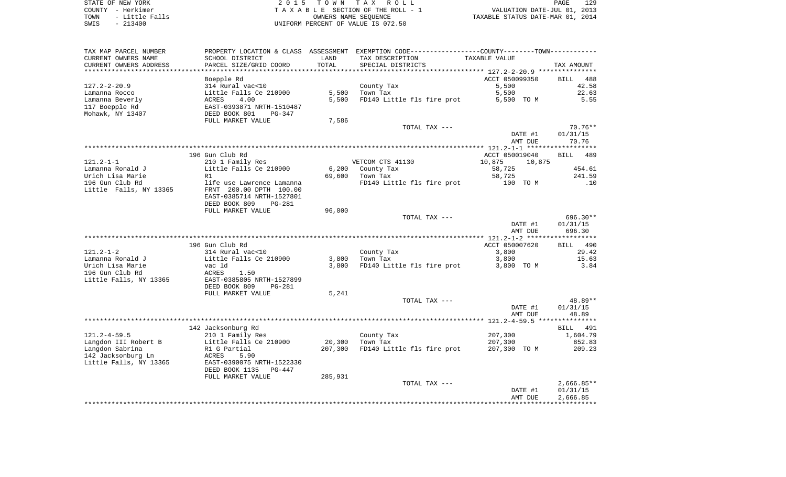STATE OF NEW YORK 2 0 1 5 T O W N T A X R O L L PAGE 129COUNTY - Herkimer<br>
T A X A B L E SECTION OF THE ROLL - 1<br>
TOWN - Little Falls<br>
SWIS - 213400 - 2013400 - UNIFORM PERCENT OF VALUE IS 072.50 TOWN IAA ROLL<br>LE SECTION OF THE ROLL - 1 VALUATION DATE-JUL 01, 2013<br>OWNERS NAME SEQUENCE TAXABLE STATUS DATE-MAR 01, 2014 UNIFORM PERCENT OF VALUE IS 072.50

PAGE 129

| TAX MAP PARCEL NUMBER<br>CURRENT OWNERS NAME<br>CURRENT OWNERS ADDRESS | PROPERTY LOCATION & CLASS ASSESSMENT<br>SCHOOL DISTRICT<br>PARCEL SIZE/GRID COORD | LAND<br>TOTAL | TAX DESCRIPTION<br>SPECIAL DISTRICTS | EXEMPTION CODE-----------------COUNTY-------TOWN-----------<br>TAXABLE VALUE | TAX AMOUNT         |
|------------------------------------------------------------------------|-----------------------------------------------------------------------------------|---------------|--------------------------------------|------------------------------------------------------------------------------|--------------------|
| ******************                                                     |                                                                                   | *********     |                                      | ********************************* 127.2-2-20.9 **********                    |                    |
|                                                                        | Boepple Rd                                                                        |               |                                      | ACCT 050099350                                                               | <b>BILL</b><br>488 |
| $127.2 - 2 - 20.9$                                                     | 314 Rural vac<10                                                                  |               | County Tax                           | 5,500                                                                        | 42.58              |
| Lamanna Rocco                                                          | Little Falls Ce 210900                                                            | 5,500         | Town Tax                             | 5,500                                                                        | 22.63              |
| Lamanna Beverly                                                        | ACRES<br>4.00                                                                     | 5,500         | FD140 Little fls fire prot           | 5,500 TO M                                                                   | 5.55               |
| 117 Boepple Rd                                                         | EAST-0393871 NRTH-1510487                                                         |               |                                      |                                                                              |                    |
| Mohawk, NY 13407                                                       | DEED BOOK 801<br>PG-347                                                           |               |                                      |                                                                              |                    |
|                                                                        | FULL MARKET VALUE                                                                 | 7,586         |                                      |                                                                              |                    |
|                                                                        |                                                                                   |               | TOTAL TAX ---                        |                                                                              | $70.76**$          |
|                                                                        |                                                                                   |               |                                      | DATE #1                                                                      | 01/31/15           |
|                                                                        |                                                                                   |               |                                      | AMT DUE                                                                      | 70.76              |
|                                                                        |                                                                                   |               |                                      |                                                                              |                    |
|                                                                        | 196 Gun Club Rd                                                                   |               |                                      | ACCT 050019040                                                               | <b>BILL</b><br>489 |
| $121.2 - 1 - 1$                                                        | 210 1 Family Res                                                                  |               | VETCOM CTS 41130                     | 10,875<br>10,875                                                             |                    |
| Lamanna Ronald J                                                       | Little Falls Ce 210900                                                            | 6,200         | County Tax                           | 58,725                                                                       | 454.61             |
| Urich Lisa Marie                                                       | R1                                                                                | 69,600        | Town Tax                             | 58,725                                                                       | 241.59             |
| 196 Gun Club Rd                                                        | life use Lawrence Lamanna                                                         |               | FD140 Little fls fire prot           | 100 TO M                                                                     | .10                |
| Little Falls, NY 13365                                                 | FRNT 200.00 DPTH 100.00                                                           |               |                                      |                                                                              |                    |
|                                                                        | EAST-0385714 NRTH-1527801                                                         |               |                                      |                                                                              |                    |
|                                                                        | DEED BOOK 809<br>PG-281                                                           |               |                                      |                                                                              |                    |
|                                                                        | FULL MARKET VALUE                                                                 | 96,000        |                                      |                                                                              |                    |
|                                                                        |                                                                                   |               | TOTAL TAX ---                        |                                                                              | $696.30**$         |
|                                                                        |                                                                                   |               |                                      | DATE #1                                                                      | 01/31/15           |
|                                                                        |                                                                                   |               |                                      | AMT DUE                                                                      | 696.30             |
|                                                                        |                                                                                   |               |                                      |                                                                              | ***********        |
|                                                                        | 196 Gun Club Rd                                                                   |               |                                      | ACCT 050007620                                                               | BILL 490           |
| $121.2 - 1 - 2$                                                        | 314 Rural vac<10                                                                  |               | County Tax                           | 3,800                                                                        | 29.42              |
| Lamanna Ronald J                                                       | Little Falls Ce 210900                                                            | 3,800         | Town Tax                             | 3,800                                                                        | 15.63              |
| Urich Lisa Marie                                                       | vac ld                                                                            | 3,800         | FD140 Little fls fire prot           | 3,800 TO M                                                                   | 3.84               |
| 196 Gun Club Rd                                                        | ACRES<br>1.50                                                                     |               |                                      |                                                                              |                    |
| Little Falls, NY 13365                                                 | EAST-0385805 NRTH-1527899                                                         |               |                                      |                                                                              |                    |
|                                                                        | DEED BOOK 809<br><b>PG-281</b>                                                    |               |                                      |                                                                              |                    |
|                                                                        | FULL MARKET VALUE                                                                 | 5,241         |                                      |                                                                              |                    |
|                                                                        |                                                                                   |               | TOTAL TAX ---                        |                                                                              | 48.89**            |
|                                                                        |                                                                                   |               |                                      | DATE #1                                                                      | 01/31/15           |
|                                                                        |                                                                                   |               |                                      | AMT DUE                                                                      | 48.89              |
|                                                                        |                                                                                   |               |                                      |                                                                              |                    |
|                                                                        | 142 Jacksonburg Rd                                                                |               |                                      |                                                                              | BILL<br>491        |
| $121.2 - 4 - 59.5$                                                     | 210 1 Family Res                                                                  |               | County Tax                           | 207,300                                                                      | 1,604.79           |
| Langdon III Robert B                                                   | Little Falls Ce 210900                                                            | 20,300        | Town Tax                             | 207,300                                                                      | 852.83             |
| Langdon Sabrina                                                        | R1 G Partial                                                                      | 207,300       | FD140 Little fls fire prot           | 207,300 TO M                                                                 | 209.23             |
| 142 Jacksonburg Ln                                                     | ACRES<br>5.90                                                                     |               |                                      |                                                                              |                    |
| Little Falls, NY 13365                                                 | EAST-0390075 NRTH-1522330                                                         |               |                                      |                                                                              |                    |
|                                                                        | DEED BOOK 1135<br>$PG-447$                                                        |               |                                      |                                                                              |                    |
|                                                                        | FULL MARKET VALUE                                                                 | 285,931       | TOTAL TAX ---                        |                                                                              | $2,666.85**$       |
|                                                                        |                                                                                   |               |                                      | DATE #1                                                                      | 01/31/15           |
|                                                                        |                                                                                   |               |                                      | AMT DUE                                                                      | 2,666.85           |
|                                                                        |                                                                                   |               |                                      |                                                                              |                    |
|                                                                        |                                                                                   |               |                                      |                                                                              |                    |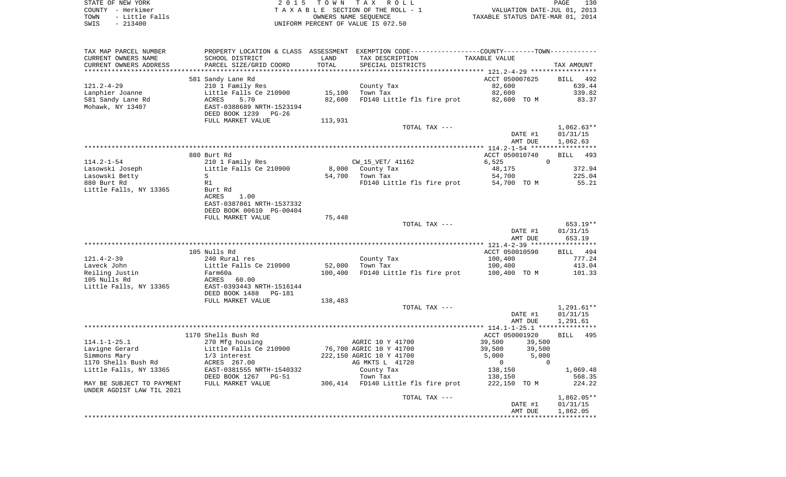STATE OF NEW YORK **EXECUTE:**  $2015$  TOWN TAX ROLL COUNTY - Herkimer<br>
T A X A B L E SECTION OF THE ROLL - 1<br>
TOWN - Little Falls<br>
SWIS - 213400 - 2013400 - UNIFORM PERCENT OF VALUE IS 072.50 TOWN - Little Falls OWNERS NAME SEQUENCE TAXABLE STATUS DATE-MAR 01, 2014 SWIS - 213400 UNIFORM PERCENT OF VALUE IS 072.50

| TAXABLE VALUE<br>CURRENT OWNERS NAME<br>SCHOOL DISTRICT<br>LAND<br>TAX DESCRIPTION<br>TOTAL<br>CURRENT OWNERS ADDRESS<br>PARCEL SIZE/GRID COORD<br>SPECIAL DISTRICTS<br>TAX AMOUNT<br>ACCT 050007625<br>581 Sandy Lane Rd<br>BILL 492<br>$121.2 - 4 - 29$<br>210 1 Family Res<br>County Tax<br>82,600<br>639.44<br>Lanphier Joanne<br>Little Falls Ce 210900<br>Town Tax<br>82,600<br>339.82<br>15,100<br>FD140 Little fls fire prot 82,600 TO M<br>581 Sandy Lane Rd<br>ACRES<br>5.70<br>82,600<br>83.37<br>Mohawk, NY 13407<br>EAST-0388689 NRTH-1523194<br>DEED BOOK 1239 PG-26<br>FULL MARKET VALUE<br>113,931<br>$1,062.63**$<br>TOTAL TAX ---<br>DATE #1<br>01/31/15<br>1,062.63<br>AMT DUE<br>880 Burt Rd<br>ACCT 050010740<br>BILL<br>493<br>$\Omega$<br>$114.2 - 1 - 54$<br>CW_15_VET/ 41162<br>6,525<br>210 1 Family Res<br>Little Falls Ce 210900<br>372.94<br>Lasowski Joseph<br>8,000 County Tax<br>48,175<br>Lasowski Betty<br>Town Tax<br>54,700<br>225.04<br>S<br>54,700<br>880 Burt Rd<br>R1<br>FD140 Little fls fire prot<br>54,700 TO M<br>55.21<br>Little Falls, NY 13365<br>Burt Rd<br><b>ACRES</b><br>1.00<br>EAST-0387861 NRTH-1537332<br>DEED BOOK 00610 PG-00404<br>FULL MARKET VALUE<br>75,448<br>653.19**<br>TOTAL TAX ---<br>DATE #1<br>01/31/15<br>653.19<br>AMT DUE<br>105 Nulls Rd<br>ACCT 050010590<br>BILL 494<br>$121.4 - 2 - 39$<br>240 Rural res<br>County Tax<br>100,400<br>777.24<br>Laveck John<br>Little Falls Ce 210900<br>52,000<br>Town Tax<br>100,400<br>413.04<br>Reiling Justin<br>100,400<br>FD140 Little fls fire prot<br>101.33<br>Farm60a<br>100,400 TO M<br>105 Nulls Rd<br>ACRES<br>60.00<br>Little Falls, NY 13365<br>EAST-0393443 NRTH-1516144<br>DEED BOOK 1488<br>PG-181<br>FULL MARKET VALUE<br>138,483<br>TOTAL TAX ---<br>$1,291.61**$<br>DATE #1<br>01/31/15<br>AMT DUE<br>1,291.61<br>1170 Shells Bush Rd<br>ACCT 050001920<br>BILL 495<br>$114.1 - 1 - 25.1$<br>AGRIC 10 Y 41700<br>39,500<br>270 Mfg housing<br>39,500<br>Lavigne Gerard<br>Little Falls Ce 210900<br>76,700 AGRIC 10 Y 41700<br>39,500<br>39,500<br>Simmons Mary<br>222,150 AGRIC 10 Y 41700<br>5,000<br>5,000<br>1/3 interest<br>1170 Shells Bush Rd<br>ACRES 267.00<br>AG MKTS L 41720<br>$\overline{0}$<br>$\Omega$<br>EAST-0381555 NRTH-1540332<br>Little Falls, NY 13365<br>County Tax<br>138,150<br>1,069.48<br>DEED BOOK 1267 PG-51<br>Town Tax<br>138,150<br>568.35<br>MAY BE SUBJECT TO PAYMENT<br>FULL MARKET VALUE<br>306,414 FD140 Little fls fire prot<br>222,150 TO M<br>224.22<br>UNDER AGDIST LAW TIL 2021<br>1,862.05**<br>TOTAL TAX ---<br>01/31/15<br>DATE #1<br>1,862.05<br>AMT DUE | TAX MAP PARCEL NUMBER | PROPERTY LOCATION & CLASS ASSESSMENT | EXEMPTION CODE-----------------COUNTY-------TOWN----------- |  |
|-----------------------------------------------------------------------------------------------------------------------------------------------------------------------------------------------------------------------------------------------------------------------------------------------------------------------------------------------------------------------------------------------------------------------------------------------------------------------------------------------------------------------------------------------------------------------------------------------------------------------------------------------------------------------------------------------------------------------------------------------------------------------------------------------------------------------------------------------------------------------------------------------------------------------------------------------------------------------------------------------------------------------------------------------------------------------------------------------------------------------------------------------------------------------------------------------------------------------------------------------------------------------------------------------------------------------------------------------------------------------------------------------------------------------------------------------------------------------------------------------------------------------------------------------------------------------------------------------------------------------------------------------------------------------------------------------------------------------------------------------------------------------------------------------------------------------------------------------------------------------------------------------------------------------------------------------------------------------------------------------------------------------------------------------------------------------------------------------------------------------------------------------------------------------------------------------------------------------------------------------------------------------------------------------------------------------------------------------------------------------------------------------------------------------------------------------------------------------------------------------------------------------------------------------------------------------------------------------------------------------------------------|-----------------------|--------------------------------------|-------------------------------------------------------------|--|
|                                                                                                                                                                                                                                                                                                                                                                                                                                                                                                                                                                                                                                                                                                                                                                                                                                                                                                                                                                                                                                                                                                                                                                                                                                                                                                                                                                                                                                                                                                                                                                                                                                                                                                                                                                                                                                                                                                                                                                                                                                                                                                                                                                                                                                                                                                                                                                                                                                                                                                                                                                                                                                         |                       |                                      |                                                             |  |
|                                                                                                                                                                                                                                                                                                                                                                                                                                                                                                                                                                                                                                                                                                                                                                                                                                                                                                                                                                                                                                                                                                                                                                                                                                                                                                                                                                                                                                                                                                                                                                                                                                                                                                                                                                                                                                                                                                                                                                                                                                                                                                                                                                                                                                                                                                                                                                                                                                                                                                                                                                                                                                         |                       |                                      |                                                             |  |
|                                                                                                                                                                                                                                                                                                                                                                                                                                                                                                                                                                                                                                                                                                                                                                                                                                                                                                                                                                                                                                                                                                                                                                                                                                                                                                                                                                                                                                                                                                                                                                                                                                                                                                                                                                                                                                                                                                                                                                                                                                                                                                                                                                                                                                                                                                                                                                                                                                                                                                                                                                                                                                         |                       |                                      |                                                             |  |
|                                                                                                                                                                                                                                                                                                                                                                                                                                                                                                                                                                                                                                                                                                                                                                                                                                                                                                                                                                                                                                                                                                                                                                                                                                                                                                                                                                                                                                                                                                                                                                                                                                                                                                                                                                                                                                                                                                                                                                                                                                                                                                                                                                                                                                                                                                                                                                                                                                                                                                                                                                                                                                         |                       |                                      |                                                             |  |
|                                                                                                                                                                                                                                                                                                                                                                                                                                                                                                                                                                                                                                                                                                                                                                                                                                                                                                                                                                                                                                                                                                                                                                                                                                                                                                                                                                                                                                                                                                                                                                                                                                                                                                                                                                                                                                                                                                                                                                                                                                                                                                                                                                                                                                                                                                                                                                                                                                                                                                                                                                                                                                         |                       |                                      |                                                             |  |
|                                                                                                                                                                                                                                                                                                                                                                                                                                                                                                                                                                                                                                                                                                                                                                                                                                                                                                                                                                                                                                                                                                                                                                                                                                                                                                                                                                                                                                                                                                                                                                                                                                                                                                                                                                                                                                                                                                                                                                                                                                                                                                                                                                                                                                                                                                                                                                                                                                                                                                                                                                                                                                         |                       |                                      |                                                             |  |
|                                                                                                                                                                                                                                                                                                                                                                                                                                                                                                                                                                                                                                                                                                                                                                                                                                                                                                                                                                                                                                                                                                                                                                                                                                                                                                                                                                                                                                                                                                                                                                                                                                                                                                                                                                                                                                                                                                                                                                                                                                                                                                                                                                                                                                                                                                                                                                                                                                                                                                                                                                                                                                         |                       |                                      |                                                             |  |
|                                                                                                                                                                                                                                                                                                                                                                                                                                                                                                                                                                                                                                                                                                                                                                                                                                                                                                                                                                                                                                                                                                                                                                                                                                                                                                                                                                                                                                                                                                                                                                                                                                                                                                                                                                                                                                                                                                                                                                                                                                                                                                                                                                                                                                                                                                                                                                                                                                                                                                                                                                                                                                         |                       |                                      |                                                             |  |
|                                                                                                                                                                                                                                                                                                                                                                                                                                                                                                                                                                                                                                                                                                                                                                                                                                                                                                                                                                                                                                                                                                                                                                                                                                                                                                                                                                                                                                                                                                                                                                                                                                                                                                                                                                                                                                                                                                                                                                                                                                                                                                                                                                                                                                                                                                                                                                                                                                                                                                                                                                                                                                         |                       |                                      |                                                             |  |
|                                                                                                                                                                                                                                                                                                                                                                                                                                                                                                                                                                                                                                                                                                                                                                                                                                                                                                                                                                                                                                                                                                                                                                                                                                                                                                                                                                                                                                                                                                                                                                                                                                                                                                                                                                                                                                                                                                                                                                                                                                                                                                                                                                                                                                                                                                                                                                                                                                                                                                                                                                                                                                         |                       |                                      |                                                             |  |
|                                                                                                                                                                                                                                                                                                                                                                                                                                                                                                                                                                                                                                                                                                                                                                                                                                                                                                                                                                                                                                                                                                                                                                                                                                                                                                                                                                                                                                                                                                                                                                                                                                                                                                                                                                                                                                                                                                                                                                                                                                                                                                                                                                                                                                                                                                                                                                                                                                                                                                                                                                                                                                         |                       |                                      |                                                             |  |
|                                                                                                                                                                                                                                                                                                                                                                                                                                                                                                                                                                                                                                                                                                                                                                                                                                                                                                                                                                                                                                                                                                                                                                                                                                                                                                                                                                                                                                                                                                                                                                                                                                                                                                                                                                                                                                                                                                                                                                                                                                                                                                                                                                                                                                                                                                                                                                                                                                                                                                                                                                                                                                         |                       |                                      |                                                             |  |
|                                                                                                                                                                                                                                                                                                                                                                                                                                                                                                                                                                                                                                                                                                                                                                                                                                                                                                                                                                                                                                                                                                                                                                                                                                                                                                                                                                                                                                                                                                                                                                                                                                                                                                                                                                                                                                                                                                                                                                                                                                                                                                                                                                                                                                                                                                                                                                                                                                                                                                                                                                                                                                         |                       |                                      |                                                             |  |
|                                                                                                                                                                                                                                                                                                                                                                                                                                                                                                                                                                                                                                                                                                                                                                                                                                                                                                                                                                                                                                                                                                                                                                                                                                                                                                                                                                                                                                                                                                                                                                                                                                                                                                                                                                                                                                                                                                                                                                                                                                                                                                                                                                                                                                                                                                                                                                                                                                                                                                                                                                                                                                         |                       |                                      |                                                             |  |
|                                                                                                                                                                                                                                                                                                                                                                                                                                                                                                                                                                                                                                                                                                                                                                                                                                                                                                                                                                                                                                                                                                                                                                                                                                                                                                                                                                                                                                                                                                                                                                                                                                                                                                                                                                                                                                                                                                                                                                                                                                                                                                                                                                                                                                                                                                                                                                                                                                                                                                                                                                                                                                         |                       |                                      |                                                             |  |
|                                                                                                                                                                                                                                                                                                                                                                                                                                                                                                                                                                                                                                                                                                                                                                                                                                                                                                                                                                                                                                                                                                                                                                                                                                                                                                                                                                                                                                                                                                                                                                                                                                                                                                                                                                                                                                                                                                                                                                                                                                                                                                                                                                                                                                                                                                                                                                                                                                                                                                                                                                                                                                         |                       |                                      |                                                             |  |
|                                                                                                                                                                                                                                                                                                                                                                                                                                                                                                                                                                                                                                                                                                                                                                                                                                                                                                                                                                                                                                                                                                                                                                                                                                                                                                                                                                                                                                                                                                                                                                                                                                                                                                                                                                                                                                                                                                                                                                                                                                                                                                                                                                                                                                                                                                                                                                                                                                                                                                                                                                                                                                         |                       |                                      |                                                             |  |
|                                                                                                                                                                                                                                                                                                                                                                                                                                                                                                                                                                                                                                                                                                                                                                                                                                                                                                                                                                                                                                                                                                                                                                                                                                                                                                                                                                                                                                                                                                                                                                                                                                                                                                                                                                                                                                                                                                                                                                                                                                                                                                                                                                                                                                                                                                                                                                                                                                                                                                                                                                                                                                         |                       |                                      |                                                             |  |
|                                                                                                                                                                                                                                                                                                                                                                                                                                                                                                                                                                                                                                                                                                                                                                                                                                                                                                                                                                                                                                                                                                                                                                                                                                                                                                                                                                                                                                                                                                                                                                                                                                                                                                                                                                                                                                                                                                                                                                                                                                                                                                                                                                                                                                                                                                                                                                                                                                                                                                                                                                                                                                         |                       |                                      |                                                             |  |
|                                                                                                                                                                                                                                                                                                                                                                                                                                                                                                                                                                                                                                                                                                                                                                                                                                                                                                                                                                                                                                                                                                                                                                                                                                                                                                                                                                                                                                                                                                                                                                                                                                                                                                                                                                                                                                                                                                                                                                                                                                                                                                                                                                                                                                                                                                                                                                                                                                                                                                                                                                                                                                         |                       |                                      |                                                             |  |
|                                                                                                                                                                                                                                                                                                                                                                                                                                                                                                                                                                                                                                                                                                                                                                                                                                                                                                                                                                                                                                                                                                                                                                                                                                                                                                                                                                                                                                                                                                                                                                                                                                                                                                                                                                                                                                                                                                                                                                                                                                                                                                                                                                                                                                                                                                                                                                                                                                                                                                                                                                                                                                         |                       |                                      |                                                             |  |
|                                                                                                                                                                                                                                                                                                                                                                                                                                                                                                                                                                                                                                                                                                                                                                                                                                                                                                                                                                                                                                                                                                                                                                                                                                                                                                                                                                                                                                                                                                                                                                                                                                                                                                                                                                                                                                                                                                                                                                                                                                                                                                                                                                                                                                                                                                                                                                                                                                                                                                                                                                                                                                         |                       |                                      |                                                             |  |
|                                                                                                                                                                                                                                                                                                                                                                                                                                                                                                                                                                                                                                                                                                                                                                                                                                                                                                                                                                                                                                                                                                                                                                                                                                                                                                                                                                                                                                                                                                                                                                                                                                                                                                                                                                                                                                                                                                                                                                                                                                                                                                                                                                                                                                                                                                                                                                                                                                                                                                                                                                                                                                         |                       |                                      |                                                             |  |
|                                                                                                                                                                                                                                                                                                                                                                                                                                                                                                                                                                                                                                                                                                                                                                                                                                                                                                                                                                                                                                                                                                                                                                                                                                                                                                                                                                                                                                                                                                                                                                                                                                                                                                                                                                                                                                                                                                                                                                                                                                                                                                                                                                                                                                                                                                                                                                                                                                                                                                                                                                                                                                         |                       |                                      |                                                             |  |
|                                                                                                                                                                                                                                                                                                                                                                                                                                                                                                                                                                                                                                                                                                                                                                                                                                                                                                                                                                                                                                                                                                                                                                                                                                                                                                                                                                                                                                                                                                                                                                                                                                                                                                                                                                                                                                                                                                                                                                                                                                                                                                                                                                                                                                                                                                                                                                                                                                                                                                                                                                                                                                         |                       |                                      |                                                             |  |
|                                                                                                                                                                                                                                                                                                                                                                                                                                                                                                                                                                                                                                                                                                                                                                                                                                                                                                                                                                                                                                                                                                                                                                                                                                                                                                                                                                                                                                                                                                                                                                                                                                                                                                                                                                                                                                                                                                                                                                                                                                                                                                                                                                                                                                                                                                                                                                                                                                                                                                                                                                                                                                         |                       |                                      |                                                             |  |
|                                                                                                                                                                                                                                                                                                                                                                                                                                                                                                                                                                                                                                                                                                                                                                                                                                                                                                                                                                                                                                                                                                                                                                                                                                                                                                                                                                                                                                                                                                                                                                                                                                                                                                                                                                                                                                                                                                                                                                                                                                                                                                                                                                                                                                                                                                                                                                                                                                                                                                                                                                                                                                         |                       |                                      |                                                             |  |
|                                                                                                                                                                                                                                                                                                                                                                                                                                                                                                                                                                                                                                                                                                                                                                                                                                                                                                                                                                                                                                                                                                                                                                                                                                                                                                                                                                                                                                                                                                                                                                                                                                                                                                                                                                                                                                                                                                                                                                                                                                                                                                                                                                                                                                                                                                                                                                                                                                                                                                                                                                                                                                         |                       |                                      |                                                             |  |
|                                                                                                                                                                                                                                                                                                                                                                                                                                                                                                                                                                                                                                                                                                                                                                                                                                                                                                                                                                                                                                                                                                                                                                                                                                                                                                                                                                                                                                                                                                                                                                                                                                                                                                                                                                                                                                                                                                                                                                                                                                                                                                                                                                                                                                                                                                                                                                                                                                                                                                                                                                                                                                         |                       |                                      |                                                             |  |
|                                                                                                                                                                                                                                                                                                                                                                                                                                                                                                                                                                                                                                                                                                                                                                                                                                                                                                                                                                                                                                                                                                                                                                                                                                                                                                                                                                                                                                                                                                                                                                                                                                                                                                                                                                                                                                                                                                                                                                                                                                                                                                                                                                                                                                                                                                                                                                                                                                                                                                                                                                                                                                         |                       |                                      |                                                             |  |
|                                                                                                                                                                                                                                                                                                                                                                                                                                                                                                                                                                                                                                                                                                                                                                                                                                                                                                                                                                                                                                                                                                                                                                                                                                                                                                                                                                                                                                                                                                                                                                                                                                                                                                                                                                                                                                                                                                                                                                                                                                                                                                                                                                                                                                                                                                                                                                                                                                                                                                                                                                                                                                         |                       |                                      |                                                             |  |
|                                                                                                                                                                                                                                                                                                                                                                                                                                                                                                                                                                                                                                                                                                                                                                                                                                                                                                                                                                                                                                                                                                                                                                                                                                                                                                                                                                                                                                                                                                                                                                                                                                                                                                                                                                                                                                                                                                                                                                                                                                                                                                                                                                                                                                                                                                                                                                                                                                                                                                                                                                                                                                         |                       |                                      |                                                             |  |
|                                                                                                                                                                                                                                                                                                                                                                                                                                                                                                                                                                                                                                                                                                                                                                                                                                                                                                                                                                                                                                                                                                                                                                                                                                                                                                                                                                                                                                                                                                                                                                                                                                                                                                                                                                                                                                                                                                                                                                                                                                                                                                                                                                                                                                                                                                                                                                                                                                                                                                                                                                                                                                         |                       |                                      |                                                             |  |
|                                                                                                                                                                                                                                                                                                                                                                                                                                                                                                                                                                                                                                                                                                                                                                                                                                                                                                                                                                                                                                                                                                                                                                                                                                                                                                                                                                                                                                                                                                                                                                                                                                                                                                                                                                                                                                                                                                                                                                                                                                                                                                                                                                                                                                                                                                                                                                                                                                                                                                                                                                                                                                         |                       |                                      |                                                             |  |
|                                                                                                                                                                                                                                                                                                                                                                                                                                                                                                                                                                                                                                                                                                                                                                                                                                                                                                                                                                                                                                                                                                                                                                                                                                                                                                                                                                                                                                                                                                                                                                                                                                                                                                                                                                                                                                                                                                                                                                                                                                                                                                                                                                                                                                                                                                                                                                                                                                                                                                                                                                                                                                         |                       |                                      |                                                             |  |
|                                                                                                                                                                                                                                                                                                                                                                                                                                                                                                                                                                                                                                                                                                                                                                                                                                                                                                                                                                                                                                                                                                                                                                                                                                                                                                                                                                                                                                                                                                                                                                                                                                                                                                                                                                                                                                                                                                                                                                                                                                                                                                                                                                                                                                                                                                                                                                                                                                                                                                                                                                                                                                         |                       |                                      |                                                             |  |
|                                                                                                                                                                                                                                                                                                                                                                                                                                                                                                                                                                                                                                                                                                                                                                                                                                                                                                                                                                                                                                                                                                                                                                                                                                                                                                                                                                                                                                                                                                                                                                                                                                                                                                                                                                                                                                                                                                                                                                                                                                                                                                                                                                                                                                                                                                                                                                                                                                                                                                                                                                                                                                         |                       |                                      |                                                             |  |
|                                                                                                                                                                                                                                                                                                                                                                                                                                                                                                                                                                                                                                                                                                                                                                                                                                                                                                                                                                                                                                                                                                                                                                                                                                                                                                                                                                                                                                                                                                                                                                                                                                                                                                                                                                                                                                                                                                                                                                                                                                                                                                                                                                                                                                                                                                                                                                                                                                                                                                                                                                                                                                         |                       |                                      |                                                             |  |
|                                                                                                                                                                                                                                                                                                                                                                                                                                                                                                                                                                                                                                                                                                                                                                                                                                                                                                                                                                                                                                                                                                                                                                                                                                                                                                                                                                                                                                                                                                                                                                                                                                                                                                                                                                                                                                                                                                                                                                                                                                                                                                                                                                                                                                                                                                                                                                                                                                                                                                                                                                                                                                         |                       |                                      |                                                             |  |
|                                                                                                                                                                                                                                                                                                                                                                                                                                                                                                                                                                                                                                                                                                                                                                                                                                                                                                                                                                                                                                                                                                                                                                                                                                                                                                                                                                                                                                                                                                                                                                                                                                                                                                                                                                                                                                                                                                                                                                                                                                                                                                                                                                                                                                                                                                                                                                                                                                                                                                                                                                                                                                         |                       |                                      |                                                             |  |
|                                                                                                                                                                                                                                                                                                                                                                                                                                                                                                                                                                                                                                                                                                                                                                                                                                                                                                                                                                                                                                                                                                                                                                                                                                                                                                                                                                                                                                                                                                                                                                                                                                                                                                                                                                                                                                                                                                                                                                                                                                                                                                                                                                                                                                                                                                                                                                                                                                                                                                                                                                                                                                         |                       |                                      |                                                             |  |
|                                                                                                                                                                                                                                                                                                                                                                                                                                                                                                                                                                                                                                                                                                                                                                                                                                                                                                                                                                                                                                                                                                                                                                                                                                                                                                                                                                                                                                                                                                                                                                                                                                                                                                                                                                                                                                                                                                                                                                                                                                                                                                                                                                                                                                                                                                                                                                                                                                                                                                                                                                                                                                         |                       |                                      |                                                             |  |
|                                                                                                                                                                                                                                                                                                                                                                                                                                                                                                                                                                                                                                                                                                                                                                                                                                                                                                                                                                                                                                                                                                                                                                                                                                                                                                                                                                                                                                                                                                                                                                                                                                                                                                                                                                                                                                                                                                                                                                                                                                                                                                                                                                                                                                                                                                                                                                                                                                                                                                                                                                                                                                         |                       |                                      |                                                             |  |
|                                                                                                                                                                                                                                                                                                                                                                                                                                                                                                                                                                                                                                                                                                                                                                                                                                                                                                                                                                                                                                                                                                                                                                                                                                                                                                                                                                                                                                                                                                                                                                                                                                                                                                                                                                                                                                                                                                                                                                                                                                                                                                                                                                                                                                                                                                                                                                                                                                                                                                                                                                                                                                         |                       |                                      |                                                             |  |
|                                                                                                                                                                                                                                                                                                                                                                                                                                                                                                                                                                                                                                                                                                                                                                                                                                                                                                                                                                                                                                                                                                                                                                                                                                                                                                                                                                                                                                                                                                                                                                                                                                                                                                                                                                                                                                                                                                                                                                                                                                                                                                                                                                                                                                                                                                                                                                                                                                                                                                                                                                                                                                         |                       |                                      |                                                             |  |
|                                                                                                                                                                                                                                                                                                                                                                                                                                                                                                                                                                                                                                                                                                                                                                                                                                                                                                                                                                                                                                                                                                                                                                                                                                                                                                                                                                                                                                                                                                                                                                                                                                                                                                                                                                                                                                                                                                                                                                                                                                                                                                                                                                                                                                                                                                                                                                                                                                                                                                                                                                                                                                         |                       |                                      |                                                             |  |
|                                                                                                                                                                                                                                                                                                                                                                                                                                                                                                                                                                                                                                                                                                                                                                                                                                                                                                                                                                                                                                                                                                                                                                                                                                                                                                                                                                                                                                                                                                                                                                                                                                                                                                                                                                                                                                                                                                                                                                                                                                                                                                                                                                                                                                                                                                                                                                                                                                                                                                                                                                                                                                         |                       |                                      |                                                             |  |
|                                                                                                                                                                                                                                                                                                                                                                                                                                                                                                                                                                                                                                                                                                                                                                                                                                                                                                                                                                                                                                                                                                                                                                                                                                                                                                                                                                                                                                                                                                                                                                                                                                                                                                                                                                                                                                                                                                                                                                                                                                                                                                                                                                                                                                                                                                                                                                                                                                                                                                                                                                                                                                         |                       |                                      |                                                             |  |
|                                                                                                                                                                                                                                                                                                                                                                                                                                                                                                                                                                                                                                                                                                                                                                                                                                                                                                                                                                                                                                                                                                                                                                                                                                                                                                                                                                                                                                                                                                                                                                                                                                                                                                                                                                                                                                                                                                                                                                                                                                                                                                                                                                                                                                                                                                                                                                                                                                                                                                                                                                                                                                         |                       |                                      |                                                             |  |
|                                                                                                                                                                                                                                                                                                                                                                                                                                                                                                                                                                                                                                                                                                                                                                                                                                                                                                                                                                                                                                                                                                                                                                                                                                                                                                                                                                                                                                                                                                                                                                                                                                                                                                                                                                                                                                                                                                                                                                                                                                                                                                                                                                                                                                                                                                                                                                                                                                                                                                                                                                                                                                         |                       |                                      |                                                             |  |
|                                                                                                                                                                                                                                                                                                                                                                                                                                                                                                                                                                                                                                                                                                                                                                                                                                                                                                                                                                                                                                                                                                                                                                                                                                                                                                                                                                                                                                                                                                                                                                                                                                                                                                                                                                                                                                                                                                                                                                                                                                                                                                                                                                                                                                                                                                                                                                                                                                                                                                                                                                                                                                         |                       |                                      |                                                             |  |
|                                                                                                                                                                                                                                                                                                                                                                                                                                                                                                                                                                                                                                                                                                                                                                                                                                                                                                                                                                                                                                                                                                                                                                                                                                                                                                                                                                                                                                                                                                                                                                                                                                                                                                                                                                                                                                                                                                                                                                                                                                                                                                                                                                                                                                                                                                                                                                                                                                                                                                                                                                                                                                         |                       |                                      |                                                             |  |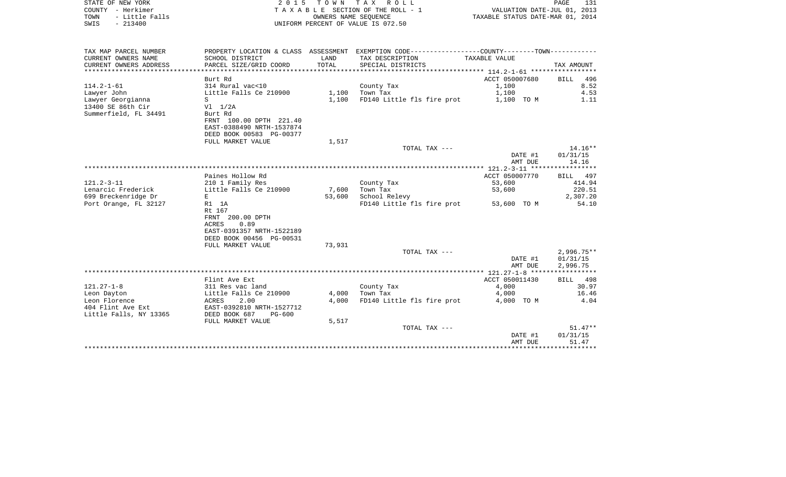| STATE OF NEW YORK<br>COUNTY - Herkimer<br>- Little Falls<br>TOWN<br>$-213400$<br>SWIS | 2 0 1 5                                                                                                       |                | TOWN TAX ROLL<br>TAXABLE SECTION OF THE ROLL - 1<br>OWNERS NAME SEOUENCE<br>UNIFORM PERCENT OF VALUE IS 072.50 | VALUATION DATE-JUL 01, 2013<br>TAXABLE STATUS DATE-MAR 01, 2014 | 131<br>PAGE                          |
|---------------------------------------------------------------------------------------|---------------------------------------------------------------------------------------------------------------|----------------|----------------------------------------------------------------------------------------------------------------|-----------------------------------------------------------------|--------------------------------------|
| TAX MAP PARCEL NUMBER                                                                 |                                                                                                               |                | PROPERTY LOCATION & CLASS ASSESSMENT EXEMPTION CODE---------------COUNTY-------TOWN----------                  |                                                                 |                                      |
| CURRENT OWNERS NAME<br>CURRENT OWNERS ADDRESS                                         | SCHOOL DISTRICT<br>PARCEL SIZE/GRID COORD                                                                     | LAND<br>TOTAL  | TAX DESCRIPTION<br>SPECIAL DISTRICTS                                                                           | TAXABLE VALUE                                                   | TAX AMOUNT                           |
|                                                                                       |                                                                                                               |                |                                                                                                                |                                                                 |                                      |
| $114.2 - 1 - 61$<br>Lawyer John<br>Lawyer Georgianna                                  | Burt Rd<br>314 Rural vac<10<br>Little Falls Ce 210900<br>S                                                    | 1,100<br>1,100 | County Tax<br>Town Tax<br>FD140 Little fls fire prot                                                           | ACCT 050007680<br>1,100<br>1,100<br>1,100 TO M                  | BILL 496<br>8.52<br>4.53<br>1.11     |
| 13400 SE 86th Cir<br>Summerfield, FL 34491                                            | $VI$ $1/2A$<br>Burt Rd<br>FRNT 100.00 DPTH 221.40<br>EAST-0388490 NRTH-1537874<br>DEED BOOK 00583 PG-00377    |                |                                                                                                                |                                                                 |                                      |
|                                                                                       | FULL MARKET VALUE                                                                                             | 1,517          |                                                                                                                |                                                                 |                                      |
|                                                                                       |                                                                                                               |                | TOTAL TAX ---                                                                                                  |                                                                 | $14.16**$                            |
|                                                                                       |                                                                                                               |                |                                                                                                                | DATE #1<br>AMT DUE                                              | 01/31/15<br>14.16                    |
|                                                                                       |                                                                                                               |                |                                                                                                                |                                                                 |                                      |
| 121.2-3-11                                                                            | Paines Hollow Rd<br>210 1 Family Res                                                                          |                | County Tax                                                                                                     | ACCT 050007770<br>53,600                                        | BILL 497<br>414.94                   |
| Lenarcic Frederick                                                                    | Little Falls Ce 210900                                                                                        | 7,600          | Town Tax                                                                                                       | 53,600                                                          | 220.51                               |
| 699 Breckenridge Dr                                                                   | E                                                                                                             | 53,600         | School Relevy                                                                                                  |                                                                 | 2,307.20                             |
| Port Orange, FL 32127                                                                 | R1 1A<br>Rt 167<br>FRNT 200.00 DPTH<br>0.89<br>ACRES<br>EAST-0391357 NRTH-1522189<br>DEED BOOK 00456 PG-00531 |                | FD140 Little fls fire prot                                                                                     | 53,600 TO M                                                     | 54.10                                |
|                                                                                       | FULL MARKET VALUE                                                                                             | 73,931         |                                                                                                                |                                                                 |                                      |
|                                                                                       |                                                                                                               |                | TOTAL TAX ---                                                                                                  | DATE #1<br>AMT DUE                                              | $2,996.75**$<br>01/31/15<br>2,996.75 |
|                                                                                       |                                                                                                               |                |                                                                                                                |                                                                 |                                      |
| 121.27-1-8                                                                            | Flint Ave Ext<br>311 Res vac land                                                                             |                | County Tax                                                                                                     | ACCT 050011430<br>4,000                                         | BILL 498<br>30.97                    |
| Leon Dayton<br>Leon Florence<br>404 Flint Ave Ext<br>Little Falls, NY 13365           | Little Falls Ce 210900<br>ACRES<br>2.00<br>EAST-0392810 NRTH-1527712<br>DEED BOOK 687<br>PG-600               | 4,000<br>4,000 | Town Tax<br>FD140 Little fls fire prot                                                                         | 4,000<br>4,000 TO M                                             | 16.46<br>4.04                        |
|                                                                                       | FULL MARKET VALUE                                                                                             | 5,517          |                                                                                                                |                                                                 |                                      |
|                                                                                       |                                                                                                               |                | TOTAL TAX ---                                                                                                  |                                                                 | $51.47**$                            |
|                                                                                       |                                                                                                               |                |                                                                                                                | DATE #1<br>AMT DUE                                              | 01/31/15<br>51.47                    |

\*\*\*\*\*\*\*\*\*\*\*\*\*\*\*\*\*\*\*\*\*\*\*\*\*\*\*\*\*\*\*\*\*\*\*\*\*\*\*\*\*\*\*\*\*\*\*\*\*\*\*\*\*\*\*\*\*\*\*\*\*\*\*\*\*\*\*\*\*\*\*\*\*\*\*\*\*\*\*\*\*\*\*\*\*\*\*\*\*\*\*\*\*\*\*\*\*\*\*\*\*\*\*\*\*\*\*\*\*\*\*\*\*\*\*\*\*\*\*\*\*\*\*\*\*\*\*\*\*\*\*\*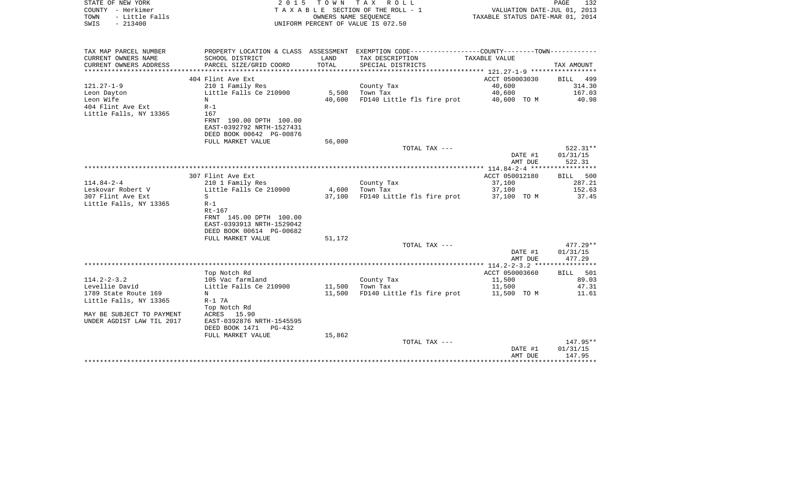| STATE OF NEW YORK<br>COUNTY - Herkimer<br>TOWN<br>- Little Falls<br>$-213400$<br>SWIS | 2 0 1 5                                               | T O W N       | TAX ROLL<br>T A X A B L E SECTION OF THE ROLL - 1<br>OWNERS NAME SEOUENCE<br>UNIFORM PERCENT OF VALUE IS 072.50 | VALUATION DATE-JUL 01, 2013<br>TAXABLE STATUS DATE-MAR 01, 2014 | PAGE<br>132        |
|---------------------------------------------------------------------------------------|-------------------------------------------------------|---------------|-----------------------------------------------------------------------------------------------------------------|-----------------------------------------------------------------|--------------------|
|                                                                                       |                                                       |               |                                                                                                                 |                                                                 |                    |
| TAX MAP PARCEL NUMBER                                                                 |                                                       |               | PROPERTY LOCATION & CLASS ASSESSMENT EXEMPTION CODE---------------COUNTY-------TOWN----------                   |                                                                 |                    |
| CURRENT OWNERS NAME<br>CURRENT OWNERS ADDRESS                                         | SCHOOL DISTRICT<br>PARCEL SIZE/GRID COORD             | LAND<br>TOTAL | TAX DESCRIPTION<br>SPECIAL DISTRICTS                                                                            | TAXABLE VALUE                                                   | TAX AMOUNT         |
|                                                                                       |                                                       |               |                                                                                                                 | *********** 121.27-1-9 ***********                              |                    |
|                                                                                       | 404 Flint Ave Ext                                     |               |                                                                                                                 | ACCT 050003030                                                  | BILL<br>499        |
| $121.27 - 1 - 9$                                                                      | 210 1 Family Res                                      |               | County Tax                                                                                                      | 40,600                                                          | 314.30             |
| Leon Dayton                                                                           | Little Falls Ce 210900                                | 5,500         | Town Tax                                                                                                        | 40,600                                                          | 167.03             |
| Leon Wife<br>404 Flint Ave Ext                                                        | N<br>$R-1$                                            | 40,600        | FD140 Little fls fire prot                                                                                      | 40,600 TO M                                                     | 40.98              |
| Little Falls, NY 13365                                                                | 167                                                   |               |                                                                                                                 |                                                                 |                    |
|                                                                                       | FRNT 190.00 DPTH 100.00                               |               |                                                                                                                 |                                                                 |                    |
|                                                                                       | EAST-0392792 NRTH-1527431                             |               |                                                                                                                 |                                                                 |                    |
|                                                                                       | DEED BOOK 00642 PG-00876                              |               |                                                                                                                 |                                                                 |                    |
|                                                                                       | FULL MARKET VALUE                                     | 56,000        | TOTAL TAX ---                                                                                                   |                                                                 | 522.31**           |
|                                                                                       |                                                       |               |                                                                                                                 | DATE #1                                                         | 01/31/15           |
|                                                                                       |                                                       |               |                                                                                                                 | AMT DUE                                                         | 522.31             |
|                                                                                       |                                                       |               |                                                                                                                 | ***************** 114.84-2-4 ******************                 |                    |
|                                                                                       | 307 Flint Ave Ext                                     |               |                                                                                                                 | ACCT 050012180                                                  | 500<br><b>BILL</b> |
| $114.84 - 2 - 4$<br>Leskovar Robert V                                                 | 210 1 Family Res<br>Little Falls Ce 210900            | 4,600         | County Tax<br>Town Tax                                                                                          | 37,100<br>37,100                                                | 287.21<br>152.63   |
| 307 Flint Ave Ext                                                                     | S                                                     | 37,100        | FD140 Little fls fire prot                                                                                      | 37,100 TO M                                                     | 37.45              |
| Little Falls, NY 13365                                                                | $R-1$                                                 |               |                                                                                                                 |                                                                 |                    |
|                                                                                       | $Rt-167$                                              |               |                                                                                                                 |                                                                 |                    |
|                                                                                       | FRNT 145.00 DPTH 100.00                               |               |                                                                                                                 |                                                                 |                    |
|                                                                                       | EAST-0393913 NRTH-1529042<br>DEED BOOK 00614 PG-00682 |               |                                                                                                                 |                                                                 |                    |
|                                                                                       | FULL MARKET VALUE                                     | 51,172        |                                                                                                                 |                                                                 |                    |
|                                                                                       |                                                       |               | TOTAL TAX ---                                                                                                   |                                                                 | $477.29**$         |
|                                                                                       |                                                       |               |                                                                                                                 | DATE #1                                                         | 01/31/15           |
|                                                                                       |                                                       |               |                                                                                                                 | AMT DUE                                                         | 477.29             |
|                                                                                       | Top Notch Rd                                          |               |                                                                                                                 | ACCT 050003660                                                  | BILL 501           |
| $114.2 - 2 - 3.2$                                                                     | 105 Vac farmland                                      |               | County Tax                                                                                                      | 11,500                                                          | 89.03              |
| Levellie David                                                                        | Little Falls Ce 210900                                | 11,500        | Town Tax                                                                                                        | 11,500                                                          | 47.31              |
| 1789 State Route 169                                                                  | N                                                     | 11,500        | FD140 Little fls fire prot                                                                                      | 11,500 TO M                                                     | 11.61              |
| Little Falls, NY 13365                                                                | $R-1$ 7A                                              |               |                                                                                                                 |                                                                 |                    |
|                                                                                       | Top Notch Rd                                          |               |                                                                                                                 |                                                                 |                    |
| MAY BE SUBJECT TO PAYMENT<br>UNDER AGDIST LAW TIL 2017                                | ACRES<br>15.90<br>EAST-0392876 NRTH-1545595           |               |                                                                                                                 |                                                                 |                    |
|                                                                                       | DEED BOOK 1471<br>$PG-432$                            |               |                                                                                                                 |                                                                 |                    |
|                                                                                       | FULL MARKET VALUE                                     | 15,862        |                                                                                                                 |                                                                 |                    |
|                                                                                       |                                                       |               | TOTAL TAX ---                                                                                                   |                                                                 | 147.95**           |
|                                                                                       |                                                       |               |                                                                                                                 | DATE #1                                                         | 01/31/15           |
|                                                                                       |                                                       |               |                                                                                                                 | AMT DUE                                                         | 147.95             |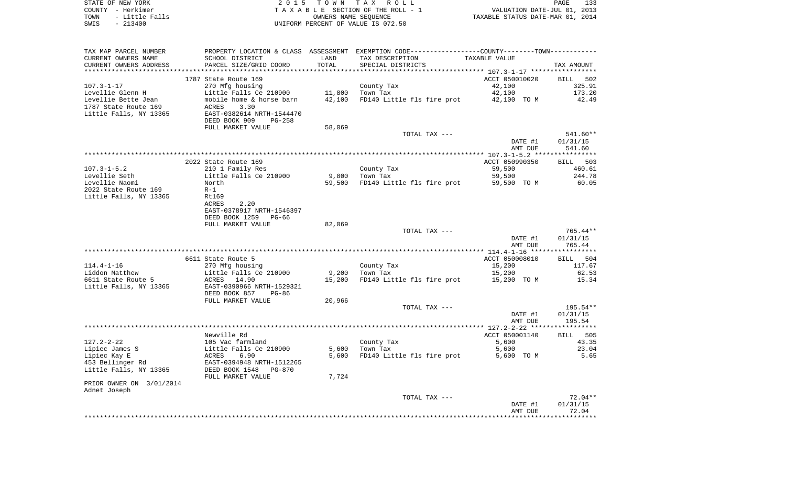| STATE OF NEW YORK      | 2015 TOWN TAX ROLL                 | 133<br>PAGE                      |
|------------------------|------------------------------------|----------------------------------|
| COUNTY - Herkimer      | TAXABLE SECTION OF THE ROLL - 1    | VALUATION DATE-JUL 01, 2013      |
| - Little Falls<br>TOWN | OWNERS NAME SEOUENCE               | TAXABLE STATUS DATE-MAR 01, 2014 |
| - 213400<br>SWIS       | UNIFORM PERCENT OF VALUE IS 072.50 |                                  |

| TAX MAP PARCEL NUMBER                | PROPERTY LOCATION & CLASS ASSESSMENT EXEMPTION CODE---------------COUNTY-------TOWN---------- |        |                            |                       |                 |
|--------------------------------------|-----------------------------------------------------------------------------------------------|--------|----------------------------|-----------------------|-----------------|
| CURRENT OWNERS NAME                  | SCHOOL DISTRICT                                                                               | LAND   | TAX DESCRIPTION            | TAXABLE VALUE         |                 |
| CURRENT OWNERS ADDRESS               | PARCEL SIZE/GRID COORD                                                                        | TOTAL  | SPECIAL DISTRICTS          |                       | TAX AMOUNT      |
| ***********************              | *******************************                                                               |        |                            |                       |                 |
|                                      | 1787 State Route 169                                                                          |        |                            | ACCT 050010020        | BILL 502        |
| $107.3 - 1 - 17$                     | 270 Mfg housing                                                                               |        | County Tax                 | 42,100                | 325.91          |
| Levellie Glenn H                     | Little Falls Ce 210900                                                                        | 11,800 | Town Tax                   | 42,100                | 173.20          |
| Levellie Bette Jean                  | mobile home & horse barn                                                                      | 42,100 | FD140 Little fls fire prot | 42,100 TO M           | 42.49           |
| 1787 State Route 169                 | ACRES<br>3.30                                                                                 |        |                            |                       |                 |
| Little Falls, NY 13365               | EAST-0382614 NRTH-1544470<br>DEED BOOK 909<br>$PG-258$                                        |        |                            |                       |                 |
|                                      | FULL MARKET VALUE                                                                             | 58,069 |                            |                       |                 |
|                                      |                                                                                               |        | TOTAL TAX ---              |                       | 541.60**        |
|                                      |                                                                                               |        |                            | DATE #1               | 01/31/15        |
|                                      |                                                                                               |        |                            | AMT DUE               | 541.60          |
|                                      |                                                                                               |        |                            |                       |                 |
|                                      | 2022 State Route 169                                                                          |        |                            | ACCT 050990350        | BILL 503        |
| $107.3 - 1 - 5.2$                    | 210 1 Family Res                                                                              |        | County Tax                 | 59,500                | 460.61          |
| Levellie Seth                        | Little Falls Ce 210900                                                                        | 9,800  | Town Tax                   | 59,500                | 244.78          |
| Levellie Naomi                       | North                                                                                         | 59,500 | FD140 Little fls fire prot | 59,500 TO M           | 60.05           |
| 2022 State Route 169                 | $R-1$                                                                                         |        |                            |                       |                 |
| Little Falls, NY 13365               | <b>Rt169</b>                                                                                  |        |                            |                       |                 |
|                                      | 2.20<br>ACRES                                                                                 |        |                            |                       |                 |
|                                      | EAST-0378917 NRTH-1546397                                                                     |        |                            |                       |                 |
|                                      | DEED BOOK 1259<br>$PG-66$                                                                     |        |                            |                       |                 |
|                                      | FULL MARKET VALUE                                                                             | 82,069 |                            |                       |                 |
|                                      |                                                                                               |        | TOTAL TAX ---              |                       | 765.44**        |
|                                      |                                                                                               |        |                            | DATE #1               | 01/31/15        |
|                                      |                                                                                               |        |                            | AMT DUE               | 765.44          |
|                                      |                                                                                               |        |                            |                       |                 |
|                                      | 6611 State Route 5                                                                            |        |                            | ACCT 050008010        | BILL 504        |
| $114.4 - 1 - 16$                     | 270 Mfg housing                                                                               | 9,200  | County Tax<br>Town Tax     | 15,200                | 117.67<br>62.53 |
| Liddon Matthew<br>6611 State Route 5 | Little Falls Ce 210900<br>ACRES 14.90                                                         | 15,200 | FD140 Little fls fire prot | 15,200<br>15,200 TO M | 15.34           |
| Little Falls, NY 13365               | EAST-0390966 NRTH-1529321                                                                     |        |                            |                       |                 |
|                                      | DEED BOOK 857<br>PG-86                                                                        |        |                            |                       |                 |
|                                      | FULL MARKET VALUE                                                                             | 20,966 |                            |                       |                 |
|                                      |                                                                                               |        | TOTAL TAX ---              |                       | $195.54**$      |
|                                      |                                                                                               |        |                            | DATE #1               | 01/31/15        |
|                                      |                                                                                               |        |                            | AMT DUE               | 195.54          |
|                                      |                                                                                               |        |                            |                       | **********      |
|                                      | Newville Rd                                                                                   |        |                            | ACCT 050001140        | BILL 505        |
| $127.2 - 2 - 22$                     | 105 Vac farmland                                                                              |        | County Tax                 | 5,600                 | 43.35           |
| Lipiec James S                       | Little Falls Ce 210900                                                                        | 5,600  | Town Tax                   | 5,600                 | 23.04           |
| Lipiec Kay E                         | ACRES<br>6.90                                                                                 | 5,600  | FD140 Little fls fire prot | 5,600 TO M            | 5.65            |
| 453 Bellinger Rd                     | EAST-0394948 NRTH-1512265                                                                     |        |                            |                       |                 |
| Little Falls, NY 13365               | DEED BOOK 1548<br><b>PG-870</b><br>FULL MARKET VALUE                                          | 7,724  |                            |                       |                 |
| PRIOR OWNER ON 3/01/2014             |                                                                                               |        |                            |                       |                 |
| Adnet Joseph                         |                                                                                               |        |                            |                       |                 |
|                                      |                                                                                               |        | TOTAL TAX ---              |                       | $72.04**$       |
|                                      |                                                                                               |        |                            | DATE #1               | 01/31/15        |
|                                      |                                                                                               |        |                            | AMT DUE               | 72.04           |
|                                      |                                                                                               |        |                            |                       | *******         |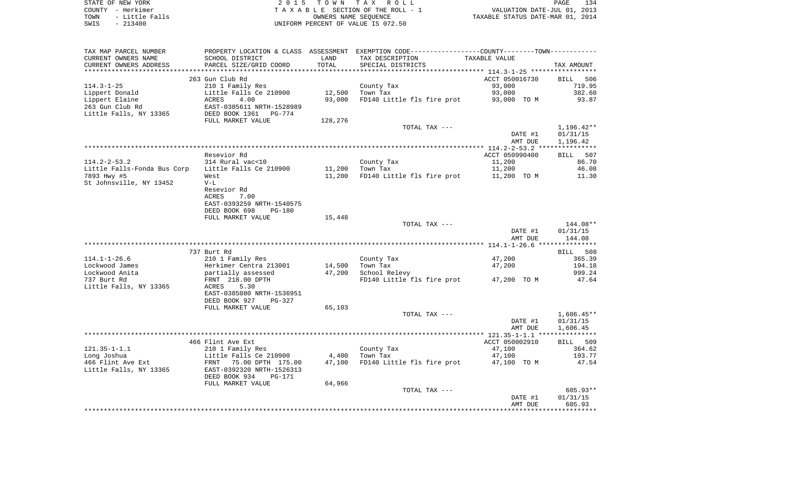| STATE OF NEW YORK       | 2015 TOWN TAX ROLL                  | 134<br>PAGE                      |
|-------------------------|-------------------------------------|----------------------------------|
| COUNTY - Herkimer       | TAXABLE SECTION OF THE ROLL - 1     | VALUATION DATE-JUL 01, 2013      |
| - Little Falls<br>TOWN  | OWNERS NAME SEOUENCE                | TAXABLE STATUS DATE-MAR 01, 2014 |
| - 213400<br><b>CMTC</b> | INITEORM PERCENT OF VALUE IS 072 50 |                                  |

TA X A B L E SECTION OF THE ROLL - 1 SWIS - 213400 UNIFORM PERCENT OF VALUE IS 072.50

| TAX MAP PARCEL NUMBER       | PROPERTY LOCATION & CLASS      | ASSESSMENT | EXEMPTION CODE-----------------COUNTY-------TOWN----------- |                                                  |                       |
|-----------------------------|--------------------------------|------------|-------------------------------------------------------------|--------------------------------------------------|-----------------------|
| CURRENT OWNERS NAME         | SCHOOL DISTRICT                | LAND       | TAX DESCRIPTION                                             | TAXABLE VALUE                                    |                       |
| CURRENT OWNERS ADDRESS      | PARCEL SIZE/GRID COORD         | TOTAL      | SPECIAL DISTRICTS                                           |                                                  | TAX AMOUNT            |
|                             |                                | ********** |                                                             | ****************** 114.3-1-25 ****************** |                       |
|                             | 263 Gun Club Rd                |            |                                                             | ACCT 050016730                                   | <b>BILL</b><br>506    |
| $114.3 - 1 - 25$            | 210 1 Family Res               |            | County Tax                                                  | 93,000                                           | 719.95                |
| Lippert Donald              | Little Falls Ce 210900         | 12,500     | Town Tax                                                    | 93,000                                           | 382.60                |
| Lippert Elaine              | <b>ACRES</b><br>4.00           | 93,000     | FD140 Little fls fire prot                                  | 93,000 TO M                                      | 93.87                 |
| 263 Gun Club Rd             | EAST-0385611 NRTH-1528989      |            |                                                             |                                                  |                       |
| Little Falls, NY 13365      | DEED BOOK 1361<br>PG-774       |            |                                                             |                                                  |                       |
|                             | FULL MARKET VALUE              | 128,276    |                                                             |                                                  |                       |
|                             |                                |            |                                                             |                                                  |                       |
|                             |                                |            | TOTAL TAX ---                                               |                                                  | 1,196.42**            |
|                             |                                |            |                                                             | DATE #1                                          | 01/31/15              |
|                             |                                |            |                                                             | AMT DUE                                          | 1,196.42              |
|                             |                                |            |                                                             |                                                  | * * * * * * * * * * * |
|                             | Resevior Rd                    |            |                                                             | ACCT 050990400                                   | BILL 507              |
| $114.2 - 2 - 53.2$          | 314 Rural vac<10               |            | County Tax                                                  | 11,200                                           | 86.70                 |
| Little Falls-Fonda Bus Corp | Little Falls Ce 210900         | 11,200     | Town Tax                                                    | 11,200                                           | 46.08                 |
| 7893 Hwy #5                 | West                           | 11,200     | FD140 Little fls fire prot                                  | 11,200 TO M                                      | 11.30                 |
| St Johnsville, NY 13452     | $V-L$                          |            |                                                             |                                                  |                       |
|                             | Resevior Rd                    |            |                                                             |                                                  |                       |
|                             | ACRES<br>7.00                  |            |                                                             |                                                  |                       |
|                             | EAST-0393259 NRTH-1540575      |            |                                                             |                                                  |                       |
|                             | DEED BOOK 698<br>PG-180        |            |                                                             |                                                  |                       |
|                             | FULL MARKET VALUE              | 15,448     |                                                             |                                                  |                       |
|                             |                                |            | TOTAL TAX ---                                               |                                                  | 144.08**              |
|                             |                                |            |                                                             | DATE #1                                          | 01/31/15              |
|                             |                                |            |                                                             | AMT DUE                                          | 144.08                |
|                             |                                |            |                                                             |                                                  |                       |
|                             | 737 Burt Rd                    |            |                                                             |                                                  | 508<br><b>BILL</b>    |
| $114.1 - 1 - 26.6$          | 210 1 Family Res               |            | County Tax                                                  | 47,200                                           | 365.39                |
| Lockwood James              | Herkimer Centra 213001         | 14,500     | Town Tax                                                    | 47,200                                           | 194.18                |
| Lockwood Anita              | partially assessed             | 47,200     | School Relevy                                               |                                                  | 999.24                |
| 737 Burt Rd                 | FRNT 218.00 DPTH               |            | FD140 Little fls fire prot                                  | 47,200 TO M                                      | 47.64                 |
|                             |                                |            |                                                             |                                                  |                       |
| Little Falls, NY 13365      | 5.30<br>ACRES                  |            |                                                             |                                                  |                       |
|                             | EAST-0385080 NRTH-1536951      |            |                                                             |                                                  |                       |
|                             | DEED BOOK 927<br>$PG-327$      |            |                                                             |                                                  |                       |
|                             | FULL MARKET VALUE              | 65,103     |                                                             |                                                  |                       |
|                             |                                |            | TOTAL TAX ---                                               |                                                  | $1,606.45**$          |
|                             |                                |            |                                                             | DATE #1                                          | 01/31/15              |
|                             |                                |            |                                                             | AMT DUE                                          | 1,606.45              |
|                             |                                |            |                                                             |                                                  |                       |
|                             | 466 Flint Ave Ext              |            |                                                             | ACCT 050002910                                   | BILL 509              |
| $121.35 - 1 - 1.1$          | 210 1 Family Res               |            | County Tax                                                  | 47,100                                           | 364.62                |
| Long Joshua                 | Little Falls Ce 210900         | 4,400      | Town Tax                                                    | 47,100                                           | 193.77                |
| 466 Flint Ave Ext           | FRNT 75.00 DPTH 175.00         | 47,100     | FD140 Little fls fire prot                                  | 47,100 TO M                                      | 47.54                 |
| Little Falls, NY 13365      | EAST-0392320 NRTH-1526313      |            |                                                             |                                                  |                       |
|                             | DEED BOOK 934<br><b>PG-171</b> |            |                                                             |                                                  |                       |
|                             | FULL MARKET VALUE              | 64,966     |                                                             |                                                  |                       |
|                             |                                |            | TOTAL TAX ---                                               |                                                  | 605.93**              |
|                             |                                |            |                                                             | DATE #1                                          | 01/31/15              |
|                             |                                |            |                                                             | AMT DUE                                          | 605.93                |
|                             |                                |            |                                                             |                                                  |                       |
|                             |                                |            |                                                             |                                                  |                       |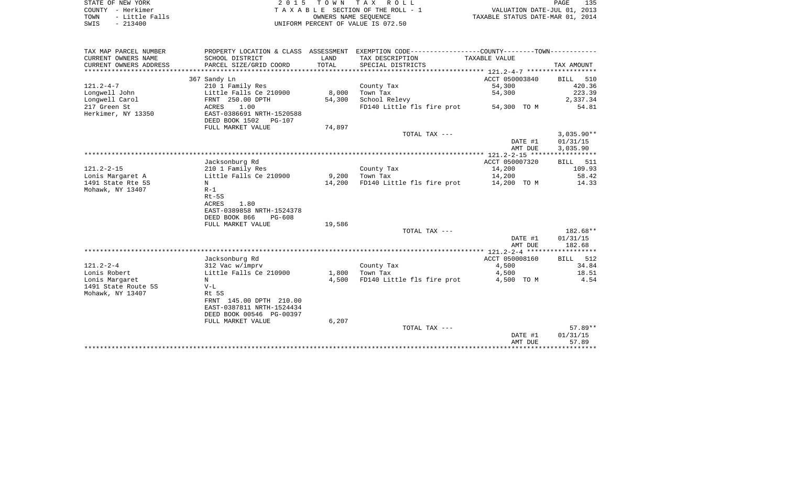|      | STATE OF NEW YORK | 2015 TOWN TAX ROLL                 | 135<br>PAGE                      |
|------|-------------------|------------------------------------|----------------------------------|
|      | COUNTY - Herkimer | TAXABLE SECTION OF THE ROLL - 1    | VALUATION DATE-JUL 01, 2013      |
| TOWN | - Little Falls    | OWNERS NAME SEOUENCE               | TAXABLE STATUS DATE-MAR 01, 2014 |
| SWIS | $-213400$         | UNIFORM PERCENT OF VALUE IS 072.50 |                                  |

| TAX MAP PARCEL NUMBER  |                           |        | PROPERTY LOCATION & CLASS ASSESSMENT EXEMPTION CODE----------------COUNTY--------TOWN---------- |                |                    |
|------------------------|---------------------------|--------|-------------------------------------------------------------------------------------------------|----------------|--------------------|
| CURRENT OWNERS NAME    | SCHOOL DISTRICT           | LAND   | TAX DESCRIPTION                                                                                 | TAXABLE VALUE  |                    |
| CURRENT OWNERS ADDRESS | PARCEL SIZE/GRID COORD    | TOTAL  | SPECIAL DISTRICTS                                                                               |                | TAX AMOUNT         |
|                        |                           |        |                                                                                                 |                |                    |
|                        | 367 Sandy Ln              |        |                                                                                                 | ACCT 050003840 | BILL 510           |
| $121.2 - 4 - 7$        | 210 1 Family Res          |        | County Tax                                                                                      | 54,300         | 420.36             |
| Longwell John          | Little Falls Ce 210900    | 8,000  | Town Tax                                                                                        | 54,300         | 223.39             |
| Lonqwell Carol         | FRNT 250.00 DPTH          | 54,300 | School Relevy                                                                                   |                | 2,337.34           |
| 217 Green St           | 1.00<br>ACRES             |        | FD140 Little fls fire prot                                                                      | 54,300 TO M    | 54.81              |
| Herkimer, NY 13350     | EAST-0386691 NRTH-1520588 |        |                                                                                                 |                |                    |
|                        | DEED BOOK 1502<br>PG-107  |        |                                                                                                 |                |                    |
|                        | FULL MARKET VALUE         | 74,897 |                                                                                                 |                |                    |
|                        |                           |        | TOTAL TAX ---                                                                                   |                | $3,035.90**$       |
|                        |                           |        |                                                                                                 | DATE #1        | 01/31/15           |
|                        |                           |        |                                                                                                 | AMT DUE        | 3,035.90           |
|                        |                           |        |                                                                                                 |                |                    |
|                        | Jacksonburg Rd            |        |                                                                                                 | ACCT 050007320 | <b>BILL</b><br>511 |
| $121.2 - 2 - 15$       | 210 1 Family Res          |        | County Tax                                                                                      | 14,200         | 109.93             |
| Lonis Margaret A       | Little Falls Ce 210900    | 9,200  | Town Tax                                                                                        | 14,200         | 58.42              |
| 1491 State Rte 5S      | N                         | 14,200 | FD140 Little fls fire prot                                                                      | 14,200 TO M    | 14.33              |
| Mohawk, NY 13407       | $R-1$                     |        |                                                                                                 |                |                    |
|                        | Rt-5S                     |        |                                                                                                 |                |                    |
|                        | ACRES<br>1.80             |        |                                                                                                 |                |                    |
|                        | EAST-0389858 NRTH-1524378 |        |                                                                                                 |                |                    |
|                        | DEED BOOK 866<br>PG-608   |        |                                                                                                 |                |                    |
|                        | FULL MARKET VALUE         | 19,586 |                                                                                                 |                |                    |
|                        |                           |        | TOTAL TAX ---                                                                                   |                | 182.68**           |
|                        |                           |        |                                                                                                 | DATE #1        | 01/31/15           |
|                        |                           |        |                                                                                                 | AMT DUE        | 182.68             |
|                        |                           |        |                                                                                                 |                |                    |
|                        | Jacksonburg Rd            |        |                                                                                                 | ACCT 050008160 | <b>BILL</b><br>512 |
| $121.2 - 2 - 4$        | 312 Vac w/imprv           |        | County Tax                                                                                      | 4,500          | 34.84              |
| Lonis Robert           | Little Falls Ce 210900    | 1,800  | Town Tax                                                                                        | 4,500          | 18.51              |
| Lonis Margaret         | N                         | 4,500  | FD140 Little fls fire prot                                                                      | 4,500 TO M     | 4.54               |
| 1491 State Route 5S    | $V-L$                     |        |                                                                                                 |                |                    |
| Mohawk, NY 13407       | Rt 5S                     |        |                                                                                                 |                |                    |
|                        | FRNT 145.00 DPTH 210.00   |        |                                                                                                 |                |                    |
|                        | EAST-0387811 NRTH-1524434 |        |                                                                                                 |                |                    |
|                        | DEED BOOK 00546 PG-00397  |        |                                                                                                 |                |                    |
|                        | FULL MARKET VALUE         | 6,207  |                                                                                                 |                |                    |
|                        |                           |        | TOTAL TAX ---                                                                                   |                | 57.89**            |
|                        |                           |        |                                                                                                 | DATE #1        | 01/31/15           |
|                        |                           |        |                                                                                                 | AMT DUE        | 57.89              |
|                        |                           |        |                                                                                                 |                |                    |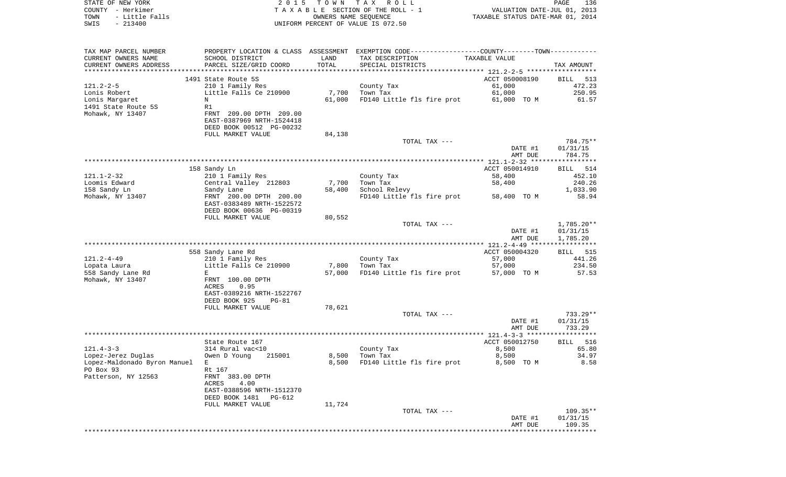| COUNTY - Herkimer<br>TOWN<br>- Little Falls<br>SWIS<br>$-213400$ |                                                      |        | TAXABLE SECTION OF THE ROLL - 1<br>OWNERS NAME SEQUENCE<br>UNIFORM PERCENT OF VALUE IS 072.50 | VALUATION DATE-JUL 01, 2013<br>TAXABLE STATUS DATE-MAR 01, 2014 |                      |
|------------------------------------------------------------------|------------------------------------------------------|--------|-----------------------------------------------------------------------------------------------|-----------------------------------------------------------------|----------------------|
|                                                                  |                                                      |        |                                                                                               |                                                                 |                      |
| TAX MAP PARCEL NUMBER                                            |                                                      |        | PROPERTY LOCATION & CLASS ASSESSMENT EXEMPTION CODE---------------COUNTY-------TOWN---------- |                                                                 |                      |
| CURRENT OWNERS NAME                                              | SCHOOL DISTRICT                                      | LAND   | TAX DESCRIPTION                                                                               | TAXABLE VALUE                                                   |                      |
| CURRENT OWNERS ADDRESS                                           | PARCEL SIZE/GRID COORD                               | TOTAL  | SPECIAL DISTRICTS                                                                             |                                                                 | TAX AMOUNT           |
|                                                                  |                                                      |        |                                                                                               |                                                                 |                      |
|                                                                  | 1491 State Route 5S                                  |        |                                                                                               | ACCT 050008190                                                  | BILL 513             |
| $121.2 - 2 - 5$<br>Lonis Robert                                  | 210 1 Family Res<br>Little Falls Ce 210900           | 7,700  | County Tax<br>Town Tax                                                                        | 61,000<br>61,000                                                | 472.23<br>250.95     |
| Lonis Margaret                                                   | N                                                    | 61,000 | FD140 Little fls fire prot 61,000 TO M                                                        |                                                                 | 61.57                |
| 1491 State Route 5S                                              | R1                                                   |        |                                                                                               |                                                                 |                      |
| Mohawk, NY 13407                                                 | FRNT 209.00 DPTH 209.00                              |        |                                                                                               |                                                                 |                      |
|                                                                  | EAST-0387969 NRTH-1524418                            |        |                                                                                               |                                                                 |                      |
|                                                                  | DEED BOOK 00512 PG-00232                             |        |                                                                                               |                                                                 |                      |
|                                                                  | FULL MARKET VALUE                                    | 84,138 |                                                                                               |                                                                 |                      |
|                                                                  |                                                      |        | TOTAL TAX ---                                                                                 | DATE #1                                                         | 784.75**<br>01/31/15 |
|                                                                  |                                                      |        |                                                                                               | AMT DUE                                                         | 784.75               |
|                                                                  |                                                      |        |                                                                                               |                                                                 |                      |
|                                                                  | 158 Sandy Ln                                         |        |                                                                                               | ACCT 050014910                                                  | 514<br>BILL          |
| 121.1-2-32                                                       | 210 1 Family Res                                     |        | County Tax                                                                                    | 58,400                                                          | 452.10               |
| Loomis Edward                                                    | Central Valley 212803                                | 7,700  | Town Tax                                                                                      | 58,400                                                          | 240.26               |
| 158 Sandy Ln                                                     | Sandy Lane                                           | 58,400 | School Relevy<br>FD140 Little fls fire prot 58,400 TO M                                       |                                                                 | 1,033.90             |
| Mohawk, NY 13407                                                 | FRNT 200.00 DPTH 200.00<br>EAST-0383489 NRTH-1522572 |        |                                                                                               |                                                                 | 58.94                |
|                                                                  | DEED BOOK 00636 PG-00319                             |        |                                                                                               |                                                                 |                      |
|                                                                  | FULL MARKET VALUE                                    | 80,552 |                                                                                               |                                                                 |                      |
|                                                                  |                                                      |        | TOTAL TAX ---                                                                                 |                                                                 | 1,785.20**           |
|                                                                  |                                                      |        |                                                                                               | DATE #1                                                         | 01/31/15             |
|                                                                  |                                                      |        |                                                                                               | AMT DUE                                                         | 1,785.20             |
|                                                                  | 558 Sandy Lane Rd                                    |        |                                                                                               | ACCT 050004320                                                  | BILL 515             |
| 121.2-4-49                                                       | 210 1 Family Res                                     |        | County Tax                                                                                    | 57,000                                                          | 441.26               |
| Lopata Laura                                                     | Little Falls Ce 210900                               | 7,800  | Town Tax                                                                                      | 57,000                                                          | 234.50               |
| 558 Sandy Lane Rd                                                | Е                                                    | 57,000 | FD140 Little fls fire prot                                                                    | 57,000 TO M                                                     | 57.53                |
| Mohawk, NY 13407                                                 | FRNT 100.00 DPTH                                     |        |                                                                                               |                                                                 |                      |
|                                                                  | ACRES<br>0.95<br>EAST-0389216 NRTH-1522767           |        |                                                                                               |                                                                 |                      |
|                                                                  | DEED BOOK 925<br>$PG-81$                             |        |                                                                                               |                                                                 |                      |
|                                                                  | FULL MARKET VALUE                                    | 78,621 |                                                                                               |                                                                 |                      |
|                                                                  |                                                      |        | TOTAL TAX ---                                                                                 |                                                                 | 733.29**             |
|                                                                  |                                                      |        |                                                                                               | DATE #1                                                         | 01/31/15             |
|                                                                  |                                                      |        |                                                                                               | AMT DUE                                                         | 733.29               |
|                                                                  | State Route 167                                      |        |                                                                                               | ACCT 050012750                                                  | BILL<br>516          |
| $121.4 - 3 - 3$                                                  | 314 Rural vac<10                                     |        | County Tax                                                                                    | 8,500                                                           | 65.80                |
| Lopez-Jerez Duglas                                               | Owen D Young 215001                                  |        | 8,500 Town Tax                                                                                | 8,500                                                           | 34.97                |
| Lopez-Maldonado Byron Manuel                                     | Е                                                    | 8,500  | FD140 Little fls fire prot                                                                    | 8,500 TO M                                                      | 8.58                 |
| PO Box 93                                                        | Rt 167                                               |        |                                                                                               |                                                                 |                      |
| Patterson, NY 12563                                              | FRNT 383.00 DPTH                                     |        |                                                                                               |                                                                 |                      |
|                                                                  | ACRES<br>4.00<br>EAST-0388596 NRTH-1512370           |        |                                                                                               |                                                                 |                      |
|                                                                  | DEED BOOK 1481<br>PG-612                             |        |                                                                                               |                                                                 |                      |
|                                                                  | FULL MARKET VALUE                                    | 11,724 |                                                                                               |                                                                 |                      |
|                                                                  |                                                      |        | TOTAL TAX ---                                                                                 |                                                                 | $109.35**$           |
|                                                                  |                                                      |        |                                                                                               | DATE #1                                                         | 01/31/15             |
|                                                                  |                                                      |        |                                                                                               | AMT DUE                                                         | 109.35               |
|                                                                  |                                                      |        |                                                                                               |                                                                 |                      |

STATE OF NEW YORK **EXECUTE:**  $2015$  TOWN TAX ROLL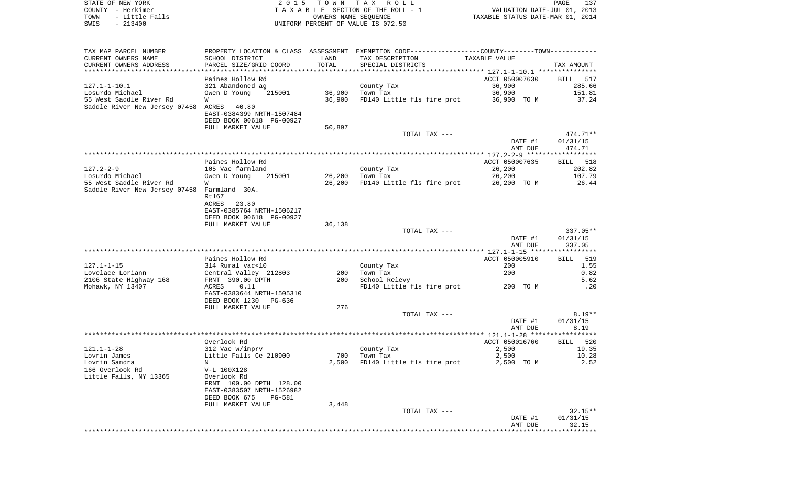| TOWN<br>SWIS                     | - Little Falls<br>$-213400$                   |                                                                | OWNERS NAME SEQUENCE | UNIFORM PERCENT OF VALUE IS 072.50                                                            | TAXABLE STATUS DATE-MAR 01, 2014 |                      |
|----------------------------------|-----------------------------------------------|----------------------------------------------------------------|----------------------|-----------------------------------------------------------------------------------------------|----------------------------------|----------------------|
|                                  |                                               |                                                                |                      |                                                                                               |                                  |                      |
|                                  | TAX MAP PARCEL NUMBER                         |                                                                |                      | PROPERTY LOCATION & CLASS ASSESSMENT EXEMPTION CODE---------------COUNTY-------TOWN---------- |                                  |                      |
|                                  | CURRENT OWNERS NAME<br>CURRENT OWNERS ADDRESS | SCHOOL DISTRICT<br>PARCEL SIZE/GRID COORD                      | LAND<br>TOTAL        | TAX DESCRIPTION<br>SPECIAL DISTRICTS                                                          | TAXABLE VALUE                    | TAX AMOUNT           |
|                                  |                                               | Paines Hollow Rd                                               |                      |                                                                                               | ACCT 050007630                   | BILL 517             |
| $127.1 - 1 - 10.1$               |                                               | 321 Abandoned ag                                               |                      | County Tax                                                                                    | 36,900                           | 285.66               |
|                                  | Losurdo Michael                               | Owen D Young<br>215001                                         | 36,900               | Town Tax                                                                                      | 36,900                           | 151.81               |
|                                  | 55 West Saddle River Rd                       | W                                                              | 36,900               | FD140 Little fls fire prot                                                                    | 36,900 TO M                      | 37.24                |
|                                  | Saddle River New Jersey 07458 ACRES           | 40.80<br>EAST-0384399 NRTH-1507484<br>DEED BOOK 00618 PG-00927 |                      |                                                                                               |                                  |                      |
|                                  |                                               | FULL MARKET VALUE                                              | 50,897               |                                                                                               |                                  |                      |
|                                  |                                               |                                                                |                      | TOTAL TAX ---                                                                                 |                                  | 474.71**             |
|                                  |                                               |                                                                |                      |                                                                                               | DATE #1<br>AMT DUE               | 01/31/15<br>474.71   |
|                                  |                                               |                                                                |                      |                                                                                               |                                  |                      |
|                                  |                                               | Paines Hollow Rd                                               |                      |                                                                                               | ACCT 050007635                   | BILL 518             |
| $127.2 - 2 - 9$                  |                                               | 105 Vac farmland                                               |                      | County Tax                                                                                    | 26,200                           | 202.82               |
|                                  | Losurdo Michael<br>55 West Saddle River Rd    | Owen D Young<br>215001<br>W                                    | 26,200<br>26,200     | Town Tax<br>FD140 Little fls fire prot                                                        | 26,200<br>26,200 TO M            | 107.79<br>26.44      |
|                                  | Saddle River New Jersey 07458 Farmland 30A.   | Rt167                                                          |                      |                                                                                               |                                  |                      |
|                                  |                                               | 23.80<br>ACRES                                                 |                      |                                                                                               |                                  |                      |
|                                  |                                               | EAST-0385764 NRTH-1506217<br>DEED BOOK 00618 PG-00927          |                      |                                                                                               |                                  |                      |
|                                  |                                               | FULL MARKET VALUE                                              | 36,138               |                                                                                               |                                  |                      |
|                                  |                                               |                                                                |                      | TOTAL TAX ---                                                                                 |                                  | $337.05**$           |
|                                  |                                               |                                                                |                      |                                                                                               | DATE #1<br>AMT DUE               | 01/31/15<br>337.05   |
|                                  |                                               |                                                                |                      |                                                                                               |                                  |                      |
|                                  |                                               | Paines Hollow Rd                                               |                      |                                                                                               | ACCT 050005910                   | BILL<br>519          |
| 127.1-1-15                       |                                               | 314 Rural vac<10                                               |                      | County Tax                                                                                    | 200                              | 1.55                 |
|                                  | Lovelace Loriann                              | Central Valley 212803                                          | 200                  | Town Tax                                                                                      | 200                              | 0.82                 |
|                                  | 2106 State Highway 168<br>Mohawk, NY 13407    | FRNT 390.00 DPTH<br>0.11<br>ACRES                              | 200                  | School Relevy<br>FD140 Little fls fire prot                                                   | 200 TO M                         | 5.62<br>.20          |
|                                  |                                               | EAST-0383644 NRTH-1505310                                      |                      |                                                                                               |                                  |                      |
|                                  |                                               | DEED BOOK 1230<br>PG-636                                       |                      |                                                                                               |                                  |                      |
|                                  |                                               | FULL MARKET VALUE                                              | 276                  |                                                                                               |                                  |                      |
|                                  |                                               |                                                                |                      | TOTAL TAX ---                                                                                 | DATE #1                          | $8.19**$<br>01/31/15 |
|                                  |                                               |                                                                |                      |                                                                                               | AMT DUE                          | 8.19                 |
|                                  |                                               |                                                                |                      |                                                                                               |                                  |                      |
|                                  |                                               | Overlook Rd                                                    |                      |                                                                                               | ACCT 050016760                   | BILL 520             |
| $121.1 - 1 - 28$<br>Lovrin James |                                               | 312 Vac w/imprv<br>Little Falls Ce 210900                      | 700                  | County Tax<br>Town Tax                                                                        | 2,500<br>2,500                   | 19.35<br>10.28       |
| Lovrin Sandra                    |                                               | $\mathbf N$                                                    |                      | 2,500 FD140 Little fls fire prot                                                              | 2,500 TO M                       | 2.52                 |
| 166 Overlook Rd                  |                                               | V-L 100X128                                                    |                      |                                                                                               |                                  |                      |
|                                  | Little Falls, NY 13365                        | Overlook Rd                                                    |                      |                                                                                               |                                  |                      |
|                                  |                                               | FRNT 100.00 DPTH 128.00<br>EAST-0383507 NRTH-1526982           |                      |                                                                                               |                                  |                      |
|                                  |                                               | DEED BOOK 675<br>PG-581<br>FULL MARKET VALUE                   | 3,448                |                                                                                               |                                  |                      |
|                                  |                                               |                                                                |                      | TOTAL TAX ---                                                                                 |                                  | $32.15**$            |
|                                  |                                               |                                                                |                      |                                                                                               | DATE #1                          | 01/31/15             |
|                                  |                                               |                                                                |                      |                                                                                               | AMT DUE                          | 32.15                |
|                                  |                                               |                                                                |                      |                                                                                               |                                  |                      |

STATE OF NEW YORK 2 0 1 5 T O W N T A X R O L L PAGE 137 COUNTY - Herkimer T A X A B L E SECTION OF THE ROLL - 1 VALUATION DATE-JUL 01, 2013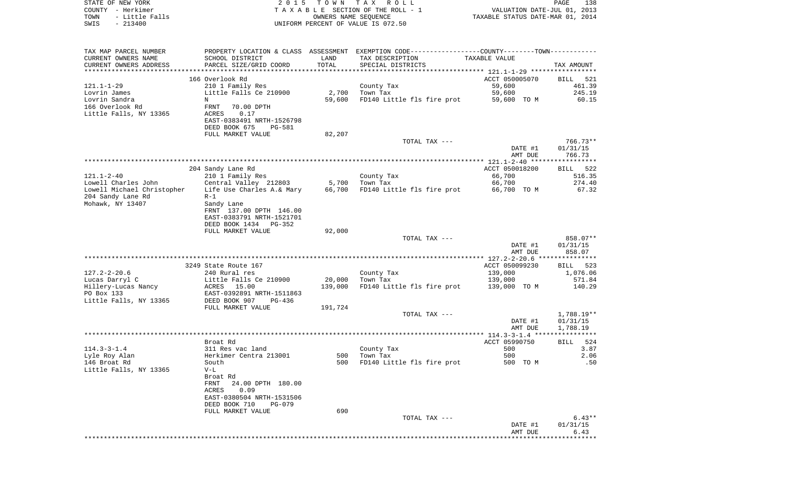| STATE OF NEW YORK<br>COUNTY - Herkimer<br>TOWN<br>- Little Falls<br>SWIS<br>$-213400$ | 2 0 1 5                                      | T O W N           | TAX ROLL<br>TAXABLE SECTION OF THE ROLL - 1<br>OWNERS NAME SEQUENCE                           | VALUATION DATE-JUL 01, 2013<br>TAXABLE STATUS DATE-MAR 01, 2014 | $\mathop{\mathtt{PAGE}}$<br>138 |
|---------------------------------------------------------------------------------------|----------------------------------------------|-------------------|-----------------------------------------------------------------------------------------------|-----------------------------------------------------------------|---------------------------------|
|                                                                                       |                                              |                   | UNIFORM PERCENT OF VALUE IS 072.50                                                            |                                                                 |                                 |
| TAX MAP PARCEL NUMBER                                                                 |                                              |                   | PROPERTY LOCATION & CLASS ASSESSMENT EXEMPTION CODE---------------COUNTY-------TOWN---------- |                                                                 |                                 |
| CURRENT OWNERS NAME                                                                   | SCHOOL DISTRICT                              | LAND              | TAX DESCRIPTION                                                                               | TAXABLE VALUE                                                   |                                 |
| CURRENT OWNERS ADDRESS                                                                | PARCEL SIZE/GRID COORD                       | TOTAL             | SPECIAL DISTRICTS                                                                             |                                                                 | TAX AMOUNT                      |
| ********************                                                                  |                                              | ***************   |                                                                                               |                                                                 |                                 |
| $121.1 - 1 - 29$                                                                      | 166 Overlook Rd<br>210 1 Family Res          |                   | County Tax                                                                                    | ACCT 050005070<br>59,600                                        | BILL<br>521<br>461.39           |
| Lovrin James                                                                          | Little Falls Ce 210900                       | 2,700             | Town Tax                                                                                      | 59,600                                                          | 245.19                          |
| Lovrin Sandra                                                                         | N                                            | 59,600            | FD140 Little fls fire prot                                                                    | 59,600 TO M                                                     | 60.15                           |
| 166 Overlook Rd                                                                       | FRNT<br>70.00 DPTH                           |                   |                                                                                               |                                                                 |                                 |
| Little Falls, NY 13365                                                                | ACRES<br>0.17                                |                   |                                                                                               |                                                                 |                                 |
|                                                                                       | EAST-0383491 NRTH-1526798                    |                   |                                                                                               |                                                                 |                                 |
|                                                                                       | DEED BOOK 675<br>PG-581<br>FULL MARKET VALUE | 82,207            |                                                                                               |                                                                 |                                 |
|                                                                                       |                                              |                   | TOTAL TAX ---                                                                                 |                                                                 | $766.73**$                      |
|                                                                                       |                                              |                   |                                                                                               | DATE #1                                                         | 01/31/15                        |
|                                                                                       |                                              |                   |                                                                                               | AMT DUE                                                         | 766.73                          |
|                                                                                       |                                              |                   |                                                                                               |                                                                 |                                 |
|                                                                                       | 204 Sandy Lane Rd                            |                   |                                                                                               | ACCT 050018200                                                  | 522<br>BILL                     |
| $121.1 - 2 - 40$<br>Lowell Charles John                                               | 210 1 Family Res<br>Central Valley 212803    | 5,700             | County Tax<br>Town Tax                                                                        | 66,700<br>66,700                                                | 516.35<br>274.40                |
| Lowell Michael Christopher                                                            | Life Use Charles A.& Mary                    | 66,700            | FD140 Little fls fire prot                                                                    | 66,700 TO M                                                     | 67.32                           |
| 204 Sandy Lane Rd                                                                     | $R-1$                                        |                   |                                                                                               |                                                                 |                                 |
| Mohawk, NY 13407                                                                      | Sandy Lane                                   |                   |                                                                                               |                                                                 |                                 |
|                                                                                       | FRNT 137.00 DPTH 146.00                      |                   |                                                                                               |                                                                 |                                 |
|                                                                                       | EAST-0383791 NRTH-1521701                    |                   |                                                                                               |                                                                 |                                 |
|                                                                                       | DEED BOOK 1434<br>$PG-352$                   |                   |                                                                                               |                                                                 |                                 |
|                                                                                       | FULL MARKET VALUE                            | 92,000            | TOTAL TAX ---                                                                                 |                                                                 | 858.07**                        |
|                                                                                       |                                              |                   |                                                                                               | DATE #1                                                         | 01/31/15                        |
|                                                                                       |                                              |                   |                                                                                               | AMT DUE                                                         | 858.07                          |
|                                                                                       |                                              |                   |                                                                                               |                                                                 |                                 |
|                                                                                       | 3249 State Route 167                         |                   |                                                                                               | ACCT 050099230                                                  | 523<br>BILL                     |
| $127.2 - 2 - 20.6$                                                                    | 240 Rural res                                |                   | County Tax<br>Town Tax                                                                        | 139,000                                                         | 1,076.06<br>571.84              |
| Lucas Darryl C<br>Hillery-Lucas Nancy                                                 | Little Falls Ce 210900<br>ACRES<br>15.00     | 20,000<br>139,000 | FD140 Little fls fire prot                                                                    | 139,000<br>139,000 TO M                                         | 140.29                          |
| PO Box 133                                                                            | EAST-0392891 NRTH-1511863                    |                   |                                                                                               |                                                                 |                                 |
| Little Falls, NY 13365                                                                | DEED BOOK 907<br>PG-436                      |                   |                                                                                               |                                                                 |                                 |
|                                                                                       | FULL MARKET VALUE                            | 191,724           |                                                                                               |                                                                 |                                 |
|                                                                                       |                                              |                   | TOTAL TAX ---                                                                                 |                                                                 | 1,788.19**                      |
|                                                                                       |                                              |                   |                                                                                               | DATE #1                                                         | 01/31/15                        |
|                                                                                       |                                              |                   |                                                                                               | AMT DUE                                                         | 1,788.19<br>****                |
|                                                                                       | Broat Rd                                     |                   |                                                                                               | ACCT 05990750                                                   | 524<br>BILL                     |
| $114.3 - 3 - 1.4$                                                                     | 311 Res vac land                             |                   | County Tax                                                                                    | 500                                                             | 3.87                            |
| Lyle Roy Alan                                                                         | Herkimer Centra 213001                       | 500               | Town Tax                                                                                      | 500                                                             | 2.06                            |
| 146 Broat Rd                                                                          | South                                        | 500               | FD140 Little fls fire prot                                                                    | 500 TO M                                                        | .50                             |
| Little Falls, NY 13365                                                                | $V-L$                                        |                   |                                                                                               |                                                                 |                                 |
|                                                                                       | Broat Rd<br>24.00 DPTH 180.00<br>FRNT        |                   |                                                                                               |                                                                 |                                 |
|                                                                                       | 0.09<br>ACRES                                |                   |                                                                                               |                                                                 |                                 |
|                                                                                       | EAST-0380504 NRTH-1531506                    |                   |                                                                                               |                                                                 |                                 |
|                                                                                       | DEED BOOK 710<br><b>PG-079</b>               |                   |                                                                                               |                                                                 |                                 |
|                                                                                       | FULL MARKET VALUE                            | 690               |                                                                                               |                                                                 |                                 |
|                                                                                       |                                              |                   | TOTAL TAX ---                                                                                 |                                                                 | $6.43**$                        |
|                                                                                       |                                              |                   |                                                                                               | DATE #1<br>AMT DUE                                              | 01/31/15<br>6.43                |
|                                                                                       |                                              |                   |                                                                                               |                                                                 | * * * * * * * * * * * * * *     |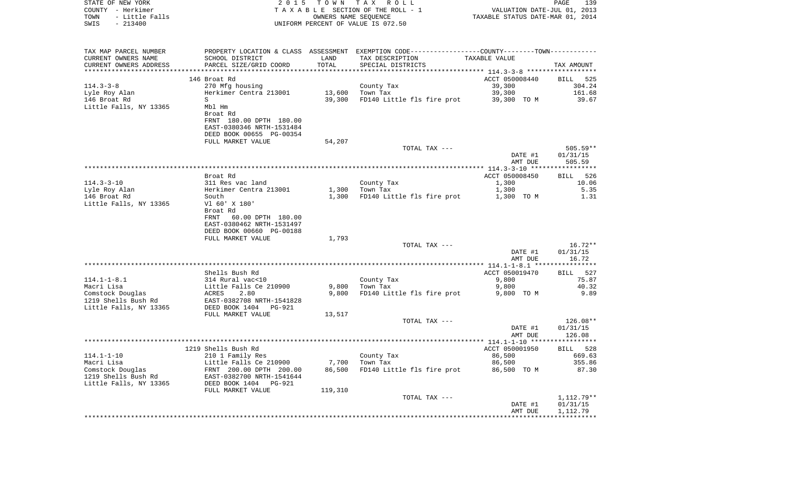| COUNTY - Herkimer<br>- Little Falls<br>TOWN   | 2 0 1 5                                                                                     | T O W N<br>OWNERS NAME SEQUENCE | TAX ROLL<br>TAXABLE SECTION OF THE ROLL - 1                                                   | TAXABLE STATUS DATE-MAR 01, 2014                 | PAGE<br>139<br>VALUATION DATE-JUL 01, 2013 |
|-----------------------------------------------|---------------------------------------------------------------------------------------------|---------------------------------|-----------------------------------------------------------------------------------------------|--------------------------------------------------|--------------------------------------------|
| $-213400$<br>SWIS                             |                                                                                             |                                 | UNIFORM PERCENT OF VALUE IS 072.50                                                            |                                                  |                                            |
| TAX MAP PARCEL NUMBER                         |                                                                                             |                                 | PROPERTY LOCATION & CLASS ASSESSMENT EXEMPTION CODE---------------COUNTY-------TOWN---------- |                                                  |                                            |
| CURRENT OWNERS NAME<br>CURRENT OWNERS ADDRESS | SCHOOL DISTRICT<br>PARCEL SIZE/GRID COORD                                                   | LAND<br>TOTAL                   | TAX DESCRIPTION<br>SPECIAL DISTRICTS                                                          | TAXABLE VALUE                                    | TAX AMOUNT                                 |
| ************************                      |                                                                                             |                                 |                                                                                               |                                                  |                                            |
| 146 Broat Rd                                  |                                                                                             |                                 |                                                                                               | ACCT 050008440                                   | BILL<br>525                                |
| $114.3 - 3 - 8$                               | 270 Mfg housing                                                                             |                                 | County Tax                                                                                    | 39,300                                           | 304.24                                     |
| Lyle Roy Alan                                 | Herkimer Centra 213001                                                                      | 13,600                          | Town Tax                                                                                      | 39,300                                           | 161.68                                     |
| 146 Broat Rd<br>S                             |                                                                                             | 39,300                          | FD140 Little fls fire prot                                                                    | 39,300 TO M                                      | 39.67                                      |
| Little Falls, NY 13365<br>Mbl Hm<br>Broat Rd  |                                                                                             |                                 |                                                                                               |                                                  |                                            |
|                                               | FRNT 180.00 DPTH 180.00<br>EAST-0380346 NRTH-1531484<br>DEED BOOK 00655 PG-00354            |                                 |                                                                                               |                                                  |                                            |
|                                               | FULL MARKET VALUE                                                                           | 54,207                          |                                                                                               |                                                  |                                            |
|                                               |                                                                                             |                                 | TOTAL TAX ---                                                                                 | DATE #1                                          | $505.59**$<br>01/31/15                     |
|                                               |                                                                                             |                                 |                                                                                               | AMT DUE                                          | 505.59                                     |
| Broat Rd                                      |                                                                                             |                                 |                                                                                               | ACCT 050008450                                   | 526<br>BILL                                |
| $114.3 - 3 - 10$                              | 311 Res vac land                                                                            |                                 | County Tax                                                                                    | 1,300                                            | 10.06                                      |
| Lyle Roy Alan                                 | Herkimer Centra 213001                                                                      | 1,300                           | Town Tax                                                                                      | 1,300                                            | 5.35                                       |
| 146 Broat Rd<br>South                         |                                                                                             | 1,300                           | FD140 Little fls fire prot                                                                    | 1,300 TO M                                       | 1.31                                       |
| Little Falls, NY 13365<br>Broat Rd<br>FRNT    | V1 60' X 180'<br>60.00 DPTH 180.00<br>EAST-0380462 NRTH-1531497<br>DEED BOOK 00660 PG-00188 |                                 |                                                                                               |                                                  |                                            |
|                                               | FULL MARKET VALUE                                                                           | 1,793                           |                                                                                               |                                                  |                                            |
|                                               |                                                                                             |                                 | TOTAL TAX ---                                                                                 | DATE #1<br>AMT DUE                               | $16.72**$<br>01/31/15<br>16.72             |
|                                               | ***************************                                                                 |                                 | ***********************************                                                           | ****************** 114.1-1-8.1 ***************** |                                            |
|                                               | Shells Bush Rd                                                                              |                                 |                                                                                               | ACCT 050019470                                   | BILL 527                                   |
| $114.1 - 1 - 8.1$<br>Macri Lisa               | 314 Rural vac<10<br>Little Falls Ce 210900                                                  |                                 | County Tax                                                                                    | 9,800                                            | 75.87<br>40.32                             |
| Comstock Douglas<br>ACRES                     | 2.80                                                                                        | 9,800<br>9,800                  | Town Tax<br>FD140 Little fls fire prot                                                        | 9,800<br>9,800 TO M                              | 9.89                                       |
| 1219 Shells Bush Rd<br>Little Falls, NY 13365 | EAST-0382708 NRTH-1541828<br>DEED BOOK 1404 PG-921                                          |                                 |                                                                                               |                                                  |                                            |
|                                               | FULL MARKET VALUE                                                                           | 13,517                          |                                                                                               |                                                  |                                            |
|                                               |                                                                                             |                                 | TOTAL TAX ---                                                                                 | DATE #1                                          | 126.08**<br>01/31/15                       |
|                                               |                                                                                             |                                 |                                                                                               | AMT DUE                                          | 126.08                                     |
|                                               |                                                                                             |                                 |                                                                                               |                                                  |                                            |
| 1219 Shells Bush Rd                           |                                                                                             |                                 |                                                                                               | ACCT 050001950                                   | 528<br>BILL                                |
| $114.1 - 1 - 10$                              | 210 1 Family Res                                                                            |                                 | County Tax                                                                                    | 86,500                                           | 669.63                                     |
| Macri Lisa                                    | Little Falls Ce 210900                                                                      | 7,700                           | Town Tax                                                                                      | 86,500                                           | 355.86                                     |
| Comstock Douglas<br>1219 Shells Bush Rd       | FRNT 200.00 DPTH 200.00<br>EAST-0382700 NRTH-1541644                                        | 86,500                          | FD140 Little fls fire prot                                                                    | 86,500 TO M                                      | 87.30                                      |
| Little Falls, NY 13365                        | DEED BOOK 1404<br>PG-921                                                                    |                                 |                                                                                               |                                                  |                                            |
|                                               | FULL MARKET VALUE                                                                           | 119,310                         |                                                                                               |                                                  |                                            |
|                                               |                                                                                             |                                 | TOTAL TAX ---                                                                                 | DATE #1                                          | 1,112.79**<br>01/31/15                     |
|                                               |                                                                                             |                                 |                                                                                               | AMT DUE                                          | 1,112.79                                   |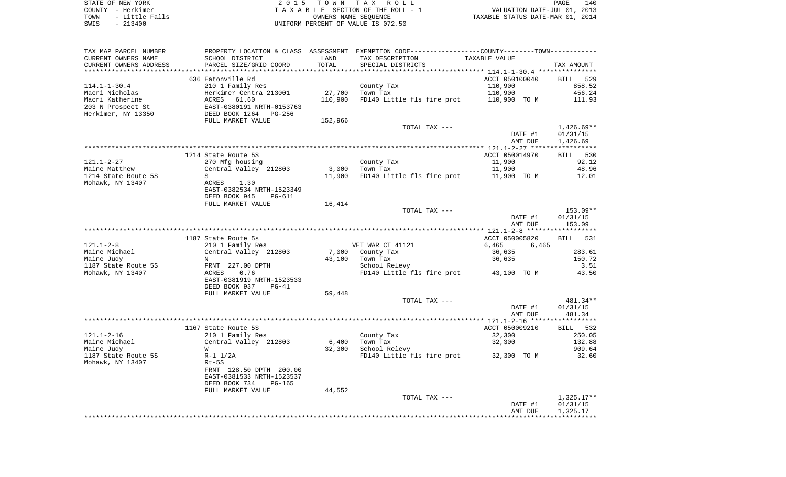STATE OF NEW YORK 2 0 1 5 T O W N T A X R O L L PAGE 140COUNTY - Herkimer **T A X A B L E** SECTION OF THE ROLL - 1 VALUATION DATE-JUL 01, 2013 TOWN - Little Falls OWNERS NAME SEQUENCE TAXABLE STATUS DATE-MAR 01, 2014 SWIS - 213400 UNIFORM PERCENT OF VALUE IS 072.50

TAX MAP PARCEL NUMBER PROPERTY LOCATION & CLASS ASSESSMENT EXEMPTION CODE------------------COUNTY--------TOWN------------ CURRENT OWNERS NAME SCHOOL DISTRICT LAND TAX DESCRIPTION TAXABLE VALUECURRENT OWNERS ADDRESS PARCEL SIZE/GRID COORD TOTAL SPECIAL DISTRICTS TAX AMOUNT \*\*\*\*\*\*\*\*\*\*\*\*\*\*\*\*\*\*\*\*\*\*\*\*\*\*\*\*\*\*\*\*\*\*\*\*\*\*\*\*\*\*\*\*\*\*\*\*\*\*\*\*\*\*\*\*\*\*\*\*\*\*\*\*\*\*\*\*\*\*\*\*\*\*\*\*\*\*\*\*\*\*\*\*\*\*\*\*\*\*\*\*\*\*\*\*\*\*\*\*\*\*\* 114.1-1-30.4 \*\*\*\*\*\*\*\*\*\*\*\*\*\*\* 636 Eatonville Rd ACCT 050100040 BILL 529858.52 114.1-1-30.4 210 1 Family Res County Tax 2001 858.5210.900 Macri Nicholas 6.24 Herkimer Centra 213001 27,700 Town Tax 110,900 110,900 456.24 Macri Katherine **ACRES** 61.60 110,900 FD140 Little fls fire prot 110,900 TO M 111.93 203 N Prospect St EAST-0380191 NRTH-0153763 Herkimer, NY 13350 DEED BOOK 1264 PG-256 FULL MARKET VALUE 152,966 TOTAL TAX --- 1,426.69\*\* DATE #1 01/31/15 AMT DUE 1,426.69 \*\*\*\*\*\*\*\*\*\*\*\*\*\*\*\*\*\*\*\*\*\*\*\*\*\*\*\*\*\*\*\*\*\*\*\*\*\*\*\*\*\*\*\*\*\*\*\*\*\*\*\*\*\*\*\*\*\*\*\*\*\*\*\*\*\*\*\*\*\*\*\*\*\*\*\*\*\*\*\*\*\*\*\*\*\*\*\*\*\*\*\*\*\*\*\*\*\*\*\*\*\*\* 121.1-2-27 \*\*\*\*\*\*\*\*\*\*\*\*\*\*\*\*\*1214 State Route 5S ACCT 050014970 BILL 530 121.1-2-27 270 Mfg housing County Tax 11,900 92.12 Maine Matthew Central Valley 212803 3,000 Town Tax 11,900 13,960 48.96 1214 State Route 5S S 11,900 FD140 Little fls fire prot 11,900 TO M 12.01 Mohawk, NY 13407 **ACRES** 1.30 EAST-0382534 NRTH-1523349 DEED BOOK 945 PG-611FULL MARKET VALUE 16,414 TOTAL TAX --- 153.09\*\* DATE #1 01/31/15 AMT DUE 153.09 \*\*\*\*\*\*\*\*\*\*\*\*\*\*\*\*\*\*\*\*\*\*\*\*\*\*\*\*\*\*\*\*\*\*\*\*\*\*\*\*\*\*\*\*\*\*\*\*\*\*\*\*\*\*\*\*\*\*\*\*\*\*\*\*\*\*\*\*\*\*\*\*\*\*\*\*\*\*\*\*\*\*\*\*\*\*\*\*\*\*\*\*\*\*\*\*\*\*\*\*\*\*\* 121.1-2-8 \*\*\*\*\*\*\*\*\*\*\*\*\*\*\*\*\*\***BILL** 531 1187 State Route 5s ACCT 050005820 BILL 531 ACCT 050005820 121.1-2-8 210 1 Family Res VET WAR CT 41121 6,465 6,465 Maine Michael Central Valley 212803 7,000 County Tax 36,635 283.61 Maine Judy N 43,100 Town Tax 36,635 150.72 1187 State Route 5S FRNT 227.00 DPTH School Relevy School Relevy 3.51 Mohawk, NY 13407 **ACRES** 0.76 **FD140** Little fls fire prot 43,100 TO M 43.50 EAST-0381919 NRTH-1523533 DEED BOOK 937 PG-41FULL MARKET VALUE 59,448 TOTAL TAX --- 481.34\*\* DATE #1 01/31/15 AMT DUE 481.34 \*\*\*\*\*\*\*\*\*\*\*\*\*\*\*\*\*\*\*\*\*\*\*\*\*\*\*\*\*\*\*\*\*\*\*\*\*\*\*\*\*\*\*\*\*\*\*\*\*\*\*\*\*\*\*\*\*\*\*\*\*\*\*\*\*\*\*\*\*\*\*\*\*\*\*\*\*\*\*\*\*\*\*\*\*\*\*\*\*\*\*\*\*\*\*\*\*\*\*\*\*\*\* 121.1-2-16 \*\*\*\*\*\*\*\*\*\*\*\*\*\*\*\*\*BILL 532 1167 State Route 5S ACCT 050009210 121.1-2-16 210 1 Family Res County Tax 32,300 250.05 Maine Michael Central Valley 212803 6,400 Town Tax 32,300 132.88 Maine Judy W 32,300 School Relevy 909.64 1187 State Route 5S R-1 1/2A Review Review FD140 Little fls fire prot 32,300 TO M 32.60 Mohawk, NY 13407 Rt-5S FRNT 128.50 DPTH 200.00 EAST-0381533 NRTH-1523537 DEED BOOK 734 PG-165FULL MARKET VALUE 44,552 TOTAL TAX  $---$  1,325.17\*\* DATE #1 01/31/15 AMT DUE 1,325.17 \*\*\*\*\*\*\*\*\*\*\*\*\*\*\*\*\*\*\*\*\*\*\*\*\*\*\*\*\*\*\*\*\*\*\*\*\*\*\*\*\*\*\*\*\*\*\*\*\*\*\*\*\*\*\*\*\*\*\*\*\*\*\*\*\*\*\*\*\*\*\*\*\*\*\*\*\*\*\*\*\*\*\*\*\*\*\*\*\*\*\*\*\*\*\*\*\*\*\*\*\*\*\*\*\*\*\*\*\*\*\*\*\*\*\*\*\*\*\*\*\*\*\*\*\*\*\*\*\*\*\*\*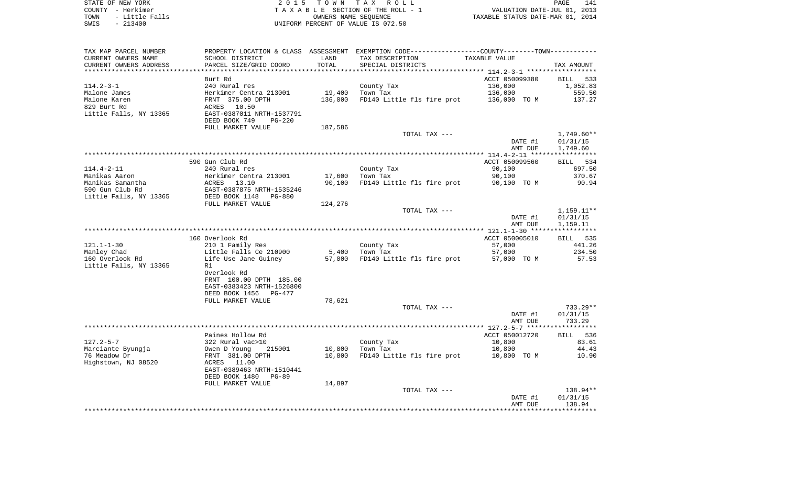| STATE OF NEW YORK      | 2015 TOWN TAX ROLL                  | 141<br>PAGE                      |
|------------------------|-------------------------------------|----------------------------------|
| COUNTY - Herkimer      | TAXABLE SECTION OF THE ROLL - 1     | VALUATION DATE-JUL 01, 2013      |
| - Little Falls<br>TOWN | OWNERS NAME SEOUENCE                | TAXABLE STATUS DATE-MAR 01, 2014 |
| CMTC _ 012400          | INITEOPM DEPOEME OF VAIIE IS 072 EO |                                  |

SWIS - 213400 UNIFORM PERCENT OF VALUE IS 072.50

| TAX MAP PARCEL NUMBER  |                                 |         | PROPERTY LOCATION & CLASS ASSESSMENT EXEMPTION CODE----------------COUNTY-------TOWN----------- |                |              |
|------------------------|---------------------------------|---------|-------------------------------------------------------------------------------------------------|----------------|--------------|
| CURRENT OWNERS NAME    | SCHOOL DISTRICT                 | LAND    | TAX DESCRIPTION                                                                                 | TAXABLE VALUE  |              |
| CURRENT OWNERS ADDRESS | PARCEL SIZE/GRID COORD          | TOTAL   | SPECIAL DISTRICTS                                                                               |                | TAX AMOUNT   |
|                        |                                 |         |                                                                                                 |                |              |
|                        | Burt Rd                         |         |                                                                                                 | ACCT 050099380 | BILL 533     |
| $114.2 - 3 - 1$        | 240 Rural res                   |         | County Tax                                                                                      | 136,000        | 1,052.83     |
| Malone James           | Herkimer Centra 213001          | 19,400  | Town Tax                                                                                        | 136,000        | 559.50       |
| Malone Karen           | FRNT 375.00 DPTH                | 136,000 | FD140 Little fls fire prot                                                                      | 136,000 TO M   | 137.27       |
| 829 Burt Rd            | ACRES<br>10.50                  |         |                                                                                                 |                |              |
| Little Falls, NY 13365 | EAST-0387011 NRTH-1537791       |         |                                                                                                 |                |              |
|                        | DEED BOOK 749<br>$PG-220$       |         |                                                                                                 |                |              |
|                        | FULL MARKET VALUE               | 187,586 |                                                                                                 |                |              |
|                        |                                 |         |                                                                                                 |                |              |
|                        |                                 |         | TOTAL TAX ---                                                                                   |                | $1,749.60**$ |
|                        |                                 |         |                                                                                                 | DATE #1        | 01/31/15     |
|                        |                                 |         |                                                                                                 | AMT DUE        | 1,749.60     |
|                        |                                 |         |                                                                                                 |                |              |
|                        | 590 Gun Club Rd                 |         |                                                                                                 | ACCT 050099560 | BILL 534     |
| $114.4 - 2 - 11$       | 240 Rural res                   |         | County Tax                                                                                      | 90,100         | 697.50       |
| Manikas Aaron          | Herkimer Centra 213001          | 17,600  | Town Tax                                                                                        | 90,100         | 370.67       |
| Manikas Samantha       | ACRES<br>13.10                  | 90,100  | FD140 Little fls fire prot                                                                      | 90,100 TO M    | 90.94        |
| 590 Gun Club Rd        | EAST-0387875 NRTH-1535246       |         |                                                                                                 |                |              |
| Little Falls, NY 13365 | DEED BOOK 1148<br><b>PG-880</b> |         |                                                                                                 |                |              |
|                        | FULL MARKET VALUE               | 124,276 |                                                                                                 |                |              |
|                        |                                 |         | TOTAL TAX ---                                                                                   |                | 1,159.11**   |
|                        |                                 |         |                                                                                                 | DATE #1        | 01/31/15     |
|                        |                                 |         |                                                                                                 | AMT DUE        | 1,159.11     |
|                        |                                 |         |                                                                                                 |                |              |
|                        | 160 Overlook Rd                 |         |                                                                                                 | ACCT 050005010 | BILL 535     |
| $121.1 - 1 - 30$       | 210 1 Family Res                |         | County Tax                                                                                      | 57,000         | 441.26       |
| Manley Chad            | Little Falls Ce 210900          | 5,400   | Town Tax                                                                                        | 57,000         | 234.50       |
| 160 Overlook Rd        | Life Use Jane Guiney            | 57,000  | FD140 Little fls fire prot                                                                      | 57,000 TO M    | 57.53        |
| Little Falls, NY 13365 | R1                              |         |                                                                                                 |                |              |
|                        | Overlook Rd                     |         |                                                                                                 |                |              |
|                        | FRNT 100.00 DPTH 185.00         |         |                                                                                                 |                |              |
|                        | EAST-0383423 NRTH-1526800       |         |                                                                                                 |                |              |
|                        | DEED BOOK 1456<br>PG-477        |         |                                                                                                 |                |              |
|                        | FULL MARKET VALUE               | 78,621  |                                                                                                 |                |              |
|                        |                                 |         | TOTAL TAX ---                                                                                   |                | 733.29**     |
|                        |                                 |         |                                                                                                 | DATE #1        | 01/31/15     |
|                        |                                 |         |                                                                                                 |                |              |
|                        |                                 |         |                                                                                                 | AMT DUE        | 733.29       |
|                        |                                 |         |                                                                                                 |                |              |
|                        | Paines Hollow Rd                |         |                                                                                                 | ACCT 050012720 | BILL 536     |
| $127.2 - 5 - 7$        | 322 Rural vac>10                |         | County Tax                                                                                      | 10,800         | 83.61        |
| Marciante Byungja      | Owen D Young<br>215001          | 10,800  | Town Tax                                                                                        | 10,800         | 44.43        |
| 76 Meadow Dr           | FRNT 381.00 DPTH                | 10,800  | FD140 Little fls fire prot                                                                      | 10,800 TO M    | 10.90        |
| Highstown, NJ 08520    | ACRES 11.00                     |         |                                                                                                 |                |              |
|                        | EAST-0389463 NRTH-1510441       |         |                                                                                                 |                |              |
|                        | DEED BOOK 1480<br>PG-89         |         |                                                                                                 |                |              |
|                        | FULL MARKET VALUE               | 14,897  |                                                                                                 |                |              |
|                        |                                 |         | TOTAL TAX ---                                                                                   |                | 138.94**     |
|                        |                                 |         |                                                                                                 | DATE #1        | 01/31/15     |
|                        |                                 |         |                                                                                                 | AMT DUE        | 138.94       |
|                        |                                 |         |                                                                                                 |                |              |
|                        |                                 |         |                                                                                                 |                |              |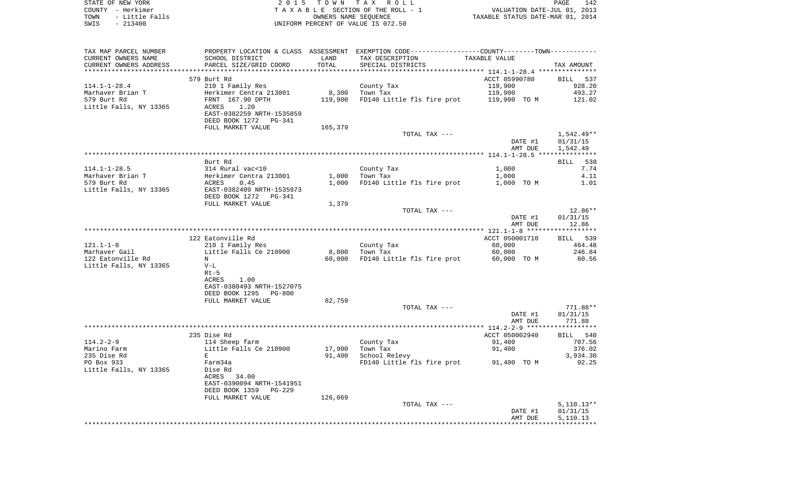|      | STATE OF NEW YORK | 2015 TOWN TAX ROLL                 | PAGE                             | 142 |
|------|-------------------|------------------------------------|----------------------------------|-----|
|      | COUNTY - Herkimer | TAXABLE SECTION OF THE ROLL - 1    | VALUATION DATE-JUL 01, 2013      |     |
| TOWN | - Little Falls    | OWNERS NAME SEOUENCE               | TAXABLE STATUS DATE-MAR 01, 2014 |     |
| SWIS | $-213400$         | UNIFORM PERCENT OF VALUE IS 072.50 |                                  |     |

| SCHOOL DISTRICT<br>LAND<br>TAX DESCRIPTION<br>TAXABLE VALUE<br>PARCEL SIZE/GRID COORD<br>TOTAL<br>SPECIAL DISTRICTS<br>TAX AMOUNT<br>******************** 114.1-1-28.4 ****************<br>ACCT 05990780<br>579 Burt Rd<br>BILL 537<br>119,900<br>210 1 Family Res<br>County Tax<br>928.20<br>8,300<br>119,900<br>Marhaver Brian T<br>Herkimer Centra 213001<br>Town Tax<br>493.27<br>579 Burt Rd<br>FRNT 167.90 DPTH<br>119,900<br>FD140 Little fls fire prot<br>119,900 TO M<br>121.02<br>Little Falls, NY 13365<br>1.20<br>ACRES<br>EAST-0382259 NRTH-1535859<br>DEED BOOK 1272 PG-341<br>FULL MARKET VALUE<br>165,379<br>1,542.49**<br>TOTAL TAX ---<br>DATE #1<br>01/31/15<br>AMT DUE<br>1,542.49<br>Burt Rd<br>538<br>BILL<br>$114.1 - 1 - 28.5$<br>314 Rural vac<10<br>County Tax<br>1,000<br>7.74<br>Marhaver Brian T<br>1,000<br>4.11<br>Herkimer Centra 213001<br>Town Tax<br>1,000<br>579 Burt Rd<br>ACRES<br>0.45<br>1,000<br>FD140 Little fls fire prot<br>1,000 TO M<br>1.01<br>Little Falls, NY 13365<br>EAST-0382409 NRTH-1535973<br>DEED BOOK 1272<br>PG-341<br>1,379<br>FULL MARKET VALUE<br>12.86**<br>TOTAL TAX ---<br>01/31/15<br>DATE #1<br>12.86<br>AMT DUE<br>122 Eatonville Rd<br>ACCT 050001710<br>BILL 539<br>60,000<br>210 1 Family Res<br>County Tax<br>464.48<br>Little Falls Ce 210900<br>8,000<br>60,000<br>246.84<br>Town Tax<br>122 Eatonville Rd<br>60,000<br>FD140 Little fls fire prot<br>60,000 TO M<br>60.56<br>N<br>Little Falls, NY 13365<br>$V-L$<br>$Rt-5$<br>1.00<br>ACRES<br>EAST-0380493 NRTH-1527075<br>DEED BOOK 1295<br>PG-800<br>FULL MARKET VALUE<br>82,759<br>TOTAL TAX ---<br>$771.88**$<br>DATE #1<br>01/31/15<br>771.88<br>AMT DUE<br>235 Dise Rd<br>ACCT 050002940<br>BILL 540<br>$114.2 - 2 - 9$<br>114 Sheep farm<br>91,400<br>707.56<br>County Tax<br>Little Falls Ce 210900<br>Marino Farm<br>17,900<br>Town Tax<br>91,400<br>376.02<br>235 Dise Rd<br>E<br>91,400<br>School Relevy<br>3,934.30<br>PO Box 933<br>FD140 Little fls fire prot<br>92.25<br>Farm34a<br>91,400 TO M<br>Little Falls, NY 13365<br>Dise Rd<br>34.00<br>ACRES<br>EAST-0390094 NRTH-1541951<br>DEED BOOK 1359<br>$PG-229$<br>FULL MARKET VALUE<br>126,069<br>TOTAL TAX ---<br>$5,110.13**$<br>01/31/15<br>DATE #1<br>5,110.13<br>AMT DUE | TAX MAP PARCEL NUMBER  |  | PROPERTY LOCATION & CLASS ASSESSMENT EXEMPTION CODE----------------COUNTY--------TOWN---------- |  |
|-----------------------------------------------------------------------------------------------------------------------------------------------------------------------------------------------------------------------------------------------------------------------------------------------------------------------------------------------------------------------------------------------------------------------------------------------------------------------------------------------------------------------------------------------------------------------------------------------------------------------------------------------------------------------------------------------------------------------------------------------------------------------------------------------------------------------------------------------------------------------------------------------------------------------------------------------------------------------------------------------------------------------------------------------------------------------------------------------------------------------------------------------------------------------------------------------------------------------------------------------------------------------------------------------------------------------------------------------------------------------------------------------------------------------------------------------------------------------------------------------------------------------------------------------------------------------------------------------------------------------------------------------------------------------------------------------------------------------------------------------------------------------------------------------------------------------------------------------------------------------------------------------------------------------------------------------------------------------------------------------------------------------------------------------------------------------------------------------------------------------------------------------------------------------------------------------------------------------------------------------------------------------------|------------------------|--|-------------------------------------------------------------------------------------------------|--|
|                                                                                                                                                                                                                                                                                                                                                                                                                                                                                                                                                                                                                                                                                                                                                                                                                                                                                                                                                                                                                                                                                                                                                                                                                                                                                                                                                                                                                                                                                                                                                                                                                                                                                                                                                                                                                                                                                                                                                                                                                                                                                                                                                                                                                                                                             | CURRENT OWNERS NAME    |  |                                                                                                 |  |
|                                                                                                                                                                                                                                                                                                                                                                                                                                                                                                                                                                                                                                                                                                                                                                                                                                                                                                                                                                                                                                                                                                                                                                                                                                                                                                                                                                                                                                                                                                                                                                                                                                                                                                                                                                                                                                                                                                                                                                                                                                                                                                                                                                                                                                                                             | CURRENT OWNERS ADDRESS |  |                                                                                                 |  |
|                                                                                                                                                                                                                                                                                                                                                                                                                                                                                                                                                                                                                                                                                                                                                                                                                                                                                                                                                                                                                                                                                                                                                                                                                                                                                                                                                                                                                                                                                                                                                                                                                                                                                                                                                                                                                                                                                                                                                                                                                                                                                                                                                                                                                                                                             |                        |  |                                                                                                 |  |
|                                                                                                                                                                                                                                                                                                                                                                                                                                                                                                                                                                                                                                                                                                                                                                                                                                                                                                                                                                                                                                                                                                                                                                                                                                                                                                                                                                                                                                                                                                                                                                                                                                                                                                                                                                                                                                                                                                                                                                                                                                                                                                                                                                                                                                                                             |                        |  |                                                                                                 |  |
|                                                                                                                                                                                                                                                                                                                                                                                                                                                                                                                                                                                                                                                                                                                                                                                                                                                                                                                                                                                                                                                                                                                                                                                                                                                                                                                                                                                                                                                                                                                                                                                                                                                                                                                                                                                                                                                                                                                                                                                                                                                                                                                                                                                                                                                                             | $114.1 - 1 - 28.4$     |  |                                                                                                 |  |
|                                                                                                                                                                                                                                                                                                                                                                                                                                                                                                                                                                                                                                                                                                                                                                                                                                                                                                                                                                                                                                                                                                                                                                                                                                                                                                                                                                                                                                                                                                                                                                                                                                                                                                                                                                                                                                                                                                                                                                                                                                                                                                                                                                                                                                                                             |                        |  |                                                                                                 |  |
|                                                                                                                                                                                                                                                                                                                                                                                                                                                                                                                                                                                                                                                                                                                                                                                                                                                                                                                                                                                                                                                                                                                                                                                                                                                                                                                                                                                                                                                                                                                                                                                                                                                                                                                                                                                                                                                                                                                                                                                                                                                                                                                                                                                                                                                                             |                        |  |                                                                                                 |  |
|                                                                                                                                                                                                                                                                                                                                                                                                                                                                                                                                                                                                                                                                                                                                                                                                                                                                                                                                                                                                                                                                                                                                                                                                                                                                                                                                                                                                                                                                                                                                                                                                                                                                                                                                                                                                                                                                                                                                                                                                                                                                                                                                                                                                                                                                             |                        |  |                                                                                                 |  |
|                                                                                                                                                                                                                                                                                                                                                                                                                                                                                                                                                                                                                                                                                                                                                                                                                                                                                                                                                                                                                                                                                                                                                                                                                                                                                                                                                                                                                                                                                                                                                                                                                                                                                                                                                                                                                                                                                                                                                                                                                                                                                                                                                                                                                                                                             |                        |  |                                                                                                 |  |
|                                                                                                                                                                                                                                                                                                                                                                                                                                                                                                                                                                                                                                                                                                                                                                                                                                                                                                                                                                                                                                                                                                                                                                                                                                                                                                                                                                                                                                                                                                                                                                                                                                                                                                                                                                                                                                                                                                                                                                                                                                                                                                                                                                                                                                                                             |                        |  |                                                                                                 |  |
|                                                                                                                                                                                                                                                                                                                                                                                                                                                                                                                                                                                                                                                                                                                                                                                                                                                                                                                                                                                                                                                                                                                                                                                                                                                                                                                                                                                                                                                                                                                                                                                                                                                                                                                                                                                                                                                                                                                                                                                                                                                                                                                                                                                                                                                                             |                        |  |                                                                                                 |  |
|                                                                                                                                                                                                                                                                                                                                                                                                                                                                                                                                                                                                                                                                                                                                                                                                                                                                                                                                                                                                                                                                                                                                                                                                                                                                                                                                                                                                                                                                                                                                                                                                                                                                                                                                                                                                                                                                                                                                                                                                                                                                                                                                                                                                                                                                             |                        |  |                                                                                                 |  |
|                                                                                                                                                                                                                                                                                                                                                                                                                                                                                                                                                                                                                                                                                                                                                                                                                                                                                                                                                                                                                                                                                                                                                                                                                                                                                                                                                                                                                                                                                                                                                                                                                                                                                                                                                                                                                                                                                                                                                                                                                                                                                                                                                                                                                                                                             |                        |  |                                                                                                 |  |
|                                                                                                                                                                                                                                                                                                                                                                                                                                                                                                                                                                                                                                                                                                                                                                                                                                                                                                                                                                                                                                                                                                                                                                                                                                                                                                                                                                                                                                                                                                                                                                                                                                                                                                                                                                                                                                                                                                                                                                                                                                                                                                                                                                                                                                                                             |                        |  |                                                                                                 |  |
|                                                                                                                                                                                                                                                                                                                                                                                                                                                                                                                                                                                                                                                                                                                                                                                                                                                                                                                                                                                                                                                                                                                                                                                                                                                                                                                                                                                                                                                                                                                                                                                                                                                                                                                                                                                                                                                                                                                                                                                                                                                                                                                                                                                                                                                                             |                        |  |                                                                                                 |  |
|                                                                                                                                                                                                                                                                                                                                                                                                                                                                                                                                                                                                                                                                                                                                                                                                                                                                                                                                                                                                                                                                                                                                                                                                                                                                                                                                                                                                                                                                                                                                                                                                                                                                                                                                                                                                                                                                                                                                                                                                                                                                                                                                                                                                                                                                             |                        |  |                                                                                                 |  |
|                                                                                                                                                                                                                                                                                                                                                                                                                                                                                                                                                                                                                                                                                                                                                                                                                                                                                                                                                                                                                                                                                                                                                                                                                                                                                                                                                                                                                                                                                                                                                                                                                                                                                                                                                                                                                                                                                                                                                                                                                                                                                                                                                                                                                                                                             |                        |  |                                                                                                 |  |
|                                                                                                                                                                                                                                                                                                                                                                                                                                                                                                                                                                                                                                                                                                                                                                                                                                                                                                                                                                                                                                                                                                                                                                                                                                                                                                                                                                                                                                                                                                                                                                                                                                                                                                                                                                                                                                                                                                                                                                                                                                                                                                                                                                                                                                                                             |                        |  |                                                                                                 |  |
|                                                                                                                                                                                                                                                                                                                                                                                                                                                                                                                                                                                                                                                                                                                                                                                                                                                                                                                                                                                                                                                                                                                                                                                                                                                                                                                                                                                                                                                                                                                                                                                                                                                                                                                                                                                                                                                                                                                                                                                                                                                                                                                                                                                                                                                                             |                        |  |                                                                                                 |  |
|                                                                                                                                                                                                                                                                                                                                                                                                                                                                                                                                                                                                                                                                                                                                                                                                                                                                                                                                                                                                                                                                                                                                                                                                                                                                                                                                                                                                                                                                                                                                                                                                                                                                                                                                                                                                                                                                                                                                                                                                                                                                                                                                                                                                                                                                             |                        |  |                                                                                                 |  |
|                                                                                                                                                                                                                                                                                                                                                                                                                                                                                                                                                                                                                                                                                                                                                                                                                                                                                                                                                                                                                                                                                                                                                                                                                                                                                                                                                                                                                                                                                                                                                                                                                                                                                                                                                                                                                                                                                                                                                                                                                                                                                                                                                                                                                                                                             |                        |  |                                                                                                 |  |
|                                                                                                                                                                                                                                                                                                                                                                                                                                                                                                                                                                                                                                                                                                                                                                                                                                                                                                                                                                                                                                                                                                                                                                                                                                                                                                                                                                                                                                                                                                                                                                                                                                                                                                                                                                                                                                                                                                                                                                                                                                                                                                                                                                                                                                                                             |                        |  |                                                                                                 |  |
|                                                                                                                                                                                                                                                                                                                                                                                                                                                                                                                                                                                                                                                                                                                                                                                                                                                                                                                                                                                                                                                                                                                                                                                                                                                                                                                                                                                                                                                                                                                                                                                                                                                                                                                                                                                                                                                                                                                                                                                                                                                                                                                                                                                                                                                                             |                        |  |                                                                                                 |  |
|                                                                                                                                                                                                                                                                                                                                                                                                                                                                                                                                                                                                                                                                                                                                                                                                                                                                                                                                                                                                                                                                                                                                                                                                                                                                                                                                                                                                                                                                                                                                                                                                                                                                                                                                                                                                                                                                                                                                                                                                                                                                                                                                                                                                                                                                             |                        |  |                                                                                                 |  |
|                                                                                                                                                                                                                                                                                                                                                                                                                                                                                                                                                                                                                                                                                                                                                                                                                                                                                                                                                                                                                                                                                                                                                                                                                                                                                                                                                                                                                                                                                                                                                                                                                                                                                                                                                                                                                                                                                                                                                                                                                                                                                                                                                                                                                                                                             |                        |  |                                                                                                 |  |
|                                                                                                                                                                                                                                                                                                                                                                                                                                                                                                                                                                                                                                                                                                                                                                                                                                                                                                                                                                                                                                                                                                                                                                                                                                                                                                                                                                                                                                                                                                                                                                                                                                                                                                                                                                                                                                                                                                                                                                                                                                                                                                                                                                                                                                                                             |                        |  |                                                                                                 |  |
|                                                                                                                                                                                                                                                                                                                                                                                                                                                                                                                                                                                                                                                                                                                                                                                                                                                                                                                                                                                                                                                                                                                                                                                                                                                                                                                                                                                                                                                                                                                                                                                                                                                                                                                                                                                                                                                                                                                                                                                                                                                                                                                                                                                                                                                                             |                        |  |                                                                                                 |  |
|                                                                                                                                                                                                                                                                                                                                                                                                                                                                                                                                                                                                                                                                                                                                                                                                                                                                                                                                                                                                                                                                                                                                                                                                                                                                                                                                                                                                                                                                                                                                                                                                                                                                                                                                                                                                                                                                                                                                                                                                                                                                                                                                                                                                                                                                             |                        |  |                                                                                                 |  |
|                                                                                                                                                                                                                                                                                                                                                                                                                                                                                                                                                                                                                                                                                                                                                                                                                                                                                                                                                                                                                                                                                                                                                                                                                                                                                                                                                                                                                                                                                                                                                                                                                                                                                                                                                                                                                                                                                                                                                                                                                                                                                                                                                                                                                                                                             | $121.1 - 1 - 8$        |  |                                                                                                 |  |
|                                                                                                                                                                                                                                                                                                                                                                                                                                                                                                                                                                                                                                                                                                                                                                                                                                                                                                                                                                                                                                                                                                                                                                                                                                                                                                                                                                                                                                                                                                                                                                                                                                                                                                                                                                                                                                                                                                                                                                                                                                                                                                                                                                                                                                                                             | Marhaver Gail          |  |                                                                                                 |  |
|                                                                                                                                                                                                                                                                                                                                                                                                                                                                                                                                                                                                                                                                                                                                                                                                                                                                                                                                                                                                                                                                                                                                                                                                                                                                                                                                                                                                                                                                                                                                                                                                                                                                                                                                                                                                                                                                                                                                                                                                                                                                                                                                                                                                                                                                             |                        |  |                                                                                                 |  |
|                                                                                                                                                                                                                                                                                                                                                                                                                                                                                                                                                                                                                                                                                                                                                                                                                                                                                                                                                                                                                                                                                                                                                                                                                                                                                                                                                                                                                                                                                                                                                                                                                                                                                                                                                                                                                                                                                                                                                                                                                                                                                                                                                                                                                                                                             |                        |  |                                                                                                 |  |
|                                                                                                                                                                                                                                                                                                                                                                                                                                                                                                                                                                                                                                                                                                                                                                                                                                                                                                                                                                                                                                                                                                                                                                                                                                                                                                                                                                                                                                                                                                                                                                                                                                                                                                                                                                                                                                                                                                                                                                                                                                                                                                                                                                                                                                                                             |                        |  |                                                                                                 |  |
|                                                                                                                                                                                                                                                                                                                                                                                                                                                                                                                                                                                                                                                                                                                                                                                                                                                                                                                                                                                                                                                                                                                                                                                                                                                                                                                                                                                                                                                                                                                                                                                                                                                                                                                                                                                                                                                                                                                                                                                                                                                                                                                                                                                                                                                                             |                        |  |                                                                                                 |  |
|                                                                                                                                                                                                                                                                                                                                                                                                                                                                                                                                                                                                                                                                                                                                                                                                                                                                                                                                                                                                                                                                                                                                                                                                                                                                                                                                                                                                                                                                                                                                                                                                                                                                                                                                                                                                                                                                                                                                                                                                                                                                                                                                                                                                                                                                             |                        |  |                                                                                                 |  |
|                                                                                                                                                                                                                                                                                                                                                                                                                                                                                                                                                                                                                                                                                                                                                                                                                                                                                                                                                                                                                                                                                                                                                                                                                                                                                                                                                                                                                                                                                                                                                                                                                                                                                                                                                                                                                                                                                                                                                                                                                                                                                                                                                                                                                                                                             |                        |  |                                                                                                 |  |
|                                                                                                                                                                                                                                                                                                                                                                                                                                                                                                                                                                                                                                                                                                                                                                                                                                                                                                                                                                                                                                                                                                                                                                                                                                                                                                                                                                                                                                                                                                                                                                                                                                                                                                                                                                                                                                                                                                                                                                                                                                                                                                                                                                                                                                                                             |                        |  |                                                                                                 |  |
|                                                                                                                                                                                                                                                                                                                                                                                                                                                                                                                                                                                                                                                                                                                                                                                                                                                                                                                                                                                                                                                                                                                                                                                                                                                                                                                                                                                                                                                                                                                                                                                                                                                                                                                                                                                                                                                                                                                                                                                                                                                                                                                                                                                                                                                                             |                        |  |                                                                                                 |  |
|                                                                                                                                                                                                                                                                                                                                                                                                                                                                                                                                                                                                                                                                                                                                                                                                                                                                                                                                                                                                                                                                                                                                                                                                                                                                                                                                                                                                                                                                                                                                                                                                                                                                                                                                                                                                                                                                                                                                                                                                                                                                                                                                                                                                                                                                             |                        |  |                                                                                                 |  |
|                                                                                                                                                                                                                                                                                                                                                                                                                                                                                                                                                                                                                                                                                                                                                                                                                                                                                                                                                                                                                                                                                                                                                                                                                                                                                                                                                                                                                                                                                                                                                                                                                                                                                                                                                                                                                                                                                                                                                                                                                                                                                                                                                                                                                                                                             |                        |  |                                                                                                 |  |
|                                                                                                                                                                                                                                                                                                                                                                                                                                                                                                                                                                                                                                                                                                                                                                                                                                                                                                                                                                                                                                                                                                                                                                                                                                                                                                                                                                                                                                                                                                                                                                                                                                                                                                                                                                                                                                                                                                                                                                                                                                                                                                                                                                                                                                                                             |                        |  |                                                                                                 |  |
|                                                                                                                                                                                                                                                                                                                                                                                                                                                                                                                                                                                                                                                                                                                                                                                                                                                                                                                                                                                                                                                                                                                                                                                                                                                                                                                                                                                                                                                                                                                                                                                                                                                                                                                                                                                                                                                                                                                                                                                                                                                                                                                                                                                                                                                                             |                        |  |                                                                                                 |  |
|                                                                                                                                                                                                                                                                                                                                                                                                                                                                                                                                                                                                                                                                                                                                                                                                                                                                                                                                                                                                                                                                                                                                                                                                                                                                                                                                                                                                                                                                                                                                                                                                                                                                                                                                                                                                                                                                                                                                                                                                                                                                                                                                                                                                                                                                             |                        |  |                                                                                                 |  |
|                                                                                                                                                                                                                                                                                                                                                                                                                                                                                                                                                                                                                                                                                                                                                                                                                                                                                                                                                                                                                                                                                                                                                                                                                                                                                                                                                                                                                                                                                                                                                                                                                                                                                                                                                                                                                                                                                                                                                                                                                                                                                                                                                                                                                                                                             |                        |  |                                                                                                 |  |
|                                                                                                                                                                                                                                                                                                                                                                                                                                                                                                                                                                                                                                                                                                                                                                                                                                                                                                                                                                                                                                                                                                                                                                                                                                                                                                                                                                                                                                                                                                                                                                                                                                                                                                                                                                                                                                                                                                                                                                                                                                                                                                                                                                                                                                                                             |                        |  |                                                                                                 |  |
|                                                                                                                                                                                                                                                                                                                                                                                                                                                                                                                                                                                                                                                                                                                                                                                                                                                                                                                                                                                                                                                                                                                                                                                                                                                                                                                                                                                                                                                                                                                                                                                                                                                                                                                                                                                                                                                                                                                                                                                                                                                                                                                                                                                                                                                                             |                        |  |                                                                                                 |  |
|                                                                                                                                                                                                                                                                                                                                                                                                                                                                                                                                                                                                                                                                                                                                                                                                                                                                                                                                                                                                                                                                                                                                                                                                                                                                                                                                                                                                                                                                                                                                                                                                                                                                                                                                                                                                                                                                                                                                                                                                                                                                                                                                                                                                                                                                             |                        |  |                                                                                                 |  |
|                                                                                                                                                                                                                                                                                                                                                                                                                                                                                                                                                                                                                                                                                                                                                                                                                                                                                                                                                                                                                                                                                                                                                                                                                                                                                                                                                                                                                                                                                                                                                                                                                                                                                                                                                                                                                                                                                                                                                                                                                                                                                                                                                                                                                                                                             |                        |  |                                                                                                 |  |
|                                                                                                                                                                                                                                                                                                                                                                                                                                                                                                                                                                                                                                                                                                                                                                                                                                                                                                                                                                                                                                                                                                                                                                                                                                                                                                                                                                                                                                                                                                                                                                                                                                                                                                                                                                                                                                                                                                                                                                                                                                                                                                                                                                                                                                                                             |                        |  |                                                                                                 |  |
|                                                                                                                                                                                                                                                                                                                                                                                                                                                                                                                                                                                                                                                                                                                                                                                                                                                                                                                                                                                                                                                                                                                                                                                                                                                                                                                                                                                                                                                                                                                                                                                                                                                                                                                                                                                                                                                                                                                                                                                                                                                                                                                                                                                                                                                                             |                        |  |                                                                                                 |  |
|                                                                                                                                                                                                                                                                                                                                                                                                                                                                                                                                                                                                                                                                                                                                                                                                                                                                                                                                                                                                                                                                                                                                                                                                                                                                                                                                                                                                                                                                                                                                                                                                                                                                                                                                                                                                                                                                                                                                                                                                                                                                                                                                                                                                                                                                             |                        |  |                                                                                                 |  |
|                                                                                                                                                                                                                                                                                                                                                                                                                                                                                                                                                                                                                                                                                                                                                                                                                                                                                                                                                                                                                                                                                                                                                                                                                                                                                                                                                                                                                                                                                                                                                                                                                                                                                                                                                                                                                                                                                                                                                                                                                                                                                                                                                                                                                                                                             |                        |  |                                                                                                 |  |
|                                                                                                                                                                                                                                                                                                                                                                                                                                                                                                                                                                                                                                                                                                                                                                                                                                                                                                                                                                                                                                                                                                                                                                                                                                                                                                                                                                                                                                                                                                                                                                                                                                                                                                                                                                                                                                                                                                                                                                                                                                                                                                                                                                                                                                                                             |                        |  |                                                                                                 |  |
|                                                                                                                                                                                                                                                                                                                                                                                                                                                                                                                                                                                                                                                                                                                                                                                                                                                                                                                                                                                                                                                                                                                                                                                                                                                                                                                                                                                                                                                                                                                                                                                                                                                                                                                                                                                                                                                                                                                                                                                                                                                                                                                                                                                                                                                                             |                        |  |                                                                                                 |  |
|                                                                                                                                                                                                                                                                                                                                                                                                                                                                                                                                                                                                                                                                                                                                                                                                                                                                                                                                                                                                                                                                                                                                                                                                                                                                                                                                                                                                                                                                                                                                                                                                                                                                                                                                                                                                                                                                                                                                                                                                                                                                                                                                                                                                                                                                             |                        |  |                                                                                                 |  |
|                                                                                                                                                                                                                                                                                                                                                                                                                                                                                                                                                                                                                                                                                                                                                                                                                                                                                                                                                                                                                                                                                                                                                                                                                                                                                                                                                                                                                                                                                                                                                                                                                                                                                                                                                                                                                                                                                                                                                                                                                                                                                                                                                                                                                                                                             |                        |  |                                                                                                 |  |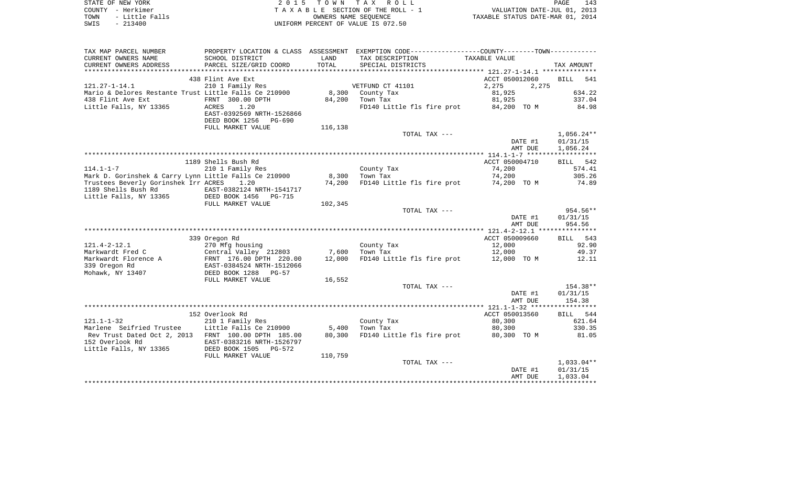|      | STATE OF NEW YORK | 2015 TOWN TAX ROLL                 | 143<br>PAGE                      |
|------|-------------------|------------------------------------|----------------------------------|
|      | COUNTY – Herkimer | TAXABLE SECTION OF THE ROLL - 1    | VALUATION DATE-JUL 01, 2013      |
| TOWN | - Little Falls    | OWNERS NAME SEOUENCE               | TAXABLE STATUS DATE-MAR 01, 2014 |
| SWIS | - 213400          | UNIFORM PERCENT OF VALUE IS 072.50 |                                  |

| TAX MAP PARCEL NUMBER                                                  | PROPERTY LOCATION & CLASS ASSESSMENT EXEMPTION CODE----------------COUNTY--------TOWN---------- |         |                                        |                |         |             |              |
|------------------------------------------------------------------------|-------------------------------------------------------------------------------------------------|---------|----------------------------------------|----------------|---------|-------------|--------------|
| CURRENT OWNERS NAME                                                    | SCHOOL DISTRICT                                                                                 | LAND    | TAX DESCRIPTION                        | TAXABLE VALUE  |         |             |              |
| CURRENT OWNERS ADDRESS                                                 | PARCEL SIZE/GRID COORD                                                                          | TOTAL   | SPECIAL DISTRICTS                      |                |         | TAX AMOUNT  |              |
|                                                                        |                                                                                                 |         |                                        |                |         |             |              |
|                                                                        | 438 Flint Ave Ext                                                                               |         |                                        | ACCT 050012060 |         | <b>BILL</b> | 541          |
| $121.27 - 1 - 14.1$                                                    | 210 1 Family Res                                                                                |         | VETFUND CT 41101                       | 2,275          | 2,275   |             |              |
| Mario & Delores Restante Trust Little Falls Ce 210900                  |                                                                                                 | 8,300   | County Tax                             | 81,925         |         |             | 634.22       |
| 438 Flint Ave Ext                                                      | FRNT 300.00 DPTH                                                                                | 84,200  | Town Tax                               | 81,925         |         |             | 337.04       |
| Little Falls, NY 13365                                                 | <b>ACRES</b><br>1.20<br>EAST-0392569 NRTH-1526866<br>DEED BOOK 1256<br>PG-690                   |         | FD140 Little fls fire prot             | 84,200 TO M    |         |             | 84.98        |
|                                                                        | FULL MARKET VALUE                                                                               | 116,138 |                                        |                |         |             |              |
|                                                                        |                                                                                                 |         | TOTAL TAX ---                          |                |         |             | $1,056.24**$ |
|                                                                        |                                                                                                 |         |                                        |                | DATE #1 |             | 01/31/15     |
|                                                                        |                                                                                                 |         |                                        |                | AMT DUE | 1,056.24    |              |
|                                                                        | 1189 Shells Bush Rd                                                                             |         |                                        | ACCT 050004710 |         |             | BILL 542     |
| $114.1 - 1 - 7$                                                        | 210 1 Family Res                                                                                |         | County Tax                             | 74,200         |         |             | 574.41       |
| Mark D. Gorinshek & Carry Lynn Little Falls Ce 210900                  |                                                                                                 | 8,300   | Town Tax                               | 74,200         |         |             | 305.26       |
| Trustees Beverly Gorinshek Irr ACRES                                   | 1.20                                                                                            | 74,200  | FD140 Little fls fire prot             | 74,200 TO M    |         |             | 74.89        |
| 1189 Shells Bush Rd                                                    |                                                                                                 |         |                                        |                |         |             |              |
| Little Falls, NY 13365                                                 | EAST-0382124 NRTH-1541717<br>5 DEED BOOK 1456 PG-715                                            |         |                                        |                |         |             |              |
|                                                                        | FULL MARKET VALUE                                                                               | 102,345 |                                        |                |         |             |              |
|                                                                        |                                                                                                 |         | TOTAL TAX ---                          |                |         |             | 954.56**     |
|                                                                        |                                                                                                 |         |                                        |                | DATE #1 | 01/31/15    |              |
|                                                                        |                                                                                                 |         |                                        |                | AMT DUE |             | 954.56       |
|                                                                        |                                                                                                 |         |                                        |                |         |             |              |
|                                                                        | 339 Oregon Rd                                                                                   |         |                                        | ACCT 050009660 |         |             | BILL 543     |
| $121.4 - 2 - 12.1$                                                     | 270 Mfg housing                                                                                 |         | County Tax                             | 12,000         |         |             | 92.90        |
| Markwardt Fred C                                                       | Central Valley 212803                                                                           | 7,600   | Town Tax                               | 12,000         |         |             | 49.37        |
| Markwardt Florence A<br>339 Oregon Rd                                  | FRNT 176.00 DPTH 220.00<br>EAST-0384524 NRTH-1512066                                            | 12,000  | FD140 Little fls fire prot 12,000 TO M |                |         |             | 12.11        |
| Mohawk, NY 13407                                                       | DEED BOOK 1288<br>PG-57                                                                         |         |                                        |                |         |             |              |
|                                                                        | FULL MARKET VALUE                                                                               | 16,552  |                                        |                |         |             |              |
|                                                                        |                                                                                                 |         | TOTAL TAX ---                          |                | DATE #1 | 01/31/15    | 154.38**     |
|                                                                        |                                                                                                 |         |                                        |                | AMT DUE |             | 154.38       |
|                                                                        |                                                                                                 |         |                                        |                |         |             |              |
|                                                                        | 152 Overlook Rd                                                                                 |         |                                        | ACCT 050013560 |         |             | BILL 544     |
| $121.1 - 1 - 32$                                                       | 210 1 Family Res                                                                                |         | County Tax                             | 80,300         |         |             | 621.64       |
| Marlene Seifried Trustee                                               | Little Falls Ce 210900                                                                          | 5,400   | Town Tax                               | 80,300         |         |             | 330.35       |
| Rev Trust Dated Oct 2, 2013 FRNT 100.00 DPTH 185.00<br>152 Overlook Rd | EAST-0383216 NRTH-1526797                                                                       | 80,300  | FD140 Little fls fire prot             | 80,300 TO M    |         |             | 81.05        |
| Little Falls, NY 13365                                                 | DEED BOOK 1505<br>PG-572                                                                        |         |                                        |                |         |             |              |
|                                                                        | FULL MARKET VALUE                                                                               | 110,759 |                                        |                |         |             |              |
|                                                                        |                                                                                                 |         | TOTAL TAX ---                          |                |         |             | $1,033.04**$ |
|                                                                        |                                                                                                 |         |                                        |                | DATE #1 | 01/31/15    |              |
|                                                                        |                                                                                                 |         |                                        |                | AMT DUE | 1,033.04    |              |
|                                                                        |                                                                                                 |         |                                        |                |         |             |              |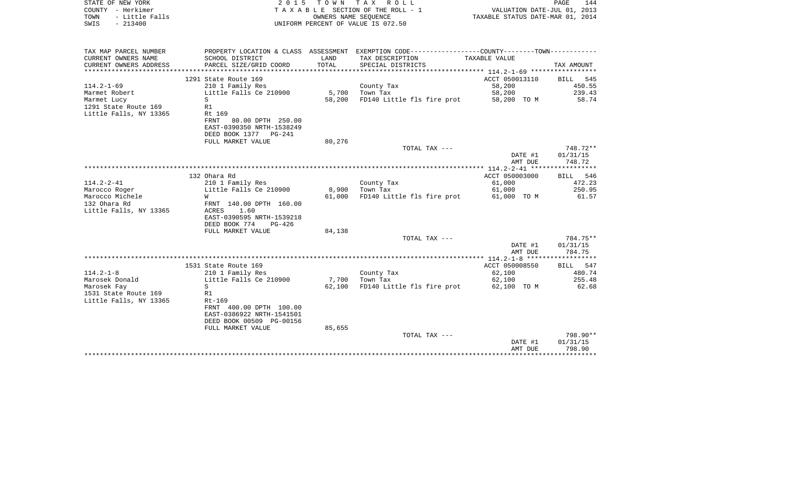| STATE OF NEW YORK<br>COUNTY - Herkimer<br>TOWN<br>- Little Falls<br>SWIS<br>$-213400$ | 2 0 1 5                                            | OWNERS NAME SEQUENCE | TOWN TAX ROLL<br>T A X A B L E SECTION OF THE ROLL - 1<br>UNIFORM PERCENT OF VALUE IS 072.50  | VALUATION DATE-JUL 01, 2013<br>TAXABLE STATUS DATE-MAR 01, 2014 | PAGE<br>144        |
|---------------------------------------------------------------------------------------|----------------------------------------------------|----------------------|-----------------------------------------------------------------------------------------------|-----------------------------------------------------------------|--------------------|
|                                                                                       |                                                    |                      |                                                                                               |                                                                 |                    |
| TAX MAP PARCEL NUMBER                                                                 |                                                    |                      | PROPERTY LOCATION & CLASS ASSESSMENT EXEMPTION CODE---------------COUNTY-------TOWN---------- |                                                                 |                    |
| CURRENT OWNERS NAME                                                                   | SCHOOL DISTRICT<br>PARCEL SIZE/GRID COORD          | LAND<br>TOTAL        | TAX DESCRIPTION                                                                               | TAXABLE VALUE                                                   |                    |
| CURRENT OWNERS ADDRESS<br>**********************                                      | ****************************                       |                      | SPECIAL DISTRICTS                                                                             |                                                                 | TAX AMOUNT         |
|                                                                                       | 1291 State Route 169                               |                      |                                                                                               | ACCT 050013110                                                  | <b>BILL</b><br>545 |
| $114.2 - 1 - 69$                                                                      | 210 1 Family Res                                   |                      | County Tax                                                                                    | 58,200                                                          | 450.55             |
| Marmet Robert                                                                         | Little Falls Ce 210900                             | 5,700                | Town Tax                                                                                      | 58,200                                                          | 239.43             |
| S<br>Marmet Lucy                                                                      |                                                    | 58,200               | FD140 Little fls fire prot                                                                    | 58,200 TO M                                                     | 58.74              |
| 1291 State Route 169<br>R1                                                            |                                                    |                      |                                                                                               |                                                                 |                    |
| Little Falls, NY 13365                                                                | Rt 169                                             |                      |                                                                                               |                                                                 |                    |
|                                                                                       | FRNT<br>80.00 DPTH 250.00                          |                      |                                                                                               |                                                                 |                    |
|                                                                                       | EAST-0390350 NRTH-1538249<br>DEED BOOK 1377 PG-241 |                      |                                                                                               |                                                                 |                    |
|                                                                                       | FULL MARKET VALUE                                  | 80,276               |                                                                                               |                                                                 |                    |
|                                                                                       |                                                    |                      | TOTAL TAX ---                                                                                 |                                                                 | 748.72**           |
|                                                                                       |                                                    |                      |                                                                                               | DATE #1                                                         | 01/31/15           |
|                                                                                       |                                                    |                      |                                                                                               | AMT DUE                                                         | 748.72             |
|                                                                                       |                                                    |                      |                                                                                               |                                                                 |                    |
|                                                                                       | 132 Ohara Rd                                       |                      |                                                                                               | ACCT 050003000                                                  | 546<br><b>BILL</b> |
| $114.2 - 2 - 41$                                                                      | 210 1 Family Res                                   |                      | County Tax                                                                                    | 61,000                                                          | 472.23             |
| Marocco Roger                                                                         | Little Falls Ce 210900                             | 8,900                | Town Tax                                                                                      | 61,000                                                          | 250.95             |
| Marocco Michele<br>W                                                                  |                                                    | 61,000               | FD140 Little fls fire prot                                                                    | 61,000 TO M                                                     | 61.57              |
| 132 Ohara Rd                                                                          | FRNT 140.00 DPTH 160.00                            |                      |                                                                                               |                                                                 |                    |
| Little Falls, NY 13365                                                                | ACRES<br>1.60<br>EAST-0390595 NRTH-1539218         |                      |                                                                                               |                                                                 |                    |
|                                                                                       | DEED BOOK 774<br>$PG-426$                          |                      |                                                                                               |                                                                 |                    |
|                                                                                       | FULL MARKET VALUE                                  | 84,138               |                                                                                               |                                                                 |                    |
|                                                                                       |                                                    |                      | TOTAL TAX ---                                                                                 |                                                                 | 784.75**           |
|                                                                                       |                                                    |                      |                                                                                               | DATE #1                                                         | 01/31/15           |
|                                                                                       |                                                    |                      |                                                                                               | AMT DUE                                                         | 784.75             |
|                                                                                       |                                                    |                      |                                                                                               |                                                                 |                    |
|                                                                                       | 1531 State Route 169                               |                      |                                                                                               | ACCT 050008550                                                  | 547<br>BILL        |
| $114.2 - 1 - 8$                                                                       | 210 1 Family Res                                   |                      | County Tax                                                                                    | 62,100                                                          | 480.74             |
| Marosek Donald<br>S                                                                   | Little Falls Ce 210900                             | 7,700                | Town Tax                                                                                      | 62,100                                                          | 255.48             |
| Marosek Fay<br>1531 State Route 169<br>R1                                             |                                                    | 62,100               | FD140 Little fls fire prot                                                                    | 62,100 TO M                                                     | 62.68              |
| Little Falls, NY 13365                                                                | Rt-169                                             |                      |                                                                                               |                                                                 |                    |
|                                                                                       | FRNT 400.00 DPTH 100.00                            |                      |                                                                                               |                                                                 |                    |
|                                                                                       | EAST-0386922 NRTH-1541501                          |                      |                                                                                               |                                                                 |                    |
|                                                                                       | DEED BOOK 00509 PG-00156                           |                      |                                                                                               |                                                                 |                    |
|                                                                                       | FULL MARKET VALUE                                  | 85,655               |                                                                                               |                                                                 |                    |
|                                                                                       |                                                    |                      | TOTAL TAX ---                                                                                 |                                                                 | 798.90**           |
|                                                                                       |                                                    |                      |                                                                                               | DATE #1                                                         | 01/31/15           |
|                                                                                       |                                                    |                      |                                                                                               | AMT DUE                                                         | 798.90             |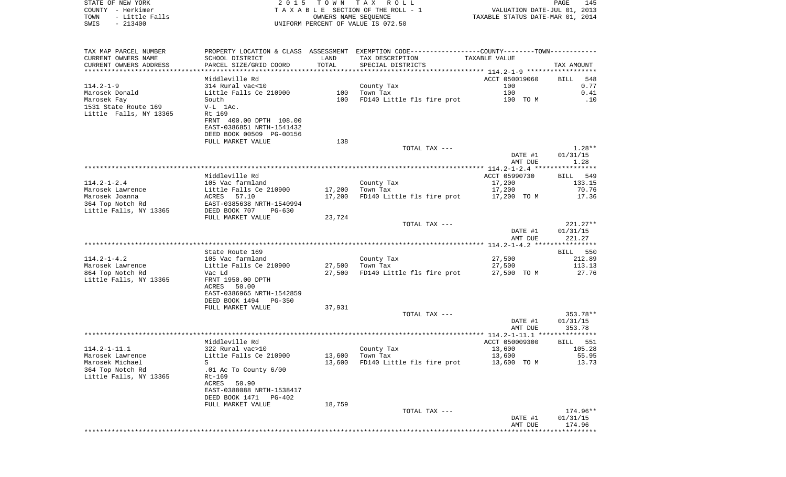STATE OF NEW YORK 2 0 1 5 T O W N T A X R O L L PAGE 145COUNTY - Herkimer **T A X A B L E** SECTION OF THE ROLL - 1 VALUATION DATE-JUL 01, 2013 TOWN - Little Falls OWNERS NAME SEQUENCE TAXABLE STATUS DATE-MAR 01, 2014 SWIS - 213400 UNIFORM PERCENT OF VALUE IS 072.50TAX MAP PARCEL NUMBER PROPERTY LOCATION & CLASS ASSESSMENT EXEMPTION CODE------------------COUNTY--------TOWN------------ CURRENT OWNERS NAME SCHOOL DISTRICT LAND TAX DESCRIPTION TAXABLE VALUECURRENT OWNERS ADDRESS PARCEL SIZE/GRID COORD TOTAL SPECIAL DISTRICTS TAX AMOUNT \*\*\*\*\*\*\*\*\*\*\*\*\*\*\*\*\*\*\*\*\*\*\*\*\*\*\*\*\*\*\*\*\*\*\*\*\*\*\*\*\*\*\*\*\*\*\*\*\*\*\*\*\*\*\*\*\*\*\*\*\*\*\*\*\*\*\*\*\*\*\*\*\*\*\*\*\*\*\*\*\*\*\*\*\*\*\*\*\*\*\*\*\*\*\*\*\*\*\*\*\*\*\* 114.2-1-9 \*\*\*\*\*\*\*\*\*\*\*\*\*\*\*\*\*\*Middleville Rd ACCT 050019060 BILL 548  $0.77$ 114.2-1-9 314 Rural vac<10 County Tax 100 Marosek Donald Little Falls Ce 210900 100 Town Tax 100 0.41Marosek Fay **South** 100 FD140 Little fls fire prot 100 TO M .10 1531 State Route 169 V-L 1Ac.Little Falls, NY 13365 Rt 169 FRNT 400.00 DPTH 108.00 EAST-0386851 NRTH-1541432 DEED BOOK 00509 PG-00156FULL MARKET VALUE 138 TOTAL TAX  $---$  1.28\*\* DATE #1 01/31/15 AMT DUE 1.28 \*\*\*\*\*\*\*\*\*\*\*\*\*\*\*\*\*\*\*\*\*\*\*\*\*\*\*\*\*\*\*\*\*\*\*\*\*\*\*\*\*\*\*\*\*\*\*\*\*\*\*\*\*\*\*\*\*\*\*\*\*\*\*\*\*\*\*\*\*\*\*\*\*\*\*\*\*\*\*\*\*\*\*\*\*\*\*\*\*\*\*\*\*\*\*\*\*\*\*\*\*\*\* 114.2-1-2.4 \*\*\*\*\*\*\*\*\*\*\*\*\*\*\*\* Middleville Rd ACCT 05990730 BILL 54990730 BILL 54990730 BILL 54990730 BILL 54990730 BILL 54990730 BILL 549907 BILL 549 114.2-1-2.4 105 Vac farmland County Tax 17,200 133.15 Marosek Lawrence Little Falls Ce 210900 17,200 Town Tax 17,200 70.76 Marosek Joanna ACRES 57.10 17,200 FD140 Little fls fire prot 17,200 TO M 17.36 364 Top Notch Rd EAST-0385638 NRTH-1540994 Little Falls, NY 13365 DEED BOOK 707 PG-630 FULL MARKET VALUE 23,724 TOTAL TAX --- 221.27\*\* DATE #1 01/31/15 AMT DUE 221.27 \*\*\*\*\*\*\*\*\*\*\*\*\*\*\*\*\*\*\*\*\*\*\*\*\*\*\*\*\*\*\*\*\*\*\*\*\*\*\*\*\*\*\*\*\*\*\*\*\*\*\*\*\*\*\*\*\*\*\*\*\*\*\*\*\*\*\*\*\*\*\*\*\*\*\*\*\*\*\*\*\*\*\*\*\*\*\*\*\*\*\*\*\*\*\*\*\*\*\*\*\*\*\* 114.2-1-4.2 \*\*\*\*\*\*\*\*\*\*\*\*\*\*\*\*State Route 169 BILL 550 114.2-1-4.2 105 Vac farmland County Tax 27,500 212.89 Marosek Lawrence Little Falls Ce 210900 27,500 Town Tax 27,500 113.13 864 Top Notch Rd Vac Ld Vac Hotel 27,500 FD140 Little fls fire prot 27,500 TO M 27.76 Little Falls, NY 13365 FRNT 1950.00 DPTH ACRES 50.00 EAST-0386965 NRTH-1542859 DEED BOOK 1494 PG-350FULL MARKET VALUE 37,931 TOTAL TAX --- 353.78\*\* DATE #1 01/31/15 AMT DUE 353.78 \*\*\*\*\*\*\*\*\*\*\*\*\*\*\*\*\*\*\*\*\*\*\*\*\*\*\*\*\*\*\*\*\*\*\*\*\*\*\*\*\*\*\*\*\*\*\*\*\*\*\*\*\*\*\*\*\*\*\*\*\*\*\*\*\*\*\*\*\*\*\*\*\*\*\*\*\*\*\*\*\*\*\*\*\*\*\*\*\*\*\*\*\*\*\*\*\*\*\*\*\*\*\* 114.2-1-11.1 \*\*\*\*\*\*\*\*\*\*\*\*\*\*\* Middleville Rd ACCT 050009300 BILL 551114.2-1-11.1 322 Rural vac>10 County Tax 13,600 105.28 Marosek Lawrence Little Falls Ce 210900 13,600 Town Tax 13,600 55.95 Marosek Michael S 5 S 13,600 FD140 Little fls fire prot 13,600 TO M 13.73 364 Top Notch Rd .01 Ac To County 6/00 Little Falls, NY 13365 Rt-169 ACRES 50.90 EAST-0388088 NRTH-1538417 DEED BOOK 1471 PG-402FULL MARKET VALUE 18,759 TOTAL TAX --- 174.96\*\* DATE #1 01/31/15 AMT DUE 174.96\*\*\*\*\*\*\*\*\*\*\*\*\*\*\*\*\*\*\*\*\*\*\*\*\*\*\*\*\*\*\*\*\*\*\*\*\*\*\*\*\*\*\*\*\*\*\*\*\*\*\*\*\*\*\*\*\*\*\*\*\*\*\*\*\*\*\*\*\*\*\*\*\*\*\*\*\*\*\*\*\*\*\*\*\*\*\*\*\*\*\*\*\*\*\*\*\*\*\*\*\*\*\*\*\*\*\*\*\*\*\*\*\*\*\*\*\*\*\*\*\*\*\*\*\*\*\*\*\*\*\*\*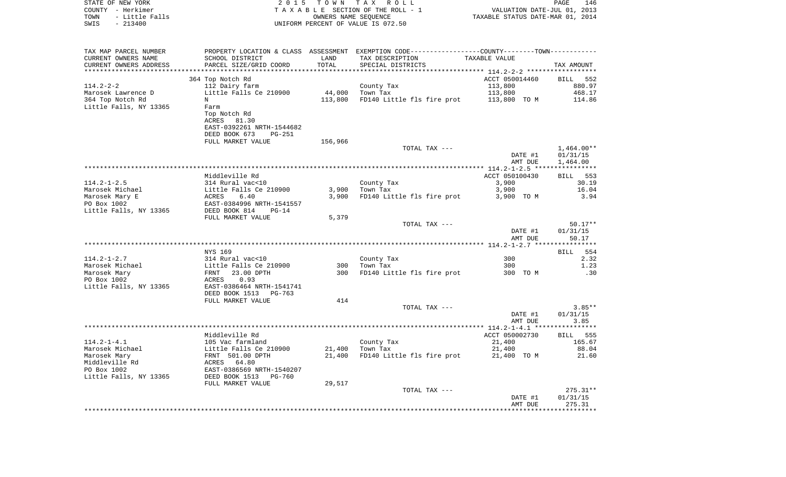| COUNTY - Herkimer<br>TOWN - Little Falls<br>$-213400$<br>SWIS |                                                                                                                                                                                                                                          | OWNERS NAME SEQUENCE | TAXABLE SECTION OF THE ROLL - 1<br>UNIFORM PERCENT OF VALUE IS 072.50                         | VALUATION DATE-JUL 01, 2013<br>TAXABLE STATUS DATE-MAR 01, 2014 |                      |
|---------------------------------------------------------------|------------------------------------------------------------------------------------------------------------------------------------------------------------------------------------------------------------------------------------------|----------------------|-----------------------------------------------------------------------------------------------|-----------------------------------------------------------------|----------------------|
|                                                               |                                                                                                                                                                                                                                          |                      |                                                                                               |                                                                 |                      |
| TAX MAP PARCEL NUMBER                                         |                                                                                                                                                                                                                                          |                      | PROPERTY LOCATION & CLASS ASSESSMENT EXEMPTION CODE---------------COUNTY-------TOWN---------- |                                                                 |                      |
| CURRENT OWNERS NAME                                           | SCHOOL DISTRICT                                                                                                                                                                                                                          | LAND                 | TAX DESCRIPTION                                                                               | TAXABLE VALUE                                                   |                      |
| CURRENT OWNERS ADDRESS                                        | PARCEL SIZE/GRID COORD                                                                                                                                                                                                                   | TOTAL                | SPECIAL DISTRICTS                                                                             |                                                                 | TAX AMOUNT           |
|                                                               | 364 Top Notch Rd                                                                                                                                                                                                                         |                      |                                                                                               | ACCT 050014460                                                  | BILL 552             |
| 114.2-2-2                                                     | 112 Dairy farm                                                                                                                                                                                                                           |                      | County Tax                                                                                    | 113,800                                                         | 880.97               |
| Marosek Lawrence D                                            | Little Falls Ce 210900                                                                                                                                                                                                                   |                      | 44,000 Town Tax                                                                               | 113,800                                                         | 468.17               |
| 364 Top Notch Rd                                              | $\mathbf N$                                                                                                                                                                                                                              |                      | 113,800 FD140 Little fls fire prot 113,800 TO M                                               |                                                                 | 114.86               |
| Little Falls, NY 13365                                        | Farm                                                                                                                                                                                                                                     |                      |                                                                                               |                                                                 |                      |
|                                                               | Top Notch Rd                                                                                                                                                                                                                             |                      |                                                                                               |                                                                 |                      |
|                                                               | ACRES 81.30                                                                                                                                                                                                                              |                      |                                                                                               |                                                                 |                      |
|                                                               | EAST-0392261 NRTH-1544682                                                                                                                                                                                                                |                      |                                                                                               |                                                                 |                      |
|                                                               | DEED BOOK 673<br>PG-251                                                                                                                                                                                                                  |                      |                                                                                               |                                                                 |                      |
|                                                               | FULL MARKET VALUE                                                                                                                                                                                                                        | 156,966              |                                                                                               |                                                                 |                      |
|                                                               |                                                                                                                                                                                                                                          |                      | TOTAL TAX ---                                                                                 |                                                                 | $1,464.00**$         |
|                                                               |                                                                                                                                                                                                                                          |                      |                                                                                               | DATE #1<br>AMT DUE                                              | 01/31/15<br>1,464.00 |
|                                                               |                                                                                                                                                                                                                                          |                      |                                                                                               |                                                                 |                      |
|                                                               | Middleville Rd                                                                                                                                                                                                                           |                      |                                                                                               | ACCT 050100430                                                  | BILL 553             |
| $114.2 - 1 - 2.5$                                             | 314 Rural vac<10                                                                                                                                                                                                                         |                      | County Tax                                                                                    | 3,900                                                           | 30.19                |
| Marosek Michael                                               |                                                                                                                                                                                                                                          |                      | $3,900$ Town Tax                                                                              | 3,900                                                           | 16.04                |
| Marosek Mary E                                                |                                                                                                                                                                                                                                          | 3,900                | FD140 Little fls fire prot 3,900 TO M                                                         |                                                                 | 3.94                 |
| PO Box 1002                                                   | Little Falls Ce 210900<br>ACRES 6.40<br>EAST-0384996 NRTH-1541557<br>DEED BOOK 814 PG-14                                                                                                                                                 |                      |                                                                                               |                                                                 |                      |
| Little Falls, NY 13365                                        |                                                                                                                                                                                                                                          |                      |                                                                                               |                                                                 |                      |
|                                                               | FULL MARKET VALUE                                                                                                                                                                                                                        | 5,379                | TOTAL TAX ---                                                                                 |                                                                 | $50.17**$            |
|                                                               |                                                                                                                                                                                                                                          |                      |                                                                                               | DATE #1                                                         | 01/31/15             |
|                                                               |                                                                                                                                                                                                                                          |                      |                                                                                               | AMT DUE                                                         | 50.17                |
|                                                               |                                                                                                                                                                                                                                          |                      |                                                                                               |                                                                 |                      |
|                                                               | NYS 169                                                                                                                                                                                                                                  |                      |                                                                                               |                                                                 | <b>BILL</b> 554      |
| $114.2 - 1 - 2.7$                                             | 314 Rural vac<10                                                                                                                                                                                                                         |                      | County Tax                                                                                    | 300                                                             | 2.32                 |
| Marosek Michael                                               | Little Falls Ce 210900<br>FRNT   23.00 DPTH                                                                                                                                                                                              |                      | 300 Town Tax                                                                                  | 300                                                             | 1.23                 |
| Marosek Mary                                                  |                                                                                                                                                                                                                                          |                      | 300 FD140 Little fls fire prot                                                                | 300 TO M                                                        | .30                  |
| PO Box 1002                                                   | ACRES 0.93<br>EAST-0386464 NRTH-1541741                                                                                                                                                                                                  |                      |                                                                                               |                                                                 |                      |
| Little Falls, NY 13365                                        | DEED BOOK 1513 PG-763                                                                                                                                                                                                                    |                      |                                                                                               |                                                                 |                      |
|                                                               | FULL MARKET VALUE                                                                                                                                                                                                                        | 414                  |                                                                                               |                                                                 |                      |
|                                                               |                                                                                                                                                                                                                                          |                      | TOTAL TAX ---                                                                                 |                                                                 | $3.85**$             |
|                                                               |                                                                                                                                                                                                                                          |                      |                                                                                               | DATE #1                                                         | 01/31/15             |
|                                                               |                                                                                                                                                                                                                                          |                      |                                                                                               | AMT DUE                                                         | 3.85                 |
|                                                               |                                                                                                                                                                                                                                          |                      |                                                                                               |                                                                 |                      |
|                                                               | Middleville Rd                                                                                                                                                                                                                           |                      |                                                                                               | ACCT 050002730                                                  | <b>BILL</b> 555      |
|                                                               |                                                                                                                                                                                                                                          |                      | County Tax                                                                                    | 21,400                                                          | 165.67               |
|                                                               |                                                                                                                                                                                                                                          |                      | 21,400 Town Tax                                                                               | 21,400                                                          | 88.04                |
|                                                               |                                                                                                                                                                                                                                          | 21,400               | FD140 Little fls fire prot                                                                    | 21,400 TO M                                                     | 21.60                |
|                                                               |                                                                                                                                                                                                                                          |                      |                                                                                               |                                                                 |                      |
|                                                               | 114.2-1-4.1<br>Marosek Michael (105 Vac farmland<br>Marosek Mary (105 Vac farmland Little Falls Ce 210900)<br>Marosek Mary (107 FRNT 501.00 DPTH<br>Middleville Rd (108 RAST-0386569 NRTH-1540207<br>PO Box 1002 (205 RAST-0386569 NRTH- |                      |                                                                                               |                                                                 |                      |
|                                                               | FULL MARKET VALUE                                                                                                                                                                                                                        | 29,517               |                                                                                               |                                                                 |                      |
|                                                               |                                                                                                                                                                                                                                          |                      | TOTAL TAX ---                                                                                 |                                                                 | $275.31**$           |
|                                                               |                                                                                                                                                                                                                                          |                      |                                                                                               | DATE #1                                                         | 01/31/15             |
|                                                               |                                                                                                                                                                                                                                          |                      |                                                                                               | AMT DUE                                                         | 275.31               |
|                                                               |                                                                                                                                                                                                                                          |                      |                                                                                               |                                                                 | ************         |

STATE OF NEW YORK **EXECUTE:**  $2015$  TOWN TAX ROLL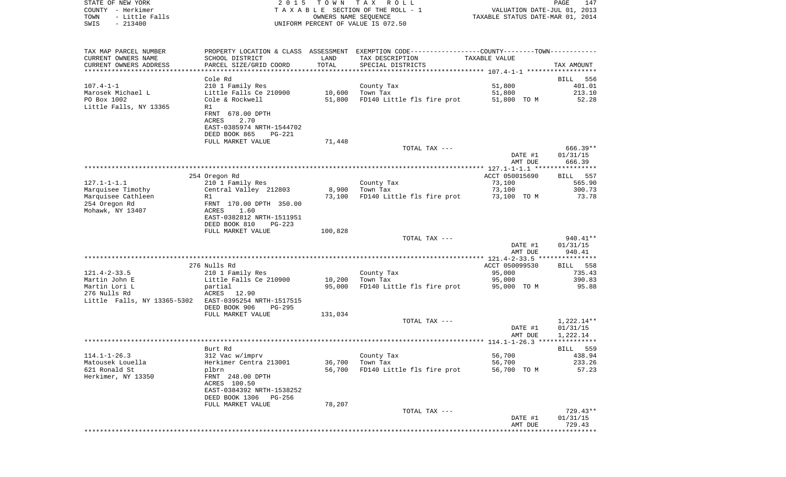| STATE OF NEW YORK<br>COUNTY - Herkimer<br>- Little Falls<br>TOWN<br>$-213400$<br>SWIS | 2 0 1 5                                                                           | T O W N<br>OWNERS NAME SEQUENCE | TAX ROLL<br>TAXABLE SECTION OF THE ROLL - 1<br>UNIFORM PERCENT OF VALUE IS 072.50                   | VALUATION DATE-JUL 01, 2013<br>TAXABLE STATUS DATE-MAR 01, 2014 | PAGE<br>147           |
|---------------------------------------------------------------------------------------|-----------------------------------------------------------------------------------|---------------------------------|-----------------------------------------------------------------------------------------------------|-----------------------------------------------------------------|-----------------------|
| TAX MAP PARCEL NUMBER<br>CURRENT OWNERS NAME<br>CURRENT OWNERS ADDRESS                | PROPERTY LOCATION & CLASS ASSESSMENT<br>SCHOOL DISTRICT<br>PARCEL SIZE/GRID COORD | LAND<br>TOTAL                   | EXEMPTION CODE-----------------COUNTY-------TOWN-----------<br>TAX DESCRIPTION<br>SPECIAL DISTRICTS | TAXABLE VALUE                                                   | TAX AMOUNT            |
| ************************                                                              |                                                                                   |                                 |                                                                                                     |                                                                 |                       |
|                                                                                       | Cole Rd                                                                           |                                 |                                                                                                     |                                                                 | BILL<br>556           |
| $107.4 - 1 - 1$                                                                       | 210 1 Family Res                                                                  |                                 | County Tax                                                                                          | 51,800                                                          | 401.01                |
| Marosek Michael L<br>PO Box 1002                                                      | Little Falls Ce 210900<br>Cole & Rockwell                                         | 10,600<br>51,800                | Town Tax<br>FD140 Little fls fire prot                                                              | 51,800                                                          | 213.10<br>52.28       |
| Little Falls, NY 13365                                                                | R1                                                                                |                                 |                                                                                                     | 51,800 TO M                                                     |                       |
|                                                                                       | FRNT 678.00 DPTH                                                                  |                                 |                                                                                                     |                                                                 |                       |
|                                                                                       | ACRES<br>2.70                                                                     |                                 |                                                                                                     |                                                                 |                       |
|                                                                                       | EAST-0385974 NRTH-1544702                                                         |                                 |                                                                                                     |                                                                 |                       |
|                                                                                       | DEED BOOK 865<br>PG-221<br>FULL MARKET VALUE                                      | 71,448                          |                                                                                                     |                                                                 |                       |
|                                                                                       |                                                                                   |                                 | TOTAL TAX ---                                                                                       |                                                                 | 666.39**              |
|                                                                                       |                                                                                   |                                 |                                                                                                     | DATE #1                                                         | 01/31/15              |
|                                                                                       |                                                                                   |                                 |                                                                                                     | AMT DUE                                                         | 666.39                |
|                                                                                       | 254 Oregon Rd                                                                     |                                 |                                                                                                     | ACCT 050015690                                                  | 557<br>BILL           |
| $127.1 - 1 - 1.1$                                                                     | 210 1 Family Res                                                                  |                                 | County Tax                                                                                          | 73,100                                                          | 565.90                |
| Marquisee Timothy                                                                     | Central Valley 212803                                                             | 8,900                           | Town Tax                                                                                            | 73,100                                                          | 300.73                |
| Marquisee Cathleen                                                                    | R1                                                                                | 73,100                          | FD140 Little fls fire prot                                                                          | 73,100 TO M                                                     | 73.78                 |
| 254 Oregon Rd<br>Mohawk, NY 13407                                                     | FRNT 170.00 DPTH 350.00<br>ACRES<br>1.60                                          |                                 |                                                                                                     |                                                                 |                       |
|                                                                                       | EAST-0382812 NRTH-1511951                                                         |                                 |                                                                                                     |                                                                 |                       |
|                                                                                       | DEED BOOK 810<br>PG-223                                                           |                                 |                                                                                                     |                                                                 |                       |
|                                                                                       | FULL MARKET VALUE                                                                 | 100,828                         |                                                                                                     |                                                                 |                       |
|                                                                                       |                                                                                   |                                 | TOTAL TAX ---                                                                                       | DATE #1                                                         | 940.41**<br>01/31/15  |
|                                                                                       |                                                                                   |                                 |                                                                                                     | AMT DUE                                                         | 940.41                |
|                                                                                       |                                                                                   |                                 |                                                                                                     |                                                                 |                       |
|                                                                                       | 276 Nulls Rd                                                                      |                                 |                                                                                                     | ACCT 050099530                                                  | 558<br>BILL           |
| $121.4 - 2 - 33.5$<br>Martin John E                                                   | 210 1 Family Res<br>Little Falls Ce 210900                                        | 10,200                          | County Tax<br>Town Tax                                                                              | 95,000<br>95,000                                                | 735.43<br>390.83      |
| Martin Lori L                                                                         | partial                                                                           | 95,000                          | FD140 Little fls fire prot                                                                          | 95,000 TO M                                                     | 95.88                 |
| 276 Nulls Rd                                                                          | ACRES 12.90                                                                       |                                 |                                                                                                     |                                                                 |                       |
| Little Falls, NY 13365-5302                                                           | EAST-0395254 NRTH-1517515                                                         |                                 |                                                                                                     |                                                                 |                       |
|                                                                                       | DEED BOOK 906<br><b>PG-295</b><br>FULL MARKET VALUE                               | 131,034                         |                                                                                                     |                                                                 |                       |
|                                                                                       |                                                                                   |                                 | TOTAL TAX ---                                                                                       |                                                                 | 1,222.14**            |
|                                                                                       |                                                                                   |                                 |                                                                                                     | DATE #1                                                         | 01/31/15              |
|                                                                                       |                                                                                   |                                 |                                                                                                     | AMT DUE                                                         | 1,222.14              |
|                                                                                       |                                                                                   |                                 |                                                                                                     |                                                                 |                       |
| $114.1 - 1 - 26.3$                                                                    | Burt Rd<br>312 Vac w/imprv                                                        |                                 | County Tax                                                                                          | 56,700                                                          | 559<br>BILL<br>438.94 |
| Matousek Louella                                                                      | Herkimer Centra 213001                                                            | 36,700                          | Town Tax                                                                                            | 56,700                                                          | 233.26                |
| 621 Ronald St                                                                         | plbrn                                                                             | 56,700                          | FD140 Little fls fire prot                                                                          | 56,700 TO M                                                     | 57.23                 |
| Herkimer, NY 13350                                                                    | FRNT 248.00 DPTH                                                                  |                                 |                                                                                                     |                                                                 |                       |
|                                                                                       | ACRES 100.50<br>EAST-0384392 NRTH-1538252                                         |                                 |                                                                                                     |                                                                 |                       |
|                                                                                       | DEED BOOK 1306<br>PG-256                                                          |                                 |                                                                                                     |                                                                 |                       |
|                                                                                       | FULL MARKET VALUE                                                                 | 78,207                          |                                                                                                     |                                                                 |                       |
|                                                                                       |                                                                                   |                                 | TOTAL TAX ---                                                                                       |                                                                 | $729.43**$            |
|                                                                                       |                                                                                   |                                 |                                                                                                     | DATE #1<br>AMT DUE                                              | 01/31/15<br>729.43    |
|                                                                                       |                                                                                   |                                 |                                                                                                     | ******************************                                  |                       |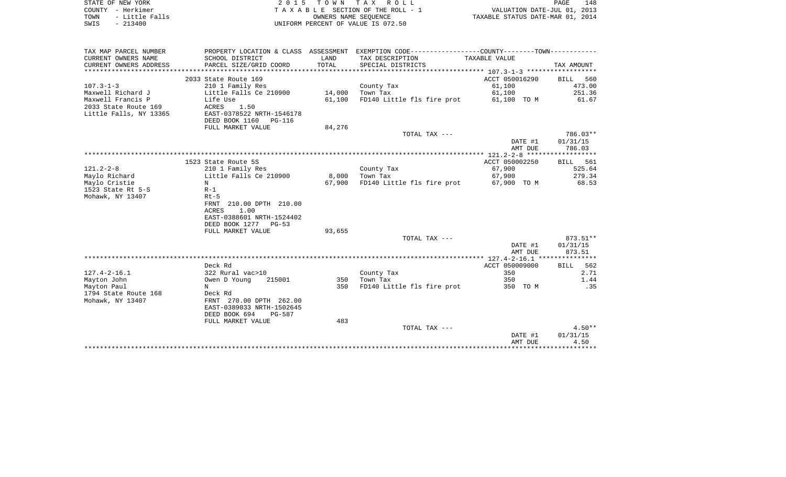| STATE OF NEW YORK      | 2015 TOWN TAX ROLL                 |                                  | PAGE | 148 |
|------------------------|------------------------------------|----------------------------------|------|-----|
| COUNTY - Herkimer      | TAXABLE SECTION OF THE ROLL - 1    | VALUATION DATE-JUL 01, 2013      |      |     |
| - Little Falls<br>TOWN | OWNERS NAME SEOUENCE               | TAXABLE STATUS DATE-MAR 01, 2014 |      |     |
| SWIS<br>$-213400$      | UNIFORM PERCENT OF VALUE IS 072.50 |                                  |      |     |
|                        |                                    |                                  |      |     |

| TAX MAP PARCEL NUMBER  |                            |        | PROPERTY LOCATION & CLASS ASSESSMENT EXEMPTION CODE---------------COUNTY-------TOWN---------- |                |                    |
|------------------------|----------------------------|--------|-----------------------------------------------------------------------------------------------|----------------|--------------------|
| CURRENT OWNERS NAME    | SCHOOL DISTRICT            | LAND   | TAX DESCRIPTION                                                                               | TAXABLE VALUE  |                    |
| CURRENT OWNERS ADDRESS | PARCEL SIZE/GRID COORD     | TOTAL  | SPECIAL DISTRICTS                                                                             |                | TAX AMOUNT         |
|                        |                            |        |                                                                                               |                |                    |
|                        | 2033 State Route 169       |        |                                                                                               | ACCT 050016290 | BILL 560           |
| $107.3 - 1 - 3$        | 210 1 Family Res           |        | County Tax                                                                                    | 61,100         | 473.00             |
| Maxwell Richard J      | Little Falls Ce 210900     | 14,000 | Town Tax                                                                                      | 61,100         | 251.36             |
| Maxwell Francis P      | Life Use                   | 61,100 | FD140 Little fls fire prot                                                                    | 61,100 TO M    | 61.67              |
| 2033 State Route 169   | ACRES<br>1.50              |        |                                                                                               |                |                    |
| Little Falls, NY 13365 | EAST-0378522 NRTH-1546178  |        |                                                                                               |                |                    |
|                        | DEED BOOK 1160 PG-116      |        |                                                                                               |                |                    |
|                        | FULL MARKET VALUE          | 84,276 |                                                                                               |                |                    |
|                        |                            |        | TOTAL TAX ---                                                                                 |                | 786.03**           |
|                        |                            |        |                                                                                               | DATE #1        | 01/31/15           |
|                        |                            |        |                                                                                               | AMT DUE        | 786.03             |
|                        |                            |        |                                                                                               |                | ****************** |
|                        | 1523 State Route 5S        |        |                                                                                               | ACCT 050002250 | BILL 561           |
| $121.2 - 2 - 8$        | 210 1 Family Res           |        | County Tax                                                                                    | 67,900         | 525.64             |
| Maylo Richard          | Little Falls Ce 210900     | 8,000  | Town Tax                                                                                      | 67,900         | 279.34             |
| Maylo Cristie          | N                          | 67,900 | FD140 Little fls fire prot                                                                    | 67,900 TO M    | 68.53              |
| 1523 State Rt $5-S$    | $R-1$                      |        |                                                                                               |                |                    |
| Mohawk, NY 13407       | $Rt-5$                     |        |                                                                                               |                |                    |
|                        | 210.00 DPTH 210.00<br>FRNT |        |                                                                                               |                |                    |
|                        | 1.00<br>ACRES              |        |                                                                                               |                |                    |
|                        | EAST-0388601 NRTH-1524402  |        |                                                                                               |                |                    |
|                        | DEED BOOK 1277 PG-53       |        |                                                                                               |                |                    |
|                        | FULL MARKET VALUE          | 93,655 |                                                                                               |                |                    |
|                        |                            |        | TOTAL TAX ---                                                                                 |                | 873.51**           |
|                        |                            |        |                                                                                               | DATE #1        | 01/31/15           |
|                        |                            |        |                                                                                               | AMT DUE        | 873.51             |
|                        |                            |        |                                                                                               |                |                    |
|                        | Deck Rd                    |        |                                                                                               | ACCT 050009000 | 562<br>BILL        |
| $127.4 - 2 - 16.1$     | 322 Rural vac>10           |        | County Tax                                                                                    | 350            | 2.71               |
| Mayton John            | Owen D Young<br>215001     | 350    | Town Tax                                                                                      | 350            | 1.44               |
| Mayton Paul            | N                          | 350    | FD140 Little fls fire prot                                                                    | 350 TO M       | .35                |
| 1794 State Route 168   | Deck Rd                    |        |                                                                                               |                |                    |
| Mohawk, NY 13407       | FRNT 270.00 DPTH 262.00    |        |                                                                                               |                |                    |
|                        | EAST-0389033 NRTH-1502645  |        |                                                                                               |                |                    |
|                        | DEED BOOK 694<br>PG-587    |        |                                                                                               |                |                    |
|                        | FULL MARKET VALUE          | 483    |                                                                                               |                |                    |
|                        |                            |        | TOTAL TAX ---                                                                                 |                | $4.50**$           |
|                        |                            |        |                                                                                               | DATE #1        | 01/31/15           |
|                        |                            |        |                                                                                               | AMT DUE        | 4.50               |
|                        |                            |        |                                                                                               |                |                    |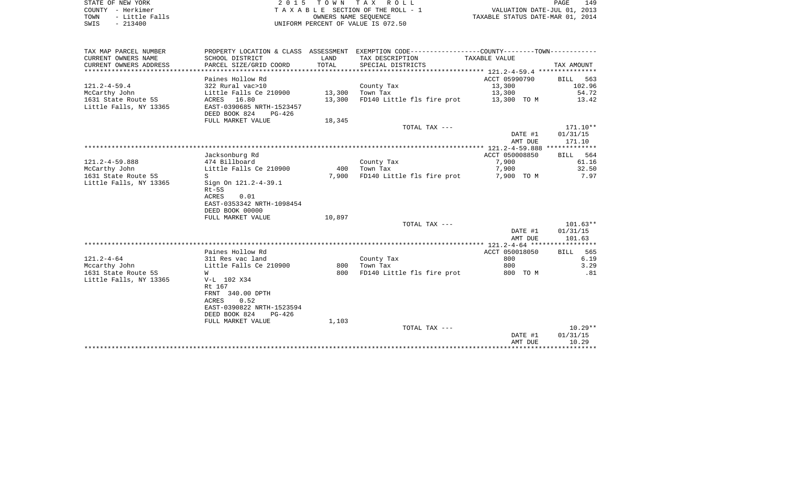| STATE OF NEW YORK      | 2015 TOWN TAX ROLL                 | 149<br>PAGE                      |
|------------------------|------------------------------------|----------------------------------|
| COUNTY - Herkimer      | TAXABLE SECTION OF THE ROLL - 1    | VALUATION DATE-JUL 01, 2013      |
| - Little Falls<br>TOWN | OWNERS NAME SEOUENCE               | TAXABLE STATUS DATE-MAR 01, 2014 |
| $-213400$<br>SWIS      | UNIFORM PERCENT OF VALUE IS 072.50 |                                  |

| TAX MAP PARCEL NUMBER  |                                            |        | PROPERTY LOCATION & CLASS ASSESSMENT EXEMPTION CODE----------------COUNTY--------TOWN---------- |                |                 |
|------------------------|--------------------------------------------|--------|-------------------------------------------------------------------------------------------------|----------------|-----------------|
| CURRENT OWNERS NAME    | SCHOOL DISTRICT                            | LAND   | TAX DESCRIPTION                                                                                 | TAXABLE VALUE  |                 |
| CURRENT OWNERS ADDRESS | PARCEL SIZE/GRID COORD                     | TOTAL  | SPECIAL DISTRICTS                                                                               |                | TAX AMOUNT      |
|                        |                                            |        |                                                                                                 |                |                 |
|                        | Paines Hollow Rd                           |        |                                                                                                 | ACCT 05990790  | BILL 563        |
| $121.2 - 4 - 59.4$     | 322 Rural vac>10                           |        | County Tax                                                                                      | 13,300         | 102.96          |
| McCarthy John          | Little Falls Ce 210900                     | 13,300 | Town Tax                                                                                        | 13,300         | 54.72           |
| 1631 State Route 5S    | ACRES 16.80                                | 13,300 | FD140 Little fls fire prot 13,300 TO M                                                          |                | 13.42           |
| Little Falls, NY 13365 | EAST-0390685 NRTH-1523457                  |        |                                                                                                 |                |                 |
|                        | DEED BOOK 824<br>PG-426                    |        |                                                                                                 |                |                 |
|                        | FULL MARKET VALUE                          | 18,345 |                                                                                                 |                |                 |
|                        |                                            |        | TOTAL TAX ---                                                                                   |                | $171.10**$      |
|                        |                                            |        |                                                                                                 | DATE #1        | 01/31/15        |
|                        |                                            |        |                                                                                                 | AMT DUE        | 171.10          |
|                        |                                            |        |                                                                                                 |                |                 |
|                        | Jacksonburg Rd                             |        |                                                                                                 | ACCT 050008850 | BILL 564        |
| $121.2 - 4 - 59.888$   | 474 Billboard                              |        | County Tax                                                                                      | 7,900          | 61.16           |
| McCarthy John          | Little Falls Ce 210900                     | 400    | Town Tax                                                                                        | 7,900          | 32.50           |
| 1631 State Route 5S    | S                                          | 7,900  | FD140 Little fls fire prot                                                                      | 7,900 TO M     | 7.97            |
| Little Falls, NY 13365 | Sign On 121.2-4-39.1                       |        |                                                                                                 |                |                 |
|                        | $Rt-5S$                                    |        |                                                                                                 |                |                 |
|                        | 0.01<br>ACRES                              |        |                                                                                                 |                |                 |
|                        | EAST-0353342 NRTH-1098454                  |        |                                                                                                 |                |                 |
|                        | DEED BOOK 00000                            |        |                                                                                                 |                |                 |
|                        | FULL MARKET VALUE                          | 10,897 |                                                                                                 |                |                 |
|                        |                                            |        | TOTAL TAX ---                                                                                   |                | $101.63**$      |
|                        |                                            |        |                                                                                                 | DATE #1        | 01/31/15        |
|                        |                                            |        |                                                                                                 | AMT DUE        | 101.63          |
|                        |                                            |        |                                                                                                 |                |                 |
|                        | Paines Hollow Rd                           |        |                                                                                                 | ACCT 050018050 | <b>BILL</b> 565 |
| $121.2 - 4 - 64$       | 311 Res vac land                           |        | County Tax                                                                                      | 800            | 6.19            |
| Mccarthy John          | Little Falls Ce 210900                     |        | 800 Town Tax                                                                                    | 800            | 3.29            |
| 1631 State Route 5S    | W                                          | 800    | FD140 Little fls fire prot                                                                      | 800 TO M       | .81             |
| Little Falls, NY 13365 | V-L 102 X34                                |        |                                                                                                 |                |                 |
|                        | Rt 167                                     |        |                                                                                                 |                |                 |
|                        | FRNT 340.00 DPTH                           |        |                                                                                                 |                |                 |
|                        | 0.52<br>ACRES                              |        |                                                                                                 |                |                 |
|                        | EAST-0390822 NRTH-1523594<br>DEED BOOK 824 |        |                                                                                                 |                |                 |
|                        | PG-426<br>FULL MARKET VALUE                |        |                                                                                                 |                |                 |
|                        |                                            | 1,103  | TOTAL TAX ---                                                                                   |                | $10.29**$       |
|                        |                                            |        |                                                                                                 | DATE #1        | 01/31/15        |
|                        |                                            |        |                                                                                                 | AMT DUE        | 10.29           |
|                        |                                            |        |                                                                                                 |                |                 |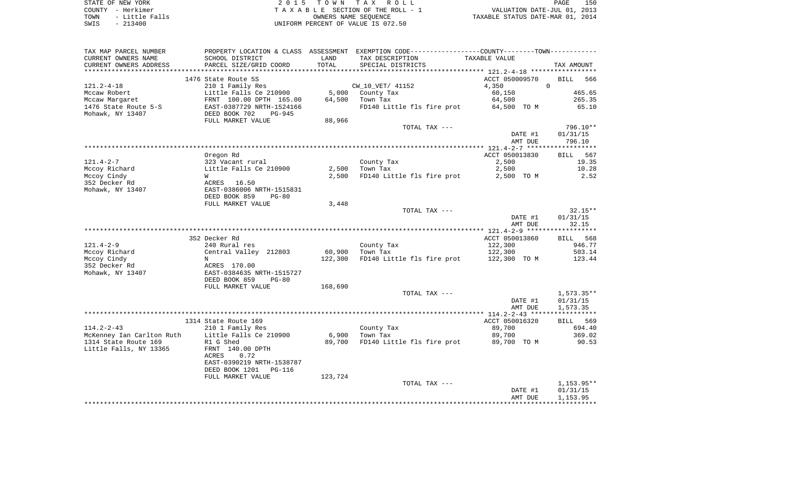| STATE OF NEW YORK      | 2015 TOWN TAX ROLL                 | 150<br>PAGE                      |
|------------------------|------------------------------------|----------------------------------|
| COUNTY - Herkimer      | TAXABLE SECTION OF THE ROLL - 1    | VALUATION DATE-JUL 01, 2013      |
| - Little Falls<br>TOWN | OWNERS NAME SEOUENCE               | TAXABLE STATUS DATE-MAR 01, 2014 |
| - 213400<br>SWIS       | UNIFORM PERCENT OF VALUE IS 072.50 |                                  |

| TAX MAP PARCEL NUMBER                          | PROPERTY LOCATION & CLASS ASSESSMENT EXEMPTION CODE----------------COUNTY--------TOWN----------- |         |                            |                  |                  |
|------------------------------------------------|--------------------------------------------------------------------------------------------------|---------|----------------------------|------------------|------------------|
| CURRENT OWNERS NAME                            | SCHOOL DISTRICT                                                                                  | LAND    | TAX DESCRIPTION            | TAXABLE VALUE    |                  |
| CURRENT OWNERS ADDRESS                         | PARCEL SIZE/GRID COORD                                                                           | TOTAL   | SPECIAL DISTRICTS          |                  | TAX AMOUNT       |
|                                                |                                                                                                  |         |                            |                  |                  |
|                                                | 1476 State Route 5S                                                                              |         |                            | ACCT 050009570   | BILL<br>566      |
| $121.2 - 4 - 18$                               | 210 1 Family Res                                                                                 |         | CW_10_VET/ 41152           | 4,350            | $\Omega$         |
| Mccaw Robert                                   | Little Falls Ce 210900                                                                           | 5,000   | County Tax                 | 60,150           | 465.65           |
| Mccaw Margaret                                 | FRNT 100.00 DPTH 165.00                                                                          | 64,500  | Town Tax                   | 64,500           | 265.35           |
| 1476 State Route 5-S                           | EAST-0387729 NRTH-1524166                                                                        |         | FD140 Little fls fire prot | 64,500 TO M      | 65.10            |
| Mohawk, NY 13407                               | DEED BOOK 702<br>$PG-945$                                                                        |         |                            |                  |                  |
|                                                | FULL MARKET VALUE                                                                                | 88,966  |                            |                  |                  |
|                                                |                                                                                                  |         | TOTAL TAX ---              |                  | 796.10**         |
|                                                |                                                                                                  |         |                            | DATE #1          | 01/31/15         |
|                                                |                                                                                                  |         |                            | AMT DUE          | 796.10           |
|                                                |                                                                                                  |         |                            |                  |                  |
|                                                | Oregon Rd                                                                                        |         |                            | ACCT 050013830   | BILL 567         |
| $121.4 - 2 - 7$                                | 323 Vacant rural                                                                                 |         | County Tax                 | 2,500            | 19.35            |
| Mccoy Richard                                  | Little Falls Ce 210900                                                                           | 2,500   | Town Tax                   | 2,500            | 10.28            |
| Mccoy Cindy                                    | W                                                                                                | 2,500   | FD140 Little fls fire prot | 2,500 TO M       | 2.52             |
| 352 Decker Rd                                  | ACRES<br>16.50                                                                                   |         |                            |                  |                  |
| Mohawk, NY 13407                               | EAST-0386006 NRTH-1515831                                                                        |         |                            |                  |                  |
|                                                | DEED BOOK 859<br>$PG-80$                                                                         |         |                            |                  |                  |
|                                                | FULL MARKET VALUE                                                                                | 3,448   |                            |                  |                  |
|                                                |                                                                                                  |         | TOTAL TAX ---              |                  | $32.15**$        |
|                                                |                                                                                                  |         |                            | DATE #1          | 01/31/15         |
|                                                |                                                                                                  |         |                            | AMT DUE          | 32.15            |
|                                                |                                                                                                  |         |                            |                  |                  |
|                                                | 352 Decker Rd                                                                                    |         |                            | ACCT 050013860   | BILL 568         |
| $121.4 - 2 - 9$                                | 240 Rural res                                                                                    |         | County Tax                 | 122,300          | 946.77           |
| Mccoy Richard                                  | Central Valley 212803                                                                            | 60,900  | Town Tax                   | 122,300          | 503.14           |
| Mccoy Cindy                                    | N                                                                                                | 122,300 | FD140 Little fls fire prot | 122,300 TO M     | 123.44           |
| 352 Decker Rd                                  | ACRES 170.00                                                                                     |         |                            |                  |                  |
| Mohawk, NY 13407                               | EAST-0384635 NRTH-1515727                                                                        |         |                            |                  |                  |
|                                                | DEED BOOK 859<br>$PG-80$                                                                         |         |                            |                  |                  |
|                                                | FULL MARKET VALUE                                                                                | 168,690 |                            |                  |                  |
|                                                |                                                                                                  |         | TOTAL TAX ---              |                  | $1,573.35**$     |
|                                                |                                                                                                  |         |                            | DATE #1          | 01/31/15         |
|                                                |                                                                                                  |         |                            | AMT DUE          | 1,573.35         |
|                                                |                                                                                                  |         |                            |                  |                  |
|                                                | 1314 State Route 169                                                                             |         |                            | ACCT 050016320   | BILL 569         |
| $114.2 - 2 - 43$<br>McKenney Ian Carlton Ruth  | 210 1 Family Res<br>Little Falls Ce 210900                                                       | 6,900   | County Tax<br>Town Tax     | 89,700<br>89,700 | 694.40<br>369.02 |
|                                                |                                                                                                  |         |                            |                  | 90.53            |
| 1314 State Route 169<br>Little Falls, NY 13365 | R1 G Shed<br>FRNT 140.00 DPTH                                                                    | 89,700  | FD140 Little fls fire prot | 89,700 TO M      |                  |
|                                                | ACRES<br>0.72                                                                                    |         |                            |                  |                  |
|                                                | EAST-0390219 NRTH-1538787                                                                        |         |                            |                  |                  |
|                                                | DEED BOOK 1201<br>PG-116                                                                         |         |                            |                  |                  |
|                                                | FULL MARKET VALUE                                                                                | 123,724 |                            |                  |                  |
|                                                |                                                                                                  |         | TOTAL TAX ---              |                  | $1,153.95**$     |
|                                                |                                                                                                  |         |                            | DATE #1          | 01/31/15         |
|                                                |                                                                                                  |         |                            | AMT DUE          | 1,153.95         |
|                                                |                                                                                                  |         |                            |                  |                  |
|                                                |                                                                                                  |         |                            |                  |                  |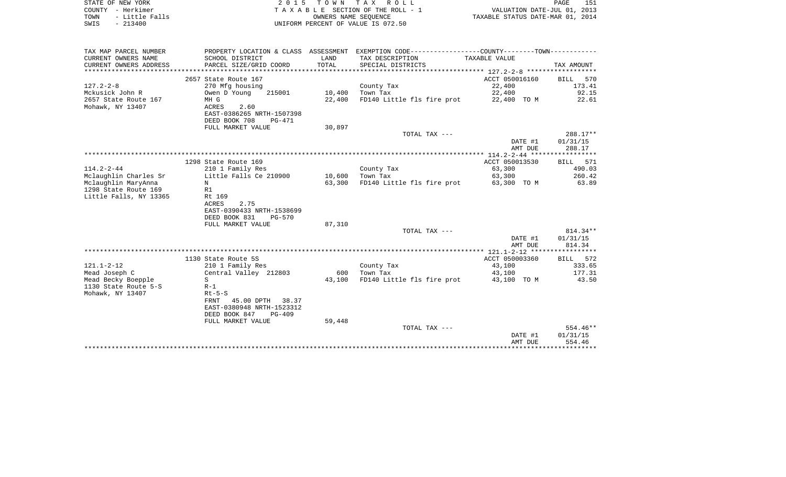| STATE OF NEW YORK      | 2015 TOWN TAX ROLL                    | 151<br>PAGE                      |
|------------------------|---------------------------------------|----------------------------------|
| COUNTY - Herkimer      | T A X A B L E SECTION OF THE ROLL - 1 | VALUATION DATE-JUL 01, 2013      |
| - Little Falls<br>TOWN | OWNERS NAME SEOUENCE                  | TAXABLE STATUS DATE-MAR 01, 2014 |
| $-213400$<br>SWIS      | UNIFORM PERCENT OF VALUE IS 072.50    |                                  |

| TAX MAP PARCEL NUMBER<br>PROPERTY LOCATION & CLASS ASSESSMENT |                 | EXEMPTION CODE----------------COUNTY-------TOWN----------- |                    |                    |
|---------------------------------------------------------------|-----------------|------------------------------------------------------------|--------------------|--------------------|
| CURRENT OWNERS NAME<br>SCHOOL DISTRICT                        | LAND            | TAX DESCRIPTION                                            | TAXABLE VALUE      |                    |
| CURRENT OWNERS ADDRESS<br>PARCEL SIZE/GRID COORD              | TOTAL           | SPECIAL DISTRICTS                                          |                    | TAX AMOUNT         |
|                                                               |                 |                                                            |                    |                    |
| 2657 State Route 167                                          |                 |                                                            | ACCT 050016160     | BILL<br>570        |
| $127.2 - 2 - 8$<br>270 Mfg housing                            |                 | County Tax                                                 | 22,400             | 173.41             |
| Mckusick John R<br>Owen D Young<br>215001                     |                 | 10,400 Town Tax                                            | 22,400             | 92.15              |
| 2657 State Route 167<br>MH G                                  | 22,400          | FD140 Little fls fire prot 22,400 TO M                     |                    | 22.61              |
| Mohawk, NY 13407<br>ACRES<br>2.60                             |                 |                                                            |                    |                    |
| EAST-0386265 NRTH-1507398                                     |                 |                                                            |                    |                    |
| DEED BOOK 708<br>PG-471                                       |                 |                                                            |                    |                    |
| FULL MARKET VALUE                                             | 30,897          |                                                            |                    |                    |
|                                                               |                 | TOTAL TAX ---                                              |                    | 288.17**           |
|                                                               |                 |                                                            | DATE #1            | 01/31/15           |
|                                                               |                 |                                                            | AMT DUE            | 288.17             |
|                                                               |                 |                                                            |                    |                    |
| 1298 State Route 169                                          |                 |                                                            | ACCT 050013530     | BILL 571           |
| $114.2 - 2 - 44$<br>210 1 Family Res                          |                 | County Tax                                                 | 63,300             | 490.03             |
| Little Falls Ce 210900<br>Mclaughlin Charles Sr               | 10,600 Town Tax |                                                            | 63,300             | 260.42             |
| Mclaughlin MaryAnna<br>N                                      | 63,300          | FD140 Little fls fire prot 63,300 TO M                     |                    | 63.89              |
| 1298 State Route 169<br>R1                                    |                 |                                                            |                    |                    |
| Little Falls, NY 13365<br>Rt 169                              |                 |                                                            |                    |                    |
| ACRES<br>2.75                                                 |                 |                                                            |                    |                    |
| EAST-0390433 NRTH-1538699                                     |                 |                                                            |                    |                    |
| DEED BOOK 831<br>PG-570                                       |                 |                                                            |                    |                    |
| FULL MARKET VALUE                                             | 87,310          |                                                            |                    |                    |
|                                                               |                 | TOTAL TAX ---                                              |                    | $814.34**$         |
|                                                               |                 |                                                            | DATE #1            | 01/31/15           |
|                                                               |                 |                                                            | AMT DUE            | 814.34             |
|                                                               |                 |                                                            |                    |                    |
| 1130 State Route 5S                                           |                 |                                                            | ACCT 050003360     | BILL 572           |
| $121.1 - 2 - 12$<br>210 1 Family Res                          |                 | County Tax                                                 | 43,100             | 333.65             |
| Mead Joseph C<br>Central Valley 212803                        | 600             | Town Tax                                                   | 43,100             | 177.31             |
| Mead Becky Boepple<br>S                                       | 43,100          | FD140 Little fls fire prot                                 | 43,100 TO M        | 43.50              |
| 1130 State Route 5-S<br>$R-1$                                 |                 |                                                            |                    |                    |
| Mohawk, NY 13407<br>$Rt-5-S$                                  |                 |                                                            |                    |                    |
| 45.00 DPTH 38.37<br>FRNT                                      |                 |                                                            |                    |                    |
| EAST-0380948 NRTH-1523312                                     |                 |                                                            |                    |                    |
| DEED BOOK 847<br>PG-409                                       |                 |                                                            |                    |                    |
| FULL MARKET VALUE                                             | 59,448          |                                                            |                    |                    |
|                                                               |                 | TOTAL TAX ---                                              |                    | 554.46**           |
|                                                               |                 |                                                            | DATE #1<br>AMT DUE | 01/31/15<br>554.46 |
|                                                               |                 |                                                            |                    |                    |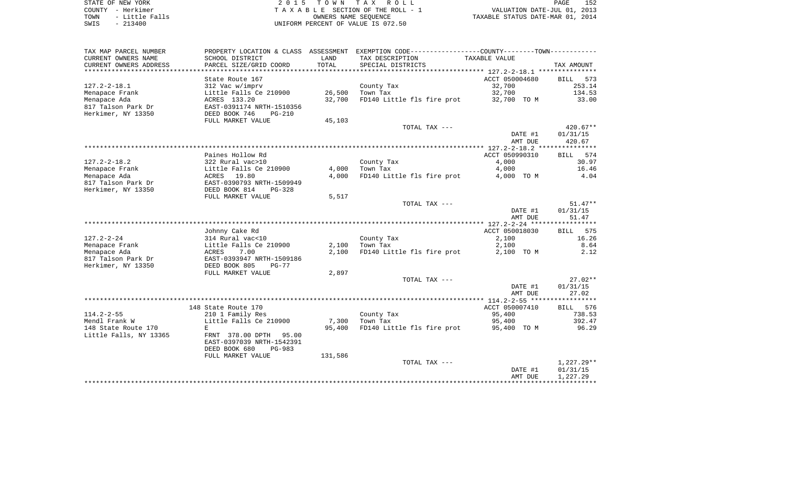| STATE OF NEW YORK |  |           |                |  |
|-------------------|--|-----------|----------------|--|
| COUNTY - Herkimer |  |           |                |  |
| TOWN              |  |           | - Little Falls |  |
| SWIS              |  | $-213400$ |                |  |

STATE OF NEW YORK 2 0 1 5 T O W N T A X R O L L PAGE 152 COUNTY - Herkimer T A X A B L E SECTION OF THE ROLL - 1 VALUATION DATE-JUL 01, 2013 TOWN - Little Falls OWNERS NAME SEQUENCE TAXABLE STATUS DATE-MAR 01, 2014 UNIFORM PERCENT OF VALUE IS 072.50

| TAX MAP PARCEL NUMBER                         | PROPERTY LOCATION & CLASS ASSESSMENT    |                | EXEMPTION CODE-----------------COUNTY-------TOWN----------- |                         |                             |
|-----------------------------------------------|-----------------------------------------|----------------|-------------------------------------------------------------|-------------------------|-----------------------------|
| CURRENT OWNERS NAME                           | SCHOOL DISTRICT                         | LAND           | TAX DESCRIPTION                                             | TAXABLE VALUE           |                             |
| CURRENT OWNERS ADDRESS                        | PARCEL SIZE/GRID COORD                  | TOTAL          | SPECIAL DISTRICTS                                           |                         | TAX AMOUNT                  |
|                                               | State Route 167                         |                |                                                             | ACCT 050004680          | <b>BILL</b><br>573          |
| $127.2 - 2 - 18.1$                            | 312 Vac w/imprv                         |                | County Tax                                                  | 32,700                  | 253.14                      |
| Menapace Frank                                | Little Falls Ce 210900                  | 26,500         | Town Tax                                                    | 32,700                  | 134.53                      |
| Menapace Ada                                  | ACRES 133.20                            | 32,700         | FD140 Little fls fire prot                                  | 32,700 TO M             | 33.00                       |
| 817 Talson Park Dr                            | EAST-0391174 NRTH-1510356               |                |                                                             |                         |                             |
| Herkimer, NY 13350                            | DEED BOOK 746<br>$PG-210$               |                |                                                             |                         |                             |
|                                               | FULL MARKET VALUE                       | 45,103         |                                                             |                         |                             |
|                                               |                                         |                | TOTAL TAX ---                                               |                         | $420.67**$                  |
|                                               |                                         |                |                                                             | DATE #1                 | 01/31/15                    |
|                                               |                                         |                |                                                             | AMT DUE                 | 420.67                      |
|                                               |                                         |                |                                                             |                         |                             |
| $127.2 - 2 - 18.2$                            | Paines Hollow Rd<br>322 Rural vac>10    |                | County Tax                                                  | ACCT 050990310<br>4,000 | 574<br><b>BILL</b><br>30.97 |
| Menapace Frank                                | Little Falls Ce 210900                  | 4,000          | Town Tax                                                    | 4,000                   | 16.46                       |
| Menapace Ada                                  | ACRES<br>19.80                          | 4,000          | FD140 Little fls fire prot                                  | 4,000 TO M              | 4.04                        |
| 817 Talson Park Dr                            | EAST-0390793 NRTH-1509949               |                |                                                             |                         |                             |
| Herkimer, NY 13350                            | DEED BOOK 814<br>$PG-328$               |                |                                                             |                         |                             |
|                                               | FULL MARKET VALUE                       | 5,517          |                                                             |                         |                             |
|                                               |                                         |                | TOTAL TAX ---                                               |                         | $51.47**$                   |
|                                               |                                         |                |                                                             | DATE #1                 | 01/31/15                    |
|                                               |                                         |                |                                                             | AMT DUE                 | 51.47                       |
|                                               |                                         |                |                                                             |                         |                             |
|                                               | Johnny Cake Rd                          |                |                                                             | ACCT 050018030          | 575<br><b>BILL</b>          |
| $127.2 - 2 - 24$                              | 314 Rural vac<10                        |                | County Tax                                                  | 2,100                   | 16.26                       |
| Menapace Frank<br>Menapace Ada                | Little Falls Ce 210900<br>ACRES<br>7.00 | 2,100<br>2,100 | Town Tax<br>FD140 Little fls fire prot                      | 2,100<br>2,100 TO M     | 8.64<br>2.12                |
| 817 Talson Park Dr                            | EAST-0393947 NRTH-1509186               |                |                                                             |                         |                             |
| Herkimer, NY 13350                            | DEED BOOK 805<br>$PG-77$                |                |                                                             |                         |                             |
|                                               | FULL MARKET VALUE                       | 2,897          |                                                             |                         |                             |
|                                               |                                         |                | TOTAL TAX ---                                               |                         | $27.02**$                   |
|                                               |                                         |                |                                                             | DATE #1                 | 01/31/15                    |
|                                               |                                         |                |                                                             | AMT DUE                 | 27.02                       |
|                                               |                                         |                |                                                             |                         |                             |
|                                               | 148 State Route 170                     |                |                                                             | ACCT 050007410          | 576<br>BILL                 |
| $114.2 - 2 - 55$                              | 210 1 Family Res                        |                | County Tax                                                  | 95,400                  | 738.53                      |
| Mendl Frank W                                 | Little Falls Ce 210900                  | 7,300          | Town Tax                                                    | 95,400                  | 392.47                      |
| 148 State Route 170<br>Little Falls, NY 13365 | E<br>FRNT 378.00 DPTH<br>95.00          | 95,400         | FD140 Little fls fire prot                                  | 95,400 TO M             | 96.29                       |
|                                               | EAST-0397039 NRTH-1542391               |                |                                                             |                         |                             |
|                                               | DEED BOOK 680<br>$PG-983$               |                |                                                             |                         |                             |
|                                               | FULL MARKET VALUE                       | 131,586        |                                                             |                         |                             |
|                                               |                                         |                | TOTAL TAX ---                                               |                         | $1,227.29**$                |
|                                               |                                         |                |                                                             | DATE #1                 | 01/31/15                    |
|                                               |                                         |                |                                                             | AMT DUE                 | 1,227.29                    |
|                                               |                                         |                |                                                             |                         |                             |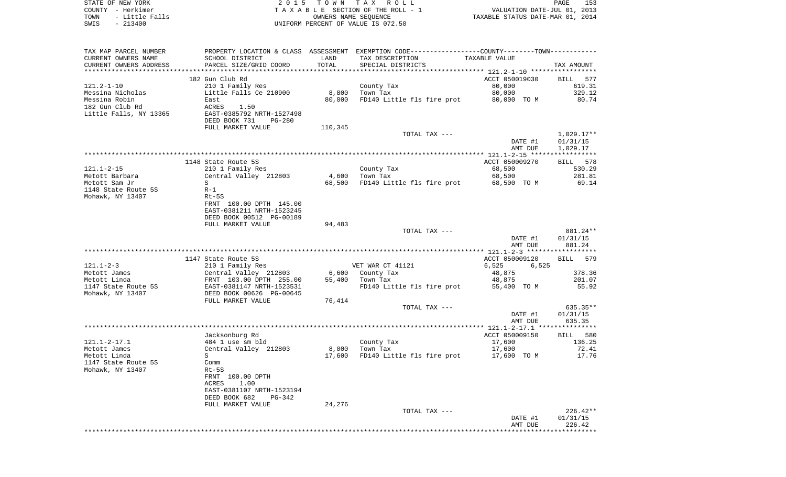COUNTY - Herkimer **T A X A B L E** SECTION OF THE ROLL - 1 VALUATION DATE-JUL 01, 2013 TOWN - Little Falls OWNERS NAME SEQUENCE TAXABLE STATUS DATE-MAR 01, 2014 SWIS - 213400 UNIFORM PERCENT OF VALUE IS 072.50TAX MAP PARCEL NUMBER PROPERTY LOCATION & CLASS ASSESSMENT EXEMPTION CODE------------------COUNTY--------TOWN------------ CURRENT OWNERS NAME SCHOOL DISTRICT LAND TAX DESCRIPTION TAXABLE VALUECURRENT OWNERS ADDRESS PARCEL SIZE/GRID COORD TOTAL SPECIAL DISTRICTS TAX AMOUNT \*\*\*\*\*\*\*\*\*\*\*\*\*\*\*\*\*\*\*\*\*\*\*\*\*\*\*\*\*\*\*\*\*\*\*\*\*\*\*\*\*\*\*\*\*\*\*\*\*\*\*\*\*\*\*\*\*\*\*\*\*\*\*\*\*\*\*\*\*\*\*\*\*\*\*\*\*\*\*\*\*\*\*\*\*\*\*\*\*\*\*\*\*\*\*\*\*\*\*\*\*\*\* 121.2-1-10 \*\*\*\*\*\*\*\*\*\*\*\*\*\*\*\*\*182 Gun Club Rd **ACCT** 050019030 BILL 577 121.2-1-10 210 1 Family Res County Tax 80,000 619.31 Messina Nicholas Little Falls Ce 210900 8,800 Town Tax 80,000 329.12 Messina Robin East 80,000 FD140 Little fls fire prot 80,000 TO M 80.74 182 Gun Club Rd ACRES 1.50 Little Falls, NY 13365 EAST-0385792 NRTH-1527498 DEED BOOK 731 PG-280FULL MARKET VALUE 110,345 TOTAL TAX --- 1,029.17\*\* DATE #1 01/31/15 AMT DUE 1,029.17 \*\*\*\*\*\*\*\*\*\*\*\*\*\*\*\*\*\*\*\*\*\*\*\*\*\*\*\*\*\*\*\*\*\*\*\*\*\*\*\*\*\*\*\*\*\*\*\*\*\*\*\*\*\*\*\*\*\*\*\*\*\*\*\*\*\*\*\*\*\*\*\*\*\*\*\*\*\*\*\*\*\*\*\*\*\*\*\*\*\*\*\*\*\*\*\*\*\*\*\*\*\*\* 121.1-2-15 \*\*\*\*\*\*\*\*\*\*\*\*\*\*\*\*\*1148 State Route 5S ACCT 050009270 BILL 578 530.29 121.1-2-15 210 1 Family Res County Tax 68,500 Metott Barbara Central Valley 212803 4,600 Town Tax 68,500 281.81 Metott Sam Jr S S Section 10 CB, 500 FD140 Little fls fire prot 68,500 TO M 69.14 1148 State Route 5S R-1Mohawk, NY 13407 Rt-5S FRNT 100.00 DPTH 145.00 EAST-0381211 NRTH-1523245 DEED BOOK 00512 PG-00189FULL MARKET VALUE 94,483 TOTAL TAX --- 881.24\*\* DATE #1 01/31/15 AMT DUE 881.24 \*\*\*\*\*\*\*\*\*\*\*\*\*\*\*\*\*\*\*\*\*\*\*\*\*\*\*\*\*\*\*\*\*\*\*\*\*\*\*\*\*\*\*\*\*\*\*\*\*\*\*\*\*\*\*\*\*\*\*\*\*\*\*\*\*\*\*\*\*\*\*\*\*\*\*\*\*\*\*\*\*\*\*\*\*\*\*\*\*\*\*\*\*\*\*\*\*\*\*\*\*\*\* 121.1-2-3 \*\*\*\*\*\*\*\*\*\*\*\*\*\*\*\*\*\*1147 State Route 5S ACCT 050009120 BILL 579 121.1-2-3 210 1 Family Res VET WAR CT 41121 6,525 6,525 Metott James Central Valley 212803 6,600 County Tax 48,875 378.36 Metott Linda FRNT 103.00 DPTH 255.00 55,400 Town Tax 48,875 201.07 1147 State Route 5S EAST-0381147 NRTH-1523531 FD140 Little fls fire prot 55,400 TO M 55.92 Mohawk, NY 13407 DEED BOOK 00626 PG-00645 FULL MARKET VALUE 76,414 TOTAL TAX --- 635.35\*\* DATE #1 01/31/15 AMT DUE 635.35 \*\*\*\*\*\*\*\*\*\*\*\*\*\*\*\*\*\*\*\*\*\*\*\*\*\*\*\*\*\*\*\*\*\*\*\*\*\*\*\*\*\*\*\*\*\*\*\*\*\*\*\*\*\*\*\*\*\*\*\*\*\*\*\*\*\*\*\*\*\*\*\*\*\*\*\*\*\*\*\*\*\*\*\*\*\*\*\*\*\*\*\*\*\*\*\*\*\*\*\*\*\*\* 121.1-2-17.1 \*\*\*\*\*\*\*\*\*\*\*\*\*\*\* Jacksonburg Rd ACCT 050009150 BILL 580 121.1-2-17.1 484 1 use sm bld County Tax 17,600 136.25 Metott James Central Valley 212803 8,000 Town Tax 17,600 72.41 Metott Linda S 17,600 FD140 Little fls fire prot 17,600 TO M 17.76 1147 State Route 5S CommMohawk, NY 13407 Rt-5S FRNT 100.00 DPTH ACRES 1.00 EAST-0381107 NRTH-1523194 DEED BOOK 682 PG-342FULL MARKET VALUE 24,276 TOTAL TAX --- 226.42\*\* DATE #1 01/31/15 AMT DUE 226.42\*\*\*\*\*\*\*\*\*\*\*\*\*\*\*\*\*\*\*\*\*\*\*\*\*\*\*\*\*\*\*\*\*\*\*\*\*\*\*\*\*\*\*\*\*\*\*\*\*\*\*\*\*\*\*\*\*\*\*\*\*\*\*\*\*\*\*\*\*\*\*\*\*\*\*\*\*\*\*\*\*\*\*\*\*\*\*\*\*\*\*\*\*\*\*\*\*\*\*\*\*\*\*\*\*\*\*\*\*\*\*\*\*\*\*\*\*\*\*\*\*\*\*\*\*\*\*\*\*\*\*\*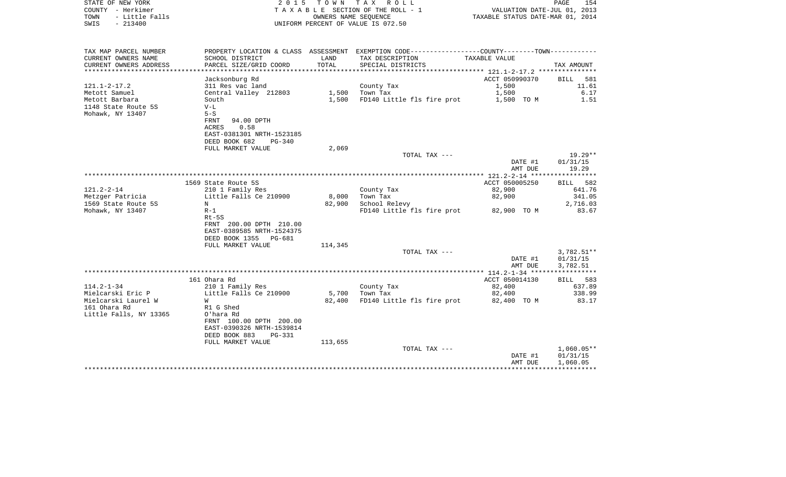| COUNTY - Herkimer<br>TOWN<br>- Little Falls<br>$-213400$<br>SWIS |                                              |         | TAXABLE SECTION OF THE ROLL - 1<br>OWNERS NAME SEQUENCE<br>UNIFORM PERCENT OF VALUE IS 072.50  | VALUATION DATE-JUL 01, 2013<br>TAXABLE STATUS DATE-MAR 01, 2014 |                          |
|------------------------------------------------------------------|----------------------------------------------|---------|------------------------------------------------------------------------------------------------|-----------------------------------------------------------------|--------------------------|
| TAX MAP PARCEL NUMBER                                            |                                              |         | PROPERTY LOCATION & CLASS ASSESSMENT EXEMPTION CODE----------------COUNTY-------TOWN---------- |                                                                 |                          |
| CURRENT OWNERS NAME                                              | SCHOOL DISTRICT                              | LAND    | TAX DESCRIPTION                                                                                | TAXABLE VALUE                                                   |                          |
| CURRENT OWNERS ADDRESS                                           | PARCEL SIZE/GRID COORD                       | TOTAL   | SPECIAL DISTRICTS                                                                              |                                                                 | TAX AMOUNT               |
| **********************                                           | ***************************                  |         |                                                                                                |                                                                 |                          |
|                                                                  | Jacksonburg Rd                               |         |                                                                                                | ACCT 050990370                                                  | <b>BILL</b><br>581       |
| 121.1-2-17.2                                                     | 311 Res vac land                             |         | County Tax                                                                                     | 1,500                                                           | 11.61                    |
| Metott Samuel                                                    | Central Valley 212803                        |         | $1,500$ Town Tax                                                                               | 1,500                                                           | 6.17<br>1.51             |
| Metott Barbara<br>1148 State Route 5S                            | South<br>$V-L$                               |         | 1,500 FD140 Little fls fire prot                                                               | 1,500 TO M                                                      |                          |
| Mohawk, NY 13407                                                 | $5-S$                                        |         |                                                                                                |                                                                 |                          |
|                                                                  | FRNT<br>94.00 DPTH                           |         |                                                                                                |                                                                 |                          |
|                                                                  | 0.58<br>ACRES                                |         |                                                                                                |                                                                 |                          |
|                                                                  | EAST-0381301 NRTH-1523185                    |         |                                                                                                |                                                                 |                          |
|                                                                  | DEED BOOK 682<br>PG-340                      |         |                                                                                                |                                                                 |                          |
|                                                                  | FULL MARKET VALUE                            | 2,069   |                                                                                                |                                                                 |                          |
|                                                                  |                                              |         | TOTAL TAX ---                                                                                  |                                                                 | $19.29**$                |
|                                                                  |                                              |         |                                                                                                | DATE #1                                                         | 01/31/15                 |
|                                                                  |                                              |         |                                                                                                | AMT DUE                                                         | 19.29                    |
|                                                                  | 1569 State Route 5S                          |         |                                                                                                | ACCT 050005250                                                  | BILL 582                 |
| $121.2 - 2 - 14$                                                 | 210 1 Family Res                             |         | County Tax                                                                                     | 82,900                                                          | 641.76                   |
| Metzger Patricia                                                 | Little Falls Ce 210900                       | 8,000   | Town Tax                                                                                       | 82,900                                                          | 341.05                   |
| 1569 State Route 5S                                              | N                                            | 82,900  | School Relevy                                                                                  |                                                                 | 2,716.03                 |
| Mohawk, NY 13407                                                 | $R-1$                                        |         | FD140 Little fls fire prot                                                                     | 82,900 TO M                                                     | 83.67                    |
|                                                                  | $Rt-5S$                                      |         |                                                                                                |                                                                 |                          |
|                                                                  | FRNT 200.00 DPTH 210.00                      |         |                                                                                                |                                                                 |                          |
|                                                                  | EAST-0389585 NRTH-1524375                    |         |                                                                                                |                                                                 |                          |
|                                                                  | DEED BOOK 1355<br>PG-681                     |         |                                                                                                |                                                                 |                          |
|                                                                  | FULL MARKET VALUE                            | 114,345 |                                                                                                |                                                                 |                          |
|                                                                  |                                              |         | TOTAL TAX ---                                                                                  | DATE #1                                                         | $3,782.51**$<br>01/31/15 |
|                                                                  |                                              |         |                                                                                                | AMT DUE                                                         | 3,782.51                 |
|                                                                  |                                              |         |                                                                                                |                                                                 |                          |
|                                                                  | 161 Ohara Rd                                 |         |                                                                                                | ACCT 050014130                                                  | BILL 583                 |
| 114.2-1-34                                                       | 210 1 Family Res                             |         | County Tax                                                                                     | 82,400                                                          | 637.89                   |
| Mielcarski Eric P                                                | Little Falls Ce 210900                       |         | 5,700 Town Tax                                                                                 | 82,400                                                          | 338.99                   |
| Mielcarski Laurel W                                              | W                                            | 82,400  | FD140 Little fls fire prot                                                                     | 82,400 TO M                                                     | 83.17                    |
| 161 Ohara Rd                                                     | R1 G Shed                                    |         |                                                                                                |                                                                 |                          |
| Little Falls, NY 13365                                           | O'hara Rd                                    |         |                                                                                                |                                                                 |                          |
|                                                                  | FRNT 100.00 DPTH 200.00                      |         |                                                                                                |                                                                 |                          |
|                                                                  | EAST-0390326 NRTH-1539814                    |         |                                                                                                |                                                                 |                          |
|                                                                  | DEED BOOK 883<br>PG-331<br>FULL MARKET VALUE | 113,655 |                                                                                                |                                                                 |                          |
|                                                                  |                                              |         | TOTAL TAX ---                                                                                  |                                                                 | 1,060.05**               |
|                                                                  |                                              |         |                                                                                                | DATE #1                                                         | 01/31/15                 |
|                                                                  |                                              |         |                                                                                                | AMT DUE                                                         | 1,060.05                 |
|                                                                  |                                              |         |                                                                                                |                                                                 |                          |

STATE OF NEW YORK **EXECUTE:**  $2015$  TOWN TAX ROLL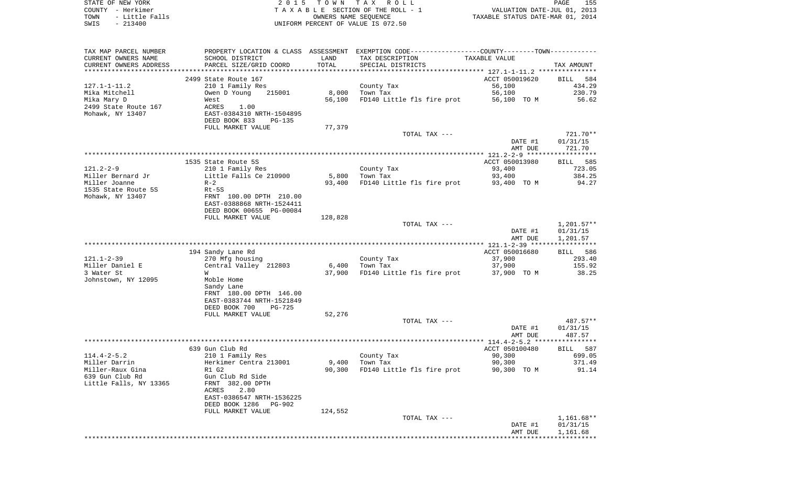|      | STATE OF NEW YORK | 2015 TOWN TAX ROLL                 |                                  | PAGE | 155 |
|------|-------------------|------------------------------------|----------------------------------|------|-----|
|      | COUNTY - Herkimer | TAXABLE SECTION OF THE ROLL - 1    | VALUATION DATE-JUL 01, 2013      |      |     |
| TOWN | - Little Falls    | OWNERS NAME SEOUENCE               | TAXABLE STATUS DATE-MAR 01, 2014 |      |     |
| SWIS | $-213400$         | UNIFORM PERCENT OF VALUE IS 072.50 |                                  |      |     |

| TAX MAP PARCEL NUMBER  |                                |                             | PROPERTY LOCATION & CLASS ASSESSMENT EXEMPTION CODE---------------COUNTY-------TOWN--------- |                |                 |
|------------------------|--------------------------------|-----------------------------|----------------------------------------------------------------------------------------------|----------------|-----------------|
| CURRENT OWNERS NAME    | SCHOOL DISTRICT                | LAND                        | TAX DESCRIPTION                                                                              | TAXABLE VALUE  |                 |
| CURRENT OWNERS ADDRESS | PARCEL SIZE/GRID COORD         | TOTAL                       | SPECIAL DISTRICTS                                                                            |                | TAX AMOUNT      |
|                        |                                | * * * * * * * * * * * * * * |                                                                                              |                |                 |
|                        | 2499 State Route 167           |                             |                                                                                              | ACCT 050019620 | BILL 584        |
| $127.1 - 1 - 11.2$     | 210 1 Family Res               |                             | County Tax                                                                                   | 56,100         | 434.29          |
| Mika Mitchell          | 215001<br>Owen D Young         | 8,000                       | Town Tax                                                                                     | 56,100         | 230.79          |
| Mika Mary D            | West                           | 56,100                      | FD140 Little fls fire prot                                                                   | 56,100 TO M    | 56.62           |
| 2499 State Route 167   | ACRES 1.00                     |                             |                                                                                              |                |                 |
| Mohawk, NY 13407       | EAST-0384310 NRTH-1504895      |                             |                                                                                              |                |                 |
|                        | DEED BOOK 833<br><b>PG-135</b> |                             |                                                                                              |                |                 |
|                        | FULL MARKET VALUE              | 77,379                      |                                                                                              |                |                 |
|                        |                                |                             | TOTAL TAX ---                                                                                |                | 721.70**        |
|                        |                                |                             |                                                                                              | DATE #1        | 01/31/15        |
|                        |                                |                             |                                                                                              | AMT DUE        | 721.70          |
|                        |                                |                             |                                                                                              |                |                 |
|                        | 1535 State Route 5S            |                             |                                                                                              | ACCT 050013980 | <b>BILL</b> 585 |
| $121.2 - 2 - 9$        | 210 1 Family Res               |                             | County Tax                                                                                   | 93,400         | 723.05          |
| Miller Bernard Jr      | Little Falls Ce 210900         |                             | $5,800$ Town Tax                                                                             | 93,400         | 384.25          |
| Miller Joanne          | $R-2$                          | 93,400                      | FD140 Little fls fire prot                                                                   | 93,400 TO M    | 94.27           |
| 1535 State Route 5S    | $Rt-5S$                        |                             |                                                                                              |                |                 |
| Mohawk, NY 13407       | FRNT 100.00 DPTH 210.00        |                             |                                                                                              |                |                 |
|                        | EAST-0388868 NRTH-1524411      |                             |                                                                                              |                |                 |
|                        | DEED BOOK 00655 PG-00084       |                             |                                                                                              |                |                 |
|                        | FULL MARKET VALUE              | 128,828                     |                                                                                              |                |                 |
|                        |                                |                             | TOTAL TAX ---                                                                                |                | $1,201.57**$    |
|                        |                                |                             |                                                                                              | DATE #1        | 01/31/15        |
|                        |                                |                             |                                                                                              | AMT DUE        | 1,201.57        |
|                        |                                |                             |                                                                                              |                |                 |
|                        | 194 Sandy Lane Rd              |                             |                                                                                              | ACCT 050016680 | BILL 586        |
| $121.1 - 2 - 39$       | 270 Mfg housing                |                             | County Tax                                                                                   | 37,900         | 293.40          |
| Miller Daniel E        | Central Valley 212803          |                             | $6,400$ Town Tax                                                                             | 37,900         | 155.92          |
| 3 Water St             | W                              | 37,900                      | FD140 Little fls fire prot                                                                   | 37,900 TO M    | 38.25           |
| Johnstown, NY 12095    | Moble Home                     |                             |                                                                                              |                |                 |
|                        | Sandy Lane                     |                             |                                                                                              |                |                 |
|                        | FRNT 180.00 DPTH 146.00        |                             |                                                                                              |                |                 |
|                        | EAST-0383744 NRTH-1521849      |                             |                                                                                              |                |                 |
|                        | DEED BOOK 700<br>$PG-725$      |                             |                                                                                              |                |                 |
|                        | FULL MARKET VALUE              | 52,276                      |                                                                                              |                |                 |
|                        |                                |                             | TOTAL TAX ---                                                                                |                | 487.57**        |
|                        |                                |                             |                                                                                              | DATE #1        | 01/31/15        |
|                        |                                |                             |                                                                                              | AMT DUE        | 487.57          |
|                        |                                |                             |                                                                                              |                |                 |
|                        | 639 Gun Club Rd                |                             |                                                                                              | ACCT 050100480 | BILL 587        |
| $114.4 - 2 - 5.2$      | 210 1 Family Res               |                             | County Tax                                                                                   | 90,300         | 699.05          |
| Miller Darrin          | Herkimer Centra 213001         | 9,400                       | Town Tax                                                                                     | 90,300         | 371.49          |
| Miller-Raux Gina       | R1 G2                          | 90,300                      | FD140 Little fls fire prot                                                                   | 90,300 TO M    | 91.14           |
| 639 Gun Club Rd        | Gun Club Rd Side               |                             |                                                                                              |                |                 |
| Little Falls, NY 13365 | FRNT 382.00 DPTH               |                             |                                                                                              |                |                 |
|                        | 2.80<br>ACRES                  |                             |                                                                                              |                |                 |
|                        | EAST-0386547 NRTH-1536225      |                             |                                                                                              |                |                 |
|                        | DEED BOOK 1286<br>PG-902       |                             |                                                                                              |                |                 |
|                        | FULL MARKET VALUE              | 124,552                     |                                                                                              |                |                 |
|                        |                                |                             | TOTAL TAX ---                                                                                |                | $1,161.68**$    |
|                        |                                |                             |                                                                                              | DATE #1        | 01/31/15        |
|                        |                                |                             |                                                                                              | AMT DUE        | 1,161.68        |
|                        |                                |                             |                                                                                              |                |                 |
|                        |                                |                             |                                                                                              |                |                 |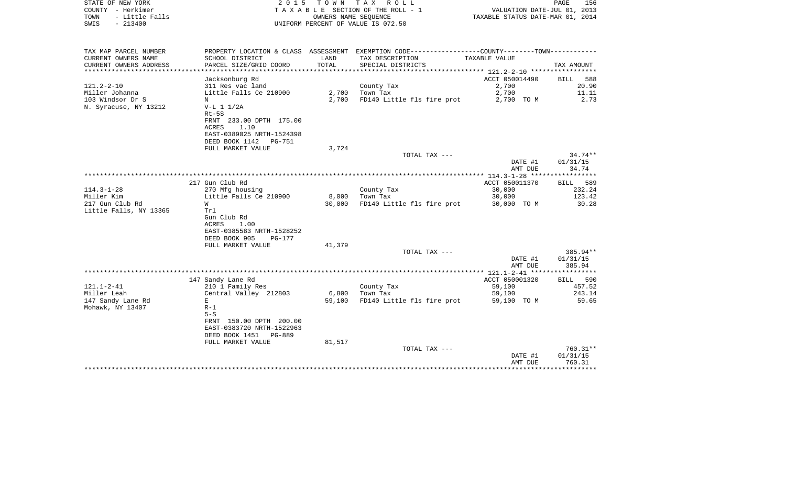| STATE OF NEW YORK<br>COUNTY - Herkimer<br>TOWN<br>- Little Falls | 2 0 1 5                                               |                          | TOWN TAX ROLL<br>TAXABLE SECTION OF THE ROLL - 1<br>OWNERS NAME SEOUENCE | VALUATION DATE-JUL 01, 2013<br>TAXABLE STATUS DATE-MAR 01, 2014 | PAGE<br>156          |
|------------------------------------------------------------------|-------------------------------------------------------|--------------------------|--------------------------------------------------------------------------|-----------------------------------------------------------------|----------------------|
| $-213400$<br>SWIS                                                |                                                       |                          | UNIFORM PERCENT OF VALUE IS 072.50                                       |                                                                 |                      |
| TAX MAP PARCEL NUMBER                                            | PROPERTY LOCATION & CLASS ASSESSMENT                  |                          | EXEMPTION CODE-----------------COUNTY-------TOWN-----------              |                                                                 |                      |
| CURRENT OWNERS NAME                                              | SCHOOL DISTRICT                                       | LAND                     | TAX DESCRIPTION                                                          | TAXABLE VALUE                                                   |                      |
| CURRENT OWNERS ADDRESS                                           | PARCEL SIZE/GRID COORD<br>************************    | TOTAL<br>*************** | SPECIAL DISTRICTS                                                        | ·******************* 121.2-2-10 ******************              | TAX AMOUNT           |
|                                                                  | Jacksonburg Rd                                        |                          |                                                                          | ACCT 050014490                                                  | BILL 588             |
| $121.2 - 2 - 10$                                                 | 311 Res vac land                                      |                          | County Tax                                                               | 2,700                                                           | 20.90                |
| Miller Johanna                                                   | Little Falls Ce 210900                                | 2,700                    | Town Tax                                                                 | 2,700                                                           | 11.11                |
| 103 Windsor Dr S                                                 | N                                                     | 2,700                    | FD140 Little fls fire prot                                               | 2,700 TO M                                                      | 2.73                 |
| N. Syracuse, NY 13212                                            | $V-L 1 1/2A$                                          |                          |                                                                          |                                                                 |                      |
|                                                                  | $Rt-5S$                                               |                          |                                                                          |                                                                 |                      |
|                                                                  | FRNT 233.00 DPTH 175.00                               |                          |                                                                          |                                                                 |                      |
|                                                                  | 1.10<br>ACRES                                         |                          |                                                                          |                                                                 |                      |
|                                                                  | EAST-0389025 NRTH-1524398<br>DEED BOOK 1142    PG-751 |                          |                                                                          |                                                                 |                      |
|                                                                  | FULL MARKET VALUE                                     | 3,724                    |                                                                          |                                                                 |                      |
|                                                                  |                                                       |                          | TOTAL TAX ---                                                            |                                                                 | $34.74**$            |
|                                                                  |                                                       |                          |                                                                          | DATE #1                                                         | 01/31/15             |
|                                                                  |                                                       |                          |                                                                          | AMT DUE                                                         | 34.74                |
|                                                                  |                                                       |                          |                                                                          |                                                                 |                      |
|                                                                  | 217 Gun Club Rd                                       |                          |                                                                          | ACCT 050011370                                                  | 589<br>BILL          |
| $114.3 - 1 - 28$                                                 | 270 Mfg housing                                       |                          | County Tax                                                               | 30,000                                                          | 232.24               |
| Miller Kim                                                       | Little Falls Ce 210900                                | 8,000                    | Town Tax                                                                 | 30,000                                                          | 123.42               |
| 217 Gun Club Rd                                                  | W                                                     | 30,000                   | FD140 Little fls fire prot                                               | 30,000 TO M                                                     | 30.28                |
| Little Falls, NY 13365                                           | Trl                                                   |                          |                                                                          |                                                                 |                      |
|                                                                  | Gun Club Rd                                           |                          |                                                                          |                                                                 |                      |
|                                                                  | ACRES<br>1.00                                         |                          |                                                                          |                                                                 |                      |
|                                                                  | EAST-0385583 NRTH-1528252                             |                          |                                                                          |                                                                 |                      |
|                                                                  | DEED BOOK 905<br>$PG-177$                             |                          |                                                                          |                                                                 |                      |
|                                                                  | FULL MARKET VALUE                                     | 41,379                   |                                                                          |                                                                 |                      |
|                                                                  |                                                       |                          | TOTAL TAX ---                                                            | DATE #1                                                         | 385.94**<br>01/31/15 |
|                                                                  |                                                       |                          |                                                                          | AMT DUE                                                         | 385.94               |
|                                                                  |                                                       |                          |                                                                          |                                                                 |                      |
|                                                                  | 147 Sandy Lane Rd                                     |                          |                                                                          | ACCT 050001320                                                  | BILL 590             |
| $121.1 - 2 - 41$                                                 | 210 1 Family Res                                      |                          | County Tax                                                               | 59,100                                                          | 457.52               |
| Miller Leah                                                      | Central Valley 212803                                 | 6,800                    | Town Tax                                                                 | 59,100                                                          | 243.14               |
| 147 Sandy Lane Rd                                                | Е                                                     | 59,100                   | FD140 Little fls fire prot                                               | 59,100 TO M                                                     | 59.65                |
| Mohawk, NY 13407                                                 | $R-1$                                                 |                          |                                                                          |                                                                 |                      |
|                                                                  | $5-S$                                                 |                          |                                                                          |                                                                 |                      |
|                                                                  | FRNT 150.00 DPTH 200.00                               |                          |                                                                          |                                                                 |                      |
|                                                                  | EAST-0383720 NRTH-1522963                             |                          |                                                                          |                                                                 |                      |
|                                                                  | DEED BOOK 1451<br>PG-889                              |                          |                                                                          |                                                                 |                      |
|                                                                  | FULL MARKET VALUE                                     | 81,517                   |                                                                          |                                                                 |                      |
|                                                                  |                                                       |                          | TOTAL TAX ---                                                            |                                                                 | 760.31**             |
|                                                                  |                                                       |                          |                                                                          | DATE #1<br>AMT DUE                                              | 01/31/15<br>760.31   |
|                                                                  |                                                       |                          |                                                                          |                                                                 |                      |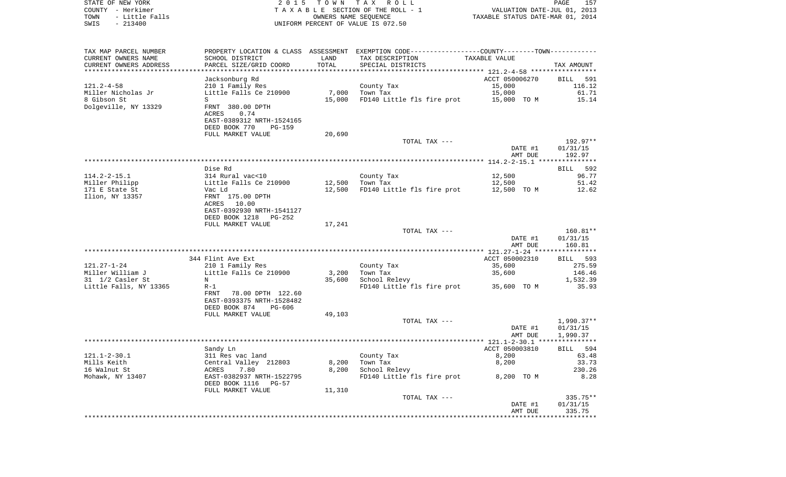| TOWN<br>SWIS                           | $-213400$ | - Little Falls |                                            | OWNERS NAME SEQUENCE | UNIFORM PERCENT OF VALUE IS 072.50                                                            | TAXABLE STATUS DATE-MAR 01, 2014    |                    |
|----------------------------------------|-----------|----------------|--------------------------------------------|----------------------|-----------------------------------------------------------------------------------------------|-------------------------------------|--------------------|
|                                        |           |                |                                            |                      |                                                                                               |                                     |                    |
| TAX MAP PARCEL NUMBER                  |           |                |                                            |                      | PROPERTY LOCATION & CLASS ASSESSMENT EXEMPTION CODE---------------COUNTY-------TOWN---------- |                                     |                    |
| CURRENT OWNERS NAME                    |           |                | SCHOOL DISTRICT                            | LAND                 | TAX DESCRIPTION                                                                               | TAXABLE VALUE                       |                    |
| CURRENT OWNERS ADDRESS                 |           |                | PARCEL SIZE/GRID COORD                     | TOTAL                | SPECIAL DISTRICTS                                                                             |                                     | TAX AMOUNT         |
|                                        |           |                |                                            |                      |                                                                                               | ********** 121.2-4-58 ************* |                    |
|                                        |           |                | Jacksonburg Rd                             |                      |                                                                                               | ACCT 050006270                      | BILL 591           |
| $121.2 - 4 - 58$<br>Miller Nicholas Jr |           |                | 210 1 Family Res<br>Little Falls Ce 210900 | 7,000                | County Tax<br>Town Tax                                                                        | 15,000<br>15,000                    | 116.12<br>61.71    |
| 8 Gibson St                            |           |                | S                                          | 15,000               | FD140 Little fls fire prot                                                                    | 15,000 TO M                         | 15.14              |
| Dolgeville, NY 13329                   |           |                | FRNT 380.00 DPTH                           |                      |                                                                                               |                                     |                    |
|                                        |           |                | ACRES<br>0.74                              |                      |                                                                                               |                                     |                    |
|                                        |           |                | EAST-0389312 NRTH-1524165                  |                      |                                                                                               |                                     |                    |
|                                        |           |                | DEED BOOK 770<br><b>PG-159</b>             |                      |                                                                                               |                                     |                    |
|                                        |           |                | FULL MARKET VALUE                          | 20,690               |                                                                                               |                                     |                    |
|                                        |           |                |                                            |                      | TOTAL TAX ---                                                                                 |                                     | 192.97**           |
|                                        |           |                |                                            |                      |                                                                                               | DATE #1                             | 01/31/15           |
|                                        |           |                |                                            |                      |                                                                                               | AMT DUE                             | 192.97             |
|                                        |           |                |                                            |                      |                                                                                               | ***************** 114.2-2-15.1 ***  | **********         |
|                                        |           |                | Dise Rd                                    |                      |                                                                                               |                                     | 592<br><b>BILL</b> |
| $114.2 - 2 - 15.1$                     |           |                | 314 Rural vac<10                           |                      | County Tax                                                                                    | 12,500                              | 96.77              |
| Miller Philipp                         |           |                | Little Falls Ce 210900                     | 12,500               | Town Tax                                                                                      | 12,500                              | 51.42              |
| 171 E State St                         |           |                | Vac Ld                                     | 12,500               | FD140 Little fls fire prot                                                                    | 12,500 TO M                         | 12.62              |
| Ilion, NY 13357                        |           |                | FRNT 175.00 DPTH<br>ACRES<br>10.00         |                      |                                                                                               |                                     |                    |
|                                        |           |                | EAST-0392930 NRTH-1541127                  |                      |                                                                                               |                                     |                    |
|                                        |           |                | DEED BOOK 1218<br>$PG-252$                 |                      |                                                                                               |                                     |                    |
|                                        |           |                | FULL MARKET VALUE                          | 17,241               |                                                                                               |                                     |                    |
|                                        |           |                |                                            |                      | TOTAL TAX ---                                                                                 |                                     | $160.81**$         |
|                                        |           |                |                                            |                      |                                                                                               | DATE #1                             | 01/31/15           |
|                                        |           |                |                                            |                      |                                                                                               | AMT DUE                             | 160.81             |
|                                        |           |                |                                            |                      |                                                                                               |                                     |                    |
|                                        |           |                | 344 Flint Ave Ext                          |                      |                                                                                               | ACCT 050002310                      | BILL 593           |
| 121.27-1-24                            |           |                | 210 1 Family Res                           |                      | County Tax                                                                                    | 35,600                              | 275.59             |
| Miller William J                       |           |                | Little Falls Ce 210900                     | 3,200                | Town Tax                                                                                      | 35,600                              | 146.46             |
| 31 1/2 Casler St                       |           |                | N                                          | 35,600               | School Relevy                                                                                 |                                     | 1,532.39           |
| Little Falls, NY 13365                 |           |                | $R-1$<br>FRNT 78.00 DPTH 122.60            |                      | FD140 Little fls fire prot                                                                    | 35,600 TO M                         | 35.93              |
|                                        |           |                | EAST-0393375 NRTH-1528482                  |                      |                                                                                               |                                     |                    |
|                                        |           |                | DEED BOOK 874<br><b>PG-606</b>             |                      |                                                                                               |                                     |                    |
|                                        |           |                | FULL MARKET VALUE                          | 49,103               |                                                                                               |                                     |                    |
|                                        |           |                |                                            |                      | TOTAL TAX ---                                                                                 |                                     | $1,990.37**$       |
|                                        |           |                |                                            |                      |                                                                                               | DATE #1                             | 01/31/15           |
|                                        |           |                |                                            |                      |                                                                                               | AMT DUE                             | 1,990.37           |
|                                        |           |                |                                            |                      |                                                                                               |                                     |                    |
|                                        |           |                | Sandy Ln                                   |                      |                                                                                               | ACCT 050003810                      | BILL 594           |
| $121.1 - 2 - 30.1$                     |           |                | 311 Res vac land                           |                      | County Tax                                                                                    | 8,200                               | 63.48              |
| Mills Keith                            |           |                | Central Valley 212803                      | 8,200                | Town Tax                                                                                      | 8,200                               | 33.73              |
| 16 Walnut St                           |           |                | 7.80<br>ACRES                              | 8,200                | School Relevy                                                                                 |                                     | 230.26             |
| Mohawk, NY 13407                       |           |                | EAST-0382937 NRTH-1522795                  |                      | FD140 Little fls fire prot                                                                    | 8,200 TO M                          | 8.28               |
|                                        |           |                | DEED BOOK 1116<br>$PG-57$                  |                      |                                                                                               |                                     |                    |
|                                        |           |                | FULL MARKET VALUE                          | 11,310               | TOTAL TAX ---                                                                                 |                                     | 335.75**           |
|                                        |           |                |                                            |                      |                                                                                               | DATE #1                             | 01/31/15           |
|                                        |           |                |                                            |                      |                                                                                               | AMT DUE                             | 335.75             |
|                                        |           |                |                                            |                      |                                                                                               |                                     |                    |

STATE OF NEW YORK 2 0 1 5 T O W N T A X R O L L PAGE 157 COUNTY - Herkimer T A X A B L E SECTION OF THE ROLL - 1 VALUATION DATE-JUL 01, 2013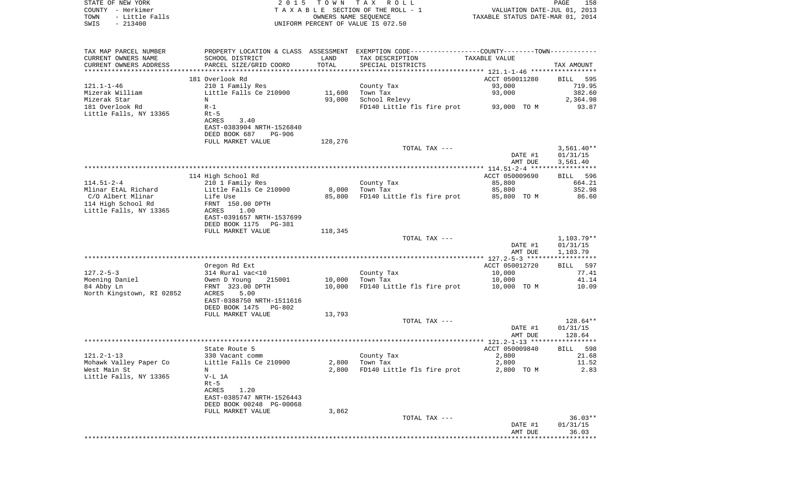| STATE OF NEW YORK<br>COUNTY - Herkimer<br>- Little Falls<br>TOWN<br>$-213400$<br>SWIS | 2 0 1 5                                       | T O W N<br>UNIFORM PERCENT OF VALUE IS 072.50 | TAX ROLL<br>TAXABLE SECTION OF THE ROLL - 1<br>OWNERS NAME SEQUENCE                           | VALUATION DATE-JUL 01, 2013<br>TAXABLE STATUS DATE-MAR 01, 2014 | 158<br>PAGE              |
|---------------------------------------------------------------------------------------|-----------------------------------------------|-----------------------------------------------|-----------------------------------------------------------------------------------------------|-----------------------------------------------------------------|--------------------------|
| TAX MAP PARCEL NUMBER                                                                 |                                               |                                               | PROPERTY LOCATION & CLASS ASSESSMENT EXEMPTION CODE---------------COUNTY-------TOWN---------- |                                                                 |                          |
| CURRENT OWNERS NAME<br>CURRENT OWNERS ADDRESS                                         | SCHOOL DISTRICT<br>PARCEL SIZE/GRID COORD     | LAND<br>TOTAL                                 | TAX DESCRIPTION<br>SPECIAL DISTRICTS                                                          | TAXABLE VALUE                                                   | TAX AMOUNT               |
| ************************                                                              | 181 Overlook Rd                               |                                               |                                                                                               | ACCT 050011280                                                  | 595<br>BILL              |
| $121.1 - 1 - 46$                                                                      | 210 1 Family Res                              |                                               | County Tax                                                                                    | 93,000                                                          | 719.95                   |
| Mizerak William                                                                       | Little Falls Ce 210900                        | 11,600                                        | Town Tax                                                                                      | 93,000                                                          | 382.60                   |
| Mizerak Star                                                                          | N                                             | 93,000                                        | School Relevy                                                                                 |                                                                 | 2,364.98                 |
| 181 Overlook Rd<br>Little Falls, NY 13365                                             | $R-1$<br>$Rt-5$                               |                                               | FD140 Little fls fire prot                                                                    | 93,000 TO M                                                     | 93.87                    |
|                                                                                       | ACRES<br>3.40                                 |                                               |                                                                                               |                                                                 |                          |
|                                                                                       | EAST-0383904 NRTH-1526840                     |                                               |                                                                                               |                                                                 |                          |
|                                                                                       | DEED BOOK 687<br><b>PG-906</b>                |                                               |                                                                                               |                                                                 |                          |
|                                                                                       | FULL MARKET VALUE                             | 128,276                                       | TOTAL TAX ---                                                                                 |                                                                 | $3,561.40**$             |
|                                                                                       |                                               |                                               |                                                                                               | DATE #1                                                         | 01/31/15                 |
|                                                                                       |                                               |                                               |                                                                                               | AMT DUE                                                         | 3,561.40                 |
|                                                                                       |                                               |                                               |                                                                                               |                                                                 |                          |
| $114.51 - 2 - 4$                                                                      | 114 High School Rd<br>210 1 Family Res        |                                               | County Tax                                                                                    | ACCT 050009690<br>85,800                                        | 596<br>BILL<br>664.21    |
| Mlinar EtAL Richard                                                                   | Little Falls Ce 210900                        | 8,000                                         | Town Tax                                                                                      | 85,800                                                          | 352.98                   |
| C/O Albert Mlinar                                                                     | Life Use                                      | 85,800                                        | FD140 Little fls fire prot                                                                    | 85,800 TO M                                                     | 86.60                    |
| 114 High School Rd                                                                    | FRNT 150.00 DPTH                              |                                               |                                                                                               |                                                                 |                          |
| Little Falls, NY 13365                                                                | 1.00<br>ACRES<br>EAST-0391657 NRTH-1537699    |                                               |                                                                                               |                                                                 |                          |
|                                                                                       | DEED BOOK 1175<br>PG-381                      |                                               |                                                                                               |                                                                 |                          |
|                                                                                       | FULL MARKET VALUE                             | 118,345                                       |                                                                                               |                                                                 |                          |
|                                                                                       |                                               |                                               | TOTAL TAX ---                                                                                 | DATE #1                                                         | $1,103.79**$<br>01/31/15 |
|                                                                                       |                                               |                                               |                                                                                               | AMT DUE                                                         | 1,103.79                 |
|                                                                                       |                                               |                                               |                                                                                               |                                                                 |                          |
|                                                                                       | Oregon Rd Ext                                 |                                               |                                                                                               | ACCT 050012720                                                  | BILL<br>597              |
| $127.2 - 5 - 3$<br>Moening Daniel                                                     | 314 Rural vac<10<br>Owen D Young<br>215001    | 10,000                                        | County Tax<br>Town Tax                                                                        | 10,000<br>10,000                                                | 77.41<br>41.14           |
| 84 Abby Ln                                                                            | FRNT 323.00 DPTH                              | 10,000                                        | FD140 Little fls fire prot                                                                    | 10,000 TO M                                                     | 10.09                    |
| North Kingstown, RI 02852                                                             | ACRES<br>5.00                                 |                                               |                                                                                               |                                                                 |                          |
|                                                                                       | EAST-0388750 NRTH-1511616                     |                                               |                                                                                               |                                                                 |                          |
|                                                                                       | DEED BOOK 1475<br>PG-802<br>FULL MARKET VALUE | 13,793                                        |                                                                                               |                                                                 |                          |
|                                                                                       |                                               |                                               | TOTAL TAX ---                                                                                 |                                                                 | 128.64**                 |
|                                                                                       |                                               |                                               |                                                                                               | DATE #1                                                         | 01/31/15                 |
|                                                                                       |                                               |                                               |                                                                                               | AMT DUE                                                         | 128.64                   |
|                                                                                       | State Route 5                                 |                                               |                                                                                               | ACCT 050009840                                                  | 598<br><b>BILL</b>       |
| $121.2 - 1 - 13$                                                                      | 330 Vacant comm                               |                                               | County Tax                                                                                    | 2,800                                                           | 21.68                    |
| Mohawk Valley Paper Co                                                                | Little Falls Ce 210900                        | 2,800                                         | Town Tax                                                                                      | 2,800                                                           | 11.52                    |
| West Main St                                                                          | N                                             | 2,800                                         | FD140 Little fls fire prot                                                                    | 2,800 TO M                                                      | 2.83                     |
| Little Falls, NY 13365                                                                | V-L 1A<br>$Rt-5$                              |                                               |                                                                                               |                                                                 |                          |
|                                                                                       | ACRES<br>1.20                                 |                                               |                                                                                               |                                                                 |                          |
|                                                                                       | EAST-0385747 NRTH-1526443                     |                                               |                                                                                               |                                                                 |                          |
|                                                                                       | DEED BOOK 00248 PG-00068                      |                                               |                                                                                               |                                                                 |                          |
|                                                                                       | FULL MARKET VALUE                             | 3,862                                         | TOTAL TAX ---                                                                                 |                                                                 | $36.03**$                |
|                                                                                       |                                               |                                               |                                                                                               | DATE #1                                                         | 01/31/15                 |
|                                                                                       |                                               |                                               |                                                                                               | AMT DUE                                                         | 36.03                    |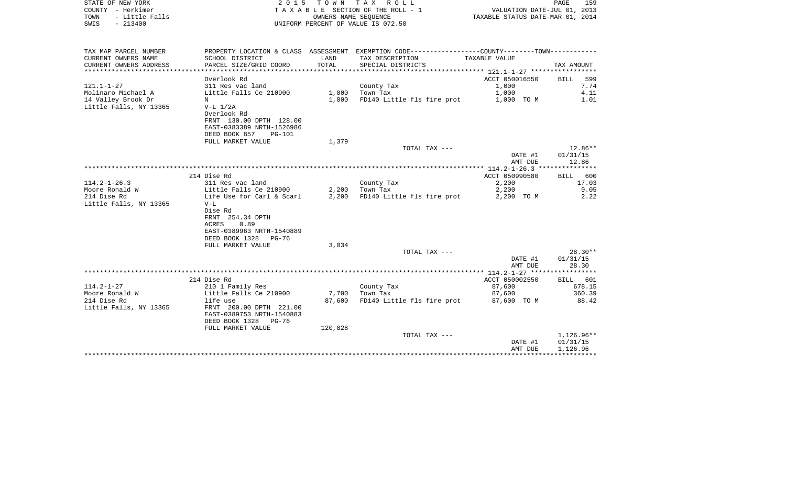| STATE OF NEW YORK<br>COUNTY - Herkimer<br>- Little Falls<br>TOWN<br>$-213400$<br>SWIS |                                                                                                                                            | OWNERS NAME SEQUENCE | 2015 TOWN TAX ROLL<br>T A X A B L E SECTION OF THE ROLL - 1<br>UNIFORM PERCENT OF VALUE IS 072.50 | VALUATION DATE-JUL 01, 2013<br>TAXABLE STATUS DATE-MAR 01, 2014 | PAGE<br>159                        |
|---------------------------------------------------------------------------------------|--------------------------------------------------------------------------------------------------------------------------------------------|----------------------|---------------------------------------------------------------------------------------------------|-----------------------------------------------------------------|------------------------------------|
| TAX MAP PARCEL NUMBER                                                                 |                                                                                                                                            | LAND                 | PROPERTY LOCATION & CLASS ASSESSMENT EXEMPTION CODE---------------COUNTY-------TOWN----------     |                                                                 |                                    |
| CURRENT OWNERS NAME<br>CURRENT OWNERS ADDRESS<br>*********************                | SCHOOL DISTRICT<br>PARCEL SIZE/GRID COORD<br>************************                                                                      | TOTAL                | TAX DESCRIPTION<br>SPECIAL DISTRICTS                                                              | TAXABLE VALUE                                                   | TAX AMOUNT                         |
|                                                                                       | Overlook Rd                                                                                                                                |                      |                                                                                                   | ACCT 050016550                                                  | <b>BILL</b><br>599                 |
| $121.1 - 1 - 27$                                                                      | 311 Res vac land                                                                                                                           |                      | County Tax                                                                                        | 1,000                                                           | 7.74                               |
| Molinaro Michael A                                                                    | Little Falls Ce 210900                                                                                                                     | 1,000                | Town Tax                                                                                          | 1,000                                                           | 4.11                               |
| 14 Valley Brook Dr                                                                    | N                                                                                                                                          | 1,000                | FD140 Little fls fire prot                                                                        | 1,000 TO M                                                      | 1.01                               |
| Little Falls, NY 13365                                                                | $V-L$ $1/2A$<br>Overlook Rd<br>FRNT 130.00 DPTH 128.00<br>EAST-0383389 NRTH-1526986                                                        |                      |                                                                                                   |                                                                 |                                    |
|                                                                                       | DEED BOOK 857<br><b>PG-101</b>                                                                                                             |                      |                                                                                                   |                                                                 |                                    |
|                                                                                       | FULL MARKET VALUE                                                                                                                          | 1,379                |                                                                                                   |                                                                 |                                    |
|                                                                                       |                                                                                                                                            |                      | TOTAL TAX ---                                                                                     | DATE #1<br>AMT DUE                                              | $12.86**$<br>01/31/15<br>12.86     |
|                                                                                       |                                                                                                                                            |                      |                                                                                                   |                                                                 |                                    |
|                                                                                       | 214 Dise Rd                                                                                                                                |                      |                                                                                                   | ACCT 050990580                                                  | 600<br>BILL                        |
| $114.2 - 1 - 26.3$                                                                    | 311 Res vac land                                                                                                                           |                      | County Tax                                                                                        | 2,200                                                           | 17.03                              |
| Moore Ronald W                                                                        | Little Falls Ce 210900                                                                                                                     | 2,200                | Town Tax                                                                                          | 2,200                                                           | 9.05                               |
| 214 Dise Rd<br>Little Falls, NY 13365                                                 | Life Use for Carl & Scarl<br>$V-L$<br>Dise Rd<br>FRNT 254.34 DPTH<br>ACRES<br>0.89<br>EAST-0389963 NRTH-1540889<br>DEED BOOK 1328<br>PG-76 | 2,200                | FD140 Little fls fire prot                                                                        | 2,200 TO M                                                      | 2.22                               |
|                                                                                       | FULL MARKET VALUE                                                                                                                          | 3,034                |                                                                                                   |                                                                 |                                    |
|                                                                                       |                                                                                                                                            |                      | TOTAL TAX ---                                                                                     | DATE #1<br>AMT DUE                                              | $28.30**$<br>01/31/15<br>28.30     |
|                                                                                       |                                                                                                                                            |                      |                                                                                                   |                                                                 |                                    |
|                                                                                       | 214 Dise Rd                                                                                                                                |                      |                                                                                                   | ACCT 050002550                                                  | BILL 601                           |
| $114.2 - 1 - 27$                                                                      | 210 1 Family Res                                                                                                                           |                      | County Tax                                                                                        | 87,600                                                          | 678.15                             |
| Moore Ronald W<br>214 Dise Rd                                                         | Little Falls Ce 210900<br>life use                                                                                                         | 7,700                | Town Tax                                                                                          | 87,600                                                          | 360.39<br>88.42                    |
| Little Falls, NY 13365                                                                | FRNT 200.00 DPTH 221.00<br>EAST-0389753 NRTH-1540883<br>DEED BOOK 1328<br>PG-76<br>FULL MARKET VALUE                                       | 87,600<br>120,828    | FD140 Little fls fire prot                                                                        | 87,600 TO M                                                     |                                    |
|                                                                                       |                                                                                                                                            |                      | TOTAL TAX ---                                                                                     | DATE #1<br>AMT DUE                                              | 1,126.96**<br>01/31/15<br>1,126.96 |
|                                                                                       |                                                                                                                                            |                      |                                                                                                   |                                                                 |                                    |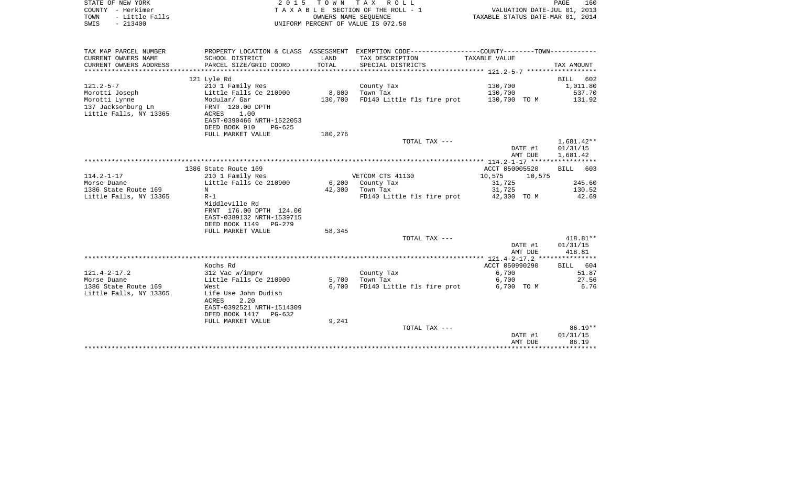| COUNTY<br>– Herkimer<br>- Little Falls<br>TOWN<br>SWIS<br>$-213400$ |                                                      |         | T A X A B L E SECTION OF THE ROLL - 1<br>OWNERS NAME SEOUENCE<br>UNIFORM PERCENT OF VALUE IS 072.50 | VALUATION DATE-JUL 01, 2013<br>TAXABLE STATUS DATE-MAR 01, 2014 |                    |  |
|---------------------------------------------------------------------|------------------------------------------------------|---------|-----------------------------------------------------------------------------------------------------|-----------------------------------------------------------------|--------------------|--|
| TAX MAP PARCEL NUMBER                                               |                                                      |         | PROPERTY LOCATION & CLASS ASSESSMENT EXEMPTION CODE---------------COUNTY-------TOWN----------       |                                                                 |                    |  |
| CURRENT OWNERS NAME                                                 | SCHOOL DISTRICT                                      | LAND    | TAX DESCRIPTION                                                                                     | TAXABLE VALUE                                                   |                    |  |
| CURRENT OWNERS ADDRESS                                              | PARCEL SIZE/GRID COORD                               | TOTAL   | SPECIAL DISTRICTS                                                                                   |                                                                 | TAX AMOUNT         |  |
| ************************                                            |                                                      |         |                                                                                                     |                                                                 |                    |  |
|                                                                     | 121 Lyle Rd                                          |         |                                                                                                     |                                                                 | <b>BILL</b><br>602 |  |
| $121.2 - 5 - 7$                                                     | 210 1 Family Res                                     |         | County Tax                                                                                          | 130,700                                                         | 1,011.80           |  |
| Morotti Joseph                                                      | Little Falls Ce 210900                               | 8,000   | Town Tax                                                                                            | 130,700                                                         | 537.70             |  |
| Morotti Lynne                                                       | Modular/ Gar                                         | 130,700 | FD140 Little fls fire prot                                                                          | 130,700 TO M                                                    | 131.92             |  |
| 137 Jacksonburg Ln<br>Little Falls, NY 13365                        | FRNT 120.00 DPTH<br>ACRES<br>1.00                    |         |                                                                                                     |                                                                 |                    |  |
|                                                                     | EAST-0390466 NRTH-1522053                            |         |                                                                                                     |                                                                 |                    |  |
|                                                                     | DEED BOOK 910<br>$PG-625$                            |         |                                                                                                     |                                                                 |                    |  |
|                                                                     | FULL MARKET VALUE                                    | 180,276 |                                                                                                     |                                                                 |                    |  |
|                                                                     |                                                      |         | TOTAL TAX ---                                                                                       |                                                                 | 1,681.42**         |  |
|                                                                     |                                                      |         |                                                                                                     | DATE #1                                                         | 01/31/15           |  |
|                                                                     |                                                      |         |                                                                                                     | AMT DUE                                                         | 1,681.42           |  |
|                                                                     |                                                      |         |                                                                                                     |                                                                 |                    |  |
|                                                                     | 1386 State Route 169                                 |         |                                                                                                     | ACCT 050005520                                                  | 603<br>BILL        |  |
| $114.2 - 1 - 17$                                                    | 210 1 Family Res                                     |         | VETCOM CTS 41130                                                                                    | 10,575<br>10,575                                                |                    |  |
| Morse Duane                                                         | Little Falls Ce 210900                               | 6,200   | County Tax                                                                                          | 31,725                                                          | 245.60             |  |
| 1386 State Route 169                                                | N                                                    | 42,300  | Town Tax                                                                                            | 31,725                                                          | 130.52             |  |
| Little Falls, NY 13365                                              | $R-1$                                                |         | FD140 Little fls fire prot                                                                          | 42,300 TO M                                                     | 42.69              |  |
|                                                                     | Middleville Rd                                       |         |                                                                                                     |                                                                 |                    |  |
|                                                                     | FRNT 176.00 DPTH 124.00<br>EAST-0389132 NRTH-1539715 |         |                                                                                                     |                                                                 |                    |  |
|                                                                     | DEED BOOK 1149<br>PG-279                             |         |                                                                                                     |                                                                 |                    |  |
|                                                                     | FULL MARKET VALUE                                    | 58,345  |                                                                                                     |                                                                 |                    |  |
|                                                                     |                                                      |         | TOTAL TAX ---                                                                                       |                                                                 | $418.81**$         |  |
|                                                                     |                                                      |         |                                                                                                     | DATE #1                                                         | 01/31/15           |  |
|                                                                     |                                                      |         |                                                                                                     | AMT DUE                                                         | 418.81             |  |
|                                                                     |                                                      |         |                                                                                                     |                                                                 |                    |  |
|                                                                     | Kochs Rd                                             |         |                                                                                                     | ACCT 050990290                                                  | 604<br><b>BILL</b> |  |
| $121.4 - 2 - 17.2$                                                  | 312 Vac w/imprv                                      |         | County Tax                                                                                          | 6,700                                                           | 51.87              |  |
| Morse Duane                                                         | Little Falls Ce 210900                               | 5,700   | Town Tax                                                                                            | 6,700                                                           | 27.56              |  |
| 1386 State Route 169                                                | West                                                 | 6,700   | FD140 Little fls fire prot                                                                          | 6,700 TO M                                                      | 6.76               |  |
| Little Falls, NY 13365                                              | Life Use John Dudish                                 |         |                                                                                                     |                                                                 |                    |  |
|                                                                     | ACRES<br>2.20                                        |         |                                                                                                     |                                                                 |                    |  |
|                                                                     | EAST-0392521 NRTH-1514309<br>DEED BOOK 1417 PG-632   |         |                                                                                                     |                                                                 |                    |  |
|                                                                     | FULL MARKET VALUE                                    | 9,241   |                                                                                                     |                                                                 |                    |  |
|                                                                     |                                                      |         | TOTAL TAX ---                                                                                       |                                                                 | $86.19**$          |  |
|                                                                     |                                                      |         |                                                                                                     | DATE #1                                                         | 01/31/15           |  |
|                                                                     |                                                      |         |                                                                                                     | AMT DUE                                                         | 86.19              |  |
|                                                                     |                                                      |         |                                                                                                     |                                                                 |                    |  |

STATE OF NEW YORK **EXECUTE:**  $2015$  TOWN TAX ROLL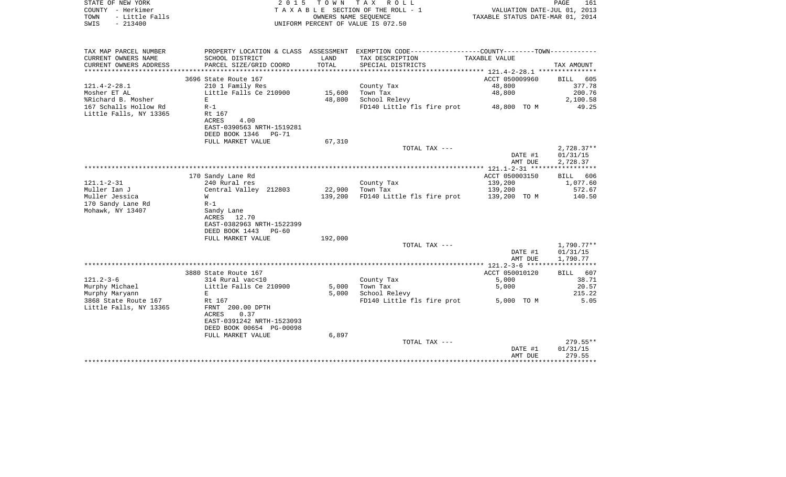| STATE OF NEW YORK<br>COUNTY - Herkimer<br>- Little Falls<br>TOWN<br>$-213400$<br>SWIS | 2 0 1 5                                                               | T O W N        | T A X<br>R O L L<br>TAXABLE SECTION OF THE ROLL - 1<br>OWNERS NAME SEQUENCE<br>UNIFORM PERCENT OF VALUE IS 072.50 | VALUATION DATE-JUL 01, 2013<br>TAXABLE STATUS DATE-MAR 01, 2014 | PAGE<br>161           |
|---------------------------------------------------------------------------------------|-----------------------------------------------------------------------|----------------|-------------------------------------------------------------------------------------------------------------------|-----------------------------------------------------------------|-----------------------|
| TAX MAP PARCEL NUMBER                                                                 |                                                                       |                | PROPERTY LOCATION & CLASS ASSESSMENT EXEMPTION CODE---------------COUNTY-------TOWN----------                     |                                                                 |                       |
| CURRENT OWNERS NAME                                                                   | SCHOOL DISTRICT                                                       | LAND           | TAX DESCRIPTION                                                                                                   | TAXABLE VALUE                                                   |                       |
| CURRENT OWNERS ADDRESS<br>********************                                        | PARCEL SIZE/GRID COORD                                                | TOTAL          | SPECIAL DISTRICTS                                                                                                 |                                                                 | TAX AMOUNT            |
|                                                                                       | 3696 State Route 167                                                  |                |                                                                                                                   | ************** 121.4-2-28.1 ****************<br>ACCT 050009960  | BILL<br>605           |
| $121.4 - 2 - 28.1$                                                                    | 210 1 Family Res                                                      |                | County Tax                                                                                                        | 48,800                                                          | 377.78                |
| Mosher ET AL                                                                          | Little Falls Ce 210900                                                | 15,600         | Town Tax                                                                                                          | 48,800                                                          | 200.76                |
| %Richard B. Mosher                                                                    | $\mathbf E$                                                           | 48,800         | School Relevy                                                                                                     |                                                                 | 2,100.58              |
| 167 Schalls Hollow Rd                                                                 | $R-1$                                                                 |                | FD140 Little fls fire prot                                                                                        | 48,800 TO M                                                     | 49.25                 |
| Little Falls, NY 13365                                                                | Rt 167                                                                |                |                                                                                                                   |                                                                 |                       |
|                                                                                       | <b>ACRES</b><br>4.00<br>EAST-0390563 NRTH-1519281                     |                |                                                                                                                   |                                                                 |                       |
|                                                                                       | DEED BOOK 1346<br>PG-71                                               |                |                                                                                                                   |                                                                 |                       |
|                                                                                       | FULL MARKET VALUE                                                     | 67,310         |                                                                                                                   |                                                                 |                       |
|                                                                                       |                                                                       |                | TOTAL TAX ---                                                                                                     |                                                                 | $2,728.37**$          |
|                                                                                       |                                                                       |                |                                                                                                                   | DATE #1                                                         | 01/31/15              |
|                                                                                       |                                                                       |                |                                                                                                                   | AMT DUE                                                         | 2,728.37              |
|                                                                                       | 170 Sandy Lane Rd                                                     |                |                                                                                                                   | ACCT 050003150                                                  | 606<br>BILL           |
| $121.1 - 2 - 31$                                                                      | 240 Rural res                                                         |                | County Tax                                                                                                        | 139,200                                                         | 1,077.60              |
| Muller Ian J                                                                          | Central Valley 212803                                                 | 22,900         | Town Tax                                                                                                          | 139,200                                                         | 572.67                |
| Muller Jessica                                                                        | W                                                                     | 139,200        | FD140 Little fls fire prot                                                                                        | 139,200 TO M                                                    | 140.50                |
| 170 Sandy Lane Rd                                                                     | $R-1$                                                                 |                |                                                                                                                   |                                                                 |                       |
| Mohawk, NY 13407                                                                      | Sandy Lane<br>ACRES<br>12.70<br>EAST-0382963 NRTH-1522399             |                |                                                                                                                   |                                                                 |                       |
|                                                                                       | DEED BOOK 1443<br>PG-60                                               |                |                                                                                                                   |                                                                 |                       |
|                                                                                       | FULL MARKET VALUE                                                     | 192,000        | TOTAL TAX ---                                                                                                     |                                                                 | $1,790.77**$          |
|                                                                                       |                                                                       |                |                                                                                                                   | DATE #1                                                         | 01/31/15              |
|                                                                                       |                                                                       |                |                                                                                                                   | AMT DUE                                                         | 1,790.77              |
|                                                                                       |                                                                       |                |                                                                                                                   | ************* 121.2-3-6 *******                                 | * * * * * * * * * * * |
|                                                                                       | 3880 State Route 167                                                  |                |                                                                                                                   | ACCT 050010120                                                  | BILL<br>607           |
| $121.2 - 3 - 6$                                                                       | 314 Rural vac<10                                                      |                | County Tax                                                                                                        | 5,000                                                           | 38.71                 |
| Murphy Michael<br>Murphy Maryann                                                      | Little Falls Ce 210900<br>E                                           | 5,000<br>5,000 | Town Tax<br>School Relevy                                                                                         | 5,000                                                           | 20.57<br>215.22       |
| 3868 State Route 167                                                                  | Rt 167                                                                |                | FD140 Little fls fire prot                                                                                        | 5,000 TO M                                                      | 5.05                  |
| Little Falls, NY 13365                                                                | FRNT 200.00 DPTH<br><b>ACRES</b><br>0.37<br>EAST-0391242 NRTH-1523093 |                |                                                                                                                   |                                                                 |                       |
|                                                                                       | DEED BOOK 00654 PG-00098                                              |                |                                                                                                                   |                                                                 |                       |
|                                                                                       | FULL MARKET VALUE                                                     | 6,897          |                                                                                                                   |                                                                 |                       |
|                                                                                       |                                                                       |                | TOTAL TAX ---                                                                                                     |                                                                 | $279.55**$            |
|                                                                                       |                                                                       |                |                                                                                                                   | DATE #1                                                         | 01/31/15              |
|                                                                                       |                                                                       |                |                                                                                                                   | AMT DUE<br>* * * * * * * * * * * * *                            | 279.55<br>.           |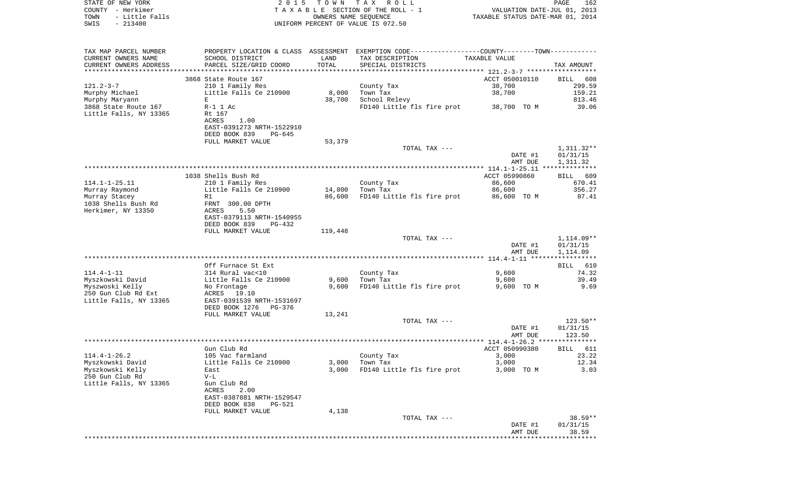| STATE OF NEW YORK<br>COUNTY - Herkimer                           |                                                                                               | 2015 TOWN | TAX ROLL<br>TAXABLE SECTION OF THE ROLL - 1                                                   | VALUATION DATE-JUL 01, 2013                   | PAGE<br>162                        |
|------------------------------------------------------------------|-----------------------------------------------------------------------------------------------|-----------|-----------------------------------------------------------------------------------------------|-----------------------------------------------|------------------------------------|
| TOWN<br>- Little Falls                                           |                                                                                               |           | OWNERS NAME SEQUENCE                                                                          | TAXABLE STATUS DATE-MAR 01, 2014              |                                    |
| $-213400$<br>SWIS                                                |                                                                                               |           | UNIFORM PERCENT OF VALUE IS 072.50                                                            |                                               |                                    |
| TAX MAP PARCEL NUMBER                                            |                                                                                               |           | PROPERTY LOCATION & CLASS ASSESSMENT EXEMPTION CODE---------------COUNTY-------TOWN---------- |                                               |                                    |
| CURRENT OWNERS NAME                                              | SCHOOL DISTRICT                                                                               | LAND      | TAX DESCRIPTION                                                                               | TAXABLE VALUE                                 |                                    |
| CURRENT OWNERS ADDRESS                                           | PARCEL SIZE/GRID COORD                                                                        | TOTAL     | SPECIAL DISTRICTS                                                                             |                                               | TAX AMOUNT                         |
| *****************                                                |                                                                                               |           |                                                                                               |                                               |                                    |
|                                                                  | 3868 State Route 167                                                                          |           |                                                                                               | ACCT 050010110                                | BILL<br>608                        |
| 121.2-3-7                                                        | 210 1 Family Res                                                                              |           | County Tax                                                                                    | 38,700                                        | 299.59                             |
| Murphy Michael                                                   | Little Falls Ce 210900                                                                        | 8,000     | Town Tax                                                                                      | 38,700                                        | 159.21                             |
| Murphy Maryann                                                   | Е                                                                                             | 38,700    | School Relevy<br>FD140 Little fls fire prot                                                   |                                               | 813.46<br>39.06                    |
| 3868 State Route 167<br>Little Falls, NY 13365                   | $R-1$ 1 Ac<br>Rt 167<br>ACRES<br>1.00<br>EAST-0391273 NRTH-1522910<br>DEED BOOK 839<br>PG-645 |           |                                                                                               | 38,700 TO M                                   |                                    |
|                                                                  | FULL MARKET VALUE                                                                             | 53,379    |                                                                                               |                                               |                                    |
|                                                                  |                                                                                               |           | TOTAL TAX ---                                                                                 | DATE #1<br>AMT DUE                            | 1,311.32**<br>01/31/15<br>1,311.32 |
|                                                                  |                                                                                               |           |                                                                                               |                                               |                                    |
|                                                                  | 1038 Shells Bush Rd                                                                           |           |                                                                                               | ACCT 05990860                                 | BILL 609                           |
| 114.1–1–25.11                                                    | 210 1 Family Res                                                                              |           | County Tax                                                                                    | 86,600                                        | 670.41                             |
| Murray Raymond                                                   | Little Falls Ce 210900                                                                        | 14,800    | Town Tax                                                                                      | 86,600                                        | 356.27                             |
| Murray Stacey                                                    | R1                                                                                            | 86,600    | FD140 Little fls fire prot                                                                    | 86,600 TO M                                   | 87.41                              |
| 1038 Shells Bush Rd<br>Herkimer, NY 13350                        | FRNT 300.00 DPTH<br>ACRES<br>5.50<br>EAST-0379113 NRTH-1540955<br>DEED BOOK 839<br>PG-432     |           |                                                                                               |                                               |                                    |
|                                                                  | FULL MARKET VALUE                                                                             | 119,448   |                                                                                               |                                               |                                    |
|                                                                  |                                                                                               |           | TOTAL TAX ---                                                                                 | DATE #1                                       | $1,114.09**$<br>01/31/15           |
|                                                                  |                                                                                               |           |                                                                                               | AMT DUE                                       | 1,114.09                           |
|                                                                  | Off Furnace St Ext                                                                            |           |                                                                                               |                                               | 610<br>BILL                        |
| $114.4 - 1 - 11$                                                 | 314 Rural vac<10                                                                              |           | County Tax                                                                                    | 9,600                                         | 74.32                              |
| Myszkowski David                                                 | Little Falls Ce 210900                                                                        | 9,600     | Town Tax                                                                                      | 9,600                                         | 39.49                              |
| Myszwoski Kelly<br>250 Gun Club Rd Ext<br>Little Falls, NY 13365 | No Frontage<br>ACRES<br>19.10<br>EAST-0391539 NRTH-1531697                                    | 9,600     | FD140 Little fls fire prot                                                                    | 9,600 TO M                                    | 9.69                               |
|                                                                  | DEED BOOK 1276<br>PG-376                                                                      |           |                                                                                               |                                               |                                    |
|                                                                  | FULL MARKET VALUE                                                                             | 13,241    |                                                                                               |                                               |                                    |
|                                                                  |                                                                                               |           | TOTAL TAX ---                                                                                 | DATE #1                                       | 123.50**<br>01/31/15               |
| *********************                                            |                                                                                               |           | ************************************                                                          | AMT DUE<br>$114.4 - 1 - 26.2$ *************** | 123.50                             |
|                                                                  | Gun Club Rd                                                                                   |           |                                                                                               | ACCT 050990380                                | BILL 611                           |
| $114.4 - 1 - 26.2$                                               | 105 Vac farmland                                                                              |           | County Tax                                                                                    | 3,000                                         | 23.22                              |
| Myszkowski David                                                 | Little Falls Ce 210900                                                                        | 3,000     | Town Tax                                                                                      | 3,000                                         | 12.34                              |
| Myszkowski Kelly                                                 | East                                                                                          | 3,000     | FD140 Little fls fire prot                                                                    | 3,000 TO M                                    | 3.03                               |
| 250 Gun Club Rd                                                  | $V-L$                                                                                         |           |                                                                                               |                                               |                                    |
| Little Falls, NY 13365                                           | Gun Club Rd                                                                                   |           |                                                                                               |                                               |                                    |
|                                                                  | 2.00<br>ACRES<br>EAST-0387881 NRTH-1529547<br>DEED BOOK 838<br>PG-521                         |           |                                                                                               |                                               |                                    |

FULL MARKET VALUE 4,138 TOTAL TAX  $-- 38.59**$  DATE #1 01/31/15 AMT DUE 38.59 \*\*\*\*\*\*\*\*\*\*\*\*\*\*\*\*\*\*\*\*\*\*\*\*\*\*\*\*\*\*\*\*\*\*\*\*\*\*\*\*\*\*\*\*\*\*\*\*\*\*\*\*\*\*\*\*\*\*\*\*\*\*\*\*\*\*\*\*\*\*\*\*\*\*\*\*\*\*\*\*\*\*\*\*\*\*\*\*\*\*\*\*\*\*\*\*\*\*\*\*\*\*\*\*\*\*\*\*\*\*\*\*\*\*\*\*\*\*\*\*\*\*\*\*\*\*\*\*\*\*\*\*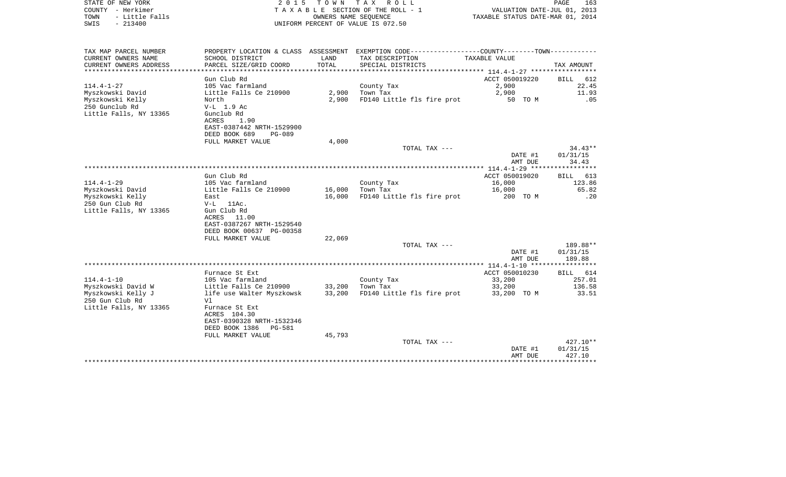| TOWN<br>- Little Falls<br>SWIS<br>$-213400$ |                                                       |                 | OWNERS NAME SEQUENCE<br>UNIFORM PERCENT OF VALUE IS 072.50                                   | TAXABLE STATUS DATE-MAR 01, 2014  |                    |
|---------------------------------------------|-------------------------------------------------------|-----------------|----------------------------------------------------------------------------------------------|-----------------------------------|--------------------|
|                                             |                                                       |                 |                                                                                              |                                   |                    |
| TAX MAP PARCEL NUMBER                       |                                                       |                 | PROPERTY LOCATION & CLASS ASSESSMENT EXEMPTION CODE---------------COUNTY-------TOWN--------- |                                   |                    |
| CURRENT OWNERS NAME                         | SCHOOL DISTRICT                                       | LAND            | TAX DESCRIPTION                                                                              | TAXABLE VALUE                     |                    |
| CURRENT OWNERS ADDRESS                      | PARCEL SIZE/GRID COORD                                | TOTAL           | SPECIAL DISTRICTS                                                                            |                                   | TAX AMOUNT         |
|                                             | ***********************                               | *************** |                                                                                              |                                   |                    |
|                                             | Gun Club Rd                                           |                 |                                                                                              | ACCT 050019220                    | BILL 612           |
| $114.4 - 1 - 27$                            | 105 Vac farmland                                      |                 | County Tax                                                                                   | 2,900                             | 22.45              |
| Myszkowski David                            | Little Falls Ce 210900                                | 2,900           | Town Tax                                                                                     | 2,900                             | 11.93              |
| Myszkowski Kelly                            | North                                                 | 2,900           | FD140 Little fls fire prot                                                                   | 50 TO M                           | .05                |
| 250 Gunclub Rd                              | $V-L$ 1.9 Ac                                          |                 |                                                                                              |                                   |                    |
| Little Falls, NY 13365                      | Gunclub Rd                                            |                 |                                                                                              |                                   |                    |
|                                             | ACRES<br>1.90<br>EAST-0387442 NRTH-1529900            |                 |                                                                                              |                                   |                    |
|                                             | DEED BOOK 689<br>$PG-089$                             |                 |                                                                                              |                                   |                    |
|                                             | FULL MARKET VALUE                                     | 4,000           |                                                                                              |                                   |                    |
|                                             |                                                       |                 | TOTAL TAX ---                                                                                |                                   | $34.43**$          |
|                                             |                                                       |                 |                                                                                              | DATE #1                           | 01/31/15           |
|                                             |                                                       |                 |                                                                                              | AMT DUE                           | 34.43              |
|                                             |                                                       |                 |                                                                                              | *************** 114.4-1-29 ****** | **********         |
|                                             | Gun Club Rd                                           |                 |                                                                                              | ACCT 050019020                    | <b>BILL</b><br>613 |
| 114.4-1-29                                  | 105 Vac farmland                                      |                 | County Tax                                                                                   | 16,000                            | 123.86             |
| Myszkowski David                            | Little Falls Ce 210900                                | 16,000          | Town Tax                                                                                     | 16,000                            | 65.82              |
| Myszkowski Kelly                            | East                                                  | 16,000          | FD140 Little fls fire prot                                                                   | 200 TO M                          | .20                |
| 250 Gun Club Rd                             | $V-L$ 11Ac.                                           |                 |                                                                                              |                                   |                    |
| Little Falls, NY 13365                      | Gun Club Rd                                           |                 |                                                                                              |                                   |                    |
|                                             | ACRES<br>11.00                                        |                 |                                                                                              |                                   |                    |
|                                             | EAST-0387267 NRTH-1529540<br>DEED BOOK 00637 PG-00358 |                 |                                                                                              |                                   |                    |
|                                             | FULL MARKET VALUE                                     | 22,069          |                                                                                              |                                   |                    |
|                                             |                                                       |                 | TOTAL TAX ---                                                                                |                                   | 189.88**           |
|                                             |                                                       |                 |                                                                                              | DATE #1                           | 01/31/15           |
|                                             |                                                       |                 |                                                                                              | AMT DUE                           | 189.88             |
|                                             |                                                       |                 |                                                                                              |                                   |                    |
|                                             | Furnace St Ext                                        |                 |                                                                                              | ACCT 050010230                    | BILL 614           |
| $114.4 - 1 - 10$                            | 105 Vac farmland                                      |                 | County Tax                                                                                   | 33,200                            | 257.01             |
| Myszkowski David W                          | Little Falls Ce 210900                                | 33,200          | Town Tax                                                                                     | 33,200                            | 136.58             |
| Myszkowski Kelly J                          | life use Walter Myszkowsk                             | 33,200          | FD140 Little fls fire prot                                                                   | 33,200 TO M                       | 33.51              |
| 250 Gun Club Rd                             | V1                                                    |                 |                                                                                              |                                   |                    |
| Little Falls, NY 13365                      | Furnace St Ext                                        |                 |                                                                                              |                                   |                    |
|                                             | ACRES 104.30                                          |                 |                                                                                              |                                   |                    |
|                                             | EAST-0390328 NRTH-1532346                             |                 |                                                                                              |                                   |                    |
|                                             | DEED BOOK 1386<br>PG-581<br>FULL MARKET VALUE         | 45,793          |                                                                                              |                                   |                    |
|                                             |                                                       |                 | TOTAL TAX ---                                                                                |                                   | 427.10**           |
|                                             |                                                       |                 |                                                                                              | DATE #1                           | 01/31/15           |
|                                             |                                                       |                 |                                                                                              | AMT DUE                           | 427.10             |
|                                             |                                                       |                 |                                                                                              |                                   | ************       |

COUNTY - Herkimer T A X A B L E SECTION OF THE ROLL - 1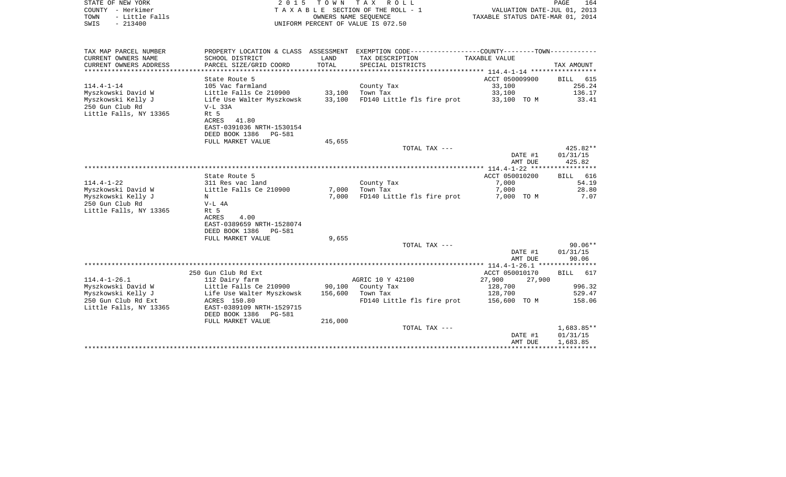| STATE OF NEW YORK<br>COUNTY - Herkimer<br>TOWN<br>- Little Falls<br>SWIS<br>$-213400$ | 2 0 1 5                                             | T O W N           | TAX ROLL<br>TAXABLE SECTION OF THE ROLL - 1<br>OWNERS NAME SEOUENCE<br>UNIFORM PERCENT OF VALUE IS 072.50 | VALUATION DATE-JUL 01, 2013<br>TAXABLE STATUS DATE-MAR 01, 2014 | PAGE<br>164              |
|---------------------------------------------------------------------------------------|-----------------------------------------------------|-------------------|-----------------------------------------------------------------------------------------------------------|-----------------------------------------------------------------|--------------------------|
| TAX MAP PARCEL NUMBER                                                                 |                                                     |                   | PROPERTY LOCATION & CLASS ASSESSMENT EXEMPTION CODE---------------COUNTY-------TOWN----------             |                                                                 |                          |
| CURRENT OWNERS NAME<br>CURRENT OWNERS ADDRESS                                         | SCHOOL DISTRICT<br>PARCEL SIZE/GRID COORD           | LAND<br>TOTAL     | TAX DESCRIPTION<br>SPECIAL DISTRICTS                                                                      | TAXABLE VALUE                                                   | TAX AMOUNT               |
| ************************                                                              | State Route 5                                       |                   |                                                                                                           | ACCT 050009900                                                  | BILL<br>615              |
| $114.4 - 1 - 14$                                                                      | 105 Vac farmland                                    |                   | County Tax                                                                                                | 33,100                                                          | 256.24                   |
| Myszkowski David W                                                                    | Little Falls Ce 210900                              | 33,100            | Town Tax                                                                                                  | 33,100                                                          | 136.17                   |
| Myszkowski Kelly J                                                                    | Life Use Walter Myszkowsk                           | 33,100            | FD140 Little fls fire prot                                                                                | 33,100 TO M                                                     | 33.41                    |
| 250 Gun Club Rd<br>Little Falls, NY 13365                                             | $V-L$ 33A<br>Rt 5                                   |                   |                                                                                                           |                                                                 |                          |
|                                                                                       | ACRES<br>41.80                                      |                   |                                                                                                           |                                                                 |                          |
|                                                                                       | EAST-0391036 NRTH-1530154                           |                   |                                                                                                           |                                                                 |                          |
|                                                                                       | DEED BOOK 1386<br>PG-581                            |                   |                                                                                                           |                                                                 |                          |
|                                                                                       | FULL MARKET VALUE                                   | 45,655            | TOTAL TAX ---                                                                                             |                                                                 | 425.82**                 |
|                                                                                       |                                                     |                   |                                                                                                           | DATE #1                                                         | 01/31/15                 |
|                                                                                       |                                                     |                   |                                                                                                           | AMT DUE                                                         | 425.82                   |
|                                                                                       |                                                     |                   |                                                                                                           | ************* 114.4-1-22 ***                                    | **********               |
| $114.4 - 1 - 22$                                                                      | State Route 5<br>311 Res vac land                   |                   | County Tax                                                                                                | ACCT 050010200<br>7,000                                         | 616<br>BILL<br>54.19     |
| Myszkowski David W                                                                    | Little Falls Ce 210900                              | 7,000             | Town Tax                                                                                                  | 7,000                                                           | 28.80                    |
| Myszkowski Kelly J                                                                    | N                                                   | 7,000             | FD140 Little fls fire prot                                                                                | 7,000 TO M                                                      | 7.07                     |
| 250 Gun Club Rd                                                                       | V-L 4A                                              |                   |                                                                                                           |                                                                 |                          |
| Little Falls, NY 13365                                                                | Rt 5<br>4.00<br>ACRES                               |                   |                                                                                                           |                                                                 |                          |
|                                                                                       | EAST-0389659 NRTH-1528074                           |                   |                                                                                                           |                                                                 |                          |
|                                                                                       | DEED BOOK 1386<br>PG-581                            |                   |                                                                                                           |                                                                 |                          |
|                                                                                       | FULL MARKET VALUE                                   | 9,655             |                                                                                                           |                                                                 |                          |
|                                                                                       |                                                     |                   | TOTAL TAX ---                                                                                             |                                                                 | $90.06**$                |
|                                                                                       |                                                     |                   |                                                                                                           | DATE #1<br>AMT DUE                                              | 01/31/15<br>90.06        |
|                                                                                       |                                                     |                   |                                                                                                           |                                                                 |                          |
|                                                                                       | 250 Gun Club Rd Ext                                 |                   |                                                                                                           | ACCT 050010170                                                  | <b>BILL</b><br>617       |
| $114.4 - 1 - 26.1$                                                                    | 112 Dairy farm                                      |                   | AGRIC 10 Y 42100                                                                                          | 27,900<br>27,900                                                |                          |
| Myszkowski David W<br>Myszkowski Kelly J                                              | Little Falls Ce 210900<br>Life Use Walter Myszkowsk | 90,100<br>156,600 | County Tax<br>Town Tax                                                                                    | 128,700<br>128,700                                              | 996.32<br>529.47         |
| 250 Gun Club Rd Ext                                                                   | ACRES 150.80                                        |                   | FD140 Little fls fire prot                                                                                | 156,600 TO M                                                    | 158.06                   |
| Little Falls, NY 13365                                                                | EAST-0389109 NRTH-1529715                           |                   |                                                                                                           |                                                                 |                          |
|                                                                                       | DEED BOOK 1386<br>PG-581                            |                   |                                                                                                           |                                                                 |                          |
|                                                                                       | FULL MARKET VALUE                                   | 216,000           |                                                                                                           |                                                                 |                          |
|                                                                                       |                                                     |                   | TOTAL TAX ---                                                                                             | DATE #1                                                         | $1,683.85**$<br>01/31/15 |
|                                                                                       |                                                     |                   |                                                                                                           | AMT DUE                                                         | 1,683.85                 |
|                                                                                       |                                                     |                   |                                                                                                           | *******************************                                 |                          |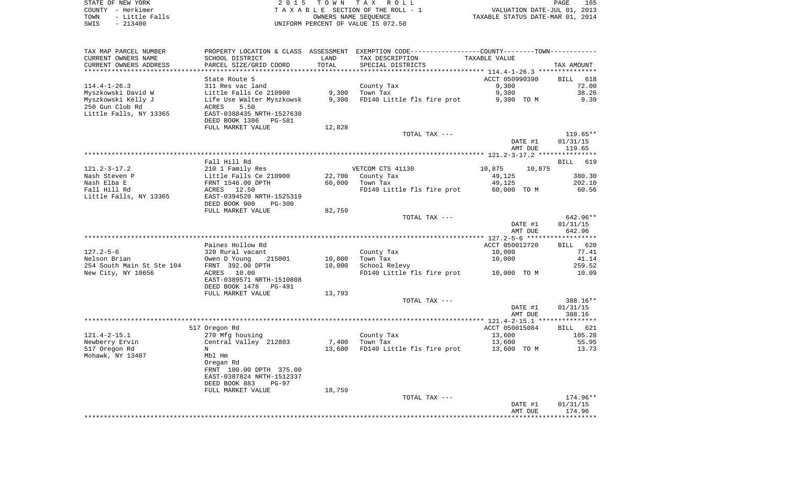STATE OF NEW YORK **EXECUTE:**  $2015$  TOWN TAX ROLL COUNTY - Herkimer<br>
T A X A B L E SECTION OF THE ROLL - 1<br>
T A X A B L E SECTION OF THE ROLL - 1<br>
OWNERS NAME SEQUENCE<br>
SWIS - 213400<br>
OWNERS NAME SEQUENCE TOWN - Little Falls OWNERS NAME SEQUENCE TAXABLE STATUS DATE-MAR 01, 2014 SWIS - 213400 UNIFORM PERCENT OF VALUE IS 072.50

| TAX MAP PARCEL NUMBER     |                                                                                                             |        | PROPERTY LOCATION & CLASS ASSESSMENT EXEMPTION CODE---------------COUNTY-------TOWN---------- |                  |            |
|---------------------------|-------------------------------------------------------------------------------------------------------------|--------|-----------------------------------------------------------------------------------------------|------------------|------------|
| CURRENT OWNERS NAME       | SCHOOL DISTRICT                                                                                             | LAND   | TAX DESCRIPTION                                                                               | TAXABLE VALUE    |            |
| CURRENT OWNERS ADDRESS    | PARCEL SIZE/GRID COORD                                                                                      | TOTAL  | SPECIAL DISTRICTS                                                                             |                  | TAX AMOUNT |
|                           |                                                                                                             |        |                                                                                               |                  |            |
|                           | State Route 5                                                                                               |        |                                                                                               | ACCT 050990390   | BILL 618   |
| $114.4 - 1 - 26.3$        | 311 Res vac land                                                                                            |        | County Tax                                                                                    | 9,300            | 72.00      |
| Myszkowski David W        | Little Falls Ce 210900                                                                                      | 9,300  | Town Tax                                                                                      | 9,300            | 38.26      |
| Myszkowski Kelly J        | Life Use Walter Myszkowsk                                                                                   | 9,300  | FD140 Little fls fire prot 9,300 TO M                                                         |                  | 9.39       |
| 250 Gun Club Rd           | 5.50<br>ACRES                                                                                               |        |                                                                                               |                  |            |
| Little Falls, NY 13365    | EAST-0388435 NRTH-1527630                                                                                   |        |                                                                                               |                  |            |
|                           | DEED BOOK 1386<br>PG-581                                                                                    |        |                                                                                               |                  |            |
|                           | FULL MARKET VALUE                                                                                           | 12,828 |                                                                                               |                  |            |
|                           |                                                                                                             |        | TOTAL TAX ---                                                                                 |                  | 119.65**   |
|                           |                                                                                                             |        |                                                                                               | DATE #1          | 01/31/15   |
|                           |                                                                                                             |        |                                                                                               | AMT DUE          | 119.65     |
|                           |                                                                                                             |        |                                                                                               |                  |            |
|                           | Fall Hill Rd                                                                                                |        |                                                                                               |                  | BILL 619   |
| $121.2 - 3 - 17.2$        | 210 1 Family Res                                                                                            |        | VETCOM CTS 41130                                                                              | 10,875<br>10,875 |            |
|                           | 210 1 Family Res<br>Little Falls Ce 210900<br>FRNT 1546.00 DPTH<br>ACRES 12.50<br>EAST-0394520 NRTH-1525319 |        |                                                                                               |                  |            |
| Nash Steven P             |                                                                                                             |        | 22,700 County Tax                                                                             | 49,125           | 380.30     |
| Nash Elba E               |                                                                                                             | 60,000 | Town Tax                                                                                      | 49,125           | 202.10     |
| Fall Hill Rd              |                                                                                                             |        | FD140 Little fls fire prot 60,000 TO M                                                        |                  | 60.56      |
| Little Falls, NY 13365    |                                                                                                             |        |                                                                                               |                  |            |
|                           | DEED BOOK 900<br>PG-300                                                                                     |        |                                                                                               |                  |            |
|                           | FULL MARKET VALUE                                                                                           | 82,759 |                                                                                               |                  |            |
|                           |                                                                                                             |        | TOTAL TAX ---                                                                                 |                  | 642.96**   |
|                           |                                                                                                             |        |                                                                                               | DATE #1          | 01/31/15   |
|                           |                                                                                                             |        |                                                                                               | AMT DUE          | 642.96     |
|                           |                                                                                                             |        |                                                                                               |                  |            |
|                           | Paines Hollow Rd                                                                                            |        |                                                                                               | ACCT 050012720   | BILL 620   |
| $127.2 - 5 - 6$           | 320 Rural vacant                                                                                            |        | County Tax                                                                                    | 10,000           | 77.41      |
| Nelson Brian              | Owen D Young 215001                                                                                         | 10,000 | Town Tax                                                                                      | 10,000           | 41.14      |
| 254 South Main St Ste 104 | FRNT 392.00 DPTH                                                                                            | 10,000 | School Relevy                                                                                 |                  | 259.52     |
| New City, NY 10656        | ACRES 10.00                                                                                                 |        | FD140 Little fls fire prot 10,000 TO M                                                        |                  | 10.09      |
|                           | EAST-0389571 NRTH-1510808                                                                                   |        |                                                                                               |                  |            |
|                           | DEED BOOK 1478 PG-491                                                                                       |        |                                                                                               |                  |            |
|                           | FULL MARKET VALUE                                                                                           | 13,793 |                                                                                               |                  |            |
|                           |                                                                                                             |        | TOTAL TAX ---                                                                                 |                  | 388.16**   |
|                           |                                                                                                             |        |                                                                                               | DATE #1          | 01/31/15   |
|                           |                                                                                                             |        |                                                                                               | AMT DUE          | 388.16     |
|                           |                                                                                                             |        |                                                                                               |                  |            |
|                           | 517 Oregon Rd                                                                                               |        |                                                                                               | ACCT 050015084   | BILL 621   |
| $121.4 - 2 - 15.1$        | 270 Mfg housing                                                                                             |        | County Tax<br>Town Tax                                                                        | 13,600           | 105.28     |
| Newberry Ervin            | Central Valley 212803                                                                                       |        | 7,400 Town Tax                                                                                | 13,600           | 55.95      |
| 517 Oregon Rd             | N                                                                                                           |        | 13,600 FD140 Little fls fire prot                                                             | 13,600 TO M      | 13.73      |
| Mohawk, NY 13407          | Mbl Hm                                                                                                      |        |                                                                                               |                  |            |
|                           | Oregan Rd                                                                                                   |        |                                                                                               |                  |            |
|                           | FRNT 100.00 DPTH 375.00                                                                                     |        |                                                                                               |                  |            |
|                           | EAST-0387824 NRTH-1512337                                                                                   |        |                                                                                               |                  |            |
|                           | DEED BOOK 883<br>$PG-97$                                                                                    |        |                                                                                               |                  |            |
|                           | FULL MARKET VALUE                                                                                           | 18,759 |                                                                                               |                  |            |
|                           |                                                                                                             |        | TOTAL TAX ---                                                                                 |                  | 174.96**   |
|                           |                                                                                                             |        |                                                                                               | DATE #1          | 01/31/15   |
|                           |                                                                                                             |        |                                                                                               | AMT DUE          | 174.96     |
|                           |                                                                                                             |        |                                                                                               |                  |            |
|                           |                                                                                                             |        |                                                                                               |                  |            |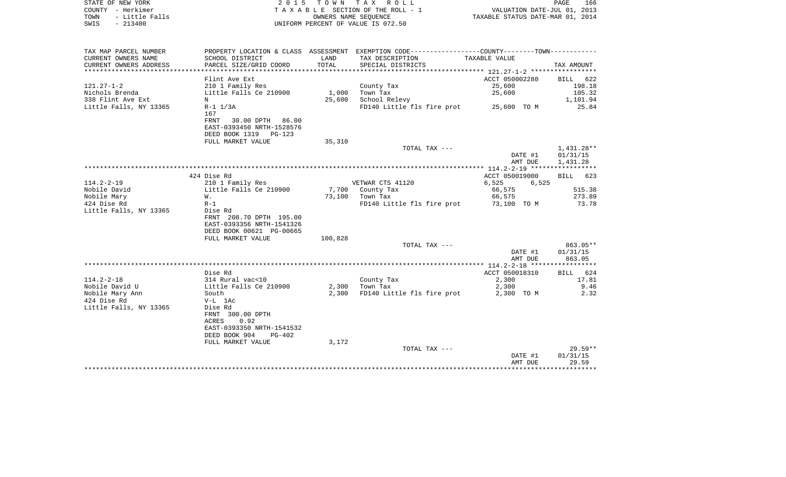| STATE OF NEW YORK                                                               | 2 0 1 5                              | T O W N                                    | T A X<br>R O L L                      |                                  | 166<br>PAGE                 |
|---------------------------------------------------------------------------------|--------------------------------------|--------------------------------------------|---------------------------------------|----------------------------------|-----------------------------|
| – Herkimer<br>COUNTY                                                            |                                      |                                            | T A X A B L E SECTION OF THE ROLL - 1 |                                  | VALUATION DATE-JUL 01, 2013 |
| - Little Falls<br>TOWN                                                          |                                      |                                            | OWNERS NAME SEOUENCE                  | TAXABLE STATUS DATE-MAR 01, 2014 |                             |
| $-213400$<br>SWIS                                                               |                                      |                                            | UNIFORM PERCENT OF VALUE IS 072.50    |                                  |                             |
|                                                                                 |                                      |                                            |                                       |                                  |                             |
| TAX MAP PARCEL NUMBER                                                           | PROPERTY LOCATION & CLASS ASSESSMENT |                                            |                                       |                                  |                             |
| CURRENT OWNERS NAME                                                             | SCHOOL DISTRICT                      | <b>EXAMPLE THE STATE OF STATE OF STATE</b> | TAX DESCRIPTION                       | TAXABLE VALUE                    |                             |
| CURRENT OWNERS ADDRESS     PARCEL SIZE/GRID COORD     TOTAL   SPECIAL DISTRICTS |                                      |                                            |                                       |                                  | TAX AMOUNT                  |
|                                                                                 |                                      |                                            |                                       |                                  |                             |
|                                                                                 | Flint Ave Ext                        |                                            |                                       | ACCT 050002280                   | BILL 622                    |
| $121.27 - 1 - 2$                                                                | 210 1 Family Res                     |                                            | County Tax                            | 25,600                           | 198.18                      |
| Nichols Brenda <b>compared to the State</b>                                     | Little Falls Ce 210900 1,000         |                                            | Town Tax                              | 25,600                           | 105.32                      |
| 338 Flint Ave Ext                                                               | N                                    | 25,600                                     | School Relevy                         |                                  | 1,101.94                    |
| Little Falls, NY 13365                                                          | R-1 1/3A                             |                                            | FD140 Little fls fire prot            | 25,600 TO M                      | 25.84                       |
|                                                                                 | 167                                  |                                            |                                       |                                  |                             |
|                                                                                 | 30.00 DPTH<br>86.00<br>FRNT          |                                            |                                       |                                  |                             |
|                                                                                 | EAST-0393450 NRTH-1528576            |                                            |                                       |                                  |                             |

|                        | DEED BOOK 1319 PG-123     |         |                            |                |                    |
|------------------------|---------------------------|---------|----------------------------|----------------|--------------------|
|                        | FULL MARKET VALUE         |         |                            |                |                    |
|                        |                           | 35,310  |                            |                |                    |
|                        |                           |         | TOTAL TAX ---              |                | 1,431.28**         |
|                        |                           |         |                            | DATE #1        | 01/31/15           |
|                        |                           |         |                            | AMT DUE        | 1,431.28           |
|                        |                           |         |                            |                |                    |
|                        | 424 Dise Rd               |         |                            | ACCT 050019000 | <b>BILL</b><br>623 |
| $114.2 - 2 - 19$       | 210 1 Family Res          |         | VETWAR CTS 41120           | 6,525<br>6,525 |                    |
| Nobile David           | Little Falls Ce 210900    |         | 7,700 County Tax           | 66,575         | 515.38             |
| Nobile Mary            | W.                        | 73,100  | Town Tax                   | 66,575         | 273.89             |
| 424 Dise Rd            | $R-1$                     |         | FD140 Little fls fire prot | 73,100 TO M    | 73.78              |
| Little Falls, NY 13365 | Dise Rd                   |         |                            |                |                    |
|                        | FRNT 208.70 DPTH 195.00   |         |                            |                |                    |
|                        | EAST-0393356 NRTH-1541326 |         |                            |                |                    |
|                        | DEED BOOK 00621 PG-00665  |         |                            |                |                    |
|                        | FULL MARKET VALUE         | 100,828 |                            |                |                    |
|                        |                           |         | TOTAL TAX ---              |                | $863.05**$         |
|                        |                           |         |                            | DATE #1        | 01/31/15           |
|                        |                           |         |                            |                |                    |
|                        |                           |         |                            | AMT DUE        | 863.05             |
|                        |                           |         |                            |                |                    |
|                        | Dise Rd                   |         |                            | ACCT 050018310 | BILL<br>624        |
| $114.2 - 2 - 18$       | 314 Rural vac<10          |         | County Tax                 | 2,300          | 17.81              |
| Nobile David U         | Little Falls Ce 210900    | 2,300   | Town Tax                   | 2,300          | 9.46               |
| Nobile Mary Ann        | South                     | 2,300   | FD140 Little fls fire prot | 2,300 TO M     | 2.32               |
| 424 Dise Rd            | $V-L$ 1Ac                 |         |                            |                |                    |
| Little Falls, NY 13365 | Dise Rd                   |         |                            |                |                    |
|                        | FRNT 300.00 DPTH          |         |                            |                |                    |
|                        | 0.92<br>ACRES             |         |                            |                |                    |
|                        | EAST-0393350 NRTH-1541532 |         |                            |                |                    |
|                        | DEED BOOK 904<br>$PG-402$ |         |                            |                |                    |
|                        | FULL MARKET VALUE         | 3,172   |                            |                |                    |
|                        |                           |         | TOTAL TAX ---              |                | $29.59**$          |
|                        |                           |         |                            | DATE #1        | 01/31/15           |
|                        |                           |         |                            | AMT DUE        | 29.59              |
|                        |                           |         |                            |                |                    |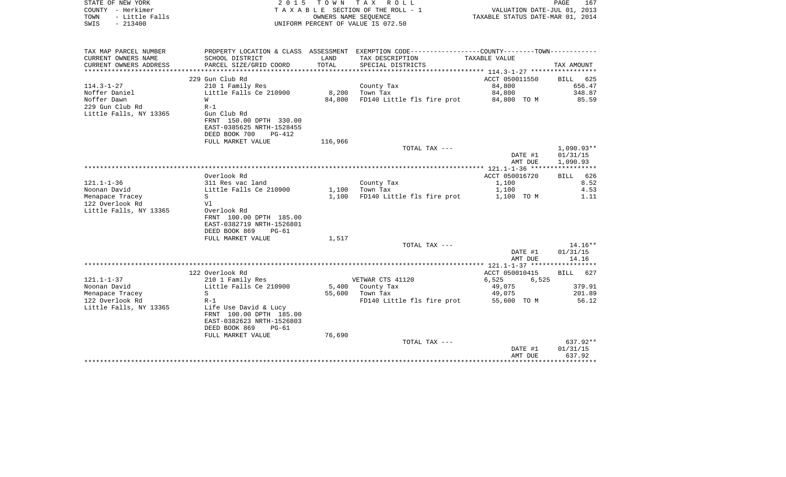| TAX MAP PARCEL NUMBER<br>PROPERTY LOCATION & CLASS ASSESSMENT EXEMPTION CODE---------------COUNTY-------TOWN----------<br>CURRENT OWNERS NAME<br>SCHOOL DISTRICT<br>LAND<br>TAX DESCRIPTION<br>TAXABLE VALUE<br>CURRENT OWNERS ADDRESS<br>PARCEL SIZE/GRID COORD<br>TOTAL<br>SPECIAL DISTRICTS<br>TAX AMOUNT<br>***********************<br>229 Gun Club Rd<br>ACCT 050011550<br>BILL<br>84,800<br>114.3-1-27<br>210 1 Family Res<br>County Tax<br>656.47<br>Noffer Daniel<br>Little Falls Ce 210900<br>8,200<br>Town Tax<br>84,800<br>348.87<br>Noffer Dawn<br>85.59<br>84,800<br>FD140 Little fls fire prot<br>84,800 TO M<br>W<br>229 Gun Club Rd<br>$R-1$<br>Little Falls, NY 13365<br>Gun Club Rd<br>FRNT 150.00 DPTH 330.00<br>EAST-0385625 NRTH-1528455<br>DEED BOOK 700<br>$PG-412$<br>116,966<br>FULL MARKET VALUE<br>$1,090.93**$<br>TOTAL TAX ---<br>DATE #1<br>01/31/15<br>1,090.93<br>AMT DUE<br>Overlook Rd<br>ACCT 050016720<br><b>BILL</b><br>8.52<br>$121.1 - 1 - 36$<br>1,100<br>311 Res vac land<br>County Tax<br>Little Falls Ce 210900<br>4.53<br>Noonan David<br>1,100<br>Town Tax<br>1,100<br>Menapace Tracey<br>1,100<br>FD140 Little fls fire prot<br>1.11<br>S<br>1,100 TO M<br>122 Overlook Rd<br>Vl<br>Little Falls, NY 13365<br>Overlook Rd<br>FRNT 100.00 DPTH 185.00<br>EAST-0382719 NRTH-1526801<br>DEED BOOK 869<br>$PG-61$<br>FULL MARKET VALUE<br>1,517<br>$14.16**$<br>TOTAL TAX ---<br>DATE #1<br>01/31/15<br>14.16<br>AMT DUE<br>122 Overlook Rd<br>ACCT 050010415<br>627<br>BILL<br>$121.1 - 1 - 37$<br>VETWAR CTS 41120<br>210 1 Family Res<br>6,525<br>6,525<br>Noonan David<br>Little Falls Ce 210900<br>5,400<br>County Tax<br>49,075<br>379.91<br>Menapace Tracey<br>S<br>55,600<br>Town Tax<br>201.89<br>49,075<br>122 Overlook Rd<br>$R-1$<br>FD140 Little fls fire prot<br>55,600 TO M<br>56.12<br>Little Falls, NY 13365<br>Life Use David & Lucy<br>FRNT 100.00 DPTH 185.00<br>EAST-0382623 NRTH-1526803<br>DEED BOOK 869<br>$PG-61$<br>76,690<br>FULL MARKET VALUE<br>637.92**<br>TOTAL TAX ---<br>DATE #1<br>01/31/15 | COUNTY - Herkimer<br>TOWN<br>- Little Falls<br>SWIS<br>$-213400$ |  | T A X A B L E SECTION OF THE ROLL - 1<br>OWNERS NAME SEQUENCE<br>UNIFORM PERCENT OF VALUE IS 072.50 | VALUATION DATE-JUL 01, 2013<br>TAXABLE STATUS DATE-MAR 01, 2014 |     |
|-------------------------------------------------------------------------------------------------------------------------------------------------------------------------------------------------------------------------------------------------------------------------------------------------------------------------------------------------------------------------------------------------------------------------------------------------------------------------------------------------------------------------------------------------------------------------------------------------------------------------------------------------------------------------------------------------------------------------------------------------------------------------------------------------------------------------------------------------------------------------------------------------------------------------------------------------------------------------------------------------------------------------------------------------------------------------------------------------------------------------------------------------------------------------------------------------------------------------------------------------------------------------------------------------------------------------------------------------------------------------------------------------------------------------------------------------------------------------------------------------------------------------------------------------------------------------------------------------------------------------------------------------------------------------------------------------------------------------------------------------------------------------------------------------------------------------------------------------------------------------------------------------------------------------------------------------------------------------------------------------------------------------------------------------------------------------|------------------------------------------------------------------|--|-----------------------------------------------------------------------------------------------------|-----------------------------------------------------------------|-----|
|                                                                                                                                                                                                                                                                                                                                                                                                                                                                                                                                                                                                                                                                                                                                                                                                                                                                                                                                                                                                                                                                                                                                                                                                                                                                                                                                                                                                                                                                                                                                                                                                                                                                                                                                                                                                                                                                                                                                                                                                                                                                         |                                                                  |  |                                                                                                     |                                                                 |     |
|                                                                                                                                                                                                                                                                                                                                                                                                                                                                                                                                                                                                                                                                                                                                                                                                                                                                                                                                                                                                                                                                                                                                                                                                                                                                                                                                                                                                                                                                                                                                                                                                                                                                                                                                                                                                                                                                                                                                                                                                                                                                         |                                                                  |  |                                                                                                     |                                                                 |     |
|                                                                                                                                                                                                                                                                                                                                                                                                                                                                                                                                                                                                                                                                                                                                                                                                                                                                                                                                                                                                                                                                                                                                                                                                                                                                                                                                                                                                                                                                                                                                                                                                                                                                                                                                                                                                                                                                                                                                                                                                                                                                         |                                                                  |  |                                                                                                     |                                                                 | 625 |
|                                                                                                                                                                                                                                                                                                                                                                                                                                                                                                                                                                                                                                                                                                                                                                                                                                                                                                                                                                                                                                                                                                                                                                                                                                                                                                                                                                                                                                                                                                                                                                                                                                                                                                                                                                                                                                                                                                                                                                                                                                                                         |                                                                  |  |                                                                                                     |                                                                 |     |
|                                                                                                                                                                                                                                                                                                                                                                                                                                                                                                                                                                                                                                                                                                                                                                                                                                                                                                                                                                                                                                                                                                                                                                                                                                                                                                                                                                                                                                                                                                                                                                                                                                                                                                                                                                                                                                                                                                                                                                                                                                                                         |                                                                  |  |                                                                                                     |                                                                 |     |
|                                                                                                                                                                                                                                                                                                                                                                                                                                                                                                                                                                                                                                                                                                                                                                                                                                                                                                                                                                                                                                                                                                                                                                                                                                                                                                                                                                                                                                                                                                                                                                                                                                                                                                                                                                                                                                                                                                                                                                                                                                                                         |                                                                  |  |                                                                                                     |                                                                 |     |
|                                                                                                                                                                                                                                                                                                                                                                                                                                                                                                                                                                                                                                                                                                                                                                                                                                                                                                                                                                                                                                                                                                                                                                                                                                                                                                                                                                                                                                                                                                                                                                                                                                                                                                                                                                                                                                                                                                                                                                                                                                                                         |                                                                  |  |                                                                                                     |                                                                 |     |
|                                                                                                                                                                                                                                                                                                                                                                                                                                                                                                                                                                                                                                                                                                                                                                                                                                                                                                                                                                                                                                                                                                                                                                                                                                                                                                                                                                                                                                                                                                                                                                                                                                                                                                                                                                                                                                                                                                                                                                                                                                                                         |                                                                  |  |                                                                                                     |                                                                 |     |
|                                                                                                                                                                                                                                                                                                                                                                                                                                                                                                                                                                                                                                                                                                                                                                                                                                                                                                                                                                                                                                                                                                                                                                                                                                                                                                                                                                                                                                                                                                                                                                                                                                                                                                                                                                                                                                                                                                                                                                                                                                                                         |                                                                  |  |                                                                                                     |                                                                 |     |
|                                                                                                                                                                                                                                                                                                                                                                                                                                                                                                                                                                                                                                                                                                                                                                                                                                                                                                                                                                                                                                                                                                                                                                                                                                                                                                                                                                                                                                                                                                                                                                                                                                                                                                                                                                                                                                                                                                                                                                                                                                                                         |                                                                  |  |                                                                                                     |                                                                 |     |
|                                                                                                                                                                                                                                                                                                                                                                                                                                                                                                                                                                                                                                                                                                                                                                                                                                                                                                                                                                                                                                                                                                                                                                                                                                                                                                                                                                                                                                                                                                                                                                                                                                                                                                                                                                                                                                                                                                                                                                                                                                                                         |                                                                  |  |                                                                                                     |                                                                 | 626 |
|                                                                                                                                                                                                                                                                                                                                                                                                                                                                                                                                                                                                                                                                                                                                                                                                                                                                                                                                                                                                                                                                                                                                                                                                                                                                                                                                                                                                                                                                                                                                                                                                                                                                                                                                                                                                                                                                                                                                                                                                                                                                         |                                                                  |  |                                                                                                     |                                                                 |     |
|                                                                                                                                                                                                                                                                                                                                                                                                                                                                                                                                                                                                                                                                                                                                                                                                                                                                                                                                                                                                                                                                                                                                                                                                                                                                                                                                                                                                                                                                                                                                                                                                                                                                                                                                                                                                                                                                                                                                                                                                                                                                         |                                                                  |  |                                                                                                     |                                                                 |     |
|                                                                                                                                                                                                                                                                                                                                                                                                                                                                                                                                                                                                                                                                                                                                                                                                                                                                                                                                                                                                                                                                                                                                                                                                                                                                                                                                                                                                                                                                                                                                                                                                                                                                                                                                                                                                                                                                                                                                                                                                                                                                         |                                                                  |  |                                                                                                     |                                                                 |     |
|                                                                                                                                                                                                                                                                                                                                                                                                                                                                                                                                                                                                                                                                                                                                                                                                                                                                                                                                                                                                                                                                                                                                                                                                                                                                                                                                                                                                                                                                                                                                                                                                                                                                                                                                                                                                                                                                                                                                                                                                                                                                         |                                                                  |  |                                                                                                     |                                                                 |     |
|                                                                                                                                                                                                                                                                                                                                                                                                                                                                                                                                                                                                                                                                                                                                                                                                                                                                                                                                                                                                                                                                                                                                                                                                                                                                                                                                                                                                                                                                                                                                                                                                                                                                                                                                                                                                                                                                                                                                                                                                                                                                         |                                                                  |  |                                                                                                     |                                                                 |     |
|                                                                                                                                                                                                                                                                                                                                                                                                                                                                                                                                                                                                                                                                                                                                                                                                                                                                                                                                                                                                                                                                                                                                                                                                                                                                                                                                                                                                                                                                                                                                                                                                                                                                                                                                                                                                                                                                                                                                                                                                                                                                         |                                                                  |  |                                                                                                     |                                                                 |     |
|                                                                                                                                                                                                                                                                                                                                                                                                                                                                                                                                                                                                                                                                                                                                                                                                                                                                                                                                                                                                                                                                                                                                                                                                                                                                                                                                                                                                                                                                                                                                                                                                                                                                                                                                                                                                                                                                                                                                                                                                                                                                         |                                                                  |  |                                                                                                     |                                                                 |     |
|                                                                                                                                                                                                                                                                                                                                                                                                                                                                                                                                                                                                                                                                                                                                                                                                                                                                                                                                                                                                                                                                                                                                                                                                                                                                                                                                                                                                                                                                                                                                                                                                                                                                                                                                                                                                                                                                                                                                                                                                                                                                         |                                                                  |  |                                                                                                     |                                                                 |     |
|                                                                                                                                                                                                                                                                                                                                                                                                                                                                                                                                                                                                                                                                                                                                                                                                                                                                                                                                                                                                                                                                                                                                                                                                                                                                                                                                                                                                                                                                                                                                                                                                                                                                                                                                                                                                                                                                                                                                                                                                                                                                         |                                                                  |  |                                                                                                     |                                                                 |     |
|                                                                                                                                                                                                                                                                                                                                                                                                                                                                                                                                                                                                                                                                                                                                                                                                                                                                                                                                                                                                                                                                                                                                                                                                                                                                                                                                                                                                                                                                                                                                                                                                                                                                                                                                                                                                                                                                                                                                                                                                                                                                         |                                                                  |  |                                                                                                     |                                                                 |     |
|                                                                                                                                                                                                                                                                                                                                                                                                                                                                                                                                                                                                                                                                                                                                                                                                                                                                                                                                                                                                                                                                                                                                                                                                                                                                                                                                                                                                                                                                                                                                                                                                                                                                                                                                                                                                                                                                                                                                                                                                                                                                         |                                                                  |  |                                                                                                     |                                                                 |     |
|                                                                                                                                                                                                                                                                                                                                                                                                                                                                                                                                                                                                                                                                                                                                                                                                                                                                                                                                                                                                                                                                                                                                                                                                                                                                                                                                                                                                                                                                                                                                                                                                                                                                                                                                                                                                                                                                                                                                                                                                                                                                         |                                                                  |  |                                                                                                     |                                                                 |     |
|                                                                                                                                                                                                                                                                                                                                                                                                                                                                                                                                                                                                                                                                                                                                                                                                                                                                                                                                                                                                                                                                                                                                                                                                                                                                                                                                                                                                                                                                                                                                                                                                                                                                                                                                                                                                                                                                                                                                                                                                                                                                         |                                                                  |  |                                                                                                     |                                                                 |     |
|                                                                                                                                                                                                                                                                                                                                                                                                                                                                                                                                                                                                                                                                                                                                                                                                                                                                                                                                                                                                                                                                                                                                                                                                                                                                                                                                                                                                                                                                                                                                                                                                                                                                                                                                                                                                                                                                                                                                                                                                                                                                         |                                                                  |  |                                                                                                     |                                                                 |     |
| 637.92<br>AMT DUE                                                                                                                                                                                                                                                                                                                                                                                                                                                                                                                                                                                                                                                                                                                                                                                                                                                                                                                                                                                                                                                                                                                                                                                                                                                                                                                                                                                                                                                                                                                                                                                                                                                                                                                                                                                                                                                                                                                                                                                                                                                       |                                                                  |  |                                                                                                     |                                                                 |     |

STATE OF NEW YORK **EXECUTE:** TO W N TAX ROLL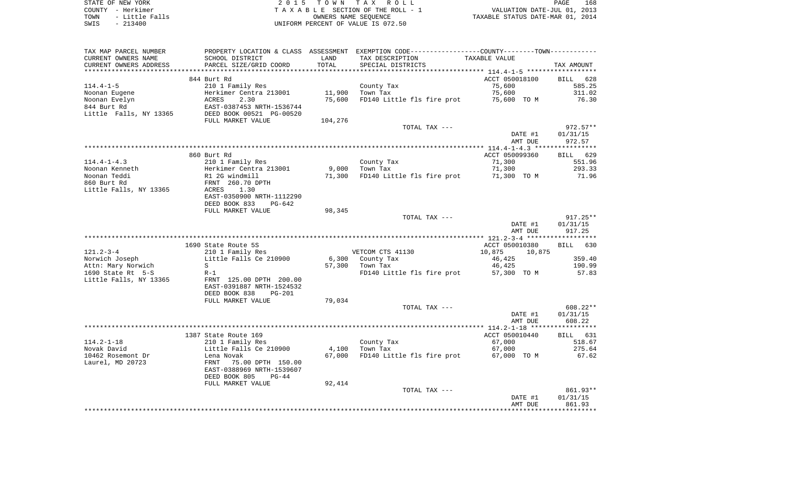| STATE OF NEW YORK |           |                |  |
|-------------------|-----------|----------------|--|
| COUNTY - Herkimer |           |                |  |
| TOWN              |           | - Little Falls |  |
| SWIS              | $-213400$ |                |  |

2015 TOWN TAX ROLL TA X A B L E SECTION OF THE ROLL - 1 TOWN - Little Falls OWNERS NAME SEQUENCE TAXABLE STATUS DATE-MAR 01, 2014 SWIS - 213400 UNIFORM PERCENT OF VALUE IS 072.50

| TAX MAP PARCEL NUMBER  | PROPERTY LOCATION & CLASS ASSESSMENT EXEMPTION CODE---------------COUNTY-------TOWN---------- |         |                                               |                  |            |
|------------------------|-----------------------------------------------------------------------------------------------|---------|-----------------------------------------------|------------------|------------|
| CURRENT OWNERS NAME    | SCHOOL DISTRICT                                                                               | LAND    | TAX DESCRIPTION                               | TAXABLE VALUE    |            |
| CURRENT OWNERS ADDRESS | PARCEL SIZE/GRID COORD                                                                        | TOTAL   | SPECIAL DISTRICTS                             |                  | TAX AMOUNT |
|                        |                                                                                               |         |                                               |                  |            |
|                        | 844 Burt Rd                                                                                   |         |                                               | ACCT 050018100   | BILL 628   |
| $114.4 - 1 - 5$        | 210 1 Family Res                                                                              |         | County Tax                                    | 75,600           | 585.25     |
| Noonan Eugene          | Herkimer Centra 213001                                                                        |         | 11,900 Town Tax                               | 75,600           | 311.02     |
| Noonan Evelyn          |                                                                                               | 75,600  | FD140 Little fls fire prot 75,600 TO M        |                  | 76.30      |
| 844 Burt Rd            | Herkimer Centra 213001<br>ACRES     2.30<br>EAST-0387453 NRTH-1536744                         |         |                                               |                  |            |
|                        | Little Falls, NY 13365 DEED BOOK 00521 PG-00520                                               |         |                                               |                  |            |
|                        | FULL MARKET VALUE                                                                             | 104,276 |                                               |                  |            |
|                        |                                                                                               |         | TOTAL TAX ---                                 |                  | 972.57**   |
|                        |                                                                                               |         |                                               |                  |            |
|                        |                                                                                               |         |                                               | DATE #1          | 01/31/15   |
|                        |                                                                                               |         |                                               | AMT DUE          | 972.57     |
|                        |                                                                                               |         |                                               |                  |            |
|                        | 860 Burt Rd                                                                                   |         |                                               | ACCT 050099360   | BILL 629   |
| $114.4 - 1 - 4.3$      | 210 1 Family Res                                                                              |         | County Tax                                    | 71,300           | 551.96     |
| Noonan Kenneth         | Herkimer Centra 213001                                                                        |         | 9,000 Town Tax                                | 71,300           | 293.33     |
| Noonan Teddi           | R1 2G windmill                                                                                |         | 71,300 FD140 Little fls fire prot 71,300 TO M |                  | 71.96      |
| 860 Burt Rd            | FRNT 260.70 DPTH                                                                              |         |                                               |                  |            |
| Little Falls, NY 13365 | ACRES<br>1.30                                                                                 |         |                                               |                  |            |
|                        | EAST-0350900 NRTH-1112290                                                                     |         |                                               |                  |            |
|                        | DEED BOOK 833<br>PG-642                                                                       |         |                                               |                  |            |
|                        | FULL MARKET VALUE                                                                             | 98,345  |                                               |                  |            |
|                        |                                                                                               |         | TOTAL TAX ---                                 |                  | $917.25**$ |
|                        |                                                                                               |         |                                               | DATE #1          | 01/31/15   |
|                        |                                                                                               |         |                                               | AMT DUE          | 917.25     |
|                        |                                                                                               |         |                                               |                  |            |
|                        | 1690 State Route 5S                                                                           |         |                                               | ACCT 050010380   | BILL 630   |
| $121.2 - 3 - 4$        | 210 1 Family Res                                                                              |         | VETCOM CTS 41130                              | 10,875<br>10,875 |            |
| Norwich Joseph         | Little Falls Ce 210900                                                                        |         | 6,300 County Tax                              | 46,425           | 359.40     |
| Attn: Mary Norwich     | S                                                                                             |         | 57,300 Town Tax                               | 46,425           | 190.99     |
| 1690 State Rt 5-S      | $R-1$                                                                                         |         | FD140 Little fls fire prot 57,300 TO M        |                  | 57.83      |
| Little Falls, NY 13365 | FRNT 125.00 DPTH 200.00                                                                       |         |                                               |                  |            |
|                        | EAST-0391887 NRTH-1524532                                                                     |         |                                               |                  |            |
|                        | DEED BOOK 838<br>PG-201                                                                       |         |                                               |                  |            |
|                        |                                                                                               |         |                                               |                  |            |
|                        | FULL MARKET VALUE                                                                             | 79,034  |                                               |                  |            |
|                        |                                                                                               |         | TOTAL TAX ---                                 |                  | 608.22**   |
|                        |                                                                                               |         |                                               | DATE #1          | 01/31/15   |
|                        |                                                                                               |         |                                               | AMT DUE          | 608.22     |
|                        |                                                                                               |         |                                               |                  |            |
|                        | 1387 State Route 169                                                                          |         |                                               | ACCT 050010440   | BILL 631   |
| $114.2 - 1 - 18$       | 210 1 Family Res                                                                              |         | County Tax                                    | 67,000           | 518.67     |
| Novak David            | Little Falls Ce 210900                                                                        | 4,100   | Town Tax                                      | 67,000           | 275.64     |
| 10462 Rosemont Dr      | Lena Novak                                                                                    | 67,000  | FD140 Little fls fire prot 67,000 TO M        |                  | 67.62      |
| Laurel, MD 20723       | FRNT 75.00 DPTH 150.00                                                                        |         |                                               |                  |            |
|                        | EAST-0388969 NRTH-1539607                                                                     |         |                                               |                  |            |
|                        | DEED BOOK 805<br>PG-44                                                                        |         |                                               |                  |            |
|                        | FULL MARKET VALUE                                                                             | 92,414  |                                               |                  |            |
|                        |                                                                                               |         | TOTAL TAX ---                                 |                  | 861.93**   |
|                        |                                                                                               |         |                                               | DATE #1          | 01/31/15   |
|                        |                                                                                               |         |                                               | AMT DUE          | 861.93     |
|                        |                                                                                               |         |                                               |                  |            |
|                        |                                                                                               |         |                                               |                  |            |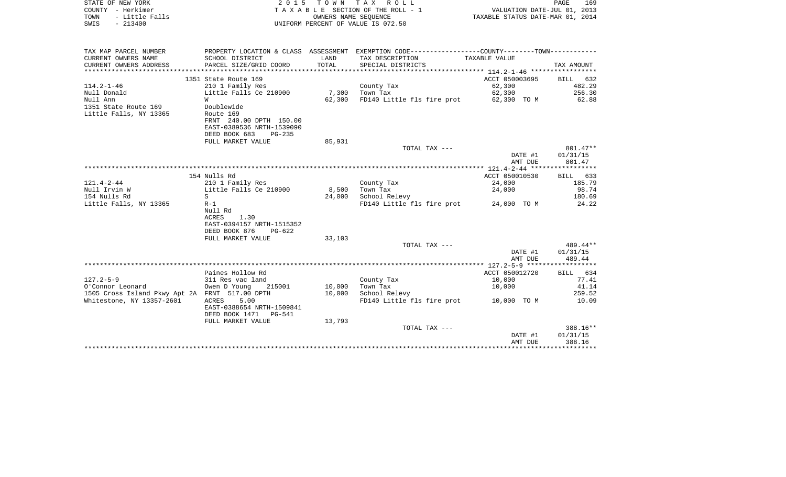| STATE OF NEW YORK<br>COUNTY - Herkimer<br>- Little Falls<br>TOWN<br>$-213400$<br>SWIS | 2 0 1 5                                                | OWNERS NAME SEOUENCE | TOWN TAX ROLL<br>T A X A B L E SECTION OF THE ROLL - 1<br>UNIFORM PERCENT OF VALUE IS 072.50                       | VALUATION DATE-JUL 01, 2013<br>TAXABLE STATUS DATE-MAR 01, 2014 | PAGE<br>169                 |
|---------------------------------------------------------------------------------------|--------------------------------------------------------|----------------------|--------------------------------------------------------------------------------------------------------------------|-----------------------------------------------------------------|-----------------------------|
| TAX MAP PARCEL NUMBER<br>CURRENT OWNERS NAME                                          | SCHOOL DISTRICT                                        | LAND                 | PROPERTY LOCATION & CLASS ASSESSMENT EXEMPTION CODE----------------COUNTY--------TOWN----------<br>TAX DESCRIPTION | TAXABLE VALUE                                                   |                             |
| CURRENT OWNERS ADDRESS                                                                | PARCEL SIZE/GRID COORD                                 | TOTAL                | SPECIAL DISTRICTS                                                                                                  |                                                                 | TAX AMOUNT                  |
|                                                                                       | 1351 State Route 169                                   |                      |                                                                                                                    | ACCT 050003695                                                  | 632<br>BILL                 |
| $114.2 - 1 - 46$                                                                      | 210 1 Family Res                                       |                      | County Tax                                                                                                         | 62,300                                                          | 482.29                      |
| Null Donald<br>Null Ann                                                               | Little Falls Ce 210900<br>W                            | 7,300<br>62,300      | Town Tax                                                                                                           | 62,300<br>62,300 TO M                                           | 256.30<br>62.88             |
| 1351 State Route 169                                                                  | Doublewide                                             |                      | FD140 Little fls fire prot                                                                                         |                                                                 |                             |
| Little Falls, NY 13365                                                                | Route 169                                              |                      |                                                                                                                    |                                                                 |                             |
|                                                                                       | FRNT 240.00 DPTH 150.00                                |                      |                                                                                                                    |                                                                 |                             |
|                                                                                       | EAST-0389536 NRTH-1539090<br>DEED BOOK 683<br>$PG-235$ |                      |                                                                                                                    |                                                                 |                             |
|                                                                                       | FULL MARKET VALUE                                      | 85,931               |                                                                                                                    |                                                                 |                             |
|                                                                                       |                                                        |                      | TOTAL TAX ---                                                                                                      |                                                                 | 801.47**                    |
|                                                                                       |                                                        |                      |                                                                                                                    | DATE #1<br>AMT DUE                                              | 01/31/15<br>801.47          |
|                                                                                       |                                                        |                      |                                                                                                                    |                                                                 |                             |
|                                                                                       | 154 Nulls Rd                                           |                      |                                                                                                                    | ACCT 050010530                                                  | 633<br>BILL                 |
| $121.4 - 2 - 44$<br>Null Irvin W                                                      | 210 1 Family Res<br>Little Falls Ce 210900             | 8,500                | County Tax<br>Town Tax                                                                                             | 24,000<br>24,000                                                | 185.79<br>98.74             |
| 154 Nulls Rd                                                                          | S                                                      | 24,000               | School Relevy                                                                                                      |                                                                 | 180.69                      |
| Little Falls, NY 13365                                                                | $R-1$                                                  |                      | FD140 Little fls fire prot                                                                                         | 24,000 TO M                                                     | 24.22                       |
|                                                                                       | Null Rd                                                |                      |                                                                                                                    |                                                                 |                             |
|                                                                                       | <b>ACRES</b><br>1.30<br>EAST-0394157 NRTH-1515352      |                      |                                                                                                                    |                                                                 |                             |
|                                                                                       | DEED BOOK 876<br>$PG-622$                              |                      |                                                                                                                    |                                                                 |                             |
|                                                                                       | FULL MARKET VALUE                                      | 33,103               |                                                                                                                    |                                                                 |                             |
|                                                                                       |                                                        |                      | TOTAL TAX ---                                                                                                      | DATE #1                                                         | 489.44**<br>01/31/15        |
|                                                                                       |                                                        |                      |                                                                                                                    | AMT DUE                                                         | 489.44                      |
|                                                                                       |                                                        |                      |                                                                                                                    |                                                                 |                             |
| $127.2 - 5 - 9$                                                                       | Paines Hollow Rd<br>311 Res vac land                   |                      | County Tax                                                                                                         | ACCT 050012720<br>10,000                                        | <b>BILL</b><br>634<br>77.41 |
| O'Connor Leonard                                                                      | Owen D Young<br>215001                                 | 10,000               | Town Tax                                                                                                           | 10,000                                                          | 41.14                       |
| 1505 Cross Island Pkwy Apt 2A FRNT 517.00 DPTH                                        |                                                        | 10,000               | School Relevy                                                                                                      |                                                                 | 259.52                      |
| Whitestone, NY 13357-2601                                                             | 5.00<br>ACRES                                          |                      | FD140 Little fls fire prot                                                                                         | 10,000 TO M                                                     | 10.09                       |
|                                                                                       | EAST-0388654 NRTH-1509841<br>DEED BOOK 1471<br>PG-541  |                      |                                                                                                                    |                                                                 |                             |
|                                                                                       | FULL MARKET VALUE                                      | 13,793               |                                                                                                                    |                                                                 |                             |
|                                                                                       |                                                        |                      | TOTAL TAX ---                                                                                                      |                                                                 | 388.16**                    |
|                                                                                       |                                                        |                      |                                                                                                                    | DATE #1<br>AMT DUE                                              | 01/31/15<br>388.16          |
|                                                                                       |                                                        |                      |                                                                                                                    |                                                                 |                             |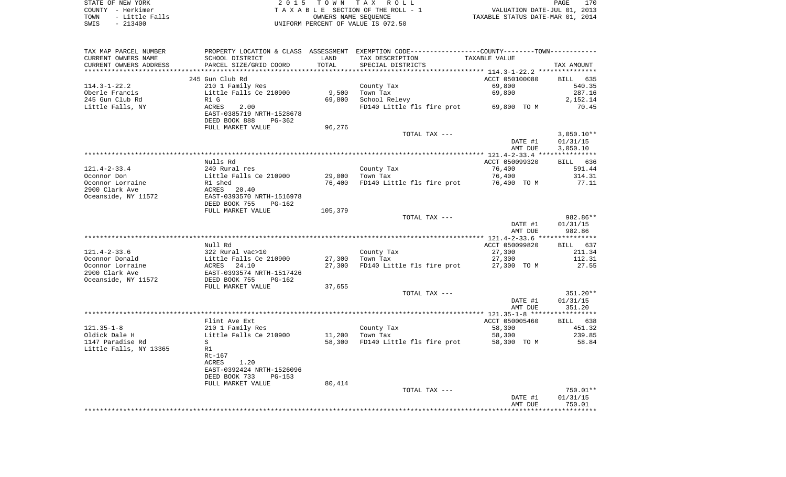| STATE OF NEW YORK      | 2015 TOWN TAX ROLL                 | 170<br>PAGE                      |
|------------------------|------------------------------------|----------------------------------|
| COUNTY - Herkimer      | TAXABLE SECTION OF THE ROLL - 1    | VALUATION DATE-JUL 01, 2013      |
| - Little Falls<br>TOWN | OWNERS NAME SEOUENCE               | TAXABLE STATUS DATE-MAR 01, 2014 |
| SWIS<br>$-213400$      | UNIFORM PERCENT OF VALUE IS 072.50 |                                  |

 $\begin{array}{c} 170 \\ 2013 \\ 2014 \end{array}$ 

| TAX MAP PARCEL NUMBER  | PROPERTY LOCATION & CLASS ASSESSMENT |         | EXEMPTION CODE-----------------COUNTY-------TOWN----------- |                |              |
|------------------------|--------------------------------------|---------|-------------------------------------------------------------|----------------|--------------|
| CURRENT OWNERS NAME    | SCHOOL DISTRICT                      | LAND    | TAX DESCRIPTION                                             | TAXABLE VALUE  |              |
| CURRENT OWNERS ADDRESS | PARCEL SIZE/GRID COORD               | TOTAL   | SPECIAL DISTRICTS                                           |                | TAX AMOUNT   |
|                        |                                      |         |                                                             |                |              |
|                        | 245 Gun Club Rd                      |         |                                                             | ACCT 050100080 | BILL<br>635  |
| $114.3 - 1 - 22.2$     | 210 1 Family Res                     |         | County Tax                                                  | 69,800         | 540.35       |
| Oberle Francis         | Little Falls Ce 210900               | 9,500   | Town Tax                                                    | 69,800         | 287.16       |
| 245 Gun Club Rd        | R1 G                                 | 69,800  | School Relevy                                               |                | 2,152.14     |
| Little Falls, NY       | <b>ACRES</b><br>2.00                 |         | FD140 Little fls fire prot                                  | 69,800 TO M    | 70.45        |
|                        | EAST-0385719 NRTH-1528678            |         |                                                             |                |              |
|                        | DEED BOOK 888<br>PG-362              |         |                                                             |                |              |
|                        | FULL MARKET VALUE                    | 96,276  |                                                             |                |              |
|                        |                                      |         | TOTAL TAX ---                                               |                | $3,050.10**$ |
|                        |                                      |         |                                                             | DATE #1        | 01/31/15     |
|                        |                                      |         |                                                             | AMT DUE        | 3,050.10     |
|                        |                                      |         |                                                             |                |              |
|                        | Nulls Rd                             |         |                                                             | ACCT 050099320 | BILL 636     |
| $121.4 - 2 - 33.4$     | 240 Rural res                        |         | County Tax                                                  | 76,400         | 591.44       |
| Oconnor Don            | Little Falls Ce 210900               | 29,000  | Town Tax                                                    | 76,400         | 314.31       |
| Oconnor Lorraine       | R1 shed                              | 76,400  | FD140 Little fls fire prot                                  | 76,400 TO M    | 77.11        |
| 2900 Clark Ave         | 20.40<br>ACRES                       |         |                                                             |                |              |
| Oceanside, NY 11572    | EAST-0393570 NRTH-1516978            |         |                                                             |                |              |
|                        | DEED BOOK 755<br>$PG-162$            |         |                                                             |                |              |
|                        | FULL MARKET VALUE                    | 105,379 | TOTAL TAX ---                                               |                | 982.86**     |
|                        |                                      |         |                                                             | DATE #1        | 01/31/15     |
|                        |                                      |         |                                                             | AMT DUE        | 982.86       |
|                        |                                      |         |                                                             |                |              |
|                        | Null Rd                              |         |                                                             | ACCT 050099820 | BILL 637     |
| $121.4 - 2 - 33.6$     | 322 Rural vac>10                     |         | County Tax                                                  | 27,300         | 211.34       |
| Oconnor Donald         | Little Falls Ce 210900               | 27,300  | Town Tax                                                    | 27,300         | 112.31       |
| Oconnor Lorraine       | ACRES<br>24.10                       | 27,300  | FD140 Little fls fire prot                                  | 27,300 TO M    | 27.55        |
| 2900 Clark Ave         | EAST-0393574 NRTH-1517426            |         |                                                             |                |              |
| Oceanside, NY 11572    | DEED BOOK 755<br>PG-162              |         |                                                             |                |              |
|                        | FULL MARKET VALUE                    | 37,655  |                                                             |                |              |
|                        |                                      |         | TOTAL TAX ---                                               |                | 351.20**     |
|                        |                                      |         |                                                             | DATE #1        | 01/31/15     |
|                        |                                      |         |                                                             | AMT DUE        | 351.20       |
|                        |                                      |         |                                                             |                |              |
|                        | Flint Ave Ext                        |         |                                                             | ACCT 050005460 | BILL 638     |
| $121.35 - 1 - 8$       | 210 1 Family Res                     |         | County Tax                                                  | 58,300         | 451.32       |
| Oldick Dale H          | Little Falls Ce 210900               | 11,200  | Town Tax                                                    | 58,300         | 239.85       |
| 1147 Paradise Rd       | S                                    | 58,300  | FD140 Little fls fire prot                                  | 58,300 TO M    | 58.84        |
| Little Falls, NY 13365 | R1                                   |         |                                                             |                |              |
|                        | Rt-167                               |         |                                                             |                |              |
|                        | <b>ACRES</b><br>1.20                 |         |                                                             |                |              |
|                        | EAST-0392424 NRTH-1526096            |         |                                                             |                |              |
|                        | DEED BOOK 733<br><b>PG-153</b>       |         |                                                             |                |              |
|                        | FULL MARKET VALUE                    | 80,414  | TOTAL TAX ---                                               |                | 750.01**     |
|                        |                                      |         |                                                             | DATE #1        | 01/31/15     |
|                        |                                      |         |                                                             | AMT DUE        | 750.01       |
|                        |                                      |         |                                                             |                |              |
|                        |                                      |         |                                                             |                |              |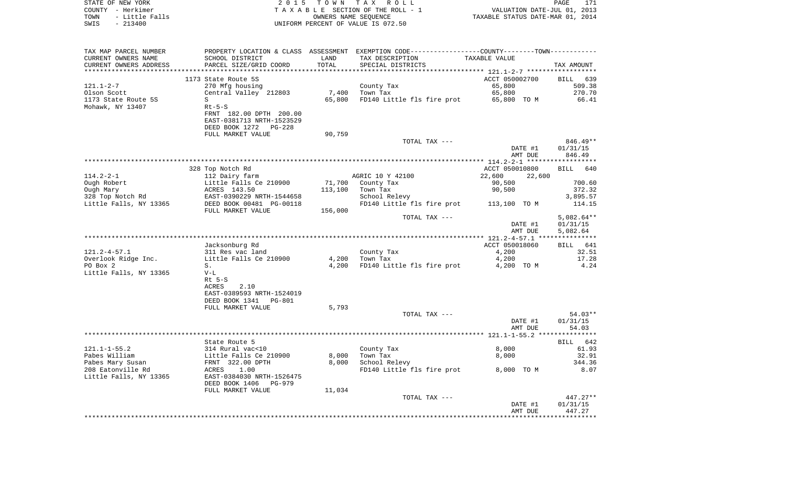| STATE OF NEW YORK<br>COUNTY - Herkimer             | 2 0 1 5                                              | TOWN TAX             | R O L L<br>TAXABLE SECTION OF THE ROLL - 1                                                    | VALUATION DATE-JUL 01, 2013      | PAGE<br>171                 |
|----------------------------------------------------|------------------------------------------------------|----------------------|-----------------------------------------------------------------------------------------------|----------------------------------|-----------------------------|
| - Little Falls<br>TOWN                             |                                                      | OWNERS NAME SEQUENCE |                                                                                               | TAXABLE STATUS DATE-MAR 01, 2014 |                             |
| $-213400$<br>SWIS                                  |                                                      |                      | UNIFORM PERCENT OF VALUE IS 072.50                                                            |                                  |                             |
| TAX MAP PARCEL NUMBER                              |                                                      |                      | PROPERTY LOCATION & CLASS ASSESSMENT EXEMPTION CODE---------------COUNTY-------TOWN---------- |                                  |                             |
| CURRENT OWNERS NAME                                | SCHOOL DISTRICT                                      | LAND                 | TAX DESCRIPTION                                                                               | TAXABLE VALUE                    |                             |
| CURRENT OWNERS ADDRESS<br>************************ | PARCEL SIZE/GRID COORD                               | TOTAL                | SPECIAL DISTRICTS                                                                             |                                  | TAX AMOUNT                  |
|                                                    | 1173 State Route 5S                                  |                      |                                                                                               | ACCT 050002700                   | 639<br>BILL                 |
| $121.1 - 2 - 7$                                    | 270 Mfg housing                                      |                      | County Tax                                                                                    | 65,800                           | 509.38                      |
| Olson Scott                                        | Central Valley 212803                                | 7,400                | Town Tax                                                                                      | 65,800                           | 270.70                      |
| 1173 State Route 5S                                | S                                                    | 65,800               | FD140 Little fls fire prot                                                                    | 65,800 TO M                      | 66.41                       |
| Mohawk, NY 13407                                   | $Rt-5-S$                                             |                      |                                                                                               |                                  |                             |
|                                                    | FRNT 182.00 DPTH 200.00<br>EAST-0381713 NRTH-1523529 |                      |                                                                                               |                                  |                             |
|                                                    | DEED BOOK 1272 PG-228                                |                      |                                                                                               |                                  |                             |
|                                                    | FULL MARKET VALUE                                    | 90,759               |                                                                                               |                                  |                             |
|                                                    |                                                      |                      | TOTAL TAX ---                                                                                 | DATE #1                          | $846.49**$<br>01/31/15      |
|                                                    |                                                      |                      |                                                                                               | AMT DUE                          | 846.49                      |
|                                                    |                                                      |                      |                                                                                               |                                  |                             |
|                                                    | 328 Top Notch Rd                                     |                      |                                                                                               | ACCT 050010800                   | BILL<br>640                 |
| $114.2 - 2 - 1$                                    | 112 Dairy farm                                       |                      | AGRIC 10 Y 42100                                                                              | 22,600<br>22,600                 |                             |
| Ough Robert                                        | Little Falls Ce 210900                               | 71,700               | County Tax                                                                                    | 90,500                           | 700.60                      |
| Ough Mary                                          | ACRES 143.50<br>EAST-0390229 NRTH-1544658            | 113,100              | Town Tax                                                                                      | 90,500                           | 372.32<br>3,895.57          |
| 328 Top Notch Rd<br>Little Falls, NY 13365         | DEED BOOK 00481 PG-00118                             |                      | School Relevy<br>FD140 Little fls fire prot                                                   | 113,100 TO M                     | 114.15                      |
|                                                    | FULL MARKET VALUE                                    | 156,000              |                                                                                               |                                  |                             |
|                                                    |                                                      |                      | TOTAL TAX ---                                                                                 |                                  | 5,082.64**                  |
|                                                    |                                                      |                      |                                                                                               | DATE #1                          | 01/31/15                    |
|                                                    |                                                      |                      |                                                                                               | AMT DUE                          | 5,082.64                    |
|                                                    |                                                      |                      |                                                                                               | ACCT 050018060                   |                             |
| $121.2 - 4 - 57.1$                                 | Jacksonburg Rd<br>311 Res vac land                   |                      | County Tax                                                                                    | 4,200                            | <b>BILL</b><br>641<br>32.51 |
| Overlook Ridge Inc.                                | Little Falls Ce 210900                               | 4,200                | Town Tax                                                                                      | 4,200                            | 17.28                       |
| PO Box 2                                           | $S$ .                                                | 4,200                | FD140 Little fls fire prot                                                                    | 4,200 TO M                       | 4.24                        |
| Little Falls, NY 13365                             | $V-L$                                                |                      |                                                                                               |                                  |                             |
|                                                    | $Rt$ 5-S                                             |                      |                                                                                               |                                  |                             |
|                                                    | ACRES<br>2.10                                        |                      |                                                                                               |                                  |                             |
|                                                    | EAST-0389593 NRTH-1524019<br>DEED BOOK 1341 PG-801   |                      |                                                                                               |                                  |                             |
|                                                    | FULL MARKET VALUE                                    | 5,793                |                                                                                               |                                  |                             |
|                                                    |                                                      |                      | TOTAL TAX ---                                                                                 |                                  | $54.03**$                   |
|                                                    |                                                      |                      |                                                                                               | DATE #1                          | 01/31/15                    |
|                                                    |                                                      |                      |                                                                                               | AMT DUE                          | 54.03                       |
|                                                    |                                                      |                      |                                                                                               |                                  |                             |
| $121.1 - 1 - 55.2$                                 | State Route 5                                        |                      |                                                                                               |                                  | 642<br>BILL<br>61.93        |
| Pabes William                                      | 314 Rural vac<10<br>Little Falls Ce 210900           | 8,000                | County Tax<br>Town Tax                                                                        | 8,000<br>8,000                   | 32.91                       |
| Pabes Mary Susan                                   | FRNT 322.00 DPTH                                     | 8,000                | School Relevy                                                                                 |                                  | 344.36                      |
| 208 Eatonville Rd                                  | 1.00<br>ACRES                                        |                      | FD140 Little fls fire prot                                                                    | 8,000 TO M                       | 8.07                        |
| Little Falls, NY 13365                             | EAST-0384030 NRTH-1526475                            |                      |                                                                                               |                                  |                             |
|                                                    | DEED BOOK 1406<br>PG-979                             |                      |                                                                                               |                                  |                             |
|                                                    | FULL MARKET VALUE                                    | 11,034               |                                                                                               |                                  |                             |
|                                                    |                                                      |                      | TOTAL TAX ---                                                                                 | DATE #1                          | $447.27**$<br>01/31/15      |
|                                                    |                                                      |                      |                                                                                               | AMT DUE                          | 447.27                      |
|                                                    |                                                      |                      |                                                                                               |                                  |                             |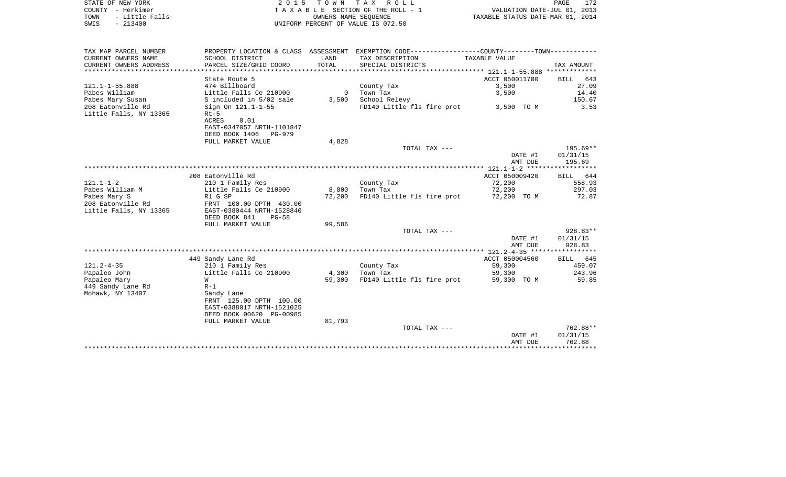| STATE OF NEW YORK      | 2015 TOWN TAX ROLL                 | 172<br>PAGE                      |
|------------------------|------------------------------------|----------------------------------|
| COUNTY - Herkimer      | TAXABLE SECTION OF THE ROLL - 1    | VALUATION DATE-JUL 01, 2013      |
| - Little Falls<br>TOWN | OWNERS NAME SEOUENCE               | TAXABLE STATUS DATE-MAR 01, 2014 |
| $-213400$<br>SWIS      | UNIFORM PERCENT OF VALUE IS 072.50 |                                  |

| TAX MAP PARCEL NUMBER  | PROPERTY LOCATION & CLASS ASSESSMENT |              | EXEMPTION CODE-----------------COUNTY--------TOWN----------- |                |            |
|------------------------|--------------------------------------|--------------|--------------------------------------------------------------|----------------|------------|
| CURRENT OWNERS NAME    | SCHOOL DISTRICT                      | LAND         | TAX DESCRIPTION                                              | TAXABLE VALUE  |            |
| CURRENT OWNERS ADDRESS | PARCEL SIZE/GRID COORD               | TOTAL        | SPECIAL DISTRICTS                                            |                | TAX AMOUNT |
|                        |                                      |              |                                                              |                |            |
|                        | State Route 5                        |              |                                                              | ACCT 050011700 | BILL 643   |
| $121.1 - 1 - 55.888$   | 474 Billboard                        |              | County Tax                                                   | 3,500          | 27.09      |
| Pabes William          | Little Falls Ce 210900               | $\mathbf{0}$ | Town Tax                                                     | 3,500          | 14.40      |
| Pabes Mary Susan       | S included in 5/02 sale              | 3,500        | School Relevy                                                |                | 150.67     |
| 208 Eatonville Rd      | Sign On 121.1-1-55                   |              | FD140 Little fls fire prot                                   | 3,500 TO M     | 3.53       |
| Little Falls, NY 13365 | $Rt-5$                               |              |                                                              |                |            |
|                        | ACRES<br>0.01                        |              |                                                              |                |            |
|                        | EAST-0347057 NRTH-1101847            |              |                                                              |                |            |
|                        | DEED BOOK 1406<br>PG-979             |              |                                                              |                |            |
|                        | FULL MARKET VALUE                    | 4,828        |                                                              |                |            |
|                        |                                      |              | TOTAL TAX ---                                                |                | 195.69**   |
|                        |                                      |              |                                                              | DATE #1        | 01/31/15   |
|                        |                                      |              |                                                              | AMT DUE        | 195.69     |
|                        |                                      |              |                                                              |                |            |
|                        | 208 Eatonville Rd                    |              |                                                              | ACCT 050009420 | BILL 644   |
| $121.1 - 1 - 2$        | 210 1 Family Res                     |              | County Tax                                                   | 72,200         | 558.93     |
| Pabes William M        | Little Falls Ce 210900               | 8,000        | Town Tax                                                     | 72,200         | 297.03     |
| Pabes Mary S           | R1 G SP                              | 72,200       | FD140 Little fls fire prot                                   | 72,200 TO M    | 72.87      |
| 208 Eatonville Rd      | FRNT 100.00 DPTH 430.00              |              |                                                              |                |            |
| Little Falls, NY 13365 | EAST-0380444 NRTH-1528840            |              |                                                              |                |            |
|                        | DEED BOOK 841<br>$PG-58$             |              |                                                              |                |            |
|                        | FULL MARKET VALUE                    | 99,586       |                                                              |                |            |
|                        |                                      |              | TOTAL TAX ---                                                |                | 928.83**   |
|                        |                                      |              |                                                              | DATE #1        | 01/31/15   |
|                        |                                      |              |                                                              | AMT DUE        | 928.83     |
|                        |                                      |              |                                                              |                |            |
|                        | 449 Sandy Lane Rd                    |              |                                                              | ACCT 050004560 | BILL 645   |
| $121.2 - 4 - 35$       | 210 1 Family Res                     |              | County Tax                                                   | 59,300         | 459.07     |
| Papaleo John           | Little Falls Ce 210900               | 4,300        | Town Tax                                                     | 59,300         | 243.96     |
| Papaleo Mary           | W                                    | 59,300       | FD140 Little fls fire prot                                   | 59,300 TO M    | 59.85      |
| 449 Sandy Lane Rd      | $R-1$                                |              |                                                              |                |            |
| Mohawk, NY 13407       | Sandy Lane                           |              |                                                              |                |            |
|                        | FRNT 125.00 DPTH 100.00              |              |                                                              |                |            |
|                        | EAST-0388017 NRTH-1521025            |              |                                                              |                |            |
|                        | DEED BOOK 00620 PG-00985             |              |                                                              |                |            |
|                        | FULL MARKET VALUE                    | 81,793       |                                                              |                |            |
|                        |                                      |              | TOTAL TAX ---                                                |                | 762.88**   |
|                        |                                      |              |                                                              | DATE #1        | 01/31/15   |
|                        |                                      |              |                                                              | AMT DUE        | 762.88     |
|                        |                                      |              |                                                              |                |            |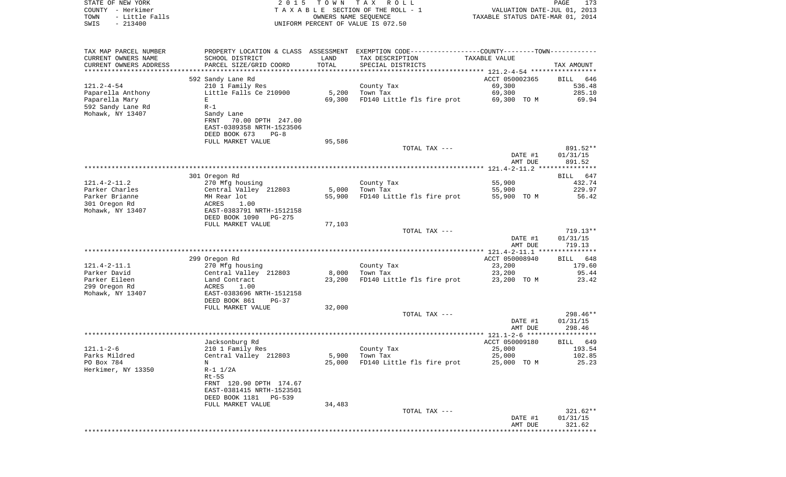| STATE OF NEW YORK<br>COUNTY - Herkimer        | 2 0 1 5                                    |               | TOWN TAX ROLL<br>TAXABLE SECTION OF THE ROLL - 1                                              | VALUATION DATE-JUL 01, 2013      | PAGE<br>173           |
|-----------------------------------------------|--------------------------------------------|---------------|-----------------------------------------------------------------------------------------------|----------------------------------|-----------------------|
| TOWN<br>- Little Falls                        |                                            |               | OWNERS NAME SEQUENCE                                                                          | TAXABLE STATUS DATE-MAR 01, 2014 |                       |
| SWIS<br>$-213400$                             |                                            |               | UNIFORM PERCENT OF VALUE IS 072.50                                                            |                                  |                       |
|                                               |                                            |               |                                                                                               |                                  |                       |
| TAX MAP PARCEL NUMBER                         |                                            |               | PROPERTY LOCATION & CLASS ASSESSMENT EXEMPTION CODE---------------COUNTY-------TOWN---------- |                                  |                       |
| CURRENT OWNERS NAME<br>CURRENT OWNERS ADDRESS | SCHOOL DISTRICT<br>PARCEL SIZE/GRID COORD  | LAND<br>TOTAL | TAX DESCRIPTION<br>SPECIAL DISTRICTS                                                          | TAXABLE VALUE                    | TAX AMOUNT            |
| **************************                    |                                            |               |                                                                                               |                                  |                       |
|                                               | 592 Sandy Lane Rd                          |               |                                                                                               | ACCT 050002365                   | BILL<br>646           |
| 121.2-4-54                                    | 210 1 Family Res                           |               | County Tax                                                                                    | 69,300                           | 536.48                |
| Paparella Anthony                             | Little Falls Ce 210900                     | 5,200         | Town Tax                                                                                      | 69,300                           | 285.10                |
| Paparella Mary                                | Е                                          | 69,300        | FD140 Little fls fire prot                                                                    | 69,300 TO M                      | 69.94                 |
| 592 Sandy Lane Rd                             | $R-1$                                      |               |                                                                                               |                                  |                       |
| Mohawk, NY 13407                              | Sandy Lane<br>FRNT<br>70.00 DPTH 247.00    |               |                                                                                               |                                  |                       |
|                                               | EAST-0389358 NRTH-1523506                  |               |                                                                                               |                                  |                       |
|                                               | DEED BOOK 673<br>PG-8                      |               |                                                                                               |                                  |                       |
|                                               | FULL MARKET VALUE                          | 95,586        |                                                                                               |                                  |                       |
|                                               |                                            |               | TOTAL TAX ---                                                                                 |                                  | 891.52**              |
|                                               |                                            |               |                                                                                               | DATE #1                          | 01/31/15              |
|                                               |                                            |               |                                                                                               | AMT DUE                          | 891.52                |
|                                               |                                            |               |                                                                                               |                                  |                       |
| 121.4-2-11.2                                  | 301 Oregon Rd<br>270 Mfg housing           |               | County Tax                                                                                    | 55,900                           | BILL<br>647<br>432.74 |
| Parker Charles                                | Central Valley 212803                      | 5,000         | Town Tax                                                                                      | 55,900                           | 229.97                |
| Parker Brianne                                | MH Rear lot                                | 55,900        | FD140 Little fls fire prot                                                                    | 55,900 TO M                      | 56.42                 |
| 301 Oregon Rd                                 | ACRES<br>1.00                              |               |                                                                                               |                                  |                       |
| Mohawk, NY 13407                              | EAST-0383791 NRTH-1512158                  |               |                                                                                               |                                  |                       |
|                                               | DEED BOOK 1090<br>PG-275                   |               |                                                                                               |                                  |                       |
|                                               | FULL MARKET VALUE                          | 77,103        |                                                                                               |                                  |                       |
|                                               |                                            |               | TOTAL TAX ---                                                                                 | DATE #1                          | 719.13**<br>01/31/15  |
|                                               |                                            |               |                                                                                               | AMT DUE                          | 719.13                |
|                                               |                                            |               |                                                                                               |                                  |                       |
|                                               | 299 Oregon Rd                              |               |                                                                                               | ACCT 050008940                   | BILL<br>648           |
| 121.4-2-11.1                                  | 270 Mfg housing                            |               | County Tax                                                                                    | 23,200                           | 179.60                |
| Parker David                                  | Central Valley 212803                      | 8,000         | Town Tax                                                                                      | 23,200                           | 95.44                 |
| Parker Eileen                                 | Land Contract                              | 23,200        | FD140 Little fls fire prot                                                                    | 23,200 TO M                      | 23.42                 |
| 299 Oregon Rd<br>Mohawk, NY 13407             | ACRES<br>1.00<br>EAST-0383696 NRTH-1512158 |               |                                                                                               |                                  |                       |
|                                               | DEED BOOK 861<br>PG-37                     |               |                                                                                               |                                  |                       |
|                                               | FULL MARKET VALUE                          | 32,000        |                                                                                               |                                  |                       |
|                                               |                                            |               | TOTAL TAX ---                                                                                 |                                  | 298.46**              |
|                                               |                                            |               |                                                                                               | DATE #1                          | 01/31/15              |
|                                               |                                            |               |                                                                                               | AMT DUE                          | 298.46                |
|                                               |                                            |               |                                                                                               | ACCT 050009180                   | 649                   |
| 121.1-2-6                                     | Jacksonburg Rd<br>210 1 Family Res         |               | County Tax                                                                                    | 25,000                           | BILL<br>193.54        |
| Parks Mildred                                 | Central Valley 212803                      | 5,900         | Town Tax                                                                                      | 25,000                           | 102.85                |
| PO Box 784                                    | N                                          | 25,000        | FD140 Little fls fire prot                                                                    | 25,000 TO M                      | 25.23                 |
| Herkimer, NY 13350                            | $R-1$ $1/2A$                               |               |                                                                                               |                                  |                       |
|                                               | $Rt-5S$                                    |               |                                                                                               |                                  |                       |
|                                               | FRNT 120.90 DPTH 174.67                    |               |                                                                                               |                                  |                       |
|                                               | EAST-0381415 NRTH-1523501                  |               |                                                                                               |                                  |                       |
|                                               | DEED BOOK 1181<br>PG-539                   |               |                                                                                               |                                  |                       |
|                                               | FULL MARKET VALUE                          | 34,483        | TOTAL TAX ---                                                                                 |                                  | $321.62**$            |
|                                               |                                            |               |                                                                                               | DATE #1                          | 01/31/15              |
|                                               |                                            |               |                                                                                               | AMT DUE                          | 321.62                |
|                                               |                                            |               |                                                                                               |                                  |                       |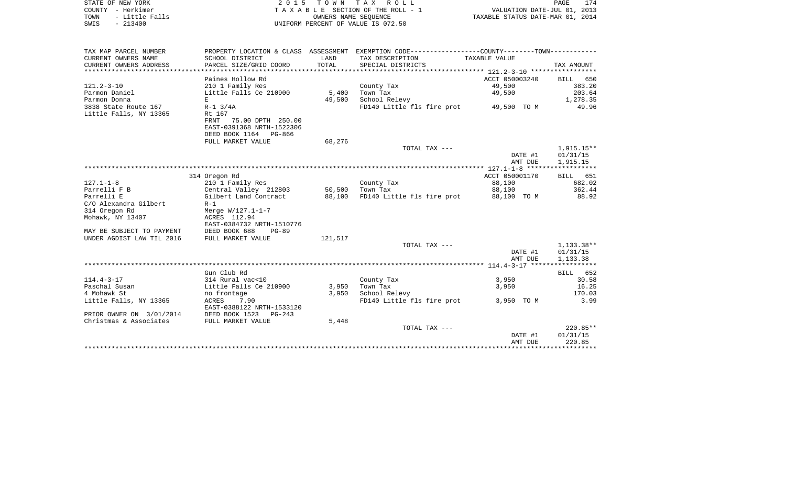| STATE OF NEW YORK      | 2 0 1 5                   | TOWN       | T A X<br>ROLL                                               |                | 174<br>PAGE                      |
|------------------------|---------------------------|------------|-------------------------------------------------------------|----------------|----------------------------------|
| - Herkimer<br>COUNTY   |                           |            | T A X A B L E SECTION OF THE ROLL - 1                       |                | VALUATION DATE-JUL 01, 2013      |
| - Little Falls<br>TOWN |                           |            | OWNERS NAME SEOUENCE                                        |                | TAXABLE STATUS DATE-MAR 01, 2014 |
| SWIS<br>$-213400$      |                           |            | UNIFORM PERCENT OF VALUE IS 072.50                          |                |                                  |
|                        |                           |            |                                                             |                |                                  |
| TAX MAP PARCEL NUMBER  | PROPERTY LOCATION & CLASS | ASSESSMENT | EXEMPTION CODE-----------------COUNTY-------TOWN----------- |                |                                  |
| CURRENT OWNERS NAME    | SCHOOL DISTRICT           | LAND       | TAX DESCRIPTION                                             | TAXABLE VALUE  |                                  |
| CURRENT OWNERS ADDRESS | PARCEL SIZE/GRID COORD    | TOTAL      | SPECIAL DISTRICTS                                           |                | TAX AMOUNT                       |
|                        |                           |            |                                                             |                |                                  |
|                        | Paines Hollow Rd          |            |                                                             | ACCT 050003240 | BILL 650                         |
| 121.2-3-10             | 210 1 Family Res          |            | County Tax                                                  | 49,500         | 383.20                           |
| Parmon Daniel          | Little Falls Ce 210900    | 5,400      | Town Tax                                                    |                | 203.64                           |
| Parmon Donna           | E                         | 49,500     | School Relevy                                               |                | 1,278.35                         |
| 3838 State Route 167   | $R-1$ 3/4A                |            | FD140 Little fls fire prot 49,500 TO M                      |                | 49.96                            |
| Little Falls, NY 13365 | Rt 167                    |            |                                                             |                |                                  |
|                        | 75.00 DPTH 250.00<br>FRNT |            |                                                             |                |                                  |
|                        | EAST-0391368 NRTH-1522306 |            |                                                             |                |                                  |
|                        | DEED BOOK 1164 PG-866     |            |                                                             |                |                                  |

|                           | FULL MARKET VALUE          | 68,276  |                            |                |                    |
|---------------------------|----------------------------|---------|----------------------------|----------------|--------------------|
|                           |                            |         | TOTAL TAX ---              |                | 1,915.15**         |
|                           |                            |         |                            | DATE #1        | 01/31/15           |
|                           |                            |         |                            | AMT DUE        | 1,915.15           |
|                           |                            |         |                            |                |                    |
|                           | 314 Oregon Rd              |         |                            | ACCT 050001170 | <b>BILL</b><br>651 |
| $127.1 - 1 - 8$           | 210 1 Family Res           |         | County Tax                 | 88,100         | 682.02             |
| Parrelli F B              | Central Valley 212803      | 50,500  | Town Tax                   | 88,100         | 362.44             |
| Parrelli E                | Gilbert Land Contract      | 88,100  | FD140 Little fls fire prot | 88,100 TO M    | 88.92              |
| C/O Alexandra Gilbert     | $R-1$                      |         |                            |                |                    |
| 314 Oregon Rd             | Merge W/127.1-1-7          |         |                            |                |                    |
| Mohawk, NY 13407          | ACRES 112.94               |         |                            |                |                    |
|                           | EAST-0384732 NRTH-1510776  |         |                            |                |                    |
| MAY BE SUBJECT TO PAYMENT | DEED BOOK 688<br>$PG-89$   |         |                            |                |                    |
| UNDER AGDIST LAW TIL 2016 | FULL MARKET VALUE          | 121,517 |                            |                |                    |
|                           |                            |         | TOTAL TAX ---              |                | $1,133.38**$       |
|                           |                            |         |                            | DATE #1        | 01/31/15           |
|                           |                            |         |                            | AMT DUE        | 1,133.38           |
|                           |                            |         |                            |                |                    |
|                           | Gun Club Rd                |         |                            |                | 652<br>BILL        |
| $114.4 - 3 - 17$          | 314 Rural vac<10           |         | County Tax                 | 3,950          | 30.58              |
| Paschal Susan             | Little Falls Ce 210900     | 3,950   | Town Tax                   | 3,950          | 16.25              |
| 4 Mohawk St               | no frontage                | 3,950   | School Relevy              |                | 170.03             |
| Little Falls, NY 13365    | ACRES<br>7.90              |         | FD140 Little fls fire prot | 3,950 TO M     | 3.99               |
|                           | EAST-0388122 NRTH-1533120  |         |                            |                |                    |
| PRIOR OWNER ON 3/01/2014  | DEED BOOK 1523<br>$PG-243$ |         |                            |                |                    |
| Christmas & Associates    | FULL MARKET VALUE          | 5,448   |                            |                |                    |
|                           |                            |         | TOTAL TAX ---              |                | $220.85**$         |
|                           |                            |         |                            | DATE #1        | 01/31/15           |
|                           |                            |         |                            | AMT DUE        | 220.85             |
|                           |                            |         |                            |                |                    |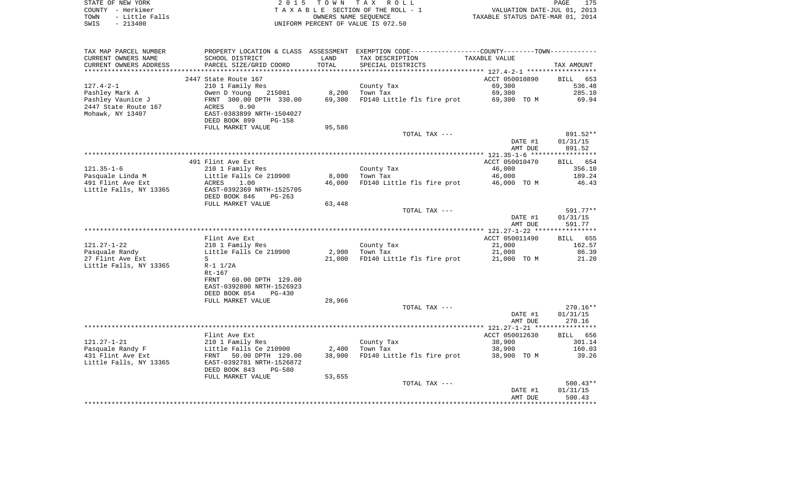| STATE OF NEW YORK |                | 2015 TOWN TAX ROLL                 | 175<br>PAGE                      |  |
|-------------------|----------------|------------------------------------|----------------------------------|--|
| COUNTY - Herkimer |                | TAXABLE SECTION OF THE ROLL - 1    | VALUATION DATE-JUL 01, 2013      |  |
| TOWN              | - Little Falls | OWNERS NAME SEOUENCE               | TAXABLE STATUS DATE-MAR 01, 2014 |  |
| SWIS              | - 213400       | UNIFORM PERCENT OF VALUE IS 072.50 |                                  |  |

| TAX MAP PARCEL NUMBER  |                                                  |        | PROPERTY LOCATION & CLASS ASSESSMENT EXEMPTION CODE----------------COUNTY--------TOWN----------- |                |            |
|------------------------|--------------------------------------------------|--------|--------------------------------------------------------------------------------------------------|----------------|------------|
| CURRENT OWNERS NAME    | SCHOOL DISTRICT                                  | LAND   | TAX DESCRIPTION                                                                                  | TAXABLE VALUE  |            |
| CURRENT OWNERS ADDRESS | PARCEL SIZE/GRID COORD                           | TOTAL  | SPECIAL DISTRICTS                                                                                |                | TAX AMOUNT |
|                        |                                                  |        |                                                                                                  |                |            |
|                        | 2447 State Route 167                             |        |                                                                                                  | ACCT 050010890 | BILL 653   |
| $127.4 - 2 - 1$        | 210 1 Family Res                                 |        | County Tax                                                                                       | 69,300         | 536.48     |
| Pashley Mark A         | Owen D Young<br>215001                           | 8,200  | Town Tax                                                                                         | 69,300         | 285.10     |
| Pashley Vaunice J      | FRNT 300.00 DPTH 330.00                          | 69,300 | FD140 Little fls fire prot                                                                       | 69,300 TO M    | 69.94      |
| 2447 State Route 167   | ACRES<br>0.90                                    |        |                                                                                                  |                |            |
| Mohawk, NY 13407       | EAST-0383899 NRTH-1504027                        |        |                                                                                                  |                |            |
|                        | DEED BOOK 899<br>$PG-158$                        |        |                                                                                                  |                |            |
|                        | FULL MARKET VALUE                                | 95,586 |                                                                                                  |                |            |
|                        |                                                  |        | TOTAL TAX ---                                                                                    |                | 891.52**   |
|                        |                                                  |        |                                                                                                  | DATE #1        | 01/31/15   |
|                        |                                                  |        |                                                                                                  | AMT DUE        | 891.52     |
|                        |                                                  |        |                                                                                                  |                |            |
|                        | 491 Flint Ave Ext                                |        |                                                                                                  | ACCT 050010470 | BILL 654   |
| $121.35 - 1 - 6$       | 210 1 Family Res                                 |        | County Tax                                                                                       | 46,000         | 356.10     |
| Pasquale Linda M       | Little Falls Ce 210900                           | 8,000  | Town Tax                                                                                         | 46,000         | 189.24     |
| 491 Flint Ave Ext      | ACRES<br>1.00                                    | 46,000 | FD140 Little fls fire prot                                                                       | 46,000 TO M    | 46.43      |
| Little Falls, NY 13365 | EAST-0392369 NRTH-1525705                        |        |                                                                                                  |                |            |
|                        | DEED BOOK 846<br>$PG-263$                        |        |                                                                                                  |                |            |
|                        | FULL MARKET VALUE                                | 63,448 |                                                                                                  |                |            |
|                        |                                                  |        | TOTAL TAX ---                                                                                    |                | 591.77**   |
|                        |                                                  |        |                                                                                                  | DATE #1        | 01/31/15   |
|                        |                                                  |        |                                                                                                  | AMT DUE        | 591.77     |
|                        |                                                  |        |                                                                                                  |                |            |
|                        | Flint Ave Ext                                    |        |                                                                                                  | ACCT 050011490 | BILL 655   |
| $121.27 - 1 - 22$      | 210 1 Family Res                                 |        | County Tax                                                                                       | 21,000         | 162.57     |
| Pasquale Randy         | Little Falls Ce 210900                           | 2,900  | Town Tax                                                                                         | 21,000         | 86.39      |
| 27 Flint Ave Ext       | S                                                | 21,000 | FD140 Little fls fire prot                                                                       | 21,000 TO M    | 21.20      |
| Little Falls, NY 13365 | $R-1$ $1/2A$                                     |        |                                                                                                  |                |            |
|                        | $Rt-167$                                         |        |                                                                                                  |                |            |
|                        | FRNT<br>60.00 DPTH 129.00                        |        |                                                                                                  |                |            |
|                        | EAST-0392800 NRTH-1526923                        |        |                                                                                                  |                |            |
|                        | DEED BOOK 854<br><b>PG-430</b>                   |        |                                                                                                  |                |            |
|                        | FULL MARKET VALUE                                | 28,966 |                                                                                                  |                |            |
|                        |                                                  |        | TOTAL TAX ---                                                                                    |                | $270.16**$ |
|                        |                                                  |        |                                                                                                  | DATE #1        | 01/31/15   |
|                        |                                                  |        |                                                                                                  | AMT DUE        | 270.16     |
|                        | Flint Ave Ext                                    |        |                                                                                                  | ACCT 050012630 | BILL 656   |
| $121.27 - 1 - 21$      | 210 1 Family Res                                 |        |                                                                                                  | 38,900         | 301.14     |
| Pasquale Randy F       |                                                  | 2,400  | County Tax                                                                                       | 38,900         | 160.03     |
| 431 Flint Ave Ext      | Little Falls Ce 210900<br>FRNT 50.00 DPTH 129.00 | 38,900 | Town Tax<br>FD140 Little fls fire prot                                                           | 38,900 TO M    | 39.26      |
| Little Falls, NY 13365 | EAST-0392781 NRTH-1526872                        |        |                                                                                                  |                |            |
|                        | DEED BOOK 843<br><b>PG-580</b>                   |        |                                                                                                  |                |            |
|                        |                                                  | 53,655 |                                                                                                  |                |            |
|                        | FULL MARKET VALUE                                |        | TOTAL TAX ---                                                                                    |                | $500.43**$ |
|                        |                                                  |        |                                                                                                  | DATE #1        | 01/31/15   |
|                        |                                                  |        |                                                                                                  | AMT DUE        | 500.43     |
|                        |                                                  |        |                                                                                                  |                |            |
|                        |                                                  |        |                                                                                                  |                |            |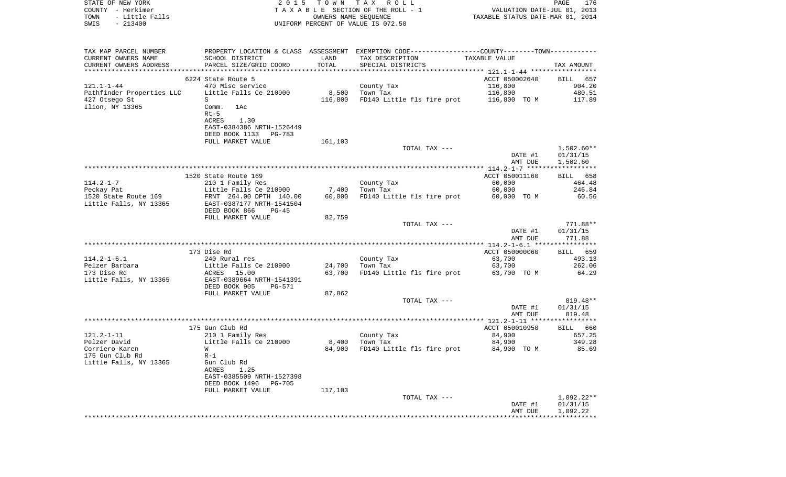| STATE OF NEW YORK<br>COUNTY - Herkimer<br>- Little Falls<br>TOWN<br>$-213400$<br>SWIS |                                                                                                |         | 2015 TOWN TAX ROLL<br>TAXABLE SECTION OF THE ROLL - 1<br>OWNERS NAME SEQUENCE<br>UNIFORM PERCENT OF VALUE IS 072.50 | VALUATION DATE-JUL 01, 2013<br>TAXABLE STATUS DATE-MAR 01, 2014 | PAGE<br>176          |
|---------------------------------------------------------------------------------------|------------------------------------------------------------------------------------------------|---------|---------------------------------------------------------------------------------------------------------------------|-----------------------------------------------------------------|----------------------|
| TAX MAP PARCEL NUMBER                                                                 | PROPERTY LOCATION & CLASS ASSESSMENT EXEMPTION CODE----------------COUNTY-------TOWN---------- |         |                                                                                                                     |                                                                 |                      |
| CURRENT OWNERS NAME                                                                   | SCHOOL DISTRICT                                                                                | LAND    | TAX DESCRIPTION                                                                                                     | TAXABLE VALUE                                                   |                      |
| CURRENT OWNERS ADDRESS                                                                | PARCEL SIZE/GRID COORD                                                                         | TOTAL   | SPECIAL DISTRICTS                                                                                                   |                                                                 | TAX AMOUNT           |
|                                                                                       | 6224 State Route 5                                                                             |         |                                                                                                                     | ACCT 050002640                                                  | BILL 657             |
| 121.1-1-44                                                                            | 470 Misc service                                                                               |         | County Tax                                                                                                          | 116,800                                                         | 904.20               |
| Pathfinder Properties LLC                                                             | Little Falls Ce 210900                                                                         |         | 8,500 Town Tax                                                                                                      | 116,800                                                         | 480.51               |
| 427 Otsego St                                                                         | S                                                                                              | 116,800 | FD140 Little fls fire prot 116,800 TO M                                                                             |                                                                 | 117.89               |
| Ilion, NY 13365                                                                       | Comm. 1Ac                                                                                      |         |                                                                                                                     |                                                                 |                      |
|                                                                                       | $Rt-5$<br>ACRES<br>1.30                                                                        |         |                                                                                                                     |                                                                 |                      |
|                                                                                       | EAST-0384386 NRTH-1526449                                                                      |         |                                                                                                                     |                                                                 |                      |
|                                                                                       | DEED BOOK 1133 PG-783                                                                          |         |                                                                                                                     |                                                                 |                      |
|                                                                                       | FULL MARKET VALUE                                                                              | 161,103 |                                                                                                                     |                                                                 |                      |
|                                                                                       |                                                                                                |         | TOTAL TAX ---                                                                                                       |                                                                 | 1,502.60**           |
|                                                                                       |                                                                                                |         |                                                                                                                     | DATE #1<br>AMT DUE                                              | 01/31/15<br>1,502.60 |
|                                                                                       |                                                                                                |         |                                                                                                                     |                                                                 |                      |
|                                                                                       | 1520 State Route 169                                                                           |         |                                                                                                                     | ACCT 050011160                                                  | BILL 658             |
| 114.2-1-7                                                                             | 210 1 Family Res                                                                               |         | County Tax                                                                                                          | 60,000                                                          | 464.48               |
| Peckay Pat                                                                            | Little Falls Ce 210900 7,400                                                                   |         | Town Tax                                                                                                            | 60,000                                                          | 246.84               |
| 1520 State Route 169<br>Little Falls, NY 13365                                        | FRNT 264.00 DPTH 140.00<br>EAST-0387177 NRTH-1541504                                           | 60,000  | FD140 Little fls fire prot 60,000 TO M                                                                              |                                                                 | 60.56                |
|                                                                                       | DEED BOOK 866<br>PG-45                                                                         |         |                                                                                                                     |                                                                 |                      |
|                                                                                       | FULL MARKET VALUE                                                                              | 82,759  |                                                                                                                     |                                                                 |                      |
|                                                                                       |                                                                                                |         | TOTAL TAX ---                                                                                                       |                                                                 | 771.88**             |
|                                                                                       |                                                                                                |         |                                                                                                                     | DATE #1<br>AMT DUE                                              | 01/31/15<br>771.88   |
|                                                                                       |                                                                                                |         |                                                                                                                     |                                                                 |                      |
|                                                                                       | 173 Dise Rd                                                                                    |         |                                                                                                                     | ACCT 050000060                                                  | BILL 659             |
| $114.2 - 1 - 6.1$                                                                     | 240 Rural res                                                                                  |         | County Tax                                                                                                          | 63,700                                                          | 493.13               |
| Pelzer Barbara                                                                        | Little Falls Ce 210900                                                                         | 24,700  | Town Tax                                                                                                            | 63,700                                                          | 262.06               |
| 173 Dise Rd<br>Little Falls, NY 13365                                                 | ACRES 15.00<br>EAST-0389664 NRTH-1541391                                                       | 63,700  | FD140 Little fls fire prot 63,700 TO M                                                                              |                                                                 | 64.29                |
|                                                                                       | DEED BOOK 905<br>PG-571                                                                        |         |                                                                                                                     |                                                                 |                      |
|                                                                                       | FULL MARKET VALUE                                                                              | 87,862  |                                                                                                                     |                                                                 |                      |
|                                                                                       |                                                                                                |         | TOTAL TAX ---                                                                                                       |                                                                 | 819.48**             |
|                                                                                       |                                                                                                |         |                                                                                                                     | DATE #1                                                         | 01/31/15             |
|                                                                                       |                                                                                                |         |                                                                                                                     | AMT DUE                                                         | 819.48               |
|                                                                                       | 175 Gun Club Rd                                                                                |         |                                                                                                                     | ACCT 050010950                                                  | BILL 660             |
| 121.2-1-11                                                                            | 210 1 Family Res                                                                               |         | County Tax                                                                                                          | 84,900                                                          | 657.25               |
| Pelzer David                                                                          | Little Falls Ce 210900                                                                         | 8,400   | Town Tax                                                                                                            | 84,900                                                          | 349.28               |
| Corriero Karen<br>175 Gun Club Rd                                                     | $W$ and $W$<br>$R-1$                                                                           |         | 84,900 FD140 Little fls fire prot 84,900 TO M                                                                       |                                                                 | 85.69                |
| Little Falls, NY 13365                                                                | Gun Club Rd                                                                                    |         |                                                                                                                     |                                                                 |                      |
|                                                                                       | 1.25<br>ACRES                                                                                  |         |                                                                                                                     |                                                                 |                      |
|                                                                                       | EAST-0385509 NRTH-1527398                                                                      |         |                                                                                                                     |                                                                 |                      |
|                                                                                       | DEED BOOK 1496<br>PG-705                                                                       |         |                                                                                                                     |                                                                 |                      |
|                                                                                       | FULL MARKET VALUE                                                                              | 117,103 | TOTAL TAX ---                                                                                                       |                                                                 | $1,092.22**$         |
|                                                                                       |                                                                                                |         |                                                                                                                     | DATE #1                                                         | 01/31/15             |
|                                                                                       |                                                                                                |         |                                                                                                                     | AMT DUE                                                         | 1,092.22             |
|                                                                                       |                                                                                                |         |                                                                                                                     |                                                                 |                      |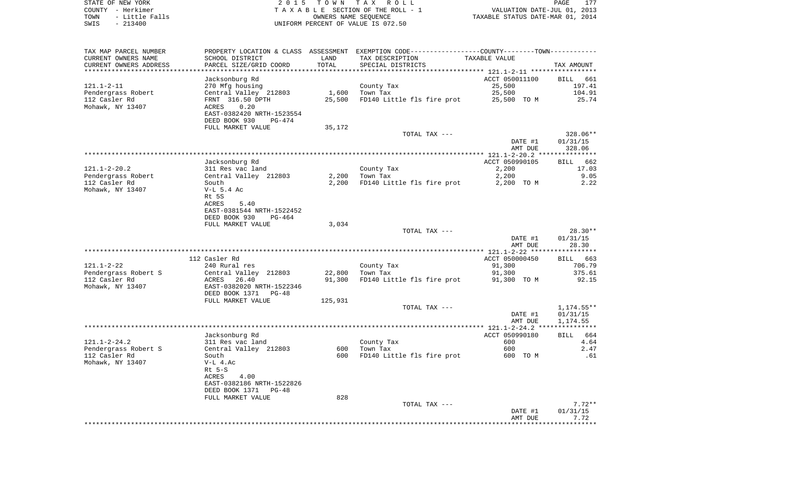| STATE OF NEW YORK      | 2015 TOWN TAX ROLL                 | PAGE                             |
|------------------------|------------------------------------|----------------------------------|
| COUNTY - Herkimer      | TAXABLE SECTION OF THE ROLL - 1    | VALUATION DATE-JUL 01, 2013      |
| - Little Falls<br>TOWN | OWNERS NAME SEOUENCE               | TAXABLE STATUS DATE-MAR 01, 2014 |
| SWIS<br>$-213400$      | UNIFORM PERCENT OF VALUE IS 072.50 |                                  |

| TAX MAP PARCEL NUMBER<br>CURRENT OWNERS NAME<br>CURRENT OWNERS ADDRESS | SCHOOL DISTRICT<br>PARCEL SIZE/GRID COORD                                                                  | LAND<br>TOTAL    | PROPERTY LOCATION & CLASS ASSESSMENT EXEMPTION CODE----------------COUNTY-------TOWN-----------<br>TAX DESCRIPTION<br>SPECIAL DISTRICTS | TAXABLE VALUE                | TAX AMOUNT                           |
|------------------------------------------------------------------------|------------------------------------------------------------------------------------------------------------|------------------|-----------------------------------------------------------------------------------------------------------------------------------------|------------------------------|--------------------------------------|
| 121.1-2-11                                                             | Jacksonburg Rd                                                                                             |                  |                                                                                                                                         | ACCT 050011100<br>25,500     | BILL 661<br>197.41                   |
| Pendergrass Robert<br>112 Casler Rd<br>Mohawk, NY 13407                | 270 Mfg housing<br>Central Valley 212803<br>FRNT 316.50 DPTH<br>0.20<br>ACRES<br>EAST-0382420 NRTH-1523554 | 1,600<br>25,500  | County Tax<br>Town Tax<br>FD140 Little fls fire prot                                                                                    | 25,500<br>25,500 TO M        | 104.91<br>25.74                      |
|                                                                        | DEED BOOK 930<br>PG-474<br>FULL MARKET VALUE                                                               | 35,172           |                                                                                                                                         |                              |                                      |
|                                                                        |                                                                                                            |                  | TOTAL TAX ---                                                                                                                           | DATE #1<br>AMT DUE           | 328.06**<br>01/31/15<br>328.06       |
|                                                                        |                                                                                                            |                  |                                                                                                                                         |                              |                                      |
| $121.1 - 2 - 20.2$                                                     | Jacksonburg Rd<br>311 Res vac land                                                                         |                  | County Tax                                                                                                                              | ACCT 050990105<br>2,200      | <b>BILL</b><br>662<br>17.03          |
| Pendergrass Robert<br>112 Casler Rd                                    | Central Valley 212803<br>South                                                                             | 2,200<br>2,200   | Town Tax<br>FD140 Little fls fire prot                                                                                                  | 2,200<br>2,200 TO M          | 9.05<br>2.22                         |
| Mohawk, NY 13407                                                       | $V-L$ 5.4 Ac<br>Rt 5S<br>ACRES<br>5.40<br>EAST-0381544 NRTH-1522452<br>DEED BOOK 930<br>PG-464             |                  |                                                                                                                                         |                              |                                      |
|                                                                        | FULL MARKET VALUE                                                                                          | 3,034            |                                                                                                                                         |                              |                                      |
|                                                                        |                                                                                                            |                  | TOTAL TAX ---                                                                                                                           | DATE #1<br>AMT DUE           | $28.30**$<br>01/31/15<br>28.30       |
|                                                                        |                                                                                                            |                  |                                                                                                                                         |                              |                                      |
| $121.1 - 2 - 22$                                                       | 112 Casler Rd<br>240 Rural res                                                                             |                  | County Tax                                                                                                                              | ACCT 050000450<br>91,300     | BILL 663<br>706.79                   |
| Pendergrass Robert S<br>112 Casler Rd<br>Mohawk, NY 13407              | Central Valley 212803<br>ACRES 26.40<br>EAST-0382020 NRTH-1522346                                          | 22,800<br>91,300 | Town Tax<br>FD140 Little fls fire prot                                                                                                  | 91,300<br>91,300 TO M        | 375.61<br>92.15                      |
|                                                                        | DEED BOOK 1371<br>PG-48<br>FULL MARKET VALUE                                                               | 125,931          |                                                                                                                                         |                              |                                      |
|                                                                        |                                                                                                            |                  | TOTAL TAX ---                                                                                                                           | DATE #1<br>AMT DUE           | $1,174.55**$<br>01/31/15<br>1,174.55 |
|                                                                        |                                                                                                            |                  |                                                                                                                                         |                              |                                      |
| $121.1 - 2 - 24.2$<br>Pendergrass Robert S                             | Jacksonburg Rd<br>311 Res vac land<br>Central Valley 212803                                                | 600              | County Tax<br>Town Tax                                                                                                                  | ACCT 050990180<br>600<br>600 | 664<br><b>BILL</b><br>4.64<br>2.47   |
| 112 Casler Rd<br>Mohawk, NY 13407                                      | South<br>$V-L$ 4.Ac<br>$Rt$ 5-S<br>4.00<br>ACRES<br>EAST-0382186 NRTH-1522826<br>DEED BOOK 1371<br>PG-48   | 600              | FD140 Little fls fire prot                                                                                                              | 600 TO M                     | .61                                  |
|                                                                        | FULL MARKET VALUE                                                                                          | 828              | TOTAL TAX ---                                                                                                                           | DATE #1                      | $7.72**$<br>01/31/15                 |
|                                                                        |                                                                                                            |                  |                                                                                                                                         | AMT DUE                      | 7.72                                 |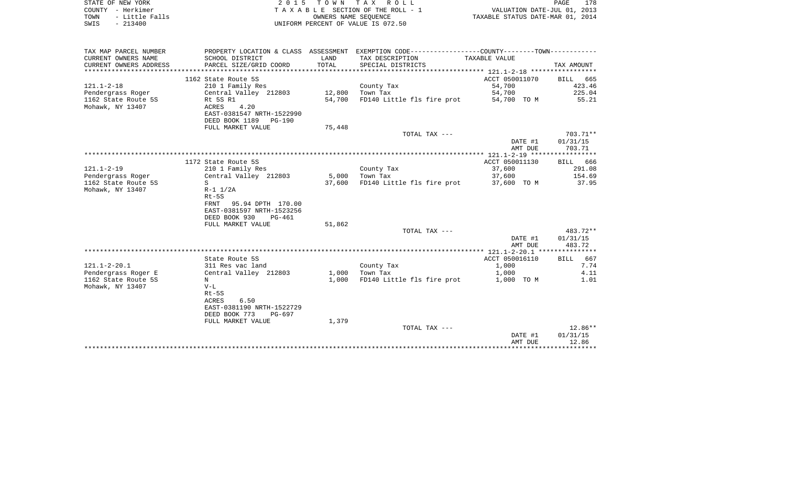| STATE OF NEW YORK                                                                                                                                                                                                              | 2015                      |            | TOWN TAX ROLL                      |                                                             | PAGE                        | 178 |
|--------------------------------------------------------------------------------------------------------------------------------------------------------------------------------------------------------------------------------|---------------------------|------------|------------------------------------|-------------------------------------------------------------|-----------------------------|-----|
| - Herkimer<br>COUNTY                                                                                                                                                                                                           |                           |            | TAXABLE SECTION OF THE ROLL - 1    |                                                             | VALUATION DATE-JUL 01, 2013 |     |
| - Little Falls<br>TOWN                                                                                                                                                                                                         |                           |            | OWNERS NAME SEOUENCE               | TAXABLE STATUS DATE-MAR 01, 2014                            |                             |     |
| SWIS<br>$-213400$                                                                                                                                                                                                              |                           |            | UNIFORM PERCENT OF VALUE IS 072.50 |                                                             |                             |     |
|                                                                                                                                                                                                                                |                           |            |                                    |                                                             |                             |     |
|                                                                                                                                                                                                                                |                           |            |                                    |                                                             |                             |     |
| TAX MAP PARCEL NUMBER                                                                                                                                                                                                          | PROPERTY LOCATION & CLASS | ASSESSMENT |                                    | EXEMPTION CODE-----------------COUNTY-------TOWN----------- |                             |     |
| CURRENT OWNERS NAME                                                                                                                                                                                                            | SCHOOL DISTRICT           | LAND       | TAX DESCRIPTION                    | TAXABLE VALUE                                               |                             |     |
| CURRENT OWNERS ADDRESS                                                                                                                                                                                                         | PARCEL SIZE/GRID COORD    | TOTAL      | SPECIAL DISTRICTS                  |                                                             | TAX AMOUNT                  |     |
| the think the think the think the think the think the think the think the think the think the think the think the think the think the think the think the think the think the the think the the theory and the think the theor |                           |            |                                    |                                                             |                             |     |

|                     |                           |        |                            | $121.1 - 2 - 18$ ***************** |                    |
|---------------------|---------------------------|--------|----------------------------|------------------------------------|--------------------|
|                     | 1162 State Route 5S       |        |                            | ACCT 050011070                     | <b>BILL</b><br>665 |
| $121.1 - 2 - 18$    | 210 1 Family Res          |        | County Tax                 | 54,700                             | 423.46             |
| Pendergrass Roger   | Central Valley 212803     | 12,800 | Town Tax                   | 54,700                             | 225.04             |
| 1162 State Route 5S | Rt 5S R1                  | 54,700 | FD140 Little fls fire prot | 54,700 TO M                        | 55.21              |
| Mohawk, NY 13407    | <b>ACRES</b><br>4.20      |        |                            |                                    |                    |
|                     | EAST-0381547 NRTH-1522990 |        |                            |                                    |                    |
|                     | DEED BOOK 1189<br>PG-190  |        |                            |                                    |                    |
|                     | FULL MARKET VALUE         | 75,448 |                            |                                    |                    |
|                     |                           |        | TOTAL TAX ---              |                                    | $703.71**$         |
|                     |                           |        |                            | DATE #1                            | 01/31/15           |
|                     |                           |        |                            | AMT DUE                            | 703.71             |
|                     |                           |        |                            |                                    |                    |
|                     | 1172 State Route 5S       |        |                            | ACCT 050011130                     | BILL 666           |
| $121.1 - 2 - 19$    | 210 1 Family Res          |        | County Tax                 | 37,600                             | 291.08             |
| Pendergrass Roger   | Central Valley 212803     | 5,000  | Town Tax                   | 37,600                             | 154.69             |
| 1162 State Route 5S | S                         | 37,600 | FD140 Little fls fire prot | 37,600 TO M                        | 37.95              |
| Mohawk, NY 13407    | $R-1$ $1/2A$              |        |                            |                                    |                    |
|                     | $Rt-5S$                   |        |                            |                                    |                    |
|                     | 95.94 DPTH 170.00<br>FRNT |        |                            |                                    |                    |
|                     | EAST-0381597 NRTH-1523256 |        |                            |                                    |                    |
|                     | DEED BOOK 930<br>$PG-461$ |        |                            |                                    |                    |
|                     | FULL MARKET VALUE         | 51,862 |                            |                                    |                    |
|                     |                           |        | TOTAL TAX ---              |                                    | 483.72**           |
|                     |                           |        |                            | DATE #1                            | 01/31/15           |
|                     |                           |        |                            | AMT DUE                            | 483.72             |
|                     |                           |        |                            |                                    |                    |
|                     | State Route 5S            |        |                            | ACCT 050016110                     | <b>BILL</b><br>667 |
| $121.1 - 2 - 20.1$  | 311 Res vac land          |        | County Tax                 | 1,000                              | 7.74               |
| Pendergrass Roger E | Central Valley 212803     | 1,000  | Town Tax                   | 1,000                              | 4.11               |
| 1162 State Route 5S | $_{\rm N}$                | 1,000  | FD140 Little fls fire prot | 1,000 TO M                         | 1.01               |
| Mohawk, NY 13407    | $V-L$                     |        |                            |                                    |                    |
|                     | $Rt-5S$                   |        |                            |                                    |                    |
|                     | 6.50<br>ACRES             |        |                            |                                    |                    |
|                     | EAST-0381190 NRTH-1522729 |        |                            |                                    |                    |
|                     | DEED BOOK 773<br>PG-697   |        |                            |                                    |                    |
|                     | FULL MARKET VALUE         | 1,379  |                            |                                    |                    |
|                     |                           |        | TOTAL TAX ---              |                                    | $12.86**$          |
|                     |                           |        |                            | DATE #1                            | 01/31/15           |
|                     |                           |        |                            | AMT DUE                            | 12.86              |
|                     |                           |        |                            |                                    |                    |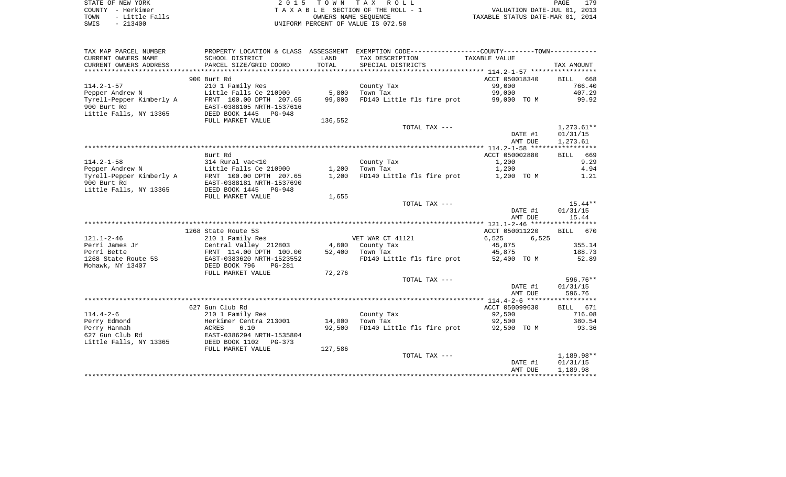| STATE OF NEW YORK |  |           |                |  |
|-------------------|--|-----------|----------------|--|
| COUNTY - Herkimer |  |           |                |  |
| TOWN              |  |           | - Little Falls |  |
| SWIS              |  | $-213400$ |                |  |

STATE OF NEW YORK 2 0 1 5 T O W N T A X R O L L PAGE 179TA X A B L E SECTION OF THE ROLL - 1 TOWN - Little Falls OWNERS NAME SEQUENCE TAXABLE STATUS DATE-MAR 01, 2014 SWIS - 213400 UNIFORM PERCENT OF VALUE IS 072.50

| TAX MAP PARCEL NUMBER    |                                 |         | PROPERTY LOCATION & CLASS ASSESSMENT EXEMPTION CODE----------------COUNTY-------TOWN---------- |                |                    |
|--------------------------|---------------------------------|---------|------------------------------------------------------------------------------------------------|----------------|--------------------|
| CURRENT OWNERS NAME      | SCHOOL DISTRICT                 | LAND    | TAX DESCRIPTION                                                                                | TAXABLE VALUE  |                    |
| CURRENT OWNERS ADDRESS   | PARCEL SIZE/GRID COORD          | TOTAL   | SPECIAL DISTRICTS                                                                              |                | TAX AMOUNT         |
| ***********************  | ***************************     |         |                                                                                                |                |                    |
|                          | 900 Burt Rd                     |         |                                                                                                | ACCT 050018340 | 668<br><b>BILL</b> |
| $114.2 - 1 - 57$         | 210 1 Family Res                |         | County Tax                                                                                     | 99,000         | 766.40             |
| Pepper Andrew N          | Little Falls Ce 210900          | 5,800   | Town Tax                                                                                       | 99,000         | 407.29             |
| Tyrell-Pepper Kimberly A | FRNT 100.00 DPTH 207.65         | 99,000  | FD140 Little fls fire prot                                                                     | 99,000 TO M    | 99.92              |
| 900 Burt Rd              | EAST-0388105 NRTH-1537616       |         |                                                                                                |                |                    |
| Little Falls, NY 13365   | DEED BOOK 1445<br><b>PG-948</b> |         |                                                                                                |                |                    |
|                          | FULL MARKET VALUE               | 136,552 |                                                                                                |                |                    |
|                          |                                 |         | TOTAL TAX ---                                                                                  |                | $1,273.61**$       |
|                          |                                 |         |                                                                                                | DATE #1        | 01/31/15           |
|                          |                                 |         |                                                                                                | AMT DUE        | 1,273.61           |
|                          |                                 |         |                                                                                                |                |                    |
|                          | Burt Rd                         |         |                                                                                                | ACCT 050002880 | BILL 669           |
| $114.2 - 1 - 58$         | 314 Rural vac<10                |         | County Tax                                                                                     | 1,200          | 9.29               |
| Pepper Andrew N          | Little Falls Ce 210900          | 1,200   | Town Tax                                                                                       | 1,200          | 4.94               |
| Tyrell-Pepper Kimberly A | FRNT 100.00 DPTH 207.65         | 1,200   | FD140 Little fls fire prot                                                                     | 1,200 TO M     | 1.21               |
| 900 Burt Rd              | EAST-0388181 NRTH-1537690       |         |                                                                                                |                |                    |
| Little Falls, NY 13365   | DEED BOOK 1445 PG-948           |         |                                                                                                |                |                    |
|                          | FULL MARKET VALUE               | 1,655   |                                                                                                |                |                    |
|                          |                                 |         | TOTAL TAX ---                                                                                  |                | $15.44**$          |
|                          |                                 |         |                                                                                                | DATE #1        | 01/31/15           |
|                          |                                 |         |                                                                                                | AMT DUE        | 15.44              |
|                          |                                 |         |                                                                                                |                |                    |
|                          | 1268 State Route 5S             |         |                                                                                                | ACCT 050011220 | BILL 670           |
| $121.1 - 2 - 46$         | 210 1 Family Res                |         | VET WAR CT 41121                                                                               | 6,525<br>6,525 |                    |
| Perri James Jr           | Central Valley 212803           |         | 4,600 County Tax                                                                               | 45,875         | 355.14             |
| Perri Bette              | FRNT 114.00 DPTH 100.00         | 52,400  | Town Tax                                                                                       | 45,875         | 188.73             |
| 1268 State Route 5S      | EAST-0383620 NRTH-1523552       |         | FD140 Little fls fire prot                                                                     | 52,400 TO M    | 52.89              |
| Mohawk, NY 13407         | DEED BOOK 796<br>$PG-281$       |         |                                                                                                |                |                    |
|                          | FULL MARKET VALUE               | 72,276  |                                                                                                |                |                    |
|                          |                                 |         | TOTAL TAX ---                                                                                  |                | 596.76**           |
|                          |                                 |         |                                                                                                | DATE #1        | 01/31/15           |
|                          |                                 |         |                                                                                                | AMT DUE        | 596.76             |
|                          |                                 |         |                                                                                                |                |                    |
|                          | 627 Gun Club Rd                 |         |                                                                                                | ACCT 050099630 | BILL 671           |
| $114.4 - 2 - 6$          | 210 1 Family Res                |         | County Tax                                                                                     | 92,500         | 716.08             |
| Perry Edmond             | Herkimer Centra 213001          | 14,000  | Town Tax                                                                                       | 92,500         | 380.54             |
| Perry Hannah             | 6.10<br>ACRES                   | 92,500  | FD140 Little fls fire prot                                                                     | 92,500 TO M    | 93.36              |
| 627 Gun Club Rd          | EAST-0386294 NRTH-1535804       |         |                                                                                                |                |                    |
| Little Falls, NY 13365   | DEED BOOK 1102<br>PG-373        |         |                                                                                                |                |                    |
|                          | FULL MARKET VALUE               | 127,586 |                                                                                                |                |                    |
|                          |                                 |         | TOTAL TAX ---                                                                                  |                | 1,189.98**         |
|                          |                                 |         |                                                                                                | DATE #1        | 01/31/15           |
|                          |                                 |         |                                                                                                | AMT DUE        | 1,189.98           |
|                          |                                 |         |                                                                                                |                |                    |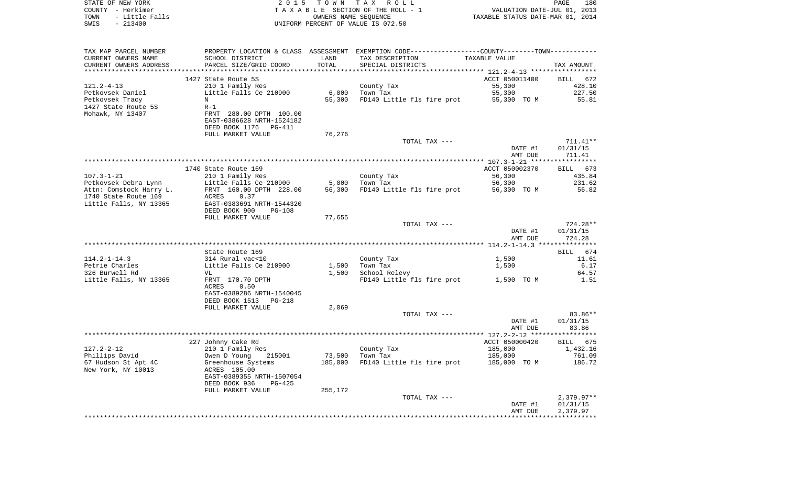| STATE OF NEW YORK<br>COUNTY - Herkimer<br>- Little Falls<br>TOWN<br>$-213400$<br>SWIS | 2 0 1 5                                              | OWNERS NAME SEQUENCE | TOWN TAX ROLL<br>TAXABLE SECTION OF THE ROLL - 1<br>UNIFORM PERCENT OF VALUE IS 072.50        | VALUATION DATE-JUL 01, 2013<br>TAXABLE STATUS DATE-MAR 01, 2014 | PAGE<br>180       |
|---------------------------------------------------------------------------------------|------------------------------------------------------|----------------------|-----------------------------------------------------------------------------------------------|-----------------------------------------------------------------|-------------------|
|                                                                                       |                                                      |                      |                                                                                               |                                                                 |                   |
| TAX MAP PARCEL NUMBER                                                                 |                                                      |                      | PROPERTY LOCATION & CLASS ASSESSMENT EXEMPTION CODE---------------COUNTY-------TOWN---------- |                                                                 |                   |
| CURRENT OWNERS NAME                                                                   | SCHOOL DISTRICT                                      | LAND                 | TAX DESCRIPTION                                                                               | TAXABLE VALUE                                                   |                   |
| CURRENT OWNERS ADDRESS                                                                | PARCEL SIZE/GRID COORD                               | TOTAL                | SPECIAL DISTRICTS                                                                             |                                                                 | TAX AMOUNT        |
| **********************                                                                |                                                      |                      |                                                                                               |                                                                 |                   |
|                                                                                       | 1427 State Route 5S                                  |                      |                                                                                               | ACCT 050011400                                                  | BILL<br>672       |
| $121.2 - 4 - 13$                                                                      | 210 1 Family Res                                     |                      | County Tax                                                                                    | 55,300                                                          | 428.10<br>227.50  |
| Petkovsek Daniel<br>Petkovsek Tracy                                                   | Little Falls Ce 210900<br>Ν                          | 6,000<br>55,300      | Town Tax<br>FD140 Little fls fire prot                                                        | 55,300<br>55,300 TO M                                           | 55.81             |
| 1427 State Route 5S                                                                   | $R-1$                                                |                      |                                                                                               |                                                                 |                   |
| Mohawk, NY 13407                                                                      | FRNT 280.00 DPTH 100.00                              |                      |                                                                                               |                                                                 |                   |
|                                                                                       | EAST-0386628 NRTH-1524182                            |                      |                                                                                               |                                                                 |                   |
|                                                                                       | DEED BOOK 1176<br>PG-411                             |                      |                                                                                               |                                                                 |                   |
|                                                                                       | FULL MARKET VALUE                                    | 76,276               |                                                                                               |                                                                 |                   |
|                                                                                       |                                                      |                      | TOTAL TAX ---                                                                                 |                                                                 | 711.41**          |
|                                                                                       |                                                      |                      |                                                                                               | DATE #1                                                         | 01/31/15          |
|                                                                                       |                                                      |                      |                                                                                               | AMT DUE                                                         | 711.41            |
|                                                                                       | 1740 State Route 169                                 |                      |                                                                                               | ACCT 050002370                                                  | 673<br>BILL       |
| $107.3 - 1 - 21$                                                                      | 210 1 Family Res                                     |                      | County Tax                                                                                    | 56,300                                                          | 435.84            |
| Petkovsek Debra Lynn                                                                  | Little Falls Ce 210900                               | 5,000                | Town Tax                                                                                      | 56,300                                                          | 231.62            |
| Attn: Comstock Harry L.                                                               | FRNT 160.00 DPTH 228.00                              | 56,300               | FD140 Little fls fire prot                                                                    | 56,300 TO M                                                     | 56.82             |
| 1740 State Route 169                                                                  | ACRES<br>0.37                                        |                      |                                                                                               |                                                                 |                   |
| Little Falls, NY 13365                                                                | EAST-0383691 NRTH-1544320                            |                      |                                                                                               |                                                                 |                   |
|                                                                                       | DEED BOOK 900<br>PG-108<br>FULL MARKET VALUE         | 77,655               |                                                                                               |                                                                 |                   |
|                                                                                       |                                                      |                      | TOTAL TAX ---                                                                                 |                                                                 | 724.28**          |
|                                                                                       |                                                      |                      |                                                                                               | DATE #1                                                         | 01/31/15          |
|                                                                                       |                                                      |                      |                                                                                               | AMT DUE                                                         | 724.28            |
|                                                                                       |                                                      |                      |                                                                                               |                                                                 |                   |
|                                                                                       | State Route 169                                      |                      |                                                                                               |                                                                 | 674<br>BILL       |
| $114.2 - 1 - 14.3$                                                                    | 314 Rural vac<10                                     |                      | County Tax                                                                                    | 1,500                                                           | 11.61             |
| Petrie Charles<br>326 Burwell Rd                                                      | Little Falls Ce 210900<br>VL                         | 1,500<br>1,500       | Town Tax<br>School Relevy                                                                     | 1,500                                                           | 6.17<br>64.57     |
| Little Falls, NY 13365                                                                | FRNT 170.70 DPTH                                     |                      | FD140 Little fls fire prot                                                                    | 1,500 TO M                                                      | 1.51              |
|                                                                                       | ACRES<br>0.50                                        |                      |                                                                                               |                                                                 |                   |
|                                                                                       | EAST-0389286 NRTH-1540045                            |                      |                                                                                               |                                                                 |                   |
|                                                                                       | DEED BOOK 1513<br>PG-218                             |                      |                                                                                               |                                                                 |                   |
|                                                                                       | FULL MARKET VALUE                                    | 2,069                |                                                                                               |                                                                 |                   |
|                                                                                       |                                                      |                      | TOTAL TAX ---                                                                                 |                                                                 | 83.86**           |
|                                                                                       |                                                      |                      |                                                                                               | DATE #1<br>AMT DUE                                              | 01/31/15<br>83.86 |
|                                                                                       |                                                      |                      |                                                                                               |                                                                 |                   |
|                                                                                       | 227 Johnny Cake Rd                                   |                      |                                                                                               | ACCT 050000420                                                  | 675<br>BILL       |
| $127.2 - 2 - 12$                                                                      | 210 1 Family Res                                     |                      | County Tax                                                                                    | 185,000                                                         | 1,432.16          |
| Phillips David                                                                        | Owen D Young<br>215001                               | 73,500               | Town Tax                                                                                      | 185,000                                                         | 761.09            |
| 67 Hudson St Apt 4C                                                                   | Greenhouse Systems                                   | 185,000              | FD140 Little fls fire prot                                                                    | 185,000 TO M                                                    | 186.72            |
| New York, NY 10013                                                                    | ACRES 105.00                                         |                      |                                                                                               |                                                                 |                   |
|                                                                                       | EAST-0389355 NRTH-1507054<br>DEED BOOK 936<br>PG-425 |                      |                                                                                               |                                                                 |                   |
|                                                                                       | FULL MARKET VALUE                                    | 255,172              |                                                                                               |                                                                 |                   |
|                                                                                       |                                                      |                      | TOTAL TAX ---                                                                                 |                                                                 | $2,379.97**$      |
|                                                                                       |                                                      |                      |                                                                                               | DATE #1                                                         | 01/31/15          |
|                                                                                       |                                                      |                      |                                                                                               | AMT DUE                                                         | 2,379.97          |
|                                                                                       |                                                      |                      |                                                                                               |                                                                 |                   |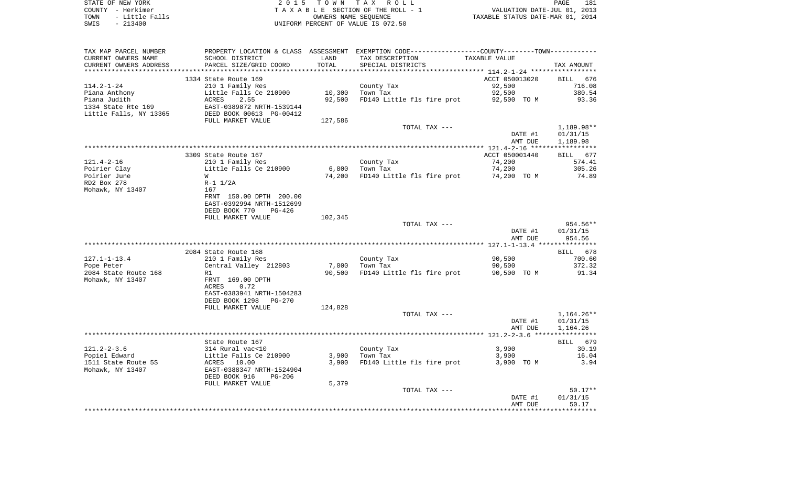|      | STATE OF NEW YORK | 2015 TOWN TAX ROLL                 | 181<br>PAGE                      |
|------|-------------------|------------------------------------|----------------------------------|
|      | COUNTY - Herkimer | TAXABLE SECTION OF THE ROLL - 1    | VALUATION DATE-JUL 01, 2013      |
| TOWN | - Little Falls    | OWNERS NAME SEOUENCE               | TAXABLE STATUS DATE-MAR 01, 2014 |
| SWIS | $-213400$         | UNIFORM PERCENT OF VALUE IS 072.50 |                                  |

| TAX MAP PARCEL NUMBER  |                                 |         | PROPERTY LOCATION & CLASS ASSESSMENT EXEMPTION CODE---------------COUNTY-------TOWN---------- |                      |              |
|------------------------|---------------------------------|---------|-----------------------------------------------------------------------------------------------|----------------------|--------------|
| CURRENT OWNERS NAME    | SCHOOL DISTRICT                 | LAND    | TAX DESCRIPTION                                                                               | <b>TAXABLE VALUE</b> |              |
| CURRENT OWNERS ADDRESS | PARCEL SIZE/GRID COORD          | TOTAL   | SPECIAL DISTRICTS                                                                             |                      | TAX AMOUNT   |
|                        |                                 |         |                                                                                               |                      |              |
|                        | 1334 State Route 169            |         |                                                                                               | ACCT 050013020       | 676<br>BILL  |
| $114.2 - 1 - 24$       | 210 1 Family Res                |         | County Tax                                                                                    | 92,500               | 716.08       |
| Piana Anthony          | Little Falls Ce 210900          | 10,300  | Town Tax                                                                                      | 92,500               | 380.54       |
| Piana Judith           | ACRES<br>2.55                   | 92,500  | FD140 Little fls fire prot                                                                    | 92,500 TO M          | 93.36        |
| 1334 State Rte 169     | EAST-0389872 NRTH-1539144       |         |                                                                                               |                      |              |
| Little Falls, NY 13365 | DEED BOOK 00613 PG-00412        |         |                                                                                               |                      |              |
|                        | FULL MARKET VALUE               | 127,586 |                                                                                               |                      |              |
|                        |                                 |         | TOTAL TAX ---                                                                                 |                      | 1,189.98**   |
|                        |                                 |         |                                                                                               | DATE #1              | 01/31/15     |
|                        |                                 |         |                                                                                               | AMT DUE              | 1,189.98     |
|                        |                                 |         |                                                                                               |                      |              |
|                        | 3309 State Route 167            |         |                                                                                               | ACCT 050001440       | BILL<br>677  |
| $121.4 - 2 - 16$       | 210 1 Family Res                |         | County Tax                                                                                    | 74,200               | 574.41       |
| Poirier Clay           | Little Falls Ce 210900          | 6,800   | Town Tax                                                                                      | 74,200               | 305.26       |
| Poirier June           | W                               | 74,200  | FD140 Little fls fire prot                                                                    | 74,200 TO M          | 74.89        |
| RD2 Box 278            | $R-1$ $1/2A$                    |         |                                                                                               |                      |              |
| Mohawk, NY 13407       | 167                             |         |                                                                                               |                      |              |
|                        | FRNT 150.00 DPTH 200.00         |         |                                                                                               |                      |              |
|                        |                                 |         |                                                                                               |                      |              |
|                        | EAST-0392994 NRTH-1512699       |         |                                                                                               |                      |              |
|                        | DEED BOOK 770<br>PG-426         |         |                                                                                               |                      |              |
|                        | FULL MARKET VALUE               | 102,345 |                                                                                               |                      |              |
|                        |                                 |         | TOTAL TAX ---                                                                                 |                      | 954.56**     |
|                        |                                 |         |                                                                                               | DATE #1              | 01/31/15     |
|                        |                                 |         |                                                                                               | AMT DUE              | 954.56       |
|                        |                                 |         |                                                                                               |                      |              |
|                        | 2084 State Route 168            |         |                                                                                               |                      | 678<br>BILL  |
| $127.1 - 1 - 13.4$     | 210 1 Family Res                |         | County Tax                                                                                    | 90,500               | 700.60       |
| Pope Peter             | Central Valley 212803           | 7,000   | Town Tax                                                                                      | 90,500               | 372.32       |
| 2084 State Route 168   | R1                              | 90,500  | FD140 Little fls fire prot                                                                    | 90,500 TO M          | 91.34        |
| Mohawk, NY 13407       | FRNT 169.00 DPTH                |         |                                                                                               |                      |              |
|                        | <b>ACRES</b><br>0.72            |         |                                                                                               |                      |              |
|                        | EAST-0383941 NRTH-1504283       |         |                                                                                               |                      |              |
|                        | DEED BOOK 1298<br><b>PG-270</b> |         |                                                                                               |                      |              |
|                        | FULL MARKET VALUE               | 124,828 |                                                                                               |                      |              |
|                        |                                 |         | TOTAL TAX ---                                                                                 |                      | $1,164.26**$ |
|                        |                                 |         |                                                                                               | DATE #1              | 01/31/15     |
|                        |                                 |         |                                                                                               | AMT DUE              | 1,164.26     |
|                        |                                 |         |                                                                                               |                      |              |
|                        | State Route 167                 |         |                                                                                               |                      | BILL 679     |
| $121.2 - 2 - 3.6$      | 314 Rural vac<10                |         | County Tax                                                                                    | 3,900                | 30.19        |
| Popiel Edward          | Little Falls Ce 210900          | 3,900   | Town Tax                                                                                      | 3,900                | 16.04        |
| 1511 State Route 5S    | ACRES 10.00                     | 3,900   | FD140 Little fls fire prot                                                                    | 3,900 TO M           | 3.94         |
| Mohawk, NY 13407       | EAST-0388347 NRTH-1524904       |         |                                                                                               |                      |              |
|                        | DEED BOOK 916<br><b>PG-206</b>  |         |                                                                                               |                      |              |
|                        | FULL MARKET VALUE               | 5,379   |                                                                                               |                      |              |
|                        |                                 |         | TOTAL TAX ---                                                                                 |                      | $50.17**$    |
|                        |                                 |         |                                                                                               | DATE #1              | 01/31/15     |
|                        |                                 |         |                                                                                               | AMT DUE              | 50.17        |
|                        |                                 |         |                                                                                               |                      |              |
|                        |                                 |         |                                                                                               |                      |              |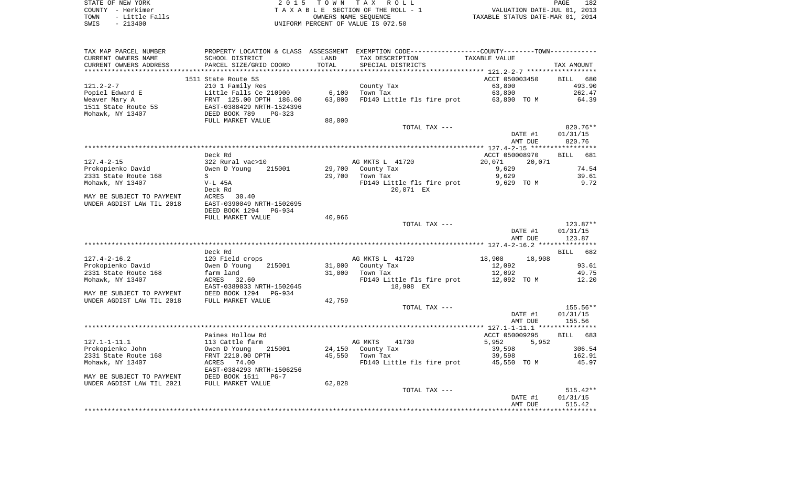STATE OF NEW YORK **EXECUTE:**  $2015$  TOWN TAX ROLL

COUNTY - Herkimer<br>
T A X A B L E SECTION OF THE ROLL - 1<br>
T A X A B L E SECTION OF THE ROLL - 1<br>
OWNERS NAME SEQUENCE<br>
SWIS - 213400<br>
OWNERS NAME SEQUENCE TOWN - Little Falls OWNERS NAME SEQUENCE TAXABLE STATUS DATE-MAR 01, 2014 SWIS - 213400 UNIFORM PERCENT OF VALUE IS 072.50

| TAX MAP PARCEL NUMBER     | PROPERTY LOCATION & CLASS ASSESSMENT |                        | EXEMPTION CODE-----------------COUNTY-------TOWN----------- |                                                   |                    |
|---------------------------|--------------------------------------|------------------------|-------------------------------------------------------------|---------------------------------------------------|--------------------|
| CURRENT OWNERS NAME       | SCHOOL DISTRICT                      | LAND                   | TAX DESCRIPTION                                             | TAXABLE VALUE                                     |                    |
| CURRENT OWNERS ADDRESS    | PARCEL SIZE/GRID COORD               | TOTAL                  | SPECIAL DISTRICTS                                           |                                                   | TAX AMOUNT         |
|                           |                                      | ********************** |                                                             | ******************* 121.2-2-7 ******************* |                    |
|                           | 1511 State Route 5S                  |                        |                                                             | ACCT 050003450                                    | BILL 680           |
| $121.2 - 2 - 7$           | 210 1 Family Res                     |                        | County Tax                                                  | 63,800                                            | 493.90             |
| Popiel Edward E           | Little Falls Ce 210900               | 6,100                  | Town Tax                                                    | 63,800                                            | 262.47             |
| Weaver Mary A             | FRNT 125.00 DPTH 186.00              | 63,800                 | FD140 Little fls fire prot                                  | 63,800 TO M                                       | 64.39              |
| 1511 State Route 5S       | EAST-0388429 NRTH-1524396            |                        |                                                             |                                                   |                    |
| Mohawk, NY 13407          | DEED BOOK 789<br>$PG-323$            |                        |                                                             |                                                   |                    |
|                           |                                      |                        |                                                             |                                                   |                    |
|                           | FULL MARKET VALUE                    | 88,000                 |                                                             |                                                   |                    |
|                           |                                      |                        | TOTAL TAX ---                                               |                                                   | 820.76**           |
|                           |                                      |                        |                                                             | DATE #1                                           | 01/31/15           |
|                           |                                      |                        |                                                             | AMT DUE                                           | 820.76             |
|                           |                                      |                        |                                                             |                                                   |                    |
|                           | Deck Rd                              |                        |                                                             | ACCT 050008970                                    | BILL 681           |
| $127.4 - 2 - 15$          | 322 Rural vac>10                     |                        | AG MKTS L 41720                                             | 20,071<br>20,071                                  |                    |
| Prokopienko David         | Owen D Young<br>215001               | 29,700                 | County Tax                                                  | 9,629                                             | 74.54              |
| 2331 State Route 168      | S                                    | 29,700                 | Town Tax                                                    | 9,629                                             | 39.61              |
| Mohawk, NY 13407          | V-L 45A                              |                        | FD140 Little fls fire prot                                  | 9,629 TO M                                        | 9.72               |
|                           | Deck Rd                              |                        | 20,071 EX                                                   |                                                   |                    |
| MAY BE SUBJECT TO PAYMENT | ACRES<br>30.40                       |                        |                                                             |                                                   |                    |
| UNDER AGDIST LAW TIL 2018 | EAST-0390049 NRTH-1502695            |                        |                                                             |                                                   |                    |
|                           | DEED BOOK 1294<br>PG-934             |                        |                                                             |                                                   |                    |
|                           | FULL MARKET VALUE                    | 40,966                 |                                                             |                                                   |                    |
|                           |                                      |                        | TOTAL TAX ---                                               |                                                   | $123.87**$         |
|                           |                                      |                        |                                                             |                                                   | 01/31/15           |
|                           |                                      |                        |                                                             | DATE #1                                           |                    |
|                           |                                      |                        |                                                             | AMT DUE                                           | 123.87             |
|                           |                                      |                        |                                                             |                                                   |                    |
|                           | Deck Rd                              |                        |                                                             |                                                   | BILL 682           |
| $127.4 - 2 - 16.2$        | 120 Field crops                      |                        | AG MKTS L 41720                                             | 18,908<br>18,908                                  |                    |
| Prokopienko David         | 215001<br>Owen D Young               | 31,000                 | County Tax                                                  | 12,092                                            | 93.61              |
| 2331 State Route 168      | farm land                            | 31,000                 | Town Tax                                                    | 12,092                                            | 49.75              |
| Mohawk, NY 13407          | ACRES 32.60                          |                        | FD140 Little fls fire prot                                  | 12,092 TO M                                       | 12.20              |
|                           | EAST-0389033 NRTH-1502645            |                        | 18,908 EX                                                   |                                                   |                    |
| MAY BE SUBJECT TO PAYMENT | DEED BOOK 1294<br>$PG-934$           |                        |                                                             |                                                   |                    |
| UNDER AGDIST LAW TIL 2018 | FULL MARKET VALUE                    | 42,759                 |                                                             |                                                   |                    |
|                           |                                      |                        | TOTAL TAX ---                                               |                                                   | 155.56**           |
|                           |                                      |                        |                                                             | DATE #1                                           | 01/31/15           |
|                           |                                      |                        |                                                             | AMT DUE                                           | 155.56             |
|                           |                                      |                        |                                                             |                                                   |                    |
|                           | Paines Hollow Rd                     |                        |                                                             | ACCT 050009295                                    | <b>BILL</b><br>683 |
| $127.1 - 1 - 11.1$        | 113 Cattle farm                      |                        | AG MKTS<br>41730                                            | 5,952<br>5,952                                    |                    |
| Prokopienko John          | Owen D Young<br>215001               |                        | 24,150 County Tax                                           | 39,598                                            | 306.54             |
| 2331 State Route 168      | FRNT 2210.00 DPTH                    | 45,550                 | Town Tax                                                    | 39,598                                            | 162.91             |
|                           |                                      |                        |                                                             |                                                   |                    |
| Mohawk, NY 13407          | ACRES 74.00                          |                        | FD140 Little fls fire prot 45,550 TO M                      |                                                   | 45.97              |
|                           | EAST-0384293 NRTH-1506256            |                        |                                                             |                                                   |                    |
| MAY BE SUBJECT TO PAYMENT | DEED BOOK 1511<br>$PG-7$             |                        |                                                             |                                                   |                    |
| UNDER AGDIST LAW TIL 2021 | FULL MARKET VALUE                    | 62,828                 |                                                             |                                                   |                    |
|                           |                                      |                        | TOTAL TAX ---                                               |                                                   | $515.42**$         |
|                           |                                      |                        |                                                             | DATE #1                                           | 01/31/15           |
|                           |                                      |                        |                                                             | AMT DUE                                           | 515.42             |
|                           |                                      |                        |                                                             |                                                   |                    |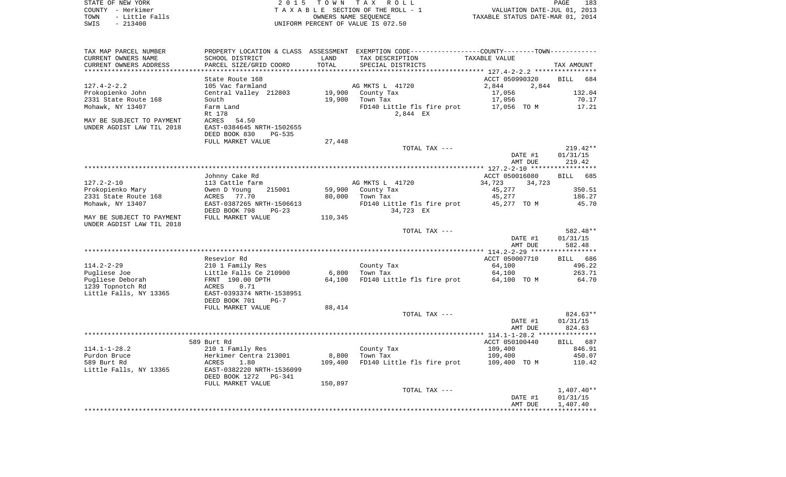STATE OF NEW YORK 2 0 1 5 T O W N T A X R O L L PAGE 183COUNTY - Herkimer **T A X A B L E** SECTION OF THE ROLL - 1 VALUATION DATE-JUL 01, 2013 TOWN - Little Falls OWNERS NAME SEQUENCE TAXABLE STATUS DATE-MAR 01, 2014 SWIS - 213400 UNIFORM PERCENT OF VALUE IS 072.50

TAX MAP PARCEL NUMBER PROPERTY LOCATION & CLASS ASSESSMENT EXEMPTION CODE------------------COUNTY--------TOWN------------ CURRENT OWNERS NAME SCHOOL DISTRICT LAND TAX DESCRIPTION TAXABLE VALUECURRENT OWNERS ADDRESS PARCEL SIZE/GRID COORD TOTAL SPECIAL DISTRICTS TAX AMOUNT \*\*\*\*\*\*\*\*\*\*\*\*\*\*\*\*\*\*\*\*\*\*\*\*\*\*\*\*\*\*\*\*\*\*\*\*\*\*\*\*\*\*\*\*\*\*\*\*\*\*\*\*\*\*\*\*\*\*\*\*\*\*\*\*\*\*\*\*\*\*\*\*\*\*\*\*\*\*\*\*\*\*\*\*\*\*\*\*\*\*\*\*\*\*\*\*\*\*\*\*\*\*\* 127.4-2-2.2 \*\*\*\*\*\*\*\*\*\*\*\*\*\*\*\*State Route 168 **BILL 68** ACCT 050990320 BILL 684 127.4-2-2.2 105 Vac farmland AG MKTS L 41720 2,844 2,844 2,844 Prokopienko John Central Valley 212803 19,900 County Tax 17,056 132.04 2331 State Route 168 South 19,900 Town Tax 17,056 70.17 Mohawk, NY 13407 Farm Land Farm Land FD140 Little fls fire prot 17,056 TO M 17.21 Rt 178 2,844 EX MAY BE SUBJECT TO PAYMENT ACRES 54.50 UNDER AGDIST LAW TIL 2018 EAST-0384645 NRTH-1502655 DEED BOOK 830 PG-535FULL MARKET VALUE 27,448 TOTAL TAX --- 219.42\*\* DATE #1 01/31/15 AMT DUE 219.42 \*\*\*\*\*\*\*\*\*\*\*\*\*\*\*\*\*\*\*\*\*\*\*\*\*\*\*\*\*\*\*\*\*\*\*\*\*\*\*\*\*\*\*\*\*\*\*\*\*\*\*\*\*\*\*\*\*\*\*\*\*\*\*\*\*\*\*\*\*\*\*\*\*\*\*\*\*\*\*\*\*\*\*\*\*\*\*\*\*\*\*\*\*\*\*\*\*\*\*\*\*\*\* 127.2-2-10 \*\*\*\*\*\*\*\*\*\*\*\*\*\*\*\*\* Johnny Cake Rd ACCT 050016080 BILL 685 127.2-2-10 113 Cattle farm AG MKTS L 41720 34,723 34,723 Prokopienko Mary Owen D Young 215001 59,900 County Tax 45,277 350.51 2331 State Route 168 ACRES 77.70 80,000 Town Tax 45,277 186.27 Mohawk, NY 13407 **EAST-0387265 NRTH-1506613** FD140 Little fls fire prot 45,277 TO M 45.70 DEED BOOK 798 PG-23 34,723 EX MAY BE SUBJECT TO PAYMENT FULL MARKET VALUE  $110.345$ UNDER AGDIST LAW TIL 2018 TOTAL TAX --- 582.48\*\* DATE #1 01/31/15 AMT DUE 582.48 \*\*\*\*\*\*\*\*\*\*\*\*\*\*\*\*\*\*\*\*\*\*\*\*\*\*\*\*\*\*\*\*\*\*\*\*\*\*\*\*\*\*\*\*\*\*\*\*\*\*\*\*\*\*\*\*\*\*\*\*\*\*\*\*\*\*\*\*\*\*\*\*\*\*\*\*\*\*\*\*\*\*\*\*\*\*\*\*\*\*\*\*\*\*\*\*\*\*\*\*\*\*\* 114.2-2-29 \*\*\*\*\*\*\*\*\*\*\*\*\*\*\*\*\* Resevior Rd ACCT 050007710 BILL 686114.2-2-29 210 1 Family Res County Tax 64,100 496.22 Pugliese Joe Little Falls Ce 210900 6,800 Town Tax 64,100 263.71 Pugliese Deborah FRNT 190.00 DPTH 64,100 FD140 Little fls fire prot 64,100 TO M 64.70 1239 Topnotch Rd ACRES 0.71 Little Falls, NY 13365 EAST-0393374 NRTH-1538951 DEED BOOK 701 PG-7FULL MARKET VALUE 88,414 TOTAL TAX --- 824.63\*\* DATE #1 01/31/15 AMT DUE 824.63 \*\*\*\*\*\*\*\*\*\*\*\*\*\*\*\*\*\*\*\*\*\*\*\*\*\*\*\*\*\*\*\*\*\*\*\*\*\*\*\*\*\*\*\*\*\*\*\*\*\*\*\*\*\*\*\*\*\*\*\*\*\*\*\*\*\*\*\*\*\*\*\*\*\*\*\*\*\*\*\*\*\*\*\*\*\*\*\*\*\*\*\*\*\*\*\*\*\*\*\*\*\*\* 114.1-1-28.2 \*\*\*\*\*\*\*\*\*\*\*\*\*\*\*BILL 687 589 Burt Rd ACCT 050100440 114.1-1-28.2 210 1 Family Res County Tax 109,400 846.91 Purdon Bruce **12 12 Extimer Centra 213001** 8,800 Town Tax 109,400 109,400 450.07 589 Burt Rd ACRES 1.80 109,400 FD140 Little fls fire prot 109,400 TO M 110.42 Little Falls, NY 13365 EAST-0382220 NRTH-1536099 DEED BOOK 1272 PG-341FULL MARKET VALUE 150,897 TOTAL TAX  $---$  1,407.40\*\* DATE #1 01/31/15 AMT DUE 1,407.40 \*\*\*\*\*\*\*\*\*\*\*\*\*\*\*\*\*\*\*\*\*\*\*\*\*\*\*\*\*\*\*\*\*\*\*\*\*\*\*\*\*\*\*\*\*\*\*\*\*\*\*\*\*\*\*\*\*\*\*\*\*\*\*\*\*\*\*\*\*\*\*\*\*\*\*\*\*\*\*\*\*\*\*\*\*\*\*\*\*\*\*\*\*\*\*\*\*\*\*\*\*\*\*\*\*\*\*\*\*\*\*\*\*\*\*\*\*\*\*\*\*\*\*\*\*\*\*\*\*\*\*\*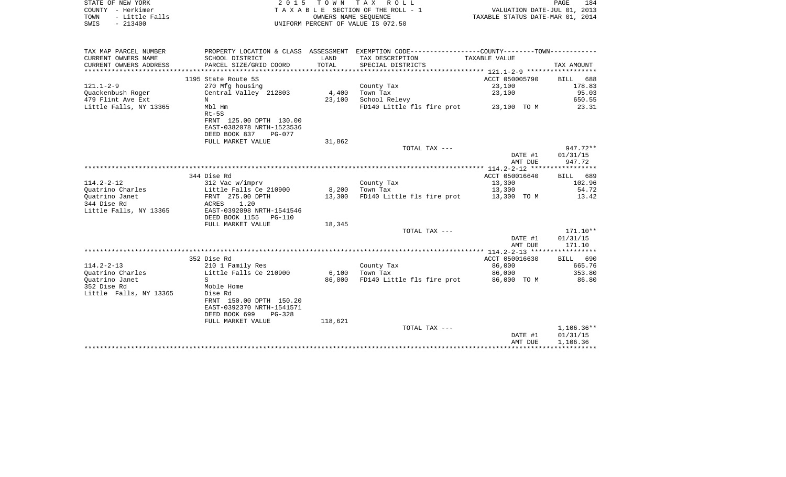|      | STATE OF NEW YORK | 2015 TOWN TAX ROLL                 | PAGE                             | 184 |
|------|-------------------|------------------------------------|----------------------------------|-----|
|      | COUNTY - Herkimer | TAXABLE SECTION OF THE ROLL - 1    | VALUATION DATE-JUL 01, 2013      |     |
| TOWN | - Little Falls    | OWNERS NAME SEOUENCE               | TAXABLE STATUS DATE-MAR 01, 2014 |     |
| SWIS | $-213400$         | UNIFORM PERCENT OF VALUE IS 072.50 |                                  |     |

| CURRENT OWNERS NAME<br>SCHOOL DISTRICT<br>LAND<br>TAX DESCRIPTION<br>TAXABLE VALUE<br>CURRENT OWNERS ADDRESS<br>TOTAL<br>PARCEL SIZE/GRID COORD<br>SPECIAL DISTRICTS<br>TAX AMOUNT<br>1195 State Route 5S<br>ACCT 050005790<br>688<br>BILL<br>23,100<br>178.83<br>270 Mfg housing<br>County Tax<br>23,100<br>95.03<br>Quackenbush Roger<br>Central Valley 212803<br>4,400<br>Town Tax<br>479 Flint Ave Ext<br>School Relevy<br>650.55<br>N<br>23,100<br>FD140 Little fls fire prot 23,100 TO M<br>Little Falls, NY 13365<br>Mbl Hm<br>23.31<br>$Rt-5S$<br>FRNT 125.00 DPTH 130.00<br>EAST-0382078 NRTH-1523536<br>DEED BOOK 837<br>PG-077<br>FULL MARKET VALUE<br>31,862<br>$947.72**$<br>TOTAL TAX ---<br>DATE #1<br>01/31/15<br>AMT DUE<br>947.72<br>344 Dise Rd<br>ACCT 050016640<br>BILL 689<br>$114.2 - 2 - 12$<br>312 Vac w/imprv<br>County Tax<br>13,300<br>102.96<br>54.72<br>Ouatrino Charles<br>Little Falls Ce 210900<br>8,200<br>Town Tax<br>13,300<br>FD140 Little fls fire prot 13,300 TO M<br>FRNT 275.00 DPTH<br>Ouatrino Janet<br>13,300<br>13.42<br>344 Dise Rd<br>ACRES 1.20<br>Little Falls, NY 13365<br>EAST-0392098 NRTH-1541546<br>DEED BOOK 1155 PG-110<br>18,345<br>FULL MARKET VALUE<br>$171.10**$<br>TOTAL TAX ---<br>DATE #1<br>01/31/15<br>AMT DUE<br>171.10<br>ACCT 050016630<br>352 Dise Rd<br>BILL 690<br>$114.2 - 2 - 13$<br>210 1 Family Res<br>County Tax<br>665.76<br>86,000<br>Little Falls Ce 210900<br>Ouatrino Charles<br>6,100<br>Town Tax<br>86,000<br>353.80<br>FD140 Little fls fire prot<br>Quatrino Janet<br>$S_{\mathcal{L}}$<br>86,000<br>86,000 TO M<br>86.80<br>352 Dise Rd<br>Moble Home<br>Little Falls, NY 13365<br>Dise Rd<br>FRNT 150.00 DPTH 150.20<br>EAST-0392370 NRTH-1541571<br>DEED BOOK 699<br>PG-328<br>FULL MARKET VALUE<br>118,621<br>$1,106.36**$<br>TOTAL TAX ---<br>DATE #1<br>01/31/15<br>1,106.36<br>AMT DUE | TAX MAP PARCEL NUMBER |  | PROPERTY LOCATION & CLASS ASSESSMENT EXEMPTION CODE---------------COUNTY-------TOWN--------- |  |
|------------------------------------------------------------------------------------------------------------------------------------------------------------------------------------------------------------------------------------------------------------------------------------------------------------------------------------------------------------------------------------------------------------------------------------------------------------------------------------------------------------------------------------------------------------------------------------------------------------------------------------------------------------------------------------------------------------------------------------------------------------------------------------------------------------------------------------------------------------------------------------------------------------------------------------------------------------------------------------------------------------------------------------------------------------------------------------------------------------------------------------------------------------------------------------------------------------------------------------------------------------------------------------------------------------------------------------------------------------------------------------------------------------------------------------------------------------------------------------------------------------------------------------------------------------------------------------------------------------------------------------------------------------------------------------------------------------------------------------------------------------------------------------------------------------------------------------------------------------------------------------|-----------------------|--|----------------------------------------------------------------------------------------------|--|
|                                                                                                                                                                                                                                                                                                                                                                                                                                                                                                                                                                                                                                                                                                                                                                                                                                                                                                                                                                                                                                                                                                                                                                                                                                                                                                                                                                                                                                                                                                                                                                                                                                                                                                                                                                                                                                                                                    |                       |  |                                                                                              |  |
|                                                                                                                                                                                                                                                                                                                                                                                                                                                                                                                                                                                                                                                                                                                                                                                                                                                                                                                                                                                                                                                                                                                                                                                                                                                                                                                                                                                                                                                                                                                                                                                                                                                                                                                                                                                                                                                                                    |                       |  |                                                                                              |  |
|                                                                                                                                                                                                                                                                                                                                                                                                                                                                                                                                                                                                                                                                                                                                                                                                                                                                                                                                                                                                                                                                                                                                                                                                                                                                                                                                                                                                                                                                                                                                                                                                                                                                                                                                                                                                                                                                                    |                       |  |                                                                                              |  |
|                                                                                                                                                                                                                                                                                                                                                                                                                                                                                                                                                                                                                                                                                                                                                                                                                                                                                                                                                                                                                                                                                                                                                                                                                                                                                                                                                                                                                                                                                                                                                                                                                                                                                                                                                                                                                                                                                    |                       |  |                                                                                              |  |
|                                                                                                                                                                                                                                                                                                                                                                                                                                                                                                                                                                                                                                                                                                                                                                                                                                                                                                                                                                                                                                                                                                                                                                                                                                                                                                                                                                                                                                                                                                                                                                                                                                                                                                                                                                                                                                                                                    | $121.1 - 2 - 9$       |  |                                                                                              |  |
|                                                                                                                                                                                                                                                                                                                                                                                                                                                                                                                                                                                                                                                                                                                                                                                                                                                                                                                                                                                                                                                                                                                                                                                                                                                                                                                                                                                                                                                                                                                                                                                                                                                                                                                                                                                                                                                                                    |                       |  |                                                                                              |  |
|                                                                                                                                                                                                                                                                                                                                                                                                                                                                                                                                                                                                                                                                                                                                                                                                                                                                                                                                                                                                                                                                                                                                                                                                                                                                                                                                                                                                                                                                                                                                                                                                                                                                                                                                                                                                                                                                                    |                       |  |                                                                                              |  |
|                                                                                                                                                                                                                                                                                                                                                                                                                                                                                                                                                                                                                                                                                                                                                                                                                                                                                                                                                                                                                                                                                                                                                                                                                                                                                                                                                                                                                                                                                                                                                                                                                                                                                                                                                                                                                                                                                    |                       |  |                                                                                              |  |
|                                                                                                                                                                                                                                                                                                                                                                                                                                                                                                                                                                                                                                                                                                                                                                                                                                                                                                                                                                                                                                                                                                                                                                                                                                                                                                                                                                                                                                                                                                                                                                                                                                                                                                                                                                                                                                                                                    |                       |  |                                                                                              |  |
|                                                                                                                                                                                                                                                                                                                                                                                                                                                                                                                                                                                                                                                                                                                                                                                                                                                                                                                                                                                                                                                                                                                                                                                                                                                                                                                                                                                                                                                                                                                                                                                                                                                                                                                                                                                                                                                                                    |                       |  |                                                                                              |  |
|                                                                                                                                                                                                                                                                                                                                                                                                                                                                                                                                                                                                                                                                                                                                                                                                                                                                                                                                                                                                                                                                                                                                                                                                                                                                                                                                                                                                                                                                                                                                                                                                                                                                                                                                                                                                                                                                                    |                       |  |                                                                                              |  |
|                                                                                                                                                                                                                                                                                                                                                                                                                                                                                                                                                                                                                                                                                                                                                                                                                                                                                                                                                                                                                                                                                                                                                                                                                                                                                                                                                                                                                                                                                                                                                                                                                                                                                                                                                                                                                                                                                    |                       |  |                                                                                              |  |
|                                                                                                                                                                                                                                                                                                                                                                                                                                                                                                                                                                                                                                                                                                                                                                                                                                                                                                                                                                                                                                                                                                                                                                                                                                                                                                                                                                                                                                                                                                                                                                                                                                                                                                                                                                                                                                                                                    |                       |  |                                                                                              |  |
|                                                                                                                                                                                                                                                                                                                                                                                                                                                                                                                                                                                                                                                                                                                                                                                                                                                                                                                                                                                                                                                                                                                                                                                                                                                                                                                                                                                                                                                                                                                                                                                                                                                                                                                                                                                                                                                                                    |                       |  |                                                                                              |  |
|                                                                                                                                                                                                                                                                                                                                                                                                                                                                                                                                                                                                                                                                                                                                                                                                                                                                                                                                                                                                                                                                                                                                                                                                                                                                                                                                                                                                                                                                                                                                                                                                                                                                                                                                                                                                                                                                                    |                       |  |                                                                                              |  |
|                                                                                                                                                                                                                                                                                                                                                                                                                                                                                                                                                                                                                                                                                                                                                                                                                                                                                                                                                                                                                                                                                                                                                                                                                                                                                                                                                                                                                                                                                                                                                                                                                                                                                                                                                                                                                                                                                    |                       |  |                                                                                              |  |
|                                                                                                                                                                                                                                                                                                                                                                                                                                                                                                                                                                                                                                                                                                                                                                                                                                                                                                                                                                                                                                                                                                                                                                                                                                                                                                                                                                                                                                                                                                                                                                                                                                                                                                                                                                                                                                                                                    |                       |  |                                                                                              |  |
|                                                                                                                                                                                                                                                                                                                                                                                                                                                                                                                                                                                                                                                                                                                                                                                                                                                                                                                                                                                                                                                                                                                                                                                                                                                                                                                                                                                                                                                                                                                                                                                                                                                                                                                                                                                                                                                                                    |                       |  |                                                                                              |  |
|                                                                                                                                                                                                                                                                                                                                                                                                                                                                                                                                                                                                                                                                                                                                                                                                                                                                                                                                                                                                                                                                                                                                                                                                                                                                                                                                                                                                                                                                                                                                                                                                                                                                                                                                                                                                                                                                                    |                       |  |                                                                                              |  |
|                                                                                                                                                                                                                                                                                                                                                                                                                                                                                                                                                                                                                                                                                                                                                                                                                                                                                                                                                                                                                                                                                                                                                                                                                                                                                                                                                                                                                                                                                                                                                                                                                                                                                                                                                                                                                                                                                    |                       |  |                                                                                              |  |
|                                                                                                                                                                                                                                                                                                                                                                                                                                                                                                                                                                                                                                                                                                                                                                                                                                                                                                                                                                                                                                                                                                                                                                                                                                                                                                                                                                                                                                                                                                                                                                                                                                                                                                                                                                                                                                                                                    |                       |  |                                                                                              |  |
|                                                                                                                                                                                                                                                                                                                                                                                                                                                                                                                                                                                                                                                                                                                                                                                                                                                                                                                                                                                                                                                                                                                                                                                                                                                                                                                                                                                                                                                                                                                                                                                                                                                                                                                                                                                                                                                                                    |                       |  |                                                                                              |  |
|                                                                                                                                                                                                                                                                                                                                                                                                                                                                                                                                                                                                                                                                                                                                                                                                                                                                                                                                                                                                                                                                                                                                                                                                                                                                                                                                                                                                                                                                                                                                                                                                                                                                                                                                                                                                                                                                                    |                       |  |                                                                                              |  |
|                                                                                                                                                                                                                                                                                                                                                                                                                                                                                                                                                                                                                                                                                                                                                                                                                                                                                                                                                                                                                                                                                                                                                                                                                                                                                                                                                                                                                                                                                                                                                                                                                                                                                                                                                                                                                                                                                    |                       |  |                                                                                              |  |
|                                                                                                                                                                                                                                                                                                                                                                                                                                                                                                                                                                                                                                                                                                                                                                                                                                                                                                                                                                                                                                                                                                                                                                                                                                                                                                                                                                                                                                                                                                                                                                                                                                                                                                                                                                                                                                                                                    |                       |  |                                                                                              |  |
|                                                                                                                                                                                                                                                                                                                                                                                                                                                                                                                                                                                                                                                                                                                                                                                                                                                                                                                                                                                                                                                                                                                                                                                                                                                                                                                                                                                                                                                                                                                                                                                                                                                                                                                                                                                                                                                                                    |                       |  |                                                                                              |  |
|                                                                                                                                                                                                                                                                                                                                                                                                                                                                                                                                                                                                                                                                                                                                                                                                                                                                                                                                                                                                                                                                                                                                                                                                                                                                                                                                                                                                                                                                                                                                                                                                                                                                                                                                                                                                                                                                                    |                       |  |                                                                                              |  |
|                                                                                                                                                                                                                                                                                                                                                                                                                                                                                                                                                                                                                                                                                                                                                                                                                                                                                                                                                                                                                                                                                                                                                                                                                                                                                                                                                                                                                                                                                                                                                                                                                                                                                                                                                                                                                                                                                    |                       |  |                                                                                              |  |
|                                                                                                                                                                                                                                                                                                                                                                                                                                                                                                                                                                                                                                                                                                                                                                                                                                                                                                                                                                                                                                                                                                                                                                                                                                                                                                                                                                                                                                                                                                                                                                                                                                                                                                                                                                                                                                                                                    |                       |  |                                                                                              |  |
|                                                                                                                                                                                                                                                                                                                                                                                                                                                                                                                                                                                                                                                                                                                                                                                                                                                                                                                                                                                                                                                                                                                                                                                                                                                                                                                                                                                                                                                                                                                                                                                                                                                                                                                                                                                                                                                                                    |                       |  |                                                                                              |  |
|                                                                                                                                                                                                                                                                                                                                                                                                                                                                                                                                                                                                                                                                                                                                                                                                                                                                                                                                                                                                                                                                                                                                                                                                                                                                                                                                                                                                                                                                                                                                                                                                                                                                                                                                                                                                                                                                                    |                       |  |                                                                                              |  |
|                                                                                                                                                                                                                                                                                                                                                                                                                                                                                                                                                                                                                                                                                                                                                                                                                                                                                                                                                                                                                                                                                                                                                                                                                                                                                                                                                                                                                                                                                                                                                                                                                                                                                                                                                                                                                                                                                    |                       |  |                                                                                              |  |
|                                                                                                                                                                                                                                                                                                                                                                                                                                                                                                                                                                                                                                                                                                                                                                                                                                                                                                                                                                                                                                                                                                                                                                                                                                                                                                                                                                                                                                                                                                                                                                                                                                                                                                                                                                                                                                                                                    |                       |  |                                                                                              |  |
|                                                                                                                                                                                                                                                                                                                                                                                                                                                                                                                                                                                                                                                                                                                                                                                                                                                                                                                                                                                                                                                                                                                                                                                                                                                                                                                                                                                                                                                                                                                                                                                                                                                                                                                                                                                                                                                                                    |                       |  |                                                                                              |  |
|                                                                                                                                                                                                                                                                                                                                                                                                                                                                                                                                                                                                                                                                                                                                                                                                                                                                                                                                                                                                                                                                                                                                                                                                                                                                                                                                                                                                                                                                                                                                                                                                                                                                                                                                                                                                                                                                                    |                       |  |                                                                                              |  |
|                                                                                                                                                                                                                                                                                                                                                                                                                                                                                                                                                                                                                                                                                                                                                                                                                                                                                                                                                                                                                                                                                                                                                                                                                                                                                                                                                                                                                                                                                                                                                                                                                                                                                                                                                                                                                                                                                    |                       |  |                                                                                              |  |
|                                                                                                                                                                                                                                                                                                                                                                                                                                                                                                                                                                                                                                                                                                                                                                                                                                                                                                                                                                                                                                                                                                                                                                                                                                                                                                                                                                                                                                                                                                                                                                                                                                                                                                                                                                                                                                                                                    |                       |  |                                                                                              |  |
|                                                                                                                                                                                                                                                                                                                                                                                                                                                                                                                                                                                                                                                                                                                                                                                                                                                                                                                                                                                                                                                                                                                                                                                                                                                                                                                                                                                                                                                                                                                                                                                                                                                                                                                                                                                                                                                                                    |                       |  |                                                                                              |  |
|                                                                                                                                                                                                                                                                                                                                                                                                                                                                                                                                                                                                                                                                                                                                                                                                                                                                                                                                                                                                                                                                                                                                                                                                                                                                                                                                                                                                                                                                                                                                                                                                                                                                                                                                                                                                                                                                                    |                       |  |                                                                                              |  |
|                                                                                                                                                                                                                                                                                                                                                                                                                                                                                                                                                                                                                                                                                                                                                                                                                                                                                                                                                                                                                                                                                                                                                                                                                                                                                                                                                                                                                                                                                                                                                                                                                                                                                                                                                                                                                                                                                    |                       |  |                                                                                              |  |
|                                                                                                                                                                                                                                                                                                                                                                                                                                                                                                                                                                                                                                                                                                                                                                                                                                                                                                                                                                                                                                                                                                                                                                                                                                                                                                                                                                                                                                                                                                                                                                                                                                                                                                                                                                                                                                                                                    |                       |  |                                                                                              |  |
|                                                                                                                                                                                                                                                                                                                                                                                                                                                                                                                                                                                                                                                                                                                                                                                                                                                                                                                                                                                                                                                                                                                                                                                                                                                                                                                                                                                                                                                                                                                                                                                                                                                                                                                                                                                                                                                                                    |                       |  |                                                                                              |  |
|                                                                                                                                                                                                                                                                                                                                                                                                                                                                                                                                                                                                                                                                                                                                                                                                                                                                                                                                                                                                                                                                                                                                                                                                                                                                                                                                                                                                                                                                                                                                                                                                                                                                                                                                                                                                                                                                                    |                       |  |                                                                                              |  |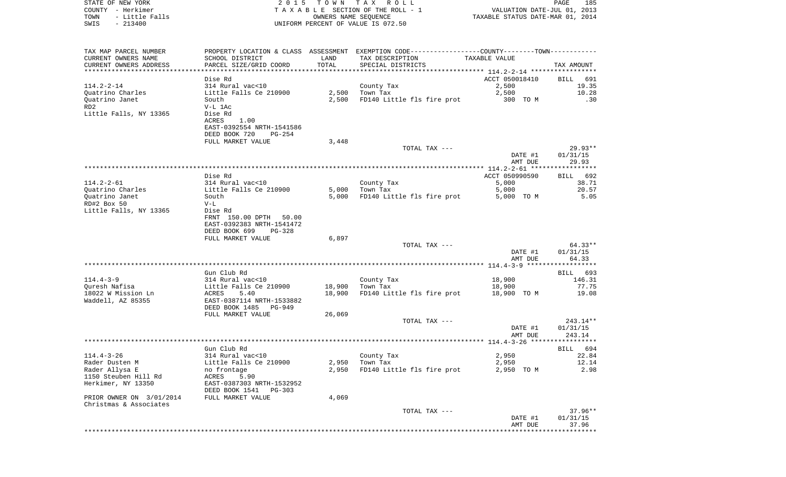| COUNTY - Herkimer<br>TOWN<br>- Little Falls |                                                     | OWNERS NAME SEQUENCE | TAXABLE SECTION OF THE ROLL - 1                                                               | VALUATION DATE-JUL 01, 2013<br>TAXABLE STATUS DATE-MAR 01, 2014 |                   |
|---------------------------------------------|-----------------------------------------------------|----------------------|-----------------------------------------------------------------------------------------------|-----------------------------------------------------------------|-------------------|
| $-213400$<br>SWIS                           |                                                     |                      | UNIFORM PERCENT OF VALUE IS 072.50                                                            |                                                                 |                   |
| TAX MAP PARCEL NUMBER                       |                                                     |                      | PROPERTY LOCATION & CLASS ASSESSMENT EXEMPTION CODE---------------COUNTY-------TOWN---------- |                                                                 |                   |
| CURRENT OWNERS NAME                         | SCHOOL DISTRICT                                     | LAND                 | TAX DESCRIPTION                                                                               | TAXABLE VALUE                                                   |                   |
| CURRENT OWNERS ADDRESS                      | PARCEL SIZE/GRID COORD                              | TOTAL                | SPECIAL DISTRICTS                                                                             |                                                                 | TAX AMOUNT        |
|                                             |                                                     |                      |                                                                                               |                                                                 |                   |
| $114.2 - 2 - 14$                            | Dise Rd<br>314 Rural vac<10                         |                      |                                                                                               | ACCT 050018410                                                  | BILL 691          |
| Quatrino Charles                            | Little Falls Ce 210900                              |                      | County Tax<br>$2,500$ Town Tax                                                                | 2,500<br>2,500                                                  | 19.35<br>10.28    |
| Quatrino Janet                              | South                                               | 2,500                | FD140 Little fls fire prot                                                                    | 300 TO M                                                        | .30               |
| RD2                                         | V-L 1Ac                                             |                      |                                                                                               |                                                                 |                   |
| Little Falls, NY 13365                      | Dise Rd                                             |                      |                                                                                               |                                                                 |                   |
|                                             | ACRES<br>1.00                                       |                      |                                                                                               |                                                                 |                   |
|                                             | EAST-0392554 NRTH-1541586                           |                      |                                                                                               |                                                                 |                   |
|                                             | DEED BOOK 720<br>PG-254                             |                      |                                                                                               |                                                                 |                   |
|                                             | FULL MARKET VALUE                                   | 3,448                | TOTAL TAX ---                                                                                 |                                                                 | 29.93**           |
|                                             |                                                     |                      |                                                                                               | DATE #1                                                         | 01/31/15          |
|                                             |                                                     |                      |                                                                                               | AMT DUE                                                         | 29.93             |
|                                             |                                                     |                      |                                                                                               |                                                                 |                   |
|                                             | Dise Rd                                             |                      |                                                                                               | ACCT 050990590                                                  | BILL 692          |
| $114.2 - 2 - 61$                            | 314 Rural vac<10                                    |                      | County Tax                                                                                    | 5,000                                                           | 38.71             |
| Quatrino Charles                            | Little Falls Ce 210900                              | 5,000                | Town Tax                                                                                      | 5,000                                                           | 20.57<br>5.05     |
| Quatrino Janet<br>RD#2 Box 50               | South<br>$V-L$                                      | 5,000                | FD140 Little fls fire prot                                                                    | 5,000 TO M                                                      |                   |
| Little Falls, NY 13365                      | Dise Rd                                             |                      |                                                                                               |                                                                 |                   |
|                                             | FRNT 150.00 DPTH 50.00<br>EAST-0392383 NRTH-1541472 |                      |                                                                                               |                                                                 |                   |
|                                             | DEED BOOK 699<br>PG-328                             |                      |                                                                                               |                                                                 |                   |
|                                             | FULL MARKET VALUE                                   | 6,897                |                                                                                               |                                                                 |                   |
|                                             |                                                     |                      | TOTAL TAX ---                                                                                 |                                                                 | $64.33**$         |
|                                             |                                                     |                      |                                                                                               | DATE #1<br>AMT DUE                                              | 01/31/15<br>64.33 |
|                                             |                                                     |                      |                                                                                               |                                                                 |                   |
|                                             | Gun Club Rd                                         |                      |                                                                                               |                                                                 | BILL 693          |
| 114.4-3-9                                   | 314 Rural vac<10                                    |                      | County Tax                                                                                    | 18,900                                                          | 146.31            |
| Ouresh Nafisa                               | Little Falls Ce 210900                              | 18,900               | Town Tax                                                                                      | 18,900                                                          | 77.75             |
| 18022 W Mission Ln                          | ACRES<br>5.40                                       | 18,900               | FD140 Little fls fire prot                                                                    | 18,900 TO M                                                     | 19.08             |
| Waddell, AZ 85355                           | EAST-0387114 NRTH-1533882                           |                      |                                                                                               |                                                                 |                   |
|                                             | DEED BOOK 1485 PG-949<br>FULL MARKET VALUE          | 26,069               |                                                                                               |                                                                 |                   |
|                                             |                                                     |                      | TOTAL TAX ---                                                                                 |                                                                 | 243.14**          |
|                                             |                                                     |                      |                                                                                               | DATE #1                                                         | 01/31/15          |
|                                             |                                                     |                      |                                                                                               | AMT DUE                                                         | 243.14            |
|                                             |                                                     |                      |                                                                                               |                                                                 |                   |
|                                             | Gun Club Rd                                         |                      |                                                                                               |                                                                 | BILL 694          |
| $114.4 - 3 - 26$                            | 314 Rural vac<10                                    |                      | County Tax<br>Town Tax                                                                        | 2,950                                                           | 22.84             |
| Rader Dusten M<br>Rader Allysa E            | Little Falls Ce 210900<br>no frontage               | 2,950<br>2,950       | FD140 Little fls fire prot                                                                    | 2,950<br>2,950 TO M                                             | 12.14<br>2.98     |
| 1150 Steuben Hill Rd                        | ACRES<br>5.90                                       |                      |                                                                                               |                                                                 |                   |
| Herkimer, NY 13350                          | EAST-0387303 NRTH-1532952                           |                      |                                                                                               |                                                                 |                   |
|                                             | DEED BOOK 1541<br>PG-303                            |                      |                                                                                               |                                                                 |                   |
| PRIOR OWNER ON 3/01/2014                    | FULL MARKET VALUE                                   | 4,069                |                                                                                               |                                                                 |                   |
| Christmas & Associates                      |                                                     |                      |                                                                                               |                                                                 |                   |
|                                             |                                                     |                      | TOTAL TAX ---                                                                                 |                                                                 | $37.96**$         |
|                                             |                                                     |                      |                                                                                               | DATE #1<br>AMT DUE                                              | 01/31/15<br>37.96 |
|                                             |                                                     |                      |                                                                                               | ********************************                                |                   |
|                                             |                                                     |                      |                                                                                               |                                                                 |                   |

STATE OF NEW YORK **EXECUTE:**  $2015$  TOWN TAX ROLL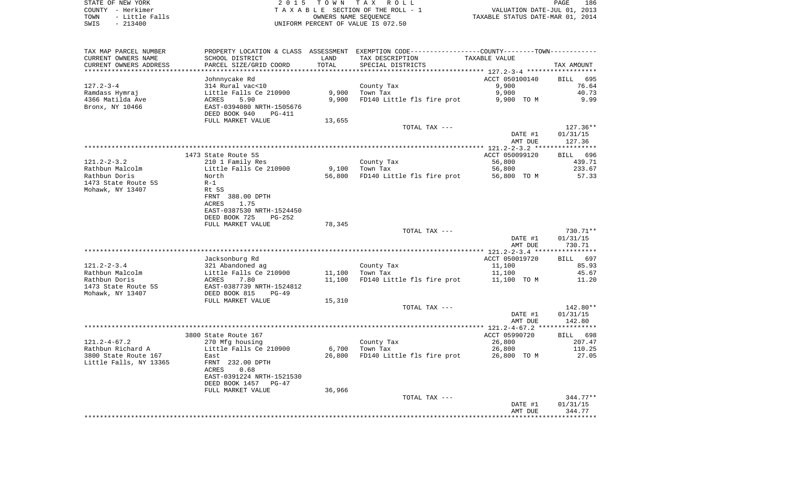STATE OF NEW YORK **EXECUTE:**  $2015$  TOWN TAX ROLL COUNTY - Herkimer<br>
T A X A B L E SECTION OF THE ROLL - 1<br>
T A X A B L E SECTION OF THE ROLL - 1<br>
OWNERS NAME SEQUENCE<br>
SWIS - 213400<br>
OWNERS NAME SEQUENCE TOWN - Little Falls OWNERS NAME SEQUENCE TAXABLE STATUS DATE-MAR 01, 2014 SWIS - 213400 UNIFORM PERCENT OF VALUE IS 072.50

| TAX MAP PARCEL NUMBER  | PROPERTY LOCATION & CLASS ASSESSMENT |        | EXEMPTION CODE-----------------COUNTY-------TOWN- |                |                    |
|------------------------|--------------------------------------|--------|---------------------------------------------------|----------------|--------------------|
| CURRENT OWNERS NAME    | SCHOOL DISTRICT                      | LAND   | TAX DESCRIPTION                                   | TAXABLE VALUE  |                    |
| CURRENT OWNERS ADDRESS | PARCEL SIZE/GRID COORD               | TOTAL  | SPECIAL DISTRICTS                                 |                | TAX AMOUNT         |
| **************         |                                      |        |                                                   |                |                    |
|                        | Johnnycake Rd                        |        |                                                   | ACCT 050100140 | <b>BILL</b><br>695 |
| $127.2 - 3 - 4$        | 314 Rural vac<10                     |        | County Tax                                        | 9,900          | 76.64              |
| Ramdass Hymraj         | Little Falls Ce 210900               | 9,900  | Town Tax                                          | 9,900          | 40.73              |
| 4366 Matilda Ave       | 5.90<br>ACRES                        | 9,900  | FD140 Little fls fire prot                        | 9,900 TO M     | 9.99               |
| Bronx, NY 10466        | EAST-0394080 NRTH-1505676            |        |                                                   |                |                    |
|                        | DEED BOOK 940<br>PG-411              |        |                                                   |                |                    |
|                        | FULL MARKET VALUE                    | 13,655 |                                                   |                |                    |
|                        |                                      |        | TOTAL TAX ---                                     |                | $127.36**$         |
|                        |                                      |        |                                                   | DATE #1        | 01/31/15           |
|                        |                                      |        |                                                   | AMT DUE        | 127.36             |
|                        |                                      |        |                                                   |                |                    |
|                        | 1473 State Route 5S                  |        |                                                   | ACCT 050099120 | 696<br>BILL        |
| $121.2 - 2 - 3.2$      | 210 1 Family Res                     |        | County Tax                                        | 56,800         | 439.71             |
| Rathbun Malcolm        | Little Falls Ce 210900               | 9,100  | Town Tax                                          | 56,800         | 233.67             |
| Rathbun Doris          | North                                | 56,800 | FD140 Little fls fire prot                        | 56,800 TO M    | 57.33              |
| 1473 State Route 5S    | $R-1$                                |        |                                                   |                |                    |
| Mohawk, NY 13407       | Rt 5S                                |        |                                                   |                |                    |
|                        | FRNT 388.00 DPTH                     |        |                                                   |                |                    |
|                        | <b>ACRES</b><br>1.75                 |        |                                                   |                |                    |
|                        | EAST-0387530 NRTH-1524450            |        |                                                   |                |                    |
|                        | DEED BOOK 725<br>$PG-252$            |        |                                                   |                |                    |
|                        | FULL MARKET VALUE                    | 78,345 |                                                   |                |                    |
|                        |                                      |        | TOTAL TAX ---                                     |                | 730.71**           |
|                        |                                      |        |                                                   | DATE #1        | 01/31/15           |
|                        |                                      |        |                                                   | AMT DUE        | 730.71             |
|                        |                                      |        |                                                   |                |                    |
|                        | Jacksonburg Rd                       |        |                                                   | ACCT 050019720 | 697<br>BILL        |
| $121.2 - 2 - 3.4$      | 321 Abandoned ag                     |        | County Tax                                        | 11,100         | 85.93              |
| Rathbun Malcolm        | Little Falls Ce 210900               | 11,100 | Town Tax                                          | 11,100         | 45.67              |
| Rathbun Doris          | 7.80<br>ACRES                        | 11,100 | FD140 Little fls fire prot                        | 11,100 TO M    | 11.20              |
| 1473 State Route 5S    | EAST-0387739 NRTH-1524812            |        |                                                   |                |                    |
| Mohawk, NY 13407       | DEED BOOK 815<br>$PG-49$             |        |                                                   |                |                    |
|                        | FULL MARKET VALUE                    | 15,310 |                                                   |                |                    |
|                        |                                      |        | TOTAL TAX ---                                     |                | 142.80**           |
|                        |                                      |        |                                                   | DATE #1        | 01/31/15           |
|                        |                                      |        |                                                   | AMT DUE        | 142.80             |
|                        |                                      |        |                                                   |                |                    |
|                        | 3800 State Route 167                 |        |                                                   | ACCT 05990720  | 698<br>BILL        |
| $121.2 - 4 - 67.2$     | 270 Mfg housing                      |        | County Tax                                        | 26,800         | 207.47             |
| Rathbun Richard A      | Little Falls Ce 210900               | 6,700  | Town Tax                                          | 26,800         | 110.25             |
| 3800 State Route 167   | East                                 | 26,800 | FD140 Little fls fire prot                        | 26,800 TO M    | 27.05              |
| Little Falls, NY 13365 | FRNT 232.00 DPTH                     |        |                                                   |                |                    |
|                        | 0.68<br>ACRES                        |        |                                                   |                |                    |
|                        | EAST-0391224 NRTH-1521530            |        |                                                   |                |                    |
|                        | DEED BOOK 1457<br>$PG-47$            |        |                                                   |                |                    |
|                        | FULL MARKET VALUE                    | 36,966 |                                                   |                |                    |
|                        |                                      |        | TOTAL TAX ---                                     |                | $344.77**$         |
|                        |                                      |        |                                                   | DATE #1        | 01/31/15           |
|                        |                                      |        |                                                   | AMT DUE        | 344.77             |
|                        |                                      |        |                                                   |                |                    |
|                        |                                      |        |                                                   |                |                    |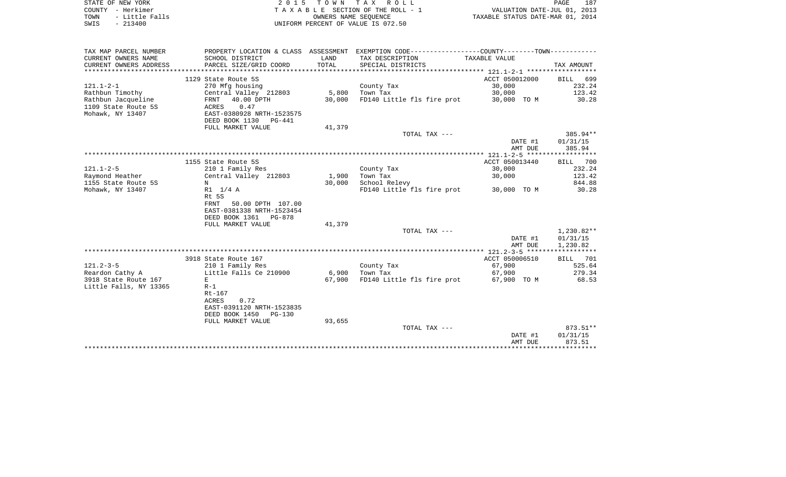| STATE OF NEW YORK      | 2015 TOWN TAX ROLL                 | 187<br>PAGE                      |
|------------------------|------------------------------------|----------------------------------|
| COUNTY - Herkimer      | TAXABLE SECTION OF THE ROLL - 1    | VALUATION DATE-JUL 01, 2013      |
| - Little Falls<br>TOWN | OWNERS NAME SEOUENCE               | TAXABLE STATUS DATE-MAR 01, 2014 |
| $-213400$<br>SWIS      | UNIFORM PERCENT OF VALUE IS 072.50 |                                  |

 $\begin{array}{c} 187 \\ 2013 \\ 2014 \end{array}$ 

| TAX MAP PARCEL NUMBER  |                           |        | PROPERTY LOCATION & CLASS ASSESSMENT EXEMPTION CODE---------------COUNTY-------TOWN---------- |                |             |
|------------------------|---------------------------|--------|-----------------------------------------------------------------------------------------------|----------------|-------------|
| CURRENT OWNERS NAME    | SCHOOL DISTRICT           | LAND   | TAX DESCRIPTION                                                                               | TAXABLE VALUE  |             |
| CURRENT OWNERS ADDRESS | PARCEL SIZE/GRID COORD    | TOTAL  | SPECIAL DISTRICTS                                                                             |                | TAX AMOUNT  |
|                        |                           |        |                                                                                               |                |             |
|                        | 1129 State Route 5S       |        |                                                                                               | ACCT 050012000 | 699<br>BILL |
| $121.1 - 2 - 1$        | 270 Mfg housing           |        | County Tax                                                                                    | 30,000         | 232.24      |
| Rathbun Timothy        | Central Valley 212803     | 5,800  | Town Tax                                                                                      | 30,000         | 123.42      |
| Rathbun Jacqueline     | FRNT 40.00 DPTH           | 30,000 | FD140 Little fls fire prot 30,000 TO M                                                        |                | 30.28       |
| 1109 State Route 5S    | 0.47<br>ACRES             |        |                                                                                               |                |             |
| Mohawk, NY 13407       | EAST-0380928 NRTH-1523575 |        |                                                                                               |                |             |
|                        | DEED BOOK 1130 PG-441     |        |                                                                                               |                |             |
|                        | FULL MARKET VALUE         | 41,379 |                                                                                               |                |             |
|                        |                           |        | TOTAL TAX ---                                                                                 |                | 385.94**    |
|                        |                           |        |                                                                                               | DATE #1        | 01/31/15    |
|                        |                           |        |                                                                                               | AMT DUE        | 385.94      |
|                        |                           |        |                                                                                               |                |             |
|                        | 1155 State Route 5S       |        |                                                                                               | ACCT 050013440 | BILL 700    |
| $121.1 - 2 - 5$        | 210 1 Family Res          |        | County Tax                                                                                    | 30,000         | 232.24      |
| Raymond Heather        | Central Valley 212803     | 1,900  | Town Tax                                                                                      | 30,000         | 123.42      |
| 1155 State Route 5S    | N                         | 30,000 | School Relevy                                                                                 |                | 844.88      |
| Mohawk, NY 13407       | R1 1/4 A                  |        | FD140 Little fls fire prot 30,000 TO M                                                        |                | 30.28       |
|                        | Rt 5S                     |        |                                                                                               |                |             |
|                        | FRNT<br>50.00 DPTH 107.00 |        |                                                                                               |                |             |
|                        | EAST-0381338 NRTH-1523454 |        |                                                                                               |                |             |
|                        | DEED BOOK 1361 PG-878     |        |                                                                                               |                |             |
|                        | FULL MARKET VALUE         | 41,379 |                                                                                               |                |             |
|                        |                           |        | TOTAL TAX ---                                                                                 |                | 1,230.82**  |
|                        |                           |        |                                                                                               | DATE #1        | 01/31/15    |
|                        |                           |        |                                                                                               | AMT DUE        | 1,230.82    |
|                        |                           |        |                                                                                               |                |             |
|                        | 3918 State Route 167      |        |                                                                                               | ACCT 050006510 | BILL 701    |
| $121.2 - 3 - 5$        | 210 1 Family Res          |        | County Tax                                                                                    | 67,900         | 525.64      |
| Reardon Cathy A        | Little Falls Ce 210900    |        | $6,900$ Town Tax                                                                              | 67,900         | 279.34      |
| 3918 State Route 167   | E                         | 67,900 | FD140 Little fls fire prot                                                                    | 67,900 TO M    | 68.53       |
| Little Falls, NY 13365 | $R-1$                     |        |                                                                                               |                |             |
|                        | Rt-167                    |        |                                                                                               |                |             |
|                        | ACRES<br>0.72             |        |                                                                                               |                |             |
|                        | EAST-0391120 NRTH-1523835 |        |                                                                                               |                |             |
|                        | DEED BOOK 1450 PG-130     |        |                                                                                               |                |             |
|                        | FULL MARKET VALUE         | 93,655 |                                                                                               |                |             |
|                        |                           |        | TOTAL TAX ---                                                                                 |                | $873.51**$  |
|                        |                           |        |                                                                                               | DATE #1        | 01/31/15    |
|                        |                           |        |                                                                                               | AMT DUE        | 873.51      |
|                        |                           |        |                                                                                               |                |             |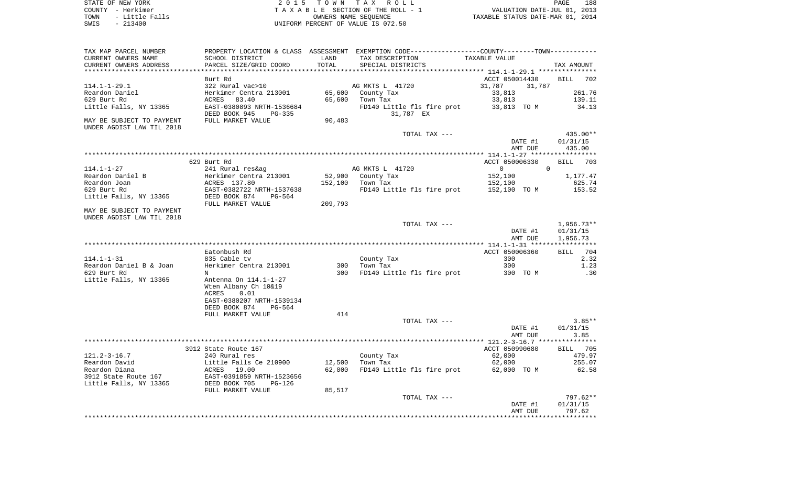| STATE OF NEW YORK |  |          |                |  |  |
|-------------------|--|----------|----------------|--|--|
| COUNTY - Herkimer |  |          |                |  |  |
| TOWN              |  |          | - Little Falls |  |  |
| <b>CMTC</b>       |  | - 213400 |                |  |  |

STATE OF NEW YORK 2 0 1 5 T O W N T A X R O L L PAGE 188COUNTY - Herkimer<br>
T A X A B L E SECTION OF THE ROLL - 1<br>
OWNERS NAME SECTION OF THE ROLL - 1 TOWN - Little Falls OWNERS NAME SEQUENCE TAXABLE STATUS DATE-MAR 01, 2014 SWIS - 213400 UNIFORM PERCENT OF VALUE IS 072.50

| TAX MAP PARCEL NUMBER     |                           |         | PROPERTY LOCATION & CLASS ASSESSMENT EXEMPTION CODE---------------COUNTY-------TOWN---------- |                  |                    |
|---------------------------|---------------------------|---------|-----------------------------------------------------------------------------------------------|------------------|--------------------|
| CURRENT OWNERS NAME       | SCHOOL DISTRICT           | LAND    | TAX DESCRIPTION                                                                               | TAXABLE VALUE    |                    |
| CURRENT OWNERS ADDRESS    | PARCEL SIZE/GRID COORD    | TOTAL   | SPECIAL DISTRICTS                                                                             |                  | TAX AMOUNT         |
|                           |                           |         |                                                                                               |                  |                    |
|                           | Burt Rd                   |         |                                                                                               | ACCT 050014430   | BILL 702           |
| $114.1 - 1 - 29.1$        | 322 Rural vac>10          |         | AG MKTS L 41720                                                                               | 31,787<br>31,787 |                    |
| Reardon Daniel            | Herkimer Centra 213001    |         | 65,600 County Tax                                                                             | 33,813           | 261.76             |
| 629 Burt Rd               | ACRES<br>83.40            | 65,600  | Town Tax                                                                                      | 33,813           | 139.11             |
| Little Falls, NY 13365    | EAST-0380893 NRTH-1536684 |         | FD140 Little fls fire prot                                                                    | 33,813 TO M      | 34.13              |
|                           | DEED BOOK 945<br>PG-335   |         | 31,787 EX                                                                                     |                  |                    |
| MAY BE SUBJECT TO PAYMENT | FULL MARKET VALUE         | 90,483  |                                                                                               |                  |                    |
| UNDER AGDIST LAW TIL 2018 |                           |         |                                                                                               |                  |                    |
|                           |                           |         | TOTAL TAX ---                                                                                 |                  | $435.00**$         |
|                           |                           |         |                                                                                               | DATE #1          | 01/31/15           |
|                           |                           |         |                                                                                               | AMT DUE          | 435.00             |
|                           |                           |         |                                                                                               |                  |                    |
|                           | 629 Burt Rd               |         |                                                                                               | ACCT 050006330   | 703                |
|                           |                           |         |                                                                                               |                  | BILL               |
| $114.1 - 1 - 27$          | 241 Rural res&ag          |         | AG MKTS L 41720                                                                               | $\overline{0}$   | $\mathbf{0}$       |
| Reardon Daniel B          | Herkimer Centra 213001    |         | 52,900 County Tax                                                                             | 152,100          | 1,177.47           |
| Reardon Joan              | ACRES 137.80              | 152,100 | Town Tax                                                                                      | 152,100          | 625.74             |
| 629 Burt Rd               | EAST-0382722 NRTH-1537638 |         | FD140 Little fls fire prot 152,100 TO M                                                       |                  | 153.52             |
| Little Falls, NY 13365    | DEED BOOK 874<br>PG-564   |         |                                                                                               |                  |                    |
|                           | FULL MARKET VALUE         | 209,793 |                                                                                               |                  |                    |
| MAY BE SUBJECT TO PAYMENT |                           |         |                                                                                               |                  |                    |
| UNDER AGDIST LAW TIL 2018 |                           |         |                                                                                               |                  |                    |
|                           |                           |         | TOTAL TAX ---                                                                                 |                  | $1,956.73**$       |
|                           |                           |         |                                                                                               | DATE #1          | 01/31/15           |
|                           |                           |         |                                                                                               | AMT DUE          | 1,956.73           |
|                           |                           |         |                                                                                               |                  |                    |
|                           | Eatonbush Rd              |         |                                                                                               | ACCT 050006360   | 704<br><b>BILL</b> |
| $114.1 - 1 - 31$          | 835 Cable tv              |         | County Tax                                                                                    | 300              | 2.32               |
| Reardon Daniel B & Joan   | Herkimer Centra 213001    | 300     | Town Tax                                                                                      | 300              | 1.23               |
| 629 Burt Rd               | N                         | 300     | FD140 Little fls fire prot                                                                    | 300 TO M         | .30                |
| Little Falls, NY 13365    | Antenna On 114.1-1-27     |         |                                                                                               |                  |                    |
|                           | Wten Albany Ch 10&19      |         |                                                                                               |                  |                    |
|                           | 0.01<br>ACRES             |         |                                                                                               |                  |                    |
|                           | EAST-0380207 NRTH-1539134 |         |                                                                                               |                  |                    |
|                           | DEED BOOK 874<br>$PG-564$ |         |                                                                                               |                  |                    |
|                           | FULL MARKET VALUE         | 414     |                                                                                               |                  |                    |
|                           |                           |         | TOTAL TAX ---                                                                                 |                  | $3.85**$           |
|                           |                           |         |                                                                                               | DATE #1          | 01/31/15           |
|                           |                           |         |                                                                                               | AMT DUE          | 3.85               |
|                           |                           |         |                                                                                               |                  |                    |
|                           | 3912 State Route 167      |         |                                                                                               | ACCT 050990680   | BILL 705           |
| $121.2 - 3 - 16.7$        | 240 Rural res             |         |                                                                                               |                  | 479.97             |
|                           |                           |         | County Tax                                                                                    | 62,000           |                    |
| Reardon David             | Little Falls Ce 210900    | 12,500  | Town Tax                                                                                      | 62,000           | 255.07             |
| Reardon Diana             | ACRES<br>19.00            | 62,000  | FD140 Little fls fire prot 62,000 TO M                                                        |                  | 62.58              |
| 3912 State Route 167      | EAST-0391859 NRTH-1523656 |         |                                                                                               |                  |                    |
| Little Falls, NY 13365    | DEED BOOK 705<br>PG-126   |         |                                                                                               |                  |                    |
|                           | FULL MARKET VALUE         | 85,517  |                                                                                               |                  |                    |
|                           |                           |         | TOTAL TAX ---                                                                                 |                  | 797.62**           |
|                           |                           |         |                                                                                               | DATE #1          | 01/31/15           |
|                           |                           |         |                                                                                               | AMT DUE          | 797.62             |
|                           |                           |         |                                                                                               |                  |                    |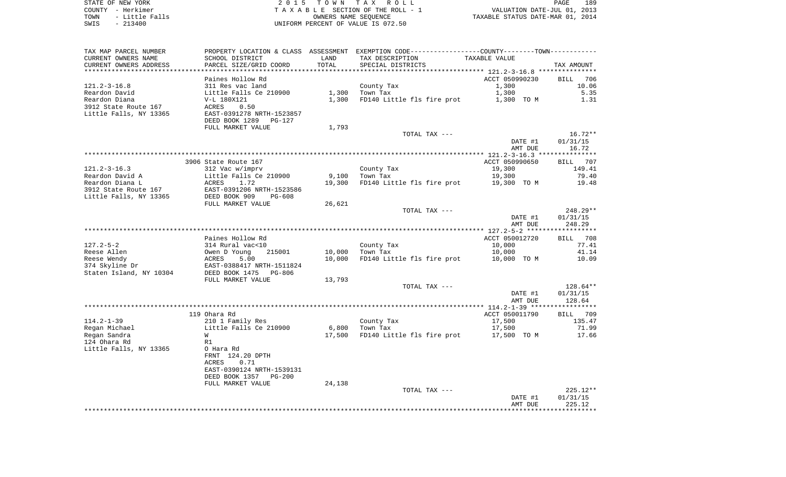| STATE OF NEW YORK      | 2015 TOWN TAX ROLL                 | 189<br>PAGE                      |
|------------------------|------------------------------------|----------------------------------|
| COUNTY - Herkimer      | TAXABLE SECTION OF THE ROLL - 1    | VALUATION DATE-JUL 01, 2013      |
| - Little Falls<br>TOWN | OWNERS NAME SEOUENCE               | TAXABLE STATUS DATE-MAR 01, 2014 |
| $-213400$<br>SWIS      | UNIFORM PERCENT OF VALUE IS 072.50 |                                  |

| TAX MAP PARCEL NUMBER         |                                                        |                 | PROPERTY LOCATION & CLASS ASSESSMENT EXEMPTION CODE----------------COUNTY-------TOWN----------- |                       |                    |
|-------------------------------|--------------------------------------------------------|-----------------|-------------------------------------------------------------------------------------------------|-----------------------|--------------------|
| CURRENT OWNERS NAME           | SCHOOL DISTRICT                                        | LAND            | TAX DESCRIPTION                                                                                 | TAXABLE VALUE         |                    |
| CURRENT OWNERS ADDRESS        | PARCEL SIZE/GRID COORD                                 | TOTAL           | SPECIAL DISTRICTS                                                                               |                       | TAX AMOUNT         |
|                               |                                                        |                 |                                                                                                 |                       |                    |
|                               | Paines Hollow Rd                                       |                 |                                                                                                 | ACCT 050990230        | <b>BILL</b><br>706 |
| $121.2 - 3 - 16.8$            | 311 Res vac land                                       |                 | County Tax                                                                                      | 1,300                 | 10.06              |
| Reardon David                 | Little Falls Ce 210900                                 | 1,300           | Town Tax                                                                                        | 1,300                 | 5.35               |
| Reardon Diana                 | V-L 180X121                                            | 1,300           | FD140 Little fls fire prot                                                                      | 1,300 TO M            | 1.31               |
| 3912 State Route 167          | ACRES<br>0.50                                          |                 |                                                                                                 |                       |                    |
| Little Falls, NY 13365        | EAST-0391278 NRTH-1523857                              |                 |                                                                                                 |                       |                    |
|                               | DEED BOOK 1289<br>PG-127                               |                 |                                                                                                 |                       |                    |
|                               | FULL MARKET VALUE                                      | 1,793           |                                                                                                 |                       |                    |
|                               |                                                        |                 | TOTAL TAX ---                                                                                   |                       | $16.72**$          |
|                               |                                                        |                 |                                                                                                 | DATE #1               | 01/31/15           |
|                               |                                                        |                 |                                                                                                 | AMT DUE               | 16.72              |
|                               |                                                        |                 |                                                                                                 |                       |                    |
|                               | 3906 State Route 167                                   |                 |                                                                                                 | ACCT 050990650        | BILL 707           |
| $121.2 - 3 - 16.3$            | 312 Vac w/imprv                                        |                 | County Tax                                                                                      | 19,300                | 149.41             |
| Reardon David A               | Little Falls Ce 210900                                 | 9,100           | Town Tax                                                                                        | 19,300                | 79.40              |
| Reardon Diana L               | ACRES<br>1.72                                          | 19,300          | FD140 Little fls fire prot                                                                      | 19,300 TO M           | 19.48              |
| 3912 State Route 167          | EAST-0391206 NRTH-1523586<br>DEED BOOK 909<br>$PG-608$ |                 |                                                                                                 |                       |                    |
| Little Falls, NY 13365        | FULL MARKET VALUE                                      | 26,621          |                                                                                                 |                       |                    |
|                               |                                                        |                 | TOTAL TAX ---                                                                                   |                       | 248.29**           |
|                               |                                                        |                 |                                                                                                 | DATE #1               | 01/31/15           |
|                               |                                                        |                 |                                                                                                 | AMT DUE               | 248.29             |
|                               |                                                        |                 |                                                                                                 |                       |                    |
|                               | Paines Hollow Rd                                       |                 |                                                                                                 | ACCT 050012720        | 708<br>BILL        |
| $127.2 - 5 - 2$               | 314 Rural vac<10                                       |                 | County Tax                                                                                      | 10,000                | 77.41              |
| Reese Allen                   | Owen D Young<br>215001                                 | 10,000          | Town Tax                                                                                        | 10,000                | 41.14              |
| Reese Wendy                   | 5.00<br>ACRES                                          | 10,000          | FD140 Little fls fire prot                                                                      | 10,000 TO M           | 10.09              |
| 374 Skyline Dr                | EAST-0388417 NRTH-1511824                              |                 |                                                                                                 |                       |                    |
| Staten Island, NY 10304       | DEED BOOK 1475<br>PG-806                               |                 |                                                                                                 |                       |                    |
|                               | FULL MARKET VALUE                                      | 13,793          |                                                                                                 |                       |                    |
|                               |                                                        |                 | TOTAL TAX ---                                                                                   |                       | 128.64**           |
|                               |                                                        |                 |                                                                                                 | DATE #1               | 01/31/15           |
|                               |                                                        |                 |                                                                                                 | AMT DUE               | 128.64             |
|                               |                                                        |                 |                                                                                                 |                       |                    |
|                               | 119 Ohara Rd                                           |                 |                                                                                                 | ACCT 050011790        | 709<br>BILL        |
| $114.2 - 1 - 39$              | 210 1 Family Res                                       |                 | County Tax                                                                                      | 17,500                | 135.47             |
| Regan Michael<br>Regan Sandra | Little Falls Ce 210900<br>W                            | 6,800<br>17,500 | Town Tax<br>FD140 Little fls fire prot                                                          | 17,500<br>17,500 TO M | 71.99<br>17.66     |
| 124 Ohara Rd                  | R1                                                     |                 |                                                                                                 |                       |                    |
| Little Falls, NY 13365        | O Hara Rd                                              |                 |                                                                                                 |                       |                    |
|                               | FRNT 124.20 DPTH                                       |                 |                                                                                                 |                       |                    |
|                               | ACRES<br>0.71                                          |                 |                                                                                                 |                       |                    |
|                               | EAST-0390124 NRTH-1539131                              |                 |                                                                                                 |                       |                    |
|                               | DEED BOOK 1357<br>$PG-200$                             |                 |                                                                                                 |                       |                    |
|                               | FULL MARKET VALUE                                      | 24,138          |                                                                                                 |                       |                    |
|                               |                                                        |                 | TOTAL TAX ---                                                                                   |                       | $225.12**$         |
|                               |                                                        |                 |                                                                                                 | DATE #1               | 01/31/15           |
|                               |                                                        |                 |                                                                                                 | AMT DUE               | 225.12             |
|                               |                                                        |                 |                                                                                                 |                       | ********           |
|                               |                                                        |                 |                                                                                                 |                       |                    |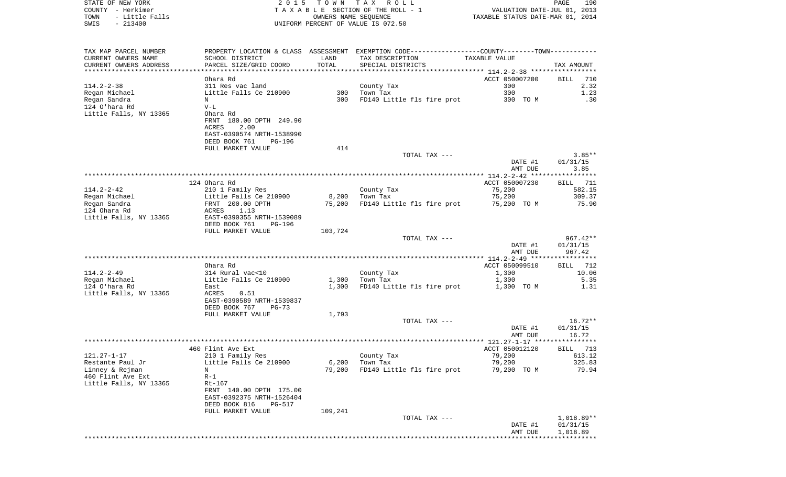| COUNTY - Herkimer                           |                                                      |         | TAXABLE SECTION OF THE ROLL - 1                                                                | VALUATION DATE-JUL 01, 2013      |                      |
|---------------------------------------------|------------------------------------------------------|---------|------------------------------------------------------------------------------------------------|----------------------------------|----------------------|
| TOWN<br>- Little Falls<br>$-213400$<br>SWIS |                                                      |         | OWNERS NAME SEQUENCE<br>UNIFORM PERCENT OF VALUE IS 072.50                                     | TAXABLE STATUS DATE-MAR 01, 2014 |                      |
|                                             |                                                      |         |                                                                                                |                                  |                      |
| TAX MAP PARCEL NUMBER                       |                                                      |         | PROPERTY LOCATION & CLASS ASSESSMENT EXEMPTION CODE---------------COUNTY--------TOWN---------- |                                  |                      |
| CURRENT OWNERS NAME                         | SCHOOL DISTRICT                                      | LAND    | TAX DESCRIPTION                                                                                | TAXABLE VALUE                    |                      |
| CURRENT OWNERS ADDRESS                      | PARCEL SIZE/GRID COORD                               | TOTAL   | SPECIAL DISTRICTS                                                                              |                                  | TAX AMOUNT           |
|                                             |                                                      |         |                                                                                                |                                  |                      |
|                                             | Ohara Rd                                             |         |                                                                                                | ACCT 050007200                   | BILL<br>710          |
| 114.2-2-38<br>Regan Michael                 | 311 Res vac land                                     | 300     | County Tax<br>Town Tax                                                                         | 300<br>300                       | 2.32<br>1.23         |
| Regan Sandra                                | Little Falls Ce 210900<br>N                          | 300     | FD140 Little fls fire prot                                                                     | 300 TO M                         | .30                  |
| 124 O'hara Rd                               | $V-L$                                                |         |                                                                                                |                                  |                      |
| Little Falls, NY 13365                      | Ohara Rd                                             |         |                                                                                                |                                  |                      |
|                                             | FRNT 180.00 DPTH 249.90                              |         |                                                                                                |                                  |                      |
|                                             | 2.00<br>ACRES                                        |         |                                                                                                |                                  |                      |
|                                             | EAST-0390574 NRTH-1538990                            |         |                                                                                                |                                  |                      |
|                                             | DEED BOOK 761<br>PG-196                              |         |                                                                                                |                                  |                      |
|                                             | FULL MARKET VALUE                                    | 414     |                                                                                                |                                  |                      |
|                                             |                                                      |         | TOTAL TAX ---                                                                                  | DATE #1                          | $3.85**$<br>01/31/15 |
|                                             |                                                      |         |                                                                                                | AMT DUE                          | 3.85                 |
|                                             |                                                      |         |                                                                                                |                                  |                      |
|                                             | 124 Ohara Rd                                         |         |                                                                                                | ACCT 050007230                   | BILL 711             |
| 114.2-2-42                                  | 210 1 Family Res                                     |         | County Tax                                                                                     | 75,200                           | 582.15               |
| Regan Michael                               | Little Falls Ce 210900                               | 8,200   | Town Tax                                                                                       | 75,200                           | 309.37               |
| Regan Sandra                                | FRNT 200.00 DPTH                                     |         | 75,200 FD140 Little fls fire prot                                                              | 75,200 TO M                      | 75.90                |
| 124 Ohara Rd                                | 1.13<br>ACRES                                        |         |                                                                                                |                                  |                      |
| Little Falls, NY 13365                      | EAST-0390355 NRTH-1539089<br>DEED BOOK 761<br>PG-196 |         |                                                                                                |                                  |                      |
|                                             | FULL MARKET VALUE                                    | 103,724 |                                                                                                |                                  |                      |
|                                             |                                                      |         | TOTAL TAX ---                                                                                  |                                  | $967.42**$           |
|                                             |                                                      |         |                                                                                                | DATE #1                          | 01/31/15             |
|                                             |                                                      |         |                                                                                                | AMT DUE                          | 967.42               |
|                                             |                                                      |         |                                                                                                |                                  |                      |
|                                             | Ohara Rd                                             |         |                                                                                                | ACCT 050099510                   | BILL 712             |
| 114.2-2-49<br>Regan Michael                 | 314 Rural vac<10<br>Little Falls Ce 210900           | 1,300   | County Tax<br>Town Tax                                                                         | 1,300<br>1,300                   | 10.06<br>5.35        |
| 124 O'hara Rd                               | East                                                 | 1,300   | FD140 Little fls fire prot                                                                     | 1,300 TO M                       | 1.31                 |
| Little Falls, NY 13365                      | ACRES<br>0.51                                        |         |                                                                                                |                                  |                      |
|                                             | EAST-0390589 NRTH-1539837                            |         |                                                                                                |                                  |                      |
|                                             | DEED BOOK 767<br>PG-73                               |         |                                                                                                |                                  |                      |
|                                             | FULL MARKET VALUE                                    | 1,793   |                                                                                                |                                  |                      |
|                                             |                                                      |         | TOTAL TAX ---                                                                                  |                                  | $16.72**$            |
|                                             |                                                      |         |                                                                                                | DATE #1                          | 01/31/15             |
|                                             |                                                      |         |                                                                                                | AMT DUE                          | 16.72                |
|                                             | 460 Flint Ave Ext                                    |         |                                                                                                | ACCT 050012120                   | 713<br>BILL          |
| 121.27-1-17                                 | 210 1 Family Res                                     |         | County Tax                                                                                     | 79,200                           | 613.12               |
| Restante Paul Jr                            | Little Falls Ce 210900                               | 6,200   | Town Tax                                                                                       | 79,200                           | 325.83               |
| Linney & Rejman                             | Ν                                                    | 79,200  | FD140 Little fls fire prot                                                                     | 79,200 TO M                      | 79.94                |
| 460 Flint Ave Ext                           | $R-1$                                                |         |                                                                                                |                                  |                      |
| Little Falls, NY 13365                      | Rt-167                                               |         |                                                                                                |                                  |                      |
|                                             | FRNT 140.00 DPTH 175.00                              |         |                                                                                                |                                  |                      |
|                                             | EAST-0392375 NRTH-1526404                            |         |                                                                                                |                                  |                      |
|                                             | DEED BOOK 816<br>PG-517<br>FULL MARKET VALUE         | 109,241 |                                                                                                |                                  |                      |
|                                             |                                                      |         | TOTAL TAX ---                                                                                  |                                  | $1,018.89**$         |
|                                             |                                                      |         |                                                                                                | DATE #1                          | 01/31/15             |
|                                             |                                                      |         |                                                                                                | AMT DUE                          | 1,018.89             |
|                                             |                                                      |         |                                                                                                |                                  |                      |

PAGE 190

STATE OF NEW YORK **EXECUTE:**  $2015$  TOWN TAX ROLL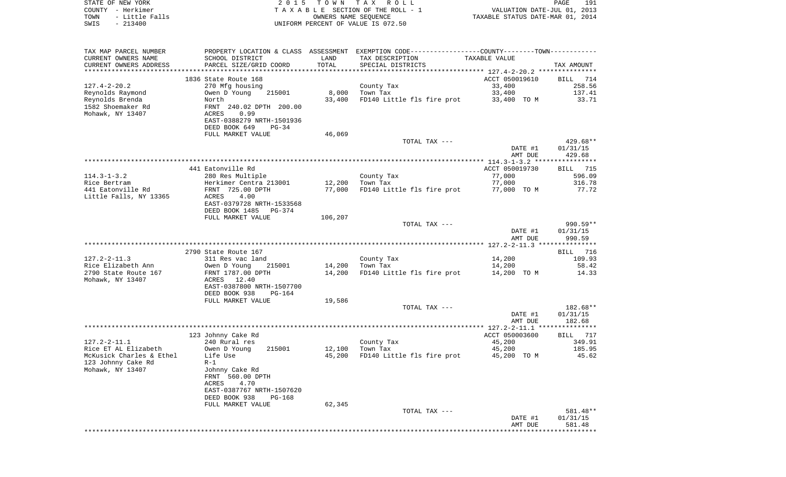| STATE OF NEW YORK<br>COUNTY - Herkimer        |                                                                       | 2015 TOWN            | T A X<br>R O L L<br>TAXABLE SECTION OF THE ROLL - 1                                         | VALUATION DATE-JUL 01, 2013      | PAGE<br>191                    |
|-----------------------------------------------|-----------------------------------------------------------------------|----------------------|---------------------------------------------------------------------------------------------|----------------------------------|--------------------------------|
| TOWN<br>- Little Falls<br>SWIS<br>$-213400$   |                                                                       | OWNERS NAME SEOUENCE | UNIFORM PERCENT OF VALUE IS 072.50                                                          | TAXABLE STATUS DATE-MAR 01, 2014 |                                |
| TAX MAP PARCEL NUMBER                         |                                                                       |                      | PROPERTY LOCATION & CLASS ASSESSMENT EXEMPTION CODE--------------COUNTY-------TOWN--------- |                                  |                                |
| CURRENT OWNERS NAME<br>CURRENT OWNERS ADDRESS | SCHOOL DISTRICT<br>PARCEL SIZE/GRID COORD                             | LAND<br>TOTAL        | TAX DESCRIPTION<br>SPECIAL DISTRICTS                                                        | TAXABLE VALUE                    | TAX AMOUNT                     |
|                                               |                                                                       |                      |                                                                                             |                                  |                                |
| $127.4 - 2 - 20.2$                            | 1836 State Route 168<br>270 Mfg housing                               |                      | County Tax                                                                                  | ACCT 050019610<br>33,400         | BILL<br>714<br>258.56          |
| Reynolds Raymond                              | Owen D Young<br>215001                                                | 8,000                | Town Tax                                                                                    | 33,400                           | 137.41                         |
| Reynolds Brenda                               | North                                                                 | 33,400               | FD140 Little fls fire prot                                                                  | 33,400 TO M                      | 33.71                          |
| 1582 Shoemaker Rd<br>Mohawk, NY 13407         | FRNT 240.02 DPTH 200.00<br>ACRES<br>0.99<br>EAST-0388279 NRTH-1501936 |                      |                                                                                             |                                  |                                |
|                                               | DEED BOOK 649<br>$PG-34$                                              |                      |                                                                                             |                                  |                                |
|                                               | FULL MARKET VALUE                                                     | 46,069               |                                                                                             |                                  |                                |
|                                               |                                                                       |                      | TOTAL TAX ---                                                                               | DATE #1<br>AMT DUE               | 429.68**<br>01/31/15<br>429.68 |
|                                               |                                                                       |                      |                                                                                             |                                  |                                |
|                                               | 441 Eatonville Rd                                                     |                      |                                                                                             | ACCT 050019730                   | 715<br>BILL                    |
| $114.3 - 1 - 3.2$                             | 280 Res Multiple                                                      |                      | County Tax                                                                                  | 77,000                           | 596.09                         |
| Rice Bertram<br>441 Eatonville Rd             | Herkimer Centra 213001<br>FRNT 725.00 DPTH                            | 12,200<br>77,000     | Town Tax<br>FD140 Little fls fire prot                                                      | 77,000<br>77,000 TO M            | 316.78<br>77.72                |
| Little Falls, NY 13365                        | ACRES<br>4.00                                                         |                      |                                                                                             |                                  |                                |
|                                               | EAST-0379728 NRTH-1533568<br>DEED BOOK 1485<br>PG-374                 |                      |                                                                                             |                                  |                                |
|                                               | FULL MARKET VALUE                                                     | 106,207              |                                                                                             |                                  |                                |
|                                               |                                                                       |                      | TOTAL TAX ---                                                                               | DATE #1<br>AMT DUE               | 990.59**<br>01/31/15<br>990.59 |
|                                               |                                                                       |                      |                                                                                             |                                  |                                |
|                                               | 2790 State Route 167                                                  |                      |                                                                                             |                                  | 716<br>BILL.                   |
| 127.2-2-11.3<br>Rice Elizabeth Ann            | 311 Res vac land                                                      | 14,200               | County Tax<br>Town Tax                                                                      | 14,200<br>14,200                 | 109.93<br>58.42                |
| 2790 State Route 167                          | 215001<br>Owen D Young<br>FRNT 1787.00 DPTH                           | 14,200               | FD140 Little fls fire prot                                                                  | 14,200 TO M                      | 14.33                          |
| Mohawk, NY 13407                              | 12.40<br>ACRES<br>EAST-0387800 NRTH-1507700                           |                      |                                                                                             |                                  |                                |
|                                               | DEED BOOK 938<br>PG-164                                               |                      |                                                                                             |                                  |                                |
|                                               | FULL MARKET VALUE                                                     | 19,586               | TOTAL TAX ---                                                                               |                                  | 182.68**                       |
|                                               |                                                                       |                      |                                                                                             | DATE #1<br>AMT DUE               | 01/31/15<br>182.68             |
|                                               |                                                                       |                      |                                                                                             |                                  |                                |
|                                               | 123 Johnny Cake Rd                                                    |                      |                                                                                             | ACCT 050003600                   | 717<br>BILL                    |
| $127.2 - 2 - 11.1$<br>Rice ET AL Elizabeth    | 240 Rural res<br>Owen D Young<br>215001                               | 12,100               | County Tax<br>Town Tax                                                                      | 45,200<br>45,200                 | 349.91<br>185.95               |
| McKusick Charles & Ethel                      | Life Use                                                              | 45,200               | FD140 Little fls fire prot                                                                  | 45,200 TO M                      | 45.62                          |
| 123 Johnny Cake Rd                            | $R-1$                                                                 |                      |                                                                                             |                                  |                                |
| Mohawk, NY 13407                              | Johnny Cake Rd<br>FRNT 560.00 DPTH<br>ACRES<br>4.70                   |                      |                                                                                             |                                  |                                |
|                                               | EAST-0387767 NRTH-1507620<br>DEED BOOK 938<br>PG-168                  |                      |                                                                                             |                                  |                                |
|                                               | FULL MARKET VALUE                                                     | 62,345               |                                                                                             |                                  |                                |
|                                               |                                                                       |                      | TOTAL TAX ---                                                                               | DATE #1                          | 581.48**<br>01/31/15           |

\*\*\*\*\*\*\*\*\*\*\*\*\*\*\*\*\*\*\*\*\*\*\*\*\*\*\*\*\*\*\*\*\*\*\*\*\*\*\*\*\*\*\*\*\*\*\*\*\*\*\*\*\*\*\*\*\*\*\*\*\*\*\*\*\*\*\*\*\*\*\*\*\*\*\*\*\*\*\*\*\*\*\*\*\*\*\*\*\*\*\*\*\*\*\*\*\*\*\*\*\*\*\*\*\*\*\*\*\*\*\*\*\*\*\*\*\*\*\*\*\*\*\*\*\*\*\*\*\*\*\*\*

AMT DUE 581.48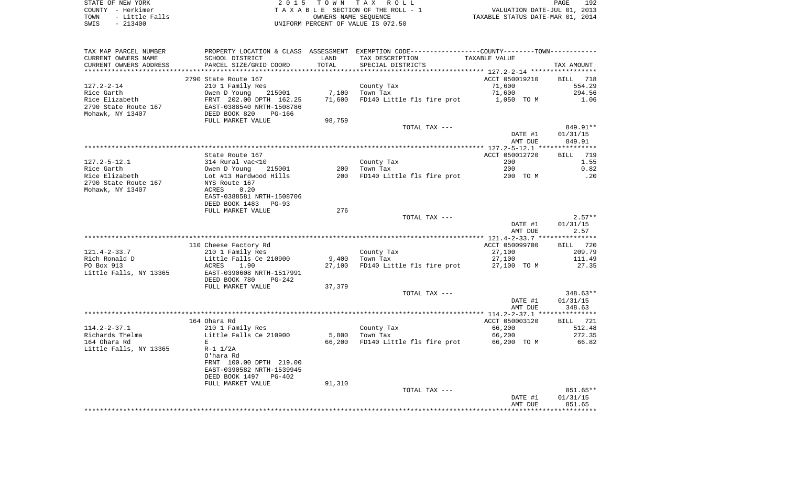| STATE OF NEW YORK      | 2015 TOWN TAX ROLL                 | 192<br>PAGE                      |
|------------------------|------------------------------------|----------------------------------|
| COUNTY - Herkimer      | TAXABLE SECTION OF THE ROLL - 1    | VALUATION DATE-JUL 01, 2013      |
| - Little Falls<br>TOWN | OWNERS NAME SEOUENCE               | TAXABLE STATUS DATE-MAR 01, 2014 |
| $-213400$<br>SWIS      | UNIFORM PERCENT OF VALUE IS 072.50 |                                  |

| TAX MAP PARCEL NUMBER                         |                                                                                    |               | PROPERTY LOCATION & CLASS ASSESSMENT EXEMPTION CODE---------------COUNTY--------TOWN---------- | TAXABLE VALUE            |                              |
|-----------------------------------------------|------------------------------------------------------------------------------------|---------------|------------------------------------------------------------------------------------------------|--------------------------|------------------------------|
| CURRENT OWNERS NAME<br>CURRENT OWNERS ADDRESS | SCHOOL DISTRICT<br>PARCEL SIZE/GRID COORD                                          | LAND<br>TOTAL | TAX DESCRIPTION<br>SPECIAL DISTRICTS                                                           |                          | TAX AMOUNT                   |
|                                               |                                                                                    |               |                                                                                                |                          |                              |
|                                               | 2790 State Route 167                                                               |               |                                                                                                | ACCT 050019210           | BILL 718                     |
| $127.2 - 2 - 14$                              | 210 1 Family Res                                                                   |               | County Tax                                                                                     | 71,600                   | 554.29                       |
| Rice Garth                                    | 215001                                                                             | 7,100         | Town Tax                                                                                       | 71,600                   | 294.56                       |
| Rice Elizabeth                                |                                                                                    | 71,600        | FD140 Little fls fire prot                                                                     | 1,050 TO M               | 1.06                         |
| 2790 State Route 167                          |                                                                                    |               |                                                                                                |                          |                              |
| Mohawk, NY 13407                              |                                                                                    |               |                                                                                                |                          |                              |
|                                               | FULL MARKET VALUE                                                                  | 98,759        |                                                                                                |                          |                              |
|                                               |                                                                                    |               | TOTAL TAX ---                                                                                  |                          | 849.91**                     |
|                                               |                                                                                    |               |                                                                                                | DATE #1                  | 01/31/15                     |
|                                               |                                                                                    |               |                                                                                                | AMT DUE                  | 849.91                       |
|                                               |                                                                                    |               |                                                                                                |                          |                              |
|                                               | State Route 167                                                                    |               |                                                                                                | ACCT 050012720           | BILL 719                     |
| 127.2-5-12.1                                  |                                                                                    |               | County Tax                                                                                     | 200                      | 1.55                         |
| Rice Garth                                    |                                                                                    | 200           | Town Tax                                                                                       | 200                      | 0.82                         |
| Rice Elizabeth                                | 314 Rural vac<10<br>Owen D Young 215001<br>Lot #13 Hardwood Hills<br>NYS Route 167 |               | 200 FD140 Little fls fire prot                                                                 | 200 TO M                 | $\overline{\phantom{0}}$ .20 |
| 2790 State Route 167                          |                                                                                    |               |                                                                                                |                          |                              |
| Mohawk, NY 13407                              | ACRES 0.20                                                                         |               |                                                                                                |                          |                              |
|                                               | EAST-0388581 NRTH-1508706                                                          |               |                                                                                                |                          |                              |
|                                               | DEED BOOK 1483<br>PG-93                                                            |               |                                                                                                |                          |                              |
|                                               | FULL MARKET VALUE                                                                  | 276           |                                                                                                |                          |                              |
|                                               |                                                                                    |               | TOTAL TAX ---                                                                                  |                          | $2.57**$                     |
|                                               |                                                                                    |               |                                                                                                | DATE #1                  | 01/31/15                     |
|                                               |                                                                                    |               |                                                                                                | AMT DUE                  | 2.57                         |
|                                               |                                                                                    |               |                                                                                                |                          |                              |
|                                               | 110 Cheese Factory Rd                                                              |               |                                                                                                | ACCT 050099700           | BILL 720                     |
| 121.4-2-33.7                                  | 210 1 Family Res                                                                   |               | County Tax                                                                                     | 27,100                   | 209.79                       |
| Rich Ronald D                                 | Zio i Family Res<br>Little Falls Ce 210900                                         |               | 9,400 Town Tax                                                                                 | 27,100                   | 111.49                       |
| PO Box 913                                    | ACRES 1.90                                                                         |               | 27,100 FD140 Little fls fire prot 27,100 TO M                                                  |                          | 27.35                        |
| Little Falls, NY 13365                        | EAST-0390608 NRTH-1517991                                                          |               |                                                                                                |                          |                              |
|                                               | DEED BOOK 780<br>PG-242                                                            |               |                                                                                                |                          |                              |
|                                               | FULL MARKET VALUE                                                                  | 37,379        |                                                                                                |                          |                              |
|                                               |                                                                                    |               | TOTAL TAX ---                                                                                  |                          | $348.63**$                   |
|                                               |                                                                                    |               |                                                                                                | DATE #1                  | 01/31/15                     |
|                                               |                                                                                    |               |                                                                                                | AMT DUE                  | 348.63                       |
|                                               |                                                                                    |               |                                                                                                |                          |                              |
|                                               | 164 Ohara Rd<br>210 1 Family Res                                                   |               |                                                                                                | ACCT 050003120<br>66,200 | BILL 721<br>512.48           |
| 114.2-2-37.1<br>Richards Thelma               | Little Falls Ce 210900                                                             |               | County Tax<br>5,800 Town Tax                                                                   | 66,200                   | 272.35                       |
| 164 Ohara Rd                                  | E                                                                                  | 66,200        | FD140 Little fls fire prot 66,200 TO M                                                         |                          | 66.82                        |
| Little Falls, NY 13365                        | $R-1$ $1/2A$                                                                       |               |                                                                                                |                          |                              |
|                                               | O'hara Rd                                                                          |               |                                                                                                |                          |                              |
|                                               | FRNT 100.00 DPTH 219.00                                                            |               |                                                                                                |                          |                              |
|                                               | EAST-0390582 NRTH-1539945                                                          |               |                                                                                                |                          |                              |
|                                               | DEED BOOK 1497 PG-402                                                              |               |                                                                                                |                          |                              |
|                                               | FULL MARKET VALUE                                                                  | 91,310        |                                                                                                |                          |                              |
|                                               |                                                                                    |               | TOTAL TAX ---                                                                                  |                          | 851.65**                     |
|                                               |                                                                                    |               |                                                                                                | DATE #1                  | 01/31/15                     |
|                                               |                                                                                    |               |                                                                                                | AMT DUE                  | 851.65                       |
|                                               |                                                                                    |               |                                                                                                |                          |                              |
|                                               |                                                                                    |               |                                                                                                |                          |                              |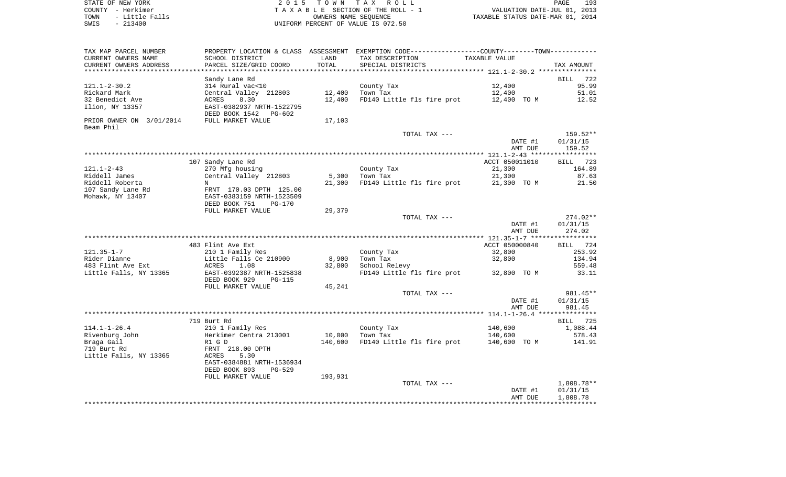| STATE OF NEW YORK      | 2015 TOWN TAX ROLL                 | 193<br>PAGE                      |
|------------------------|------------------------------------|----------------------------------|
| COUNTY - Herkimer      | TAXABLE SECTION OF THE ROLL - 1    | VALUATION DATE-JUL 01, 2013      |
| - Little Falls<br>TOWN | OWNERS NAME SEOUENCE               | TAXABLE STATUS DATE-MAR 01, 2014 |
| $-213400$<br>SWIS      | UNIFORM PERCENT OF VALUE IS 072.50 |                                  |

| TAX MAP PARCEL NUMBER                 |                                                    |         | PROPERTY LOCATION & CLASS ASSESSMENT EXEMPTION CODE---------------COUNTY-------TOWN---------- |                |            |
|---------------------------------------|----------------------------------------------------|---------|-----------------------------------------------------------------------------------------------|----------------|------------|
| CURRENT OWNERS NAME                   | SCHOOL DISTRICT                                    | LAND    | TAX DESCRIPTION                                                                               | TAXABLE VALUE  |            |
| CURRENT OWNERS ADDRESS                | PARCEL SIZE/GRID COORD                             | TOTAL   | SPECIAL DISTRICTS                                                                             |                | TAX AMOUNT |
|                                       |                                                    |         |                                                                                               |                |            |
|                                       | Sandy Lane Rd                                      |         |                                                                                               |                | BILL 722   |
| 121.1-2-30.2                          | 314 Rural vac<10                                   |         | County Tax                                                                                    | 12,400         | 95.99      |
| Rickard Mark                          | Central Valley 212803                              | 12,400  | Town Tax                                                                                      | 12,400         | 51.01      |
| 32 Benedict Ave                       | ACRES<br>8.30                                      | 12,400  | FD140 Little fls fire prot                                                                    | 12,400 TO M    | 12.52      |
| Ilion, NY 13357                       | EAST-0382937 NRTH-1522795<br>DEED BOOK 1542 PG-602 |         |                                                                                               |                |            |
| PRIOR OWNER ON 3/01/2014<br>Beam Phil | FULL MARKET VALUE                                  | 17,103  |                                                                                               |                |            |
|                                       |                                                    |         | TOTAL TAX ---                                                                                 |                | 159.52**   |
|                                       |                                                    |         |                                                                                               | DATE #1        | 01/31/15   |
|                                       |                                                    |         |                                                                                               | AMT DUE        | 159.52     |
|                                       |                                                    |         |                                                                                               |                |            |
|                                       | 107 Sandy Lane Rd                                  |         |                                                                                               | ACCT 050011010 | BILL 723   |
| 121.1-2-43                            | 270 Mfg housing                                    |         | County Tax                                                                                    | 21,300         | 164.89     |
| Riddell James                         | Central Valley 212803                              | 5,300   | Town Tax                                                                                      | 21,300         | 87.63      |
| Riddell Roberta                       | $\mathbf N$                                        | 21,300  | FD140 Little fls fire prot                                                                    | 21,300 TO M    | 21.50      |
| 107 Sandy Lane Rd                     | FRNT 170.03 DPTH 125.00                            |         |                                                                                               |                |            |
| Mohawk, NY 13407                      | EAST-0383159 NRTH-1523509                          |         |                                                                                               |                |            |
|                                       | DEED BOOK 751<br>PG-170                            |         |                                                                                               |                |            |
|                                       | FULL MARKET VALUE                                  | 29,379  |                                                                                               |                |            |
|                                       |                                                    |         | TOTAL TAX ---                                                                                 |                | $274.02**$ |
|                                       |                                                    |         |                                                                                               | DATE #1        | 01/31/15   |
|                                       |                                                    |         |                                                                                               | AMT DUE        | 274.02     |
|                                       |                                                    |         |                                                                                               |                |            |
|                                       | 483 Flint Ave Ext                                  |         |                                                                                               | ACCT 050000840 | BILL 724   |
| 121.35-1-7                            | 210 1 Family Res                                   |         | County Tax                                                                                    | 32,800         | 253.92     |
| Rider Dianne                          | Little Falls Ce 210900                             | 8,900   | Town Tax                                                                                      | 32,800         | 134.94     |
| 483 Flint Ave Ext                     | ACRES<br>1.08                                      | 32,800  | School Relevy                                                                                 |                | 559.48     |
| Little Falls, NY 13365                | EAST-0392387 NRTH-1525838                          |         | FD140 Little fls fire prot 32,800 TO M                                                        |                | 33.11      |
|                                       | DEED BOOK 929<br>PG-115                            |         |                                                                                               |                |            |
|                                       | FULL MARKET VALUE                                  | 45,241  | TOTAL TAX ---                                                                                 |                | 981.45**   |
|                                       |                                                    |         |                                                                                               | DATE #1        | 01/31/15   |
|                                       |                                                    |         |                                                                                               | AMT DUE        | 981.45     |
|                                       |                                                    |         |                                                                                               |                |            |
|                                       | 719 Burt Rd                                        |         |                                                                                               |                | BILL 725   |
| $114.1 - 1 - 26.4$                    | 210 1 Family Res                                   |         | County Tax                                                                                    | 140,600        | 1,088.44   |
| Rivenburg John                        | Herkimer Centra 213001                             | 10,000  | Town Tax                                                                                      | 140,600        | 578.43     |
| Braga Gail                            | R1 G D                                             | 140,600 | FD140 Little fls fire prot                                                                    | 140,600 TO M   | 141.91     |
| 719 Burt Rd                           | FRNT 218.00 DPTH                                   |         |                                                                                               |                |            |
| Little Falls, NY 13365                | ACRES<br>5.30                                      |         |                                                                                               |                |            |
|                                       | EAST-0384881 NRTH-1536934                          |         |                                                                                               |                |            |
|                                       | DEED BOOK 893<br>PG-529                            |         |                                                                                               |                |            |
|                                       | FULL MARKET VALUE                                  | 193,931 |                                                                                               |                |            |
|                                       |                                                    |         | TOTAL TAX ---                                                                                 |                | 1,808.78** |
|                                       |                                                    |         |                                                                                               | DATE #1        | 01/31/15   |
|                                       |                                                    |         |                                                                                               | AMT DUE        | 1,808.78   |
|                                       |                                                    |         |                                                                                               |                |            |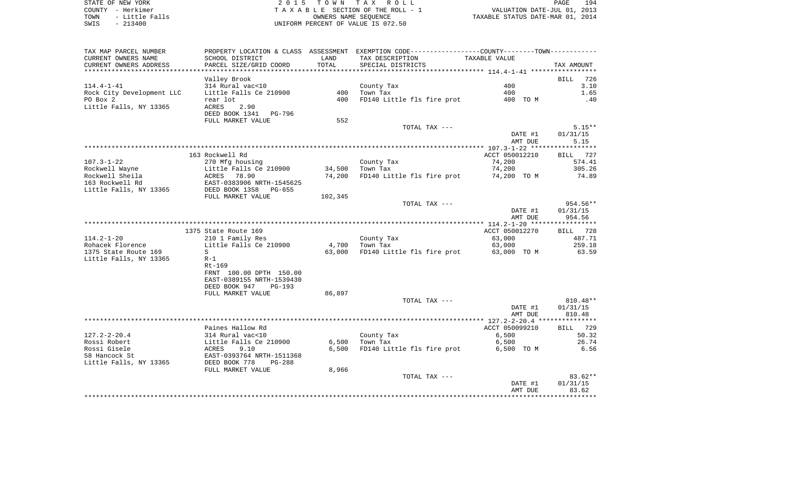STATE OF NEW YORK **EXECUTE:**  $2015$  TOWN TAX ROLL COUNTY - Herkimer<br>
T A X A B L E SECTION OF THE ROLL - 1<br>
T A X A B L E SECTION OF THE ROLL - 1<br>
OWNERS NAME SEQUENCE<br>
SWIS - 213400<br>
OWNERS NAME SEQUENCE TOWN - Little Falls OWNERS NAME SEQUENCE TAXABLE STATUS DATE-MAR 01, 2014 SWIS - 213400 UNIFORM PERCENT OF VALUE IS 072.50

| TAX MAP PARCEL NUMBER     | PROPERTY LOCATION & CLASS ASSESSMENT |         | EXEMPTION CODE-----------------COUNTY--------TOWN----------- |                |                       |
|---------------------------|--------------------------------------|---------|--------------------------------------------------------------|----------------|-----------------------|
| CURRENT OWNERS NAME       | SCHOOL DISTRICT                      | LAND    | TAX DESCRIPTION                                              | TAXABLE VALUE  |                       |
| CURRENT OWNERS ADDRESS    | PARCEL SIZE/GRID COORD               | TOTAL   | SPECIAL DISTRICTS                                            |                | TAX AMOUNT            |
|                           |                                      |         |                                                              |                |                       |
|                           | Valley Brook                         |         |                                                              |                | 726<br><b>BILL</b>    |
| $114.4 - 1 - 41$          | 314 Rural vac<10                     |         | County Tax                                                   | 400            | 3.10                  |
| Rock City Development LLC | Little Falls Ce 210900               | 400     | Town Tax                                                     | 400            | 1.65                  |
| PO Box 2                  | rear lot                             | 400     | FD140 Little fls fire prot                                   | 400 TO M       | .40                   |
| Little Falls, NY 13365    | ACRES<br>2.90                        |         |                                                              |                |                       |
|                           | DEED BOOK 1341<br>PG-796             |         |                                                              |                |                       |
|                           | FULL MARKET VALUE                    | 552     |                                                              |                |                       |
|                           |                                      |         | TOTAL TAX ---                                                |                | $5.15**$              |
|                           |                                      |         |                                                              | DATE #1        | 01/31/15              |
|                           |                                      |         |                                                              | AMT DUE        | 5.15                  |
|                           |                                      |         |                                                              |                |                       |
|                           | 163 Rockwell Rd                      |         |                                                              | ACCT 050012210 | 727<br><b>BILL</b>    |
| $107.3 - 1 - 22$          | 270 Mfg housing                      |         | County Tax                                                   | 74,200         | 574.41                |
| Rockwell Wayne            | Little Falls Ce 210900               | 34,500  | Town Tax                                                     | 74,200         | 305.26                |
| Rockwell Sheila           | ACRES 78.90                          | 74,200  | FD140 Little fls fire prot                                   | 74,200 TO M    | 74.89                 |
| 163 Rockwell Rd           | EAST-0383906 NRTH-1545625            |         |                                                              |                |                       |
|                           | DEED BOOK 1358<br>PG-655             |         |                                                              |                |                       |
| Little Falls, NY 13365    |                                      |         |                                                              |                |                       |
|                           | FULL MARKET VALUE                    | 102,345 |                                                              |                | 954.56**              |
|                           |                                      |         | TOTAL TAX ---                                                |                |                       |
|                           |                                      |         |                                                              | DATE #1        | 01/31/15              |
|                           |                                      |         |                                                              | AMT DUE        | 954.56<br>*********** |
|                           |                                      |         |                                                              |                |                       |
|                           | 1375 State Route 169                 |         |                                                              | ACCT 050012270 | 728<br>BILL           |
| $114.2 - 1 - 20$          | 210 1 Family Res                     |         | County Tax                                                   | 63,000         | 487.71                |
| Rohacek Florence          | Little Falls Ce 210900               | 4,700   | Town Tax                                                     | 63,000         | 259.18                |
| 1375 State Route 169      | S                                    | 63,000  | FD140 Little fls fire prot                                   | 63,000 TO M    | 63.59                 |
| Little Falls, NY 13365    | $R-1$                                |         |                                                              |                |                       |
|                           | Rt-169                               |         |                                                              |                |                       |
|                           | FRNT 100.00 DPTH 150.00              |         |                                                              |                |                       |
|                           | EAST-0389155 NRTH-1539430            |         |                                                              |                |                       |
|                           | DEED BOOK 947<br>$PG-193$            |         |                                                              |                |                       |
|                           | FULL MARKET VALUE                    | 86,897  |                                                              |                |                       |
|                           |                                      |         | TOTAL TAX ---                                                |                | $810.48**$            |
|                           |                                      |         |                                                              | DATE #1        | 01/31/15              |
|                           |                                      |         |                                                              | AMT DUE        | 810.48                |
|                           |                                      |         |                                                              |                |                       |
|                           | Paines Hallow Rd                     |         |                                                              | ACCT 050099210 | 729<br>BILL           |
| $127.2 - 2 - 20.4$        | 314 Rural vac<10                     |         | County Tax                                                   | 6,500          | 50.32                 |
| Rossi Robert              | Little Falls Ce 210900               | 6,500   | Town Tax                                                     | 6,500          | 26.74                 |
| Rossi Gisele              | ACRES<br>9.10                        | 6,500   | FD140 Little fls fire prot                                   | 6,500 TO M     | 6.56                  |
| 58 Hancock St             | EAST-0393764 NRTH-1511368            |         |                                                              |                |                       |
| Little Falls, NY 13365    | DEED BOOK 778<br><b>PG-288</b>       |         |                                                              |                |                       |
|                           | FULL MARKET VALUE                    | 8,966   |                                                              |                |                       |
|                           |                                      |         | TOTAL TAX ---                                                |                | $83.62**$             |
|                           |                                      |         |                                                              | DATE #1        | 01/31/15              |
|                           |                                      |         |                                                              | AMT DUE        | 83.62                 |
|                           |                                      |         |                                                              |                |                       |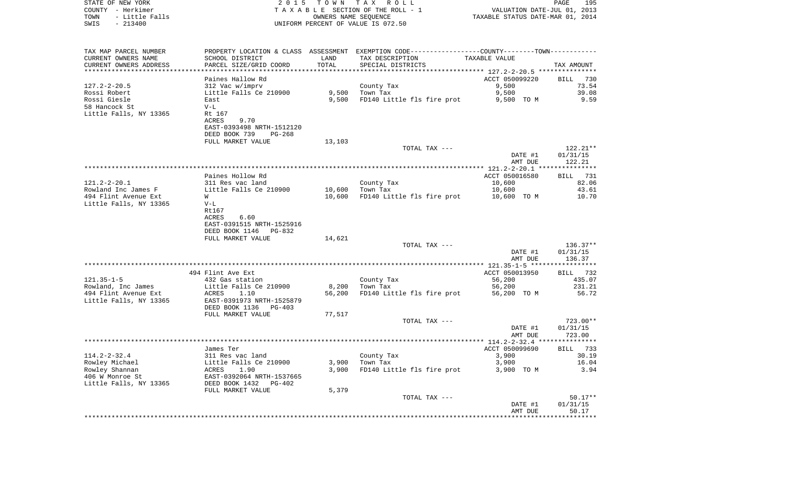| STATE OF NEW YORK<br>COUNTY - Herkimer<br>TOWN<br>- Little Falls<br>$-213400$<br>SWIS | 2 0 1 5                                    | OWNERS NAME SEQUENCE | TOWN TAX ROLL<br>TAXABLE SECTION OF THE ROLL - 1<br>UNIFORM PERCENT OF VALUE IS 072.50        | VALUATION DATE-JUL 01, 2013<br>TAXABLE STATUS DATE-MAR 01, 2014 | PAGE<br>195          |
|---------------------------------------------------------------------------------------|--------------------------------------------|----------------------|-----------------------------------------------------------------------------------------------|-----------------------------------------------------------------|----------------------|
|                                                                                       |                                            |                      |                                                                                               |                                                                 |                      |
| TAX MAP PARCEL NUMBER                                                                 |                                            |                      | PROPERTY LOCATION & CLASS ASSESSMENT EXEMPTION CODE---------------COUNTY-------TOWN---------- |                                                                 |                      |
| CURRENT OWNERS NAME                                                                   | SCHOOL DISTRICT                            | LAND                 | TAX DESCRIPTION                                                                               | TAXABLE VALUE                                                   |                      |
| CURRENT OWNERS ADDRESS                                                                | PARCEL SIZE/GRID COORD                     | TOTAL                | SPECIAL DISTRICTS                                                                             |                                                                 | TAX AMOUNT           |
| ***********************                                                               |                                            |                      |                                                                                               |                                                                 |                      |
|                                                                                       | Paines Hallow Rd                           |                      |                                                                                               | ACCT 050099220<br>9,500                                         | BILL<br>730<br>73.54 |
| 127.2-2-20.5<br>Rossi Robert                                                          | 312 Vac w/imprv<br>Little Falls Ce 210900  | 9,500                | County Tax<br>Town Tax                                                                        | 9,500                                                           | 39.08                |
| Rossi Giesle                                                                          | East                                       | 9,500                | FD140 Little fls fire prot                                                                    | 9,500 TO M                                                      | 9.59                 |
| 58 Hancock St                                                                         | $V-L$                                      |                      |                                                                                               |                                                                 |                      |
| Little Falls, NY 13365                                                                | Rt 167                                     |                      |                                                                                               |                                                                 |                      |
|                                                                                       | 9.70<br>ACRES                              |                      |                                                                                               |                                                                 |                      |
|                                                                                       | EAST-0393498 NRTH-1512120                  |                      |                                                                                               |                                                                 |                      |
|                                                                                       | DEED BOOK 739<br>PG-268                    |                      |                                                                                               |                                                                 |                      |
|                                                                                       | FULL MARKET VALUE                          | 13,103               |                                                                                               |                                                                 |                      |
|                                                                                       |                                            |                      | TOTAL TAX ---                                                                                 |                                                                 | $122.21**$           |
|                                                                                       |                                            |                      |                                                                                               | DATE #1                                                         | 01/31/15             |
|                                                                                       |                                            |                      |                                                                                               | AMT DUE                                                         | 122.21               |
|                                                                                       |                                            |                      |                                                                                               |                                                                 |                      |
|                                                                                       | Paines Hollow Rd                           |                      |                                                                                               | ACCT 050016580                                                  | 731<br>BILL          |
| 121.2-2-20.1                                                                          | 311 Res vac land                           |                      | County Tax                                                                                    | 10,600                                                          | 82.06                |
| Rowland Inc James F<br>494 Flint Avenue Ext                                           | Little Falls Ce 210900                     | 10,600<br>10,600     | Town Tax                                                                                      | 10,600<br>10,600 TO M                                           | 43.61<br>10.70       |
| Little Falls, NY 13365                                                                | W<br>$V-L$                                 |                      | FD140 Little fls fire prot                                                                    |                                                                 |                      |
|                                                                                       | Rt167                                      |                      |                                                                                               |                                                                 |                      |
|                                                                                       | ACRES<br>6.60                              |                      |                                                                                               |                                                                 |                      |
|                                                                                       | EAST-0391515 NRTH-1525916                  |                      |                                                                                               |                                                                 |                      |
|                                                                                       | DEED BOOK 1146<br>PG-832                   |                      |                                                                                               |                                                                 |                      |
|                                                                                       | FULL MARKET VALUE                          | 14,621               |                                                                                               |                                                                 |                      |
|                                                                                       |                                            |                      | TOTAL TAX ---                                                                                 |                                                                 | $136.37**$           |
|                                                                                       |                                            |                      |                                                                                               | DATE #1                                                         | 01/31/15             |
|                                                                                       |                                            |                      |                                                                                               | AMT DUE                                                         | 136.37               |
|                                                                                       |                                            |                      |                                                                                               |                                                                 |                      |
|                                                                                       | 494 Flint Ave Ext                          |                      |                                                                                               | ACCT 050013950                                                  | BILL 732             |
| 121.35–1–5                                                                            | 432 Gas station                            |                      | County Tax                                                                                    | 56,200                                                          | 435.07               |
| Rowland, Inc James<br>494 Flint Avenue Ext                                            | Little Falls Ce 210900<br>1.10<br>ACRES    | 8,200<br>56,200      | Town Tax<br>FD140 Little fls fire prot                                                        | 56,200<br>56,200 TO M                                           | 231.21<br>56.72      |
| Little Falls, NY 13365                                                                | EAST-0391973 NRTH-1525879                  |                      |                                                                                               |                                                                 |                      |
|                                                                                       | DEED BOOK 1136<br>PG-403                   |                      |                                                                                               |                                                                 |                      |
|                                                                                       | FULL MARKET VALUE                          | 77,517               |                                                                                               |                                                                 |                      |
|                                                                                       |                                            |                      | TOTAL TAX ---                                                                                 |                                                                 | 723.00**             |
|                                                                                       |                                            |                      |                                                                                               | DATE #1                                                         | 01/31/15             |
|                                                                                       |                                            |                      |                                                                                               | AMT DUE                                                         | 723.00               |
|                                                                                       |                                            |                      |                                                                                               |                                                                 |                      |
|                                                                                       | James Ter                                  |                      |                                                                                               | ACCT 050099690                                                  | BILL 733             |
| 114.2-2-32.4                                                                          | 311 Res vac land                           |                      | County Tax                                                                                    | 3,900                                                           | 30.19                |
| Rowley Michael                                                                        | Little Falls Ce 210900                     | 3,900                | Town Tax                                                                                      | 3,900                                                           | 16.04                |
| Rowley Shannan<br>406 W Monroe St                                                     | 1.90<br>ACRES<br>EAST-0392064 NRTH-1537665 | 3,900                | FD140 Little fls fire prot                                                                    | 3,900 TO M                                                      | 3.94                 |
| Little Falls, NY 13365                                                                | DEED BOOK 1432<br>PG-402                   |                      |                                                                                               |                                                                 |                      |
|                                                                                       | FULL MARKET VALUE                          | 5,379                |                                                                                               |                                                                 |                      |
|                                                                                       |                                            |                      | TOTAL TAX ---                                                                                 |                                                                 | $50.17**$            |
|                                                                                       |                                            |                      |                                                                                               | DATE #1                                                         | 01/31/15             |
|                                                                                       |                                            |                      |                                                                                               | AMT DUE                                                         | 50.17                |
|                                                                                       |                                            |                      |                                                                                               |                                                                 |                      |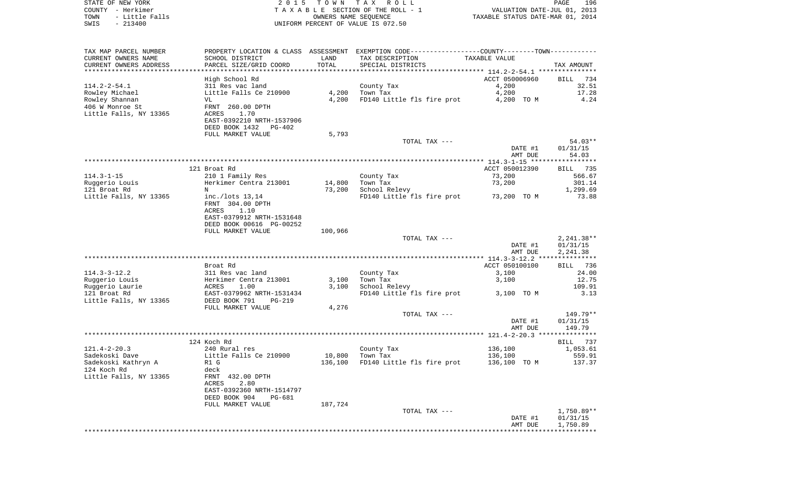| STATE OF NEW YORK<br>COUNTY - Herkimer<br>- Little Falls<br>TOWN<br>$-213400$<br>SWIS | 2 0 1 5                                    | T O W N        | TAX ROLL<br>TAXABLE SECTION OF THE ROLL - 1<br>OWNERS NAME SEQUENCE<br>UNIFORM PERCENT OF VALUE IS 072.50 | TAXABLE STATUS DATE-MAR 01, 2014 | PAGE<br>196<br>VALUATION DATE-JUL 01, 2013 |
|---------------------------------------------------------------------------------------|--------------------------------------------|----------------|-----------------------------------------------------------------------------------------------------------|----------------------------------|--------------------------------------------|
| TAX MAP PARCEL NUMBER                                                                 |                                            |                | PROPERTY LOCATION & CLASS ASSESSMENT EXEMPTION CODE---------------COUNTY-------TOWN----------             |                                  |                                            |
| CURRENT OWNERS NAME                                                                   | SCHOOL DISTRICT                            | LAND           | TAX DESCRIPTION                                                                                           | TAXABLE VALUE                    |                                            |
| CURRENT OWNERS ADDRESS<br>************************                                    | PARCEL SIZE/GRID COORD                     | TOTAL          | SPECIAL DISTRICTS                                                                                         |                                  | TAX AMOUNT                                 |
|                                                                                       | High School Rd                             |                |                                                                                                           | ACCT 050006960                   | 734<br>BILL                                |
| $114.2 - 2 - 54.1$                                                                    | 311 Res vac land                           |                | County Tax                                                                                                | 4,200                            | 32.51                                      |
| Rowley Michael                                                                        | Little Falls Ce 210900                     | 4,200          | Town Tax                                                                                                  | 4,200                            | 17.28                                      |
| Rowley Shannan                                                                        | VL                                         | 4,200          | FD140 Little fls fire prot                                                                                | 4,200 TO M                       | 4.24                                       |
| 406 W Monroe St                                                                       | FRNT 260.00 DPTH                           |                |                                                                                                           |                                  |                                            |
| Little Falls, NY 13365                                                                | ACRES<br>1.70                              |                |                                                                                                           |                                  |                                            |
|                                                                                       | EAST-0392210 NRTH-1537906                  |                |                                                                                                           |                                  |                                            |
|                                                                                       | DEED BOOK 1432<br>PG-402                   |                |                                                                                                           |                                  |                                            |
|                                                                                       | FULL MARKET VALUE                          | 5,793          |                                                                                                           |                                  | $54.03**$                                  |
|                                                                                       |                                            |                | TOTAL TAX ---                                                                                             | DATE #1                          | 01/31/15                                   |
|                                                                                       |                                            |                |                                                                                                           | AMT DUE                          | 54.03                                      |
|                                                                                       |                                            |                |                                                                                                           |                                  |                                            |
|                                                                                       | 121 Broat Rd                               |                |                                                                                                           | ACCT 050012390                   | BILL 735                                   |
| $114.3 - 1 - 15$                                                                      | 210 1 Family Res                           |                | County Tax                                                                                                | 73,200                           | 566.67                                     |
| Ruggerio Louis                                                                        | Herkimer Centra 213001                     | 14,800         | Town Tax                                                                                                  | 73,200                           | 301.14                                     |
| 121 Broat Rd                                                                          | N                                          | 73,200         | School Relevy                                                                                             |                                  | 1,299.69                                   |
| Little Falls, NY 13365                                                                | inc./lots $13,14$                          |                | FD140 Little fls fire prot                                                                                | 73,200 TO M                      | 73.88                                      |
|                                                                                       | FRNT 304.00 DPTH                           |                |                                                                                                           |                                  |                                            |
|                                                                                       | ACRES<br>1.10<br>EAST-0379912 NRTH-1531648 |                |                                                                                                           |                                  |                                            |
|                                                                                       | DEED BOOK 00616 PG-00252                   |                |                                                                                                           |                                  |                                            |
|                                                                                       | FULL MARKET VALUE                          | 100,966        |                                                                                                           |                                  |                                            |
|                                                                                       |                                            |                | TOTAL TAX ---                                                                                             |                                  | $2,241.38**$                               |
|                                                                                       |                                            |                |                                                                                                           | DATE #1                          | 01/31/15                                   |
|                                                                                       |                                            |                |                                                                                                           | AMT DUE                          | 2,241.38                                   |
|                                                                                       |                                            |                |                                                                                                           |                                  |                                            |
|                                                                                       | Broat Rd                                   |                |                                                                                                           | ACCT 050100100                   | 736<br>BILL                                |
| $114.3 - 3 - 12.2$                                                                    | 311 Res vac land                           |                | County Tax                                                                                                | 3,100                            | 24.00                                      |
| Ruggerio Louis<br>Ruggerio Laurie                                                     | Herkimer Centra 213001<br>ACRES<br>1.00    | 3,100<br>3,100 | Town Tax<br>School Relevy                                                                                 | 3,100                            | 12.75<br>109.91                            |
| 121 Broat Rd                                                                          | EAST-0379962 NRTH-1531434                  |                | FD140 Little fls fire prot                                                                                | 3,100 TO M                       | 3.13                                       |
| Little Falls, NY 13365                                                                | DEED BOOK 791<br>PG-219                    |                |                                                                                                           |                                  |                                            |
|                                                                                       | FULL MARKET VALUE                          | 4,276          |                                                                                                           |                                  |                                            |
|                                                                                       |                                            |                | TOTAL TAX ---                                                                                             |                                  | 149.79**                                   |
|                                                                                       |                                            |                |                                                                                                           | DATE #1                          | 01/31/15                                   |
|                                                                                       |                                            |                |                                                                                                           | AMT DUE                          | 149.79                                     |
|                                                                                       |                                            |                |                                                                                                           |                                  |                                            |
| $121.4 - 2 - 20.3$                                                                    | 124 Koch Rd                                |                |                                                                                                           |                                  | 737<br>BILL                                |
| Sadekoski Dave                                                                        | 240 Rural res<br>Little Falls Ce 210900    | 10,800         | County Tax<br>Town Tax                                                                                    | 136,100<br>136,100               | 1,053.61<br>559.91                         |
| Sadekoski Kathryn A                                                                   | R1 G                                       | 136,100        | FD140 Little fls fire prot                                                                                | 136,100 TO M                     | 137.37                                     |
| 124 Koch Rd                                                                           | deck                                       |                |                                                                                                           |                                  |                                            |
| Little Falls, NY 13365                                                                | FRNT 432.00 DPTH                           |                |                                                                                                           |                                  |                                            |
|                                                                                       | 2.80<br>ACRES                              |                |                                                                                                           |                                  |                                            |
|                                                                                       | EAST-0392360 NRTH-1514797                  |                |                                                                                                           |                                  |                                            |
|                                                                                       | DEED BOOK 904<br><b>PG-681</b>             |                |                                                                                                           |                                  |                                            |
|                                                                                       | FULL MARKET VALUE                          | 187,724        |                                                                                                           |                                  |                                            |
|                                                                                       |                                            |                | TOTAL TAX ---                                                                                             | DATE #1                          | $1,750.89**$<br>01/31/15                   |
|                                                                                       |                                            |                |                                                                                                           | AMT DUE                          | 1,750.89                                   |
|                                                                                       |                                            |                |                                                                                                           |                                  |                                            |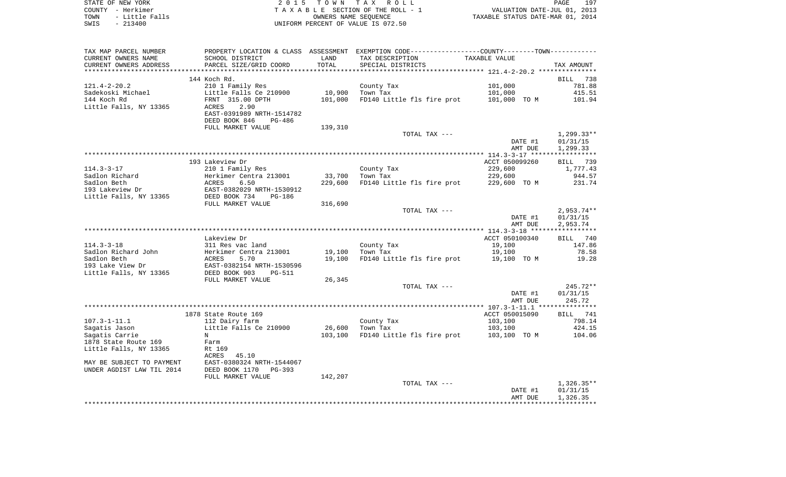| STATE OF NEW YORK      | 2015 TOWN TAX ROLL                 | 197<br><b>PAGE</b>               |
|------------------------|------------------------------------|----------------------------------|
| COUNTY - Herkimer      | TAXABLE SECTION OF THE ROLL - 1    | VALUATION DATE-JUL 01, 2013      |
| - Little Falls<br>TOWN | OWNERS NAME SEOUENCE               | TAXABLE STATUS DATE-MAR 01, 2014 |
| SWIS<br>- 213400       | UNIFORM PERCENT OF VALUE IS 072.50 |                                  |

| TAX MAP PARCEL NUMBER     | PROPERTY LOCATION & CLASS      |         | ASSESSMENT EXEMPTION CODE-----------------COUNTY-------TOWN----------- |                |                    |
|---------------------------|--------------------------------|---------|------------------------------------------------------------------------|----------------|--------------------|
| CURRENT OWNERS NAME       | SCHOOL DISTRICT                | LAND    | TAX DESCRIPTION                                                        | TAXABLE VALUE  |                    |
| CURRENT OWNERS ADDRESS    | PARCEL SIZE/GRID COORD         | TOTAL   | SPECIAL DISTRICTS                                                      |                | TAX AMOUNT         |
| *********************     | *****************************  |         |                                                                        |                |                    |
|                           | 144 Koch Rd.                   |         |                                                                        |                | BILL<br>738        |
| $121.4 - 2 - 20.2$        | 210 1 Family Res               |         | County Tax                                                             | 101,000        | 781.88             |
| Sadekoski Michael         | Little Falls Ce 210900         | 10,900  | Town Tax                                                               | 101,000        | 415.51             |
| 144 Koch Rd               | FRNT 315.00 DPTH               | 101,000 | FD140 Little fls fire prot                                             | 101,000 TO M   | 101.94             |
| Little Falls, NY 13365    | 2.90<br>ACRES                  |         |                                                                        |                |                    |
|                           | EAST-0391989 NRTH-1514782      |         |                                                                        |                |                    |
|                           | DEED BOOK 846<br><b>PG-486</b> |         |                                                                        |                |                    |
|                           | FULL MARKET VALUE              | 139,310 |                                                                        |                |                    |
|                           |                                |         | TOTAL TAX ---                                                          |                | $1,299.33**$       |
|                           |                                |         |                                                                        | DATE #1        | 01/31/15           |
|                           |                                |         |                                                                        | AMT DUE        | 1,299.33           |
|                           |                                |         |                                                                        |                |                    |
|                           | 193 Lakeview Dr                |         |                                                                        | ACCT 050099260 | 739<br><b>BILL</b> |
| $114.3 - 3 - 17$          | 210 1 Family Res               |         | County Tax                                                             | 229,600        | 1,777.43           |
| Sadlon Richard            | Herkimer Centra 213001         | 33,700  | Town Tax                                                               | 229,600        | 944.57             |
| Sadlon Beth               | ACRES<br>6.50                  | 229,600 | FD140 Little fls fire prot                                             | 229,600 TO M   | 231.74             |
| 193 Lakeview Dr           | EAST-0382029 NRTH-1530912      |         |                                                                        |                |                    |
| Little Falls, NY 13365    | DEED BOOK 734<br><b>PG-186</b> |         |                                                                        |                |                    |
|                           | FULL MARKET VALUE              | 316,690 |                                                                        |                |                    |
|                           |                                |         | TOTAL TAX ---                                                          |                | $2,953.74**$       |
|                           |                                |         |                                                                        | DATE #1        | 01/31/15           |
|                           |                                |         |                                                                        | AMT DUE        | 2,953.74           |
|                           |                                |         |                                                                        |                |                    |
|                           | Lakeview Dr                    |         |                                                                        | ACCT 050100340 | 740<br>BILL        |
| $114.3 - 3 - 18$          | 311 Res vac land               |         | County Tax                                                             | 19,100         | 147.86             |
| Sadlon Richard John       | Herkimer Centra 213001         | 19,100  | Town Tax                                                               | 19,100         | 78.58              |
| Sadlon Beth               | ACRES<br>5.70                  | 19,100  | FD140 Little fls fire prot                                             | 19,100 TO M    | 19.28              |
| 193 Lake View Dr          | EAST-0382154 NRTH-1530596      |         |                                                                        |                |                    |
| Little Falls, NY 13365    | DEED BOOK 903<br><b>PG-511</b> |         |                                                                        |                |                    |
|                           | FULL MARKET VALUE              | 26,345  |                                                                        |                |                    |
|                           |                                |         | TOTAL TAX ---                                                          |                | $245.72**$         |
|                           |                                |         |                                                                        | DATE #1        | 01/31/15           |
|                           |                                |         |                                                                        | AMT DUE        | 245.72             |
|                           |                                |         |                                                                        |                |                    |
|                           | 1878 State Route 169           |         |                                                                        | ACCT 050015090 | 741<br>BILL        |
| $107.3 - 1 - 11.1$        | 112 Dairy farm                 |         | County Tax                                                             | 103,100        | 798.14             |
| Sagatis Jason             | Little Falls Ce 210900         | 26,600  | Town Tax                                                               | 103,100        | 424.15             |
| Sagatis Carrie            | N                              | 103,100 | FD140 Little fls fire prot                                             | 103,100 TO M   | 104.06             |
| 1878 State Route 169      | Farm                           |         |                                                                        |                |                    |
| Little Falls, NY 13365    | Rt 169                         |         |                                                                        |                |                    |
|                           | ACRES<br>45.10                 |         |                                                                        |                |                    |
| MAY BE SUBJECT TO PAYMENT | EAST-0380324 NRTH-1544067      |         |                                                                        |                |                    |
| UNDER AGDIST LAW TIL 2014 | DEED BOOK 1170<br>$PG-393$     |         |                                                                        |                |                    |
|                           | FULL MARKET VALUE              | 142,207 |                                                                        |                |                    |
|                           |                                |         | TOTAL TAX ---                                                          |                | $1,326.35**$       |
|                           |                                |         |                                                                        | DATE #1        | 01/31/15           |
|                           |                                |         |                                                                        | AMT DUE        | 1,326.35           |
|                           |                                |         |                                                                        |                |                    |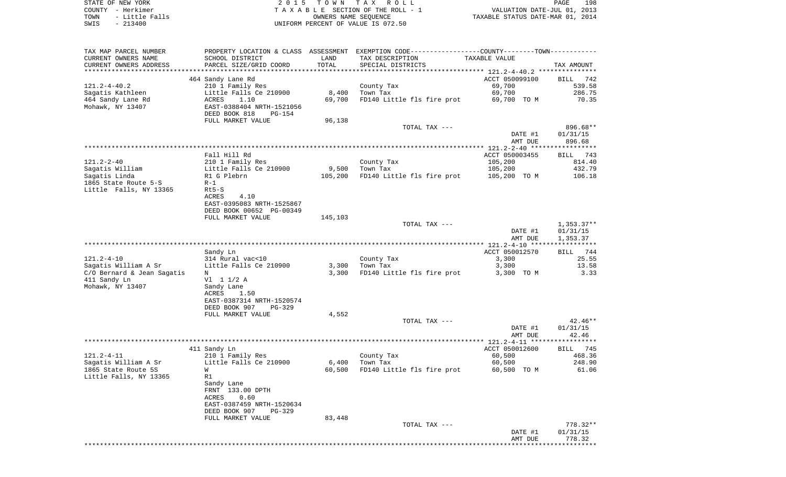STATE OF NEW YORK **EXECUTE:**  $2015$  TOWN TAX ROLL COUNTY - Herkimer<br>
T A X A B L E SECTION OF THE ROLL - 1<br>
T A X A B L E SECTION OF THE ROLL - 1<br>
OWNERS NAME SEQUENCE<br>
SWIS - 213400<br>
OWNERS NAME SEQUENCE TOWN - Little Falls OWNERS NAME SEQUENCE TAXABLE STATUS DATE-MAR 01, 2014 SWIS - 213400 UNIFORM PERCENT OF VALUE IS 072.50

| TAX MAP PARCEL NUMBER      |                                            |         | PROPERTY LOCATION & CLASS ASSESSMENT EXEMPTION CODE----------------COUNTY-------TOWN---------- |                                    |                 |
|----------------------------|--------------------------------------------|---------|------------------------------------------------------------------------------------------------|------------------------------------|-----------------|
| CURRENT OWNERS NAME        | SCHOOL DISTRICT                            | LAND    | TAX DESCRIPTION                                                                                | TAXABLE VALUE                      |                 |
| CURRENT OWNERS ADDRESS     | PARCEL SIZE/GRID COORD                     | TOTAL   | SPECIAL DISTRICTS                                                                              |                                    | TAX AMOUNT      |
|                            |                                            |         |                                                                                                |                                    |                 |
|                            | 464 Sandy Lane Rd                          |         |                                                                                                | ACCT 050099100                     | BILL<br>742     |
| $121.2 - 4 - 40.2$         | 210 1 Family Res                           |         | County Tax                                                                                     | 69,700                             | 539.58          |
| Sagatis Kathleen           | Little Falls Ce 210900                     | 8,400   | Town Tax                                                                                       | 69,700                             | 286.75          |
| 464 Sandy Lane Rd          | ACRES<br>1.10                              | 69,700  | FD140 Little fls fire prot                                                                     | 69,700 TO M                        | 70.35           |
| Mohawk, NY 13407           | EAST-0388404 NRTH-1521056                  |         |                                                                                                |                                    |                 |
|                            | DEED BOOK 818<br><b>PG-154</b>             |         |                                                                                                |                                    |                 |
|                            | FULL MARKET VALUE                          | 96,138  | TOTAL TAX ---                                                                                  |                                    | 896.68**        |
|                            |                                            |         |                                                                                                | DATE #1                            | 01/31/15        |
|                            |                                            |         |                                                                                                | AMT DUE                            | 896.68          |
|                            |                                            |         |                                                                                                | ***************** 121.2-2-40 ***** | **********      |
|                            | Fall Hill Rd                               |         |                                                                                                | ACCT 050003455                     | BILL 743        |
| $121.2 - 2 - 40$           | 210 1 Family Res                           |         | County Tax                                                                                     | 105,200                            | 814.40          |
| Sagatis William            | Little Falls Ce 210900                     | 9,500   | Town Tax                                                                                       | 105,200                            | 432.79          |
| Sagatis Linda              | R1 G Plebrn                                | 105,200 | FD140 Little fls fire prot                                                                     | 105,200 TO M                       | 106.18          |
| 1865 State Route 5-S       | $R-1$                                      |         |                                                                                                |                                    |                 |
| Little Falls, NY 13365     | Rt5-S                                      |         |                                                                                                |                                    |                 |
|                            | <b>ACRES</b><br>4.10                       |         |                                                                                                |                                    |                 |
|                            | EAST-0395083 NRTH-1525867                  |         |                                                                                                |                                    |                 |
|                            | DEED BOOK 00652 PG-00349                   |         |                                                                                                |                                    |                 |
|                            | FULL MARKET VALUE                          | 145,103 |                                                                                                |                                    |                 |
|                            |                                            |         | TOTAL TAX ---                                                                                  |                                    | $1,353.37**$    |
|                            |                                            |         |                                                                                                | DATE #1                            | 01/31/15        |
|                            |                                            |         |                                                                                                | AMT DUE                            | 1,353.37        |
|                            |                                            |         |                                                                                                |                                    | ***********     |
|                            | Sandy Ln                                   |         |                                                                                                | ACCT 050012570                     | BILL 744        |
| $121.2 - 4 - 10$           | 314 Rural vac<10                           |         | County Tax                                                                                     | 3,300                              | 25.55           |
| Sagatis William A Sr       | Little Falls Ce 210900                     | 3,300   | Town Tax                                                                                       | 3,300                              | 13.58           |
| C/O Bernard & Jean Sagatis | N                                          | 3,300   | FD140 Little fls fire prot                                                                     | 3,300 TO M                         | 3.33            |
| 411 Sandy Ln               | V1 1 1/2 A                                 |         |                                                                                                |                                    |                 |
| Mohawk, NY 13407           | Sandy Lane                                 |         |                                                                                                |                                    |                 |
|                            | ACRES<br>1.50<br>EAST-0387314 NRTH-1520574 |         |                                                                                                |                                    |                 |
|                            | DEED BOOK 907<br>PG-329                    |         |                                                                                                |                                    |                 |
|                            | FULL MARKET VALUE                          | 4,552   |                                                                                                |                                    |                 |
|                            |                                            |         | TOTAL TAX ---                                                                                  |                                    | $42.46**$       |
|                            |                                            |         |                                                                                                | DATE #1                            | 01/31/15        |
|                            |                                            |         |                                                                                                | AMT DUE                            | 42.46           |
|                            |                                            |         |                                                                                                |                                    | ***********     |
|                            | 411 Sandy Ln                               |         |                                                                                                | ACCT 050012600                     | <b>BILL</b> 745 |
| $121.2 - 4 - 11$           | 210 1 Family Res                           |         | County Tax                                                                                     | 60,500                             | 468.36          |
| Sagatis William A Sr       | Little Falls Ce 210900                     | 6,400   | Town Tax                                                                                       | 60,500                             | 248.90          |
| 1865 State Route 5S        | W                                          | 60,500  | FD140 Little fls fire prot                                                                     | 60,500 TO M                        | 61.06           |
| Little Falls, NY 13365     | R1                                         |         |                                                                                                |                                    |                 |
|                            | Sandy Lane                                 |         |                                                                                                |                                    |                 |
|                            | FRNT 133.00 DPTH                           |         |                                                                                                |                                    |                 |
|                            | ACRES<br>0.60                              |         |                                                                                                |                                    |                 |
|                            | EAST-0387459 NRTH-1520634                  |         |                                                                                                |                                    |                 |
|                            | DEED BOOK 907<br>$PG-329$                  |         |                                                                                                |                                    |                 |
|                            | FULL MARKET VALUE                          | 83,448  |                                                                                                |                                    | $778.32**$      |
|                            |                                            |         | TOTAL TAX ---                                                                                  | DATE #1                            | 01/31/15        |
|                            |                                            |         |                                                                                                | AMT DUE                            | 778.32          |
|                            |                                            |         |                                                                                                |                                    |                 |
|                            |                                            |         |                                                                                                |                                    |                 |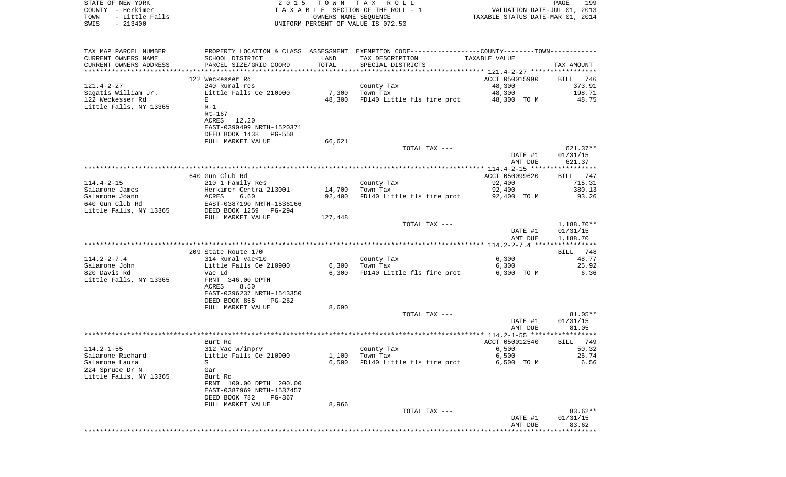| STATE OF NEW YORK<br>COUNTY - Herkimer<br>TOWN<br>- Little Falls |                                              |         | 2015 TOWN TAX ROLL<br>TAXABLE SECTION OF THE ROLL - 1<br>OWNERS NAME SEQUENCE                  | VALUATION DATE-JUL 01, 2013<br>TAXABLE STATUS DATE-MAR 01, 2014 | PAGE<br>199            |
|------------------------------------------------------------------|----------------------------------------------|---------|------------------------------------------------------------------------------------------------|-----------------------------------------------------------------|------------------------|
| $-213400$<br>SWIS                                                |                                              |         | UNIFORM PERCENT OF VALUE IS 072.50                                                             |                                                                 |                        |
| TAX MAP PARCEL NUMBER                                            |                                              |         | PROPERTY LOCATION & CLASS ASSESSMENT EXEMPTION CODE----------------COUNTY-------TOWN---------- |                                                                 |                        |
| CURRENT OWNERS NAME                                              | SCHOOL DISTRICT                              | LAND    | TAX DESCRIPTION                                                                                | TAXABLE VALUE                                                   |                        |
| CURRENT OWNERS ADDRESS                                           | PARCEL SIZE/GRID COORD                       | TOTAL   | SPECIAL DISTRICTS                                                                              |                                                                 | TAX AMOUNT             |
|                                                                  |                                              |         |                                                                                                |                                                                 |                        |
|                                                                  | 122 Weckesser Rd                             |         |                                                                                                | ACCT 050015990                                                  | BILL 746               |
| 121.4-2-27                                                       | 240 Rural res                                | 7,300   | County Tax<br>Town Tax                                                                         | 48,300                                                          | 373.91<br>198.71       |
| Saqatis William Jr.<br>122 Weckesser Rd                          | Little Falls Ce 210900<br>E                  | 48,300  | FD140 Little fls fire prot                                                                     | 48,300<br>48,300 TO M                                           | 48.75                  |
| Little Falls, NY 13365                                           | $R-1$                                        |         |                                                                                                |                                                                 |                        |
|                                                                  | Rt-167                                       |         |                                                                                                |                                                                 |                        |
|                                                                  | ACRES 12.20                                  |         |                                                                                                |                                                                 |                        |
|                                                                  | EAST-0390499 NRTH-1520371                    |         |                                                                                                |                                                                 |                        |
|                                                                  | DEED BOOK 1438 PG-558                        |         |                                                                                                |                                                                 |                        |
|                                                                  | FULL MARKET VALUE                            | 66,621  |                                                                                                |                                                                 |                        |
|                                                                  |                                              |         | TOTAL TAX ---                                                                                  |                                                                 | $621.37**$             |
|                                                                  |                                              |         |                                                                                                | DATE #1                                                         | 01/31/15               |
|                                                                  |                                              |         |                                                                                                | AMT DUE                                                         | 621.37                 |
|                                                                  | 640 Gun Club Rd                              |         |                                                                                                | ACCT 050099620                                                  | BILL 747               |
| 114.4-2-15                                                       | 210 1 Family Res                             |         | County Tax                                                                                     | 92,400                                                          | 715.31                 |
| Salamone James                                                   | Herkimer Centra 213001                       | 14,700  | Town Tax                                                                                       | 92,400                                                          | 380.13                 |
| Salamone Joann                                                   | ACRES<br>6.60                                | 92,400  | FD140 Little fls fire prot 92,400 TO M                                                         |                                                                 | 93.26                  |
| 640 Gun Club Rd                                                  | EAST-0387190 NRTH-1536166                    |         |                                                                                                |                                                                 |                        |
| Little Falls, NY 13365                                           | DEED BOOK 1259 PG-294                        |         |                                                                                                |                                                                 |                        |
|                                                                  | FULL MARKET VALUE                            | 127,448 |                                                                                                |                                                                 |                        |
|                                                                  |                                              |         | TOTAL TAX ---                                                                                  | DATE #1                                                         | 1,188.70**<br>01/31/15 |
|                                                                  |                                              |         |                                                                                                | AMT DUE                                                         | 1,188.70               |
|                                                                  | 209 State Route 170                          |         |                                                                                                |                                                                 | BILL 748               |
| 114.2-2-7.4                                                      | 314 Rural vac<10                             |         | County Tax                                                                                     | 6,300                                                           | 48.77                  |
| Salamone John                                                    | Little Falls Ce 210900                       | 6,300   | Town Tax                                                                                       | 6,300                                                           | 25.92                  |
| 820 Davis Rd                                                     | Vac Ld                                       | 6,300   | FD140 Little fls fire prot                                                                     | 6,300 TO M                                                      | 6.36                   |
| Little Falls, NY 13365                                           | FRNT 346.00 DPTH                             |         |                                                                                                |                                                                 |                        |
|                                                                  | ACRES<br>8.50                                |         |                                                                                                |                                                                 |                        |
|                                                                  | EAST-0396237 NRTH-1543350                    |         |                                                                                                |                                                                 |                        |
|                                                                  | DEED BOOK 855<br>PG-262<br>FULL MARKET VALUE | 8,690   |                                                                                                |                                                                 |                        |
|                                                                  |                                              |         | TOTAL TAX ---                                                                                  |                                                                 | 81.05**                |
|                                                                  |                                              |         |                                                                                                | DATE #1                                                         | 01/31/15               |
|                                                                  |                                              |         |                                                                                                | AMT DUE                                                         | 81.05                  |
|                                                                  |                                              |         |                                                                                                |                                                                 |                        |
|                                                                  | Burt Rd                                      |         |                                                                                                | ACCT 050012540                                                  | BILL 749               |
| $114.2 - 1 - 55$                                                 | 312 Vac w/imprv                              |         | County Tax                                                                                     | 6,500                                                           | 50.32                  |
| Salamone Richard                                                 | Little Falls Ce 210900                       | 1,100   | Town Tax                                                                                       | 6,500                                                           | 26.74                  |
| Salamone Laura                                                   | S                                            | 6,500   | FD140 Little fls fire prot                                                                     | 6,500 TO M                                                      | 6.56                   |
| 224 Spruce Dr N<br>Little Falls, NY 13365                        | Gar<br>Burt Rd                               |         |                                                                                                |                                                                 |                        |
|                                                                  | FRNT 100.00 DPTH 200.00                      |         |                                                                                                |                                                                 |                        |
|                                                                  | EAST-0387969 NRTH-1537457                    |         |                                                                                                |                                                                 |                        |
|                                                                  | DEED BOOK 782<br>PG-367                      |         |                                                                                                |                                                                 |                        |
|                                                                  | FULL MARKET VALUE                            | 8,966   |                                                                                                |                                                                 |                        |
|                                                                  |                                              |         | TOTAL TAX ---                                                                                  |                                                                 | $83.62**$              |
|                                                                  |                                              |         |                                                                                                | DATE #1                                                         | 01/31/15               |
|                                                                  |                                              |         |                                                                                                | AMT DUE                                                         | 83.62                  |
|                                                                  |                                              |         |                                                                                                |                                                                 |                        |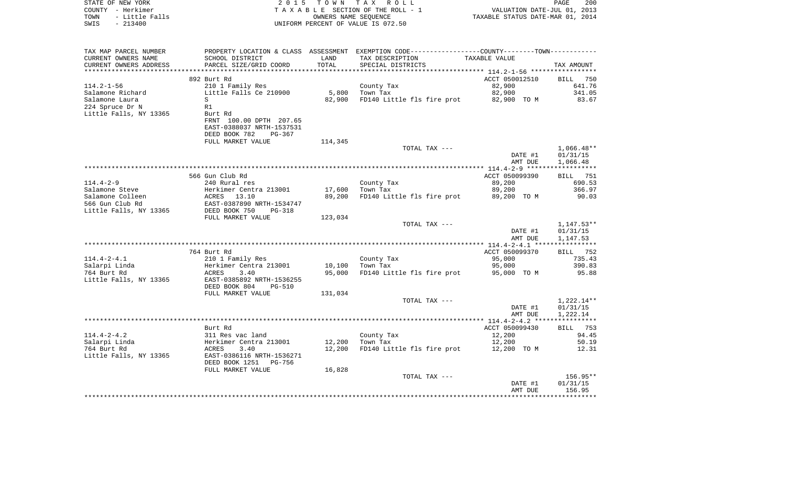| STATE OF NEW YORK<br>COUNTY - Herkimer<br>TOWN<br>- Little Falls<br>$-213400$<br>SWIS | 2 0 1 5                                                         |               | TOWN TAX ROLL<br>TAXABLE SECTION OF THE ROLL - 1<br>OWNERS NAME SEQUENCE<br>UNIFORM PERCENT OF VALUE IS 072.50 | VALUATION DATE-JUL 01, 2013<br>TAXABLE STATUS DATE-MAR 01, 2014 | PAGE<br>200                          |
|---------------------------------------------------------------------------------------|-----------------------------------------------------------------|---------------|----------------------------------------------------------------------------------------------------------------|-----------------------------------------------------------------|--------------------------------------|
| TAX MAP PARCEL NUMBER                                                                 |                                                                 |               | PROPERTY LOCATION & CLASS ASSESSMENT EXEMPTION CODE----------------COUNTY-------TOWN----------                 |                                                                 |                                      |
| CURRENT OWNERS NAME<br>CURRENT OWNERS ADDRESS                                         | SCHOOL DISTRICT<br>PARCEL SIZE/GRID COORD                       | LAND<br>TOTAL | TAX DESCRIPTION<br>SPECIAL DISTRICTS                                                                           | TAXABLE VALUE                                                   | TAX AMOUNT                           |
|                                                                                       |                                                                 |               |                                                                                                                |                                                                 |                                      |
| 114.2-1-56                                                                            | 892 Burt Rd<br>210 1 Family Res                                 |               | County Tax                                                                                                     | ACCT 050012510<br>82,900                                        | BILL<br>750<br>641.76                |
| Salamone Richard                                                                      | Little Falls Ce 210900                                          | 5,800         | Town Tax                                                                                                       | 82,900                                                          | 341.05                               |
| Salamone Laura                                                                        | S                                                               | 82,900        | FD140 Little fls fire prot                                                                                     | 82,900 TO M                                                     | 83.67                                |
| 224 Spruce Dr N                                                                       | R1                                                              |               |                                                                                                                |                                                                 |                                      |
| Little Falls, NY 13365                                                                | Burt Rd<br>FRNT 100.00 DPTH 207.65<br>EAST-0388037 NRTH-1537531 |               |                                                                                                                |                                                                 |                                      |
|                                                                                       | DEED BOOK 782<br>PG-367                                         |               |                                                                                                                |                                                                 |                                      |
|                                                                                       | FULL MARKET VALUE                                               | 114,345       |                                                                                                                |                                                                 |                                      |
|                                                                                       |                                                                 |               | TOTAL TAX ---                                                                                                  | DATE #1<br>AMT DUE                                              | $1,066.48**$<br>01/31/15<br>1,066.48 |
|                                                                                       |                                                                 |               |                                                                                                                |                                                                 |                                      |
| 114.4-2-9                                                                             | 566 Gun Club Rd<br>240 Rural res                                |               | County Tax                                                                                                     | ACCT 050099390<br>89,200                                        | <b>BILL</b> 751<br>690.53            |
| Salamone Steve                                                                        | Herkimer Centra 213001                                          | 17,600        | Town Tax                                                                                                       | 89,200                                                          | 366.97                               |
| Salamone Colleen                                                                      | ACRES<br>13.10                                                  | 89,200        | FD140 Little fls fire prot                                                                                     | 89,200 TO M                                                     | 90.03                                |
| 566 Gun Club Rd                                                                       | EAST-0387890 NRTH-1534747                                       |               |                                                                                                                |                                                                 |                                      |
| Little Falls, NY 13365                                                                | DEED BOOK 750<br>PG-318                                         |               |                                                                                                                |                                                                 |                                      |
|                                                                                       | FULL MARKET VALUE                                               | 123,034       |                                                                                                                |                                                                 |                                      |
|                                                                                       |                                                                 |               | TOTAL TAX ---                                                                                                  |                                                                 | $1,147.53**$                         |
|                                                                                       |                                                                 |               |                                                                                                                | DATE #1                                                         | 01/31/15                             |
|                                                                                       |                                                                 |               |                                                                                                                | AMT DUE                                                         | 1,147.53                             |
|                                                                                       | 764 Burt Rd                                                     |               |                                                                                                                | ACCT 050099370                                                  | BILL 752                             |
| 114.4-2-4.1                                                                           | 210 1 Family Res                                                |               | County Tax                                                                                                     | 95,000                                                          | 735.43                               |
| Salarpi Linda                                                                         | Herkimer Centra 213001                                          | 10,100        | Town Tax                                                                                                       | 95,000                                                          | 390.83                               |
| 764 Burt Rd                                                                           | ACRES<br>3.40                                                   | 95,000        | FD140 Little fls fire prot                                                                                     | 95,000 TO M                                                     | 95.88                                |
| Little Falls, NY 13365                                                                | EAST-0385892 NRTH-1536255<br>DEED BOOK 804<br><b>PG-510</b>     |               |                                                                                                                |                                                                 |                                      |
|                                                                                       | FULL MARKET VALUE                                               | 131,034       |                                                                                                                |                                                                 |                                      |
|                                                                                       |                                                                 |               | TOTAL TAX ---                                                                                                  | DATE #1<br>AMT DUE                                              | 1,222.14**<br>01/31/15<br>1,222.14   |
|                                                                                       |                                                                 |               |                                                                                                                |                                                                 |                                      |
|                                                                                       | Burt Rd                                                         |               |                                                                                                                | ACCT 050099430                                                  | BILL 753                             |
| 114.4-2-4.2                                                                           | 311 Res vac land                                                |               | County Tax                                                                                                     | 12,200                                                          | 94.45                                |
| Salarpi Linda                                                                         | Herkimer Centra 213001                                          | 12,200        | Town Tax                                                                                                       | 12,200                                                          | 50.19                                |
| 764 Burt Rd                                                                           | ACRES<br>3.40                                                   | 12,200        | FD140 Little fls fire prot                                                                                     | 12,200 TO M                                                     | 12.31                                |
| Little Falls, NY 13365                                                                | EAST-0386116 NRTH-1536271<br>DEED BOOK 1251<br>PG-756           |               |                                                                                                                |                                                                 |                                      |
|                                                                                       | FULL MARKET VALUE                                               | 16,828        | TOTAL TAX ---                                                                                                  |                                                                 | $156.95**$                           |
|                                                                                       |                                                                 |               |                                                                                                                | DATE #1                                                         | 01/31/15                             |
|                                                                                       |                                                                 |               |                                                                                                                | AMT DUE                                                         | 156.95                               |
|                                                                                       |                                                                 |               |                                                                                                                |                                                                 | ***********                          |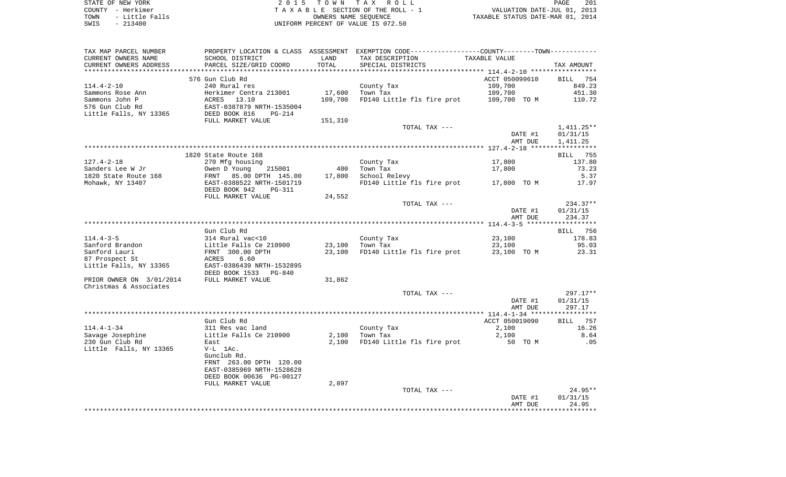|      | STATE OF NEW YORK | 2015 TOWN TAX ROLL                 | PAGE                             | 201 |
|------|-------------------|------------------------------------|----------------------------------|-----|
|      | COUNTY - Herkimer | TAXABLE SECTION OF THE ROLL - 1    | VALUATION DATE-JUL 01, 2013      |     |
| TOWN | - Little Falls    | OWNERS NAME SEOUENCE               | TAXABLE STATUS DATE-MAR 01, 2014 |     |
| SWIS | $-213400$         | UNIFORM PERCENT OF VALUE IS 072.50 |                                  |     |

| CURRENT OWNERS NAME      | SCHOOL DISTRICT           | LAND    | TAX DESCRIPTION            | TAXABLE VALUE  |                 |
|--------------------------|---------------------------|---------|----------------------------|----------------|-----------------|
| CURRENT OWNERS ADDRESS   | PARCEL SIZE/GRID COORD    | TOTAL   | SPECIAL DISTRICTS          |                | TAX AMOUNT      |
|                          |                           |         |                            |                |                 |
|                          | 576 Gun Club Rd           |         |                            | ACCT 050099610 | BILL 754        |
| $114.4 - 2 - 10$         | 240 Rural res             |         | County Tax                 | 109,700        | 849.23          |
| Sammons Rose Ann         | Herkimer Centra 213001    | 17,600  | Town Tax                   | 109,700        | 451.30          |
| Sammons John P           | 13.10<br>ACRES            | 109,700 | FD140 Little fls fire prot | 109,700 TO M   | 110.72          |
| 576 Gun Club Rd          | EAST-0387879 NRTH-1535004 |         |                            |                |                 |
| Little Falls, NY 13365   | DEED BOOK 816<br>PG-214   |         |                            |                |                 |
|                          | FULL MARKET VALUE         | 151,310 |                            |                |                 |
|                          |                           |         | TOTAL TAX ---              |                | $1,411.25**$    |
|                          |                           |         |                            | DATE #1        | 01/31/15        |
|                          |                           |         |                            | AMT DUE        | 1,411.25        |
|                          |                           |         |                            |                |                 |
|                          | 1820 State Route 168      |         |                            |                | <b>BILL</b> 755 |
| $127.4 - 2 - 18$         | 270 Mfg housing           |         | County Tax                 | 17,800         | 137.80          |
| Sanders Lee W Jr         | Owen D Young<br>215001    | 400     | Town Tax                   | 17,800         | 73.23           |
| 1820 State Route 168     | FRNT 85.00 DPTH 145.00    | 17,800  | School Relevy              |                | 5.37            |
| Mohawk, NY 13407         | EAST-0388522 NRTH-1501719 |         | FD140 Little fls fire prot | 17,800 TO M    | 17.97           |
|                          | DEED BOOK 942<br>PG-311   |         |                            |                |                 |
|                          | FULL MARKET VALUE         | 24,552  |                            |                |                 |
|                          |                           |         | TOTAL TAX ---              |                | 234.37**        |
|                          |                           |         |                            | DATE #1        | 01/31/15        |
|                          |                           |         |                            | AMT DUE        | 234.37          |
|                          |                           |         |                            |                |                 |
|                          | Gun Club Rd               |         |                            |                | BILL 756        |
| $114.4 - 3 - 5$          | 314 Rural vac<10          |         | County Tax                 | 23,100         | 178.83          |
| Sanford Brandon          | Little Falls Ce 210900    | 23,100  | Town Tax                   | 23,100         | 95.03           |
| Sanford Lauri            | FRNT 300.00 DPTH          | 23,100  | FD140 Little fls fire prot | 23,100 TO M    | 23.31           |
| 87 Prospect St           | ACRES<br>6.60             |         |                            |                |                 |
| Little Falls, NY 13365   | EAST-0386439 NRTH-1532895 |         |                            |                |                 |
|                          | DEED BOOK 1533<br>PG-840  |         |                            |                |                 |
| PRIOR OWNER ON 3/01/2014 | FULL MARKET VALUE         | 31,862  |                            |                |                 |
| Christmas & Associates   |                           |         |                            |                |                 |
|                          |                           |         | TOTAL TAX ---              |                | 297.17**        |
|                          |                           |         |                            | DATE #1        | 01/31/15        |
|                          |                           |         |                            | AMT DUE        | 297.17          |
|                          |                           |         |                            |                |                 |
|                          | Gun Club Rd               |         |                            | ACCT 050019090 | 757<br>BILL     |
| $114.4 - 1 - 34$         | 311 Res vac land          |         | County Tax                 | 2,100          | 16.26           |
| Savage Josephine         | Little Falls Ce 210900    | 2,100   | Town Tax                   | 2,100          | 8.64            |
| 230 Gun Club Rd          | East                      | 2,100   | FD140 Little fls fire prot | 50 TO M        | .05             |
| Little Falls, NY 13365   | $V-L$ 1Ac.                |         |                            |                |                 |
|                          | Gunclub Rd.               |         |                            |                |                 |
|                          | FRNT 263.00 DPTH 120.00   |         |                            |                |                 |
|                          | EAST-0385969 NRTH-1528628 |         |                            |                |                 |
|                          | DEED BOOK 00636 PG-00127  |         |                            |                |                 |
|                          | FULL MARKET VALUE         | 2,897   |                            |                |                 |
|                          |                           |         | TOTAL TAX ---              |                | $24.95**$       |
|                          |                           |         |                            | DATE #1        | 01/31/15        |
|                          |                           |         |                            | AMT DUE        | 24.95           |
|                          |                           |         |                            |                |                 |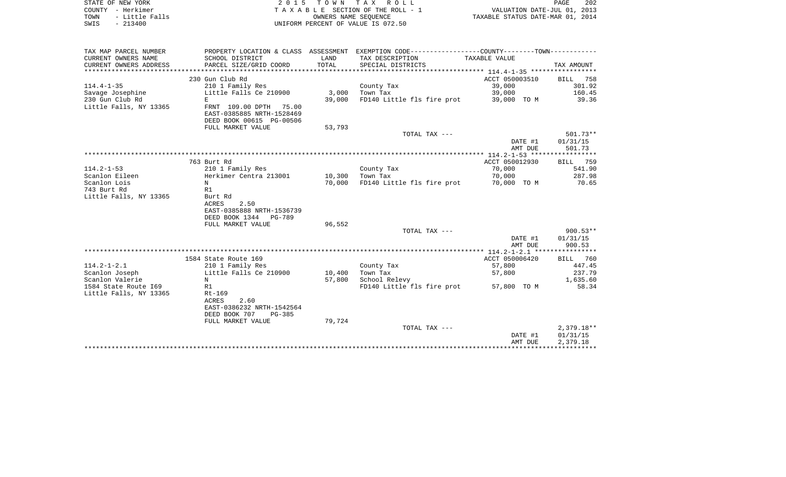| STATE OF NEW YORK<br>– Herkimer<br>COUNTY<br>- Little Falls<br>TOWN | 2015                      |            | TOWN TAX ROLL<br>TAXABLE SECTION OF THE ROLL - 1<br>OWNERS NAME SEOUENCE | TAXABLE STATUS DATE-MAR 01, 2014 | PAGE<br>VALUATION DATE-JUL 01, 2013 | 202 |
|---------------------------------------------------------------------|---------------------------|------------|--------------------------------------------------------------------------|----------------------------------|-------------------------------------|-----|
| $-213400$<br>SWIS                                                   |                           |            | UNIFORM PERCENT OF VALUE IS 072.50                                       |                                  |                                     |     |
|                                                                     |                           |            |                                                                          |                                  |                                     |     |
| TAX MAP PARCEL NUMBER                                               | PROPERTY LOCATION & CLASS | ASSESSMENT | EXEMPTION CODE-----------------COUNTY--------TOWN-----------             |                                  |                                     |     |
| CURRENT OWNERS NAME                                                 | SCHOOL DISTRICT           | LAND       | TAX DESCRIPTION                                                          | TAXABLE VALUE                    |                                     |     |
| CURRENT OWNERS ADDRESS                                              | PARCEL SIZE/GRID COORD    | TOTAL      | SPECIAL DISTRICTS                                                        |                                  | TAX AMOUNT                          |     |
|                                                                     |                           |            |                                                                          |                                  |                                     |     |

| $114.4 - 1 - 35$                          | 230 Gun Club Rd<br>210 1 Family Res |        | County Tax                 | ACCT 050003510<br>39,000 | BILL 758<br>301.92 |
|-------------------------------------------|-------------------------------------|--------|----------------------------|--------------------------|--------------------|
| Savage Josephine                          | Little Falls Ce 210900              | 3,000  | Town Tax                   | 39,000                   | 160.45             |
| 230 Gun Club Rd<br>Little Falls, NY 13365 | E.<br>FRNT 109.00 DPTH 75.00        | 39,000 | FD140 Little fls fire prot | 39,000 TO M              | 39.36              |
|                                           | EAST-0385885 NRTH-1528469           |        |                            |                          |                    |
|                                           | DEED BOOK 00615 PG-00506            |        |                            |                          |                    |
|                                           | FULL MARKET VALUE                   | 53,793 |                            |                          |                    |
|                                           |                                     |        | TOTAL TAX ---              |                          | $501.73**$         |
|                                           |                                     |        |                            | DATE #1                  | 01/31/15           |
|                                           |                                     |        |                            | AMT DUE                  | 501.73             |
|                                           |                                     |        |                            |                          |                    |
|                                           | 763 Burt Rd                         |        |                            | ACCT 050012930           | BILL 759           |
| $114.2 - 1 - 53$                          | 210 1 Family Res                    |        | County Tax                 | 70,000                   | 541.90             |
| Scanlon Eileen                            | Herkimer Centra 213001              | 10,300 | Town Tax                   | 70,000                   | 287.98             |
| Scanlon Lois                              | N                                   | 70,000 | FD140 Little fls fire prot | 70,000 TO M              | 70.65              |
| 743 Burt Rd                               | R1                                  |        |                            |                          |                    |
| Little Falls, NY 13365                    | Burt Rd<br>ACRES<br>2.50            |        |                            |                          |                    |
|                                           | EAST-0385888 NRTH-1536739           |        |                            |                          |                    |
|                                           | DEED BOOK 1344 PG-789               |        |                            |                          |                    |
|                                           | FULL MARKET VALUE                   | 96,552 |                            |                          |                    |
|                                           |                                     |        | TOTAL TAX ---              |                          | $900.53**$         |
|                                           |                                     |        |                            | DATE #1                  | 01/31/15           |
|                                           |                                     |        |                            | AMT DUE                  | 900.53             |
|                                           |                                     |        |                            |                          |                    |
|                                           | 1584 State Route 169                |        |                            | ACCT 050006420           | BILL 760           |
| $114.2 - 1 - 2.1$                         | 210 1 Family Res                    |        | County Tax                 | 57,800                   | 447.45             |
| Scanlon Joseph                            | Little Falls Ce 210900              | 10,400 | Town Tax                   | 57,800                   | 237.79             |
| Scanlon Valerie                           | N                                   | 57,800 | School Relevy              |                          | 1,635.60           |
| 1584 State Route 169                      | R1                                  |        | FD140 Little fls fire prot | 57,800 TO M              | 58.34              |
| Little Falls, NY 13365                    | Rt-169                              |        |                            |                          |                    |
|                                           | <b>ACRES</b><br>2.60                |        |                            |                          |                    |
|                                           | EAST-0386232 NRTH-1542564           |        |                            |                          |                    |
|                                           | DEED BOOK 707<br>PG-385             |        |                            |                          |                    |
|                                           | FULL MARKET VALUE                   | 79,724 |                            |                          | $2,379.18**$       |
|                                           |                                     |        | TOTAL TAX ---              | DATE #1                  | 01/31/15           |
|                                           |                                     |        |                            | AMT DUE                  | 2,379.18           |
|                                           |                                     |        |                            |                          |                    |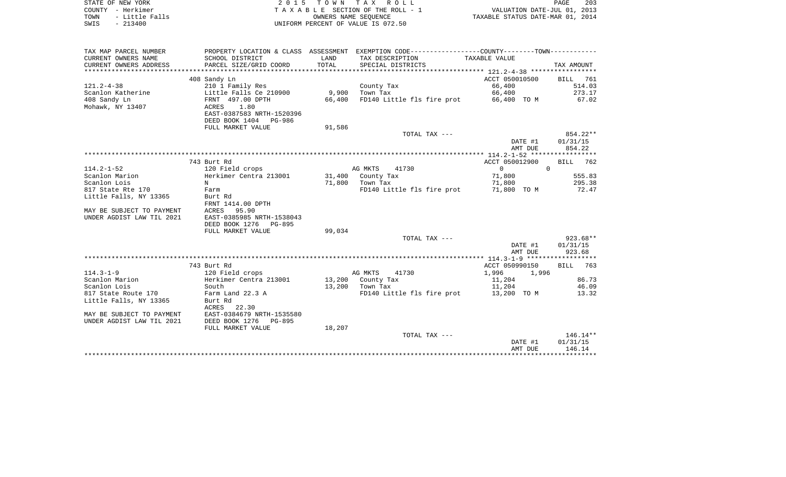| STATE OF NEW YORK<br>COUNTY - Herkimer        |                                                                                               |               | 2015 TOWN TAX ROLL<br>TAXABLE SECTION OF THE ROLL - 1      |                                  |          | PAGE<br>203<br>VALUATION DATE-JUL 01, 2013 |
|-----------------------------------------------|-----------------------------------------------------------------------------------------------|---------------|------------------------------------------------------------|----------------------------------|----------|--------------------------------------------|
| - Little Falls<br>TOWN<br>$-213400$<br>SWIS   |                                                                                               |               | OWNERS NAME SEQUENCE<br>UNIFORM PERCENT OF VALUE IS 072.50 | TAXABLE STATUS DATE-MAR 01, 2014 |          |                                            |
|                                               |                                                                                               |               |                                                            |                                  |          |                                            |
| TAX MAP PARCEL NUMBER                         | PROPERTY LOCATION & CLASS ASSESSMENT EXEMPTION CODE---------------COUNTY-------TOWN---------- |               |                                                            |                                  |          |                                            |
| CURRENT OWNERS NAME<br>CURRENT OWNERS ADDRESS | SCHOOL DISTRICT<br>PARCEL SIZE/GRID COORD                                                     | LAND<br>TOTAL | TAX DESCRIPTION<br>SPECIAL DISTRICTS                       | TAXABLE VALUE                    |          | TAX AMOUNT                                 |
|                                               | 408 Sandy Ln                                                                                  |               |                                                            | ACCT 050010500                   |          | BILL 761                                   |
| $121.2 - 4 - 38$                              | 210 1 Family Res                                                                              |               | County Tax                                                 | 66,400                           |          | 514.03                                     |
| Scanlon Katherine                             | Little Falls Ce 210900                                                                        |               | 9,900 Town Tax                                             | 66,400                           |          | 273.17                                     |
| 408 Sandy Ln                                  | FRNT 497.00 DPTH                                                                              | 66,400        | FD140 Little fls fire prot                                 | 66,400 TO M                      |          | 67.02                                      |
| Mohawk, NY 13407                              | ACRES<br>1.80<br>EAST-0387583 NRTH-1520396                                                    |               |                                                            |                                  |          |                                            |
|                                               | DEED BOOK 1404 PG-986                                                                         |               |                                                            |                                  |          |                                            |
|                                               | FULL MARKET VALUE                                                                             | 91,586        |                                                            |                                  |          | 854.22**                                   |
|                                               |                                                                                               |               | TOTAL TAX ---                                              |                                  | DATE #1  | 01/31/15                                   |
|                                               |                                                                                               |               |                                                            |                                  | AMT DUE  | 854.22                                     |
|                                               |                                                                                               |               |                                                            |                                  |          |                                            |
|                                               | 743 Burt Rd                                                                                   |               |                                                            | ACCT 050012900                   |          | <b>BILL</b> 762                            |
| $114.2 - 1 - 52$                              | 120 Field crops                                                                               |               | AG MKTS<br>41730                                           | $\overline{0}$                   | $\Omega$ |                                            |
| Scanlon Marion                                | Herkimer Centra 213001                                                                        |               | 31,400 County Tax                                          | 71,800                           |          | 555.83                                     |
| Scanlon Lois                                  | $\mathbf N$                                                                                   |               | 71,800 Town Tax                                            | 71,800                           |          | 295.38                                     |
| 817 State Rte 170                             | Farm                                                                                          |               | FD140 Little fls fire prot                                 | 71,800 TO M                      |          | 72.47                                      |
| Little Falls, NY 13365                        | Burt Rd                                                                                       |               |                                                            |                                  |          |                                            |
| MAY BE SUBJECT TO PAYMENT                     | FRNT 1414.00 DPTH<br>ACRES<br>95.90                                                           |               |                                                            |                                  |          |                                            |
| UNDER AGDIST LAW TIL 2021                     | EAST-0385985 NRTH-1538043                                                                     |               |                                                            |                                  |          |                                            |
|                                               | DEED BOOK 1276 PG-895                                                                         |               |                                                            |                                  |          |                                            |
|                                               | FULL MARKET VALUE                                                                             | 99,034        |                                                            |                                  |          |                                            |
|                                               |                                                                                               |               | TOTAL TAX ---                                              |                                  |          | 923.68**                                   |
|                                               |                                                                                               |               |                                                            |                                  | DATE #1  | 01/31/15                                   |
|                                               |                                                                                               |               |                                                            |                                  | AMT DUE  | 923.68                                     |
|                                               |                                                                                               |               |                                                            |                                  |          |                                            |
|                                               | 743 Burt Rd                                                                                   |               |                                                            | ACCT 050990150                   |          | BILL 763                                   |
| $114.3 - 1 - 9$<br>Scanlon Marion             | 120 Field crops<br>Herkimer Centra 213001                                                     |               | AG MKTS<br>41730<br>13,200 County Tax                      | 1,996<br>11,204                  | 1,996    | 86.73                                      |
| Scanlon Lois                                  | South                                                                                         |               | 13,200 Town Tax                                            | 11,204                           |          | 46.09                                      |
| 817 State Route 170                           | Farm Land 22.3 A                                                                              |               | FD140 Little fls fire prot                                 | 13,200 TO M                      |          | 13.32                                      |
| Little Falls, NY 13365                        | Burt Rd                                                                                       |               |                                                            |                                  |          |                                            |
|                                               |                                                                                               |               |                                                            |                                  |          |                                            |

\*\*\*\*\*\*\*\*\*\*\*\*\*\*\*\*\*\*\*\*\*\*\*\*\*\*\*\*\*\*\*\*\*\*\*\*\*\*\*\*\*\*\*\*\*\*\*\*\*\*\*\*\*\*\*\*\*\*\*\*\*\*\*\*\*\*\*\*\*\*\*\*\*\*\*\*\*\*\*\*\*\*\*\*\*\*\*\*\*\*\*\*\*\*\*\*\*\*\*\*\*\*\*\*\*\*\*\*\*\*\*\*\*\*\*\*\*\*\*\*\*\*\*\*\*\*\*\*\*\*\*\*

TOTAL TAX  $---$  146.14\*\*

 DATE #1 01/31/15 AMT DUE 146.14

ACRES 22.30

FULL MARKET VALUE 18,207

MAY BE SUBJECT TO PAYMENT EAST-0384679 NRTH-1535580

UNDER AGDIST LAW TIL 2021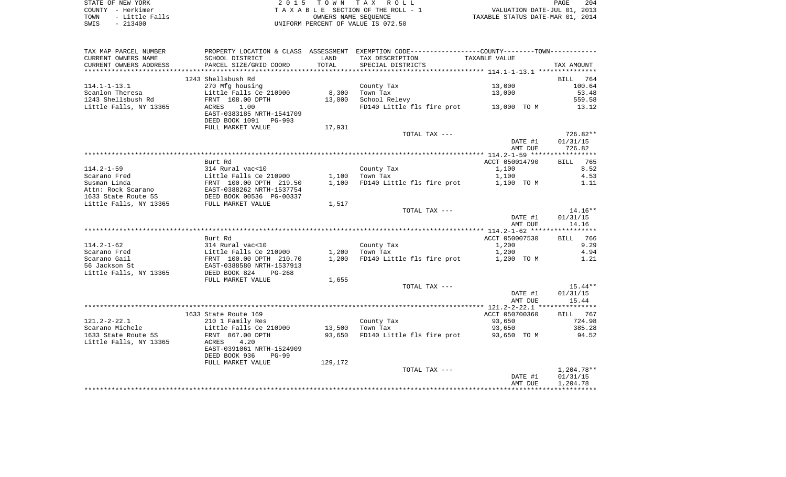| STATE OF NEW YORK |                |                                    |                      | 2015 TOWN TAX ROLL              |  | PAGE                             | 204 |
|-------------------|----------------|------------------------------------|----------------------|---------------------------------|--|----------------------------------|-----|
| COUNTY - Herkimer |                |                                    |                      | TAXABLE SECTION OF THE ROLL - 1 |  | VALUATION DATE-JUL 01, 2013      |     |
| TOWN              | - Little Falls |                                    | OWNERS NAME SEOUENCE |                                 |  | TAXABLE STATUS DATE-MAR 01, 2014 |     |
| SWIS<br>$-213400$ |                | UNIFORM PERCENT OF VALUE IS 072.50 |                      |                                 |  |                                  |     |

| SCHOOL DISTRICT<br>LAND<br>TAX DESCRIPTION<br>TAXABLE VALUE<br>TOTAL<br>PARCEL SIZE/GRID COORD<br>SPECIAL DISTRICTS<br>TAX AMOUNT<br>1243 Shellsbush Rd<br>BILL 764<br>$114.1 - 1 - 13.1$<br>270 Mfg housing<br>13,000<br>County Tax<br>100.64<br>8,300<br>53.48<br>Scanlon Theresa<br>Little Falls Ce 210900<br>Town Tax<br>13,000<br>1243 Shellsbush Rd<br>FRNT 108.00 DPTH<br>13,000<br>School Relevy<br>559.58<br>Little Falls, NY 13365<br>FD140 Little fls fire prot 13,000 TO M<br>ACRES<br>1.00<br>13.12<br>EAST-0383185 NRTH-1541709<br>DEED BOOK 1091<br>PG-993<br>FULL MARKET VALUE<br>17,931<br>726.82**<br>TOTAL TAX ---<br>DATE #1<br>01/31/15<br>726.82<br>AMT DUE<br>ACCT 050014790<br>Burt Rd<br><b>BILL</b><br>765<br>County Tax<br>8.52<br>$114.2 - 1 - 59$<br>314 Rural vac<10<br>1,100<br>1,100<br>Little Falls Ce 210900<br>1,100<br>Town Tax<br>4.53<br>Scarano Fred<br>FRNT 100.00 DPTH 219.50<br>EAST-0388262 NRTH-1537754<br>DEED BOOK 00536 PG-00337<br>FULL MARKET VALUE<br>1,100<br>FD140 Little fls fire prot<br>Susman Linda<br>1,100 TO M<br>1.11<br>Attn: Rock Scarano<br>1633 State Route 5S<br>Little Falls, NY 13365<br>1,517<br>$14.16**$<br>TOTAL TAX ---<br>01/31/15<br>DATE #1<br>14.16<br>AMT DUE<br>ACCT 050007530<br>766<br>Burt Rd<br><b>BILL</b><br>9.29<br>$114.2 - 1 - 62$<br>1,200<br>314 Rural vac<10<br>County Tax<br>1,200<br>4.94<br>Scarano Fred<br>Little Falls Ce 210900<br>1,200<br>Town Tax<br>FRNT 100.00 DPTH 210.70<br>EAST-0388580 NRTH-1537913<br>Scarano Gail<br>1,200<br>FD140 Little fls fire prot<br>1,200 TO M<br>1.21<br>56 Jackson St<br>Little Falls, NY 13365<br>DEED BOOK 824<br>$PG-268$<br>1,655<br>FULL MARKET VALUE<br>TOTAL TAX ---<br>15.44**<br>DATE #1<br>01/31/15<br>15.44<br>AMT DUE<br>ACCT 050700360<br>1633 State Route 169<br>BILL 767<br>724.98<br>$121.2 - 2 - 22.1$<br>210 1 Family Res<br>County Tax<br>93,650<br>Scarano Michele<br>13,500<br>385.28<br>Little Falls Ce 210900<br>Town Tax<br>93,650<br>1633 State Route 5S<br>93,650 FD140 Little fls fire prot<br>93,650 TO M<br>94.52<br>FRNT 867.00 DPTH<br>Little Falls, NY 13365<br>ACRES<br>4.20<br>EAST-0391061 NRTH-1524909<br>DEED BOOK 936<br>$PG-99$<br>129,172<br>FULL MARKET VALUE<br>1,204.78**<br>TOTAL TAX ---<br>01/31/15<br>DATE #1<br>AMT DUE<br>1,204.78 | TAX MAP PARCEL NUMBER    |  | PROPERTY LOCATION & CLASS ASSESSMENT EXEMPTION CODE---------------COUNTY--------TOWN---------- |  |
|--------------------------------------------------------------------------------------------------------------------------------------------------------------------------------------------------------------------------------------------------------------------------------------------------------------------------------------------------------------------------------------------------------------------------------------------------------------------------------------------------------------------------------------------------------------------------------------------------------------------------------------------------------------------------------------------------------------------------------------------------------------------------------------------------------------------------------------------------------------------------------------------------------------------------------------------------------------------------------------------------------------------------------------------------------------------------------------------------------------------------------------------------------------------------------------------------------------------------------------------------------------------------------------------------------------------------------------------------------------------------------------------------------------------------------------------------------------------------------------------------------------------------------------------------------------------------------------------------------------------------------------------------------------------------------------------------------------------------------------------------------------------------------------------------------------------------------------------------------------------------------------------------------------------------------------------------------------------------------------------------------------------------------------------------------------------------------------------------------------------------------------------------------------------------------------------------------------------------------------------------------------------------------------------------------------------------|--------------------------|--|------------------------------------------------------------------------------------------------|--|
|                                                                                                                                                                                                                                                                                                                                                                                                                                                                                                                                                                                                                                                                                                                                                                                                                                                                                                                                                                                                                                                                                                                                                                                                                                                                                                                                                                                                                                                                                                                                                                                                                                                                                                                                                                                                                                                                                                                                                                                                                                                                                                                                                                                                                                                                                                                          | CURRENT OWNERS NAME      |  |                                                                                                |  |
|                                                                                                                                                                                                                                                                                                                                                                                                                                                                                                                                                                                                                                                                                                                                                                                                                                                                                                                                                                                                                                                                                                                                                                                                                                                                                                                                                                                                                                                                                                                                                                                                                                                                                                                                                                                                                                                                                                                                                                                                                                                                                                                                                                                                                                                                                                                          | CURRENT OWNERS ADDRESS   |  |                                                                                                |  |
|                                                                                                                                                                                                                                                                                                                                                                                                                                                                                                                                                                                                                                                                                                                                                                                                                                                                                                                                                                                                                                                                                                                                                                                                                                                                                                                                                                                                                                                                                                                                                                                                                                                                                                                                                                                                                                                                                                                                                                                                                                                                                                                                                                                                                                                                                                                          | ************************ |  |                                                                                                |  |
|                                                                                                                                                                                                                                                                                                                                                                                                                                                                                                                                                                                                                                                                                                                                                                                                                                                                                                                                                                                                                                                                                                                                                                                                                                                                                                                                                                                                                                                                                                                                                                                                                                                                                                                                                                                                                                                                                                                                                                                                                                                                                                                                                                                                                                                                                                                          |                          |  |                                                                                                |  |
|                                                                                                                                                                                                                                                                                                                                                                                                                                                                                                                                                                                                                                                                                                                                                                                                                                                                                                                                                                                                                                                                                                                                                                                                                                                                                                                                                                                                                                                                                                                                                                                                                                                                                                                                                                                                                                                                                                                                                                                                                                                                                                                                                                                                                                                                                                                          |                          |  |                                                                                                |  |
|                                                                                                                                                                                                                                                                                                                                                                                                                                                                                                                                                                                                                                                                                                                                                                                                                                                                                                                                                                                                                                                                                                                                                                                                                                                                                                                                                                                                                                                                                                                                                                                                                                                                                                                                                                                                                                                                                                                                                                                                                                                                                                                                                                                                                                                                                                                          |                          |  |                                                                                                |  |
|                                                                                                                                                                                                                                                                                                                                                                                                                                                                                                                                                                                                                                                                                                                                                                                                                                                                                                                                                                                                                                                                                                                                                                                                                                                                                                                                                                                                                                                                                                                                                                                                                                                                                                                                                                                                                                                                                                                                                                                                                                                                                                                                                                                                                                                                                                                          |                          |  |                                                                                                |  |
|                                                                                                                                                                                                                                                                                                                                                                                                                                                                                                                                                                                                                                                                                                                                                                                                                                                                                                                                                                                                                                                                                                                                                                                                                                                                                                                                                                                                                                                                                                                                                                                                                                                                                                                                                                                                                                                                                                                                                                                                                                                                                                                                                                                                                                                                                                                          |                          |  |                                                                                                |  |
|                                                                                                                                                                                                                                                                                                                                                                                                                                                                                                                                                                                                                                                                                                                                                                                                                                                                                                                                                                                                                                                                                                                                                                                                                                                                                                                                                                                                                                                                                                                                                                                                                                                                                                                                                                                                                                                                                                                                                                                                                                                                                                                                                                                                                                                                                                                          |                          |  |                                                                                                |  |
|                                                                                                                                                                                                                                                                                                                                                                                                                                                                                                                                                                                                                                                                                                                                                                                                                                                                                                                                                                                                                                                                                                                                                                                                                                                                                                                                                                                                                                                                                                                                                                                                                                                                                                                                                                                                                                                                                                                                                                                                                                                                                                                                                                                                                                                                                                                          |                          |  |                                                                                                |  |
|                                                                                                                                                                                                                                                                                                                                                                                                                                                                                                                                                                                                                                                                                                                                                                                                                                                                                                                                                                                                                                                                                                                                                                                                                                                                                                                                                                                                                                                                                                                                                                                                                                                                                                                                                                                                                                                                                                                                                                                                                                                                                                                                                                                                                                                                                                                          |                          |  |                                                                                                |  |
|                                                                                                                                                                                                                                                                                                                                                                                                                                                                                                                                                                                                                                                                                                                                                                                                                                                                                                                                                                                                                                                                                                                                                                                                                                                                                                                                                                                                                                                                                                                                                                                                                                                                                                                                                                                                                                                                                                                                                                                                                                                                                                                                                                                                                                                                                                                          |                          |  |                                                                                                |  |
|                                                                                                                                                                                                                                                                                                                                                                                                                                                                                                                                                                                                                                                                                                                                                                                                                                                                                                                                                                                                                                                                                                                                                                                                                                                                                                                                                                                                                                                                                                                                                                                                                                                                                                                                                                                                                                                                                                                                                                                                                                                                                                                                                                                                                                                                                                                          |                          |  |                                                                                                |  |
|                                                                                                                                                                                                                                                                                                                                                                                                                                                                                                                                                                                                                                                                                                                                                                                                                                                                                                                                                                                                                                                                                                                                                                                                                                                                                                                                                                                                                                                                                                                                                                                                                                                                                                                                                                                                                                                                                                                                                                                                                                                                                                                                                                                                                                                                                                                          |                          |  |                                                                                                |  |
|                                                                                                                                                                                                                                                                                                                                                                                                                                                                                                                                                                                                                                                                                                                                                                                                                                                                                                                                                                                                                                                                                                                                                                                                                                                                                                                                                                                                                                                                                                                                                                                                                                                                                                                                                                                                                                                                                                                                                                                                                                                                                                                                                                                                                                                                                                                          |                          |  |                                                                                                |  |
|                                                                                                                                                                                                                                                                                                                                                                                                                                                                                                                                                                                                                                                                                                                                                                                                                                                                                                                                                                                                                                                                                                                                                                                                                                                                                                                                                                                                                                                                                                                                                                                                                                                                                                                                                                                                                                                                                                                                                                                                                                                                                                                                                                                                                                                                                                                          |                          |  |                                                                                                |  |
|                                                                                                                                                                                                                                                                                                                                                                                                                                                                                                                                                                                                                                                                                                                                                                                                                                                                                                                                                                                                                                                                                                                                                                                                                                                                                                                                                                                                                                                                                                                                                                                                                                                                                                                                                                                                                                                                                                                                                                                                                                                                                                                                                                                                                                                                                                                          |                          |  |                                                                                                |  |
|                                                                                                                                                                                                                                                                                                                                                                                                                                                                                                                                                                                                                                                                                                                                                                                                                                                                                                                                                                                                                                                                                                                                                                                                                                                                                                                                                                                                                                                                                                                                                                                                                                                                                                                                                                                                                                                                                                                                                                                                                                                                                                                                                                                                                                                                                                                          |                          |  |                                                                                                |  |
|                                                                                                                                                                                                                                                                                                                                                                                                                                                                                                                                                                                                                                                                                                                                                                                                                                                                                                                                                                                                                                                                                                                                                                                                                                                                                                                                                                                                                                                                                                                                                                                                                                                                                                                                                                                                                                                                                                                                                                                                                                                                                                                                                                                                                                                                                                                          |                          |  |                                                                                                |  |
|                                                                                                                                                                                                                                                                                                                                                                                                                                                                                                                                                                                                                                                                                                                                                                                                                                                                                                                                                                                                                                                                                                                                                                                                                                                                                                                                                                                                                                                                                                                                                                                                                                                                                                                                                                                                                                                                                                                                                                                                                                                                                                                                                                                                                                                                                                                          |                          |  |                                                                                                |  |
|                                                                                                                                                                                                                                                                                                                                                                                                                                                                                                                                                                                                                                                                                                                                                                                                                                                                                                                                                                                                                                                                                                                                                                                                                                                                                                                                                                                                                                                                                                                                                                                                                                                                                                                                                                                                                                                                                                                                                                                                                                                                                                                                                                                                                                                                                                                          |                          |  |                                                                                                |  |
|                                                                                                                                                                                                                                                                                                                                                                                                                                                                                                                                                                                                                                                                                                                                                                                                                                                                                                                                                                                                                                                                                                                                                                                                                                                                                                                                                                                                                                                                                                                                                                                                                                                                                                                                                                                                                                                                                                                                                                                                                                                                                                                                                                                                                                                                                                                          |                          |  |                                                                                                |  |
|                                                                                                                                                                                                                                                                                                                                                                                                                                                                                                                                                                                                                                                                                                                                                                                                                                                                                                                                                                                                                                                                                                                                                                                                                                                                                                                                                                                                                                                                                                                                                                                                                                                                                                                                                                                                                                                                                                                                                                                                                                                                                                                                                                                                                                                                                                                          |                          |  |                                                                                                |  |
|                                                                                                                                                                                                                                                                                                                                                                                                                                                                                                                                                                                                                                                                                                                                                                                                                                                                                                                                                                                                                                                                                                                                                                                                                                                                                                                                                                                                                                                                                                                                                                                                                                                                                                                                                                                                                                                                                                                                                                                                                                                                                                                                                                                                                                                                                                                          |                          |  |                                                                                                |  |
|                                                                                                                                                                                                                                                                                                                                                                                                                                                                                                                                                                                                                                                                                                                                                                                                                                                                                                                                                                                                                                                                                                                                                                                                                                                                                                                                                                                                                                                                                                                                                                                                                                                                                                                                                                                                                                                                                                                                                                                                                                                                                                                                                                                                                                                                                                                          |                          |  |                                                                                                |  |
|                                                                                                                                                                                                                                                                                                                                                                                                                                                                                                                                                                                                                                                                                                                                                                                                                                                                                                                                                                                                                                                                                                                                                                                                                                                                                                                                                                                                                                                                                                                                                                                                                                                                                                                                                                                                                                                                                                                                                                                                                                                                                                                                                                                                                                                                                                                          |                          |  |                                                                                                |  |
|                                                                                                                                                                                                                                                                                                                                                                                                                                                                                                                                                                                                                                                                                                                                                                                                                                                                                                                                                                                                                                                                                                                                                                                                                                                                                                                                                                                                                                                                                                                                                                                                                                                                                                                                                                                                                                                                                                                                                                                                                                                                                                                                                                                                                                                                                                                          |                          |  |                                                                                                |  |
|                                                                                                                                                                                                                                                                                                                                                                                                                                                                                                                                                                                                                                                                                                                                                                                                                                                                                                                                                                                                                                                                                                                                                                                                                                                                                                                                                                                                                                                                                                                                                                                                                                                                                                                                                                                                                                                                                                                                                                                                                                                                                                                                                                                                                                                                                                                          |                          |  |                                                                                                |  |
|                                                                                                                                                                                                                                                                                                                                                                                                                                                                                                                                                                                                                                                                                                                                                                                                                                                                                                                                                                                                                                                                                                                                                                                                                                                                                                                                                                                                                                                                                                                                                                                                                                                                                                                                                                                                                                                                                                                                                                                                                                                                                                                                                                                                                                                                                                                          |                          |  |                                                                                                |  |
|                                                                                                                                                                                                                                                                                                                                                                                                                                                                                                                                                                                                                                                                                                                                                                                                                                                                                                                                                                                                                                                                                                                                                                                                                                                                                                                                                                                                                                                                                                                                                                                                                                                                                                                                                                                                                                                                                                                                                                                                                                                                                                                                                                                                                                                                                                                          |                          |  |                                                                                                |  |
|                                                                                                                                                                                                                                                                                                                                                                                                                                                                                                                                                                                                                                                                                                                                                                                                                                                                                                                                                                                                                                                                                                                                                                                                                                                                                                                                                                                                                                                                                                                                                                                                                                                                                                                                                                                                                                                                                                                                                                                                                                                                                                                                                                                                                                                                                                                          |                          |  |                                                                                                |  |
|                                                                                                                                                                                                                                                                                                                                                                                                                                                                                                                                                                                                                                                                                                                                                                                                                                                                                                                                                                                                                                                                                                                                                                                                                                                                                                                                                                                                                                                                                                                                                                                                                                                                                                                                                                                                                                                                                                                                                                                                                                                                                                                                                                                                                                                                                                                          |                          |  |                                                                                                |  |
|                                                                                                                                                                                                                                                                                                                                                                                                                                                                                                                                                                                                                                                                                                                                                                                                                                                                                                                                                                                                                                                                                                                                                                                                                                                                                                                                                                                                                                                                                                                                                                                                                                                                                                                                                                                                                                                                                                                                                                                                                                                                                                                                                                                                                                                                                                                          |                          |  |                                                                                                |  |
|                                                                                                                                                                                                                                                                                                                                                                                                                                                                                                                                                                                                                                                                                                                                                                                                                                                                                                                                                                                                                                                                                                                                                                                                                                                                                                                                                                                                                                                                                                                                                                                                                                                                                                                                                                                                                                                                                                                                                                                                                                                                                                                                                                                                                                                                                                                          |                          |  |                                                                                                |  |
|                                                                                                                                                                                                                                                                                                                                                                                                                                                                                                                                                                                                                                                                                                                                                                                                                                                                                                                                                                                                                                                                                                                                                                                                                                                                                                                                                                                                                                                                                                                                                                                                                                                                                                                                                                                                                                                                                                                                                                                                                                                                                                                                                                                                                                                                                                                          |                          |  |                                                                                                |  |
|                                                                                                                                                                                                                                                                                                                                                                                                                                                                                                                                                                                                                                                                                                                                                                                                                                                                                                                                                                                                                                                                                                                                                                                                                                                                                                                                                                                                                                                                                                                                                                                                                                                                                                                                                                                                                                                                                                                                                                                                                                                                                                                                                                                                                                                                                                                          |                          |  |                                                                                                |  |
|                                                                                                                                                                                                                                                                                                                                                                                                                                                                                                                                                                                                                                                                                                                                                                                                                                                                                                                                                                                                                                                                                                                                                                                                                                                                                                                                                                                                                                                                                                                                                                                                                                                                                                                                                                                                                                                                                                                                                                                                                                                                                                                                                                                                                                                                                                                          |                          |  |                                                                                                |  |
|                                                                                                                                                                                                                                                                                                                                                                                                                                                                                                                                                                                                                                                                                                                                                                                                                                                                                                                                                                                                                                                                                                                                                                                                                                                                                                                                                                                                                                                                                                                                                                                                                                                                                                                                                                                                                                                                                                                                                                                                                                                                                                                                                                                                                                                                                                                          |                          |  |                                                                                                |  |
|                                                                                                                                                                                                                                                                                                                                                                                                                                                                                                                                                                                                                                                                                                                                                                                                                                                                                                                                                                                                                                                                                                                                                                                                                                                                                                                                                                                                                                                                                                                                                                                                                                                                                                                                                                                                                                                                                                                                                                                                                                                                                                                                                                                                                                                                                                                          |                          |  |                                                                                                |  |
|                                                                                                                                                                                                                                                                                                                                                                                                                                                                                                                                                                                                                                                                                                                                                                                                                                                                                                                                                                                                                                                                                                                                                                                                                                                                                                                                                                                                                                                                                                                                                                                                                                                                                                                                                                                                                                                                                                                                                                                                                                                                                                                                                                                                                                                                                                                          |                          |  |                                                                                                |  |
|                                                                                                                                                                                                                                                                                                                                                                                                                                                                                                                                                                                                                                                                                                                                                                                                                                                                                                                                                                                                                                                                                                                                                                                                                                                                                                                                                                                                                                                                                                                                                                                                                                                                                                                                                                                                                                                                                                                                                                                                                                                                                                                                                                                                                                                                                                                          |                          |  |                                                                                                |  |
|                                                                                                                                                                                                                                                                                                                                                                                                                                                                                                                                                                                                                                                                                                                                                                                                                                                                                                                                                                                                                                                                                                                                                                                                                                                                                                                                                                                                                                                                                                                                                                                                                                                                                                                                                                                                                                                                                                                                                                                                                                                                                                                                                                                                                                                                                                                          |                          |  |                                                                                                |  |
|                                                                                                                                                                                                                                                                                                                                                                                                                                                                                                                                                                                                                                                                                                                                                                                                                                                                                                                                                                                                                                                                                                                                                                                                                                                                                                                                                                                                                                                                                                                                                                                                                                                                                                                                                                                                                                                                                                                                                                                                                                                                                                                                                                                                                                                                                                                          |                          |  |                                                                                                |  |
|                                                                                                                                                                                                                                                                                                                                                                                                                                                                                                                                                                                                                                                                                                                                                                                                                                                                                                                                                                                                                                                                                                                                                                                                                                                                                                                                                                                                                                                                                                                                                                                                                                                                                                                                                                                                                                                                                                                                                                                                                                                                                                                                                                                                                                                                                                                          |                          |  |                                                                                                |  |
|                                                                                                                                                                                                                                                                                                                                                                                                                                                                                                                                                                                                                                                                                                                                                                                                                                                                                                                                                                                                                                                                                                                                                                                                                                                                                                                                                                                                                                                                                                                                                                                                                                                                                                                                                                                                                                                                                                                                                                                                                                                                                                                                                                                                                                                                                                                          |                          |  |                                                                                                |  |
|                                                                                                                                                                                                                                                                                                                                                                                                                                                                                                                                                                                                                                                                                                                                                                                                                                                                                                                                                                                                                                                                                                                                                                                                                                                                                                                                                                                                                                                                                                                                                                                                                                                                                                                                                                                                                                                                                                                                                                                                                                                                                                                                                                                                                                                                                                                          |                          |  |                                                                                                |  |
|                                                                                                                                                                                                                                                                                                                                                                                                                                                                                                                                                                                                                                                                                                                                                                                                                                                                                                                                                                                                                                                                                                                                                                                                                                                                                                                                                                                                                                                                                                                                                                                                                                                                                                                                                                                                                                                                                                                                                                                                                                                                                                                                                                                                                                                                                                                          |                          |  |                                                                                                |  |
|                                                                                                                                                                                                                                                                                                                                                                                                                                                                                                                                                                                                                                                                                                                                                                                                                                                                                                                                                                                                                                                                                                                                                                                                                                                                                                                                                                                                                                                                                                                                                                                                                                                                                                                                                                                                                                                                                                                                                                                                                                                                                                                                                                                                                                                                                                                          |                          |  |                                                                                                |  |
|                                                                                                                                                                                                                                                                                                                                                                                                                                                                                                                                                                                                                                                                                                                                                                                                                                                                                                                                                                                                                                                                                                                                                                                                                                                                                                                                                                                                                                                                                                                                                                                                                                                                                                                                                                                                                                                                                                                                                                                                                                                                                                                                                                                                                                                                                                                          |                          |  |                                                                                                |  |
|                                                                                                                                                                                                                                                                                                                                                                                                                                                                                                                                                                                                                                                                                                                                                                                                                                                                                                                                                                                                                                                                                                                                                                                                                                                                                                                                                                                                                                                                                                                                                                                                                                                                                                                                                                                                                                                                                                                                                                                                                                                                                                                                                                                                                                                                                                                          |                          |  |                                                                                                |  |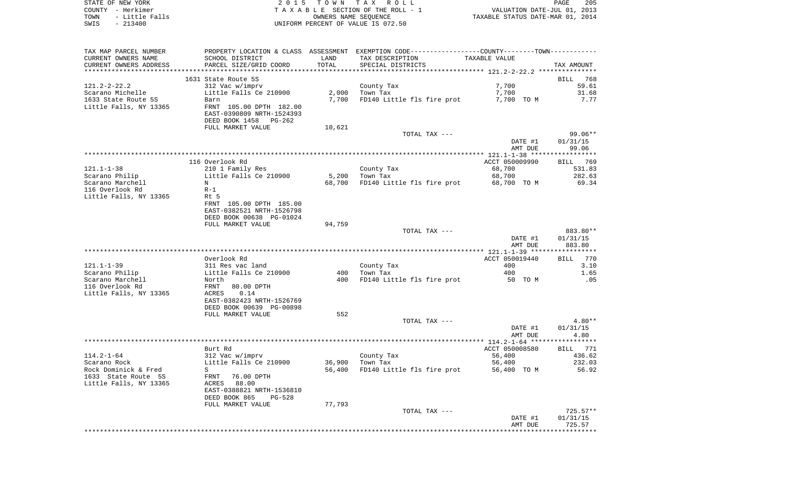|      | STATE OF NEW YORK | 2015 TOWN TAX ROLL                 | 205<br><b>PAGE</b>               |  |
|------|-------------------|------------------------------------|----------------------------------|--|
|      | COUNTY - Herkimer | TAXABLE SECTION OF THE ROLL - 1    | VALUATION DATE-JUL 01, 2013      |  |
| TOWN | - Little Falls    | OWNERS NAME SEOUENCE               | TAXABLE STATUS DATE-MAR 01, 2014 |  |
| SWIS | $-213400$         | UNIFORM PERCENT OF VALUE IS 072.50 |                                  |  |

| TAX MAP PARCEL NUMBER  |                           |        | PROPERTY LOCATION & CLASS ASSESSMENT EXEMPTION CODE----------------COUNTY-------TOWN---------- |                |                 |
|------------------------|---------------------------|--------|------------------------------------------------------------------------------------------------|----------------|-----------------|
| CURRENT OWNERS NAME    | SCHOOL DISTRICT           | LAND   | TAX DESCRIPTION                                                                                | TAXABLE VALUE  |                 |
| CURRENT OWNERS ADDRESS | PARCEL SIZE/GRID COORD    | TOTAL  | SPECIAL DISTRICTS                                                                              |                | TAX AMOUNT      |
|                        |                           |        |                                                                                                |                |                 |
|                        | 1631 State Route 5S       |        |                                                                                                |                | BILL 768        |
| $121.2 - 2 - 22.2$     | 312 Vac w/imprv           |        | County Tax                                                                                     | 7,700          | 59.61           |
| Scarano Michelle       | Little Falls Ce 210900    | 2,000  | Town Tax                                                                                       | 7,700          | 31.68           |
| 1633 State Route 5S    | Barn                      | 7,700  | FD140 Little fls fire prot                                                                     | 7,700 TO M     | 7.77            |
| Little Falls, NY 13365 | FRNT 105.00 DPTH 182.00   |        |                                                                                                |                |                 |
|                        | EAST-0390809 NRTH-1524393 |        |                                                                                                |                |                 |
|                        | DEED BOOK 1458<br>PG-262  |        |                                                                                                |                |                 |
|                        | FULL MARKET VALUE         | 10,621 |                                                                                                |                |                 |
|                        |                           |        | TOTAL TAX ---                                                                                  |                | $99.06**$       |
|                        |                           |        |                                                                                                | DATE #1        | 01/31/15        |
|                        |                           |        |                                                                                                | AMT DUE        | 99.06           |
|                        |                           |        |                                                                                                |                |                 |
|                        | 116 Overlook Rd           |        |                                                                                                | ACCT 050009990 | BILL 769        |
| $121.1 - 1 - 38$       | 210 1 Family Res          |        | County Tax                                                                                     | 68,700         | 531.83          |
| Scarano Philip         | Little Falls Ce 210900    | 5,200  | Town Tax                                                                                       | 68,700         | 282.63          |
| Scarano Marchell       | N                         | 68,700 | FD140 Little fls fire prot                                                                     | 68,700 TO M    | 69.34           |
| 116 Overlook Rd        | $R-1$                     |        |                                                                                                |                |                 |
| Little Falls, NY 13365 | Rt 5                      |        |                                                                                                |                |                 |
|                        | FRNT 105.00 DPTH 185.00   |        |                                                                                                |                |                 |
|                        | EAST-0382521 NRTH-1526798 |        |                                                                                                |                |                 |
|                        | DEED BOOK 00638 PG-01024  |        |                                                                                                |                |                 |
|                        | FULL MARKET VALUE         | 94,759 |                                                                                                |                |                 |
|                        |                           |        | TOTAL TAX ---                                                                                  |                | 883.80**        |
|                        |                           |        |                                                                                                | DATE #1        | 01/31/15        |
|                        |                           |        |                                                                                                | AMT DUE        | 883.80          |
|                        |                           |        |                                                                                                |                |                 |
|                        | Overlook Rd               |        |                                                                                                | ACCT 050019440 | BILL<br>770     |
| $121.1 - 1 - 39$       | 311 Res vac land          |        | County Tax                                                                                     | 400            | 3.10            |
| Scarano Philip         | Little Falls Ce 210900    | 400    | Town Tax                                                                                       | 400            | 1.65            |
| Scarano Marchell       | North                     | 400    | FD140 Little fls fire prot                                                                     | 50 TO M        | .05             |
| 116 Overlook Rd        | FRNT<br>80.00 DPTH        |        |                                                                                                |                |                 |
| Little Falls, NY 13365 |                           |        |                                                                                                |                |                 |
|                        |                           |        |                                                                                                |                |                 |
|                        | ACRES<br>0.14             |        |                                                                                                |                |                 |
|                        | EAST-0382423 NRTH-1526769 |        |                                                                                                |                |                 |
|                        | DEED BOOK 00639 PG-00898  |        |                                                                                                |                |                 |
|                        | FULL MARKET VALUE         | 552    |                                                                                                |                |                 |
|                        |                           |        | TOTAL TAX ---                                                                                  |                | $4.80**$        |
|                        |                           |        |                                                                                                | DATE #1        | 01/31/15        |
|                        |                           |        |                                                                                                | AMT DUE        | 4.80            |
|                        |                           |        |                                                                                                |                |                 |
|                        | Burt Rd                   |        |                                                                                                | ACCT 050008580 | <b>BILL</b> 771 |
| $114.2 - 1 - 64$       | 312 Vac w/imprv           |        | County Tax                                                                                     | 56,400         | 436.62          |
| Scarano Rock           | Little Falls Ce 210900    | 36,900 | Town Tax                                                                                       | 56,400         | 232.03          |
| Rock Dominick & Fred   | S                         | 56,400 | FD140 Little fls fire prot                                                                     | 56,400 TO M    | 56.92           |
| 1633 State Route 5S    | 76.00 DPTH<br>FRNT        |        |                                                                                                |                |                 |
| Little Falls, NY 13365 | 88.00<br>ACRES            |        |                                                                                                |                |                 |
|                        | EAST-0388821 NRTH-1536810 |        |                                                                                                |                |                 |
|                        | DEED BOOK 865<br>PG-528   |        |                                                                                                |                |                 |
|                        | FULL MARKET VALUE         | 77,793 |                                                                                                |                |                 |
|                        |                           |        | TOTAL TAX ---                                                                                  |                | 725.57**        |
|                        |                           |        |                                                                                                | DATE #1        | 01/31/15        |
|                        |                           |        |                                                                                                | AMT DUE        | 725.57          |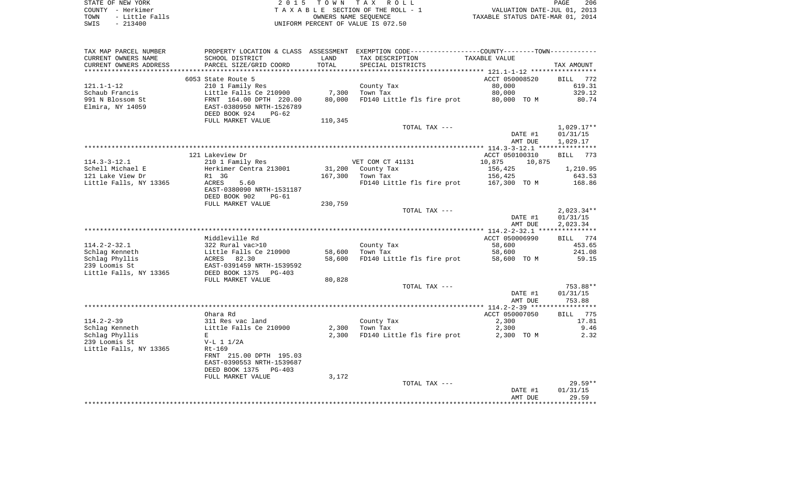| STATE OF NEW YORK      | 2015 TOWN TAX ROLL                 |
|------------------------|------------------------------------|
| COUNTY - Herkimer      | TAXABLE SECTION OF THE ROLL - 1    |
| - Little Falls<br>TOWN | OWNERS NAME SEOUENCE               |
| CMTC – 213400          | INIEORM PERCENT OF VALUE IS 072 50 |

COUNTY - Herkimer<br>
T A X A B L E SECTION OF THE ROLL - 1<br>
OWNERS NAME SECTION OF THE ROLL - 1 TOWN - Little Falls OWNERS NAME SEQUENCE TAXABLE STATUS DATE-MAR 01, 2014 SWIS - 213400 UNIFORM PERCENT OF VALUE IS 072.50

| TAX MAP PARCEL NUMBER  |                            |         | PROPERTY LOCATION & CLASS ASSESSMENT EXEMPTION CODE----------------COUNTY-------TOWN-------- |                    |                   |
|------------------------|----------------------------|---------|----------------------------------------------------------------------------------------------|--------------------|-------------------|
| CURRENT OWNERS NAME    | SCHOOL DISTRICT            | LAND    | TAX DESCRIPTION                                                                              | TAXABLE VALUE      |                   |
| CURRENT OWNERS ADDRESS | PARCEL SIZE/GRID COORD     | TOTAL   | SPECIAL DISTRICTS                                                                            |                    | TAX AMOUNT        |
| **************         |                            |         |                                                                                              |                    |                   |
|                        | 6053 State Route 5         |         |                                                                                              | ACCT 050008520     | BILL<br>772       |
| $121.1 - 1 - 12$       | 210 1 Family Res           |         | County Tax                                                                                   | 80,000             | 619.31            |
| Schaub Francis         | Little Falls Ce 210900     | 7,300   | Town Tax                                                                                     | 80,000             | 329.12            |
| 991 N Blossom St       | FRNT 164.00 DPTH 220.00    | 80,000  | FD140 Little fls fire prot                                                                   | 80,000 TO M        | 80.74             |
| Elmira, NY 14059       | EAST-0380950 NRTH-1526789  |         |                                                                                              |                    |                   |
|                        | DEED BOOK 924<br>$PG-62$   |         |                                                                                              |                    |                   |
|                        | FULL MARKET VALUE          | 110,345 |                                                                                              |                    |                   |
|                        |                            |         | TOTAL TAX ---                                                                                |                    | $1,029.17**$      |
|                        |                            |         |                                                                                              | DATE #1            | 01/31/15          |
|                        |                            |         |                                                                                              | AMT DUE            | 1,029.17          |
|                        |                            |         |                                                                                              |                    |                   |
|                        | 121 Lakeview Dr            |         |                                                                                              | ACCT 050100310     | BILL 773          |
| $114.3 - 3 - 12.1$     | 210 1 Family Res           |         | VET COM CT 41131                                                                             | 10,875<br>10,875   |                   |
| Schell Michael E       | Herkimer Centra 213001     |         | 31,200 County Tax                                                                            | 156,425            | 1,210.95          |
| 121 Lake View Dr       | R1 3G                      | 167,300 | Town Tax                                                                                     | 156,425            | 643.53            |
| Little Falls, NY 13365 | ACRES<br>5.60              |         | FD140 Little fls fire prot                                                                   | 167,300 TO M       | 168.86            |
|                        | EAST-0380090 NRTH-1531187  |         |                                                                                              |                    |                   |
|                        | DEED BOOK 902<br>$PG-61$   |         |                                                                                              |                    |                   |
|                        | FULL MARKET VALUE          | 230,759 |                                                                                              |                    |                   |
|                        |                            |         | TOTAL TAX ---                                                                                |                    | $2,023.34**$      |
|                        |                            |         |                                                                                              | DATE #1            | 01/31/15          |
|                        |                            |         |                                                                                              | AMT DUE            | 2,023.34          |
|                        |                            |         |                                                                                              |                    |                   |
|                        | Middleville Rd             |         |                                                                                              | ACCT 050006990     | BILL 774          |
| $114.2 - 2 - 32.1$     | 322 Rural vac>10           |         | County Tax                                                                                   | 58,600             | 453.65            |
| Schlag Kenneth         | Little Falls Ce 210900     | 58,600  | Town Tax                                                                                     | 58,600             | 241.08            |
| Schlag Phyllis         | 82.30<br>ACRES             | 58,600  | FD140 Little fls fire prot                                                                   | 58,600 TO M        | 59.15             |
| 239 Loomis St          | EAST-0391459 NRTH-1539592  |         |                                                                                              |                    |                   |
| Little Falls, NY 13365 | DEED BOOK 1375<br>$PG-403$ |         |                                                                                              |                    |                   |
|                        | FULL MARKET VALUE          | 80,828  |                                                                                              |                    |                   |
|                        |                            |         | TOTAL TAX ---                                                                                |                    | 753.88**          |
|                        |                            |         |                                                                                              | DATE #1            | 01/31/15          |
|                        |                            |         |                                                                                              | AMT DUE            | 753.88            |
|                        |                            |         |                                                                                              |                    |                   |
|                        | Ohara Rd                   |         |                                                                                              | ACCT 050007050     | BILL 775          |
| $114.2 - 2 - 39$       | 311 Res vac land           |         | County Tax                                                                                   | 2,300              | 17.81             |
| Schlag Kenneth         | Little Falls Ce 210900     | 2,300   | Town Tax                                                                                     | 2,300              | 9.46              |
| Schlag Phyllis         | E                          | 2,300   | FD140 Little fls fire prot                                                                   | 2,300 TO M         | 2.32              |
| 239 Loomis St          | $V-L 1 1/2A$               |         |                                                                                              |                    |                   |
| Little Falls, NY 13365 | $Rt-169$                   |         |                                                                                              |                    |                   |
|                        | FRNT 215.00 DPTH 195.03    |         |                                                                                              |                    |                   |
|                        | EAST-0390553 NRTH-1539687  |         |                                                                                              |                    |                   |
|                        | DEED BOOK 1375<br>$PG-403$ |         |                                                                                              |                    |                   |
|                        | FULL MARKET VALUE          | 3,172   |                                                                                              |                    |                   |
|                        |                            |         | TOTAL TAX ---                                                                                |                    | $29.59**$         |
|                        |                            |         |                                                                                              | DATE #1<br>AMT DUE | 01/31/15<br>29.59 |
|                        |                            |         |                                                                                              |                    | ***********       |
|                        |                            |         |                                                                                              |                    |                   |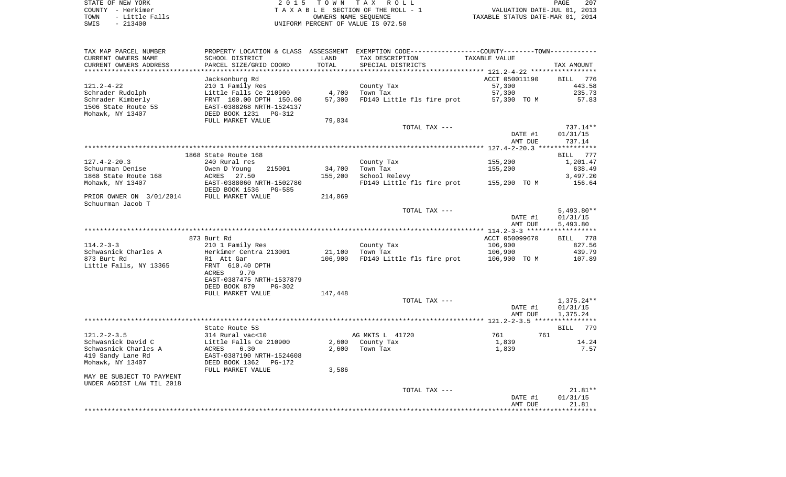STATE OF NEW YORK **EXECUTE:**  $2015$  TOWN TAX ROLL COUNTY - Herkimer<br>
T A X A B L E SECTION OF THE ROLL - 1<br>
T A X A B L E SECTION OF THE ROLL - 1<br>
OWNERS NAME SEQUENCE<br>
SWIS - 213400<br>
OWNERS NAME SEQUENCE TOWN - Little Falls OWNERS NAME SEQUENCE TAXABLE STATUS DATE-MAR 01, 2014 SWIS - 213400 UNIFORM PERCENT OF VALUE IS 072.50

| TAX MAP PARCEL NUMBER     |                                 |         | PROPERTY LOCATION & CLASS ASSESSMENT EXEMPTION CODE----------------COUNTY--------TOWN----------- |                |              |
|---------------------------|---------------------------------|---------|--------------------------------------------------------------------------------------------------|----------------|--------------|
| CURRENT OWNERS NAME       | SCHOOL DISTRICT                 | LAND    | TAX DESCRIPTION                                                                                  | TAXABLE VALUE  |              |
| CURRENT OWNERS ADDRESS    | PARCEL SIZE/GRID COORD          | TOTAL   | SPECIAL DISTRICTS                                                                                |                | TAX AMOUNT   |
|                           |                                 |         |                                                                                                  |                |              |
|                           | Jacksonburg Rd                  |         |                                                                                                  | ACCT 050011190 | BILL 776     |
| $121.2 - 4 - 22$          | 210 1 Family Res                |         | County Tax                                                                                       | 57,300         | 443.58       |
| Schrader Rudolph          | Little Falls Ce 210900          | 4,700   | Town Tax                                                                                         | 57,300         | 235.73       |
| Schrader Kimberly         | FRNT 100.00 DPTH 150.00         | 57,300  | FD140 Little fls fire prot                                                                       | 57,300 TO M    | 57.83        |
| 1506 State Route 5S       | EAST-0388268 NRTH-1524137       |         |                                                                                                  |                |              |
| Mohawk, NY 13407          | DEED BOOK 1231 PG-312           |         |                                                                                                  |                |              |
|                           | FULL MARKET VALUE               | 79,034  |                                                                                                  |                |              |
|                           |                                 |         | TOTAL TAX ---                                                                                    |                | $737.14**$   |
|                           |                                 |         |                                                                                                  | DATE #1        | 01/31/15     |
|                           |                                 |         |                                                                                                  | AMT DUE        | 737.14       |
|                           |                                 |         |                                                                                                  |                |              |
|                           |                                 |         |                                                                                                  |                |              |
|                           | 1868 State Route 168            |         |                                                                                                  |                | BILL 777     |
| $127.4 - 2 - 20.3$        | 240 Rural res                   |         | County Tax                                                                                       | 155,200        | 1,201.47     |
| Schuurman Denise          | Owen D Young<br>215001          | 34,700  | Town Tax                                                                                         | 155,200        | 638.49       |
| 1868 State Route 168      | 27.50<br>ACRES                  | 155,200 | School Relevy                                                                                    |                | 3,497.20     |
| Mohawk, NY 13407          | EAST-0388060 NRTH-1502780       |         | FD140 Little fls fire prot                                                                       | 155,200 TO M   | 156.64       |
|                           | DEED BOOK 1536<br><b>PG-585</b> |         |                                                                                                  |                |              |
| PRIOR OWNER ON 3/01/2014  | FULL MARKET VALUE               | 214,069 |                                                                                                  |                |              |
| Schuurman Jacob T         |                                 |         |                                                                                                  |                |              |
|                           |                                 |         | TOTAL TAX ---                                                                                    |                | $5,493.80**$ |
|                           |                                 |         |                                                                                                  | DATE #1        | 01/31/15     |
|                           |                                 |         |                                                                                                  | AMT DUE        | 5,493.80     |
|                           |                                 |         |                                                                                                  |                |              |
|                           | 873 Burt Rd                     |         |                                                                                                  | ACCT 050099670 | BILL 778     |
| $114.2 - 3 - 3$           | 210 1 Family Res                |         | County Tax                                                                                       | 106,900        | 827.56       |
|                           |                                 |         | Town Tax                                                                                         |                | 439.79       |
| Schwasnick Charles A      | Herkimer Centra 213001          | 21,100  |                                                                                                  | 106,900        |              |
| 873 Burt Rd               | R1 Att Gar                      | 106,900 | FD140 Little fls fire prot                                                                       | 106,900 TO M   | 107.89       |
| Little Falls, NY 13365    | FRNT 610.40 DPTH                |         |                                                                                                  |                |              |
|                           | 9.70<br>ACRES                   |         |                                                                                                  |                |              |
|                           | EAST-0387475 NRTH-1537879       |         |                                                                                                  |                |              |
|                           | DEED BOOK 879<br>$PG-302$       |         |                                                                                                  |                |              |
|                           | FULL MARKET VALUE               | 147,448 |                                                                                                  |                |              |
|                           |                                 |         | TOTAL TAX ---                                                                                    |                | $1,375.24**$ |
|                           |                                 |         |                                                                                                  | DATE #1        | 01/31/15     |
|                           |                                 |         |                                                                                                  | AMT DUE        | 1,375.24     |
|                           |                                 |         |                                                                                                  |                |              |
|                           | State Route 5S                  |         |                                                                                                  |                | 779<br>BILL  |
| $121.2 - 2 - 3.5$         | 314 Rural vac<10                |         | AG MKTS L 41720                                                                                  | 761<br>761     |              |
| Schwasnick David C        | Little Falls Ce 210900          | 2,600   | County Tax                                                                                       | 1,839          | 14.24        |
| Schwasnick Charles A      | ACRES<br>6.30                   | 2,600   | Town Tax                                                                                         | 1,839          | 7.57         |
| 419 Sandy Lane Rd         | EAST-0387190 NRTH-1524608       |         |                                                                                                  |                |              |
| Mohawk, NY 13407          | DEED BOOK 1362<br>PG-172        |         |                                                                                                  |                |              |
|                           |                                 |         |                                                                                                  |                |              |
|                           | FULL MARKET VALUE               | 3,586   |                                                                                                  |                |              |
| MAY BE SUBJECT TO PAYMENT |                                 |         |                                                                                                  |                |              |
| UNDER AGDIST LAW TIL 2018 |                                 |         |                                                                                                  |                |              |
|                           |                                 |         | TOTAL TAX ---                                                                                    |                | $21.81**$    |
|                           |                                 |         |                                                                                                  | DATE #1        | 01/31/15     |
|                           |                                 |         |                                                                                                  | AMT DUE        | 21.81        |
|                           |                                 |         |                                                                                                  |                |              |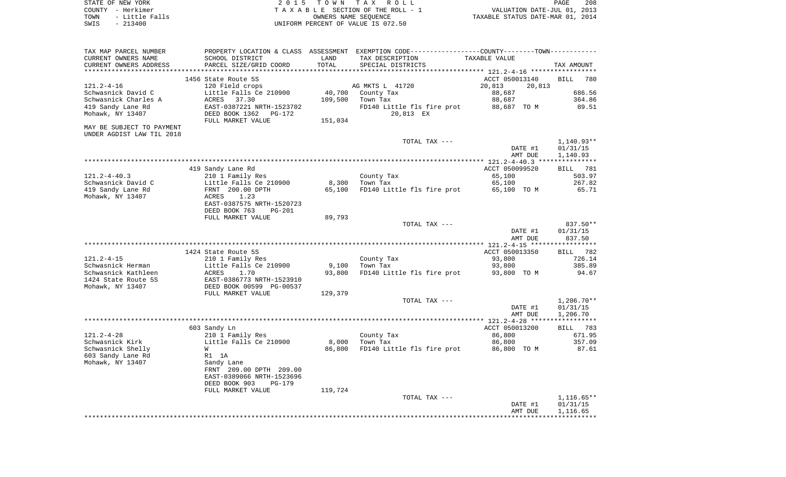| STATE OF NEW YORK |                   | 2015 TOWN TAX ROLL                 | 208<br>PAGE                      |
|-------------------|-------------------|------------------------------------|----------------------------------|
|                   | COUNTY - Herkimer | TAXABLE SECTION OF THE ROLL - 1    | VALUATION DATE-JUL 01, 2013      |
| TOWN              | - Little Falls    | OWNERS NAME SEOUENCE               | TAXABLE STATUS DATE-MAR 01, 2014 |
| SWIS              | - 213400          | UNIFORM PERCENT OF VALUE IS 072.50 |                                  |

| TAX MAP PARCEL NUMBER<br>CURRENT OWNERS NAME      | SCHOOL DISTRICT                                          | LAND    | PROPERTY LOCATION & CLASS ASSESSMENT EXEMPTION CODE---------------COUNTY-------TOWN---------<br>TAX DESCRIPTION | TAXABLE VALUE    |                       |
|---------------------------------------------------|----------------------------------------------------------|---------|-----------------------------------------------------------------------------------------------------------------|------------------|-----------------------|
| CURRENT OWNERS ADDRESS<br>*********************** | PARCEL SIZE/GRID COORD<br>****************************** | TOTAL   | SPECIAL DISTRICTS                                                                                               |                  | TAX AMOUNT            |
|                                                   | 1456 State Route 5S                                      |         |                                                                                                                 | ACCT 050013140   | <b>BILL</b><br>780    |
| $121.2 - 4 - 16$                                  | 120 Field crops                                          |         | AG MKTS L 41720                                                                                                 | 20,813<br>20,813 |                       |
| Schwasnick David C                                | Little Falls Ce 210900                                   | 40,700  | County Tax                                                                                                      | 88,687           | 686.56                |
| Schwasnick Charles A                              | 37.30<br>ACRES                                           | 109,500 | Town Tax                                                                                                        | 88,687           | 364.86                |
| 419 Sandy Lane Rd                                 | EAST-0387221 NRTH-1523702                                |         | FD140 Little fls fire prot                                                                                      | 88,687 TO M      | 89.51                 |
| Mohawk, NY 13407                                  | DEED BOOK 1362<br>PG-172                                 |         | 20,813 EX                                                                                                       |                  |                       |
|                                                   | FULL MARKET VALUE                                        | 151,034 |                                                                                                                 |                  |                       |
| MAY BE SUBJECT TO PAYMENT                         |                                                          |         |                                                                                                                 |                  |                       |
| UNDER AGDIST LAW TIL 2018                         |                                                          |         |                                                                                                                 |                  |                       |
|                                                   |                                                          |         | TOTAL TAX ---                                                                                                   |                  | $1,140.93**$          |
|                                                   |                                                          |         |                                                                                                                 | DATE #1          | 01/31/15              |
|                                                   |                                                          |         |                                                                                                                 | AMT DUE          | 1,140.93              |
|                                                   |                                                          |         |                                                                                                                 |                  |                       |
|                                                   | 419 Sandy Lane Rd                                        |         |                                                                                                                 | ACCT 050099520   | <b>BILL</b> 781       |
| $121.2 - 4 - 40.3$                                | 210 1 Family Res                                         |         | County Tax                                                                                                      | 65,100           | 503.97                |
| Schwasnick David C                                | Little Falls Ce 210900                                   | 8,300   | Town Tax                                                                                                        | 65,100           | 267.82                |
| 419 Sandy Lane Rd                                 | FRNT 200.00 DPTH                                         | 65,100  | FD140 Little fls fire prot                                                                                      | 65,100 TO M      | 65.71                 |
| Mohawk, NY 13407                                  | ACRES<br>1.23                                            |         |                                                                                                                 |                  |                       |
|                                                   | EAST-0387575 NRTH-1520723                                |         |                                                                                                                 |                  |                       |
|                                                   | DEED BOOK 763<br><b>PG-201</b>                           |         |                                                                                                                 |                  |                       |
|                                                   | FULL MARKET VALUE                                        | 89,793  |                                                                                                                 |                  |                       |
|                                                   |                                                          |         | TOTAL TAX ---                                                                                                   |                  | $837.50**$            |
|                                                   |                                                          |         |                                                                                                                 | DATE #1          | 01/31/15              |
|                                                   |                                                          |         |                                                                                                                 | AMT DUE          | 837.50                |
|                                                   |                                                          |         |                                                                                                                 |                  | * * * * * * * * * * * |
|                                                   | 1424 State Route 5S                                      |         |                                                                                                                 | ACCT 050013350   | BILL 782              |
| $121.2 - 4 - 15$                                  | 210 1 Family Res                                         |         | County Tax                                                                                                      | 93,800           | 726.14                |
| Schwasnick Herman                                 | Little Falls Ce 210900                                   | 9,100   | Town Tax                                                                                                        | 93,800           | 385.89                |
| Schwasnick Kathleen                               | ACRES<br>1.70                                            | 93,800  | FD140 Little fls fire prot                                                                                      | 93,800 TO M      | 94.67                 |
| 1424 State Route 5S                               | EAST-0386773 NRTH-1523910                                |         |                                                                                                                 |                  |                       |
| Mohawk, NY 13407                                  | DEED BOOK 00599 PG-00537                                 |         |                                                                                                                 |                  |                       |
|                                                   | FULL MARKET VALUE                                        | 129,379 |                                                                                                                 |                  |                       |
|                                                   |                                                          |         | TOTAL TAX ---                                                                                                   |                  | $1,206.70**$          |
|                                                   |                                                          |         |                                                                                                                 | DATE #1          | 01/31/15              |
|                                                   |                                                          |         |                                                                                                                 | AMT DUE          | 1,206.70              |
|                                                   |                                                          |         |                                                                                                                 | ACCT 050013200   | BILL 783              |
| $121.2 - 4 - 28$                                  | 603 Sandy Ln                                             |         |                                                                                                                 |                  | 671.95                |
| Schwasnick Kirk                                   | 210 1 Family Res<br>Little Falls Ce 210900               | 8,000   | County Tax<br>Town Tax                                                                                          | 86,800<br>86,800 | 357.09                |
| Schwasnick Shelly                                 | W                                                        | 86,800  | FD140 Little fls fire prot                                                                                      | 86,800 TO M      | 87.61                 |
| 603 Sandy Lane Rd                                 | R1 1A                                                    |         |                                                                                                                 |                  |                       |
| Mohawk, NY 13407                                  | Sandy Lane                                               |         |                                                                                                                 |                  |                       |
|                                                   | FRNT 209.00 DPTH 209.00                                  |         |                                                                                                                 |                  |                       |
|                                                   | EAST-0389066 NRTH-1523696                                |         |                                                                                                                 |                  |                       |
|                                                   | DEED BOOK 903<br>PG-179                                  |         |                                                                                                                 |                  |                       |
|                                                   | FULL MARKET VALUE                                        | 119,724 |                                                                                                                 |                  |                       |
|                                                   |                                                          |         | TOTAL TAX ---                                                                                                   |                  | $1,116.65**$          |
|                                                   |                                                          |         |                                                                                                                 | DATE #1          | 01/31/15              |
|                                                   |                                                          |         |                                                                                                                 | AMT DUE          | 1,116.65              |
|                                                   |                                                          |         |                                                                                                                 |                  |                       |
|                                                   |                                                          |         |                                                                                                                 |                  |                       |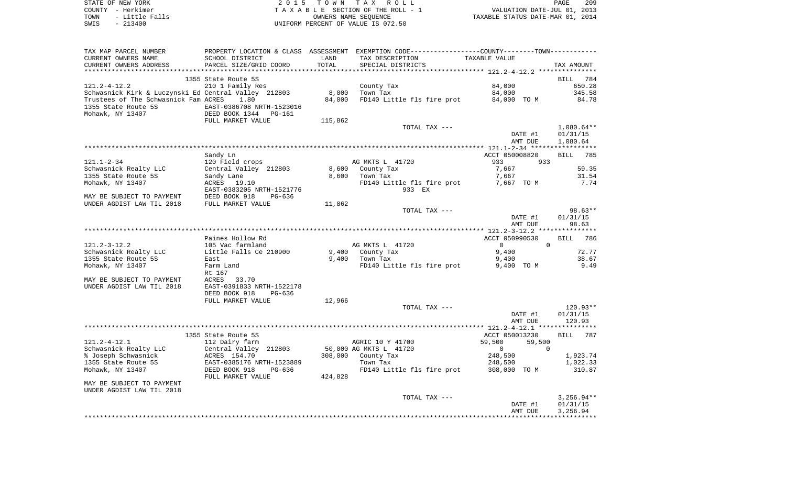| STATE OF NEW YORK      | 2015 TOWN TAX ROLL                 | 209<br>PAGE                      |
|------------------------|------------------------------------|----------------------------------|
| COUNTY - Herkimer      | TAXABLE SECTION OF THE ROLL - 1    | VALUATION DATE-JUL 01, 2013      |
| - Little Falls<br>TOWN | OWNERS NAME SEOUENCE               | TAXABLE STATUS DATE-MAR 01, 2014 |
| SWIS<br>$-213400$      | UNIFORM PERCENT OF VALUE IS 072.50 |                                  |

| TAX MAP PARCEL NUMBER<br>CURRENT OWNERS NAME                                                                                        | SCHOOL DISTRICT                                                                             | LAND                  | PROPERTY LOCATION & CLASS ASSESSMENT EXEMPTION CODE----------------COUNTY-------TOWN----------<br>TAX DESCRIPTION | TAXABLE VALUE                                |                                                 |
|-------------------------------------------------------------------------------------------------------------------------------------|---------------------------------------------------------------------------------------------|-----------------------|-------------------------------------------------------------------------------------------------------------------|----------------------------------------------|-------------------------------------------------|
| CURRENT OWNERS ADDRESS<br>*********************                                                                                     | PARCEL SIZE/GRID COORD<br>************************                                          | TOTAL<br>************ | SPECIAL DISTRICTS                                                                                                 |                                              | TAX AMOUNT                                      |
|                                                                                                                                     |                                                                                             |                       |                                                                                                                   |                                              |                                                 |
| 121.2-4-12.2<br>Schwasnick Kirk & Luczynski Ed Central Valley 212803<br>Trustees of The Schwasnick Fam ACRES<br>1355 State Route 5S | 1355 State Route 5S<br>210 1 Family Res<br>1.80<br>EAST-0386708 NRTH-1523016                | 8,000<br>84,000       | County Tax<br>Town Tax<br>FD140 Little fls fire prot                                                              | 84,000<br>84,000<br>84,000 TO M              | <b>BILL</b><br>784<br>650.28<br>345.58<br>84.78 |
| Mohawk, NY 13407                                                                                                                    | DEED BOOK 1344<br>PG-161                                                                    |                       |                                                                                                                   |                                              |                                                 |
|                                                                                                                                     | FULL MARKET VALUE                                                                           | 115,862               | TOTAL TAX ---                                                                                                     |                                              | $1,080.64**$                                    |
|                                                                                                                                     |                                                                                             |                       |                                                                                                                   | DATE #1<br>AMT DUE                           | 01/31/15<br>1,080.64                            |
|                                                                                                                                     |                                                                                             |                       |                                                                                                                   |                                              |                                                 |
|                                                                                                                                     | Sandy Ln                                                                                    |                       |                                                                                                                   | ACCT 050008820                               | <b>BILL</b><br>785                              |
| $121.1 - 2 - 34$                                                                                                                    | 120 Field crops                                                                             |                       | AG MKTS L 41720                                                                                                   | 933<br>933                                   |                                                 |
| Schwasnick Realty LLC                                                                                                               | Central Valley 212803                                                                       | 8,600                 | County Tax                                                                                                        | 7,667                                        | 59.35                                           |
| 1355 State Route 5S                                                                                                                 | Sandy Lane                                                                                  | 8,600                 | Town Tax                                                                                                          | 7,667                                        | 31.54                                           |
| Mohawk, NY 13407                                                                                                                    | ACRES<br>19.10<br>EAST-0383205 NRTH-1521776                                                 |                       | FD140 Little fls fire prot<br>933 EX                                                                              | 7,667 TO M                                   | 7.74                                            |
| MAY BE SUBJECT TO PAYMENT<br>UNDER AGDIST LAW TIL 2018                                                                              | DEED BOOK 918<br>$PG-636$<br>FULL MARKET VALUE                                              | 11,862                |                                                                                                                   |                                              |                                                 |
|                                                                                                                                     |                                                                                             |                       | TOTAL TAX ---                                                                                                     |                                              | $98.63**$                                       |
|                                                                                                                                     |                                                                                             |                       |                                                                                                                   | DATE #1<br>AMT DUE                           | 01/31/15<br>98.63                               |
|                                                                                                                                     |                                                                                             |                       |                                                                                                                   |                                              |                                                 |
| 121.2-3-12.2                                                                                                                        | Paines Hollow Rd<br>105 Vac farmland                                                        |                       | AG MKTS L 41720                                                                                                   | ACCT 050990530<br>$\Omega$<br>$\overline{0}$ | <b>BILL</b><br>786                              |
| Schwasnick Realty LLC<br>1355 State Route 5S<br>Mohawk, NY 13407                                                                    | Little Falls Ce 210900<br>East<br>Farm Land<br>Rt 167                                       | 9,400<br>9,400        | County Tax<br>Town Tax<br>FD140 Little fls fire prot                                                              | 9,400<br>9,400<br>9,400 TO M                 | 72.77<br>38.67<br>9.49                          |
| MAY BE SUBJECT TO PAYMENT<br>UNDER AGDIST LAW TIL 2018                                                                              | ACRES<br>33.70<br>EAST-0391833 NRTH-1522178<br>DEED BOOK 918<br>PG-636<br>FULL MARKET VALUE | 12,966                |                                                                                                                   |                                              |                                                 |
|                                                                                                                                     |                                                                                             |                       | TOTAL TAX ---                                                                                                     |                                              | $120.93**$                                      |
|                                                                                                                                     |                                                                                             |                       |                                                                                                                   | DATE #1<br>AMT DUE                           | 01/31/15<br>120.93                              |
|                                                                                                                                     |                                                                                             |                       |                                                                                                                   |                                              |                                                 |
|                                                                                                                                     | 1355 State Route 5S                                                                         |                       |                                                                                                                   | ACCT 050013230                               | <b>BILL</b><br>787                              |
| $121.2 - 4 - 12.1$                                                                                                                  | 112 Dairy farm                                                                              |                       | AGRIC 10 Y 41700                                                                                                  | 59,500<br>59,500                             |                                                 |
| Schwasnick Realty LLC                                                                                                               | Central Valley 212803<br>ACRES 154.70                                                       | 308,000               | 50,000 AG MKTS L 41720                                                                                            | $\mathbf 0$<br>$\Omega$<br>248,500           |                                                 |
| % Joseph Schwasnick<br>1355 State Route 5S                                                                                          | EAST-0385176 NRTH-1523889                                                                   |                       | County Tax<br>Town Tax                                                                                            | 248,500                                      | 1,923.74<br>1,022.33                            |
| Mohawk, NY 13407                                                                                                                    | DEED BOOK 918<br>PG-636<br>FULL MARKET VALUE                                                | 424,828               | FD140 Little fls fire prot                                                                                        | 308,000 TO M                                 | 310.87                                          |
| MAY BE SUBJECT TO PAYMENT<br>UNDER AGDIST LAW TIL 2018                                                                              |                                                                                             |                       |                                                                                                                   |                                              |                                                 |
|                                                                                                                                     |                                                                                             |                       | TOTAL TAX ---                                                                                                     |                                              | $3,256.94**$                                    |
|                                                                                                                                     |                                                                                             |                       |                                                                                                                   | DATE #1<br>AMT DUE                           | 01/31/15<br>3,256.94                            |
|                                                                                                                                     |                                                                                             |                       |                                                                                                                   |                                              |                                                 |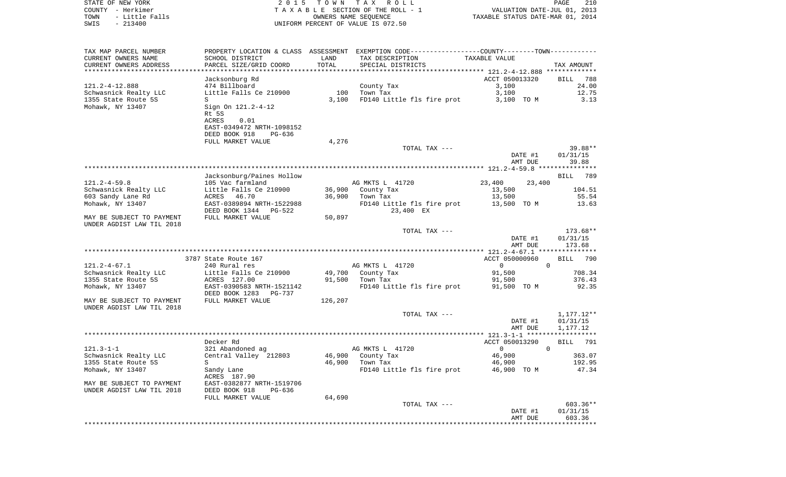STATE OF NEW YORK 2 0 1 5 T O W N T A X R O L L PAGE 210COUNTY - Herkimer **T A X A B L E** SECTION OF THE ROLL - 1 VALUATION DATE-JUL 01, 2013 TOWN - Little Falls OWNERS NAME SEQUENCE TAXABLE STATUS DATE-MAR 01, 2014 SWIS - 213400 UNIFORM PERCENT OF VALUE IS 072.50TAX MAP PARCEL NUMBER PROPERTY LOCATION & CLASS ASSESSMENT EXEMPTION CODE------------------COUNTY--------TOWN------------ CURRENT OWNERS NAME SCHOOL DISTRICT LAND TAX DESCRIPTION TAXABLE VALUECURRENT OWNERS ADDRESS PARCEL SIZE/GRID COORD TOTAL SPECIAL DISTRICTS TAX AMOUNT \*\*\*\*\*\*\*\*\*\*\*\*\*\*\*\*\*\*\*\*\*\*\*\*\*\*\*\*\*\*\*\*\*\*\*\*\*\*\*\*\*\*\*\*\*\*\*\*\*\*\*\*\*\*\*\*\*\*\*\*\*\*\*\*\*\*\*\*\*\*\*\*\*\*\*\*\*\*\*\*\*\*\*\*\*\*\*\*\*\*\*\*\*\*\*\*\*\*\*\*\*\*\* 121.2-4-12.888 \*\*\*\*\*\*\*\*\*\*\*\*\* Jacksonburg Rd ACCT 050013320 BILL 788 121.2-4-12.888 474 Billboard County Tax 3,100 24.00 Schwasnick Realty LLC and Little Falls Ce 210900 100 100 Town Tax 3,100 3,100 12.75 1355 State Route 5S State Route 5S State Route 5S State Route 3, 13 State Route 5S State Route 5.13 Mohawk, NY 13407 Sign On 121.2-4-12 Rt 5S ACRES 0.01 EAST-0349472 NRTH-1098152 DEED BOOK 918 PG-636FULL MARKET VALUE 4,276 TOTAL TAX  $---$  39.88\*\* DATE #1 01/31/15 AMT DUE 39.88 \*\*\*\*\*\*\*\*\*\*\*\*\*\*\*\*\*\*\*\*\*\*\*\*\*\*\*\*\*\*\*\*\*\*\*\*\*\*\*\*\*\*\*\*\*\*\*\*\*\*\*\*\*\*\*\*\*\*\*\*\*\*\*\*\*\*\*\*\*\*\*\*\*\*\*\*\*\*\*\*\*\*\*\*\*\*\*\*\*\*\*\*\*\*\*\*\*\*\*\*\*\*\* 121.2-4-59.8 \*\*\*\*\*\*\*\*\*\*\*\*\*\*\* Jacksonburg/Paines Hollow BILL 789 121.2-4-59.8 105 Vac farmland AG MKTS L 41720 23,400 23,400 Schwasnick Realty LLC Little Falls Ce 210900 36,900 County Tax 13,500 104.51 603 Sandy Lane Rd ACRES 46.70 36,900 Town Tax 13,500 55.54 Mohawk, NY 13407 **EAST-0389894 NRTH-1522988** FD140 Little fls fire prot 13,500 TO M 13.63 DEED BOOK 1344 PG-522 23,400 EX MAY BE SUBJECT TO PAYMENT FULL MARKET VALUE 60.897 UNDER AGDIST LAW TIL 2018 TOTAL TAX --- 173.68\*\* DATE #1 01/31/15 AMT DUE 173.68 \*\*\*\*\*\*\*\*\*\*\*\*\*\*\*\*\*\*\*\*\*\*\*\*\*\*\*\*\*\*\*\*\*\*\*\*\*\*\*\*\*\*\*\*\*\*\*\*\*\*\*\*\*\*\*\*\*\*\*\*\*\*\*\*\*\*\*\*\*\*\*\*\*\*\*\*\*\*\*\*\*\*\*\*\*\*\*\*\*\*\*\*\*\*\*\*\*\*\*\*\*\*\* 121.2-4-67.1 \*\*\*\*\*\*\*\*\*\*\*\*\*\*\*3787 State Route 167 ACCT 050000960 BILL 790 121.2-4-67.1 240 Rural res AG MKTS L 41720 0 0 0 0 Schwasnick Realty LLC and Little Falls Ce 210900 49,700 County Tax 31,500 91,500 708.34 1355 State Route 5S ACRES 127.00 91,500 Town Tax 91,500 376.43 Mohawk, NY 13407 EAST-0390583 NRTH-1521142 FD140 Little fls fire prot 91,500 TO M 92.35 DEED BOOK 1283 PG-737MAY BE SUBJECT TO PAYMENT FULL MARKET VALUE  $126.207$ UNDER AGDIST LAW TIL 2018 TOTAL TAX --- 1,177.12\*\* DATE #1 01/31/15 AMT DUE 1,177.12 \*\*\*\*\*\*\*\*\*\*\*\*\*\*\*\*\*\*\*\*\*\*\*\*\*\*\*\*\*\*\*\*\*\*\*\*\*\*\*\*\*\*\*\*\*\*\*\*\*\*\*\*\*\*\*\*\*\*\*\*\*\*\*\*\*\*\*\*\*\*\*\*\*\*\*\*\*\*\*\*\*\*\*\*\*\*\*\*\*\*\*\*\*\*\*\*\*\*\*\*\*\*\* 121.3-1-1 \*\*\*\*\*\*\*\*\*\*\*\*\*\*\*\*\*\* Decker Rd ACCT 050013290 BILL 791121.3-1-1 321 Abandoned ag AG MKTS L 41720 0 0 Schwasnick Realty LLC 6 Central Valley 212803 46,900 County Tax 46,900 466,900 363.07 1355 State Route 5S S 46,900 Town Tax 46,900 192.95 Mohawk, NY 13407 Sandy Lane Sandy Lane FD140 Little fls fire prot 46,900 TO M 47.34 ACRES 187.90MAY BE SUBJECT TO PAYMENT EAST-0382877 NRTH-1519706UNDER AGDIST LAW TIL 2018 DEED BOOK 918 PG-636FULL MARKET VALUE 64,690 TOTAL TAX --- 603.36\*\* DATE #1 01/31/15 AMT DUE 603.36

\*\*\*\*\*\*\*\*\*\*\*\*\*\*\*\*\*\*\*\*\*\*\*\*\*\*\*\*\*\*\*\*\*\*\*\*\*\*\*\*\*\*\*\*\*\*\*\*\*\*\*\*\*\*\*\*\*\*\*\*\*\*\*\*\*\*\*\*\*\*\*\*\*\*\*\*\*\*\*\*\*\*\*\*\*\*\*\*\*\*\*\*\*\*\*\*\*\*\*\*\*\*\*\*\*\*\*\*\*\*\*\*\*\*\*\*\*\*\*\*\*\*\*\*\*\*\*\*\*\*\*\*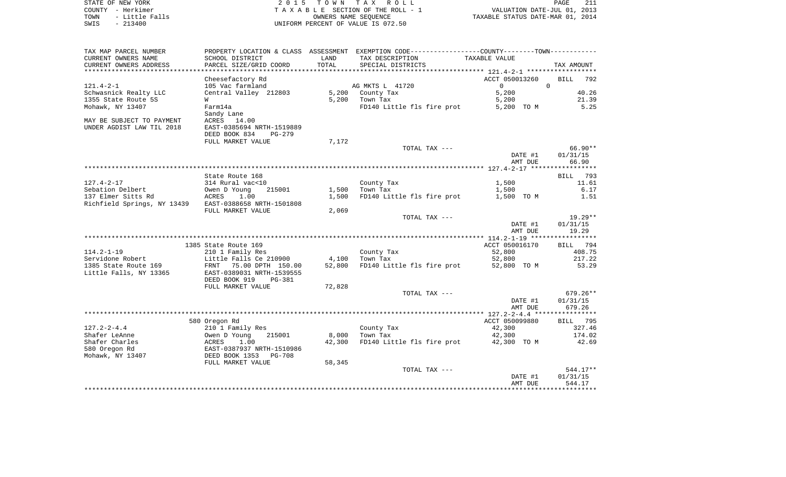| COUNTY - Herkimer<br>TAXABLE SECTION OF THE ROLL - 1    | STATE OF NEW YORK | 2015 TOWN TAX ROLL | PAGE                             |
|---------------------------------------------------------|-------------------|--------------------|----------------------------------|
|                                                         |                   |                    | VALUATION DATE-JUL 01, 2013      |
| - Little Falls<br>TOWN<br>OWNERS NAME SEOUENCE          |                   |                    | TAXABLE STATUS DATE-MAR 01, 2014 |
| $-213400$<br>SWIS<br>UNIFORM PERCENT OF VALUE IS 072.50 |                   |                    |                                  |

| TAX MAP PARCEL NUMBER       |                                 |        | PROPERTY LOCATION & CLASS ASSESSMENT EXEMPTION CODE---------------COUNTY-------TOWN---------- |                |                    |
|-----------------------------|---------------------------------|--------|-----------------------------------------------------------------------------------------------|----------------|--------------------|
| CURRENT OWNERS NAME         | SCHOOL DISTRICT                 | LAND   | TAX DESCRIPTION                                                                               | TAXABLE VALUE  |                    |
| CURRENT OWNERS ADDRESS      | PARCEL SIZE/GRID COORD          | TOTAL  | SPECIAL DISTRICTS                                                                             |                | TAX AMOUNT         |
|                             |                                 |        |                                                                                               |                |                    |
|                             | Cheesefactory Rd                |        |                                                                                               | ACCT 050013260 | <b>BILL</b><br>792 |
| $121.4 - 2 - 1$             | 105 Vac farmland                |        | AG MKTS L 41720                                                                               | $\overline{0}$ | $\Omega$           |
| Schwasnick Realty LLC       | Central Valley 212803           | 5,200  | County Tax                                                                                    | 5,200          | 40.26              |
| 1355 State Route 5S         | W                               | 5,200  | Town Tax                                                                                      | 5,200          | 21.39              |
| Mohawk, NY 13407            | Farm14a                         |        | FD140 Little fls fire prot                                                                    | 5,200 TO M     | 5.25               |
|                             | Sandy Lane                      |        |                                                                                               |                |                    |
|                             |                                 |        |                                                                                               |                |                    |
| MAY BE SUBJECT TO PAYMENT   | ACRES 14.00                     |        |                                                                                               |                |                    |
| UNDER AGDIST LAW TIL 2018   | EAST-0385694 NRTH-1519889       |        |                                                                                               |                |                    |
|                             | DEED BOOK 834<br>$PG-279$       |        |                                                                                               |                |                    |
|                             | FULL MARKET VALUE               | 7,172  |                                                                                               |                |                    |
|                             |                                 |        | TOTAL TAX ---                                                                                 |                | $66.90**$          |
|                             |                                 |        |                                                                                               | DATE #1        | 01/31/15           |
|                             |                                 |        |                                                                                               | AMT DUE        | 66.90              |
|                             |                                 |        |                                                                                               |                |                    |
|                             | State Route 168                 |        |                                                                                               |                | BILL 793           |
| $127.4 - 2 - 17$            | 314 Rural vac<10                |        | County Tax                                                                                    | 1,500          | 11.61              |
| Sebation Delbert            | 215001<br>Owen D Young          | 1,500  | Town Tax                                                                                      | 1,500          | 6.17               |
| 137 Elmer Sitts Rd          | 1.00<br>ACRES                   | 1,500  | FD140 Little fls fire prot                                                                    | 1,500 TO M     | 1.51               |
| Richfield Springs, NY 13439 | EAST-0388658 NRTH-1501808       |        |                                                                                               |                |                    |
|                             | FULL MARKET VALUE               | 2,069  |                                                                                               |                |                    |
|                             |                                 |        | TOTAL TAX ---                                                                                 |                | $19.29**$          |
|                             |                                 |        |                                                                                               | DATE #1        | 01/31/15           |
|                             |                                 |        |                                                                                               | AMT DUE        | 19.29              |
|                             |                                 |        |                                                                                               |                |                    |
|                             | 1385 State Route 169            |        |                                                                                               | ACCT 050016170 | BILL 794           |
| $114.2 - 1 - 19$            | 210 1 Family Res                |        | County Tax                                                                                    | 52,800         | 408.75             |
| Servidone Robert            | Little Falls Ce 210900          | 4,100  | Town Tax                                                                                      | 52,800         | 217.22             |
| 1385 State Route 169        | FRNT 75.00 DPTH 150.00          | 52,800 | FD140 Little fls fire prot                                                                    | 52,800 TO M    | 53.29              |
| Little Falls, NY 13365      | EAST-0389031 NRTH-1539555       |        |                                                                                               |                |                    |
|                             | DEED BOOK 919<br>PG-381         |        |                                                                                               |                |                    |
|                             | FULL MARKET VALUE               | 72,828 |                                                                                               |                |                    |
|                             |                                 |        | TOTAL TAX ---                                                                                 |                | $679.26**$         |
|                             |                                 |        |                                                                                               | DATE #1        | 01/31/15           |
|                             |                                 |        |                                                                                               | AMT DUE        | 679.26             |
|                             |                                 |        |                                                                                               |                |                    |
|                             | 580 Oregon Rd                   |        |                                                                                               | ACCT 050099880 | BILL 795           |
| $127.2 - 2 - 4.4$           | 210 1 Family Res                |        | County Tax                                                                                    | 42,300         | 327.46             |
| Shafer LeAnne               | Owen D Young<br>215001          | 8,000  | Town Tax                                                                                      | 42,300         | 174.02             |
| Shafer Charles              | ACRES<br>1.00                   | 42,300 | FD140 Little fls fire prot                                                                    | 42,300 TO M    | 42.69              |
| 580 Oregon Rd               | EAST-0387937 NRTH-1510986       |        |                                                                                               |                |                    |
|                             |                                 |        |                                                                                               |                |                    |
| Mohawk, NY 13407            | DEED BOOK 1353<br><b>PG-708</b> |        |                                                                                               |                |                    |
|                             | FULL MARKET VALUE               | 58,345 |                                                                                               |                |                    |
|                             |                                 |        | TOTAL TAX ---                                                                                 |                | $544.17**$         |
|                             |                                 |        |                                                                                               | DATE #1        | 01/31/15           |
|                             |                                 |        |                                                                                               | AMT DUE        | 544.17             |
|                             |                                 |        |                                                                                               |                |                    |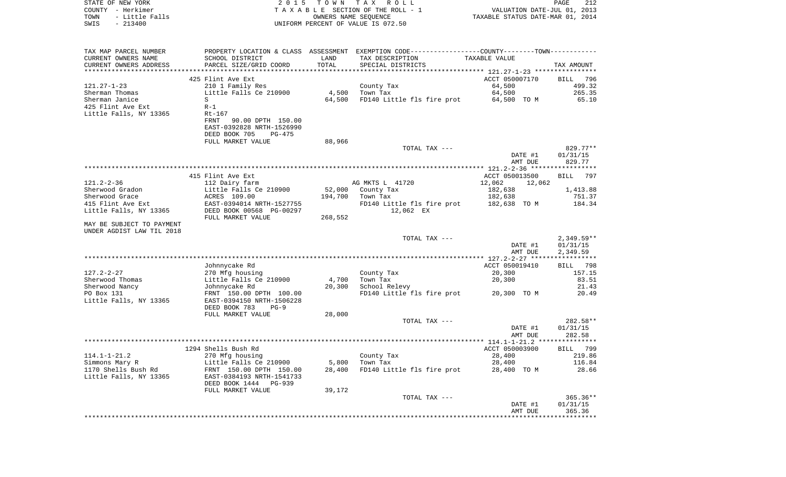| $-213400$<br>UNIFORM PERCENT OF VALUE IS 072.50<br>SWIS<br>PROPERTY LOCATION & CLASS ASSESSMENT EXEMPTION CODE----------------COUNTY-------TOWN----------<br>TAX MAP PARCEL NUMBER<br>CURRENT OWNERS NAME<br>SCHOOL DISTRICT<br>TAXABLE VALUE<br>LAND<br>TAX DESCRIPTION | TAX AMOUNT           |
|--------------------------------------------------------------------------------------------------------------------------------------------------------------------------------------------------------------------------------------------------------------------------|----------------------|
|                                                                                                                                                                                                                                                                          |                      |
|                                                                                                                                                                                                                                                                          |                      |
|                                                                                                                                                                                                                                                                          |                      |
| TOTAL<br>CURRENT OWNERS ADDRESS<br>PARCEL SIZE/GRID COORD<br>SPECIAL DISTRICTS                                                                                                                                                                                           |                      |
| 425 Flint Ave Ext<br>ACCT 050007170                                                                                                                                                                                                                                      | BILL 796             |
| 121.27-1-23<br>64,500<br>210 1 Family Res<br>County Tax                                                                                                                                                                                                                  | 499.32               |
| 4,500<br>64,500<br>Sherman Thomas<br>Little Falls Ce 210900<br>Town Tax                                                                                                                                                                                                  | 265.35               |
| FD140 Little fls fire prot<br>Sherman Janice<br>S<br>64,500<br>64,500 TO M                                                                                                                                                                                               | 65.10                |
| 425 Flint Ave Ext<br>$R-1$                                                                                                                                                                                                                                               |                      |
| Little Falls, NY 13365<br>Rt-167                                                                                                                                                                                                                                         |                      |
| FRNT<br>90.00 DPTH 150.00                                                                                                                                                                                                                                                |                      |
| EAST-0392828 NRTH-1526990                                                                                                                                                                                                                                                |                      |
| DEED BOOK 705<br>PG-475<br>88,966<br>FULL MARKET VALUE                                                                                                                                                                                                                   |                      |
| TOTAL TAX ---                                                                                                                                                                                                                                                            | 829.77**             |
| DATE #1                                                                                                                                                                                                                                                                  | 01/31/15             |
| AMT DUE                                                                                                                                                                                                                                                                  | 829.77               |
|                                                                                                                                                                                                                                                                          |                      |
| 415 Flint Ave Ext<br>ACCT 050013500                                                                                                                                                                                                                                      | <b>BILL</b><br>797   |
| 121.2-2-36<br>AG MKTS L 41720<br>12,062<br>112 Dairy farm<br>12,062                                                                                                                                                                                                      |                      |
| Sherwood Gradon<br>Little Falls Ce 210900<br>52,000<br>182,638<br>County Tax                                                                                                                                                                                             | 1,413.88             |
| Sherwood Grace<br>ACRES 109.00<br>194,700<br>182,638<br>Town Tax<br>415 Flint Ave Ext<br>EAST-0394014 NRTH-1527755<br>FD140 Little fls fire prot<br>182,638 TO M                                                                                                         | 751.37<br>184.34     |
| Little Falls, NY 13365<br>DEED BOOK 00568 PG-00297<br>12,062 EX                                                                                                                                                                                                          |                      |
| FULL MARKET VALUE<br>268,552                                                                                                                                                                                                                                             |                      |
| MAY BE SUBJECT TO PAYMENT                                                                                                                                                                                                                                                |                      |
| UNDER AGDIST LAW TIL 2018                                                                                                                                                                                                                                                |                      |
| TOTAL TAX ---                                                                                                                                                                                                                                                            | 2,349.59**           |
| DATE #1<br>AMT DUE                                                                                                                                                                                                                                                       | 01/31/15<br>2,349.59 |
|                                                                                                                                                                                                                                                                          |                      |
| Johnnycake Rd<br>ACCT 050019410                                                                                                                                                                                                                                          | BILL 798             |
| 127.2-2-27<br>270 Mfg housing<br>County Tax<br>20,300                                                                                                                                                                                                                    | 157.15               |
| 20,300<br>Sherwood Thomas<br>Little Falls Ce 210900<br>4,700<br>Town Tax                                                                                                                                                                                                 | 83.51                |
| 20,300<br>School Relevy<br>Sherwood Nancy<br>Johnnycake Rd                                                                                                                                                                                                               | 21.43                |
| PO Box 131<br>FRNT 150.00 DPTH 100.00<br>FD140 Little fls fire prot 20,300 TO M                                                                                                                                                                                          | 20.49                |
| Little Falls, NY 13365<br>EAST-0394150 NRTH-1506228<br>DEED BOOK 783<br>$PG-9$                                                                                                                                                                                           |                      |
| 28,000<br>FULL MARKET VALUE                                                                                                                                                                                                                                              |                      |
| TOTAL TAX ---                                                                                                                                                                                                                                                            | 282.58**             |
| DATE #1                                                                                                                                                                                                                                                                  | 01/31/15             |
| AMT DUE                                                                                                                                                                                                                                                                  | 282.58               |
|                                                                                                                                                                                                                                                                          |                      |
| 1294 Shells Bush Rd<br>ACCT 050003900<br>114.1-1-21.2<br>270 Mfg housing<br>County Tax<br>28,400                                                                                                                                                                         | BILL 799<br>219.86   |
| Simmons Mary R<br>Little Falls Ce 210900<br>5,800<br>Town Tax<br>28,400                                                                                                                                                                                                  | 116.84               |
| 1170 Shells Bush Rd<br>FRNT 150.00 DPTH 150.00<br>28,400<br>FD140 Little fls fire prot<br>28,400 TO M                                                                                                                                                                    | 28.66                |
| Little Falls, NY 13365<br>EAST-0384193 NRTH-1541733                                                                                                                                                                                                                      |                      |
| DEED BOOK 1444<br>PG-939                                                                                                                                                                                                                                                 |                      |
| 39,172<br>FULL MARKET VALUE                                                                                                                                                                                                                                              |                      |
| TOTAL TAX ---                                                                                                                                                                                                                                                            | $365.36**$           |
| DATE #1                                                                                                                                                                                                                                                                  | 01/31/15             |
| AMT DUE<br>*******************************                                                                                                                                                                                                                               | 365.36               |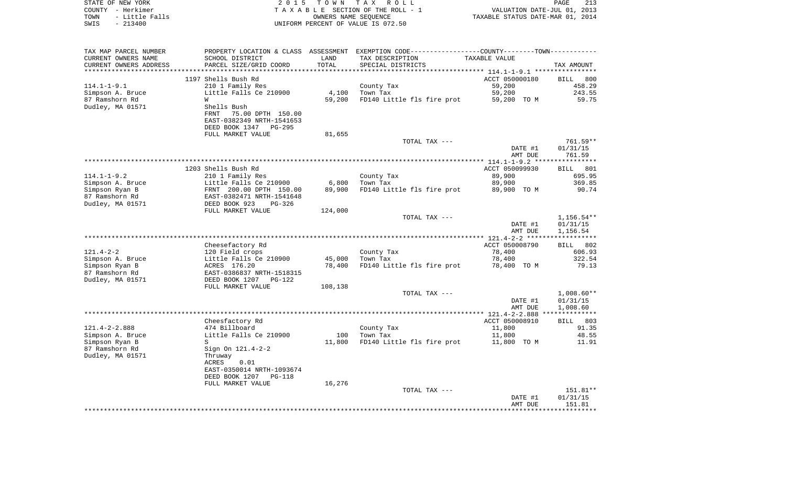| STATE OF NEW YORK<br>COUNTY - Herkimer<br>- Little Falls<br>TOWN<br>$-213400$<br>SWIS | 2 0 1 5                                               | T O W N | T A X<br>R O L L<br>TAXABLE SECTION OF THE ROLL - 1<br>OWNERS NAME SEQUENCE<br>UNIFORM PERCENT OF VALUE IS 072.50 | VALUATION DATE-JUL 01,<br>TAXABLE STATUS DATE-MAR 01, 2014 | PAGE<br>213<br>2013      |
|---------------------------------------------------------------------------------------|-------------------------------------------------------|---------|-------------------------------------------------------------------------------------------------------------------|------------------------------------------------------------|--------------------------|
| TAX MAP PARCEL NUMBER                                                                 |                                                       |         | PROPERTY LOCATION & CLASS ASSESSMENT EXEMPTION CODE---------------COUNTY-------TOWN----------                     |                                                            |                          |
| CURRENT OWNERS NAME                                                                   | SCHOOL DISTRICT                                       | LAND    | TAX DESCRIPTION                                                                                                   | TAXABLE VALUE                                              |                          |
| CURRENT OWNERS ADDRESS                                                                | PARCEL SIZE/GRID COORD                                | TOTAL   | SPECIAL DISTRICTS                                                                                                 |                                                            | TAX AMOUNT               |
| *********************                                                                 |                                                       |         |                                                                                                                   |                                                            |                          |
|                                                                                       | 1197 Shells Bush Rd                                   |         |                                                                                                                   | ACCT 050000180                                             | 800<br>BILL              |
| $114.1 - 1 - 9.1$<br>Simpson A. Bruce                                                 | 210 1 Family Res<br>Little Falls Ce 210900            | 4,100   | County Tax<br>Town Tax                                                                                            | 59,200<br>59,200                                           | 458.29<br>243.55         |
| 87 Ramshorn Rd                                                                        | W                                                     | 59,200  | FD140 Little fls fire prot                                                                                        | 59,200 TO M                                                | 59.75                    |
| Dudley, MA 01571                                                                      | Shells Bush                                           |         |                                                                                                                   |                                                            |                          |
|                                                                                       | FRNT<br>75.00 DPTH 150.00                             |         |                                                                                                                   |                                                            |                          |
|                                                                                       | EAST-0382349 NRTH-1541653                             |         |                                                                                                                   |                                                            |                          |
|                                                                                       | DEED BOOK 1347<br>PG-295                              |         |                                                                                                                   |                                                            |                          |
|                                                                                       | FULL MARKET VALUE                                     | 81,655  |                                                                                                                   |                                                            |                          |
|                                                                                       |                                                       |         | TOTAL TAX ---                                                                                                     |                                                            | 761.59**                 |
|                                                                                       |                                                       |         |                                                                                                                   | DATE #1                                                    | 01/31/15                 |
|                                                                                       |                                                       |         |                                                                                                                   | AMT DUE                                                    | 761.59                   |
|                                                                                       | 1203 Shells Bush Rd                                   |         |                                                                                                                   | ACCT 050099930                                             | 801<br>BILL              |
| $114.1 - 1 - 9.2$                                                                     | 210 1 Family Res                                      |         | County Tax                                                                                                        | 89,900                                                     | 695.95                   |
| Simpson A. Bruce                                                                      | Little Falls Ce 210900                                | 6,800   | Town Tax                                                                                                          | 89,900                                                     | 369.85                   |
| Simpson Ryan B                                                                        | FRNT 200.00 DPTH 150.00                               | 89,900  | FD140 Little fls fire prot                                                                                        | 89,900 TO M                                                | 90.74                    |
| 87 Ramshorn Rd                                                                        | EAST-0382471 NRTH-1541648                             |         |                                                                                                                   |                                                            |                          |
| Dudley, MA 01571                                                                      | DEED BOOK 923<br>$PG-326$                             |         |                                                                                                                   |                                                            |                          |
|                                                                                       | FULL MARKET VALUE                                     | 124,000 |                                                                                                                   |                                                            |                          |
|                                                                                       |                                                       |         | TOTAL TAX ---                                                                                                     | DATE #1                                                    | $1,156.54**$<br>01/31/15 |
|                                                                                       |                                                       |         |                                                                                                                   | AMT DUE                                                    | 1,156.54                 |
|                                                                                       |                                                       |         |                                                                                                                   |                                                            |                          |
|                                                                                       | Cheesefactory Rd                                      |         |                                                                                                                   | ACCT 050008790                                             | BILL<br>802              |
| $121.4 - 2 - 2$                                                                       | 120 Field crops                                       |         | County Tax                                                                                                        | 78,400                                                     | 606.93                   |
| Simpson A. Bruce                                                                      | Little Falls Ce 210900                                | 45,000  | Town Tax                                                                                                          | 78,400                                                     | 322.54                   |
| Simpson Ryan B                                                                        | ACRES 176.20                                          | 78,400  | FD140 Little fls fire prot                                                                                        | 78,400 TO M                                                | 79.13                    |
| 87 Ramshorn Rd<br>Dudley, MA 01571                                                    | EAST-0386837 NRTH-1518315<br>DEED BOOK 1207<br>PG-122 |         |                                                                                                                   |                                                            |                          |
|                                                                                       | FULL MARKET VALUE                                     | 108,138 |                                                                                                                   |                                                            |                          |
|                                                                                       |                                                       |         | TOTAL TAX ---                                                                                                     |                                                            | $1,008.60**$             |
|                                                                                       |                                                       |         |                                                                                                                   | DATE #1                                                    | 01/31/15                 |
|                                                                                       |                                                       |         |                                                                                                                   | AMT DUE                                                    | 1,008.60                 |
|                                                                                       |                                                       |         |                                                                                                                   |                                                            | **************           |
|                                                                                       | Cheesfactory Rd                                       |         |                                                                                                                   | ACCT 050008910                                             | 803<br>BILL              |
| $121.4 - 2 - 2.888$<br>Simpson A. Bruce                                               | 474 Billboard<br>Little Falls Ce 210900               | 100     | County Tax<br>Town Tax                                                                                            | 11,800<br>11,800                                           | 91.35<br>48.55           |
| Simpson Ryan B                                                                        | S                                                     | 11,800  | FD140 Little fls fire prot                                                                                        | 11,800 TO M                                                | 11.91                    |
| 87 Ramshorn Rd                                                                        | Sign On 121.4-2-2                                     |         |                                                                                                                   |                                                            |                          |
| Dudley, MA 01571                                                                      | Thruway                                               |         |                                                                                                                   |                                                            |                          |
|                                                                                       | ACRES<br>0.01                                         |         |                                                                                                                   |                                                            |                          |
|                                                                                       | EAST-0350014 NRTH-1093674                             |         |                                                                                                                   |                                                            |                          |
|                                                                                       | DEED BOOK 1207 PG-118                                 |         |                                                                                                                   |                                                            |                          |
|                                                                                       | FULL MARKET VALUE                                     | 16,276  |                                                                                                                   |                                                            |                          |
|                                                                                       |                                                       |         | TOTAL TAX ---                                                                                                     |                                                            | 151.81**                 |
|                                                                                       |                                                       |         |                                                                                                                   | DATE #1<br>AMT DUE                                         | 01/31/15<br>151.81       |
|                                                                                       |                                                       |         |                                                                                                                   |                                                            |                          |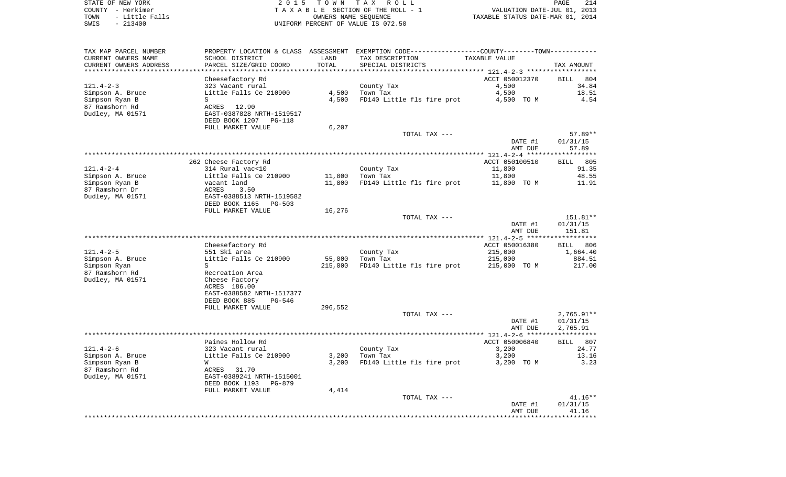| STATE OF NEW YORK      | 2015 TOWN TAX ROLL                 | PAGE                             |
|------------------------|------------------------------------|----------------------------------|
| COUNTY - Herkimer      | TAXABLE SECTION OF THE ROLL - 1    | VALUATION DATE-JUL 01, 2013      |
| - Little Falls<br>TOWN | OWNERS NAME SEOUENCE               | TAXABLE STATUS DATE-MAR 01, 2014 |
| $-213400$<br>SWIS      | UNIFORM PERCENT OF VALUE IS 072.50 |                                  |

| TAX MAP PARCEL NUMBER<br>CURRENT OWNERS NAME<br>CURRENT OWNERS ADDRESS | PROPERTY LOCATION & CLASS<br>SCHOOL DISTRICT<br>PARCEL SIZE/GRID COORD | ASSESSMENT<br>LAND<br>TOTAL | EXEMPTION CODE-----------------COUNTY-------TOWN-----------<br>TAX DESCRIPTION<br>SPECIAL DISTRICTS | TAXABLE VALUE  | TAX AMOUNT         |
|------------------------------------------------------------------------|------------------------------------------------------------------------|-----------------------------|-----------------------------------------------------------------------------------------------------|----------------|--------------------|
| *********************                                                  |                                                                        |                             |                                                                                                     |                |                    |
|                                                                        | Cheesefactory Rd                                                       |                             |                                                                                                     | ACCT 050012370 | 804<br><b>BILL</b> |
| $121.4 - 2 - 3$                                                        | 323 Vacant rural                                                       |                             | County Tax                                                                                          | 4,500          | 34.84              |
| Simpson A. Bruce                                                       | Little Falls Ce 210900                                                 | 4,500                       | Town Tax                                                                                            | 4,500          | 18.51              |
| Simpson Ryan B                                                         | S                                                                      | 4,500                       | FD140 Little fls fire prot                                                                          | 4,500 TO M     | 4.54               |
| 87 Ramshorn Rd                                                         | 12.90<br>ACRES                                                         |                             |                                                                                                     |                |                    |
| Dudley, MA 01571                                                       | EAST-0387828 NRTH-1519517                                              |                             |                                                                                                     |                |                    |
|                                                                        | DEED BOOK 1207<br><b>PG-118</b>                                        |                             |                                                                                                     |                |                    |
|                                                                        | FULL MARKET VALUE                                                      | 6,207                       |                                                                                                     |                |                    |
|                                                                        |                                                                        |                             | TOTAL TAX ---                                                                                       |                | 57.89**            |
|                                                                        |                                                                        |                             |                                                                                                     | DATE #1        | 01/31/15           |
|                                                                        |                                                                        |                             |                                                                                                     | AMT DUE        | 57.89              |
|                                                                        |                                                                        |                             |                                                                                                     | *****          | **********         |
|                                                                        | 262 Cheese Factory Rd                                                  |                             |                                                                                                     | ACCT 050100510 | 805<br><b>BILL</b> |
| $121.4 - 2 - 4$                                                        | 314 Rural vac<10                                                       |                             | County Tax                                                                                          | 11,800         | 91.35              |
| Simpson A. Bruce                                                       | Little Falls Ce 210900                                                 | 11,800                      | Town Tax                                                                                            | 11,800         | 48.55              |
| Simpson Ryan B                                                         | vacant land                                                            | 11,800                      | FD140 Little fls fire prot                                                                          | 11,800 TO M    | 11.91              |
| 87 Ramshorn Dr                                                         | ACRES<br>3.50                                                          |                             |                                                                                                     |                |                    |
| Dudley, MA 01571                                                       | EAST-0388513 NRTH-1519582                                              |                             |                                                                                                     |                |                    |
|                                                                        | DEED BOOK 1165<br>$PG-503$                                             |                             |                                                                                                     |                |                    |
|                                                                        | FULL MARKET VALUE                                                      | 16,276                      |                                                                                                     |                |                    |
|                                                                        |                                                                        |                             | TOTAL TAX ---                                                                                       |                | 151.81**           |
|                                                                        |                                                                        |                             |                                                                                                     | DATE #1        | 01/31/15           |
|                                                                        |                                                                        |                             |                                                                                                     | AMT DUE        | 151.81             |
|                                                                        |                                                                        |                             |                                                                                                     |                | ****************** |
|                                                                        | Cheesefactory Rd                                                       |                             |                                                                                                     | ACCT 050016380 | 806<br>BILL        |
| $121.4 - 2 - 5$                                                        | 551 Ski area                                                           |                             | County Tax                                                                                          | 215,000        | 1,664.40           |
| Simpson A. Bruce                                                       | Little Falls Ce 210900                                                 | 55,000                      | Town Tax                                                                                            | 215,000        | 884.51             |
| Simpson Ryan                                                           | S                                                                      | 215,000                     | FD140 Little fls fire prot                                                                          | 215,000 TO M   | 217.00             |
| 87 Ramshorn Rd                                                         | Recreation Area                                                        |                             |                                                                                                     |                |                    |
| Dudley, MA 01571                                                       | Cheese Factory                                                         |                             |                                                                                                     |                |                    |
|                                                                        | ACRES 186.00                                                           |                             |                                                                                                     |                |                    |
|                                                                        | EAST-0388582 NRTH-1517377                                              |                             |                                                                                                     |                |                    |
|                                                                        | DEED BOOK 885<br><b>PG-546</b>                                         |                             |                                                                                                     |                |                    |
|                                                                        | FULL MARKET VALUE                                                      | 296,552                     |                                                                                                     |                |                    |
|                                                                        |                                                                        |                             | TOTAL TAX ---                                                                                       |                | $2,765.91**$       |
|                                                                        |                                                                        |                             |                                                                                                     | DATE #1        | 01/31/15           |
|                                                                        |                                                                        |                             |                                                                                                     | AMT DUE        | 2,765.91           |
|                                                                        |                                                                        |                             |                                                                                                     | ****           | *****              |
|                                                                        | Paines Hollow Rd                                                       |                             |                                                                                                     | ACCT 050006840 | 807<br><b>BILL</b> |
| $121.4 - 2 - 6$                                                        | 323 Vacant rural                                                       |                             | County Tax                                                                                          | 3,200          | 24.77              |
| Simpson A. Bruce                                                       | Little Falls Ce 210900                                                 | 3,200                       | Town Tax                                                                                            | 3,200          | 13.16              |
| Simpson Ryan B                                                         | W                                                                      | 3,200                       | FD140 Little fls fire prot                                                                          | 3,200 TO M     | 3.23               |
| 87 Ramshorn Rd                                                         | ACRES<br>31.70                                                         |                             |                                                                                                     |                |                    |
| Dudley, MA 01571                                                       | EAST-0389241 NRTH-1515001                                              |                             |                                                                                                     |                |                    |
|                                                                        | DEED BOOK 1193<br>$PG-879$                                             |                             |                                                                                                     |                |                    |
|                                                                        | FULL MARKET VALUE                                                      | 4,414                       |                                                                                                     |                |                    |
|                                                                        |                                                                        |                             | TOTAL TAX ---                                                                                       |                | $41.16**$          |
|                                                                        |                                                                        |                             |                                                                                                     | DATE #1        | 01/31/15           |
|                                                                        |                                                                        |                             |                                                                                                     | AMT DUE        | 41.16              |
|                                                                        |                                                                        |                             |                                                                                                     |                |                    |
|                                                                        |                                                                        |                             |                                                                                                     |                |                    |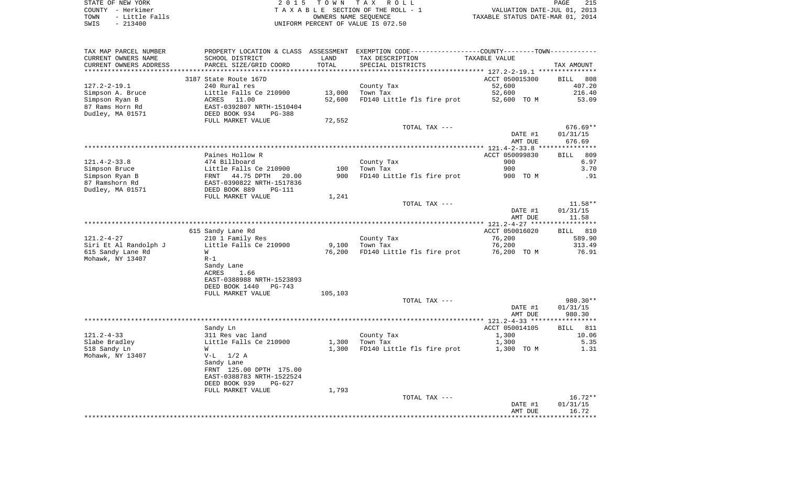|      | STATE OF NEW YORK | 2015 TOWN TAX ROLL                 | 215<br>PAGE                      |
|------|-------------------|------------------------------------|----------------------------------|
|      | COUNTY - Herkimer | TAXABLE SECTION OF THE ROLL - 1    | VALUATION DATE-JUL 01, 2013      |
| TOWN | - Little Falls    | OWNERS NAME SEOUENCE               | TAXABLE STATUS DATE-MAR 01, 2014 |
| SWIS | $-213400$         | UNIFORM PERCENT OF VALUE IS 072.50 |                                  |

| TAX MAP PARCEL NUMBER<br>CURRENT OWNERS NAME      | SCHOOL DISTRICT                         | LAND    | PROPERTY LOCATION & CLASS ASSESSMENT EXEMPTION CODE----------------COUNTY--------TOWN-----------<br>TAX DESCRIPTION | TAXABLE VALUE    |                              |
|---------------------------------------------------|-----------------------------------------|---------|---------------------------------------------------------------------------------------------------------------------|------------------|------------------------------|
| CURRENT OWNERS ADDRESS<br>*********************** | PARCEL SIZE/GRID COORD                  | TOTAL   | SPECIAL DISTRICTS                                                                                                   |                  | TAX AMOUNT                   |
|                                                   |                                         |         |                                                                                                                     |                  |                              |
|                                                   | 3187 State Route 167D                   |         |                                                                                                                     | ACCT 050015300   | <b>BILL</b><br>808<br>407.20 |
| $127.2 - 2 - 19.1$                                | 240 Rural res<br>Little Falls Ce 210900 | 13,000  | County Tax<br>Town Tax                                                                                              | 52,600<br>52,600 | 216.40                       |
| Simpson A. Bruce<br>Simpson Ryan B                | ACRES 11.00                             | 52,600  | FD140 Little fls fire prot                                                                                          | 52,600 TO M      | 53.09                        |
| 87 Rams Horn Rd                                   | EAST-0392807 NRTH-1510404               |         |                                                                                                                     |                  |                              |
| Dudley, MA 01571                                  | DEED BOOK 934<br>$PG-388$               |         |                                                                                                                     |                  |                              |
|                                                   | FULL MARKET VALUE                       | 72,552  |                                                                                                                     |                  |                              |
|                                                   |                                         |         | TOTAL TAX ---                                                                                                       |                  | $676.69**$                   |
|                                                   |                                         |         |                                                                                                                     | DATE #1          | 01/31/15                     |
|                                                   |                                         |         |                                                                                                                     | AMT DUE          | 676.69                       |
|                                                   |                                         |         |                                                                                                                     |                  |                              |
|                                                   | Paines Hollow R                         |         |                                                                                                                     | ACCT 050099830   | 809<br><b>BILL</b>           |
| $121.4 - 2 - 33.8$                                | 474 Billboard                           |         | County Tax                                                                                                          | 900              | 6.97                         |
| Simpson Bruce                                     | Little Falls Ce 210900                  | 100     | Town Tax                                                                                                            | 900              | 3.70                         |
| Simpson Ryan B                                    | FRNT 44.75 DPTH 20.00                   | 900     | FD140 Little fls fire prot                                                                                          | 900 TO M         | .91                          |
| 87 Ramshorn Rd                                    | EAST-0390822 NRTH-1517836               |         |                                                                                                                     |                  |                              |
| Dudley, MA 01571                                  | DEED BOOK 889<br><b>PG-111</b>          |         |                                                                                                                     |                  |                              |
|                                                   | FULL MARKET VALUE                       | 1,241   |                                                                                                                     |                  |                              |
|                                                   |                                         |         | TOTAL TAX ---                                                                                                       |                  | $11.58**$                    |
|                                                   |                                         |         |                                                                                                                     | DATE #1          | 01/31/15                     |
|                                                   |                                         |         |                                                                                                                     | AMT DUE          | 11.58                        |
|                                                   |                                         |         |                                                                                                                     |                  | ***********                  |
|                                                   | 615 Sandy Lane Rd                       |         |                                                                                                                     | ACCT 050016020   | BILL 810                     |
| 121.2-4-27                                        | 210 1 Family Res                        |         | County Tax                                                                                                          | 76,200           | 589.90                       |
| Siri Et Al Randolph J                             | Little Falls Ce 210900                  | 9,100   | Town Tax                                                                                                            | 76,200           | 313.49                       |
| 615 Sandy Lane Rd                                 | W                                       | 76,200  | FD140 Little fls fire prot                                                                                          | 76,200 TO M      | 76.91                        |
| Mohawk, NY 13407                                  | $R-1$                                   |         |                                                                                                                     |                  |                              |
|                                                   | Sandy Lane                              |         |                                                                                                                     |                  |                              |
|                                                   | ACRES<br>1.66                           |         |                                                                                                                     |                  |                              |
|                                                   | EAST-0388988 NRTH-1523893               |         |                                                                                                                     |                  |                              |
|                                                   | DEED BOOK 1440<br>PG-743                |         |                                                                                                                     |                  |                              |
|                                                   | FULL MARKET VALUE                       | 105,103 | TOTAL TAX ---                                                                                                       |                  | 980.30**                     |
|                                                   |                                         |         |                                                                                                                     | DATE #1          | 01/31/15                     |
|                                                   |                                         |         |                                                                                                                     | AMT DUE          | 980.30                       |
|                                                   |                                         |         |                                                                                                                     |                  |                              |
|                                                   | Sandy Ln                                |         |                                                                                                                     | ACCT 050014105   | <b>BILL</b> 811              |
| $121.2 - 4 - 33$                                  | 311 Res vac land                        |         | County Tax                                                                                                          | 1,300            | 10.06                        |
| Slabe Bradley                                     | Little Falls Ce 210900                  | 1,300   | Town Tax                                                                                                            | 1,300            | 5.35                         |
| 518 Sandy Ln                                      | W                                       | 1,300   | FD140 Little fls fire prot                                                                                          | 1,300 TO M       | 1.31                         |
| Mohawk, NY 13407                                  | $V-L$ 1/2 A                             |         |                                                                                                                     |                  |                              |
|                                                   | Sandy Lane                              |         |                                                                                                                     |                  |                              |
|                                                   | FRNT 125.00 DPTH 175.00                 |         |                                                                                                                     |                  |                              |
|                                                   | EAST-0388783 NRTH-1522524               |         |                                                                                                                     |                  |                              |
|                                                   | DEED BOOK 939<br>PG-627                 |         |                                                                                                                     |                  |                              |
|                                                   | FULL MARKET VALUE                       | 1,793   |                                                                                                                     |                  |                              |
|                                                   |                                         |         | TOTAL TAX ---                                                                                                       |                  | $16.72**$                    |
|                                                   |                                         |         |                                                                                                                     | DATE #1          | 01/31/15                     |
|                                                   |                                         |         |                                                                                                                     | AMT DUE          | 16.72                        |
|                                                   |                                         |         |                                                                                                                     |                  |                              |
|                                                   |                                         |         |                                                                                                                     |                  |                              |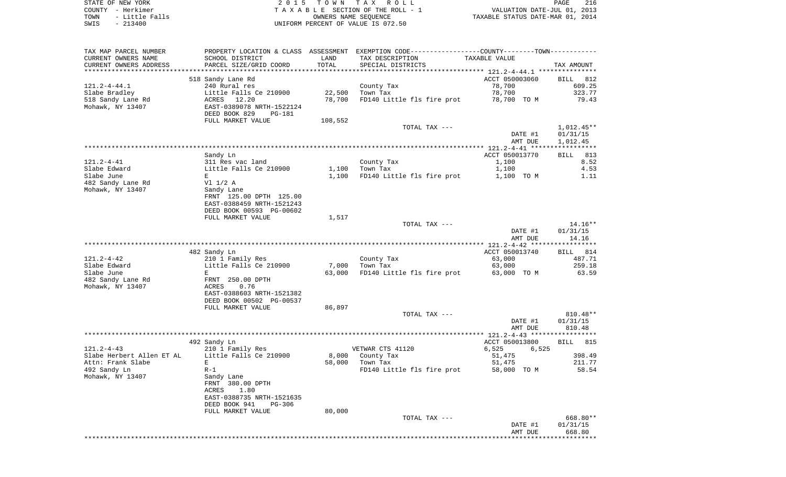|      | STATE OF NEW YORK | 2015 TOWN TAX ROLL                 | 216<br>PAGE                      |
|------|-------------------|------------------------------------|----------------------------------|
|      | COUNTY - Herkimer | TAXABLE SECTION OF THE ROLL - 1    | VALUATION DATE-JUL 01, 2013      |
| TOWN | - Little Falls    | OWNERS NAME SEOUENCE               | TAXABLE STATUS DATE-MAR 01, 2014 |
| SWIS | $-213400$         | UNIFORM PERCENT OF VALUE IS 072.50 |                                  |

| TAX MAP PARCEL NUMBER<br>CURRENT OWNERS NAME<br>CURRENT OWNERS ADDRESS | SCHOOL DISTRICT<br>PARCEL SIZE/GRID COORD                                                               | LAND<br>TOTAL | PROPERTY LOCATION & CLASS ASSESSMENT EXEMPTION CODE----------------COUNTY-------TOWN-----------<br>TAX DESCRIPTION<br>SPECIAL DISTRICTS | TAXABLE VALUE                      | TAX AMOUNT                           |
|------------------------------------------------------------------------|---------------------------------------------------------------------------------------------------------|---------------|-----------------------------------------------------------------------------------------------------------------------------------------|------------------------------------|--------------------------------------|
| ***********************                                                | ****************************                                                                            |               |                                                                                                                                         |                                    |                                      |
| $121.2 - 4 - 44.1$<br>Slabe Bradley                                    | 518 Sandy Lane Rd<br>240 Rural res<br>Little Falls Ce 210900                                            | 22,500        | County Tax<br>Town Tax                                                                                                                  | ACCT 050003060<br>78,700<br>78,700 | <b>BILL</b> 812<br>609.25<br>323.77  |
| 518 Sandy Lane Rd<br>Mohawk, NY 13407                                  | ACRES 12.20<br>EAST-0389078 NRTH-1522124<br>DEED BOOK 829<br>PG-181                                     | 78,700        | FD140 Little fls fire prot                                                                                                              | 78,700 TO M                        | 79.43                                |
|                                                                        | FULL MARKET VALUE                                                                                       | 108,552       |                                                                                                                                         |                                    |                                      |
|                                                                        |                                                                                                         |               | TOTAL TAX ---                                                                                                                           | DATE #1<br>AMT DUE                 | $1,012.45**$<br>01/31/15<br>1,012.45 |
|                                                                        | Sandy Ln                                                                                                |               |                                                                                                                                         | ACCT 050013770                     | <b>BILL</b><br>813                   |
| 121.2-4-41<br>Slabe Edward                                             | 311 Res vac land<br>Little Falls Ce 210900                                                              | 1,100         | County Tax<br>Town Tax                                                                                                                  | 1,100<br>1,100                     | 8.52<br>4.53                         |
| Slabe June                                                             | E                                                                                                       | 1,100         | FD140 Little fls fire prot                                                                                                              | 1,100 TO M                         | 1.11                                 |
| 482 Sandy Lane Rd<br>Mohawk, NY 13407                                  | $VI$ $1/2$ A<br>Sandy Lane<br>FRNT 125.00 DPTH 125.00<br>EAST-0388459 NRTH-1521243                      |               |                                                                                                                                         |                                    |                                      |
|                                                                        | DEED BOOK 00593 PG-00602                                                                                |               |                                                                                                                                         |                                    |                                      |
|                                                                        | FULL MARKET VALUE                                                                                       | 1,517         |                                                                                                                                         |                                    |                                      |
|                                                                        |                                                                                                         |               | TOTAL TAX ---                                                                                                                           |                                    | 14.16**                              |
|                                                                        |                                                                                                         |               |                                                                                                                                         | DATE #1                            | 01/31/15                             |
|                                                                        |                                                                                                         |               |                                                                                                                                         | AMT DUE                            | 14.16                                |
|                                                                        |                                                                                                         |               |                                                                                                                                         |                                    |                                      |
| $121.2 - 4 - 42$                                                       | 482 Sandy Ln                                                                                            |               |                                                                                                                                         | ACCT 050013740<br>63,000           | BILL 814<br>487.71                   |
| Slabe Edward                                                           | 210 1 Family Res<br>Little Falls Ce 210900                                                              | 7,000         | County Tax<br>Town Tax                                                                                                                  | 63,000                             | 259.18                               |
| Slabe June                                                             | E                                                                                                       | 63,000        | FD140 Little fls fire prot                                                                                                              | 63,000 TO M                        | 63.59                                |
| 482 Sandy Lane Rd                                                      | FRNT 250.00 DPTH                                                                                        |               |                                                                                                                                         |                                    |                                      |
| Mohawk, NY 13407                                                       | ACRES<br>0.76<br>EAST-0388603 NRTH-1521382<br>DEED BOOK 00502 PG-00537                                  |               |                                                                                                                                         |                                    |                                      |
|                                                                        | FULL MARKET VALUE                                                                                       | 86,897        |                                                                                                                                         |                                    |                                      |
|                                                                        |                                                                                                         |               | TOTAL TAX ---                                                                                                                           |                                    | 810.48**                             |
|                                                                        |                                                                                                         |               |                                                                                                                                         | DATE #1<br>AMT DUE                 | 01/31/15<br>810.48                   |
|                                                                        |                                                                                                         |               |                                                                                                                                         |                                    |                                      |
|                                                                        | 492 Sandy Ln                                                                                            |               |                                                                                                                                         | ACCT 050013800                     | <b>BILL</b> 815                      |
| $121.2 - 4 - 43$                                                       | 210 1 Family Res                                                                                        |               | VETWAR CTS 41120                                                                                                                        | 6,525<br>6,525                     |                                      |
| Slabe Herbert Allen ET AL                                              | Little Falls Ce 210900                                                                                  | 8,000         | County Tax                                                                                                                              | 51,475                             | 398.49                               |
| Attn: Frank Slabe<br>492 Sandy Ln                                      | $\mathbf{E}$<br>$R-1$                                                                                   | 58,000        | Town Tax<br>FD140 Little fls fire prot                                                                                                  | 51,475<br>58,000 TO M              | 211.77<br>58.54                      |
| Mohawk, NY 13407                                                       | Sandy Lane<br>FRNT 380.00 DPTH<br>ACRES<br>1.80<br>EAST-0388735 NRTH-1521635<br>DEED BOOK 941<br>PG-306 |               |                                                                                                                                         |                                    |                                      |
|                                                                        | FULL MARKET VALUE                                                                                       | 80,000        | TOTAL TAX ---                                                                                                                           |                                    | 668.80**                             |
|                                                                        |                                                                                                         |               |                                                                                                                                         | DATE #1                            | 01/31/15                             |
|                                                                        |                                                                                                         |               |                                                                                                                                         | AMT DUE                            | 668.80                               |
|                                                                        |                                                                                                         |               |                                                                                                                                         |                                    | **********                           |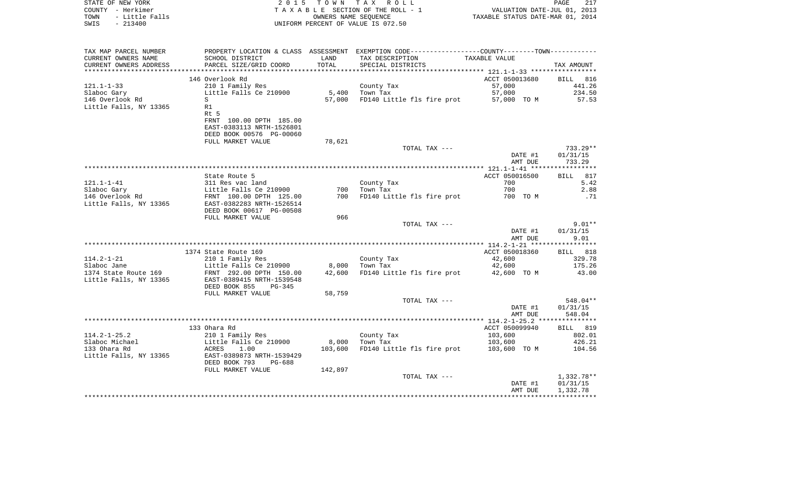| STATE OF NEW YORK<br>COUNTY – Herkimer<br>TOWN – Little Falls<br>SWIS – 213400<br>UNIFORM PERCENT OF VALUE IS 072.50<br>PROPERTY LOCATION & CLASS ASSESSMENT EXEMPTION CODE----------------COUNTY--------TOWN----------<br>TAX MAP PARCEL NUMBER<br>TAX DESCRIPTION<br>CURRENT OWNERS NAME<br>SCHOOL DISTRICT<br>LAND<br>TAXABLE VALUE<br>TOTAL<br>CURRENT OWNERS ADDRESS<br>PARCEL SIZE/GRID COORD<br>SPECIAL DISTRICTS<br>TAX AMOUNT<br>ACCT 050013680 BILL 816<br>146 Overlook Rd<br>210 1 Family Res<br>121.1-1-33<br>57,000<br>County Tax<br>5,400 Town Tax<br>57,000<br>Little Falls Ce 210900<br>Slaboc Gary<br>146 Overlook Rd<br>57,000 FD140 Little fls fire prot<br>S<br>57,000 TO M<br>Little Falls, NY 13365<br>R1<br>Rt 5<br>FRNT 100.00 DPTH 185.00<br>EAST-0383113 NRTH-1526801<br>DEED BOOK 00576 PG-00060<br>78,621<br>FULL MARKET VALUE<br>TOTAL TAX ---<br>DATE #1<br>AMT DUE<br>ACCT 050016500<br>State Route 5<br>County Tax<br>700<br>700<br>700 Town Tax<br>2.88<br>700 FD140 Little fls fire prot 700 TOM<br>DEED BOOK 00617 PG-00508<br>FULL MARKET VALUE<br>966<br>TOTAL TAX ---<br>DATE #1<br>AMT DUE<br>1374 State Route 169<br>ACCT 050018360<br>BILL 818<br>114.2-1-21<br>210 1 Family Res<br>210 1 Family Res<br>210 1 Family Res<br>210 1 Family Res<br>210 1 Family Res<br>210 1 Family Res<br>210 1 Family Res<br>210 1 Family Res<br>210 1 Family Res<br>210 1 Family Res<br>210 1 Family Res<br>210 1 Family<br>County Tax<br>Town Tay<br>$42,600$<br>$42,600$<br>FD140 Little fls fire prot 42,600 TO M<br>DEED BOOK 855 PG-345<br>FULL MARKET VALUE<br>58,759<br>TOTAL TAX ---<br>DATE #1<br>AMT DUE<br>133 Ohara Rd<br>ACCT 050099940<br>114.2-1-25.2<br>210 1 Family Res<br>Little Falls Ce 210900<br>ACRES 1.00<br>County Tax<br>Town Tax<br>103,600<br>802.01<br>8,000 Town Tax<br>Slaboc Michael<br>426.21<br>103,600<br>FD140 Little fls fire prot 103,600 TO M<br>133 Ohara Rd<br>103,600<br>104.56<br>Little Falls, NY 13365          EAST-0389873 NRTH-1539429<br>DEED BOOK 793<br>PG-688<br>142,897<br>FULL MARKET VALUE<br>TOTAL TAX --- |  |  |         |                          |
|--------------------------------------------------------------------------------------------------------------------------------------------------------------------------------------------------------------------------------------------------------------------------------------------------------------------------------------------------------------------------------------------------------------------------------------------------------------------------------------------------------------------------------------------------------------------------------------------------------------------------------------------------------------------------------------------------------------------------------------------------------------------------------------------------------------------------------------------------------------------------------------------------------------------------------------------------------------------------------------------------------------------------------------------------------------------------------------------------------------------------------------------------------------------------------------------------------------------------------------------------------------------------------------------------------------------------------------------------------------------------------------------------------------------------------------------------------------------------------------------------------------------------------------------------------------------------------------------------------------------------------------------------------------------------------------------------------------------------------------------------------------------------------------------------------------------------------------------------------------------------------------------------------------------------------------------------------------------------------------------------------------------------------------------------------------------------------------------|--|--|---------|--------------------------|
|                                                                                                                                                                                                                                                                                                                                                                                                                                                                                                                                                                                                                                                                                                                                                                                                                                                                                                                                                                                                                                                                                                                                                                                                                                                                                                                                                                                                                                                                                                                                                                                                                                                                                                                                                                                                                                                                                                                                                                                                                                                                                            |  |  |         |                          |
|                                                                                                                                                                                                                                                                                                                                                                                                                                                                                                                                                                                                                                                                                                                                                                                                                                                                                                                                                                                                                                                                                                                                                                                                                                                                                                                                                                                                                                                                                                                                                                                                                                                                                                                                                                                                                                                                                                                                                                                                                                                                                            |  |  |         |                          |
|                                                                                                                                                                                                                                                                                                                                                                                                                                                                                                                                                                                                                                                                                                                                                                                                                                                                                                                                                                                                                                                                                                                                                                                                                                                                                                                                                                                                                                                                                                                                                                                                                                                                                                                                                                                                                                                                                                                                                                                                                                                                                            |  |  |         |                          |
|                                                                                                                                                                                                                                                                                                                                                                                                                                                                                                                                                                                                                                                                                                                                                                                                                                                                                                                                                                                                                                                                                                                                                                                                                                                                                                                                                                                                                                                                                                                                                                                                                                                                                                                                                                                                                                                                                                                                                                                                                                                                                            |  |  |         |                          |
|                                                                                                                                                                                                                                                                                                                                                                                                                                                                                                                                                                                                                                                                                                                                                                                                                                                                                                                                                                                                                                                                                                                                                                                                                                                                                                                                                                                                                                                                                                                                                                                                                                                                                                                                                                                                                                                                                                                                                                                                                                                                                            |  |  |         |                          |
|                                                                                                                                                                                                                                                                                                                                                                                                                                                                                                                                                                                                                                                                                                                                                                                                                                                                                                                                                                                                                                                                                                                                                                                                                                                                                                                                                                                                                                                                                                                                                                                                                                                                                                                                                                                                                                                                                                                                                                                                                                                                                            |  |  |         |                          |
|                                                                                                                                                                                                                                                                                                                                                                                                                                                                                                                                                                                                                                                                                                                                                                                                                                                                                                                                                                                                                                                                                                                                                                                                                                                                                                                                                                                                                                                                                                                                                                                                                                                                                                                                                                                                                                                                                                                                                                                                                                                                                            |  |  |         | 441.26                   |
|                                                                                                                                                                                                                                                                                                                                                                                                                                                                                                                                                                                                                                                                                                                                                                                                                                                                                                                                                                                                                                                                                                                                                                                                                                                                                                                                                                                                                                                                                                                                                                                                                                                                                                                                                                                                                                                                                                                                                                                                                                                                                            |  |  |         | 234.50                   |
|                                                                                                                                                                                                                                                                                                                                                                                                                                                                                                                                                                                                                                                                                                                                                                                                                                                                                                                                                                                                                                                                                                                                                                                                                                                                                                                                                                                                                                                                                                                                                                                                                                                                                                                                                                                                                                                                                                                                                                                                                                                                                            |  |  |         | 57.53                    |
|                                                                                                                                                                                                                                                                                                                                                                                                                                                                                                                                                                                                                                                                                                                                                                                                                                                                                                                                                                                                                                                                                                                                                                                                                                                                                                                                                                                                                                                                                                                                                                                                                                                                                                                                                                                                                                                                                                                                                                                                                                                                                            |  |  |         |                          |
|                                                                                                                                                                                                                                                                                                                                                                                                                                                                                                                                                                                                                                                                                                                                                                                                                                                                                                                                                                                                                                                                                                                                                                                                                                                                                                                                                                                                                                                                                                                                                                                                                                                                                                                                                                                                                                                                                                                                                                                                                                                                                            |  |  |         |                          |
|                                                                                                                                                                                                                                                                                                                                                                                                                                                                                                                                                                                                                                                                                                                                                                                                                                                                                                                                                                                                                                                                                                                                                                                                                                                                                                                                                                                                                                                                                                                                                                                                                                                                                                                                                                                                                                                                                                                                                                                                                                                                                            |  |  |         |                          |
|                                                                                                                                                                                                                                                                                                                                                                                                                                                                                                                                                                                                                                                                                                                                                                                                                                                                                                                                                                                                                                                                                                                                                                                                                                                                                                                                                                                                                                                                                                                                                                                                                                                                                                                                                                                                                                                                                                                                                                                                                                                                                            |  |  |         | $733.29**$               |
|                                                                                                                                                                                                                                                                                                                                                                                                                                                                                                                                                                                                                                                                                                                                                                                                                                                                                                                                                                                                                                                                                                                                                                                                                                                                                                                                                                                                                                                                                                                                                                                                                                                                                                                                                                                                                                                                                                                                                                                                                                                                                            |  |  |         | 01/31/15<br>733.29       |
|                                                                                                                                                                                                                                                                                                                                                                                                                                                                                                                                                                                                                                                                                                                                                                                                                                                                                                                                                                                                                                                                                                                                                                                                                                                                                                                                                                                                                                                                                                                                                                                                                                                                                                                                                                                                                                                                                                                                                                                                                                                                                            |  |  |         |                          |
|                                                                                                                                                                                                                                                                                                                                                                                                                                                                                                                                                                                                                                                                                                                                                                                                                                                                                                                                                                                                                                                                                                                                                                                                                                                                                                                                                                                                                                                                                                                                                                                                                                                                                                                                                                                                                                                                                                                                                                                                                                                                                            |  |  |         | BILL 817                 |
|                                                                                                                                                                                                                                                                                                                                                                                                                                                                                                                                                                                                                                                                                                                                                                                                                                                                                                                                                                                                                                                                                                                                                                                                                                                                                                                                                                                                                                                                                                                                                                                                                                                                                                                                                                                                                                                                                                                                                                                                                                                                                            |  |  |         | 5.42                     |
|                                                                                                                                                                                                                                                                                                                                                                                                                                                                                                                                                                                                                                                                                                                                                                                                                                                                                                                                                                                                                                                                                                                                                                                                                                                                                                                                                                                                                                                                                                                                                                                                                                                                                                                                                                                                                                                                                                                                                                                                                                                                                            |  |  |         | .71                      |
|                                                                                                                                                                                                                                                                                                                                                                                                                                                                                                                                                                                                                                                                                                                                                                                                                                                                                                                                                                                                                                                                                                                                                                                                                                                                                                                                                                                                                                                                                                                                                                                                                                                                                                                                                                                                                                                                                                                                                                                                                                                                                            |  |  |         |                          |
|                                                                                                                                                                                                                                                                                                                                                                                                                                                                                                                                                                                                                                                                                                                                                                                                                                                                                                                                                                                                                                                                                                                                                                                                                                                                                                                                                                                                                                                                                                                                                                                                                                                                                                                                                                                                                                                                                                                                                                                                                                                                                            |  |  |         |                          |
|                                                                                                                                                                                                                                                                                                                                                                                                                                                                                                                                                                                                                                                                                                                                                                                                                                                                                                                                                                                                                                                                                                                                                                                                                                                                                                                                                                                                                                                                                                                                                                                                                                                                                                                                                                                                                                                                                                                                                                                                                                                                                            |  |  |         | $9.01**$<br>01/31/15     |
|                                                                                                                                                                                                                                                                                                                                                                                                                                                                                                                                                                                                                                                                                                                                                                                                                                                                                                                                                                                                                                                                                                                                                                                                                                                                                                                                                                                                                                                                                                                                                                                                                                                                                                                                                                                                                                                                                                                                                                                                                                                                                            |  |  |         | 9.01                     |
|                                                                                                                                                                                                                                                                                                                                                                                                                                                                                                                                                                                                                                                                                                                                                                                                                                                                                                                                                                                                                                                                                                                                                                                                                                                                                                                                                                                                                                                                                                                                                                                                                                                                                                                                                                                                                                                                                                                                                                                                                                                                                            |  |  |         |                          |
|                                                                                                                                                                                                                                                                                                                                                                                                                                                                                                                                                                                                                                                                                                                                                                                                                                                                                                                                                                                                                                                                                                                                                                                                                                                                                                                                                                                                                                                                                                                                                                                                                                                                                                                                                                                                                                                                                                                                                                                                                                                                                            |  |  |         | 329.78                   |
|                                                                                                                                                                                                                                                                                                                                                                                                                                                                                                                                                                                                                                                                                                                                                                                                                                                                                                                                                                                                                                                                                                                                                                                                                                                                                                                                                                                                                                                                                                                                                                                                                                                                                                                                                                                                                                                                                                                                                                                                                                                                                            |  |  |         | 175.26                   |
|                                                                                                                                                                                                                                                                                                                                                                                                                                                                                                                                                                                                                                                                                                                                                                                                                                                                                                                                                                                                                                                                                                                                                                                                                                                                                                                                                                                                                                                                                                                                                                                                                                                                                                                                                                                                                                                                                                                                                                                                                                                                                            |  |  |         | 43.00                    |
|                                                                                                                                                                                                                                                                                                                                                                                                                                                                                                                                                                                                                                                                                                                                                                                                                                                                                                                                                                                                                                                                                                                                                                                                                                                                                                                                                                                                                                                                                                                                                                                                                                                                                                                                                                                                                                                                                                                                                                                                                                                                                            |  |  |         |                          |
|                                                                                                                                                                                                                                                                                                                                                                                                                                                                                                                                                                                                                                                                                                                                                                                                                                                                                                                                                                                                                                                                                                                                                                                                                                                                                                                                                                                                                                                                                                                                                                                                                                                                                                                                                                                                                                                                                                                                                                                                                                                                                            |  |  |         | 548.04**                 |
|                                                                                                                                                                                                                                                                                                                                                                                                                                                                                                                                                                                                                                                                                                                                                                                                                                                                                                                                                                                                                                                                                                                                                                                                                                                                                                                                                                                                                                                                                                                                                                                                                                                                                                                                                                                                                                                                                                                                                                                                                                                                                            |  |  |         | 01/31/15                 |
|                                                                                                                                                                                                                                                                                                                                                                                                                                                                                                                                                                                                                                                                                                                                                                                                                                                                                                                                                                                                                                                                                                                                                                                                                                                                                                                                                                                                                                                                                                                                                                                                                                                                                                                                                                                                                                                                                                                                                                                                                                                                                            |  |  |         | 548.04                   |
|                                                                                                                                                                                                                                                                                                                                                                                                                                                                                                                                                                                                                                                                                                                                                                                                                                                                                                                                                                                                                                                                                                                                                                                                                                                                                                                                                                                                                                                                                                                                                                                                                                                                                                                                                                                                                                                                                                                                                                                                                                                                                            |  |  |         |                          |
|                                                                                                                                                                                                                                                                                                                                                                                                                                                                                                                                                                                                                                                                                                                                                                                                                                                                                                                                                                                                                                                                                                                                                                                                                                                                                                                                                                                                                                                                                                                                                                                                                                                                                                                                                                                                                                                                                                                                                                                                                                                                                            |  |  |         | BILL 819                 |
|                                                                                                                                                                                                                                                                                                                                                                                                                                                                                                                                                                                                                                                                                                                                                                                                                                                                                                                                                                                                                                                                                                                                                                                                                                                                                                                                                                                                                                                                                                                                                                                                                                                                                                                                                                                                                                                                                                                                                                                                                                                                                            |  |  |         |                          |
|                                                                                                                                                                                                                                                                                                                                                                                                                                                                                                                                                                                                                                                                                                                                                                                                                                                                                                                                                                                                                                                                                                                                                                                                                                                                                                                                                                                                                                                                                                                                                                                                                                                                                                                                                                                                                                                                                                                                                                                                                                                                                            |  |  |         |                          |
|                                                                                                                                                                                                                                                                                                                                                                                                                                                                                                                                                                                                                                                                                                                                                                                                                                                                                                                                                                                                                                                                                                                                                                                                                                                                                                                                                                                                                                                                                                                                                                                                                                                                                                                                                                                                                                                                                                                                                                                                                                                                                            |  |  |         |                          |
|                                                                                                                                                                                                                                                                                                                                                                                                                                                                                                                                                                                                                                                                                                                                                                                                                                                                                                                                                                                                                                                                                                                                                                                                                                                                                                                                                                                                                                                                                                                                                                                                                                                                                                                                                                                                                                                                                                                                                                                                                                                                                            |  |  |         |                          |
|                                                                                                                                                                                                                                                                                                                                                                                                                                                                                                                                                                                                                                                                                                                                                                                                                                                                                                                                                                                                                                                                                                                                                                                                                                                                                                                                                                                                                                                                                                                                                                                                                                                                                                                                                                                                                                                                                                                                                                                                                                                                                            |  |  | DATE #1 | $1,332.78**$<br>01/31/15 |

AMT DUE 1,332.78 \*\*\*\*\*\*\*\*\*\*\*\*\*\*\*\*\*\*\*\*\*\*\*\*\*\*\*\*\*\*\*\*\*\*\*\*\*\*\*\*\*\*\*\*\*\*\*\*\*\*\*\*\*\*\*\*\*\*\*\*\*\*\*\*\*\*\*\*\*\*\*\*\*\*\*\*\*\*\*\*\*\*\*\*\*\*\*\*\*\*\*\*\*\*\*\*\*\*\*\*\*\*\*\*\*\*\*\*\*\*\*\*\*\*\*\*\*\*\*\*\*\*\*\*\*\*\*\*\*\*\*\*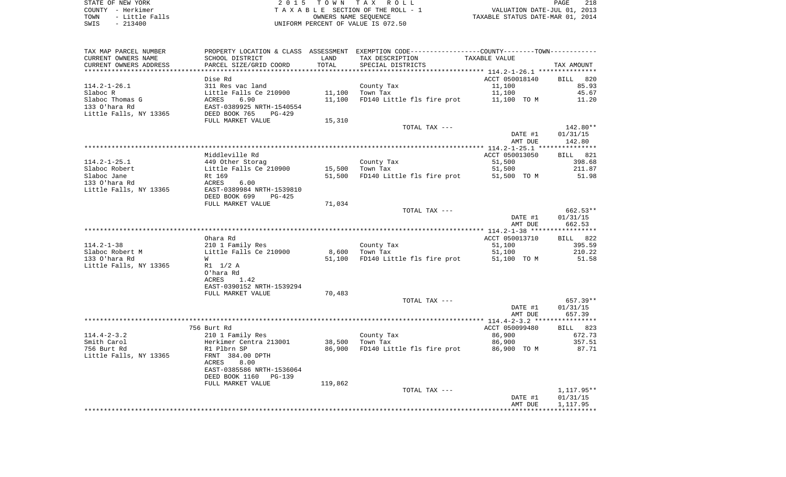| TAX MAP PARCEL NUMBER  |                           |         | PROPERTY LOCATION & CLASS ASSESSMENT EXEMPTION CODE---------------COUNTY-------TOWN---------- |                |            |
|------------------------|---------------------------|---------|-----------------------------------------------------------------------------------------------|----------------|------------|
| CURRENT OWNERS NAME    | SCHOOL DISTRICT           | LAND    | TAX DESCRIPTION                                                                               | TAXABLE VALUE  |            |
| CURRENT OWNERS ADDRESS | PARCEL SIZE/GRID COORD    | TOTAL   | SPECIAL DISTRICTS                                                                             |                | TAX AMOUNT |
|                        |                           |         |                                                                                               |                |            |
|                        | Dise Rd                   |         |                                                                                               | ACCT 050018140 | BILL 820   |
| $114.2 - 1 - 26.1$     | 311 Res vac land          |         | County Tax                                                                                    | 11,100         | 85.93      |
| Slaboc R               | Little Falls Ce 210900    | 11,100  | Town Tax                                                                                      | 11,100         | 45.67      |
| Slaboc Thomas G        | ACRES<br>6.90             | 11,100  | FD140 Little fls fire prot                                                                    | 11,100 TO M    | 11.20      |
| 133 O'hara Rd          | EAST-0389925 NRTH-1540554 |         |                                                                                               |                |            |
| Little Falls, NY 13365 | DEED BOOK 765<br>PG-429   |         |                                                                                               |                |            |
|                        | FULL MARKET VALUE         | 15,310  |                                                                                               |                |            |
|                        |                           |         | TOTAL TAX ---                                                                                 |                | 142.80**   |
|                        |                           |         |                                                                                               | DATE #1        | 01/31/15   |
|                        |                           |         |                                                                                               | AMT DUE        | 142.80     |
|                        |                           |         |                                                                                               |                |            |
|                        | Middleville Rd            |         |                                                                                               | ACCT 050013050 | BILL 821   |
| $114.2 - 1 - 25.1$     | 449 Other Storag          |         | County Tax                                                                                    | 51,500         | 398.68     |
| Slaboc Robert          | Little Falls Ce 210900    | 15,500  | Town Tax                                                                                      | 51,500         | 211.87     |
| Slaboc Jane            | Rt 169                    |         | 51,500 FD140 Little fls fire prot                                                             | 51,500 TO M    | 51.98      |
| 133 O'hara Rd          | ACRES<br>6.00             |         |                                                                                               |                |            |
| Little Falls, NY 13365 | EAST-0389984 NRTH-1539810 |         |                                                                                               |                |            |
|                        | DEED BOOK 699<br>$PG-425$ |         |                                                                                               |                |            |
|                        | FULL MARKET VALUE         | 71,034  |                                                                                               |                |            |
|                        |                           |         | TOTAL TAX ---                                                                                 |                | 662.53**   |
|                        |                           |         |                                                                                               | DATE #1        | 01/31/15   |
|                        |                           |         |                                                                                               | AMT DUE        | 662.53     |
|                        |                           |         |                                                                                               |                |            |
|                        | Ohara Rd                  |         |                                                                                               | ACCT 050013710 | BILL 822   |
| $114.2 - 1 - 38$       | 210 1 Family Res          |         | County Tax                                                                                    | 51,100         | 395.59     |
| Slaboc Robert M        | Little Falls Ce 210900    |         | 8,600 Town Tax                                                                                | 51,100         | 210.22     |
| 133 O'hara Rd          | W                         | 51,100  | FD140 Little fls fire prot                                                                    | 51,100 TO M    | 51.58      |
| Little Falls, NY 13365 | R1 1/2 A                  |         |                                                                                               |                |            |
|                        | O'hara Rd                 |         |                                                                                               |                |            |
|                        | 1.42<br>ACRES             |         |                                                                                               |                |            |
|                        | EAST-0390152 NRTH-1539294 |         |                                                                                               |                |            |
|                        | FULL MARKET VALUE         | 70,483  |                                                                                               |                |            |
|                        |                           |         | TOTAL TAX ---                                                                                 |                | 657.39**   |
|                        |                           |         |                                                                                               | DATE #1        | 01/31/15   |
|                        |                           |         |                                                                                               | AMT DUE        | 657.39     |
|                        |                           |         |                                                                                               |                |            |
|                        | 756 Burt Rd               |         |                                                                                               | ACCT 050099480 | BILL 823   |
| $114.4 - 2 - 3.2$      | 210 1 Family Res          |         | County Tax                                                                                    | 86,900         | 672.73     |
| Smith Carol            | Herkimer Centra 213001    |         | 38,500 Town Tax                                                                               | 86,900         | 357.51     |
| 756 Burt Rd            | R1 Plbrn SP               | 86,900  | FD140 Little fls fire prot                                                                    | 86,900 TO M    | 87.71      |
| Little Falls, NY 13365 | FRNT 384.00 DPTH          |         |                                                                                               |                |            |
|                        | ACRES<br>8.00             |         |                                                                                               |                |            |
|                        | EAST-0385586 NRTH-1536064 |         |                                                                                               |                |            |
|                        | DEED BOOK 1160<br>PG-139  |         |                                                                                               |                |            |
|                        | FULL MARKET VALUE         | 119,862 |                                                                                               |                |            |
|                        |                           |         | TOTAL TAX ---                                                                                 |                | 1,117.95** |
|                        |                           |         |                                                                                               | DATE #1        | 01/31/15   |
|                        |                           |         |                                                                                               | AMT DUE        | 1,117.95   |
|                        |                           |         |                                                                                               |                |            |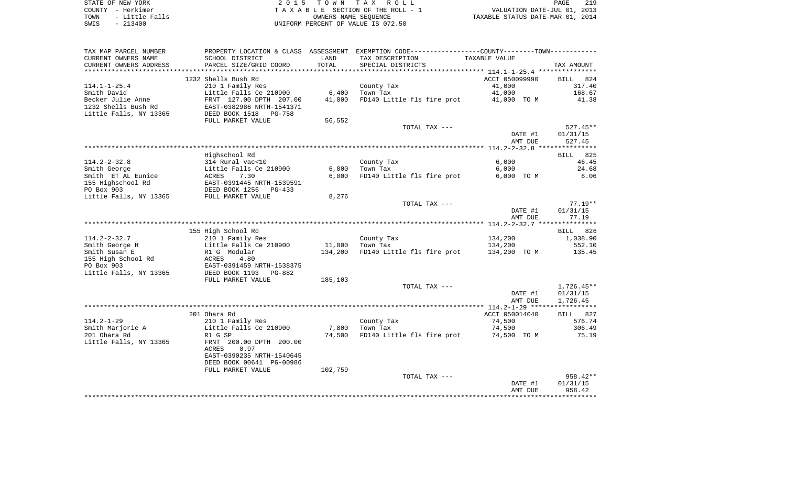| STATE OF NEW YORK      | 2015 TOWN TAX ROLL                 | 219<br>PAGE                      |
|------------------------|------------------------------------|----------------------------------|
| COUNTY - Herkimer      | TAXABLE SECTION OF THE ROLL - 1    | VALUATION DATE-JUL 01, 2013      |
| - Little Falls<br>TOWN | OWNERS NAME SEOUENCE               | TAXABLE STATUS DATE-MAR 01, 2014 |
| $-213400$<br>SWIS      | UNIFORM PERCENT OF VALUE IS 072.50 |                                  |

| TAX MAP PARCEL NUMBER<br>CURRENT OWNERS NAME | PROPERTY LOCATION & CLASS ASSESSMENT EXEMPTION CODE---------------COUNTY--------TOWN----------<br>SCHOOL DISTRICT | LAND    | TAX DESCRIPTION            | TAXABLE VALUE                           |            |
|----------------------------------------------|-------------------------------------------------------------------------------------------------------------------|---------|----------------------------|-----------------------------------------|------------|
| CURRENT OWNERS ADDRESS                       | PARCEL SIZE/GRID COORD                                                                                            | TOTAL   | SPECIAL DISTRICTS          |                                         | TAX AMOUNT |
| **********************                       |                                                                                                                   |         |                            |                                         |            |
|                                              | 1232 Shells Bush Rd                                                                                               |         |                            | ACCT 050099990                          | BILL 824   |
| 114.1-1-25.4                                 | 210 1 Family Res                                                                                                  |         | County Tax                 | 41,000                                  | 317.40     |
| Smith David                                  | Little Falls Ce 210900                                                                                            | 6,400   | Town Tax                   | 41,000                                  | 168.67     |
| Becker Julie Anne                            |                                                                                                                   | 41,000  |                            | FD140 Little fls fire prot 41,000 TO M  | 41.38      |
| 1232 Shells Bush Rd                          | FRNT 127.00 DPTH 207.00<br>EAST-0382986 NRTH-1541371                                                              |         |                            |                                         |            |
| Little Falls, NY 13365                       | DEED BOOK 1518 PG-758                                                                                             |         |                            |                                         |            |
|                                              | FULL MARKET VALUE                                                                                                 | 56,552  |                            |                                         |            |
|                                              |                                                                                                                   |         | TOTAL TAX ---              |                                         | $527.45**$ |
|                                              |                                                                                                                   |         |                            | DATE #1                                 | 01/31/15   |
|                                              |                                                                                                                   |         |                            | AMT DUE                                 | 527.45     |
|                                              |                                                                                                                   |         |                            |                                         |            |
|                                              | Highschool Rd                                                                                                     |         |                            |                                         | BILL 825   |
| $114.2 - 2 - 32.8$                           | 314 Rural vac<10<br>Little Falls Ce 210900                                                                        |         | County Tax                 | 6,000                                   | 46.45      |
| Smith George                                 |                                                                                                                   | 6,000   | Town Tax                   | 6,000                                   | 24.68      |
|                                              |                                                                                                                   | 6,000   | FD140 Little fls fire prot | 6,000 TO M                              | 6.06       |
|                                              |                                                                                                                   |         |                            |                                         |            |
|                                              |                                                                                                                   |         |                            |                                         |            |
|                                              |                                                                                                                   | 8,276   |                            |                                         |            |
|                                              |                                                                                                                   |         | TOTAL TAX ---              |                                         | $77.19**$  |
|                                              |                                                                                                                   |         |                            | DATE #1                                 | 01/31/15   |
|                                              |                                                                                                                   |         |                            | AMT DUE                                 | 77.19      |
|                                              |                                                                                                                   |         |                            |                                         |            |
|                                              | 155 High School Rd                                                                                                |         |                            |                                         | BILL 826   |
| 114.2-2-32.7                                 | 210 1 Family Res<br>Little Falls Ce 210900                                                                        |         | County Tax                 | 134,200                                 | 1,038.90   |
| Smith George H                               |                                                                                                                   |         | 11,000 Town Tax            | 134,200                                 | 552.10     |
| Smith Susan E                                | R1 G Modular<br>ACRES 4.80<br>EAST-0391459 NRTH-1538375<br>DEED BOOK 1193 PG-882                                  | 134,200 |                            | FD140 Little fls fire prot 134,200 TO M | 135.45     |
| 155 High School Rd                           |                                                                                                                   |         |                            |                                         |            |
| PO Box 903                                   |                                                                                                                   |         |                            |                                         |            |
| Little Falls, NY 13365                       | FULL MARKET VALUE                                                                                                 |         |                            |                                         |            |
|                                              |                                                                                                                   | 185,103 | TOTAL TAX ---              |                                         | 1,726.45** |
|                                              |                                                                                                                   |         |                            | DATE #1                                 | 01/31/15   |
|                                              |                                                                                                                   |         |                            | AMT DUE                                 | 1,726.45   |
|                                              |                                                                                                                   |         |                            |                                         |            |
|                                              | 201 Ohara Rd                                                                                                      |         |                            | ACCT 050014040                          | BILL 827   |
| $114.2 - 1 - 29$                             | 210 1 Family Res                                                                                                  |         | County Tax                 | 74,500                                  | 576.74     |
| Smith Marjorie A                             | Little Falls Ce 210900                                                                                            | 7,800   | Town Tax                   | 74,500                                  | 306.49     |
| 201 Ohara Rd                                 | R1 G SP                                                                                                           | 74,500  |                            | FD140 Little fls fire prot 74,500 TO M  | 75.19      |
| Little Falls, NY 13365                       | FRNT 200.00 DPTH 200.00                                                                                           |         |                            |                                         |            |
|                                              | 0.97<br>ACRES                                                                                                     |         |                            |                                         |            |
|                                              | EAST-0390235 NRTH-1540645                                                                                         |         |                            |                                         |            |
|                                              | DEED BOOK 00641 PG-00986                                                                                          |         |                            |                                         |            |
|                                              | FULL MARKET VALUE                                                                                                 | 102,759 |                            |                                         |            |
|                                              |                                                                                                                   |         | TOTAL TAX ---              |                                         | 958.42**   |
|                                              |                                                                                                                   |         |                            | DATE #1                                 | 01/31/15   |
|                                              |                                                                                                                   |         |                            | AMT DUE                                 | 958.42     |
|                                              |                                                                                                                   |         |                            |                                         |            |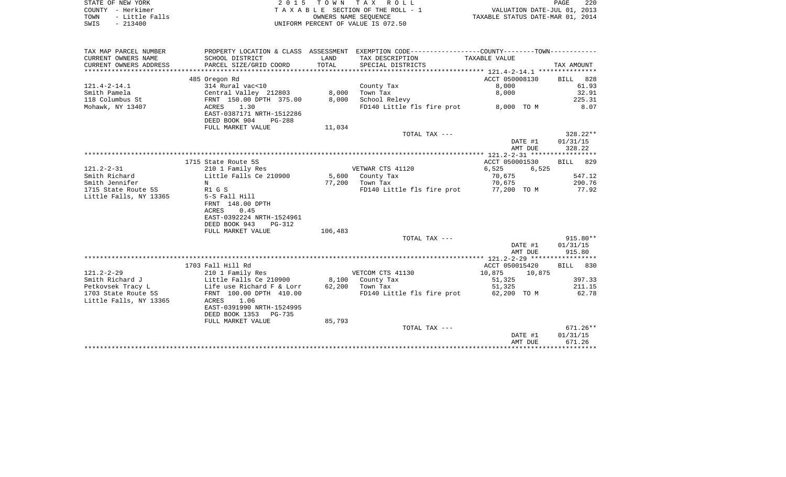| STATE OF NEW YORK      | 2015 TOWN TAX ROLL                 | 220<br>PAGE                      |
|------------------------|------------------------------------|----------------------------------|
| COUNTY - Herkimer      | TAXABLE SECTION OF THE ROLL - 1    | VALUATION DATE-JUL 01, 2013      |
| - Little Falls<br>TOWN | OWNERS NAME SEOUENCE               | TAXABLE STATUS DATE-MAR 01, 2014 |
| SWIS<br>$-213400$      | UNIFORM PERCENT OF VALUE IS 072.50 |                                  |

 $\begin{array}{c} 220 \\ 2013 \\ 2014 \end{array}$ 

| TAX MAP PARCEL NUMBER  |                                                      |         | PROPERTY LOCATION & CLASS ASSESSMENT EXEMPTION CODE---------------COUNTY--------TOWN---------- |                  |            |
|------------------------|------------------------------------------------------|---------|------------------------------------------------------------------------------------------------|------------------|------------|
| CURRENT OWNERS NAME    | SCHOOL DISTRICT                                      | LAND    | TAX DESCRIPTION                                                                                | TAXABLE VALUE    |            |
| CURRENT OWNERS ADDRESS | PARCEL SIZE/GRID COORD                               | TOTAL   | SPECIAL DISTRICTS                                                                              |                  | TAX AMOUNT |
|                        |                                                      |         |                                                                                                |                  |            |
|                        | 485 Oregon Rd                                        |         |                                                                                                | ACCT 050008130   | BILL 828   |
| $121.4 - 2 - 14.1$     | 314 Rural vac<10                                     |         | County Tax                                                                                     | 8,000            | 61.93      |
| Smith Pamela           | Central Valley 212803                                | 8,000   | Town Tax                                                                                       | 8,000            | 32.91      |
| 118 Columbus St        | FRNT 150.00 DPTH 375.00                              | 8,000   | School Relevy                                                                                  |                  | 225.31     |
| Mohawk, NY 13407       | 1.30<br>ACRES                                        |         | FD140 Little fls fire prot 8,000 TO M                                                          |                  | 8.07       |
|                        | EAST-0387171 NRTH-1512286                            |         |                                                                                                |                  |            |
|                        | DEED BOOK 904<br>PG-288                              |         |                                                                                                |                  |            |
|                        | FULL MARKET VALUE                                    | 11,034  |                                                                                                |                  |            |
|                        |                                                      |         | TOTAL TAX ---                                                                                  |                  | 328.22**   |
|                        |                                                      |         |                                                                                                | DATE #1          | 01/31/15   |
|                        |                                                      |         |                                                                                                | AMT DUE          | 328.22     |
|                        |                                                      |         |                                                                                                |                  |            |
|                        | 1715 State Route 5S                                  |         |                                                                                                | ACCT 050001530   | BILL 829   |
| $121.2 - 2 - 31$       | 210 1 Family Res                                     |         | VETWAR CTS 41120                                                                               | 6,525<br>6,525   |            |
| Smith Richard          | Little Falls Ce 210900                               |         | 5,600 County Tax                                                                               | 70,675           | 547.12     |
| Smith Jennifer         | N                                                    | 77,200  | Town Tax                                                                                       | 70,675           | 290.76     |
| 1715 State Route 5S    | R1 G S                                               |         | FD140 Little fls fire prot 77,200 TO M                                                         |                  | 77.92      |
| Little Falls, NY 13365 | 5-S Fall Hill                                        |         |                                                                                                |                  |            |
|                        | FRNT 148.00 DPTH                                     |         |                                                                                                |                  |            |
|                        | ACRES<br>0.45                                        |         |                                                                                                |                  |            |
|                        | EAST-0392224 NRTH-1524961                            |         |                                                                                                |                  |            |
|                        | DEED BOOK 943<br>PG-312                              |         |                                                                                                |                  |            |
|                        | FULL MARKET VALUE                                    | 106,483 |                                                                                                |                  | $915.80**$ |
|                        |                                                      |         | TOTAL TAX ---                                                                                  | DATE #1          | 01/31/15   |
|                        |                                                      |         |                                                                                                | AMT DUE          | 915.80     |
|                        |                                                      |         |                                                                                                |                  |            |
|                        | 1703 Fall Hill Rd                                    |         |                                                                                                | ACCT 050015420   | BILL 830   |
| $121.2 - 2 - 29$       | 210 1 Family Res                                     |         | VETCOM CTS 41130                                                                               | 10,875<br>10,875 |            |
| Smith Richard J        | Little Falls Ce 210900                               | 8,100   | County Tax                                                                                     | 51,325           | 397.33     |
| Petkovsek Tracy L      |                                                      |         | 62,200 Town Tax                                                                                | 51,325           | 211.15     |
| 1703 State Route 5S    | Life use Richard F & Lorr<br>FRNT 100.00 DPTH 410.00 |         | FD140 Little fls fire prot 62,200 TO M                                                         |                  | 62.78      |
| Little Falls, NY 13365 | ACRES<br>1.06                                        |         |                                                                                                |                  |            |
|                        | EAST-0391990 NRTH-1524995                            |         |                                                                                                |                  |            |
|                        | DEED BOOK 1353 PG-735                                |         |                                                                                                |                  |            |
|                        | FULL MARKET VALUE                                    | 85,793  |                                                                                                |                  |            |
|                        |                                                      |         | TOTAL TAX ---                                                                                  |                  | $671.26**$ |
|                        |                                                      |         |                                                                                                | DATE #1          | 01/31/15   |
|                        |                                                      |         |                                                                                                | AMT DUE          | 671.26     |
|                        |                                                      |         |                                                                                                |                  |            |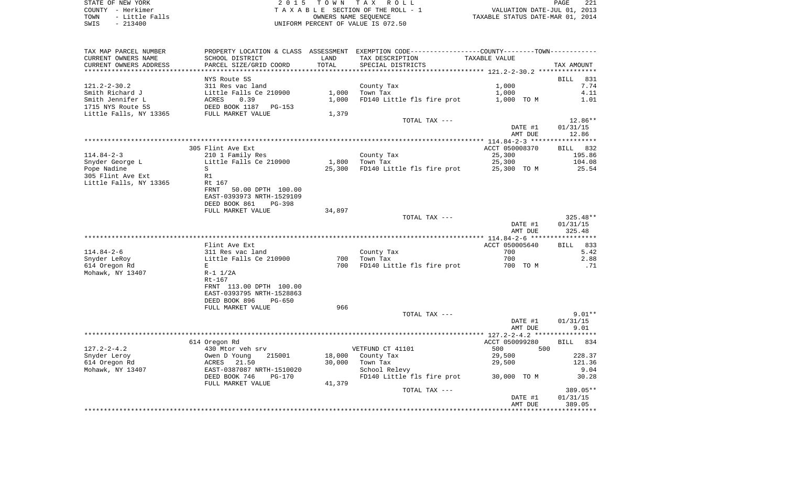STATE OF NEW YORK 2 0 1 5 T O W N T A X R O L L PAGE 221COUNTY - Herkimer **T A X A B L E** SECTION OF THE ROLL - 1 VALUATION DATE-JUL 01, 2013 TOWN - Little Falls OWNERS NAME SEQUENCE TAXABLE STATUS DATE-MAR 01, 2014 SWIS - 213400 UNIFORM PERCENT OF VALUE IS 072.50

TAX MAP PARCEL NUMBER PROPERTY LOCATION & CLASS ASSESSMENT EXEMPTION CODE------------------COUNTY--------TOWN------------ CURRENT OWNERS NAME SCHOOL DISTRICT LAND TAX DESCRIPTION TAXABLE VALUECURRENT OWNERS ADDRESS PARCEL SIZE/GRID COORD TOTAL SPECIAL DISTRICTS TAX AMOUNT \*\*\*\*\*\*\*\*\*\*\*\*\*\*\*\*\*\*\*\*\*\*\*\*\*\*\*\*\*\*\*\*\*\*\*\*\*\*\*\*\*\*\*\*\*\*\*\*\*\*\*\*\*\*\*\*\*\*\*\*\*\*\*\*\*\*\*\*\*\*\*\*\*\*\*\*\*\*\*\*\*\*\*\*\*\*\*\*\*\*\*\*\*\*\*\*\*\*\*\*\*\*\* 121.2-2-30.2 \*\*\*\*\*\*\*\*\*\*\*\*\*\*\* NYS Route 5S BILL 8317.74 121.2-2-30.2 311 Res vac land County Tax 1,000 Smith Richard J Little Falls Ce 210900 1,000 Town Tax 1,000 4.11 Smith Jennifer L 6 ACRES 0.39 1,000 FD140 Little fls fire prot 1,000 TO M 1.01 1715 NYS Route 5S DEED BOOK 1187 PG-153Little Falls, NY 13365 FULL MARKET VALUE 1,379 TOTAL TAX  $---$  12.86\*\* DATE #1 01/31/15 AMT DUE 12.86 \*\*\*\*\*\*\*\*\*\*\*\*\*\*\*\*\*\*\*\*\*\*\*\*\*\*\*\*\*\*\*\*\*\*\*\*\*\*\*\*\*\*\*\*\*\*\*\*\*\*\*\*\*\*\*\*\*\*\*\*\*\*\*\*\*\*\*\*\*\*\*\*\*\*\*\*\*\*\*\*\*\*\*\*\*\*\*\*\*\*\*\*\*\*\*\*\*\*\*\*\*\*\* 114.84-2-3 \*\*\*\*\*\*\*\*\*\*\*\*\*\*\*\*\*BILL 832 305 Flint Ave Ext. According to the Control of the ACCT 050008370 BILL 8325 BILL 8325 BILL 8325 BILL 832 BILL 832 114.84-2-3 210 1 Family Res County Tax 25,300 195.86 Snyder George L 6 104.08 Little Falls Ce 210900 1,800 Town Tax 25,300 25,300 104.08 Pope Nadine 25.54 305 Flint Ave Ext R1 Little Falls, NY 13365 Rt 167 FRNT 50.00 DPTH 100.00 EAST-0393973 NRTH-1529109 DEED BOOK 861 PG-398FULL MARKET VALUE 34,897 TOTAL TAX --- 325.48\*\* DATE #1 01/31/15 AMT DUE 325.48 \*\*\*\*\*\*\*\*\*\*\*\*\*\*\*\*\*\*\*\*\*\*\*\*\*\*\*\*\*\*\*\*\*\*\*\*\*\*\*\*\*\*\*\*\*\*\*\*\*\*\*\*\*\*\*\*\*\*\*\*\*\*\*\*\*\*\*\*\*\*\*\*\*\*\*\*\*\*\*\*\*\*\*\*\*\*\*\*\*\*\*\*\*\*\*\*\*\*\*\*\*\*\* 114.84-2-6 \*\*\*\*\*\*\*\*\*\*\*\*\*\*\*\*\*833 Flint Ave Ext ACCT 050005640 BILL 8335.42 114.84-2-6 311 Res vac land County Tax 700 5.42 Snyder LeRoy **Little Falls Ce 210900** 700 Town Tax 700 700 700 700 700 2.88 614 Oregon Rd <sup>E</sup> 700 FD140 Little fls fire prot 700 TO M .71 Mohawk, NY 13407 R-1 1/2A  $Rt-167$  FRNT 113.00 DPTH 100.00 EAST-0393795 NRTH-1528863 DEED BOOK 896 PG-650FULL MARKET VALUE 966 TOTAL TAX --- $9.01**$  DATE #1 01/31/15 AMT DUE 9.01 \*\*\*\*\*\*\*\*\*\*\*\*\*\*\*\*\*\*\*\*\*\*\*\*\*\*\*\*\*\*\*\*\*\*\*\*\*\*\*\*\*\*\*\*\*\*\*\*\*\*\*\*\*\*\*\*\*\*\*\*\*\*\*\*\*\*\*\*\*\*\*\*\*\*\*\*\*\*\*\*\*\*\*\*\*\*\*\*\*\*\*\*\*\*\*\*\*\*\*\*\*\*\* 127.2-2-4.2 \*\*\*\*\*\*\*\*\*\*\*\*\*\*\*\*BILL 834 614 Oregon Rd ACCT 050099280 BILL 8344 Oregon Rd 127.2-2-4.2 430 Mtor veh srv VETFUND CT 41101 500 500Snyder Leroy Owen D Young 215001 18,000 County Tax 29,500 228.37 614 Oregon Rd ACRES 21.50 30,000 Town Tax 29,500 121.36 Mohawk, NY 13407 EAST-0387087 NRTH-1510020 School Relevy 9.04 DEED BOOK 746 PG-170 FD140 Little fls fire prot 30,000 TO M 30.28 FULL MARKET VALUE 41,379 TOTAL TAX --- 389.05\*\* DATE #1 01/31/15 AMT DUE 389.05\*\*\*\*\*\*\*\*\*\*\*\*\*\*\*\*\*\*\*\*\*\*\*\*\*\*\*\*\*\*\*\*\*\*\*\*\*\*\*\*\*\*\*\*\*\*\*\*\*\*\*\*\*\*\*\*\*\*\*\*\*\*\*\*\*\*\*\*\*\*\*\*\*\*\*\*\*\*\*\*\*\*\*\*\*\*\*\*\*\*\*\*\*\*\*\*\*\*\*\*\*\*\*\*\*\*\*\*\*\*\*\*\*\*\*\*\*\*\*\*\*\*\*\*\*\*\*\*\*\*\*\*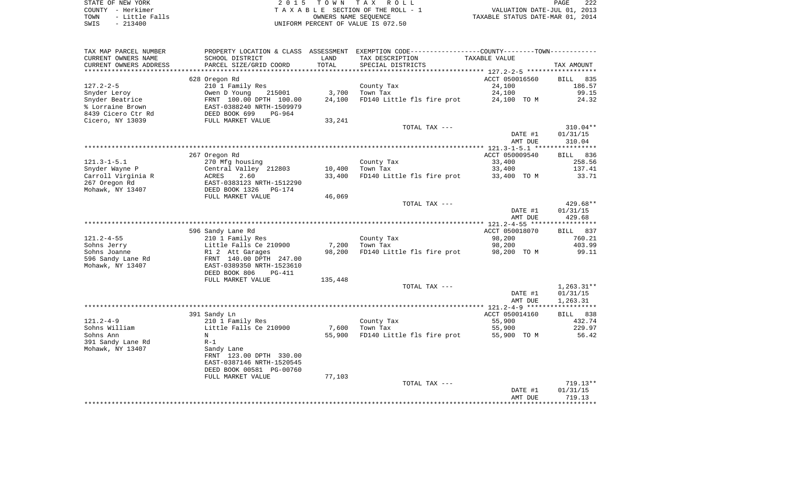| STATE OF NEW YORK      | 2015 TOWN TAX ROLL                  | 222<br><b>PAGE</b>               |
|------------------------|-------------------------------------|----------------------------------|
| COUNTY - Herkimer      | TAXABLE SECTION OF THE ROLL - 1     | VALUATION DATE-JUL 01, 2013      |
| - Little Falls<br>TOWN | OWNERS NAME SEOUENCE                | TAXABLE STATUS DATE-MAR 01, 2014 |
| CMTC _ 012400          | INITEOPM DEPOEME OF VAIIE IS 072 EO |                                  |

SWIS - 213400 UNIFORM PERCENT OF VALUE IS 072.50

| TAX MAP PARCEL NUMBER  |                                |         | PROPERTY LOCATION & CLASS ASSESSMENT EXEMPTION CODE---------------COUNTY-------TOWN---------- |                |              |
|------------------------|--------------------------------|---------|-----------------------------------------------------------------------------------------------|----------------|--------------|
| CURRENT OWNERS NAME    | SCHOOL DISTRICT                | LAND    | TAX DESCRIPTION                                                                               | TAXABLE VALUE  |              |
| CURRENT OWNERS ADDRESS | PARCEL SIZE/GRID COORD         | TOTAL   | SPECIAL DISTRICTS                                                                             |                | TAX AMOUNT   |
|                        |                                |         |                                                                                               |                |              |
|                        | 628 Oregon Rd                  |         |                                                                                               | ACCT 050016560 | BILL<br>835  |
| $127.2 - 2 - 5$        | 210 1 Family Res               |         | County Tax                                                                                    | 24,100         | 186.57       |
| Snyder Leroy           | Owen D Young<br>215001         | 3,700   | Town Tax                                                                                      | 24,100         | 99.15        |
| Snyder Beatrice        | FRNT 100.00 DPTH 100.00        | 24,100  | FD140 Little fls fire prot                                                                    | 24,100 TO M    | 24.32        |
| % Lorraine Brown       | EAST-0388240 NRTH-1509979      |         |                                                                                               |                |              |
| 8439 Cicero Ctr Rd     | DEED BOOK 699<br>PG-964        |         |                                                                                               |                |              |
| Cicero, NY 13039       | FULL MARKET VALUE              | 33,241  |                                                                                               |                |              |
|                        |                                |         |                                                                                               |                |              |
|                        |                                |         | TOTAL TAX ---                                                                                 |                | $310.04**$   |
|                        |                                |         |                                                                                               | DATE #1        | 01/31/15     |
|                        |                                |         |                                                                                               | AMT DUE        | 310.04       |
|                        |                                |         |                                                                                               |                |              |
|                        | 267 Oregon Rd                  |         |                                                                                               | ACCT 050009540 | BILL 836     |
| $121.3 - 1 - 5.1$      | 270 Mfg housing                |         | County Tax                                                                                    | 33,400         | 258.56       |
| Snyder Wayne P         | Central Valley 212803          | 10,400  | Town Tax                                                                                      | 33,400         | 137.41       |
| Carroll Virginia R     | <b>ACRES</b><br>2.60           | 33,400  | FD140 Little fls fire prot                                                                    | 33,400 TO M    | 33.71        |
| 267 Oregon Rd          | EAST-0383123 NRTH-1512290      |         |                                                                                               |                |              |
| Mohawk, NY 13407       | DEED BOOK 1326<br>PG-174       |         |                                                                                               |                |              |
|                        | FULL MARKET VALUE              | 46,069  |                                                                                               |                |              |
|                        |                                |         | TOTAL TAX ---                                                                                 |                | 429.68**     |
|                        |                                |         |                                                                                               | DATE #1        | 01/31/15     |
|                        |                                |         |                                                                                               | AMT DUE        | 429.68       |
|                        |                                |         |                                                                                               |                |              |
|                        | 596 Sandy Lane Rd              |         |                                                                                               | ACCT 050018070 | BILL 837     |
|                        |                                |         |                                                                                               |                |              |
| $121.2 - 4 - 55$       | 210 1 Family Res               |         | County Tax                                                                                    | 98,200         | 760.21       |
| Sohns Jerry            | Little Falls Ce 210900         | 7,200   | Town Tax                                                                                      | 98,200         | 403.99       |
| Sohns Joanne           | R1 2 Att Garages               | 98,200  | FD140 Little fls fire prot 98,200 TO M                                                        |                | 99.11        |
| 596 Sandy Lane Rd      | FRNT 140.00 DPTH 247.00        |         |                                                                                               |                |              |
| Mohawk, NY 13407       | EAST-0389350 NRTH-1523610      |         |                                                                                               |                |              |
|                        | DEED BOOK 806<br><b>PG-411</b> |         |                                                                                               |                |              |
|                        | FULL MARKET VALUE              | 135,448 |                                                                                               |                |              |
|                        |                                |         | TOTAL TAX ---                                                                                 |                | $1,263.31**$ |
|                        |                                |         |                                                                                               | DATE #1        | 01/31/15     |
|                        |                                |         |                                                                                               | AMT DUE        | 1,263.31     |
|                        |                                |         |                                                                                               |                |              |
|                        | 391 Sandy Ln                   |         |                                                                                               | ACCT 050014160 | 838<br>BILL  |
| $121.2 - 4 - 9$        | 210 1 Family Res               |         | County Tax                                                                                    | 55,900         | 432.74       |
| Sohns William          | Little Falls Ce 210900         | 7,600   | Town Tax                                                                                      | 55,900         | 229.97       |
| Sohns Ann              | N                              | 55,900  | FD140 Little fls fire prot                                                                    | 55,900 TO M    | 56.42        |
| 391 Sandy Lane Rd      | $R-1$                          |         |                                                                                               |                |              |
| Mohawk, NY 13407       | Sandy Lane                     |         |                                                                                               |                |              |
|                        | FRNT 123.00 DPTH 330.00        |         |                                                                                               |                |              |
|                        | EAST-0387146 NRTH-1520545      |         |                                                                                               |                |              |
|                        |                                |         |                                                                                               |                |              |
|                        | DEED BOOK 00581 PG-00760       |         |                                                                                               |                |              |
|                        | FULL MARKET VALUE              | 77,103  |                                                                                               |                |              |
|                        |                                |         | TOTAL TAX ---                                                                                 |                | $719.13**$   |
|                        |                                |         |                                                                                               | DATE #1        | 01/31/15     |
|                        |                                |         |                                                                                               | AMT DUE        | 719.13       |
|                        |                                |         |                                                                                               |                |              |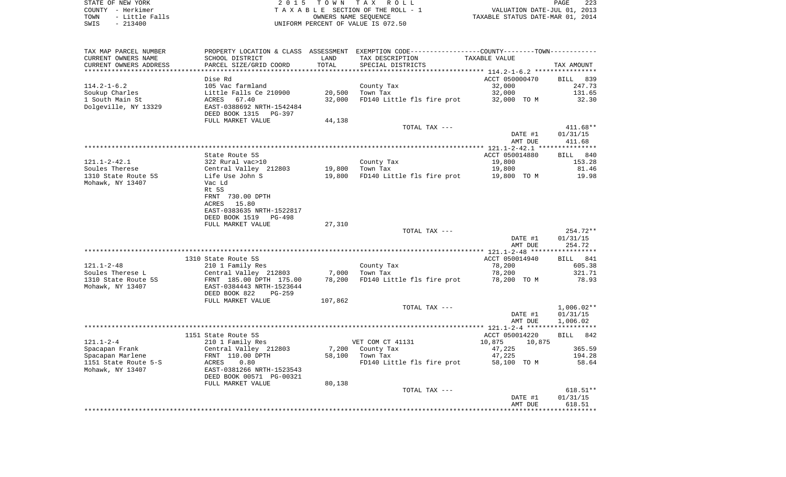| STATE OF NEW YORK |          |                |  |
|-------------------|----------|----------------|--|
| COUNTY - Herkimer |          |                |  |
| TOWN              |          | - Little Falls |  |
| ח העד             | - 213400 |                |  |

STATE OF NEW YORK 2 0 1 5 T O W N T A X R O L L PAGE 223TA X A B L E SECTION OF THE ROLL - 1 TOWN - Little Falls OWNERS NAME SEQUENCE TAXABLE STATUS DATE-MAR 01, 2014 SWIS - 213400 UNIFORM PERCENT OF VALUE IS 072.50

| TAX MAP PARCEL NUMBER  | PROPERTY LOCATION & CLASS ASSESSMENT EXEMPTION CODE---------------COUNTY-------TOWN---------- |                    |                            |                                                 |                    |
|------------------------|-----------------------------------------------------------------------------------------------|--------------------|----------------------------|-------------------------------------------------|--------------------|
| CURRENT OWNERS NAME    | SCHOOL DISTRICT                                                                               | LAND               | TAX DESCRIPTION            | TAXABLE VALUE                                   |                    |
| CURRENT OWNERS ADDRESS | PARCEL SIZE/GRID COORD                                                                        | TOTAL              | SPECIAL DISTRICTS          |                                                 | TAX AMOUNT         |
|                        |                                                                                               | ****************** |                            | ***************** 114.2-1-6.2 ***************** |                    |
|                        | Dise Rd                                                                                       |                    |                            | ACCT 050000470                                  | BILL 839           |
| $114.2 - 1 - 6.2$      | 105 Vac farmland                                                                              |                    | County Tax                 | 32,000                                          | 247.73             |
| Soukup Charles         | Little Falls Ce 210900                                                                        | 20,500             | Town Tax                   | 32,000                                          | 131.65             |
| 1 South Main St        | ACRES<br>67.40                                                                                | 32,000             | FD140 Little fls fire prot | 32,000 TO M                                     | 32.30              |
| Dolgeville, NY 13329   | EAST-0388692 NRTH-1542484                                                                     |                    |                            |                                                 |                    |
|                        | DEED BOOK 1315<br>PG-397                                                                      |                    |                            |                                                 |                    |
|                        |                                                                                               |                    |                            |                                                 |                    |
|                        | FULL MARKET VALUE                                                                             | 44,138             |                            |                                                 |                    |
|                        |                                                                                               |                    | TOTAL TAX ---              |                                                 | 411.68**           |
|                        |                                                                                               |                    |                            | DATE #1                                         | 01/31/15           |
|                        |                                                                                               |                    |                            | AMT DUE                                         | 411.68             |
|                        |                                                                                               |                    |                            |                                                 |                    |
|                        | State Route 5S                                                                                |                    |                            | ACCT 050014880                                  | BILL 840           |
| $121.1 - 2 - 42.1$     | 322 Rural vac>10                                                                              |                    | County Tax                 | 19,800                                          | 153.28             |
| Soules Therese         | Central Valley 212803                                                                         |                    | 19,800 Town Tax            | 19,800                                          | 81.46              |
| 1310 State Route 5S    | Life Use John S                                                                               | 19,800             | FD140 Little fls fire prot | 19,800 TO M                                     | 19.98              |
| Mohawk, NY 13407       | Vac Ld                                                                                        |                    |                            |                                                 |                    |
|                        | Rt 5S                                                                                         |                    |                            |                                                 |                    |
|                        | FRNT 730.00 DPTH                                                                              |                    |                            |                                                 |                    |
|                        | 15.80<br>ACRES                                                                                |                    |                            |                                                 |                    |
|                        | EAST-0383635 NRTH-1522817                                                                     |                    |                            |                                                 |                    |
|                        | DEED BOOK 1519<br>PG-498                                                                      |                    |                            |                                                 |                    |
|                        | FULL MARKET VALUE                                                                             | 27,310             |                            |                                                 |                    |
|                        |                                                                                               |                    | TOTAL TAX ---              |                                                 | 254.72**           |
|                        |                                                                                               |                    |                            | DATE #1                                         | 01/31/15           |
|                        |                                                                                               |                    |                            | AMT DUE                                         | 254.72             |
|                        |                                                                                               |                    |                            |                                                 |                    |
|                        | 1310 State Route 5S                                                                           |                    |                            | ACCT 050014940                                  | BILL 841           |
| $121.1 - 2 - 48$       | 210 1 Family Res                                                                              |                    | County Tax                 | 78,200                                          | 605.38             |
| Soules Therese L       | Central Valley 212803                                                                         | 7,000              | Town Tax                   | 78,200                                          | 321.71             |
| 1310 State Route 5S    | FRNT 185.00 DPTH 175.00                                                                       | 78,200             | FD140 Little fls fire prot | 78,200 TO M                                     | 78.93              |
| Mohawk, NY 13407       | EAST-0384443 NRTH-1523644                                                                     |                    |                            |                                                 |                    |
|                        | DEED BOOK 822<br>$PG-259$                                                                     |                    |                            |                                                 |                    |
|                        | FULL MARKET VALUE                                                                             |                    |                            |                                                 |                    |
|                        |                                                                                               | 107,862            |                            |                                                 |                    |
|                        |                                                                                               |                    | TOTAL TAX ---              |                                                 | $1,006.02**$       |
|                        |                                                                                               |                    |                            | DATE #1                                         | 01/31/15           |
|                        |                                                                                               |                    |                            | AMT DUE                                         | 1,006.02           |
|                        |                                                                                               |                    |                            |                                                 |                    |
|                        | 1151 State Route 5S                                                                           |                    |                            | ACCT 050014220                                  | BILL 842           |
| $121.1 - 2 - 4$        | 210 1 Family Res                                                                              |                    | VET COM CT 41131           | 10,875<br>10,875                                |                    |
| Spacapan Frank         | Central Valley 212803                                                                         | 7,200              | County Tax                 | 47,225                                          | 365.59             |
| Spacapan Marlene       | FRNT 110.00 DPTH                                                                              | 58,100             | Town Tax                   | 47,225                                          | 194.28             |
| 1151 State Route 5-S   | ACRES<br>0.80                                                                                 |                    | FD140 Little fls fire prot | 58,100 TO M                                     | 58.64              |
| Mohawk, NY 13407       | EAST-0381266 NRTH-1523543                                                                     |                    |                            |                                                 |                    |
|                        |                                                                                               |                    |                            |                                                 |                    |
|                        | DEED BOOK 00571 PG-00321                                                                      |                    |                            |                                                 |                    |
|                        | FULL MARKET VALUE                                                                             | 80,138             |                            |                                                 |                    |
|                        |                                                                                               |                    | TOTAL TAX ---              |                                                 | 618.51**           |
|                        |                                                                                               |                    |                            | DATE #1                                         |                    |
|                        |                                                                                               |                    |                            | AMT DUE                                         | 01/31/15<br>618.51 |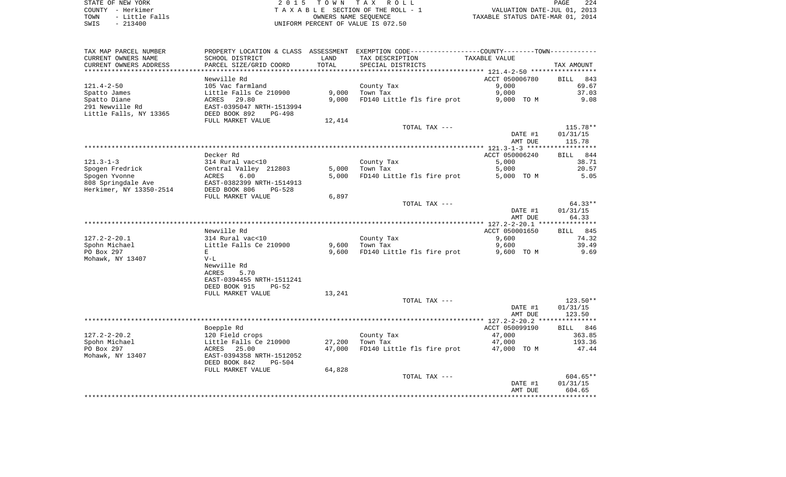| TAX MAP PARCEL NUMBER   |                           |        | PROPERTY LOCATION & CLASS ASSESSMENT EXEMPTION CODE----------------COUNTY--------TOWN-------- |                          |                    |
|-------------------------|---------------------------|--------|-----------------------------------------------------------------------------------------------|--------------------------|--------------------|
| CURRENT OWNERS NAME     | SCHOOL DISTRICT           | LAND   | TAX DESCRIPTION                                                                               | TAXABLE VALUE            |                    |
| CURRENT OWNERS ADDRESS  | PARCEL SIZE/GRID COORD    | TOTAL  | SPECIAL DISTRICTS                                                                             |                          | TAX AMOUNT         |
|                         |                           |        |                                                                                               |                          |                    |
|                         | Newville Rd               |        |                                                                                               | ACCT 050006780           | BILL 843           |
| $121.4 - 2 - 50$        | 105 Vac farmland          |        | County Tax                                                                                    | 9,000                    | 69.67              |
| Spatto James            | Little Falls Ce 210900    | 9,000  | Town Tax                                                                                      | 9,000                    | 37.03              |
| Spatto Diane            | 29.80<br>ACRES            | 9,000  | FD140 Little fls fire prot                                                                    | 9,000 TO M               | 9.08               |
| 291 Newville Rd         | EAST-0395047 NRTH-1513994 |        |                                                                                               |                          |                    |
| Little Falls, NY 13365  | DEED BOOK 892<br>PG-498   |        |                                                                                               |                          |                    |
|                         | FULL MARKET VALUE         | 12,414 |                                                                                               |                          |                    |
|                         |                           |        | TOTAL TAX ---                                                                                 |                          | 115.78**           |
|                         |                           |        |                                                                                               | DATE #1                  | 01/31/15           |
|                         |                           |        |                                                                                               | AMT DUE                  | 115.78             |
|                         |                           |        |                                                                                               |                          |                    |
|                         | Decker Rd                 |        |                                                                                               | ACCT 050006240           | <b>BILL</b><br>844 |
| $121.3 - 1 - 3$         | 314 Rural vac<10          |        | County Tax                                                                                    | 5,000                    | 38.71              |
| Spogen Fredrick         | Central Valley 212803     | 5,000  | Town Tax                                                                                      | 5,000                    | 20.57              |
| Spogen Yvonne           | 6.00<br>ACRES             | 5,000  | FD140 Little fls fire prot                                                                    | 5,000 TO M               | 5.05               |
| 808 Springdale Ave      | EAST-0382399 NRTH-1514913 |        |                                                                                               |                          |                    |
| Herkimer, NY 13350-2514 | DEED BOOK 806<br>$PG-528$ |        |                                                                                               |                          |                    |
|                         | FULL MARKET VALUE         | 6,897  |                                                                                               |                          |                    |
|                         |                           |        | TOTAL TAX ---                                                                                 |                          | $64.33**$          |
|                         |                           |        |                                                                                               | DATE #1                  | 01/31/15           |
|                         |                           |        |                                                                                               | AMT DUE                  | 64.33              |
|                         |                           |        |                                                                                               |                          |                    |
|                         | Newville Rd               |        |                                                                                               | ACCT 050001650           | 845<br><b>BILL</b> |
| $127.2 - 2 - 20.1$      | 314 Rural vac<10          |        | County Tax                                                                                    | 9,600                    | 74.32              |
| Spohn Michael           | Little Falls Ce 210900    | 9,600  | Town Tax                                                                                      | 9,600                    | 39.49              |
| PO Box 297              | E                         | 9,600  | FD140 Little fls fire prot                                                                    | 9,600 TO M               | 9.69               |
| Mohawk, NY 13407        | $V-L$                     |        |                                                                                               |                          |                    |
|                         | Newville Rd               |        |                                                                                               |                          |                    |
|                         | <b>ACRES</b><br>5.70      |        |                                                                                               |                          |                    |
|                         | EAST-0394455 NRTH-1511241 |        |                                                                                               |                          |                    |
|                         | DEED BOOK 915<br>$PG-52$  |        |                                                                                               |                          |                    |
|                         |                           |        |                                                                                               |                          |                    |
|                         | FULL MARKET VALUE         | 13,241 |                                                                                               |                          | 123.50**           |
|                         |                           |        | TOTAL TAX ---                                                                                 |                          |                    |
|                         |                           |        |                                                                                               | DATE #1                  | 01/31/15<br>123.50 |
|                         |                           |        |                                                                                               | AMT DUE                  |                    |
|                         |                           |        |                                                                                               |                          |                    |
| $127.2 - 2 - 20.2$      | Boepple Rd                |        |                                                                                               | ACCT 050099190<br>47,000 | BILL 846           |
|                         | 120 Field crops           |        | County Tax                                                                                    |                          | 363.85             |
| Spohn Michael           | Little Falls Ce 210900    | 27,200 | Town Tax                                                                                      | 47,000                   | 193.36             |
| PO Box 297              | 25.00<br>ACRES            | 47,000 | FD140 Little fls fire prot                                                                    | 47,000 TO M              | 47.44              |
| Mohawk, NY 13407        | EAST-0394358 NRTH-1512052 |        |                                                                                               |                          |                    |
|                         | DEED BOOK 842<br>$PG-504$ |        |                                                                                               |                          |                    |
|                         | FULL MARKET VALUE         | 64,828 |                                                                                               |                          |                    |
|                         |                           |        | TOTAL TAX ---                                                                                 |                          | 604.65**           |
|                         |                           |        |                                                                                               | DATE #1                  | 01/31/15           |
|                         |                           |        |                                                                                               | AMT DUE                  | 604.65             |
|                         |                           |        |                                                                                               |                          |                    |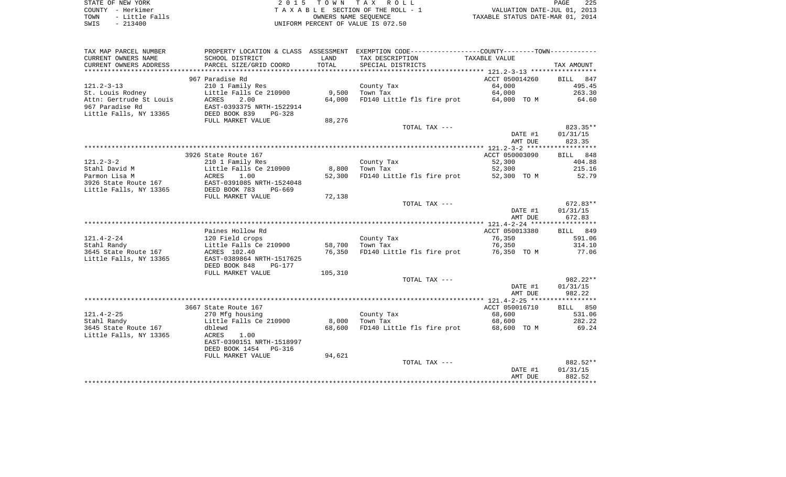|      | STATE OF NEW YORK | 2015 TOWN TAX ROLL                 | PAGE                             | 225 |
|------|-------------------|------------------------------------|----------------------------------|-----|
|      | COUNTY - Herkimer | TAXABLE SECTION OF THE ROLL - 1    | VALUATION DATE-JUL 01, 2013      |     |
| TOWN | - Little Falls    | OWNERS NAME SEOUENCE               | TAXABLE STATUS DATE-MAR 01, 2014 |     |
| SWIS | - 213400          | UNIFORM PERCENT OF VALUE IS 072.50 |                                  |     |

| TAX MAP PARCEL NUMBER   |                           |         | PROPERTY LOCATION & CLASS ASSESSMENT EXEMPTION CODE---------------COUNTY-------TOWN---------- |                |            |
|-------------------------|---------------------------|---------|-----------------------------------------------------------------------------------------------|----------------|------------|
| CURRENT OWNERS NAME     | SCHOOL DISTRICT           | LAND    | TAX DESCRIPTION                                                                               | TAXABLE VALUE  |            |
| CURRENT OWNERS ADDRESS  | PARCEL SIZE/GRID COORD    | TOTAL   | SPECIAL DISTRICTS                                                                             |                | TAX AMOUNT |
|                         |                           |         |                                                                                               |                |            |
|                         | 967 Paradise Rd           |         |                                                                                               | ACCT 050014260 | BILL 847   |
| $121.2 - 3 - 13$        | 210 1 Family Res          |         | County Tax                                                                                    | 64,000         | 495.45     |
| St. Louis Rodney        | Little Falls Ce 210900    | 9,500   | Town Tax                                                                                      | 64,000         | 263.30     |
| Attn: Gertrude St Louis | ACRES<br>2.00             | 64,000  | FD140 Little fls fire prot 64,000 TO M                                                        |                | 64.60      |
|                         |                           |         |                                                                                               |                |            |
| 967 Paradise Rd         | EAST-0393375 NRTH-1522914 |         |                                                                                               |                |            |
| Little Falls, NY 13365  | DEED BOOK 839<br>$PG-328$ |         |                                                                                               |                |            |
|                         | FULL MARKET VALUE         | 88,276  |                                                                                               |                |            |
|                         |                           |         | TOTAL TAX ---                                                                                 |                | 823.35**   |
|                         |                           |         |                                                                                               | DATE #1        | 01/31/15   |
|                         |                           |         |                                                                                               | AMT DUE        | 823.35     |
|                         |                           |         |                                                                                               |                |            |
|                         | 3926 State Route 167      |         |                                                                                               | ACCT 050003090 | BILL 848   |
| $121.2 - 3 - 2$         | 210 1 Family Res          |         | County Tax                                                                                    | 52,300         | 404.88     |
| Stahl David M           | Little Falls Ce 210900    | 8,800   | Town Tax                                                                                      | 52,300         | 215.16     |
| Parmon Lisa M           | ACRES<br>1.00             | 52,300  | FD140 Little fls fire prot                                                                    | 52,300 TO M    | 52.79      |
| 3926 State Route 167    | EAST-0391085 NRTH-1524048 |         |                                                                                               |                |            |
| Little Falls, NY 13365  | DEED BOOK 783<br>PG-669   |         |                                                                                               |                |            |
|                         | FULL MARKET VALUE         | 72,138  |                                                                                               |                |            |
|                         |                           |         |                                                                                               |                |            |
|                         |                           |         | TOTAL TAX ---                                                                                 |                | 672.83**   |
|                         |                           |         |                                                                                               | DATE #1        | 01/31/15   |
|                         |                           |         |                                                                                               | AMT DUE        | 672.83     |
|                         |                           |         |                                                                                               |                |            |
|                         | Paines Hollow Rd          |         |                                                                                               | ACCT 050013380 | BILL 849   |
| $121.4 - 2 - 24$        | 120 Field crops           |         | County Tax                                                                                    | 76,350         | 591.06     |
| Stahl Randy             | Little Falls Ce 210900    | 58,700  | Town Tax                                                                                      | 76,350         | 314.10     |
| 3645 State Route 167    | ACRES 102.40              | 76,350  | FD140 Little fls fire prot 76,350 TO M                                                        |                | 77.06      |
| Little Falls, NY 13365  | EAST-0389864 NRTH-1517625 |         |                                                                                               |                |            |
|                         | DEED BOOK 848<br>PG-177   |         |                                                                                               |                |            |
|                         | FULL MARKET VALUE         | 105,310 |                                                                                               |                |            |
|                         |                           |         | TOTAL TAX ---                                                                                 |                | $982.22**$ |
|                         |                           |         |                                                                                               | DATE #1        | 01/31/15   |
|                         |                           |         |                                                                                               | AMT DUE        | 982.22     |
|                         |                           |         |                                                                                               |                |            |
|                         | 3667 State Route 167      |         |                                                                                               | ACCT 050016710 | BILL 850   |
| $121.4 - 2 - 25$        |                           |         |                                                                                               |                | 531.06     |
|                         | 270 Mfg housing           |         | County Tax                                                                                    | 68,600         |            |
| Stahl Randy             | Little Falls Ce 210900    | 8,000   | Town Tax                                                                                      | 68,600         | 282.22     |
| 3645 State Route 167    | dblewd                    | 68,600  | FD140 Little fls fire prot 68,600 TO M                                                        |                | 69.24      |
| Little Falls, NY 13365  | ACRES<br>1.00             |         |                                                                                               |                |            |
|                         | EAST-0390151 NRTH-1518997 |         |                                                                                               |                |            |
|                         | DEED BOOK 1454 PG-316     |         |                                                                                               |                |            |
|                         | FULL MARKET VALUE         | 94,621  |                                                                                               |                |            |
|                         |                           |         | TOTAL TAX ---                                                                                 |                | 882.52**   |
|                         |                           |         |                                                                                               | DATE #1        | 01/31/15   |
|                         |                           |         |                                                                                               | AMT DUE        | 882.52     |
|                         |                           |         |                                                                                               |                |            |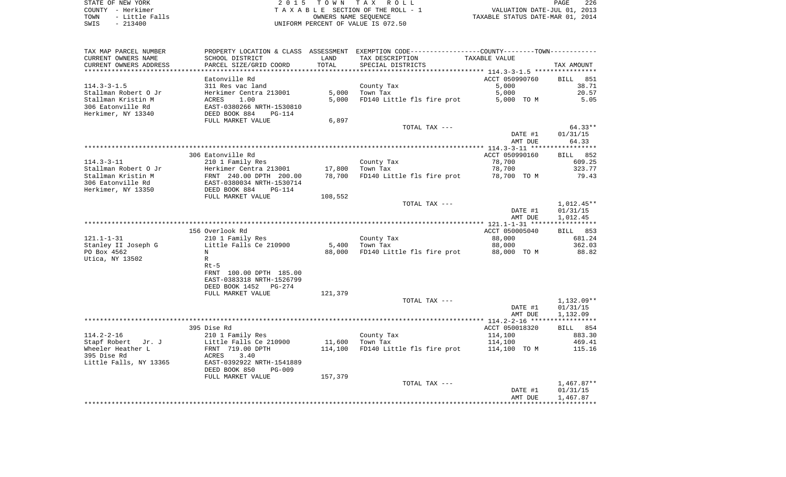| TAX MAP PARCEL NUMBER  |                            |         | PROPERTY LOCATION & CLASS ASSESSMENT EXEMPTION CODE---------------COUNTY-------TOWN---------- |                |              |
|------------------------|----------------------------|---------|-----------------------------------------------------------------------------------------------|----------------|--------------|
| CURRENT OWNERS NAME    | SCHOOL DISTRICT            | LAND    | TAX DESCRIPTION                                                                               | TAXABLE VALUE  |              |
| CURRENT OWNERS ADDRESS | PARCEL SIZE/GRID COORD     | TOTAL   | SPECIAL DISTRICTS                                                                             |                | TAX AMOUNT   |
|                        |                            |         |                                                                                               |                |              |
|                        | Eatonville Rd              |         |                                                                                               | ACCT 050990760 | BILL<br>851  |
| $114.3 - 3 - 1.5$      | 311 Res vac land           |         | County Tax                                                                                    | 5,000          | 38.71        |
| Stallman Robert O Jr   | Herkimer Centra 213001     | 5,000   | Town Tax                                                                                      | 5,000          | 20.57        |
| Stallman Kristin M     | 1.00<br>ACRES              | 5,000   | FD140 Little fls fire prot                                                                    | 5,000 TO M     | 5.05         |
| 306 Eatonville Rd      | EAST-0380266 NRTH-1530810  |         |                                                                                               |                |              |
| Herkimer, NY 13340     | DEED BOOK 884<br>$PG-114$  |         |                                                                                               |                |              |
|                        |                            |         |                                                                                               |                |              |
|                        | FULL MARKET VALUE          | 6,897   |                                                                                               |                |              |
|                        |                            |         | TOTAL TAX ---                                                                                 |                | $64.33**$    |
|                        |                            |         |                                                                                               | DATE #1        | 01/31/15     |
|                        |                            |         |                                                                                               | AMT DUE        | 64.33        |
|                        |                            |         |                                                                                               |                |              |
|                        | 306 Eatonville Rd          |         |                                                                                               | ACCT 050990160 | BILL 852     |
| $114.3 - 3 - 11$       | 210 1 Family Res           |         | County Tax                                                                                    | 78,700         | 609.25       |
| Stallman Robert O Jr   | Herkimer Centra 213001     | 17,800  | Town Tax                                                                                      | 78,700         | 323.77       |
| Stallman Kristin M     | FRNT 240.00 DPTH 200.00    | 78,700  | FD140 Little fls fire prot 78,700 TO M                                                        |                | 79.43        |
| 306 Eatonville Rd      | EAST-0380034 NRTH-1530714  |         |                                                                                               |                |              |
| Herkimer, NY 13350     | DEED BOOK 884<br>$PG-114$  |         |                                                                                               |                |              |
|                        | FULL MARKET VALUE          | 108,552 |                                                                                               |                |              |
|                        |                            |         | TOTAL TAX ---                                                                                 |                | $1,012.45**$ |
|                        |                            |         |                                                                                               |                | 01/31/15     |
|                        |                            |         |                                                                                               | DATE #1        |              |
|                        |                            |         |                                                                                               | AMT DUE        | 1,012.45     |
|                        |                            |         |                                                                                               |                |              |
|                        | 156 Overlook Rd            |         |                                                                                               | ACCT 050005040 | BILL 853     |
| $121.1 - 1 - 31$       | 210 1 Family Res           |         | County Tax                                                                                    | 88,000         | 681.24       |
| Stanley II Joseph G    | Little Falls Ce 210900     | 5,400   | Town Tax                                                                                      | 88,000         | 362.03       |
| PO Box 4562            | N                          | 88,000  | FD140 Little fls fire prot                                                                    | 88,000 TO M    | 88.82        |
| Utica, NY 13502        | $\mathbb{R}$               |         |                                                                                               |                |              |
|                        | $Rt-5$                     |         |                                                                                               |                |              |
|                        | FRNT 100.00 DPTH 185.00    |         |                                                                                               |                |              |
|                        | EAST-0383318 NRTH-1526799  |         |                                                                                               |                |              |
|                        | DEED BOOK 1452<br>$PG-274$ |         |                                                                                               |                |              |
|                        | FULL MARKET VALUE          | 121,379 |                                                                                               |                |              |
|                        |                            |         | TOTAL TAX ---                                                                                 |                | $1,132.09**$ |
|                        |                            |         |                                                                                               | DATE #1        | 01/31/15     |
|                        |                            |         |                                                                                               | AMT DUE        | 1,132.09     |
|                        | ****************           |         |                                                                                               |                |              |
|                        |                            |         |                                                                                               |                |              |
|                        | 395 Dise Rd                |         |                                                                                               | ACCT 050018320 | BILL 854     |
| $114.2 - 2 - 16$       | 210 1 Family Res           |         | County Tax                                                                                    | 114,100        | 883.30       |
| Stapf Robert Jr. J     | Little Falls Ce 210900     | 11,600  | Town Tax                                                                                      | 114,100        | 469.41       |
| Wheeler Heather L      | FRNT 719.00 DPTH           | 114,100 | FD140 Little fls fire prot                                                                    | 114,100 TO M   | 115.16       |
| 395 Dise Rd            | ACRES<br>3.40              |         |                                                                                               |                |              |
| Little Falls, NY 13365 | EAST-0392922 NRTH-1541889  |         |                                                                                               |                |              |
|                        | DEED BOOK 850<br>$PG-009$  |         |                                                                                               |                |              |
|                        | FULL MARKET VALUE          | 157,379 |                                                                                               |                |              |
|                        |                            |         | TOTAL TAX ---                                                                                 |                | $1,467.87**$ |
|                        |                            |         |                                                                                               | DATE #1        | 01/31/15     |
|                        |                            |         |                                                                                               | AMT DUE        | 1,467.87     |
|                        |                            |         |                                                                                               |                |              |
|                        |                            |         |                                                                                               |                |              |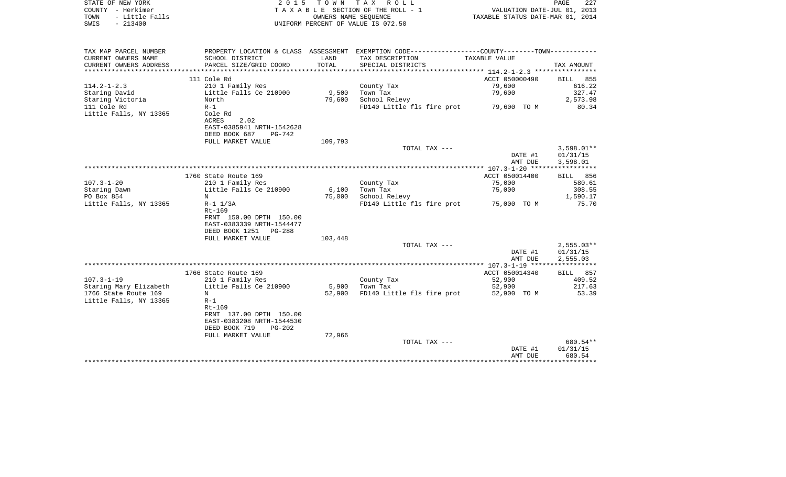| STATE OF NEW YORK<br>COUNTY - Herkimer<br>- Little Falls<br>TOWN<br>$-213400$<br>SWIS | 2 0 1 5                                              | T O W N         | TAX ROLL<br>TAXABLE SECTION OF THE ROLL - 1<br>OWNERS NAME SEQUENCE<br>UNIFORM PERCENT OF VALUE IS 072.50 | VALUATION DATE-JUL 01, 2013<br>TAXABLE STATUS DATE-MAR 01, 2014 | PAGE<br>227           |
|---------------------------------------------------------------------------------------|------------------------------------------------------|-----------------|-----------------------------------------------------------------------------------------------------------|-----------------------------------------------------------------|-----------------------|
|                                                                                       |                                                      |                 |                                                                                                           |                                                                 |                       |
| TAX MAP PARCEL NUMBER                                                                 |                                                      |                 | PROPERTY LOCATION & CLASS ASSESSMENT EXEMPTION CODE---------------COUNTY-------TOWN----------             |                                                                 |                       |
| CURRENT OWNERS NAME<br>CURRENT OWNERS ADDRESS                                         | SCHOOL DISTRICT<br>PARCEL SIZE/GRID COORD            | LAND<br>TOTAL   | TAX DESCRIPTION<br>SPECIAL DISTRICTS                                                                      | TAXABLE VALUE                                                   | TAX AMOUNT            |
| ************************                                                              |                                                      |                 |                                                                                                           |                                                                 |                       |
|                                                                                       | 111 Cole Rd                                          |                 |                                                                                                           | ACCT 050000490                                                  | BILL 855              |
| $114.2 - 1 - 2.3$                                                                     | 210 1 Family Res                                     |                 | County Tax                                                                                                | 79,600                                                          | 616.22                |
| Staring David                                                                         | Little Falls Ce 210900                               | 9,500           | Town Tax                                                                                                  | 79,600                                                          | 327.47                |
| Staring Victoria<br>111 Cole Rd                                                       | North<br>$R-1$                                       | 79,600          | School Relevy<br>FD140 Little fls fire prot 79,600 TO M                                                   |                                                                 | 2,573.98<br>80.34     |
| Little Falls, NY 13365                                                                | Cole Rd                                              |                 |                                                                                                           |                                                                 |                       |
|                                                                                       | ACRES<br>2.02                                        |                 |                                                                                                           |                                                                 |                       |
|                                                                                       | EAST-0385941 NRTH-1542628                            |                 |                                                                                                           |                                                                 |                       |
|                                                                                       | DEED BOOK 687<br>PG-742                              |                 |                                                                                                           |                                                                 |                       |
|                                                                                       | FULL MARKET VALUE                                    | 109,793         | TOTAL TAX ---                                                                                             |                                                                 | $3,598.01**$          |
|                                                                                       |                                                      |                 |                                                                                                           | DATE #1                                                         | 01/31/15              |
|                                                                                       |                                                      |                 |                                                                                                           | AMT DUE                                                         | 3,598.01              |
|                                                                                       |                                                      |                 |                                                                                                           |                                                                 |                       |
|                                                                                       | 1760 State Route 169                                 |                 |                                                                                                           | ACCT 050014400                                                  | BILL 856              |
| $107.3 - 1 - 20$                                                                      | 210 1 Family Res                                     |                 | County Tax                                                                                                | 75,000                                                          | 580.61<br>308.55      |
| Staring Dawn<br>PO Box 854                                                            | Little Falls Ce 210900<br>$_{\rm N}$                 | 6,100<br>75,000 | Town Tax<br>School Relevy                                                                                 | 75,000                                                          | 1,590.17              |
| Little Falls, NY 13365                                                                | $R-1$ $1/3A$                                         |                 | FD140 Little fls fire prot 75,000 TO M                                                                    |                                                                 | 75.70                 |
|                                                                                       | $Rt-169$                                             |                 |                                                                                                           |                                                                 |                       |
|                                                                                       | FRNT 150.00 DPTH 150.00                              |                 |                                                                                                           |                                                                 |                       |
|                                                                                       | EAST-0383339 NRTH-1544477                            |                 |                                                                                                           |                                                                 |                       |
|                                                                                       | DEED BOOK 1251 PG-288<br>FULL MARKET VALUE           | 103,448         |                                                                                                           |                                                                 |                       |
|                                                                                       |                                                      |                 | TOTAL TAX ---                                                                                             |                                                                 | $2,555.03**$          |
|                                                                                       |                                                      |                 |                                                                                                           | DATE #1                                                         | 01/31/15              |
|                                                                                       |                                                      |                 |                                                                                                           | AMT DUE                                                         | 2,555.03              |
|                                                                                       |                                                      |                 |                                                                                                           |                                                                 |                       |
| $107.3 - 1 - 19$                                                                      | 1766 State Route 169                                 |                 | County Tax                                                                                                | ACCT 050014340<br>52,900                                        | BILL 857<br>409.52    |
| Staring Mary Elizabeth                                                                | 210 1 Family Res<br>Little Falls Ce 210900           | 5,900           | Town Tax                                                                                                  | 52,900                                                          | 217.63                |
| 1766 State Route 169                                                                  | N                                                    | 52,900          | FD140 Little fls fire prot                                                                                | 52,900 TO M                                                     | 53.39                 |
| Little Falls, NY 13365                                                                | $R-1$                                                |                 |                                                                                                           |                                                                 |                       |
|                                                                                       | Rt-169                                               |                 |                                                                                                           |                                                                 |                       |
|                                                                                       | FRNT 137.00 DPTH 150.00                              |                 |                                                                                                           |                                                                 |                       |
|                                                                                       | EAST-0383208 NRTH-1544530<br>DEED BOOK 719<br>PG-202 |                 |                                                                                                           |                                                                 |                       |
|                                                                                       | FULL MARKET VALUE                                    | 72,966          |                                                                                                           |                                                                 |                       |
|                                                                                       |                                                      |                 | TOTAL TAX ---                                                                                             |                                                                 | 680.54**              |
|                                                                                       |                                                      |                 |                                                                                                           | DATE #1                                                         | 01/31/15              |
|                                                                                       |                                                      |                 |                                                                                                           | AMT DUE                                                         | 680.54<br>*********** |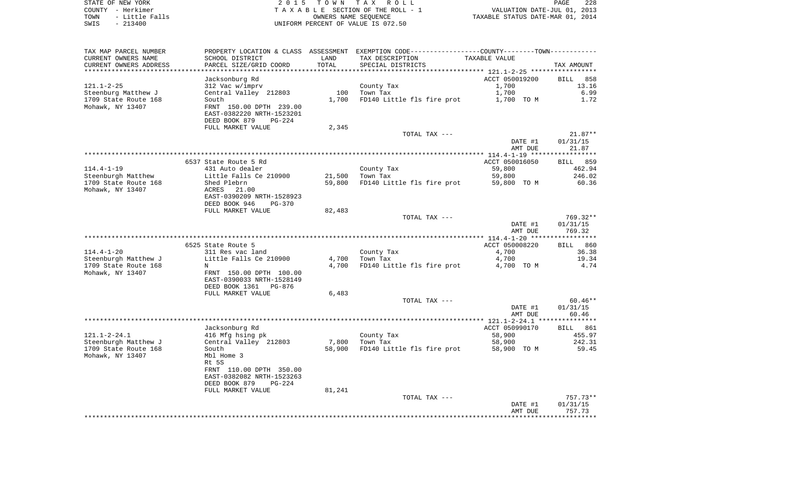| STATE OF NEW YORK      | 2015 TOWN TAX ROLL                 | 228<br>PAGE                      |
|------------------------|------------------------------------|----------------------------------|
| COUNTY - Herkimer      | TAXABLE SECTION OF THE ROLL - 1    | VALUATION DATE-JUL 01, 2013      |
| - Little Falls<br>TOWN | OWNERS NAME SEOUENCE               | TAXABLE STATUS DATE-MAR 01, 2014 |
| $-213400$<br>SWIS      | UNIFORM PERCENT OF VALUE IS 072.50 |                                  |

| SCHOOL DISTRICT                                                                                                                     | LAND                                                                                                                                                | TAX DESCRIPTION                     | TAXABLE VALUE                                                                              |                                                                                                                                                                                                                           |
|-------------------------------------------------------------------------------------------------------------------------------------|-----------------------------------------------------------------------------------------------------------------------------------------------------|-------------------------------------|--------------------------------------------------------------------------------------------|---------------------------------------------------------------------------------------------------------------------------------------------------------------------------------------------------------------------------|
| PARCEL SIZE/GRID COORD<br>*******************                                                                                       | TOTAL                                                                                                                                               | SPECIAL DISTRICTS                   |                                                                                            | TAX AMOUNT                                                                                                                                                                                                                |
| Jacksonburg Rd<br>312 Vac w/imprv<br>Central Valley 212803<br>South<br>FRNT 150.00 DPTH 239.00<br>EAST-0382220 NRTH-1523201         | 100<br>1,700                                                                                                                                        | County Tax<br>Town Tax              | ACCT 050019200<br>1,700<br>1,700<br>1,700 TO M                                             | <b>BILL</b><br>858<br>13.16<br>6.99<br>1.72                                                                                                                                                                               |
|                                                                                                                                     |                                                                                                                                                     |                                     |                                                                                            |                                                                                                                                                                                                                           |
|                                                                                                                                     |                                                                                                                                                     | TOTAL TAX ---                       | DATE #1                                                                                    | $21.87**$<br>01/31/15<br>21.87                                                                                                                                                                                            |
|                                                                                                                                     |                                                                                                                                                     |                                     |                                                                                            |                                                                                                                                                                                                                           |
| 431 Auto dealer<br>Little Falls Ce 210900                                                                                           | 21,500                                                                                                                                              | County Tax<br>Town Tax              | ACCT 050016050<br>59,800<br>59,800                                                         | <b>BILL</b> 859<br>462.94<br>246.02<br>60.36                                                                                                                                                                              |
| ACRES<br>21.00<br>EAST-0390209 NRTH-1528923<br>DEED BOOK 946<br><b>PG-370</b>                                                       |                                                                                                                                                     |                                     |                                                                                            |                                                                                                                                                                                                                           |
| FULL MARKET VALUE                                                                                                                   | 82,483                                                                                                                                              |                                     |                                                                                            |                                                                                                                                                                                                                           |
|                                                                                                                                     |                                                                                                                                                     |                                     | DATE #1<br>AMT DUE                                                                         | 769.32**<br>01/31/15<br>769.32                                                                                                                                                                                            |
|                                                                                                                                     |                                                                                                                                                     |                                     |                                                                                            | 860<br>BILL                                                                                                                                                                                                               |
| 311 Res vac land<br>Little Falls Ce 210900<br>N<br>FRNT 150.00 DPTH 100.00<br>EAST-0390033 NRTH-1528149<br>DEED BOOK 1361<br>PG-876 | 4,700<br>4,700                                                                                                                                      | County Tax<br>Town Tax              | 4,700<br>4,700<br>4,700 TO M                                                               | 36.38<br>19.34<br>4.74                                                                                                                                                                                                    |
| FULL MARKET VALUE                                                                                                                   | 6,483                                                                                                                                               |                                     |                                                                                            |                                                                                                                                                                                                                           |
|                                                                                                                                     |                                                                                                                                                     |                                     | DATE #1<br>AMT DUE                                                                         | $60.46**$<br>01/31/15<br>60.46                                                                                                                                                                                            |
|                                                                                                                                     |                                                                                                                                                     |                                     |                                                                                            |                                                                                                                                                                                                                           |
| 416 Mfg hsing pk<br>Central Valley 212803<br>South                                                                                  | 7,800                                                                                                                                               | County Tax<br>Town Tax              | 58,900<br>58,900<br>58,900 TO M                                                            | BILL 861<br>455.97<br>242.31<br>59.45                                                                                                                                                                                     |
| Mbl Home 3<br>Rt 5S<br>FRNT 110.00 DPTH 350.00<br>EAST-0382082 NRTH-1523263<br>DEED BOOK 879<br><b>PG-224</b>                       |                                                                                                                                                     |                                     |                                                                                            |                                                                                                                                                                                                                           |
|                                                                                                                                     |                                                                                                                                                     | TOTAL TAX ---                       |                                                                                            | $757.73**$                                                                                                                                                                                                                |
|                                                                                                                                     |                                                                                                                                                     |                                     | DATE #1<br>AMT DUE                                                                         | 01/31/15<br>757.73                                                                                                                                                                                                        |
|                                                                                                                                     | DEED BOOK 879<br>$PG-224$<br>FULL MARKET VALUE<br>6537 State Route 5 Rd<br>Shed Plebrn<br>6525 State Route 5<br>Jacksonburg Rd<br>FULL MARKET VALUE | 2,345<br>59,800<br>58,900<br>81,241 | FD140 Little fls fire prot<br>TOTAL TAX ---<br>FD140 Little fls fire prot<br>TOTAL TAX --- | PROPERTY LOCATION & CLASS ASSESSMENT EXEMPTION CODE----------------COUNTY--------TOWN----------<br>FD140 Little fls fire prot<br>AMT DUE<br>59,800 TO M<br>ACCT 050008220<br>ACCT 050990170<br>FD140 Little fls fire prot |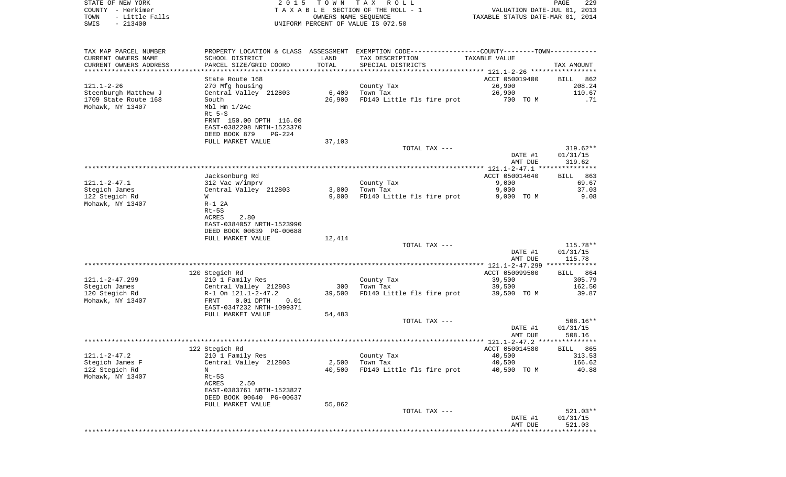| STATE OF NEW YORK<br>COUNTY - Herkimer<br>- Little Falls<br>TOWN<br>SWIS<br>$-213400$ | 2 0 1 5                                                                                                  | T O W N       | TAX ROLL<br>TAXABLE SECTION OF THE ROLL - 1<br>OWNERS NAME SEQUENCE<br>UNIFORM PERCENT OF VALUE IS 072.50                             | VALUATION DATE-JUL 01, 2013<br>TAXABLE STATUS DATE-MAR 01, 2014 | PAGE<br>229                                   |
|---------------------------------------------------------------------------------------|----------------------------------------------------------------------------------------------------------|---------------|---------------------------------------------------------------------------------------------------------------------------------------|-----------------------------------------------------------------|-----------------------------------------------|
| TAX MAP PARCEL NUMBER<br>CURRENT OWNERS NAME<br>CURRENT OWNERS ADDRESS                | SCHOOL DISTRICT<br>PARCEL SIZE/GRID COORD                                                                | LAND<br>TOTAL | PROPERTY LOCATION & CLASS ASSESSMENT EXEMPTION CODE---------------COUNTY-------TOWN----------<br>TAX DESCRIPTION<br>SPECIAL DISTRICTS | TAXABLE VALUE                                                   | TAX AMOUNT                                    |
| *************************                                                             |                                                                                                          |               |                                                                                                                                       |                                                                 |                                               |
|                                                                                       | State Route 168                                                                                          |               |                                                                                                                                       | ACCT 050019400                                                  | <b>BILL</b><br>862                            |
| $121.1 - 2 - 26$<br>Steenburgh Matthew J<br>1709 State Route 168<br>Mohawk, NY 13407  | 270 Mfg housing<br>Central Valley 212803<br>South<br>Mbl Hm 1/2Ac<br>$Rt$ 5-S<br>FRNT 150.00 DPTH 116.00 | 26,900        | County Tax<br>$6.400$ Town Tax<br>FD140 Little fls fire prot                                                                          | 26,900<br>26,900<br>700 TO M                                    | 208.24<br>110.67<br>.71                       |
|                                                                                       | EAST-0382208 NRTH-1523370<br>DEED BOOK 879<br>PG-224                                                     |               |                                                                                                                                       |                                                                 |                                               |
|                                                                                       | FULL MARKET VALUE                                                                                        | 37,103        |                                                                                                                                       |                                                                 |                                               |
|                                                                                       |                                                                                                          |               | TOTAL TAX ---                                                                                                                         | DATE #1<br>AMT DUE                                              | $319.62**$<br>01/31/15<br>319.62              |
|                                                                                       |                                                                                                          |               |                                                                                                                                       |                                                                 |                                               |
| $121.1 - 2 - 47.1$<br>Stegich James                                                   | Jacksonburg Rd<br>312 Vac w/imprv<br>Central Valley 212803                                               | 3,000         | County Tax<br>Town Tax                                                                                                                | ACCT 050014640<br>9,000<br>9,000                                | 863<br>BILL<br>69.67<br>37.03                 |
| 122 Stegich Rd<br>Mohawk, NY 13407                                                    | W<br>$R-1$ 2A<br>$Rt-5S$<br>ACRES<br>2.80                                                                | 9,000         | FD140 Little fls fire prot                                                                                                            | 9,000 TO M                                                      | 9.08                                          |
|                                                                                       | EAST-0384057 NRTH-1523990<br>DEED BOOK 00639 PG-00688<br>FULL MARKET VALUE                               | 12,414        |                                                                                                                                       |                                                                 |                                               |
|                                                                                       |                                                                                                          |               | TOTAL TAX ---                                                                                                                         | DATE #1<br>AMT DUE                                              | 115.78**<br>01/31/15<br>115.78                |
|                                                                                       | 120 Stegich Rd                                                                                           |               |                                                                                                                                       | ************** 121.1-2-47.299 *************<br>ACCT 050099500   | BILL 864                                      |
| $121.1 - 2 - 47.299$<br>Stegich James                                                 | 210 1 Family Res<br>Central Valley 212803                                                                | 300           | County Tax<br>Town Tax                                                                                                                | 39,500<br>39,500                                                | 305.79<br>162.50                              |
| 120 Stegich Rd<br>Mohawk, NY 13407                                                    | R-1 On 121.1-2-47.2<br>FRNT<br>$0.01$ DPTH<br>0.01                                                       | 39,500        | FD140 Little fls fire prot                                                                                                            | 39,500 TO M                                                     | 39.87                                         |
|                                                                                       | EAST-0347232 NRTH-1099371<br>FULL MARKET VALUE                                                           | 54,483        | TOTAL TAX ---                                                                                                                         |                                                                 | $508.16**$                                    |
|                                                                                       |                                                                                                          |               |                                                                                                                                       | DATE #1<br>AMT DUE                                              | 01/31/15<br>508.16                            |
|                                                                                       |                                                                                                          |               |                                                                                                                                       |                                                                 |                                               |
| $121.1 - 2 - 47.2$<br>Stegich James F                                                 | 122 Stegich Rd<br>210 1 Family Res<br>Central Valley 212803                                              | 2,500         | County Tax<br>Town Tax                                                                                                                | ACCT 050014580<br>40,500<br>40,500                              | BILL 865<br>313.53<br>166.62                  |
| 122 Stegich Rd<br>Mohawk, NY 13407                                                    | Ν<br>$Rt-5S$<br>ACRES<br>2.50<br>EAST-0383761 NRTH-1523827<br>DEED BOOK 00640 PG-00637                   | 40,500        | FD140 Little fls fire prot                                                                                                            | 40,500 TO M                                                     | 40.88                                         |
|                                                                                       | FULL MARKET VALUE                                                                                        | 55,862        |                                                                                                                                       |                                                                 |                                               |
|                                                                                       |                                                                                                          |               | TOTAL TAX ---                                                                                                                         | DATE #1<br>AMT DUE                                              | 521.03**<br>01/31/15<br>521.03<br>*********** |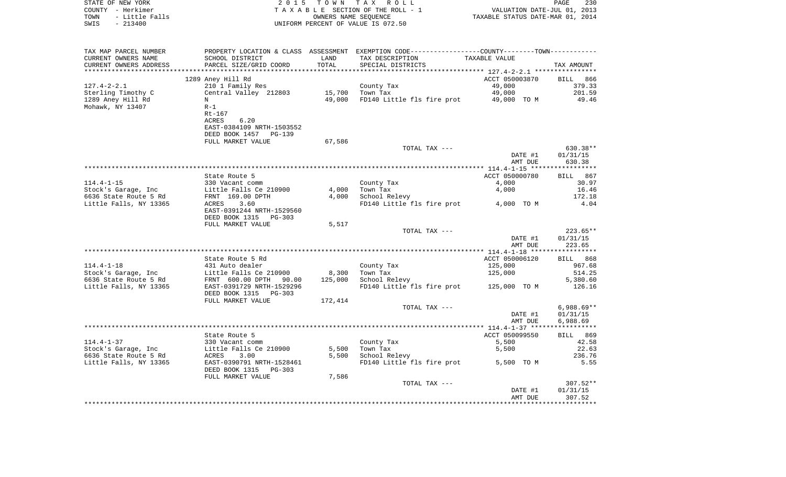| COUNTY - Herkimer<br>TOWN<br>- Little Falls<br>SWIS<br>$-213400$ |                                                                                                        | OWNERS NAME SEQUENCE | TAXABLE SECTION OF THE ROLL - 1<br>UNIFORM PERCENT OF VALUE IS 072.50                                               | VALUATION DATE-JUL 01, 2013<br>TAXABLE STATUS DATE-MAR 01, 2014 |                                      |
|------------------------------------------------------------------|--------------------------------------------------------------------------------------------------------|----------------------|---------------------------------------------------------------------------------------------------------------------|-----------------------------------------------------------------|--------------------------------------|
| TAX MAP PARCEL NUMBER<br>CURRENT OWNERS NAME                     | SCHOOL DISTRICT                                                                                        | LAND                 | PROPERTY LOCATION & CLASS ASSESSMENT EXEMPTION CODE----------------COUNTY--------TOWN-----------<br>TAX DESCRIPTION | TAXABLE VALUE                                                   |                                      |
| CURRENT OWNERS ADDRESS<br>**********************                 | PARCEL SIZE/GRID COORD                                                                                 | TOTAL                | SPECIAL DISTRICTS                                                                                                   |                                                                 | TAX AMOUNT                           |
|                                                                  | 1289 Aney Hill Rd                                                                                      |                      |                                                                                                                     | ACCT 050003870                                                  | BILL 866                             |
| $127.4 - 2 - 2.1$                                                | 210 1 Family Res                                                                                       |                      | County Tax                                                                                                          | 49,000                                                          | 379.33                               |
| Sterling Timothy C                                               | Central Valley 212803                                                                                  | 15,700               | Town Tax                                                                                                            | 49,000                                                          | 201.59                               |
| 1289 Aney Hill Rd<br>Mohawk, NY 13407                            | $\mathbf N$<br>R-1<br>Rt-167<br>ACRES<br>6.20<br>EAST-0384109 NRTH-1503552<br>DEED BOOK 1457<br>PG-139 | 49,000               | FD140 Little fls fire prot                                                                                          | 49,000 TO M                                                     | 49.46                                |
|                                                                  | FULL MARKET VALUE                                                                                      | 67,586               |                                                                                                                     |                                                                 |                                      |
|                                                                  |                                                                                                        |                      | TOTAL TAX ---                                                                                                       | DATE #1<br>AMT DUE                                              | 630.38**<br>01/31/15<br>630.38       |
|                                                                  |                                                                                                        |                      |                                                                                                                     |                                                                 |                                      |
| $114.4 - 1 - 15$                                                 | State Route 5                                                                                          |                      |                                                                                                                     | ACCT 050000780                                                  | BILL 867                             |
| Stock's Garage, Inc                                              | 330 Vacant comm<br>Little Falls Ce 210900                                                              | 4,000                | County Tax<br>Town Tax                                                                                              | 4,000<br>4,000                                                  | 30.97<br>16.46                       |
| 6636 State Route 5 Rd                                            | FRNT 169.00 DPTH                                                                                       | 4,000                | School Relevy                                                                                                       |                                                                 | 172.18                               |
| Little Falls, NY 13365                                           | ACRES<br>3.60<br>EAST-0391244 NRTH-1529560<br>DEED BOOK 1315<br>PG-303                                 |                      | FD140 Little fls fire prot                                                                                          | 4,000 TO M                                                      | 4.04                                 |
|                                                                  | FULL MARKET VALUE                                                                                      | 5,517                | TOTAL TAX ---                                                                                                       |                                                                 | $223.65**$                           |
|                                                                  |                                                                                                        |                      |                                                                                                                     | DATE #1<br>AMT DUE                                              | 01/31/15<br>223.65                   |
|                                                                  |                                                                                                        |                      |                                                                                                                     |                                                                 |                                      |
|                                                                  | State Route 5 Rd                                                                                       |                      |                                                                                                                     | ACCT 050006120                                                  | BILL 868                             |
| 114.4-1-18<br>Stock's Garage, Inc                                | 431 Auto dealer<br>Little Falls Ce 210900                                                              | 8,300                | County Tax<br>Town Tax                                                                                              | 125,000<br>125,000                                              | 967.68<br>514.25                     |
| 6636 State Route 5 Rd                                            | FRNT 600.00 DPTH 90.00                                                                                 | 125,000              | School Relevy                                                                                                       |                                                                 | 5,380.60                             |
| Little Falls, NY 13365                                           | EAST-0391729 NRTH-1529296<br>DEED BOOK 1315 PG-303                                                     |                      | FD140 Little fls fire prot 125,000 TO M                                                                             |                                                                 | 126.16                               |
|                                                                  | FULL MARKET VALUE                                                                                      | 172,414              |                                                                                                                     |                                                                 |                                      |
|                                                                  |                                                                                                        |                      | TOTAL TAX ---                                                                                                       | DATE #1<br>AMT DUE                                              | $6,988.69**$<br>01/31/15<br>6,988.69 |
|                                                                  |                                                                                                        |                      |                                                                                                                     |                                                                 |                                      |
|                                                                  | State Route 5                                                                                          |                      |                                                                                                                     | ACCT 050099550                                                  | BILL 869                             |
| 114.4-1-37                                                       | 330 Vacant comm                                                                                        |                      | County Tax                                                                                                          | 5,500                                                           | 42.58                                |
| Stock's Garage, Inc<br>6636 State Route 5 Rd                     | Little Falls Ce 210900<br>ACRES 3.00                                                                   | 5,500<br>5,500       | Town Tax<br>School Relevy                                                                                           | 5,500                                                           | 22.63<br>236.76                      |
| Little Falls, NY 13365                                           | EAST-0390791 NRTH-1528461<br>DEED BOOK 1315<br>PG-303                                                  |                      | FD140 Little fls fire prot 5,500 TO M                                                                               |                                                                 | 5.55                                 |
|                                                                  | FULL MARKET VALUE                                                                                      | 7,586                |                                                                                                                     |                                                                 |                                      |
|                                                                  |                                                                                                        |                      | TOTAL TAX ---                                                                                                       | DATE #1                                                         | $307.52**$<br>01/31/15               |
|                                                                  |                                                                                                        |                      |                                                                                                                     | AMT DUE                                                         | 307.52<br>* * * * * * * * * * * *    |

STATE OF NEW YORK **EXECUTE:**  $2015$  TOWN TAX ROLL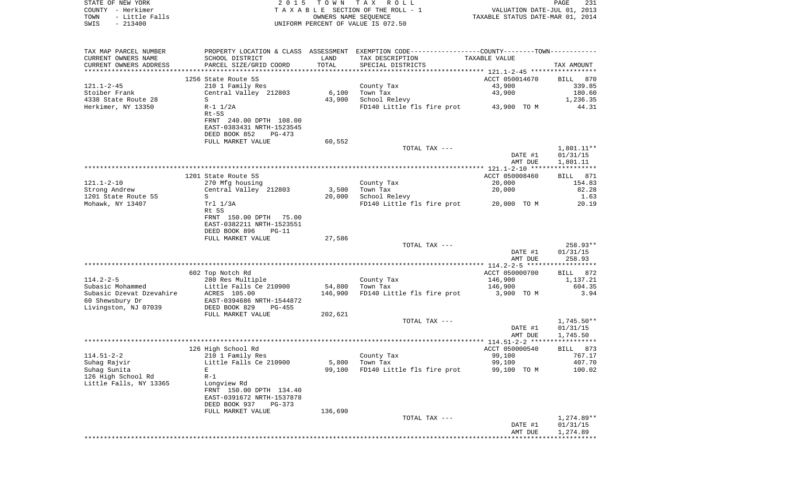|      | STATE OF NEW YORK | 2015 TOWN TAX ROLL                 |                                  | PAGE | 231 |
|------|-------------------|------------------------------------|----------------------------------|------|-----|
|      | COUNTY - Herkimer | TAXABLE SECTION OF THE ROLL - 1    | VALUATION DATE-JUL 01, 2013      |      |     |
| TOWN | - Little Falls    | OWNERS NAME SEOUENCE               | TAXABLE STATUS DATE-MAR 01, 2014 |      |     |
| SWIS | $-213400$         | UNIFORM PERCENT OF VALUE IS 072.50 |                                  |      |     |

| TAX MAP PARCEL NUMBER    |                                                      |         | PROPERTY LOCATION & CLASS ASSESSMENT EXEMPTION CODE----------------COUNTY-------TOWN---------- |                |                    |
|--------------------------|------------------------------------------------------|---------|------------------------------------------------------------------------------------------------|----------------|--------------------|
| CURRENT OWNERS NAME      | SCHOOL DISTRICT                                      | LAND    | TAX DESCRIPTION                                                                                | TAXABLE VALUE  |                    |
| CURRENT OWNERS ADDRESS   | PARCEL SIZE/GRID COORD                               | TOTAL   | SPECIAL DISTRICTS                                                                              |                | TAX AMOUNT         |
|                          |                                                      |         |                                                                                                |                |                    |
|                          | 1256 State Route 5S                                  |         |                                                                                                | ACCT 050014670 | BILL 870           |
| $121.1 - 2 - 45$         | 210 1 Family Res                                     |         | County Tax                                                                                     | 43,900         | 339.85             |
| Stoiber Frank            | Central Valley 212803                                | 6,100   | Town Tax                                                                                       | 43,900         | 180.60             |
| 4338 State Route 28      | S                                                    | 43,900  | School Relevy                                                                                  |                | 1,236.35           |
| Herkimer, NY 13350       | $R-1$ $1/2A$                                         |         | FD140 Little fls fire prot                                                                     | 43,900 TO M    | 44.31              |
|                          | $Rt-5S$                                              |         |                                                                                                |                |                    |
|                          | FRNT 240.00 DPTH 108.00                              |         |                                                                                                |                |                    |
|                          | EAST-0383431 NRTH-1523545                            |         |                                                                                                |                |                    |
|                          | DEED BOOK 852<br>$PG-473$                            |         |                                                                                                |                |                    |
|                          | FULL MARKET VALUE                                    | 60,552  |                                                                                                |                |                    |
|                          |                                                      |         | TOTAL TAX ---                                                                                  |                | 1,801.11**         |
|                          |                                                      |         |                                                                                                | DATE #1        | 01/31/15           |
|                          |                                                      |         |                                                                                                | AMT DUE        | 1,801.11           |
|                          |                                                      |         |                                                                                                |                |                    |
|                          | 1201 State Route 5S                                  |         |                                                                                                | ACCT 050008460 | BILL 871           |
| $121.1 - 2 - 10$         | 270 Mfg housing                                      |         | County Tax                                                                                     | 20,000         | 154.83             |
| Strong Andrew            | Central Valley 212803                                | 3,500   | Town Tax                                                                                       | 20,000         | 82.28              |
| 1201 State Route 5S      | S                                                    | 20,000  | School Relevy                                                                                  |                | 1.63               |
| Mohawk, NY 13407         | Trl 1/3A                                             |         | FD140 Little fls fire prot                                                                     | 20,000 TO M    | 20.19              |
|                          | Rt 5S                                                |         |                                                                                                |                |                    |
|                          | FRNT 150.00 DPTH 75.00                               |         |                                                                                                |                |                    |
|                          | EAST-0382211 NRTH-1523551                            |         |                                                                                                |                |                    |
|                          | DEED BOOK 896<br>$PG-11$                             |         |                                                                                                |                |                    |
|                          | FULL MARKET VALUE                                    | 27,586  |                                                                                                |                |                    |
|                          |                                                      |         | TOTAL TAX ---                                                                                  |                | 258.93**           |
|                          |                                                      |         |                                                                                                | DATE #1        | 01/31/15           |
|                          |                                                      |         |                                                                                                | AMT DUE        | 258.93             |
|                          |                                                      |         |                                                                                                |                |                    |
|                          | 602 Top Notch Rd                                     |         |                                                                                                | ACCT 050000700 | <b>BILL</b><br>872 |
| $114.2 - 2 - 5$          | 280 Res Multiple                                     |         | County Tax                                                                                     | 146,900        | 1,137.21           |
| Subasic Mohammed         | Little Falls Ce 210900                               | 54,800  | Town Tax                                                                                       | 146,900        | 604.35             |
| Subasic Dzevat Dzevahire | ACRES 105.00                                         | 146,900 | FD140 Little fls fire prot                                                                     | 3,900 TO M     | 3.94               |
| 60 Shewsbury Dr          | EAST-0394686 NRTH-1544872                            |         |                                                                                                |                |                    |
| Livingston, NJ 07039     | DEED BOOK 829<br>$PG-455$                            |         |                                                                                                |                |                    |
|                          | FULL MARKET VALUE                                    | 202,621 |                                                                                                |                |                    |
|                          |                                                      |         | TOTAL TAX ---                                                                                  |                | $1,745.50**$       |
|                          |                                                      |         |                                                                                                | DATE #1        | 01/31/15           |
|                          |                                                      |         |                                                                                                | AMT DUE        | 1,745.50           |
|                          |                                                      |         |                                                                                                |                |                    |
|                          | 126 High School Rd                                   |         |                                                                                                | ACCT 050000540 | BILL 873           |
| $114.51 - 2 - 2$         | 210 1 Family Res                                     |         | County Tax                                                                                     | 99,100         | 767.17             |
| Suhag Rajvir             | Little Falls Ce 210900                               | 5,800   | Town Tax                                                                                       | 99,100         | 407.70             |
| Suhaq Sunita             | E                                                    | 99,100  | FD140 Little fls fire prot                                                                     | 99,100 TO M    | 100.02             |
| 126 High School Rd       | $R-1$                                                |         |                                                                                                |                |                    |
| Little Falls, NY 13365   | Longview Rd                                          |         |                                                                                                |                |                    |
|                          | FRNT 150.00 DPTH 134.40<br>EAST-0391672 NRTH-1537878 |         |                                                                                                |                |                    |
|                          | DEED BOOK 937<br>PG-373                              |         |                                                                                                |                |                    |
|                          |                                                      |         |                                                                                                |                |                    |
|                          | FULL MARKET VALUE                                    | 136,690 | TOTAL TAX ---                                                                                  |                | 1,274.89**         |
|                          |                                                      |         |                                                                                                | DATE #1        | 01/31/15           |
|                          |                                                      |         |                                                                                                | AMT DUE        | 1,274.89           |
|                          |                                                      |         |                                                                                                |                |                    |
|                          |                                                      |         |                                                                                                |                |                    |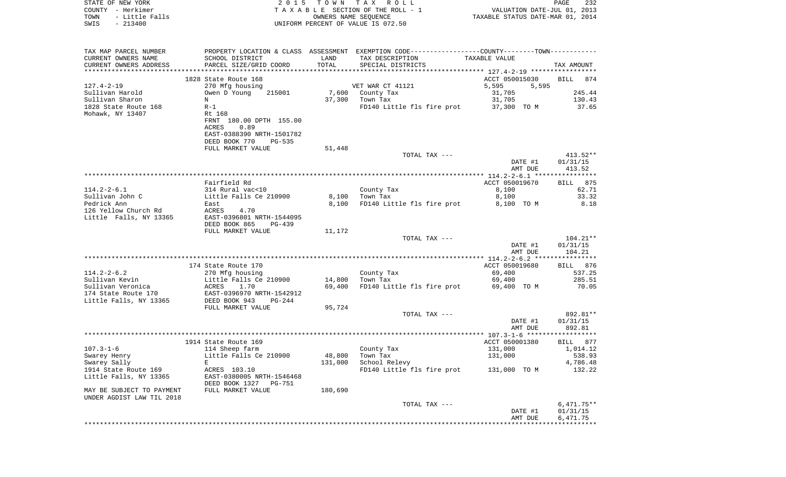| TAXABLE SECTION OF THE ROLL - 1<br>COUNTY - Herkimer<br>VALUATION DATE-JUL 01, 2013<br>- Little Falls<br>OWNERS NAME SEQUENCE<br>TOWN<br>TAXABLE STATUS DATE-MAR 01, 2014<br>$-213400$<br>UNIFORM PERCENT OF VALUE IS 072.50<br>SWIS<br>PROPERTY LOCATION & CLASS ASSESSMENT EXEMPTION CODE----------------COUNTY-------TOWN----------<br>TAX MAP PARCEL NUMBER<br>CURRENT OWNERS NAME<br>SCHOOL DISTRICT<br>LAND<br>TAX DESCRIPTION<br>TAXABLE VALUE<br>TOTAL<br>CURRENT OWNERS ADDRESS<br>PARCEL SIZE/GRID COORD<br>SPECIAL DISTRICTS<br>TAX AMOUNT<br>ACCT 050015030<br>1828 State Route 168<br><b>BILL</b><br>874<br>$127.4 - 2 - 19$<br>270 Mfg housing<br>VET WAR CT 41121<br>5,595<br>5,595<br>31,705<br>245.44<br>Sullivan Harold<br>Owen D Young<br>215001<br>7,600<br>County Tax<br>Sullivan Sharon<br>130.43<br>N<br>37,300<br>Town Tax<br>31,705<br>1828 State Route 168<br>$R-1$<br>37,300 TO M<br>37.65<br>FD140 Little fls fire prot<br>Rt 168<br>Mohawk, NY 13407<br>FRNT 180.00 DPTH 155.00<br>ACRES<br>0.89<br>EAST-0388390 NRTH-1501782<br>DEED BOOK 770<br>PG-535<br>FULL MARKET VALUE<br>51,448<br>TOTAL TAX ---<br>$413.52**$<br>DATE #1<br>01/31/15<br>413.52<br>AMT DUE<br>Fairfield Rd<br>ACCT 050019670<br>875<br>BILL<br>$114.2 - 2 - 6.1$<br>314 Rural vac<10<br>8,100<br>62.71<br>County Tax<br>Sullivan John C<br>Little Falls Ce 210900<br>8,100<br>33.32<br>8,100<br>Town Tax<br>Pedrick Ann<br>8.18<br>8.100<br>FD140 Little fls fire prot<br>8,100 TO M<br>East<br>126 Yellow Church Rd<br>ACRES<br>4.70<br>Little Falls, NY 13365<br>EAST-0396801 NRTH-1544095<br>DEED BOOK 865<br>PG-439<br>FULL MARKET VALUE<br>11,172<br>TOTAL TAX ---<br>104.21**<br>DATE #1<br>01/31/15<br>AMT DUE<br>104.21<br>ACCT 050019680<br>174 State Route 170<br>BILL 876<br>$114.2 - 2 - 6.2$<br>County Tax<br>69,400<br>537.25<br>270 Mfg housing |
|---------------------------------------------------------------------------------------------------------------------------------------------------------------------------------------------------------------------------------------------------------------------------------------------------------------------------------------------------------------------------------------------------------------------------------------------------------------------------------------------------------------------------------------------------------------------------------------------------------------------------------------------------------------------------------------------------------------------------------------------------------------------------------------------------------------------------------------------------------------------------------------------------------------------------------------------------------------------------------------------------------------------------------------------------------------------------------------------------------------------------------------------------------------------------------------------------------------------------------------------------------------------------------------------------------------------------------------------------------------------------------------------------------------------------------------------------------------------------------------------------------------------------------------------------------------------------------------------------------------------------------------------------------------------------------------------------------------------------------------------------------------------------------------------------------------------------------------------------------------------|
|                                                                                                                                                                                                                                                                                                                                                                                                                                                                                                                                                                                                                                                                                                                                                                                                                                                                                                                                                                                                                                                                                                                                                                                                                                                                                                                                                                                                                                                                                                                                                                                                                                                                                                                                                                                                                                                                     |
|                                                                                                                                                                                                                                                                                                                                                                                                                                                                                                                                                                                                                                                                                                                                                                                                                                                                                                                                                                                                                                                                                                                                                                                                                                                                                                                                                                                                                                                                                                                                                                                                                                                                                                                                                                                                                                                                     |
|                                                                                                                                                                                                                                                                                                                                                                                                                                                                                                                                                                                                                                                                                                                                                                                                                                                                                                                                                                                                                                                                                                                                                                                                                                                                                                                                                                                                                                                                                                                                                                                                                                                                                                                                                                                                                                                                     |
|                                                                                                                                                                                                                                                                                                                                                                                                                                                                                                                                                                                                                                                                                                                                                                                                                                                                                                                                                                                                                                                                                                                                                                                                                                                                                                                                                                                                                                                                                                                                                                                                                                                                                                                                                                                                                                                                     |
|                                                                                                                                                                                                                                                                                                                                                                                                                                                                                                                                                                                                                                                                                                                                                                                                                                                                                                                                                                                                                                                                                                                                                                                                                                                                                                                                                                                                                                                                                                                                                                                                                                                                                                                                                                                                                                                                     |
|                                                                                                                                                                                                                                                                                                                                                                                                                                                                                                                                                                                                                                                                                                                                                                                                                                                                                                                                                                                                                                                                                                                                                                                                                                                                                                                                                                                                                                                                                                                                                                                                                                                                                                                                                                                                                                                                     |
|                                                                                                                                                                                                                                                                                                                                                                                                                                                                                                                                                                                                                                                                                                                                                                                                                                                                                                                                                                                                                                                                                                                                                                                                                                                                                                                                                                                                                                                                                                                                                                                                                                                                                                                                                                                                                                                                     |
|                                                                                                                                                                                                                                                                                                                                                                                                                                                                                                                                                                                                                                                                                                                                                                                                                                                                                                                                                                                                                                                                                                                                                                                                                                                                                                                                                                                                                                                                                                                                                                                                                                                                                                                                                                                                                                                                     |
|                                                                                                                                                                                                                                                                                                                                                                                                                                                                                                                                                                                                                                                                                                                                                                                                                                                                                                                                                                                                                                                                                                                                                                                                                                                                                                                                                                                                                                                                                                                                                                                                                                                                                                                                                                                                                                                                     |
|                                                                                                                                                                                                                                                                                                                                                                                                                                                                                                                                                                                                                                                                                                                                                                                                                                                                                                                                                                                                                                                                                                                                                                                                                                                                                                                                                                                                                                                                                                                                                                                                                                                                                                                                                                                                                                                                     |
|                                                                                                                                                                                                                                                                                                                                                                                                                                                                                                                                                                                                                                                                                                                                                                                                                                                                                                                                                                                                                                                                                                                                                                                                                                                                                                                                                                                                                                                                                                                                                                                                                                                                                                                                                                                                                                                                     |
|                                                                                                                                                                                                                                                                                                                                                                                                                                                                                                                                                                                                                                                                                                                                                                                                                                                                                                                                                                                                                                                                                                                                                                                                                                                                                                                                                                                                                                                                                                                                                                                                                                                                                                                                                                                                                                                                     |
|                                                                                                                                                                                                                                                                                                                                                                                                                                                                                                                                                                                                                                                                                                                                                                                                                                                                                                                                                                                                                                                                                                                                                                                                                                                                                                                                                                                                                                                                                                                                                                                                                                                                                                                                                                                                                                                                     |
|                                                                                                                                                                                                                                                                                                                                                                                                                                                                                                                                                                                                                                                                                                                                                                                                                                                                                                                                                                                                                                                                                                                                                                                                                                                                                                                                                                                                                                                                                                                                                                                                                                                                                                                                                                                                                                                                     |
|                                                                                                                                                                                                                                                                                                                                                                                                                                                                                                                                                                                                                                                                                                                                                                                                                                                                                                                                                                                                                                                                                                                                                                                                                                                                                                                                                                                                                                                                                                                                                                                                                                                                                                                                                                                                                                                                     |
|                                                                                                                                                                                                                                                                                                                                                                                                                                                                                                                                                                                                                                                                                                                                                                                                                                                                                                                                                                                                                                                                                                                                                                                                                                                                                                                                                                                                                                                                                                                                                                                                                                                                                                                                                                                                                                                                     |
|                                                                                                                                                                                                                                                                                                                                                                                                                                                                                                                                                                                                                                                                                                                                                                                                                                                                                                                                                                                                                                                                                                                                                                                                                                                                                                                                                                                                                                                                                                                                                                                                                                                                                                                                                                                                                                                                     |
|                                                                                                                                                                                                                                                                                                                                                                                                                                                                                                                                                                                                                                                                                                                                                                                                                                                                                                                                                                                                                                                                                                                                                                                                                                                                                                                                                                                                                                                                                                                                                                                                                                                                                                                                                                                                                                                                     |
|                                                                                                                                                                                                                                                                                                                                                                                                                                                                                                                                                                                                                                                                                                                                                                                                                                                                                                                                                                                                                                                                                                                                                                                                                                                                                                                                                                                                                                                                                                                                                                                                                                                                                                                                                                                                                                                                     |
|                                                                                                                                                                                                                                                                                                                                                                                                                                                                                                                                                                                                                                                                                                                                                                                                                                                                                                                                                                                                                                                                                                                                                                                                                                                                                                                                                                                                                                                                                                                                                                                                                                                                                                                                                                                                                                                                     |
|                                                                                                                                                                                                                                                                                                                                                                                                                                                                                                                                                                                                                                                                                                                                                                                                                                                                                                                                                                                                                                                                                                                                                                                                                                                                                                                                                                                                                                                                                                                                                                                                                                                                                                                                                                                                                                                                     |
|                                                                                                                                                                                                                                                                                                                                                                                                                                                                                                                                                                                                                                                                                                                                                                                                                                                                                                                                                                                                                                                                                                                                                                                                                                                                                                                                                                                                                                                                                                                                                                                                                                                                                                                                                                                                                                                                     |
|                                                                                                                                                                                                                                                                                                                                                                                                                                                                                                                                                                                                                                                                                                                                                                                                                                                                                                                                                                                                                                                                                                                                                                                                                                                                                                                                                                                                                                                                                                                                                                                                                                                                                                                                                                                                                                                                     |
|                                                                                                                                                                                                                                                                                                                                                                                                                                                                                                                                                                                                                                                                                                                                                                                                                                                                                                                                                                                                                                                                                                                                                                                                                                                                                                                                                                                                                                                                                                                                                                                                                                                                                                                                                                                                                                                                     |
|                                                                                                                                                                                                                                                                                                                                                                                                                                                                                                                                                                                                                                                                                                                                                                                                                                                                                                                                                                                                                                                                                                                                                                                                                                                                                                                                                                                                                                                                                                                                                                                                                                                                                                                                                                                                                                                                     |
|                                                                                                                                                                                                                                                                                                                                                                                                                                                                                                                                                                                                                                                                                                                                                                                                                                                                                                                                                                                                                                                                                                                                                                                                                                                                                                                                                                                                                                                                                                                                                                                                                                                                                                                                                                                                                                                                     |
|                                                                                                                                                                                                                                                                                                                                                                                                                                                                                                                                                                                                                                                                                                                                                                                                                                                                                                                                                                                                                                                                                                                                                                                                                                                                                                                                                                                                                                                                                                                                                                                                                                                                                                                                                                                                                                                                     |
|                                                                                                                                                                                                                                                                                                                                                                                                                                                                                                                                                                                                                                                                                                                                                                                                                                                                                                                                                                                                                                                                                                                                                                                                                                                                                                                                                                                                                                                                                                                                                                                                                                                                                                                                                                                                                                                                     |
|                                                                                                                                                                                                                                                                                                                                                                                                                                                                                                                                                                                                                                                                                                                                                                                                                                                                                                                                                                                                                                                                                                                                                                                                                                                                                                                                                                                                                                                                                                                                                                                                                                                                                                                                                                                                                                                                     |
|                                                                                                                                                                                                                                                                                                                                                                                                                                                                                                                                                                                                                                                                                                                                                                                                                                                                                                                                                                                                                                                                                                                                                                                                                                                                                                                                                                                                                                                                                                                                                                                                                                                                                                                                                                                                                                                                     |
|                                                                                                                                                                                                                                                                                                                                                                                                                                                                                                                                                                                                                                                                                                                                                                                                                                                                                                                                                                                                                                                                                                                                                                                                                                                                                                                                                                                                                                                                                                                                                                                                                                                                                                                                                                                                                                                                     |
| Sullivan Kevin<br>Little Falls Ce 210900<br>14,800<br>69,400<br>285.51<br>Town Tax                                                                                                                                                                                                                                                                                                                                                                                                                                                                                                                                                                                                                                                                                                                                                                                                                                                                                                                                                                                                                                                                                                                                                                                                                                                                                                                                                                                                                                                                                                                                                                                                                                                                                                                                                                                  |
| Sullivan Veronica<br>ACRES<br>1.70<br>69,400<br>FD140 Little fls fire prot<br>70.05<br>69,400 TO M                                                                                                                                                                                                                                                                                                                                                                                                                                                                                                                                                                                                                                                                                                                                                                                                                                                                                                                                                                                                                                                                                                                                                                                                                                                                                                                                                                                                                                                                                                                                                                                                                                                                                                                                                                  |
| EAST-0396970 NRTH-1542912<br>174 State Route 170                                                                                                                                                                                                                                                                                                                                                                                                                                                                                                                                                                                                                                                                                                                                                                                                                                                                                                                                                                                                                                                                                                                                                                                                                                                                                                                                                                                                                                                                                                                                                                                                                                                                                                                                                                                                                    |
| DEED BOOK 943<br>Little Falls, NY 13365<br>PG-244                                                                                                                                                                                                                                                                                                                                                                                                                                                                                                                                                                                                                                                                                                                                                                                                                                                                                                                                                                                                                                                                                                                                                                                                                                                                                                                                                                                                                                                                                                                                                                                                                                                                                                                                                                                                                   |
| FULL MARKET VALUE<br>95,724<br>TOTAL TAX ---<br>892.81**                                                                                                                                                                                                                                                                                                                                                                                                                                                                                                                                                                                                                                                                                                                                                                                                                                                                                                                                                                                                                                                                                                                                                                                                                                                                                                                                                                                                                                                                                                                                                                                                                                                                                                                                                                                                            |
| DATE #1<br>01/31/15                                                                                                                                                                                                                                                                                                                                                                                                                                                                                                                                                                                                                                                                                                                                                                                                                                                                                                                                                                                                                                                                                                                                                                                                                                                                                                                                                                                                                                                                                                                                                                                                                                                                                                                                                                                                                                                 |
| 892.81<br>AMT DUE                                                                                                                                                                                                                                                                                                                                                                                                                                                                                                                                                                                                                                                                                                                                                                                                                                                                                                                                                                                                                                                                                                                                                                                                                                                                                                                                                                                                                                                                                                                                                                                                                                                                                                                                                                                                                                                   |
|                                                                                                                                                                                                                                                                                                                                                                                                                                                                                                                                                                                                                                                                                                                                                                                                                                                                                                                                                                                                                                                                                                                                                                                                                                                                                                                                                                                                                                                                                                                                                                                                                                                                                                                                                                                                                                                                     |
| ACCT 050001380<br>1914 State Route 169<br>BILL 877                                                                                                                                                                                                                                                                                                                                                                                                                                                                                                                                                                                                                                                                                                                                                                                                                                                                                                                                                                                                                                                                                                                                                                                                                                                                                                                                                                                                                                                                                                                                                                                                                                                                                                                                                                                                                  |
| $107.3 - 1 - 6$<br>114 Sheep farm<br>County Tax<br>131,000<br>1,014.12<br>Little Falls Ce 210900<br>48,800<br>538.93<br>Town Tax<br>131,000<br>Swarey Henry                                                                                                                                                                                                                                                                                                                                                                                                                                                                                                                                                                                                                                                                                                                                                                                                                                                                                                                                                                                                                                                                                                                                                                                                                                                                                                                                                                                                                                                                                                                                                                                                                                                                                                         |
| 4,786.48<br>Swarey Sally<br>131,000<br>School Relevy<br>Е                                                                                                                                                                                                                                                                                                                                                                                                                                                                                                                                                                                                                                                                                                                                                                                                                                                                                                                                                                                                                                                                                                                                                                                                                                                                                                                                                                                                                                                                                                                                                                                                                                                                                                                                                                                                           |
| 132.22<br>1914 State Route 169<br>ACRES 103.10<br>FD140 Little fls fire prot<br>131,000 TO M                                                                                                                                                                                                                                                                                                                                                                                                                                                                                                                                                                                                                                                                                                                                                                                                                                                                                                                                                                                                                                                                                                                                                                                                                                                                                                                                                                                                                                                                                                                                                                                                                                                                                                                                                                        |
| Little Falls, NY 13365<br>EAST-0380005 NRTH-1546468                                                                                                                                                                                                                                                                                                                                                                                                                                                                                                                                                                                                                                                                                                                                                                                                                                                                                                                                                                                                                                                                                                                                                                                                                                                                                                                                                                                                                                                                                                                                                                                                                                                                                                                                                                                                                 |
| DEED BOOK 1327 PG-751<br>MAY BE SUBJECT TO PAYMENT<br>FULL MARKET VALUE<br>180,690                                                                                                                                                                                                                                                                                                                                                                                                                                                                                                                                                                                                                                                                                                                                                                                                                                                                                                                                                                                                                                                                                                                                                                                                                                                                                                                                                                                                                                                                                                                                                                                                                                                                                                                                                                                  |
| UNDER AGDIST LAW TIL 2018                                                                                                                                                                                                                                                                                                                                                                                                                                                                                                                                                                                                                                                                                                                                                                                                                                                                                                                                                                                                                                                                                                                                                                                                                                                                                                                                                                                                                                                                                                                                                                                                                                                                                                                                                                                                                                           |
| $6,471.75**$<br>TOTAL TAX ---                                                                                                                                                                                                                                                                                                                                                                                                                                                                                                                                                                                                                                                                                                                                                                                                                                                                                                                                                                                                                                                                                                                                                                                                                                                                                                                                                                                                                                                                                                                                                                                                                                                                                                                                                                                                                                       |
| 01/31/15                                                                                                                                                                                                                                                                                                                                                                                                                                                                                                                                                                                                                                                                                                                                                                                                                                                                                                                                                                                                                                                                                                                                                                                                                                                                                                                                                                                                                                                                                                                                                                                                                                                                                                                                                                                                                                                            |

AMT DUE 6,471.75 \*\*\*\*\*\*\*\*\*\*\*\*\*\*\*\*\*\*\*\*\*\*\*\*\*\*\*\*\*\*\*\*\*\*\*\*\*\*\*\*\*\*\*\*\*\*\*\*\*\*\*\*\*\*\*\*\*\*\*\*\*\*\*\*\*\*\*\*\*\*\*\*\*\*\*\*\*\*\*\*\*\*\*\*\*\*\*\*\*\*\*\*\*\*\*\*\*\*\*\*\*\*\*\*\*\*\*\*\*\*\*\*\*\*\*\*\*\*\*\*\*\*\*\*\*\*\*\*\*\*\*\*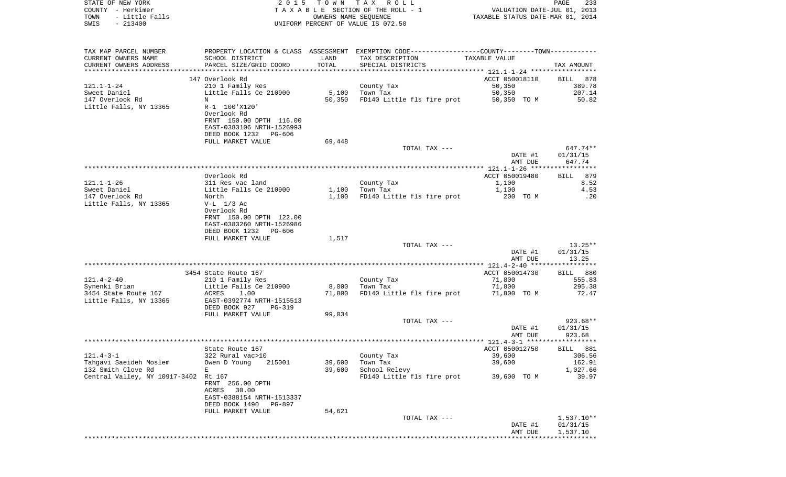| STATE OF NEW YORK                         | 2 0 1 5                                    | TOWN TAX | ROLL                                                                                          |                                  | 233<br>PAGE        |
|-------------------------------------------|--------------------------------------------|----------|-----------------------------------------------------------------------------------------------|----------------------------------|--------------------|
| COUNTY - Herkimer                         |                                            |          | TAXABLE SECTION OF THE ROLL - 1                                                               | VALUATION DATE-JUL 01, 2013      |                    |
| TOWN<br>- Little Falls                    |                                            |          | OWNERS NAME SEQUENCE                                                                          | TAXABLE STATUS DATE-MAR 01, 2014 |                    |
| $-213400$<br>SWIS                         |                                            |          | UNIFORM PERCENT OF VALUE IS 072.50                                                            |                                  |                    |
|                                           |                                            |          |                                                                                               |                                  |                    |
|                                           |                                            |          |                                                                                               |                                  |                    |
| TAX MAP PARCEL NUMBER                     |                                            |          | PROPERTY LOCATION & CLASS ASSESSMENT EXEMPTION CODE---------------COUNTY-------TOWN---------- |                                  |                    |
| CURRENT OWNERS NAME                       | SCHOOL DISTRICT                            | LAND     | TAX DESCRIPTION                                                                               | TAXABLE VALUE                    |                    |
| CURRENT OWNERS ADDRESS                    | PARCEL SIZE/GRID COORD                     | TOTAL    | SPECIAL DISTRICTS                                                                             |                                  | TAX AMOUNT         |
|                                           |                                            |          |                                                                                               |                                  |                    |
|                                           | 147 Overlook Rd                            |          |                                                                                               | ACCT 050018110                   | BILL<br>878        |
| 121.1-1-24<br>Sweet Daniel                | 210 1 Family Res<br>Little Falls Ce 210900 |          | County Tax                                                                                    | 50,350                           | 389.78<br>207.14   |
|                                           |                                            | 5,100    | Town Tax                                                                                      | 50,350<br>50,350 TO M            | 50.82              |
| 147 Overlook Rd<br>Little Falls, NY 13365 | Ν<br>R-1 100'X120'                         | 50,350   | FD140 Little fls fire prot                                                                    |                                  |                    |
|                                           | Overlook Rd                                |          |                                                                                               |                                  |                    |
|                                           | FRNT 150.00 DPTH 116.00                    |          |                                                                                               |                                  |                    |
|                                           | EAST-0383106 NRTH-1526993                  |          |                                                                                               |                                  |                    |
|                                           | DEED BOOK 1232<br>PG-606                   |          |                                                                                               |                                  |                    |
|                                           | FULL MARKET VALUE                          | 69,448   |                                                                                               |                                  |                    |
|                                           |                                            |          | TOTAL TAX ---                                                                                 |                                  | 647.74**           |
|                                           |                                            |          |                                                                                               | DATE #1                          | 01/31/15           |
|                                           |                                            |          |                                                                                               | AMT DUE                          | 647.74             |
|                                           |                                            |          |                                                                                               |                                  |                    |
|                                           | Overlook Rd                                |          |                                                                                               | ACCT 050019480                   | 879<br>BILL        |
| 121.1-1-26                                | 311 Res vac land                           |          | County Tax                                                                                    | 1,100                            | 8.52               |
| Sweet Daniel                              | Little Falls Ce 210900                     | 1,100    | Town Tax                                                                                      | 1,100                            | 4.53               |
| 147 Overlook Rd                           | North                                      | 1,100    | FD140 Little fls fire prot                                                                    | 200 TO M                         | .20                |
| Little Falls, NY 13365                    | $V-L$ 1/3 Ac                               |          |                                                                                               |                                  |                    |
|                                           | Overlook Rd                                |          |                                                                                               |                                  |                    |
|                                           | FRNT 150.00 DPTH 122.00                    |          |                                                                                               |                                  |                    |
|                                           | EAST-0383260 NRTH-1526986                  |          |                                                                                               |                                  |                    |
|                                           | DEED BOOK 1232<br>PG-606                   |          |                                                                                               |                                  |                    |
|                                           | FULL MARKET VALUE                          | 1,517    |                                                                                               |                                  |                    |
|                                           |                                            |          | TOTAL TAX ---                                                                                 |                                  | $13.25**$          |
|                                           |                                            |          |                                                                                               | DATE #1                          | 01/31/15           |
|                                           |                                            |          |                                                                                               | AMT DUE                          | 13.25              |
|                                           |                                            |          |                                                                                               |                                  |                    |
|                                           | 3454 State Route 167                       |          |                                                                                               | ACCT 050014730                   | BILL 880           |
| 121.4-2-40                                | 210 1 Family Res                           |          | County Tax                                                                                    | 71,800                           | 555.83             |
| Synenki Brian                             | Little Falls Ce 210900                     | 8,000    | Town Tax                                                                                      | 71,800                           | 295.38             |
| 3454 State Route 167                      | 1.00<br>ACRES                              | 71,800   | FD140 Little fls fire prot                                                                    | 71,800 TO M                      | 72.47              |
| Little Falls, NY 13365                    | EAST-0392774 NRTH-1515513                  |          |                                                                                               |                                  |                    |
|                                           | DEED BOOK 927<br>PG-319                    |          |                                                                                               |                                  |                    |
|                                           | FULL MARKET VALUE                          | 99,034   |                                                                                               |                                  |                    |
|                                           |                                            |          | TOTAL TAX ---                                                                                 |                                  | 923.68**           |
|                                           |                                            |          |                                                                                               | DATE #1<br>AMT DUE               | 01/31/15<br>923.68 |
|                                           |                                            |          |                                                                                               |                                  |                    |
|                                           | State Route 167                            |          |                                                                                               | ACCT 050012750                   |                    |
| 121.4-3-1                                 | 322 Rural vac>10                           |          | County Tax                                                                                    | 39,600                           | BILL 881<br>306.56 |
| Tahqavi Saeideh Moslem                    | Owen D Young<br>215001                     | 39,600   | Town Tax                                                                                      | 39,600                           | 162.91             |
| 132 Smith Clove Rd                        | E                                          | 39,600   | School Relevy                                                                                 |                                  | 1,027.66           |
| Central Valley, NY 10917-3402             | Rt 167                                     |          | FD140 Little fls fire prot                                                                    | 39,600 TO M                      | 39.97              |
|                                           | FRNT 256.00 DPTH                           |          |                                                                                               |                                  |                    |
|                                           | 30.00<br>ACRES                             |          |                                                                                               |                                  |                    |
|                                           | EAST-0388154 NRTH-1513337                  |          |                                                                                               |                                  |                    |
|                                           | DEED BOOK 1490<br>PG-897                   |          |                                                                                               |                                  |                    |
|                                           | FULL MARKET VALUE                          | 54,621   |                                                                                               |                                  |                    |
|                                           |                                            |          | TOTAL TAX ---                                                                                 |                                  | $1,537.10**$       |
|                                           |                                            |          |                                                                                               | DATE #1                          | 01/31/15           |
|                                           |                                            |          |                                                                                               | AMT DUE                          | 1,537.10           |
|                                           |                                            |          |                                                                                               |                                  |                    |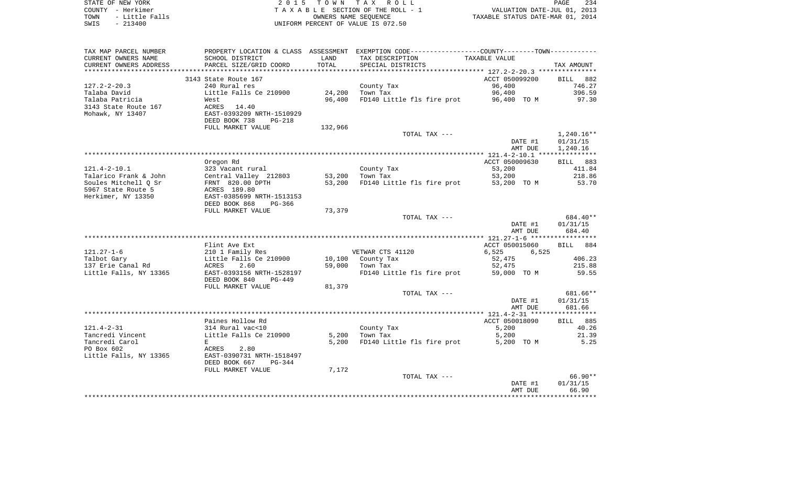|      | STATE OF NEW YORK   | 2015 TOWN TAX ROLL                 | PAGE                             | 234 |
|------|---------------------|------------------------------------|----------------------------------|-----|
|      | COUNTY - Herkimer   | TAXABLE SECTION OF THE ROLL - 1    | VALUATION DATE-JUL 01, 2013      |     |
|      | TOWN - Little Falls | OWNERS NAME SEOUENCE               | TAXABLE STATUS DATE-MAR 01, 2014 |     |
| SWIS | $-213400$           | UNIFORM PERCENT OF VALUE IS 072.50 |                                  |     |

| TAX MAP PARCEL NUMBER  |                                |         | PROPERTY LOCATION & CLASS ASSESSMENT EXEMPTION CODE----------------COUNTY-------TOWN-------- |                |              |
|------------------------|--------------------------------|---------|----------------------------------------------------------------------------------------------|----------------|--------------|
| CURRENT OWNERS NAME    | SCHOOL DISTRICT                | LAND    | TAX DESCRIPTION                                                                              | TAXABLE VALUE  |              |
| CURRENT OWNERS ADDRESS | PARCEL SIZE/GRID COORD         | TOTAL   | SPECIAL DISTRICTS                                                                            |                | TAX AMOUNT   |
|                        |                                |         |                                                                                              |                |              |
|                        | 3143 State Route 167           |         |                                                                                              | ACCT 050099200 | BILL 882     |
| $127.2 - 2 - 20.3$     | 240 Rural res                  |         | County Tax                                                                                   | 96,400         | 746.27       |
| Talaba David           | Little Falls Ce 210900         | 24,200  | Town Tax                                                                                     | 96,400         | 396.59       |
| Talaba Patricia        | West                           | 96,400  | FD140 Little fls fire prot                                                                   | 96,400 TO M    | 97.30        |
| 3143 State Route 167   | 14.40<br>ACRES                 |         |                                                                                              |                |              |
| Mohawk, NY 13407       | EAST-0393209 NRTH-1510929      |         |                                                                                              |                |              |
|                        | DEED BOOK 738<br><b>PG-218</b> |         |                                                                                              |                |              |
|                        | FULL MARKET VALUE              | 132,966 |                                                                                              |                |              |
|                        |                                |         | TOTAL TAX ---                                                                                |                | $1,240.16**$ |
|                        |                                |         |                                                                                              | DATE #1        | 01/31/15     |
|                        |                                |         |                                                                                              | AMT DUE        | 1,240.16     |
|                        |                                |         |                                                                                              |                |              |
|                        | Oregon Rd                      |         |                                                                                              | ACCT 050009630 | BILL 883     |
| $121.4 - 2 - 10.1$     | 323 Vacant rural               |         | County Tax                                                                                   | 53,200         | 411.84       |
| Talarico Frank & John  | Central Valley 212803          | 53,200  | Town Tax                                                                                     | 53,200         | 218.86       |
| Soules Mitchell Q Sr   | FRNT 820.00 DPTH               | 53,200  | FD140 Little fls fire prot                                                                   | 53,200 TO M    | 53.70        |
| 5967 State Route 5     | ACRES 189.80                   |         |                                                                                              |                |              |
| Herkimer, NY 13350     | EAST-0385699 NRTH-1513153      |         |                                                                                              |                |              |
|                        | DEED BOOK 868<br>$PG-366$      |         |                                                                                              |                |              |
|                        | FULL MARKET VALUE              | 73,379  |                                                                                              |                |              |
|                        |                                |         | TOTAL TAX ---                                                                                |                | 684.40**     |
|                        |                                |         |                                                                                              | DATE #1        | 01/31/15     |
|                        |                                |         |                                                                                              | AMT DUE        | 684.40       |
|                        |                                |         |                                                                                              |                |              |
|                        | Flint Ave Ext                  |         |                                                                                              | ACCT 050015060 | 884<br>BILL  |
| $121.27 - 1 - 6$       | 210 1 Family Res               |         | VETWAR CTS 41120                                                                             | 6,525<br>6.525 |              |
| Talbot Gary            | Little Falls Ce 210900         | 10,100  | County Tax                                                                                   | 52,475         | 406.23       |
| 137 Erie Canal Rd      | ACRES<br>2.60                  | 59,000  | Town Tax                                                                                     | 52,475         | 215.88       |
| Little Falls, NY 13365 | EAST-0393156 NRTH-1528197      |         | FD140 Little fls fire prot                                                                   | 59,000 TO M    | 59.55        |
|                        | DEED BOOK 840<br>$PG-449$      |         |                                                                                              |                |              |
|                        | FULL MARKET VALUE              | 81,379  |                                                                                              |                |              |
|                        |                                |         | TOTAL TAX ---                                                                                |                | 681.66**     |
|                        |                                |         |                                                                                              | DATE #1        | 01/31/15     |
|                        |                                |         |                                                                                              | AMT DUE        | 681.66       |
|                        |                                |         |                                                                                              |                |              |
|                        | Paines Hollow Rd               |         |                                                                                              | ACCT 050018090 | BILL 885     |
| $121.4 - 2 - 31$       | 314 Rural vac<10               |         | County Tax                                                                                   | 5,200          | 40.26        |
| Tancredi Vincent       | Little Falls Ce 210900         | 5,200   | Town Tax                                                                                     | 5,200          | 21.39        |
| Tancredi Carol         | E                              | 5,200   | FD140 Little fls fire prot                                                                   | 5,200 TO M     | 5.25         |
| PO Box 602             | ACRES<br>2.80                  |         |                                                                                              |                |              |
| Little Falls, NY 13365 | EAST-0390731 NRTH-1518497      |         |                                                                                              |                |              |
|                        | DEED BOOK 667<br>PG-344        |         |                                                                                              |                |              |
|                        |                                |         |                                                                                              |                |              |
|                        | FULL MARKET VALUE              | 7,172   | TOTAL TAX ---                                                                                |                | $66.90**$    |
|                        |                                |         |                                                                                              |                | 01/31/15     |
|                        |                                |         |                                                                                              | DATE #1        |              |
|                        |                                |         |                                                                                              | AMT DUE        | 66.90        |
|                        |                                |         |                                                                                              |                |              |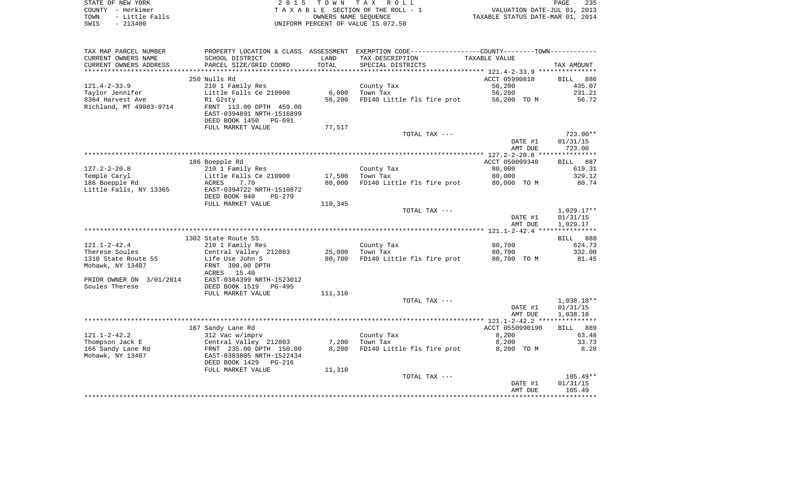| STATE OF NEW YORK      | 2015 TOWN TAX ROLL                 | 235<br>PAGE                      |
|------------------------|------------------------------------|----------------------------------|
| COUNTY - Herkimer      | TAXABLE SECTION OF THE ROLL - 1    | VALUATION DATE-JUL 01, 2013      |
| TOWN<br>- Little Falls | OWNERS NAME SEOUENCE               | TAXABLE STATUS DATE-MAR 01, 2014 |
| $-213400$<br>SWIS      | UNIFORM PERCENT OF VALUE IS 072.50 |                                  |

| TAX MAP PARCEL NUMBER    |                                 |         | PROPERTY LOCATION & CLASS ASSESSMENT EXEMPTION CODE----------------COUNTY--------TOWN----------- |                 |              |
|--------------------------|---------------------------------|---------|--------------------------------------------------------------------------------------------------|-----------------|--------------|
| CURRENT OWNERS NAME      | SCHOOL DISTRICT                 | LAND    | TAX DESCRIPTION                                                                                  | TAXABLE VALUE   |              |
| CURRENT OWNERS ADDRESS   | PARCEL SIZE/GRID COORD          | TOTAL   | SPECIAL DISTRICTS                                                                                |                 | TAX AMOUNT   |
| *********************    |                                 |         |                                                                                                  |                 |              |
|                          | 250 Nulls Rd                    |         |                                                                                                  | ACCT 05990810   | 886<br>BILL  |
| $121.4 - 2 - 33.9$       | 210 1 Family Res                |         | County Tax                                                                                       | 56,200          | 435.07       |
| Taylor Jennifer          | Little Falls Ce 210900          | 6,000   | Town Tax                                                                                         | 56,200          | 231.21       |
| 8364 Harvest Ave         | R1 G2sty                        | 56,200  | FD140 Little fls fire prot                                                                       | 56,200 TO M     | 56.72        |
| Richland, MT 49083-9714  | FRNT 113.00 DPTH 459.00         |         |                                                                                                  |                 |              |
|                          | EAST-0394891 NRTH-1516899       |         |                                                                                                  |                 |              |
|                          | DEED BOOK 1450<br>PG-691        |         |                                                                                                  |                 |              |
|                          | FULL MARKET VALUE               | 77,517  |                                                                                                  |                 |              |
|                          |                                 |         | TOTAL TAX ---                                                                                    |                 | $723.00**$   |
|                          |                                 |         |                                                                                                  | DATE #1         | 01/31/15     |
|                          |                                 |         |                                                                                                  | AMT DUE         | 723.00       |
|                          |                                 |         |                                                                                                  |                 |              |
|                          | 186 Boepple Rd                  |         |                                                                                                  | ACCT 050099340  | BILL 887     |
| $127.2 - 2 - 20.8$       | 210 1 Family Res                |         | County Tax                                                                                       | 80,000          | 619.31       |
| Temple Caryl             | Little Falls Ce 210900          | 17,500  | Town Tax                                                                                         | 80,000          | 329.12       |
| 186 Boepple Rd           | 7.70<br>ACRES                   | 80,000  | FD140 Little fls fire prot                                                                       | 80,000 TO M     | 80.74        |
| Little Falls, NY 13365   | EAST-0394722 NRTH-1510872       |         |                                                                                                  |                 |              |
|                          | DEED BOOK 940<br><b>PG-270</b>  |         |                                                                                                  |                 |              |
|                          | FULL MARKET VALUE               | 110,345 |                                                                                                  |                 |              |
|                          |                                 |         | TOTAL TAX ---                                                                                    |                 | $1,029.17**$ |
|                          |                                 |         |                                                                                                  | DATE #1         | 01/31/15     |
|                          |                                 |         |                                                                                                  | AMT DUE         | 1,029.17     |
|                          |                                 |         |                                                                                                  |                 |              |
|                          | 1302 State Route 5S             |         |                                                                                                  |                 | BILL 888     |
| $121.1 - 2 - 42.4$       | 210 1 Family Res                |         | County Tax                                                                                       | 80,700          | 624.73       |
| Therese Soules           | Central Valley 212803           | 25,000  | Town Tax                                                                                         | 80,700          | 332.00       |
| 1310 State Route 5S      | Life Use John S                 | 80,700  | FD140 Little fls fire prot                                                                       | 80,700 TO M     | 81.45        |
| Mohawk, NY 13407         | FRNT 300.00 DPTH                |         |                                                                                                  |                 |              |
|                          | 15.40<br>ACRES                  |         |                                                                                                  |                 |              |
| PRIOR OWNER ON 3/01/2014 | EAST-0384399 NRTH-1523012       |         |                                                                                                  |                 |              |
| Soules Therese           | DEED BOOK 1519<br>$PG-495$      |         |                                                                                                  |                 |              |
|                          | FULL MARKET VALUE               | 111,310 |                                                                                                  |                 |              |
|                          |                                 |         | TOTAL TAX ---                                                                                    |                 | $1,038.18**$ |
|                          |                                 |         |                                                                                                  | DATE #1         | 01/31/15     |
|                          |                                 |         |                                                                                                  | AMT DUE         | 1,038.18     |
|                          |                                 |         |                                                                                                  |                 |              |
|                          | 167 Sandy Lane Rd               |         |                                                                                                  | ACCT 0550990190 | BILL 889     |
| $121.1 - 2 - 42.2$       | 312 Vac w/imprv                 |         | County Tax                                                                                       | 8,200           | 63.48        |
| Thompson Jack E          | Central Valley 212803           | 7,200   | Town Tax                                                                                         | 8,200           | 33.73        |
| 166 Sandy Lane Rd        | FRNT 235.00 DPTH 150.00         | 8,200   | FD140 Little fls fire prot                                                                       | 8,200 TO M      | 8.28         |
| Mohawk, NY 13407         | EAST-0383805 NRTH-1522434       |         |                                                                                                  |                 |              |
|                          | DEED BOOK 1429<br><b>PG-216</b> |         |                                                                                                  |                 |              |
|                          | FULL MARKET VALUE               | 11,310  |                                                                                                  |                 |              |
|                          |                                 |         | TOTAL TAX ---                                                                                    |                 | $105.49**$   |
|                          |                                 |         |                                                                                                  | DATE #1         | 01/31/15     |
|                          |                                 |         |                                                                                                  | AMT DUE         | 105.49       |
|                          |                                 |         |                                                                                                  |                 |              |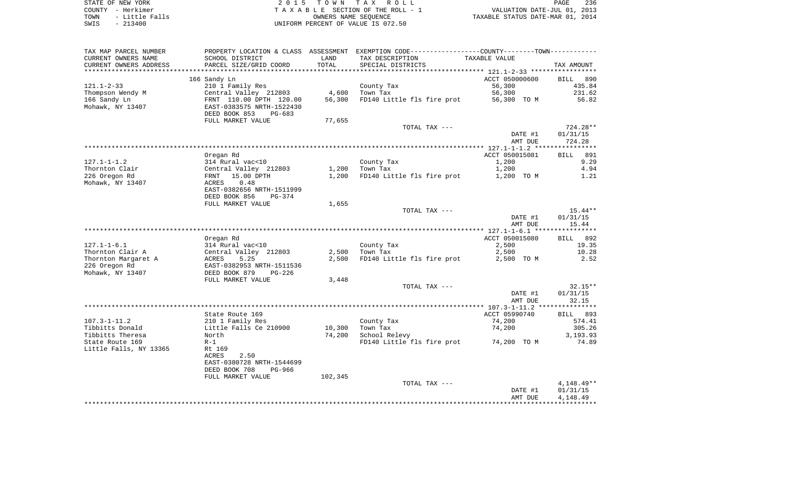| STATE OF NEW YORK      | 2015 TOWN TAX ROLL                 | 236<br>PAGE                      |
|------------------------|------------------------------------|----------------------------------|
| COUNTY - Herkimer      | TAXABLE SECTION OF THE ROLL - 1    | VALUATION DATE-JUL 01, 2013      |
| - Little Falls<br>TOWN | OWNERS NAME SEOUENCE               | TAXABLE STATUS DATE-MAR 01, 2014 |
| - 213400<br>SWIS       | UNIFORM PERCENT OF VALUE IS 072.50 |                                  |

PAGE 236

| TAX MAP PARCEL NUMBER<br>CURRENT OWNERS NAME<br>CURRENT OWNERS ADDRESS                            | PROPERTY LOCATION & CLASS ASSESSMENT<br>SCHOOL DISTRICT<br>PARCEL SIZE/GRID COORD                                                            | LAND<br>TOTAL    | EXEMPTION CODE-----------------COUNTY-------TOWN-----------<br>TAX DESCRIPTION | TAXABLE VALUE                                     |                                                    |
|---------------------------------------------------------------------------------------------------|----------------------------------------------------------------------------------------------------------------------------------------------|------------------|--------------------------------------------------------------------------------|---------------------------------------------------|----------------------------------------------------|
| **********************                                                                            |                                                                                                                                              |                  | SPECIAL DISTRICTS                                                              |                                                   | TAX AMOUNT                                         |
| $121.1 - 2 - 33$<br>Thompson Wendy M<br>166 Sandy Ln<br>Mohawk, NY 13407                          | 166 Sandy Ln<br>210 1 Family Res<br>Central Valley 212803<br>FRNT 110.00 DPTH 120.00<br>EAST-0383575 NRTH-1522430<br>DEED BOOK 853<br>PG-683 | 4,600<br>56,300  | County Tax<br>Town Tax<br>FD140 Little fls fire prot                           | ACCT 050000600<br>56,300<br>56,300<br>56,300 TO M | <b>BILL</b><br>890<br>435.84<br>231.62<br>56.82    |
|                                                                                                   | FULL MARKET VALUE                                                                                                                            | 77,655           |                                                                                |                                                   |                                                    |
|                                                                                                   |                                                                                                                                              |                  | TOTAL TAX ---                                                                  | DATE #1<br>AMT DUE                                | $724.28**$<br>01/31/15<br>724.28                   |
|                                                                                                   |                                                                                                                                              |                  |                                                                                |                                                   |                                                    |
| $127.1 - 1 - 1.2$<br>Thornton Clair<br>226 Oregon Rd<br>Mohawk, NY 13407                          | Oregan Rd<br>314 Rural vac<10<br>Central Valley 212803<br>15.00 DPTH<br>FRNT<br>ACRES<br>0.48<br>EAST-0382656 NRTH-1511999                   | 1,200<br>1,200   | County Tax<br>Town Tax<br>FD140 Little fls fire prot                           | ACCT 050015081<br>1,200<br>1,200<br>1,200 TO M    | 891<br><b>BILL</b><br>9.29<br>4.94<br>1.21         |
|                                                                                                   | DEED BOOK 856<br><b>PG-374</b><br>FULL MARKET VALUE                                                                                          | 1,655            |                                                                                |                                                   |                                                    |
|                                                                                                   |                                                                                                                                              |                  | TOTAL TAX ---                                                                  | DATE #1<br>AMT DUE                                | $15.44**$<br>01/31/15<br>15.44                     |
|                                                                                                   |                                                                                                                                              |                  |                                                                                | ************ 127.1-1-6.1 *****                    | **********                                         |
| $127.1 - 1 - 6.1$<br>Thornton Clair A<br>Thornton Margaret A<br>226 Oregon Rd<br>Mohawk, NY 13407 | Oregan Rd<br>314 Rural vac<10<br>Central Valley 212803<br>5.25<br>ACRES<br>EAST-0382953 NRTH-1511536<br>DEED BOOK 879<br>$PG-226$            | 2,500<br>2,500   | County Tax<br>Town Tax<br>FD140 Little fls fire prot                           | ACCT 050015080<br>2,500<br>2,500<br>2,500 TO M    | BILL 892<br>19.35<br>10.28<br>2.52                 |
|                                                                                                   | FULL MARKET VALUE                                                                                                                            | 3,448            |                                                                                |                                                   |                                                    |
|                                                                                                   |                                                                                                                                              |                  | TOTAL TAX ---                                                                  | DATE #1<br>AMT DUE                                | $32.15**$<br>01/31/15<br>32.15                     |
|                                                                                                   |                                                                                                                                              |                  |                                                                                |                                                   |                                                    |
| $107.3 - 1 - 11.2$<br>Tibbitts Donald<br>Tibbitts Theresa                                         | State Route 169<br>210 1 Family Res<br>Little Falls Ce 210900<br>North                                                                       | 10,300<br>74,200 | County Tax<br>Town Tax<br>School Relevy                                        | ACCT 05990740<br>74,200<br>74,200                 | 893<br><b>BILL</b><br>574.41<br>305.26<br>3,193.93 |
| State Route 169<br>Little Falls, NY 13365                                                         | $R-1$<br>Rt 169<br>ACRES<br>2.50<br>EAST-0380728 NRTH-1544699<br>DEED BOOK 708<br>PG-966<br>FULL MARKET VALUE                                | 102,345          | FD140 Little fls fire prot                                                     | 74,200 TO M                                       | 74.89                                              |
|                                                                                                   |                                                                                                                                              |                  | TOTAL TAX ---                                                                  | DATE #1<br>AMT DUE                                | 4, 148. 49**<br>01/31/15<br>4,148.49               |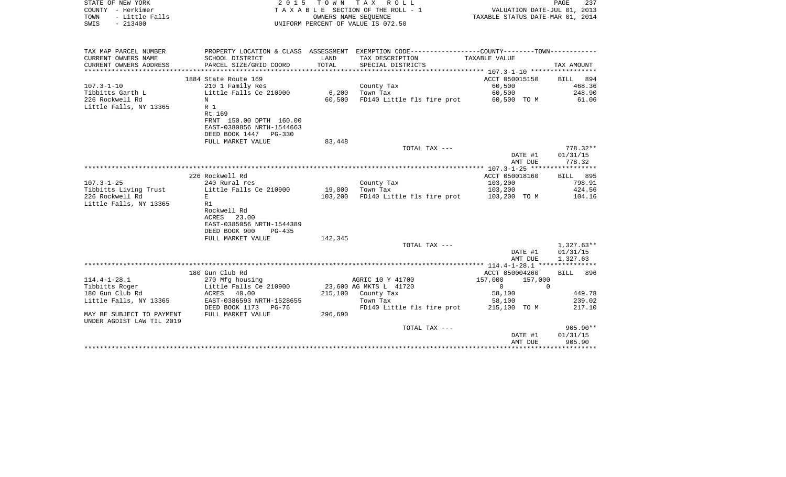| STATE OF NEW YORK<br>COUNTY - Herkimer<br>- Little Falls<br>TOWN<br>$-213400$<br>SWIS | 2 0 1 5                                                                       | OWNERS NAME SEQUENCE | TOWN TAX ROLL<br>TAXABLE SECTION OF THE ROLL - 1<br>UNIFORM PERCENT OF VALUE IS 072.50        | VALUATION DATE-JUL 01, 2013<br>TAXABLE STATUS DATE-MAR 01, 2014 | PAGE<br>237           |
|---------------------------------------------------------------------------------------|-------------------------------------------------------------------------------|----------------------|-----------------------------------------------------------------------------------------------|-----------------------------------------------------------------|-----------------------|
| TAX MAP PARCEL NUMBER                                                                 |                                                                               |                      | PROPERTY LOCATION & CLASS ASSESSMENT EXEMPTION CODE---------------COUNTY-------TOWN---------- |                                                                 |                       |
| CURRENT OWNERS NAME<br>CURRENT OWNERS ADDRESS                                         | SCHOOL DISTRICT<br>PARCEL SIZE/GRID COORD                                     | LAND<br>TOTAL        | TAX DESCRIPTION<br>SPECIAL DISTRICTS                                                          | TAXABLE VALUE                                                   | TAX AMOUNT            |
| *********************                                                                 |                                                                               |                      |                                                                                               |                                                                 |                       |
| $107.3 - 1 - 10$                                                                      | 1884 State Route 169<br>210 1 Family Res                                      |                      |                                                                                               | ACCT 050015150<br>60,500                                        | BILL 894<br>468.36    |
| Tibbitts Garth L                                                                      | Little Falls Ce 210900                                                        | 6,200                | County Tax<br>Town Tax                                                                        | 60,500                                                          | 248.90                |
| 226 Rockwell Rd                                                                       | N                                                                             | 60,500               | FD140 Little fls fire prot                                                                    | 60,500 TO M                                                     | 61.06                 |
| Little Falls, NY 13365                                                                | R 1<br>Rt 169                                                                 |                      |                                                                                               |                                                                 |                       |
|                                                                                       | FRNT 150.00 DPTH 160.00<br>EAST-0380856 NRTH-1544663<br>DEED BOOK 1447 PG-330 |                      |                                                                                               |                                                                 |                       |
|                                                                                       | FULL MARKET VALUE                                                             | 83,448               |                                                                                               |                                                                 |                       |
|                                                                                       |                                                                               |                      | TOTAL TAX ---                                                                                 |                                                                 | $778.32**$            |
|                                                                                       |                                                                               |                      |                                                                                               | DATE #1<br>AMT DUE                                              | 01/31/15<br>778.32    |
|                                                                                       |                                                                               |                      |                                                                                               |                                                                 |                       |
|                                                                                       | 226 Rockwell Rd                                                               |                      |                                                                                               | ACCT 050018160                                                  | BILL 895              |
| $107.3 - 1 - 25$<br>Tibbitts Living Trust                                             | 240 Rural res<br>Little Falls Ce 210900                                       | 19,000               | County Tax<br>Town Tax                                                                        | 103,200<br>103,200                                              | 798.91<br>424.56      |
| 226 Rockwell Rd                                                                       | E                                                                             | 103,200              | FD140 Little fls fire prot                                                                    | 103,200 TO M                                                    | 104.16                |
| Little Falls, NY 13365                                                                | R1                                                                            |                      |                                                                                               |                                                                 |                       |
|                                                                                       | Rockwell Rd                                                                   |                      |                                                                                               |                                                                 |                       |
|                                                                                       | 23.00<br>ACRES                                                                |                      |                                                                                               |                                                                 |                       |
|                                                                                       | EAST-0385056 NRTH-1544389                                                     |                      |                                                                                               |                                                                 |                       |
|                                                                                       | DEED BOOK 900<br>$PG-435$                                                     |                      |                                                                                               |                                                                 |                       |
|                                                                                       | FULL MARKET VALUE                                                             | 142,345              |                                                                                               |                                                                 |                       |
|                                                                                       |                                                                               |                      | TOTAL TAX ---                                                                                 |                                                                 | 1,327.63**            |
|                                                                                       |                                                                               |                      |                                                                                               | DATE #1                                                         | 01/31/15              |
|                                                                                       |                                                                               |                      |                                                                                               | AMT DUE                                                         | 1,327.63              |
|                                                                                       | 180 Gun Club Rd                                                               |                      |                                                                                               | ACCT 050004260                                                  | <b>BILL</b><br>896    |
| $114.4 - 1 - 28.1$                                                                    | 270 Mfg housing                                                               |                      | AGRIC 10 Y 41700                                                                              | 157,000<br>157,000                                              |                       |
| Tibbitts Roger                                                                        | Little Falls Ce 210900                                                        |                      | 23,600 AG MKTS L 41720                                                                        | $\mathbf{0}$                                                    | $\Omega$              |
| 180 Gun Club Rd                                                                       | ACRES 40.00                                                                   |                      | 215,100 County Tax                                                                            | 58,100                                                          | 449.78                |
| Little Falls, NY 13365                                                                | EAST-0386593 NRTH-1528655                                                     |                      | Town Tax                                                                                      | 58,100                                                          | 239.02                |
|                                                                                       | DEED BOOK 1173 PG-76                                                          |                      | FD140 Little fls fire prot 215,100 TO M                                                       |                                                                 | 217.10                |
| MAY BE SUBJECT TO PAYMENT<br>UNDER AGDIST LAW TIL 2019                                | FULL MARKET VALUE                                                             | 296,690              |                                                                                               |                                                                 |                       |
|                                                                                       |                                                                               |                      | TOTAL TAX ---                                                                                 |                                                                 | 905.90**              |
|                                                                                       |                                                                               |                      |                                                                                               | DATE #1                                                         | 01/31/15              |
|                                                                                       |                                                                               |                      |                                                                                               | AMT DUE                                                         | 905.90<br>*********** |
|                                                                                       |                                                                               |                      |                                                                                               |                                                                 |                       |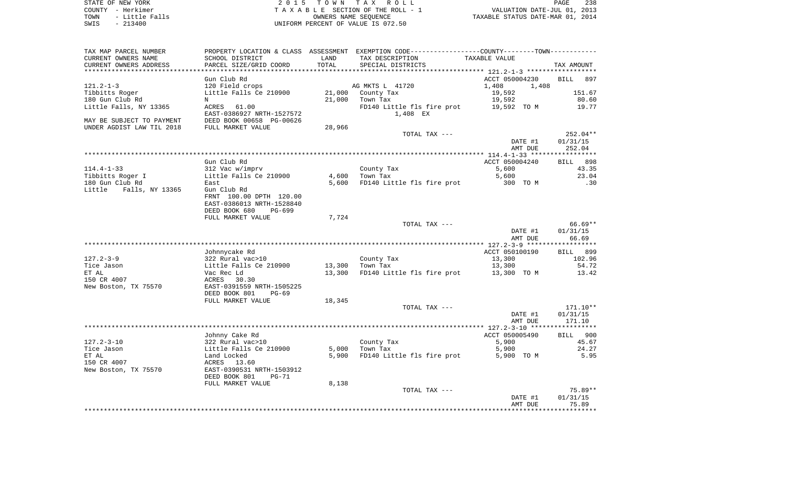| STATE OF NEW YORK      | 2015 TOWN TAX ROLL                 | 238<br>PAGE                      |
|------------------------|------------------------------------|----------------------------------|
| COUNTY - Herkimer      | TAXABLE SECTION OF THE ROLL - 1    | VALUATION DATE-JUL 01, 2013      |
| - Little Falls<br>TOWN | OWNERS NAME SEOUENCE               | TAXABLE STATUS DATE-MAR 01, 2014 |
| $-213400$<br>SWIS      | UNIFORM PERCENT OF VALUE IS 072.50 |                                  |

|  | PAGE.                           | -238 |
|--|---------------------------------|------|
|  | VALUATION DATE-JUL 01, 2013     |      |
|  | AXABLE STATUS DATE-MAR 01, 2014 |      |

| TAX MAP PARCEL NUMBER             |                                           |        | PROPERTY LOCATION & CLASS ASSESSMENT EXEMPTION CODE---------------COUNTY-------TOWN---------- |                  |                    |
|-----------------------------------|-------------------------------------------|--------|-----------------------------------------------------------------------------------------------|------------------|--------------------|
| CURRENT OWNERS NAME               | SCHOOL DISTRICT                           | LAND   | TAX DESCRIPTION                                                                               | TAXABLE VALUE    |                    |
| CURRENT OWNERS ADDRESS            | PARCEL SIZE/GRID COORD                    | TOTAL  | SPECIAL DISTRICTS                                                                             |                  | TAX AMOUNT         |
|                                   |                                           |        |                                                                                               |                  |                    |
|                                   | Gun Club Rd                               |        |                                                                                               | ACCT 050004230   | <b>BILL</b><br>897 |
| $121.2 - 1 - 3$                   | 120 Field crops<br>Little Falls Ce 210900 | 21,000 | AG MKTS L 41720                                                                               | 1,408<br>1,408   |                    |
| Tibbitts Roger<br>180 Gun Club Rd | $_{\rm N}$                                | 21,000 | County Tax                                                                                    | 19,592<br>19,592 | 151.67<br>80.60    |
| Little Falls, NY 13365            | ACRES<br>61.00                            |        | Town Tax<br>FD140 Little fls fire prot                                                        | 19,592 TO M      | 19.77              |
|                                   | EAST-0386927 NRTH-1527572                 |        | 1,408 EX                                                                                      |                  |                    |
| MAY BE SUBJECT TO PAYMENT         | DEED BOOK 00658 PG-00626                  |        |                                                                                               |                  |                    |
| UNDER AGDIST LAW TIL 2018         | FULL MARKET VALUE                         | 28,966 |                                                                                               |                  |                    |
|                                   |                                           |        | TOTAL TAX ---                                                                                 |                  | 252.04**           |
|                                   |                                           |        |                                                                                               | DATE #1          | 01/31/15           |
|                                   |                                           |        |                                                                                               | AMT DUE          | 252.04             |
|                                   |                                           |        |                                                                                               |                  | ***********        |
|                                   | Gun Club Rd                               |        |                                                                                               | ACCT 050004240   | 898<br>BILL        |
| $114.4 - 1 - 33$                  | 312 Vac w/imprv                           |        | County Tax                                                                                    | 5,600            | 43.35              |
| Tibbitts Roger I                  | Little Falls Ce 210900                    | 4,600  | Town Tax                                                                                      | 5,600            | 23.04              |
| 180 Gun Club Rd                   | East                                      | 5,600  | FD140 Little fls fire prot                                                                    | 300 TO M         | .30                |
| Little<br>Falls, NY 13365         | Gun Club Rd                               |        |                                                                                               |                  |                    |
|                                   | FRNT 100.00 DPTH 120.00                   |        |                                                                                               |                  |                    |
|                                   | EAST-0386013 NRTH-1528840                 |        |                                                                                               |                  |                    |
|                                   | DEED BOOK 680<br>PG-699                   |        |                                                                                               |                  |                    |
|                                   | FULL MARKET VALUE                         | 7,724  |                                                                                               |                  |                    |
|                                   |                                           |        | TOTAL TAX ---                                                                                 |                  | $66.69**$          |
|                                   |                                           |        |                                                                                               | DATE #1          | 01/31/15           |
|                                   |                                           |        |                                                                                               | AMT DUE          | 66.69              |
|                                   | Johnnycake Rd                             |        |                                                                                               | ACCT 050100190   | 899<br><b>BILL</b> |
| $127.2 - 3 - 9$                   | 322 Rural vac>10                          |        | County Tax                                                                                    | 13,300           | 102.96             |
| Tice Jason                        | Little Falls Ce 210900                    | 13,300 | Town Tax                                                                                      | 13,300           | 54.72              |
| ET AL                             | Vac Rec Ld                                | 13,300 | FD140 Little fls fire prot                                                                    | 13,300 TO M      | 13.42              |
| 150 CR 4007                       | ACRES 30.30                               |        |                                                                                               |                  |                    |
| New Boston, TX 75570              | EAST-0391559 NRTH-1505225                 |        |                                                                                               |                  |                    |
|                                   | DEED BOOK 801<br>$PG-69$                  |        |                                                                                               |                  |                    |
|                                   | FULL MARKET VALUE                         | 18,345 |                                                                                               |                  |                    |
|                                   |                                           |        | TOTAL TAX ---                                                                                 |                  | 171.10**           |
|                                   |                                           |        |                                                                                               | DATE #1          | 01/31/15           |
|                                   |                                           |        |                                                                                               | AMT DUE          | 171.10             |
|                                   |                                           |        |                                                                                               |                  |                    |
|                                   | Johnny Cake Rd                            |        |                                                                                               | ACCT 050005490   | BILL 900           |
| $127.2 - 3 - 10$                  | 322 Rural vac>10                          |        | County Tax                                                                                    | 5,900            | 45.67              |
| Tice Jason                        | Little Falls Ce 210900                    | 5,000  | Town Tax                                                                                      | 5,900            | 24.27              |
| ET AL<br>150 CR 4007              | Land Locked<br>ACRES<br>13.60             | 5,900  | FD140 Little fls fire prot                                                                    | 5,900 TO M       | 5.95               |
|                                   | EAST-0390531 NRTH-1503912                 |        |                                                                                               |                  |                    |
| New Boston, TX 75570              | DEED BOOK 801<br>$PG-71$                  |        |                                                                                               |                  |                    |
|                                   | FULL MARKET VALUE                         | 8,138  |                                                                                               |                  |                    |
|                                   |                                           |        | TOTAL TAX ---                                                                                 |                  | 75.89**            |
|                                   |                                           |        |                                                                                               | DATE #1          | 01/31/15           |
|                                   |                                           |        |                                                                                               | AMT DUE          | 75.89              |
|                                   |                                           |        |                                                                                               |                  |                    |
|                                   |                                           |        |                                                                                               |                  |                    |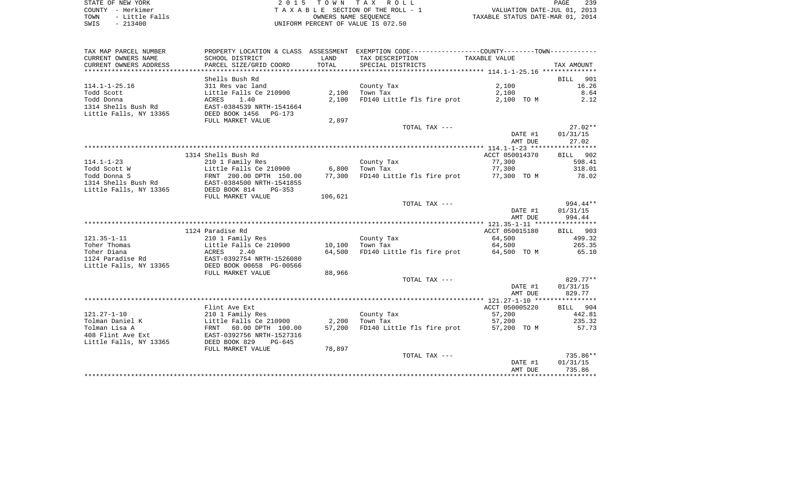| TAX MAP PARCEL NUMBER  | PROPERTY LOCATION & CLASS ASSESSMENT                  |         | EXEMPTION CODE-----------------COUNTY-------TOWN---------- |                          |                    |
|------------------------|-------------------------------------------------------|---------|------------------------------------------------------------|--------------------------|--------------------|
| CURRENT OWNERS NAME    | SCHOOL DISTRICT                                       | LAND    | TAX DESCRIPTION                                            | TAXABLE VALUE            |                    |
| CURRENT OWNERS ADDRESS | PARCEL SIZE/GRID COORD                                | TOTAL   | SPECIAL DISTRICTS                                          |                          | TAX AMOUNT         |
|                        |                                                       |         |                                                            |                          |                    |
|                        | Shells Bush Rd                                        |         |                                                            |                          | 901<br><b>BILL</b> |
| $114.1 - 1 - 25.16$    | 311 Res vac land                                      |         | County Tax                                                 | 2,100                    | 16.26              |
| Todd Scott             | Little Falls Ce 210900                                | 2,100   | Town Tax                                                   | 2,100                    | 8.64               |
| Todd Donna             | ACRES<br>1.40                                         | 2,100   | FD140 Little fls fire prot                                 | 2,100 TO M               | 2.12               |
| 1314 Shells Bush Rd    | EAST-0384539 NRTH-1541664                             |         |                                                            |                          |                    |
| Little Falls, NY 13365 | DEED BOOK 1456 PG-173                                 |         |                                                            |                          |                    |
|                        | FULL MARKET VALUE                                     | 2,897   |                                                            |                          |                    |
|                        |                                                       |         | TOTAL TAX ---                                              |                          | $27.02**$          |
|                        |                                                       |         |                                                            | DATE #1                  | 01/31/15           |
|                        |                                                       |         |                                                            | AMT DUE                  | 27.02              |
|                        |                                                       |         |                                                            |                          |                    |
|                        | 1314 Shells Bush Rd                                   |         |                                                            | ACCT 050014370           | BILL 902           |
| $114.1 - 1 - 23$       | 210 1 Family Res                                      |         | County Tax                                                 | 77,300                   | 598.41             |
| Todd Scott W           | Little Falls Ce 210900                                | 6,800   | Town Tax                                                   | 77,300                   | 318.01             |
| Todd Donna S           | FRNT 200.00 DPTH 150.00                               | 77,300  | FD140 Little fls fire prot                                 | 77,300 TO M              | 78.02              |
| 1314 Shells Bush Rd    | EAST-0384500 NRTH-1541855                             |         |                                                            |                          |                    |
| Little Falls, NY 13365 | DEED BOOK 814                                         |         |                                                            |                          |                    |
|                        | PG-353                                                |         |                                                            |                          |                    |
|                        | FULL MARKET VALUE                                     | 106,621 | TOTAL TAX ---                                              |                          | 994.44**           |
|                        |                                                       |         |                                                            |                          |                    |
|                        |                                                       |         |                                                            | DATE #1                  | 01/31/15<br>994.44 |
|                        |                                                       |         |                                                            | AMT DUE                  |                    |
|                        |                                                       |         |                                                            |                          |                    |
| $121.35 - 1 - 11$      | 1124 Paradise Rd                                      |         |                                                            | ACCT 050015180<br>64,500 | BILL 903<br>499.32 |
| Toher Thomas           | 210 1 Family Res                                      |         | County Tax                                                 | 64,500                   | 265.35             |
|                        | Little Falls Ce 210900                                | 10,100  | Town Tax<br>FD140 Little fls fire prot                     |                          |                    |
| Toher Diana            | ACRES<br>2.40                                         | 64,500  |                                                            | 64,500 TO M              | 65.10              |
| 1124 Paradise Rd       | EAST-0392754 NRTH-1526080<br>DEED BOOK 00658 PG-00566 |         |                                                            |                          |                    |
| Little Falls, NY 13365 |                                                       |         |                                                            |                          |                    |
|                        | FULL MARKET VALUE                                     | 88,966  |                                                            |                          |                    |
|                        |                                                       |         | TOTAL TAX ---                                              |                          | 829.77**           |
|                        |                                                       |         |                                                            | DATE #1<br>AMT DUE       | 01/31/15<br>829.77 |
|                        |                                                       |         |                                                            |                          |                    |
|                        |                                                       |         |                                                            |                          |                    |
| $121.27 - 1 - 10$      | Flint Ave Ext                                         |         |                                                            | ACCT 050005220           | BILL 904           |
|                        | 210 1 Family Res                                      |         | County Tax                                                 | 57,200                   | 442.81             |
| Tolman Daniel K        | Little Falls Ce 210900                                | 2,200   | Town Tax                                                   | 57,200                   | 235.32             |
| Tolman Lisa A          | FRNT 60.00 DPTH 100.00                                | 57,200  | FD140 Little fls fire prot                                 | 57,200 TO M              | 57.73              |
| 408 Flint Ave Ext      | EAST-0392756 NRTH-1527316                             |         |                                                            |                          |                    |
| Little Falls, NY 13365 | DEED BOOK 829<br>$PG-645$                             |         |                                                            |                          |                    |
|                        | FULL MARKET VALUE                                     | 78,897  |                                                            |                          |                    |
|                        |                                                       |         | TOTAL TAX ---                                              |                          | 735.86**           |
|                        |                                                       |         |                                                            | DATE #1                  | 01/31/15           |
|                        |                                                       |         |                                                            | AMT DUE                  | 735.86             |
|                        |                                                       |         |                                                            |                          |                    |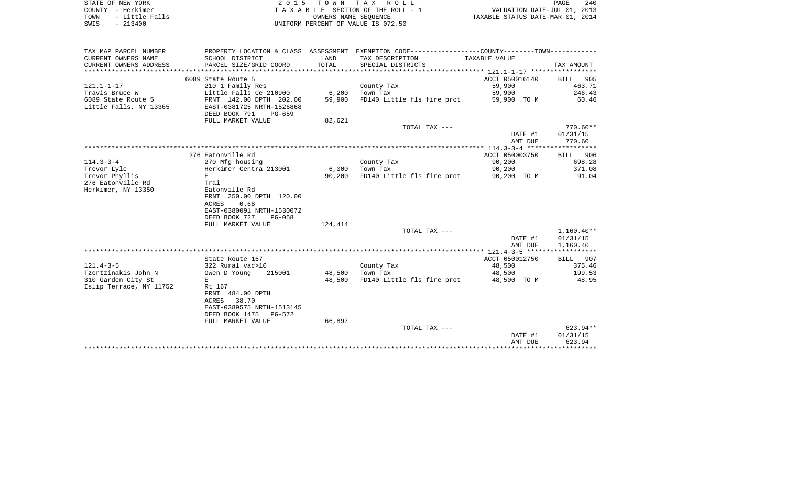| STATE OF NEW YORK      | 2015 TOWN TAX ROLL                 | 240<br>PAGE                      |
|------------------------|------------------------------------|----------------------------------|
| – Herkimer<br>COUNTY   | TAXABLE SECTION OF THE ROLL - 1    | VALUATION DATE-JUL 01, 2013      |
| - Little Falls<br>TOWN | OWNERS NAME SEOUENCE               | TAXABLE STATUS DATE-MAR 01, 2014 |
| $-213400$<br>SWIS      | UNIFORM PERCENT OF VALUE IS 072.50 |                                  |

| TAX MAP PARCEL NUMBER<br>CURRENT OWNERS NAME | PROPERTY LOCATION & CLASS ASSESSMENT<br>SCHOOL DISTRICT | LAND    | EXEMPTION CODE----------------COUNTY-------TOWN-----------<br>TAX DESCRIPTION | TAXABLE VALUE  |              |
|----------------------------------------------|---------------------------------------------------------|---------|-------------------------------------------------------------------------------|----------------|--------------|
| CURRENT OWNERS ADDRESS                       | PARCEL SIZE/GRID COORD                                  | TOTAL   | SPECIAL DISTRICTS                                                             |                | TAX AMOUNT   |
|                                              |                                                         |         |                                                                               |                |              |
|                                              | 6089 State Route 5                                      |         |                                                                               | ACCT 050016140 | BILL 905     |
| $121.1 - 1 - 17$                             | 210 1 Family Res                                        |         | County Tax                                                                    | 59,900         | 463.71       |
| Travis Bruce W                               | Little Falls Ce 210900                                  | 6,200   | Town Tax                                                                      | 59,900         | 246.43       |
| 6089 State Route 5                           | FRNT 142.00 DPTH 202.00                                 | 59,900  | FD140 Little fls fire prot                                                    | 59,900 TO M    | 60.46        |
| Little Falls, NY 13365                       | EAST-0381725 NRTH-1526868<br>DEED BOOK 791<br>PG-659    |         |                                                                               |                |              |
|                                              | FULL MARKET VALUE                                       | 82,621  |                                                                               |                |              |
|                                              |                                                         |         | TOTAL TAX ---                                                                 |                | $770.60**$   |
|                                              |                                                         |         |                                                                               | DATE #1        | 01/31/15     |
|                                              |                                                         |         |                                                                               | AMT DUE        | 770.60       |
|                                              |                                                         |         |                                                                               |                |              |
|                                              | 276 Eatonville Rd                                       |         |                                                                               | ACCT 050003750 | BILL 906     |
| $114.3 - 3 - 4$                              | 270 Mfg housing                                         |         | County Tax                                                                    | 90,200         | 698.28       |
| Trevor Lyle                                  | Herkimer Centra 213001                                  | 6,000   | Town Tax                                                                      | 90,200         | 371.08       |
| Trevor Phyllis<br>276 Eatonville Rd          | E                                                       | 90,200  | FD140 Little fls fire prot                                                    | 90,200 TO M    | 91.04        |
| Herkimer, NY 13350                           | Trai<br>Eatonville Rd                                   |         |                                                                               |                |              |
|                                              | FRNT 250.00 DPTH 120.00                                 |         |                                                                               |                |              |
|                                              | 0.68<br>ACRES                                           |         |                                                                               |                |              |
|                                              | EAST-0380091 NRTH-1530072                               |         |                                                                               |                |              |
|                                              | DEED BOOK 727<br><b>PG-058</b>                          |         |                                                                               |                |              |
|                                              | FULL MARKET VALUE                                       | 124,414 |                                                                               |                |              |
|                                              |                                                         |         | TOTAL TAX ---                                                                 |                | $1,160.40**$ |
|                                              |                                                         |         |                                                                               | DATE #1        | 01/31/15     |
|                                              |                                                         |         |                                                                               | AMT DUE        | 1,160.40     |
|                                              |                                                         |         |                                                                               |                |              |
|                                              | State Route 167                                         |         |                                                                               | ACCT 050012750 | BILL 907     |
| $121.4 - 3 - 5$                              | 322 Rural vac>10                                        |         | County Tax                                                                    | 48,500         | 375.46       |
| Tzortzinakis John N                          | Owen D Young<br>215001                                  | 48,500  | Town Tax                                                                      | 48,500         | 199.53       |
| 310 Garden City St                           | Е                                                       | 48,500  | FD140 Little fls fire prot                                                    | 48,500 TO M    | 48.95        |
| Islip Terrace, NY 11752                      | Rt 167                                                  |         |                                                                               |                |              |
|                                              | FRNT 484.00 DPTH                                        |         |                                                                               |                |              |
|                                              | 38.70<br>ACRES                                          |         |                                                                               |                |              |
|                                              | EAST-0389575 NRTH-1513145<br>DEED BOOK 1475<br>PG-572   |         |                                                                               |                |              |
|                                              | FULL MARKET VALUE                                       | 66,897  |                                                                               |                |              |
|                                              |                                                         |         | TOTAL TAX ---                                                                 |                | 623.94**     |
|                                              |                                                         |         |                                                                               | DATE #1        | 01/31/15     |
|                                              |                                                         |         |                                                                               | AMT DUE        | 623.94       |
|                                              |                                                         |         |                                                                               |                |              |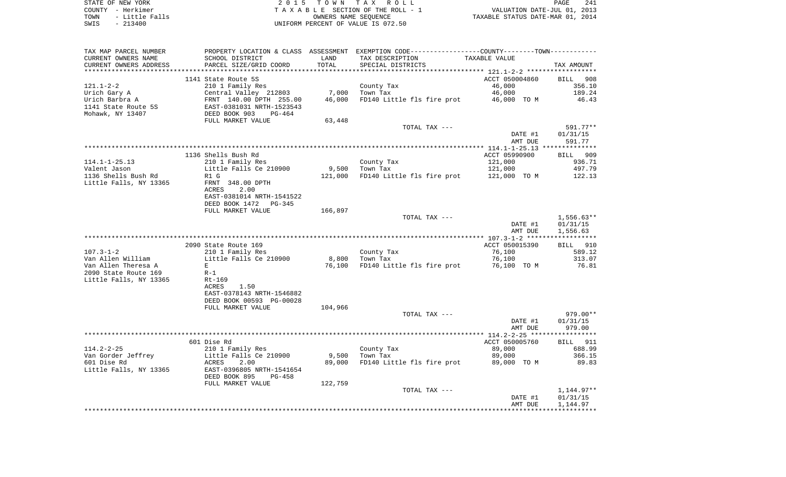STATE OF NEW YORK 2 0 1 5 T O W N T A X R O L L PAGE 241COUNTY - Herkimer **T A X A B L E** SECTION OF THE ROLL - 1 VALUATION DATE-JUL 01, 2013 TOWN - Little Falls OWNERS NAME SEQUENCE TAXABLE STATUS DATE-MAR 01, 2014 SWIS - 213400 UNIFORM PERCENT OF VALUE IS 072.50

TAX MAP PARCEL NUMBER PROPERTY LOCATION & CLASS ASSESSMENT EXEMPTION CODE------------------COUNTY--------TOWN------------ CURRENT OWNERS NAME SCHOOL DISTRICT LAND TAX DESCRIPTION TAXABLE VALUECURRENT OWNERS ADDRESS PARCEL SIZE/GRID COORD TOTAL SPECIAL DISTRICTS TAX AMOUNT \*\*\*\*\*\*\*\*\*\*\*\*\*\*\*\*\*\*\*\*\*\*\*\*\*\*\*\*\*\*\*\*\*\*\*\*\*\*\*\*\*\*\*\*\*\*\*\*\*\*\*\*\*\*\*\*\*\*\*\*\*\*\*\*\*\*\*\*\*\*\*\*\*\*\*\*\*\*\*\*\*\*\*\*\*\*\*\*\*\*\*\*\*\*\*\*\*\*\*\*\*\*\* 121.1-2-2 \*\*\*\*\*\*\*\*\*\*\*\*\*\*\*\*\*\*1141 State Route 5S ACCT 050004860 BILL 908 121.1-2-2 210 1 Family Res County Tax 46,000 356.10 Urich Gary A Central Valley 212803 7,000 Town Tax 46,000 189.24 Urich Barbra A FRNT 140.00 DPTH 255.00 46,000 FD140 Little fls fire prot 46,000 TO M 46.43 1141 State Route 5S EAST-0381031 NRTH-1523543Mohawk, NY 13407 DEED BOOK 903 PG-464 FULL MARKET VALUE 63,448 TOTAL TAX --- 591.77\*\* DATE #1 01/31/15 AMT DUE 591.77\*\*\*\*\*\*\*\*\*\*\*\*\*\* \*\*\*\*\*\*\*\*\*\*\*\*\*\*\*\*\*\*\*\*\*\*\*\*\*\*\*\*\*\*\*\*\*\*\*\*\*\*\*\*\*\*\*\*\*\*\*\*\*\*\*\*\*\*\*\*\*\*\*\*\*\*\*\*\*\*\*\*\*\*\*\*\*\*\*\*\*\*\*\*\*\*\*\*\*\*\*\*\*\*\*\*\*\*\*\*\*\*\*\*\*\*\* 114.1-1-25.13 \*\*\*\*\*\*\*\*\*\*\*\*\*\* 1136 Shells Bush Rd ACCT 05990900 BILL 909114.1-1-25.13 210 1 Family Res County Tax 121,000 936.71 Valent Jason Little Falls Ce 210900 9,500 Town Tax 121,000 497.79 1136 Shells Bush Rd R1 G 121,000 FD140 Little fls fire prot 121,000 TO M 122.13 Little Falls, NY 13365 FRNT 348.00 DPTH ACRES 2.00 EAST-0381014 NRTH-1541522 DEED BOOK 1472 PG-345FULL MARKET VALUE 166,897 TOTAL TAX --- 1,556.63\*\* DATE #1 01/31/15 AMT DUE 1,556.63 \*\*\*\*\*\*\*\*\*\*\*\*\*\*\*\*\*\*\*\*\*\*\*\*\*\*\*\*\*\*\*\*\*\*\*\*\*\*\*\*\*\*\*\*\*\*\*\*\*\*\*\*\*\*\*\*\*\*\*\*\*\*\*\*\*\*\*\*\*\*\*\*\*\*\*\*\*\*\*\*\*\*\*\*\*\*\*\*\*\*\*\*\*\*\*\*\*\*\*\*\*\*\* 107.3-1-2 \*\*\*\*\*\*\*\*\*\*\*\*\*\*\*\*\*\*2090 State Route 169 ACCT 050015390 BILL 910 107.3-1-2 210 1 Family Res County Tax 76,100 589.12 Van Allen William Little Falls Ce 210900 8,800 Town Tax 76,100 313.07 Van Allen Theresa A B E E Research Communication Control of Total Communication of Total Communication of Total Communication of Total Communication of Total Communication of Total Communication of Total Communication of T 2090 State Route 169 R-1Little Falls, NY 13365 Rt-169 ACRES 1.50 EAST-0378143 NRTH-1546882 DEED BOOK 00593 PG-00028FULL MARKET VALUE 104,966 TOTAL TAX --- 979.00\*\* DATE #1 01/31/15 AMT DUE 979.00 \*\*\*\*\*\*\*\*\*\*\*\*\*\*\*\*\*\*\*\*\*\*\*\*\*\*\*\*\*\*\*\*\*\*\*\*\*\*\*\*\*\*\*\*\*\*\*\*\*\*\*\*\*\*\*\*\*\*\*\*\*\*\*\*\*\*\*\*\*\*\*\*\*\*\*\*\*\*\*\*\*\*\*\*\*\*\*\*\*\*\*\*\*\*\*\*\*\*\*\*\*\*\* 114.2-2-25 \*\*\*\*\*\*\*\*\*\*\*\*\*\*\*\*\***BILL** 911 601 Dise Rd ACCT 050005760 BILL 9120 BILL 9120 BILL 9120 BILL 9120 BILL 9120 BILL 9120 BILL 9120 BILL 9120 BILL 911 114.2-2-25 210 1 Family Res County Tax 89,000 688.99 Van Gorder Jeffrey Little Falls Ce 210900 9,500 Town Tax 89,000 366.15 601 Dise Rd ACRES 2.00 89,000 FD140 Little fls fire prot 89,000 TO M 89.83 Little Falls, NY 13365 EAST-0396805 NRTH-1541654 DEED BOOK 895 PG-458FULL MARKET VALUE 122,759 TOTAL TAX  $---$  1,144.97\*\* DATE #1 01/31/15 AMT DUE 1,144.97 \*\*\*\*\*\*\*\*\*\*\*\*\*\*\*\*\*\*\*\*\*\*\*\*\*\*\*\*\*\*\*\*\*\*\*\*\*\*\*\*\*\*\*\*\*\*\*\*\*\*\*\*\*\*\*\*\*\*\*\*\*\*\*\*\*\*\*\*\*\*\*\*\*\*\*\*\*\*\*\*\*\*\*\*\*\*\*\*\*\*\*\*\*\*\*\*\*\*\*\*\*\*\*\*\*\*\*\*\*\*\*\*\*\*\*\*\*\*\*\*\*\*\*\*\*\*\*\*\*\*\*\*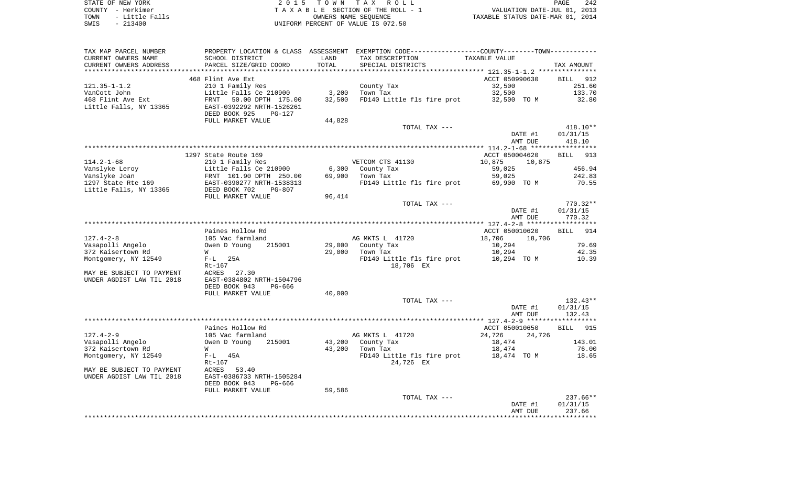| STATE OF NEW YORK |  |           |                |  |
|-------------------|--|-----------|----------------|--|
| COUNTY - Herkimer |  |           |                |  |
| TOWN              |  |           | - Little Falls |  |
| SWTS              |  | $-213400$ |                |  |

2015 TOWN TAX ROLL TA X A B L E SECTION OF THE ROLL - 1 TOWN - Little Falls OWNERS NAME SEQUENCE TAXABLE STATUS DATE-MAR 01, 2014 SWIS - 213400 UNIFORM PERCENT OF VALUE IS 072.50

| TAX MAP PARCEL NUMBER     | PROPERTY LOCATION & CLASS ASSESSMENT                 |        | EXEMPTION CODE-----------------COUNTY-------TOWN--------- |                  |                    |
|---------------------------|------------------------------------------------------|--------|-----------------------------------------------------------|------------------|--------------------|
| CURRENT OWNERS NAME       | SCHOOL DISTRICT                                      | LAND   | TAX DESCRIPTION                                           | TAXABLE VALUE    |                    |
| CURRENT OWNERS ADDRESS    | PARCEL SIZE/GRID COORD                               | TOTAL  | SPECIAL DISTRICTS                                         |                  | TAX AMOUNT         |
|                           |                                                      |        |                                                           |                  |                    |
|                           | 468 Flint Ave Ext                                    |        |                                                           | ACCT 050990630   | BILL 912           |
| $121.35 - 1 - 1.2$        | 210 1 Family Res                                     |        | County Tax                                                | 32,500           | 251.60             |
| VanCott John              | Little Falls Ce 210900                               | 3,200  | Town Tax                                                  | 32,500           | 133.70             |
| 468 Flint Ave Ext         | FRNT<br>50.00 DPTH 175.00                            | 32,500 | FD140 Little fls fire prot                                | 32,500 TO M      | 32.80              |
| Little Falls, NY 13365    | EAST-0392292 NRTH-1526261                            |        |                                                           |                  |                    |
|                           | DEED BOOK 925<br>PG-127                              |        |                                                           |                  |                    |
|                           | FULL MARKET VALUE                                    | 44,828 |                                                           |                  |                    |
|                           |                                                      |        | TOTAL TAX ---                                             |                  | 418.10**           |
|                           |                                                      |        |                                                           | DATE #1          | 01/31/15           |
|                           |                                                      |        |                                                           | AMT DUE          | 418.10             |
|                           |                                                      |        |                                                           |                  |                    |
|                           | 1297 State Route 169                                 |        |                                                           | ACCT 050004620   | 913<br>BILL        |
| $114.2 - 1 - 68$          | 210 1 Family Res                                     |        | VETCOM CTS 41130                                          | 10,875<br>10,875 |                    |
| Vanslyke Leroy            | Little Falls Ce 210900                               | 6,300  | County Tax                                                | 59,025           | 456.94             |
| Vanslyke Joan             | FRNT 101.90 DPTH 250.00                              | 69,900 | Town Tax                                                  | 59,025           | 242.83             |
| 1297 State Rte 169        | EAST-0390277 NRTH-1538313                            |        | FD140 Little fls fire prot                                | 69,900 TO M      | 70.55              |
| Little Falls, NY 13365    | DEED BOOK 702<br>PG-807                              |        |                                                           |                  |                    |
|                           | FULL MARKET VALUE                                    | 96,414 |                                                           |                  |                    |
|                           |                                                      |        | TOTAL TAX ---                                             |                  | $770.32**$         |
|                           |                                                      |        |                                                           | DATE #1          | 01/31/15           |
|                           |                                                      |        |                                                           | AMT DUE          | 770.32             |
|                           |                                                      |        |                                                           |                  |                    |
|                           | Paines Hollow Rd                                     |        |                                                           | ACCT 050010620   | <b>BILL</b><br>914 |
| $127.4 - 2 - 8$           | 105 Vac farmland                                     |        | AG MKTS L 41720                                           | 18,706<br>18,706 |                    |
| Vasapolli Angelo          | Owen D Young<br>215001                               | 29,000 | County Tax                                                | 10,294           | 79.69              |
| 372 Kaisertown Rd         | W                                                    | 29,000 | Town Tax                                                  | 10,294           | 42.35              |
| Montgomery, NY 12549      | 25A<br>$F-L$                                         |        | FD140 Little fls fire prot                                | 10,294 TO M      | 10.39              |
|                           | $Rt-167$                                             |        | 18,706 EX                                                 |                  |                    |
| MAY BE SUBJECT TO PAYMENT | ACRES<br>27.30                                       |        |                                                           |                  |                    |
| UNDER AGDIST LAW TIL 2018 | EAST-0384802 NRTH-1504796                            |        |                                                           |                  |                    |
|                           | DEED BOOK 943<br>PG-666                              |        |                                                           |                  |                    |
|                           | FULL MARKET VALUE                                    | 40,000 |                                                           |                  |                    |
|                           |                                                      |        | TOTAL TAX ---                                             |                  | $132.43**$         |
|                           |                                                      |        |                                                           | DATE #1          | 01/31/15           |
|                           |                                                      |        |                                                           | AMT DUE          | 132.43             |
|                           |                                                      |        |                                                           |                  |                    |
|                           | Paines Hollow Rd                                     |        |                                                           | ACCT 050010650   | 915<br><b>BILL</b> |
| $127.4 - 2 - 9$           | 105 Vac farmland                                     |        | AG MKTS L 41720                                           | 24,726<br>24,726 |                    |
| Vasapolli Angelo          | Owen D Young<br>215001                               | 43,200 | County Tax                                                | 18,474           | 143.01             |
| 372 Kaisertown Rd         | W                                                    | 43,200 | Town Tax                                                  | 18,474           | 76.00              |
| Montgomery, NY 12549      | $F-L$ 45A                                            |        | FD140 Little fls fire prot                                | 18,474 TO M      | 18.65              |
|                           | $Rt-167$                                             |        | 24,726 EX                                                 |                  |                    |
| MAY BE SUBJECT TO PAYMENT | ACRES<br>53.40                                       |        |                                                           |                  |                    |
|                           |                                                      |        |                                                           |                  |                    |
| UNDER AGDIST LAW TIL 2018 | EAST-0386733 NRTH-1505284<br>DEED BOOK 943<br>PG-666 |        |                                                           |                  |                    |
|                           | FULL MARKET VALUE                                    |        |                                                           |                  |                    |
|                           |                                                      | 59,586 | TOTAL TAX ---                                             |                  | 237.66**           |
|                           |                                                      |        |                                                           | DATE #1          | 01/31/15           |
|                           |                                                      |        |                                                           | AMT DUE          | 237.66             |
|                           |                                                      |        |                                                           |                  |                    |
|                           |                                                      |        |                                                           |                  |                    |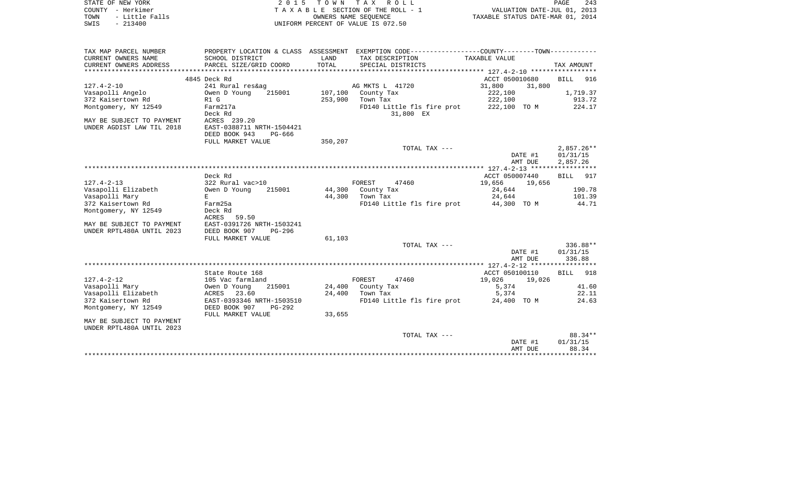| STATE OF NEW YORK<br>COUNTY - Herkimer<br>- Little Falls<br>TOWN | 2 0 1 5                                               | T O W N                  | TAX ROLL<br>TAXABLE SECTION OF THE ROLL - 1<br>OWNERS NAME SEQUENCE                         | VALUATION DATE-JUL 01, 2013<br>TAXABLE STATUS DATE-MAR 01, 2014 | PAGE<br>243          |
|------------------------------------------------------------------|-------------------------------------------------------|--------------------------|---------------------------------------------------------------------------------------------|-----------------------------------------------------------------|----------------------|
| $-213400$<br>SWIS                                                |                                                       |                          | UNIFORM PERCENT OF VALUE IS 072.50                                                          |                                                                 |                      |
| TAX MAP PARCEL NUMBER                                            |                                                       |                          | PROPERTY LOCATION & CLASS ASSESSMENT EXEMPTION CODE----------------COUNTY-------TOWN------- |                                                                 |                      |
| CURRENT OWNERS NAME                                              | SCHOOL DISTRICT                                       | LAND                     | TAX DESCRIPTION                                                                             | TAXABLE VALUE                                                   |                      |
| CURRENT OWNERS ADDRESS<br>*********************                  | PARCEL SIZE/GRID COORD<br>*************************** | TOTAL<br>*************** | SPECIAL DISTRICTS                                                                           |                                                                 | TAX AMOUNT           |
|                                                                  | 4845 Deck Rd                                          |                          |                                                                                             | ACCT 050010680                                                  | <b>BILL</b><br>916   |
| $127.4 - 2 - 10$                                                 | 241 Rural res&ag                                      |                          | AG MKTS L 41720                                                                             | 31,800<br>31,800                                                |                      |
| Vasapolli Angelo                                                 | Owen D Young<br>215001                                | 107,100                  | County Tax                                                                                  | 222,100                                                         | 1,719.37             |
| 372 Kaisertown Rd                                                | R1 G                                                  | 253,900                  | Town Tax                                                                                    | 222,100                                                         | 913.72               |
| Montgomery, NY 12549                                             | Farm217a<br>Deck Rd                                   |                          | FD140 Little fls fire prot<br>31,800 EX                                                     | 222,100 TO M                                                    | 224.17               |
| MAY BE SUBJECT TO PAYMENT                                        | ACRES 239.20                                          |                          |                                                                                             |                                                                 |                      |
| UNDER AGDIST LAW TIL 2018                                        | EAST-0388711 NRTH-1504421                             |                          |                                                                                             |                                                                 |                      |
|                                                                  | DEED BOOK 943<br>PG-666                               |                          |                                                                                             |                                                                 |                      |
|                                                                  | FULL MARKET VALUE                                     | 350,207                  | TOTAL TAX ---                                                                               |                                                                 | $2,857.26**$         |
|                                                                  |                                                       |                          |                                                                                             | DATE #1<br>AMT DUE                                              | 01/31/15<br>2,857.26 |
|                                                                  |                                                       |                          |                                                                                             |                                                                 | *******              |
|                                                                  | Deck Rd                                               |                          |                                                                                             | ACCT 050007440                                                  | 917<br>BILL          |
| $127.4 - 2 - 13$                                                 | 322 Rural vac>10                                      |                          | FOREST<br>47460                                                                             | 19,656<br>19,656                                                |                      |
| Vasapolli Elizabeth                                              | Owen D Young<br>215001                                | 44,300                   | County Tax                                                                                  | 24,644                                                          | 190.78               |
| Vasapolli Mary                                                   | E                                                     | 44,300                   | Town Tax                                                                                    | 24,644                                                          | 101.39               |
| 372 Kaisertown Rd                                                | Farm25a                                               |                          | FD140 Little fls fire prot                                                                  | 44,300 TO M                                                     | 44.71                |
| Montgomery, NY 12549                                             | Deck Rd<br><b>ACRES</b><br>59.50                      |                          |                                                                                             |                                                                 |                      |
| MAY BE SUBJECT TO PAYMENT                                        | EAST-0391726 NRTH-1503241                             |                          |                                                                                             |                                                                 |                      |
| UNDER RPTL480A UNTIL 2023                                        | DEED BOOK 907<br>$PG-296$                             |                          |                                                                                             |                                                                 |                      |
|                                                                  | FULL MARKET VALUE                                     | 61,103                   |                                                                                             |                                                                 |                      |
|                                                                  |                                                       |                          | TOTAL TAX ---                                                                               | DATE #1                                                         | 336.88**<br>01/31/15 |
|                                                                  |                                                       |                          |                                                                                             | AMT DUE                                                         | 336.88               |
|                                                                  |                                                       |                          |                                                                                             |                                                                 |                      |
|                                                                  | State Route 168                                       |                          |                                                                                             | ACCT 050100110                                                  | 918<br>BILL          |
| $127.4 - 2 - 12$                                                 | 105 Vac farmland                                      |                          | FOREST<br>47460                                                                             | 19,026<br>19,026                                                |                      |
| Vasapolli Mary<br>Vasapolli Elizabeth                            | 215001<br>Owen D Young<br>23.60                       | 24,400<br>24,400         | County Tax                                                                                  | 5,374                                                           | 41.60<br>22.11       |
| 372 Kaisertown Rd                                                | ACRES<br>EAST-0393346 NRTH-1503510                    |                          | Town Tax<br>FD140 Little fls fire prot                                                      | 5,374<br>24,400 TO M                                            | 24.63                |
| Montgomery, NY 12549                                             | DEED BOOK 907<br>$PG-292$<br>FULL MARKET VALUE        | 33,655                   |                                                                                             |                                                                 |                      |
| MAY BE SUBJECT TO PAYMENT<br>UNDER RPTL480A UNTIL 2023           |                                                       |                          |                                                                                             |                                                                 |                      |
|                                                                  |                                                       |                          | TOTAL TAX ---                                                                               |                                                                 | 88.34**              |
|                                                                  |                                                       |                          |                                                                                             | DATE #1<br>AMT DUE                                              | 01/31/15<br>88.34    |
|                                                                  |                                                       |                          |                                                                                             |                                                                 |                      |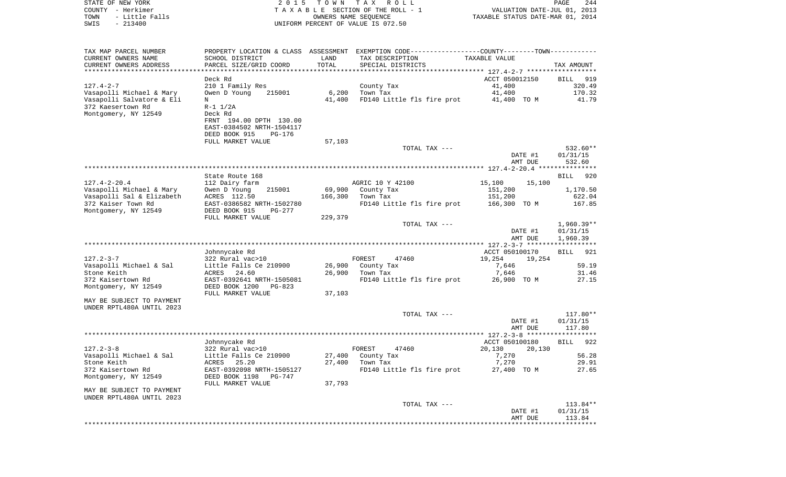COUNTY - Herkimer **T A X A B L E** SECTION OF THE ROLL - 1 VALUATION DATE-JUL 01, 2013 TOWN - Little Falls OWNERS NAME SEQUENCE TAXABLE STATUS DATE-MAR 01, 2014 SWIS - 213400 UNIFORM PERCENT OF VALUE IS 072.50TAX MAP PARCEL NUMBER PROPERTY LOCATION & CLASS ASSESSMENT EXEMPTION CODE------------------COUNTY--------TOWN------------ CURRENT OWNERS NAME SCHOOL DISTRICT LAND TAX DESCRIPTION TAXABLE VALUECURRENT OWNERS ADDRESS PARCEL SIZE/GRID COORD TOTAL SPECIAL DISTRICTS TAX AMOUNT \*\*\*\*\*\*\*\*\*\*\*\*\*\*\*\*\*\*\*\*\*\*\*\*\*\*\*\*\*\*\*\*\*\*\*\*\*\*\*\*\*\*\*\*\*\*\*\*\*\*\*\*\*\*\*\*\*\*\*\*\*\*\*\*\*\*\*\*\*\*\*\*\*\*\*\*\*\*\*\*\*\*\*\*\*\*\*\*\*\*\*\*\*\*\*\*\*\*\*\*\*\*\* 127.4-2-7 \*\*\*\*\*\*\*\*\*\*\*\*\*\*\*\*\*\* Deck Rd ACCT 050012150 BILL 919320.49 127.4-2-7 210 1 Family Res County Tax 41,400 Vasapolli Michael & Mary 0wen D Young 215001 6,200 Town Tax 41,400 41,400 170.32 Vasapolli Salvatore & Eli N 41,400 FD140 Little fls fire prot 41,400 TO M 41.79 372 Kaesertown Rd R-1 1/2A Montgomery, NY 12549 Deck Rd FRNT 194.00 DPTH 130.00 EAST-0384502 NRTH-1504117 DEED BOOK 915 PG-176FULL MARKET VALUE 57,103 TOTAL TAX  $---$  532.60\*\* DATE #1 01/31/15 AMT DUE 532.60 \*\*\*\*\*\*\*\*\*\*\*\*\*\*\*\*\*\*\*\*\*\*\*\*\*\*\*\*\*\*\*\*\*\*\*\*\*\*\*\*\*\*\*\*\*\*\*\*\*\*\*\*\*\*\*\*\*\*\*\*\*\*\*\*\*\*\*\*\*\*\*\*\*\*\*\*\*\*\*\*\*\*\*\*\*\*\*\*\*\*\*\*\*\*\*\*\*\*\*\*\*\*\* 127.4-2-20.4 \*\*\*\*\*\*\*\*\*\*\*\*\*\*\*State Route 168 BILL 920 127.4-2-20.4 112 Dairy farm AGRIC 10 Y 42100 15,100 15,100 Vasapolli Michael & Mary 0wen D Young 215001 69,900 County Tax 151,200 151,200 1,170.50<br>Vasapolli Sal & Elizabeth ACRES 112.50 166.300 Town Tax 151.200 151.200 622.04 Vasapolli Sal & Elizabeth ACRES 112.50 166,300 Town Tax 372 Kaiser Town Rd EAST-0386582 NRTH-1502780 FD140 Little fls fire prot 166,300 TO M 167.85 Montgomery, NY 12549 DEED BOOK 915 PG-277 FULL MARKET VALUE 229,379 TOTAL TAX --- 1,960.39\*\* DATE #1 01/31/15 AMT DUE 1,960.39 \*\*\*\*\*\*\*\*\*\*\*\*\*\*\*\*\*\*\*\*\*\*\*\*\*\*\*\*\*\*\*\*\*\*\*\*\*\*\*\*\*\*\*\*\*\*\*\*\*\*\*\*\*\*\*\*\*\*\*\*\*\*\*\*\*\*\*\*\*\*\*\*\*\*\*\*\*\*\*\*\*\*\*\*\*\*\*\*\*\*\*\*\*\*\*\*\*\*\*\*\*\*\* 127.2-3-7 \*\*\*\*\*\*\*\*\*\*\*\*\*\*\*\*\*\* Johnnycake Rd ACCT 050100170 BILL 921 127.2-3-7 322 Rural vac>10 FOREST 47460 19,254 19,254 Vasapolli Michael & Sal Little Falls Ce 210900 26,900 County Tax 36,500 7,646 7,646 59.19 Stone Keith ACRES 24.60 26,900 Town Tax 7,646 31.46 372 Kaisertown Rd EAST-0392641 NRTH-1505081 FD140 Little fls fire prot 26,900 TO M 27.15 Montgomery, NY 12549 DEED BOOK 1200 PG-823 FULL MARKET VALUE 37,103 MAY BE SUBJECT TO PAYMENTUNDER RPTL480A UNTIL 2023 TOTAL TAX --- 117.80\*\* DATE #1 01/31/15 AMT DUE 117.80 \*\*\*\*\*\*\*\*\*\*\*\*\*\*\*\*\*\*\*\*\*\*\*\*\*\*\*\*\*\*\*\*\*\*\*\*\*\*\*\*\*\*\*\*\*\*\*\*\*\*\*\*\*\*\*\*\*\*\*\*\*\*\*\*\*\*\*\*\*\*\*\*\*\*\*\*\*\*\*\*\*\*\*\*\*\*\*\*\*\*\*\*\*\*\*\*\*\*\*\*\*\*\* 127.2-3-8 \*\*\*\*\*\*\*\*\*\*\*\*\*\*\*\*\*\*BILL 922 Johnnycake Rd ACCT 050100180 BILL 9222 BILL 9222 BILL 9222 BILL 9222 BILL 9222 BILL 9222 BILL 9222 BILL 9222 BILL 9222 BILL 9222 BILL 9222 BILL 9222 BILL 9222 BILL 9222 BILL 9222 BILL 9222 BILL 9222 BILL 9222 BILL 9222 BIL 127.2-3-8 322 Rural vac>10 FOREST 47460 20,130 20,130 Vasapolli Michael & Sal Little Falls Ce 210900 27,400 County Tax 7,270 56.28 Stone Keith ACRES 25.20 27,400 Town Tax 7,270 29.91 372 Kaisertown Rd EAST-0392098 NRTH-1505127 FD140 Little fls fire prot 27,400 TO M 27.65 Montgomery, NY 12549 DEED BOOK 1198 PG-747 FULL MARKET VALUE 37,793 MAY BE SUBJECT TO PAYMENT UNDER RPTL480A UNTIL 2023 TOTAL TAX --- 113.84\*\* DATE #1 01/31/15 AMT DUE 113.84\*\*\*\*\*\*\*\*\*\*\*\*\*\*\*\*\*\*\*\*\*\*\*\*\*\*\*\*\*\*\*\*\*\*\*\*\*\*\*\*\*\*\*\*\*\*\*\*\*\*\*\*\*\*\*\*\*\*\*\*\*\*\*\*\*\*\*\*\*\*\*\*\*\*\*\*\*\*\*\*\*\*\*\*\*\*\*\*\*\*\*\*\*\*\*\*\*\*\*\*\*\*\*\*\*\*\*\*\*\*\*\*\*\*\*\*\*\*\*\*\*\*\*\*\*\*\*\*\*\*\*\*

STATE OF NEW YORK 2 0 1 5 T O W N T A X R O L L PAGE 244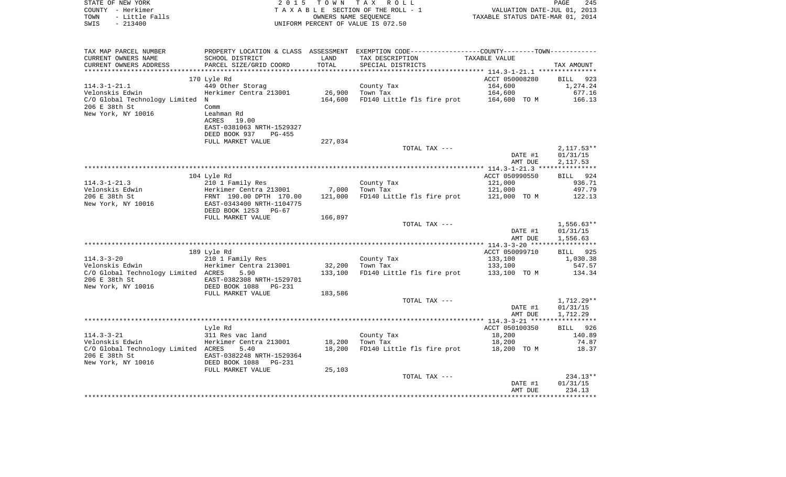| COUNTY - Herkimer<br>TOWN<br>- Little Falls<br>SWIS<br>$-213400$ | T A X A B L E SECTION OF THE ROLL - 1<br>OWNERS NAME SEQUENCE<br>UNIFORM PERCENT OF VALUE IS 072.50 |         |                                                                                                 | VALUATION DATE-JUL 01, 2013<br>TAXABLE STATUS DATE-MAR 01, 2014 |              |  |
|------------------------------------------------------------------|-----------------------------------------------------------------------------------------------------|---------|-------------------------------------------------------------------------------------------------|-----------------------------------------------------------------|--------------|--|
|                                                                  |                                                                                                     |         |                                                                                                 |                                                                 |              |  |
| TAX MAP PARCEL NUMBER                                            |                                                                                                     |         | PROPERTY LOCATION & CLASS ASSESSMENT EXEMPTION CODE----------------COUNTY--------TOWN---------- |                                                                 |              |  |
| CURRENT OWNERS NAME                                              | SCHOOL DISTRICT                                                                                     | LAND    | TAX DESCRIPTION                                                                                 | TAXABLE VALUE                                                   |              |  |
| CURRENT OWNERS ADDRESS                                           | PARCEL SIZE/GRID COORD                                                                              | TOTAL   | SPECIAL DISTRICTS                                                                               |                                                                 | TAX AMOUNT   |  |
|                                                                  |                                                                                                     |         |                                                                                                 |                                                                 |              |  |
|                                                                  | 170 Lyle Rd                                                                                         |         |                                                                                                 | ACCT 050008280                                                  | BILL 923     |  |
| 114.3-1-21.1                                                     | 449 Other Storag                                                                                    |         | County Tax                                                                                      | 164,600                                                         | 1,274.24     |  |
| Velonskis Edwin                                                  | Herkimer Centra 213001                                                                              | 26,900  | Town Tax<br>FD140 Little fls fire prot 164,600 TO M                                             | 164,600                                                         | 677.16       |  |
| C/O Global Technology Limited N<br>206 E 38th St                 | Comm                                                                                                | 164,600 |                                                                                                 |                                                                 | 166.13       |  |
| New York, NY 10016                                               | Leahman Rd                                                                                          |         |                                                                                                 |                                                                 |              |  |
|                                                                  | ACRES<br>19.00                                                                                      |         |                                                                                                 |                                                                 |              |  |
|                                                                  | EAST-0381063 NRTH-1529327                                                                           |         |                                                                                                 |                                                                 |              |  |
|                                                                  | DEED BOOK 937<br>PG-455                                                                             |         |                                                                                                 |                                                                 |              |  |
|                                                                  | FULL MARKET VALUE                                                                                   | 227,034 |                                                                                                 |                                                                 |              |  |
|                                                                  |                                                                                                     |         | TOTAL TAX ---                                                                                   |                                                                 | $2,117.53**$ |  |
|                                                                  |                                                                                                     |         |                                                                                                 | DATE #1                                                         | 01/31/15     |  |
|                                                                  |                                                                                                     |         |                                                                                                 | AMT DUE                                                         | 2,117.53     |  |
|                                                                  |                                                                                                     |         |                                                                                                 |                                                                 |              |  |
|                                                                  | 104 Lyle Rd                                                                                         |         |                                                                                                 | ACCT 050990550                                                  | BILL 924     |  |
|                                                                  |                                                                                                     |         | County Tax                                                                                      | 121,000                                                         | 936.71       |  |
|                                                                  |                                                                                                     |         | 7,000 Town Tax                                                                                  | 121,000                                                         | 497.79       |  |
|                                                                  |                                                                                                     | 121,000 | FD140 Little fls fire prot 121,000 TO M                                                         |                                                                 | 122.13       |  |
|                                                                  |                                                                                                     |         |                                                                                                 |                                                                 |              |  |
|                                                                  |                                                                                                     |         |                                                                                                 |                                                                 |              |  |
|                                                                  | FULL MARKET VALUE                                                                                   | 166,897 |                                                                                                 |                                                                 | $1,556.63**$ |  |
|                                                                  |                                                                                                     |         | TOTAL TAX ---                                                                                   | DATE #1                                                         | 01/31/15     |  |
|                                                                  |                                                                                                     |         |                                                                                                 | AMT DUE                                                         | 1,556.63     |  |
|                                                                  |                                                                                                     |         |                                                                                                 |                                                                 |              |  |
|                                                                  | 189 Lyle Rd                                                                                         |         |                                                                                                 | ACCT 050099710                                                  | BILL 925     |  |
| $114.3 - 3 - 20$                                                 | 210 1 Family Res                                                                                    |         | County Tax                                                                                      | 133,100                                                         | 1,030.38     |  |
| Velonskis Edwin                       Herkimer Centra 213001     |                                                                                                     | 32,200  | Town Tax                                                                                        | 133,100                                                         | 547.57       |  |
| C/O Global Technology Limited ACRES                              | 5.90                                                                                                | 133,100 | FD140 Little fls fire prot 133,100 TO M                                                         |                                                                 | 134.34       |  |
| 206 E 38th St                                                    | EAST-0382308 NRTH-1529701                                                                           |         |                                                                                                 |                                                                 |              |  |
| New York, NY 10016                                               | DEED BOOK 1088 PG-231                                                                               |         |                                                                                                 |                                                                 |              |  |
|                                                                  | FULL MARKET VALUE                                                                                   | 183,586 |                                                                                                 |                                                                 |              |  |
|                                                                  |                                                                                                     |         | TOTAL TAX ---                                                                                   |                                                                 | 1,712.29**   |  |
|                                                                  |                                                                                                     |         |                                                                                                 | DATE #1                                                         | 01/31/15     |  |
|                                                                  |                                                                                                     |         |                                                                                                 | AMT DUE                                                         | 1,712.29     |  |
|                                                                  |                                                                                                     |         |                                                                                                 |                                                                 |              |  |
|                                                                  | Lyle Rd                                                                                             |         |                                                                                                 | ACCT 050100350                                                  | BILL 926     |  |
| 114.3-3-21                                                       | 311 Res vac land<br>Herkimer Centra 213001                                                          |         | County Tax                                                                                      | 18,200                                                          | 140.89       |  |
| Velonskis Edwin                                                  |                                                                                                     |         | 18,200 Town Tax                                                                                 | 18,200                                                          | 74.87        |  |
| C/O Global Technology Limited ACRES                              | 5.40<br>EAST-0382248 NRTH-1529364                                                                   | 18,200  | FD140 Little fls fire prot 18,200 TO M                                                          |                                                                 | 18.37        |  |
|                                                                  |                                                                                                     |         |                                                                                                 |                                                                 |              |  |
|                                                                  | FULL MARKET VALUE                                                                                   | 25,103  |                                                                                                 |                                                                 |              |  |
|                                                                  |                                                                                                     |         | TOTAL TAX ---                                                                                   |                                                                 | $234.13**$   |  |
|                                                                  |                                                                                                     |         |                                                                                                 | DATE #1                                                         | 01/31/15     |  |
|                                                                  |                                                                                                     |         |                                                                                                 | AMT DUE                                                         | 234.13       |  |
|                                                                  |                                                                                                     |         |                                                                                                 |                                                                 |              |  |
|                                                                  |                                                                                                     |         |                                                                                                 |                                                                 |              |  |

PAGE 245

STATE OF NEW YORK **EXECUTE:**  $2015$  TOWN TAX ROLL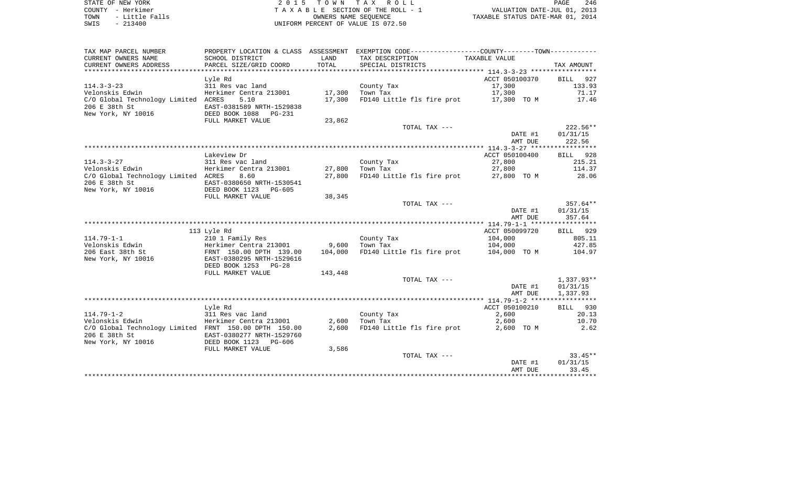| TAX MAP PARCEL NUMBER                                 |                                 |         | PROPERTY LOCATION & CLASS ASSESSMENT EXEMPTION CODE----------------COUNTY-------TOWN---------- |                |              |
|-------------------------------------------------------|---------------------------------|---------|------------------------------------------------------------------------------------------------|----------------|--------------|
| CURRENT OWNERS NAME                                   | SCHOOL DISTRICT                 | LAND    | TAX DESCRIPTION                                                                                | TAXABLE VALUE  |              |
| CURRENT OWNERS ADDRESS                                | PARCEL SIZE/GRID COORD          | TOTAL   | SPECIAL DISTRICTS                                                                              |                | TAX AMOUNT   |
| *******************                                   | ******************************* |         |                                                                                                |                |              |
|                                                       | Lyle Rd                         |         |                                                                                                | ACCT 050100370 | BILL 927     |
| $114.3 - 3 - 23$                                      | 311 Res vac land                |         | County Tax                                                                                     | 17,300         | 133.93       |
| Velonskis Edwin                                       | Herkimer Centra 213001          | 17,300  | Town Tax                                                                                       | 17,300         | 71.17        |
| C/O Global Technology Limited ACRES                   | 5.10                            | 17,300  | FD140 Little fls fire prot 17,300 TO M                                                         |                | 17.46        |
| 206 E 38th St                                         | EAST-0381589 NRTH-1529838       |         |                                                                                                |                |              |
| New York, NY 10016                                    | DEED BOOK 1088 PG-231           |         |                                                                                                |                |              |
|                                                       |                                 |         |                                                                                                |                |              |
|                                                       | FULL MARKET VALUE               | 23,862  |                                                                                                |                |              |
|                                                       |                                 |         | TOTAL TAX ---                                                                                  |                | $222.56**$   |
|                                                       |                                 |         |                                                                                                | DATE #1        | 01/31/15     |
|                                                       |                                 |         |                                                                                                | AMT DUE        | 222.56       |
|                                                       |                                 |         |                                                                                                |                |              |
|                                                       | Lakeview Dr                     |         |                                                                                                | ACCT 050100400 | BILL 928     |
| $114.3 - 3 - 27$                                      | 311 Res vac land                |         | County Tax                                                                                     | 27,800         | 215.21       |
| Velonskis Edwin                                       | Herkimer Centra 213001          | 27,800  | Town Tax                                                                                       | 27,800         | 114.37       |
| C/O Global Technology Limited ACRES                   | 8.60                            | 27,800  | FD140 Little fls fire prot                                                                     | 27,800 TO M    | 28.06        |
| 206 E 38th St                                         | EAST-0380650 NRTH-1530541       |         |                                                                                                |                |              |
| New York, NY 10016                                    | DEED BOOK 1123 PG-605           |         |                                                                                                |                |              |
|                                                       | FULL MARKET VALUE               | 38,345  |                                                                                                |                |              |
|                                                       |                                 |         | TOTAL TAX ---                                                                                  |                | $357.64**$   |
|                                                       |                                 |         |                                                                                                | DATE #1        | 01/31/15     |
|                                                       |                                 |         |                                                                                                | AMT DUE        | 357.64       |
|                                                       |                                 |         |                                                                                                |                |              |
|                                                       | 113 Lyle Rd                     |         |                                                                                                | ACCT 050099720 | BILL 929     |
| $114.79 - 1 - 1$                                      | 210 1 Family Res                |         | County Tax                                                                                     | 104,000        | 805.11       |
| Velonskis Edwin                                       | Herkimer Centra 213001          | 9,600   | Town Tax                                                                                       | 104,000        | 427.85       |
| 206 East 38th St                                      | FRNT 150.00 DPTH 139.00         | 104,000 | FD140 Little fls fire prot 104,000 TO M                                                        |                | 104.97       |
| New York, NY 10016                                    | EAST-0380295 NRTH-1529616       |         |                                                                                                |                |              |
|                                                       | DEED BOOK 1253 PG-28            |         |                                                                                                |                |              |
|                                                       | FULL MARKET VALUE               | 143,448 |                                                                                                |                |              |
|                                                       |                                 |         | TOTAL TAX ---                                                                                  |                | $1,337.93**$ |
|                                                       |                                 |         |                                                                                                | DATE #1        | 01/31/15     |
|                                                       |                                 |         |                                                                                                | AMT DUE        | 1,337.93     |
|                                                       |                                 |         |                                                                                                |                |              |
|                                                       | Lyle Rd                         |         |                                                                                                | ACCT 050100210 | BILL 930     |
| $114.79 - 1 - 2$                                      | 311 Res vac land                |         | County Tax                                                                                     | 2,600          | 20.13        |
| Velonskis Edwin                                       | Herkimer Centra 213001          | 2,600   | Town Tax                                                                                       | 2,600          | 10.70        |
|                                                       |                                 |         |                                                                                                |                |              |
| C/O Global Technology Limited FRNT 150.00 DPTH 150.00 |                                 | 2,600   | FD140 Little fls fire prot                                                                     | 2,600 TO M     | 2.62         |
| 206 E 38th St                                         | EAST-0380277 NRTH-1529760       |         |                                                                                                |                |              |
| New York, NY 10016                                    | DEED BOOK 1123 PG-606           |         |                                                                                                |                |              |
|                                                       | FULL MARKET VALUE               | 3,586   |                                                                                                |                |              |
|                                                       |                                 |         | TOTAL TAX ---                                                                                  |                | $33.45**$    |
|                                                       |                                 |         |                                                                                                | DATE #1        | 01/31/15     |
|                                                       |                                 |         |                                                                                                | AMT DUE        | 33.45        |
|                                                       |                                 |         |                                                                                                |                |              |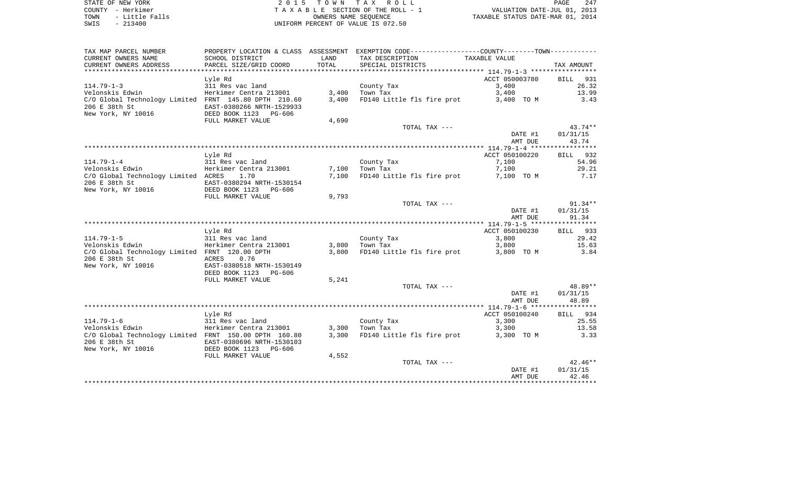| TAX MAP PARCEL NUMBER                                 |                           |       | PROPERTY LOCATION & CLASS ASSESSMENT EXEMPTION CODE----------------COUNTY-------TOWN---------- |                |            |
|-------------------------------------------------------|---------------------------|-------|------------------------------------------------------------------------------------------------|----------------|------------|
| CURRENT OWNERS NAME                                   | SCHOOL DISTRICT           | LAND  | TAX DESCRIPTION                                                                                | TAXABLE VALUE  |            |
| CURRENT OWNERS ADDRESS                                | PARCEL SIZE/GRID COORD    | TOTAL | SPECIAL DISTRICTS                                                                              |                | TAX AMOUNT |
|                                                       |                           |       |                                                                                                |                |            |
|                                                       | Lyle Rd                   |       |                                                                                                | ACCT 050003780 | BILL 931   |
|                                                       |                           |       |                                                                                                |                |            |
| $114.79 - 1 - 3$                                      | 311 Res vac land          |       | County Tax                                                                                     | 3,400          | 26.32      |
| Velonskis Edwin                                       | Herkimer Centra 213001    |       | $3,400$ Town Tax                                                                               | 3,400          | 13.99      |
| C/O Global Technology Limited FRNT 145.80 DPTH 210.60 |                           | 3,400 | FD140 Little fls fire prot 3,400 TO M                                                          |                | 3.43       |
| 206 E 38th St                                         | EAST-0380266 NRTH-1529933 |       |                                                                                                |                |            |
| New York, NY 10016                                    | DEED BOOK 1123 PG-606     |       |                                                                                                |                |            |
|                                                       | FULL MARKET VALUE         | 4,690 |                                                                                                |                |            |
|                                                       |                           |       | TOTAL TAX ---                                                                                  |                | $43.74**$  |
|                                                       |                           |       |                                                                                                | DATE #1        | 01/31/15   |
|                                                       |                           |       |                                                                                                |                |            |
|                                                       |                           |       |                                                                                                | AMT DUE        | 43.74      |
|                                                       |                           |       |                                                                                                |                |            |
|                                                       | Lyle Rd                   |       |                                                                                                | ACCT 050100220 | BILL 932   |
| $114.79 - 1 - 4$                                      | 311 Res vac land          |       | County Tax                                                                                     | 7,100          | 54.96      |
| Velonskis Edwin                                       | Herkimer Centra 213001    |       | $7,100$ Town Tax                                                                               | 7,100          | 29.21      |
| C/O Global Technology Limited ACRES                   | 1.70                      | 7,100 | FD140 Little fls fire prot 7,100 TO M                                                          |                | 7.17       |
| 206 E 38th St                                         | EAST-0380294 NRTH-1530154 |       |                                                                                                |                |            |
| New York, NY 10016                                    |                           |       |                                                                                                |                |            |
|                                                       | DEED BOOK 1123 PG-606     |       |                                                                                                |                |            |
|                                                       | FULL MARKET VALUE         | 9,793 |                                                                                                |                |            |
|                                                       |                           |       | TOTAL TAX ---                                                                                  |                | $91.34**$  |
|                                                       |                           |       |                                                                                                | DATE #1        | 01/31/15   |
|                                                       |                           |       |                                                                                                | AMT DUE        | 91.34      |
|                                                       |                           |       |                                                                                                |                |            |
|                                                       | Lyle Rd                   |       |                                                                                                | ACCT 050100230 | BILL 933   |
| $114.79 - 1 - 5$                                      | 311 Res vac land          |       | County Tax                                                                                     | 3,800          | 29.42      |
|                                                       |                           |       | $3,800$ Town Tax                                                                               |                |            |
| Velonskis Edwin                                       | Herkimer Centra 213001    |       |                                                                                                | 3,800          | 15.63      |
| C/O Global Technology Limited FRNT 120.00 DPTH        |                           | 3,800 | FD140 Little fls fire prot 3,800 TO M                                                          |                | 3.84       |
| 206 E 38th St                                         | ACRES<br>0.76             |       |                                                                                                |                |            |
| New York, NY 10016                                    | EAST-0380518 NRTH-1530149 |       |                                                                                                |                |            |
|                                                       | DEED BOOK 1123 PG-606     |       |                                                                                                |                |            |
|                                                       | FULL MARKET VALUE         | 5,241 |                                                                                                |                |            |
|                                                       |                           |       | TOTAL TAX ---                                                                                  |                | 48.89**    |
|                                                       |                           |       |                                                                                                | DATE #1        | 01/31/15   |
|                                                       |                           |       |                                                                                                | AMT DUE        |            |
|                                                       |                           |       |                                                                                                |                | 48.89      |
|                                                       |                           |       |                                                                                                |                |            |
|                                                       | Lyle Rd                   |       |                                                                                                | ACCT 050100240 | BILL 934   |
| $114.79 - 1 - 6$                                      | 311 Res vac land          |       | County Tax                                                                                     | 3,300          | 25.55      |
| Velonskis Edwin                                       | Herkimer Centra 213001    | 3,300 | Town Tax                                                                                       | 3,300          | 13.58      |
| C/O Global Technology Limited FRNT 150.00 DPTH 160.80 |                           | 3,300 | FD140 Little fls fire prot 3,300 TO M                                                          |                | 3.33       |
| 206 E 38th St                                         | EAST-0380696 NRTH-1530103 |       |                                                                                                |                |            |
| New York, NY 10016                                    | DEED BOOK 1123 PG-606     |       |                                                                                                |                |            |
|                                                       |                           |       |                                                                                                |                |            |
|                                                       | FULL MARKET VALUE         | 4,552 |                                                                                                |                |            |
|                                                       |                           |       | TOTAL TAX ---                                                                                  |                | $42.46**$  |
|                                                       |                           |       |                                                                                                | DATE #1        | 01/31/15   |
|                                                       |                           |       |                                                                                                | AMT DUE        | 42.46      |
|                                                       |                           |       |                                                                                                |                |            |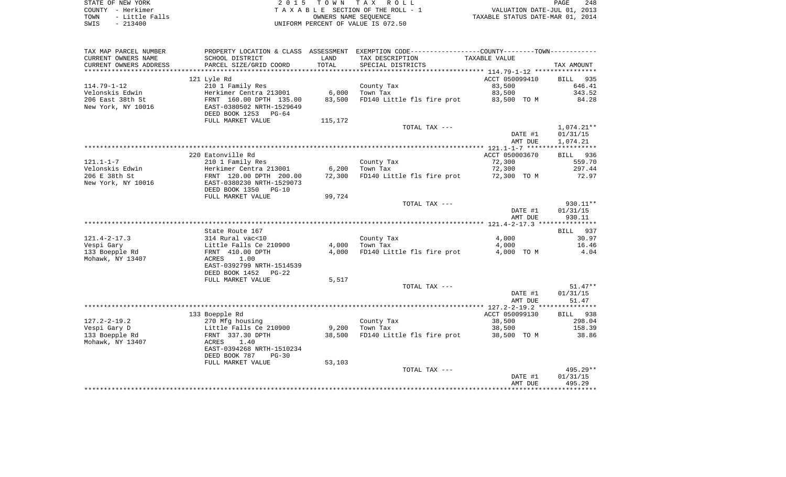| STATE OF NEW YORK      | 2015 TOWN TAX ROLL                 | 248<br>PAGE                      |
|------------------------|------------------------------------|----------------------------------|
| COUNTY - Herkimer      | TAXABLE SECTION OF THE ROLL - 1    | VALUATION DATE-JUL 01, 2013      |
| - Little Falls<br>TOWN | OWNERS NAME SEOUENCE               | TAXABLE STATUS DATE-MAR 01, 2014 |
| $-213400$<br>SWIS      | UNIFORM PERCENT OF VALUE IS 072.50 |                                  |

| TAX MAP PARCEL NUMBER  |                                                                |         | PROPERTY LOCATION & CLASS ASSESSMENT EXEMPTION CODE---------------COUNTY-------TOWN---------- |                    |                      |
|------------------------|----------------------------------------------------------------|---------|-----------------------------------------------------------------------------------------------|--------------------|----------------------|
| CURRENT OWNERS NAME    | SCHOOL DISTRICT                                                | LAND    | TAX DESCRIPTION                                                                               | TAXABLE VALUE      |                      |
| CURRENT OWNERS ADDRESS | PARCEL SIZE/GRID COORD                                         | TOTAL   | SPECIAL DISTRICTS                                                                             |                    | TAX AMOUNT           |
|                        |                                                                |         |                                                                                               |                    |                      |
|                        | 121 Lyle Rd                                                    |         |                                                                                               | ACCT 050099410     | BILL 935             |
| $114.79 - 1 - 12$      | 210 1 Family Res                                               |         | County Tax                                                                                    | 83,500             | 646.41               |
| Velonskis Edwin        | Herkimer Centra 213001                                         | 6,000   | Town Tax                                                                                      | 83,500             | 343.52               |
| 206 East 38th St       | FRNT 160.00 DPTH 135.00                                        | 83,500  | FD140 Little fls fire prot 83,500 TO M                                                        |                    | 84.28                |
| New York, NY 10016     | EAST-0380502 NRTH-1529649                                      |         |                                                                                               |                    |                      |
|                        | DEED BOOK 1253 PG-64                                           |         |                                                                                               |                    |                      |
|                        | FULL MARKET VALUE                                              | 115,172 |                                                                                               |                    |                      |
|                        |                                                                |         | TOTAL TAX ---                                                                                 |                    | 1,074.21**           |
|                        |                                                                |         |                                                                                               | DATE #1<br>AMT DUE | 01/31/15<br>1,074.21 |
|                        |                                                                |         |                                                                                               |                    |                      |
|                        | 220 Eatonville Rd                                              |         |                                                                                               | ACCT 050003670     | BILL 936             |
| $121.1 - 1 - 7$        | 210 1 Family Res                                               |         | County Tax                                                                                    | 72,300             | 559.70               |
| Velonskis Edwin        | Herkimer Centra 213001                                         | 6,200   | Town Tax                                                                                      | 72,300             | 297.44               |
| 206 E 38th St          | FRNT 120.00 DPTH 200.00                                        | 72,300  | FD140 Little fls fire prot 72,300 TO M                                                        |                    | 72.97                |
| New York, NY 10016     | EAST-0380230 NRTH-1529073                                      |         |                                                                                               |                    |                      |
|                        | DEED BOOK 1350<br>$PG-10$                                      |         |                                                                                               |                    |                      |
|                        | FULL MARKET VALUE                                              | 99,724  |                                                                                               |                    |                      |
|                        |                                                                |         | TOTAL TAX ---                                                                                 |                    | 930.11**             |
|                        |                                                                |         |                                                                                               | DATE #1            | 01/31/15             |
|                        |                                                                |         |                                                                                               | AMT DUE            | 930.11               |
|                        |                                                                |         |                                                                                               |                    |                      |
|                        | State Route 167                                                |         |                                                                                               |                    | BILL 937             |
| $121.4 - 2 - 17.3$     | 314 Rural vac<10<br>514 Kurai vactio<br>Little Falls Ce 210900 |         | County Tax                                                                                    | 4,000              | 30.97                |
| Vespi Gary             |                                                                |         | $4,000$ Town Tax                                                                              | 4,000              | 16.46                |
| 133 Boepple Rd         | FRNT 410.00 DPTH                                               | 4,000   | FD140 Little fls fire prot                                                                    | 4,000 TO M         | 4.04                 |
| Mohawk, NY 13407       | ACRES<br>1.00<br>EAST-0392799 NRTH-1514539                     |         |                                                                                               |                    |                      |
|                        | DEED BOOK 1452<br>$PG-22$                                      |         |                                                                                               |                    |                      |
|                        | FULL MARKET VALUE                                              | 5,517   |                                                                                               |                    |                      |
|                        |                                                                |         | TOTAL TAX ---                                                                                 |                    | $51.47**$            |
|                        |                                                                |         |                                                                                               | DATE #1            | 01/31/15             |
|                        |                                                                |         |                                                                                               | AMT DUE            | 51.47                |
|                        |                                                                |         |                                                                                               |                    |                      |
|                        | 133 Boepple Rd                                                 |         |                                                                                               | ACCT 050099130     | BILL 938             |
| $127.2 - 2 - 19.2$     | 270 Mfg housing                                                |         | County Tax                                                                                    | 38,500             | 298.04               |
| Vespi Gary D           | Little Falls Ce 210900                                         |         | $9,200$ Town Tax                                                                              | 38,500             | 158.39               |
| 133 Boepple Rd         | FRNT 337.30 DPTH                                               | 38,500  | FD140 Little fls fire prot 38,500 TO M                                                        |                    | 38.86                |
| Mohawk, NY 13407       | 1.40<br>ACRES                                                  |         |                                                                                               |                    |                      |
|                        | EAST-0394268 NRTH-1510234                                      |         |                                                                                               |                    |                      |
|                        | DEED BOOK 787<br>$PG-30$                                       |         |                                                                                               |                    |                      |
|                        | FULL MARKET VALUE                                              | 53,103  |                                                                                               |                    |                      |
|                        |                                                                |         | TOTAL TAX ---                                                                                 |                    | $495.29**$           |
|                        |                                                                |         |                                                                                               | DATE #1            | 01/31/15<br>495.29   |
|                        |                                                                |         |                                                                                               | AMT DUE            |                      |
|                        |                                                                |         |                                                                                               |                    |                      |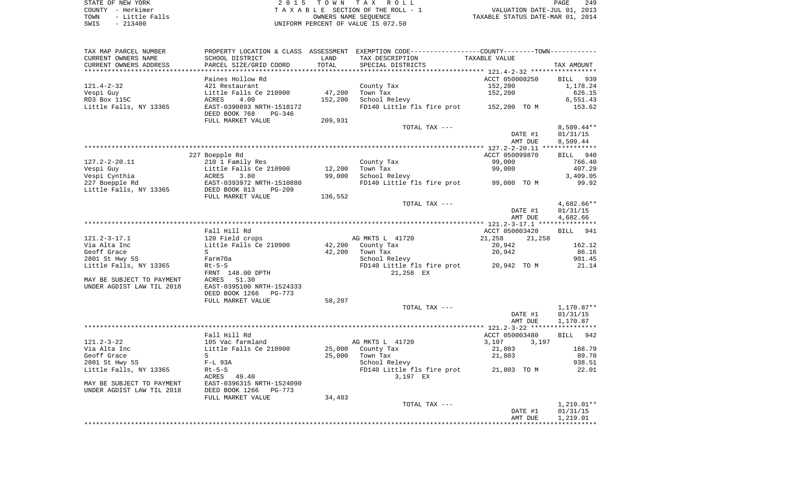| TAXABLE VALUE<br>SCHOOL DISTRICT<br>LAND<br>TAX DESCRIPTION<br>PARCEL SIZE/GRID COORD<br>TOTAL<br>SPECIAL DISTRICTS<br>TAX AMOUNT<br>******************** 121.4-2-32 ******************<br>ACCT 050008250<br>Paines Hollow Rd<br>BILL 939<br>$121.4 - 2 - 32$<br>152,200<br>421 Restaurant<br>County Tax<br>1,178.24<br>47,200<br>152,200<br>Vespi Guy<br>Little Falls Ce 210900<br>Town Tax<br>626.15<br>RD3 Box 115C<br>4.00<br>152,200<br>School Relevy<br>6,551.43<br>ACRES<br>Little Falls, NY 13365<br>EAST-0390893 NRTH-1518172<br>FD140 Little fls fire prot 152,200 TO M<br>153.62<br>DEED BOOK 768<br>$PG-346$<br>FULL MARKET VALUE<br>209,931<br>TOTAL TAX ---<br>$8,509.44**$<br>DATE #1<br>01/31/15<br>AMT DUE<br>8,509.44<br>227 Boepple Rd<br>ACCT 050099870<br>BILL 940<br>$127.2 - 2 - 20.11$<br>99,000<br>210 1 Family Res<br>County Tax<br>766.40<br>99,000<br>Vespi Guy<br>Little Falls Ce 210900<br>12,200<br>Town Tax<br>407.29<br>Vespi Cynthia<br>99,000<br>3.80<br>School Relevy<br>3,409.05<br>ACRES<br>FD140 Little fls fire prot 99,000 TO M<br>227 Boepple Rd<br>EAST-0393972 NRTH-1510880<br>99.92<br>Little Falls, NY 13365<br>DEED BOOK 813<br>$PG-209$<br>FULL MARKET VALUE<br>136,552<br>TOTAL TAX ---<br>$4,682.66**$<br>01/31/15<br>DATE #1<br>4,682.66<br>AMT DUE<br>Fall Hill Rd<br>ACCT 050003420<br>BILL 941<br>$121.2 - 3 - 17.1$<br>120 Field crops<br>AG MKTS L 41720<br>21,258<br>21,258<br>Little Falls Ce 210900<br>Via Alta Inc<br>42,200 County Tax<br>20,942<br>162.12<br>Geoff Grace<br>86.16<br>S<br>42,200<br>Town Tax<br>20,942<br>2801 St Hwy 5S<br>Farm70a<br>School Relevy<br>901.45<br>FD140 Little fls fire prot 20,942 TO M<br>$Rt-5-S$<br>21.14<br>21,258 EX<br>FRNT 148.00 DPTH<br>51.30<br>ACRES<br>EAST-0395100 NRTH-1524333<br>DEED BOOK 1266<br>PG-773<br>FULL MARKET VALUE<br>58,207<br>TOTAL TAX ---<br>1,170.87**<br>DATE #1<br>01/31/15<br>AMT DUE<br>1,170.87<br>Fall Hill Rd<br>ACCT 050003480<br>BILL 942<br>$121.2 - 3 - 22$<br>AG MKTS L 41720<br>105 Vac farmland<br>3,197<br>3,197<br>Via Alta Inc<br>Little Falls Ce 210900<br>25,000<br>County Tax<br>21,803<br>168.79<br>Geoff Grace<br>25,000<br>89.70<br>S<br>Town Tax<br>21,803<br>2801 St Hwy 5S<br>938.51<br>$F-L$ 93A<br>School Relevy<br>FD140 Little fls fire prot 21,803 TO M<br>Little Falls, NY 13365<br>$Rt-5-S$<br>22.01<br>ACRES 49.40<br>3,197 EX<br>EAST-0396315 NRTH-1524090<br>MAY BE SUBJECT TO PAYMENT<br>UNDER AGDIST LAW TIL 2018<br>DEED BOOK 1266<br>PG-773<br>FULL MARKET VALUE<br>34,483<br>$1,219.01**$<br>TOTAL TAX ---<br>DATE #1<br>01/31/15<br>1,219.01<br>AMT DUE | TAX MAP PARCEL NUMBER     |  | PROPERTY LOCATION & CLASS ASSESSMENT EXEMPTION CODE---------------COUNTY-------TOWN---------- |  |
|----------------------------------------------------------------------------------------------------------------------------------------------------------------------------------------------------------------------------------------------------------------------------------------------------------------------------------------------------------------------------------------------------------------------------------------------------------------------------------------------------------------------------------------------------------------------------------------------------------------------------------------------------------------------------------------------------------------------------------------------------------------------------------------------------------------------------------------------------------------------------------------------------------------------------------------------------------------------------------------------------------------------------------------------------------------------------------------------------------------------------------------------------------------------------------------------------------------------------------------------------------------------------------------------------------------------------------------------------------------------------------------------------------------------------------------------------------------------------------------------------------------------------------------------------------------------------------------------------------------------------------------------------------------------------------------------------------------------------------------------------------------------------------------------------------------------------------------------------------------------------------------------------------------------------------------------------------------------------------------------------------------------------------------------------------------------------------------------------------------------------------------------------------------------------------------------------------------------------------------------------------------------------------------------------------------------------------------------------------------------------------------------------------------------------------------------------------------------------------------------------------------------------------------------------------------------------------------------------------------------------------|---------------------------|--|-----------------------------------------------------------------------------------------------|--|
|                                                                                                                                                                                                                                                                                                                                                                                                                                                                                                                                                                                                                                                                                                                                                                                                                                                                                                                                                                                                                                                                                                                                                                                                                                                                                                                                                                                                                                                                                                                                                                                                                                                                                                                                                                                                                                                                                                                                                                                                                                                                                                                                                                                                                                                                                                                                                                                                                                                                                                                                                                                                                                  | CURRENT OWNERS NAME       |  |                                                                                               |  |
|                                                                                                                                                                                                                                                                                                                                                                                                                                                                                                                                                                                                                                                                                                                                                                                                                                                                                                                                                                                                                                                                                                                                                                                                                                                                                                                                                                                                                                                                                                                                                                                                                                                                                                                                                                                                                                                                                                                                                                                                                                                                                                                                                                                                                                                                                                                                                                                                                                                                                                                                                                                                                                  | CURRENT OWNERS ADDRESS    |  |                                                                                               |  |
|                                                                                                                                                                                                                                                                                                                                                                                                                                                                                                                                                                                                                                                                                                                                                                                                                                                                                                                                                                                                                                                                                                                                                                                                                                                                                                                                                                                                                                                                                                                                                                                                                                                                                                                                                                                                                                                                                                                                                                                                                                                                                                                                                                                                                                                                                                                                                                                                                                                                                                                                                                                                                                  |                           |  |                                                                                               |  |
|                                                                                                                                                                                                                                                                                                                                                                                                                                                                                                                                                                                                                                                                                                                                                                                                                                                                                                                                                                                                                                                                                                                                                                                                                                                                                                                                                                                                                                                                                                                                                                                                                                                                                                                                                                                                                                                                                                                                                                                                                                                                                                                                                                                                                                                                                                                                                                                                                                                                                                                                                                                                                                  |                           |  |                                                                                               |  |
|                                                                                                                                                                                                                                                                                                                                                                                                                                                                                                                                                                                                                                                                                                                                                                                                                                                                                                                                                                                                                                                                                                                                                                                                                                                                                                                                                                                                                                                                                                                                                                                                                                                                                                                                                                                                                                                                                                                                                                                                                                                                                                                                                                                                                                                                                                                                                                                                                                                                                                                                                                                                                                  |                           |  |                                                                                               |  |
|                                                                                                                                                                                                                                                                                                                                                                                                                                                                                                                                                                                                                                                                                                                                                                                                                                                                                                                                                                                                                                                                                                                                                                                                                                                                                                                                                                                                                                                                                                                                                                                                                                                                                                                                                                                                                                                                                                                                                                                                                                                                                                                                                                                                                                                                                                                                                                                                                                                                                                                                                                                                                                  |                           |  |                                                                                               |  |
|                                                                                                                                                                                                                                                                                                                                                                                                                                                                                                                                                                                                                                                                                                                                                                                                                                                                                                                                                                                                                                                                                                                                                                                                                                                                                                                                                                                                                                                                                                                                                                                                                                                                                                                                                                                                                                                                                                                                                                                                                                                                                                                                                                                                                                                                                                                                                                                                                                                                                                                                                                                                                                  |                           |  |                                                                                               |  |
|                                                                                                                                                                                                                                                                                                                                                                                                                                                                                                                                                                                                                                                                                                                                                                                                                                                                                                                                                                                                                                                                                                                                                                                                                                                                                                                                                                                                                                                                                                                                                                                                                                                                                                                                                                                                                                                                                                                                                                                                                                                                                                                                                                                                                                                                                                                                                                                                                                                                                                                                                                                                                                  |                           |  |                                                                                               |  |
|                                                                                                                                                                                                                                                                                                                                                                                                                                                                                                                                                                                                                                                                                                                                                                                                                                                                                                                                                                                                                                                                                                                                                                                                                                                                                                                                                                                                                                                                                                                                                                                                                                                                                                                                                                                                                                                                                                                                                                                                                                                                                                                                                                                                                                                                                                                                                                                                                                                                                                                                                                                                                                  |                           |  |                                                                                               |  |
|                                                                                                                                                                                                                                                                                                                                                                                                                                                                                                                                                                                                                                                                                                                                                                                                                                                                                                                                                                                                                                                                                                                                                                                                                                                                                                                                                                                                                                                                                                                                                                                                                                                                                                                                                                                                                                                                                                                                                                                                                                                                                                                                                                                                                                                                                                                                                                                                                                                                                                                                                                                                                                  |                           |  |                                                                                               |  |
|                                                                                                                                                                                                                                                                                                                                                                                                                                                                                                                                                                                                                                                                                                                                                                                                                                                                                                                                                                                                                                                                                                                                                                                                                                                                                                                                                                                                                                                                                                                                                                                                                                                                                                                                                                                                                                                                                                                                                                                                                                                                                                                                                                                                                                                                                                                                                                                                                                                                                                                                                                                                                                  |                           |  |                                                                                               |  |
|                                                                                                                                                                                                                                                                                                                                                                                                                                                                                                                                                                                                                                                                                                                                                                                                                                                                                                                                                                                                                                                                                                                                                                                                                                                                                                                                                                                                                                                                                                                                                                                                                                                                                                                                                                                                                                                                                                                                                                                                                                                                                                                                                                                                                                                                                                                                                                                                                                                                                                                                                                                                                                  |                           |  |                                                                                               |  |
|                                                                                                                                                                                                                                                                                                                                                                                                                                                                                                                                                                                                                                                                                                                                                                                                                                                                                                                                                                                                                                                                                                                                                                                                                                                                                                                                                                                                                                                                                                                                                                                                                                                                                                                                                                                                                                                                                                                                                                                                                                                                                                                                                                                                                                                                                                                                                                                                                                                                                                                                                                                                                                  |                           |  |                                                                                               |  |
|                                                                                                                                                                                                                                                                                                                                                                                                                                                                                                                                                                                                                                                                                                                                                                                                                                                                                                                                                                                                                                                                                                                                                                                                                                                                                                                                                                                                                                                                                                                                                                                                                                                                                                                                                                                                                                                                                                                                                                                                                                                                                                                                                                                                                                                                                                                                                                                                                                                                                                                                                                                                                                  |                           |  |                                                                                               |  |
|                                                                                                                                                                                                                                                                                                                                                                                                                                                                                                                                                                                                                                                                                                                                                                                                                                                                                                                                                                                                                                                                                                                                                                                                                                                                                                                                                                                                                                                                                                                                                                                                                                                                                                                                                                                                                                                                                                                                                                                                                                                                                                                                                                                                                                                                                                                                                                                                                                                                                                                                                                                                                                  |                           |  |                                                                                               |  |
|                                                                                                                                                                                                                                                                                                                                                                                                                                                                                                                                                                                                                                                                                                                                                                                                                                                                                                                                                                                                                                                                                                                                                                                                                                                                                                                                                                                                                                                                                                                                                                                                                                                                                                                                                                                                                                                                                                                                                                                                                                                                                                                                                                                                                                                                                                                                                                                                                                                                                                                                                                                                                                  |                           |  |                                                                                               |  |
|                                                                                                                                                                                                                                                                                                                                                                                                                                                                                                                                                                                                                                                                                                                                                                                                                                                                                                                                                                                                                                                                                                                                                                                                                                                                                                                                                                                                                                                                                                                                                                                                                                                                                                                                                                                                                                                                                                                                                                                                                                                                                                                                                                                                                                                                                                                                                                                                                                                                                                                                                                                                                                  |                           |  |                                                                                               |  |
|                                                                                                                                                                                                                                                                                                                                                                                                                                                                                                                                                                                                                                                                                                                                                                                                                                                                                                                                                                                                                                                                                                                                                                                                                                                                                                                                                                                                                                                                                                                                                                                                                                                                                                                                                                                                                                                                                                                                                                                                                                                                                                                                                                                                                                                                                                                                                                                                                                                                                                                                                                                                                                  |                           |  |                                                                                               |  |
|                                                                                                                                                                                                                                                                                                                                                                                                                                                                                                                                                                                                                                                                                                                                                                                                                                                                                                                                                                                                                                                                                                                                                                                                                                                                                                                                                                                                                                                                                                                                                                                                                                                                                                                                                                                                                                                                                                                                                                                                                                                                                                                                                                                                                                                                                                                                                                                                                                                                                                                                                                                                                                  |                           |  |                                                                                               |  |
|                                                                                                                                                                                                                                                                                                                                                                                                                                                                                                                                                                                                                                                                                                                                                                                                                                                                                                                                                                                                                                                                                                                                                                                                                                                                                                                                                                                                                                                                                                                                                                                                                                                                                                                                                                                                                                                                                                                                                                                                                                                                                                                                                                                                                                                                                                                                                                                                                                                                                                                                                                                                                                  |                           |  |                                                                                               |  |
|                                                                                                                                                                                                                                                                                                                                                                                                                                                                                                                                                                                                                                                                                                                                                                                                                                                                                                                                                                                                                                                                                                                                                                                                                                                                                                                                                                                                                                                                                                                                                                                                                                                                                                                                                                                                                                                                                                                                                                                                                                                                                                                                                                                                                                                                                                                                                                                                                                                                                                                                                                                                                                  |                           |  |                                                                                               |  |
|                                                                                                                                                                                                                                                                                                                                                                                                                                                                                                                                                                                                                                                                                                                                                                                                                                                                                                                                                                                                                                                                                                                                                                                                                                                                                                                                                                                                                                                                                                                                                                                                                                                                                                                                                                                                                                                                                                                                                                                                                                                                                                                                                                                                                                                                                                                                                                                                                                                                                                                                                                                                                                  |                           |  |                                                                                               |  |
|                                                                                                                                                                                                                                                                                                                                                                                                                                                                                                                                                                                                                                                                                                                                                                                                                                                                                                                                                                                                                                                                                                                                                                                                                                                                                                                                                                                                                                                                                                                                                                                                                                                                                                                                                                                                                                                                                                                                                                                                                                                                                                                                                                                                                                                                                                                                                                                                                                                                                                                                                                                                                                  |                           |  |                                                                                               |  |
|                                                                                                                                                                                                                                                                                                                                                                                                                                                                                                                                                                                                                                                                                                                                                                                                                                                                                                                                                                                                                                                                                                                                                                                                                                                                                                                                                                                                                                                                                                                                                                                                                                                                                                                                                                                                                                                                                                                                                                                                                                                                                                                                                                                                                                                                                                                                                                                                                                                                                                                                                                                                                                  |                           |  |                                                                                               |  |
|                                                                                                                                                                                                                                                                                                                                                                                                                                                                                                                                                                                                                                                                                                                                                                                                                                                                                                                                                                                                                                                                                                                                                                                                                                                                                                                                                                                                                                                                                                                                                                                                                                                                                                                                                                                                                                                                                                                                                                                                                                                                                                                                                                                                                                                                                                                                                                                                                                                                                                                                                                                                                                  |                           |  |                                                                                               |  |
|                                                                                                                                                                                                                                                                                                                                                                                                                                                                                                                                                                                                                                                                                                                                                                                                                                                                                                                                                                                                                                                                                                                                                                                                                                                                                                                                                                                                                                                                                                                                                                                                                                                                                                                                                                                                                                                                                                                                                                                                                                                                                                                                                                                                                                                                                                                                                                                                                                                                                                                                                                                                                                  |                           |  |                                                                                               |  |
|                                                                                                                                                                                                                                                                                                                                                                                                                                                                                                                                                                                                                                                                                                                                                                                                                                                                                                                                                                                                                                                                                                                                                                                                                                                                                                                                                                                                                                                                                                                                                                                                                                                                                                                                                                                                                                                                                                                                                                                                                                                                                                                                                                                                                                                                                                                                                                                                                                                                                                                                                                                                                                  |                           |  |                                                                                               |  |
|                                                                                                                                                                                                                                                                                                                                                                                                                                                                                                                                                                                                                                                                                                                                                                                                                                                                                                                                                                                                                                                                                                                                                                                                                                                                                                                                                                                                                                                                                                                                                                                                                                                                                                                                                                                                                                                                                                                                                                                                                                                                                                                                                                                                                                                                                                                                                                                                                                                                                                                                                                                                                                  |                           |  |                                                                                               |  |
|                                                                                                                                                                                                                                                                                                                                                                                                                                                                                                                                                                                                                                                                                                                                                                                                                                                                                                                                                                                                                                                                                                                                                                                                                                                                                                                                                                                                                                                                                                                                                                                                                                                                                                                                                                                                                                                                                                                                                                                                                                                                                                                                                                                                                                                                                                                                                                                                                                                                                                                                                                                                                                  |                           |  |                                                                                               |  |
|                                                                                                                                                                                                                                                                                                                                                                                                                                                                                                                                                                                                                                                                                                                                                                                                                                                                                                                                                                                                                                                                                                                                                                                                                                                                                                                                                                                                                                                                                                                                                                                                                                                                                                                                                                                                                                                                                                                                                                                                                                                                                                                                                                                                                                                                                                                                                                                                                                                                                                                                                                                                                                  |                           |  |                                                                                               |  |
|                                                                                                                                                                                                                                                                                                                                                                                                                                                                                                                                                                                                                                                                                                                                                                                                                                                                                                                                                                                                                                                                                                                                                                                                                                                                                                                                                                                                                                                                                                                                                                                                                                                                                                                                                                                                                                                                                                                                                                                                                                                                                                                                                                                                                                                                                                                                                                                                                                                                                                                                                                                                                                  |                           |  |                                                                                               |  |
|                                                                                                                                                                                                                                                                                                                                                                                                                                                                                                                                                                                                                                                                                                                                                                                                                                                                                                                                                                                                                                                                                                                                                                                                                                                                                                                                                                                                                                                                                                                                                                                                                                                                                                                                                                                                                                                                                                                                                                                                                                                                                                                                                                                                                                                                                                                                                                                                                                                                                                                                                                                                                                  | Little Falls, NY 13365    |  |                                                                                               |  |
|                                                                                                                                                                                                                                                                                                                                                                                                                                                                                                                                                                                                                                                                                                                                                                                                                                                                                                                                                                                                                                                                                                                                                                                                                                                                                                                                                                                                                                                                                                                                                                                                                                                                                                                                                                                                                                                                                                                                                                                                                                                                                                                                                                                                                                                                                                                                                                                                                                                                                                                                                                                                                                  |                           |  |                                                                                               |  |
|                                                                                                                                                                                                                                                                                                                                                                                                                                                                                                                                                                                                                                                                                                                                                                                                                                                                                                                                                                                                                                                                                                                                                                                                                                                                                                                                                                                                                                                                                                                                                                                                                                                                                                                                                                                                                                                                                                                                                                                                                                                                                                                                                                                                                                                                                                                                                                                                                                                                                                                                                                                                                                  | MAY BE SUBJECT TO PAYMENT |  |                                                                                               |  |
|                                                                                                                                                                                                                                                                                                                                                                                                                                                                                                                                                                                                                                                                                                                                                                                                                                                                                                                                                                                                                                                                                                                                                                                                                                                                                                                                                                                                                                                                                                                                                                                                                                                                                                                                                                                                                                                                                                                                                                                                                                                                                                                                                                                                                                                                                                                                                                                                                                                                                                                                                                                                                                  | UNDER AGDIST LAW TIL 2018 |  |                                                                                               |  |
|                                                                                                                                                                                                                                                                                                                                                                                                                                                                                                                                                                                                                                                                                                                                                                                                                                                                                                                                                                                                                                                                                                                                                                                                                                                                                                                                                                                                                                                                                                                                                                                                                                                                                                                                                                                                                                                                                                                                                                                                                                                                                                                                                                                                                                                                                                                                                                                                                                                                                                                                                                                                                                  |                           |  |                                                                                               |  |
|                                                                                                                                                                                                                                                                                                                                                                                                                                                                                                                                                                                                                                                                                                                                                                                                                                                                                                                                                                                                                                                                                                                                                                                                                                                                                                                                                                                                                                                                                                                                                                                                                                                                                                                                                                                                                                                                                                                                                                                                                                                                                                                                                                                                                                                                                                                                                                                                                                                                                                                                                                                                                                  |                           |  |                                                                                               |  |
|                                                                                                                                                                                                                                                                                                                                                                                                                                                                                                                                                                                                                                                                                                                                                                                                                                                                                                                                                                                                                                                                                                                                                                                                                                                                                                                                                                                                                                                                                                                                                                                                                                                                                                                                                                                                                                                                                                                                                                                                                                                                                                                                                                                                                                                                                                                                                                                                                                                                                                                                                                                                                                  |                           |  |                                                                                               |  |
|                                                                                                                                                                                                                                                                                                                                                                                                                                                                                                                                                                                                                                                                                                                                                                                                                                                                                                                                                                                                                                                                                                                                                                                                                                                                                                                                                                                                                                                                                                                                                                                                                                                                                                                                                                                                                                                                                                                                                                                                                                                                                                                                                                                                                                                                                                                                                                                                                                                                                                                                                                                                                                  |                           |  |                                                                                               |  |
|                                                                                                                                                                                                                                                                                                                                                                                                                                                                                                                                                                                                                                                                                                                                                                                                                                                                                                                                                                                                                                                                                                                                                                                                                                                                                                                                                                                                                                                                                                                                                                                                                                                                                                                                                                                                                                                                                                                                                                                                                                                                                                                                                                                                                                                                                                                                                                                                                                                                                                                                                                                                                                  |                           |  |                                                                                               |  |
|                                                                                                                                                                                                                                                                                                                                                                                                                                                                                                                                                                                                                                                                                                                                                                                                                                                                                                                                                                                                                                                                                                                                                                                                                                                                                                                                                                                                                                                                                                                                                                                                                                                                                                                                                                                                                                                                                                                                                                                                                                                                                                                                                                                                                                                                                                                                                                                                                                                                                                                                                                                                                                  |                           |  |                                                                                               |  |
|                                                                                                                                                                                                                                                                                                                                                                                                                                                                                                                                                                                                                                                                                                                                                                                                                                                                                                                                                                                                                                                                                                                                                                                                                                                                                                                                                                                                                                                                                                                                                                                                                                                                                                                                                                                                                                                                                                                                                                                                                                                                                                                                                                                                                                                                                                                                                                                                                                                                                                                                                                                                                                  |                           |  |                                                                                               |  |
|                                                                                                                                                                                                                                                                                                                                                                                                                                                                                                                                                                                                                                                                                                                                                                                                                                                                                                                                                                                                                                                                                                                                                                                                                                                                                                                                                                                                                                                                                                                                                                                                                                                                                                                                                                                                                                                                                                                                                                                                                                                                                                                                                                                                                                                                                                                                                                                                                                                                                                                                                                                                                                  |                           |  |                                                                                               |  |
|                                                                                                                                                                                                                                                                                                                                                                                                                                                                                                                                                                                                                                                                                                                                                                                                                                                                                                                                                                                                                                                                                                                                                                                                                                                                                                                                                                                                                                                                                                                                                                                                                                                                                                                                                                                                                                                                                                                                                                                                                                                                                                                                                                                                                                                                                                                                                                                                                                                                                                                                                                                                                                  |                           |  |                                                                                               |  |
|                                                                                                                                                                                                                                                                                                                                                                                                                                                                                                                                                                                                                                                                                                                                                                                                                                                                                                                                                                                                                                                                                                                                                                                                                                                                                                                                                                                                                                                                                                                                                                                                                                                                                                                                                                                                                                                                                                                                                                                                                                                                                                                                                                                                                                                                                                                                                                                                                                                                                                                                                                                                                                  |                           |  |                                                                                               |  |
|                                                                                                                                                                                                                                                                                                                                                                                                                                                                                                                                                                                                                                                                                                                                                                                                                                                                                                                                                                                                                                                                                                                                                                                                                                                                                                                                                                                                                                                                                                                                                                                                                                                                                                                                                                                                                                                                                                                                                                                                                                                                                                                                                                                                                                                                                                                                                                                                                                                                                                                                                                                                                                  |                           |  |                                                                                               |  |
|                                                                                                                                                                                                                                                                                                                                                                                                                                                                                                                                                                                                                                                                                                                                                                                                                                                                                                                                                                                                                                                                                                                                                                                                                                                                                                                                                                                                                                                                                                                                                                                                                                                                                                                                                                                                                                                                                                                                                                                                                                                                                                                                                                                                                                                                                                                                                                                                                                                                                                                                                                                                                                  |                           |  |                                                                                               |  |
|                                                                                                                                                                                                                                                                                                                                                                                                                                                                                                                                                                                                                                                                                                                                                                                                                                                                                                                                                                                                                                                                                                                                                                                                                                                                                                                                                                                                                                                                                                                                                                                                                                                                                                                                                                                                                                                                                                                                                                                                                                                                                                                                                                                                                                                                                                                                                                                                                                                                                                                                                                                                                                  |                           |  |                                                                                               |  |
|                                                                                                                                                                                                                                                                                                                                                                                                                                                                                                                                                                                                                                                                                                                                                                                                                                                                                                                                                                                                                                                                                                                                                                                                                                                                                                                                                                                                                                                                                                                                                                                                                                                                                                                                                                                                                                                                                                                                                                                                                                                                                                                                                                                                                                                                                                                                                                                                                                                                                                                                                                                                                                  |                           |  |                                                                                               |  |
|                                                                                                                                                                                                                                                                                                                                                                                                                                                                                                                                                                                                                                                                                                                                                                                                                                                                                                                                                                                                                                                                                                                                                                                                                                                                                                                                                                                                                                                                                                                                                                                                                                                                                                                                                                                                                                                                                                                                                                                                                                                                                                                                                                                                                                                                                                                                                                                                                                                                                                                                                                                                                                  |                           |  |                                                                                               |  |
|                                                                                                                                                                                                                                                                                                                                                                                                                                                                                                                                                                                                                                                                                                                                                                                                                                                                                                                                                                                                                                                                                                                                                                                                                                                                                                                                                                                                                                                                                                                                                                                                                                                                                                                                                                                                                                                                                                                                                                                                                                                                                                                                                                                                                                                                                                                                                                                                                                                                                                                                                                                                                                  |                           |  |                                                                                               |  |
|                                                                                                                                                                                                                                                                                                                                                                                                                                                                                                                                                                                                                                                                                                                                                                                                                                                                                                                                                                                                                                                                                                                                                                                                                                                                                                                                                                                                                                                                                                                                                                                                                                                                                                                                                                                                                                                                                                                                                                                                                                                                                                                                                                                                                                                                                                                                                                                                                                                                                                                                                                                                                                  |                           |  |                                                                                               |  |
|                                                                                                                                                                                                                                                                                                                                                                                                                                                                                                                                                                                                                                                                                                                                                                                                                                                                                                                                                                                                                                                                                                                                                                                                                                                                                                                                                                                                                                                                                                                                                                                                                                                                                                                                                                                                                                                                                                                                                                                                                                                                                                                                                                                                                                                                                                                                                                                                                                                                                                                                                                                                                                  |                           |  |                                                                                               |  |
|                                                                                                                                                                                                                                                                                                                                                                                                                                                                                                                                                                                                                                                                                                                                                                                                                                                                                                                                                                                                                                                                                                                                                                                                                                                                                                                                                                                                                                                                                                                                                                                                                                                                                                                                                                                                                                                                                                                                                                                                                                                                                                                                                                                                                                                                                                                                                                                                                                                                                                                                                                                                                                  |                           |  |                                                                                               |  |
|                                                                                                                                                                                                                                                                                                                                                                                                                                                                                                                                                                                                                                                                                                                                                                                                                                                                                                                                                                                                                                                                                                                                                                                                                                                                                                                                                                                                                                                                                                                                                                                                                                                                                                                                                                                                                                                                                                                                                                                                                                                                                                                                                                                                                                                                                                                                                                                                                                                                                                                                                                                                                                  |                           |  |                                                                                               |  |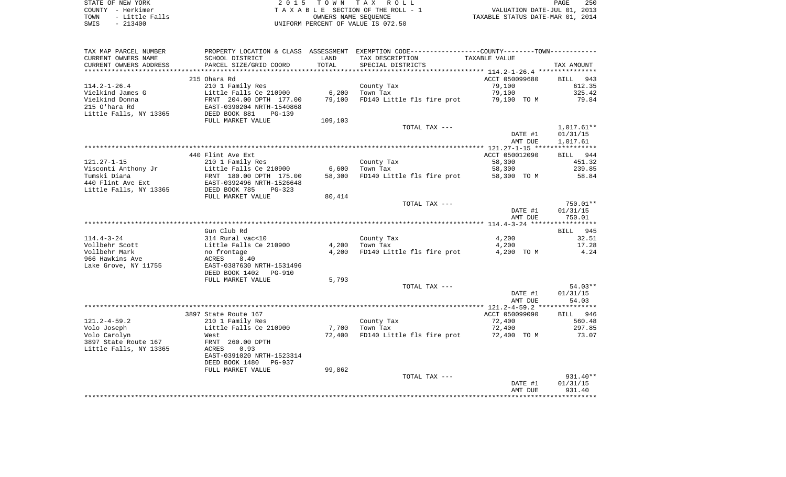| STATE OF NEW YORK |  |  |  |           |                |  |  |
|-------------------|--|--|--|-----------|----------------|--|--|
| COUNTY - Herkimer |  |  |  |           |                |  |  |
| TOWN              |  |  |  |           | - Little Falls |  |  |
| SWIS              |  |  |  | $-213400$ |                |  |  |

STATE OF NEW YORK 2 0 1 5 T O W N T A X R O L L PAGE 250 COUNTY - Herkimer T A X A B L E SECTION OF THE ROLL - 1 VALUATION DATE-JUL 01, 2013 TOWN - Little Falls OWNERS NAME SEQUENCE TAXABLE STATUS DATE-MAR 01, 2014 UNIFORM PERCENT OF VALUE IS 072.50

| *************************<br>215 Ohara Rd<br>ACCT 050099680<br><b>BILL</b><br>943<br>$114.2 - 1 - 26.4$<br>210 1 Family Res<br>79,100<br>612.35<br>County Tax<br>Little Falls Ce 210900<br>6,200<br>79,100<br>325.42<br>Town Tax<br>FRNT 204.00 DPTH 177.00<br>79,100<br>FD140 Little fls fire prot<br>79,100 TO M<br>79.84<br>215 O'hara Rd<br>EAST-0390204 NRTH-1540868<br>DEED BOOK 881<br>PG-139<br>109,103<br>FULL MARKET VALUE<br>$1,017.61**$<br>TOTAL TAX ---<br>01/31/15<br>DATE #1<br>1,017.61<br>AMT DUE<br>440 Flint Ave Ext<br>ACCT 050012090<br>944<br>BILL<br>$121.27 - 1 - 15$<br>210 1 Family Res<br>County Tax<br>58,300<br>451.32<br>Visconti Anthony Jr<br>Little Falls Ce 210900<br>58,300<br>239.85<br>6,600<br>Town Tax<br>Tumski Diana<br>FRNT 180.00 DPTH 175.00<br>58,300<br>FD140 Little fls fire prot<br>58,300 TO M<br>58.84<br>440 Flint Ave Ext<br>EAST-0392496 NRTH-1526648<br>Little Falls, NY 13365<br>DEED BOOK 785<br>$PG-323$<br>FULL MARKET VALUE<br>80,414<br>TOTAL TAX ---<br>$750.01**$<br>DATE #1<br>01/31/15<br>750.01<br>AMT DUE<br>Gun Club Rd<br>945<br>BILL<br>314 Rural vac<10<br>32.51<br>County Tax<br>4,200<br>Little Falls Ce 210900<br>4,200<br>Town Tax<br>4,200<br>17.28<br>Vollbehr Scott<br>Vollbehr Mark<br>4,200 TO M<br>4.24<br>no frontage<br>4,200<br>FD140 Little fls fire prot<br>966 Hawkins Ave<br>ACRES<br>8.40<br>Lake Grove, NY 11755<br>EAST-0387630 NRTH-1531496<br>DEED BOOK 1402<br>PG-910<br>FULL MARKET VALUE<br>5,793<br>$54.03**$<br>TOTAL TAX ---<br>DATE #1<br>01/31/15<br>54.03<br>AMT DUE<br>3897 State Route 167<br>ACCT 050099090<br><b>BILL</b><br>946<br>210 1 Family Res<br>County Tax<br>72,400<br>560.48<br>Little Falls Ce 210900<br>7,700<br>Town Tax<br>72,400<br>297.85<br>73.07<br>72,400<br>FD140 Little fls fire prot<br>72,400 TO M<br>West<br>3897 State Route 167<br>FRNT 260.00 DPTH<br>Little Falls, NY 13365<br><b>ACRES</b><br>0.93<br>EAST-0391020 NRTH-1523314<br>DEED BOOK 1480<br>PG-937<br>99,862<br>FULL MARKET VALUE<br>$931.40**$<br>TOTAL TAX ---<br>DATE #1<br>01/31/15<br>931.40<br>AMT DUE | TAX MAP PARCEL NUMBER<br>CURRENT OWNERS NAME<br>CURRENT OWNERS ADDRESS | PROPERTY LOCATION & CLASS ASSESSMENT<br>SCHOOL DISTRICT<br>PARCEL SIZE/GRID COORD | LAND<br>TOTAL | EXEMPTION CODE-----------------COUNTY-------TOWN-----------<br>TAX DESCRIPTION<br>SPECIAL DISTRICTS | TAXABLE VALUE | TAX AMOUNT |
|--------------------------------------------------------------------------------------------------------------------------------------------------------------------------------------------------------------------------------------------------------------------------------------------------------------------------------------------------------------------------------------------------------------------------------------------------------------------------------------------------------------------------------------------------------------------------------------------------------------------------------------------------------------------------------------------------------------------------------------------------------------------------------------------------------------------------------------------------------------------------------------------------------------------------------------------------------------------------------------------------------------------------------------------------------------------------------------------------------------------------------------------------------------------------------------------------------------------------------------------------------------------------------------------------------------------------------------------------------------------------------------------------------------------------------------------------------------------------------------------------------------------------------------------------------------------------------------------------------------------------------------------------------------------------------------------------------------------------------------------------------------------------------------------------------------------------------------------------------------------------------------------------------------------------------------------------------------------------------------------------------------------------------------------------------------------------------------------------------------|------------------------------------------------------------------------|-----------------------------------------------------------------------------------|---------------|-----------------------------------------------------------------------------------------------------|---------------|------------|
|                                                                                                                                                                                                                                                                                                                                                                                                                                                                                                                                                                                                                                                                                                                                                                                                                                                                                                                                                                                                                                                                                                                                                                                                                                                                                                                                                                                                                                                                                                                                                                                                                                                                                                                                                                                                                                                                                                                                                                                                                                                                                                              |                                                                        |                                                                                   |               |                                                                                                     |               |            |
|                                                                                                                                                                                                                                                                                                                                                                                                                                                                                                                                                                                                                                                                                                                                                                                                                                                                                                                                                                                                                                                                                                                                                                                                                                                                                                                                                                                                                                                                                                                                                                                                                                                                                                                                                                                                                                                                                                                                                                                                                                                                                                              |                                                                        |                                                                                   |               |                                                                                                     |               |            |
|                                                                                                                                                                                                                                                                                                                                                                                                                                                                                                                                                                                                                                                                                                                                                                                                                                                                                                                                                                                                                                                                                                                                                                                                                                                                                                                                                                                                                                                                                                                                                                                                                                                                                                                                                                                                                                                                                                                                                                                                                                                                                                              |                                                                        |                                                                                   |               |                                                                                                     |               |            |
|                                                                                                                                                                                                                                                                                                                                                                                                                                                                                                                                                                                                                                                                                                                                                                                                                                                                                                                                                                                                                                                                                                                                                                                                                                                                                                                                                                                                                                                                                                                                                                                                                                                                                                                                                                                                                                                                                                                                                                                                                                                                                                              | Vielkind James G                                                       |                                                                                   |               |                                                                                                     |               |            |
|                                                                                                                                                                                                                                                                                                                                                                                                                                                                                                                                                                                                                                                                                                                                                                                                                                                                                                                                                                                                                                                                                                                                                                                                                                                                                                                                                                                                                                                                                                                                                                                                                                                                                                                                                                                                                                                                                                                                                                                                                                                                                                              | Vielkind Donna                                                         |                                                                                   |               |                                                                                                     |               |            |
|                                                                                                                                                                                                                                                                                                                                                                                                                                                                                                                                                                                                                                                                                                                                                                                                                                                                                                                                                                                                                                                                                                                                                                                                                                                                                                                                                                                                                                                                                                                                                                                                                                                                                                                                                                                                                                                                                                                                                                                                                                                                                                              |                                                                        |                                                                                   |               |                                                                                                     |               |            |
|                                                                                                                                                                                                                                                                                                                                                                                                                                                                                                                                                                                                                                                                                                                                                                                                                                                                                                                                                                                                                                                                                                                                                                                                                                                                                                                                                                                                                                                                                                                                                                                                                                                                                                                                                                                                                                                                                                                                                                                                                                                                                                              | Little Falls, NY 13365                                                 |                                                                                   |               |                                                                                                     |               |            |
|                                                                                                                                                                                                                                                                                                                                                                                                                                                                                                                                                                                                                                                                                                                                                                                                                                                                                                                                                                                                                                                                                                                                                                                                                                                                                                                                                                                                                                                                                                                                                                                                                                                                                                                                                                                                                                                                                                                                                                                                                                                                                                              |                                                                        |                                                                                   |               |                                                                                                     |               |            |
|                                                                                                                                                                                                                                                                                                                                                                                                                                                                                                                                                                                                                                                                                                                                                                                                                                                                                                                                                                                                                                                                                                                                                                                                                                                                                                                                                                                                                                                                                                                                                                                                                                                                                                                                                                                                                                                                                                                                                                                                                                                                                                              |                                                                        |                                                                                   |               |                                                                                                     |               |            |
|                                                                                                                                                                                                                                                                                                                                                                                                                                                                                                                                                                                                                                                                                                                                                                                                                                                                                                                                                                                                                                                                                                                                                                                                                                                                                                                                                                                                                                                                                                                                                                                                                                                                                                                                                                                                                                                                                                                                                                                                                                                                                                              |                                                                        |                                                                                   |               |                                                                                                     |               |            |
|                                                                                                                                                                                                                                                                                                                                                                                                                                                                                                                                                                                                                                                                                                                                                                                                                                                                                                                                                                                                                                                                                                                                                                                                                                                                                                                                                                                                                                                                                                                                                                                                                                                                                                                                                                                                                                                                                                                                                                                                                                                                                                              |                                                                        |                                                                                   |               |                                                                                                     |               |            |
|                                                                                                                                                                                                                                                                                                                                                                                                                                                                                                                                                                                                                                                                                                                                                                                                                                                                                                                                                                                                                                                                                                                                                                                                                                                                                                                                                                                                                                                                                                                                                                                                                                                                                                                                                                                                                                                                                                                                                                                                                                                                                                              |                                                                        |                                                                                   |               |                                                                                                     |               |            |
|                                                                                                                                                                                                                                                                                                                                                                                                                                                                                                                                                                                                                                                                                                                                                                                                                                                                                                                                                                                                                                                                                                                                                                                                                                                                                                                                                                                                                                                                                                                                                                                                                                                                                                                                                                                                                                                                                                                                                                                                                                                                                                              |                                                                        |                                                                                   |               |                                                                                                     |               |            |
|                                                                                                                                                                                                                                                                                                                                                                                                                                                                                                                                                                                                                                                                                                                                                                                                                                                                                                                                                                                                                                                                                                                                                                                                                                                                                                                                                                                                                                                                                                                                                                                                                                                                                                                                                                                                                                                                                                                                                                                                                                                                                                              |                                                                        |                                                                                   |               |                                                                                                     |               |            |
|                                                                                                                                                                                                                                                                                                                                                                                                                                                                                                                                                                                                                                                                                                                                                                                                                                                                                                                                                                                                                                                                                                                                                                                                                                                                                                                                                                                                                                                                                                                                                                                                                                                                                                                                                                                                                                                                                                                                                                                                                                                                                                              |                                                                        |                                                                                   |               |                                                                                                     |               |            |
|                                                                                                                                                                                                                                                                                                                                                                                                                                                                                                                                                                                                                                                                                                                                                                                                                                                                                                                                                                                                                                                                                                                                                                                                                                                                                                                                                                                                                                                                                                                                                                                                                                                                                                                                                                                                                                                                                                                                                                                                                                                                                                              |                                                                        |                                                                                   |               |                                                                                                     |               |            |
|                                                                                                                                                                                                                                                                                                                                                                                                                                                                                                                                                                                                                                                                                                                                                                                                                                                                                                                                                                                                                                                                                                                                                                                                                                                                                                                                                                                                                                                                                                                                                                                                                                                                                                                                                                                                                                                                                                                                                                                                                                                                                                              |                                                                        |                                                                                   |               |                                                                                                     |               |            |
|                                                                                                                                                                                                                                                                                                                                                                                                                                                                                                                                                                                                                                                                                                                                                                                                                                                                                                                                                                                                                                                                                                                                                                                                                                                                                                                                                                                                                                                                                                                                                                                                                                                                                                                                                                                                                                                                                                                                                                                                                                                                                                              |                                                                        |                                                                                   |               |                                                                                                     |               |            |
|                                                                                                                                                                                                                                                                                                                                                                                                                                                                                                                                                                                                                                                                                                                                                                                                                                                                                                                                                                                                                                                                                                                                                                                                                                                                                                                                                                                                                                                                                                                                                                                                                                                                                                                                                                                                                                                                                                                                                                                                                                                                                                              |                                                                        |                                                                                   |               |                                                                                                     |               |            |
|                                                                                                                                                                                                                                                                                                                                                                                                                                                                                                                                                                                                                                                                                                                                                                                                                                                                                                                                                                                                                                                                                                                                                                                                                                                                                                                                                                                                                                                                                                                                                                                                                                                                                                                                                                                                                                                                                                                                                                                                                                                                                                              |                                                                        |                                                                                   |               |                                                                                                     |               |            |
|                                                                                                                                                                                                                                                                                                                                                                                                                                                                                                                                                                                                                                                                                                                                                                                                                                                                                                                                                                                                                                                                                                                                                                                                                                                                                                                                                                                                                                                                                                                                                                                                                                                                                                                                                                                                                                                                                                                                                                                                                                                                                                              |                                                                        |                                                                                   |               |                                                                                                     |               |            |
|                                                                                                                                                                                                                                                                                                                                                                                                                                                                                                                                                                                                                                                                                                                                                                                                                                                                                                                                                                                                                                                                                                                                                                                                                                                                                                                                                                                                                                                                                                                                                                                                                                                                                                                                                                                                                                                                                                                                                                                                                                                                                                              |                                                                        |                                                                                   |               |                                                                                                     |               |            |
|                                                                                                                                                                                                                                                                                                                                                                                                                                                                                                                                                                                                                                                                                                                                                                                                                                                                                                                                                                                                                                                                                                                                                                                                                                                                                                                                                                                                                                                                                                                                                                                                                                                                                                                                                                                                                                                                                                                                                                                                                                                                                                              |                                                                        |                                                                                   |               |                                                                                                     |               |            |
|                                                                                                                                                                                                                                                                                                                                                                                                                                                                                                                                                                                                                                                                                                                                                                                                                                                                                                                                                                                                                                                                                                                                                                                                                                                                                                                                                                                                                                                                                                                                                                                                                                                                                                                                                                                                                                                                                                                                                                                                                                                                                                              | $114.4 - 3 - 24$                                                       |                                                                                   |               |                                                                                                     |               |            |
|                                                                                                                                                                                                                                                                                                                                                                                                                                                                                                                                                                                                                                                                                                                                                                                                                                                                                                                                                                                                                                                                                                                                                                                                                                                                                                                                                                                                                                                                                                                                                                                                                                                                                                                                                                                                                                                                                                                                                                                                                                                                                                              |                                                                        |                                                                                   |               |                                                                                                     |               |            |
|                                                                                                                                                                                                                                                                                                                                                                                                                                                                                                                                                                                                                                                                                                                                                                                                                                                                                                                                                                                                                                                                                                                                                                                                                                                                                                                                                                                                                                                                                                                                                                                                                                                                                                                                                                                                                                                                                                                                                                                                                                                                                                              |                                                                        |                                                                                   |               |                                                                                                     |               |            |
|                                                                                                                                                                                                                                                                                                                                                                                                                                                                                                                                                                                                                                                                                                                                                                                                                                                                                                                                                                                                                                                                                                                                                                                                                                                                                                                                                                                                                                                                                                                                                                                                                                                                                                                                                                                                                                                                                                                                                                                                                                                                                                              |                                                                        |                                                                                   |               |                                                                                                     |               |            |
|                                                                                                                                                                                                                                                                                                                                                                                                                                                                                                                                                                                                                                                                                                                                                                                                                                                                                                                                                                                                                                                                                                                                                                                                                                                                                                                                                                                                                                                                                                                                                                                                                                                                                                                                                                                                                                                                                                                                                                                                                                                                                                              |                                                                        |                                                                                   |               |                                                                                                     |               |            |
|                                                                                                                                                                                                                                                                                                                                                                                                                                                                                                                                                                                                                                                                                                                                                                                                                                                                                                                                                                                                                                                                                                                                                                                                                                                                                                                                                                                                                                                                                                                                                                                                                                                                                                                                                                                                                                                                                                                                                                                                                                                                                                              |                                                                        |                                                                                   |               |                                                                                                     |               |            |
|                                                                                                                                                                                                                                                                                                                                                                                                                                                                                                                                                                                                                                                                                                                                                                                                                                                                                                                                                                                                                                                                                                                                                                                                                                                                                                                                                                                                                                                                                                                                                                                                                                                                                                                                                                                                                                                                                                                                                                                                                                                                                                              |                                                                        |                                                                                   |               |                                                                                                     |               |            |
|                                                                                                                                                                                                                                                                                                                                                                                                                                                                                                                                                                                                                                                                                                                                                                                                                                                                                                                                                                                                                                                                                                                                                                                                                                                                                                                                                                                                                                                                                                                                                                                                                                                                                                                                                                                                                                                                                                                                                                                                                                                                                                              |                                                                        |                                                                                   |               |                                                                                                     |               |            |
|                                                                                                                                                                                                                                                                                                                                                                                                                                                                                                                                                                                                                                                                                                                                                                                                                                                                                                                                                                                                                                                                                                                                                                                                                                                                                                                                                                                                                                                                                                                                                                                                                                                                                                                                                                                                                                                                                                                                                                                                                                                                                                              |                                                                        |                                                                                   |               |                                                                                                     |               |            |
|                                                                                                                                                                                                                                                                                                                                                                                                                                                                                                                                                                                                                                                                                                                                                                                                                                                                                                                                                                                                                                                                                                                                                                                                                                                                                                                                                                                                                                                                                                                                                                                                                                                                                                                                                                                                                                                                                                                                                                                                                                                                                                              |                                                                        |                                                                                   |               |                                                                                                     |               |            |
|                                                                                                                                                                                                                                                                                                                                                                                                                                                                                                                                                                                                                                                                                                                                                                                                                                                                                                                                                                                                                                                                                                                                                                                                                                                                                                                                                                                                                                                                                                                                                                                                                                                                                                                                                                                                                                                                                                                                                                                                                                                                                                              |                                                                        |                                                                                   |               |                                                                                                     |               |            |
|                                                                                                                                                                                                                                                                                                                                                                                                                                                                                                                                                                                                                                                                                                                                                                                                                                                                                                                                                                                                                                                                                                                                                                                                                                                                                                                                                                                                                                                                                                                                                                                                                                                                                                                                                                                                                                                                                                                                                                                                                                                                                                              | $121.2 - 4 - 59.2$                                                     |                                                                                   |               |                                                                                                     |               |            |
|                                                                                                                                                                                                                                                                                                                                                                                                                                                                                                                                                                                                                                                                                                                                                                                                                                                                                                                                                                                                                                                                                                                                                                                                                                                                                                                                                                                                                                                                                                                                                                                                                                                                                                                                                                                                                                                                                                                                                                                                                                                                                                              | Volo Joseph                                                            |                                                                                   |               |                                                                                                     |               |            |
|                                                                                                                                                                                                                                                                                                                                                                                                                                                                                                                                                                                                                                                                                                                                                                                                                                                                                                                                                                                                                                                                                                                                                                                                                                                                                                                                                                                                                                                                                                                                                                                                                                                                                                                                                                                                                                                                                                                                                                                                                                                                                                              | Volo Carolyn                                                           |                                                                                   |               |                                                                                                     |               |            |
|                                                                                                                                                                                                                                                                                                                                                                                                                                                                                                                                                                                                                                                                                                                                                                                                                                                                                                                                                                                                                                                                                                                                                                                                                                                                                                                                                                                                                                                                                                                                                                                                                                                                                                                                                                                                                                                                                                                                                                                                                                                                                                              |                                                                        |                                                                                   |               |                                                                                                     |               |            |
|                                                                                                                                                                                                                                                                                                                                                                                                                                                                                                                                                                                                                                                                                                                                                                                                                                                                                                                                                                                                                                                                                                                                                                                                                                                                                                                                                                                                                                                                                                                                                                                                                                                                                                                                                                                                                                                                                                                                                                                                                                                                                                              |                                                                        |                                                                                   |               |                                                                                                     |               |            |
|                                                                                                                                                                                                                                                                                                                                                                                                                                                                                                                                                                                                                                                                                                                                                                                                                                                                                                                                                                                                                                                                                                                                                                                                                                                                                                                                                                                                                                                                                                                                                                                                                                                                                                                                                                                                                                                                                                                                                                                                                                                                                                              |                                                                        |                                                                                   |               |                                                                                                     |               |            |
|                                                                                                                                                                                                                                                                                                                                                                                                                                                                                                                                                                                                                                                                                                                                                                                                                                                                                                                                                                                                                                                                                                                                                                                                                                                                                                                                                                                                                                                                                                                                                                                                                                                                                                                                                                                                                                                                                                                                                                                                                                                                                                              |                                                                        |                                                                                   |               |                                                                                                     |               |            |
|                                                                                                                                                                                                                                                                                                                                                                                                                                                                                                                                                                                                                                                                                                                                                                                                                                                                                                                                                                                                                                                                                                                                                                                                                                                                                                                                                                                                                                                                                                                                                                                                                                                                                                                                                                                                                                                                                                                                                                                                                                                                                                              |                                                                        |                                                                                   |               |                                                                                                     |               |            |
|                                                                                                                                                                                                                                                                                                                                                                                                                                                                                                                                                                                                                                                                                                                                                                                                                                                                                                                                                                                                                                                                                                                                                                                                                                                                                                                                                                                                                                                                                                                                                                                                                                                                                                                                                                                                                                                                                                                                                                                                                                                                                                              |                                                                        |                                                                                   |               |                                                                                                     |               |            |
|                                                                                                                                                                                                                                                                                                                                                                                                                                                                                                                                                                                                                                                                                                                                                                                                                                                                                                                                                                                                                                                                                                                                                                                                                                                                                                                                                                                                                                                                                                                                                                                                                                                                                                                                                                                                                                                                                                                                                                                                                                                                                                              |                                                                        |                                                                                   |               |                                                                                                     |               |            |
|                                                                                                                                                                                                                                                                                                                                                                                                                                                                                                                                                                                                                                                                                                                                                                                                                                                                                                                                                                                                                                                                                                                                                                                                                                                                                                                                                                                                                                                                                                                                                                                                                                                                                                                                                                                                                                                                                                                                                                                                                                                                                                              |                                                                        |                                                                                   |               |                                                                                                     |               |            |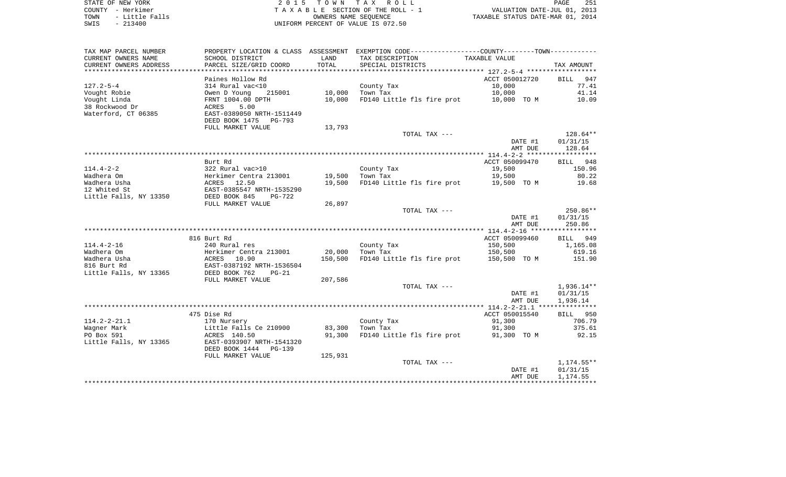| STATE OF NEW YORK      | 2015 TOWN TAX ROLL                 | 251<br>PAGE                      |
|------------------------|------------------------------------|----------------------------------|
| COUNTY - Herkimer      | TAXABLE SECTION OF THE ROLL - 1    | VALUATION DATE-JUL 01, 2013      |
| - Little Falls<br>TOWN | OWNERS NAME SEOUENCE               | TAXABLE STATUS DATE-MAR 01, 2014 |
| SWIS<br>$-213400$      | UNIFORM PERCENT OF VALUE IS 072.50 |                                  |

| TAX MAP PARCEL NUMBER                 |                                            |         | PROPERTY LOCATION & CLASS ASSESSMENT EXEMPTION CODE---------------COUNTY-------TOWN---------- |                    |                    |
|---------------------------------------|--------------------------------------------|---------|-----------------------------------------------------------------------------------------------|--------------------|--------------------|
| CURRENT OWNERS NAME                   | SCHOOL DISTRICT                            | LAND    | TAX DESCRIPTION                                                                               | TAXABLE VALUE      |                    |
| CURRENT OWNERS ADDRESS                | PARCEL SIZE/GRID COORD                     | TOTAL   | SPECIAL DISTRICTS                                                                             |                    | TAX AMOUNT         |
| **************************            |                                            |         |                                                                                               |                    |                    |
|                                       | Paines Hollow Rd                           |         |                                                                                               | ACCT 050012720     | <b>BILL</b><br>947 |
| $127.2 - 5 - 4$                       | 314 Rural vac<10                           |         | County Tax                                                                                    | 10,000             | 77.41              |
| Vought Robie                          | Owen D Young<br>215001                     | 10,000  | Town Tax                                                                                      | 10,000             | 41.14              |
| Vought Linda                          | FRNT 1004.00 DPTH                          | 10,000  | FD140 Little fls fire prot                                                                    | 10,000 TO M        | 10.09              |
| 38 Rockwood Dr<br>Waterford, CT 06385 | 5.00<br>ACRES<br>EAST-0389050 NRTH-1511449 |         |                                                                                               |                    |                    |
|                                       | DEED BOOK 1475<br>PG-793                   |         |                                                                                               |                    |                    |
|                                       | FULL MARKET VALUE                          | 13,793  |                                                                                               |                    |                    |
|                                       |                                            |         | TOTAL TAX ---                                                                                 |                    | $128.64**$         |
|                                       |                                            |         |                                                                                               | DATE #1            | 01/31/15           |
|                                       |                                            |         |                                                                                               | AMT DUE            | 128.64             |
|                                       |                                            |         |                                                                                               |                    |                    |
|                                       | Burt Rd                                    |         |                                                                                               | ACCT 050099470     | BILL 948           |
| $114.4 - 2 - 2$                       | 322 Rural vac>10                           |         | County Tax                                                                                    | 19,500             | 150.96             |
| Wadhera Om                            | Herkimer Centra 213001<br>ACRES 12.50      | 19,500  | Town Tax                                                                                      | 19,500             | 80.22              |
| Wadhera Usha                          |                                            | 19,500  | FD140 Little fls fire prot                                                                    | 19,500 TO M        | 19.68              |
| 12 Whited St                          | EAST-0385547 NRTH-1535290                  |         |                                                                                               |                    |                    |
| Little Falls, NY 13350                | DEED BOOK 845<br>PG-722                    |         |                                                                                               |                    |                    |
|                                       | FULL MARKET VALUE                          | 26,897  |                                                                                               |                    |                    |
|                                       |                                            |         | TOTAL TAX ---                                                                                 |                    | $250.86**$         |
|                                       |                                            |         |                                                                                               | DATE #1            | 01/31/15           |
|                                       |                                            |         |                                                                                               | AMT DUE            | 250.86             |
|                                       |                                            |         |                                                                                               |                    |                    |
| $114.4 - 2 - 16$                      | 816 Burt Rd                                |         |                                                                                               | ACCT 050099460     | BILL 949           |
| Wadhera Om                            | 240 Rural res<br>Herkimer Centra 213001    | 20,000  | County Tax<br>Town Tax                                                                        | 150,500<br>150,500 | 1,165.08<br>619.16 |
| Wadhera Usha                          | ACRES<br>10.90                             | 150,500 | FD140 Little fls fire prot                                                                    | 150,500 TO M       | 151.90             |
| 816 Burt Rd                           | EAST-0387192 NRTH-1536504                  |         |                                                                                               |                    |                    |
| Little Falls, NY 13365                | DEED BOOK 762<br>$PG-21$                   |         |                                                                                               |                    |                    |
|                                       | FULL MARKET VALUE                          | 207,586 |                                                                                               |                    |                    |
|                                       |                                            |         | TOTAL TAX ---                                                                                 |                    | 1,936.14**         |
|                                       |                                            |         |                                                                                               | DATE #1            | 01/31/15           |
|                                       |                                            |         |                                                                                               | AMT DUE            | 1,936.14           |
|                                       |                                            |         |                                                                                               |                    |                    |
|                                       | 475 Dise Rd                                |         |                                                                                               | ACCT 050015540     | BILL 950           |
| $114.2 - 2 - 21.1$                    | 170 Nursery                                |         | County Tax                                                                                    | 91,300             | 706.79             |
| Wagner Mark                           | Little Falls Ce 210900                     | 83,300  | Town Tax                                                                                      | 91,300             | 375.61             |
| PO Box 591                            | ACRES 140.50                               | 91,300  | FD140 Little fls fire prot                                                                    | 91,300 TO M        | 92.15              |
| Little Falls, NY 13365                | EAST-0393907 NRTH-1541320                  |         |                                                                                               |                    |                    |
|                                       | DEED BOOK 1444<br>PG-139                   |         |                                                                                               |                    |                    |
|                                       | FULL MARKET VALUE                          | 125,931 |                                                                                               |                    |                    |
|                                       |                                            |         | TOTAL TAX ---                                                                                 |                    | 1,174.55**         |
|                                       |                                            |         |                                                                                               | DATE #1<br>AMT DUE | 01/31/15           |
|                                       |                                            |         |                                                                                               |                    | 1,174.55           |
|                                       |                                            |         |                                                                                               |                    |                    |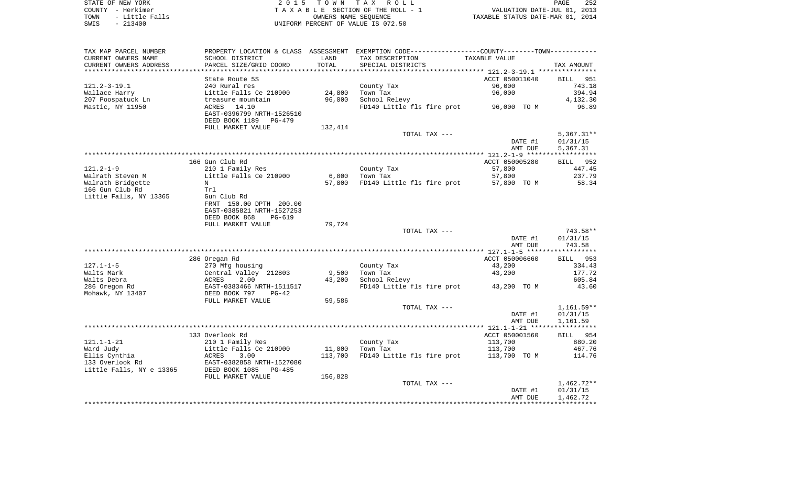| STATE OF NEW YORK      | 2015 TOWN TAX ROLL                 | 252<br>PAGE                      |
|------------------------|------------------------------------|----------------------------------|
| COUNTY - Herkimer      | TAXABLE SECTION OF THE ROLL - 1    | VALUATION DATE-JUL 01, 2013      |
| - Little Falls<br>TOWN | OWNERS NAME SEOUENCE               | TAXABLE STATUS DATE-MAR 01, 2014 |
| SWIS<br>$-213400$      | UNIFORM PERCENT OF VALUE IS 072.50 |                                  |

| TAX MAP PARCEL NUMBER    |                            |         | PROPERTY LOCATION & CLASS ASSESSMENT EXEMPTION CODE----------------COUNTY--------TOWN----------- |                    |                      |
|--------------------------|----------------------------|---------|--------------------------------------------------------------------------------------------------|--------------------|----------------------|
| CURRENT OWNERS NAME      | SCHOOL DISTRICT            | LAND    | TAX DESCRIPTION                                                                                  | TAXABLE VALUE      |                      |
| CURRENT OWNERS ADDRESS   | PARCEL SIZE/GRID COORD     | TOTAL   | SPECIAL DISTRICTS                                                                                |                    | TAX AMOUNT           |
|                          |                            |         |                                                                                                  |                    |                      |
|                          | State Route 5S             |         |                                                                                                  | ACCT 050011040     | BILL<br>951          |
| $121.2 - 3 - 19.1$       | 240 Rural res              |         | County Tax                                                                                       | 96,000             | 743.18               |
| Wallace Harry            | Little Falls Ce 210900     | 24,800  | Town Tax                                                                                         | 96,000             | 394.94               |
| 207 Poospatuck Ln        | treasure mountain          | 96,000  | School Relevy                                                                                    |                    | 4,132.30             |
| Mastic, NY 11950         | 14.10<br>ACRES             |         | FD140 Little fls fire prot                                                                       | 96,000 TO M        | 96.89                |
|                          | EAST-0396799 NRTH-1526510  |         |                                                                                                  |                    |                      |
|                          | DEED BOOK 1189<br>PG-479   |         |                                                                                                  |                    |                      |
|                          | FULL MARKET VALUE          | 132,414 |                                                                                                  |                    |                      |
|                          |                            |         | TOTAL TAX ---                                                                                    |                    | $5,367.31**$         |
|                          |                            |         |                                                                                                  | DATE #1            | 01/31/15             |
|                          |                            |         |                                                                                                  | AMT DUE            | 5,367.31             |
|                          |                            |         |                                                                                                  |                    |                      |
|                          | 166 Gun Club Rd            |         |                                                                                                  | ACCT 050005280     | BILL 952             |
| $121.2 - 1 - 9$          | 210 1 Family Res           |         | County Tax                                                                                       | 57,800             | 447.45               |
| Walrath Steven M         | Little Falls Ce 210900     | 6,800   | Town Tax                                                                                         | 57,800             | 237.79               |
| Walrath Bridgette        | N                          | 57,800  | FD140 Little fls fire prot                                                                       | 57,800 TO M        | 58.34                |
| 166 Gun Club Rd          | Trl                        |         |                                                                                                  |                    |                      |
| Little Falls, NY 13365   | Gun Club Rd                |         |                                                                                                  |                    |                      |
|                          | FRNT 150.00 DPTH 200.00    |         |                                                                                                  |                    |                      |
|                          | EAST-0385821 NRTH-1527253  |         |                                                                                                  |                    |                      |
|                          | DEED BOOK 868<br>PG-619    |         |                                                                                                  |                    |                      |
|                          | FULL MARKET VALUE          | 79,724  |                                                                                                  |                    |                      |
|                          |                            |         | TOTAL TAX ---                                                                                    |                    | 743.58**             |
|                          |                            |         |                                                                                                  | DATE #1            | 01/31/15             |
|                          |                            |         |                                                                                                  | AMT DUE            | 743.58               |
|                          |                            |         |                                                                                                  |                    |                      |
|                          | 286 Oregan Rd              |         |                                                                                                  | ACCT 050006660     | BILL 953             |
| $127.1 - 1 - 5$          | 270 Mfg housing            |         | County Tax                                                                                       | 43,200             | 334.43               |
| Walts Mark               | Central Valley 212803      | 9,500   | Town Tax                                                                                         | 43,200             | 177.72               |
| Walts Debra              | ACRES<br>2.00              | 43,200  | School Relevy                                                                                    |                    | 605.84               |
| 286 Oregon Rd            | EAST-0383466 NRTH-1511517  |         | FD140 Little fls fire prot                                                                       | 43,200 TO M        | 43.60                |
| Mohawk, NY 13407         | DEED BOOK 797<br>$PG-42$   |         |                                                                                                  |                    |                      |
|                          | FULL MARKET VALUE          | 59,586  |                                                                                                  |                    |                      |
|                          |                            |         | TOTAL TAX ---                                                                                    |                    | $1,161.59**$         |
|                          |                            |         |                                                                                                  | DATE #1            | 01/31/15             |
|                          |                            |         |                                                                                                  | AMT DUE            | 1,161.59             |
|                          |                            |         |                                                                                                  |                    |                      |
|                          | 133 Overlook Rd            |         |                                                                                                  | ACCT 050001560     | BILL 954             |
| $121.1 - 1 - 21$         | 210 1 Family Res           |         | County Tax                                                                                       | 113,700            | 880.20               |
| Ward Judy                | Little Falls Ce 210900     | 11,000  | Town Tax                                                                                         | 113,700            | 467.76               |
| Ellis Cynthia            | ACRES<br>3.00              | 113,700 | FD140 Little fls fire prot                                                                       | 113,700 TO M       | 114.76               |
| 133 Overlook Rd          | EAST-0382858 NRTH-1527080  |         |                                                                                                  |                    |                      |
| Little Falls, NY e 13365 | DEED BOOK 1085<br>$PG-485$ |         |                                                                                                  |                    |                      |
|                          | FULL MARKET VALUE          | 156,828 | TOTAL TAX ---                                                                                    |                    |                      |
|                          |                            |         |                                                                                                  |                    | $1,462.72**$         |
|                          |                            |         |                                                                                                  | DATE #1<br>AMT DUE | 01/31/15<br>1,462.72 |
|                          |                            |         |                                                                                                  |                    |                      |
|                          |                            |         |                                                                                                  |                    |                      |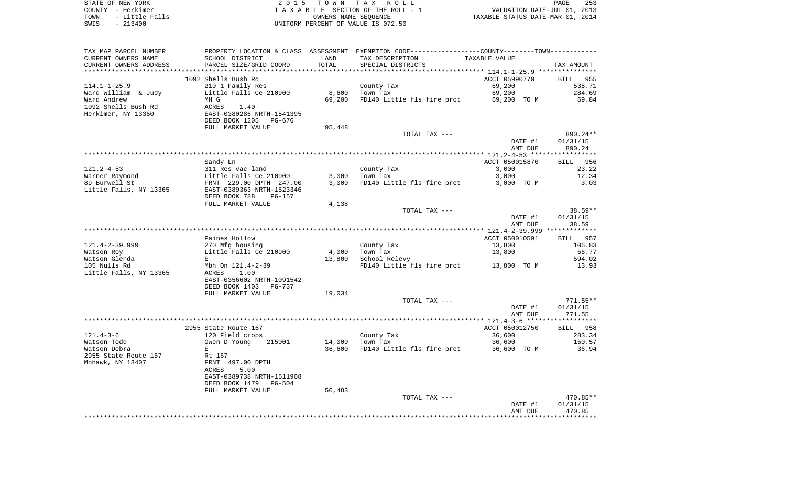|      | STATE OF NEW YORK | 2015 TOWN TAX ROLL                 | 253<br>PAGE                      |  |
|------|-------------------|------------------------------------|----------------------------------|--|
|      | COUNTY - Herkimer | TAXABLE SECTION OF THE ROLL - 1    | VALUATION DATE-JUL 01, 2013      |  |
| TOWN | - Little Falls    | OWNERS NAME SEOUENCE               | TAXABLE STATUS DATE-MAR 01, 2014 |  |
| SWIS | $-213400$         | UNIFORM PERCENT OF VALUE IS 072.50 |                                  |  |

| TAX MAP PARCEL NUMBER  |                           |        |                            | PROPERTY LOCATION & CLASS ASSESSMENT EXEMPTION CODE----------------COUNTY--------TOWN---------- |                 |
|------------------------|---------------------------|--------|----------------------------|-------------------------------------------------------------------------------------------------|-----------------|
| CURRENT OWNERS NAME    | SCHOOL DISTRICT           | LAND   | TAX DESCRIPTION            | TAXABLE VALUE                                                                                   |                 |
| CURRENT OWNERS ADDRESS | PARCEL SIZE/GRID COORD    | TOTAL  | SPECIAL DISTRICTS          |                                                                                                 | TAX AMOUNT      |
|                        |                           |        |                            |                                                                                                 |                 |
|                        | 1092 Shells Bush Rd       |        |                            | ACCT 05990770                                                                                   | <b>BILL</b> 955 |
| $114.1 - 1 - 25.9$     | 210 1 Family Res          |        | County Tax                 | 69,200                                                                                          | 535.71          |
| Ward William & Judy    | Little Falls Ce 210900    | 8,600  | Town Tax                   | 69,200                                                                                          | 284.69          |
| Ward Andrew            | MH G                      | 69,200 | FD140 Little fls fire prot | 69,200 TO M                                                                                     | 69.84           |
| 1092 Shells Bush Rd    | ACRES<br>1.40             |        |                            |                                                                                                 |                 |
| Herkimer, NY 13350     | EAST-0380286 NRTH-1541395 |        |                            |                                                                                                 |                 |
|                        | DEED BOOK 1205<br>PG-676  |        |                            |                                                                                                 |                 |
|                        | FULL MARKET VALUE         | 95,448 |                            |                                                                                                 |                 |
|                        |                           |        | TOTAL TAX ---              |                                                                                                 | 890.24**        |
|                        |                           |        |                            | DATE #1                                                                                         | 01/31/15        |
|                        |                           |        |                            | AMT DUE                                                                                         | 890.24          |
|                        |                           |        |                            |                                                                                                 |                 |
|                        | Sandy Ln                  |        |                            | ACCT 050015870                                                                                  | BILL 956        |
| $121.2 - 4 - 53$       | 311 Res vac land          |        | County Tax                 | 3,000                                                                                           | 23.22           |
|                        | Little Falls Ce 210900    | 3,000  | Town Tax                   | 3,000                                                                                           | 12.34           |
| Warner Raymond         |                           |        |                            |                                                                                                 | 3.03            |
| 89 Burwell St          | FRNT 229.00 DPTH 247.00   | 3,000  | FD140 Little fls fire prot | 3,000 TO M                                                                                      |                 |
| Little Falls, NY 13365 | EAST-0389363 NRTH-1523346 |        |                            |                                                                                                 |                 |
|                        | DEED BOOK 788<br>PG-157   |        |                            |                                                                                                 |                 |
|                        | FULL MARKET VALUE         | 4,138  |                            |                                                                                                 |                 |
|                        |                           |        | TOTAL TAX ---              |                                                                                                 | 38.59**         |
|                        |                           |        |                            | DATE #1                                                                                         | 01/31/15        |
|                        |                           |        |                            | AMT DUE                                                                                         | 38.59           |
|                        |                           |        |                            |                                                                                                 |                 |
|                        | Paines Hollow             |        |                            | ACCT 050010591                                                                                  | BILL 957        |
| $121.4 - 2 - 39.999$   | 270 Mfg housing           |        | County Tax                 | 13,800                                                                                          | 106.83          |
| Watson Roy             | Little Falls Ce 210900    | 4,000  | Town Tax                   | 13,800                                                                                          | 56.77           |
| Watson Glenda          | E                         | 13,800 | School Relevy              |                                                                                                 | 594.02          |
| 105 Nulls Rd           | Mbh On 121.4-2-39         |        |                            | FD140 Little fls fire prot 13,800 TO M                                                          | 13.93           |
| Little Falls, NY 13365 | 1.00<br>ACRES             |        |                            |                                                                                                 |                 |
|                        | EAST-0356602 NRTH-1091542 |        |                            |                                                                                                 |                 |
|                        | DEED BOOK 1403<br>PG-737  |        |                            |                                                                                                 |                 |
|                        | FULL MARKET VALUE         | 19,034 |                            |                                                                                                 |                 |
|                        |                           |        | TOTAL TAX ---              |                                                                                                 | $771.55**$      |
|                        |                           |        |                            | DATE #1                                                                                         | 01/31/15        |
|                        |                           |        |                            | AMT DUE                                                                                         | 771.55          |
|                        |                           |        |                            |                                                                                                 |                 |
|                        | 2955 State Route 167      |        |                            | ACCT 050012750                                                                                  | BILL 958        |
| $121.4 - 3 - 6$        | 120 Field crops           |        | County Tax                 | 36,600                                                                                          | 283.34          |
| Watson Todd            | Owen D Young<br>215001    | 14,000 | Town Tax                   | 36,600                                                                                          | 150.57          |
| Watson Debra           | E                         | 36,600 | FD140 Little fls fire prot | 36,600 TO M                                                                                     | 36.94           |
| 2955 State Route 167   | Rt 167                    |        |                            |                                                                                                 |                 |
| Mohawk, NY 13407       | FRNT 497.00 DPTH          |        |                            |                                                                                                 |                 |
|                        | ACRES<br>5.00             |        |                            |                                                                                                 |                 |
|                        | EAST-0389738 NRTH-1511908 |        |                            |                                                                                                 |                 |
|                        | DEED BOOK 1479<br>PG-504  |        |                            |                                                                                                 |                 |
|                        | FULL MARKET VALUE         | 50,483 |                            |                                                                                                 |                 |
|                        |                           |        | TOTAL TAX ---              |                                                                                                 | 470.85**        |
|                        |                           |        |                            | DATE #1                                                                                         | 01/31/15        |
|                        |                           |        |                            | AMT DUE                                                                                         | 470.85          |
|                        |                           |        |                            |                                                                                                 |                 |
|                        |                           |        |                            |                                                                                                 |                 |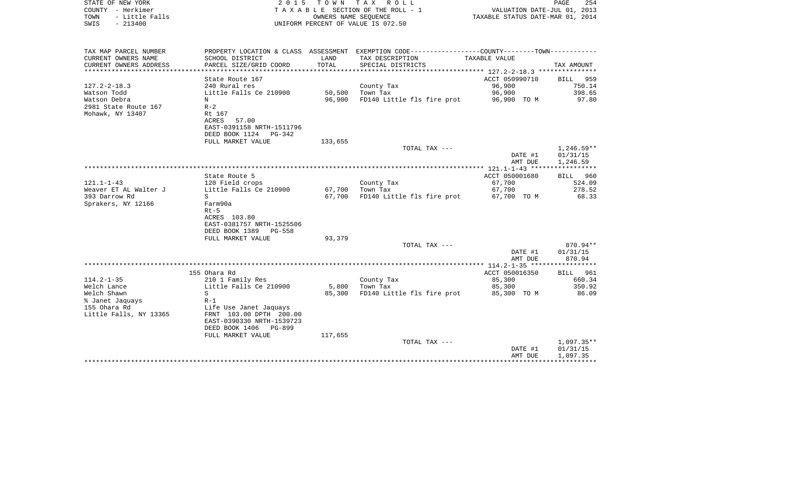| STATE OF NEW YORK<br>COUNTY - Herkimer<br>TOWN<br>- Little Falls | 2 0 1 5                                                      |                      | TOWN TAX ROLL<br>TAXABLE SECTION OF THE ROLL - 1<br>OWNERS NAME SEQUENCE                      | VALUATION DATE-JUL 01, 2013<br>TAXABLE STATUS DATE-MAR 01, 2014 | PAGE<br>254        |
|------------------------------------------------------------------|--------------------------------------------------------------|----------------------|-----------------------------------------------------------------------------------------------|-----------------------------------------------------------------|--------------------|
| $-213400$<br>SWIS                                                |                                                              |                      | UNIFORM PERCENT OF VALUE IS 072.50                                                            |                                                                 |                    |
| TAX MAP PARCEL NUMBER                                            |                                                              |                      | PROPERTY LOCATION & CLASS ASSESSMENT EXEMPTION CODE---------------COUNTY-------TOWN---------- |                                                                 |                    |
| CURRENT OWNERS NAME                                              | SCHOOL DISTRICT                                              | LAND                 | TAX DESCRIPTION                                                                               | TAXABLE VALUE                                                   |                    |
| CURRENT OWNERS ADDRESS                                           | PARCEL SIZE/GRID COORD                                       | TOTAL<br>*********** | SPECIAL DISTRICTS                                                                             |                                                                 | TAX AMOUNT         |
|                                                                  | State Route 167                                              |                      |                                                                                               | ************ 127.2-2-18.3 **********<br>ACCT 050990710          | BILL 959           |
| $127.2 - 2 - 18.3$                                               | 240 Rural res                                                |                      | County Tax                                                                                    | 96,900                                                          | 750.14             |
| Watson Todd                                                      | Little Falls Ce 210900                                       | 50,500               | Town Tax                                                                                      | 96,900                                                          | 398.65             |
| Watson Debra                                                     | N                                                            | 96,900               | FD140 Little fls fire prot                                                                    | 96,900 TO M                                                     | 97.80              |
| 2981 State Route 167                                             | $R-2$                                                        |                      |                                                                                               |                                                                 |                    |
| Mohawk, NY 13407                                                 | Rt 167                                                       |                      |                                                                                               |                                                                 |                    |
|                                                                  | ACRES<br>57.00                                               |                      |                                                                                               |                                                                 |                    |
|                                                                  | EAST-0391158 NRTH-1511796<br>DEED BOOK 1124<br>$PG-342$      |                      |                                                                                               |                                                                 |                    |
|                                                                  | FULL MARKET VALUE                                            | 133,655              |                                                                                               |                                                                 |                    |
|                                                                  |                                                              |                      | TOTAL TAX ---                                                                                 |                                                                 | $1,246.59**$       |
|                                                                  |                                                              |                      |                                                                                               | DATE #1                                                         | 01/31/15           |
|                                                                  |                                                              |                      |                                                                                               | AMT DUE                                                         | 1,246.59           |
|                                                                  |                                                              |                      |                                                                                               | **************** 121.1-1-43 *****************                   | BILL 960           |
| $121.1 - 1 - 43$                                                 | State Route 5<br>120 Field crops                             |                      | County Tax                                                                                    | ACCT 050001680<br>67,700                                        | 524.09             |
| Weaver ET AL Walter J                                            | Little Falls Ce 210900                                       | 67,700               | Town Tax                                                                                      | 67,700                                                          | 278.52             |
| 393 Darrow Rd                                                    | S                                                            | 67,700               | FD140 Little fls fire prot                                                                    | 67,700 TO M                                                     | 68.33              |
| Sprakers, NY 12166                                               | Farm90a                                                      |                      |                                                                                               |                                                                 |                    |
|                                                                  | $Rt-5$                                                       |                      |                                                                                               |                                                                 |                    |
|                                                                  | ACRES 103.80                                                 |                      |                                                                                               |                                                                 |                    |
|                                                                  | EAST-0381757 NRTH-1525506<br>DEED BOOK 1389<br><b>PG-558</b> |                      |                                                                                               |                                                                 |                    |
|                                                                  | FULL MARKET VALUE                                            | 93,379               |                                                                                               |                                                                 |                    |
|                                                                  |                                                              |                      | TOTAL TAX ---                                                                                 |                                                                 | 870.94**           |
|                                                                  |                                                              |                      |                                                                                               | DATE #1                                                         | 01/31/15           |
|                                                                  |                                                              |                      |                                                                                               | AMT DUE                                                         | 870.94             |
|                                                                  |                                                              |                      |                                                                                               |                                                                 |                    |
| $114.2 - 1 - 35$                                                 | 155 Ohara Rd<br>210 1 Family Res                             |                      | County Tax                                                                                    | ACCT 050016350<br>85,300                                        | BILL 961<br>660.34 |
| Welch Lance                                                      | Little Falls Ce 210900                                       | 5,800                | Town Tax                                                                                      | 85,300                                                          | 350.92             |
| Welch Shawn                                                      | S                                                            | 85,300               | FD140 Little fls fire prot                                                                    | 85,300 TO M                                                     | 86.09              |
| % Janet Jaquays                                                  | $R-1$                                                        |                      |                                                                                               |                                                                 |                    |
| 155 Ohara Rd                                                     | Life Use Janet Jaquays                                       |                      |                                                                                               |                                                                 |                    |
| Little Falls, NY 13365                                           | FRNT 103.00 DPTH 200.00                                      |                      |                                                                                               |                                                                 |                    |
|                                                                  | EAST-0390330 NRTH-1539723                                    |                      |                                                                                               |                                                                 |                    |
|                                                                  | DEED BOOK 1406<br>$PG-899$<br>FULL MARKET VALUE              | 117,655              |                                                                                               |                                                                 |                    |
|                                                                  |                                                              |                      | TOTAL TAX ---                                                                                 |                                                                 | $1,097.35**$       |
|                                                                  |                                                              |                      |                                                                                               | DATE #1                                                         | 01/31/15           |
|                                                                  |                                                              |                      |                                                                                               | AMT DUE                                                         | 1,097.35           |
|                                                                  |                                                              |                      |                                                                                               |                                                                 |                    |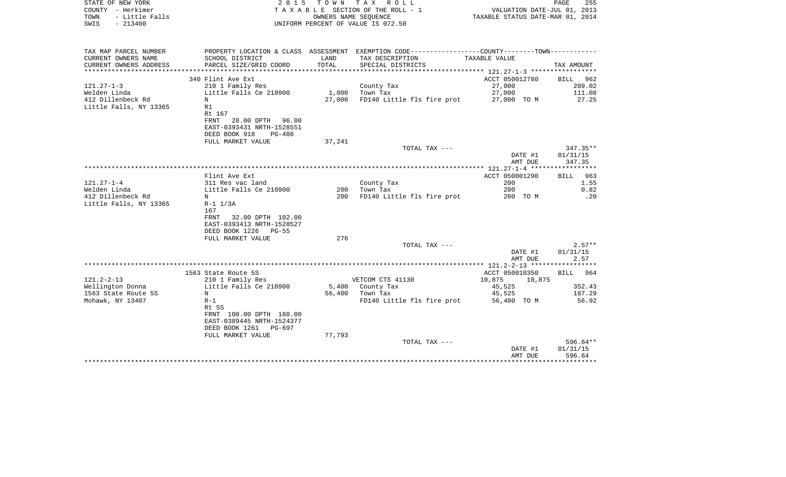| STATE OF NEW YORK<br>COUNTY - Herkimer<br>TOWN<br>- Little Falls<br>SWIS - 213400 | 2 0 1 5                                       |               | TOWN TAX ROLL<br>TAXABLE SECTION OF THE ROLL - 1<br>OWNERS NAME SEQUENCE<br>UNIFORM PERCENT OF VALUE IS 072.50 | VALUATION DATE-JUL 01, 2013<br>TAXABLE STATUS DATE-MAR 01, 2014 | PAGE<br>255            |
|-----------------------------------------------------------------------------------|-----------------------------------------------|---------------|----------------------------------------------------------------------------------------------------------------|-----------------------------------------------------------------|------------------------|
|                                                                                   |                                               |               |                                                                                                                |                                                                 |                        |
| TAX MAP PARCEL NUMBER                                                             |                                               |               | PROPERTY LOCATION & CLASS ASSESSMENT EXEMPTION CODE----------------COUNTY-------TOWN----------                 |                                                                 |                        |
| CURRENT OWNERS NAME<br>CURRENT OWNERS ADDRESS                                     | SCHOOL DISTRICT<br>PARCEL SIZE/GRID COORD     | LAND<br>TOTAL | TAX DESCRIPTION<br>SPECIAL DISTRICTS                                                                           | TAXABLE VALUE                                                   | TAX AMOUNT             |
| *********************                                                             |                                               |               |                                                                                                                |                                                                 |                        |
|                                                                                   | 340 Flint Ave Ext                             |               |                                                                                                                | ACCT 050012780                                                  | BILL 962               |
| 121.27-1-3                                                                        | 210 1 Family Res                              |               | County Tax                                                                                                     | 27,000                                                          | 209.02                 |
| Welden Linda                                                                      | Little Falls Ce 210900                        | 1,000         | Town Tax                                                                                                       | 27,000                                                          | 111.08                 |
| 412 Dillenbeck Rd<br>Little Falls, NY 13365                                       | N<br>R1                                       | 27,000        | FD140 Little fls fire prot                                                                                     | 27,000 TO M                                                     | 27.25                  |
|                                                                                   | Rt 167                                        |               |                                                                                                                |                                                                 |                        |
|                                                                                   | 28.00 DPTH 96.00<br>FRNT                      |               |                                                                                                                |                                                                 |                        |
|                                                                                   | EAST-0393431 NRTH-1528551                     |               |                                                                                                                |                                                                 |                        |
|                                                                                   | DEED BOOK 918<br>PG-408                       |               |                                                                                                                |                                                                 |                        |
|                                                                                   | FULL MARKET VALUE                             | 37,241        |                                                                                                                |                                                                 |                        |
|                                                                                   |                                               |               | TOTAL TAX ---                                                                                                  | DATE #1                                                         | $347.35**$<br>01/31/15 |
|                                                                                   |                                               |               |                                                                                                                | AMT DUE                                                         | 347.35                 |
|                                                                                   |                                               |               |                                                                                                                |                                                                 |                        |
|                                                                                   | Flint Ave Ext                                 |               |                                                                                                                | ACCT 050001290                                                  | BILL 963               |
| 121.27-1-4                                                                        | 311 Res vac land                              |               | County Tax                                                                                                     | 200                                                             | 1.55                   |
| Welden Linda<br>412 Dillenbeck Rd                                                 | Little Falls Ce 210900<br>N                   | 200<br>200    | Town Tax                                                                                                       | 200                                                             | 0.82                   |
| Little Falls, NY 13365                                                            | R-1 1/3A                                      |               | FD140 Little fls fire prot                                                                                     | 200 TO M                                                        | .20                    |
|                                                                                   | 167                                           |               |                                                                                                                |                                                                 |                        |
|                                                                                   | FRNT 32.00 DPTH 102.00                        |               |                                                                                                                |                                                                 |                        |
|                                                                                   | EAST-0393413 NRTH-1528527                     |               |                                                                                                                |                                                                 |                        |
|                                                                                   | DEED BOOK 1226 PG-55                          |               |                                                                                                                |                                                                 |                        |
|                                                                                   | FULL MARKET VALUE                             | 276           | TOTAL TAX ---                                                                                                  |                                                                 | $2.57**$               |
|                                                                                   |                                               |               |                                                                                                                | DATE #1                                                         | 01/31/15               |
|                                                                                   |                                               |               |                                                                                                                | AMT DUE                                                         | 2.57                   |
|                                                                                   |                                               |               |                                                                                                                |                                                                 |                        |
|                                                                                   | 1563 State Route 5S                           |               |                                                                                                                | ACCT 050010350                                                  | BILL 964               |
| $121.2 - 2 - 13$                                                                  | 210 1 Family Res                              |               | VETCOM CTS 41130                                                                                               | 10,875<br>10,875                                                |                        |
| Wellington Donna<br>1563 State Route 5S                                           | Little Falls Ce 210900<br>N                   |               | 5,400 County Tax<br>56,400 Town Tax                                                                            | 45,525<br>45,525                                                | 352.43<br>187.29       |
| Mohawk, NY 13407                                                                  | $R-1$                                         |               | FD140 Little fls fire prot                                                                                     | 56,400 TO M                                                     | 56.92                  |
|                                                                                   | Rt 5S                                         |               |                                                                                                                |                                                                 |                        |
|                                                                                   | FRNT 100.00 DPTH 188.00                       |               |                                                                                                                |                                                                 |                        |
|                                                                                   | EAST-0389445 NRTH-1524377                     |               |                                                                                                                |                                                                 |                        |
|                                                                                   | DEED BOOK 1261<br>PG-697<br>FULL MARKET VALUE | 77,793        |                                                                                                                |                                                                 |                        |
|                                                                                   |                                               |               | TOTAL TAX ---                                                                                                  |                                                                 | 596.64**               |
|                                                                                   |                                               |               |                                                                                                                | DATE #1                                                         | 01/31/15               |
|                                                                                   |                                               |               |                                                                                                                | AMT DUE                                                         | 596.64                 |
|                                                                                   |                                               |               |                                                                                                                |                                                                 |                        |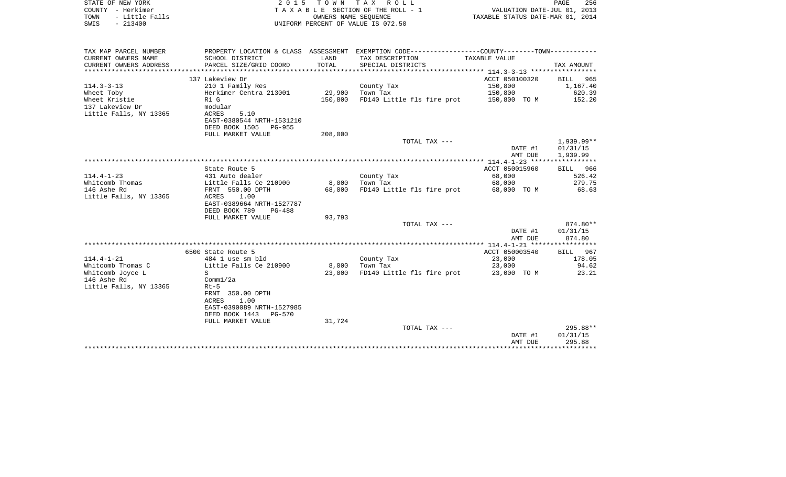| STATE OF NEW YORK<br>COUNTY - Herkimer<br>- Little Falls<br>TOWN<br>$-213400$<br>SWIS | 2 0 1 5                                              | T O W N<br>OWNERS NAME SEOUENCE | TAX ROLL<br>TAXABLE SECTION OF THE ROLL - 1<br>UNIFORM PERCENT OF VALUE IS 072.50             | VALUATION DATE-JUL 01, 2013<br>TAXABLE STATUS DATE-MAR 01, 2014 | PAGE<br>256        |
|---------------------------------------------------------------------------------------|------------------------------------------------------|---------------------------------|-----------------------------------------------------------------------------------------------|-----------------------------------------------------------------|--------------------|
| TAX MAP PARCEL NUMBER<br>CURRENT OWNERS NAME                                          |                                                      | LAND                            | PROPERTY LOCATION & CLASS ASSESSMENT EXEMPTION CODE---------------COUNTY-------TOWN---------- | TAXABLE VALUE                                                   |                    |
| CURRENT OWNERS ADDRESS<br>**************************                                  | SCHOOL DISTRICT<br>PARCEL SIZE/GRID COORD            | TOTAL                           | TAX DESCRIPTION<br>SPECIAL DISTRICTS                                                          |                                                                 | TAX AMOUNT         |
|                                                                                       | 137 Lakeview Dr                                      |                                 |                                                                                               | ACCT 050100320                                                  | BILL<br>965        |
| $114.3 - 3 - 13$                                                                      | 210 1 Family Res                                     |                                 | County Tax                                                                                    | 150,800                                                         | 1,167.40           |
| Wheet Toby                                                                            | Herkimer Centra 213001                               | 29,900                          | Town Tax                                                                                      | 150,800                                                         | 620.39             |
| Wheet Kristie                                                                         | R1 G                                                 | 150,800                         | FD140 Little fls fire prot                                                                    | 150,800 TO M                                                    | 152.20             |
| 137 Lakeview Dr                                                                       | modular                                              |                                 |                                                                                               |                                                                 |                    |
| Little Falls, NY 13365                                                                | <b>ACRES</b><br>5.10<br>EAST-0380544 NRTH-1531210    |                                 |                                                                                               |                                                                 |                    |
|                                                                                       | DEED BOOK 1505<br>PG-955                             |                                 |                                                                                               |                                                                 |                    |
|                                                                                       | FULL MARKET VALUE                                    | 208,000                         |                                                                                               |                                                                 |                    |
|                                                                                       |                                                      |                                 | TOTAL TAX ---                                                                                 |                                                                 | 1,939.99**         |
|                                                                                       |                                                      |                                 |                                                                                               | DATE #1                                                         | 01/31/15           |
|                                                                                       |                                                      |                                 |                                                                                               | AMT DUE                                                         | 1,939.99           |
|                                                                                       | State Route 5                                        |                                 |                                                                                               | ACCT 050015960                                                  | BILL 966           |
| $114.4 - 1 - 23$                                                                      | 431 Auto dealer                                      |                                 | County Tax                                                                                    | 68,000                                                          | 526.42             |
| Whitcomb Thomas                                                                       | Little Falls Ce 210900                               | 8,000                           | Town Tax                                                                                      | 68,000                                                          | 279.75             |
| 146 Ashe Rd                                                                           | FRNT 550.00 DPTH                                     | 68,000                          | FD140 Little fls fire prot                                                                    | 68,000 TO M                                                     | 68.63              |
| Little Falls, NY 13365                                                                | ACRES<br>1.00                                        |                                 |                                                                                               |                                                                 |                    |
|                                                                                       | EAST-0389664 NRTH-1527787                            |                                 |                                                                                               |                                                                 |                    |
|                                                                                       | DEED BOOK 789<br><b>PG-488</b>                       |                                 |                                                                                               |                                                                 |                    |
|                                                                                       | FULL MARKET VALUE                                    | 93,793                          | TOTAL TAX ---                                                                                 |                                                                 | 874.80**           |
|                                                                                       |                                                      |                                 |                                                                                               | DATE #1                                                         | 01/31/15           |
|                                                                                       |                                                      |                                 |                                                                                               | AMT DUE                                                         | 874.80             |
|                                                                                       |                                                      |                                 |                                                                                               | ************ 114.4-1-21 ******************                      |                    |
|                                                                                       | 6500 State Route 5                                   |                                 |                                                                                               | ACCT 050003540                                                  | <b>BILL</b><br>967 |
| $114.4 - 1 - 21$                                                                      | 484 1 use sm bld                                     |                                 | County Tax                                                                                    | 23,000                                                          | 178.05             |
| Whitcomb Thomas C<br>Whitcomb Joyce L                                                 | Little Falls Ce 210900<br>S.                         | 8,000<br>23,000                 | Town Tax<br>FD140 Little fls fire prot                                                        | 23,000<br>23,000 TO M                                           | 94.62<br>23.21     |
| 146 Ashe Rd                                                                           | Comm1/2a                                             |                                 |                                                                                               |                                                                 |                    |
| Little Falls, NY 13365                                                                | $Rt-5$                                               |                                 |                                                                                               |                                                                 |                    |
|                                                                                       | FRNT 350.00 DPTH                                     |                                 |                                                                                               |                                                                 |                    |
|                                                                                       | <b>ACRES</b><br>1.00                                 |                                 |                                                                                               |                                                                 |                    |
|                                                                                       | EAST-0390089 NRTH-1527985                            |                                 |                                                                                               |                                                                 |                    |
|                                                                                       | DEED BOOK 1443<br><b>PG-570</b><br>FULL MARKET VALUE | 31,724                          |                                                                                               |                                                                 |                    |
|                                                                                       |                                                      |                                 | TOTAL TAX ---                                                                                 |                                                                 | $295.88**$         |
|                                                                                       |                                                      |                                 |                                                                                               | DATE #1                                                         | 01/31/15           |
|                                                                                       |                                                      |                                 |                                                                                               | AMT DUE                                                         | 295.88             |
|                                                                                       |                                                      |                                 |                                                                                               | *******************************                                 |                    |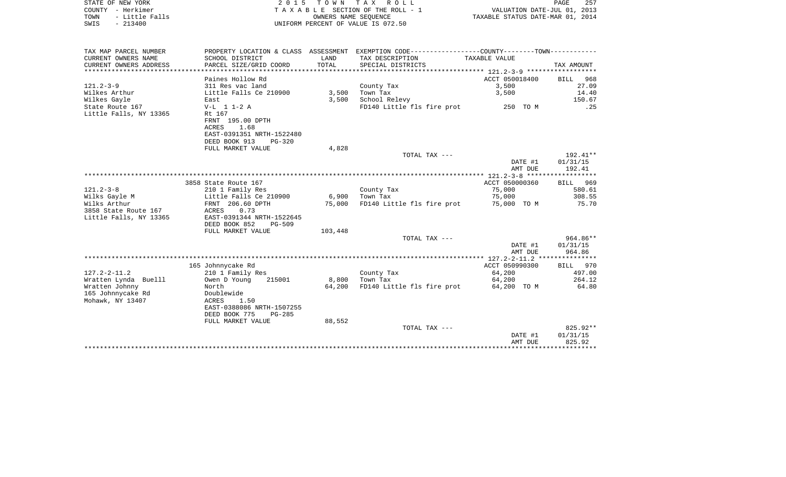| STATE OF NEW YORK                      | 2 0 1 5                                    | T O W N         | T A X<br>R O L L                                                                              |                                  | PAGE<br>257      |
|----------------------------------------|--------------------------------------------|-----------------|-----------------------------------------------------------------------------------------------|----------------------------------|------------------|
| COUNTY - Herkimer                      |                                            |                 | TAXABLE SECTION OF THE ROLL - 1                                                               | VALUATION DATE-JUL 01, 2013      |                  |
| TOWN<br>- Little Falls                 |                                            |                 | OWNERS NAME SEQUENCE                                                                          | TAXABLE STATUS DATE-MAR 01, 2014 |                  |
| SWIS<br>$-213400$                      |                                            |                 | UNIFORM PERCENT OF VALUE IS 072.50                                                            |                                  |                  |
| TAX MAP PARCEL NUMBER                  |                                            |                 | PROPERTY LOCATION & CLASS ASSESSMENT EXEMPTION CODE---------------COUNTY-------TOWN---------- |                                  |                  |
| CURRENT OWNERS NAME                    | SCHOOL DISTRICT                            | LAND            | TAX DESCRIPTION                                                                               | TAXABLE VALUE                    |                  |
| CURRENT OWNERS ADDRESS                 | PARCEL SIZE/GRID COORD                     | TOTAL           | SPECIAL DISTRICTS                                                                             |                                  | TAX AMOUNT       |
|                                        |                                            |                 |                                                                                               |                                  |                  |
|                                        | Paines Hollow Rd                           |                 |                                                                                               | ACCT 050018400                   | BILL 968         |
| $121.2 - 3 - 9$                        | 311 Res vac land                           |                 | County Tax                                                                                    | 3,500                            | 27.09            |
| Wilkes Arthur                          | Little Falls Ce 210900                     | 3,500           | Town Tax                                                                                      | 3,500                            | 14.40            |
| Wilkes Gayle                           | East                                       | 3,500           | School Relevy                                                                                 |                                  | 150.67           |
| State Route 167                        | $V-L$ 1 1-2 A                              |                 | FD140 Little fls fire prot                                                                    | 250 TO M                         | .25              |
| Little Falls, NY 13365                 | Rt 167<br>FRNT 195.00 DPTH                 |                 |                                                                                               |                                  |                  |
|                                        | ACRES<br>1.68                              |                 |                                                                                               |                                  |                  |
|                                        | EAST-0391351 NRTH-1522480                  |                 |                                                                                               |                                  |                  |
|                                        | DEED BOOK 913<br>PG-320                    |                 |                                                                                               |                                  |                  |
|                                        | FULL MARKET VALUE                          | 4,828           |                                                                                               |                                  |                  |
|                                        |                                            |                 | TOTAL TAX ---                                                                                 |                                  | 192.41**         |
|                                        |                                            |                 |                                                                                               | DATE #1                          | 01/31/15         |
|                                        |                                            |                 |                                                                                               | AMT DUE                          | 192.41           |
|                                        |                                            |                 |                                                                                               |                                  |                  |
|                                        | 3858 State Route 167                       |                 |                                                                                               | ACCT 050000360                   | BILL 969         |
| $121.2 - 3 - 8$                        | 210 1 Family Res<br>Little Falls Ce 210900 | 6,900           | County Tax<br>Town Tax                                                                        | 75,000<br>75,000                 | 580.61<br>308.55 |
| Wilks Gayle M<br>Wilks Arthur          | FRNT 206.60 DPTH                           | 75,000          | FD140 Little fls fire prot                                                                    | 75,000 TO M                      | 75.70            |
| 3858 State Route 167                   | 0.73<br>ACRES                              |                 |                                                                                               |                                  |                  |
| Little Falls, NY 13365                 | EAST-0391344 NRTH-1522645                  |                 |                                                                                               |                                  |                  |
|                                        | DEED BOOK 852<br>PG-509                    |                 |                                                                                               |                                  |                  |
|                                        | FULL MARKET VALUE                          | 103,448         |                                                                                               |                                  |                  |
|                                        |                                            |                 | TOTAL TAX ---                                                                                 |                                  | 964.86**         |
|                                        |                                            |                 |                                                                                               | DATE #1                          | 01/31/15         |
|                                        |                                            |                 |                                                                                               | AMT DUE                          | 964.86           |
|                                        |                                            |                 |                                                                                               |                                  |                  |
|                                        | 165 Johnnycake Rd                          |                 |                                                                                               | ACCT 050990300                   | BILL 970         |
| 127.2-2-11.2                           | 210 1 Family Res<br>215001                 |                 | County Tax                                                                                    | 64,200                           | 497.00<br>264.12 |
| Wratten Lynda Buelll<br>Wratten Johnny | Owen D Young<br>North                      | 8,800<br>64,200 | Town Tax                                                                                      | 64,200<br>64,200 TO M            | 64.80            |
| 165 Johnnycake Rd                      | Doublewide                                 |                 | FD140 Little fls fire prot                                                                    |                                  |                  |
| Mohawk, NY 13407                       | ACRES<br>1.50                              |                 |                                                                                               |                                  |                  |
|                                        | EAST-0388086 NRTH-1507255                  |                 |                                                                                               |                                  |                  |
|                                        | DEED BOOK 775<br>PG-285                    |                 |                                                                                               |                                  |                  |
|                                        | FULL MARKET VALUE                          | 88,552          |                                                                                               |                                  |                  |
|                                        |                                            |                 | TOTAL TAX ---                                                                                 |                                  | 825.92**         |

\*\*\*\*\*\*\*\*\*\*\*\*\*\*\*\*\*\*\*\*\*\*\*\*\*\*\*\*\*\*\*\*\*\*\*\*\*\*\*\*\*\*\*\*\*\*\*\*\*\*\*\*\*\*\*\*\*\*\*\*\*\*\*\*\*\*\*\*\*\*\*\*\*\*\*\*\*\*\*\*\*\*\*\*\*\*\*\*\*\*\*\*\*\*\*\*\*\*\*\*\*\*\*\*\*\*\*\*\*\*\*\*\*\*\*\*\*\*\*\*\*\*\*\*\*\*\*\*\*\*\*\*

DATE #1 01/31/15 AMT DUE 825.92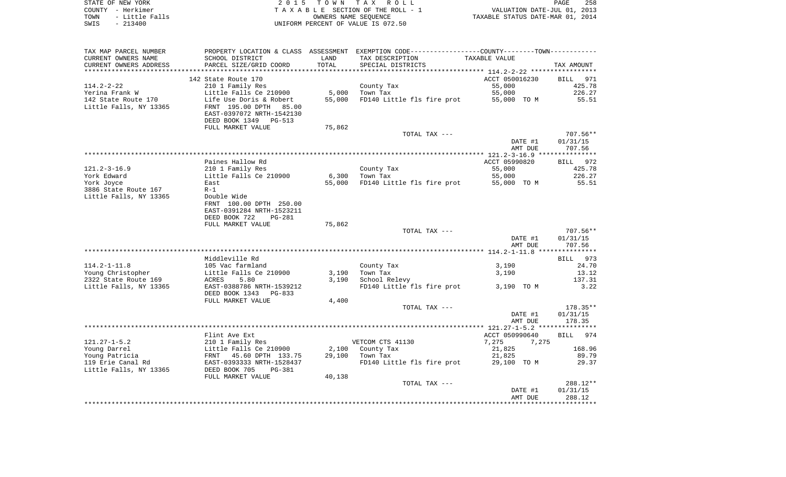| STATE OF NEW YORK |                | 2015 TOWN TAX ROLL                 |                                  | PAGE | 258 |
|-------------------|----------------|------------------------------------|----------------------------------|------|-----|
| COUNTY - Herkimer |                | TAXABLE SECTION OF THE ROLL - 1    | VALUATION DATE-JUL 01, 2013      |      |     |
| TOWN              | - Little Falls | OWNERS NAME SEOUENCE               | TAXABLE STATUS DATE-MAR 01, 2014 |      |     |
| SWIS<br>- 213400  |                | UNIFORM PERCENT OF VALUE IS 072.50 |                                  |      |     |

258<br>2013<br>2014

| TAX MAP PARCEL NUMBER<br>CURRENT OWNERS NAME | SCHOOL DISTRICT                 | LAND   | PROPERTY LOCATION & CLASS ASSESSMENT EXEMPTION CODE----------------COUNTY-------TOWN---------- | TAXABLE VALUE  |             |
|----------------------------------------------|---------------------------------|--------|------------------------------------------------------------------------------------------------|----------------|-------------|
|                                              |                                 |        | TAX DESCRIPTION                                                                                |                |             |
| CURRENT OWNERS ADDRESS                       | PARCEL SIZE/GRID COORD          | TOTAL  | SPECIAL DISTRICTS                                                                              |                | TAX AMOUNT  |
|                                              |                                 |        |                                                                                                |                |             |
|                                              | 142 State Route 170             |        |                                                                                                | ACCT 050016230 | BILL 971    |
| 114.2-2-22                                   | 210 1 Family Res                |        | County Tax                                                                                     | 55,000         | 425.78      |
| Yerina Frank W                               | Little Falls Ce 210900          | 5,000  | Town Tax                                                                                       | 55,000         | 226.27      |
| 142 State Route 170                          | Life Use Doris & Robert         | 55,000 | FD140 Little fls fire prot                                                                     | 55,000 TO M    | 55.51       |
| Little Falls, NY 13365                       | FRNT 195.00 DPTH<br>85.00       |        |                                                                                                |                |             |
|                                              | EAST-0397072 NRTH-1542130       |        |                                                                                                |                |             |
|                                              | DEED BOOK 1349<br><b>PG-513</b> |        |                                                                                                |                |             |
|                                              | FULL MARKET VALUE               | 75,862 |                                                                                                |                |             |
|                                              |                                 |        | TOTAL TAX ---                                                                                  |                | $707.56**$  |
|                                              |                                 |        |                                                                                                |                |             |
|                                              |                                 |        |                                                                                                | DATE #1        | 01/31/15    |
|                                              |                                 |        |                                                                                                | AMT DUE        | 707.56      |
|                                              |                                 |        |                                                                                                |                |             |
|                                              | Paines Hallow Rd                |        |                                                                                                | ACCT 05990820  | BILL 972    |
| $121.2 - 3 - 16.9$                           | 210 1 Family Res                |        | County Tax                                                                                     | 55,000         | 425.78      |
| York Edward                                  | Little Falls Ce 210900          | 6,300  | Town Tax                                                                                       | 55,000         | 226.27      |
| York Joyce                                   | East                            | 55,000 | FD140 Little fls fire prot                                                                     | 55,000 TO M    | 55.51       |
| 3886 State Route 167                         | $R-1$                           |        |                                                                                                |                |             |
| Little Falls, NY 13365                       | Double Wide                     |        |                                                                                                |                |             |
|                                              | FRNT 100.00 DPTH 250.00         |        |                                                                                                |                |             |
|                                              | EAST-0391284 NRTH-1523211       |        |                                                                                                |                |             |
|                                              |                                 |        |                                                                                                |                |             |
|                                              | DEED BOOK 722<br><b>PG-281</b>  |        |                                                                                                |                |             |
|                                              | FULL MARKET VALUE               | 75,862 |                                                                                                |                |             |
|                                              |                                 |        | TOTAL TAX ---                                                                                  |                | $707.56**$  |
|                                              |                                 |        |                                                                                                | DATE #1        | 01/31/15    |
|                                              |                                 |        |                                                                                                |                |             |
|                                              |                                 |        |                                                                                                | AMT DUE        | 707.56      |
|                                              |                                 |        |                                                                                                |                |             |
|                                              | Middleville Rd                  |        |                                                                                                |                | BILL 973    |
| $114.2 - 1 - 11.8$                           | 105 Vac farmland                |        | County Tax                                                                                     | 3,190          | 24.70       |
|                                              |                                 |        |                                                                                                |                | 13.12       |
| Young Christopher                            | Little Falls Ce 210900          | 3,190  | Town Tax                                                                                       | 3,190          |             |
| 2322 State Route 169                         | ACRES<br>5.80                   | 3.190  | School Relevy                                                                                  |                | 137.31      |
| Little Falls, NY 13365                       | EAST-0388786 NRTH-1539212       |        | FD140 Little fls fire prot                                                                     | 3,190 TO M     | 3.22        |
|                                              | DEED BOOK 1343<br>PG-833        |        |                                                                                                |                |             |
|                                              | FULL MARKET VALUE               | 4,400  |                                                                                                |                |             |
|                                              |                                 |        | TOTAL TAX ---                                                                                  |                | 178.35**    |
|                                              |                                 |        |                                                                                                | DATE #1        | 01/31/15    |
|                                              |                                 |        |                                                                                                | AMT DUE        | 178.35      |
|                                              |                                 |        |                                                                                                |                |             |
|                                              | Flint Ave Ext                   |        |                                                                                                | ACCT 050990640 | 974<br>BILL |
| $121.27 - 1 - 5.2$                           | 210 1 Family Res                |        | VETCOM CTS 41130                                                                               | 7,275<br>7,275 |             |
| Young Darrel                                 | Little Falls Ce 210900          | 2,100  | County Tax                                                                                     | 21,825         | 168.96      |
|                                              | FRNT 45.60 DPTH 133.75          | 29,100 | Town Tax                                                                                       | 21,825         | 89.79       |
|                                              |                                 |        |                                                                                                |                |             |
| Young Patricia<br>119 Erie Canal Rd          | EAST-0393333 NRTH-1528437       |        | FD140 Little fls fire prot                                                                     | 29,100 TO M    | 29.37       |
|                                              | DEED BOOK 705<br>PG-381         |        |                                                                                                |                |             |
|                                              | FULL MARKET VALUE               | 40,138 |                                                                                                |                |             |
|                                              |                                 |        | TOTAL TAX ---                                                                                  |                | 288.12**    |
| Little Falls, NY 13365                       |                                 |        |                                                                                                | DATE #1        | 01/31/15    |
|                                              |                                 |        |                                                                                                | AMT DUE        | 288.12      |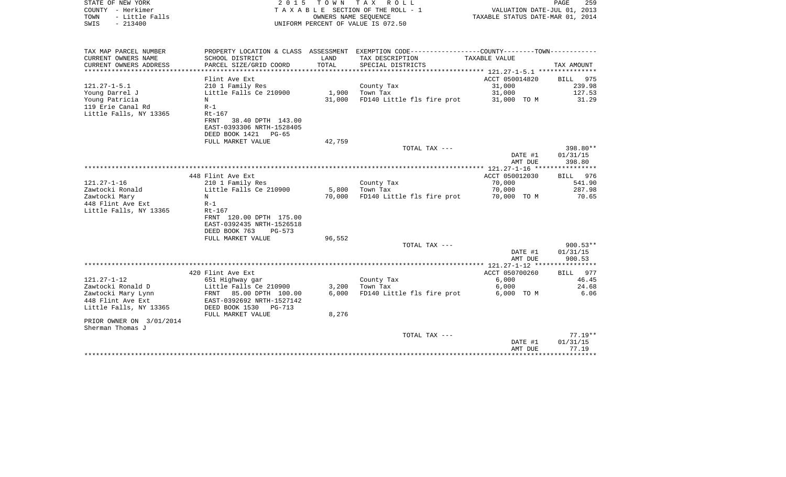| STATE OF NEW YORK<br>COUNTY - Herkimer<br>TOWN<br>- Little Falls<br>$-213400$<br>SWIS | 2 0 1 5                                              | OWNERS NAME SEQUENCE | TOWN TAX ROLL<br>T A X A B L E SECTION OF THE ROLL - 1<br>UNIFORM PERCENT OF VALUE IS 072.50  | VALUATION DATE-JUL 01, 2013<br>TAXABLE STATUS DATE-MAR 01, 2014 | PAGE<br>259            |
|---------------------------------------------------------------------------------------|------------------------------------------------------|----------------------|-----------------------------------------------------------------------------------------------|-----------------------------------------------------------------|------------------------|
|                                                                                       |                                                      |                      |                                                                                               |                                                                 |                        |
| TAX MAP PARCEL NUMBER                                                                 |                                                      |                      | PROPERTY LOCATION & CLASS ASSESSMENT EXEMPTION CODE---------------COUNTY-------TOWN---------- |                                                                 |                        |
| CURRENT OWNERS NAME                                                                   | SCHOOL DISTRICT                                      | LAND                 | TAX DESCRIPTION                                                                               | TAXABLE VALUE                                                   |                        |
| CURRENT OWNERS ADDRESS                                                                | PARCEL SIZE/GRID COORD                               | TOTAL                | SPECIAL DISTRICTS                                                                             |                                                                 | TAX AMOUNT             |
|                                                                                       | Flint Ave Ext                                        |                      |                                                                                               | ACCT 050014820                                                  | 975<br>BILL            |
| $121.27 - 1 - 5.1$                                                                    | 210 1 Family Res                                     |                      | County Tax                                                                                    | 31,000                                                          | 239.98                 |
| Young Darrel J                                                                        | Little Falls Ce 210900                               | 1,900                | Town Tax                                                                                      | 31,000                                                          | 127.53                 |
| Young Patricia                                                                        | N                                                    | 31,000               | FD140 Little fls fire prot                                                                    | 31,000 TO M                                                     | 31.29                  |
| 119 Erie Canal Rd                                                                     | $R-1$                                                |                      |                                                                                               |                                                                 |                        |
| Little Falls, NY 13365                                                                | Rt-167                                               |                      |                                                                                               |                                                                 |                        |
|                                                                                       | <b>FRNT</b><br>38.40 DPTH 143.00                     |                      |                                                                                               |                                                                 |                        |
|                                                                                       | EAST-0393306 NRTH-1528405                            |                      |                                                                                               |                                                                 |                        |
|                                                                                       | DEED BOOK 1421<br>PG-65                              |                      |                                                                                               |                                                                 |                        |
|                                                                                       | FULL MARKET VALUE                                    | 42,759               | TOTAL TAX ---                                                                                 |                                                                 | 398.80**               |
|                                                                                       |                                                      |                      |                                                                                               | DATE #1                                                         | 01/31/15               |
|                                                                                       |                                                      |                      |                                                                                               | AMT DUE                                                         | 398.80                 |
|                                                                                       |                                                      |                      |                                                                                               |                                                                 |                        |
|                                                                                       | 448 Flint Ave Ext                                    |                      |                                                                                               | ACCT 050012030                                                  | 976<br>BILL            |
| $121.27 - 1 - 16$                                                                     | 210 1 Family Res                                     |                      | County Tax                                                                                    | 70,000                                                          | 541.90                 |
| Zawtocki Ronald                                                                       | Little Falls Ce 210900                               | 5,800                | Town Tax                                                                                      | 70,000                                                          | 287.98                 |
| Zawtocki Mary                                                                         | N                                                    | 70,000               | FD140 Little fls fire prot                                                                    | 70,000 TO M                                                     | 70.65                  |
| 448 Flint Ave Ext                                                                     | $R-1$                                                |                      |                                                                                               |                                                                 |                        |
| Little Falls, NY 13365                                                                | Rt-167                                               |                      |                                                                                               |                                                                 |                        |
|                                                                                       | FRNT 120.00 DPTH 175.00<br>EAST-0392435 NRTH-1526518 |                      |                                                                                               |                                                                 |                        |
|                                                                                       | DEED BOOK 763<br>$PG-573$                            |                      |                                                                                               |                                                                 |                        |
|                                                                                       | FULL MARKET VALUE                                    | 96,552               |                                                                                               |                                                                 |                        |
|                                                                                       |                                                      |                      | TOTAL TAX ---                                                                                 |                                                                 | $900.53**$             |
|                                                                                       |                                                      |                      |                                                                                               | DATE #1                                                         | 01/31/15               |
|                                                                                       |                                                      |                      |                                                                                               | AMT DUE                                                         | 900.53                 |
|                                                                                       |                                                      |                      |                                                                                               |                                                                 |                        |
|                                                                                       | 420 Flint Ave Ext                                    |                      |                                                                                               | ACCT 050700260                                                  | 977<br>BILL            |
| $121.27 - 1 - 12$<br>Zawtocki Ronald D                                                | 651 Highway gar<br>Little Falls Ce 210900            | 3,200                | County Tax<br>Town Tax                                                                        | 6,000<br>6,000                                                  | 46.45<br>24.68         |
| Zawtocki Mary Lynn                                                                    | 85.00 DPTH 100.00<br>FRNT                            | 6,000                | FD140 Little fls fire prot                                                                    | 6,000 TO M                                                      | 6.06                   |
| 448 Flint Ave Ext                                                                     | EAST-0392692 NRTH-1527142                            |                      |                                                                                               |                                                                 |                        |
| Little Falls, NY 13365                                                                | DEED BOOK 1530<br>PG-713                             |                      |                                                                                               |                                                                 |                        |
|                                                                                       | FULL MARKET VALUE                                    | 8,276                |                                                                                               |                                                                 |                        |
| PRIOR OWNER ON 3/01/2014                                                              |                                                      |                      |                                                                                               |                                                                 |                        |
| Sherman Thomas J                                                                      |                                                      |                      |                                                                                               |                                                                 |                        |
|                                                                                       |                                                      |                      | TOTAL TAX ---                                                                                 |                                                                 | $77.19**$              |
|                                                                                       |                                                      |                      |                                                                                               | DATE #1                                                         | 01/31/15               |
|                                                                                       |                                                      |                      |                                                                                               | AMT DUE                                                         | 77.19<br>************* |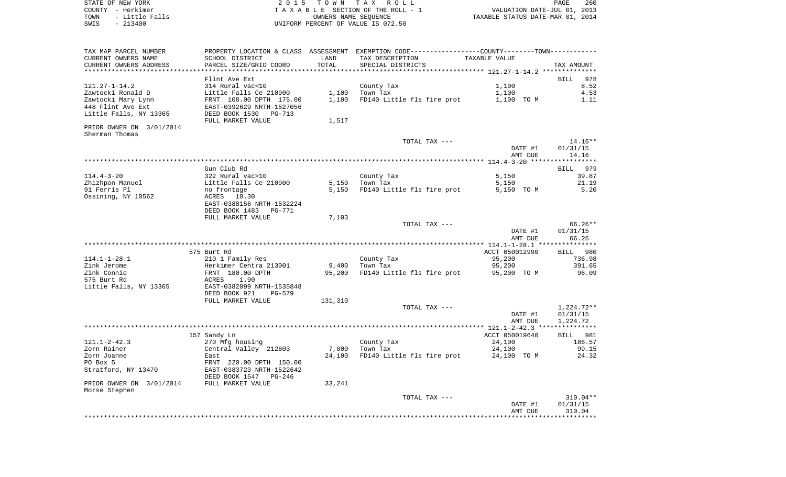| STATE OF NEW YORK      | 2015 TOWN TAX ROLL                 | PAGE                             | 260 |
|------------------------|------------------------------------|----------------------------------|-----|
| COUNTY - Herkimer      | TAXABLE SECTION OF THE ROLL - 1    | VALUATION DATE-JUL 01, 2013      |     |
| - Little Falls<br>TOWN | OWNERS NAME SEOUENCE               | TAXABLE STATUS DATE-MAR 01, 2014 |     |
| $-213400$<br>SWIS      | UNIFORM PERCENT OF VALUE IS 072.50 |                                  |     |

| TAX MAP PARCEL NUMBER<br>CURRENT OWNERS NAME                                        | PROPERTY LOCATION & CLASS ASSESSMENT<br>SCHOOL DISTRICT                                            | LAND                  | EXEMPTION CODE-----------------COUNTY-------TOWN-----------<br>TAX DESCRIPTION | TAXABLE VALUE                |                              |
|-------------------------------------------------------------------------------------|----------------------------------------------------------------------------------------------------|-----------------------|--------------------------------------------------------------------------------|------------------------------|------------------------------|
| CURRENT OWNERS ADDRESS                                                              | PARCEL SIZE/GRID COORD                                                                             | TOTAL<br>************ | SPECIAL DISTRICTS                                                              |                              | TAX AMOUNT                   |
|                                                                                     | Flint Ave Ext                                                                                      |                       |                                                                                |                              | 978<br>BILL                  |
| $121.27 - 1 - 14.2$<br>Zawtocki Ronald D<br>Zawtocki Mary Lynn<br>448 Flint Ave Ext | 314 Rural vac<10<br>Little Falls Ce 210900<br>FRNT 108.00 DPTH 175.00<br>EAST-0392629 NRTH-1527056 | 1,100<br>1,100        | County Tax<br>Town Tax<br>FD140 Little fls fire prot                           | 1,100<br>1,100<br>1,100 TO M | 8.52<br>4.53<br>1.11         |
| Little Falls, NY 13365                                                              | DEED BOOK 1530<br>PG-713<br>FULL MARKET VALUE                                                      | 1,517                 |                                                                                |                              |                              |
| PRIOR OWNER ON 3/01/2014<br>Sherman Thomas                                          |                                                                                                    |                       |                                                                                |                              |                              |
|                                                                                     |                                                                                                    |                       | TOTAL TAX ---                                                                  | DATE #1<br>AMT DUE           | 14.16**<br>01/31/15<br>14.16 |
|                                                                                     |                                                                                                    |                       |                                                                                |                              |                              |
| 114.4-3-20                                                                          | Gun Club Rd<br>322 Rural vac>10                                                                    |                       | County Tax                                                                     | 5,150                        | <b>BILL</b><br>979<br>39.87  |
| Zhizhpon Manuel                                                                     | Little Falls Ce 210900                                                                             | 5,150                 | Town Tax                                                                       | 5,150                        | 21.19                        |
| 91 Ferris Pl<br>Ossining, NY 10562                                                  | no frontage<br>ACRES<br>10.30<br>EAST-0388156 NRTH-1532224                                         | 5,150                 | FD140 Little fls fire prot                                                     | 5,150 TO M                   | 5.20                         |
|                                                                                     | DEED BOOK 1483<br>PG-771                                                                           |                       |                                                                                |                              |                              |
|                                                                                     | FULL MARKET VALUE                                                                                  | 7,103                 | TOTAL TAX ---                                                                  |                              | 66.26**                      |
|                                                                                     |                                                                                                    |                       |                                                                                | DATE #1<br>AMT DUE           | 01/31/15<br>66.26            |
|                                                                                     |                                                                                                    |                       |                                                                                |                              |                              |
| $114.1 - 1 - 28.1$                                                                  | 575 Burt Rd<br>210 1 Family Res                                                                    |                       | County Tax                                                                     | ACCT 050012990<br>95,200     | BILL 980<br>736.98           |
| Zink Jerome<br>Zink Connie<br>575 Burt Rd<br>Little Falls, NY 13365                 | Herkimer Centra 213001<br>FRNT 180.00 DPTH<br>ACRES<br>1.90<br>EAST-0382099 NRTH-1535848           | 9,400<br>95,200       | Town Tax<br>FD140 Little fls fire prot                                         | 95,200<br>95,200 TO M        | 391.65<br>96.09              |
|                                                                                     | DEED BOOK 921<br>PG-579<br>FULL MARKET VALUE                                                       | 131,310               |                                                                                |                              |                              |
|                                                                                     |                                                                                                    |                       | TOTAL TAX ---                                                                  |                              | 1,224.72**                   |
|                                                                                     |                                                                                                    |                       |                                                                                | DATE #1<br>AMT DUE           | 01/31/15<br>1,224.72         |
|                                                                                     |                                                                                                    |                       |                                                                                |                              |                              |
|                                                                                     | 157 Sandy Ln                                                                                       |                       |                                                                                | ACCT 050019640               | <b>BILL</b> 981              |
| $121.1 - 2 - 42.3$                                                                  | 270 Mfg housing                                                                                    | 7,000                 | County Tax                                                                     | 24,100<br>24,100             | 186.57<br>99.15              |
| Zorn Rainer<br>Zorn Joanne                                                          | Central Valley 212803<br>East                                                                      | 24,100                | Town Tax<br>FD140 Little fls fire prot                                         | 24,100 TO M                  | 24.32                        |
| PO Box 5                                                                            | FRNT 220.00 DPTH 150.00                                                                            |                       |                                                                                |                              |                              |
| Stratford, NY 13470                                                                 | EAST-0383723 NRTH-1522642<br>DEED BOOK 1547<br>PG-246                                              |                       |                                                                                |                              |                              |
| PRIOR OWNER ON 3/01/2014                                                            | FULL MARKET VALUE                                                                                  | 33,241                |                                                                                |                              |                              |
| Morse Stephen                                                                       |                                                                                                    |                       | TOTAL TAX ---                                                                  | DATE #1                      | $310.04**$<br>01/31/15       |
|                                                                                     |                                                                                                    |                       |                                                                                | AMT DUE                      | 310.04                       |
|                                                                                     |                                                                                                    |                       |                                                                                |                              |                              |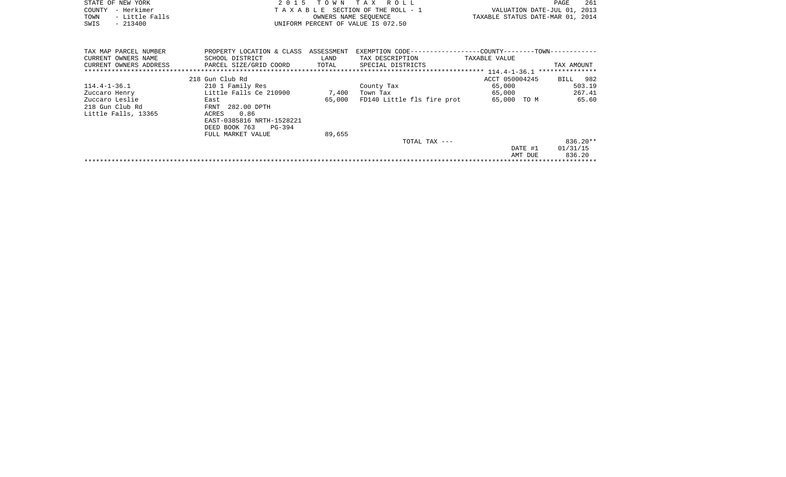|      | STATE OF NEW YORK | 2015 TOWN TAX ROLL                 |                                  | PAGE | -261 |
|------|-------------------|------------------------------------|----------------------------------|------|------|
|      | COUNTY - Herkimer | TAXABLE SECTION OF THE ROLL - 1    | VALUATION DATE-JUL 01, 2013      |      |      |
| TOWN | - Little Falls    | OWNERS NAME SEOUENCE               | TAXABLE STATUS DATE-MAR 01, 2014 |      |      |
| SWIS | $-213400$         | UNIFORM PERCENT OF VALUE IS 072.50 |                                  |      |      |
|      |                   |                                    |                                  |      |      |

| TAX MAP PARCEL NUMBER  | PROPERTY LOCATION & CLASS | ASSESSMENT | EXEMPTION CODE--           | -COUNTY--------TOWN----------- |                 |
|------------------------|---------------------------|------------|----------------------------|--------------------------------|-----------------|
| CURRENT OWNERS NAME    | SCHOOL DISTRICT           | LAND       | TAX DESCRIPTION            | TAXABLE VALUE                  |                 |
| CURRENT OWNERS ADDRESS | PARCEL SIZE/GRID COORD    | TOTAL      | SPECIAL DISTRICTS          |                                | TAX AMOUNT      |
|                        |                           |            |                            |                                | *************** |
|                        | 218 Gun Club Rd           |            |                            | ACCT 050004245                 | BILL 982        |
| $114.4 - 1 - 36.1$     | 210 1 Family Res          |            | County Tax                 | 65,000                         | 503.19          |
| Zuccaro Henry          | Little Falls Ce 210900    | 7,400      | Town Tax                   | 65,000                         | 267.41          |
| Zuccaro Leslie         | East                      | 65,000     | FD140 Little fls fire prot | 65,000<br>TO M                 | 65.60           |
| 218 Gun Club Rd        | FRNT 282.00 DPTH          |            |                            |                                |                 |
| Little Falls, 13365    | 0.86<br>ACRES             |            |                            |                                |                 |
|                        | EAST-0385816 NRTH-1528221 |            |                            |                                |                 |
|                        | PG-394<br>DEED BOOK 763   |            |                            |                                |                 |
|                        | FULL MARKET VALUE         | 89,655     |                            |                                |                 |
|                        |                           |            | TOTAL TAX ---              |                                | $836.20**$      |
|                        |                           |            |                            | DATE #1                        | 01/31/15        |
|                        |                           |            |                            | AMT DUE                        | 836.20          |
|                        |                           |            |                            |                                |                 |
|                        |                           |            |                            |                                |                 |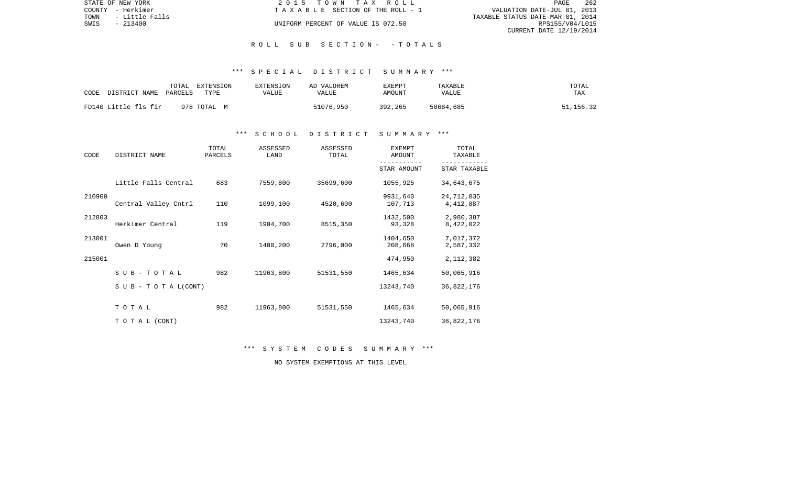|      | STATE OF NEW YORK | 2015 TOWN TAX ROLL                 | PAGE                             | 262 |
|------|-------------------|------------------------------------|----------------------------------|-----|
|      | COUNTY - Herkimer | TAXABLE SECTION OF THE ROLL - 1    | VALUATION DATE-JUL 01, 2013      |     |
| TOWN | - Little Falls    |                                    | TAXABLE STATUS DATE-MAR 01, 2014 |     |
| SWIS | $-213400$         | UNIFORM PERCENT OF VALUE IS 072.50 | RPS155/V04/L015                  |     |
|      |                   |                                    | CURRENT DATE 12/19/2014          |     |

#### R O L L S U B S E C T I O N - - T O T A L S

#### \*\*\* S P E C I A L D I S T R I C T S U M M A R Y \*\*\*

| CODE | DISTRICT NAME        | TOTAL<br>PARCELS | EXTENSION<br>TYPE | EXTENSION<br>VALUE | AD VALOREM<br>VALUE | <b>EXEMPT</b><br><b>AMOUNT</b> | TAXABLE<br><b>VALUE</b> | TOTAL<br>TAX |
|------|----------------------|------------------|-------------------|--------------------|---------------------|--------------------------------|-------------------------|--------------|
|      | FD140 Little fls fir |                  | 978 TOTAL M       |                    | 51076,950           | 392,265                        | 50684,685               | 51,156.32    |

### \*\*\* S C H O O L D I S T R I C T S U M M A R Y \*\*\*

| CODE   | DISTRICT NAME                    | TOTAL<br>PARCELS | ASSESSED<br>LAND | ASSESSED<br>TOTAL | <b>EXEMPT</b><br>AMOUNT | TOTAL<br>TAXABLE          |  |
|--------|----------------------------------|------------------|------------------|-------------------|-------------------------|---------------------------|--|
|        |                                  |                  |                  |                   | STAR AMOUNT             | STAR TAXABLE              |  |
|        | Little Falls Central             | 683              | 7559,800         | 35699,600         | 1055,925                | 34,643,675                |  |
| 210900 | Central Valley Cntrl             | 110              | 1099,100         | 4520,600          | 9931,640<br>107,713     | 24,712,035<br>4, 412, 887 |  |
| 212803 | Herkimer Central                 | 119              | 1904,700         | 8515,350          | 1432,500<br>93,328      | 2,980,387<br>8,422,022    |  |
| 213001 | Owen D Young                     | 70               | 1400,200         | 2796,000          | 1404,650<br>208,668     | 7,017,372<br>2,587,332    |  |
| 215001 |                                  |                  |                  |                   | 474,950                 | 2, 112, 382               |  |
|        | SUB-TOTAL                        | 982              | 11963,800        | 51531,550         | 1465,634                | 50,065,916                |  |
|        | $S \cup B - T \cup T A L (CONT)$ |                  |                  |                   | 13243,740               | 36,822,176                |  |
|        | TOTAL                            | 982              | 11963,800        | 51531,550         | 1465,634                | 50,065,916                |  |
|        | TO TAL (CONT)                    |                  |                  |                   | 13243,740               | 36,822,176                |  |

\*\*\* S Y S T E M C O D E S S U M M A R Y \*\*\*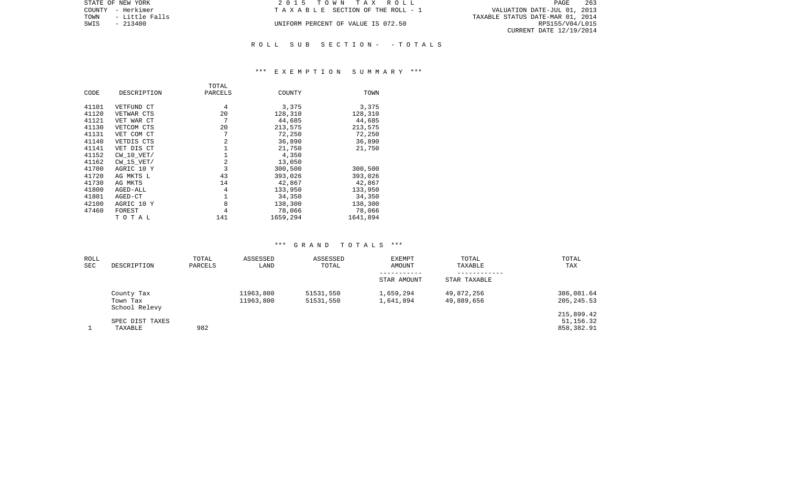| STATE OF NEW YORK      | 2015 TOWN TAX ROLL                 | 263<br>PAGE                      |
|------------------------|------------------------------------|----------------------------------|
| COUNTY - Herkimer      | TAXABLE SECTION OF THE ROLL - 1    | VALUATION DATE-JUL 01, 2013      |
| TOWN<br>- Little Falls |                                    | TAXABLE STATUS DATE-MAR 01, 2014 |
| SWIS<br>$-213400$      | UNIFORM PERCENT OF VALUE IS 072.50 | RPS155/V04/L015                  |
|                        |                                    | CURRENT DATE 12/19/2014          |
|                        |                                    |                                  |

# \*\*\* E X E M P T I O N S U M M A R Y \*\*\*

R O L L S U B S E C T I O N - - T O T A L S

|       |                | TOTAL   |          |          |
|-------|----------------|---------|----------|----------|
| CODE  | DESCRIPTION    | PARCELS | COUNTY   | TOWN     |
|       |                | 4       | 3,375    |          |
| 41101 | VETFUND CT     |         |          | 3,375    |
| 41120 | VETWAR CTS     | 20      | 128,310  | 128,310  |
| 41121 | VET WAR CT     | 7       | 44,685   | 44,685   |
| 41130 | VETCOM CTS     | 20      | 213,575  | 213,575  |
| 41131 | VET COM CT     | 7       | 72,250   | 72,250   |
| 41140 | VETDIS CTS     | 2       | 36,890   | 36,890   |
| 41141 | VET DIS CT     |         | 21,750   | 21,750   |
| 41152 | $CW$ 10 $VET/$ | 1       | 4,350    |          |
| 41162 | $CW$ 15 $VET/$ | 2       | 13,050   |          |
| 41700 | AGRIC 10 Y     | 3       | 300,500  | 300,500  |
| 41720 | AG MKTS L      | 43      | 393,026  | 393,026  |
| 41730 | AG MKTS        | 14      | 42,867   | 42,867   |
| 41800 | AGED-ALL       | 4       | 133,950  | 133,950  |
| 41801 | AGED-CT        | 1       | 34,350   | 34,350   |
| 42100 | AGRIC 10 Y     | 8       | 138,300  | 138,300  |
| 47460 | FOREST         | 4       | 78,066   | 78,066   |
|       | TOTAL          | 141     | 1659,294 | 1641,894 |

| ROLL<br>SEC | DESCRIPTION                             | TOTAL<br>PARCELS | ASSESSED<br>LAND       | ASSESSED<br>TOTAL      | <b>EXEMPT</b><br>AMOUNT | TOTAL<br>TAXABLE         | TOTAL<br>TAX                          |
|-------------|-----------------------------------------|------------------|------------------------|------------------------|-------------------------|--------------------------|---------------------------------------|
|             |                                         |                  |                        |                        | STAR AMOUNT             | STAR TAXABLE             |                                       |
|             | County Tax<br>Town Tax<br>School Relevy |                  | 11963,800<br>11963,800 | 51531,550<br>51531,550 | 1,659,294<br>1,641,894  | 49,872,256<br>49,889,656 | 386,081.64<br>205, 245.53             |
|             | SPEC DIST TAXES<br>TAXABLE              | 982              |                        |                        |                         |                          | 215,899.42<br>51,156.32<br>858,382.91 |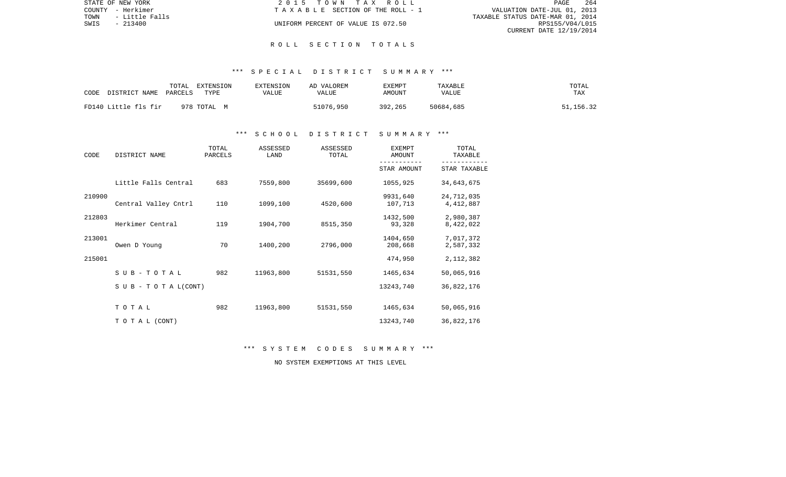| STATE OF NEW YORK |                | 2015 TOWN TAX ROLL                 | PAGE                             | 264 |
|-------------------|----------------|------------------------------------|----------------------------------|-----|
| COUNTY - Herkimer |                | TAXABLE SECTION OF THE ROLL - 1    | VALUATION DATE-JUL 01, 2013      |     |
| TOWN              | - Little Falls |                                    | TAXABLE STATUS DATE-MAR 01, 2014 |     |
| SWIS              | $-213400$      | UNIFORM PERCENT OF VALUE IS 072.50 | RPS155/V04/L015                  |     |
|                   |                |                                    | CURRENT DATE 12/19/2014          |     |

#### R O L L S E C T I O N T O T A L S

### \*\*\* S P E C I A L D I S T R I C T S U M M A R Y \*\*\*

| CODE<br>DISTRICT NAME | TOTAL<br>EXTENSION<br>TYPE<br>PARCELS | EXTENSION<br>VALUE | AD VALOREM<br>VALUE | EXEMPT<br>AMOUNT | TAXABLE<br><b>VALUE</b> | TOTAL<br>TAX |
|-----------------------|---------------------------------------|--------------------|---------------------|------------------|-------------------------|--------------|
| FD140 Little fls fir  | 978 TOTAL M                           |                    | 51076,950           | 392,265          | 50684,685               | 51,156.32    |

### \*\*\* S C H O O L D I S T R I C T S U M M A R Y \*\*\*

| CODE<br>DISTRICT NAME |                               | TOTAL<br>PARCELS | ASSESSED<br>LAND | ASSESSED<br>TOTAL | <b>EXEMPT</b><br>AMOUNT | TOTAL<br>TAXABLE        |
|-----------------------|-------------------------------|------------------|------------------|-------------------|-------------------------|-------------------------|
|                       |                               |                  |                  |                   | STAR AMOUNT             | STAR TAXABLE            |
|                       | Little Falls Central          | 683              | 7559,800         | 35699,600         | 1055,925                | 34,643,675              |
| 210900                | Central Valley Cntrl          | 110              | 1099,100         | 4520,600          | 9931,640<br>107,713     | 24,712,035<br>4,412,887 |
| 212803                | Herkimer Central              | 119              | 1904,700         | 8515,350          | 1432,500<br>93,328      | 2,980,387<br>8,422,022  |
| 213001                | Owen D Young                  | 70               | 1400,200         | 2796,000          | 1404,650<br>208,668     | 7,017,372<br>2,587,332  |
| 215001                |                               |                  |                  |                   | 474,950                 | 2, 112, 382             |
|                       | $S$ U B - T O T A L           | 982              | 11963,800        | 51531,550         | 1465,634                | 50,065,916              |
|                       | $S \cup B - T O T A L (CONT)$ |                  |                  |                   | 13243,740               | 36,822,176              |
|                       | TOTAL                         | 982              | 11963,800        | 51531,550         | 1465,634                | 50,065,916              |
|                       | TO TAL (CONT)                 |                  |                  |                   | 13243,740               | 36,822,176              |

\*\*\* S Y S T E M C O D E S S U M M A R Y \*\*\*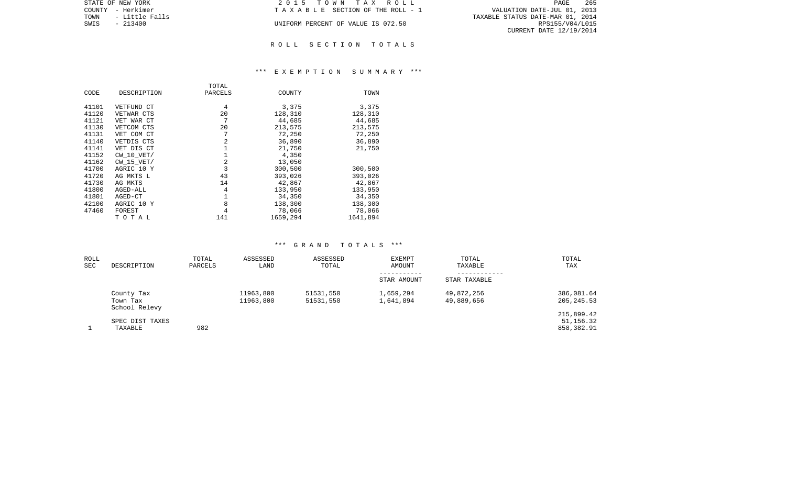| STATE OF NEW YORK      | 2015 TOWN TAX ROLL                 | 265<br>PAGE                      |
|------------------------|------------------------------------|----------------------------------|
| COUNTY - Herkimer      | TAXABLE SECTION OF THE ROLL - 1    | VALUATION DATE-JUL 01, 2013      |
| TOWN<br>- Little Falls |                                    | TAXABLE STATUS DATE-MAR 01, 2014 |
| SWIS<br>$-213400$      | UNIFORM PERCENT OF VALUE IS 072.50 | RPS155/V04/L015                  |
|                        |                                    | CURRENT DATE 12/19/2014          |
|                        |                                    |                                  |

### R O L L S E C T I O N T O T A L S

### \*\*\* E X E M P T I O N S U M M A R Y \*\*\*

|       |                | TOTAL   |          |          |
|-------|----------------|---------|----------|----------|
| CODE  | DESCRIPTION    | PARCELS | COUNTY   | TOWN     |
|       |                |         |          |          |
| 41101 | VETFUND CT     | 4       | 3,375    | 3,375    |
| 41120 | VETWAR CTS     | 20      | 128,310  | 128,310  |
| 41121 | VET WAR CT     | 7       | 44,685   | 44,685   |
| 41130 | VETCOM CTS     | 20      | 213,575  | 213,575  |
| 41131 | VET COM CT     | 7       | 72,250   | 72,250   |
| 41140 | VETDIS CTS     | 2       | 36,890   | 36,890   |
| 41141 | VET DIS CT     | 1       | 21,750   | 21,750   |
| 41152 | CW 10 VET/     | 1       | 4,350    |          |
| 41162 | $CW$ 15 $VET/$ | 2       | 13,050   |          |
| 41700 | AGRIC 10 Y     | 3       | 300,500  | 300,500  |
| 41720 | AG MKTS L      | 43      | 393,026  | 393,026  |
| 41730 | AG MKTS        | 14      | 42,867   | 42,867   |
| 41800 | AGED-ALL       | 4       | 133,950  | 133,950  |
| 41801 | AGED-CT        | 1       | 34,350   | 34,350   |
| 42100 | AGRIC 10 Y     | 8       | 138,300  | 138,300  |
| 47460 | FOREST         | 4       | 78,066   | 78,066   |
|       | TOTAL          | 141     | 1659,294 | 1641,894 |

| ROLL       |                           | TOTAL   | ASSESSED  | ASSESSED  | <b>EXEMPT</b> | TOTAL        | TOTAL       |
|------------|---------------------------|---------|-----------|-----------|---------------|--------------|-------------|
| <b>SEC</b> | DESCRIPTION               | PARCELS | LAND      | TOTAL     | AMOUNT        | TAXABLE      | TAX         |
|            |                           |         |           |           | STAR AMOUNT   | STAR TAXABLE |             |
|            | County Tax                |         | 11963,800 | 51531,550 | 1,659,294     | 49,872,256   | 386,081.64  |
|            | Town Tax<br>School Relevy |         | 11963,800 | 51531,550 | 1,641,894     | 49,889,656   | 205, 245.53 |
|            |                           |         |           |           |               |              | 215,899.42  |
|            | SPEC DIST TAXES           |         |           |           |               |              | 51,156.32   |
|            | TAXABLE                   | 982     |           |           |               |              | 858,382.91  |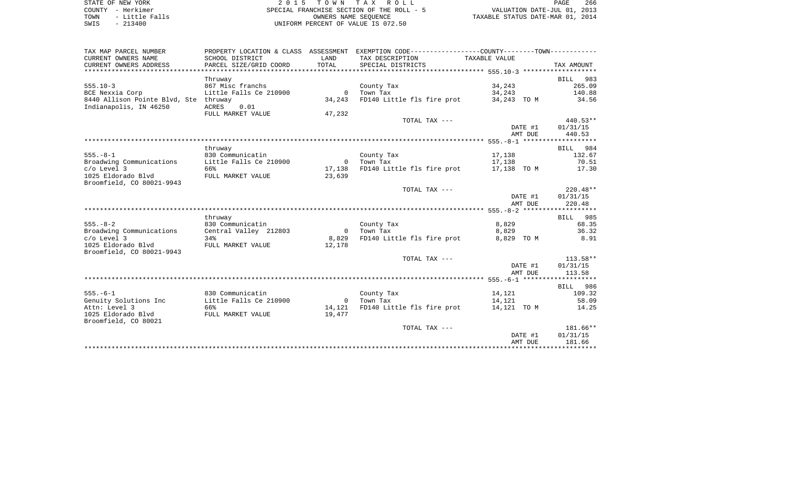| STATE OF NEW YORK      | 2015 TOWN TAX ROLL                        | 266<br>PAGE                      |
|------------------------|-------------------------------------------|----------------------------------|
| COUNTY - Herkimer      | SPECIAL FRANCHISE SECTION OF THE ROLL - 5 | VALUATION DATE-JUL 01, 2013      |
| - Little Falls<br>TOWN | OWNERS NAME SEOUENCE                      | TAXABLE STATUS DATE-MAR 01, 2014 |
| $-213400$<br>SWIS      | UNIFORM PERCENT OF VALUE IS 072.50        |                                  |

| TAX MAP PARCEL NUMBER                        |                        |                | PROPERTY LOCATION & CLASS ASSESSMENT EXEMPTION CODE----------------COUNTY--------TOWN---------- |         |            |                  |
|----------------------------------------------|------------------------|----------------|-------------------------------------------------------------------------------------------------|---------|------------|------------------|
| CURRENT OWNERS NAME                          | SCHOOL DISTRICT        | LAND           | TAX DESCRIPTION TAXABLE VALUE                                                                   |         |            |                  |
| CURRENT OWNERS ADDRESS                       | PARCEL SIZE/GRID COORD | TOTAL          | SPECIAL DISTRICTS                                                                               |         |            | TAX AMOUNT       |
|                                              |                        |                |                                                                                                 |         |            |                  |
|                                              | Thruway                |                |                                                                                                 |         |            | BILL 983         |
| $555.10-3$                                   | 867 Misc franchs       |                | County Tax                                                                                      | 34, 243 |            | 265.09           |
| BCE Nexxia Corp                              | Little Falls Ce 210900 |                | 0 Town Tax                                                                                      | 34, 243 |            | 140.88           |
| 8440 Allison Pointe Blvd, Ste thruway        |                        | 34,243         | FD140 Little fls fire prot 34,243 TO M                                                          |         |            | 34.56            |
| Indianapolis, IN 46250                       | ACRES<br>0.01          |                |                                                                                                 |         |            |                  |
|                                              | FULL MARKET VALUE      | 47,232         |                                                                                                 |         |            |                  |
|                                              |                        |                | TOTAL TAX ---                                                                                   |         |            | 440.53**         |
|                                              |                        |                |                                                                                                 |         |            | DATE #1 01/31/15 |
|                                              |                        |                |                                                                                                 |         | AMT DUE    | 440.53           |
|                                              |                        |                |                                                                                                 |         |            |                  |
|                                              | thruway                |                |                                                                                                 |         |            | BILL 984         |
| $555. - 8 - 1$                               | 830 Communicatin       |                | County Tax                                                                                      | 17,138  |            | 132.67           |
| Broadwing Communications                     | Little Falls Ce 210900 |                | 0 Town Tax                                                                                      | 17,138  |            | 70.51            |
| $c$ / $o$ Level 3                            | 66%                    | 17,138         | FD140 Little fls fire prot 17,138 TO M                                                          |         |            | 17.30            |
| 1025 Eldorado Blvd                           | FULL MARKET VALUE      | 23,639         |                                                                                                 |         |            |                  |
| Broomfield, CO 80021-9943                    |                        |                |                                                                                                 |         |            |                  |
|                                              |                        |                | TOTAL TAX ---                                                                                   |         |            | $220.48**$       |
|                                              |                        |                |                                                                                                 |         | DATE #1    | 01/31/15         |
|                                              |                        |                |                                                                                                 |         | AMT DUE    | 220.48           |
|                                              |                        |                |                                                                                                 |         |            |                  |
|                                              | thruway                |                |                                                                                                 |         |            | BILL 985         |
| $555. - 8 - 2$                               | 830 Communicatin       |                | County Tax                                                                                      | 8,829   |            | 68.35            |
| Broadwing Communications                     | Central Valley 212803  | $\sim$ 0       | Town Tax                                                                                        |         | 8,829      | 36.32            |
| $C/O$ Level 3                                | 34%                    | 8,829          | FD140 Little fls fire prot                                                                      |         | 8,829 TO M | 8.91             |
| 1025 Eldorado Blvd                           | FULL MARKET VALUE      | 12,178         |                                                                                                 |         |            |                  |
| Broomfield, CO 80021-9943                    |                        |                |                                                                                                 |         |            |                  |
|                                              |                        |                | TOTAL TAX ---                                                                                   |         |            | $113.58**$       |
|                                              |                        |                |                                                                                                 |         |            | DATE #1 01/31/15 |
|                                              |                        |                |                                                                                                 |         | AMT DUE    | 113.58           |
|                                              |                        |                |                                                                                                 |         |            |                  |
|                                              |                        |                |                                                                                                 |         |            | BILL 986         |
| $555. - 6 - 1$                               | 830 Communicatin       |                | County Tax                                                                                      | 14,121  |            | 109.32           |
|                                              |                        | $\overline{0}$ | Town Tax                                                                                        | 14,121  |            | 58.09            |
| Genuity Solutions Inc Little Falls Ce 210900 |                        |                |                                                                                                 |         |            |                  |
| Attn: Level 3                                | 66%                    | 14,121         | FD140 Little fls fire prot 14,121 TO M                                                          |         |            | 14.25            |
| 1025 Eldorado Blvd                           | FULL MARKET VALUE      | 19,477         |                                                                                                 |         |            |                  |
| Broomfield, CO 80021                         |                        |                |                                                                                                 |         |            |                  |
|                                              |                        |                | TOTAL TAX ---                                                                                   |         |            | 181.66**         |
|                                              |                        |                |                                                                                                 |         | DATE #1    | 01/31/15         |
|                                              |                        |                |                                                                                                 |         | AMT DUE    | 181.66           |
|                                              |                        |                |                                                                                                 |         |            |                  |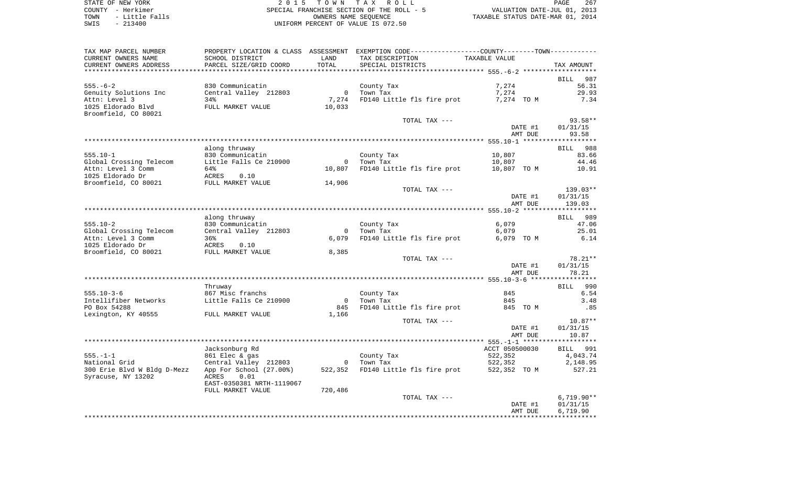|      | STATE OF NEW YORK | 2015 TOWN TAX ROLL                        | PAGE                             | 267 |
|------|-------------------|-------------------------------------------|----------------------------------|-----|
|      | COUNTY - Herkimer | SPECIAL FRANCHISE SECTION OF THE ROLL - 5 | VALUATION DATE-JUL 01, 2013      |     |
| TOWN | - Little Falls    | OWNERS NAME SEOUENCE                      | TAXABLE STATUS DATE-MAR 01, 2014 |     |
| SWIS | $-213400$         | UNIFORM PERCENT OF VALUE IS 072.50        |                                  |     |

PAGE 267

| TAX MAP PARCEL NUMBER                   |                                            |                       | PROPERTY LOCATION & CLASS ASSESSMENT EXEMPTION CODE---------------COUNTY-------TOWN---------- |                 |                              |
|-----------------------------------------|--------------------------------------------|-----------------------|-----------------------------------------------------------------------------------------------|-----------------|------------------------------|
| CURRENT OWNERS NAME                     | SCHOOL DISTRICT                            | LAND                  | TAX DESCRIPTION                                                                               | TAXABLE VALUE   |                              |
| CURRENT OWNERS ADDRESS                  | PARCEL SIZE/GRID COORD                     | TOTAL                 | SPECIAL DISTRICTS                                                                             |                 | TAX AMOUNT                   |
|                                         |                                            |                       |                                                                                               |                 | BILL 987                     |
| $555. - 6 - 2$                          | 830 Communicatin                           |                       | County Tax                                                                                    | 7,274           | 56.31                        |
| Genuity Solutions Inc                   | Central Valley 212803                      | $\mathbf 0$           | Town Tax                                                                                      | 7,274           | 29.93                        |
| Attn: Level 3                           | 34%                                        | 7,274                 | FD140 Little fls fire prot                                                                    | 7,274 TO M      | 7.34                         |
| 1025 Eldorado Blvd                      | FULL MARKET VALUE                          | 10,033                |                                                                                               |                 |                              |
| Broomfield, CO 80021                    |                                            |                       |                                                                                               |                 |                              |
|                                         |                                            |                       | TOTAL TAX ---                                                                                 |                 | 93.58**                      |
|                                         |                                            |                       |                                                                                               | DATE #1         | 01/31/15                     |
|                                         |                                            |                       |                                                                                               | AMT DUE         | 93.58<br>******************* |
|                                         | along thruway                              |                       |                                                                                               |                 | BILL 988                     |
| $555.10 - 1$                            | 830 Communicatin                           |                       | County Tax                                                                                    | 10,807          | 83.66                        |
| Global Crossing Telecom                 | Little Falls Ce 210900                     | $\circ$               | Town Tax                                                                                      | 10,807          | 44.46                        |
| Attn: Level 3 Comm                      | 64%                                        | 10,807                | FD140 Little fls fire prot                                                                    | 10,807 TO M     | 10.91                        |
| 1025 Eldorado Dr                        | 0.10<br>ACRES                              |                       |                                                                                               |                 |                              |
| Broomfield, CO 80021                    | FULL MARKET VALUE                          | 14,906                |                                                                                               |                 |                              |
|                                         |                                            |                       | TOTAL TAX ---                                                                                 |                 | 139.03**                     |
|                                         |                                            |                       |                                                                                               | DATE #1         | 01/31/15                     |
|                                         |                                            |                       |                                                                                               | AMT DUE         | 139.03                       |
|                                         |                                            |                       |                                                                                               |                 |                              |
|                                         | along thruway                              |                       |                                                                                               |                 | BILL 989                     |
| $555.10 - 2$<br>Global Crossing Telecom | 830 Communicatin<br>Central Valley 212803  | $\circ$               | County Tax<br>Town Tax                                                                        | 6,079<br>6,079  | 47.06<br>25.01               |
| Attn: Level 3 Comm                      | 36%                                        | 6,079                 | FD140 Little fls fire prot                                                                    | 6,079 TO M      | 6.14                         |
| 1025 Eldorado Dr                        | ACRES<br>0.10                              |                       |                                                                                               |                 |                              |
| Broomfield, CO 80021                    | FULL MARKET VALUE                          | 8,385                 |                                                                                               |                 |                              |
|                                         |                                            |                       | TOTAL TAX ---                                                                                 |                 | $78.21**$                    |
|                                         |                                            |                       |                                                                                               | DATE #1         | 01/31/15                     |
|                                         |                                            |                       |                                                                                               | AMT DUE         | 78.21                        |
|                                         |                                            |                       |                                                                                               |                 |                              |
|                                         | Thruway                                    |                       |                                                                                               |                 | BILL 990                     |
| $555.10 - 3 - 6$                        | 867 Misc franchs                           |                       | County Tax                                                                                    | 845             | 6.54                         |
| Intellifiber Networks<br>PO Box 54288   | Little Falls Ce 210900                     | $\overline{0}$<br>845 | Town Tax<br>FD140 Little fls fire prot                                                        | 845<br>845 TO M | 3.48<br>.85                  |
| Lexington, KY 40555                     | FULL MARKET VALUE                          | 1,166                 |                                                                                               |                 |                              |
|                                         |                                            |                       | TOTAL TAX ---                                                                                 |                 | $10.87**$                    |
|                                         |                                            |                       |                                                                                               | DATE #1         | 01/31/15                     |
|                                         |                                            |                       |                                                                                               | AMT DUE         | 10.87                        |
|                                         |                                            |                       |                                                                                               |                 |                              |
|                                         | Jacksonburg Rd                             |                       |                                                                                               | ACCT 050500030  | BILL 991                     |
| $555. - 1 - 1$                          | 861 Elec & gas                             |                       | County Tax                                                                                    | 522,352         | 4,043.74                     |
| National Grid                           | Central Valley 212803                      | $\overline{0}$        | Town Tax                                                                                      | 522,352         | 2,148.95                     |
| 300 Erie Blvd W Bldg D-Mezz             | App For School (27.00%)                    | 522,352               | FD140 Little fls fire prot                                                                    | 522,352 TO M    | 527.21                       |
| Syracuse, NY 13202                      | ACRES<br>0.01<br>EAST-0350381 NRTH-1119067 |                       |                                                                                               |                 |                              |
|                                         | FULL MARKET VALUE                          | 720,486               |                                                                                               |                 |                              |
|                                         |                                            |                       | TOTAL TAX ---                                                                                 |                 | $6,719.90**$                 |
|                                         |                                            |                       |                                                                                               | DATE #1         | 01/31/15                     |
|                                         |                                            |                       |                                                                                               | AMT DUE         | 6,719.90                     |
|                                         |                                            |                       |                                                                                               |                 |                              |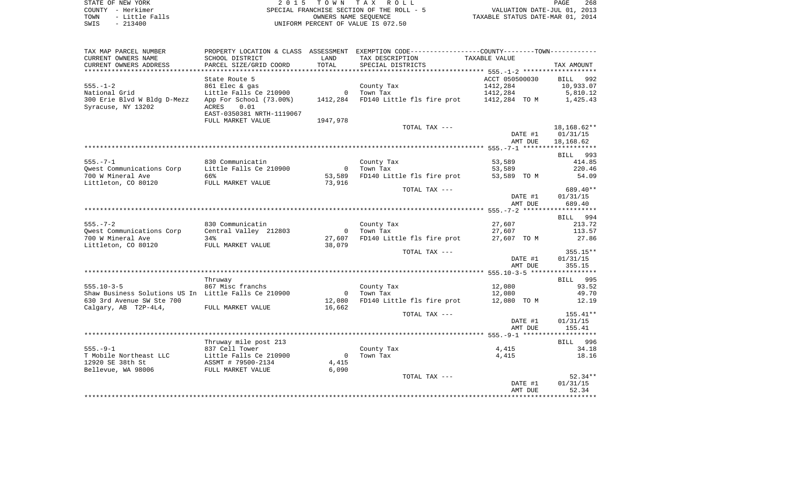STATE OF NEW YORK **EXECUTE:**  $2015$  TOWN TAX ROLL COUNTY - Herkimer<br>
TOWN - Little Falls<br>
SPECIAL FRANCHISE SECTION OF THE ROLL - 5<br>
SWIS - 213400 - 2013400 - UNIFORM PERCENT OF VALUE IS 072.50 TOWN - Little Falls OWNERS NAME SEQUENCE TAXABLE STATUS DATE-MAR 01, 2014 SWIS - 213400 UNIFORM PERCENT OF VALUE IS 072.50

| TAX MAP PARCEL NUMBER                                | PROPERTY LOCATION & CLASS ASSESSMENT |                | EXEMPTION CODE-----------------COUNTY-------TOWN----------- |                       |             |
|------------------------------------------------------|--------------------------------------|----------------|-------------------------------------------------------------|-----------------------|-------------|
| CURRENT OWNERS NAME                                  | SCHOOL DISTRICT                      | LAND           | TAX DESCRIPTION                                             | TAXABLE VALUE         |             |
| CURRENT OWNERS ADDRESS                               | PARCEL SIZE/GRID COORD               | TOTAL          | SPECIAL DISTRICTS                                           |                       | TAX AMOUNT  |
|                                                      |                                      |                |                                                             |                       |             |
|                                                      | State Route 5                        |                |                                                             | ACCT 050500030        | BILL 992    |
| $555. - 1 - 2$                                       | 861 Elec & gas                       |                | County Tax                                                  | 1412,284              | 10,933.07   |
| National Grid                                        | Little Falls Ce 210900               | $\overline{0}$ | Town Tax                                                    | 1412,284              | 5,810.12    |
| 300 Erie Blvd W Bldg D-Mezz                          | App For School (73.00%)              | 1412,284       | FD140 Little fls fire prot                                  | 1412,284 TOM 1,425.43 |             |
| Syracuse, NY 13202                                   | 0.01<br>ACRES                        |                |                                                             |                       |             |
|                                                      | EAST-0350381 NRTH-1119067            |                |                                                             |                       |             |
|                                                      | FULL MARKET VALUE                    | 1947,978       |                                                             |                       |             |
|                                                      |                                      |                | TOTAL TAX ---                                               |                       | 18,168.62** |
|                                                      |                                      |                |                                                             | DATE #1               | 01/31/15    |
|                                                      |                                      |                |                                                             | AMT DUE               | 18,168.62   |
|                                                      |                                      |                |                                                             |                       |             |
|                                                      |                                      |                |                                                             |                       | BILL 993    |
| $555. - 7 - 1$                                       | 830 Communicatin                     |                | County Tax                                                  | 53,589                | 414.85      |
| Owest Communications Corp                            | Little Falls Ce 210900               | $\overline{0}$ | Town Tax                                                    | 53,589                | 220.46      |
| 700 W Mineral Ave                                    | 66%                                  | 53,589         | FD140 Little fls fire prot                                  | 53,589 TO M           | 54.09       |
| Littleton, CO 80120                                  | FULL MARKET VALUE                    | 73,916         |                                                             |                       |             |
|                                                      |                                      |                |                                                             |                       | 689.40**    |
|                                                      |                                      |                | TOTAL TAX ---                                               |                       |             |
|                                                      |                                      |                |                                                             | DATE #1<br>AMT DUE    | 01/31/15    |
|                                                      |                                      |                |                                                             |                       | 689.40      |
|                                                      |                                      |                |                                                             |                       |             |
|                                                      |                                      |                |                                                             |                       | BILL 994    |
| $555. - 7 - 2$                                       | 830 Communicatin                     |                | County Tax                                                  | 27,607                | 213.72      |
| Qwest Communications Corp                            | Central Valley 212803                | $\overline{0}$ | Town Tax                                                    | 27,607                | 113.57      |
| 700 W Mineral Ave                                    | 34%                                  | 27,607         | FD140 Little fls fire prot                                  | 27,607 TO M           | 27.86       |
| Littleton, CO 80120                                  | FULL MARKET VALUE                    | 38,079         |                                                             |                       |             |
|                                                      |                                      |                | TOTAL TAX ---                                               |                       | $355.15**$  |
|                                                      |                                      |                |                                                             | DATE #1               | 01/31/15    |
|                                                      |                                      |                |                                                             | AMT DUE               | 355.15      |
|                                                      |                                      |                |                                                             |                       |             |
|                                                      | Thruway                              |                |                                                             |                       | BILL 995    |
| $555.10 - 3 - 5$                                     | 867 Misc franchs                     |                | County Tax                                                  | 12,080                | 93.52       |
| Shaw Business Solutions US In Little Falls Ce 210900 |                                      | $\overline{0}$ | Town Tax                                                    | 12,080                | 49.70       |
| 630 3rd Avenue SW Ste 700                            |                                      | 12,080         | FD140 Little fls fire prot                                  | 12,080 TO M           | 12.19       |
| Calgary, AB T2P-4L4,                                 | FULL MARKET VALUE                    | 16,662         |                                                             |                       |             |
|                                                      |                                      |                | TOTAL TAX ---                                               |                       | $155.41**$  |
|                                                      |                                      |                |                                                             | DATE #1               | 01/31/15    |
|                                                      |                                      |                |                                                             | AMT DUE               | 155.41      |
|                                                      |                                      |                |                                                             |                       |             |
|                                                      | Thruway mile post 213                |                |                                                             |                       | BILL 996    |
| $555. - 9 - 1$                                       | 837 Cell Tower                       |                | County Tax                                                  | 4,415                 | 34.18       |
| T Mobile Northeast LLC                               | Little Falls Ce 210900               | $\overline{0}$ | Town Tax                                                    | 4,415                 | 18.16       |
| 12920 SE 38th St                                     | ASSMT # 79500-2134                   | 4,415          |                                                             |                       |             |
| Bellevue, WA 98006                                   | FULL MARKET VALUE                    | 6,090          |                                                             |                       |             |
|                                                      |                                      |                | TOTAL TAX ---                                               |                       | $52.34**$   |
|                                                      |                                      |                |                                                             | DATE #1               | 01/31/15    |
|                                                      |                                      |                |                                                             | AMT DUE               | 52.34       |
|                                                      |                                      |                |                                                             |                       |             |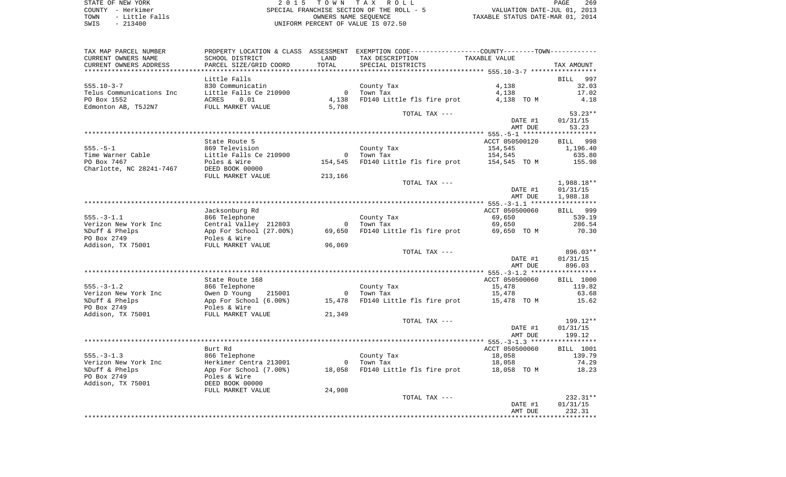STATE OF NEW YORK 2 0 1 5 T O W N T A X R O L L PAGE 269 COUNTY - Herkimer SPECIAL FRANCHISE SECTION OF THE ROLL - 5 VALUATION DATE-JUL 01, 2013 TOWN - Little Falls OWNERS NAME SEQUENCE TAXABLE STATUS DATE-MAR 01, 2014 SWIS - 213400 UNIFORM PERCENT OF VALUE IS 072.50

| TAX MAP PARCEL NUMBER                    |                                        |                | PROPERTY LOCATION & CLASS ASSESSMENT EXEMPTION CODE---------------COUNTY-------TOWN---------- |                          |                  |
|------------------------------------------|----------------------------------------|----------------|-----------------------------------------------------------------------------------------------|--------------------------|------------------|
| CURRENT OWNERS NAME                      | SCHOOL DISTRICT                        | LAND           | TAX DESCRIPTION                                                                               | TAXABLE VALUE            |                  |
| CURRENT OWNERS ADDRESS                   | PARCEL SIZE/GRID COORD                 | TOTAL          | SPECIAL DISTRICTS                                                                             |                          | TAX AMOUNT       |
| ******************************           |                                        |                |                                                                                               |                          |                  |
|                                          | Little Falls                           |                |                                                                                               |                          | BILL<br>997      |
| $555.10 - 3 - 7$                         | 830 Communicatin                       |                | County Tax                                                                                    | 4,138                    | 32.03            |
| Telus Communications Inc                 | Little Falls Ce 210900                 | $\overline{0}$ | Town Tax                                                                                      | 4,138                    | 17.02            |
| PO Box 1552                              | ACRES<br>0.01                          | 4,138          | FD140 Little fls fire prot                                                                    | 4,138 TO M               | 4.18             |
| Edmonton AB, T5J2N7                      | FULL MARKET VALUE                      | 5,708          | TOTAL TAX ---                                                                                 |                          | $53.23**$        |
|                                          |                                        |                |                                                                                               | DATE #1                  | 01/31/15         |
|                                          |                                        |                |                                                                                               | AMT DUE                  | 53.23            |
|                                          |                                        |                |                                                                                               |                          |                  |
|                                          | State Route 5                          |                |                                                                                               | ACCT 050500120           | BILL 998         |
| $555. - 5 - 1$                           | 869 Television                         |                | County Tax                                                                                    | 154,545                  | 1,196.40         |
| Time Warner Cable                        | Little Falls Ce 210900                 |                | 0 Town Tax                                                                                    | 154,545                  | 635.80           |
| PO Box 7467                              | Poles & Wire                           | 154,545        | FD140 Little fls fire prot 154,545 TO M                                                       |                          | 155.98           |
| Charlotte, NC 28241-7467 DEED BOOK 00000 |                                        |                |                                                                                               |                          |                  |
|                                          | FULL MARKET VALUE                      | 213,166        |                                                                                               |                          |                  |
|                                          |                                        |                | TOTAL TAX ---                                                                                 |                          | 1,988.18**       |
|                                          |                                        |                |                                                                                               | DATE #1                  | 01/31/15         |
|                                          |                                        |                |                                                                                               | AMT DUE                  | 1,988.18         |
|                                          | Jacksonburg Rd                         |                |                                                                                               | ACCT 050500060           | BILL 999         |
| $555. - 3 - 1.1$                         | 866 Telephone                          |                | County Tax                                                                                    | 69,650                   | 539.19           |
| Verizon New York Inc                     | Central Valley 212803                  | $\overline{0}$ | Town Tax                                                                                      | 69,650                   | 286.54           |
| %Duff & Phelps                           | App For School (27.00%)                | 69,650         | FD140 Little fls fire prot                                                                    | 69,650 TO M              | 70.30            |
| PO Box 2749                              | Poles & Wire                           |                |                                                                                               |                          |                  |
| Addison, TX 75001                        | FULL MARKET VALUE                      | 96,069         |                                                                                               |                          |                  |
|                                          |                                        |                | TOTAL TAX ---                                                                                 |                          | 896.03**         |
|                                          |                                        |                |                                                                                               | DATE #1                  | 01/31/15         |
|                                          |                                        |                |                                                                                               | AMT DUE                  | 896.03           |
|                                          |                                        |                |                                                                                               |                          | <b>BILL</b> 1000 |
| $555. - 3 - 1.2$                         | State Route 168<br>866 Telephone       |                | County Tax                                                                                    | ACCT 050500060<br>15,478 | 119.82           |
| Verizon New York Inc                     | Owen D Young<br>215001                 | $\overline{0}$ | Town Tax                                                                                      | 15,478                   | 63.68            |
| %Duff & Phelps                           | App For School (6.00%)                 | 15,478         | FD140 Little fls fire prot 15,478 TO M                                                        |                          | 15.62            |
| PO Box 2749                              | Poles & Wire                           |                |                                                                                               |                          |                  |
| Addison, TX 75001                        | FULL MARKET VALUE                      | 21,349         |                                                                                               |                          |                  |
|                                          |                                        |                | TOTAL TAX ---                                                                                 |                          | 199.12**         |
|                                          |                                        |                |                                                                                               | DATE #1                  | 01/31/15         |
|                                          |                                        |                |                                                                                               | AMT DUE                  | 199.12           |
|                                          |                                        |                |                                                                                               |                          |                  |
|                                          | Burt Rd                                |                |                                                                                               | ACCT 050500060           | <b>BILL</b> 1001 |
| $555. - 3 - 1.3$                         | 866 Telephone                          |                | County Tax                                                                                    | 18,058                   | 139.79           |
| Verizon New York Inc                     | Herkimer Centra 213001                 |                | 0 Town Tax<br>FD140 Little fls fire prot 18,058 TO M                                          | 18,058                   | 74.29            |
| %Duff & Phelps<br>PO Box 2749            | App For School (7.00%)<br>Poles & Wire | 18,058         |                                                                                               |                          | 18.23            |
| Addison, TX 75001                        | DEED BOOK 00000                        |                |                                                                                               |                          |                  |
|                                          | FULL MARKET VALUE                      | 24,908         |                                                                                               |                          |                  |
|                                          |                                        |                | TOTAL TAX ---                                                                                 |                          | $232.31**$       |
|                                          |                                        |                |                                                                                               | DATE #1                  | 01/31/15         |
|                                          |                                        |                |                                                                                               | AMT DUE                  | 232.31           |
|                                          |                                        |                |                                                                                               |                          | .                |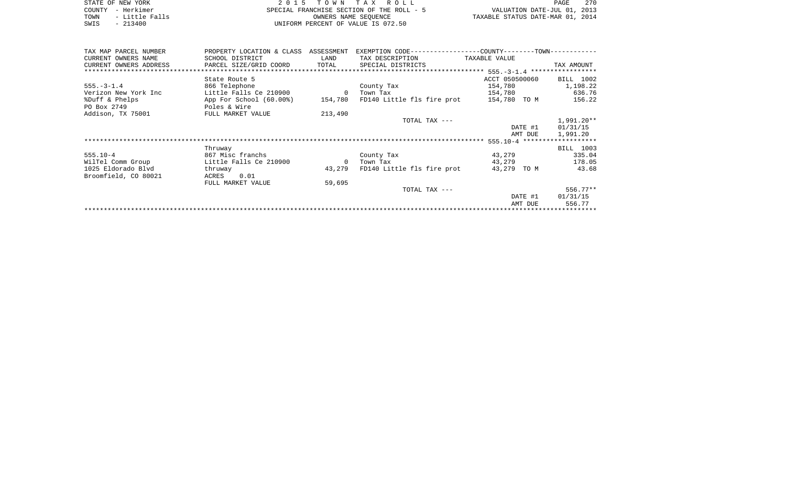|      | STATE OF NEW YORK | 2015 TOWN TAX ROLL                        | 270<br>PAGE                      |
|------|-------------------|-------------------------------------------|----------------------------------|
|      | COUNTY - Herkimer | SPECIAL FRANCHISE SECTION OF THE ROLL - 5 | VALUATION DATE-JUL 01, 2013      |
| TOWN | - Little Falls    | OWNERS NAME SEOUENCE                      | TAXABLE STATUS DATE-MAR 01, 2014 |
| SWIS | $-213400$         | UNIFORM PERCENT OF VALUE IS 072.50        |                                  |

| TAX MAP PARCEL NUMBER  | PROPERTY LOCATION & CLASS ASSESSMENT                                    |         |                                   | EXEMPTION CODE-----------------COUNTY-------TOWN----------- |                  |  |  |
|------------------------|-------------------------------------------------------------------------|---------|-----------------------------------|-------------------------------------------------------------|------------------|--|--|
| CURRENT OWNERS NAME    | SCHOOL DISTRICT                                                         | LAND    | TAX DESCRIPTION                   | TAXABLE VALUE                                               |                  |  |  |
| CURRENT OWNERS ADDRESS | PARCEL SIZE/GRID COORD TOTAL SPECIAL DISTRICTS                          |         |                                   |                                                             | TAX AMOUNT       |  |  |
|                        |                                                                         |         |                                   |                                                             |                  |  |  |
|                        | State Route 5                                                           |         |                                   | ACCT 050500060 BILL 1002                                    |                  |  |  |
| $555. - 3 - 1.4$       | 866 Telephone                                                           |         | County Tax                        | 154,780                                                     | 1,198.22         |  |  |
| Verizon New York Inc   | Little Falls Ce 210900 0                                                |         | Town Tax                          | 154,780                                                     | 636.76           |  |  |
| %Duff & Phelps         | App For School (60.00%) 154,780 FD140 Little fls fire prot 154,780 TO M |         |                                   |                                                             | 156.22           |  |  |
| PO Box 2749            | Poles & Wire                                                            |         |                                   |                                                             |                  |  |  |
| Addison, TX 75001      | FULL MARKET VALUE                                                       | 213,490 |                                   |                                                             |                  |  |  |
|                        |                                                                         |         | TOTAL TAX ---                     |                                                             | 1,991.20**       |  |  |
|                        |                                                                         |         |                                   |                                                             | DATE #1 01/31/15 |  |  |
|                        |                                                                         |         |                                   | AMT DUE                                                     | 1,991.20         |  |  |
|                        |                                                                         |         |                                   |                                                             |                  |  |  |
|                        | Thruway                                                                 |         |                                   |                                                             | BILL 1003        |  |  |
| $555.10 - 4$           | 867 Misc franchs                                                        |         | County Tax                        | 43,279                                                      | 335.04           |  |  |
| WilTel Comm Group      | Little Falls Ce 210900                                                  |         | 0 Town Tax                        | 43,279                                                      | 178.05           |  |  |
| 1025 Eldorado Blvd     | thruway                                                                 |         | 43,279 FD140 Little fls fire prot | 43,279 TO M                                                 | 43.68            |  |  |
| Broomfield, CO 80021   | 0.01<br>ACRES                                                           |         |                                   |                                                             |                  |  |  |
|                        | FULL MARKET VALUE                                                       | 59,695  |                                   |                                                             |                  |  |  |
|                        |                                                                         |         | TOTAL TAX ---                     |                                                             | $556.77**$       |  |  |
|                        |                                                                         |         |                                   | DATE #1                                                     | 01/31/15         |  |  |
|                        |                                                                         |         |                                   | AMT DUE                                                     | 556.77           |  |  |
|                        |                                                                         |         |                                   |                                                             |                  |  |  |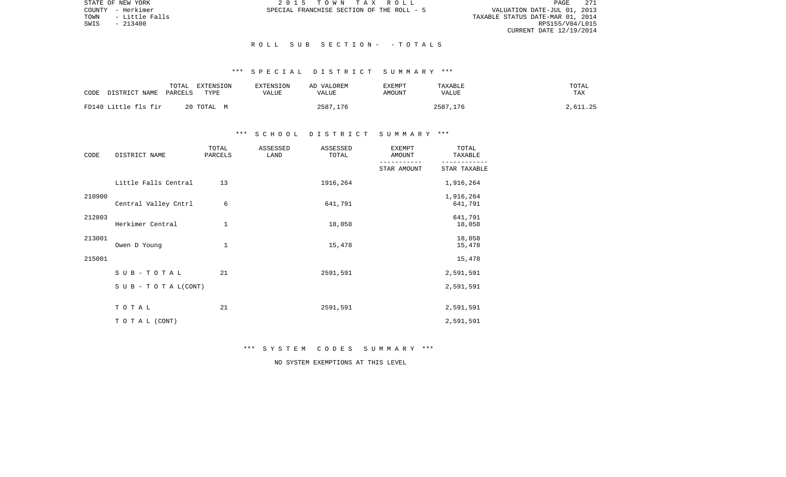PAGE 271 TALUATION DATE-JUL 01, 2013<br>TAXABLE STATUS DATE-MAR 01, 2014<br>RPS155/V04/L015 CURRENT DATE 12/19/2014

STATE OF NEW YORK **2015 TOWN TAX ROLL** COUNTY - Herkimer SPECIAL FRANCHISE SECTION OF THE ROLL - 5

TOWN - Little Falls<br>SWIS - 213400

### R O L L S U B S E C T I O N - - T O T A L S

# \*\*\* S P E C I A L D I S T R I C T S U M M A R Y \*\*\*

| CODE<br>DISTRICT NAME | TOTAL<br>EXTENSION<br>PARCELS<br>TYPE | EXTENSION<br>VALUE | AD VALOREM<br>VALUE | <b>EXEMPT</b><br>AMOUNT | TAXABLE<br>VALUE | TOTAL<br>TAX |
|-----------------------|---------------------------------------|--------------------|---------------------|-------------------------|------------------|--------------|
| FD140 Little fls fir  | 20 TOTAL<br>M                         |                    | 2587<br>.176        |                         | 2587.176         | 2,611.25     |

### \*\*\* S C H O O L D I S T R I C T S U M M A R Y \*\*\*

| CODE   | DISTRICT NAME        | TOTAL<br>PARCELS | ASSESSED<br>LAND | ASSESSED<br>TOTAL | <b>EXEMPT</b><br>AMOUNT | TOTAL<br>TAXABLE     |
|--------|----------------------|------------------|------------------|-------------------|-------------------------|----------------------|
|        |                      |                  |                  |                   | STAR AMOUNT             | STAR TAXABLE         |
|        | Little Falls Central | 13               |                  | 1916,264          |                         | 1,916,264            |
| 210900 | Central Valley Cntrl | 6                |                  | 641,791           |                         | 1,916,264<br>641,791 |
| 212803 | Herkimer Central     | 1                |                  | 18,058            |                         | 641,791<br>18,058    |
| 213001 | Owen D Young         | $\mathbf{1}$     |                  | 15,478            |                         | 18,058<br>15,478     |
| 215001 |                      |                  |                  |                   |                         | 15,478               |
|        | $S$ U B - T O T A L  | 21               |                  | 2591,591          |                         | 2,591,591            |
|        | SUB - TO TAL(CONT)   |                  |                  |                   |                         | 2,591,591            |
|        | TOTAL                | 21               |                  | 2591,591          |                         | 2,591,591            |
|        | TO TAL (CONT)        |                  |                  |                   |                         | 2,591,591            |

\*\*\* S Y S T E M C O D E S S U M M A R Y \*\*\*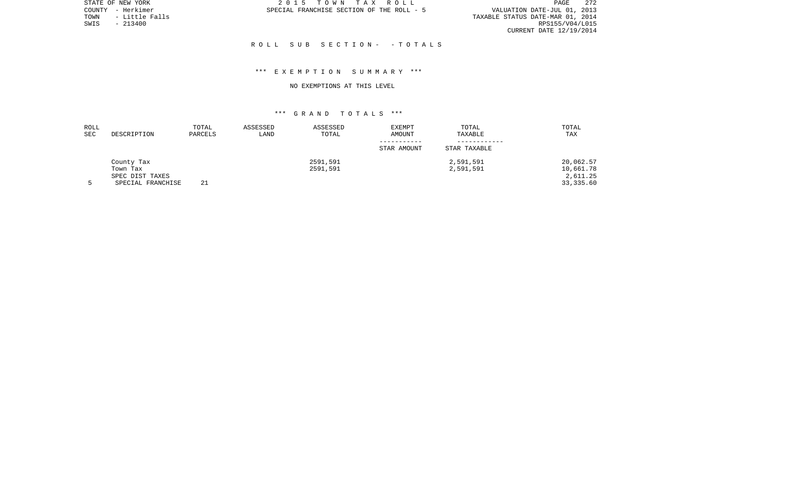PAGE 272 TOWN - LITTLE OIL 2012<br>TAXABLE STATUS DATE-MAR 01, 2014<br>RPS155/V04/L015 CURRENT DATE 12/19/2014

STATE OF NEW YORK **2015 TOWN TAX ROLL** COUNTY - Herkimer SPECIAL FRANCHISE SECTION OF THE ROLL - 5

TOWN - Little Falls<br>SWIS - 213400

#### R O L L S U B S E C T I O N - - T O T A L S

### \*\*\* E X E M P T I O N S U M M A R Y \*\*\*

#### NO EXEMPTIONS AT THIS LEVEL

| ROLL |                   | TOTAL   | ASSESSED | ASSESSED | <b>EXEMPT</b> | TOTAL        | TOTAL     |
|------|-------------------|---------|----------|----------|---------------|--------------|-----------|
| SEC  | DESCRIPTION       | PARCELS | LAND     | TOTAL    | <b>AMOUNT</b> | TAXABLE      | TAX       |
|      |                   |         |          |          |               |              |           |
|      |                   |         |          |          | STAR AMOUNT   | STAR TAXABLE |           |
|      | County Tax        |         |          | 2591,591 |               | 2,591,591    | 20,062.57 |
|      | Town Tax          |         |          | 2591,591 |               | 2,591,591    | 10,661.78 |
|      | SPEC DIST TAXES   |         |          |          |               |              | 2,611.25  |
|      | SPECIAL FRANCHISE | 21      |          |          |               |              | 33,335.60 |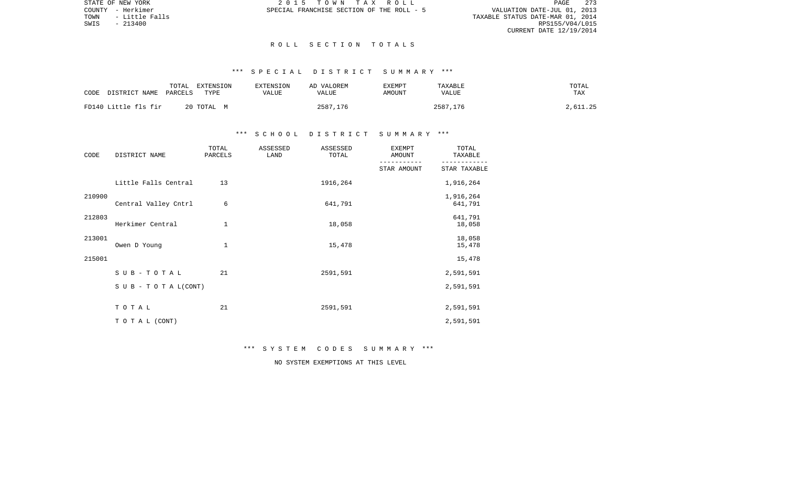PAGE 273 TALUATION DATE-JUL 01, 2013<br>TAXABLE STATUS DATE-MAR 01, 2014<br>RPS155/V04/L015 CURRENT DATE 12/19/2014

STATE OF NEW YORK **2015 TOWN TAX ROLL** COUNTY - Herkimer SPECIAL FRANCHISE SECTION OF THE ROLL - 5

TOWN - Little Falls<br>SWIS - 213400

#### R O L L S E C T I O N T O T A L S

# \*\*\* S P E C I A L D I S T R I C T S U M M A R Y \*\*\*

| CODE | DISTRICT NAME        | TOTAL<br>PARCELS | EXTENSION<br>TYPE | EXTENSION<br>VALUE | AD VALOREM<br>VALUE | EXEMPT<br>AMOUNT | TAXABLE<br>VALUE | TOTAL<br><b>TAX</b> |
|------|----------------------|------------------|-------------------|--------------------|---------------------|------------------|------------------|---------------------|
|      | FD140 Little fls fir |                  | 20 TOTAL M        |                    | 2587,176            |                  | 2587,176         | 2,611.25            |

### \*\*\* S C H O O L D I S T R I C T S U M M A R Y \*\*\*

| CODE   | DISTRICT NAME        | TOTAL<br>PARCELS | ASSESSED<br>LAND | ASSESSED<br>TOTAL | <b>EXEMPT</b><br>AMOUNT | TOTAL<br>TAXABLE     |
|--------|----------------------|------------------|------------------|-------------------|-------------------------|----------------------|
|        |                      |                  |                  |                   | STAR AMOUNT             | STAR TAXABLE         |
|        | Little Falls Central | 13               |                  | 1916,264          |                         | 1,916,264            |
| 210900 | Central Valley Cntrl | 6                |                  | 641,791           |                         | 1,916,264<br>641,791 |
| 212803 | Herkimer Central     | 1                |                  | 18,058            |                         | 641,791<br>18,058    |
| 213001 | Owen D Young         | 1                |                  | 15,478            |                         | 18,058<br>15,478     |
| 215001 |                      |                  |                  |                   |                         | 15,478               |
|        | SUB-TOTAL            | 21               |                  | 2591,591          |                         | 2,591,591            |
|        | SUB - TO TAL(CONT)   |                  |                  |                   |                         | 2,591,591            |
|        | TOTAL                | 21               |                  | 2591,591          |                         | 2,591,591            |
|        | TO TAL (CONT)        |                  |                  |                   |                         | 2,591,591            |

\*\*\* S Y S T E M C O D E S S U M M A R Y \*\*\*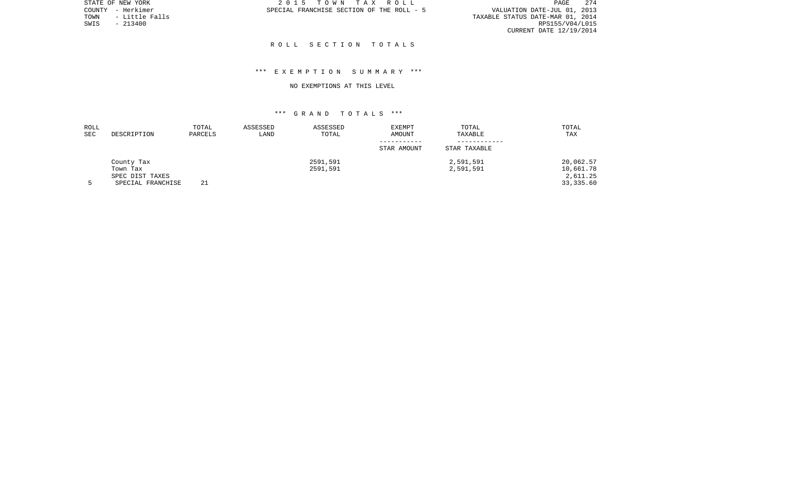PAGE 274 TOWN - LITTLE OIL 2013<br>TAXABLE STATUS DATE-MAR 01, 2014<br>RPS155/V04/L015 CURRENT DATE 12/19/2014

STATE OF NEW YORK **2015 TOWN TAX ROLL** COUNTY - Herkimer SPECIAL FRANCHISE SECTION OF THE ROLL - 5

TOWN - Little Falls<br>SWIS - 213400

#### R O L L S E C T I O N T O T A L S

### \*\*\* E X E M P T I O N S U M M A R Y \*\*\*

#### NO EXEMPTIONS AT THIS LEVEL

| ROLL |                   | TOTAL   | ASSESSED | ASSESSED | EXEMPT      | TOTAL        | TOTAL      |
|------|-------------------|---------|----------|----------|-------------|--------------|------------|
| SEC  | DESCRIPTION       | PARCELS | LAND     | TOTAL    | AMOUNT      | TAXABLE      | TAX        |
|      |                   |         |          |          | STAR AMOUNT | STAR TAXABLE |            |
|      | County Tax        |         |          | 2591,591 |             | 2,591,591    | 20,062.57  |
|      | Town Tax          |         |          | 2591,591 |             | 2,591,591    | 10,661.78  |
|      | SPEC DIST TAXES   |         |          |          |             |              | 2,611.25   |
|      | SPECIAL FRANCHISE | 21      |          |          |             |              | 33, 335.60 |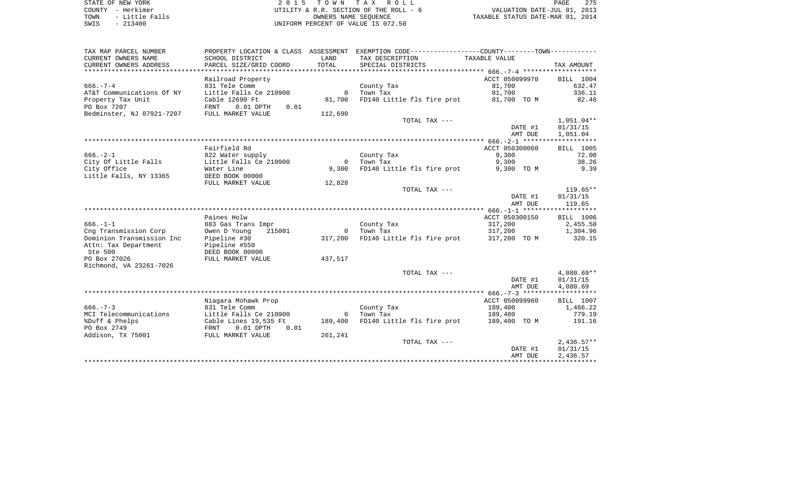| STATE OF NEW YORK      | 2015 TOWN TAX ROLL                     | 275<br>PAGE                      |
|------------------------|----------------------------------------|----------------------------------|
| COUNTY - Herkimer      | UTILITY & R.R. SECTION OF THE ROLL - 6 | VALUATION DATE-JUL 01, 2013      |
| - Little Falls<br>TOWN | OWNERS NAME SEOUENCE                   | TAXABLE STATUS DATE-MAR 01, 2014 |
| $-213400$<br>SWIS      | UNIFORM PERCENT OF VALUE IS 072.50     |                                  |

| SCHOOL DISTRICT<br>LAND<br>TAX DESCRIPTION<br>TAXABLE VALUE<br>PARCEL SIZE/GRID COORD<br>TOTAL<br>SPECIAL DISTRICTS<br>TAX AMOUNT<br>ACCT 050099970<br>Railroad Property<br>BILL 1004<br>831 Tele Comm<br>81,700<br>632.47<br>County Tax<br>336.11<br>Little Falls Ce 210900<br>Town Tax<br>81,700<br>$\circ$<br>FD140 Little fls fire prot 81,700 TO M<br>Cable 12690 Ft<br>81,700<br>82.46<br>$0.01$ DPTH<br>FRNT<br>0.01<br>FULL MARKET VALUE<br>112,690<br>TOTAL TAX ---<br>$1,051.04**$<br>DATE #1<br>01/31/15<br>1,051.04<br>AMT DUE<br>Fairfield Rd<br>ACCT 050300060<br>BILL 1005<br>9,300<br>72.00<br>822 Water supply<br>County Tax<br>City Of Little Falls<br>Little Falls Ce 210900<br>Town Tax<br>9,300<br>38.26<br>$\Omega$<br>9.39<br>Water Line<br>9,300<br>FD140 Little fls fire prot<br>9,300 TO M<br>DEED BOOK 00000<br>FULL MARKET VALUE<br>12,828<br>TOTAL TAX ---<br>$119.65**$<br>DATE #1<br>01/31/15<br>AMT DUE<br>119.65<br>Paines Holw<br>ACCT 050300150<br>BILL 1006<br>$666. - 1 - 1$<br>317,200<br>2,455.58<br>883 Gas Trans Impr<br>County Tax<br>317,200<br>Cng Transmission Corp<br>Owen D Young<br>215001<br>Town Tax<br>1,304.96<br>$\Omega$<br>Dominion Transmission Inc<br>Pipeline #30<br>317,200<br>FD140 Little fls fire prot<br>320.15<br>317,200 TO M<br>Attn: Tax Department<br>Pipeline #550<br>Ste 500<br>DEED BOOK 00000<br>PO Box 27026<br>FULL MARKET VALUE<br>437,517<br>Richmond, VA 23261-7026<br>$4,080.69**$<br>TOTAL TAX ---<br>DATE #1<br>01/31/15<br>4,080.69<br>AMT DUE<br>Niagara Mohawk Prop<br>ACCT 050099960<br>BILL 1007<br>$666. - 7 - 3$<br>189,400<br>831 Tele Comm<br>County Tax<br>1,466.22<br>MCI Telecommunications<br>Little Falls Ce 210900<br>Town Tax<br>189,400<br>779.19<br>$\overline{0}$<br>%Duff & Phelps<br>FD140 Little fls fire prot<br>189,400 TO M<br>191.16<br>Cable Lines 19,535 Ft<br>189,400<br>PO Box 2749<br>$0.01$ DPTH<br>FRNT<br>0.01<br>Addison, TX 75001<br>FULL MARKET VALUE<br>261,241<br>TOTAL TAX ---<br>$2,436.57**$<br>01/31/15<br>DATE #1<br>AMT DUE<br>2,436.57 | TAX MAP PARCEL NUMBER     |  | PROPERTY LOCATION & CLASS ASSESSMENT EXEMPTION CODE----------------COUNTY--------TOWN----------- |  |
|----------------------------------------------------------------------------------------------------------------------------------------------------------------------------------------------------------------------------------------------------------------------------------------------------------------------------------------------------------------------------------------------------------------------------------------------------------------------------------------------------------------------------------------------------------------------------------------------------------------------------------------------------------------------------------------------------------------------------------------------------------------------------------------------------------------------------------------------------------------------------------------------------------------------------------------------------------------------------------------------------------------------------------------------------------------------------------------------------------------------------------------------------------------------------------------------------------------------------------------------------------------------------------------------------------------------------------------------------------------------------------------------------------------------------------------------------------------------------------------------------------------------------------------------------------------------------------------------------------------------------------------------------------------------------------------------------------------------------------------------------------------------------------------------------------------------------------------------------------------------------------------------------------------------------------------------------------------------------------------------------------------------------------------------------------------------|---------------------------|--|--------------------------------------------------------------------------------------------------|--|
|                                                                                                                                                                                                                                                                                                                                                                                                                                                                                                                                                                                                                                                                                                                                                                                                                                                                                                                                                                                                                                                                                                                                                                                                                                                                                                                                                                                                                                                                                                                                                                                                                                                                                                                                                                                                                                                                                                                                                                                                                                                                      | CURRENT OWNERS NAME       |  |                                                                                                  |  |
|                                                                                                                                                                                                                                                                                                                                                                                                                                                                                                                                                                                                                                                                                                                                                                                                                                                                                                                                                                                                                                                                                                                                                                                                                                                                                                                                                                                                                                                                                                                                                                                                                                                                                                                                                                                                                                                                                                                                                                                                                                                                      | CURRENT OWNERS ADDRESS    |  |                                                                                                  |  |
|                                                                                                                                                                                                                                                                                                                                                                                                                                                                                                                                                                                                                                                                                                                                                                                                                                                                                                                                                                                                                                                                                                                                                                                                                                                                                                                                                                                                                                                                                                                                                                                                                                                                                                                                                                                                                                                                                                                                                                                                                                                                      |                           |  |                                                                                                  |  |
|                                                                                                                                                                                                                                                                                                                                                                                                                                                                                                                                                                                                                                                                                                                                                                                                                                                                                                                                                                                                                                                                                                                                                                                                                                                                                                                                                                                                                                                                                                                                                                                                                                                                                                                                                                                                                                                                                                                                                                                                                                                                      |                           |  |                                                                                                  |  |
|                                                                                                                                                                                                                                                                                                                                                                                                                                                                                                                                                                                                                                                                                                                                                                                                                                                                                                                                                                                                                                                                                                                                                                                                                                                                                                                                                                                                                                                                                                                                                                                                                                                                                                                                                                                                                                                                                                                                                                                                                                                                      | $666. - 7 - 4$            |  |                                                                                                  |  |
|                                                                                                                                                                                                                                                                                                                                                                                                                                                                                                                                                                                                                                                                                                                                                                                                                                                                                                                                                                                                                                                                                                                                                                                                                                                                                                                                                                                                                                                                                                                                                                                                                                                                                                                                                                                                                                                                                                                                                                                                                                                                      | AT&T Communications Of NY |  |                                                                                                  |  |
|                                                                                                                                                                                                                                                                                                                                                                                                                                                                                                                                                                                                                                                                                                                                                                                                                                                                                                                                                                                                                                                                                                                                                                                                                                                                                                                                                                                                                                                                                                                                                                                                                                                                                                                                                                                                                                                                                                                                                                                                                                                                      | Property Tax Unit         |  |                                                                                                  |  |
|                                                                                                                                                                                                                                                                                                                                                                                                                                                                                                                                                                                                                                                                                                                                                                                                                                                                                                                                                                                                                                                                                                                                                                                                                                                                                                                                                                                                                                                                                                                                                                                                                                                                                                                                                                                                                                                                                                                                                                                                                                                                      | PO Box 7207               |  |                                                                                                  |  |
|                                                                                                                                                                                                                                                                                                                                                                                                                                                                                                                                                                                                                                                                                                                                                                                                                                                                                                                                                                                                                                                                                                                                                                                                                                                                                                                                                                                                                                                                                                                                                                                                                                                                                                                                                                                                                                                                                                                                                                                                                                                                      | Bedminster, NJ 07921-7207 |  |                                                                                                  |  |
|                                                                                                                                                                                                                                                                                                                                                                                                                                                                                                                                                                                                                                                                                                                                                                                                                                                                                                                                                                                                                                                                                                                                                                                                                                                                                                                                                                                                                                                                                                                                                                                                                                                                                                                                                                                                                                                                                                                                                                                                                                                                      |                           |  |                                                                                                  |  |
|                                                                                                                                                                                                                                                                                                                                                                                                                                                                                                                                                                                                                                                                                                                                                                                                                                                                                                                                                                                                                                                                                                                                                                                                                                                                                                                                                                                                                                                                                                                                                                                                                                                                                                                                                                                                                                                                                                                                                                                                                                                                      |                           |  |                                                                                                  |  |
|                                                                                                                                                                                                                                                                                                                                                                                                                                                                                                                                                                                                                                                                                                                                                                                                                                                                                                                                                                                                                                                                                                                                                                                                                                                                                                                                                                                                                                                                                                                                                                                                                                                                                                                                                                                                                                                                                                                                                                                                                                                                      |                           |  |                                                                                                  |  |
|                                                                                                                                                                                                                                                                                                                                                                                                                                                                                                                                                                                                                                                                                                                                                                                                                                                                                                                                                                                                                                                                                                                                                                                                                                                                                                                                                                                                                                                                                                                                                                                                                                                                                                                                                                                                                                                                                                                                                                                                                                                                      |                           |  |                                                                                                  |  |
|                                                                                                                                                                                                                                                                                                                                                                                                                                                                                                                                                                                                                                                                                                                                                                                                                                                                                                                                                                                                                                                                                                                                                                                                                                                                                                                                                                                                                                                                                                                                                                                                                                                                                                                                                                                                                                                                                                                                                                                                                                                                      |                           |  |                                                                                                  |  |
|                                                                                                                                                                                                                                                                                                                                                                                                                                                                                                                                                                                                                                                                                                                                                                                                                                                                                                                                                                                                                                                                                                                                                                                                                                                                                                                                                                                                                                                                                                                                                                                                                                                                                                                                                                                                                                                                                                                                                                                                                                                                      | $666. - 2 - 1$            |  |                                                                                                  |  |
|                                                                                                                                                                                                                                                                                                                                                                                                                                                                                                                                                                                                                                                                                                                                                                                                                                                                                                                                                                                                                                                                                                                                                                                                                                                                                                                                                                                                                                                                                                                                                                                                                                                                                                                                                                                                                                                                                                                                                                                                                                                                      |                           |  |                                                                                                  |  |
|                                                                                                                                                                                                                                                                                                                                                                                                                                                                                                                                                                                                                                                                                                                                                                                                                                                                                                                                                                                                                                                                                                                                                                                                                                                                                                                                                                                                                                                                                                                                                                                                                                                                                                                                                                                                                                                                                                                                                                                                                                                                      | City Office               |  |                                                                                                  |  |
|                                                                                                                                                                                                                                                                                                                                                                                                                                                                                                                                                                                                                                                                                                                                                                                                                                                                                                                                                                                                                                                                                                                                                                                                                                                                                                                                                                                                                                                                                                                                                                                                                                                                                                                                                                                                                                                                                                                                                                                                                                                                      | Little Falls, NY 13365    |  |                                                                                                  |  |
|                                                                                                                                                                                                                                                                                                                                                                                                                                                                                                                                                                                                                                                                                                                                                                                                                                                                                                                                                                                                                                                                                                                                                                                                                                                                                                                                                                                                                                                                                                                                                                                                                                                                                                                                                                                                                                                                                                                                                                                                                                                                      |                           |  |                                                                                                  |  |
|                                                                                                                                                                                                                                                                                                                                                                                                                                                                                                                                                                                                                                                                                                                                                                                                                                                                                                                                                                                                                                                                                                                                                                                                                                                                                                                                                                                                                                                                                                                                                                                                                                                                                                                                                                                                                                                                                                                                                                                                                                                                      |                           |  |                                                                                                  |  |
|                                                                                                                                                                                                                                                                                                                                                                                                                                                                                                                                                                                                                                                                                                                                                                                                                                                                                                                                                                                                                                                                                                                                                                                                                                                                                                                                                                                                                                                                                                                                                                                                                                                                                                                                                                                                                                                                                                                                                                                                                                                                      |                           |  |                                                                                                  |  |
|                                                                                                                                                                                                                                                                                                                                                                                                                                                                                                                                                                                                                                                                                                                                                                                                                                                                                                                                                                                                                                                                                                                                                                                                                                                                                                                                                                                                                                                                                                                                                                                                                                                                                                                                                                                                                                                                                                                                                                                                                                                                      |                           |  |                                                                                                  |  |
|                                                                                                                                                                                                                                                                                                                                                                                                                                                                                                                                                                                                                                                                                                                                                                                                                                                                                                                                                                                                                                                                                                                                                                                                                                                                                                                                                                                                                                                                                                                                                                                                                                                                                                                                                                                                                                                                                                                                                                                                                                                                      |                           |  |                                                                                                  |  |
|                                                                                                                                                                                                                                                                                                                                                                                                                                                                                                                                                                                                                                                                                                                                                                                                                                                                                                                                                                                                                                                                                                                                                                                                                                                                                                                                                                                                                                                                                                                                                                                                                                                                                                                                                                                                                                                                                                                                                                                                                                                                      |                           |  |                                                                                                  |  |
|                                                                                                                                                                                                                                                                                                                                                                                                                                                                                                                                                                                                                                                                                                                                                                                                                                                                                                                                                                                                                                                                                                                                                                                                                                                                                                                                                                                                                                                                                                                                                                                                                                                                                                                                                                                                                                                                                                                                                                                                                                                                      |                           |  |                                                                                                  |  |
|                                                                                                                                                                                                                                                                                                                                                                                                                                                                                                                                                                                                                                                                                                                                                                                                                                                                                                                                                                                                                                                                                                                                                                                                                                                                                                                                                                                                                                                                                                                                                                                                                                                                                                                                                                                                                                                                                                                                                                                                                                                                      |                           |  |                                                                                                  |  |
|                                                                                                                                                                                                                                                                                                                                                                                                                                                                                                                                                                                                                                                                                                                                                                                                                                                                                                                                                                                                                                                                                                                                                                                                                                                                                                                                                                                                                                                                                                                                                                                                                                                                                                                                                                                                                                                                                                                                                                                                                                                                      |                           |  |                                                                                                  |  |
|                                                                                                                                                                                                                                                                                                                                                                                                                                                                                                                                                                                                                                                                                                                                                                                                                                                                                                                                                                                                                                                                                                                                                                                                                                                                                                                                                                                                                                                                                                                                                                                                                                                                                                                                                                                                                                                                                                                                                                                                                                                                      |                           |  |                                                                                                  |  |
|                                                                                                                                                                                                                                                                                                                                                                                                                                                                                                                                                                                                                                                                                                                                                                                                                                                                                                                                                                                                                                                                                                                                                                                                                                                                                                                                                                                                                                                                                                                                                                                                                                                                                                                                                                                                                                                                                                                                                                                                                                                                      |                           |  |                                                                                                  |  |
|                                                                                                                                                                                                                                                                                                                                                                                                                                                                                                                                                                                                                                                                                                                                                                                                                                                                                                                                                                                                                                                                                                                                                                                                                                                                                                                                                                                                                                                                                                                                                                                                                                                                                                                                                                                                                                                                                                                                                                                                                                                                      |                           |  |                                                                                                  |  |
|                                                                                                                                                                                                                                                                                                                                                                                                                                                                                                                                                                                                                                                                                                                                                                                                                                                                                                                                                                                                                                                                                                                                                                                                                                                                                                                                                                                                                                                                                                                                                                                                                                                                                                                                                                                                                                                                                                                                                                                                                                                                      |                           |  |                                                                                                  |  |
|                                                                                                                                                                                                                                                                                                                                                                                                                                                                                                                                                                                                                                                                                                                                                                                                                                                                                                                                                                                                                                                                                                                                                                                                                                                                                                                                                                                                                                                                                                                                                                                                                                                                                                                                                                                                                                                                                                                                                                                                                                                                      |                           |  |                                                                                                  |  |
|                                                                                                                                                                                                                                                                                                                                                                                                                                                                                                                                                                                                                                                                                                                                                                                                                                                                                                                                                                                                                                                                                                                                                                                                                                                                                                                                                                                                                                                                                                                                                                                                                                                                                                                                                                                                                                                                                                                                                                                                                                                                      |                           |  |                                                                                                  |  |
|                                                                                                                                                                                                                                                                                                                                                                                                                                                                                                                                                                                                                                                                                                                                                                                                                                                                                                                                                                                                                                                                                                                                                                                                                                                                                                                                                                                                                                                                                                                                                                                                                                                                                                                                                                                                                                                                                                                                                                                                                                                                      |                           |  |                                                                                                  |  |
|                                                                                                                                                                                                                                                                                                                                                                                                                                                                                                                                                                                                                                                                                                                                                                                                                                                                                                                                                                                                                                                                                                                                                                                                                                                                                                                                                                                                                                                                                                                                                                                                                                                                                                                                                                                                                                                                                                                                                                                                                                                                      |                           |  |                                                                                                  |  |
|                                                                                                                                                                                                                                                                                                                                                                                                                                                                                                                                                                                                                                                                                                                                                                                                                                                                                                                                                                                                                                                                                                                                                                                                                                                                                                                                                                                                                                                                                                                                                                                                                                                                                                                                                                                                                                                                                                                                                                                                                                                                      |                           |  |                                                                                                  |  |
|                                                                                                                                                                                                                                                                                                                                                                                                                                                                                                                                                                                                                                                                                                                                                                                                                                                                                                                                                                                                                                                                                                                                                                                                                                                                                                                                                                                                                                                                                                                                                                                                                                                                                                                                                                                                                                                                                                                                                                                                                                                                      |                           |  |                                                                                                  |  |
|                                                                                                                                                                                                                                                                                                                                                                                                                                                                                                                                                                                                                                                                                                                                                                                                                                                                                                                                                                                                                                                                                                                                                                                                                                                                                                                                                                                                                                                                                                                                                                                                                                                                                                                                                                                                                                                                                                                                                                                                                                                                      |                           |  |                                                                                                  |  |
|                                                                                                                                                                                                                                                                                                                                                                                                                                                                                                                                                                                                                                                                                                                                                                                                                                                                                                                                                                                                                                                                                                                                                                                                                                                                                                                                                                                                                                                                                                                                                                                                                                                                                                                                                                                                                                                                                                                                                                                                                                                                      |                           |  |                                                                                                  |  |
|                                                                                                                                                                                                                                                                                                                                                                                                                                                                                                                                                                                                                                                                                                                                                                                                                                                                                                                                                                                                                                                                                                                                                                                                                                                                                                                                                                                                                                                                                                                                                                                                                                                                                                                                                                                                                                                                                                                                                                                                                                                                      |                           |  |                                                                                                  |  |
|                                                                                                                                                                                                                                                                                                                                                                                                                                                                                                                                                                                                                                                                                                                                                                                                                                                                                                                                                                                                                                                                                                                                                                                                                                                                                                                                                                                                                                                                                                                                                                                                                                                                                                                                                                                                                                                                                                                                                                                                                                                                      |                           |  |                                                                                                  |  |
|                                                                                                                                                                                                                                                                                                                                                                                                                                                                                                                                                                                                                                                                                                                                                                                                                                                                                                                                                                                                                                                                                                                                                                                                                                                                                                                                                                                                                                                                                                                                                                                                                                                                                                                                                                                                                                                                                                                                                                                                                                                                      |                           |  |                                                                                                  |  |
|                                                                                                                                                                                                                                                                                                                                                                                                                                                                                                                                                                                                                                                                                                                                                                                                                                                                                                                                                                                                                                                                                                                                                                                                                                                                                                                                                                                                                                                                                                                                                                                                                                                                                                                                                                                                                                                                                                                                                                                                                                                                      |                           |  |                                                                                                  |  |
|                                                                                                                                                                                                                                                                                                                                                                                                                                                                                                                                                                                                                                                                                                                                                                                                                                                                                                                                                                                                                                                                                                                                                                                                                                                                                                                                                                                                                                                                                                                                                                                                                                                                                                                                                                                                                                                                                                                                                                                                                                                                      |                           |  |                                                                                                  |  |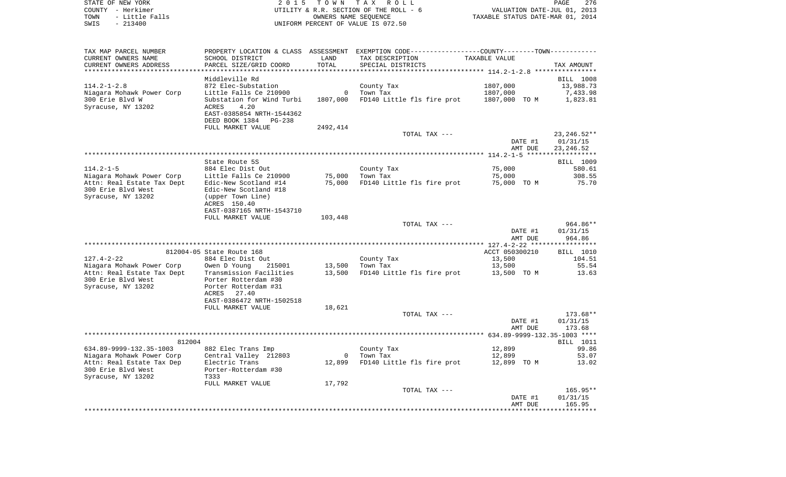| STATE OF NEW YORK      | 2015 TOWN TAX ROLL                     | 276<br>PAGE                      |
|------------------------|----------------------------------------|----------------------------------|
| COUNTY - Herkimer      | UTILITY & R.R. SECTION OF THE ROLL - 6 | VALUATION DATE-JUL 01, 2013      |
| - Little Falls<br>TOWN | OWNERS NAME SEOUENCE                   | TAXABLE STATUS DATE-MAR 01, 2014 |
| SWIS<br>$-213400$      | UNIFORM PERCENT OF VALUE IS 072.50     |                                  |

| TAX MAP PARCEL NUMBER                           |                                               |          | PROPERTY LOCATION & CLASS ASSESSMENT EXEMPTION CODE----------------COUNTY-------TOWN---------- |                                            |                         |
|-------------------------------------------------|-----------------------------------------------|----------|------------------------------------------------------------------------------------------------|--------------------------------------------|-------------------------|
| CURRENT OWNERS NAME                             | SCHOOL DISTRICT                               | LAND     | TAX DESCRIPTION                                                                                | TAXABLE VALUE                              |                         |
| CURRENT OWNERS ADDRESS                          | PARCEL SIZE/GRID COORD                        | TOTAL    | SPECIAL DISTRICTS                                                                              |                                            | TAX AMOUNT              |
| **********************                          |                                               |          |                                                                                                |                                            |                         |
|                                                 | Middleville Rd                                |          |                                                                                                |                                            | <b>BILL 1008</b>        |
| $114.2 - 1 - 2.8$<br>Niagara Mohawk Power Corp  | 872 Elec-Substation<br>Little Falls Ce 210900 | 0        | County Tax<br>Town Tax                                                                         | 1807,000<br>1807,000                       | 13,988.73<br>7,433.98   |
| 300 Erie Blvd W                                 | Substation for Wind Turbi                     | 1807,000 | FD140 Little fls fire prot                                                                     | 1807,000 TO M                              | 1,823.81                |
| Syracuse, NY 13202                              | ACRES<br>4.20                                 |          |                                                                                                |                                            |                         |
|                                                 | EAST-0385854 NRTH-1544362                     |          |                                                                                                |                                            |                         |
|                                                 | DEED BOOK 1384<br><b>PG-238</b>               |          |                                                                                                |                                            |                         |
|                                                 | FULL MARKET VALUE                             | 2492,414 |                                                                                                |                                            |                         |
|                                                 |                                               |          | TOTAL TAX ---                                                                                  |                                            | 23, 246.52**            |
|                                                 |                                               |          |                                                                                                | DATE #1                                    | 01/31/15                |
|                                                 |                                               |          |                                                                                                | AMT DUE                                    | 23, 246.52              |
|                                                 |                                               |          |                                                                                                |                                            | * * * * * * * * * * * * |
| $114.2 - 1 - 5$                                 | State Route 5S<br>884 Elec Dist Out           |          | County Tax                                                                                     | 75,000                                     | BILL 1009<br>580.61     |
| Niagara Mohawk Power Corp                       | Little Falls Ce 210900                        | 75,000   | Town Tax                                                                                       | 75,000                                     | 308.55                  |
| Attn: Real Estate Tax Dept                      | Edic-New Scotland #14                         | 75,000   | FD140 Little fls fire prot                                                                     | 75,000 TO M                                | 75.70                   |
| 300 Erie Blvd West                              | Edic-New Scotland #18                         |          |                                                                                                |                                            |                         |
| Syracuse, NY 13202                              | (upper Town Line)                             |          |                                                                                                |                                            |                         |
|                                                 | ACRES 150.40                                  |          |                                                                                                |                                            |                         |
|                                                 | EAST-0387165 NRTH-1543710                     |          |                                                                                                |                                            |                         |
|                                                 | FULL MARKET VALUE                             | 103,448  |                                                                                                |                                            |                         |
|                                                 |                                               |          | TOTAL TAX ---                                                                                  |                                            | 964.86**                |
|                                                 |                                               |          |                                                                                                | DATE #1<br>AMT DUE                         | 01/31/15<br>964.86      |
|                                                 |                                               |          |                                                                                                |                                            |                         |
|                                                 | 812004-05 State Route 168                     |          |                                                                                                | ACCT 050300210                             | BILL 1010               |
| $127.4 - 2 - 22$                                | 884 Elec Dist Out                             |          | County Tax                                                                                     | 13,500                                     | 104.51                  |
| Niagara Mohawk Power Corp                       | 215001<br>Owen D Young                        | 13,500   | Town Tax                                                                                       | 13,500                                     | 55.54                   |
| Attn: Real Estate Tax Dept                      | Transmission Facilities                       | 13,500   | FD140 Little fls fire prot                                                                     | 13,500 TO M                                | 13.63                   |
| 300 Erie Blvd West                              | Porter Rotterdam #30                          |          |                                                                                                |                                            |                         |
| Syracuse, NY 13202                              | Porter Rotterdam #31                          |          |                                                                                                |                                            |                         |
|                                                 | ACRES<br>27.40<br>EAST-0386472 NRTH-1502518   |          |                                                                                                |                                            |                         |
|                                                 | FULL MARKET VALUE                             | 18,621   |                                                                                                |                                            |                         |
|                                                 |                                               |          | TOTAL TAX ---                                                                                  |                                            | $173.68**$              |
|                                                 |                                               |          |                                                                                                | DATE #1                                    | 01/31/15                |
|                                                 |                                               |          |                                                                                                | AMT DUE                                    | 173.68                  |
|                                                 |                                               |          |                                                                                                | ************* 634.89-9999-132.35-1003 **** |                         |
| 812004                                          |                                               |          |                                                                                                |                                            | BILL 1011               |
| 634.89-9999-132.35-1003                         | 882 Elec Trans Imp                            |          | County Tax                                                                                     | 12,899                                     | 99.86                   |
| Niagara Mohawk Power Corp                       | Central Valley 212803                         | $\Omega$ | Town Tax                                                                                       | 12,899                                     | 53.07                   |
| Attn: Real Estate Tax Dep<br>300 Erie Blvd West | Electric Trans<br>Porter-Rotterdam #30        | 12,899   | FD140 Little fls fire prot                                                                     | 12,899 TO M                                | 13.02                   |
| Syracuse, NY 13202                              | T333                                          |          |                                                                                                |                                            |                         |
|                                                 | FULL MARKET VALUE                             | 17,792   |                                                                                                |                                            |                         |
|                                                 |                                               |          | TOTAL TAX ---                                                                                  |                                            | 165.95**                |
|                                                 |                                               |          |                                                                                                | DATE #1                                    | 01/31/15                |
|                                                 |                                               |          |                                                                                                | AMT DUE                                    | 165.95                  |
|                                                 |                                               |          |                                                                                                |                                            |                         |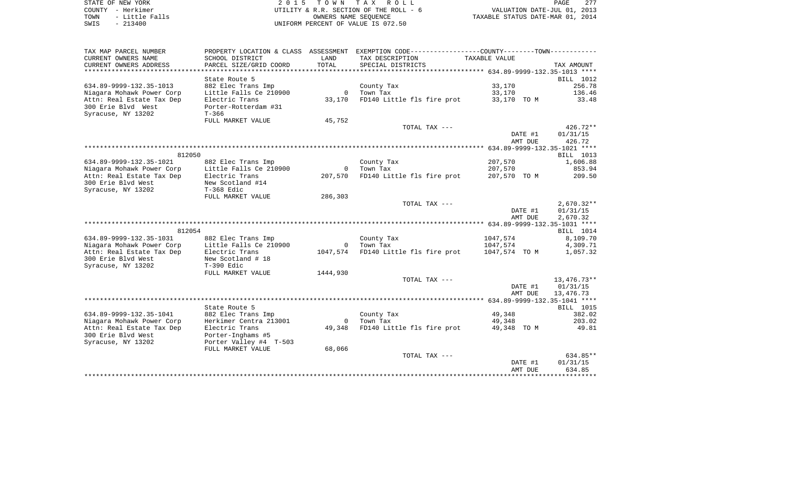| STATE OF NEW YORK      | 2015 TOWN TAX ROLL                     | 277<br>PAGE                      |
|------------------------|----------------------------------------|----------------------------------|
| COUNTY - Herkimer      | UTILITY & R.R. SECTION OF THE ROLL - 6 | VALUATION DATE-JUL 01, 2013      |
| - Little Falls<br>TOWN | OWNERS NAME SEOUENCE                   | TAXABLE STATUS DATE-MAR 01, 2014 |
| $-213400$<br>SWIS      | UNIFORM PERCENT OF VALUE IS 072.50     |                                  |
|                        |                                        |                                  |

| TAX MAP PARCEL NUMBER     |                        |                | PROPERTY LOCATION & CLASS ASSESSMENT EXEMPTION CODE---------------COUNTY-------TOWN---------- |               |                  |
|---------------------------|------------------------|----------------|-----------------------------------------------------------------------------------------------|---------------|------------------|
| CURRENT OWNERS NAME       | SCHOOL DISTRICT        | LAND           | TAX DESCRIPTION                                                                               | TAXABLE VALUE |                  |
| CURRENT OWNERS ADDRESS    | PARCEL SIZE/GRID COORD | TOTAL          | SPECIAL DISTRICTS                                                                             |               | TAX AMOUNT       |
|                           |                        |                |                                                                                               |               |                  |
|                           | State Route 5          |                |                                                                                               |               | BILL 1012        |
| 634.89-9999-132.35-1013   | 882 Elec Trans Imp     |                | County Tax                                                                                    | 33,170        | 256.78           |
| Niagara Mohawk Power Corp | Little Falls Ce 210900 |                | 0 Town Tax                                                                                    | 33,170        | 136.46           |
|                           |                        |                |                                                                                               |               |                  |
| Attn: Real Estate Tax Dep | Electric Trans         | 33,170         | FD140 Little fls fire prot                                                                    | 33,170 TO M   | 33.48            |
| 300 Erie Blvd West        | Porter-Rotterdam #31   |                |                                                                                               |               |                  |
| Syracuse, NY 13202        | $T - 366$              |                |                                                                                               |               |                  |
|                           | FULL MARKET VALUE      | 45,752         |                                                                                               |               |                  |
|                           |                        |                | TOTAL TAX ---                                                                                 |               | $426.72**$       |
|                           |                        |                |                                                                                               | DATE #1       | 01/31/15         |
|                           |                        |                |                                                                                               | AMT DUE       | 426.72           |
|                           |                        |                |                                                                                               |               |                  |
| 812050                    |                        |                |                                                                                               |               | BILL 1013        |
| 634.89-9999-132.35-1021   | 882 Elec Trans Imp     |                | County Tax                                                                                    | 207,570       | 1,606.88         |
| Niagara Mohawk Power Corp | Little Falls Ce 210900 | $\overline{0}$ | Town Tax                                                                                      | 207,570       | 853.94           |
| Attn: Real Estate Tax Dep | Electric Trans         | 207,570        | FD140 Little fls fire prot                                                                    | 207,570 TO M  | 209.50           |
| 300 Erie Blvd West        | New Scotland #14       |                |                                                                                               |               |                  |
| Syracuse, NY 13202        | $T-368$ Edic           |                |                                                                                               |               |                  |
|                           |                        |                |                                                                                               |               |                  |
|                           | FULL MARKET VALUE      | 286,303        |                                                                                               |               |                  |
|                           |                        |                | TOTAL TAX ---                                                                                 |               | $2,670.32**$     |
|                           |                        |                |                                                                                               | DATE #1       | 01/31/15         |
|                           |                        |                |                                                                                               | AMT DUE       | 2,670.32         |
|                           |                        |                |                                                                                               |               |                  |
| 812054                    |                        |                |                                                                                               |               | BILL 1014        |
| 634.89-9999-132.35-1031   | 882 Elec Trans Imp     |                | County Tax                                                                                    | 1047,574      | 8,109.70         |
| Niagara Mohawk Power Corp | Little Falls Ce 210900 |                | 0 Town Tax                                                                                    | 1047,574      | 4,309.71         |
| Attn: Real Estate Tax Dep | Electric Trans         |                | 1047,574 FD140 Little fls fire prot                                                           | 1047,574 TO M | 1,057.32         |
| 300 Erie Blvd West        | New Scotland # 18      |                |                                                                                               |               |                  |
| Syracuse, NY 13202        | T-390 Edic             |                |                                                                                               |               |                  |
|                           | FULL MARKET VALUE      | 1444,930       |                                                                                               |               |                  |
|                           |                        |                | TOTAL TAX ---                                                                                 |               | 13,476.73**      |
|                           |                        |                |                                                                                               | DATE #1       | 01/31/15         |
|                           |                        |                |                                                                                               | AMT DUE       | 13,476.73        |
|                           |                        |                |                                                                                               |               |                  |
|                           |                        |                |                                                                                               |               |                  |
|                           | State Route 5          |                |                                                                                               |               | <b>BILL</b> 1015 |
| 634.89-9999-132.35-1041   | 882 Elec Trans Imp     |                | County Tax                                                                                    | 49,348        | 382.02           |
| Niagara Mohawk Power Corp | Herkimer Centra 213001 |                | 0 Town Tax                                                                                    | 49,348        | 203.02           |
| Attn: Real Estate Tax Dep | Electric Trans         | 49,348         | FD140 Little fls fire prot                                                                    | 49,348 TO M   | 49.81            |
| 300 Erie Blvd West        | Porter-Inghams #5      |                |                                                                                               |               |                  |
| Syracuse, NY 13202        | Porter Valley #4 T-503 |                |                                                                                               |               |                  |
|                           | FULL MARKET VALUE      | 68,066         |                                                                                               |               |                  |
|                           |                        |                | TOTAL TAX ---                                                                                 |               | 634.85**         |
|                           |                        |                |                                                                                               | DATE #1       | 01/31/15         |
|                           |                        |                |                                                                                               | AMT DUE       | 634.85           |
|                           |                        |                |                                                                                               |               |                  |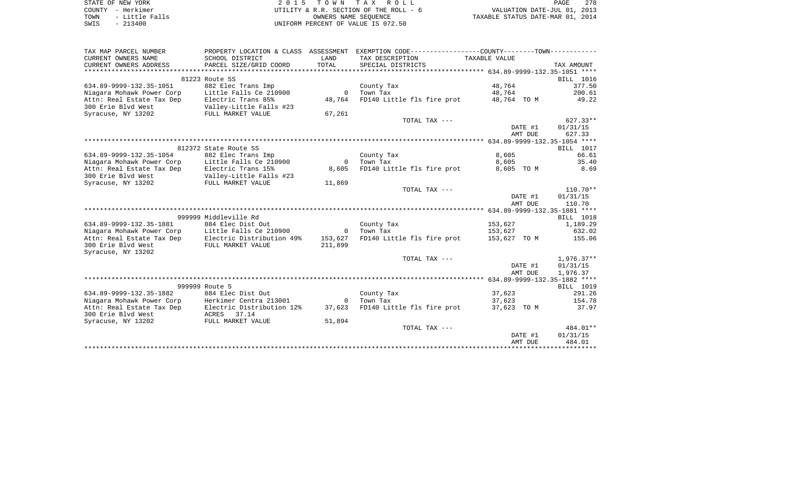|      | STATE OF NEW YORK | 2015 TOWN TAX ROLL                     | 278<br>PAGE                      |
|------|-------------------|----------------------------------------|----------------------------------|
|      | COUNTY – Herkimer | UTILITY & R.R. SECTION OF THE ROLL - 6 | VALUATION DATE-JUL 01, 2013      |
| TOWN | - Little Falls    | OWNERS NAME SEOUENCE                   | TAXABLE STATUS DATE-MAR 01, 2014 |
| SWIS | - 213400          | UNIFORM PERCENT OF VALUE IS 072.50     |                                  |

| TAX MAP PARCEL NUMBER                               | PROPERTY LOCATION & CLASS ASSESSMENT         |                | EXEMPTION CODE----------------COUNTY-------TOWN----------- |                                    |         |                          |
|-----------------------------------------------------|----------------------------------------------|----------------|------------------------------------------------------------|------------------------------------|---------|--------------------------|
| CURRENT OWNERS NAME                                 | SCHOOL DISTRICT                              | LAND           | TAX DESCRIPTION                                            | TAXABLE VALUE                      |         |                          |
| CURRENT OWNERS ADDRESS                              | PARCEL SIZE/GRID COORD                       | TOTAL          | SPECIAL DISTRICTS                                          |                                    |         | TAX AMOUNT               |
|                                                     |                                              |                |                                                            |                                    |         |                          |
|                                                     | 81223 Route 5S                               |                |                                                            |                                    |         | BILL 1016                |
| 634.89-9999-132.35-1051                             | 882 Elec Trans Imp                           |                | County Tax                                                 | 48,764                             |         | 377.50                   |
| Niagara Mohawk Power Corp                           | Little Falls Ce 210900                       | $\Omega$       | Town Tax                                                   | 48,764                             |         | 200.61                   |
| Attn: Real Estate Tax Dep                           | Electric Trans 85%                           | 48,764         | FD140 Little fls fire prot 48,764 TO M                     |                                    |         | 49.22                    |
| 300 Erie Blvd West                                  | Valley-Little Falls #23<br>FULL MARKET VALUE |                |                                                            |                                    |         |                          |
| Syracuse, NY 13202                                  |                                              | 67,261         |                                                            |                                    |         |                          |
|                                                     |                                              |                | TOTAL TAX ---                                              |                                    |         | $627.33**$               |
|                                                     |                                              |                |                                                            |                                    | DATE #1 | 01/31/15                 |
|                                                     |                                              |                |                                                            |                                    | AMT DUE | 627.33                   |
|                                                     |                                              |                |                                                            |                                    |         |                          |
|                                                     | 812372 State Route 5S                        |                |                                                            |                                    |         | BILL 1017                |
| 634.89-9999-132.35-1054                             | 882 Elec Trans Imp                           |                | County Tax                                                 | 8,605                              |         | 66.61                    |
| Niagara Mohawk Power Corp                           | Little Falls Ce 210900                       | $\overline{0}$ | Town Tax                                                   | 8,605                              |         | 35.40                    |
| Attn: Real Estate Tax Dep                           | Electric Trans 15%                           | 8,605          | FD140 Little fls fire prot                                 | 8,605 TO M                         |         | 8.69                     |
| 300 Erie Blvd West                                  | Valley-Little Falls #23<br>FULL MARKET VALUE |                |                                                            |                                    |         |                          |
| Syracuse, NY 13202                                  |                                              | 11,869         |                                                            |                                    |         |                          |
|                                                     |                                              |                | TOTAL TAX ---                                              |                                    |         | $110.70**$               |
|                                                     |                                              |                |                                                            |                                    | DATE #1 | 01/31/15                 |
|                                                     |                                              |                |                                                            |                                    | AMT DUE | 110.70                   |
|                                                     |                                              |                |                                                            |                                    |         |                          |
|                                                     | 999999 Middleville Rd                        |                |                                                            |                                    |         | BILL 1018                |
| 634.89-9999-132.35-1881                             | 884 Elec Dist Out                            |                | County Tax                                                 | 153,627                            |         | 1,189.29                 |
| Niagara Mohawk Power Corp                           | Little Falls Ce 210900                       | $\overline{0}$ | Town Tax                                                   | 153,627                            |         | 632.02                   |
| Attn: Real Estate Tax Dep Electric Distribution 49% |                                              | 153,627        | FD140 Little fls fire prot                                 | 153,627 TO M                       |         | 155.06                   |
| 300 Erie Blvd West                                  | FULL MARKET VALUE                            | 211,899        |                                                            |                                    |         |                          |
| Syracuse, NY 13202                                  |                                              |                |                                                            |                                    |         |                          |
|                                                     |                                              |                | TOTAL TAX ---                                              |                                    | DATE #1 | $1,976.37**$<br>01/31/15 |
|                                                     |                                              |                |                                                            |                                    | AMT DUE | 1,976.37                 |
|                                                     |                                              |                |                                                            |                                    |         |                          |
|                                                     | 999999 Route 5                               |                |                                                            |                                    |         | BILL 1019                |
| 634.89-9999-132.35-1882                             | 884 Elec Dist Out                            |                | County Tax                                                 | 37,623                             |         | 291.26                   |
| Niagara Mohawk Power Corp                           | Herkimer Centra 213001                       | $\Omega$       | Town Tax                                                   | 37,623                             |         | 154.78                   |
| Attn: Real Estate Tax Dep                           | Electric Distribution 12%                    | 37,623         | FD140 Little fls fire prot                                 | 37,623 TO M                        |         | 37.97                    |
| 300 Erie Blvd West                                  | ACRES 37.14                                  |                |                                                            |                                    |         |                          |
| Syracuse, NY 13202                                  | FULL MARKET VALUE                            | 51,894         |                                                            |                                    |         |                          |
|                                                     |                                              |                | TOTAL TAX ---                                              |                                    |         | 484.01**                 |
|                                                     |                                              |                |                                                            |                                    | DATE #1 | 01/31/15                 |
|                                                     |                                              |                |                                                            |                                    | AMT DUE | 484.01                   |
|                                                     |                                              |                |                                                            | ********************************** |         |                          |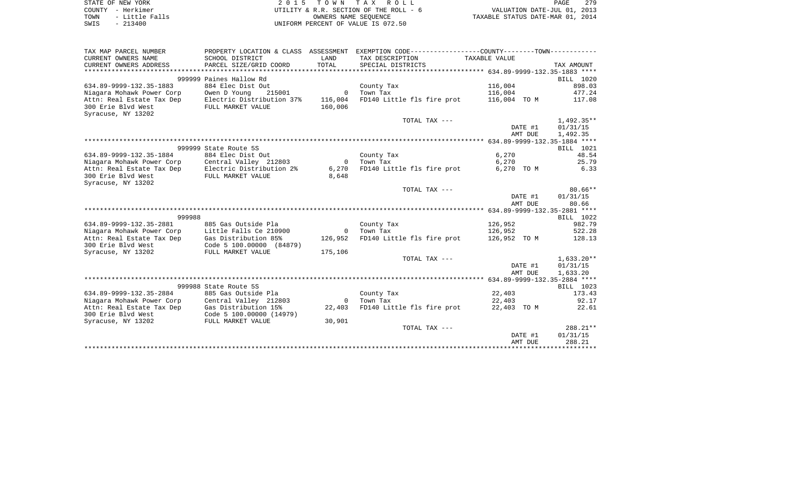|      | STATE OF NEW YORK | 2015 TOWN TAX ROLL                     | 279<br>PAGE                      |
|------|-------------------|----------------------------------------|----------------------------------|
|      | COUNTY - Herkimer | UTILITY & R.R. SECTION OF THE ROLL - 6 | VALUATION DATE-JUL 01, 2013      |
| TOWN | - Little Falls    | OWNERS NAME SEOUENCE                   | TAXABLE STATUS DATE-MAR 01, 2014 |
| SWIS | - 213400          | UNIFORM PERCENT OF VALUE IS 072.50     |                                  |

| TAX MAP PARCEL NUMBER                                                    | PROPERTY LOCATION & CLASS ASSESSMENT                           |                | EXEMPTION CODE----------------COUNTY-------TOWN----------- |                |                                       |
|--------------------------------------------------------------------------|----------------------------------------------------------------|----------------|------------------------------------------------------------|----------------|---------------------------------------|
| CURRENT OWNERS NAME                                                      | SCHOOL DISTRICT                                                | LAND           | TAX DESCRIPTION                                            | TAXABLE VALUE  |                                       |
| CURRENT OWNERS ADDRESS                                                   | PARCEL SIZE/GRID COORD                                         | TOTAL          | SPECIAL DISTRICTS                                          |                | TAX AMOUNT                            |
|                                                                          |                                                                |                |                                                            |                |                                       |
|                                                                          | 999999 Paines Hallow Rd                                        |                |                                                            |                | BILL 1020                             |
| 634.89-9999-132.35-1883                                                  | 884 Elec Dist Out                                              |                | County Tax                                                 | 116,004        | 898.03                                |
| Niagara Mohawk Power Corp                                                | Owen D Young                                                   | 215001 0       | Town Tax                                                   | 116,004        | 477.24                                |
| Attn: Real Estate Tax Dep                                                | Electric Distribution 37% 116,004<br>FULL MARKET VALUE 160,006 |                | FD140 Little fls fire prot                                 |                | 116,004 TO M 117.08                   |
| 300 Erie Blvd West                                                       |                                                                |                |                                                            |                |                                       |
| Syracuse, NY 13202                                                       |                                                                |                |                                                            |                |                                       |
|                                                                          |                                                                |                | TOTAL TAX ---                                              |                | $1,492.35**$                          |
|                                                                          |                                                                |                |                                                            |                | DATE #1<br>01/31/15                   |
|                                                                          |                                                                |                |                                                            |                | AMT DUE<br>1,492.35                   |
|                                                                          |                                                                |                |                                                            |                |                                       |
|                                                                          | 999999 State Route 5S<br>884 Elec Dist Out                     |                |                                                            |                | BILL 1021                             |
| 634.89-9999-132.35-1884                                                  |                                                                | $\overline{0}$ | County Tax                                                 | 6,270<br>6,270 | 48.54<br>25.79                        |
| Niagara Mohawk Power Corp Central Valley 212803                          |                                                                |                | Town Tax<br>FD140 Little fls fire prot                     | 6,270 TO M     | 6.33                                  |
| Attn: Real Estate Tax Dep Electric Distribution 2%<br>300 Erie Blyd West | FULL MARKET VALUE                                              | 6,270<br>8,648 |                                                            |                |                                       |
| Syracuse, NY 13202                                                       |                                                                |                |                                                            |                |                                       |
|                                                                          |                                                                |                | TOTAL TAX ---                                              |                | $80.66**$                             |
|                                                                          |                                                                |                |                                                            |                | DATE #1<br>01/31/15                   |
|                                                                          |                                                                |                |                                                            |                | 80.66<br>AMT DUE                      |
|                                                                          |                                                                |                |                                                            |                |                                       |
| 999988                                                                   |                                                                |                |                                                            |                | BILL 1022                             |
| 634.89-9999-132.35-2881                                                  | 885 Gas Outside Pla                                            |                | County Tax                                                 | 126,952        | 982.79                                |
| Niagara Mohawk Power Corp                                                | Little Falls Ce 210900                                         | $\overline{0}$ | Town Tax                                                   | 126,952        | 522.28                                |
| Attn: Real Estate Tax Dep Gas Distribution 85%                           |                                                                | 126,952        | FD140 Little fls fire prot                                 |                | 126,952 TO M 128.13                   |
| 300 Erie Blvd West                                                       | Code 5 100.00000 (84879)                                       |                |                                                            |                |                                       |
| Syracuse, NY 13202                                                       | FULL MARKET VALUE                                              | 175,106        |                                                            |                |                                       |
|                                                                          |                                                                |                | TOTAL TAX ---                                              |                | $1,633.20**$                          |
|                                                                          |                                                                |                |                                                            |                | DATE #1<br>01/31/15                   |
|                                                                          |                                                                |                |                                                            |                | AMT DUE<br>1,633.20                   |
|                                                                          |                                                                |                |                                                            |                |                                       |
|                                                                          | 999988 State Route 5S                                          |                |                                                            |                | BILL 1023                             |
| 634.89-9999-132.35-2884                                                  | 885 Gas Outside Pla                                            |                | County Tax                                                 | 22,403         | 173.43                                |
| Niagara Mohawk Power Corp                                                | Central Valley 212803                                          | $\overline{0}$ | Town Tax                                                   | 22,403         | 92.17                                 |
| Attn: Real Estate Tax Dep                                                | Gas Distribution 15%                                           | 22,403         | FD140 Little fls fire prot                                 |                | 22,403 TO M<br>22.61                  |
| 300 Erie Blvd West                                                       | Code 5 100.00000 (14979)<br>----- -------- -------             |                |                                                            |                |                                       |
| Syracuse, NY 13202                                                       | FULL MARKET VALUE                                              | 30,901         |                                                            |                |                                       |
|                                                                          |                                                                |                | TOTAL TAX ---                                              |                | 288.21**                              |
|                                                                          |                                                                |                |                                                            |                | DATE #1<br>01/31/15                   |
|                                                                          |                                                                |                |                                                            |                | 288.21<br>AMT DUE                     |
|                                                                          |                                                                |                |                                                            |                | ************************************* |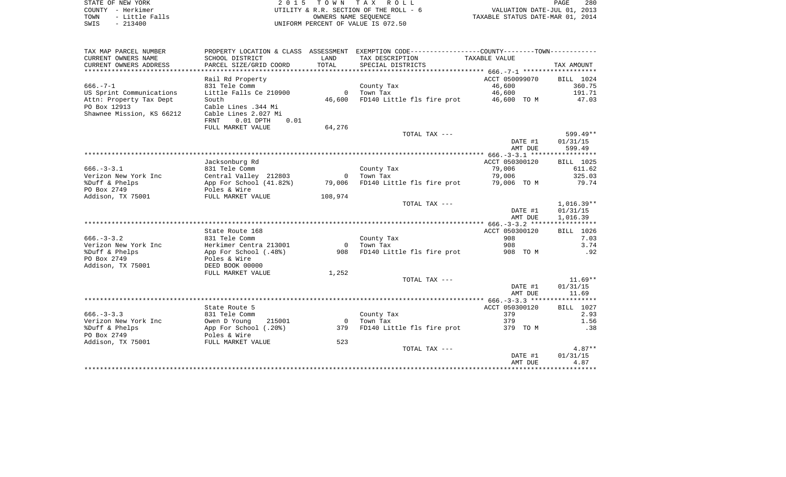| STATE OF NEW YORK      | 2015 TOWN TAX ROLL                     | 280<br>PAGE                      |
|------------------------|----------------------------------------|----------------------------------|
| COUNTY - Herkimer      | UTILITY & R.R. SECTION OF THE ROLL - 6 | VALUATION DATE-JUL 01, 2013      |
| - Little Falls<br>TOWN | OWNERS NAME SEOUENCE                   | TAXABLE STATUS DATE-MAR 01, 2014 |
| $-213400$<br>SWIS      | UNIFORM PERCENT OF VALUE IS 072.50     |                                  |

| TAX MAP PARCEL NUMBER     |                                |                | PROPERTY LOCATION & CLASS ASSESSMENT EXEMPTION CODE----------------COUNTY-------TOWN---------- |                |              |
|---------------------------|--------------------------------|----------------|------------------------------------------------------------------------------------------------|----------------|--------------|
| CURRENT OWNERS NAME       | SCHOOL DISTRICT                | LAND           | TAX DESCRIPTION                                                                                | TAXABLE VALUE  |              |
| CURRENT OWNERS ADDRESS    | PARCEL SIZE/GRID COORD         | TOTAL          | SPECIAL DISTRICTS                                                                              |                | TAX AMOUNT   |
|                           |                                |                |                                                                                                |                |              |
|                           | Rail Rd Property               |                |                                                                                                | ACCT 050099070 | BILL 1024    |
| $666. - 7 - 1$            | 831 Tele Comm                  |                | County Tax                                                                                     | 46,600         | 360.75       |
| US Sprint Communications  | Little Falls Ce 210900         | $\overline{0}$ | Town Tax                                                                                       | 46,600         | 191.71       |
| Attn: Property Tax Dept   | South                          | 46,600         | FD140 Little fls fire prot 46,600 TO M                                                         |                | 47.03        |
| PO Box 12913              | Cable Lines .344 Mi            |                |                                                                                                |                |              |
| Shawnee Mission, KS 66212 | Cable Lines 2.027 Mi           |                |                                                                                                |                |              |
|                           | FRNT<br>$0.01$ DPTH<br>0.01    |                |                                                                                                |                |              |
|                           | FULL MARKET VALUE              | 64,276         |                                                                                                |                |              |
|                           |                                |                | TOTAL TAX ---                                                                                  |                | 599.49**     |
|                           |                                |                |                                                                                                | DATE #1        | 01/31/15     |
|                           |                                |                |                                                                                                | AMT DUE        | 599.49       |
|                           |                                |                |                                                                                                |                |              |
|                           | Jacksonburg Rd                 |                |                                                                                                | ACCT 050300120 | BILL 1025    |
| $666. - 3 - 3.1$          | 831 Tele Comm                  |                | County Tax                                                                                     | 79,006         | 611.62       |
| Verizon New York Inc      | Central Valley 212803          | $\overline{0}$ | Town Tax                                                                                       | 79,006         | 325.03       |
| %Duff & Phelps            | App For School (41.82%) 79,006 |                | FD140 Little fls fire prot 79,006 TO M                                                         |                | 79.74        |
| PO Box 2749               | Poles & Wire                   |                |                                                                                                |                |              |
| Addison, TX 75001         | FULL MARKET VALUE              | 108,974        |                                                                                                |                |              |
|                           |                                |                | TOTAL TAX ---                                                                                  |                | $1,016.39**$ |
|                           |                                |                |                                                                                                | DATE #1        | 01/31/15     |
|                           |                                |                |                                                                                                | AMT DUE        | 1,016.39     |
|                           |                                |                |                                                                                                |                |              |
|                           | State Route 168                |                |                                                                                                | ACCT 050300120 | BILL 1026    |
| $666. - 3 - 3.2$          | 831 Tele Comm                  |                | County Tax                                                                                     | 908            | 7.03         |
| Verizon New York Inc      | Herkimer Centra 213001         | $\overline{0}$ | Town Tax                                                                                       | 908            | 3.74         |
| %Duff & Phelps            | App For School (.48%)          |                | 908 FD140 Little fls fire prot                                                                 | 908 TO M       | .92          |
| PO Box 2749               | Poles & Wire                   |                |                                                                                                |                |              |
| Addison, TX 75001         | DEED BOOK 00000                |                |                                                                                                |                |              |
|                           | FULL MARKET VALUE              | 1,252          |                                                                                                |                |              |
|                           |                                |                | TOTAL TAX ---                                                                                  |                | $11.69**$    |
|                           |                                |                |                                                                                                | DATE #1        | 01/31/15     |
|                           |                                |                |                                                                                                | AMT DUE        | 11.69        |
|                           |                                |                |                                                                                                |                |              |
|                           | State Route 5                  |                |                                                                                                | ACCT 050300120 | BILL 1027    |
| $666. - 3 - 3.3$          | 831 Tele Comm                  |                | County Tax                                                                                     | 379            | 2.93         |
| Verizon New York Inc      | Owen D Young<br>215001         | $\overline{0}$ | Town Tax                                                                                       | 379            | 1.56         |
| %Duff & Phelps            | App For School (.20%)          | 379            | FD140 Little fls fire prot 379 TO M                                                            |                | .38          |
| PO Box 2749               | Poles & Wire                   |                |                                                                                                |                |              |
| Addison, TX 75001         | FULL MARKET VALUE              | 523            |                                                                                                |                |              |
|                           |                                |                | TOTAL TAX ---                                                                                  |                | $4.87**$     |
|                           |                                |                |                                                                                                | DATE #1        | 01/31/15     |
|                           |                                |                |                                                                                                | AMT DUE        | 4.87         |
|                           |                                |                |                                                                                                |                |              |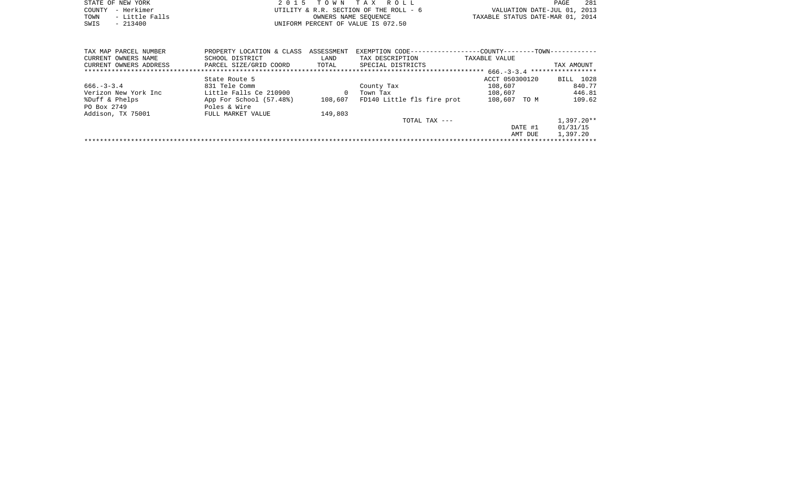|      | STATE OF NEW YORK | 2015 TOWN TAX ROLL                     | PAGE                             | 281 |
|------|-------------------|----------------------------------------|----------------------------------|-----|
|      | COUNTY - Herkimer | UTILITY & R.R. SECTION OF THE ROLL - 6 | VALUATION DATE-JUL 01, 2013      |     |
| TOWN | - Little Falls    | OWNERS NAME SEOUENCE                   | TAXABLE STATUS DATE-MAR 01, 2014 |     |
| SWIS | $-213400$         | UNIFORM PERCENT OF VALUE IS 072.50     |                                  |     |

| TAX DESCRIPTION<br>CURRENT OWNERS NAME<br>SCHOOL DISTRICT<br>LAND<br>TAXABLE VALUE<br>CURRENT OWNERS ADDRESS<br>PARCEL SIZE/GRID COORD<br>TOTAL<br>SPECIAL DISTRICTS | TAX AMOUNT<br>BILL 1028 |  |  |  |  |  |  |  |  |  |
|----------------------------------------------------------------------------------------------------------------------------------------------------------------------|-------------------------|--|--|--|--|--|--|--|--|--|
|                                                                                                                                                                      |                         |  |  |  |  |  |  |  |  |  |
|                                                                                                                                                                      |                         |  |  |  |  |  |  |  |  |  |
| $666. - 3 - 3.4$ ******************                                                                                                                                  |                         |  |  |  |  |  |  |  |  |  |
| ACCT 050300120<br>State Route 5                                                                                                                                      |                         |  |  |  |  |  |  |  |  |  |
| 831 Tele Comm<br>$666. - 3 - 3.4$<br>108,607<br>County Tax                                                                                                           | 840.77                  |  |  |  |  |  |  |  |  |  |
| Little Falls Ce 210900<br>Verizon New York Inc<br>108,607<br>$\Omega$<br>Town Tax                                                                                    | 446.81                  |  |  |  |  |  |  |  |  |  |
| FD140 Little fls fire prot<br>108,607<br>%Duff & Phelps<br>App For School (57.48%)<br>108,607 TO M                                                                   | 109.62                  |  |  |  |  |  |  |  |  |  |
| PO Box 2749<br>Poles & Wire                                                                                                                                          |                         |  |  |  |  |  |  |  |  |  |
| 149,803<br>Addison, TX 75001<br>FULL MARKET VALUE                                                                                                                    |                         |  |  |  |  |  |  |  |  |  |
| $TOTAL$ $TAX$ $---$                                                                                                                                                  | $1,397.20**$            |  |  |  |  |  |  |  |  |  |
| DATE #1                                                                                                                                                              | 01/31/15                |  |  |  |  |  |  |  |  |  |
| AMT DUE                                                                                                                                                              | 1,397.20                |  |  |  |  |  |  |  |  |  |
|                                                                                                                                                                      |                         |  |  |  |  |  |  |  |  |  |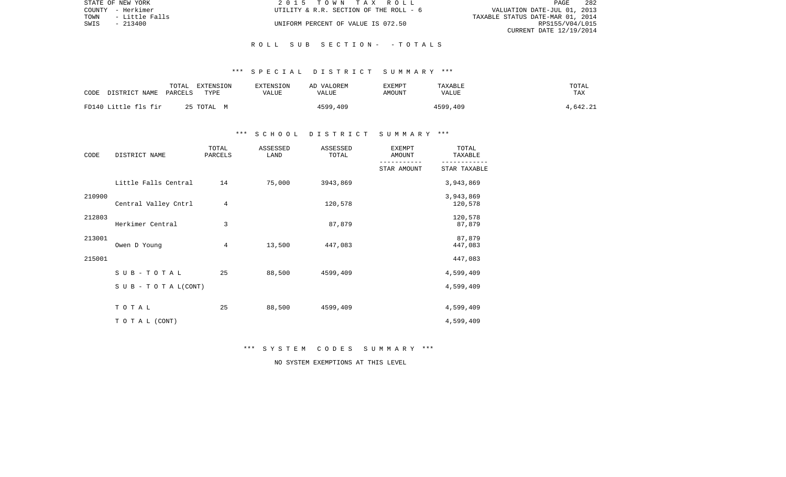|      | STATE OF NEW YORK | 2015 TOWN TAX ROLL                     | 282<br>PAGE                      |
|------|-------------------|----------------------------------------|----------------------------------|
|      | COUNTY - Herkimer | UTILITY & R.R. SECTION OF THE ROLL - 6 | VALUATION DATE-JUL 01, 2013      |
| TOWN | - Little Falls    |                                        | TAXABLE STATUS DATE-MAR 01, 2014 |
| SWIS | $-213400$         | UNIFORM PERCENT OF VALUE IS 072.50     | RPS155/V04/L015                  |
|      |                   |                                        | CURRENT DATE 12/19/2014          |

#### R O L L S U B S E C T I O N - - T O T A L S

### \*\*\* S P E C I A L D I S T R I C T S U M M A R Y \*\*\*

| CODE | DISTRICT NAME        | TOTAL<br>PARCELS | EXTENSION<br>TYPE | <b>EXTENSION</b><br>VALUE | AD VALOREM<br>VALUE | <b>EXEMPT</b><br>AMOUNT | TAXABLE<br>VALUE | TOTAL<br>TAX |
|------|----------------------|------------------|-------------------|---------------------------|---------------------|-------------------------|------------------|--------------|
|      | FD140 Little fls fir |                  | 25 TOTAL M        |                           | 4599,409            |                         | 4599,409         | 4,642.21     |

### \*\*\* S C H O O L D I S T R I C T S U M M A R Y \*\*\*

| CODE   | DISTRICT NAME                    | TOTAL<br>PARCELS | ASSESSED<br>LAND | ASSESSED<br>TOTAL | EXEMPT<br>AMOUNT | TOTAL<br>TAXABLE     |
|--------|----------------------------------|------------------|------------------|-------------------|------------------|----------------------|
|        |                                  |                  |                  |                   | STAR AMOUNT      | STAR TAXABLE         |
|        | Little Falls Central             | 14               | 75,000           | 3943,869          |                  | 3,943,869            |
| 210900 | Central Valley Cntrl             | 4                |                  | 120,578           |                  | 3,943,869<br>120,578 |
| 212803 | Herkimer Central                 | 3                |                  | 87,879            |                  | 120,578<br>87,879    |
| 213001 | Owen D Young                     | 4                | 13,500           | 447,083           |                  | 87,879<br>447,083    |
| 215001 |                                  |                  |                  |                   |                  | 447,083              |
|        | $S$ U B - T O T A L              | 25               | 88,500           | 4599,409          |                  | 4,599,409            |
|        | $S \cup B - T \cup T A L (CONT)$ |                  |                  |                   |                  | 4,599,409            |
|        | TOTAL                            | 25               | 88,500           | 4599,409          |                  | 4,599,409            |
|        | TO TAL (CONT)                    |                  |                  |                   |                  | 4,599,409            |

\*\*\* S Y S T E M C O D E S S U M M A R Y \*\*\*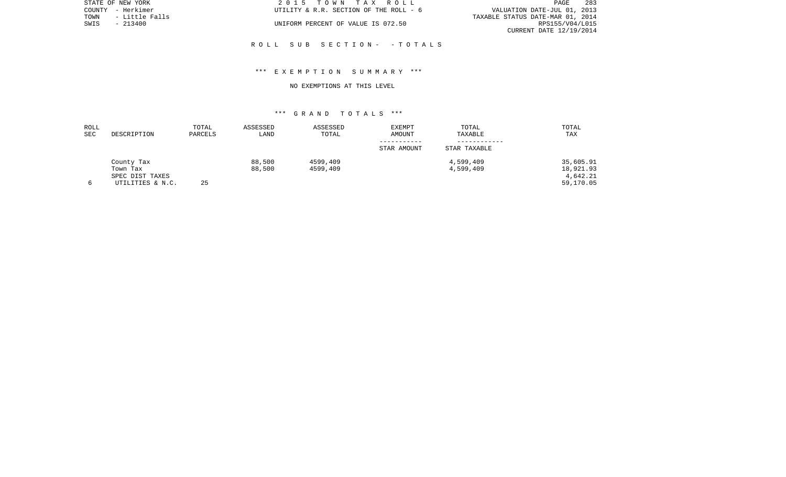|                                  | PAGE                        | 283             |  |
|----------------------------------|-----------------------------|-----------------|--|
|                                  | VALUATION DATE-JUL 01, 2013 |                 |  |
| TAXABLE STATUS DATE-MAR 01, 2014 |                             |                 |  |
|                                  |                             | RPS155/V04/L015 |  |
|                                  | CURRENT DATE 12/19/2014     |                 |  |

STATE OF NEW YORK **2015 TOWN TAX ROLL** COUNTY - Herkimer  $UTILLITY \& R.R.$  SECTION OF THE ROLL - 6

UNIFORM PERCENT OF VALUE IS 072.50

TOWN - Little Falls<br>SWIS - 213400

### R O L L S U B S E C T I O N - - T O T A L S

## \*\*\* E X E M P T I O N S U M M A R Y \*\*\*

#### NO EXEMPTIONS AT THIS LEVEL

| ROLL<br><b>SEC</b> | DESCRIPTION      | TOTAL<br>PARCELS | ASSESSED<br>LAND | ASSESSED<br>TOTAL | EXEMPT<br>AMOUNT | TOTAL<br>TAXABLE | TOTAL<br>TAX |
|--------------------|------------------|------------------|------------------|-------------------|------------------|------------------|--------------|
|                    |                  |                  |                  |                   | STAR AMOUNT      | STAR TAXABLE     |              |
|                    | County Tax       |                  | 88,500           | 4599,409          |                  | 4,599,409        | 35,605.91    |
|                    | Town Tax         |                  | 88,500           | 4599,409          |                  | 4,599,409        | 18,921.93    |
|                    | SPEC DIST TAXES  |                  |                  |                   |                  |                  | 4,642.21     |
|                    | UTILITIES & N.C. | 25               |                  |                   |                  |                  | 59,170.05    |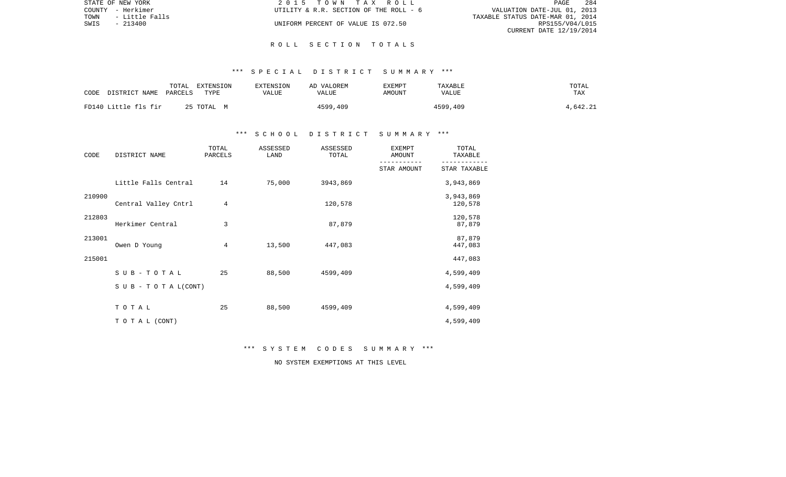| STATE OF NEW YORK      | 2015 TOWN TAX ROLL                     | - 284<br><b>PAGE</b>             |  |
|------------------------|----------------------------------------|----------------------------------|--|
| COUNTY - Herkimer      | UTILITY & R.R. SECTION OF THE ROLL - 6 | VALUATION DATE-JUL 01, 2013      |  |
| TOWN<br>- Little Falls |                                        | TAXABLE STATUS DATE-MAR 01, 2014 |  |
| SWIS<br>- 213400       | UNIFORM PERCENT OF VALUE IS 072.50     | RPS155/V04/L015                  |  |
|                        |                                        | CURRENT DATE 12/19/2014          |  |

#### R O L L S E C T I O N T O T A L S

### \*\*\* S P E C I A L D I S T R I C T S U M M A R Y \*\*\*

| CODE | DISTRICT NAME        | TOTAL<br>PARCELS | EXTENSION<br>TYPE | EXTENSION<br>VALUE | AD VALOREM<br>VALUE | EXEMPT<br>AMOUNT | TAXABLE<br>VALUE | TOTAL<br>TAX |
|------|----------------------|------------------|-------------------|--------------------|---------------------|------------------|------------------|--------------|
|      | FD140 Little fls fir |                  | 25 TOTAL M        |                    | 4599,409            |                  | 4599,409         | 4,642.21     |

### \*\*\* S C H O O L D I S T R I C T S U M M A R Y \*\*\*

| CODE   | DISTRICT NAME                    | TOTAL<br>PARCELS | ASSESSED<br>LAND | ASSESSED<br>TOTAL | <b>EXEMPT</b><br>AMOUNT | TOTAL<br>TAXABLE     |
|--------|----------------------------------|------------------|------------------|-------------------|-------------------------|----------------------|
|        |                                  |                  |                  |                   | STAR AMOUNT             | STAR TAXABLE         |
|        | Little Falls Central             | 14               | 75,000           | 3943,869          |                         | 3,943,869            |
| 210900 | Central Valley Cntrl             | 4                |                  | 120,578           |                         | 3,943,869<br>120,578 |
| 212803 | Herkimer Central                 | 3                |                  | 87,879            |                         | 120,578<br>87,879    |
| 213001 | Owen D Young                     | 4                | 13,500           | 447,083           |                         | 87,879<br>447,083    |
| 215001 |                                  |                  |                  |                   |                         | 447,083              |
|        | SUB-TOTAL                        | 25               | 88,500           | 4599,409          |                         | 4,599,409            |
|        | $S \cup B - T \cup T A L (CONT)$ |                  |                  |                   |                         | 4,599,409            |
|        | TOTAL                            | 25               | 88,500           | 4599,409          |                         | 4,599,409            |
|        | TO TAL (CONT)                    |                  |                  |                   |                         | 4,599,409            |

\*\*\* S Y S T E M C O D E S S U M M A R Y \*\*\*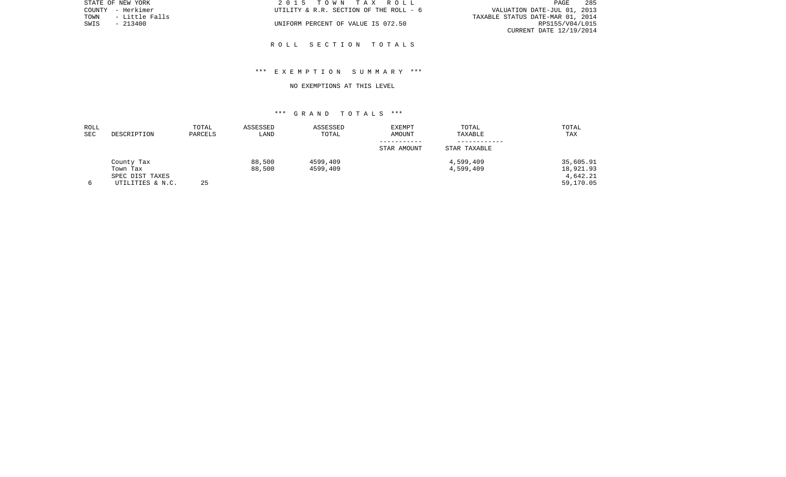| STATE OF NEW YORK      | 2015 TOWN TAX ROLL                     | 285<br>PAGE                      |
|------------------------|----------------------------------------|----------------------------------|
| COUNTY - Herkimer      | UTILITY & R.R. SECTION OF THE ROLL - 6 | VALUATION DATE-JUL 01, 2013      |
| - Little Falls<br>TOWN |                                        | TAXABLE STATUS DATE-MAR 01, 2014 |
| SWIS<br>$-213400$      | UNIFORM PERCENT OF VALUE IS 072.50     | RPS155/V04/L015                  |
|                        |                                        | CURRENT DATE 12/19/2014          |
|                        |                                        |                                  |

R O L L S E C T I O N T O T A L S

STATE OF NEW YORK

## \*\*\* E X E M P T I O N S U M M A R Y \*\*\*

#### NO EXEMPTIONS AT THIS LEVEL

| ROLL |                  | TOTAL   | ASSESSED | ASSESSED | <b>EXEMPT</b> | TOTAL        | TOTAL     |
|------|------------------|---------|----------|----------|---------------|--------------|-----------|
| SEC  | DESCRIPTION      | PARCELS | LAND     | TOTAL    | AMOUNT        | TAXABLE      | TAX       |
|      |                  |         |          |          | STAR AMOUNT   | STAR TAXABLE |           |
|      | County Tax       |         | 88,500   | 4599,409 |               | 4,599,409    | 35,605.91 |
|      | Town Tax         |         | 88,500   | 4599,409 |               | 4,599,409    | 18,921.93 |
|      | SPEC DIST TAXES  |         |          |          |               |              | 4,642.21  |
|      | UTILITIES & N.C. | 25      |          |          |               |              | 59,170.05 |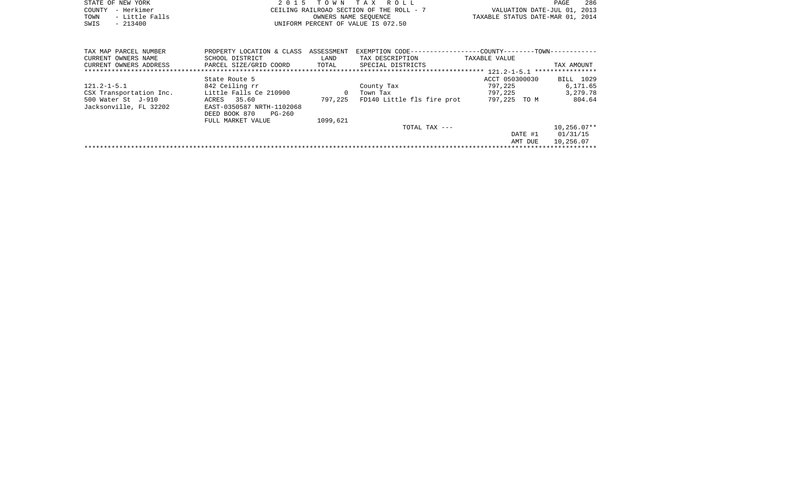|      | STATE OF NEW YORK | 2015 TOWN TAX ROLL                       | PAGE                             | 286 |
|------|-------------------|------------------------------------------|----------------------------------|-----|
|      | COUNTY - Herkimer | CEILING RAILROAD SECTION OF THE ROLL - 7 | VALUATION DATE-JUL 01, 2013      |     |
| TOWN | - Little Falls    | OWNERS NAME SEOUENCE                     | TAXABLE STATUS DATE-MAR 01, 2014 |     |
| SWIS | $-213400$         | UNIFORM PERCENT OF VALUE IS 072.50       |                                  |     |

| TAX MAP PARCEL NUMBER   | PROPERTY LOCATION & CLASS | ASSESSMENT   | EXEMPTION CODE-            | -COUNTY------<br>$--TOWN-$ |                  |
|-------------------------|---------------------------|--------------|----------------------------|----------------------------|------------------|
| CURRENT OWNERS NAME     | SCHOOL DISTRICT           | LAND         | TAX DESCRIPTION            | TAXABLE VALUE              |                  |
| CURRENT OWNERS ADDRESS  | PARCEL SIZE/GRID COORD    | TOTAL        | SPECIAL DISTRICTS          |                            | TAX AMOUNT       |
|                         |                           |              |                            | $121.2 - 1 - 5.1$          | **************** |
|                         | State Route 5             |              |                            | ACCT 050300030             | BILL 1029        |
| $121.2 - 1 - 5.1$       | 842 Ceiling rr            |              | County Tax                 | 797,225                    | 6,171.65         |
| CSX Transportation Inc. | Little Falls Ce 210900    | $\mathbf{0}$ | Town Tax                   | 797,225                    | 3, 279, 78       |
| 500 Water St J-910      | 35.60<br>ACRES            | 797,225      | FD140 Little fls fire prot | 797,225 TO M               | 804.64           |
| Jacksonville, FL 32202  | EAST-0350587 NRTH-1102068 |              |                            |                            |                  |
|                         | DEED BOOK 870<br>PG-260   |              |                            |                            |                  |
|                         | FULL MARKET VALUE         | 1099,621     |                            |                            |                  |
|                         |                           |              | TOTAL TAX ---              |                            | $10.256.07**$    |
|                         |                           |              |                            | DATE #1                    | 01/31/15         |
|                         |                           |              |                            | AMT DUE                    | 10,256.07        |
|                         |                           |              |                            |                            |                  |
|                         |                           |              |                            |                            |                  |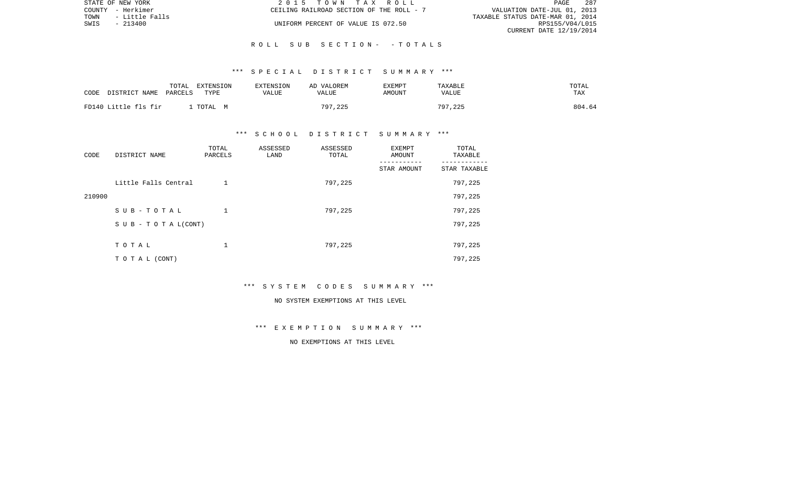| STATE OF NEW YORK      | 2015 TOWN TAX ROLL                       | - 287<br>PAGE                    |
|------------------------|------------------------------------------|----------------------------------|
| COUNTY - Herkimer      | CEILING RAILROAD SECTION OF THE ROLL - 7 | VALUATION DATE-JUL 01, 2013      |
| TOWN<br>- Little Falls |                                          | TAXABLE STATUS DATE-MAR 01, 2014 |
| SWIS<br>- 213400       | UNIFORM PERCENT OF VALUE IS 072.50       | RPS155/V04/L015                  |
|                        |                                          | CURRENT DATE 12/19/2014          |

### R O L L S U B S E C T I O N - - T O T A L S

#### \*\*\* S P E C I A L D I S T R I C T S U M M A R Y \*\*\*

| CODE | DISTRICT NAME        | TOTAL<br>PARCELS | EXTENSION<br>TYPE | EXTENSION<br>VALUE | AD VALOREM<br>VALUE | EXEMPT<br>AMOUNT | TAXABLE<br>VALUE | TOTAL<br>TAX |
|------|----------------------|------------------|-------------------|--------------------|---------------------|------------------|------------------|--------------|
|      | FD140 Little fls fir |                  | TOTAL M           |                    | 797,225             |                  | 797,225          | 804.64       |

### \*\*\* S C H O O L D I S T R I C T S U M M A R Y \*\*\*

| CODE   | DISTRICT NAME        | TOTAL<br>PARCELS | ASSESSED<br>LAND | ASSESSED<br>TOTAL | EXEMPT<br>AMOUNT | TOTAL<br>TAXABLE |
|--------|----------------------|------------------|------------------|-------------------|------------------|------------------|
|        |                      |                  |                  |                   | STAR AMOUNT      | STAR TAXABLE     |
|        | Little Falls Central |                  |                  | 797,225           |                  | 797,225          |
| 210900 |                      |                  |                  |                   |                  | 797,225          |
|        | SUB-TOTAL            | 1                |                  | 797,225           |                  | 797,225          |
|        | SUB - TO TAL(CONT)   |                  |                  |                   |                  | 797,225          |
|        |                      |                  |                  |                   |                  |                  |
|        | TOTAL                |                  |                  | 797,225           |                  | 797,225          |
|        | T O T A L (CONT)     |                  |                  |                   |                  | 797,225          |

### \*\*\* S Y S T E M C O D E S S U M M A R Y \*\*\*

#### NO SYSTEM EXEMPTIONS AT THIS LEVEL

## \*\*\* E X E M P T I O N S U M M A R Y \*\*\*

# NO EXEMPTIONS AT THIS LEVEL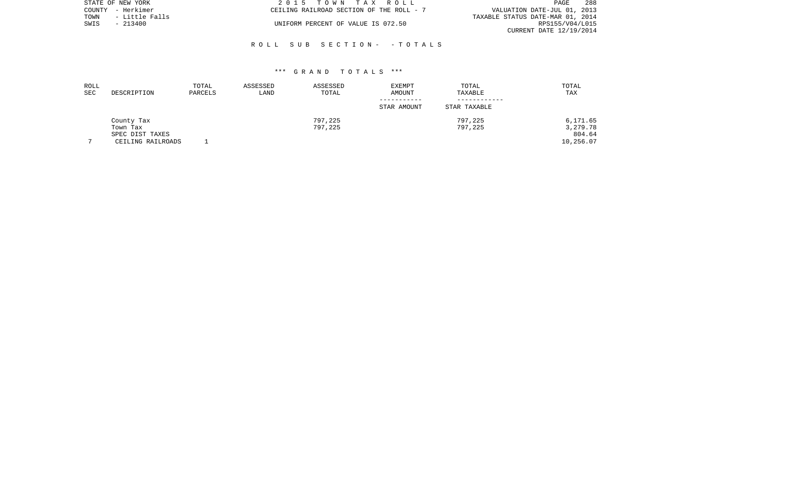|      | STATE OF NEW YORK | 2015 TOWN TAX ROLL                       | -288<br>PAGE                     |
|------|-------------------|------------------------------------------|----------------------------------|
|      | COUNTY - Herkimer | CEILING RAILROAD SECTION OF THE ROLL - 7 | VALUATION DATE-JUL 01, 2013      |
| TOWN | - Little Falls    |                                          | TAXABLE STATUS DATE-MAR 01, 2014 |
| SWIS | $-213400$         | UNIFORM PERCENT OF VALUE IS 072.50       | RPS155/V04/L015                  |
|      |                   |                                          | CURRENT DATE 12/19/2014          |

## R O L L S U B S E C T I O N - - T O T A L S

| ROLL       |                   | TOTAL   | ASSESSED | ASSESSED | <b>EXEMPT</b> | TOTAL        | TOTAL     |
|------------|-------------------|---------|----------|----------|---------------|--------------|-----------|
| <b>SEC</b> | DESCRIPTION       | PARCELS | LAND     | TOTAL    | AMOUNT        | TAXABLE      | TAX       |
|            |                   |         |          |          |               |              |           |
|            |                   |         |          |          | STAR AMOUNT   | STAR TAXABLE |           |
|            | County Tax        |         |          | 797,225  |               | 797,225      | 6,171.65  |
|            | Town Tax          |         |          | 797,225  |               | 797,225      | 3,279.78  |
|            | SPEC DIST TAXES   |         |          |          |               |              | 804.64    |
|            | CEILING RAILROADS |         |          |          |               |              | 10,256.07 |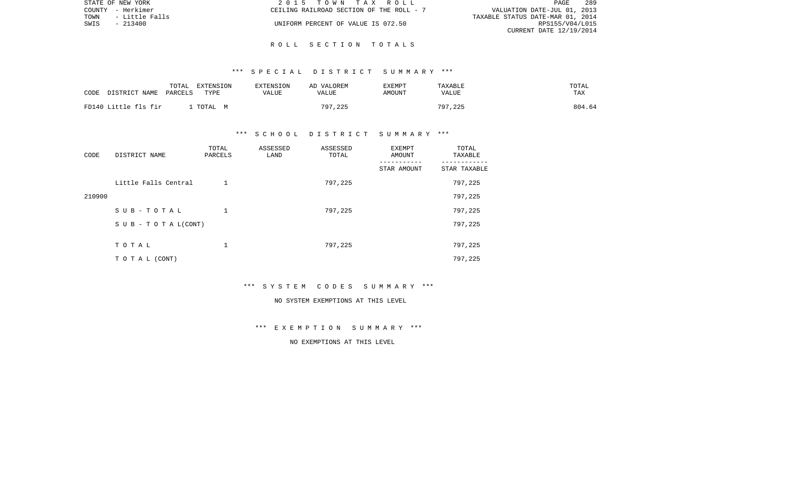| STATE OF NEW YORK |                | 2015 TOWN TAX ROLL                                                      | PAGE                    | 289 |
|-------------------|----------------|-------------------------------------------------------------------------|-------------------------|-----|
| COUNTY - Herkimer |                | VALUATION DATE-JUL 01, 2013<br>CEILING RAILROAD SECTION OF THE ROLL - 7 |                         |     |
| TOWN              | - Little Falls | TAXABLE STATUS DATE-MAR 01, 2014                                        |                         |     |
| SWIS<br>$-213400$ |                | UNIFORM PERCENT OF VALUE IS 072.50                                      | RPS155/V04/L015         |     |
|                   |                |                                                                         | CURRENT DATE 12/19/2014 |     |

### R O L L S E C T I O N T O T A L S

## \*\*\* S P E C I A L D I S T R I C T S U M M A R Y \*\*\*

| CODE | DISTRICT NAME        | TOTAL<br>EXTENSION<br>PARCELS<br>TYPE | EXTENSION<br>VALUE | AD VALOREM<br>VALUE | <b>EXEMPT</b><br>AMOUNT | TAXABLE<br>VALUE | TOTAL<br><b>TAX</b> |
|------|----------------------|---------------------------------------|--------------------|---------------------|-------------------------|------------------|---------------------|
|      | FD140 Little fls fir | TOTAL M                               |                    | 797,225             |                         | 797,225          | 804.64              |

## \*\*\* S C H O O L D I S T R I C T S U M M A R Y \*\*\*

| CODE   | DISTRICT NAME        | TOTAL<br>PARCELS | ASSESSED<br>LAND | ASSESSED<br>TOTAL | EXEMPT<br>AMOUNT | TOTAL<br>TAXABLE |
|--------|----------------------|------------------|------------------|-------------------|------------------|------------------|
|        |                      |                  |                  |                   | STAR AMOUNT      | STAR TAXABLE     |
|        | Little Falls Central |                  |                  | 797,225           |                  | 797,225          |
| 210900 |                      |                  |                  |                   |                  | 797,225          |
|        | SUB-TOTAL            | 1                |                  | 797,225           |                  | 797,225          |
|        | SUB - TO TAL(CONT)   |                  |                  |                   |                  | 797,225          |
|        |                      |                  |                  |                   |                  |                  |
|        | TOTAL                | 1                |                  | 797,225           |                  | 797,225          |
|        | T O T A L (CONT)     |                  |                  |                   |                  | 797,225          |

## \*\*\* S Y S T E M C O D E S S U M M A R Y \*\*\*

#### NO SYSTEM EXEMPTIONS AT THIS LEVEL

## \*\*\* E X E M P T I O N S U M M A R Y \*\*\*

## NO EXEMPTIONS AT THIS LEVEL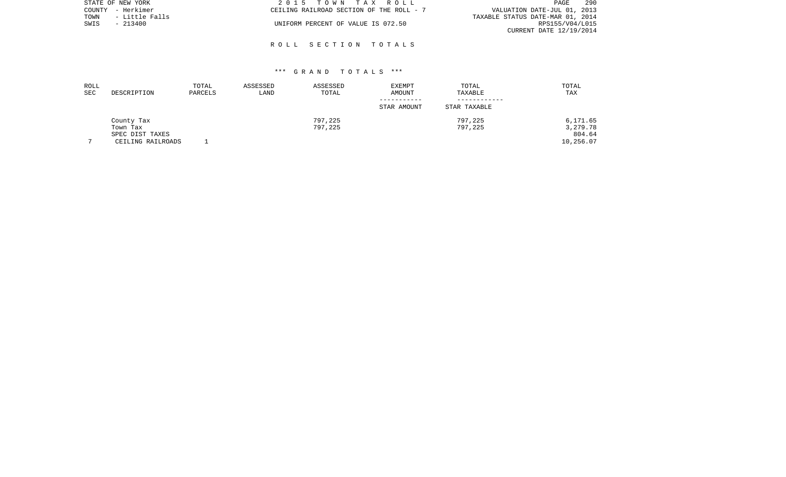|      | STATE OF NEW YORK | 2015 TOWN TAX ROLL                       |  |                                  | PAGE            | 290 |
|------|-------------------|------------------------------------------|--|----------------------------------|-----------------|-----|
|      | COUNTY - Herkimer | CEILING RAILROAD SECTION OF THE ROLL - 7 |  | VALUATION DATE-JUL 01, 2013      |                 |     |
| TOWN | - Little Falls    |                                          |  | TAXABLE STATUS DATE-MAR 01, 2014 |                 |     |
| SWIS | $-213400$         | UNIFORM PERCENT OF VALUE IS 072.50       |  |                                  | RPS155/V04/L015 |     |
|      |                   |                                          |  | CURRENT DATE 12/19/2014          |                 |     |

### R O L L S E C T I O N T O T A L S

| ROLL<br>SEC    | DESCRIPTION       | TOTAL<br>PARCELS | ASSESSED<br>LAND | ASSESSED<br>TOTAL | <b>EXEMPT</b><br>AMOUNT | TOTAL<br>TAXABLE | TOTAL<br>TAX |
|----------------|-------------------|------------------|------------------|-------------------|-------------------------|------------------|--------------|
|                |                   |                  |                  |                   | STAR AMOUNT             | STAR TAXABLE     |              |
|                | County Tax        |                  |                  | 797,225           |                         | 797,225          | 6,171.65     |
|                | Town Tax          |                  |                  | 797,225           |                         | 797,225          | 3,279.78     |
|                | SPEC DIST TAXES   |                  |                  |                   |                         |                  | 804.64       |
| $\overline{ }$ | CEILING RAILROADS |                  |                  |                   |                         |                  | 10,256.07    |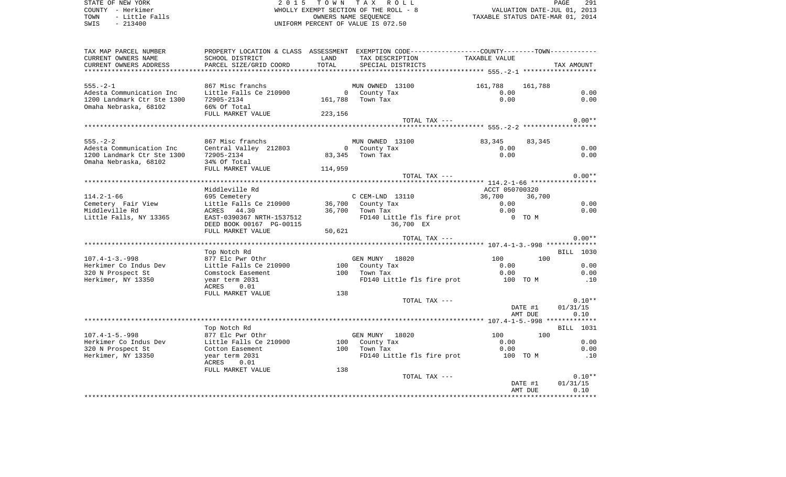| STATE OF NEW YORK<br>COUNTY - Herkimer<br>TOWN<br>- Little Falls<br>SWIS<br>$-213400$             | 2 0 1 5                                                                                                                                       |               | TOWN TAX ROLL<br>WHOLLY EXEMPT SECTION OF THE ROLL - 8<br>OWNERS NAME SEOUENCE<br>UNIFORM PERCENT OF VALUE IS 072.50 |                                        | PAGE<br>291<br>VALUATION DATE-JUL 01, 2013<br>TAXABLE STATUS DATE-MAR 01, 2014 |
|---------------------------------------------------------------------------------------------------|-----------------------------------------------------------------------------------------------------------------------------------------------|---------------|----------------------------------------------------------------------------------------------------------------------|----------------------------------------|--------------------------------------------------------------------------------|
| TAX MAP PARCEL NUMBER<br>CURRENT OWNERS NAME<br>CURRENT OWNERS ADDRESS<br>*********************** | PROPERTY LOCATION & CLASS ASSESSMENT EXEMPTION CODE----------------COUNTY--------TOWN-----------<br>SCHOOL DISTRICT<br>PARCEL SIZE/GRID COORD | LAND<br>TOTAL | TAX DESCRIPTION<br>SPECIAL DISTRICTS                                                                                 | TAXABLE VALUE                          | TAX AMOUNT                                                                     |
|                                                                                                   |                                                                                                                                               |               |                                                                                                                      |                                        |                                                                                |
| $555. - 2 - 1$                                                                                    | 867 Misc franchs                                                                                                                              |               | MUN OWNED 13100                                                                                                      | 161,788                                | 161,788                                                                        |
| Adesta Communication Inc<br>1200 Landmark Ctr Ste 1300                                            | Little Falls Ce 210900<br>72905-2134<br>66% Of Total                                                                                          | 161,788       | 0 County Tax<br>Town Tax                                                                                             | 0.00<br>0.00                           | 0.00<br>0.00                                                                   |
| Omaha Nebraska, 68102                                                                             | FULL MARKET VALUE                                                                                                                             | 223,156       |                                                                                                                      |                                        |                                                                                |
|                                                                                                   |                                                                                                                                               |               | TOTAL TAX ---                                                                                                        |                                        | $0.00**$                                                                       |
|                                                                                                   |                                                                                                                                               |               |                                                                                                                      | ********** 555. - 2-2 ************     |                                                                                |
| $555. - 2 - 2$                                                                                    | 867 Misc franchs                                                                                                                              |               |                                                                                                                      |                                        |                                                                                |
| Adesta Communication Inc                                                                          | Central Valley 212803                                                                                                                         | 0             | MUN OWNED 13100<br>County Tax                                                                                        | 83,345<br>0.00                         | 83,345<br>0.00                                                                 |
| 1200 Landmark Ctr Ste 1300                                                                        | 72905-2134                                                                                                                                    | 83,345        | Town Tax                                                                                                             | 0.00                                   | 0.00                                                                           |
| Omaha Nebraska, 68102                                                                             | 34% Of Total                                                                                                                                  |               |                                                                                                                      |                                        |                                                                                |
|                                                                                                   | FULL MARKET VALUE                                                                                                                             | 114,959       |                                                                                                                      |                                        |                                                                                |
|                                                                                                   |                                                                                                                                               |               | TOTAL TAX ---                                                                                                        |                                        | $0.00**$                                                                       |
|                                                                                                   | Middleville Rd                                                                                                                                |               |                                                                                                                      | ACCT 050700320                         |                                                                                |
| $114.2 - 1 - 66$                                                                                  | 695 Cemetery                                                                                                                                  |               | C CEM-LND 13110                                                                                                      | 36,700                                 | 36,700                                                                         |
| Cemetery Fair View                                                                                | Little Falls Ce 210900                                                                                                                        |               | 36,700 County Tax                                                                                                    | 0.00                                   | 0.00                                                                           |
| Middleville Rd                                                                                    | ACRES 44.30                                                                                                                                   | 36,700        | Town Tax                                                                                                             | 0.00                                   | 0.00                                                                           |
| Little Falls, NY 13365                                                                            | EAST-0390367 NRTH-1537512<br>DEED BOOK 00167 PG-00115                                                                                         |               | FD140 Little fls fire prot<br>36,700 EX                                                                              |                                        | 0 TO M                                                                         |
|                                                                                                   | FULL MARKET VALUE                                                                                                                             | 50,621        |                                                                                                                      |                                        |                                                                                |
|                                                                                                   |                                                                                                                                               |               | TOTAL TAX ---                                                                                                        |                                        | $0.00**$                                                                       |
|                                                                                                   | Top Notch Rd                                                                                                                                  |               |                                                                                                                      | ********* 107.4-1-3.-998 ************* | BILL 1030                                                                      |
| $107.4 - 1 - 3. - 998$                                                                            | 877 Elc Pwr Othr                                                                                                                              |               | GEN MUNY 18020                                                                                                       | 100                                    | 100                                                                            |
| Herkimer Co Indus Dev                                                                             | Little Falls Ce 210900                                                                                                                        |               | 100 County Tax                                                                                                       | 0.00                                   | 0.00                                                                           |
| 320 N Prospect St                                                                                 | Comstock Easement                                                                                                                             | 100           | Town Tax                                                                                                             | 0.00                                   | 0.00                                                                           |
| Herkimer, NY 13350                                                                                | year term 2031<br>0.01<br>ACRES                                                                                                               |               | FD140 Little fls fire prot                                                                                           | 100 TO M                               | .10                                                                            |
|                                                                                                   | FULL MARKET VALUE                                                                                                                             | 138           |                                                                                                                      |                                        |                                                                                |
|                                                                                                   |                                                                                                                                               |               | TOTAL TAX ---                                                                                                        |                                        | $0.10**$<br>DATE #1<br>01/31/15<br>AMT DUE<br>0.10                             |
|                                                                                                   |                                                                                                                                               |               |                                                                                                                      |                                        |                                                                                |
|                                                                                                   | Top Notch Rd                                                                                                                                  |               |                                                                                                                      |                                        | BILL 1031                                                                      |
| $107.4 - 1 - 5. - 998$                                                                            | 877 Elc Pwr Othr                                                                                                                              |               | GEN MUNY 18020                                                                                                       | 100                                    | 100                                                                            |
| Herkimer Co Indus Dev                                                                             | Little Falls Ce 210900                                                                                                                        |               | 100 County Tax                                                                                                       | 0.00                                   | 0.00                                                                           |
| 320 N Prospect St<br>Herkimer, NY 13350                                                           | Cotton Easement<br>year term 2031                                                                                                             | 100           | Town Tax<br>FD140 Little fls fire prot                                                                               | 0.00<br>100 TO M                       | 0.00<br>.10                                                                    |
|                                                                                                   | ACRES<br>0.01                                                                                                                                 |               |                                                                                                                      |                                        |                                                                                |
|                                                                                                   | FULL MARKET VALUE                                                                                                                             | 138           | TOTAL TAX ---                                                                                                        |                                        | $0.10**$                                                                       |
|                                                                                                   |                                                                                                                                               |               |                                                                                                                      |                                        | 01/31/15<br>DATE #1<br>AMT DUE<br>0.10                                         |
|                                                                                                   |                                                                                                                                               |               |                                                                                                                      |                                        | * * * * * * *                                                                  |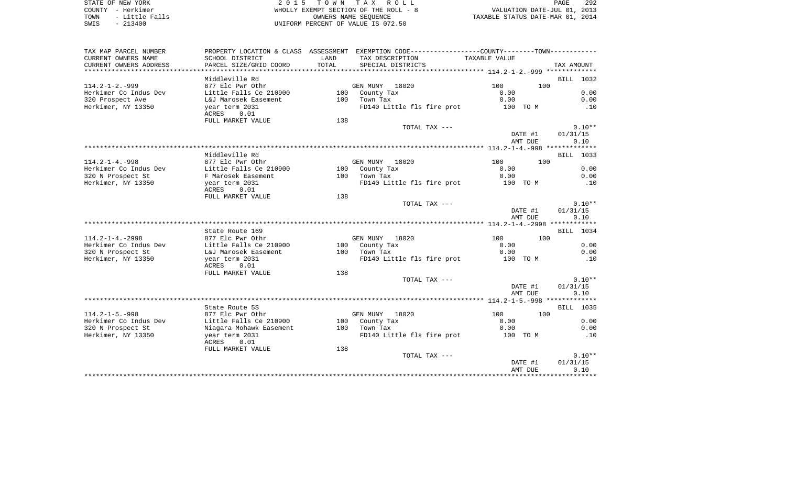STATE OF NEW YORK 2 0 1 5 T O W N T A X R O L L PAGE 292 COUNTY - Herkimer WHOLLY EXEMPT SECTION OF THE ROLL - 8 VALUATION DATE-JUL 01, 2013 TOWN - Little Falls OWNERS NAME SEQUENCE TAXABLE STATUS DATE-MAR 01, 2014 SWIS - LITTLE Falls<br>
SWIS - 213400<br>
SWIS - 213400<br>
UNIFORM PERCENT OF VALUE IS 072.50

| TAX MAP PARCEL NUMBER<br>CURRENT OWNERS NAME<br>CURRENT OWNERS ADDRESS | SCHOOL DISTRICT<br>PARCEL SIZE/GRID COORD | LAND<br>TOTAL | PROPERTY LOCATION & CLASS ASSESSMENT EXEMPTION CODE----------------COUNTY--------TOWN----------<br>TAX DESCRIPTION<br>SPECIAL DISTRICTS | TAXABLE VALUE |         | TAX AMOUNT |
|------------------------------------------------------------------------|-------------------------------------------|---------------|-----------------------------------------------------------------------------------------------------------------------------------------|---------------|---------|------------|
| *************************                                              |                                           |               |                                                                                                                                         |               |         |            |
|                                                                        | Middleville Rd                            |               |                                                                                                                                         |               |         | BILL 1032  |
| $114.2 - 1 - 2. - 999$                                                 | 877 Elc Pwr Othr                          |               | GEN MUNY 18020                                                                                                                          | 100           | 100     |            |
| Herkimer Co Indus Dev                                                  | Little Falls Ce 210900                    |               | 100 County Tax                                                                                                                          | 0.00          |         | 0.00       |
| 320 Prospect Ave                                                       | L&J Marosek Easement                      |               | 100 Town Tax                                                                                                                            | 0.00          |         | 0.00       |
| Herkimer, NY 13350                                                     | year term 2031<br>ACRES<br>0.01           |               | FD140 Little fls fire prot                                                                                                              | 100 TO M      |         | .10        |
|                                                                        | FULL MARKET VALUE                         | 138           |                                                                                                                                         |               |         |            |
|                                                                        |                                           |               | TOTAL TAX ---                                                                                                                           |               |         | $0.10**$   |
|                                                                        |                                           |               |                                                                                                                                         |               | DATE #1 | 01/31/15   |
|                                                                        |                                           |               |                                                                                                                                         |               | AMT DUE | 0.10       |
|                                                                        |                                           |               |                                                                                                                                         |               |         |            |
| $114.2 - 1 - 4. - 998$                                                 | Middleville Rd<br>877 Elc Pwr Othr        |               | GEN MUNY 18020                                                                                                                          | 100           | 100     | BILL 1033  |
| Herkimer Co Indus Dev                                                  | Little Falls Ce 210900                    |               | 100 County Tax                                                                                                                          | 0.00          |         | 0.00       |
| 320 N Prospect St                                                      | F Marosek Easement                        |               | 100 Town Tax                                                                                                                            | 0.00          |         | 0.00       |
| Herkimer, NY 13350                                                     | year term 2031                            |               | FD140 Little fls fire prot                                                                                                              | 100 TO M      |         | .10        |
|                                                                        | 0.01<br>ACRES                             |               |                                                                                                                                         |               |         |            |
|                                                                        | FULL MARKET VALUE                         | 138           |                                                                                                                                         |               |         |            |
|                                                                        |                                           |               | TOTAL TAX ---                                                                                                                           |               |         | $0.10**$   |
|                                                                        |                                           |               |                                                                                                                                         |               | DATE #1 | 01/31/15   |
|                                                                        |                                           |               |                                                                                                                                         |               | AMT DUE | 0.10       |
|                                                                        |                                           |               |                                                                                                                                         |               |         |            |
|                                                                        | State Route 169                           |               |                                                                                                                                         |               |         | BILL 1034  |
| $114.2 - 1 - 4. - 2998$                                                | 877 Elc Pwr Othr                          |               | GEN MUNY 18020                                                                                                                          | 100           | 100     |            |
| Herkimer Co Indus Dev                                                  | Little Falls Ce 210900                    |               | 100 County Tax                                                                                                                          | 0.00          |         | 0.00       |
| 320 N Prospect St                                                      | L&J Marosek Easement                      |               | 100 Town Tax                                                                                                                            | 0.00          |         | 0.00       |
| Herkimer, NY 13350                                                     | year term 2031<br>0.01<br>ACRES           |               | FD140 Little fls fire prot                                                                                                              | 100 TO M      |         | .10        |
|                                                                        | FULL MARKET VALUE                         | 138           |                                                                                                                                         |               |         |            |
|                                                                        |                                           |               | TOTAL TAX ---                                                                                                                           |               |         | $0.10**$   |
|                                                                        |                                           |               |                                                                                                                                         |               | DATE #1 | 01/31/15   |
|                                                                        |                                           |               |                                                                                                                                         |               | AMT DUE | 0.10       |
|                                                                        | State Route 5S                            |               |                                                                                                                                         |               |         | BILL 1035  |
| $114.2 - 1 - 5. - 998$                                                 | 877 Elc Pwr Othr                          |               | GEN MUNY 18020                                                                                                                          | 100           | 100     |            |
| Herkimer Co Indus Dev                                                  | Little Falls Ce 210900                    |               | 100 County Tax                                                                                                                          | 0.00          |         | 0.00       |
| 320 N Prospect St                                                      | Niagara Mohawk Easement                   |               | 100 Town Tax                                                                                                                            | 0.00          |         | 0.00       |
| Herkimer, NY 13350                                                     | year term 2031                            |               | FD140 Little fls fire prot                                                                                                              | 100 TO M      |         | .10        |
|                                                                        | ACRES<br>0.01                             |               |                                                                                                                                         |               |         |            |
|                                                                        | FULL MARKET VALUE                         | 138           |                                                                                                                                         |               |         |            |
|                                                                        |                                           |               | TOTAL TAX ---                                                                                                                           |               |         | $0.10**$   |
|                                                                        |                                           |               |                                                                                                                                         |               | DATE #1 | 01/31/15   |
|                                                                        |                                           |               |                                                                                                                                         |               | AMT DUE | 0.10       |
|                                                                        |                                           |               |                                                                                                                                         |               |         |            |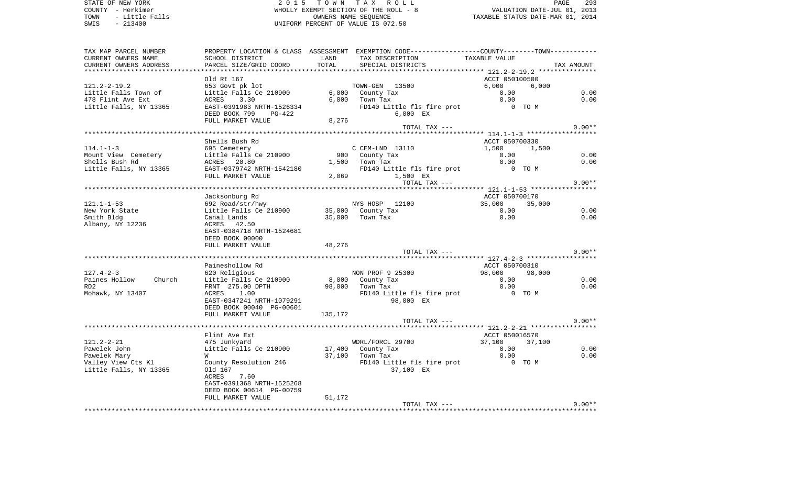STATE OF NEW YORK **EXECUTE:**  $2015$  TOWN TAX ROLL COUNTY - Herkimer<br>
TOWN - Little Falls<br>
SWIS - 213400 - 2013400 - 2013400 - 2013400 - 2013400 - 2013400 - 2013400 - 2014<br>
TORN PERCENT OF VALUE IS 072.50 TOWN - Little Falls OWNERS NAME SEQUENCE TAXABLE STATUS DATE-MAR 01, 2014 SWIS - 213400 UNIFORM PERCENT OF VALUE IS 072.50

| TAX MAP PARCEL NUMBER   |                           |         | PROPERTY LOCATION & CLASS ASSESSMENT EXEMPTION CODE----------------COUNTY-------TOWN- |                  |            |
|-------------------------|---------------------------|---------|---------------------------------------------------------------------------------------|------------------|------------|
| CURRENT OWNERS NAME     | SCHOOL DISTRICT           | LAND    | TAX DESCRIPTION                                                                       | TAXABLE VALUE    |            |
| CURRENT OWNERS ADDRESS  | PARCEL SIZE/GRID COORD    | TOTAL   | SPECIAL DISTRICTS                                                                     |                  | TAX AMOUNT |
|                         |                           |         |                                                                                       |                  |            |
|                         | Old Rt 167                |         |                                                                                       | ACCT 050100500   |            |
| $121.2 - 2 - 19.2$      | 653 Govt pk lot           |         | TOWN-GEN 13500                                                                        | 6,000<br>6,000   |            |
| Little Falls Town of    | Little Falls Ce 210900    |         | 6,000 County Tax                                                                      | 0.00             | 0.00       |
| 478 Flint Ave Ext       | ACRES<br>3.30             |         | $6,000$ Town Tax                                                                      | 0.00             | 0.00       |
| Little Falls, NY 13365  | EAST-0391983 NRTH-1526334 |         | FD140 Little fls fire prot                                                            | $0$ TOM          |            |
|                         | DEED BOOK 799<br>PG-422   |         | 6,000 EX                                                                              |                  |            |
|                         | FULL MARKET VALUE         | 8,276   |                                                                                       |                  |            |
|                         |                           |         | TOTAL TAX ---                                                                         |                  | $0.00**$   |
|                         |                           |         |                                                                                       |                  |            |
|                         | Shells Bush Rd            |         |                                                                                       | ACCT 050700330   |            |
| $114.1 - 1 - 3$         | 695 Cemetery              |         | C CEM-LND 13110                                                                       | 1,500<br>1,500   |            |
| Mount View Cemetery     | Little Falls Ce 210900    |         | 900 County Tax                                                                        | 0.00             | 0.00       |
| Shells Bush Rd          | ACRES 20.80               |         | $1,500$ Town Tax                                                                      | 0.00             | 0.00       |
| Little Falls, NY 13365  | EAST-0379742 NRTH-1542180 |         | FD140 Little fls fire prot 0 TO M                                                     |                  |            |
|                         | FULL MARKET VALUE         | 2,069   | 1,500 EX                                                                              |                  |            |
|                         |                           |         | TOTAL TAX ---                                                                         |                  | $0.00**$   |
|                         |                           |         |                                                                                       |                  |            |
|                         | Jacksonburg Rd            |         |                                                                                       | ACCT 050700170   |            |
| $121.1 - 1 - 53$        | 692 Road/str/hwy          |         | NYS HOSP 12100                                                                        | 35,000<br>35,000 |            |
| New York State          | Little Falls Ce 210900    |         | 35,000 County Tax                                                                     | 0.00             | 0.00       |
| Smith Bldg              | Canal Lands               |         | 35,000 Town Tax                                                                       | 0.00             | 0.00       |
| Albany, NY 12236        | ACRES 42.50               |         |                                                                                       |                  |            |
|                         | EAST-0384718 NRTH-1524681 |         |                                                                                       |                  |            |
|                         | DEED BOOK 00000           |         |                                                                                       |                  |            |
|                         | FULL MARKET VALUE         | 48,276  |                                                                                       |                  |            |
|                         |                           |         | TOTAL TAX ---                                                                         |                  | $0.00**$   |
|                         |                           |         |                                                                                       |                  |            |
|                         | Paineshollow Rd           |         |                                                                                       | ACCT 050700310   |            |
| $127.4 - 2 - 3$         | 620 Religious             |         | NON PROF 9 25300                                                                      | 98,000<br>98,000 |            |
| Paines Hollow<br>Church | Little Falls Ce 210900    |         | 8,000 County Tax                                                                      | 0.00             | 0.00       |
| RD <sub>2</sub>         | FRNT 275.00 DPTH          |         | 98,000 Town Tax                                                                       | 0.00             | 0.00       |
| Mohawk, NY 13407        | ACRES<br>1.00             |         | FD140 Little fls fire prot 0 TO M                                                     |                  |            |
|                         | EAST-0347241 NRTH-1079291 |         | 98,000 EX                                                                             |                  |            |
|                         | DEED BOOK 00040 PG-00601  |         |                                                                                       |                  |            |
|                         | FULL MARKET VALUE         | 135,172 |                                                                                       |                  |            |
|                         |                           |         | TOTAL TAX ---                                                                         |                  | $0.00**$   |
|                         |                           |         |                                                                                       |                  |            |
|                         | Flint Ave Ext             |         |                                                                                       | ACCT 050016570   |            |
| $121.2 - 2 - 21$        | 475 Junkyard              |         | WDRL/FORCL 29700                                                                      | 37,100<br>37,100 |            |
| Pawelek John            | Little Falls Ce 210900    |         | 17,400 County Tax                                                                     | 0.00             | 0.00       |
| Pawelek Mary            | W                         |         | 37,100 Town Tax                                                                       | 0.00             | 0.00       |
| Valley View Cts K1      | County Resolution 246     |         | FD140 Little fls fire prot                                                            | $0$ TOM          |            |
| Little Falls, NY 13365  | Old 167                   |         | 37,100 EX                                                                             |                  |            |
|                         | ACRES<br>7.60             |         |                                                                                       |                  |            |
|                         | EAST-0391368 NRTH-1525268 |         |                                                                                       |                  |            |
|                         | DEED BOOK 00614 PG-00759  |         |                                                                                       |                  |            |
|                         | FULL MARKET VALUE         | 51,172  |                                                                                       |                  |            |
|                         |                           |         | TOTAL TAX ---                                                                         |                  | $0.00**$   |
|                         |                           |         |                                                                                       |                  |            |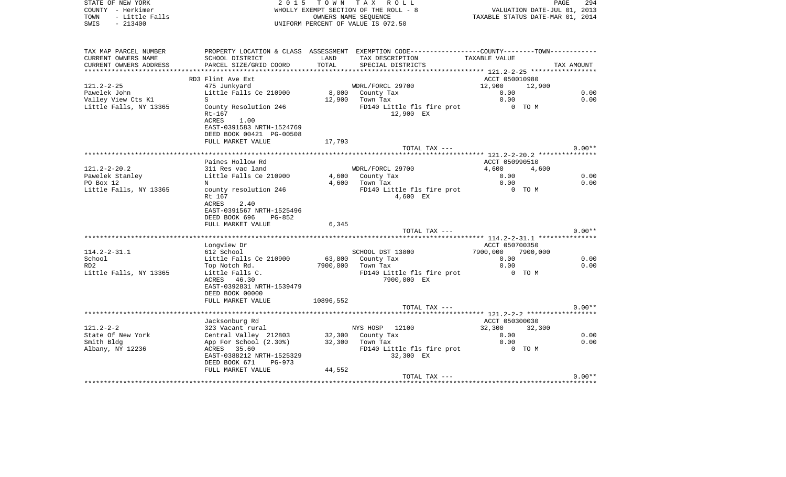| - Little Falls<br>TOWN<br>SWIS<br>$-213400$ |                        |                                 | OWNERS NAME SEQUENCE<br>UNIFORM PERCENT OF VALUE IS 072.50 |                                                                                                 |                |          |            |
|---------------------------------------------|------------------------|---------------------------------|------------------------------------------------------------|-------------------------------------------------------------------------------------------------|----------------|----------|------------|
|                                             |                        |                                 |                                                            |                                                                                                 |                |          |            |
|                                             | TAX MAP PARCEL NUMBER  |                                 |                                                            | PROPERTY LOCATION & CLASS ASSESSMENT EXEMPTION CODE----------------COUNTY--------TOWN---------- |                |          |            |
|                                             | CURRENT OWNERS NAME    | SCHOOL DISTRICT                 | LAND                                                       | TAX DESCRIPTION                                                                                 | TAXABLE VALUE  |          |            |
|                                             | CURRENT OWNERS ADDRESS | PARCEL SIZE/GRID COORD          | TOTAL                                                      | SPECIAL DISTRICTS                                                                               |                |          | TAX AMOUNT |
|                                             |                        | RD3 Flint Ave Ext               |                                                            |                                                                                                 | ACCT 050010980 |          |            |
| 121.2-2-25                                  |                        | 475 Junkyard                    |                                                            | WDRL/FORCL 29700                                                                                | 12,900         | 12,900   |            |
| Pawelek John                                |                        | Little Falls Ce 210900          |                                                            | 8,000 County Tax                                                                                | 0.00           |          | 0.00       |
|                                             | Valley View Cts Kl     | S                               | 12,900                                                     | Town Tax                                                                                        | 0.00           |          | 0.00       |
|                                             | Little Falls, NY 13365 | County Resolution 246           |                                                            | FD140 Little fls fire prot                                                                      |                | 0 TO M   |            |
|                                             |                        | Rt-167                          |                                                            | 12,900 EX                                                                                       |                |          |            |
|                                             |                        | ACRES<br>1.00                   |                                                            |                                                                                                 |                |          |            |
|                                             |                        | EAST-0391583 NRTH-1524769       |                                                            |                                                                                                 |                |          |            |
|                                             |                        | DEED BOOK 00421 PG-00508        |                                                            |                                                                                                 |                |          |            |
|                                             |                        | FULL MARKET VALUE               | 17,793                                                     |                                                                                                 |                |          |            |
|                                             |                        |                                 |                                                            | TOTAL TAX ---                                                                                   |                |          | $0.00**$   |
|                                             |                        |                                 |                                                            |                                                                                                 |                |          |            |
|                                             |                        | Paines Hollow Rd                |                                                            |                                                                                                 | ACCT 050990510 |          |            |
| 121.2-2-20.2                                |                        | 311 Res vac land                |                                                            | WDRL/FORCL 29700                                                                                | 4,600          | 4,600    |            |
| Pawelek Stanley                             |                        | Little Falls Ce 210900          |                                                            | 4,600 County Tax                                                                                | 0.00           |          | 0.00       |
| PO Box 12                                   | Little Falls, NY 13365 | N                               | 4,600                                                      | Town Tax                                                                                        | 0.00<br>0 TO M |          | 0.00       |
|                                             |                        | county resolution 246<br>Rt 167 |                                                            | FD140 Little fls fire prot<br>4,600 EX                                                          |                |          |            |
|                                             |                        | ACRES<br>2.40                   |                                                            |                                                                                                 |                |          |            |
|                                             |                        | EAST-0391567 NRTH-1525496       |                                                            |                                                                                                 |                |          |            |
|                                             |                        | DEED BOOK 696<br>PG-852         |                                                            |                                                                                                 |                |          |            |
|                                             |                        | FULL MARKET VALUE               | 6,345                                                      |                                                                                                 |                |          |            |
|                                             |                        |                                 |                                                            | TOTAL TAX ---                                                                                   |                |          | $0.00**$   |
|                                             |                        |                                 |                                                            |                                                                                                 |                |          |            |
|                                             |                        | Longview Dr                     |                                                            |                                                                                                 | ACCT 050700350 |          |            |
| $114.2 - 2 - 31.1$                          |                        | 612 School                      |                                                            | SCHOOL DST 13800                                                                                | 7900,000       | 7900,000 |            |
| School                                      |                        | Little Falls Ce 210900          | 63,800                                                     | County Tax                                                                                      | 0.00           |          | 0.00       |
| RD2                                         |                        | Top Notch Rd.                   | 7900,000                                                   | Town Tax                                                                                        | 0.00           |          | 0.00       |
|                                             | Little Falls, NY 13365 | Little Falls C.                 |                                                            | FD140 Little fls fire prot                                                                      |                | 0 TO M   |            |
|                                             |                        | ACRES 46.30                     |                                                            | 7900,000 EX                                                                                     |                |          |            |
|                                             |                        | EAST-0392831 NRTH-1539479       |                                                            |                                                                                                 |                |          |            |
|                                             |                        | DEED BOOK 00000                 |                                                            |                                                                                                 |                |          |            |
|                                             |                        | FULL MARKET VALUE               | 10896,552                                                  |                                                                                                 |                |          | $0.00**$   |
|                                             |                        |                                 |                                                            | TOTAL TAX ---                                                                                   |                |          |            |
|                                             |                        | Jacksonburg Rd                  |                                                            |                                                                                                 | ACCT 050300030 |          |            |
| $121.2 - 2 - 2$                             |                        | 323 Vacant rural                |                                                            | NYS HOSP 12100                                                                                  | 32,300         | 32,300   |            |
|                                             | State Of New York      | Central Valley 212803           |                                                            | 32,300 County Tax                                                                               | 0.00           |          | 0.00       |
| Smith Bldg                                  |                        | App For School (2.30%)          | 32,300                                                     | Town Tax                                                                                        | 0.00           |          | 0.00       |
|                                             | Albany, NY 12236       | ACRES 35.60                     |                                                            | FD140 Little fls fire prot                                                                      |                | 0 TO M   |            |
|                                             |                        | EAST-0388212 NRTH-1525329       |                                                            | 32,300 EX                                                                                       |                |          |            |
|                                             |                        | DEED BOOK 671<br>PG-973         |                                                            |                                                                                                 |                |          |            |
|                                             |                        | FULL MARKET VALUE               | 44,552                                                     |                                                                                                 |                |          |            |
|                                             |                        |                                 |                                                            | TOTAL TAX ---                                                                                   |                |          | $0.00**$   |
|                                             |                        |                                 |                                                            |                                                                                                 |                |          |            |

STATE OF NEW YORK **2015 TOWN TAX ROLL** 

COUNTY - Herkimer **WHOLLY EXEMPT SECTION OF THE ROLL** - 8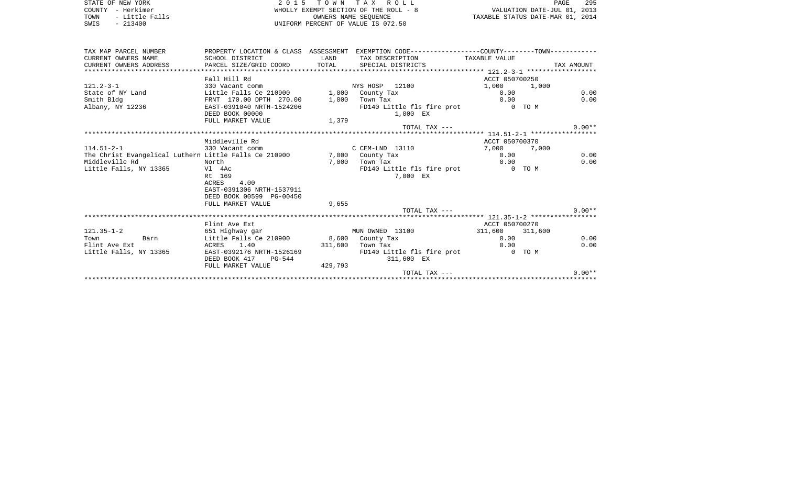STATE OF NEW YORK **EXECUTE:**  $2015$  TOWN TAX ROLL COUNTY - Herkimer<br>
TOWN - Little Falls<br>
SWIS - 213400 - 2013400 - 2013400 - 2013400 - 2013400 - 2013400 - 2013400 - 2014<br>
TORN PERCENT OF VALUE IS 072.50 UNIFORM PERCENT OF VALUE IS 072.50

PAGE 295 TO A TO A THE ROLL - 8<br>EMPT SECTION OF THE ROLL - 8 TAXABLE STATUS DATE-JUL 01, 2013<br>OWNERS NAME SEQUENCE TAXABLE STATUS DATE-MAR 01, 2014

| TAX MAP PARCEL NUMBER                                 |                                         |         | PROPERTY LOCATION & CLASS ASSESSMENT EXEMPTION CODE---------------COUNTY-------TOWN---------- |                |            |
|-------------------------------------------------------|-----------------------------------------|---------|-----------------------------------------------------------------------------------------------|----------------|------------|
| CURRENT OWNERS NAME                                   | SCHOOL DISTRICT                         | LAND    | TAX DESCRIPTION                                                                               | TAXABLE VALUE  |            |
| CURRENT OWNERS ADDRESS                                | PARCEL SIZE/GRID COORD                  | TOTAL   | SPECIAL DISTRICTS                                                                             |                | TAX AMOUNT |
|                                                       |                                         |         |                                                                                               |                |            |
|                                                       | Fall Hill Rd                            |         |                                                                                               | ACCT 050700250 |            |
| $121.2 - 3 - 1$                                       | 330 Vacant comm                         |         | NYS HOSP 12100                                                                                | 1,000          | 1,000      |
| State of NY Land                                      | Little Falls Ce 210900                  |         | 1,000 County Tax                                                                              | 0.00           | 0.00       |
| Smith Bldg                                            | FRNT 170.00 DPTH 270.00                 | 1,000   | Town Tax                                                                                      | 0.00           | 0.00       |
| Albany, NY 12236                                      | EAST-0391040 NRTH-1524206               |         | FD140 Little fls fire prot                                                                    |                | $0$ TO M   |
|                                                       | DEED BOOK 00000                         |         | 1,000 EX                                                                                      |                |            |
|                                                       | FULL MARKET VALUE                       | 1,379   |                                                                                               |                |            |
|                                                       |                                         |         | TOTAL TAX ---                                                                                 |                | $0.00**$   |
|                                                       |                                         |         |                                                                                               |                |            |
|                                                       | Middleville Rd                          |         |                                                                                               | ACCT 050700370 |            |
| $114.51 - 2 - 1$                                      | 330 Vacant comm                         |         | C CEM-LND 13110                                                                               | 7,000          | 7,000      |
| The Christ Evangelical Luthern Little Falls Ce 210900 |                                         |         | 7,000 County Tax                                                                              | 0.00           | 0.00       |
| Middleville Rd                                        | North                                   | 7,000   | Town Tax                                                                                      | 0.00           | 0.00       |
| Little Falls, NY 13365                                | Vl 4Ac                                  |         | FD140 Little fls fire prot                                                                    |                | 0 TO M     |
|                                                       | Rt 169                                  |         | 7,000 EX                                                                                      |                |            |
|                                                       | ACRES<br>4.00                           |         |                                                                                               |                |            |
|                                                       | EAST-0391306 NRTH-1537911               |         |                                                                                               |                |            |
|                                                       | DEED BOOK 00599 PG-00450                |         |                                                                                               |                |            |
|                                                       | FULL MARKET VALUE                       | 9,655   |                                                                                               |                |            |
|                                                       |                                         |         | TOTAL TAX ---                                                                                 |                | $0.00**$   |
|                                                       |                                         |         |                                                                                               |                |            |
|                                                       | Flint Ave Ext                           |         |                                                                                               | ACCT 050700270 |            |
| $121.35 - 1 - 2$                                      | 651 Highway gar                         |         | MUN OWNED 13100                                                                               | 311,600        | 311,600    |
| Town<br>Barn                                          | Little Falls Ce 210900 8,600 County Tax |         |                                                                                               | 0.00           | 0.00       |
| Flint Ave Ext                                         | ACRES 1.40                              | 311,600 | Town Tax                                                                                      | 0.00           | 0.00       |
| Little Falls, NY 13365                                | EAST-0392176 NRTH-1526169               |         | FD140 Little fls fire prot                                                                    |                | 0 TO M     |
|                                                       | DEED BOOK 417<br>$PG-544$               |         | 311,600 EX                                                                                    |                |            |
|                                                       |                                         |         |                                                                                               |                |            |
|                                                       | FULL MARKET VALUE                       | 429,793 | TOTAL TAX ---                                                                                 |                | $0.00**$   |
|                                                       |                                         |         |                                                                                               |                |            |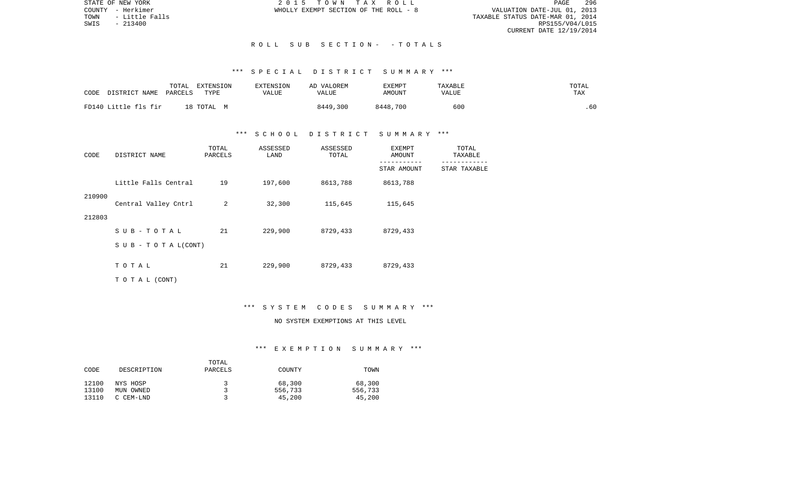STATE OF NEW YORK 2 0 1 5 T O W N T A X R O L L PAGE 296VALUATION DATE-JUL 01, 2013 TOWN - Little Falls TAXABLE STATUS DATE-MAR 01, 2014 RPS155/V04/L015 CURRENT DATE 12/19/2014

COUNTY - Herkimer WHOLLY EXEMPT SECTION OF THE ROLL - 8

#### R O L L S U B S E C T I O N - - T O T A L S

## \*\*\* S P E C I A L D I S T R I C T S U M M A R Y \*\*\*

| CODE | DISTRICT NAME        | TOTAL<br>PARCELS | <b>EXTENSION</b><br>TYPE | <b>EXTENSION</b><br>VALUE | VALOREM<br>AD.<br>VALUE | EXEMPT<br>AMOUNT | TAXABLE<br>VALUE | TOTAL<br>TAX |
|------|----------------------|------------------|--------------------------|---------------------------|-------------------------|------------------|------------------|--------------|
|      | FD140 Little fls fir |                  | 18 ТОТАL М               |                           | 8449,300                | 8448,700         | 600              | .60          |

#### \*\*\* S C H O O L D I S T R I C T S U M M A R Y \*\*\*

| CODE   | DISTRICT NAME             | TOTAL<br>PARCELS | ASSESSED<br>LAND | ASSESSED<br>TOTAL | EXEMPT<br>AMOUNT | TOTAL<br>TAXABLE |  |
|--------|---------------------------|------------------|------------------|-------------------|------------------|------------------|--|
|        |                           |                  |                  |                   | STAR AMOUNT      | STAR TAXABLE     |  |
|        | Little Falls Central      | 19               | 197,600          | 8613,788          | 8613,788         |                  |  |
| 210900 | Central Valley Cntrl      | 2                | 32,300           | 115,645           | 115,645          |                  |  |
| 212803 |                           |                  |                  |                   |                  |                  |  |
|        | SUB-TOTAL                 | 21               | 229,900          | 8729,433          | 8729,433         |                  |  |
|        | S U B - T O T A $L(CONT)$ |                  |                  |                   |                  |                  |  |
|        | TOTAL                     | 21               | 229,900          | 8729,433          | 8729,433         |                  |  |
|        | T O T A L (CONT)          |                  |                  |                   |                  |                  |  |

#### \*\*\* S Y S T E M C O D E S S U M M A R Y \*\*\*

## NO SYSTEM EXEMPTIONS AT THIS LEVEL

### \*\*\* E X E M P T I O N S U M M A R Y \*\*\*

|       |             | TOTAL   |         |         |
|-------|-------------|---------|---------|---------|
| CODE  | DESCRIPTION | PARCELS | COUNTY  | TOWN    |
|       |             |         |         |         |
| 12100 | NYS HOSP    | 2       | 68,300  | 68,300  |
| 13100 | MUN OWNED   |         | 556,733 | 556,733 |
| 13110 | C CEM-LND   |         | 45,200  | 45,200  |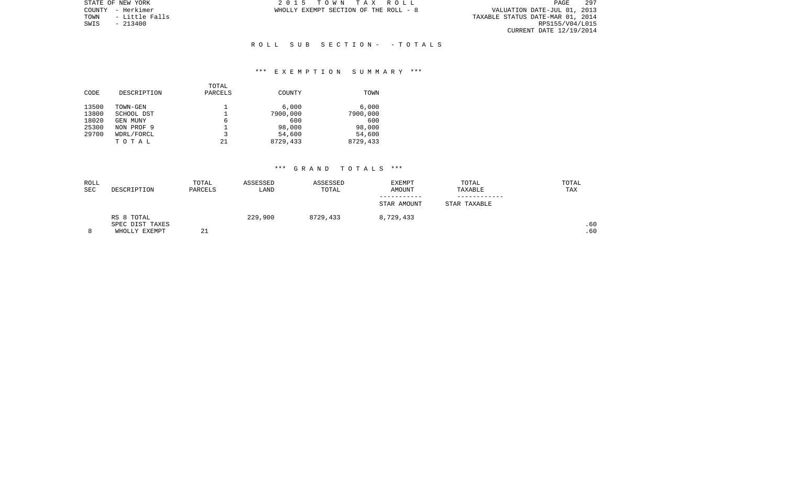PAGE 297 VALUATION DATE-JUL 01, 2013<br>TAXABLE STATUS DATE-MAR 01, 2014<br>RPS155/V04/L015 CURRENT DATE 12/19/2014

STATE OF NEW YORK **2015 TOWN TAX ROLL** COUNTY - Herkimer WHOLLY EXEMPT SECTION OF THE ROLL - 8

TOWN - Little Falls<br>SWIS - 213400

## R O L L S U B S E C T I O N - - T O T A L S

## \*\*\* E X E M P T I O N S U M M A R Y \*\*\*

|       |             | TOTAL   |          |          |
|-------|-------------|---------|----------|----------|
| CODE  | DESCRIPTION | PARCELS | COUNTY   | TOWN     |
| 13500 | TOWN-GEN    |         | 6.000    | 6.000    |
| 13800 | SCHOOL DST  |         | 7900,000 | 7900,000 |
| 18020 | GEN MUNY    | 6       | 600      | 600      |
| 25300 | NON PROF 9  |         | 98,000   | 98,000   |
| 29700 | WDRL/FORCL  |         | 54,600   | 54,600   |
|       | TOTAL       | 21      | 8729,433 | 8729,433 |
|       |             |         |          |          |

| ROLL       |                 | TOTAL   | ASSESSED | ASSESSED | EXEMPT      | TOTAL        | TOTAL |
|------------|-----------------|---------|----------|----------|-------------|--------------|-------|
| <b>SEC</b> | DESCRIPTION     | PARCELS | LAND     | TOTAL    | AMOUNT      | TAXABLE      | TAX   |
|            |                 |         |          |          |             |              |       |
|            |                 |         |          |          | STAR AMOUNT | STAR TAXABLE |       |
|            | RS 8 TOTAL      |         | 229,900  | 8729,433 | 8,729,433   |              |       |
|            | SPEC DIST TAXES |         |          |          |             |              | .60   |
| 8          | WHOLLY EXEMPT   | 21      |          |          |             |              | .60   |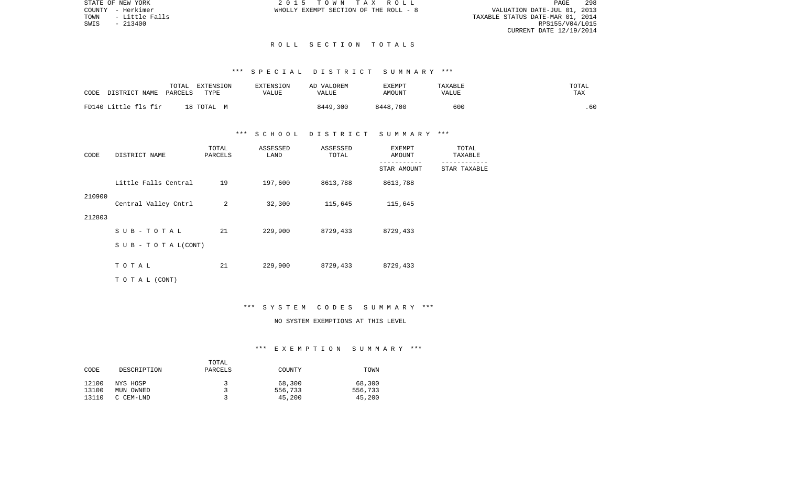STATE OF NEW YORK 2 0 1 5 T O W N T A X R O L L PAGE 298VALUATION DATE-JUL 01, 2013 TOWN - Little Falls TAXABLE STATUS DATE-MAR 01, 2014 RPS155/V04/L015 CURRENT DATE 12/19/2014

COUNTY - Herkimer WHOLLY EXEMPT SECTION OF THE ROLL - 8

#### R O L L S E C T I O N T O T A L S

## \*\*\* S P E C I A L D I S T R I C T S U M M A R Y \*\*\*

| CODE                 | TOTAL   | EXTENSION  | EXTENSION | AD VALOREM | EXEMPT   | <b>TAXABLE</b> | TOTAL |
|----------------------|---------|------------|-----------|------------|----------|----------------|-------|
| DISTRICT NAME        | PARCELS | TYPF.      | VALUE     | VALUE      | AMOUNT   | VALUE          | TAX   |
| FD140 Little fls fir |         | 18 ТОТАL М |           | 8449,300   | 8448,700 | 600            | .60   |

## \*\*\* S C H O O L D I S T R I C T S U M M A R Y \*\*\*

| CODE   | DISTRICT NAME              | TOTAL<br>PARCELS | ASSESSED<br>LAND | ASSESSED<br>TOTAL | EXEMPT<br>AMOUNT | TOTAL<br>TAXABLE |
|--------|----------------------------|------------------|------------------|-------------------|------------------|------------------|
|        |                            |                  |                  |                   | STAR AMOUNT      | STAR TAXABLE     |
|        | Little Falls Central       | 19               | 197,600          | 8613,788          | 8613,788         |                  |
| 210900 | Central Valley Cntrl       | 2                | 32,300           | 115,645           | 115,645          |                  |
| 212803 |                            |                  |                  |                   |                  |                  |
|        | $SUB - TO T AL$            | 21               | 229,900          | 8729,433          | 8729,433         |                  |
|        | S U B - T O T A $L$ (CONT) |                  |                  |                   |                  |                  |
|        | TOTAL                      | 21               | 229,900          | 8729,433          | 8729,433         |                  |
|        | TO TAL (CONT)              |                  |                  |                   |                  |                  |

#### \*\*\* S Y S T E M C O D E S S U M M A R Y \*\*\*

## NO SYSTEM EXEMPTIONS AT THIS LEVEL

### \*\*\* E X E M P T I O N S U M M A R Y \*\*\*

|       |             | TOTAL   |         |         |
|-------|-------------|---------|---------|---------|
| CODE  | DESCRIPTION | PARCELS | COUNTY  | TOWN    |
| 12100 | NYS HOSP    | 2       | 68,300  | 68,300  |
| 13100 | MUN OWNED   |         | 556,733 | 556,733 |
| 13110 | C CEM-LND   |         | 45,200  | 45,200  |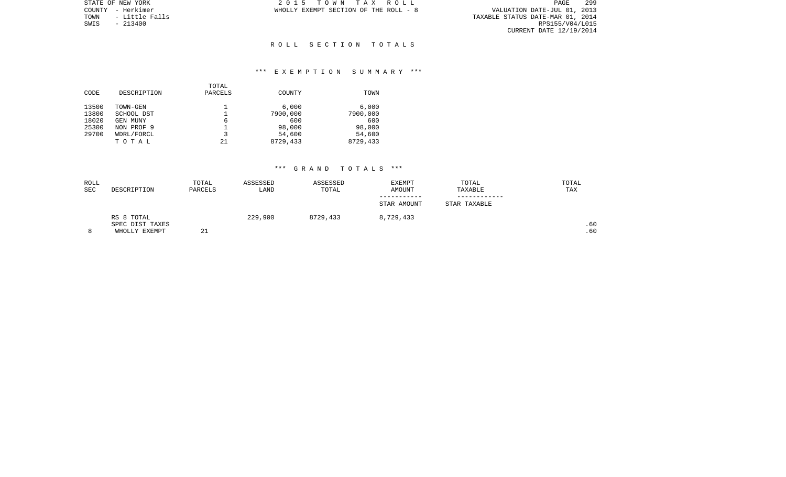PAGE 299 VALUATION DATE-JUL 01, 2013<br>TAXABLE STATUS DATE-MAR 01, 2014<br>RPS155/V04/L015 CURRENT DATE 12/19/2014

STATE OF NEW YORK **2015 TOWN TAX ROLL** COUNTY - Herkimer **WHOLLY EXEMPT SECTION OF THE ROLL** - 8

TOWN - Little Falls<br>SWIS - 213400

### R O L L S E C T I O N T O T A L S

## \*\*\* E X E M P T I O N S U M M A R Y \*\*\*

|       |             | TOTAL   |          |          |
|-------|-------------|---------|----------|----------|
| CODE  | DESCRIPTION | PARCELS | COUNTY   | TOWN     |
| 13500 | TOWN-GEN    |         | 6,000    | 6.000    |
| 13800 | SCHOOL DST  |         | 7900,000 | 7900,000 |
| 18020 | GEN MUNY    | 6       | 600      | 600      |
| 25300 | NON PROF 9  |         | 98,000   | 98,000   |
| 29700 | WDRL/FORCL  | 3       | 54,600   | 54,600   |
|       | тотаь       | 21      | 8729,433 | 8729,433 |

| ROLL |                 | TOTAL   | ASSESSED | ASSESSED | <b>EXEMPT</b> | TOTAL        | TOTAL |
|------|-----------------|---------|----------|----------|---------------|--------------|-------|
| SEC  | DESCRIPTION     | PARCELS | LAND     | TOTAL    | AMOUNT        | TAXABLE      | TAX   |
|      |                 |         |          |          |               |              |       |
|      |                 |         |          |          | STAR AMOUNT   | STAR TAXABLE |       |
|      | RS 8 TOTAL      |         | 229,900  | 8729,433 | 8,729,433     |              |       |
|      | SPEC DIST TAXES |         |          |          |               |              | .60   |
| 8    | WHOLLY EXEMPT   | 21      |          |          |               |              | .60   |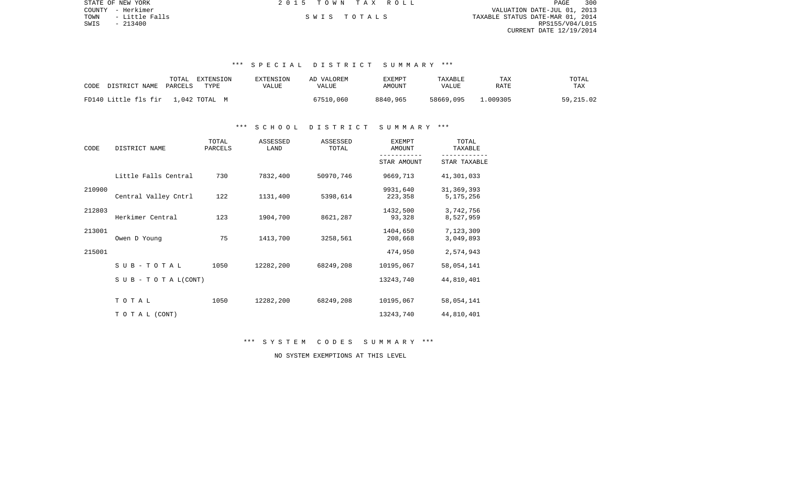|      | STATE OF NEW YORK | 2015 TOWN TAX ROLL | 300<br>PAGE                      |
|------|-------------------|--------------------|----------------------------------|
|      | COUNTY - Herkimer |                    | VALUATION DATE-JUL 01, 2013      |
| TOWN | - Little Falls    | SWIS TOTALS        | TAXABLE STATUS DATE-MAR 01, 2014 |
| SWIS | $-213400$         |                    | RPS155/V04/L015                  |
|      |                   |                    | CURRENT DATE 12/19/2014          |
|      |                   |                    |                                  |

# \*\*\* S P E C I A L D I S T R I C T S U M M A R Y \*\*\*

| CODE                               | TOTAL   | EXTENSION | <b>EXTENSION</b> | AD VALOREM | EXEMPT   | TAXABLE   | TAX     | TOTAL     |
|------------------------------------|---------|-----------|------------------|------------|----------|-----------|---------|-----------|
| DISTRICT NAME                      | PARCELS | TYPE      | VALUE            | VALUE      | AMOUNT   | VALUE     | RATE    | TAX       |
| FD140 Little fls fir 1,042 TOTAL M |         |           |                  | 67510,060  | 8840.965 | 58669,095 | .009305 | 59,215.02 |

### \*\*\* S C H O O L D I S T R I C T S U M M A R Y \*\*\*

| CODE   | DISTRICT NAME                    | TOTAL<br>PARCELS | ASSESSED<br>LAND | ASSESSED<br>TOTAL | <b>EXEMPT</b><br>AMOUNT | TOTAL<br>TAXABLE            |  |
|--------|----------------------------------|------------------|------------------|-------------------|-------------------------|-----------------------------|--|
|        |                                  |                  |                  |                   | STAR AMOUNT             | STAR TAXABLE                |  |
|        | Little Falls Central             | 730              | 7832,400         | 50970,746         | 9669,713                | 41,301,033                  |  |
| 210900 | Central Valley Cntrl             | 122              | 1131,400         | 5398,614          | 9931,640<br>223,358     | 31, 369, 393<br>5, 175, 256 |  |
| 212803 | Herkimer Central                 | 123              | 1904,700         | 8621,287          | 1432,500<br>93,328      | 3,742,756<br>8,527,959      |  |
| 213001 | Owen D Young                     | 75               | 1413,700         | 3258,561          | 1404,650<br>208,668     | 7,123,309<br>3,049,893      |  |
| 215001 |                                  |                  |                  |                   | 474,950                 | 2,574,943                   |  |
|        | SUB-TOTAL                        | 1050             | 12282,200        | 68249,208         | 10195,067               | 58,054,141                  |  |
|        | $S \cup B - T \cup T A L (CONT)$ |                  |                  |                   | 13243,740               | 44,810,401                  |  |
|        | TOTAL                            | 1050             | 12282,200        | 68249,208         | 10195,067               | 58,054,141                  |  |
|        | TO TAL (CONT)                    |                  |                  |                   | 13243,740               | 44,810,401                  |  |

\*\*\* S Y S T E M C O D E S S U M M A R Y \*\*\*

NO SYSTEM EXEMPTIONS AT THIS LEVEL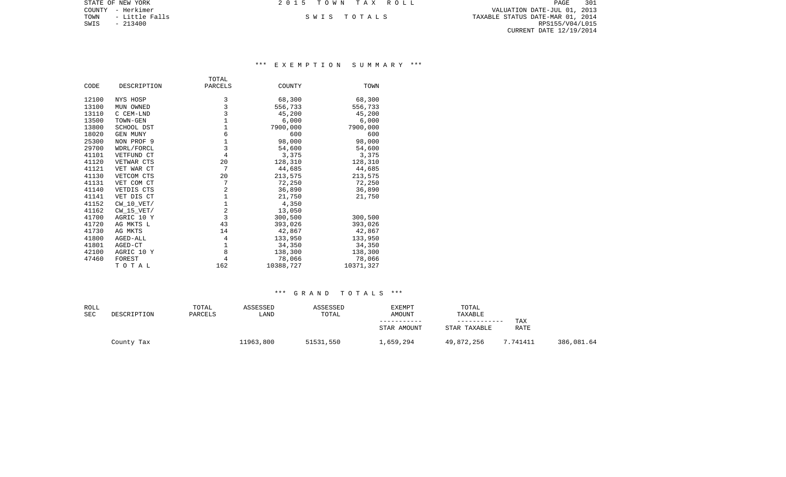COUNTY - Herkimer VALUATION DATE-JUL 01, 2013 TOWN - Little Falls S W I S T O T A L S TAXABLE STATUS DATE-MAR 01, 2014 SWIS - 213400 RPS155/V04/L015 CURRENT DATE 12/19/2014

STATE OF NEW YORK **2015 TOWN TAX ROLL** 

## \*\*\* E X E M P T I O N S U M M A R Y \*\*\*

|       |                 | TOTAL          |           |           |
|-------|-----------------|----------------|-----------|-----------|
| CODE  | DESCRIPTION     | PARCELS        | COUNTY    | TOWN      |
|       |                 |                |           |           |
| 12100 | NYS HOSP        | 3              | 68,300    | 68,300    |
| 13100 | MUN OWNED       | 3              | 556,733   | 556,733   |
| 13110 | C CEM-LND       | 3              | 45,200    | 45,200    |
| 13500 | TOWN-GEN        | $1\,$          | 6,000     | 6,000     |
| 13800 | SCHOOL DST      | $\mathbf 1$    | 7900,000  | 7900,000  |
| 18020 | <b>GEN MUNY</b> | 6              | 600       | 600       |
| 25300 | NON PROF 9      | $\mathbf 1$    | 98,000    | 98,000    |
| 29700 | WDRL/FORCL      | 3              | 54,600    | 54,600    |
| 41101 | VETFUND CT      | $\overline{4}$ | 3,375     | 3,375     |
| 41120 | VETWAR CTS      | 20             | 128,310   | 128,310   |
| 41121 | VET WAR CT      | 7              | 44,685    | 44,685    |
| 41130 | VETCOM CTS      | 20             | 213,575   | 213,575   |
| 41131 | VET COM CT      | 7              | 72,250    | 72,250    |
| 41140 | VETDIS CTS      | $\overline{2}$ | 36,890    | 36,890    |
| 41141 | VET DIS CT      | $\mathbf 1$    | 21,750    | 21,750    |
| 41152 | $CW_10_VET/$    | $\mathbf 1$    | 4,350     |           |
| 41162 | $CW_15_VET/$    | $\overline{c}$ | 13,050    |           |
| 41700 | AGRIC 10 Y      | 3              | 300,500   | 300,500   |
| 41720 | AG MKTS L       | 43             | 393,026   | 393,026   |
| 41730 | AG MKTS         | 14             | 42,867    | 42,867    |
| 41800 | AGED-ALL        | 4              | 133,950   | 133,950   |
| 41801 | AGED-CT         | 1              | 34,350    | 34,350    |
| 42100 | AGRIC 10 Y      | 8              | 138,300   | 138,300   |
| 47460 | FOREST          | 4              | 78,066    | 78,066    |
|       | TOTAL           | 162            | 10388,727 | 10371,327 |

| ROLL<br>SEC | DESCRIPTION | TOTAL<br>PARCELS | ASSESSED<br>LAND | ASSESSED<br>TOTAL | <b>EXEMPT</b><br>AMOUNT | TOTAL<br>TAXABLE |                           |            |
|-------------|-------------|------------------|------------------|-------------------|-------------------------|------------------|---------------------------|------------|
|             |             |                  |                  |                   | STAR AMOUNT             | STAR TAXABLE     | <b>TAX</b><br><b>RATE</b> |            |
|             | County Tax  |                  | 11963,800        | 51531,550         | 1,659,294               | 49,872,256       | 7.741411                  | 386,081.64 |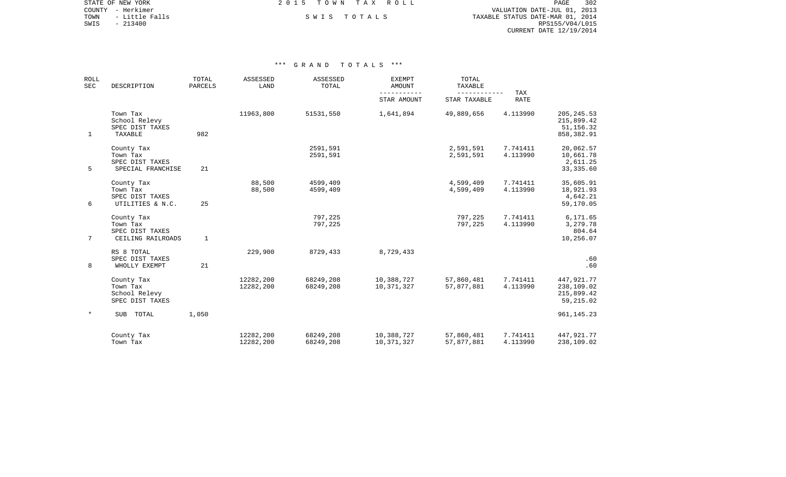COUNTY - Herkimer VALUATION DATE-JUL 01, 2013 TOWN - Little Falls S W I S T O T A L S TAXABLE STATUS DATE-MAR 01, 2014 EXAMPLE SWIS - 213400<br>SWIS - 213400<br>SWIS - 213400<br>SWIS - 213400<br>RPS155/V04/L015 CURRENT DATE 12/19/2014

STATE OF NEW YORK **EXECUTE:**  $2015$  TOWN TAX ROLL

| <b>ROLL</b><br>SEC<br>DESCRIPTION |                                                                | TOTAL<br>PARCELS | ASSESSED<br>LAND       | ASSESSED<br>TOTAL      | <b>EXEMPT</b><br><b>AMOUNT</b> | TOTAL<br>TAXABLE         | TAX                  |                                                        |
|-----------------------------------|----------------------------------------------------------------|------------------|------------------------|------------------------|--------------------------------|--------------------------|----------------------|--------------------------------------------------------|
|                                   |                                                                |                  |                        |                        | STAR AMOUNT                    | STAR TAXABLE             | <b>RATE</b>          |                                                        |
| 1                                 | Town Tax<br>School Relevy<br>SPEC DIST TAXES<br>TAXABLE        | 982              | 11963,800              | 51531,550              | 1,641,894                      | 49,889,656               | 4.113990             | 205, 245.53<br>215,899.42<br>51, 156.32<br>858, 382.91 |
| 5                                 | County Tax<br>Town Tax<br>SPEC DIST TAXES<br>SPECIAL FRANCHISE | 21               |                        | 2591,591<br>2591,591   |                                | 2,591,591<br>2,591,591   | 7.741411<br>4.113990 | 20,062.57<br>10,661.78<br>2,611.25<br>33, 335.60       |
| 6                                 | County Tax<br>Town Tax<br>SPEC DIST TAXES<br>UTILITIES & N.C.  | 25               | 88,500<br>88,500       | 4599,409<br>4599,409   |                                | 4,599,409<br>4,599,409   | 7.741411<br>4.113990 | 35,605.91<br>18,921.93<br>4,642.21<br>59,170.05        |
| $7\overline{ }$                   | County Tax<br>Town Tax<br>SPEC DIST TAXES<br>CEILING RAILROADS | $\mathbf{1}$     |                        | 797,225<br>797,225     |                                | 797,225<br>797,225       | 7.741411<br>4.113990 | 6,171.65<br>3,279.78<br>804.64<br>10,256.07            |
| 8                                 | RS 8 TOTAL<br>SPEC DIST TAXES<br>WHOLLY EXEMPT                 | 21               | 229,900                | 8729,433               | 8,729,433                      |                          |                      | .60<br>.60                                             |
|                                   | County Tax<br>Town Tax<br>School Relevy<br>SPEC DIST TAXES     |                  | 12282,200<br>12282,200 | 68249,208<br>68249,208 | 10,388,727<br>10,371,327       | 57,860,481<br>57,877,881 | 7.741411<br>4.113990 | 447, 921. 77<br>238,109.02<br>215,899.42<br>59,215.02  |
| $\star$                           | SUB<br>TOTAL                                                   | 1,050            |                        |                        |                                |                          |                      | 961, 145.23                                            |
|                                   | County Tax<br>Town Tax                                         |                  | 12282,200<br>12282,200 | 68249,208<br>68249,208 | 10,388,727<br>10,371,327       | 57,860,481<br>57,877,881 | 7.741411<br>4.113990 | 447, 921. 77<br>238,109.02                             |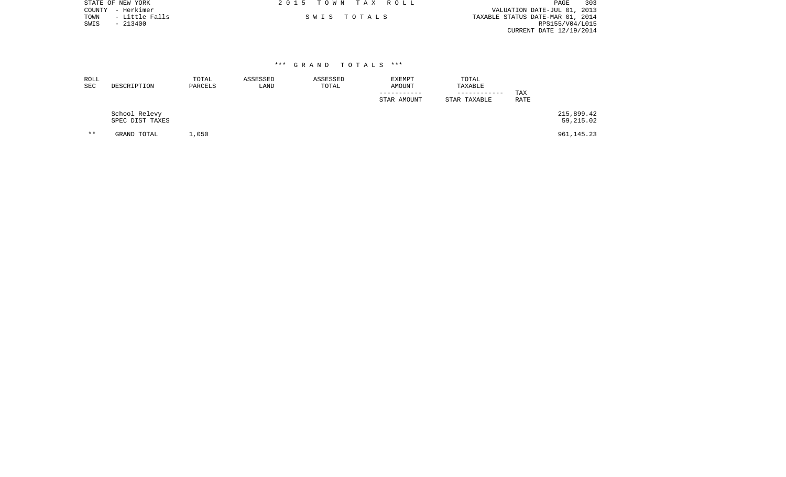| STATE OF NEW YORK<br>- Herkimer<br>COUNTY<br>- Little Falls<br>TOWN<br>SWIS<br>$-213400$ |                  |                         | T A X<br>2 0 1 5<br>T O W N<br>TOTAL S<br>S W I S | R O L L                        |                                  | 303<br>PAGE<br>VALUATION DATE-JUL 01, 2013<br>TAXABLE STATUS DATE-MAR 01, 2014<br>RPS155/V04/L015<br>CURRENT DATE 12/19/2014 |
|------------------------------------------------------------------------------------------|------------------|-------------------------|---------------------------------------------------|--------------------------------|----------------------------------|------------------------------------------------------------------------------------------------------------------------------|
| ROLL<br>SEC<br>DESCRIPTION                                                               | TOTAL<br>PARCELS | ***<br>ASSESSED<br>LAND | GRAND TOTALS ***<br>ASSESSED<br>TOTAL             | EXEMPT<br>AMOUNT<br>---------- | TOTAL<br>TAXABLE<br>------------ | <b>TAX</b>                                                                                                                   |

 School Relevy 215,899.42 SPEC DIST TAXES 59,215.02 \*\* GRAND TOTAL 1,050 961,145.23

 ----------- ------------ TAX STAR AMOUNT STAR TAXABLE

RATE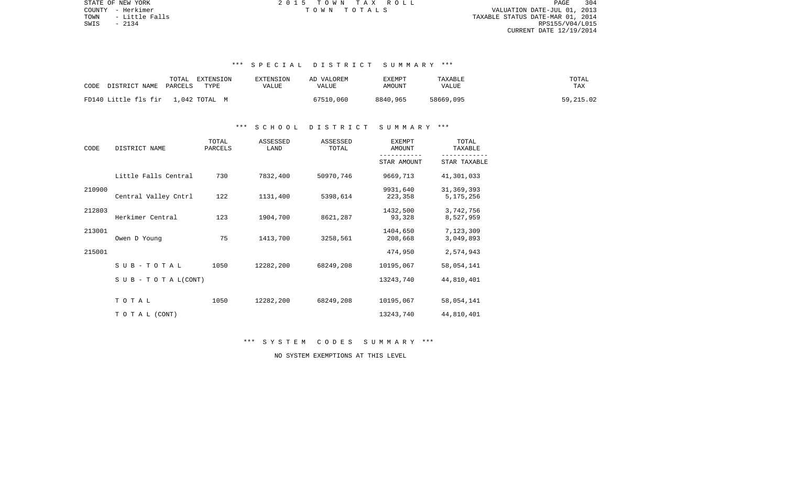PAGE 304 COUNTY - Herkimer T O W N T O T A L S VALUATION DATE-JUL 01, 2013 TOWN - Little Falls TAXABLE STATUS DATE-MAR 01, 2014 RPS155/V04/L015 CURRENT DATE 12/19/2014

STATE OF NEW YORK **2015 TOWN TAX ROLL** 

# \*\*\* S P E C I A L D I S T R I C T S U M M A R Y \*\*\*

| DISTRICT NAME                      | TOTAL   | EXTENSION | <b>EXTENSION</b> | AD VALOREM | EXEMPT   | TAXABLE   | TOTAL     |
|------------------------------------|---------|-----------|------------------|------------|----------|-----------|-----------|
| CODE                               | PARCELS | TYPE      | VALUE            | VALUE      | AMOUNT   | VALUE     | TAX       |
| FD140 Little fls fir 1,042 TOTAL M |         |           |                  | 67510,060  | 8840,965 | 58669,095 | 59,215.02 |

### \*\*\* S C H O O L D I S T R I C T S U M M A R Y \*\*\*

| CODE   | DISTRICT NAME                    | TOTAL<br>PARCELS | ASSESSED<br>LAND | ASSESSED<br>TOTAL | <b>EXEMPT</b><br>AMOUNT | TOTAL<br>TAXABLE          |  |
|--------|----------------------------------|------------------|------------------|-------------------|-------------------------|---------------------------|--|
|        |                                  |                  |                  |                   | STAR AMOUNT             | STAR TAXABLE              |  |
|        | Little Falls Central             | 730              | 7832,400         | 50970,746         | 9669,713                | 41,301,033                |  |
| 210900 | Central Valley Cntrl             | 122              | 1131,400         | 5398,614          | 9931,640<br>223,358     | 31, 369, 393<br>5,175,256 |  |
| 212803 | Herkimer Central                 | 123              | 1904,700         | 8621,287          | 1432,500<br>93,328      | 3,742,756<br>8,527,959    |  |
| 213001 | Owen D Young                     | 75               | 1413,700         | 3258,561          | 1404,650<br>208,668     | 7,123,309<br>3,049,893    |  |
| 215001 |                                  |                  |                  |                   | 474,950                 | 2,574,943                 |  |
|        | $SUB - TO T AL$                  | 1050             | 12282,200        | 68249,208         | 10195,067               | 58,054,141                |  |
|        | $S \cup B - T \cup T A L (CONT)$ |                  |                  |                   | 13243,740               | 44,810,401                |  |
|        | TOTAL                            | 1050             | 12282,200        | 68249,208         | 10195,067               | 58,054,141                |  |
|        | TO TAL (CONT)                    |                  |                  |                   | 13243,740               | 44,810,401                |  |

\*\*\* S Y S T E M C O D E S S U M M A R Y \*\*\*

NO SYSTEM EXEMPTIONS AT THIS LEVEL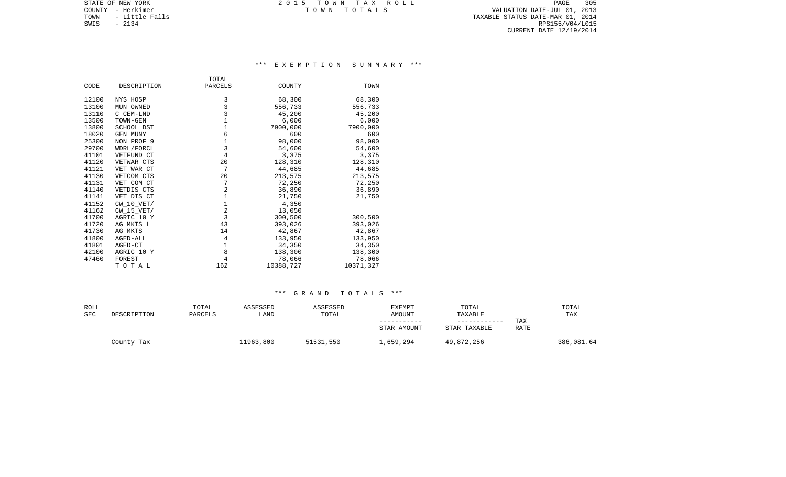STATE OF NEW YORK **EXECUTE:** TOWN TAX ROLL COUNTY - Herkimer T O W N T O T A L S VALUATION DATE-JUL 01, 2013

TOWN - Little Falls TAXABLE STATUS DATE-MAR 01, 2014 SWIS - Little Falls<br>SWIS - 2134 RPS155/V04/L015<br>SWIS - 2134 RPS155/V04/L015 CURRENT DATE 12/19/2014

## \*\*\* E X E M P T I O N S U M M A R Y \*\*\*

|       |                 | TOTAL          |           |           |
|-------|-----------------|----------------|-----------|-----------|
| CODE  | DESCRIPTION     | PARCELS        | COUNTY    | TOWN      |
| 12100 | NYS HOSP        | 3              | 68,300    | 68,300    |
| 13100 | MUN OWNED       | 3              | 556,733   | 556,733   |
| 13110 | C CEM-LND       | 3              | 45,200    | 45,200    |
| 13500 | TOWN-GEN        | $\mathbf 1$    | 6,000     | 6,000     |
| 13800 | SCHOOL DST      | $\mathbf{1}$   | 7900,000  | 7900,000  |
| 18020 | <b>GEN MUNY</b> | 6              | 600       | 600       |
| 25300 | NON PROF 9      | $1\,$          | 98,000    | 98,000    |
| 29700 | WDRL/FORCL      | 3              | 54,600    | 54,600    |
| 41101 | VETFUND CT      | $\overline{4}$ | 3,375     | 3,375     |
| 41120 | VETWAR CTS      | 20             | 128,310   | 128,310   |
| 41121 | VET WAR CT      | 7              | 44,685    | 44,685    |
| 41130 | VETCOM CTS      | 20             | 213,575   | 213,575   |
| 41131 | VET COM CT      | 7              | 72,250    | 72,250    |
| 41140 | VETDIS CTS      | 2              | 36,890    | 36,890    |
| 41141 | VET DIS CT      | $\mathbf 1$    | 21,750    | 21,750    |
| 41152 | CW 10 VET/      | $\mathbf{1}$   | 4,350     |           |
| 41162 | CW 15 VET/      | 2              | 13,050    |           |
| 41700 | AGRIC 10 Y      | 3              | 300,500   | 300,500   |
| 41720 | AG MKTS L       | 43             | 393,026   | 393,026   |
| 41730 | AG MKTS         | 14             | 42,867    | 42,867    |
| 41800 | AGED-ALL        | 4              | 133,950   | 133,950   |
| 41801 | AGED-CT         | $\mathbf{1}$   | 34,350    | 34,350    |
| 42100 | AGRIC 10 Y      | 8              | 138,300   | 138,300   |
| 47460 | FOREST          | 4              | 78,066    | 78,066    |
|       | TOTAL           | 162            | 10388,727 | 10371,327 |

| ROLL<br><b>SEC</b> | DESCRIPTION | TOTAL<br>PARCELS | ASSESSED<br>LAND | ASSESSED<br>TOTAL | EXEMPT<br>AMOUNT | TOTAL<br>TAXABLE<br>------------ | TAX  | TOTAL<br>TAX |
|--------------------|-------------|------------------|------------------|-------------------|------------------|----------------------------------|------|--------------|
|                    |             |                  |                  |                   | STAR AMOUNT      | STAR TAXABLE                     | RATE |              |
|                    | County Tax  |                  | 11963,800        | 51531,550         | 1,659,294        | 49,872,256                       |      | 386,081.64   |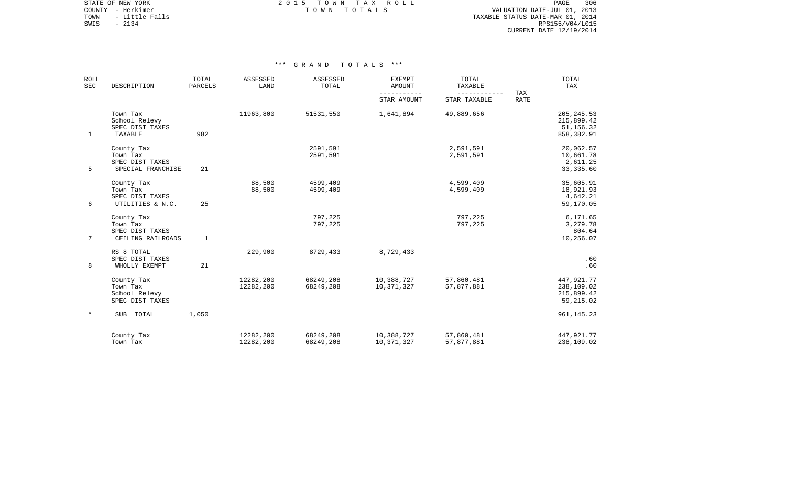STATE OF NEW YORK 2 0 1 5 T O W N T A X R O L L PAGE 306COUNTY - Herkimer T O W N T O T A L S VALUATION DATE-JUL 01, 2013

TOWN - Little Falls TAXABLE STATUS DATE-MAR 01, 2014 SOUNTY - Herkimer<br>
TOWN - Little Falls<br>
SWIS - 2134 RPS155/V04/L015 CURRENT DATE 12/19/2014

| <b>ROLL</b><br><b>SEC</b> | DESCRIPTION                                                    | TOTAL<br><b>PARCELS</b> | ASSESSED<br>LAND       | ASSESSED<br>TOTAL      | <b>EXEMPT</b><br>AMOUNT  | TOTAL<br>TAXABLE<br>------------ | TAX         | TOTAL<br>TAX                                          |
|---------------------------|----------------------------------------------------------------|-------------------------|------------------------|------------------------|--------------------------|----------------------------------|-------------|-------------------------------------------------------|
|                           |                                                                |                         |                        |                        | STAR AMOUNT              | STAR TAXABLE                     | <b>RATE</b> |                                                       |
| $\mathbf{1}$              | Town Tax<br>School Relevy<br>SPEC DIST TAXES<br>TAXABLE        | 982                     | 11963,800              | 51531,550              | 1,641,894                | 49,889,656                       |             | 205, 245.53<br>215,899.42<br>51, 156.32<br>858,382.91 |
| 5                         | County Tax<br>Town Tax<br>SPEC DIST TAXES<br>SPECIAL FRANCHISE | 21                      |                        | 2591,591<br>2591,591   |                          | 2,591,591<br>2,591,591           |             | 20,062.57<br>10,661.78<br>2,611.25<br>33, 335.60      |
| 6                         | County Tax<br>Town Tax<br>SPEC DIST TAXES<br>UTILITIES & N.C.  | 25                      | 88,500<br>88,500       | 4599,409<br>4599,409   |                          | 4,599,409<br>4,599,409           |             | 35,605.91<br>18,921.93<br>4,642.21<br>59,170.05       |
| $7^{\circ}$               | County Tax<br>Town Tax<br>SPEC DIST TAXES<br>CEILING RAILROADS | $\mathbf{1}$            |                        | 797,225<br>797,225     |                          | 797,225<br>797,225               |             | 6,171.65<br>3,279.78<br>804.64<br>10,256.07           |
| 8                         | RS 8 TOTAL<br>SPEC DIST TAXES<br>WHOLLY EXEMPT                 | 21                      | 229,900                | 8729,433               | 8,729,433                |                                  |             | .60<br>.60                                            |
|                           | County Tax<br>Town Tax<br>School Relevy<br>SPEC DIST TAXES     |                         | 12282,200<br>12282,200 | 68249,208<br>68249,208 | 10,388,727<br>10,371,327 | 57,860,481<br>57,877,881         |             | 447,921.77<br>238,109.02<br>215,899.42<br>59,215.02   |
| $\ast$                    | <b>SUB</b><br>TOTAL                                            | 1,050                   |                        |                        |                          |                                  |             | 961, 145.23                                           |
|                           | County Tax<br>Town Tax                                         |                         | 12282,200<br>12282,200 | 68249,208<br>68249,208 | 10,388,727<br>10,371,327 | 57,860,481<br>57,877,881         |             | 447,921.77<br>238,109.02                              |